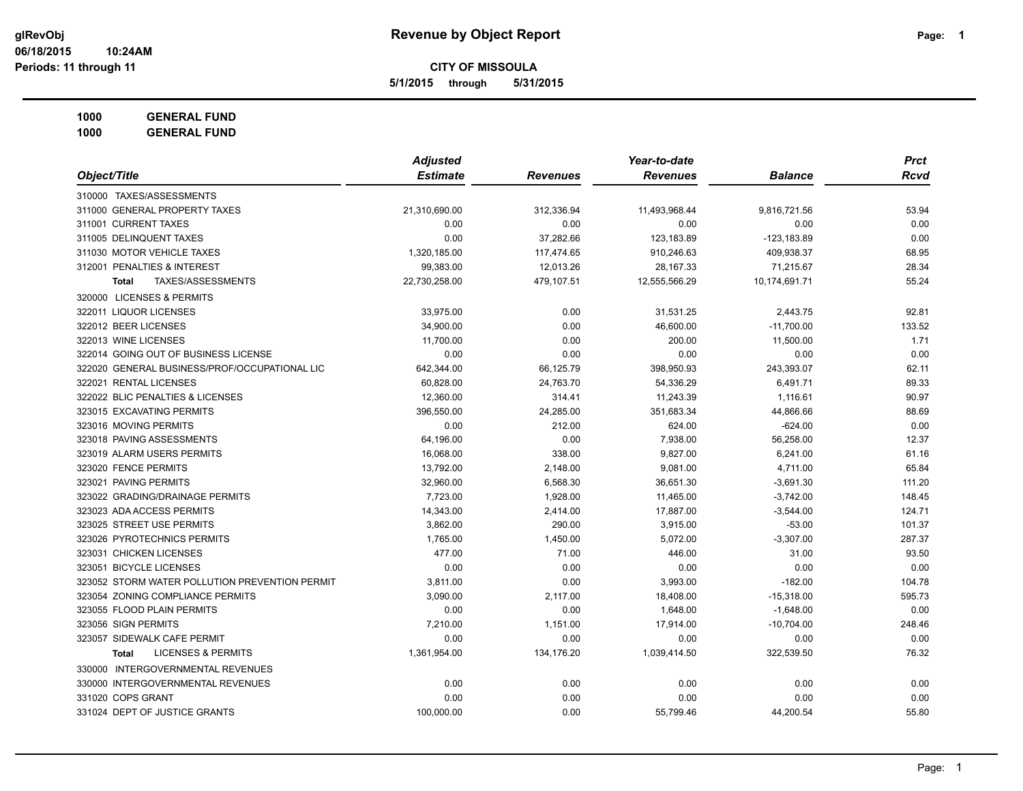**5/1/2015 through 5/31/2015**

**1000 GENERAL FUND**

|                                                | <b>Adjusted</b> |                 | Year-to-date    |                | <b>Prct</b> |
|------------------------------------------------|-----------------|-----------------|-----------------|----------------|-------------|
| Object/Title                                   | <b>Estimate</b> | <b>Revenues</b> | <b>Revenues</b> | <b>Balance</b> | <b>Rcvd</b> |
| 310000 TAXES/ASSESSMENTS                       |                 |                 |                 |                |             |
| 311000 GENERAL PROPERTY TAXES                  | 21,310,690.00   | 312,336.94      | 11,493,968.44   | 9,816,721.56   | 53.94       |
| 311001 CURRENT TAXES                           | 0.00            | 0.00            | 0.00            | 0.00           | 0.00        |
| 311005 DELINQUENT TAXES                        | 0.00            | 37,282.66       | 123,183.89      | $-123, 183.89$ | 0.00        |
| 311030 MOTOR VEHICLE TAXES                     | 1,320,185.00    | 117,474.65      | 910,246.63      | 409,938.37     | 68.95       |
| 312001 PENALTIES & INTEREST                    | 99,383.00       | 12,013.26       | 28,167.33       | 71,215.67      | 28.34       |
| TAXES/ASSESSMENTS<br><b>Total</b>              | 22,730,258.00   | 479,107.51      | 12,555,566.29   | 10,174,691.71  | 55.24       |
| 320000 LICENSES & PERMITS                      |                 |                 |                 |                |             |
| 322011 LIQUOR LICENSES                         | 33,975.00       | 0.00            | 31,531.25       | 2,443.75       | 92.81       |
| 322012 BEER LICENSES                           | 34,900.00       | 0.00            | 46,600.00       | $-11,700.00$   | 133.52      |
| 322013 WINE LICENSES                           | 11,700.00       | 0.00            | 200.00          | 11,500.00      | 1.71        |
| 322014 GOING OUT OF BUSINESS LICENSE           | 0.00            | 0.00            | 0.00            | 0.00           | 0.00        |
| 322020 GENERAL BUSINESS/PROF/OCCUPATIONAL LIC  | 642,344.00      | 66,125.79       | 398,950.93      | 243,393.07     | 62.11       |
| 322021 RENTAL LICENSES                         | 60,828.00       | 24,763.70       | 54,336.29       | 6,491.71       | 89.33       |
| 322022 BLIC PENALTIES & LICENSES               | 12,360.00       | 314.41          | 11,243.39       | 1,116.61       | 90.97       |
| 323015 EXCAVATING PERMITS                      | 396,550.00      | 24,285.00       | 351,683.34      | 44,866.66      | 88.69       |
| 323016 MOVING PERMITS                          | 0.00            | 212.00          | 624.00          | $-624.00$      | 0.00        |
| 323018 PAVING ASSESSMENTS                      | 64,196.00       | 0.00            | 7,938.00        | 56,258.00      | 12.37       |
| 323019 ALARM USERS PERMITS                     | 16,068.00       | 338.00          | 9,827.00        | 6,241.00       | 61.16       |
| 323020 FENCE PERMITS                           | 13,792.00       | 2,148.00        | 9,081.00        | 4,711.00       | 65.84       |
| 323021 PAVING PERMITS                          | 32,960.00       | 6,568.30        | 36,651.30       | $-3,691.30$    | 111.20      |
| 323022 GRADING/DRAINAGE PERMITS                | 7,723.00        | 1,928.00        | 11,465.00       | $-3,742.00$    | 148.45      |
| 323023 ADA ACCESS PERMITS                      | 14,343.00       | 2,414.00        | 17,887.00       | $-3,544.00$    | 124.71      |
| 323025 STREET USE PERMITS                      | 3,862.00        | 290.00          | 3,915.00        | $-53.00$       | 101.37      |
| 323026 PYROTECHNICS PERMITS                    | 1,765.00        | 1,450.00        | 5,072.00        | $-3,307.00$    | 287.37      |
| 323031 CHICKEN LICENSES                        | 477.00          | 71.00           | 446.00          | 31.00          | 93.50       |
| 323051 BICYCLE LICENSES                        | 0.00            | 0.00            | 0.00            | 0.00           | 0.00        |
| 323052 STORM WATER POLLUTION PREVENTION PERMIT | 3,811.00        | 0.00            | 3,993.00        | $-182.00$      | 104.78      |
| 323054 ZONING COMPLIANCE PERMITS               | 3,090.00        | 2,117.00        | 18,408.00       | $-15,318.00$   | 595.73      |
| 323055 FLOOD PLAIN PERMITS                     | 0.00            | 0.00            | 1,648.00        | $-1,648.00$    | 0.00        |
| 323056 SIGN PERMITS                            | 7,210.00        | 1,151.00        | 17,914.00       | $-10,704.00$   | 248.46      |
| 323057 SIDEWALK CAFE PERMIT                    | 0.00            | 0.00            | 0.00            | 0.00           | 0.00        |
| <b>LICENSES &amp; PERMITS</b><br>Total         | 1,361,954.00    | 134,176.20      | 1,039,414.50    | 322,539.50     | 76.32       |
| 330000 INTERGOVERNMENTAL REVENUES              |                 |                 |                 |                |             |
| 330000 INTERGOVERNMENTAL REVENUES              | 0.00            | 0.00            | 0.00            | 0.00           | 0.00        |
| 331020 COPS GRANT                              | 0.00            | 0.00            | 0.00            | 0.00           | 0.00        |
| 331024 DEPT OF JUSTICE GRANTS                  | 100,000.00      | 0.00            | 55,799.46       | 44,200.54      | 55.80       |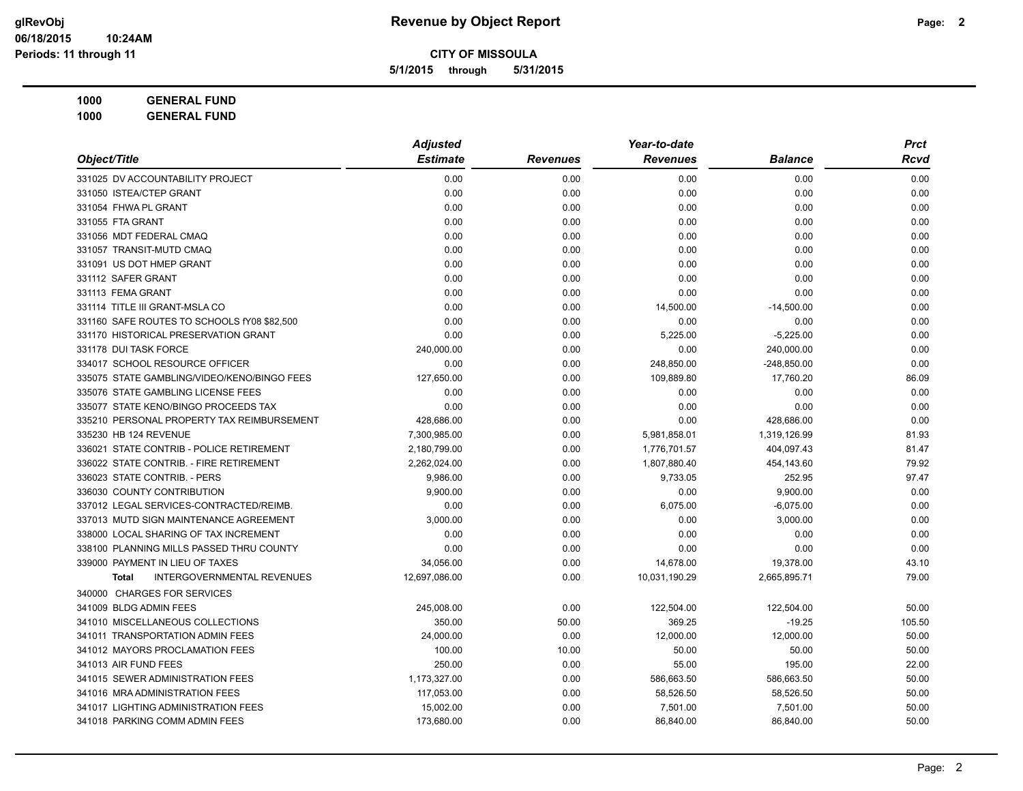**5/1/2015 through 5/31/2015**

|                                                   | <b>Adjusted</b> |                 | Year-to-date    |                | <b>Prct</b> |
|---------------------------------------------------|-----------------|-----------------|-----------------|----------------|-------------|
| Object/Title                                      | <b>Estimate</b> | <b>Revenues</b> | <b>Revenues</b> | <b>Balance</b> | Rcvd        |
| 331025 DV ACCOUNTABILITY PROJECT                  | 0.00            | 0.00            | 0.00            | 0.00           | 0.00        |
| 331050 ISTEA/CTEP GRANT                           | 0.00            | 0.00            | 0.00            | 0.00           | 0.00        |
| 331054 FHWA PL GRANT                              | 0.00            | 0.00            | 0.00            | 0.00           | 0.00        |
| 331055 FTA GRANT                                  | 0.00            | 0.00            | 0.00            | 0.00           | 0.00        |
| 331056 MDT FEDERAL CMAQ                           | 0.00            | 0.00            | 0.00            | 0.00           | 0.00        |
| 331057 TRANSIT-MUTD CMAQ                          | 0.00            | 0.00            | 0.00            | 0.00           | 0.00        |
| 331091 US DOT HMEP GRANT                          | 0.00            | 0.00            | 0.00            | 0.00           | 0.00        |
| 331112 SAFER GRANT                                | 0.00            | 0.00            | 0.00            | 0.00           | 0.00        |
| 331113 FEMA GRANT                                 | 0.00            | 0.00            | 0.00            | 0.00           | 0.00        |
| 331114 TITLE III GRANT-MSLA CO                    | 0.00            | 0.00            | 14,500.00       | $-14,500.00$   | 0.00        |
| 331160 SAFE ROUTES TO SCHOOLS fY08 \$82,500       | 0.00            | 0.00            | 0.00            | 0.00           | 0.00        |
| 331170 HISTORICAL PRESERVATION GRANT              | 0.00            | 0.00            | 5,225.00        | $-5,225.00$    | 0.00        |
| 331178 DUI TASK FORCE                             | 240,000.00      | 0.00            | 0.00            | 240,000.00     | 0.00        |
| 334017 SCHOOL RESOURCE OFFICER                    | 0.00            | 0.00            | 248,850.00      | $-248,850.00$  | 0.00        |
| 335075 STATE GAMBLING/VIDEO/KENO/BINGO FEES       | 127,650.00      | 0.00            | 109,889.80      | 17,760.20      | 86.09       |
| 335076 STATE GAMBLING LICENSE FEES                | 0.00            | 0.00            | 0.00            | 0.00           | 0.00        |
| 335077 STATE KENO/BINGO PROCEEDS TAX              | 0.00            | 0.00            | 0.00            | 0.00           | 0.00        |
| 335210 PERSONAL PROPERTY TAX REIMBURSEMENT        | 428,686.00      | 0.00            | 0.00            | 428,686.00     | 0.00        |
| 335230 HB 124 REVENUE                             | 7,300,985.00    | 0.00            | 5,981,858.01    | 1,319,126.99   | 81.93       |
| 336021 STATE CONTRIB - POLICE RETIREMENT          | 2,180,799.00    | 0.00            | 1,776,701.57    | 404,097.43     | 81.47       |
| 336022 STATE CONTRIB. - FIRE RETIREMENT           | 2,262,024.00    | 0.00            | 1,807,880.40    | 454,143.60     | 79.92       |
| 336023 STATE CONTRIB. - PERS                      | 9,986.00        | 0.00            | 9,733.05        | 252.95         | 97.47       |
| 336030 COUNTY CONTRIBUTION                        | 9,900.00        | 0.00            | 0.00            | 9,900.00       | 0.00        |
| 337012 LEGAL SERVICES-CONTRACTED/REIMB.           | 0.00            | 0.00            | 6,075.00        | $-6,075.00$    | 0.00        |
| 337013 MUTD SIGN MAINTENANCE AGREEMENT            | 3,000.00        | 0.00            | 0.00            | 3,000.00       | 0.00        |
| 338000 LOCAL SHARING OF TAX INCREMENT             | 0.00            | 0.00            | 0.00            | 0.00           | 0.00        |
| 338100 PLANNING MILLS PASSED THRU COUNTY          | 0.00            | 0.00            | 0.00            | 0.00           | 0.00        |
| 339000 PAYMENT IN LIEU OF TAXES                   | 34,056.00       | 0.00            | 14,678.00       | 19,378.00      | 43.10       |
| <b>INTERGOVERNMENTAL REVENUES</b><br><b>Total</b> | 12,697,086.00   | 0.00            | 10,031,190.29   | 2,665,895.71   | 79.00       |
| 340000 CHARGES FOR SERVICES                       |                 |                 |                 |                |             |
| 341009 BLDG ADMIN FEES                            | 245,008.00      | 0.00            | 122,504.00      | 122,504.00     | 50.00       |
| 341010 MISCELLANEOUS COLLECTIONS                  | 350.00          | 50.00           | 369.25          | $-19.25$       | 105.50      |
| 341011 TRANSPORTATION ADMIN FEES                  | 24,000.00       | 0.00            | 12,000.00       | 12,000.00      | 50.00       |
| 341012 MAYORS PROCLAMATION FEES                   | 100.00          | 10.00           | 50.00           | 50.00          | 50.00       |
| 341013 AIR FUND FEES                              | 250.00          | 0.00            | 55.00           | 195.00         | 22.00       |
| 341015 SEWER ADMINISTRATION FEES                  | 1,173,327.00    | 0.00            | 586,663.50      | 586,663.50     | 50.00       |
| 341016 MRA ADMINISTRATION FEES                    | 117,053.00      | 0.00            | 58,526.50       | 58,526.50      | 50.00       |
| 341017 LIGHTING ADMINISTRATION FEES               | 15,002.00       | 0.00            | 7,501.00        | 7,501.00       | 50.00       |
| 341018 PARKING COMM ADMIN FEES                    | 173,680.00      | 0.00            | 86,840.00       | 86,840.00      | 50.00       |
|                                                   |                 |                 |                 |                |             |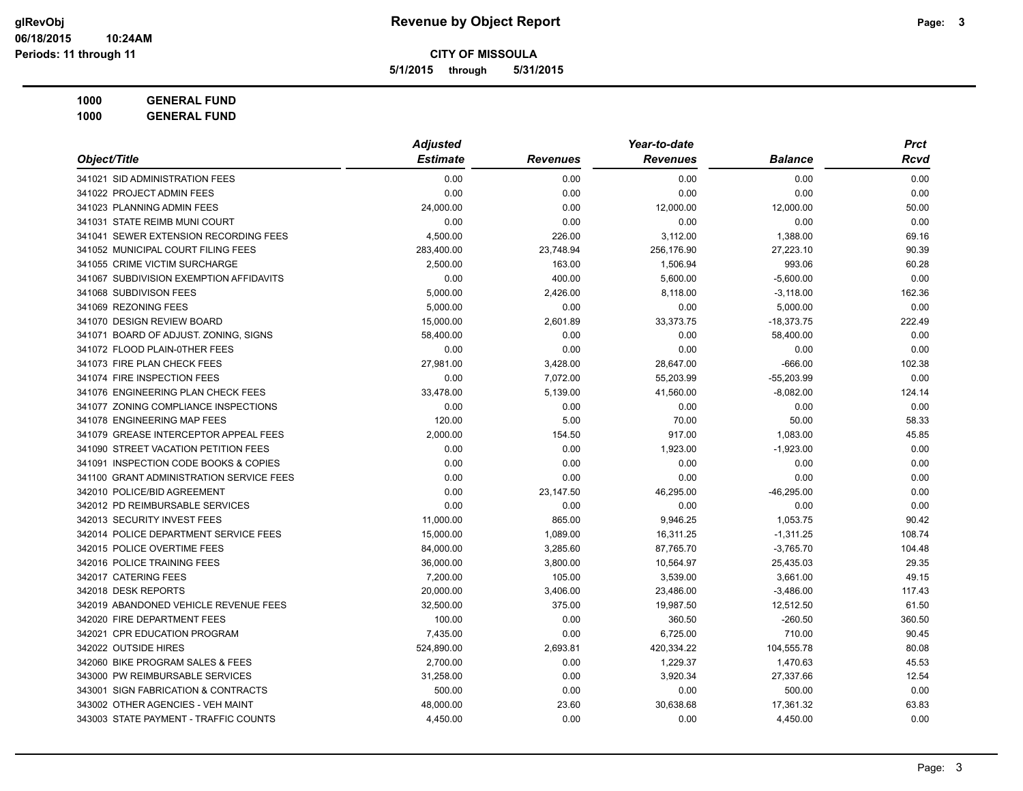**5/1/2015 through 5/31/2015**

| Object/Title                             | <b>Adjusted</b> |                 | Year-to-date    |                | Prct   |
|------------------------------------------|-----------------|-----------------|-----------------|----------------|--------|
|                                          | <b>Estimate</b> | <b>Revenues</b> | <b>Revenues</b> | <b>Balance</b> | Rcvd   |
| 341021 SID ADMINISTRATION FEES           | 0.00            | 0.00            | 0.00            | 0.00           | 0.00   |
| 341022 PROJECT ADMIN FEES                | 0.00            | 0.00            | 0.00            | 0.00           | 0.00   |
| 341023 PLANNING ADMIN FEES               | 24,000.00       | 0.00            | 12,000.00       | 12,000.00      | 50.00  |
| 341031 STATE REIMB MUNI COURT            | 0.00            | 0.00            | 0.00            | 0.00           | 0.00   |
| 341041 SEWER EXTENSION RECORDING FEES    | 4,500.00        | 226.00          | 3,112.00        | 1,388.00       | 69.16  |
| 341052 MUNICIPAL COURT FILING FEES       | 283,400.00      | 23,748.94       | 256,176.90      | 27,223.10      | 90.39  |
| 341055 CRIME VICTIM SURCHARGE            | 2,500.00        | 163.00          | 1,506.94        | 993.06         | 60.28  |
| 341067 SUBDIVISION EXEMPTION AFFIDAVITS  | 0.00            | 400.00          | 5,600.00        | $-5,600.00$    | 0.00   |
| 341068 SUBDIVISON FEES                   | 5,000.00        | 2,426.00        | 8,118.00        | $-3,118.00$    | 162.36 |
| 341069 REZONING FEES                     | 5,000.00        | 0.00            | 0.00            | 5,000.00       | 0.00   |
| 341070 DESIGN REVIEW BOARD               | 15,000.00       | 2.601.89        | 33,373.75       | $-18,373.75$   | 222.49 |
| 341071 BOARD OF ADJUST. ZONING, SIGNS    | 58,400.00       | 0.00            | 0.00            | 58,400.00      | 0.00   |
| 341072 FLOOD PLAIN-0THER FEES            | 0.00            | 0.00            | 0.00            | 0.00           | 0.00   |
| 341073 FIRE PLAN CHECK FEES              | 27,981.00       | 3,428.00        | 28,647.00       | $-666.00$      | 102.38 |
| 341074 FIRE INSPECTION FEES              | 0.00            | 7,072.00        | 55,203.99       | $-55,203.99$   | 0.00   |
| 341076 ENGINEERING PLAN CHECK FEES       | 33,478.00       | 5,139.00        | 41,560.00       | $-8,082.00$    | 124.14 |
| 341077 ZONING COMPLIANCE INSPECTIONS     | 0.00            | 0.00            | 0.00            | 0.00           | 0.00   |
| 341078 ENGINEERING MAP FEES              | 120.00          | 5.00            | 70.00           | 50.00          | 58.33  |
| 341079 GREASE INTERCEPTOR APPEAL FEES    | 2,000.00        | 154.50          | 917.00          | 1,083.00       | 45.85  |
| 341090 STREET VACATION PETITION FEES     | 0.00            | 0.00            | 1,923.00        | $-1,923.00$    | 0.00   |
| 341091 INSPECTION CODE BOOKS & COPIES    | 0.00            | 0.00            | 0.00            | 0.00           | 0.00   |
| 341100 GRANT ADMINISTRATION SERVICE FEES | 0.00            | 0.00            | 0.00            | 0.00           | 0.00   |
| 342010 POLICE/BID AGREEMENT              | 0.00            | 23,147.50       | 46,295.00       | $-46,295.00$   | 0.00   |
| 342012 PD REIMBURSABLE SERVICES          | 0.00            | 0.00            | 0.00            | 0.00           | 0.00   |
| 342013 SECURITY INVEST FEES              | 11,000.00       | 865.00          | 9,946.25        | 1,053.75       | 90.42  |
| 342014 POLICE DEPARTMENT SERVICE FEES    | 15,000.00       | 1,089.00        | 16,311.25       | $-1,311.25$    | 108.74 |
| 342015 POLICE OVERTIME FEES              | 84,000.00       | 3,285.60        | 87,765.70       | $-3,765.70$    | 104.48 |
| 342016 POLICE TRAINING FEES              | 36,000.00       | 3,800.00        | 10,564.97       | 25,435.03      | 29.35  |
| 342017 CATERING FEES                     | 7,200.00        | 105.00          | 3,539.00        | 3,661.00       | 49.15  |
| 342018 DESK REPORTS                      | 20,000.00       | 3,406.00        | 23,486.00       | $-3,486.00$    | 117.43 |
| 342019 ABANDONED VEHICLE REVENUE FEES    | 32,500.00       | 375.00          | 19,987.50       | 12,512.50      | 61.50  |
| 342020 FIRE DEPARTMENT FEES              | 100.00          | 0.00            | 360.50          | $-260.50$      | 360.50 |
| 342021 CPR EDUCATION PROGRAM             | 7,435.00        | 0.00            | 6,725.00        | 710.00         | 90.45  |
| 342022 OUTSIDE HIRES                     | 524,890.00      | 2,693.81        | 420,334.22      | 104,555.78     | 80.08  |
| 342060 BIKE PROGRAM SALES & FEES         | 2,700.00        | 0.00            | 1,229.37        | 1,470.63       | 45.53  |
| 343000 PW REIMBURSABLE SERVICES          | 31,258.00       | 0.00            | 3,920.34        | 27,337.66      | 12.54  |
| 343001 SIGN FABRICATION & CONTRACTS      | 500.00          | 0.00            | 0.00            | 500.00         | 0.00   |
| 343002 OTHER AGENCIES - VEH MAINT        | 48,000.00       | 23.60           | 30,638.68       | 17,361.32      | 63.83  |
| 343003 STATE PAYMENT - TRAFFIC COUNTS    | 4,450.00        | 0.00            | 0.00            | 4,450.00       | 0.00   |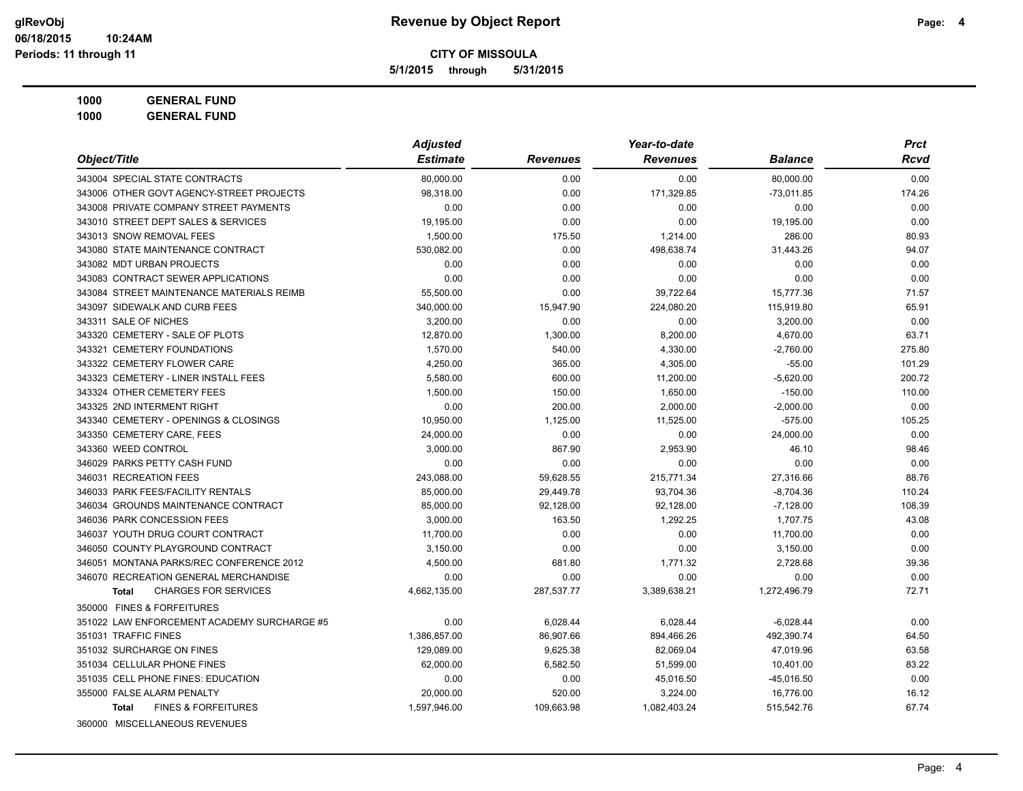**5/1/2015 through 5/31/2015**

| Object/Title                                | <b>Adjusted</b> |                 | Year-to-date    |                | <b>Prct</b> |
|---------------------------------------------|-----------------|-----------------|-----------------|----------------|-------------|
|                                             | <b>Estimate</b> | <b>Revenues</b> | <b>Revenues</b> | <b>Balance</b> | Rcvd        |
| 343004 SPECIAL STATE CONTRACTS              | 80.000.00       | 0.00            | 0.00            | 80,000.00      | 0.00        |
| 343006 OTHER GOVT AGENCY-STREET PROJECTS    | 98,318.00       | 0.00            | 171,329.85      | $-73,011.85$   | 174.26      |
| 343008 PRIVATE COMPANY STREET PAYMENTS      | 0.00            | 0.00            | 0.00            | 0.00           | 0.00        |
| 343010 STREET DEPT SALES & SERVICES         | 19,195.00       | 0.00            | 0.00            | 19,195.00      | 0.00        |
| 343013 SNOW REMOVAL FEES                    | 1,500.00        | 175.50          | 1,214.00        | 286.00         | 80.93       |
| 343080 STATE MAINTENANCE CONTRACT           | 530,082.00      | 0.00            | 498,638.74      | 31,443.26      | 94.07       |
| 343082 MDT URBAN PROJECTS                   | 0.00            | 0.00            | 0.00            | 0.00           | 0.00        |
| 343083 CONTRACT SEWER APPLICATIONS          | 0.00            | 0.00            | 0.00            | 0.00           | 0.00        |
| 343084 STREET MAINTENANCE MATERIALS REIMB   | 55,500.00       | 0.00            | 39,722.64       | 15,777.36      | 71.57       |
| 343097 SIDEWALK AND CURB FEES               | 340,000.00      | 15,947.90       | 224,080.20      | 115,919.80     | 65.91       |
| 343311 SALE OF NICHES                       | 3,200.00        | 0.00            | 0.00            | 3,200.00       | 0.00        |
| 343320 CEMETERY - SALE OF PLOTS             | 12,870.00       | 1,300.00        | 8,200.00        | 4,670.00       | 63.71       |
| 343321 CEMETERY FOUNDATIONS                 | 1,570.00        | 540.00          | 4,330.00        | $-2,760.00$    | 275.80      |
| 343322 CEMETERY FLOWER CARE                 | 4,250.00        | 365.00          | 4,305.00        | $-55.00$       | 101.29      |
| 343323 CEMETERY - LINER INSTALL FEES        | 5,580.00        | 600.00          | 11,200.00       | $-5,620.00$    | 200.72      |
| 343324 OTHER CEMETERY FEES                  | 1,500.00        | 150.00          | 1,650.00        | $-150.00$      | 110.00      |
| 343325 2ND INTERMENT RIGHT                  | 0.00            | 200.00          | 2,000.00        | $-2,000.00$    | 0.00        |
| 343340 CEMETERY - OPENINGS & CLOSINGS       | 10,950.00       | 1,125.00        | 11,525.00       | $-575.00$      | 105.25      |
| 343350 CEMETERY CARE, FEES                  | 24,000.00       | 0.00            | 0.00            | 24,000.00      | 0.00        |
| 343360 WEED CONTROL                         | 3.000.00        | 867.90          | 2,953.90        | 46.10          | 98.46       |
| 346029 PARKS PETTY CASH FUND                | 0.00            | 0.00            | 0.00            | 0.00           | 0.00        |
| 346031 RECREATION FEES                      | 243,088.00      | 59,628.55       | 215,771.34      | 27,316.66      | 88.76       |
| 346033 PARK FEES/FACILITY RENTALS           | 85,000.00       | 29,449.78       | 93,704.36       | $-8,704.36$    | 110.24      |
| 346034 GROUNDS MAINTENANCE CONTRACT         | 85,000.00       | 92,128.00       | 92,128.00       | $-7,128.00$    | 108.39      |
| 346036 PARK CONCESSION FEES                 | 3,000.00        | 163.50          | 1,292.25        | 1,707.75       | 43.08       |
| 346037 YOUTH DRUG COURT CONTRACT            | 11,700.00       | 0.00            | 0.00            | 11,700.00      | 0.00        |
| 346050 COUNTY PLAYGROUND CONTRACT           | 3,150.00        | 0.00            | 0.00            | 3,150.00       | 0.00        |
| 346051 MONTANA PARKS/REC CONFERENCE 2012    | 4,500.00        | 681.80          | 1,771.32        | 2,728.68       | 39.36       |
| 346070 RECREATION GENERAL MERCHANDISE       | 0.00            | 0.00            | 0.00            | 0.00           | 0.00        |
| <b>CHARGES FOR SERVICES</b><br><b>Total</b> | 4,662,135.00    | 287,537.77      | 3,389,638.21    | 1,272,496.79   | 72.71       |
| 350000 FINES & FORFEITURES                  |                 |                 |                 |                |             |
| 351022 LAW ENFORCEMENT ACADEMY SURCHARGE #5 | 0.00            | 6,028.44        | 6,028.44        | $-6,028.44$    | 0.00        |
| 351031 TRAFFIC FINES                        | 1,386,857.00    | 86,907.66       | 894,466.26      | 492,390.74     | 64.50       |
| 351032 SURCHARGE ON FINES                   | 129,089.00      | 9,625.38        | 82,069.04       | 47,019.96      | 63.58       |
| 351034 CELLULAR PHONE FINES                 | 62,000.00       | 6,582.50        | 51,599.00       | 10,401.00      | 83.22       |
| 351035 CELL PHONE FINES: EDUCATION          | 0.00            | 0.00            | 45,016.50       | $-45,016.50$   | 0.00        |
| 355000 FALSE ALARM PENALTY                  | 20,000.00       | 520.00          | 3,224.00        | 16,776.00      | 16.12       |
| <b>FINES &amp; FORFEITURES</b><br>Total     | 1,597,946.00    | 109,663.98      | 1,082,403.24    | 515,542.76     | 67.74       |
| 360000 MISCELLANEOUS REVENUES               |                 |                 |                 |                |             |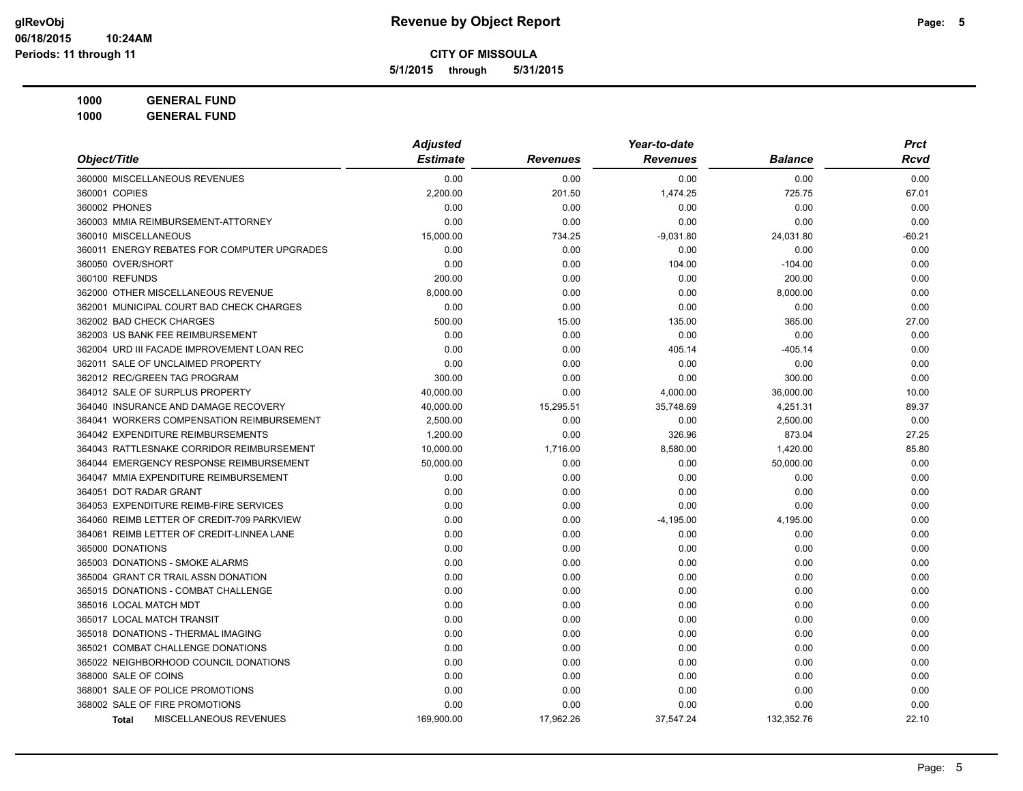**5/1/2015 through 5/31/2015**

| <b>GENERAL FUND</b><br>1000 |  |
|-----------------------------|--|
|-----------------------------|--|

|                                               | <b>Adjusted</b> |                 | Year-to-date    |                | <b>Prct</b> |
|-----------------------------------------------|-----------------|-----------------|-----------------|----------------|-------------|
| Object/Title                                  | <b>Estimate</b> | <b>Revenues</b> | <b>Revenues</b> | <b>Balance</b> | <b>Rcvd</b> |
| 360000 MISCELLANEOUS REVENUES                 | 0.00            | 0.00            | 0.00            | 0.00           | 0.00        |
| 360001 COPIES                                 | 2,200.00        | 201.50          | 1,474.25        | 725.75         | 67.01       |
| 360002 PHONES                                 | 0.00            | 0.00            | 0.00            | 0.00           | 0.00        |
| 360003 MMIA REIMBURSEMENT-ATTORNEY            | 0.00            | 0.00            | 0.00            | 0.00           | 0.00        |
| 360010 MISCELLANEOUS                          | 15,000.00       | 734.25          | $-9,031.80$     | 24,031.80      | $-60.21$    |
| 360011 ENERGY REBATES FOR COMPUTER UPGRADES   | 0.00            | 0.00            | 0.00            | 0.00           | 0.00        |
| 360050 OVER/SHORT                             | 0.00            | 0.00            | 104.00          | $-104.00$      | 0.00        |
| 360100 REFUNDS                                | 200.00          | 0.00            | 0.00            | 200.00         | 0.00        |
| 362000 OTHER MISCELLANEOUS REVENUE            | 8,000.00        | 0.00            | 0.00            | 8,000.00       | 0.00        |
| 362001 MUNICIPAL COURT BAD CHECK CHARGES      | 0.00            | 0.00            | 0.00            | 0.00           | 0.00        |
| 362002 BAD CHECK CHARGES                      | 500.00          | 15.00           | 135.00          | 365.00         | 27.00       |
| 362003 US BANK FEE REIMBURSEMENT              | 0.00            | 0.00            | 0.00            | 0.00           | 0.00        |
| 362004 URD III FACADE IMPROVEMENT LOAN REC    | 0.00            | 0.00            | 405.14          | $-405.14$      | 0.00        |
| 362011 SALE OF UNCLAIMED PROPERTY             | 0.00            | 0.00            | 0.00            | 0.00           | 0.00        |
| 362012 REC/GREEN TAG PROGRAM                  | 300.00          | 0.00            | 0.00            | 300.00         | 0.00        |
| 364012 SALE OF SURPLUS PROPERTY               | 40,000.00       | 0.00            | 4,000.00        | 36,000.00      | 10.00       |
| 364040 INSURANCE AND DAMAGE RECOVERY          | 40,000.00       | 15,295.51       | 35,748.69       | 4,251.31       | 89.37       |
| 364041 WORKERS COMPENSATION REIMBURSEMENT     | 2,500.00        | 0.00            | 0.00            | 2,500.00       | 0.00        |
| 364042 EXPENDITURE REIMBURSEMENTS             | 1,200.00        | 0.00            | 326.96          | 873.04         | 27.25       |
| 364043 RATTLESNAKE CORRIDOR REIMBURSEMENT     | 10,000.00       | 1,716.00        | 8,580.00        | 1,420.00       | 85.80       |
| 364044 EMERGENCY RESPONSE REIMBURSEMENT       | 50,000.00       | 0.00            | 0.00            | 50,000.00      | 0.00        |
| 364047 MMIA EXPENDITURE REIMBURSEMENT         | 0.00            | 0.00            | 0.00            | 0.00           | 0.00        |
| 364051 DOT RADAR GRANT                        | 0.00            | 0.00            | 0.00            | 0.00           | 0.00        |
| 364053 EXPENDITURE REIMB-FIRE SERVICES        | 0.00            | 0.00            | 0.00            | 0.00           | 0.00        |
| 364060 REIMB LETTER OF CREDIT-709 PARKVIEW    | 0.00            | 0.00            | $-4,195.00$     | 4,195.00       | 0.00        |
| 364061 REIMB LETTER OF CREDIT-LINNEA LANE     | 0.00            | 0.00            | 0.00            | 0.00           | 0.00        |
| 365000 DONATIONS                              | 0.00            | 0.00            | 0.00            | 0.00           | 0.00        |
| 365003 DONATIONS - SMOKE ALARMS               | 0.00            | 0.00            | 0.00            | 0.00           | 0.00        |
| 365004 GRANT CR TRAIL ASSN DONATION           | 0.00            | 0.00            | 0.00            | 0.00           | 0.00        |
| 365015 DONATIONS - COMBAT CHALLENGE           | 0.00            | 0.00            | 0.00            | 0.00           | 0.00        |
| 365016 LOCAL MATCH MDT                        | 0.00            | 0.00            | 0.00            | 0.00           | 0.00        |
| 365017 LOCAL MATCH TRANSIT                    | 0.00            | 0.00            | 0.00            | 0.00           | 0.00        |
| 365018 DONATIONS - THERMAL IMAGING            | 0.00            | 0.00            | 0.00            | 0.00           | 0.00        |
| 365021 COMBAT CHALLENGE DONATIONS             | 0.00            | 0.00            | 0.00            | 0.00           | 0.00        |
| 365022 NEIGHBORHOOD COUNCIL DONATIONS         | 0.00            | 0.00            | 0.00            | 0.00           | 0.00        |
| 368000 SALE OF COINS                          | 0.00            | 0.00            | 0.00            | 0.00           | 0.00        |
| 368001 SALE OF POLICE PROMOTIONS              | 0.00            | 0.00            | 0.00            | 0.00           | 0.00        |
| 368002 SALE OF FIRE PROMOTIONS                | 0.00            | 0.00            | 0.00            | 0.00           | 0.00        |
| <b>MISCELLANEOUS REVENUES</b><br><b>Total</b> | 169,900.00      | 17,962.26       | 37,547.24       | 132,352.76     | 22.10       |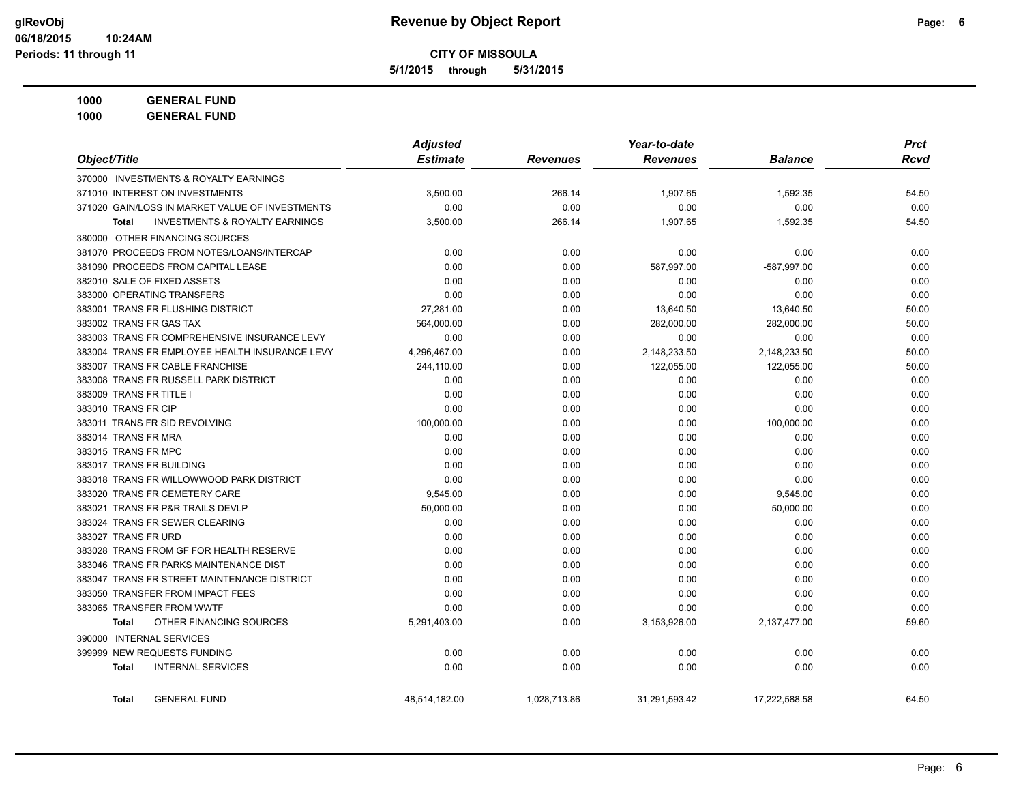**5/1/2015 through 5/31/2015**

| Object/Title                                                            | <b>Adjusted</b><br><b>Estimate</b> | <b>Revenues</b> | Year-to-date<br><b>Revenues</b> | <b>Balance</b> | <b>Prct</b><br><b>Rcvd</b> |
|-------------------------------------------------------------------------|------------------------------------|-----------------|---------------------------------|----------------|----------------------------|
|                                                                         |                                    |                 |                                 |                |                            |
| 370000 INVESTMENTS & ROYALTY EARNINGS<br>371010 INTEREST ON INVESTMENTS |                                    |                 |                                 |                |                            |
|                                                                         | 3,500.00                           | 266.14          | 1,907.65                        | 1,592.35       | 54.50                      |
| 371020 GAIN/LOSS IN MARKET VALUE OF INVESTMENTS                         | 0.00                               | 0.00            | 0.00                            | 0.00           | 0.00                       |
| <b>INVESTMENTS &amp; ROYALTY EARNINGS</b><br><b>Total</b>               | 3,500.00                           | 266.14          | 1,907.65                        | 1,592.35       | 54.50                      |
| 380000 OTHER FINANCING SOURCES                                          |                                    |                 |                                 |                |                            |
| 381070 PROCEEDS FROM NOTES/LOANS/INTERCAP                               | 0.00                               | 0.00            | 0.00                            | 0.00           | 0.00                       |
| 381090 PROCEEDS FROM CAPITAL LEASE                                      | 0.00                               | 0.00            | 587,997.00                      | $-587,997.00$  | 0.00                       |
| 382010 SALE OF FIXED ASSETS                                             | 0.00                               | 0.00            | 0.00                            | 0.00           | 0.00                       |
| 383000 OPERATING TRANSFERS                                              | 0.00                               | 0.00            | 0.00                            | 0.00           | 0.00                       |
| 383001 TRANS FR FLUSHING DISTRICT                                       | 27,281.00                          | 0.00            | 13,640.50                       | 13,640.50      | 50.00                      |
| 383002 TRANS FR GAS TAX                                                 | 564,000.00                         | 0.00            | 282,000.00                      | 282,000.00     | 50.00                      |
| 383003 TRANS FR COMPREHENSIVE INSURANCE LEVY                            | 0.00                               | 0.00            | 0.00                            | 0.00           | 0.00                       |
| 383004 TRANS FR EMPLOYEE HEALTH INSURANCE LEVY                          | 4,296,467.00                       | 0.00            | 2,148,233.50                    | 2,148,233.50   | 50.00                      |
| 383007 TRANS FR CABLE FRANCHISE                                         | 244,110.00                         | 0.00            | 122,055.00                      | 122,055.00     | 50.00                      |
| 383008 TRANS FR RUSSELL PARK DISTRICT                                   | 0.00                               | 0.00            | 0.00                            | 0.00           | 0.00                       |
| 383009 TRANS FR TITLE I                                                 | 0.00                               | 0.00            | 0.00                            | 0.00           | 0.00                       |
| 383010 TRANS FR CIP                                                     | 0.00                               | 0.00            | 0.00                            | 0.00           | 0.00                       |
| 383011 TRANS FR SID REVOLVING                                           | 100,000.00                         | 0.00            | 0.00                            | 100,000.00     | 0.00                       |
| 383014 TRANS FR MRA                                                     | 0.00                               | 0.00            | 0.00                            | 0.00           | 0.00                       |
| 383015 TRANS FR MPC                                                     | 0.00                               | 0.00            | 0.00                            | 0.00           | 0.00                       |
| 383017 TRANS FR BUILDING                                                | 0.00                               | 0.00            | 0.00                            | 0.00           | 0.00                       |
| 383018 TRANS FR WILLOWWOOD PARK DISTRICT                                | 0.00                               | 0.00            | 0.00                            | 0.00           | 0.00                       |
| 383020 TRANS FR CEMETERY CARE                                           | 9,545.00                           | 0.00            | 0.00                            | 9,545.00       | 0.00                       |
| 383021 TRANS FR P&R TRAILS DEVLP                                        | 50,000.00                          | 0.00            | 0.00                            | 50,000.00      | 0.00                       |
| 383024 TRANS FR SEWER CLEARING                                          | 0.00                               | 0.00            | 0.00                            | 0.00           | 0.00                       |
| 383027 TRANS FR URD                                                     | 0.00                               | 0.00            | 0.00                            | 0.00           | 0.00                       |
| 383028 TRANS FROM GF FOR HEALTH RESERVE                                 | 0.00                               | 0.00            | 0.00                            | 0.00           | 0.00                       |
| 383046 TRANS FR PARKS MAINTENANCE DIST                                  | 0.00                               | 0.00            | 0.00                            | 0.00           | 0.00                       |
| 383047 TRANS FR STREET MAINTENANCE DISTRICT                             | 0.00                               | 0.00            | 0.00                            | 0.00           | 0.00                       |
| 383050 TRANSFER FROM IMPACT FEES                                        | 0.00                               | 0.00            | 0.00                            | 0.00           | 0.00                       |
| 383065 TRANSFER FROM WWTF                                               | 0.00                               | 0.00            | 0.00                            | 0.00           | 0.00                       |
| OTHER FINANCING SOURCES<br><b>Total</b>                                 | 5.291.403.00                       | 0.00            | 3,153,926.00                    | 2,137,477.00   | 59.60                      |
| 390000 INTERNAL SERVICES                                                |                                    |                 |                                 |                |                            |
| 399999 NEW REQUESTS FUNDING                                             | 0.00                               | 0.00            | 0.00                            | 0.00           | 0.00                       |
| <b>INTERNAL SERVICES</b><br><b>Total</b>                                | 0.00                               | 0.00            | 0.00                            | 0.00           | 0.00                       |
| <b>GENERAL FUND</b><br><b>Total</b>                                     | 48,514,182.00                      | 1,028,713.86    | 31,291,593.42                   | 17,222,588.58  | 64.50                      |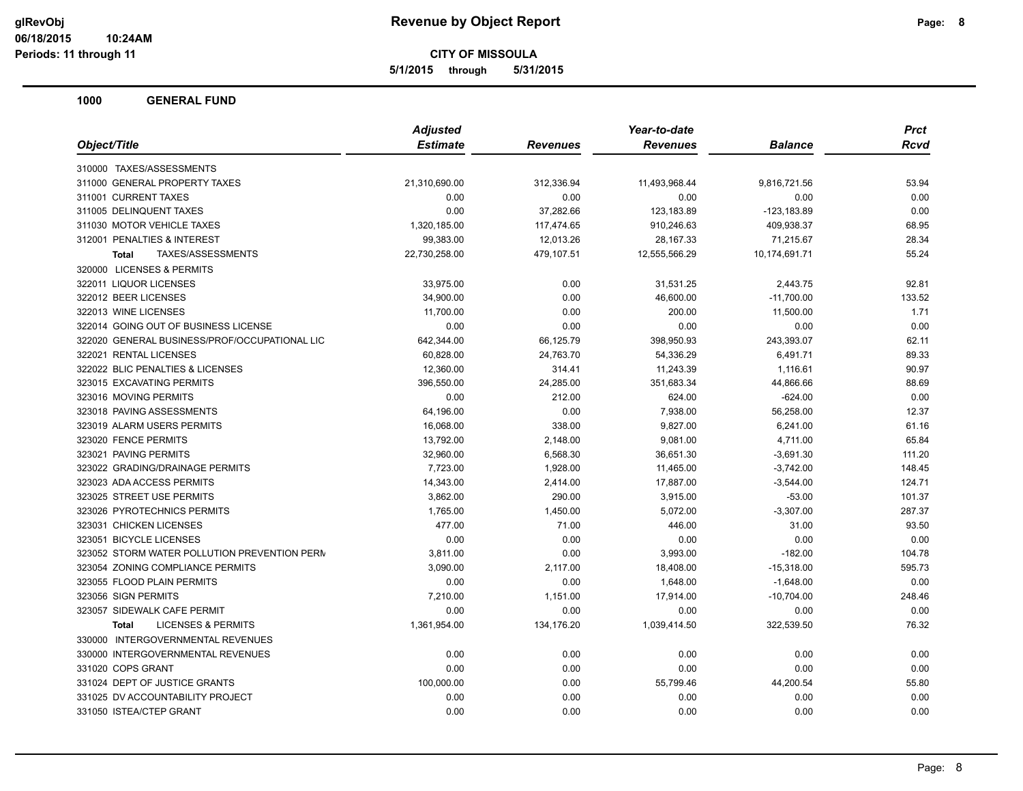**5/1/2015 through 5/31/2015**

| Object/Title<br><b>Estimate</b><br><b>Revenues</b><br><b>Balance</b><br>Revenues<br>310000 TAXES/ASSESSMENTS<br>311000 GENERAL PROPERTY TAXES<br>21,310,690.00<br>312,336.94<br>11,493,968.44<br>9,816,721.56<br>311001 CURRENT TAXES<br>0.00<br>0.00<br>0.00<br>0.00<br>311005 DELINQUENT TAXES<br>0.00<br>37,282.66<br>123,183.89<br>-123,183.89<br>311030 MOTOR VEHICLE TAXES<br>1,320,185.00<br>117,474.65<br>910,246.63<br>409,938.37<br>312001 PENALTIES & INTEREST<br>99,383.00<br>12,013.26<br>28, 167.33<br>71,215.67<br>TAXES/ASSESSMENTS<br>479,107.51<br>12,555,566.29<br>10,174,691.71<br>22,730,258.00<br><b>Total</b><br>320000 LICENSES & PERMITS<br>322011 LIQUOR LICENSES<br>33,975.00<br>0.00<br>31,531.25<br>2,443.75<br>322012 BEER LICENSES<br>34,900.00<br>0.00<br>46,600.00<br>$-11,700.00$<br>322013 WINE LICENSES<br>11,700.00<br>0.00<br>200.00<br>11,500.00<br>322014 GOING OUT OF BUSINESS LICENSE<br>0.00<br>0.00<br>0.00<br>0.00 | <b>Prct</b> |
|-----------------------------------------------------------------------------------------------------------------------------------------------------------------------------------------------------------------------------------------------------------------------------------------------------------------------------------------------------------------------------------------------------------------------------------------------------------------------------------------------------------------------------------------------------------------------------------------------------------------------------------------------------------------------------------------------------------------------------------------------------------------------------------------------------------------------------------------------------------------------------------------------------------------------------------------------------------------|-------------|
|                                                                                                                                                                                                                                                                                                                                                                                                                                                                                                                                                                                                                                                                                                                                                                                                                                                                                                                                                                 | <b>Rcvd</b> |
|                                                                                                                                                                                                                                                                                                                                                                                                                                                                                                                                                                                                                                                                                                                                                                                                                                                                                                                                                                 |             |
|                                                                                                                                                                                                                                                                                                                                                                                                                                                                                                                                                                                                                                                                                                                                                                                                                                                                                                                                                                 | 53.94       |
|                                                                                                                                                                                                                                                                                                                                                                                                                                                                                                                                                                                                                                                                                                                                                                                                                                                                                                                                                                 | 0.00        |
|                                                                                                                                                                                                                                                                                                                                                                                                                                                                                                                                                                                                                                                                                                                                                                                                                                                                                                                                                                 | 0.00        |
|                                                                                                                                                                                                                                                                                                                                                                                                                                                                                                                                                                                                                                                                                                                                                                                                                                                                                                                                                                 | 68.95       |
|                                                                                                                                                                                                                                                                                                                                                                                                                                                                                                                                                                                                                                                                                                                                                                                                                                                                                                                                                                 | 28.34       |
|                                                                                                                                                                                                                                                                                                                                                                                                                                                                                                                                                                                                                                                                                                                                                                                                                                                                                                                                                                 | 55.24       |
|                                                                                                                                                                                                                                                                                                                                                                                                                                                                                                                                                                                                                                                                                                                                                                                                                                                                                                                                                                 |             |
|                                                                                                                                                                                                                                                                                                                                                                                                                                                                                                                                                                                                                                                                                                                                                                                                                                                                                                                                                                 | 92.81       |
|                                                                                                                                                                                                                                                                                                                                                                                                                                                                                                                                                                                                                                                                                                                                                                                                                                                                                                                                                                 | 133.52      |
|                                                                                                                                                                                                                                                                                                                                                                                                                                                                                                                                                                                                                                                                                                                                                                                                                                                                                                                                                                 | 1.71        |
|                                                                                                                                                                                                                                                                                                                                                                                                                                                                                                                                                                                                                                                                                                                                                                                                                                                                                                                                                                 | 0.00        |
| 322020 GENERAL BUSINESS/PROF/OCCUPATIONAL LIC<br>243,393.07<br>642,344.00<br>66,125.79<br>398,950.93                                                                                                                                                                                                                                                                                                                                                                                                                                                                                                                                                                                                                                                                                                                                                                                                                                                            | 62.11       |
| 322021 RENTAL LICENSES<br>60,828.00<br>24,763.70<br>54,336.29<br>6,491.71                                                                                                                                                                                                                                                                                                                                                                                                                                                                                                                                                                                                                                                                                                                                                                                                                                                                                       | 89.33       |
| 322022 BLIC PENALTIES & LICENSES<br>12,360.00<br>314.41<br>11,243.39<br>1,116.61                                                                                                                                                                                                                                                                                                                                                                                                                                                                                                                                                                                                                                                                                                                                                                                                                                                                                | 90.97       |
| 323015 EXCAVATING PERMITS<br>396,550.00<br>24,285.00<br>351,683.34<br>44,866.66                                                                                                                                                                                                                                                                                                                                                                                                                                                                                                                                                                                                                                                                                                                                                                                                                                                                                 | 88.69       |
| 323016 MOVING PERMITS<br>0.00<br>212.00<br>624.00<br>$-624.00$                                                                                                                                                                                                                                                                                                                                                                                                                                                                                                                                                                                                                                                                                                                                                                                                                                                                                                  | 0.00        |
| 323018 PAVING ASSESSMENTS<br>64,196.00<br>0.00<br>7,938.00<br>56,258.00                                                                                                                                                                                                                                                                                                                                                                                                                                                                                                                                                                                                                                                                                                                                                                                                                                                                                         | 12.37       |
| 323019 ALARM USERS PERMITS<br>16,068.00<br>338.00<br>9,827.00<br>6,241.00                                                                                                                                                                                                                                                                                                                                                                                                                                                                                                                                                                                                                                                                                                                                                                                                                                                                                       | 61.16       |
| 323020 FENCE PERMITS<br>2,148.00<br>9,081.00<br>4,711.00<br>13,792.00                                                                                                                                                                                                                                                                                                                                                                                                                                                                                                                                                                                                                                                                                                                                                                                                                                                                                           | 65.84       |
| 323021 PAVING PERMITS<br>32,960.00<br>6,568.30<br>36,651.30<br>$-3,691.30$                                                                                                                                                                                                                                                                                                                                                                                                                                                                                                                                                                                                                                                                                                                                                                                                                                                                                      | 111.20      |
| 323022 GRADING/DRAINAGE PERMITS<br>7,723.00<br>1,928.00<br>11,465.00<br>$-3,742.00$                                                                                                                                                                                                                                                                                                                                                                                                                                                                                                                                                                                                                                                                                                                                                                                                                                                                             | 148.45      |
| 323023 ADA ACCESS PERMITS<br>14,343.00<br>2,414.00<br>17,887.00<br>$-3,544.00$                                                                                                                                                                                                                                                                                                                                                                                                                                                                                                                                                                                                                                                                                                                                                                                                                                                                                  | 124.71      |
| 323025 STREET USE PERMITS<br>3,862.00<br>290.00<br>3,915.00<br>$-53.00$                                                                                                                                                                                                                                                                                                                                                                                                                                                                                                                                                                                                                                                                                                                                                                                                                                                                                         | 101.37      |
| 323026 PYROTECHNICS PERMITS<br>$-3,307.00$<br>1,765.00<br>1,450.00<br>5,072.00                                                                                                                                                                                                                                                                                                                                                                                                                                                                                                                                                                                                                                                                                                                                                                                                                                                                                  | 287.37      |
| 323031 CHICKEN LICENSES<br>477.00<br>71.00<br>31.00<br>446.00                                                                                                                                                                                                                                                                                                                                                                                                                                                                                                                                                                                                                                                                                                                                                                                                                                                                                                   | 93.50       |
| 323051 BICYCLE LICENSES<br>0.00<br>0.00<br>0.00<br>0.00                                                                                                                                                                                                                                                                                                                                                                                                                                                                                                                                                                                                                                                                                                                                                                                                                                                                                                         | 0.00        |
| 323052 STORM WATER POLLUTION PREVENTION PERM<br>0.00<br>3,993.00<br>$-182.00$<br>3,811.00                                                                                                                                                                                                                                                                                                                                                                                                                                                                                                                                                                                                                                                                                                                                                                                                                                                                       | 104.78      |
| 323054 ZONING COMPLIANCE PERMITS<br>3,090.00<br>2,117.00<br>18,408.00<br>$-15,318.00$                                                                                                                                                                                                                                                                                                                                                                                                                                                                                                                                                                                                                                                                                                                                                                                                                                                                           | 595.73      |
| 323055 FLOOD PLAIN PERMITS<br>0.00<br>0.00<br>1,648.00<br>$-1,648.00$                                                                                                                                                                                                                                                                                                                                                                                                                                                                                                                                                                                                                                                                                                                                                                                                                                                                                           | 0.00        |
| 323056 SIGN PERMITS<br>7,210.00<br>1,151.00<br>17,914.00<br>$-10,704.00$                                                                                                                                                                                                                                                                                                                                                                                                                                                                                                                                                                                                                                                                                                                                                                                                                                                                                        | 248.46      |
| 323057 SIDEWALK CAFE PERMIT<br>0.00<br>0.00<br>0.00<br>0.00                                                                                                                                                                                                                                                                                                                                                                                                                                                                                                                                                                                                                                                                                                                                                                                                                                                                                                     | 0.00        |
| <b>LICENSES &amp; PERMITS</b><br>1,361,954.00<br>134,176.20<br>1,039,414.50<br>322,539.50<br><b>Total</b>                                                                                                                                                                                                                                                                                                                                                                                                                                                                                                                                                                                                                                                                                                                                                                                                                                                       | 76.32       |
| 330000 INTERGOVERNMENTAL REVENUES                                                                                                                                                                                                                                                                                                                                                                                                                                                                                                                                                                                                                                                                                                                                                                                                                                                                                                                               |             |
| 330000 INTERGOVERNMENTAL REVENUES<br>0.00<br>0.00<br>0.00<br>0.00                                                                                                                                                                                                                                                                                                                                                                                                                                                                                                                                                                                                                                                                                                                                                                                                                                                                                               | 0.00        |
| 331020 COPS GRANT<br>0.00<br>0.00<br>0.00<br>0.00                                                                                                                                                                                                                                                                                                                                                                                                                                                                                                                                                                                                                                                                                                                                                                                                                                                                                                               | 0.00        |
| 331024 DEPT OF JUSTICE GRANTS<br>100,000.00<br>44,200.54<br>0.00<br>55,799.46                                                                                                                                                                                                                                                                                                                                                                                                                                                                                                                                                                                                                                                                                                                                                                                                                                                                                   | 55.80       |
| 331025 DV ACCOUNTABILITY PROJECT<br>0.00<br>0.00<br>0.00<br>0.00                                                                                                                                                                                                                                                                                                                                                                                                                                                                                                                                                                                                                                                                                                                                                                                                                                                                                                | 0.00        |
| 331050 ISTEA/CTEP GRANT<br>0.00<br>0.00<br>0.00<br>0.00                                                                                                                                                                                                                                                                                                                                                                                                                                                                                                                                                                                                                                                                                                                                                                                                                                                                                                         | 0.00        |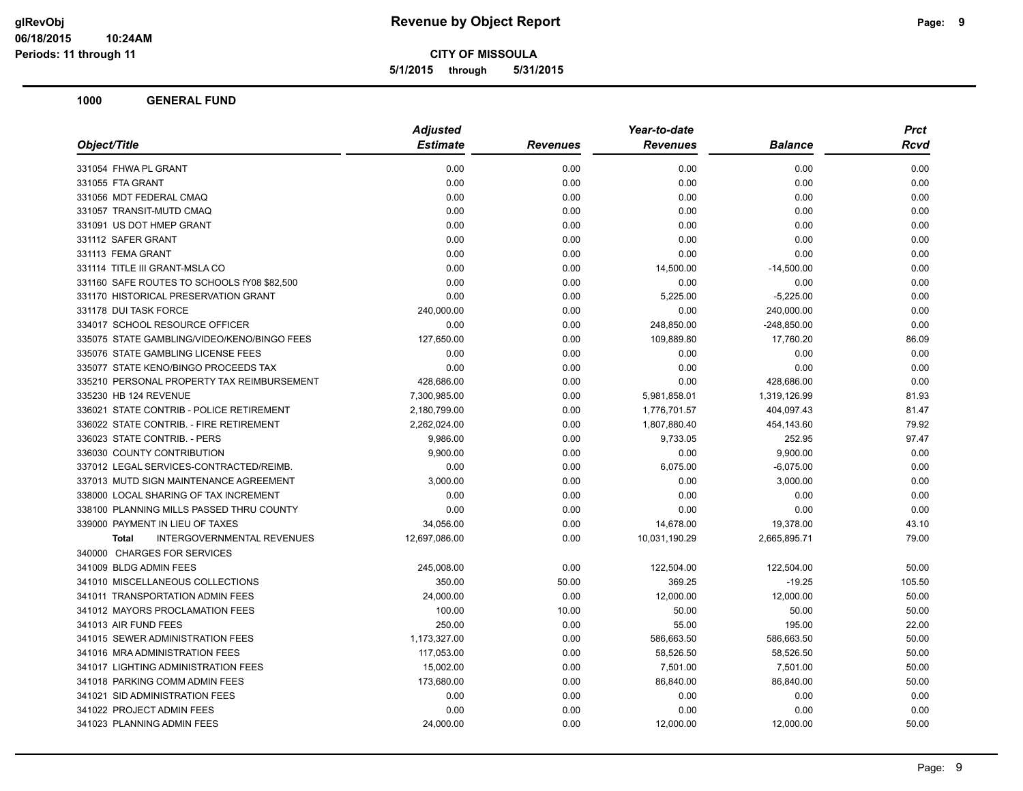**5/1/2015 through 5/31/2015**

|                                                   |                 | Year-to-date<br><b>Adjusted</b> |                 |                | Prct   |
|---------------------------------------------------|-----------------|---------------------------------|-----------------|----------------|--------|
| Object/Title                                      | <b>Estimate</b> | <b>Revenues</b>                 | <b>Revenues</b> | <b>Balance</b> | Rcvd   |
| 331054 FHWA PL GRANT                              | 0.00            | 0.00                            | 0.00            | 0.00           | 0.00   |
| 331055 FTA GRANT                                  | 0.00            | 0.00                            | 0.00            | 0.00           | 0.00   |
| 331056 MDT FEDERAL CMAQ                           | 0.00            | 0.00                            | 0.00            | 0.00           | 0.00   |
| 331057 TRANSIT-MUTD CMAQ                          | 0.00            | 0.00                            | 0.00            | 0.00           | 0.00   |
| 331091 US DOT HMEP GRANT                          | 0.00            | 0.00                            | 0.00            | 0.00           | 0.00   |
| 331112 SAFER GRANT                                | 0.00            | 0.00                            | 0.00            | 0.00           | 0.00   |
| 331113 FEMA GRANT                                 | 0.00            | 0.00                            | 0.00            | 0.00           | 0.00   |
| 331114 TITLE III GRANT-MSLA CO                    | 0.00            | 0.00                            | 14,500.00       | $-14,500.00$   | 0.00   |
| 331160 SAFE ROUTES TO SCHOOLS fY08 \$82,500       | 0.00            | 0.00                            | 0.00            | 0.00           | 0.00   |
| 331170 HISTORICAL PRESERVATION GRANT              | 0.00            | 0.00                            | 5,225.00        | $-5,225.00$    | 0.00   |
| 331178 DUI TASK FORCE                             | 240,000.00      | 0.00                            | 0.00            | 240,000.00     | 0.00   |
| 334017 SCHOOL RESOURCE OFFICER                    | 0.00            | 0.00                            | 248,850.00      | $-248,850.00$  | 0.00   |
| 335075 STATE GAMBLING/VIDEO/KENO/BINGO FEES       | 127,650.00      | 0.00                            | 109,889.80      | 17,760.20      | 86.09  |
| 335076 STATE GAMBLING LICENSE FEES                | 0.00            | 0.00                            | 0.00            | 0.00           | 0.00   |
| 335077 STATE KENO/BINGO PROCEEDS TAX              | 0.00            | 0.00                            | 0.00            | 0.00           | 0.00   |
| 335210 PERSONAL PROPERTY TAX REIMBURSEMENT        | 428,686.00      | 0.00                            | 0.00            | 428,686.00     | 0.00   |
| 335230 HB 124 REVENUE                             | 7,300,985.00    | 0.00                            | 5,981,858.01    | 1,319,126.99   | 81.93  |
| 336021 STATE CONTRIB - POLICE RETIREMENT          | 2,180,799.00    | 0.00                            | 1,776,701.57    | 404,097.43     | 81.47  |
| 336022 STATE CONTRIB. - FIRE RETIREMENT           | 2,262,024.00    | 0.00                            | 1,807,880.40    | 454,143.60     | 79.92  |
| 336023 STATE CONTRIB. - PERS                      | 9,986.00        | 0.00                            | 9,733.05        | 252.95         | 97.47  |
| 336030 COUNTY CONTRIBUTION                        | 9,900.00        | 0.00                            | 0.00            | 9,900.00       | 0.00   |
| 337012 LEGAL SERVICES-CONTRACTED/REIMB.           | 0.00            | 0.00                            | 6,075.00        | $-6,075.00$    | 0.00   |
| 337013 MUTD SIGN MAINTENANCE AGREEMENT            | 3,000.00        | 0.00                            | 0.00            | 3,000.00       | 0.00   |
| 338000 LOCAL SHARING OF TAX INCREMENT             | 0.00            | 0.00                            | 0.00            | 0.00           | 0.00   |
| 338100 PLANNING MILLS PASSED THRU COUNTY          | 0.00            | 0.00                            | 0.00            | 0.00           | 0.00   |
| 339000 PAYMENT IN LIEU OF TAXES                   | 34,056.00       | 0.00                            | 14,678.00       | 19,378.00      | 43.10  |
| <b>INTERGOVERNMENTAL REVENUES</b><br><b>Total</b> | 12,697,086.00   | 0.00                            | 10,031,190.29   | 2,665,895.71   | 79.00  |
| 340000 CHARGES FOR SERVICES                       |                 |                                 |                 |                |        |
| 341009 BLDG ADMIN FEES                            | 245,008.00      | 0.00                            | 122,504.00      | 122,504.00     | 50.00  |
| 341010 MISCELLANEOUS COLLECTIONS                  | 350.00          | 50.00                           | 369.25          | $-19.25$       | 105.50 |
| 341011 TRANSPORTATION ADMIN FEES                  | 24,000.00       | 0.00                            | 12,000.00       | 12,000.00      | 50.00  |
| 341012 MAYORS PROCLAMATION FEES                   | 100.00          | 10.00                           | 50.00           | 50.00          | 50.00  |
| 341013 AIR FUND FEES                              | 250.00          | 0.00                            | 55.00           | 195.00         | 22.00  |
| 341015 SEWER ADMINISTRATION FEES                  | 1,173,327.00    | 0.00                            | 586,663.50      | 586,663.50     | 50.00  |
| 341016 MRA ADMINISTRATION FEES                    | 117,053.00      | 0.00                            | 58,526.50       | 58,526.50      | 50.00  |
| 341017 LIGHTING ADMINISTRATION FEES               | 15,002.00       | 0.00                            | 7,501.00        | 7,501.00       | 50.00  |
| 341018 PARKING COMM ADMIN FEES                    | 173,680.00      | 0.00                            | 86,840.00       | 86,840.00      | 50.00  |
| 341021 SID ADMINISTRATION FEES                    | 0.00            | 0.00                            | 0.00            | 0.00           | 0.00   |
| 341022 PROJECT ADMIN FEES                         | 0.00            | 0.00                            | 0.00            | 0.00           | 0.00   |
| 341023 PLANNING ADMIN FEES                        | 24,000.00       | 0.00                            | 12,000.00       | 12,000.00      | 50.00  |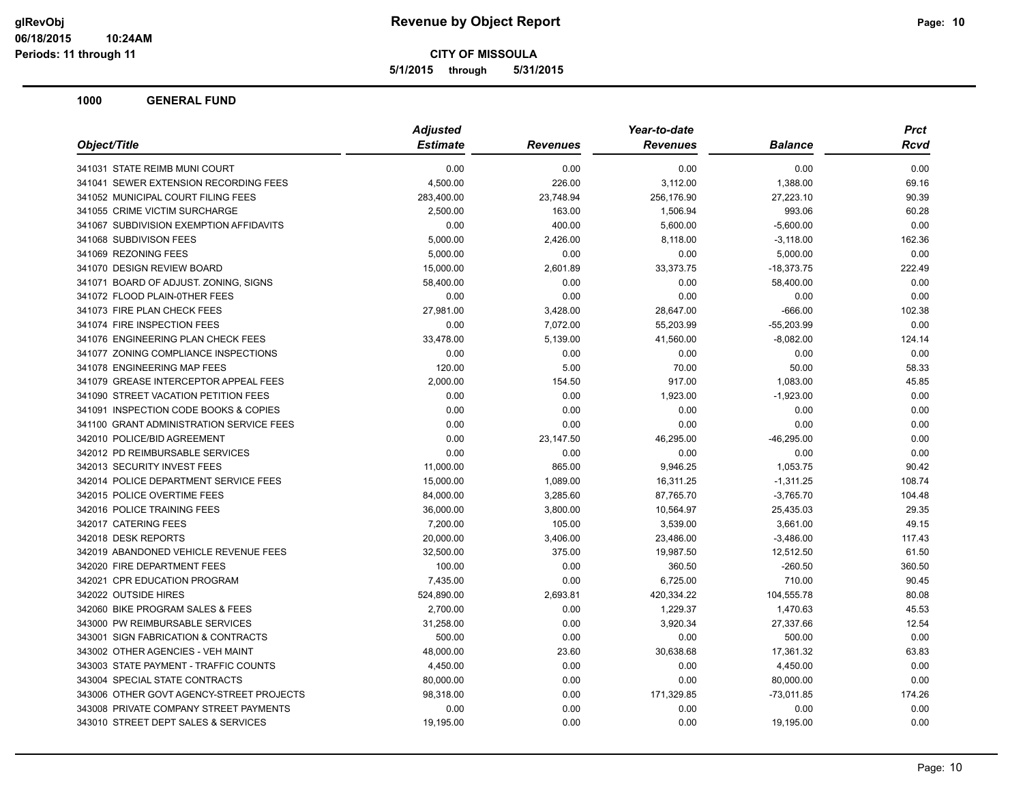**5/1/2015 through 5/31/2015**

| Object/Title                             | <b>Adjusted</b> |                 | Year-to-date    |                | <b>Prct</b> |
|------------------------------------------|-----------------|-----------------|-----------------|----------------|-------------|
|                                          | <b>Estimate</b> | <b>Revenues</b> | <b>Revenues</b> | <b>Balance</b> | Rcvd        |
| 341031 STATE REIMB MUNI COURT            | 0.00            | 0.00            | 0.00            | 0.00           | 0.00        |
| 341041 SEWER EXTENSION RECORDING FEES    | 4,500.00        | 226.00          | 3,112.00        | 1,388.00       | 69.16       |
| 341052 MUNICIPAL COURT FILING FEES       | 283,400.00      | 23,748.94       | 256,176.90      | 27,223.10      | 90.39       |
| 341055 CRIME VICTIM SURCHARGE            | 2,500.00        | 163.00          | 1,506.94        | 993.06         | 60.28       |
| 341067 SUBDIVISION EXEMPTION AFFIDAVITS  | 0.00            | 400.00          | 5,600.00        | $-5,600.00$    | 0.00        |
| 341068 SUBDIVISON FEES                   | 5,000.00        | 2,426.00        | 8,118.00        | $-3,118.00$    | 162.36      |
| 341069 REZONING FEES                     | 5,000.00        | 0.00            | 0.00            | 5,000.00       | 0.00        |
| 341070 DESIGN REVIEW BOARD               | 15,000.00       | 2,601.89        | 33,373.75       | $-18,373.75$   | 222.49      |
| 341071 BOARD OF ADJUST. ZONING, SIGNS    | 58,400.00       | 0.00            | 0.00            | 58,400.00      | 0.00        |
| 341072 FLOOD PLAIN-0THER FEES            | 0.00            | 0.00            | 0.00            | 0.00           | 0.00        |
| 341073 FIRE PLAN CHECK FEES              | 27,981.00       | 3,428.00        | 28,647.00       | $-666.00$      | 102.38      |
| 341074 FIRE INSPECTION FEES              | 0.00            | 7,072.00        | 55,203.99       | $-55,203.99$   | 0.00        |
| 341076 ENGINEERING PLAN CHECK FEES       | 33,478.00       | 5,139.00        | 41,560.00       | $-8,082.00$    | 124.14      |
| 341077 ZONING COMPLIANCE INSPECTIONS     | 0.00            | 0.00            | 0.00            | 0.00           | 0.00        |
| 341078 ENGINEERING MAP FEES              | 120.00          | 5.00            | 70.00           | 50.00          | 58.33       |
| 341079 GREASE INTERCEPTOR APPEAL FEES    | 2,000.00        | 154.50          | 917.00          | 1,083.00       | 45.85       |
| 341090 STREET VACATION PETITION FEES     | 0.00            | 0.00            | 1,923.00        | $-1,923.00$    | 0.00        |
| 341091 INSPECTION CODE BOOKS & COPIES    | 0.00            | 0.00            | 0.00            | 0.00           | 0.00        |
| 341100 GRANT ADMINISTRATION SERVICE FEES | 0.00            | 0.00            | 0.00            | 0.00           | 0.00        |
| 342010 POLICE/BID AGREEMENT              | 0.00            | 23,147.50       | 46,295.00       | $-46,295.00$   | 0.00        |
| 342012 PD REIMBURSABLE SERVICES          | 0.00            | 0.00            | 0.00            | 0.00           | 0.00        |
| 342013 SECURITY INVEST FEES              | 11,000.00       | 865.00          | 9,946.25        | 1,053.75       | 90.42       |
| 342014 POLICE DEPARTMENT SERVICE FEES    | 15,000.00       | 1,089.00        | 16,311.25       | $-1,311.25$    | 108.74      |
| 342015 POLICE OVERTIME FEES              | 84,000.00       | 3,285.60        | 87,765.70       | $-3,765.70$    | 104.48      |
| 342016 POLICE TRAINING FEES              | 36,000.00       | 3,800.00        | 10,564.97       | 25,435.03      | 29.35       |
| 342017 CATERING FEES                     | 7,200.00        | 105.00          | 3,539.00        | 3,661.00       | 49.15       |
| 342018 DESK REPORTS                      | 20,000.00       | 3,406.00        | 23,486.00       | $-3,486.00$    | 117.43      |
| 342019 ABANDONED VEHICLE REVENUE FEES    | 32,500.00       | 375.00          | 19,987.50       | 12,512.50      | 61.50       |
| 342020 FIRE DEPARTMENT FEES              | 100.00          | 0.00            | 360.50          | $-260.50$      | 360.50      |
| 342021 CPR EDUCATION PROGRAM             | 7,435.00        | 0.00            | 6,725.00        | 710.00         | 90.45       |
| 342022 OUTSIDE HIRES                     | 524,890.00      | 2,693.81        | 420,334.22      | 104,555.78     | 80.08       |
| 342060 BIKE PROGRAM SALES & FEES         | 2,700.00        | 0.00            | 1,229.37        | 1,470.63       | 45.53       |
| 343000 PW REIMBURSABLE SERVICES          | 31,258.00       | 0.00            | 3,920.34        | 27,337.66      | 12.54       |
| 343001 SIGN FABRICATION & CONTRACTS      | 500.00          | 0.00            | 0.00            | 500.00         | 0.00        |
| 343002 OTHER AGENCIES - VEH MAINT        | 48,000.00       | 23.60           | 30,638.68       | 17,361.32      | 63.83       |
| 343003 STATE PAYMENT - TRAFFIC COUNTS    | 4,450.00        | 0.00            | 0.00            | 4,450.00       | 0.00        |
| 343004 SPECIAL STATE CONTRACTS           | 80,000.00       | 0.00            | 0.00            | 80,000.00      | 0.00        |
| 343006 OTHER GOVT AGENCY-STREET PROJECTS | 98,318.00       | 0.00            | 171,329.85      | $-73,011.85$   | 174.26      |
| 343008 PRIVATE COMPANY STREET PAYMENTS   | 0.00            | 0.00            | 0.00            | 0.00           | 0.00        |
| 343010 STREET DEPT SALES & SERVICES      | 19,195.00       | 0.00            | 0.00            | 19,195.00      | 0.00        |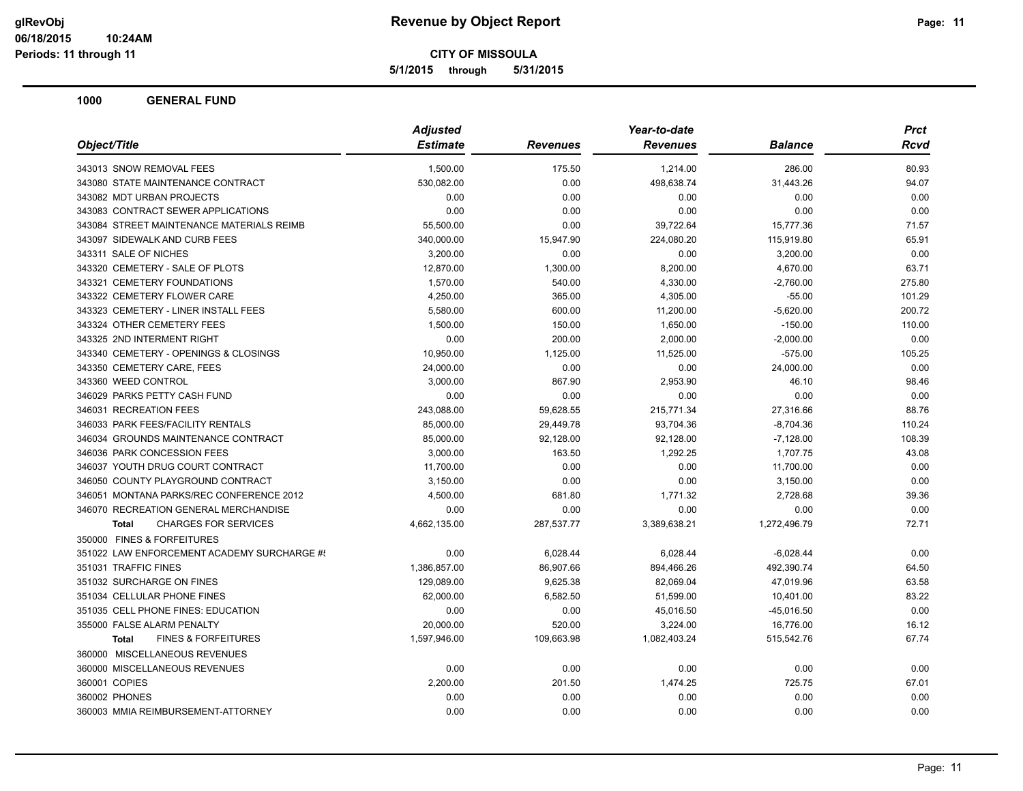**5/1/2015 through 5/31/2015**

|                                                | <b>Adjusted</b> |                 | Year-to-date    |                | Prct        |
|------------------------------------------------|-----------------|-----------------|-----------------|----------------|-------------|
| Object/Title                                   | <b>Estimate</b> | <b>Revenues</b> | <b>Revenues</b> | <b>Balance</b> | <b>Rcvd</b> |
| 343013 SNOW REMOVAL FEES                       | 1,500.00        | 175.50          | 1,214.00        | 286.00         | 80.93       |
| 343080 STATE MAINTENANCE CONTRACT              | 530,082.00      | 0.00            | 498,638.74      | 31,443.26      | 94.07       |
| 343082 MDT URBAN PROJECTS                      | 0.00            | 0.00            | 0.00            | 0.00           | 0.00        |
| 343083 CONTRACT SEWER APPLICATIONS             | 0.00            | 0.00            | 0.00            | 0.00           | 0.00        |
| 343084 STREET MAINTENANCE MATERIALS REIMB      | 55,500.00       | 0.00            | 39,722.64       | 15,777.36      | 71.57       |
| 343097 SIDEWALK AND CURB FEES                  | 340,000.00      | 15,947.90       | 224,080.20      | 115,919.80     | 65.91       |
| 343311 SALE OF NICHES                          | 3,200.00        | 0.00            | 0.00            | 3,200.00       | 0.00        |
| 343320 CEMETERY - SALE OF PLOTS                | 12,870.00       | 1,300.00        | 8,200.00        | 4,670.00       | 63.71       |
| 343321 CEMETERY FOUNDATIONS                    | 1,570.00        | 540.00          | 4,330.00        | $-2,760.00$    | 275.80      |
| 343322 CEMETERY FLOWER CARE                    | 4,250.00        | 365.00          | 4,305.00        | $-55.00$       | 101.29      |
| 343323 CEMETERY - LINER INSTALL FEES           | 5,580.00        | 600.00          | 11,200.00       | $-5,620.00$    | 200.72      |
| 343324 OTHER CEMETERY FEES                     | 1,500.00        | 150.00          | 1,650.00        | $-150.00$      | 110.00      |
| 343325 2ND INTERMENT RIGHT                     | 0.00            | 200.00          | 2,000.00        | $-2,000.00$    | 0.00        |
| 343340 CEMETERY - OPENINGS & CLOSINGS          | 10,950.00       | 1,125.00        | 11,525.00       | $-575.00$      | 105.25      |
| 343350 CEMETERY CARE, FEES                     | 24,000.00       | 0.00            | 0.00            | 24,000.00      | 0.00        |
| 343360 WEED CONTROL                            | 3,000.00        | 867.90          | 2,953.90        | 46.10          | 98.46       |
| 346029 PARKS PETTY CASH FUND                   | 0.00            | 0.00            | 0.00            | 0.00           | 0.00        |
| 346031 RECREATION FEES                         | 243,088.00      | 59,628.55       | 215,771.34      | 27,316.66      | 88.76       |
| 346033 PARK FEES/FACILITY RENTALS              | 85,000.00       | 29,449.78       | 93,704.36       | $-8,704.36$    | 110.24      |
| 346034 GROUNDS MAINTENANCE CONTRACT            | 85,000.00       | 92,128.00       | 92,128.00       | $-7,128.00$    | 108.39      |
| 346036 PARK CONCESSION FEES                    | 3,000.00        | 163.50          | 1,292.25        | 1,707.75       | 43.08       |
| 346037 YOUTH DRUG COURT CONTRACT               | 11,700.00       | 0.00            | 0.00            | 11,700.00      | 0.00        |
| 346050 COUNTY PLAYGROUND CONTRACT              | 3,150.00        | 0.00            | 0.00            | 3,150.00       | 0.00        |
| 346051 MONTANA PARKS/REC CONFERENCE 2012       | 4,500.00        | 681.80          | 1,771.32        | 2,728.68       | 39.36       |
| 346070 RECREATION GENERAL MERCHANDISE          | 0.00            | 0.00            | 0.00            | 0.00           | 0.00        |
| <b>CHARGES FOR SERVICES</b><br><b>Total</b>    | 4,662,135.00    | 287,537.77      | 3,389,638.21    | 1,272,496.79   | 72.71       |
| 350000 FINES & FORFEITURES                     |                 |                 |                 |                |             |
| 351022 LAW ENFORCEMENT ACADEMY SURCHARGE #!    | 0.00            | 6,028.44        | 6,028.44        | $-6.028.44$    | 0.00        |
| 351031 TRAFFIC FINES                           | 1,386,857.00    | 86,907.66       | 894,466.26      | 492,390.74     | 64.50       |
| 351032 SURCHARGE ON FINES                      | 129,089.00      | 9,625.38        | 82,069.04       | 47,019.96      | 63.58       |
| 351034 CELLULAR PHONE FINES                    | 62,000.00       | 6,582.50        | 51,599.00       | 10,401.00      | 83.22       |
| 351035 CELL PHONE FINES: EDUCATION             | 0.00            | 0.00            | 45,016.50       | $-45,016.50$   | 0.00        |
| 355000 FALSE ALARM PENALTY                     | 20,000.00       | 520.00          | 3,224.00        | 16,776.00      | 16.12       |
| <b>FINES &amp; FORFEITURES</b><br><b>Total</b> | 1,597,946.00    | 109,663.98      | 1,082,403.24    | 515,542.76     | 67.74       |
| 360000 MISCELLANEOUS REVENUES                  |                 |                 |                 |                |             |
| 360000 MISCELLANEOUS REVENUES                  | 0.00            | 0.00            | 0.00            | 0.00           | 0.00        |
| 360001 COPIES                                  | 2,200.00        | 201.50          | 1,474.25        | 725.75         | 67.01       |
| 360002 PHONES                                  | 0.00            | 0.00            | 0.00            | 0.00           | 0.00        |
| 360003 MMIA REIMBURSEMENT-ATTORNEY             | 0.00            | 0.00            | 0.00            | 0.00           | 0.00        |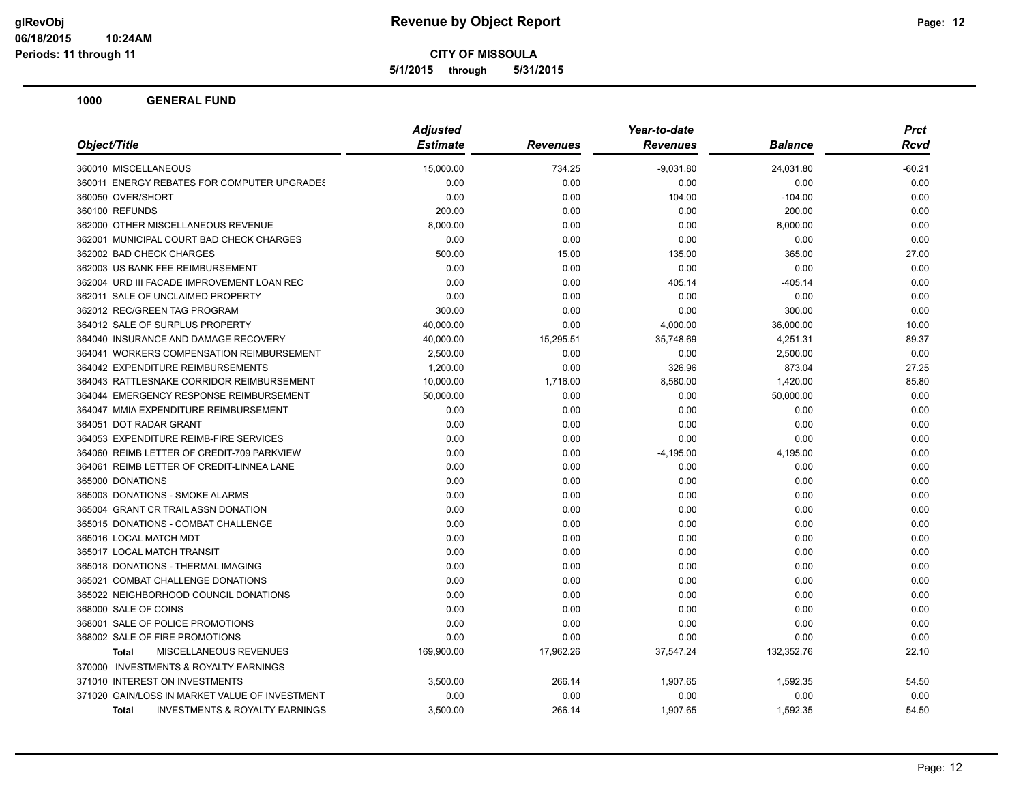**5/1/2015 through 5/31/2015**

|                                                           | <b>Adjusted</b> |                 | Year-to-date    |            | Prct        |
|-----------------------------------------------------------|-----------------|-----------------|-----------------|------------|-------------|
| Object/Title                                              | <b>Estimate</b> | <b>Revenues</b> | <b>Revenues</b> | Balance    | <b>Rcvd</b> |
| 360010 MISCELLANEOUS                                      | 15,000.00       | 734.25          | $-9,031.80$     | 24,031.80  | $-60.21$    |
| 360011 ENERGY REBATES FOR COMPUTER UPGRADES               | 0.00            | 0.00            | 0.00            | 0.00       | 0.00        |
| 360050 OVER/SHORT                                         | 0.00            | 0.00            | 104.00          | $-104.00$  | 0.00        |
| 360100 REFUNDS                                            | 200.00          | 0.00            | 0.00            | 200.00     | 0.00        |
| 362000 OTHER MISCELLANEOUS REVENUE                        | 8,000.00        | 0.00            | 0.00            | 8,000.00   | 0.00        |
| 362001 MUNICIPAL COURT BAD CHECK CHARGES                  | 0.00            | 0.00            | 0.00            | 0.00       | 0.00        |
| 362002 BAD CHECK CHARGES                                  | 500.00          | 15.00           | 135.00          | 365.00     | 27.00       |
| 362003 US BANK FEE REIMBURSEMENT                          | 0.00            | 0.00            | 0.00            | 0.00       | 0.00        |
| 362004 URD III FACADE IMPROVEMENT LOAN REC                | 0.00            | 0.00            | 405.14          | -405.14    | 0.00        |
| 362011 SALE OF UNCLAIMED PROPERTY                         | 0.00            | 0.00            | 0.00            | 0.00       | 0.00        |
| 362012 REC/GREEN TAG PROGRAM                              | 300.00          | 0.00            | 0.00            | 300.00     | 0.00        |
| 364012 SALE OF SURPLUS PROPERTY                           | 40,000.00       | 0.00            | 4,000.00        | 36,000.00  | 10.00       |
| 364040 INSURANCE AND DAMAGE RECOVERY                      | 40,000.00       | 15,295.51       | 35,748.69       | 4,251.31   | 89.37       |
| 364041 WORKERS COMPENSATION REIMBURSEMENT                 | 2,500.00        | 0.00            | 0.00            | 2,500.00   | 0.00        |
| 364042 EXPENDITURE REIMBURSEMENTS                         | 1,200.00        | 0.00            | 326.96          | 873.04     | 27.25       |
| 364043 RATTLESNAKE CORRIDOR REIMBURSEMENT                 | 10,000.00       | 1,716.00        | 8,580.00        | 1,420.00   | 85.80       |
| 364044 EMERGENCY RESPONSE REIMBURSEMENT                   | 50,000.00       | 0.00            | 0.00            | 50,000.00  | 0.00        |
| 364047 MMIA EXPENDITURE REIMBURSEMENT                     | 0.00            | 0.00            | 0.00            | 0.00       | 0.00        |
| 364051 DOT RADAR GRANT                                    | 0.00            | 0.00            | 0.00            | 0.00       | 0.00        |
| 364053 EXPENDITURE REIMB-FIRE SERVICES                    | 0.00            | 0.00            | 0.00            | 0.00       | 0.00        |
| 364060 REIMB LETTER OF CREDIT-709 PARKVIEW                | 0.00            | 0.00            | $-4,195.00$     | 4,195.00   | 0.00        |
| 364061 REIMB LETTER OF CREDIT-LINNEA LANE                 | 0.00            | 0.00            | 0.00            | 0.00       | 0.00        |
| 365000 DONATIONS                                          | 0.00            | 0.00            | 0.00            | 0.00       | 0.00        |
| 365003 DONATIONS - SMOKE ALARMS                           | 0.00            | 0.00            | 0.00            | 0.00       | 0.00        |
| 365004 GRANT CR TRAIL ASSN DONATION                       | 0.00            | 0.00            | 0.00            | 0.00       | 0.00        |
| 365015 DONATIONS - COMBAT CHALLENGE                       | 0.00            | 0.00            | 0.00            | 0.00       | 0.00        |
| 365016 LOCAL MATCH MDT                                    | 0.00            | 0.00            | 0.00            | 0.00       | 0.00        |
| 365017 LOCAL MATCH TRANSIT                                | 0.00            | 0.00            | 0.00            | 0.00       | 0.00        |
| 365018 DONATIONS - THERMAL IMAGING                        | 0.00            | 0.00            | 0.00            | 0.00       | 0.00        |
| 365021 COMBAT CHALLENGE DONATIONS                         | 0.00            | 0.00            | 0.00            | 0.00       | 0.00        |
| 365022 NEIGHBORHOOD COUNCIL DONATIONS                     | 0.00            | 0.00            | 0.00            | 0.00       | 0.00        |
| 368000 SALE OF COINS                                      | 0.00            | 0.00            | 0.00            | 0.00       | 0.00        |
| 368001 SALE OF POLICE PROMOTIONS                          | 0.00            | 0.00            | 0.00            | 0.00       | 0.00        |
| 368002 SALE OF FIRE PROMOTIONS                            | 0.00            | 0.00            | 0.00            | 0.00       | 0.00        |
| <b>MISCELLANEOUS REVENUES</b><br>Total                    | 169,900.00      | 17,962.26       | 37,547.24       | 132,352.76 | 22.10       |
| 370000 INVESTMENTS & ROYALTY EARNINGS                     |                 |                 |                 |            |             |
| 371010 INTEREST ON INVESTMENTS                            | 3,500.00        | 266.14          | 1,907.65        | 1,592.35   | 54.50       |
| 371020 GAIN/LOSS IN MARKET VALUE OF INVESTMENT            | 0.00            | 0.00            | 0.00            | 0.00       | 0.00        |
| <b>INVESTMENTS &amp; ROYALTY EARNINGS</b><br><b>Total</b> | 3,500.00        | 266.14          | 1,907.65        | 1,592.35   | 54.50       |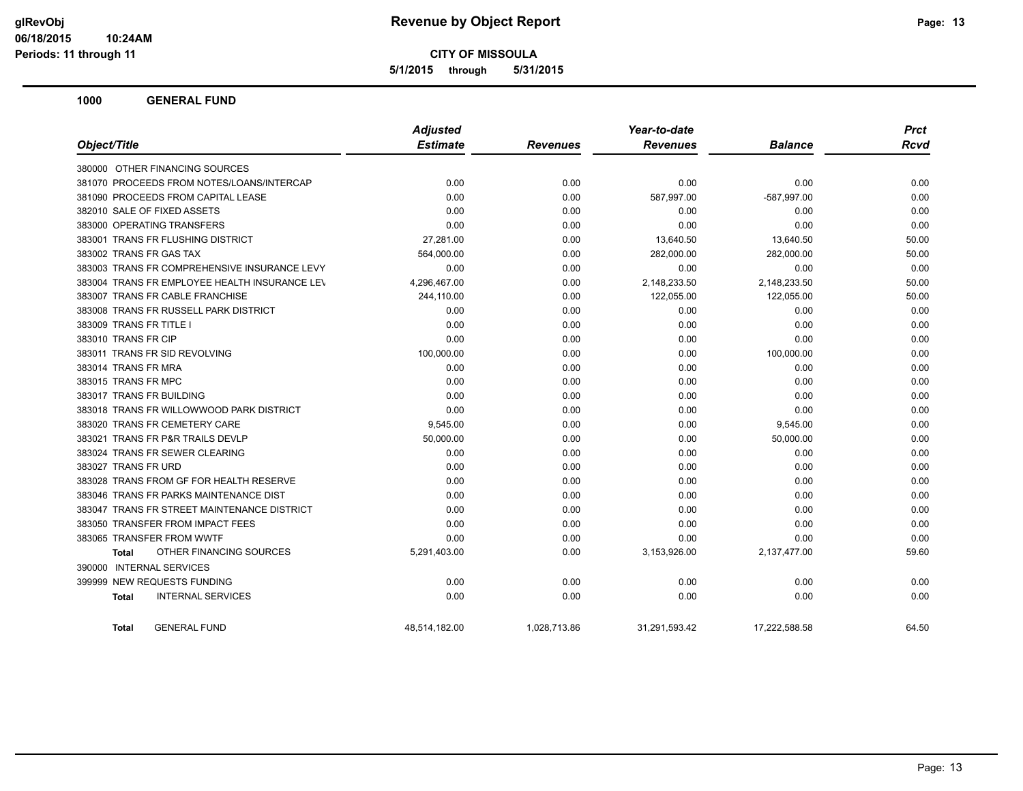**5/1/2015 through 5/31/2015**

|                                               | <b>Adjusted</b> |                 | Year-to-date    |                | <b>Prct</b> |
|-----------------------------------------------|-----------------|-----------------|-----------------|----------------|-------------|
| Object/Title                                  | <b>Estimate</b> | <b>Revenues</b> | <b>Revenues</b> | <b>Balance</b> | <b>Rcvd</b> |
| 380000 OTHER FINANCING SOURCES                |                 |                 |                 |                |             |
| 381070 PROCEEDS FROM NOTES/LOANS/INTERCAP     | 0.00            | 0.00            | 0.00            | 0.00           | 0.00        |
| 381090 PROCEEDS FROM CAPITAL LEASE            | 0.00            | 0.00            | 587,997.00      | -587,997.00    | 0.00        |
| 382010 SALE OF FIXED ASSETS                   | 0.00            | 0.00            | 0.00            | 0.00           | 0.00        |
| 383000 OPERATING TRANSFERS                    | 0.00            | 0.00            | 0.00            | 0.00           | 0.00        |
| 383001 TRANS FR FLUSHING DISTRICT             | 27,281.00       | 0.00            | 13,640.50       | 13,640.50      | 50.00       |
| 383002 TRANS FR GAS TAX                       | 564,000.00      | 0.00            | 282,000.00      | 282,000.00     | 50.00       |
| 383003 TRANS FR COMPREHENSIVE INSURANCE LEVY  | 0.00            | 0.00            | 0.00            | 0.00           | 0.00        |
| 383004 TRANS FR EMPLOYEE HEALTH INSURANCE LEV | 4,296,467.00    | 0.00            | 2,148,233.50    | 2,148,233.50   | 50.00       |
| 383007 TRANS FR CABLE FRANCHISE               | 244,110.00      | 0.00            | 122,055.00      | 122,055.00     | 50.00       |
| 383008 TRANS FR RUSSELL PARK DISTRICT         | 0.00            | 0.00            | 0.00            | 0.00           | 0.00        |
| 383009 TRANS FR TITLE I                       | 0.00            | 0.00            | 0.00            | 0.00           | 0.00        |
| 383010 TRANS FR CIP                           | 0.00            | 0.00            | 0.00            | 0.00           | 0.00        |
| 383011 TRANS FR SID REVOLVING                 | 100,000.00      | 0.00            | 0.00            | 100,000.00     | 0.00        |
| 383014 TRANS FR MRA                           | 0.00            | 0.00            | 0.00            | 0.00           | 0.00        |
| 383015 TRANS FR MPC                           | 0.00            | 0.00            | 0.00            | 0.00           | 0.00        |
| 383017 TRANS FR BUILDING                      | 0.00            | 0.00            | 0.00            | 0.00           | 0.00        |
| 383018 TRANS FR WILLOWWOOD PARK DISTRICT      | 0.00            | 0.00            | 0.00            | 0.00           | 0.00        |
| 383020 TRANS FR CEMETERY CARE                 | 9,545.00        | 0.00            | 0.00            | 9,545.00       | 0.00        |
| 383021 TRANS FR P&R TRAILS DEVLP              | 50,000.00       | 0.00            | 0.00            | 50,000.00      | 0.00        |
| 383024 TRANS FR SEWER CLEARING                | 0.00            | 0.00            | 0.00            | 0.00           | 0.00        |
| 383027 TRANS FR URD                           | 0.00            | 0.00            | 0.00            | 0.00           | 0.00        |
| 383028 TRANS FROM GF FOR HEALTH RESERVE       | 0.00            | 0.00            | 0.00            | 0.00           | 0.00        |
| 383046 TRANS FR PARKS MAINTENANCE DIST        | 0.00            | 0.00            | 0.00            | 0.00           | 0.00        |
| 383047 TRANS FR STREET MAINTENANCE DISTRICT   | 0.00            | 0.00            | 0.00            | 0.00           | 0.00        |
| 383050 TRANSFER FROM IMPACT FEES              | 0.00            | 0.00            | 0.00            | 0.00           | 0.00        |
| 383065 TRANSFER FROM WWTF                     | 0.00            | 0.00            | 0.00            | 0.00           | 0.00        |
| OTHER FINANCING SOURCES<br>Total              | 5,291,403.00    | 0.00            | 3,153,926.00    | 2,137,477.00   | 59.60       |
| 390000 INTERNAL SERVICES                      |                 |                 |                 |                |             |
| 399999 NEW REQUESTS FUNDING                   | 0.00            | 0.00            | 0.00            | 0.00           | 0.00        |
| <b>INTERNAL SERVICES</b><br>Total             | 0.00            | 0.00            | 0.00            | 0.00           | 0.00        |
| <b>GENERAL FUND</b><br><b>Total</b>           | 48.514.182.00   | 1.028.713.86    | 31,291,593.42   | 17.222.588.58  | 64.50       |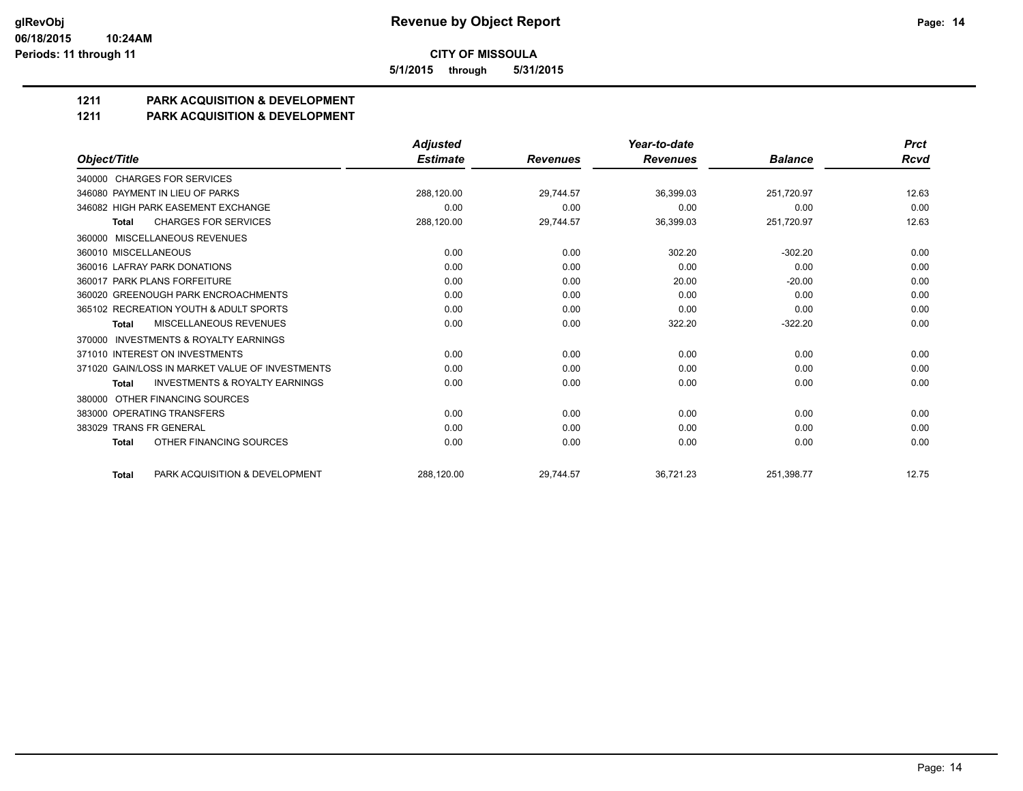**5/1/2015 through 5/31/2015**

### **1211 PARK ACQUISITION & DEVELOPMENT**

#### **1211 PARK ACQUISITION & DEVELOPMENT**

|                                                           | <b>Adjusted</b> |                 | Year-to-date    |                | <b>Prct</b> |
|-----------------------------------------------------------|-----------------|-----------------|-----------------|----------------|-------------|
| Object/Title                                              | <b>Estimate</b> | <b>Revenues</b> | <b>Revenues</b> | <b>Balance</b> | Rcvd        |
| 340000 CHARGES FOR SERVICES                               |                 |                 |                 |                |             |
| 346080 PAYMENT IN LIEU OF PARKS                           | 288,120.00      | 29.744.57       | 36,399.03       | 251,720.97     | 12.63       |
| 346082 HIGH PARK EASEMENT EXCHANGE                        | 0.00            | 0.00            | 0.00            | 0.00           | 0.00        |
| <b>CHARGES FOR SERVICES</b><br><b>Total</b>               | 288,120.00      | 29,744.57       | 36,399.03       | 251,720.97     | 12.63       |
| 360000 MISCELLANEOUS REVENUES                             |                 |                 |                 |                |             |
| 360010 MISCELLANEOUS                                      | 0.00            | 0.00            | 302.20          | $-302.20$      | 0.00        |
| 360016 LAFRAY PARK DONATIONS                              | 0.00            | 0.00            | 0.00            | 0.00           | 0.00        |
| 360017 PARK PLANS FORFEITURE                              | 0.00            | 0.00            | 20.00           | $-20.00$       | 0.00        |
| 360020 GREENOUGH PARK ENCROACHMENTS                       | 0.00            | 0.00            | 0.00            | 0.00           | 0.00        |
| 365102 RECREATION YOUTH & ADULT SPORTS                    | 0.00            | 0.00            | 0.00            | 0.00           | 0.00        |
| MISCELLANEOUS REVENUES<br>Total                           | 0.00            | 0.00            | 322.20          | $-322.20$      | 0.00        |
| <b>INVESTMENTS &amp; ROYALTY EARNINGS</b><br>370000       |                 |                 |                 |                |             |
| 371010 INTEREST ON INVESTMENTS                            | 0.00            | 0.00            | 0.00            | 0.00           | 0.00        |
| 371020 GAIN/LOSS IN MARKET VALUE OF INVESTMENTS           | 0.00            | 0.00            | 0.00            | 0.00           | 0.00        |
| <b>INVESTMENTS &amp; ROYALTY EARNINGS</b><br><b>Total</b> | 0.00            | 0.00            | 0.00            | 0.00           | 0.00        |
| OTHER FINANCING SOURCES<br>380000                         |                 |                 |                 |                |             |
| 383000 OPERATING TRANSFERS                                | 0.00            | 0.00            | 0.00            | 0.00           | 0.00        |
| 383029 TRANS FR GENERAL                                   | 0.00            | 0.00            | 0.00            | 0.00           | 0.00        |
| OTHER FINANCING SOURCES<br><b>Total</b>                   | 0.00            | 0.00            | 0.00            | 0.00           | 0.00        |
| PARK ACQUISITION & DEVELOPMENT<br><b>Total</b>            | 288.120.00      | 29.744.57       | 36,721.23       | 251.398.77     | 12.75       |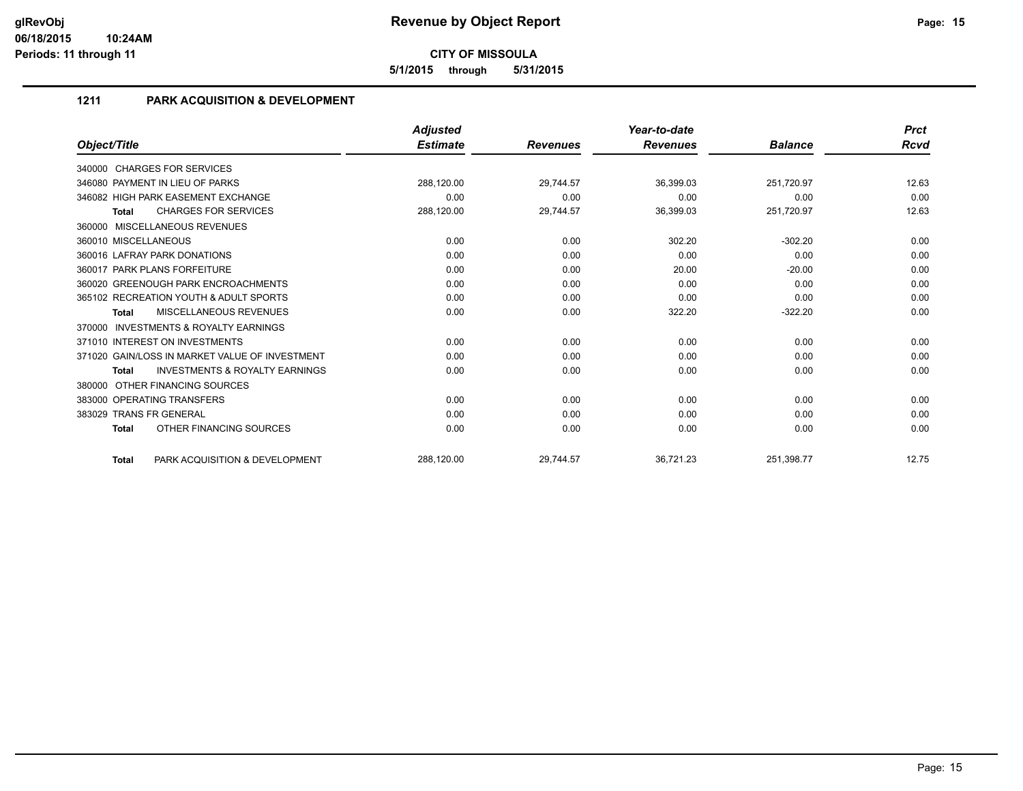**5/1/2015 through 5/31/2015**

#### **1211 PARK ACQUISITION & DEVELOPMENT**

|                                                           | <b>Adjusted</b> |                 | Year-to-date    |                | <b>Prct</b> |
|-----------------------------------------------------------|-----------------|-----------------|-----------------|----------------|-------------|
| Object/Title                                              | <b>Estimate</b> | <b>Revenues</b> | <b>Revenues</b> | <b>Balance</b> | Rcvd        |
| 340000 CHARGES FOR SERVICES                               |                 |                 |                 |                |             |
| 346080 PAYMENT IN LIEU OF PARKS                           | 288,120.00      | 29,744.57       | 36,399.03       | 251,720.97     | 12.63       |
| 346082 HIGH PARK EASEMENT EXCHANGE                        | 0.00            | 0.00            | 0.00            | 0.00           | 0.00        |
| <b>CHARGES FOR SERVICES</b><br><b>Total</b>               | 288,120.00      | 29,744.57       | 36,399.03       | 251,720.97     | 12.63       |
| MISCELLANEOUS REVENUES<br>360000                          |                 |                 |                 |                |             |
| 360010 MISCELLANEOUS                                      | 0.00            | 0.00            | 302.20          | $-302.20$      | 0.00        |
| 360016 LAFRAY PARK DONATIONS                              | 0.00            | 0.00            | 0.00            | 0.00           | 0.00        |
| 360017 PARK PLANS FORFEITURE                              | 0.00            | 0.00            | 20.00           | $-20.00$       | 0.00        |
| 360020 GREENOUGH PARK ENCROACHMENTS                       | 0.00            | 0.00            | 0.00            | 0.00           | 0.00        |
| 365102 RECREATION YOUTH & ADULT SPORTS                    | 0.00            | 0.00            | 0.00            | 0.00           | 0.00        |
| <b>MISCELLANEOUS REVENUES</b><br><b>Total</b>             | 0.00            | 0.00            | 322.20          | $-322.20$      | 0.00        |
| <b>INVESTMENTS &amp; ROYALTY EARNINGS</b><br>370000       |                 |                 |                 |                |             |
| 371010 INTEREST ON INVESTMENTS                            | 0.00            | 0.00            | 0.00            | 0.00           | 0.00        |
| 371020 GAIN/LOSS IN MARKET VALUE OF INVESTMENT            | 0.00            | 0.00            | 0.00            | 0.00           | 0.00        |
| <b>INVESTMENTS &amp; ROYALTY EARNINGS</b><br><b>Total</b> | 0.00            | 0.00            | 0.00            | 0.00           | 0.00        |
| OTHER FINANCING SOURCES<br>380000                         |                 |                 |                 |                |             |
| 383000 OPERATING TRANSFERS                                | 0.00            | 0.00            | 0.00            | 0.00           | 0.00        |
| 383029 TRANS FR GENERAL                                   | 0.00            | 0.00            | 0.00            | 0.00           | 0.00        |
| OTHER FINANCING SOURCES<br><b>Total</b>                   | 0.00            | 0.00            | 0.00            | 0.00           | 0.00        |
| PARK ACQUISITION & DEVELOPMENT<br><b>Total</b>            | 288,120.00      | 29,744.57       | 36,721.23       | 251,398.77     | 12.75       |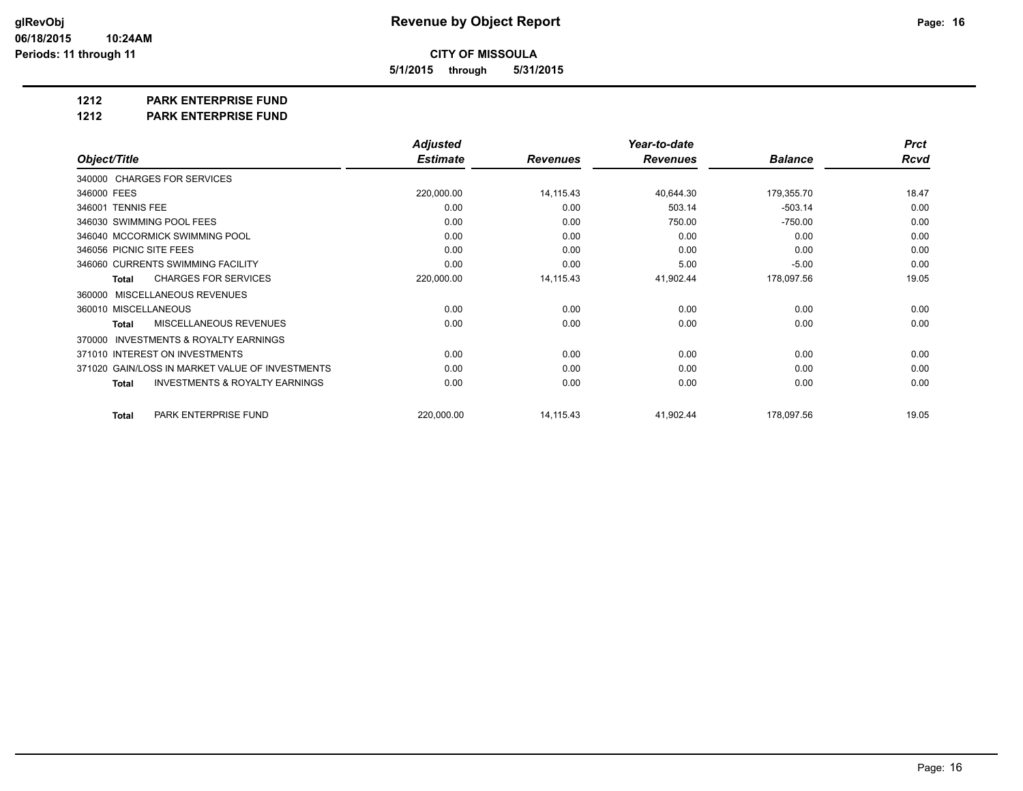**5/1/2015 through 5/31/2015**

**1212 PARK ENTERPRISE FUND**

**1212 PARK ENTERPRISE FUND**

|                                                           | <b>Adjusted</b> |                 | Year-to-date    |                | <b>Prct</b> |
|-----------------------------------------------------------|-----------------|-----------------|-----------------|----------------|-------------|
| Object/Title                                              | <b>Estimate</b> | <b>Revenues</b> | <b>Revenues</b> | <b>Balance</b> | <b>Rcvd</b> |
| 340000 CHARGES FOR SERVICES                               |                 |                 |                 |                |             |
| 346000 FEES                                               | 220,000.00      | 14,115.43       | 40,644.30       | 179,355.70     | 18.47       |
| 346001 TENNIS FEE                                         | 0.00            | 0.00            | 503.14          | $-503.14$      | 0.00        |
| 346030 SWIMMING POOL FEES                                 | 0.00            | 0.00            | 750.00          | $-750.00$      | 0.00        |
| 346040 MCCORMICK SWIMMING POOL                            | 0.00            | 0.00            | 0.00            | 0.00           | 0.00        |
| 346056 PICNIC SITE FEES                                   | 0.00            | 0.00            | 0.00            | 0.00           | 0.00        |
| 346060 CURRENTS SWIMMING FACILITY                         | 0.00            | 0.00            | 5.00            | $-5.00$        | 0.00        |
| <b>CHARGES FOR SERVICES</b><br><b>Total</b>               | 220,000.00      | 14,115.43       | 41,902.44       | 178,097.56     | 19.05       |
| MISCELLANEOUS REVENUES<br>360000                          |                 |                 |                 |                |             |
| 360010 MISCELLANEOUS                                      | 0.00            | 0.00            | 0.00            | 0.00           | 0.00        |
| <b>MISCELLANEOUS REVENUES</b><br><b>Total</b>             | 0.00            | 0.00            | 0.00            | 0.00           | 0.00        |
| <b>INVESTMENTS &amp; ROYALTY EARNINGS</b><br>370000       |                 |                 |                 |                |             |
| 371010 INTEREST ON INVESTMENTS                            | 0.00            | 0.00            | 0.00            | 0.00           | 0.00        |
| 371020 GAIN/LOSS IN MARKET VALUE OF INVESTMENTS           | 0.00            | 0.00            | 0.00            | 0.00           | 0.00        |
| <b>INVESTMENTS &amp; ROYALTY EARNINGS</b><br><b>Total</b> | 0.00            | 0.00            | 0.00            | 0.00           | 0.00        |
| PARK ENTERPRISE FUND<br><b>Total</b>                      | 220,000.00      | 14,115.43       | 41,902.44       | 178,097.56     | 19.05       |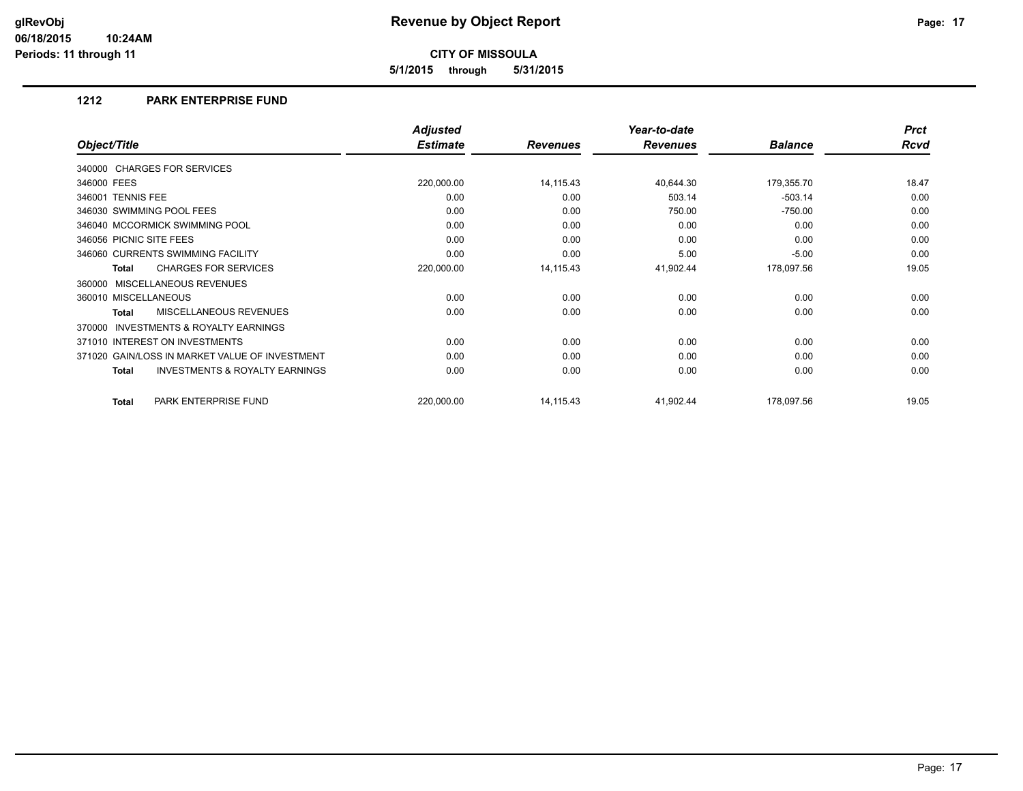**5/1/2015 through 5/31/2015**

#### **1212 PARK ENTERPRISE FUND**

|                                                           | <b>Adjusted</b> |                 | Year-to-date    |                | <b>Prct</b> |
|-----------------------------------------------------------|-----------------|-----------------|-----------------|----------------|-------------|
| Object/Title                                              | <b>Estimate</b> | <b>Revenues</b> | <b>Revenues</b> | <b>Balance</b> | <b>Rcvd</b> |
| 340000 CHARGES FOR SERVICES                               |                 |                 |                 |                |             |
| 346000 FEES                                               | 220,000.00      | 14,115.43       | 40,644.30       | 179,355.70     | 18.47       |
| 346001 TENNIS FEE                                         | 0.00            | 0.00            | 503.14          | $-503.14$      | 0.00        |
| 346030 SWIMMING POOL FEES                                 | 0.00            | 0.00            | 750.00          | $-750.00$      | 0.00        |
| 346040 MCCORMICK SWIMMING POOL                            | 0.00            | 0.00            | 0.00            | 0.00           | 0.00        |
| 346056 PICNIC SITE FEES                                   | 0.00            | 0.00            | 0.00            | 0.00           | 0.00        |
| 346060 CURRENTS SWIMMING FACILITY                         | 0.00            | 0.00            | 5.00            | $-5.00$        | 0.00        |
| <b>CHARGES FOR SERVICES</b><br><b>Total</b>               | 220,000.00      | 14,115.43       | 41,902.44       | 178,097.56     | 19.05       |
| 360000 MISCELLANEOUS REVENUES                             |                 |                 |                 |                |             |
| 360010 MISCELLANEOUS                                      | 0.00            | 0.00            | 0.00            | 0.00           | 0.00        |
| MISCELLANEOUS REVENUES<br><b>Total</b>                    | 0.00            | 0.00            | 0.00            | 0.00           | 0.00        |
| INVESTMENTS & ROYALTY EARNINGS<br>370000                  |                 |                 |                 |                |             |
| 371010 INTEREST ON INVESTMENTS                            | 0.00            | 0.00            | 0.00            | 0.00           | 0.00        |
| 371020 GAIN/LOSS IN MARKET VALUE OF INVESTMENT            | 0.00            | 0.00            | 0.00            | 0.00           | 0.00        |
| <b>INVESTMENTS &amp; ROYALTY EARNINGS</b><br><b>Total</b> | 0.00            | 0.00            | 0.00            | 0.00           | 0.00        |
| PARK ENTERPRISE FUND<br><b>Total</b>                      | 220,000.00      | 14,115.43       | 41,902.44       | 178,097.56     | 19.05       |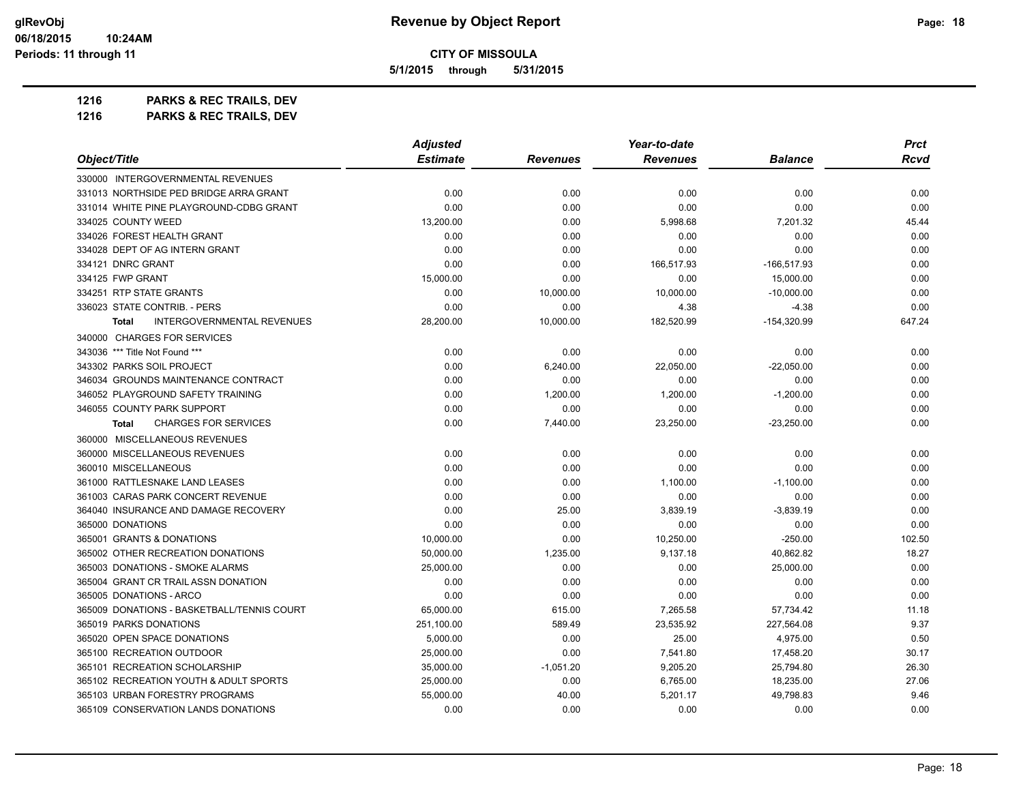**5/1/2015 through 5/31/2015**

**1216 PARKS & REC TRAILS, DEV**

|                                                   | <b>Adjusted</b> |                 | Year-to-date    | <b>Prct</b>    |             |
|---------------------------------------------------|-----------------|-----------------|-----------------|----------------|-------------|
| Object/Title                                      | <b>Estimate</b> | <b>Revenues</b> | <b>Revenues</b> | <b>Balance</b> | <b>Rcvd</b> |
| 330000 INTERGOVERNMENTAL REVENUES                 |                 |                 |                 |                |             |
| 331013 NORTHSIDE PED BRIDGE ARRA GRANT            | 0.00            | 0.00            | 0.00            | 0.00           | 0.00        |
| 331014 WHITE PINE PLAYGROUND-CDBG GRANT           | 0.00            | 0.00            | 0.00            | 0.00           | 0.00        |
| 334025 COUNTY WEED                                | 13,200.00       | 0.00            | 5,998.68        | 7,201.32       | 45.44       |
| 334026 FOREST HEALTH GRANT                        | 0.00            | 0.00            | 0.00            | 0.00           | 0.00        |
| 334028 DEPT OF AG INTERN GRANT                    | 0.00            | 0.00            | 0.00            | 0.00           | 0.00        |
| 334121 DNRC GRANT                                 | 0.00            | 0.00            | 166,517.93      | -166,517.93    | 0.00        |
| 334125 FWP GRANT                                  | 15,000.00       | 0.00            | 0.00            | 15,000.00      | 0.00        |
| 334251 RTP STATE GRANTS                           | 0.00            | 10,000.00       | 10,000.00       | $-10,000.00$   | 0.00        |
| 336023 STATE CONTRIB. - PERS                      | 0.00            | 0.00            | 4.38            | $-4.38$        | 0.00        |
| <b>INTERGOVERNMENTAL REVENUES</b><br><b>Total</b> | 28,200.00       | 10,000.00       | 182,520.99      | -154,320.99    | 647.24      |
| 340000 CHARGES FOR SERVICES                       |                 |                 |                 |                |             |
| 343036 *** Title Not Found ***                    | 0.00            | 0.00            | 0.00            | 0.00           | 0.00        |
| 343302 PARKS SOIL PROJECT                         | 0.00            | 6,240.00        | 22,050.00       | $-22,050.00$   | 0.00        |
| 346034 GROUNDS MAINTENANCE CONTRACT               | 0.00            | 0.00            | 0.00            | 0.00           | 0.00        |
| 346052 PLAYGROUND SAFETY TRAINING                 | 0.00            | 1,200.00        | 1,200.00        | $-1,200.00$    | 0.00        |
| 346055 COUNTY PARK SUPPORT                        | 0.00            | 0.00            | 0.00            | 0.00           | 0.00        |
| <b>CHARGES FOR SERVICES</b><br>Total              | 0.00            | 7,440.00        | 23,250.00       | $-23,250.00$   | 0.00        |
| 360000 MISCELLANEOUS REVENUES                     |                 |                 |                 |                |             |
| 360000 MISCELLANEOUS REVENUES                     | 0.00            | 0.00            | 0.00            | 0.00           | 0.00        |
| 360010 MISCELLANEOUS                              | 0.00            | 0.00            | 0.00            | 0.00           | 0.00        |
| 361000 RATTLESNAKE LAND LEASES                    | 0.00            | 0.00            | 1,100.00        | $-1,100.00$    | 0.00        |
| 361003 CARAS PARK CONCERT REVENUE                 | 0.00            | 0.00            | 0.00            | 0.00           | 0.00        |
| 364040 INSURANCE AND DAMAGE RECOVERY              | 0.00            | 25.00           | 3,839.19        | $-3,839.19$    | 0.00        |
| 365000 DONATIONS                                  | 0.00            | 0.00            | 0.00            | 0.00           | 0.00        |
| 365001 GRANTS & DONATIONS                         | 10,000.00       | 0.00            | 10,250.00       | $-250.00$      | 102.50      |
| 365002 OTHER RECREATION DONATIONS                 | 50,000.00       | 1,235.00        | 9,137.18        | 40,862.82      | 18.27       |
| 365003 DONATIONS - SMOKE ALARMS                   | 25,000.00       | 0.00            | 0.00            | 25,000.00      | 0.00        |
| 365004 GRANT CR TRAIL ASSN DONATION               | 0.00            | 0.00            | 0.00            | 0.00           | 0.00        |
| 365005 DONATIONS - ARCO                           | 0.00            | 0.00            | 0.00            | 0.00           | 0.00        |
| 365009 DONATIONS - BASKETBALL/TENNIS COURT        | 65.000.00       | 615.00          | 7,265.58        | 57,734.42      | 11.18       |
| 365019 PARKS DONATIONS                            | 251,100.00      | 589.49          | 23,535.92       | 227,564.08     | 9.37        |
| 365020 OPEN SPACE DONATIONS                       | 5,000.00        | 0.00            | 25.00           | 4,975.00       | 0.50        |
| 365100 RECREATION OUTDOOR                         | 25,000.00       | 0.00            | 7,541.80        | 17,458.20      | 30.17       |
| 365101 RECREATION SCHOLARSHIP                     | 35,000.00       | $-1,051.20$     | 9,205.20        | 25,794.80      | 26.30       |
| 365102 RECREATION YOUTH & ADULT SPORTS            | 25,000.00       | 0.00            | 6,765.00        | 18,235.00      | 27.06       |
| 365103 URBAN FORESTRY PROGRAMS                    | 55,000.00       | 40.00           | 5,201.17        | 49,798.83      | 9.46        |
| 365109 CONSERVATION LANDS DONATIONS               | 0.00            | 0.00            | 0.00            | 0.00           | 0.00        |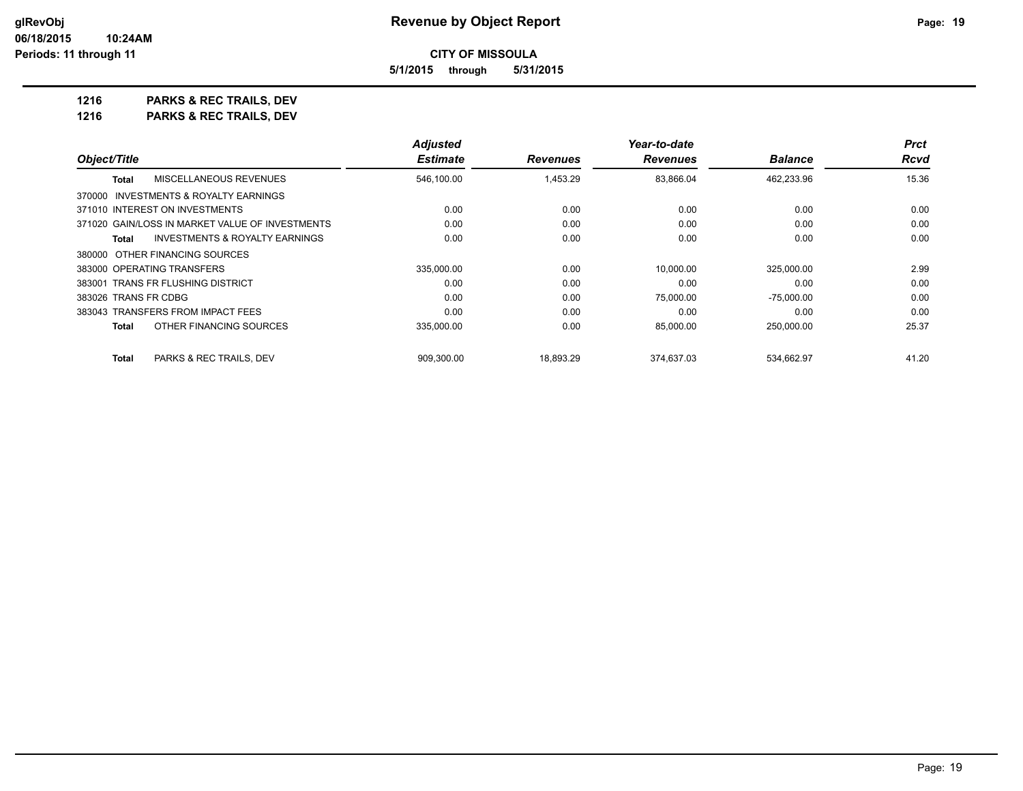**CITY OF MISSOULA 5/1/2015 through 5/31/2015**

**1216 PARKS & REC TRAILS, DEV**

|                                                 | <b>Adjusted</b> |                 | Year-to-date    |                | <b>Prct</b> |
|-------------------------------------------------|-----------------|-----------------|-----------------|----------------|-------------|
| Object/Title                                    | <b>Estimate</b> | <b>Revenues</b> | <b>Revenues</b> | <b>Balance</b> | Rcvd        |
| MISCELLANEOUS REVENUES<br><b>Total</b>          | 546,100.00      | 1,453.29        | 83,866.04       | 462,233.96     | 15.36       |
| INVESTMENTS & ROYALTY EARNINGS<br>370000        |                 |                 |                 |                |             |
| 371010 INTEREST ON INVESTMENTS                  | 0.00            | 0.00            | 0.00            | 0.00           | 0.00        |
| 371020 GAIN/LOSS IN MARKET VALUE OF INVESTMENTS | 0.00            | 0.00            | 0.00            | 0.00           | 0.00        |
| INVESTMENTS & ROYALTY EARNINGS<br>Total         | 0.00            | 0.00            | 0.00            | 0.00           | 0.00        |
| 380000 OTHER FINANCING SOURCES                  |                 |                 |                 |                |             |
| 383000 OPERATING TRANSFERS                      | 335.000.00      | 0.00            | 10.000.00       | 325.000.00     | 2.99        |
| 383001 TRANS FR FLUSHING DISTRICT               | 0.00            | 0.00            | 0.00            | 0.00           | 0.00        |
| 383026 TRANS FR CDBG                            | 0.00            | 0.00            | 75,000.00       | -75.000.00     | 0.00        |
| 383043 TRANSFERS FROM IMPACT FEES               | 0.00            | 0.00            | 0.00            | 0.00           | 0.00        |
| OTHER FINANCING SOURCES<br><b>Total</b>         | 335,000.00      | 0.00            | 85,000.00       | 250,000.00     | 25.37       |
| <b>Total</b><br>PARKS & REC TRAILS. DEV         | 909.300.00      | 18.893.29       | 374.637.03      | 534.662.97     | 41.20       |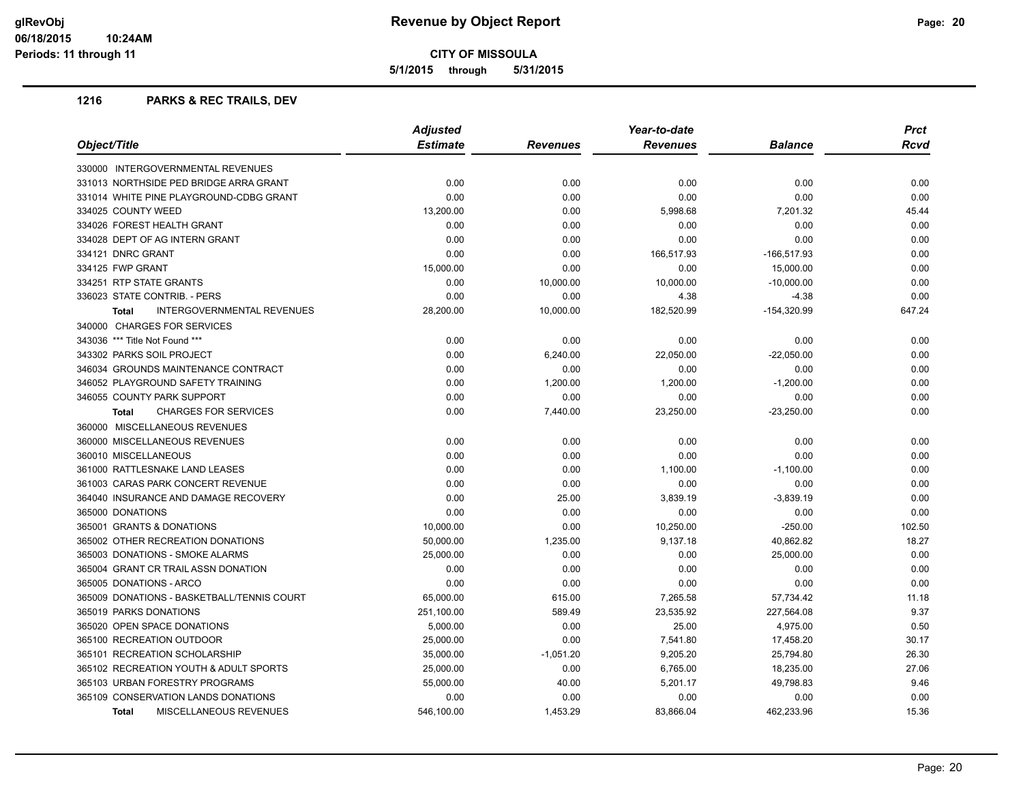**5/1/2015 through 5/31/2015**

|                                                   | <b>Adjusted</b> |             | Year-to-date    |                |             |
|---------------------------------------------------|-----------------|-------------|-----------------|----------------|-------------|
| Object/Title                                      | <b>Estimate</b> | Revenues    | <b>Revenues</b> | <b>Balance</b> | <b>Rcvd</b> |
| 330000 INTERGOVERNMENTAL REVENUES                 |                 |             |                 |                |             |
| 331013 NORTHSIDE PED BRIDGE ARRA GRANT            | 0.00            | 0.00        | 0.00            | 0.00           | 0.00        |
| 331014 WHITE PINE PLAYGROUND-CDBG GRANT           | 0.00            | 0.00        | 0.00            | 0.00           | 0.00        |
| 334025 COUNTY WEED                                | 13,200.00       | 0.00        | 5,998.68        | 7,201.32       | 45.44       |
| 334026 FOREST HEALTH GRANT                        | 0.00            | 0.00        | 0.00            | 0.00           | 0.00        |
| 334028 DEPT OF AG INTERN GRANT                    | 0.00            | 0.00        | 0.00            | 0.00           | 0.00        |
| 334121 DNRC GRANT                                 | 0.00            | 0.00        | 166,517.93      | $-166,517.93$  | 0.00        |
| 334125 FWP GRANT                                  | 15,000.00       | 0.00        | 0.00            | 15,000.00      | 0.00        |
| 334251 RTP STATE GRANTS                           | 0.00            | 10,000.00   | 10,000.00       | $-10,000.00$   | 0.00        |
| 336023 STATE CONTRIB. - PERS                      | 0.00            | 0.00        | 4.38            | $-4.38$        | 0.00        |
| <b>INTERGOVERNMENTAL REVENUES</b><br><b>Total</b> | 28,200.00       | 10,000.00   | 182,520.99      | $-154,320.99$  | 647.24      |
| 340000 CHARGES FOR SERVICES                       |                 |             |                 |                |             |
| 343036 *** Title Not Found ***                    | 0.00            | 0.00        | 0.00            | 0.00           | 0.00        |
| 343302 PARKS SOIL PROJECT                         | 0.00            | 6,240.00    | 22,050.00       | $-22,050.00$   | 0.00        |
| 346034 GROUNDS MAINTENANCE CONTRACT               | 0.00            | 0.00        | 0.00            | 0.00           | 0.00        |
| 346052 PLAYGROUND SAFETY TRAINING                 | 0.00            | 1,200.00    | 1,200.00        | $-1,200.00$    | 0.00        |
| 346055 COUNTY PARK SUPPORT                        | 0.00            | 0.00        | 0.00            | 0.00           | 0.00        |
| <b>CHARGES FOR SERVICES</b><br><b>Total</b>       | 0.00            | 7,440.00    | 23,250.00       | $-23,250.00$   | 0.00        |
| 360000 MISCELLANEOUS REVENUES                     |                 |             |                 |                |             |
| 360000 MISCELLANEOUS REVENUES                     | 0.00            | 0.00        | 0.00            | 0.00           | 0.00        |
| 360010 MISCELLANEOUS                              | 0.00            | 0.00        | 0.00            | 0.00           | 0.00        |
| 361000 RATTLESNAKE LAND LEASES                    | 0.00            | 0.00        | 1,100.00        | $-1,100.00$    | 0.00        |
| 361003 CARAS PARK CONCERT REVENUE                 | 0.00            | 0.00        | 0.00            | 0.00           | 0.00        |
| 364040 INSURANCE AND DAMAGE RECOVERY              | 0.00            | 25.00       | 3,839.19        | $-3,839.19$    | 0.00        |
| 365000 DONATIONS                                  | 0.00            | 0.00        | 0.00            | 0.00           | 0.00        |
| 365001 GRANTS & DONATIONS                         | 10,000.00       | 0.00        | 10,250.00       | $-250.00$      | 102.50      |
| 365002 OTHER RECREATION DONATIONS                 | 50,000.00       | 1,235.00    | 9,137.18        | 40,862.82      | 18.27       |
| 365003 DONATIONS - SMOKE ALARMS                   | 25,000.00       | 0.00        | 0.00            | 25,000.00      | 0.00        |
| 365004 GRANT CR TRAIL ASSN DONATION               | 0.00            | 0.00        | 0.00            | 0.00           | 0.00        |
| 365005 DONATIONS - ARCO                           | 0.00            | 0.00        | 0.00            | 0.00           | 0.00        |
| 365009 DONATIONS - BASKETBALL/TENNIS COURT        | 65,000.00       | 615.00      | 7,265.58        | 57,734.42      | 11.18       |
| 365019 PARKS DONATIONS                            | 251,100.00      | 589.49      | 23,535.92       | 227,564.08     | 9.37        |
| 365020 OPEN SPACE DONATIONS                       | 5,000.00        | 0.00        | 25.00           | 4,975.00       | 0.50        |
| 365100 RECREATION OUTDOOR                         | 25,000.00       | 0.00        | 7,541.80        | 17,458.20      | 30.17       |
| 365101 RECREATION SCHOLARSHIP                     | 35,000.00       | $-1,051.20$ | 9,205.20        | 25,794.80      | 26.30       |
| 365102 RECREATION YOUTH & ADULT SPORTS            | 25,000.00       | 0.00        | 6,765.00        | 18,235.00      | 27.06       |
| 365103 URBAN FORESTRY PROGRAMS                    | 55,000.00       | 40.00       | 5,201.17        | 49,798.83      | 9.46        |
| 365109 CONSERVATION LANDS DONATIONS               | 0.00            | 0.00        | 0.00            | 0.00           | 0.00        |
| MISCELLANEOUS REVENUES<br><b>Total</b>            | 546.100.00      | 1,453.29    | 83.866.04       | 462.233.96     | 15.36       |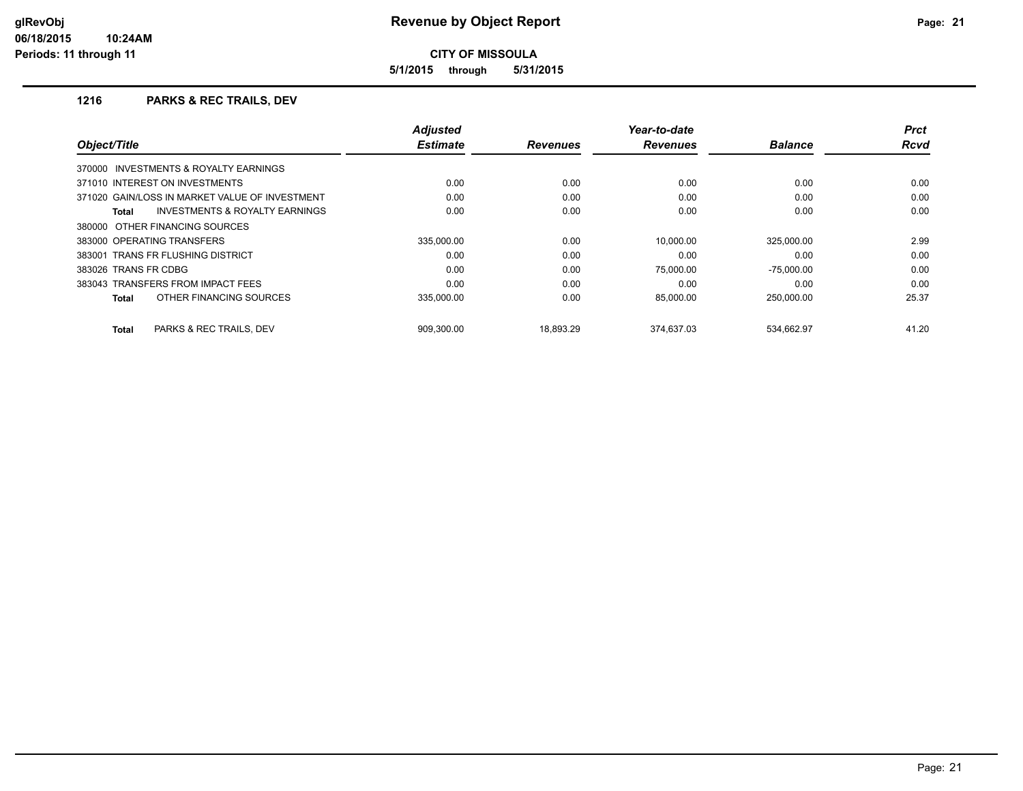**5/1/2015 through 5/31/2015**

|                                                    | <b>Adjusted</b> |                 | Year-to-date    |                | <b>Prct</b> |
|----------------------------------------------------|-----------------|-----------------|-----------------|----------------|-------------|
| Object/Title                                       | <b>Estimate</b> | <b>Revenues</b> | <b>Revenues</b> | <b>Balance</b> | <b>Rcvd</b> |
| 370000 INVESTMENTS & ROYALTY EARNINGS              |                 |                 |                 |                |             |
| 371010 INTEREST ON INVESTMENTS                     | 0.00            | 0.00            | 0.00            | 0.00           | 0.00        |
| 371020 GAIN/LOSS IN MARKET VALUE OF INVESTMENT     | 0.00            | 0.00            | 0.00            | 0.00           | 0.00        |
| <b>INVESTMENTS &amp; ROYALTY EARNINGS</b><br>Total | 0.00            | 0.00            | 0.00            | 0.00           | 0.00        |
| 380000 OTHER FINANCING SOURCES                     |                 |                 |                 |                |             |
| 383000 OPERATING TRANSFERS                         | 335.000.00      | 0.00            | 10.000.00       | 325.000.00     | 2.99        |
| 383001 TRANS FR FLUSHING DISTRICT                  | 0.00            | 0.00            | 0.00            | 0.00           | 0.00        |
| 383026 TRANS FR CDBG                               | 0.00            | 0.00            | 75.000.00       | $-75,000.00$   | 0.00        |
| 383043 TRANSFERS FROM IMPACT FEES                  | 0.00            | 0.00            | 0.00            | 0.00           | 0.00        |
| OTHER FINANCING SOURCES<br>Total                   | 335,000.00      | 0.00            | 85,000.00       | 250,000.00     | 25.37       |
| PARKS & REC TRAILS, DEV<br>Total                   | 909.300.00      | 18.893.29       | 374.637.03      | 534.662.97     | 41.20       |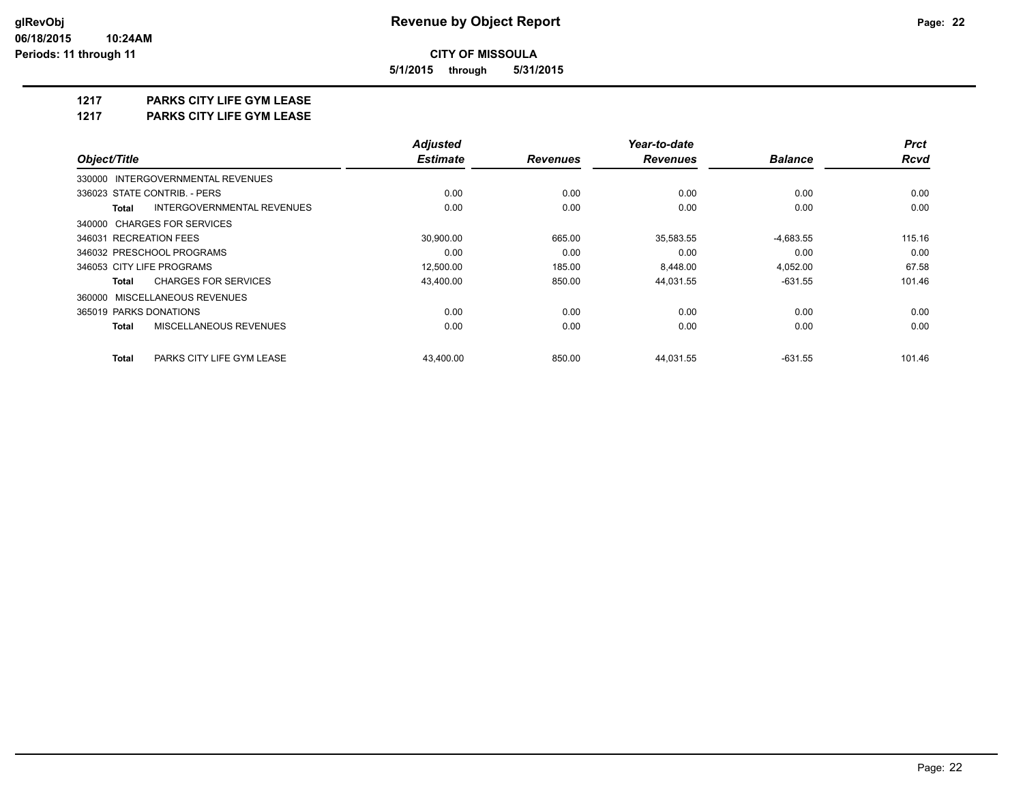**5/1/2015 through 5/31/2015**

#### **1217 PARKS CITY LIFE GYM LEASE**

**1217 PARKS CITY LIFE GYM LEASE**

|                                            | <b>Adjusted</b> |                 | Year-to-date    |                | <b>Prct</b> |
|--------------------------------------------|-----------------|-----------------|-----------------|----------------|-------------|
| Object/Title                               | <b>Estimate</b> | <b>Revenues</b> | <b>Revenues</b> | <b>Balance</b> | <b>Rcvd</b> |
| 330000 INTERGOVERNMENTAL REVENUES          |                 |                 |                 |                |             |
| 336023 STATE CONTRIB. - PERS               | 0.00            | 0.00            | 0.00            | 0.00           | 0.00        |
| INTERGOVERNMENTAL REVENUES<br><b>Total</b> | 0.00            | 0.00            | 0.00            | 0.00           | 0.00        |
| 340000 CHARGES FOR SERVICES                |                 |                 |                 |                |             |
| 346031 RECREATION FEES                     | 30,900.00       | 665.00          | 35,583.55       | $-4,683.55$    | 115.16      |
| 346032 PRESCHOOL PROGRAMS                  | 0.00            | 0.00            | 0.00            | 0.00           | 0.00        |
| 346053 CITY LIFE PROGRAMS                  | 12,500.00       | 185.00          | 8,448.00        | 4,052.00       | 67.58       |
| <b>CHARGES FOR SERVICES</b><br>Total       | 43,400.00       | 850.00          | 44,031.55       | $-631.55$      | 101.46      |
| 360000 MISCELLANEOUS REVENUES              |                 |                 |                 |                |             |
| 365019 PARKS DONATIONS                     | 0.00            | 0.00            | 0.00            | 0.00           | 0.00        |
| MISCELLANEOUS REVENUES<br><b>Total</b>     | 0.00            | 0.00            | 0.00            | 0.00           | 0.00        |
| <b>Total</b><br>PARKS CITY LIFE GYM LEASE  | 43.400.00       | 850.00          | 44,031.55       | $-631.55$      | 101.46      |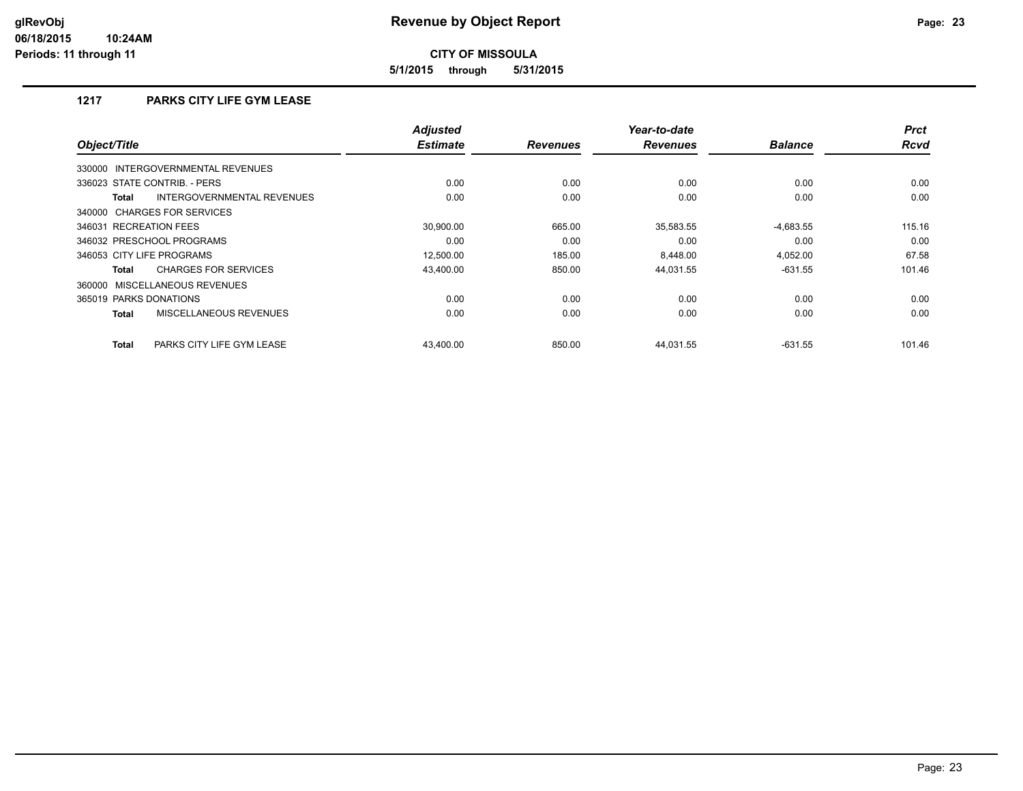**5/1/2015 through 5/31/2015**

#### **1217 PARKS CITY LIFE GYM LEASE**

| Object/Title                                  | <b>Adjusted</b><br><b>Estimate</b> | <b>Revenues</b> | Year-to-date<br><b>Revenues</b> | <b>Balance</b> | <b>Prct</b><br><b>Rcvd</b> |
|-----------------------------------------------|------------------------------------|-----------------|---------------------------------|----------------|----------------------------|
| INTERGOVERNMENTAL REVENUES<br>330000          |                                    |                 |                                 |                |                            |
| 336023 STATE CONTRIB. - PERS                  | 0.00                               | 0.00            | 0.00                            | 0.00           | 0.00                       |
| INTERGOVERNMENTAL REVENUES<br>Total           | 0.00                               | 0.00            | 0.00                            | 0.00           | 0.00                       |
| 340000 CHARGES FOR SERVICES                   |                                    |                 |                                 |                |                            |
| 346031 RECREATION FEES                        | 30.900.00                          | 665.00          | 35,583.55                       | $-4,683.55$    | 115.16                     |
| 346032 PRESCHOOL PROGRAMS                     | 0.00                               | 0.00            | 0.00                            | 0.00           | 0.00                       |
| 346053 CITY LIFE PROGRAMS                     | 12,500.00                          | 185.00          | 8.448.00                        | 4.052.00       | 67.58                      |
| <b>CHARGES FOR SERVICES</b><br>Total          | 43.400.00                          | 850.00          | 44,031.55                       | $-631.55$      | 101.46                     |
| 360000 MISCELLANEOUS REVENUES                 |                                    |                 |                                 |                |                            |
| 365019 PARKS DONATIONS                        | 0.00                               | 0.00            | 0.00                            | 0.00           | 0.00                       |
| <b>MISCELLANEOUS REVENUES</b><br><b>Total</b> | 0.00                               | 0.00            | 0.00                            | 0.00           | 0.00                       |
| <b>Total</b><br>PARKS CITY LIFE GYM LEASE     | 43.400.00                          | 850.00          | 44.031.55                       | $-631.55$      | 101.46                     |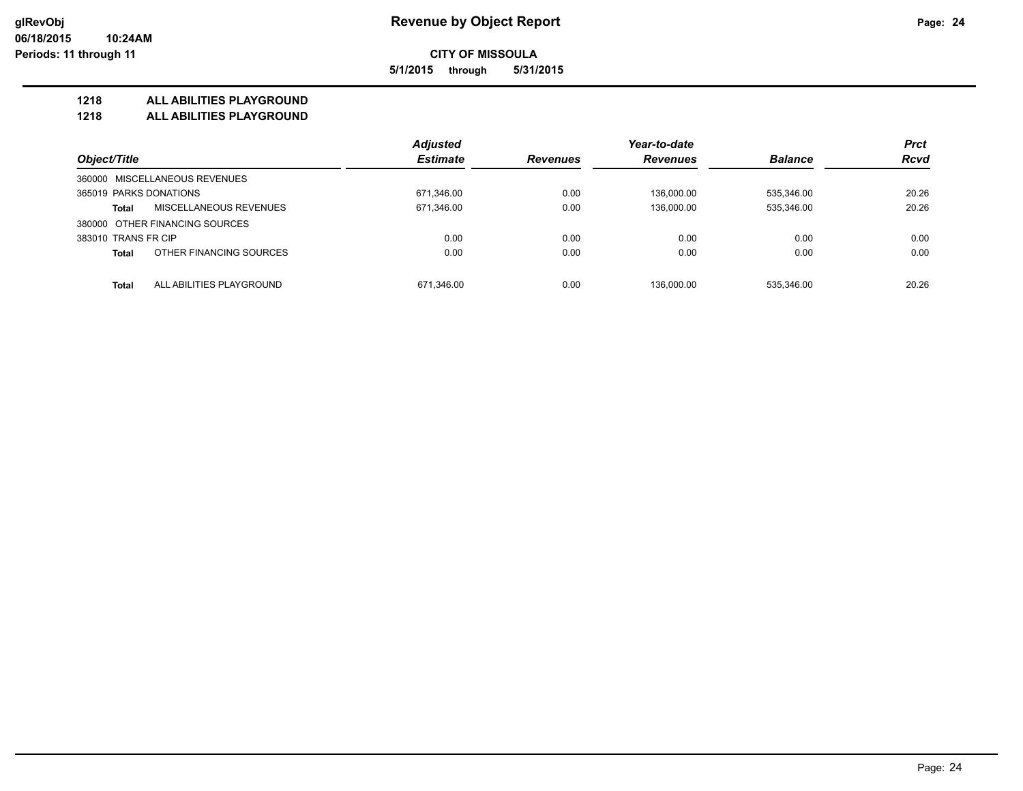**CITY OF MISSOULA 5/1/2015 through 5/31/2015**

**1218 ALL ABILITIES PLAYGROUND**

**1218 ALL ABILITIES PLAYGROUND**

|                        |                                | <b>Adjusted</b> |                 | Year-to-date    |                | <b>Prct</b> |
|------------------------|--------------------------------|-----------------|-----------------|-----------------|----------------|-------------|
| Object/Title           |                                | <b>Estimate</b> | <b>Revenues</b> | <b>Revenues</b> | <b>Balance</b> | <b>Rcvd</b> |
|                        | 360000 MISCELLANEOUS REVENUES  |                 |                 |                 |                |             |
| 365019 PARKS DONATIONS |                                | 671,346.00      | 0.00            | 136.000.00      | 535,346.00     | 20.26       |
| Total                  | MISCELLANEOUS REVENUES         | 671,346.00      | 0.00            | 136,000.00      | 535,346.00     | 20.26       |
|                        | 380000 OTHER FINANCING SOURCES |                 |                 |                 |                |             |
| 383010 TRANS FR CIP    |                                | 0.00            | 0.00            | 0.00            | 0.00           | 0.00        |
| <b>Total</b>           | OTHER FINANCING SOURCES        | 0.00            | 0.00            | 0.00            | 0.00           | 0.00        |
| <b>Total</b>           | ALL ABILITIES PLAYGROUND       | 671.346.00      | 0.00            | 136.000.00      | 535.346.00     | 20.26       |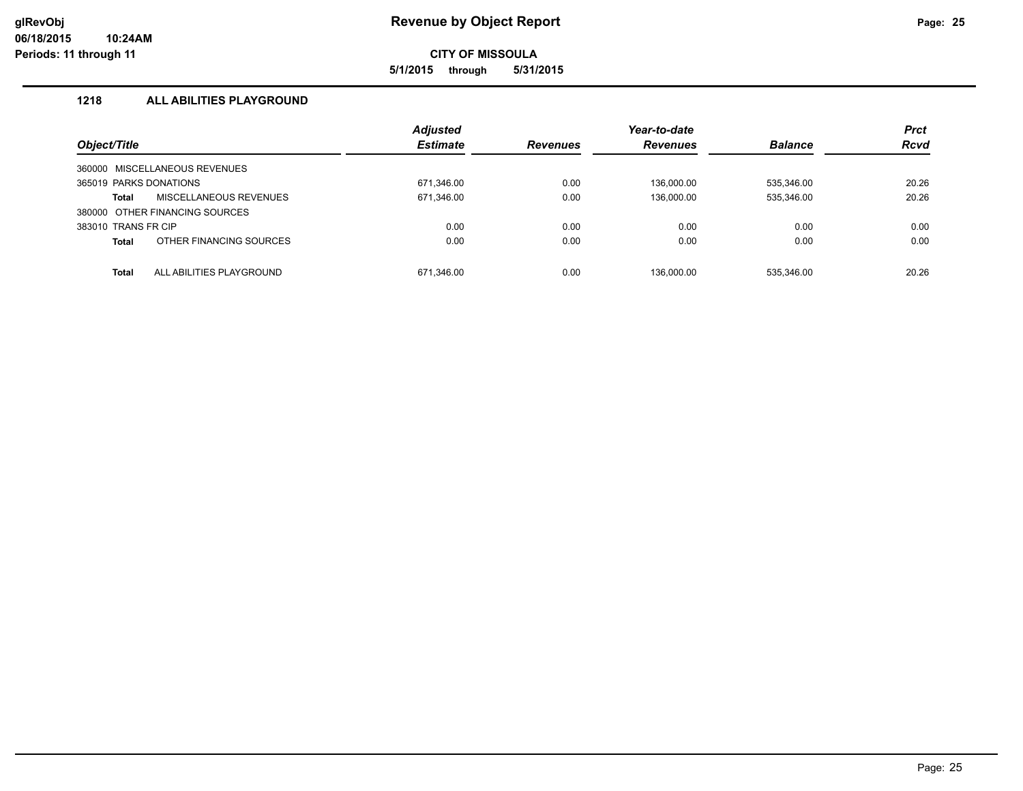**5/1/2015 through 5/31/2015**

#### **1218 ALL ABILITIES PLAYGROUND**

| Object/Title           |                                | <b>Adjusted</b><br><b>Estimate</b> | <b>Revenues</b> | Year-to-date<br><b>Revenues</b> | <b>Balance</b> | <b>Prct</b><br><b>Rcvd</b> |
|------------------------|--------------------------------|------------------------------------|-----------------|---------------------------------|----------------|----------------------------|
|                        | 360000 MISCELLANEOUS REVENUES  |                                    |                 |                                 |                |                            |
| 365019 PARKS DONATIONS |                                | 671,346.00                         | 0.00            | 136.000.00                      | 535,346.00     | 20.26                      |
| <b>Total</b>           | <b>MISCELLANEOUS REVENUES</b>  | 671,346.00                         | 0.00            | 136,000.00                      | 535,346.00     | 20.26                      |
|                        | 380000 OTHER FINANCING SOURCES |                                    |                 |                                 |                |                            |
| 383010 TRANS FR CIP    |                                | 0.00                               | 0.00            | 0.00                            | 0.00           | 0.00                       |
| <b>Total</b>           | OTHER FINANCING SOURCES        | 0.00                               | 0.00            | 0.00                            | 0.00           | 0.00                       |
| <b>Total</b>           | ALL ABILITIES PLAYGROUND       | 671.346.00                         | 0.00            | 136.000.00                      | 535.346.00     | 20.26                      |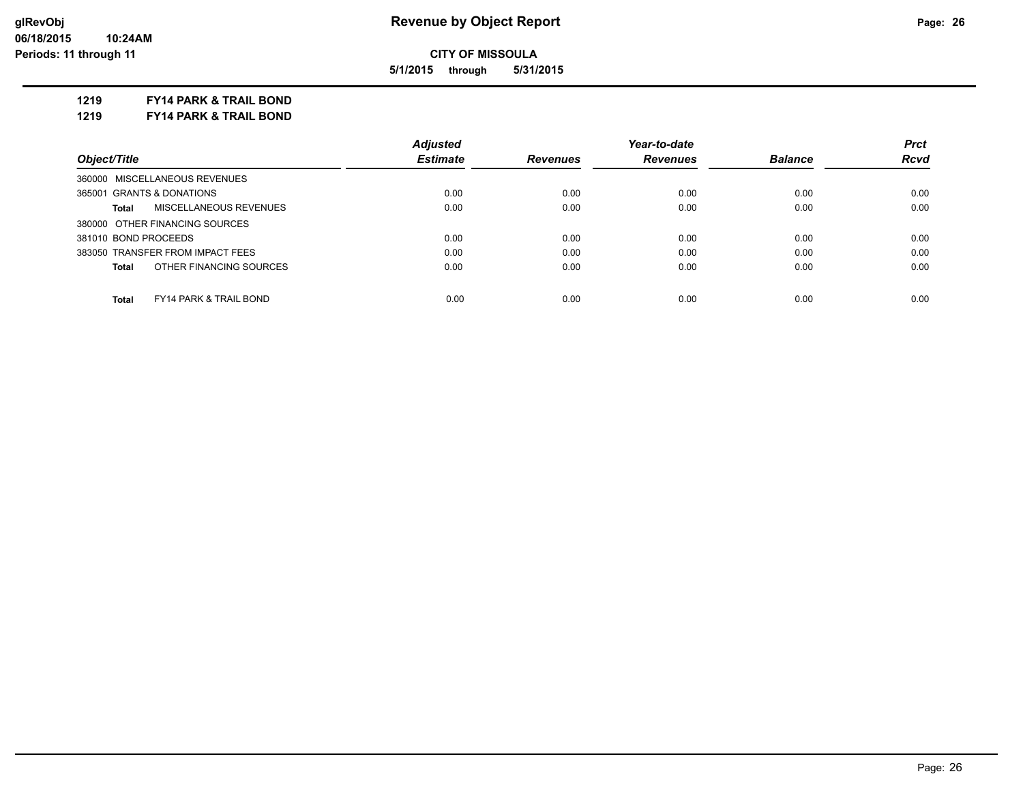**5/1/2015 through 5/31/2015**

**1219 FY14 PARK & TRAIL BOND**

**1219 FY14 PARK & TRAIL BOND**

|                                                   | <b>Adjusted</b> |                 | Year-to-date    |                | <b>Prct</b> |
|---------------------------------------------------|-----------------|-----------------|-----------------|----------------|-------------|
| Object/Title                                      | <b>Estimate</b> | <b>Revenues</b> | <b>Revenues</b> | <b>Balance</b> | Rcvd        |
| 360000 MISCELLANEOUS REVENUES                     |                 |                 |                 |                |             |
| 365001 GRANTS & DONATIONS                         | 0.00            | 0.00            | 0.00            | 0.00           | 0.00        |
| MISCELLANEOUS REVENUES<br>Total                   | 0.00            | 0.00            | 0.00            | 0.00           | 0.00        |
| 380000 OTHER FINANCING SOURCES                    |                 |                 |                 |                |             |
| 381010 BOND PROCEEDS                              | 0.00            | 0.00            | 0.00            | 0.00           | 0.00        |
| 383050 TRANSFER FROM IMPACT FEES                  | 0.00            | 0.00            | 0.00            | 0.00           | 0.00        |
| OTHER FINANCING SOURCES<br>Total                  | 0.00            | 0.00            | 0.00            | 0.00           | 0.00        |
| <b>Total</b><br><b>FY14 PARK &amp; TRAIL BOND</b> | 0.00            | 0.00            | 0.00            | 0.00           | 0.00        |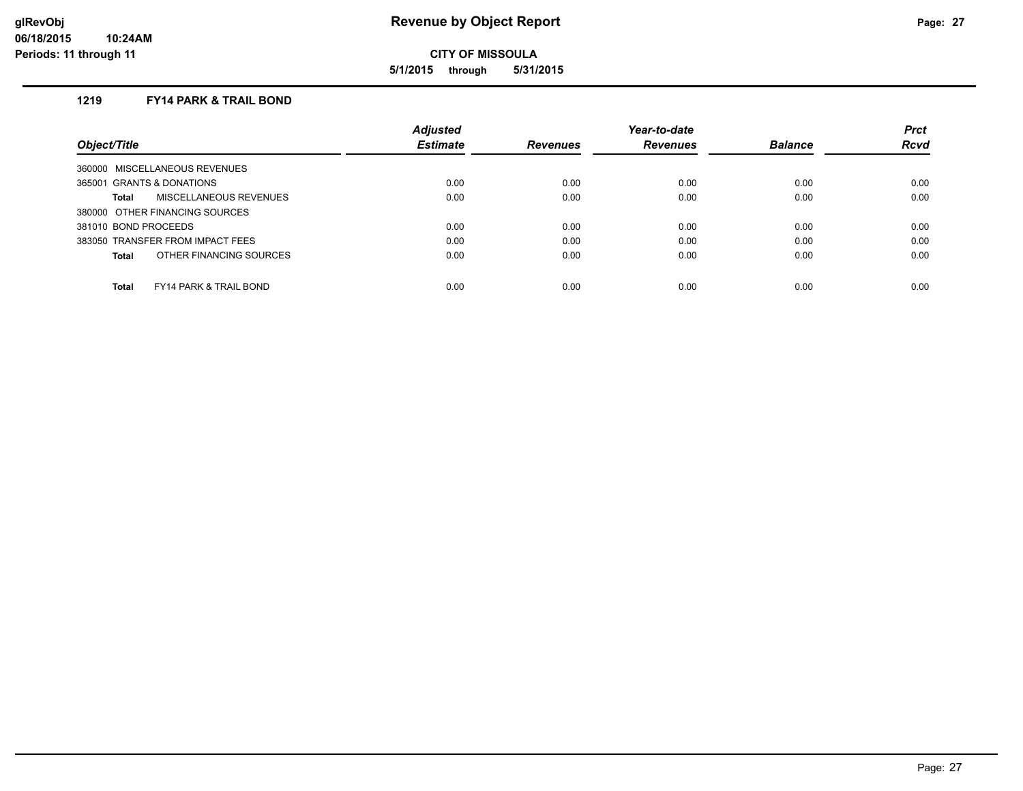**5/1/2015 through 5/31/2015**

#### **1219 FY14 PARK & TRAIL BOND**

|                                                   | <b>Adjusted</b> |                 | Year-to-date    |                | <b>Prct</b> |
|---------------------------------------------------|-----------------|-----------------|-----------------|----------------|-------------|
| Object/Title                                      | <b>Estimate</b> | <b>Revenues</b> | <b>Revenues</b> | <b>Balance</b> | <b>Rcvd</b> |
| 360000 MISCELLANEOUS REVENUES                     |                 |                 |                 |                |             |
| 365001 GRANTS & DONATIONS                         | 0.00            | 0.00            | 0.00            | 0.00           | 0.00        |
| <b>MISCELLANEOUS REVENUES</b><br>Total            | 0.00            | 0.00            | 0.00            | 0.00           | 0.00        |
| 380000 OTHER FINANCING SOURCES                    |                 |                 |                 |                |             |
| 381010 BOND PROCEEDS                              | 0.00            | 0.00            | 0.00            | 0.00           | 0.00        |
| 383050 TRANSFER FROM IMPACT FEES                  | 0.00            | 0.00            | 0.00            | 0.00           | 0.00        |
| OTHER FINANCING SOURCES<br><b>Total</b>           | 0.00            | 0.00            | 0.00            | 0.00           | 0.00        |
| <b>Total</b><br><b>FY14 PARK &amp; TRAIL BOND</b> | 0.00            | 0.00            | 0.00            | 0.00           | 0.00        |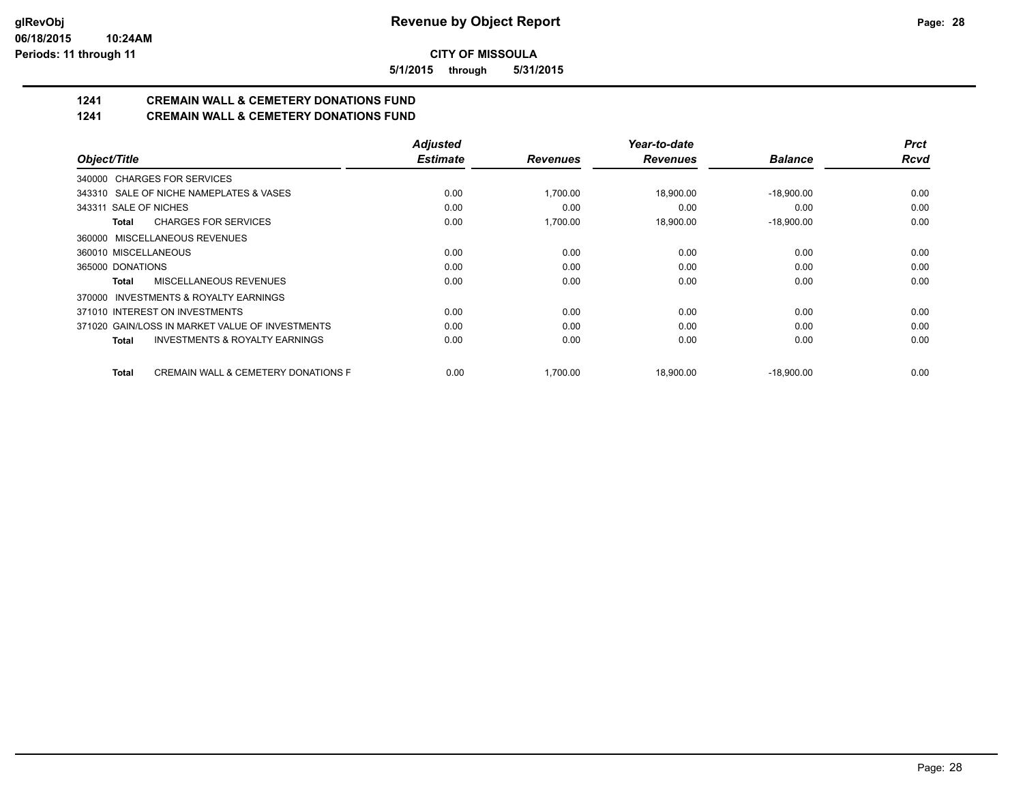**5/1/2015 through 5/31/2015**

## **1241 CREMAIN WALL & CEMETERY DONATIONS FUND**

**1241 CREMAIN WALL & CEMETERY DONATIONS FUND**

|                                                           | <b>Adjusted</b> |                 | Year-to-date    |                | <b>Prct</b> |
|-----------------------------------------------------------|-----------------|-----------------|-----------------|----------------|-------------|
| Object/Title                                              | <b>Estimate</b> | <b>Revenues</b> | <b>Revenues</b> | <b>Balance</b> | <b>Rcvd</b> |
| 340000 CHARGES FOR SERVICES                               |                 |                 |                 |                |             |
| 343310 SALE OF NICHE NAMEPLATES & VASES                   | 0.00            | 1,700.00        | 18,900.00       | $-18,900.00$   | 0.00        |
| 343311 SALE OF NICHES                                     | 0.00            | 0.00            | 0.00            | 0.00           | 0.00        |
| <b>CHARGES FOR SERVICES</b><br>Total                      | 0.00            | 1.700.00        | 18,900.00       | $-18,900.00$   | 0.00        |
| 360000 MISCELLANEOUS REVENUES                             |                 |                 |                 |                |             |
| 360010 MISCELLANEOUS                                      | 0.00            | 0.00            | 0.00            | 0.00           | 0.00        |
| 365000 DONATIONS                                          | 0.00            | 0.00            | 0.00            | 0.00           | 0.00        |
| MISCELLANEOUS REVENUES<br><b>Total</b>                    | 0.00            | 0.00            | 0.00            | 0.00           | 0.00        |
| 370000 INVESTMENTS & ROYALTY EARNINGS                     |                 |                 |                 |                |             |
| 371010 INTEREST ON INVESTMENTS                            | 0.00            | 0.00            | 0.00            | 0.00           | 0.00        |
| 371020 GAIN/LOSS IN MARKET VALUE OF INVESTMENTS           | 0.00            | 0.00            | 0.00            | 0.00           | 0.00        |
| <b>INVESTMENTS &amp; ROYALTY EARNINGS</b><br><b>Total</b> | 0.00            | 0.00            | 0.00            | 0.00           | 0.00        |
| CREMAIN WALL & CEMETERY DONATIONS F<br><b>Total</b>       | 0.00            | 1,700.00        | 18,900.00       | $-18,900.00$   | 0.00        |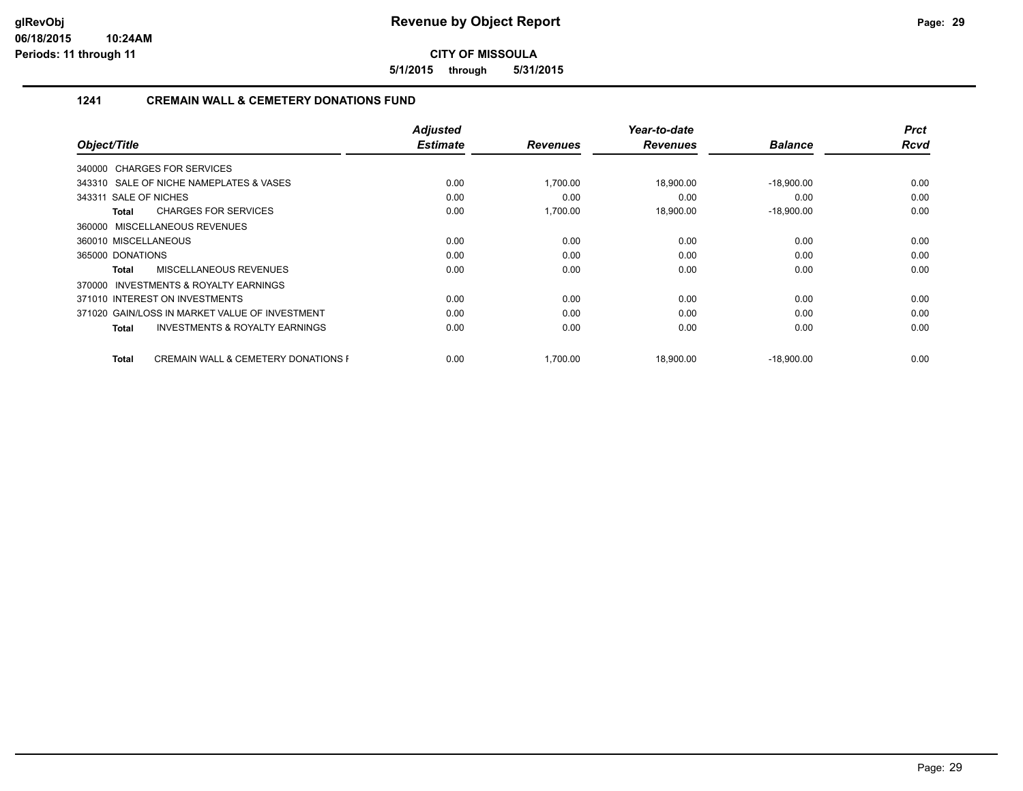**5/1/2015 through 5/31/2015**

#### **1241 CREMAIN WALL & CEMETERY DONATIONS FUND**

|                                                                | <b>Adjusted</b> |                 | Year-to-date    |                | <b>Prct</b> |
|----------------------------------------------------------------|-----------------|-----------------|-----------------|----------------|-------------|
| Object/Title                                                   | <b>Estimate</b> | <b>Revenues</b> | <b>Revenues</b> | <b>Balance</b> | <b>Rcvd</b> |
| 340000 CHARGES FOR SERVICES                                    |                 |                 |                 |                |             |
| 343310 SALE OF NICHE NAMEPLATES & VASES                        | 0.00            | 1,700.00        | 18,900.00       | $-18,900.00$   | 0.00        |
| 343311 SALE OF NICHES                                          | 0.00            | 0.00            | 0.00            | 0.00           | 0.00        |
| <b>CHARGES FOR SERVICES</b><br>Total                           | 0.00            | 1,700.00        | 18,900.00       | $-18,900.00$   | 0.00        |
| 360000 MISCELLANEOUS REVENUES                                  |                 |                 |                 |                |             |
| 360010 MISCELLANEOUS                                           | 0.00            | 0.00            | 0.00            | 0.00           | 0.00        |
| 365000 DONATIONS                                               | 0.00            | 0.00            | 0.00            | 0.00           | 0.00        |
| MISCELLANEOUS REVENUES<br>Total                                | 0.00            | 0.00            | 0.00            | 0.00           | 0.00        |
| <b>INVESTMENTS &amp; ROYALTY EARNINGS</b><br>370000            |                 |                 |                 |                |             |
| 371010 INTEREST ON INVESTMENTS                                 | 0.00            | 0.00            | 0.00            | 0.00           | 0.00        |
| 371020 GAIN/LOSS IN MARKET VALUE OF INVESTMENT                 | 0.00            | 0.00            | 0.00            | 0.00           | 0.00        |
| <b>INVESTMENTS &amp; ROYALTY EARNINGS</b><br><b>Total</b>      | 0.00            | 0.00            | 0.00            | 0.00           | 0.00        |
|                                                                |                 |                 |                 |                |             |
| <b>CREMAIN WALL &amp; CEMETERY DONATIONS F</b><br><b>Total</b> | 0.00            | 1.700.00        | 18.900.00       | $-18,900.00$   | 0.00        |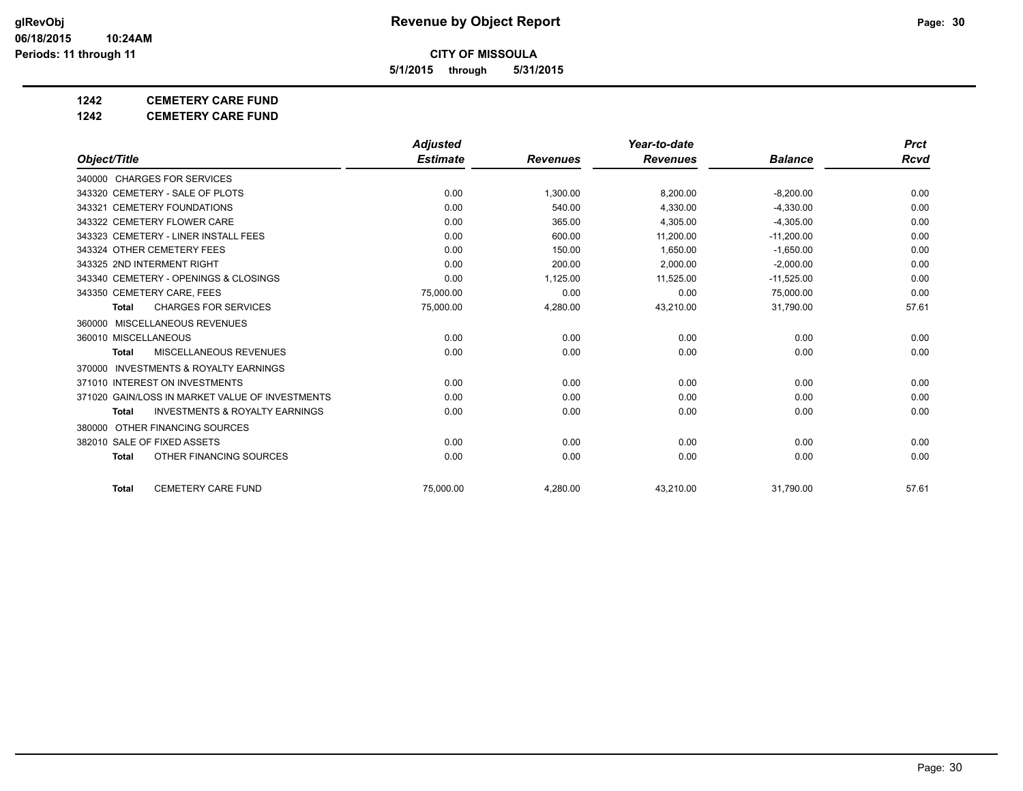**5/1/2015 through 5/31/2015**

#### **1242 CEMETERY CARE FUND**

**1242 CEMETERY CARE FUND**

|                                                           | <b>Adjusted</b> |                 | Year-to-date    |                | <b>Prct</b> |
|-----------------------------------------------------------|-----------------|-----------------|-----------------|----------------|-------------|
| Object/Title                                              | <b>Estimate</b> | <b>Revenues</b> | <b>Revenues</b> | <b>Balance</b> | <b>Rcvd</b> |
| 340000 CHARGES FOR SERVICES                               |                 |                 |                 |                |             |
| 343320 CEMETERY - SALE OF PLOTS                           | 0.00            | 1,300.00        | 8,200.00        | $-8,200.00$    | 0.00        |
| 343321 CEMETERY FOUNDATIONS                               | 0.00            | 540.00          | 4.330.00        | $-4.330.00$    | 0.00        |
| 343322 CEMETERY FLOWER CARE                               | 0.00            | 365.00          | 4.305.00        | $-4,305.00$    | 0.00        |
| 343323 CEMETERY - LINER INSTALL FEES                      | 0.00            | 600.00          | 11,200.00       | $-11,200.00$   | 0.00        |
| 343324 OTHER CEMETERY FEES                                | 0.00            | 150.00          | 1.650.00        | $-1.650.00$    | 0.00        |
| 343325 2ND INTERMENT RIGHT                                | 0.00            | 200.00          | 2.000.00        | $-2.000.00$    | 0.00        |
| 343340 CEMETERY - OPENINGS & CLOSINGS                     | 0.00            | 1,125.00        | 11,525.00       | $-11,525.00$   | 0.00        |
| 343350 CEMETERY CARE, FEES                                | 75,000.00       | 0.00            | 0.00            | 75,000.00      | 0.00        |
| <b>CHARGES FOR SERVICES</b><br><b>Total</b>               | 75,000.00       | 4,280.00        | 43,210.00       | 31,790.00      | 57.61       |
| 360000 MISCELLANEOUS REVENUES                             |                 |                 |                 |                |             |
| 360010 MISCELLANEOUS                                      | 0.00            | 0.00            | 0.00            | 0.00           | 0.00        |
| <b>MISCELLANEOUS REVENUES</b><br><b>Total</b>             | 0.00            | 0.00            | 0.00            | 0.00           | 0.00        |
| <b>INVESTMENTS &amp; ROYALTY EARNINGS</b><br>370000       |                 |                 |                 |                |             |
| 371010 INTEREST ON INVESTMENTS                            | 0.00            | 0.00            | 0.00            | 0.00           | 0.00        |
| 371020 GAIN/LOSS IN MARKET VALUE OF INVESTMENTS           | 0.00            | 0.00            | 0.00            | 0.00           | 0.00        |
| <b>INVESTMENTS &amp; ROYALTY EARNINGS</b><br><b>Total</b> | 0.00            | 0.00            | 0.00            | 0.00           | 0.00        |
| 380000 OTHER FINANCING SOURCES                            |                 |                 |                 |                |             |
| 382010 SALE OF FIXED ASSETS                               | 0.00            | 0.00            | 0.00            | 0.00           | 0.00        |
| OTHER FINANCING SOURCES<br><b>Total</b>                   | 0.00            | 0.00            | 0.00            | 0.00           | 0.00        |
| <b>CEMETERY CARE FUND</b><br><b>Total</b>                 | 75.000.00       | 4.280.00        | 43.210.00       | 31,790.00      | 57.61       |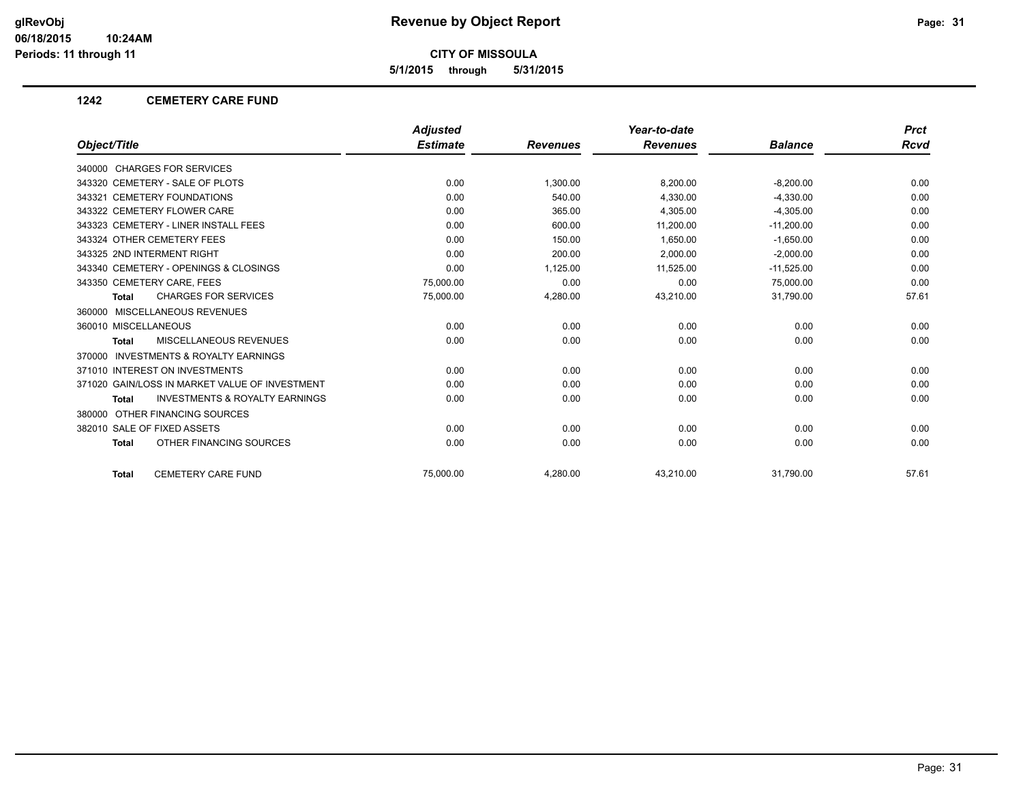**5/1/2015 through 5/31/2015**

#### **1242 CEMETERY CARE FUND**

|                                                           | <b>Adjusted</b> |                 | Year-to-date    |                | <b>Prct</b> |
|-----------------------------------------------------------|-----------------|-----------------|-----------------|----------------|-------------|
| Object/Title                                              | <b>Estimate</b> | <b>Revenues</b> | <b>Revenues</b> | <b>Balance</b> | <b>Rcvd</b> |
| 340000 CHARGES FOR SERVICES                               |                 |                 |                 |                |             |
| 343320 CEMETERY - SALE OF PLOTS                           | 0.00            | 1,300.00        | 8,200.00        | $-8,200.00$    | 0.00        |
| 343321 CEMETERY FOUNDATIONS                               | 0.00            | 540.00          | 4,330.00        | $-4,330.00$    | 0.00        |
| 343322 CEMETERY FLOWER CARE                               | 0.00            | 365.00          | 4,305.00        | $-4,305.00$    | 0.00        |
| 343323 CEMETERY - LINER INSTALL FEES                      | 0.00            | 600.00          | 11,200.00       | $-11,200.00$   | 0.00        |
| 343324 OTHER CEMETERY FEES                                | 0.00            | 150.00          | 1.650.00        | $-1,650.00$    | 0.00        |
| 343325 2ND INTERMENT RIGHT                                | 0.00            | 200.00          | 2,000.00        | $-2,000.00$    | 0.00        |
| 343340 CEMETERY - OPENINGS & CLOSINGS                     | 0.00            | 1,125.00        | 11,525.00       | $-11,525.00$   | 0.00        |
| 343350 CEMETERY CARE, FEES                                | 75,000.00       | 0.00            | 0.00            | 75,000.00      | 0.00        |
| <b>CHARGES FOR SERVICES</b><br><b>Total</b>               | 75,000.00       | 4,280.00        | 43,210.00       | 31,790.00      | 57.61       |
| 360000 MISCELLANEOUS REVENUES                             |                 |                 |                 |                |             |
| 360010 MISCELLANEOUS                                      | 0.00            | 0.00            | 0.00            | 0.00           | 0.00        |
| <b>MISCELLANEOUS REVENUES</b><br><b>Total</b>             | 0.00            | 0.00            | 0.00            | 0.00           | 0.00        |
| <b>INVESTMENTS &amp; ROYALTY EARNINGS</b><br>370000       |                 |                 |                 |                |             |
| 371010 INTEREST ON INVESTMENTS                            | 0.00            | 0.00            | 0.00            | 0.00           | 0.00        |
| 371020 GAIN/LOSS IN MARKET VALUE OF INVESTMENT            | 0.00            | 0.00            | 0.00            | 0.00           | 0.00        |
| <b>INVESTMENTS &amp; ROYALTY EARNINGS</b><br><b>Total</b> | 0.00            | 0.00            | 0.00            | 0.00           | 0.00        |
| 380000 OTHER FINANCING SOURCES                            |                 |                 |                 |                |             |
| 382010 SALE OF FIXED ASSETS                               | 0.00            | 0.00            | 0.00            | 0.00           | 0.00        |
| OTHER FINANCING SOURCES<br><b>Total</b>                   | 0.00            | 0.00            | 0.00            | 0.00           | 0.00        |
| <b>CEMETERY CARE FUND</b><br><b>Total</b>                 | 75.000.00       | 4,280.00        | 43,210.00       | 31,790.00      | 57.61       |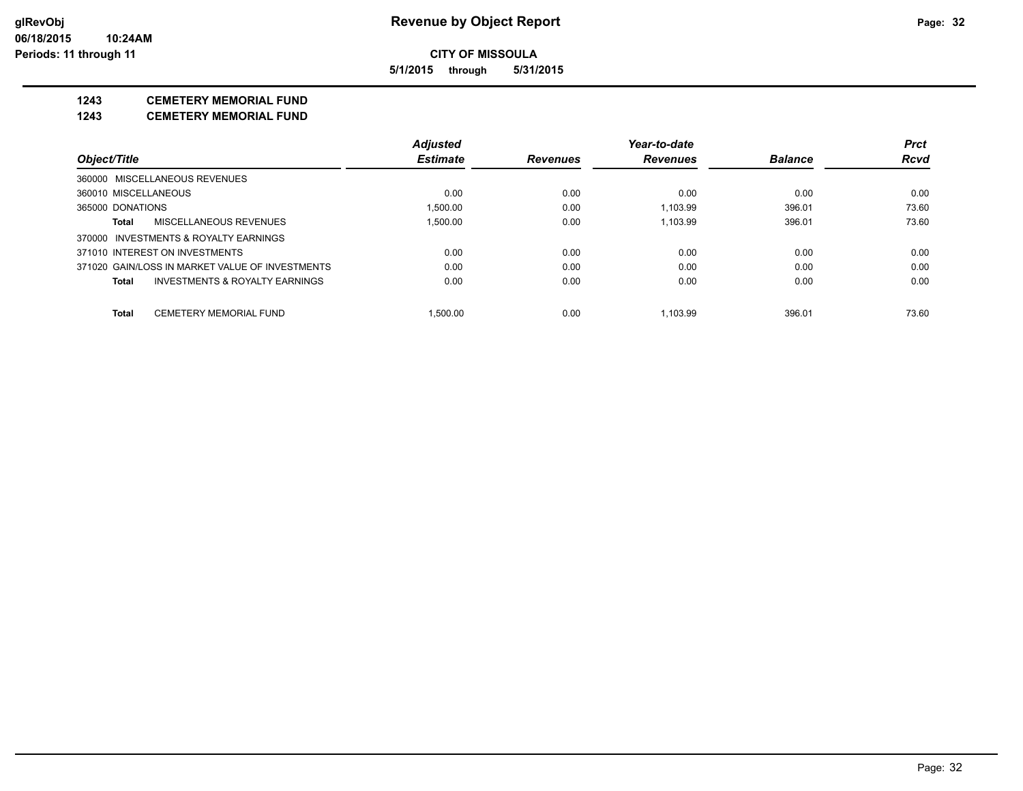**5/1/2015 through 5/31/2015**

#### **1243 CEMETERY MEMORIAL FUND**

**1243 CEMETERY MEMORIAL FUND**

|                      |                                                 | <b>Adjusted</b> |                 | Year-to-date    |                | <b>Prct</b> |
|----------------------|-------------------------------------------------|-----------------|-----------------|-----------------|----------------|-------------|
| Object/Title         |                                                 | <b>Estimate</b> | <b>Revenues</b> | <b>Revenues</b> | <b>Balance</b> | Rcvd        |
|                      | 360000 MISCELLANEOUS REVENUES                   |                 |                 |                 |                |             |
| 360010 MISCELLANEOUS |                                                 | 0.00            | 0.00            | 0.00            | 0.00           | 0.00        |
| 365000 DONATIONS     |                                                 | 1.500.00        | 0.00            | 1.103.99        | 396.01         | 73.60       |
| Total                | MISCELLANEOUS REVENUES                          | 1.500.00        | 0.00            | 1.103.99        | 396.01         | 73.60       |
|                      | 370000 INVESTMENTS & ROYALTY EARNINGS           |                 |                 |                 |                |             |
|                      | 371010 INTEREST ON INVESTMENTS                  | 0.00            | 0.00            | 0.00            | 0.00           | 0.00        |
|                      | 371020 GAIN/LOSS IN MARKET VALUE OF INVESTMENTS | 0.00            | 0.00            | 0.00            | 0.00           | 0.00        |
| <b>Total</b>         | INVESTMENTS & ROYALTY EARNINGS                  | 0.00            | 0.00            | 0.00            | 0.00           | 0.00        |
| <b>Total</b>         | <b>CEMETERY MEMORIAL FUND</b>                   | 1.500.00        | 0.00            | 1.103.99        | 396.01         | 73.60       |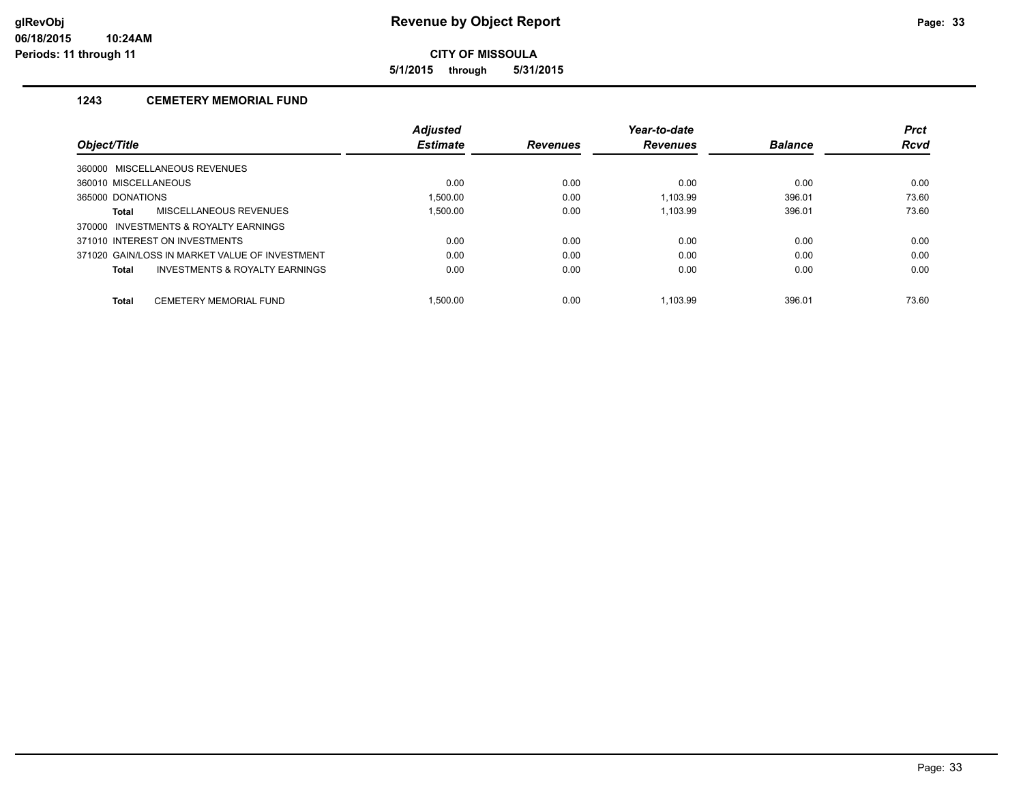**5/1/2015 through 5/31/2015**

#### **1243 CEMETERY MEMORIAL FUND**

|                                                    | <b>Adjusted</b> |                 | Year-to-date    |                | <b>Prct</b> |
|----------------------------------------------------|-----------------|-----------------|-----------------|----------------|-------------|
| <b>Object/Title</b>                                | <b>Estimate</b> | <b>Revenues</b> | <b>Revenues</b> | <b>Balance</b> | <b>Rcvd</b> |
| 360000 MISCELLANEOUS REVENUES                      |                 |                 |                 |                |             |
| 360010 MISCELLANEOUS                               | 0.00            | 0.00            | 0.00            | 0.00           | 0.00        |
| 365000 DONATIONS                                   | 1,500.00        | 0.00            | 1.103.99        | 396.01         | 73.60       |
| <b>MISCELLANEOUS REVENUES</b><br>Total             | 1.500.00        | 0.00            | 1.103.99        | 396.01         | 73.60       |
| 370000 INVESTMENTS & ROYALTY EARNINGS              |                 |                 |                 |                |             |
| 371010 INTEREST ON INVESTMENTS                     | 0.00            | 0.00            | 0.00            | 0.00           | 0.00        |
| 371020 GAIN/LOSS IN MARKET VALUE OF INVESTMENT     | 0.00            | 0.00            | 0.00            | 0.00           | 0.00        |
| <b>INVESTMENTS &amp; ROYALTY EARNINGS</b><br>Total | 0.00            | 0.00            | 0.00            | 0.00           | 0.00        |
| <b>CEMETERY MEMORIAL FUND</b><br>Total             | 1.500.00        | 0.00            | 1.103.99        | 396.01         | 73.60       |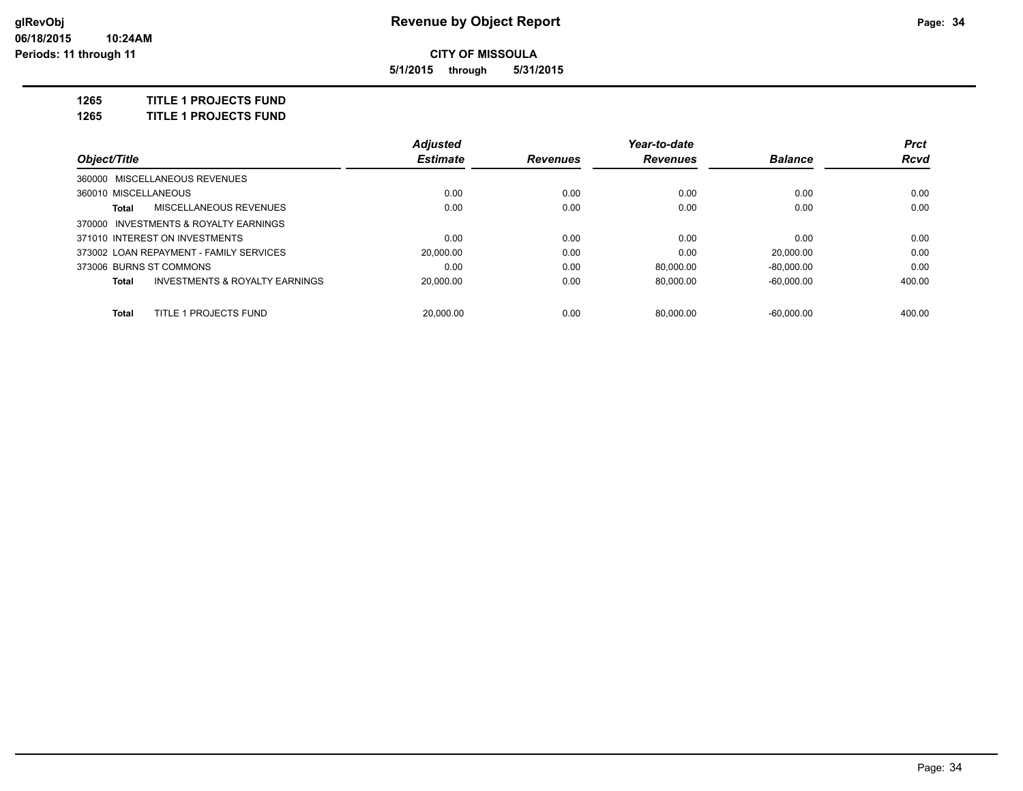**5/1/2015 through 5/31/2015**

**1265 TITLE 1 PROJECTS FUND**

**1265 TITLE 1 PROJECTS FUND**

|                         |                                           | <b>Adjusted</b> |                 | Year-to-date    |                | <b>Prct</b> |
|-------------------------|-------------------------------------------|-----------------|-----------------|-----------------|----------------|-------------|
| Object/Title            |                                           | <b>Estimate</b> | <b>Revenues</b> | <b>Revenues</b> | <b>Balance</b> | Rcvd        |
|                         | 360000 MISCELLANEOUS REVENUES             |                 |                 |                 |                |             |
| 360010 MISCELLANEOUS    |                                           | 0.00            | 0.00            | 0.00            | 0.00           | 0.00        |
| Total                   | <b>MISCELLANEOUS REVENUES</b>             | 0.00            | 0.00            | 0.00            | 0.00           | 0.00        |
|                         | 370000 INVESTMENTS & ROYALTY EARNINGS     |                 |                 |                 |                |             |
|                         | 371010 INTEREST ON INVESTMENTS            | 0.00            | 0.00            | 0.00            | 0.00           | 0.00        |
|                         | 373002 LOAN REPAYMENT - FAMILY SERVICES   | 20.000.00       | 0.00            | 0.00            | 20.000.00      | 0.00        |
| 373006 BURNS ST COMMONS |                                           | 0.00            | 0.00            | 80.000.00       | $-80.000.00$   | 0.00        |
| Total                   | <b>INVESTMENTS &amp; ROYALTY EARNINGS</b> | 20.000.00       | 0.00            | 80.000.00       | $-60.000.00$   | 400.00      |
| Total                   | TITLE 1 PROJECTS FUND                     | 20.000.00       | 0.00            | 80.000.00       | $-60.000.00$   | 400.00      |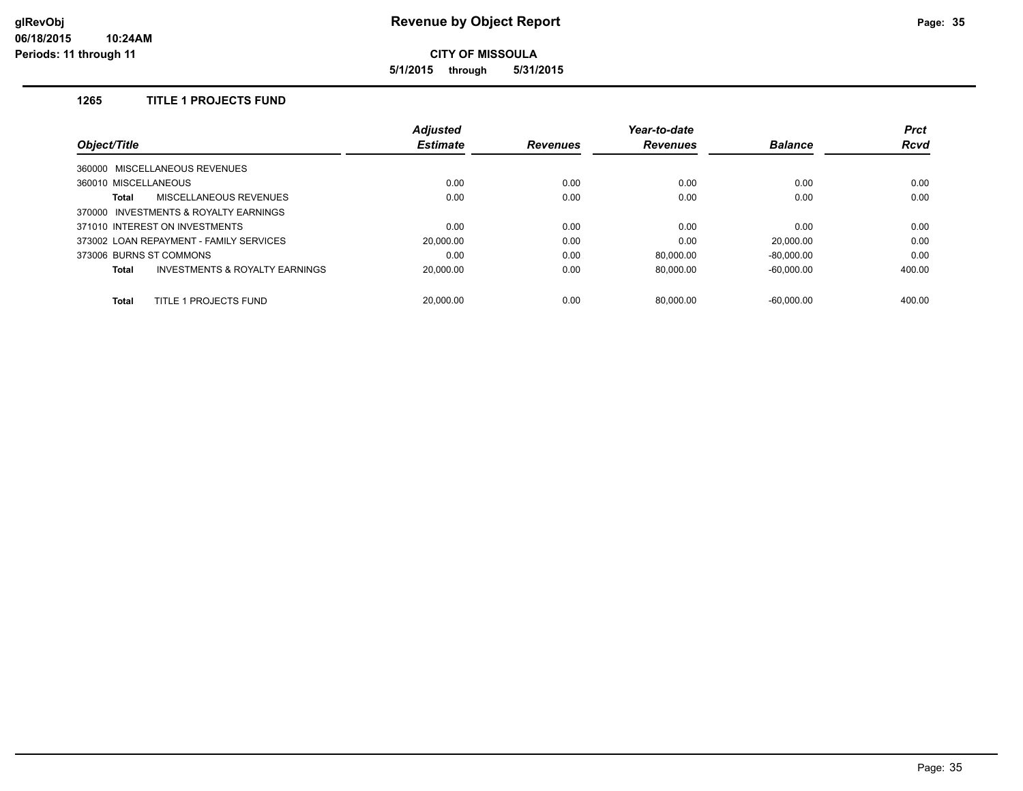**5/1/2015 through 5/31/2015**

#### **1265 TITLE 1 PROJECTS FUND**

|                                                | <b>Adjusted</b> |                 | Year-to-date    |                | <b>Prct</b> |
|------------------------------------------------|-----------------|-----------------|-----------------|----------------|-------------|
| Object/Title                                   | <b>Estimate</b> | <b>Revenues</b> | <b>Revenues</b> | <b>Balance</b> | <b>Rcvd</b> |
| 360000 MISCELLANEOUS REVENUES                  |                 |                 |                 |                |             |
| 360010 MISCELLANEOUS                           | 0.00            | 0.00            | 0.00            | 0.00           | 0.00        |
| <b>MISCELLANEOUS REVENUES</b><br><b>Total</b>  | 0.00            | 0.00            | 0.00            | 0.00           | 0.00        |
| 370000 INVESTMENTS & ROYALTY EARNINGS          |                 |                 |                 |                |             |
| 371010 INTEREST ON INVESTMENTS                 | 0.00            | 0.00            | 0.00            | 0.00           | 0.00        |
| 373002 LOAN REPAYMENT - FAMILY SERVICES        | 20,000.00       | 0.00            | 0.00            | 20.000.00      | 0.00        |
| 373006 BURNS ST COMMONS                        | 0.00            | 0.00            | 80.000.00       | $-80.000.00$   | 0.00        |
| INVESTMENTS & ROYALTY EARNINGS<br><b>Total</b> | 20.000.00       | 0.00            | 80,000.00       | $-60,000.00$   | 400.00      |
| TITLE 1 PROJECTS FUND<br><b>Total</b>          | 20.000.00       | 0.00            | 80.000.00       | $-60.000.00$   | 400.00      |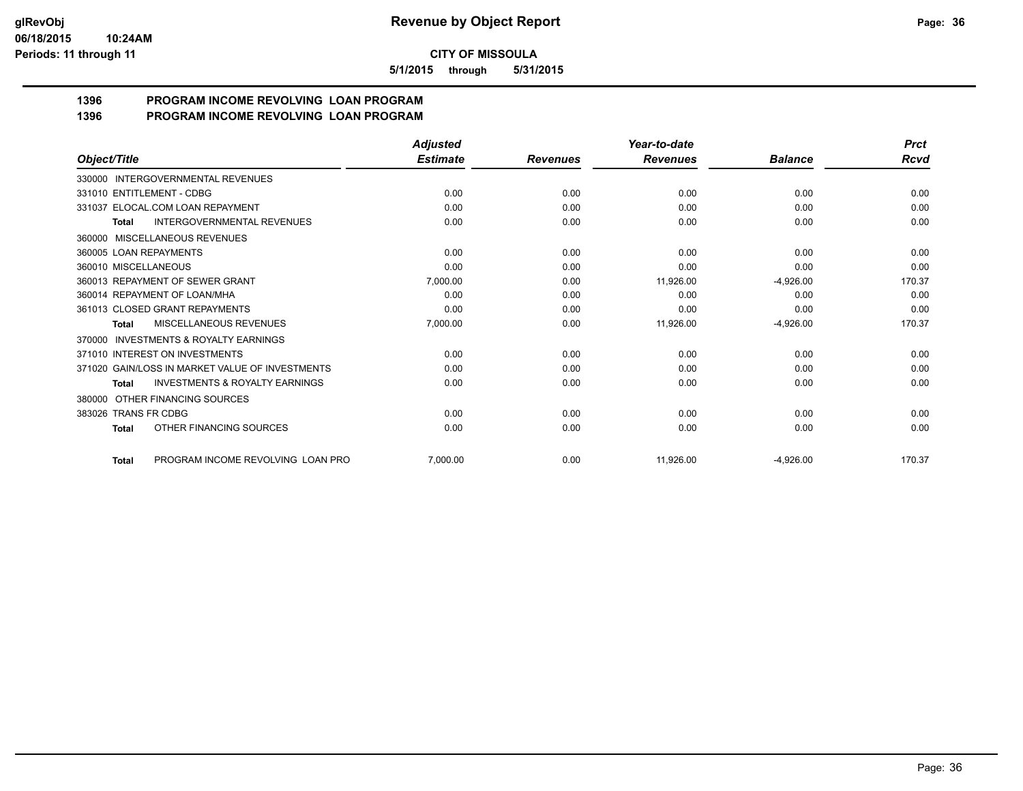**5/1/2015 through 5/31/2015**

# **1396 PROGRAM INCOME REVOLVING LOAN PROGRAM**

| 1396 | <b>PROGRAM INCOME REVOLVING LOAN PROGRAM</b> |
|------|----------------------------------------------|
|      |                                              |

| Object/Title                                              | <b>Adjusted</b><br><b>Estimate</b> |                 | Year-to-date<br><b>Revenues</b> | <b>Balance</b> | <b>Prct</b><br><b>Rcvd</b> |
|-----------------------------------------------------------|------------------------------------|-----------------|---------------------------------|----------------|----------------------------|
|                                                           |                                    | <b>Revenues</b> |                                 |                |                            |
| 330000 INTERGOVERNMENTAL REVENUES                         |                                    |                 |                                 |                |                            |
| 331010 ENTITLEMENT - CDBG                                 | 0.00                               | 0.00            | 0.00                            | 0.00           | 0.00                       |
| 331037 ELOCAL.COM LOAN REPAYMENT                          | 0.00                               | 0.00            | 0.00                            | 0.00           | 0.00                       |
| <b>INTERGOVERNMENTAL REVENUES</b><br><b>Total</b>         | 0.00                               | 0.00            | 0.00                            | 0.00           | 0.00                       |
| MISCELLANEOUS REVENUES<br>360000                          |                                    |                 |                                 |                |                            |
| 360005 LOAN REPAYMENTS                                    | 0.00                               | 0.00            | 0.00                            | 0.00           | 0.00                       |
| 360010 MISCELLANEOUS                                      | 0.00                               | 0.00            | 0.00                            | 0.00           | 0.00                       |
| 360013 REPAYMENT OF SEWER GRANT                           | 7,000.00                           | 0.00            | 11,926.00                       | $-4,926.00$    | 170.37                     |
| 360014 REPAYMENT OF LOAN/MHA                              | 0.00                               | 0.00            | 0.00                            | 0.00           | 0.00                       |
| 361013 CLOSED GRANT REPAYMENTS                            | 0.00                               | 0.00            | 0.00                            | 0.00           | 0.00                       |
| MISCELLANEOUS REVENUES<br>Total                           | 7,000.00                           | 0.00            | 11,926.00                       | $-4,926.00$    | 170.37                     |
| <b>INVESTMENTS &amp; ROYALTY EARNINGS</b><br>370000       |                                    |                 |                                 |                |                            |
| 371010 INTEREST ON INVESTMENTS                            | 0.00                               | 0.00            | 0.00                            | 0.00           | 0.00                       |
| 371020 GAIN/LOSS IN MARKET VALUE OF INVESTMENTS           | 0.00                               | 0.00            | 0.00                            | 0.00           | 0.00                       |
| <b>INVESTMENTS &amp; ROYALTY EARNINGS</b><br><b>Total</b> | 0.00                               | 0.00            | 0.00                            | 0.00           | 0.00                       |
| OTHER FINANCING SOURCES<br>380000                         |                                    |                 |                                 |                |                            |
| 383026 TRANS FR CDBG                                      | 0.00                               | 0.00            | 0.00                            | 0.00           | 0.00                       |
| OTHER FINANCING SOURCES<br><b>Total</b>                   | 0.00                               | 0.00            | 0.00                            | 0.00           | 0.00                       |
| PROGRAM INCOME REVOLVING LOAN PRO<br><b>Total</b>         | 7.000.00                           | 0.00            | 11,926.00                       | $-4,926.00$    | 170.37                     |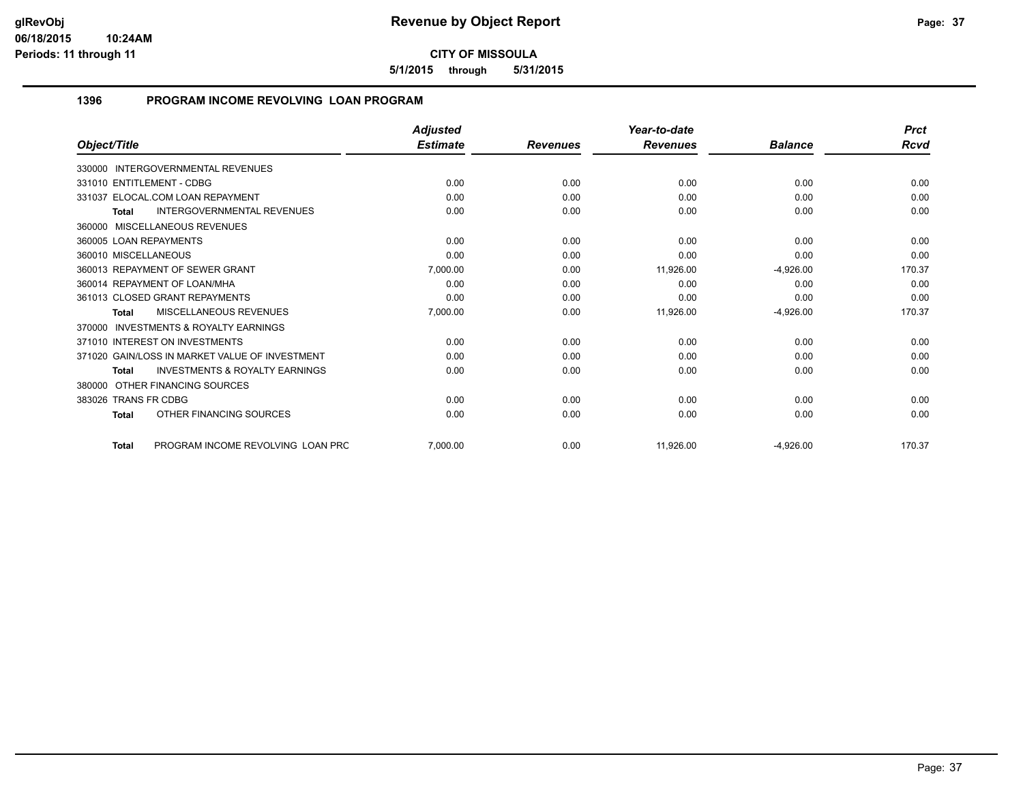**5/1/2015 through 5/31/2015**

## **1396 PROGRAM INCOME REVOLVING LOAN PROGRAM**

|                                                           | <b>Adjusted</b> |                 | Year-to-date    |                | <b>Prct</b> |
|-----------------------------------------------------------|-----------------|-----------------|-----------------|----------------|-------------|
| Object/Title                                              | <b>Estimate</b> | <b>Revenues</b> | <b>Revenues</b> | <b>Balance</b> | <b>Rcvd</b> |
| <b>INTERGOVERNMENTAL REVENUES</b><br>330000               |                 |                 |                 |                |             |
| 331010 ENTITLEMENT - CDBG                                 | 0.00            | 0.00            | 0.00            | 0.00           | 0.00        |
| 331037 ELOCAL.COM LOAN REPAYMENT                          | 0.00            | 0.00            | 0.00            | 0.00           | 0.00        |
| <b>INTERGOVERNMENTAL REVENUES</b><br><b>Total</b>         | 0.00            | 0.00            | 0.00            | 0.00           | 0.00        |
| 360000 MISCELLANEOUS REVENUES                             |                 |                 |                 |                |             |
| 360005 LOAN REPAYMENTS                                    | 0.00            | 0.00            | 0.00            | 0.00           | 0.00        |
| 360010 MISCELLANEOUS                                      | 0.00            | 0.00            | 0.00            | 0.00           | 0.00        |
| 360013 REPAYMENT OF SEWER GRANT                           | 7,000.00        | 0.00            | 11,926.00       | $-4,926.00$    | 170.37      |
| 360014 REPAYMENT OF LOAN/MHA                              | 0.00            | 0.00            | 0.00            | 0.00           | 0.00        |
| 361013 CLOSED GRANT REPAYMENTS                            | 0.00            | 0.00            | 0.00            | 0.00           | 0.00        |
| <b>MISCELLANEOUS REVENUES</b><br><b>Total</b>             | 7,000.00        | 0.00            | 11,926.00       | $-4,926.00$    | 170.37      |
| <b>INVESTMENTS &amp; ROYALTY EARNINGS</b><br>370000       |                 |                 |                 |                |             |
| 371010 INTEREST ON INVESTMENTS                            | 0.00            | 0.00            | 0.00            | 0.00           | 0.00        |
| 371020 GAIN/LOSS IN MARKET VALUE OF INVESTMENT            | 0.00            | 0.00            | 0.00            | 0.00           | 0.00        |
| <b>INVESTMENTS &amp; ROYALTY EARNINGS</b><br><b>Total</b> | 0.00            | 0.00            | 0.00            | 0.00           | 0.00        |
| OTHER FINANCING SOURCES<br>380000                         |                 |                 |                 |                |             |
| 383026 TRANS FR CDBG                                      | 0.00            | 0.00            | 0.00            | 0.00           | 0.00        |
| OTHER FINANCING SOURCES<br>Total                          | 0.00            | 0.00            | 0.00            | 0.00           | 0.00        |
| PROGRAM INCOME REVOLVING LOAN PRC<br><b>Total</b>         | 7.000.00        | 0.00            | 11,926.00       | $-4,926.00$    | 170.37      |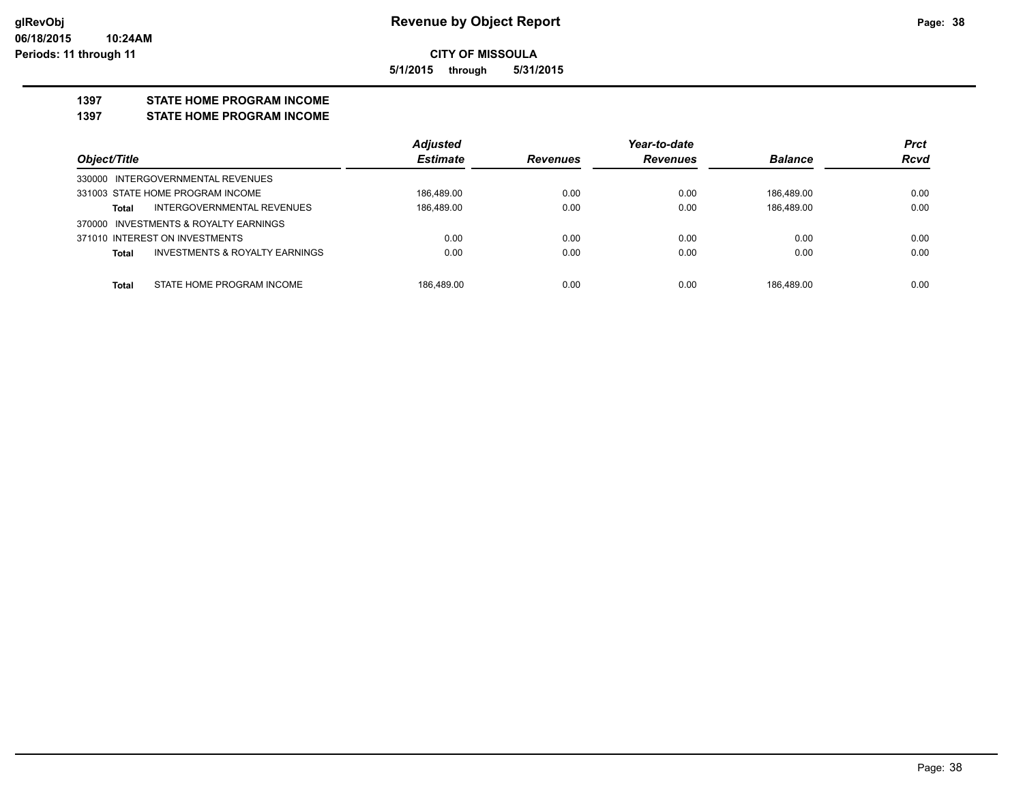**5/1/2015 through 5/31/2015**

#### **1397 STATE HOME PROGRAM INCOME**

**1397 STATE HOME PROGRAM INCOME**

|                                                           | <b>Adjusted</b> |                 | Year-to-date    |                | <b>Prct</b> |
|-----------------------------------------------------------|-----------------|-----------------|-----------------|----------------|-------------|
| Object/Title                                              | <b>Estimate</b> | <b>Revenues</b> | <b>Revenues</b> | <b>Balance</b> | <b>Rcvd</b> |
| 330000 INTERGOVERNMENTAL REVENUES                         |                 |                 |                 |                |             |
| 331003 STATE HOME PROGRAM INCOME                          | 186.489.00      | 0.00            | 0.00            | 186.489.00     | 0.00        |
| INTERGOVERNMENTAL REVENUES<br><b>Total</b>                | 186.489.00      | 0.00            | 0.00            | 186.489.00     | 0.00        |
| 370000 INVESTMENTS & ROYALTY EARNINGS                     |                 |                 |                 |                |             |
| 371010 INTEREST ON INVESTMENTS                            | 0.00            | 0.00            | 0.00            | 0.00           | 0.00        |
| <b>INVESTMENTS &amp; ROYALTY EARNINGS</b><br><b>Total</b> | 0.00            | 0.00            | 0.00            | 0.00           | 0.00        |
|                                                           |                 |                 |                 |                |             |
| STATE HOME PROGRAM INCOME<br><b>Total</b>                 | 186.489.00      | 0.00            | 0.00            | 186.489.00     | 0.00        |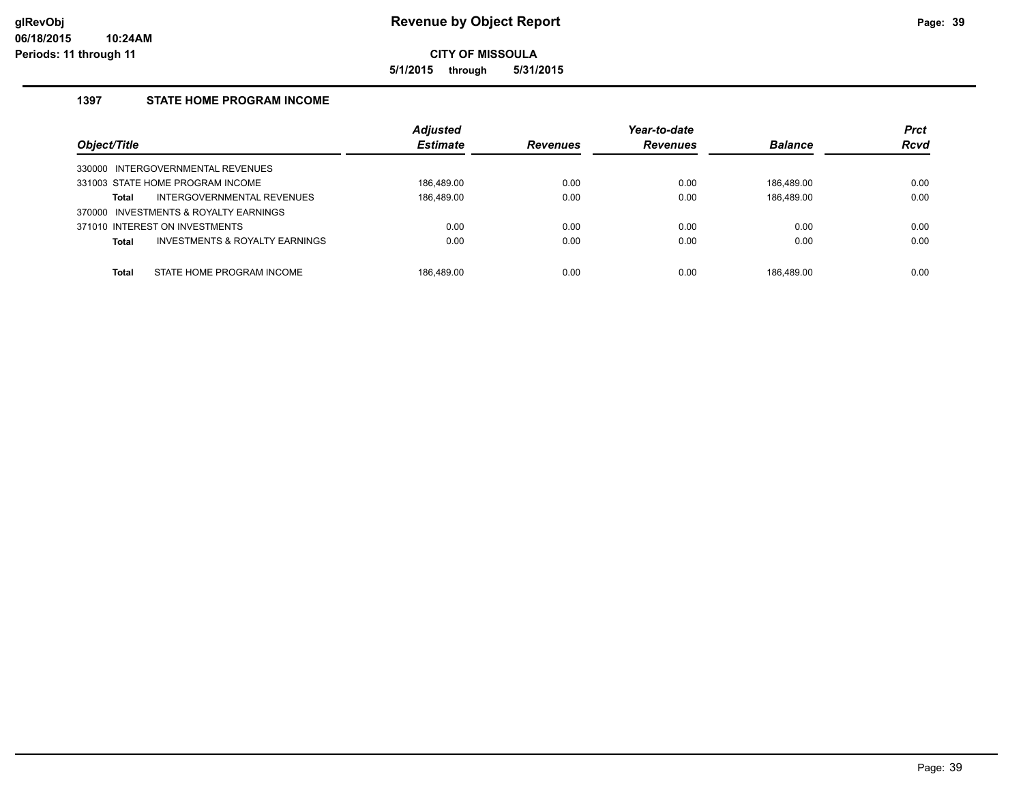**5/1/2015 through 5/31/2015**

## **1397 STATE HOME PROGRAM INCOME**

| Object/Title                                              | <b>Adjusted</b><br><b>Estimate</b> | <b>Revenues</b> | Year-to-date<br><b>Revenues</b> | <b>Balance</b> | <b>Prct</b><br><b>Rcvd</b> |
|-----------------------------------------------------------|------------------------------------|-----------------|---------------------------------|----------------|----------------------------|
| INTERGOVERNMENTAL REVENUES<br>330000                      |                                    |                 |                                 |                |                            |
| 331003 STATE HOME PROGRAM INCOME                          | 186.489.00                         | 0.00            | 0.00                            | 186.489.00     | 0.00                       |
| INTERGOVERNMENTAL REVENUES<br>Total                       | 186,489.00                         | 0.00            | 0.00                            | 186,489.00     | 0.00                       |
| INVESTMENTS & ROYALTY EARNINGS<br>370000                  |                                    |                 |                                 |                |                            |
| 371010 INTEREST ON INVESTMENTS                            | 0.00                               | 0.00            | 0.00                            | 0.00           | 0.00                       |
| <b>INVESTMENTS &amp; ROYALTY EARNINGS</b><br><b>Total</b> | 0.00                               | 0.00            | 0.00                            | 0.00           | 0.00                       |
| STATE HOME PROGRAM INCOME<br>Total                        | 186.489.00                         | 0.00            | 0.00                            | 186.489.00     | 0.00                       |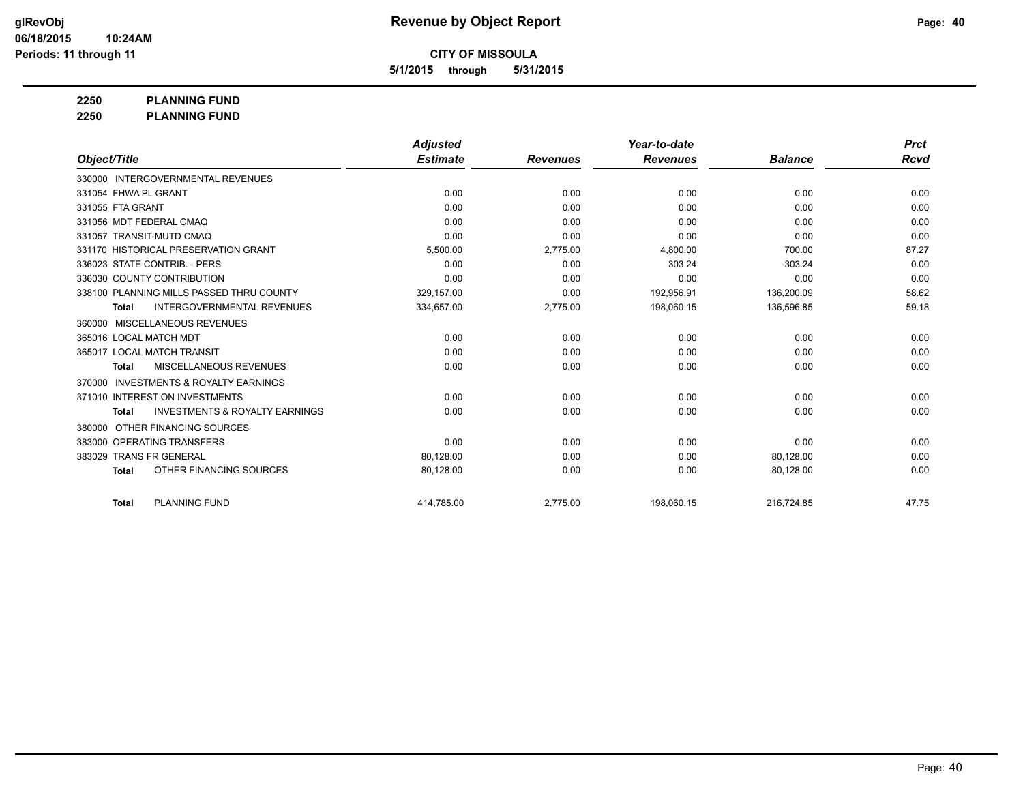**5/1/2015 through 5/31/2015**

**2250 PLANNING FUND**

**2250 PLANNING FUND**

|                                                           | <b>Adjusted</b> |                 | Year-to-date    |                | <b>Prct</b> |
|-----------------------------------------------------------|-----------------|-----------------|-----------------|----------------|-------------|
| Object/Title                                              | <b>Estimate</b> | <b>Revenues</b> | <b>Revenues</b> | <b>Balance</b> | Rcvd        |
| 330000 INTERGOVERNMENTAL REVENUES                         |                 |                 |                 |                |             |
| 331054 FHWA PL GRANT                                      | 0.00            | 0.00            | 0.00            | 0.00           | 0.00        |
| 331055 FTA GRANT                                          | 0.00            | 0.00            | 0.00            | 0.00           | 0.00        |
| 331056 MDT FEDERAL CMAQ                                   | 0.00            | 0.00            | 0.00            | 0.00           | 0.00        |
| 331057 TRANSIT-MUTD CMAQ                                  | 0.00            | 0.00            | 0.00            | 0.00           | 0.00        |
| 331170 HISTORICAL PRESERVATION GRANT                      | 5,500.00        | 2,775.00        | 4,800.00        | 700.00         | 87.27       |
| 336023 STATE CONTRIB. - PERS                              | 0.00            | 0.00            | 303.24          | $-303.24$      | 0.00        |
| 336030 COUNTY CONTRIBUTION                                | 0.00            | 0.00            | 0.00            | 0.00           | 0.00        |
| 338100 PLANNING MILLS PASSED THRU COUNTY                  | 329.157.00      | 0.00            | 192,956.91      | 136,200.09     | 58.62       |
| <b>INTERGOVERNMENTAL REVENUES</b><br><b>Total</b>         | 334,657.00      | 2,775.00        | 198,060.15      | 136,596.85     | 59.18       |
| MISCELLANEOUS REVENUES<br>360000                          |                 |                 |                 |                |             |
| 365016 LOCAL MATCH MDT                                    | 0.00            | 0.00            | 0.00            | 0.00           | 0.00        |
| 365017 LOCAL MATCH TRANSIT                                | 0.00            | 0.00            | 0.00            | 0.00           | 0.00        |
| MISCELLANEOUS REVENUES<br><b>Total</b>                    | 0.00            | 0.00            | 0.00            | 0.00           | 0.00        |
| <b>INVESTMENTS &amp; ROYALTY EARNINGS</b><br>370000       |                 |                 |                 |                |             |
| 371010 INTEREST ON INVESTMENTS                            | 0.00            | 0.00            | 0.00            | 0.00           | 0.00        |
| <b>INVESTMENTS &amp; ROYALTY EARNINGS</b><br><b>Total</b> | 0.00            | 0.00            | 0.00            | 0.00           | 0.00        |
| OTHER FINANCING SOURCES<br>380000                         |                 |                 |                 |                |             |
| 383000 OPERATING TRANSFERS                                | 0.00            | 0.00            | 0.00            | 0.00           | 0.00        |
| 383029 TRANS FR GENERAL                                   | 80,128.00       | 0.00            | 0.00            | 80,128.00      | 0.00        |
| OTHER FINANCING SOURCES<br><b>Total</b>                   | 80,128.00       | 0.00            | 0.00            | 80,128.00      | 0.00        |
| <b>PLANNING FUND</b><br><b>Total</b>                      | 414.785.00      | 2.775.00        | 198.060.15      | 216.724.85     | 47.75       |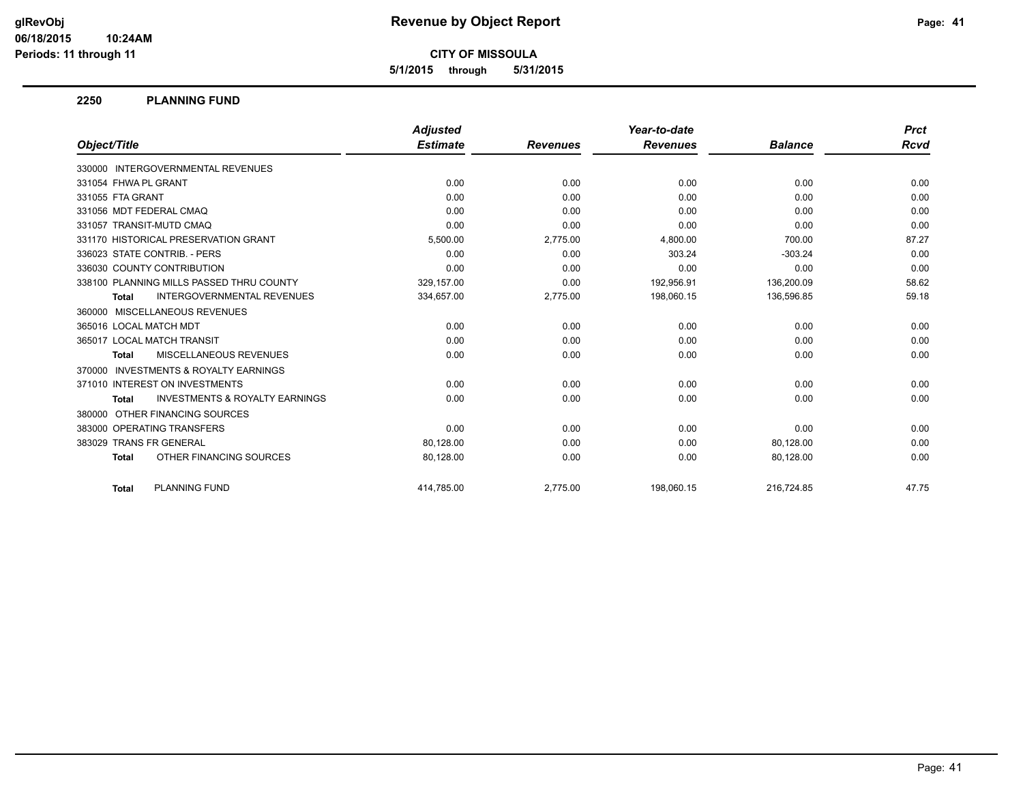**5/1/2015 through 5/31/2015**

#### **2250 PLANNING FUND**

|                                                           | <b>Adjusted</b> |                 | Year-to-date    |                | <b>Prct</b> |
|-----------------------------------------------------------|-----------------|-----------------|-----------------|----------------|-------------|
| Object/Title                                              | <b>Estimate</b> | <b>Revenues</b> | <b>Revenues</b> | <b>Balance</b> | Rcvd        |
| 330000 INTERGOVERNMENTAL REVENUES                         |                 |                 |                 |                |             |
| 331054 FHWA PL GRANT                                      | 0.00            | 0.00            | 0.00            | 0.00           | 0.00        |
| 331055 FTA GRANT                                          | 0.00            | 0.00            | 0.00            | 0.00           | 0.00        |
| 331056 MDT FEDERAL CMAQ                                   | 0.00            | 0.00            | 0.00            | 0.00           | 0.00        |
| 331057 TRANSIT-MUTD CMAQ                                  | 0.00            | 0.00            | 0.00            | 0.00           | 0.00        |
| 331170 HISTORICAL PRESERVATION GRANT                      | 5,500.00        | 2,775.00        | 4,800.00        | 700.00         | 87.27       |
| 336023 STATE CONTRIB. - PERS                              | 0.00            | 0.00            | 303.24          | $-303.24$      | 0.00        |
| 336030 COUNTY CONTRIBUTION                                | 0.00            | 0.00            | 0.00            | 0.00           | 0.00        |
| 338100 PLANNING MILLS PASSED THRU COUNTY                  | 329,157.00      | 0.00            | 192,956.91      | 136,200.09     | 58.62       |
| <b>INTERGOVERNMENTAL REVENUES</b><br><b>Total</b>         | 334,657.00      | 2,775.00        | 198,060.15      | 136,596.85     | 59.18       |
| 360000 MISCELLANEOUS REVENUES                             |                 |                 |                 |                |             |
| 365016 LOCAL MATCH MDT                                    | 0.00            | 0.00            | 0.00            | 0.00           | 0.00        |
| 365017 LOCAL MATCH TRANSIT                                | 0.00            | 0.00            | 0.00            | 0.00           | 0.00        |
| MISCELLANEOUS REVENUES<br><b>Total</b>                    | 0.00            | 0.00            | 0.00            | 0.00           | 0.00        |
| 370000 INVESTMENTS & ROYALTY EARNINGS                     |                 |                 |                 |                |             |
| 371010 INTEREST ON INVESTMENTS                            | 0.00            | 0.00            | 0.00            | 0.00           | 0.00        |
| <b>INVESTMENTS &amp; ROYALTY EARNINGS</b><br><b>Total</b> | 0.00            | 0.00            | 0.00            | 0.00           | 0.00        |
| 380000 OTHER FINANCING SOURCES                            |                 |                 |                 |                |             |
| 383000 OPERATING TRANSFERS                                | 0.00            | 0.00            | 0.00            | 0.00           | 0.00        |
| 383029 TRANS FR GENERAL                                   | 80,128.00       | 0.00            | 0.00            | 80,128.00      | 0.00        |
| OTHER FINANCING SOURCES<br><b>Total</b>                   | 80,128.00       | 0.00            | 0.00            | 80,128.00      | 0.00        |
| <b>PLANNING FUND</b><br><b>Total</b>                      | 414.785.00      | 2.775.00        | 198.060.15      | 216.724.85     | 47.75       |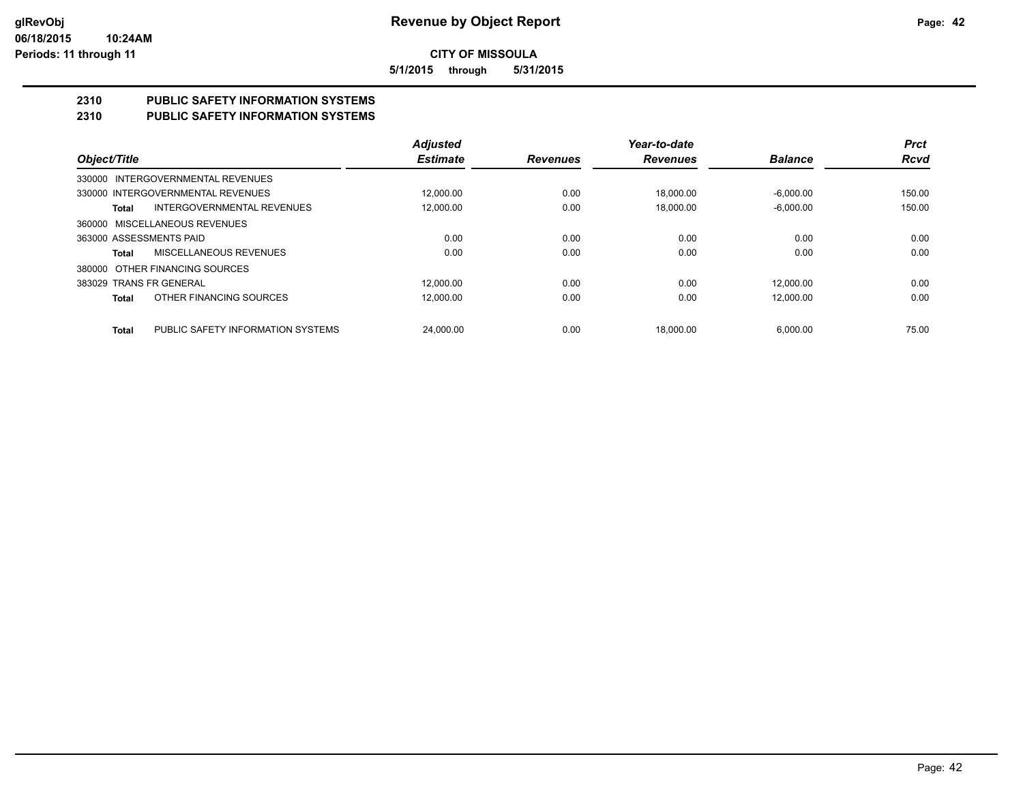**5/1/2015 through 5/31/2015**

# **2310 PUBLIC SAFETY INFORMATION SYSTEMS**

## **2310 PUBLIC SAFETY INFORMATION SYSTEMS**

|                                |                                   | <b>Adjusted</b> |                 | Year-to-date    |                | <b>Prct</b> |
|--------------------------------|-----------------------------------|-----------------|-----------------|-----------------|----------------|-------------|
| Object/Title                   |                                   | <b>Estimate</b> | <b>Revenues</b> | <b>Revenues</b> | <b>Balance</b> | <b>Rcvd</b> |
|                                | 330000 INTERGOVERNMENTAL REVENUES |                 |                 |                 |                |             |
|                                | 330000 INTERGOVERNMENTAL REVENUES | 12.000.00       | 0.00            | 18.000.00       | $-6.000.00$    | 150.00      |
| Total                          | <b>INTERGOVERNMENTAL REVENUES</b> | 12,000.00       | 0.00            | 18.000.00       | $-6.000.00$    | 150.00      |
| 360000 MISCELLANEOUS REVENUES  |                                   |                 |                 |                 |                |             |
| 363000 ASSESSMENTS PAID        |                                   | 0.00            | 0.00            | 0.00            | 0.00           | 0.00        |
| Total                          | MISCELLANEOUS REVENUES            | 0.00            | 0.00            | 0.00            | 0.00           | 0.00        |
| 380000 OTHER FINANCING SOURCES |                                   |                 |                 |                 |                |             |
| 383029 TRANS FR GENERAL        |                                   | 12.000.00       | 0.00            | 0.00            | 12.000.00      | 0.00        |
| Total                          | OTHER FINANCING SOURCES           | 12.000.00       | 0.00            | 0.00            | 12.000.00      | 0.00        |
| <b>Total</b>                   | PUBLIC SAFETY INFORMATION SYSTEMS | 24.000.00       | 0.00            | 18.000.00       | 6.000.00       | 75.00       |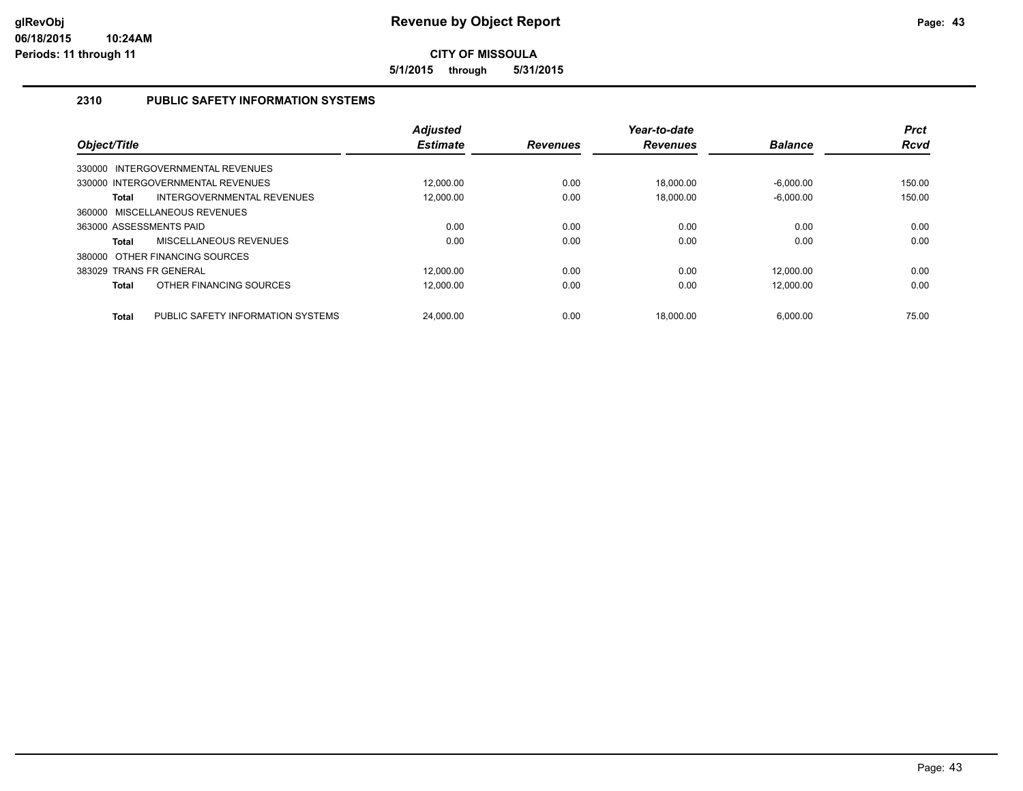**5/1/2015 through 5/31/2015**

## **2310 PUBLIC SAFETY INFORMATION SYSTEMS**

| Object/Title            |                                   | <b>Adjusted</b><br><b>Estimate</b> | <b>Revenues</b> | Year-to-date<br><b>Revenues</b> | <b>Balance</b> | <b>Prct</b><br><b>Rcvd</b> |
|-------------------------|-----------------------------------|------------------------------------|-----------------|---------------------------------|----------------|----------------------------|
|                         | 330000 INTERGOVERNMENTAL REVENUES |                                    |                 |                                 |                |                            |
|                         | 330000 INTERGOVERNMENTAL REVENUES | 12.000.00                          | 0.00            | 18.000.00                       | $-6.000.00$    | 150.00                     |
| <b>Total</b>            | INTERGOVERNMENTAL REVENUES        | 12.000.00                          | 0.00            | 18.000.00                       | $-6.000.00$    | 150.00                     |
|                         | 360000 MISCELLANEOUS REVENUES     |                                    |                 |                                 |                |                            |
| 363000 ASSESSMENTS PAID |                                   | 0.00                               | 0.00            | 0.00                            | 0.00           | 0.00                       |
| <b>Total</b>            | MISCELLANEOUS REVENUES            | 0.00                               | 0.00            | 0.00                            | 0.00           | 0.00                       |
|                         | 380000 OTHER FINANCING SOURCES    |                                    |                 |                                 |                |                            |
| 383029 TRANS FR GENERAL |                                   | 12.000.00                          | 0.00            | 0.00                            | 12.000.00      | 0.00                       |
| <b>Total</b>            | OTHER FINANCING SOURCES           | 12.000.00                          | 0.00            | 0.00                            | 12,000.00      | 0.00                       |
| <b>Total</b>            | PUBLIC SAFETY INFORMATION SYSTEMS | 24.000.00                          | 0.00            | 18.000.00                       | 6.000.00       | 75.00                      |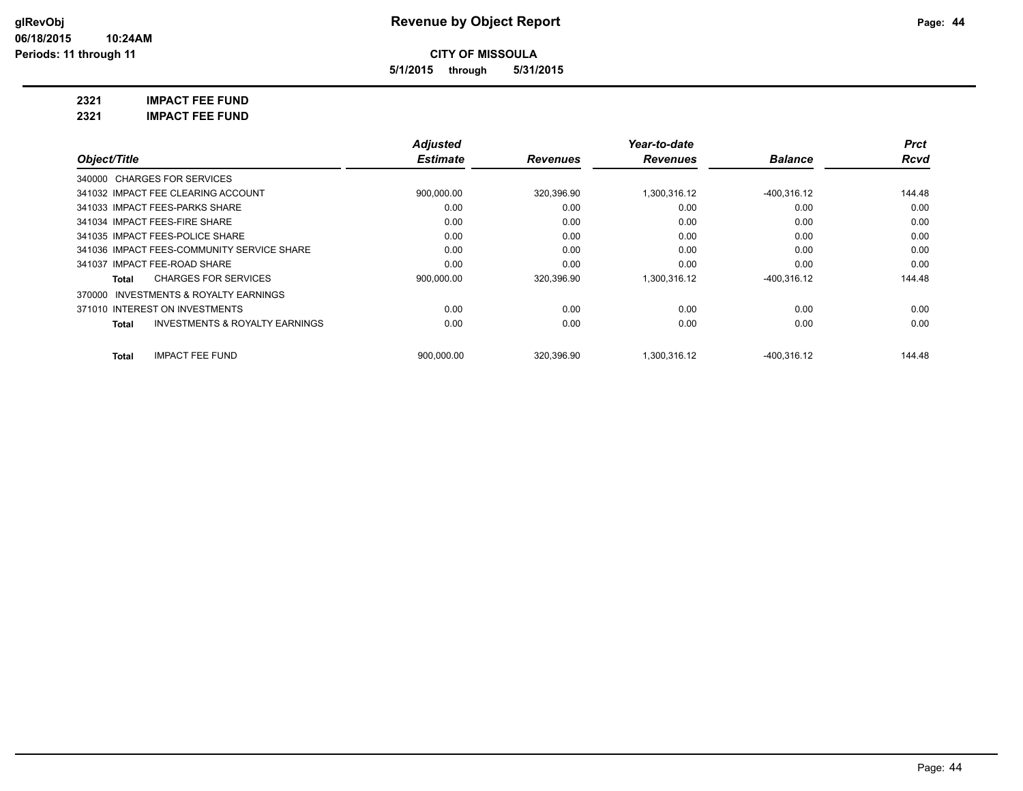**5/1/2015 through 5/31/2015**

**2321 IMPACT FEE FUND**

**2321 IMPACT FEE FUND**

|                                                           | <b>Adjusted</b> |                 | Year-to-date    |                | <b>Prct</b> |
|-----------------------------------------------------------|-----------------|-----------------|-----------------|----------------|-------------|
| Object/Title                                              | <b>Estimate</b> | <b>Revenues</b> | <b>Revenues</b> | <b>Balance</b> | <b>Rcvd</b> |
| 340000 CHARGES FOR SERVICES                               |                 |                 |                 |                |             |
| 341032 IMPACT FEE CLEARING ACCOUNT                        | 900,000.00      | 320,396.90      | 1.300.316.12    | $-400.316.12$  | 144.48      |
| 341033 IMPACT FEES-PARKS SHARE                            | 0.00            | 0.00            | 0.00            | 0.00           | 0.00        |
| 341034 IMPACT FEES-FIRE SHARE                             | 0.00            | 0.00            | 0.00            | 0.00           | 0.00        |
| 341035 IMPACT FEES-POLICE SHARE                           | 0.00            | 0.00            | 0.00            | 0.00           | 0.00        |
| 341036 IMPACT FEES-COMMUNITY SERVICE SHARE                | 0.00            | 0.00            | 0.00            | 0.00           | 0.00        |
| 341037 IMPACT FEE-ROAD SHARE                              | 0.00            | 0.00            | 0.00            | 0.00           | 0.00        |
| <b>CHARGES FOR SERVICES</b><br>Total                      | 900,000.00      | 320,396.90      | 1,300,316.12    | $-400,316.12$  | 144.48      |
| 370000 INVESTMENTS & ROYALTY EARNINGS                     |                 |                 |                 |                |             |
| 371010 INTEREST ON INVESTMENTS                            | 0.00            | 0.00            | 0.00            | 0.00           | 0.00        |
| <b>INVESTMENTS &amp; ROYALTY EARNINGS</b><br><b>Total</b> | 0.00            | 0.00            | 0.00            | 0.00           | 0.00        |
| <b>IMPACT FEE FUND</b><br><b>Total</b>                    | 900.000.00      | 320.396.90      | 1.300.316.12    | $-400.316.12$  | 144.48      |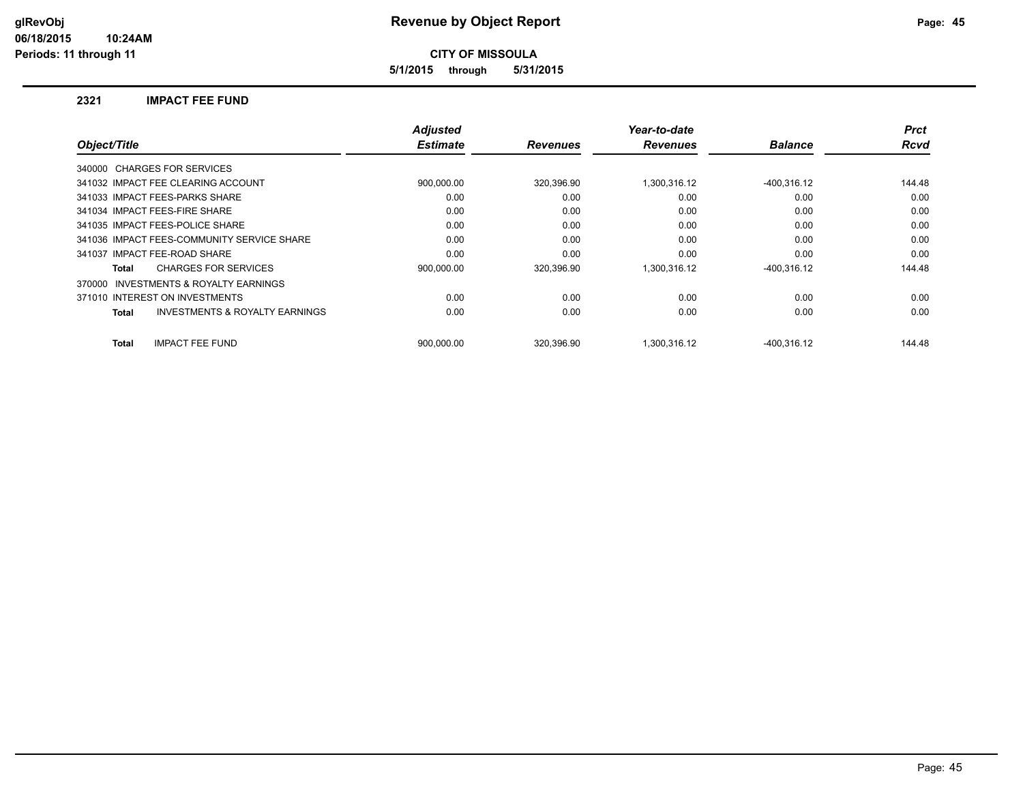**5/1/2015 through 5/31/2015**

#### **2321 IMPACT FEE FUND**

|                                                     | <b>Adjusted</b> |                 | Year-to-date    |                | <b>Prct</b> |
|-----------------------------------------------------|-----------------|-----------------|-----------------|----------------|-------------|
| Object/Title                                        | <b>Estimate</b> | <b>Revenues</b> | <b>Revenues</b> | <b>Balance</b> | <b>Rcvd</b> |
| 340000 CHARGES FOR SERVICES                         |                 |                 |                 |                |             |
| 341032 IMPACT FEE CLEARING ACCOUNT                  | 900,000.00      | 320,396.90      | 1,300,316.12    | $-400,316.12$  | 144.48      |
| 341033 IMPACT FEES-PARKS SHARE                      | 0.00            | 0.00            | 0.00            | 0.00           | 0.00        |
| 341034 IMPACT FEES-FIRE SHARE                       | 0.00            | 0.00            | 0.00            | 0.00           | 0.00        |
| 341035 IMPACT FEES-POLICE SHARE                     | 0.00            | 0.00            | 0.00            | 0.00           | 0.00        |
| 341036 IMPACT FEES-COMMUNITY SERVICE SHARE          | 0.00            | 0.00            | 0.00            | 0.00           | 0.00        |
| 341037 IMPACT FEE-ROAD SHARE                        | 0.00            | 0.00            | 0.00            | 0.00           | 0.00        |
| <b>CHARGES FOR SERVICES</b><br>Total                | 900,000.00      | 320,396.90      | 1,300,316.12    | $-400,316.12$  | 144.48      |
| <b>INVESTMENTS &amp; ROYALTY EARNINGS</b><br>370000 |                 |                 |                 |                |             |
| 371010 INTEREST ON INVESTMENTS                      | 0.00            | 0.00            | 0.00            | 0.00           | 0.00        |
| <b>INVESTMENTS &amp; ROYALTY EARNINGS</b><br>Total  | 0.00            | 0.00            | 0.00            | 0.00           | 0.00        |
| <b>IMPACT FEE FUND</b><br><b>Total</b>              | 900.000.00      | 320.396.90      | 1.300.316.12    | -400.316.12    | 144.48      |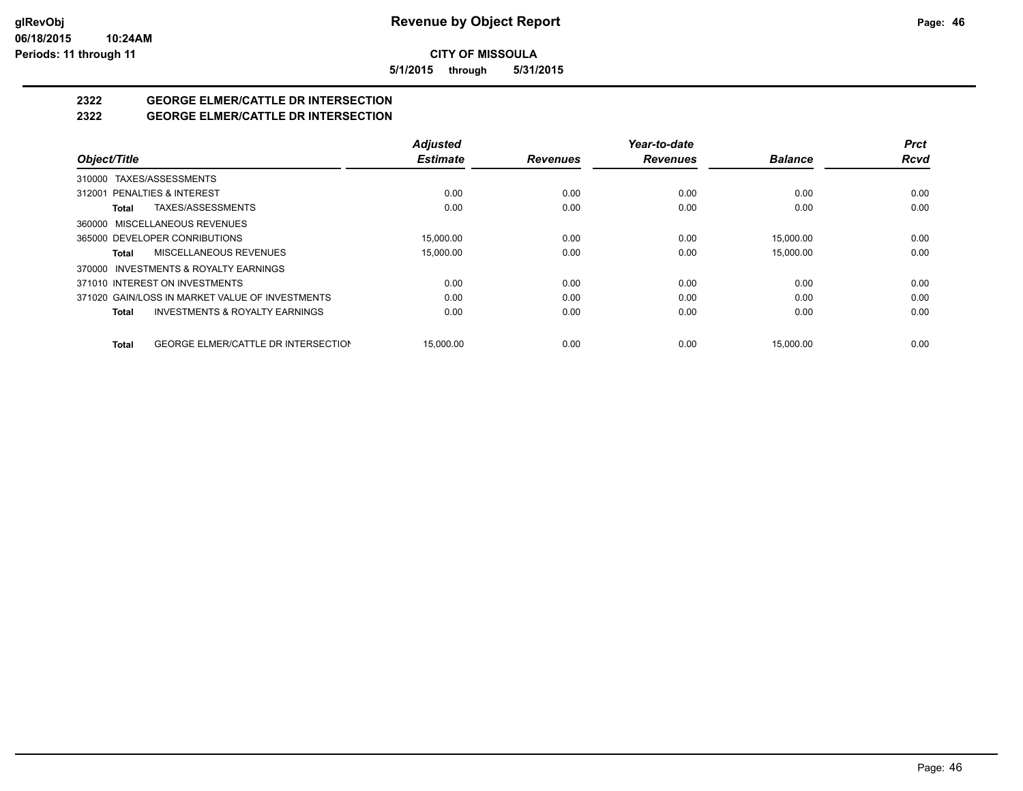**5/1/2015 through 5/31/2015**

# **2322 GEORGE ELMER/CATTLE DR INTERSECTION**

## **2322 GEORGE ELMER/CATTLE DR INTERSECTION**

|                                                            | <b>Adjusted</b> |                 | Year-to-date    |                | <b>Prct</b> |
|------------------------------------------------------------|-----------------|-----------------|-----------------|----------------|-------------|
| Object/Title                                               | <b>Estimate</b> | <b>Revenues</b> | <b>Revenues</b> | <b>Balance</b> | <b>Rcvd</b> |
| TAXES/ASSESSMENTS<br>310000                                |                 |                 |                 |                |             |
| 312001 PENALTIES & INTEREST                                | 0.00            | 0.00            | 0.00            | 0.00           | 0.00        |
| TAXES/ASSESSMENTS<br>Total                                 | 0.00            | 0.00            | 0.00            | 0.00           | 0.00        |
| MISCELLANEOUS REVENUES<br>360000                           |                 |                 |                 |                |             |
| 365000 DEVELOPER CONRIBUTIONS                              | 15.000.00       | 0.00            | 0.00            | 15,000.00      | 0.00        |
| MISCELLANEOUS REVENUES<br>Total                            | 15,000.00       | 0.00            | 0.00            | 15.000.00      | 0.00        |
| INVESTMENTS & ROYALTY EARNINGS<br>370000                   |                 |                 |                 |                |             |
| 371010 INTEREST ON INVESTMENTS                             | 0.00            | 0.00            | 0.00            | 0.00           | 0.00        |
| 371020 GAIN/LOSS IN MARKET VALUE OF INVESTMENTS            | 0.00            | 0.00            | 0.00            | 0.00           | 0.00        |
| <b>INVESTMENTS &amp; ROYALTY EARNINGS</b><br><b>Total</b>  | 0.00            | 0.00            | 0.00            | 0.00           | 0.00        |
| <b>GEORGE ELMER/CATTLE DR INTERSECTION</b><br><b>Total</b> | 15,000.00       | 0.00            | 0.00            | 15.000.00      | 0.00        |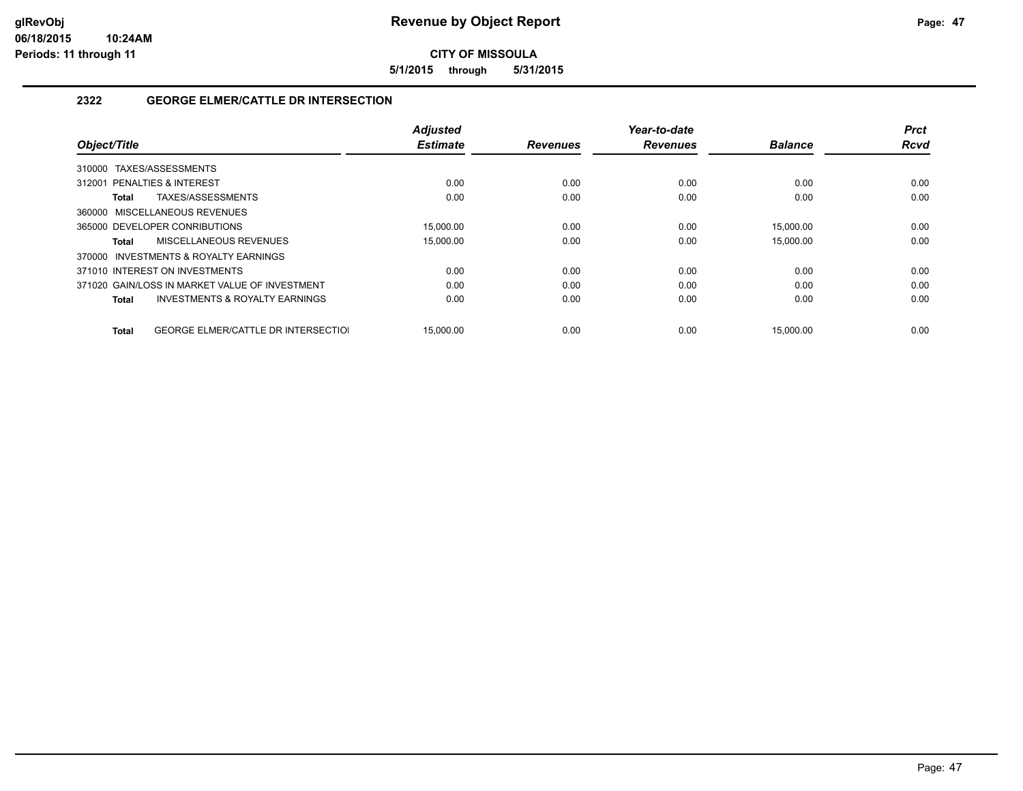**5/1/2015 through 5/31/2015**

### **2322 GEORGE ELMER/CATTLE DR INTERSECTION**

| Object/Title                                        | <b>Adjusted</b><br><b>Estimate</b> | <b>Revenues</b> | Year-to-date<br><b>Revenues</b> | <b>Balance</b> | <b>Prct</b><br><b>Rcvd</b> |
|-----------------------------------------------------|------------------------------------|-----------------|---------------------------------|----------------|----------------------------|
|                                                     |                                    |                 |                                 |                |                            |
| TAXES/ASSESSMENTS<br>310000                         |                                    |                 |                                 |                |                            |
| 312001 PENALTIES & INTEREST                         | 0.00                               | 0.00            | 0.00                            | 0.00           | 0.00                       |
| TAXES/ASSESSMENTS<br>Total                          | 0.00                               | 0.00            | 0.00                            | 0.00           | 0.00                       |
| 360000 MISCELLANEOUS REVENUES                       |                                    |                 |                                 |                |                            |
| 365000 DEVELOPER CONRIBUTIONS                       | 15.000.00                          | 0.00            | 0.00                            | 15.000.00      | 0.00                       |
| MISCELLANEOUS REVENUES<br>Total                     | 15,000.00                          | 0.00            | 0.00                            | 15,000.00      | 0.00                       |
| 370000 INVESTMENTS & ROYALTY EARNINGS               |                                    |                 |                                 |                |                            |
| 371010 INTEREST ON INVESTMENTS                      | 0.00                               | 0.00            | 0.00                            | 0.00           | 0.00                       |
| 371020 GAIN/LOSS IN MARKET VALUE OF INVESTMENT      | 0.00                               | 0.00            | 0.00                            | 0.00           | 0.00                       |
| <b>INVESTMENTS &amp; ROYALTY EARNINGS</b><br>Total  | 0.00                               | 0.00            | 0.00                            | 0.00           | 0.00                       |
|                                                     |                                    |                 |                                 |                |                            |
| <b>GEORGE ELMER/CATTLE DR INTERSECTIOL</b><br>Total | 15.000.00                          | 0.00            | 0.00                            | 15.000.00      | 0.00                       |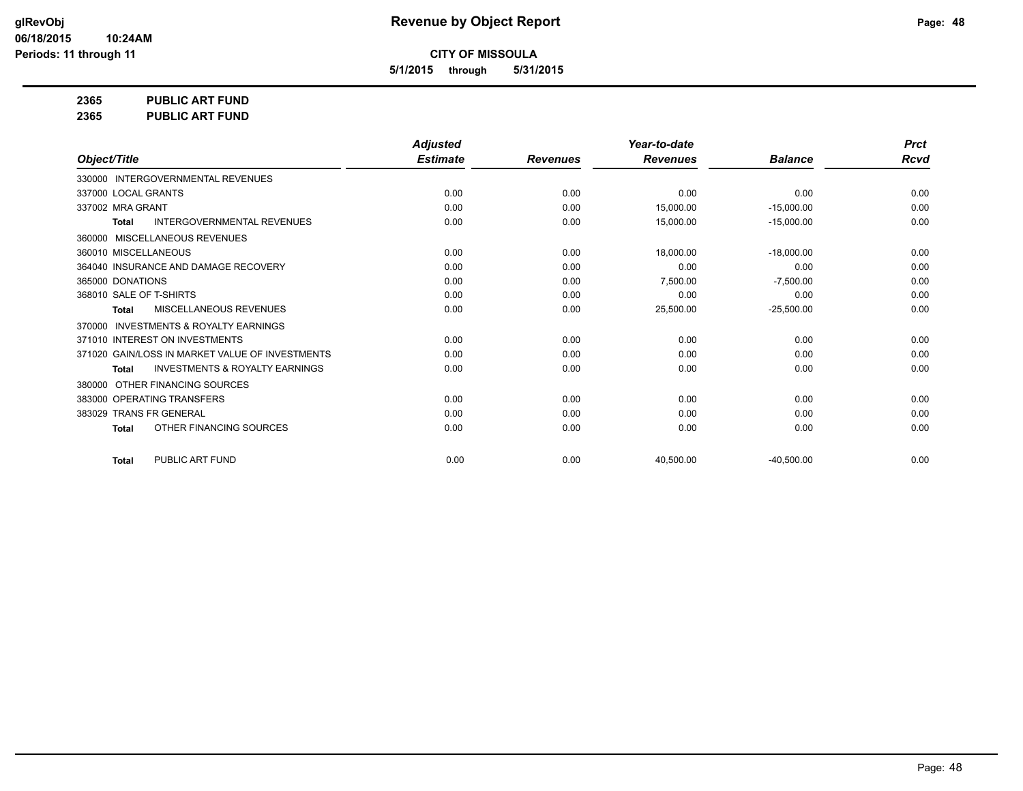**5/1/2015 through 5/31/2015**

**2365 PUBLIC ART FUND**

**2365 PUBLIC ART FUND**

|                                                           | <b>Adjusted</b> |                 | Year-to-date    |                | <b>Prct</b> |
|-----------------------------------------------------------|-----------------|-----------------|-----------------|----------------|-------------|
| Object/Title                                              | <b>Estimate</b> | <b>Revenues</b> | <b>Revenues</b> | <b>Balance</b> | Rcvd        |
| 330000 INTERGOVERNMENTAL REVENUES                         |                 |                 |                 |                |             |
| 337000 LOCAL GRANTS                                       | 0.00            | 0.00            | 0.00            | 0.00           | 0.00        |
| 337002 MRA GRANT                                          | 0.00            | 0.00            | 15,000.00       | $-15,000.00$   | 0.00        |
| <b>INTERGOVERNMENTAL REVENUES</b><br><b>Total</b>         | 0.00            | 0.00            | 15,000.00       | $-15,000.00$   | 0.00        |
| MISCELLANEOUS REVENUES<br>360000                          |                 |                 |                 |                |             |
| 360010 MISCELLANEOUS                                      | 0.00            | 0.00            | 18,000.00       | $-18.000.00$   | 0.00        |
| 364040 INSURANCE AND DAMAGE RECOVERY                      | 0.00            | 0.00            | 0.00            | 0.00           | 0.00        |
| 365000 DONATIONS                                          | 0.00            | 0.00            | 7,500.00        | $-7,500.00$    | 0.00        |
| 368010 SALE OF T-SHIRTS                                   | 0.00            | 0.00            | 0.00            | 0.00           | 0.00        |
| <b>MISCELLANEOUS REVENUES</b><br><b>Total</b>             | 0.00            | 0.00            | 25,500.00       | $-25,500.00$   | 0.00        |
| <b>INVESTMENTS &amp; ROYALTY EARNINGS</b><br>370000       |                 |                 |                 |                |             |
| 371010 INTEREST ON INVESTMENTS                            | 0.00            | 0.00            | 0.00            | 0.00           | 0.00        |
| 371020 GAIN/LOSS IN MARKET VALUE OF INVESTMENTS           | 0.00            | 0.00            | 0.00            | 0.00           | 0.00        |
| <b>INVESTMENTS &amp; ROYALTY EARNINGS</b><br><b>Total</b> | 0.00            | 0.00            | 0.00            | 0.00           | 0.00        |
| OTHER FINANCING SOURCES<br>380000                         |                 |                 |                 |                |             |
| 383000 OPERATING TRANSFERS                                | 0.00            | 0.00            | 0.00            | 0.00           | 0.00        |
| 383029 TRANS FR GENERAL                                   | 0.00            | 0.00            | 0.00            | 0.00           | 0.00        |
| OTHER FINANCING SOURCES<br><b>Total</b>                   | 0.00            | 0.00            | 0.00            | 0.00           | 0.00        |
| PUBLIC ART FUND<br><b>Total</b>                           | 0.00            | 0.00            | 40,500.00       | $-40,500.00$   | 0.00        |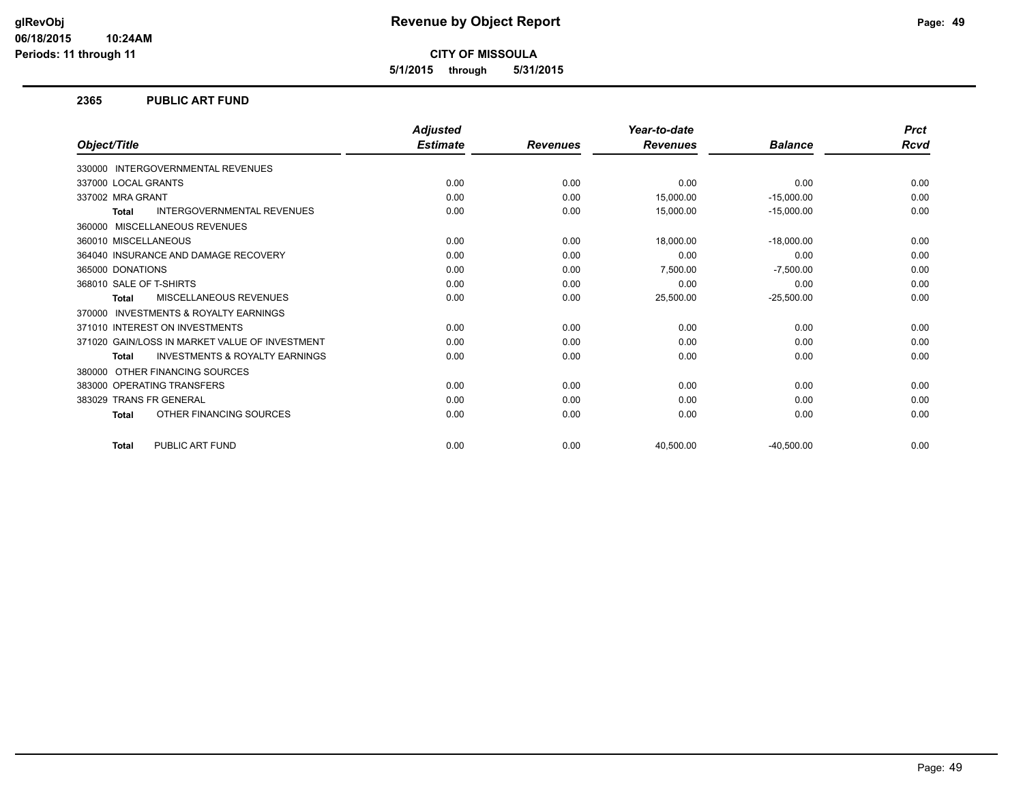**5/1/2015 through 5/31/2015**

#### **2365 PUBLIC ART FUND**

|                                                    | <b>Adjusted</b> |                 | Year-to-date    |                | <b>Prct</b> |
|----------------------------------------------------|-----------------|-----------------|-----------------|----------------|-------------|
| Object/Title                                       | <b>Estimate</b> | <b>Revenues</b> | <b>Revenues</b> | <b>Balance</b> | Rcvd        |
| 330000 INTERGOVERNMENTAL REVENUES                  |                 |                 |                 |                |             |
| 337000 LOCAL GRANTS                                | 0.00            | 0.00            | 0.00            | 0.00           | 0.00        |
| 337002 MRA GRANT                                   | 0.00            | 0.00            | 15,000.00       | $-15,000.00$   | 0.00        |
| <b>INTERGOVERNMENTAL REVENUES</b><br><b>Total</b>  | 0.00            | 0.00            | 15,000.00       | $-15,000.00$   | 0.00        |
| 360000 MISCELLANEOUS REVENUES                      |                 |                 |                 |                |             |
| 360010 MISCELLANEOUS                               | 0.00            | 0.00            | 18,000.00       | $-18.000.00$   | 0.00        |
| 364040 INSURANCE AND DAMAGE RECOVERY               | 0.00            | 0.00            | 0.00            | 0.00           | 0.00        |
| 365000 DONATIONS                                   | 0.00            | 0.00            | 7,500.00        | $-7,500.00$    | 0.00        |
| 368010 SALE OF T-SHIRTS                            | 0.00            | 0.00            | 0.00            | 0.00           | 0.00        |
| <b>MISCELLANEOUS REVENUES</b><br><b>Total</b>      | 0.00            | 0.00            | 25,500.00       | $-25,500.00$   | 0.00        |
| 370000 INVESTMENTS & ROYALTY EARNINGS              |                 |                 |                 |                |             |
| 371010 INTEREST ON INVESTMENTS                     | 0.00            | 0.00            | 0.00            | 0.00           | 0.00        |
| 371020 GAIN/LOSS IN MARKET VALUE OF INVESTMENT     | 0.00            | 0.00            | 0.00            | 0.00           | 0.00        |
| <b>INVESTMENTS &amp; ROYALTY EARNINGS</b><br>Total | 0.00            | 0.00            | 0.00            | 0.00           | 0.00        |
| OTHER FINANCING SOURCES<br>380000                  |                 |                 |                 |                |             |
| 383000 OPERATING TRANSFERS                         | 0.00            | 0.00            | 0.00            | 0.00           | 0.00        |
| 383029 TRANS FR GENERAL                            | 0.00            | 0.00            | 0.00            | 0.00           | 0.00        |
| OTHER FINANCING SOURCES<br><b>Total</b>            | 0.00            | 0.00            | 0.00            | 0.00           | 0.00        |
| PUBLIC ART FUND<br><b>Total</b>                    | 0.00            | 0.00            | 40,500.00       | $-40,500.00$   | 0.00        |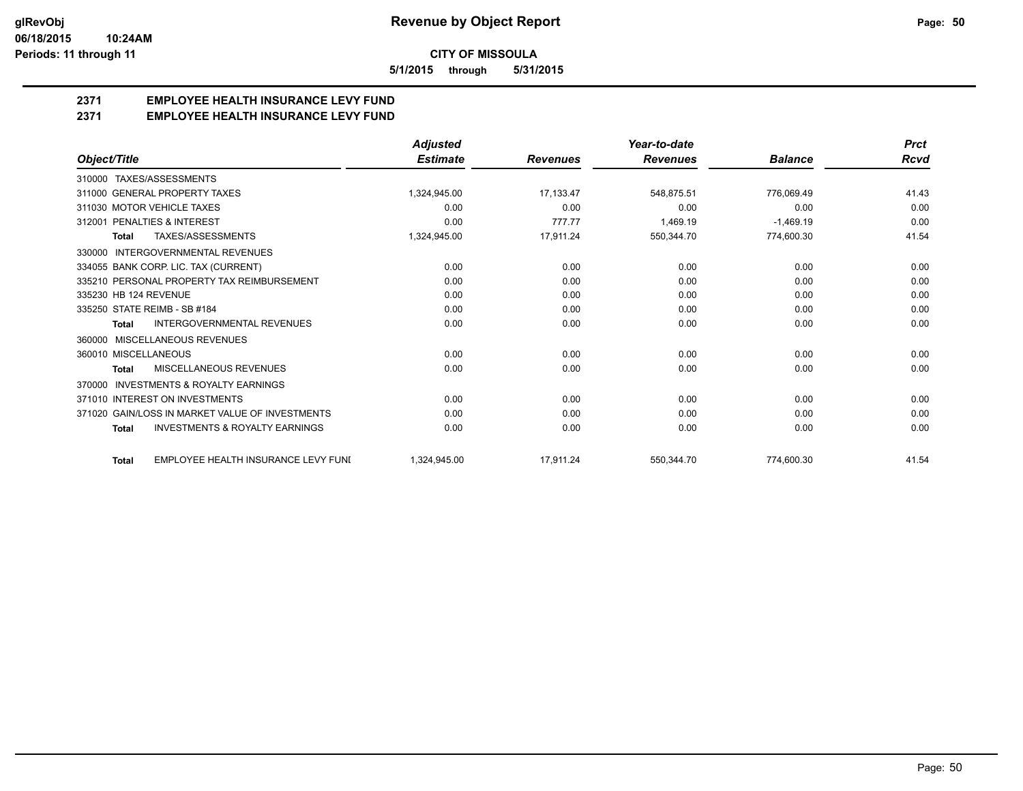**5/1/2015 through 5/31/2015**

## **2371 EMPLOYEE HEALTH INSURANCE LEVY FUND**

**2371 EMPLOYEE HEALTH INSURANCE LEVY FUND**

|                                                           | <b>Adjusted</b> |                 | Year-to-date    |                | <b>Prct</b> |
|-----------------------------------------------------------|-----------------|-----------------|-----------------|----------------|-------------|
| Object/Title                                              | <b>Estimate</b> | <b>Revenues</b> | <b>Revenues</b> | <b>Balance</b> | Rcvd        |
| 310000 TAXES/ASSESSMENTS                                  |                 |                 |                 |                |             |
| 311000 GENERAL PROPERTY TAXES                             | 1,324,945.00    | 17,133.47       | 548,875.51      | 776,069.49     | 41.43       |
| 311030 MOTOR VEHICLE TAXES                                | 0.00            | 0.00            | 0.00            | 0.00           | 0.00        |
| 312001 PENALTIES & INTEREST                               | 0.00            | 777.77          | 1,469.19        | $-1,469.19$    | 0.00        |
| TAXES/ASSESSMENTS<br>Total                                | 1,324,945.00    | 17,911.24       | 550,344.70      | 774,600.30     | 41.54       |
| INTERGOVERNMENTAL REVENUES<br>330000                      |                 |                 |                 |                |             |
| 334055 BANK CORP. LIC. TAX (CURRENT)                      | 0.00            | 0.00            | 0.00            | 0.00           | 0.00        |
| 335210 PERSONAL PROPERTY TAX REIMBURSEMENT                | 0.00            | 0.00            | 0.00            | 0.00           | 0.00        |
| 335230 HB 124 REVENUE                                     | 0.00            | 0.00            | 0.00            | 0.00           | 0.00        |
| 335250 STATE REIMB - SB #184                              | 0.00            | 0.00            | 0.00            | 0.00           | 0.00        |
| <b>INTERGOVERNMENTAL REVENUES</b><br><b>Total</b>         | 0.00            | 0.00            | 0.00            | 0.00           | 0.00        |
| MISCELLANEOUS REVENUES<br>360000                          |                 |                 |                 |                |             |
| 360010 MISCELLANEOUS                                      | 0.00            | 0.00            | 0.00            | 0.00           | 0.00        |
| <b>MISCELLANEOUS REVENUES</b><br><b>Total</b>             | 0.00            | 0.00            | 0.00            | 0.00           | 0.00        |
| <b>INVESTMENTS &amp; ROYALTY EARNINGS</b><br>370000       |                 |                 |                 |                |             |
| 371010 INTEREST ON INVESTMENTS                            | 0.00            | 0.00            | 0.00            | 0.00           | 0.00        |
| 371020 GAIN/LOSS IN MARKET VALUE OF INVESTMENTS           | 0.00            | 0.00            | 0.00            | 0.00           | 0.00        |
| <b>INVESTMENTS &amp; ROYALTY EARNINGS</b><br><b>Total</b> | 0.00            | 0.00            | 0.00            | 0.00           | 0.00        |
| EMPLOYEE HEALTH INSURANCE LEVY FUNI<br><b>Total</b>       | 1,324,945.00    | 17,911.24       | 550,344.70      | 774,600.30     | 41.54       |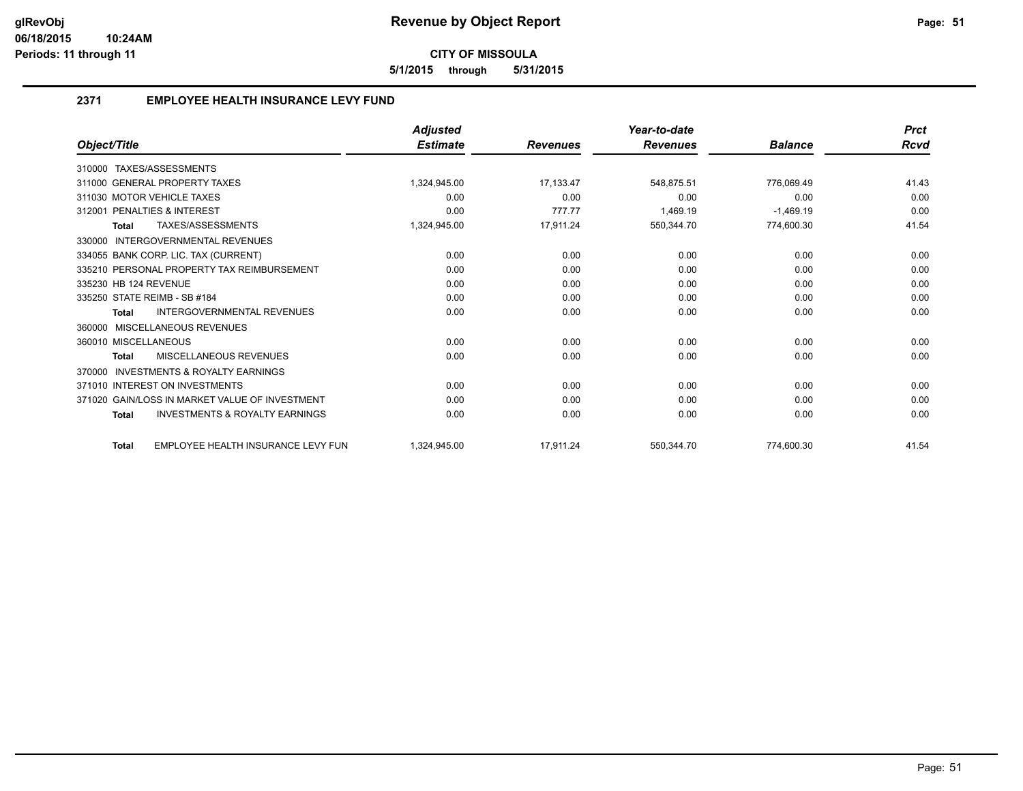**5/1/2015 through 5/31/2015**

## **2371 EMPLOYEE HEALTH INSURANCE LEVY FUND**

|                                                           | <b>Adjusted</b> |                 | Year-to-date    |                | <b>Prct</b> |
|-----------------------------------------------------------|-----------------|-----------------|-----------------|----------------|-------------|
| Object/Title                                              | <b>Estimate</b> | <b>Revenues</b> | <b>Revenues</b> | <b>Balance</b> | Rcvd        |
| TAXES/ASSESSMENTS<br>310000                               |                 |                 |                 |                |             |
| 311000 GENERAL PROPERTY TAXES                             | 1,324,945.00    | 17,133.47       | 548,875.51      | 776,069.49     | 41.43       |
| 311030 MOTOR VEHICLE TAXES                                | 0.00            | 0.00            | 0.00            | 0.00           | 0.00        |
| 312001 PENALTIES & INTEREST                               | 0.00            | 777.77          | 1.469.19        | $-1,469.19$    | 0.00        |
| TAXES/ASSESSMENTS<br><b>Total</b>                         | 1,324,945.00    | 17,911.24       | 550,344.70      | 774,600.30     | 41.54       |
| INTERGOVERNMENTAL REVENUES<br>330000                      |                 |                 |                 |                |             |
| 334055 BANK CORP. LIC. TAX (CURRENT)                      | 0.00            | 0.00            | 0.00            | 0.00           | 0.00        |
| 335210 PERSONAL PROPERTY TAX REIMBURSEMENT                | 0.00            | 0.00            | 0.00            | 0.00           | 0.00        |
| 335230 HB 124 REVENUE                                     | 0.00            | 0.00            | 0.00            | 0.00           | 0.00        |
| 335250 STATE REIMB - SB #184                              | 0.00            | 0.00            | 0.00            | 0.00           | 0.00        |
| INTERGOVERNMENTAL REVENUES<br><b>Total</b>                | 0.00            | 0.00            | 0.00            | 0.00           | 0.00        |
| MISCELLANEOUS REVENUES<br>360000                          |                 |                 |                 |                |             |
| 360010 MISCELLANEOUS                                      | 0.00            | 0.00            | 0.00            | 0.00           | 0.00        |
| <b>MISCELLANEOUS REVENUES</b><br><b>Total</b>             | 0.00            | 0.00            | 0.00            | 0.00           | 0.00        |
| <b>INVESTMENTS &amp; ROYALTY EARNINGS</b><br>370000       |                 |                 |                 |                |             |
| 371010 INTEREST ON INVESTMENTS                            | 0.00            | 0.00            | 0.00            | 0.00           | 0.00        |
| 371020 GAIN/LOSS IN MARKET VALUE OF INVESTMENT            | 0.00            | 0.00            | 0.00            | 0.00           | 0.00        |
| <b>INVESTMENTS &amp; ROYALTY EARNINGS</b><br><b>Total</b> | 0.00            | 0.00            | 0.00            | 0.00           | 0.00        |
| EMPLOYEE HEALTH INSURANCE LEVY FUN<br><b>Total</b>        | 1.324.945.00    | 17.911.24       | 550.344.70      | 774,600.30     | 41.54       |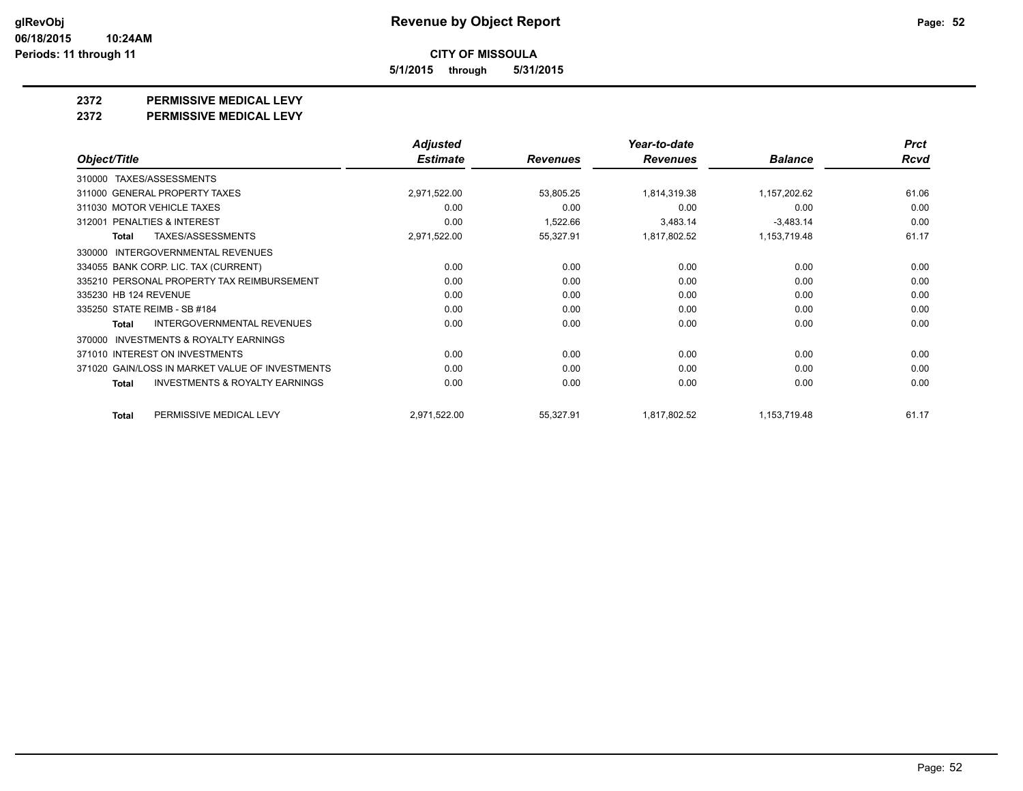**5/1/2015 through 5/31/2015**

**2372 PERMISSIVE MEDICAL LEVY**

**2372 PERMISSIVE MEDICAL LEVY**

|                                                     | <b>Adjusted</b> |                 | Year-to-date    |                | <b>Prct</b> |
|-----------------------------------------------------|-----------------|-----------------|-----------------|----------------|-------------|
| Object/Title                                        | <b>Estimate</b> | <b>Revenues</b> | <b>Revenues</b> | <b>Balance</b> | <b>Rcvd</b> |
| TAXES/ASSESSMENTS<br>310000                         |                 |                 |                 |                |             |
| 311000 GENERAL PROPERTY TAXES                       | 2,971,522.00    | 53,805.25       | 1,814,319.38    | 1,157,202.62   | 61.06       |
| 311030 MOTOR VEHICLE TAXES                          | 0.00            | 0.00            | 0.00            | 0.00           | 0.00        |
| PENALTIES & INTEREST<br>312001                      | 0.00            | 1,522.66        | 3,483.14        | $-3,483.14$    | 0.00        |
| TAXES/ASSESSMENTS<br>Total                          | 2,971,522.00    | 55,327.91       | 1,817,802.52    | 1,153,719.48   | 61.17       |
| INTERGOVERNMENTAL REVENUES<br>330000                |                 |                 |                 |                |             |
| 334055 BANK CORP. LIC. TAX (CURRENT)                | 0.00            | 0.00            | 0.00            | 0.00           | 0.00        |
| 335210 PERSONAL PROPERTY TAX REIMBURSEMENT          | 0.00            | 0.00            | 0.00            | 0.00           | 0.00        |
| 335230 HB 124 REVENUE                               | 0.00            | 0.00            | 0.00            | 0.00           | 0.00        |
| 335250 STATE REIMB - SB #184                        | 0.00            | 0.00            | 0.00            | 0.00           | 0.00        |
| <b>INTERGOVERNMENTAL REVENUES</b><br>Total          | 0.00            | 0.00            | 0.00            | 0.00           | 0.00        |
| <b>INVESTMENTS &amp; ROYALTY EARNINGS</b><br>370000 |                 |                 |                 |                |             |
| 371010 INTEREST ON INVESTMENTS                      | 0.00            | 0.00            | 0.00            | 0.00           | 0.00        |
| 371020 GAIN/LOSS IN MARKET VALUE OF INVESTMENTS     | 0.00            | 0.00            | 0.00            | 0.00           | 0.00        |
| <b>INVESTMENTS &amp; ROYALTY EARNINGS</b><br>Total  | 0.00            | 0.00            | 0.00            | 0.00           | 0.00        |
| PERMISSIVE MEDICAL LEVY<br>Total                    | 2,971,522.00    | 55,327.91       | 1,817,802.52    | 1,153,719.48   | 61.17       |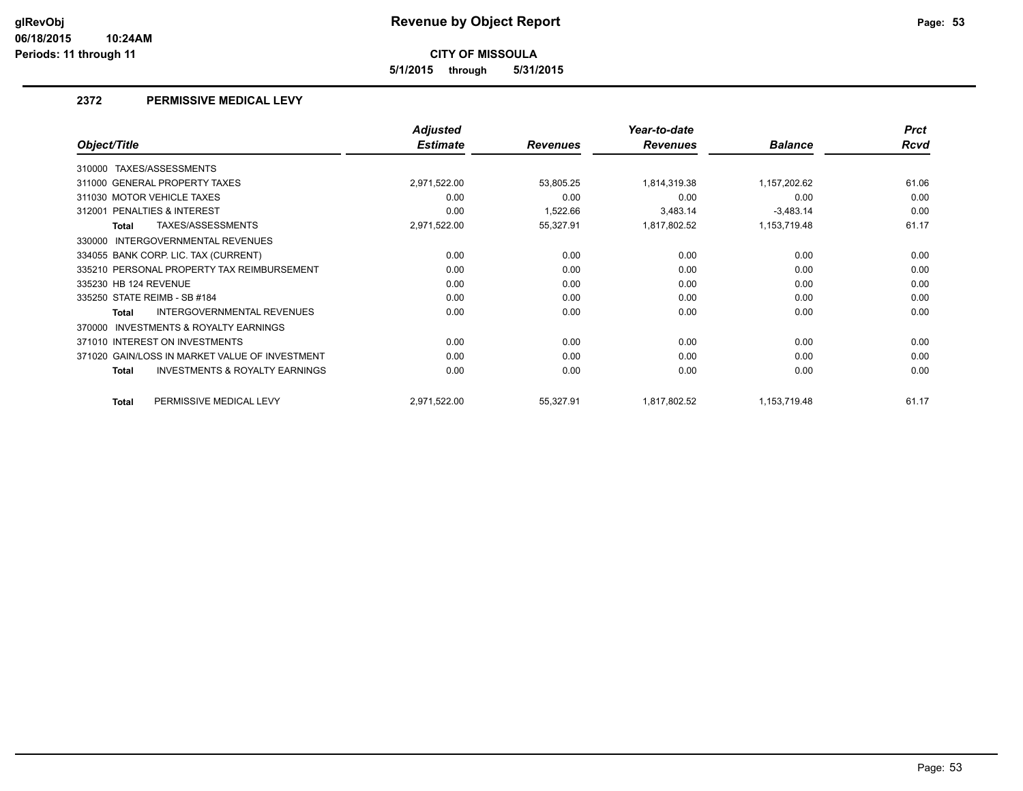**5/1/2015 through 5/31/2015**

#### **2372 PERMISSIVE MEDICAL LEVY**

|                                                           | <b>Adjusted</b> |                 | Year-to-date    |                | <b>Prct</b> |
|-----------------------------------------------------------|-----------------|-----------------|-----------------|----------------|-------------|
| Object/Title                                              | <b>Estimate</b> | <b>Revenues</b> | <b>Revenues</b> | <b>Balance</b> | <b>Rcvd</b> |
| TAXES/ASSESSMENTS<br>310000                               |                 |                 |                 |                |             |
| 311000 GENERAL PROPERTY TAXES                             | 2,971,522.00    | 53,805.25       | 1,814,319.38    | 1,157,202.62   | 61.06       |
| 311030 MOTOR VEHICLE TAXES                                | 0.00            | 0.00            | 0.00            | 0.00           | 0.00        |
| 312001 PENALTIES & INTEREST                               | 0.00            | 1,522.66        | 3,483.14        | $-3,483.14$    | 0.00        |
| TAXES/ASSESSMENTS<br><b>Total</b>                         | 2,971,522.00    | 55,327.91       | 1,817,802.52    | 1,153,719.48   | 61.17       |
| INTERGOVERNMENTAL REVENUES<br>330000                      |                 |                 |                 |                |             |
| 334055 BANK CORP. LIC. TAX (CURRENT)                      | 0.00            | 0.00            | 0.00            | 0.00           | 0.00        |
| 335210 PERSONAL PROPERTY TAX REIMBURSEMENT                | 0.00            | 0.00            | 0.00            | 0.00           | 0.00        |
| 335230 HB 124 REVENUE                                     | 0.00            | 0.00            | 0.00            | 0.00           | 0.00        |
| 335250 STATE REIMB - SB #184                              | 0.00            | 0.00            | 0.00            | 0.00           | 0.00        |
| INTERGOVERNMENTAL REVENUES<br>Total                       | 0.00            | 0.00            | 0.00            | 0.00           | 0.00        |
| INVESTMENTS & ROYALTY EARNINGS<br>370000                  |                 |                 |                 |                |             |
| 371010 INTEREST ON INVESTMENTS                            | 0.00            | 0.00            | 0.00            | 0.00           | 0.00        |
| 371020 GAIN/LOSS IN MARKET VALUE OF INVESTMENT            | 0.00            | 0.00            | 0.00            | 0.00           | 0.00        |
| <b>INVESTMENTS &amp; ROYALTY EARNINGS</b><br><b>Total</b> | 0.00            | 0.00            | 0.00            | 0.00           | 0.00        |
| PERMISSIVE MEDICAL LEVY<br><b>Total</b>                   | 2,971,522.00    | 55,327.91       | 1,817,802.52    | 1,153,719.48   | 61.17       |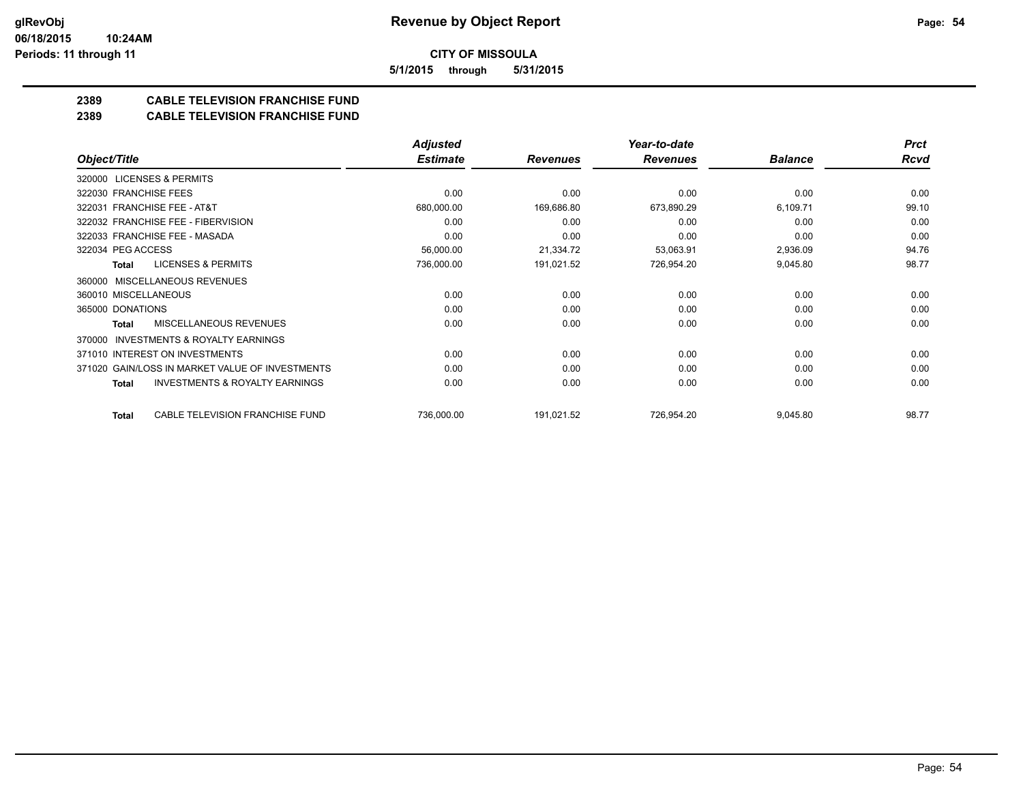**5/1/2015 through 5/31/2015**

## **2389 CABLE TELEVISION FRANCHISE FUND**

#### **2389 CABLE TELEVISION FRANCHISE FUND**

|                                                     | <b>Adjusted</b> |                 | Year-to-date    |                | <b>Prct</b> |
|-----------------------------------------------------|-----------------|-----------------|-----------------|----------------|-------------|
| Object/Title                                        | <b>Estimate</b> | <b>Revenues</b> | <b>Revenues</b> | <b>Balance</b> | <b>Rcvd</b> |
| 320000 LICENSES & PERMITS                           |                 |                 |                 |                |             |
| 322030 FRANCHISE FEES                               | 0.00            | 0.00            | 0.00            | 0.00           | 0.00        |
| 322031 FRANCHISE FEE - AT&T                         | 680,000.00      | 169,686.80      | 673,890.29      | 6,109.71       | 99.10       |
| 322032 FRANCHISE FEE - FIBERVISION                  | 0.00            | 0.00            | 0.00            | 0.00           | 0.00        |
| 322033 FRANCHISE FEE - MASADA                       | 0.00            | 0.00            | 0.00            | 0.00           | 0.00        |
| 322034 PEG ACCESS                                   | 56,000.00       | 21,334.72       | 53,063.91       | 2,936.09       | 94.76       |
| <b>LICENSES &amp; PERMITS</b><br>Total              | 736,000.00      | 191,021.52      | 726,954.20      | 9,045.80       | 98.77       |
| 360000 MISCELLANEOUS REVENUES                       |                 |                 |                 |                |             |
| 360010 MISCELLANEOUS                                | 0.00            | 0.00            | 0.00            | 0.00           | 0.00        |
| 365000 DONATIONS                                    | 0.00            | 0.00            | 0.00            | 0.00           | 0.00        |
| <b>MISCELLANEOUS REVENUES</b><br>Total              | 0.00            | 0.00            | 0.00            | 0.00           | 0.00        |
| <b>INVESTMENTS &amp; ROYALTY EARNINGS</b><br>370000 |                 |                 |                 |                |             |
| 371010 INTEREST ON INVESTMENTS                      | 0.00            | 0.00            | 0.00            | 0.00           | 0.00        |
| 371020 GAIN/LOSS IN MARKET VALUE OF INVESTMENTS     | 0.00            | 0.00            | 0.00            | 0.00           | 0.00        |
| <b>INVESTMENTS &amp; ROYALTY EARNINGS</b><br>Total  | 0.00            | 0.00            | 0.00            | 0.00           | 0.00        |
| CABLE TELEVISION FRANCHISE FUND<br>Total            | 736,000.00      | 191,021.52      | 726,954.20      | 9,045.80       | 98.77       |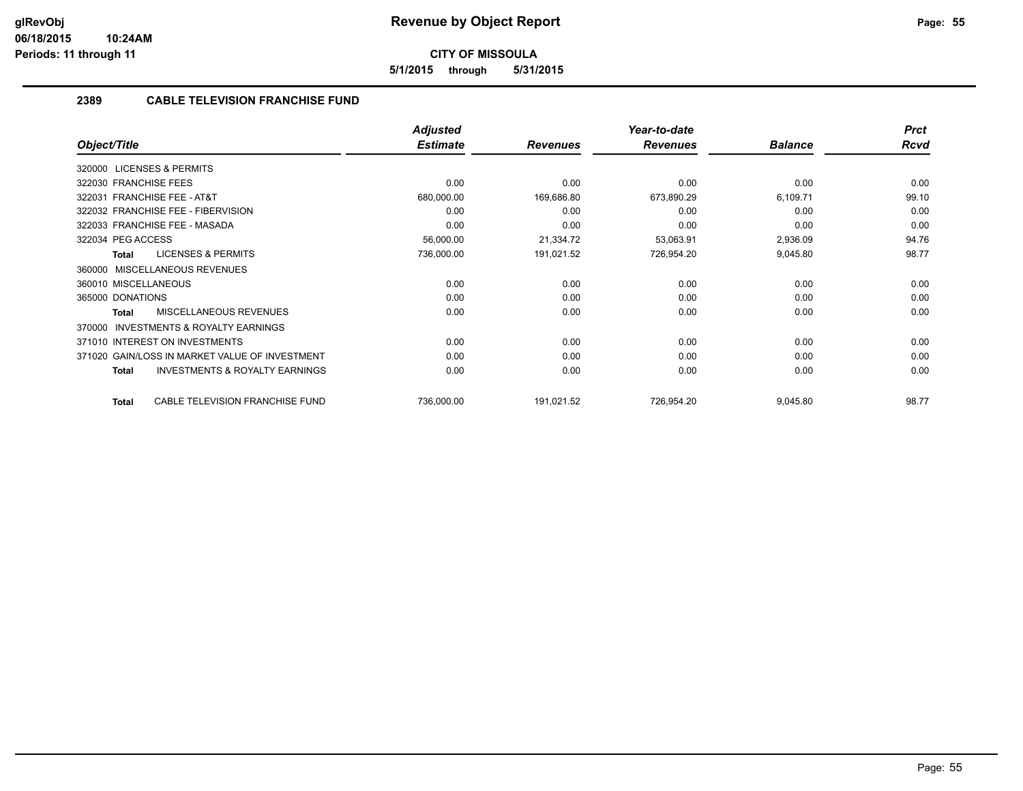**5/1/2015 through 5/31/2015**

## **2389 CABLE TELEVISION FRANCHISE FUND**

|                                                           | <b>Adjusted</b> |                 | Year-to-date    |                | <b>Prct</b> |
|-----------------------------------------------------------|-----------------|-----------------|-----------------|----------------|-------------|
| Object/Title                                              | <b>Estimate</b> | <b>Revenues</b> | <b>Revenues</b> | <b>Balance</b> | <b>Rcvd</b> |
| <b>LICENSES &amp; PERMITS</b><br>320000                   |                 |                 |                 |                |             |
| 322030 FRANCHISE FEES                                     | 0.00            | 0.00            | 0.00            | 0.00           | 0.00        |
| 322031 FRANCHISE FEE - AT&T                               | 680,000.00      | 169,686.80      | 673,890.29      | 6,109.71       | 99.10       |
| 322032 FRANCHISE FEE - FIBERVISION                        | 0.00            | 0.00            | 0.00            | 0.00           | 0.00        |
| 322033 FRANCHISE FEE - MASADA                             | 0.00            | 0.00            | 0.00            | 0.00           | 0.00        |
| 322034 PEG ACCESS                                         | 56,000.00       | 21,334.72       | 53,063.91       | 2,936.09       | 94.76       |
| <b>LICENSES &amp; PERMITS</b><br><b>Total</b>             | 736,000.00      | 191,021.52      | 726,954.20      | 9,045.80       | 98.77       |
| MISCELLANEOUS REVENUES<br>360000                          |                 |                 |                 |                |             |
| 360010 MISCELLANEOUS                                      | 0.00            | 0.00            | 0.00            | 0.00           | 0.00        |
| 365000 DONATIONS                                          | 0.00            | 0.00            | 0.00            | 0.00           | 0.00        |
| <b>MISCELLANEOUS REVENUES</b><br><b>Total</b>             | 0.00            | 0.00            | 0.00            | 0.00           | 0.00        |
| <b>INVESTMENTS &amp; ROYALTY EARNINGS</b><br>370000       |                 |                 |                 |                |             |
| 371010 INTEREST ON INVESTMENTS                            | 0.00            | 0.00            | 0.00            | 0.00           | 0.00        |
| 371020 GAIN/LOSS IN MARKET VALUE OF INVESTMENT            | 0.00            | 0.00            | 0.00            | 0.00           | 0.00        |
| <b>INVESTMENTS &amp; ROYALTY EARNINGS</b><br><b>Total</b> | 0.00            | 0.00            | 0.00            | 0.00           | 0.00        |
| CABLE TELEVISION FRANCHISE FUND<br><b>Total</b>           | 736,000.00      | 191,021.52      | 726,954.20      | 9,045.80       | 98.77       |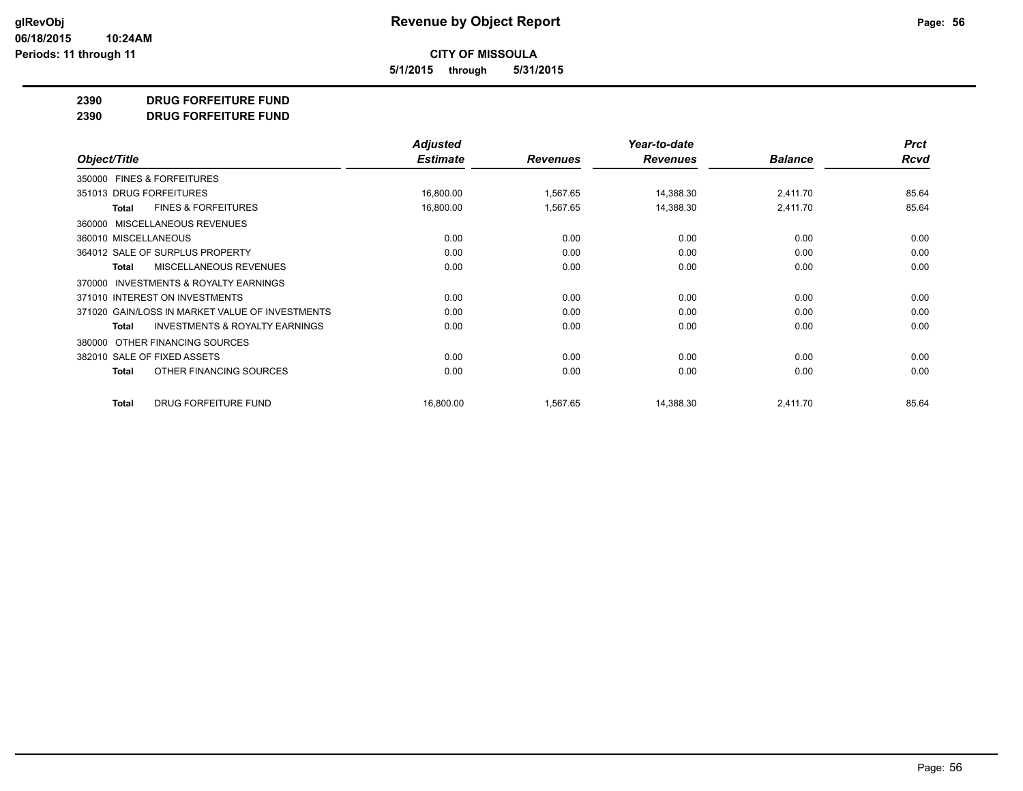**5/1/2015 through 5/31/2015**

#### **2390 DRUG FORFEITURE FUND**

**2390 DRUG FORFEITURE FUND**

|                                                           | <b>Adjusted</b> |                 | Year-to-date    |                | <b>Prct</b> |
|-----------------------------------------------------------|-----------------|-----------------|-----------------|----------------|-------------|
| Object/Title                                              | <b>Estimate</b> | <b>Revenues</b> | <b>Revenues</b> | <b>Balance</b> | <b>Rcvd</b> |
| 350000 FINES & FORFEITURES                                |                 |                 |                 |                |             |
| 351013 DRUG FORFEITURES                                   | 16,800.00       | 1,567.65        | 14,388.30       | 2,411.70       | 85.64       |
| <b>FINES &amp; FORFEITURES</b><br>Total                   | 16,800.00       | 1,567.65        | 14,388.30       | 2,411.70       | 85.64       |
| MISCELLANEOUS REVENUES<br>360000                          |                 |                 |                 |                |             |
| 360010 MISCELLANEOUS                                      | 0.00            | 0.00            | 0.00            | 0.00           | 0.00        |
| 364012 SALE OF SURPLUS PROPERTY                           | 0.00            | 0.00            | 0.00            | 0.00           | 0.00        |
| MISCELLANEOUS REVENUES<br><b>Total</b>                    | 0.00            | 0.00            | 0.00            | 0.00           | 0.00        |
| INVESTMENTS & ROYALTY EARNINGS<br>370000                  |                 |                 |                 |                |             |
| 371010 INTEREST ON INVESTMENTS                            | 0.00            | 0.00            | 0.00            | 0.00           | 0.00        |
| 371020 GAIN/LOSS IN MARKET VALUE OF INVESTMENTS           | 0.00            | 0.00            | 0.00            | 0.00           | 0.00        |
| <b>INVESTMENTS &amp; ROYALTY EARNINGS</b><br><b>Total</b> | 0.00            | 0.00            | 0.00            | 0.00           | 0.00        |
| OTHER FINANCING SOURCES<br>380000                         |                 |                 |                 |                |             |
| 382010 SALE OF FIXED ASSETS                               | 0.00            | 0.00            | 0.00            | 0.00           | 0.00        |
| OTHER FINANCING SOURCES<br><b>Total</b>                   | 0.00            | 0.00            | 0.00            | 0.00           | 0.00        |
| DRUG FORFEITURE FUND<br><b>Total</b>                      | 16,800.00       | 1,567.65        | 14,388.30       | 2,411.70       | 85.64       |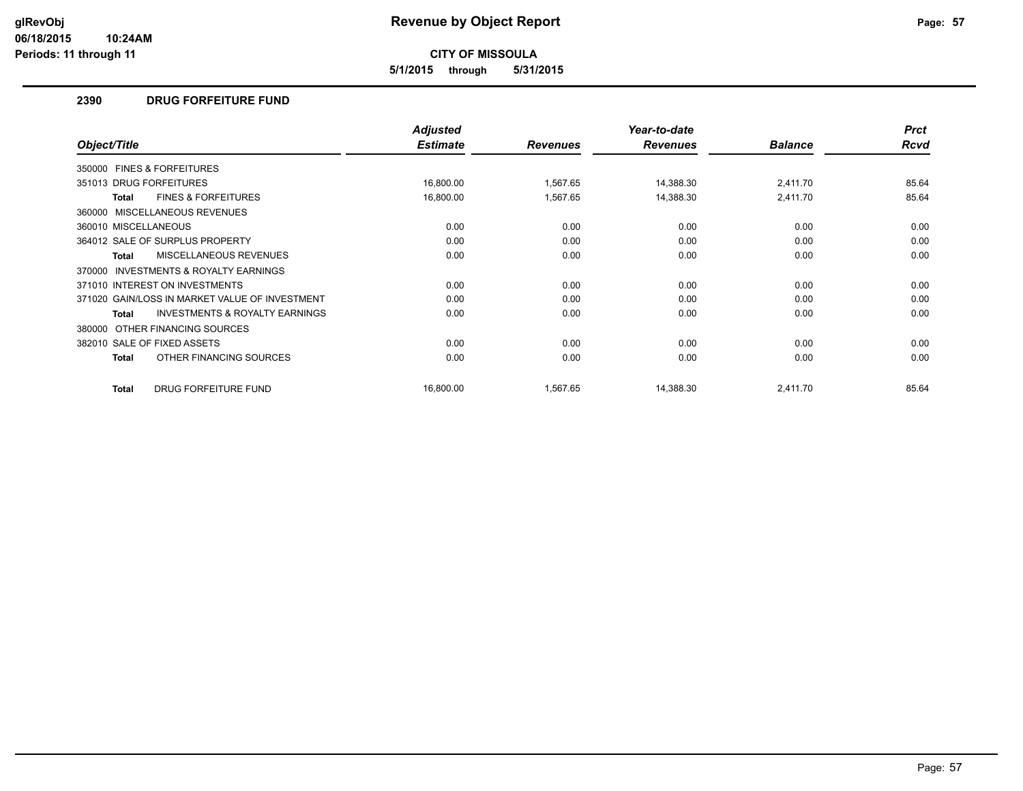**5/1/2015 through 5/31/2015**

#### **2390 DRUG FORFEITURE FUND**

|                                                           | <b>Adjusted</b> |                 | Year-to-date    |                | <b>Prct</b> |
|-----------------------------------------------------------|-----------------|-----------------|-----------------|----------------|-------------|
| Object/Title                                              | <b>Estimate</b> | <b>Revenues</b> | <b>Revenues</b> | <b>Balance</b> | Rcvd        |
| 350000 FINES & FORFEITURES                                |                 |                 |                 |                |             |
| 351013 DRUG FORFEITURES                                   | 16,800.00       | 1,567.65        | 14,388.30       | 2,411.70       | 85.64       |
| <b>FINES &amp; FORFEITURES</b><br><b>Total</b>            | 16,800.00       | 1,567.65        | 14,388.30       | 2,411.70       | 85.64       |
| 360000 MISCELLANEOUS REVENUES                             |                 |                 |                 |                |             |
| 360010 MISCELLANEOUS                                      | 0.00            | 0.00            | 0.00            | 0.00           | 0.00        |
| 364012 SALE OF SURPLUS PROPERTY                           | 0.00            | 0.00            | 0.00            | 0.00           | 0.00        |
| MISCELLANEOUS REVENUES<br><b>Total</b>                    | 0.00            | 0.00            | 0.00            | 0.00           | 0.00        |
| <b>INVESTMENTS &amp; ROYALTY EARNINGS</b><br>370000       |                 |                 |                 |                |             |
| 371010 INTEREST ON INVESTMENTS                            | 0.00            | 0.00            | 0.00            | 0.00           | 0.00        |
| 371020 GAIN/LOSS IN MARKET VALUE OF INVESTMENT            | 0.00            | 0.00            | 0.00            | 0.00           | 0.00        |
| <b>INVESTMENTS &amp; ROYALTY EARNINGS</b><br><b>Total</b> | 0.00            | 0.00            | 0.00            | 0.00           | 0.00        |
| OTHER FINANCING SOURCES<br>380000                         |                 |                 |                 |                |             |
| 382010 SALE OF FIXED ASSETS                               | 0.00            | 0.00            | 0.00            | 0.00           | 0.00        |
| OTHER FINANCING SOURCES<br>Total                          | 0.00            | 0.00            | 0.00            | 0.00           | 0.00        |
| <b>DRUG FORFEITURE FUND</b><br><b>Total</b>               | 16,800.00       | 1,567.65        | 14,388.30       | 2,411.70       | 85.64       |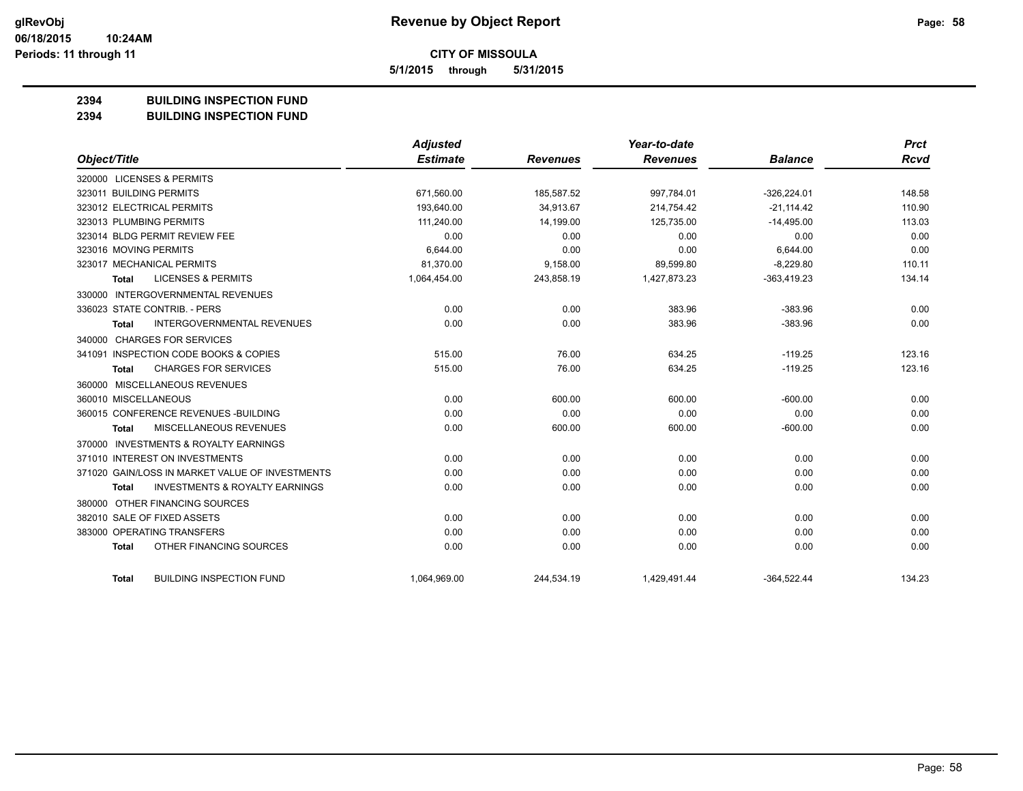**5/1/2015 through 5/31/2015**

## **2394 BUILDING INSPECTION FUND**

#### **2394 BUILDING INSPECTION FUND**

|                                                           | <b>Adjusted</b> |                 | Year-to-date    |                | <b>Prct</b> |
|-----------------------------------------------------------|-----------------|-----------------|-----------------|----------------|-------------|
| Object/Title                                              | <b>Estimate</b> | <b>Revenues</b> | <b>Revenues</b> | <b>Balance</b> | <b>Rcvd</b> |
| 320000 LICENSES & PERMITS                                 |                 |                 |                 |                |             |
| 323011 BUILDING PERMITS                                   | 671,560.00      | 185,587.52      | 997,784.01      | $-326,224.01$  | 148.58      |
| 323012 ELECTRICAL PERMITS                                 | 193,640.00      | 34.913.67       | 214,754.42      | $-21.114.42$   | 110.90      |
| 323013 PLUMBING PERMITS                                   | 111,240.00      | 14,199.00       | 125,735.00      | $-14,495.00$   | 113.03      |
| 323014 BLDG PERMIT REVIEW FEE                             | 0.00            | 0.00            | 0.00            | 0.00           | 0.00        |
| 323016 MOVING PERMITS                                     | 6,644.00        | 0.00            | 0.00            | 6,644.00       | 0.00        |
| 323017 MECHANICAL PERMITS                                 | 81,370.00       | 9,158.00        | 89,599.80       | $-8,229.80$    | 110.11      |
| <b>LICENSES &amp; PERMITS</b><br>Total                    | 1,064,454.00    | 243,858.19      | 1,427,873.23    | $-363,419.23$  | 134.14      |
| 330000 INTERGOVERNMENTAL REVENUES                         |                 |                 |                 |                |             |
| 336023 STATE CONTRIB. - PERS                              | 0.00            | 0.00            | 383.96          | $-383.96$      | 0.00        |
| <b>INTERGOVERNMENTAL REVENUES</b><br><b>Total</b>         | 0.00            | 0.00            | 383.96          | $-383.96$      | 0.00        |
| 340000 CHARGES FOR SERVICES                               |                 |                 |                 |                |             |
| 341091 INSPECTION CODE BOOKS & COPIES                     | 515.00          | 76.00           | 634.25          | $-119.25$      | 123.16      |
| <b>CHARGES FOR SERVICES</b><br><b>Total</b>               | 515.00          | 76.00           | 634.25          | $-119.25$      | 123.16      |
| 360000 MISCELLANEOUS REVENUES                             |                 |                 |                 |                |             |
| 360010 MISCELLANEOUS                                      | 0.00            | 600.00          | 600.00          | $-600.00$      | 0.00        |
| 360015 CONFERENCE REVENUES - BUILDING                     | 0.00            | 0.00            | 0.00            | 0.00           | 0.00        |
| MISCELLANEOUS REVENUES<br><b>Total</b>                    | 0.00            | 600.00          | 600.00          | $-600.00$      | 0.00        |
| 370000 INVESTMENTS & ROYALTY EARNINGS                     |                 |                 |                 |                |             |
| 371010 INTEREST ON INVESTMENTS                            | 0.00            | 0.00            | 0.00            | 0.00           | 0.00        |
| 371020 GAIN/LOSS IN MARKET VALUE OF INVESTMENTS           | 0.00            | 0.00            | 0.00            | 0.00           | 0.00        |
| <b>INVESTMENTS &amp; ROYALTY EARNINGS</b><br><b>Total</b> | 0.00            | 0.00            | 0.00            | 0.00           | 0.00        |
| 380000 OTHER FINANCING SOURCES                            |                 |                 |                 |                |             |
| 382010 SALE OF FIXED ASSETS                               | 0.00            | 0.00            | 0.00            | 0.00           | 0.00        |
| 383000 OPERATING TRANSFERS                                | 0.00            | 0.00            | 0.00            | 0.00           | 0.00        |
| OTHER FINANCING SOURCES<br><b>Total</b>                   | 0.00            | 0.00            | 0.00            | 0.00           | 0.00        |
| <b>BUILDING INSPECTION FUND</b><br><b>Total</b>           | 1,064,969.00    | 244,534.19      | 1,429,491.44    | $-364,522.44$  | 134.23      |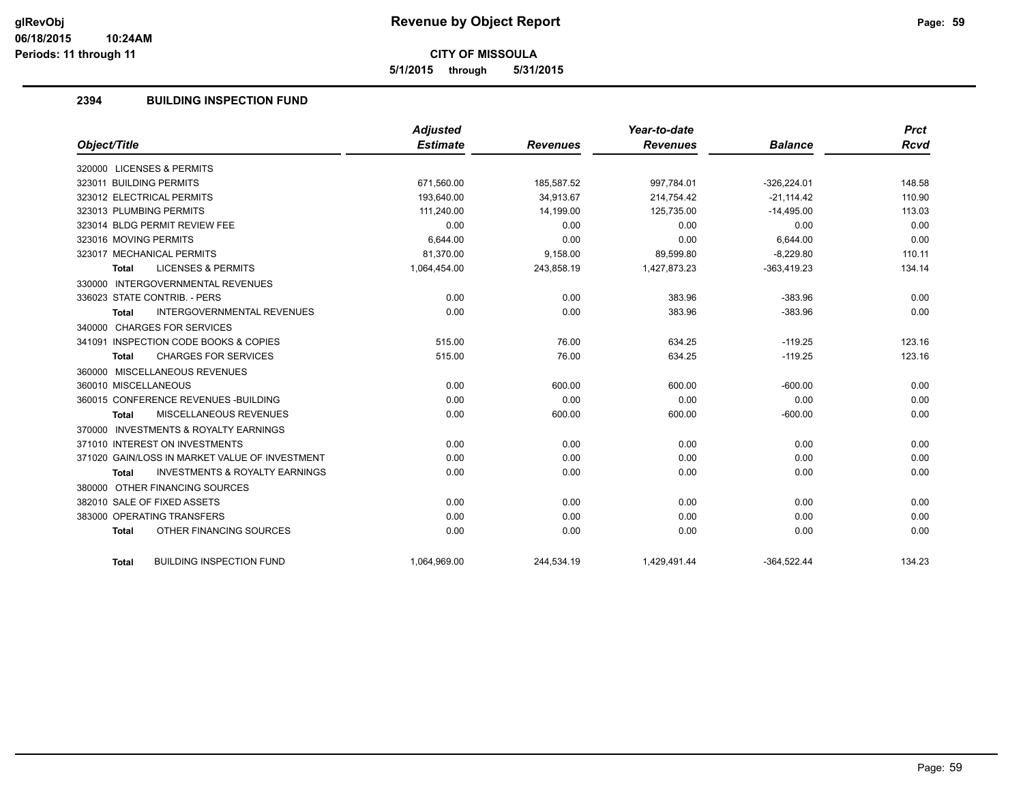**5/1/2015 through 5/31/2015**

## **2394 BUILDING INSPECTION FUND**

|                                                           | <b>Adjusted</b> |                 | Year-to-date    |                | <b>Prct</b> |
|-----------------------------------------------------------|-----------------|-----------------|-----------------|----------------|-------------|
| Object/Title                                              | <b>Estimate</b> | <b>Revenues</b> | <b>Revenues</b> | <b>Balance</b> | Rcvd        |
| 320000 LICENSES & PERMITS                                 |                 |                 |                 |                |             |
| 323011 BUILDING PERMITS                                   | 671,560.00      | 185,587.52      | 997,784.01      | $-326,224.01$  | 148.58      |
| 323012 ELECTRICAL PERMITS                                 | 193.640.00      | 34.913.67       | 214.754.42      | $-21.114.42$   | 110.90      |
| 323013 PLUMBING PERMITS                                   | 111,240.00      | 14,199.00       | 125,735.00      | $-14,495.00$   | 113.03      |
| 323014 BLDG PERMIT REVIEW FEE                             | 0.00            | 0.00            | 0.00            | 0.00           | 0.00        |
| 323016 MOVING PERMITS                                     | 6,644.00        | 0.00            | 0.00            | 6.644.00       | 0.00        |
| 323017 MECHANICAL PERMITS                                 | 81,370.00       | 9,158.00        | 89,599.80       | $-8,229.80$    | 110.11      |
| <b>LICENSES &amp; PERMITS</b><br><b>Total</b>             | 1,064,454.00    | 243,858.19      | 1,427,873.23    | $-363,419.23$  | 134.14      |
| 330000 INTERGOVERNMENTAL REVENUES                         |                 |                 |                 |                |             |
| 336023 STATE CONTRIB. - PERS                              | 0.00            | 0.00            | 383.96          | $-383.96$      | 0.00        |
| <b>INTERGOVERNMENTAL REVENUES</b><br><b>Total</b>         | 0.00            | 0.00            | 383.96          | $-383.96$      | 0.00        |
| 340000 CHARGES FOR SERVICES                               |                 |                 |                 |                |             |
| 341091 INSPECTION CODE BOOKS & COPIES                     | 515.00          | 76.00           | 634.25          | $-119.25$      | 123.16      |
| <b>CHARGES FOR SERVICES</b><br><b>Total</b>               | 515.00          | 76.00           | 634.25          | $-119.25$      | 123.16      |
| 360000 MISCELLANEOUS REVENUES                             |                 |                 |                 |                |             |
| 360010 MISCELLANEOUS                                      | 0.00            | 600.00          | 600.00          | $-600.00$      | 0.00        |
| 360015 CONFERENCE REVENUES - BUILDING                     | 0.00            | 0.00            | 0.00            | 0.00           | 0.00        |
| MISCELLANEOUS REVENUES<br><b>Total</b>                    | 0.00            | 600.00          | 600.00          | $-600.00$      | 0.00        |
| 370000 INVESTMENTS & ROYALTY EARNINGS                     |                 |                 |                 |                |             |
| 371010 INTEREST ON INVESTMENTS                            | 0.00            | 0.00            | 0.00            | 0.00           | 0.00        |
| 371020 GAIN/LOSS IN MARKET VALUE OF INVESTMENT            | 0.00            | 0.00            | 0.00            | 0.00           | 0.00        |
| <b>INVESTMENTS &amp; ROYALTY EARNINGS</b><br><b>Total</b> | 0.00            | 0.00            | 0.00            | 0.00           | 0.00        |
| 380000 OTHER FINANCING SOURCES                            |                 |                 |                 |                |             |
| 382010 SALE OF FIXED ASSETS                               | 0.00            | 0.00            | 0.00            | 0.00           | 0.00        |
| 383000 OPERATING TRANSFERS                                | 0.00            | 0.00            | 0.00            | 0.00           | 0.00        |
| OTHER FINANCING SOURCES<br><b>Total</b>                   | 0.00            | 0.00            | 0.00            | 0.00           | 0.00        |
|                                                           |                 |                 |                 |                |             |
| <b>BUILDING INSPECTION FUND</b><br><b>Total</b>           | 1,064,969.00    | 244,534.19      | 1,429,491.44    | $-364,522.44$  | 134.23      |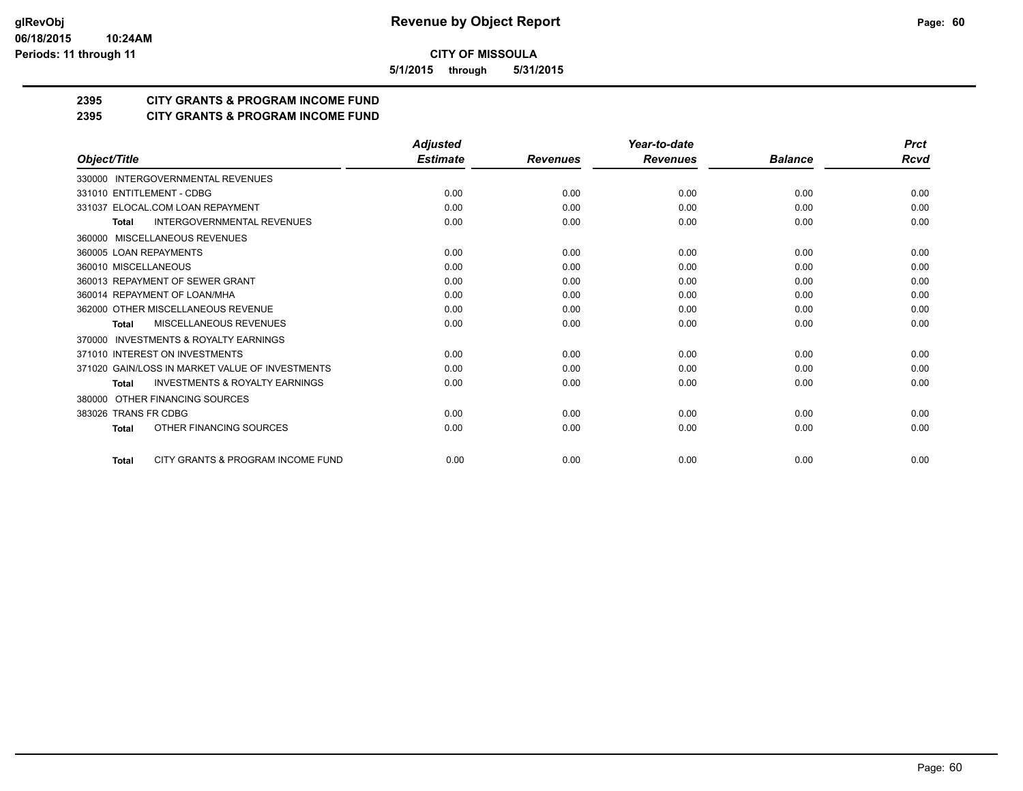**5/1/2015 through 5/31/2015**

## **2395 CITY GRANTS & PROGRAM INCOME FUND**

**2395 CITY GRANTS & PROGRAM INCOME FUND**

|                                                           | <b>Adjusted</b> |                 | Year-to-date    |                | <b>Prct</b> |
|-----------------------------------------------------------|-----------------|-----------------|-----------------|----------------|-------------|
| Object/Title                                              | <b>Estimate</b> | <b>Revenues</b> | <b>Revenues</b> | <b>Balance</b> | <b>Rcvd</b> |
| 330000 INTERGOVERNMENTAL REVENUES                         |                 |                 |                 |                |             |
| 331010 ENTITLEMENT - CDBG                                 | 0.00            | 0.00            | 0.00            | 0.00           | 0.00        |
| 331037 ELOCAL.COM LOAN REPAYMENT                          | 0.00            | 0.00            | 0.00            | 0.00           | 0.00        |
| <b>INTERGOVERNMENTAL REVENUES</b><br><b>Total</b>         | 0.00            | 0.00            | 0.00            | 0.00           | 0.00        |
| 360000 MISCELLANEOUS REVENUES                             |                 |                 |                 |                |             |
| 360005 LOAN REPAYMENTS                                    | 0.00            | 0.00            | 0.00            | 0.00           | 0.00        |
| 360010 MISCELLANEOUS                                      | 0.00            | 0.00            | 0.00            | 0.00           | 0.00        |
| 360013 REPAYMENT OF SEWER GRANT                           | 0.00            | 0.00            | 0.00            | 0.00           | 0.00        |
| 360014 REPAYMENT OF LOAN/MHA                              | 0.00            | 0.00            | 0.00            | 0.00           | 0.00        |
| 362000 OTHER MISCELLANEOUS REVENUE                        | 0.00            | 0.00            | 0.00            | 0.00           | 0.00        |
| MISCELLANEOUS REVENUES<br><b>Total</b>                    | 0.00            | 0.00            | 0.00            | 0.00           | 0.00        |
| <b>INVESTMENTS &amp; ROYALTY EARNINGS</b><br>370000       |                 |                 |                 |                |             |
| 371010 INTEREST ON INVESTMENTS                            | 0.00            | 0.00            | 0.00            | 0.00           | 0.00        |
| 371020 GAIN/LOSS IN MARKET VALUE OF INVESTMENTS           | 0.00            | 0.00            | 0.00            | 0.00           | 0.00        |
| <b>INVESTMENTS &amp; ROYALTY EARNINGS</b><br><b>Total</b> | 0.00            | 0.00            | 0.00            | 0.00           | 0.00        |
| OTHER FINANCING SOURCES<br>380000                         |                 |                 |                 |                |             |
| 383026 TRANS FR CDBG                                      | 0.00            | 0.00            | 0.00            | 0.00           | 0.00        |
| OTHER FINANCING SOURCES<br><b>Total</b>                   | 0.00            | 0.00            | 0.00            | 0.00           | 0.00        |
| CITY GRANTS & PROGRAM INCOME FUND<br><b>Total</b>         | 0.00            | 0.00            | 0.00            | 0.00           | 0.00        |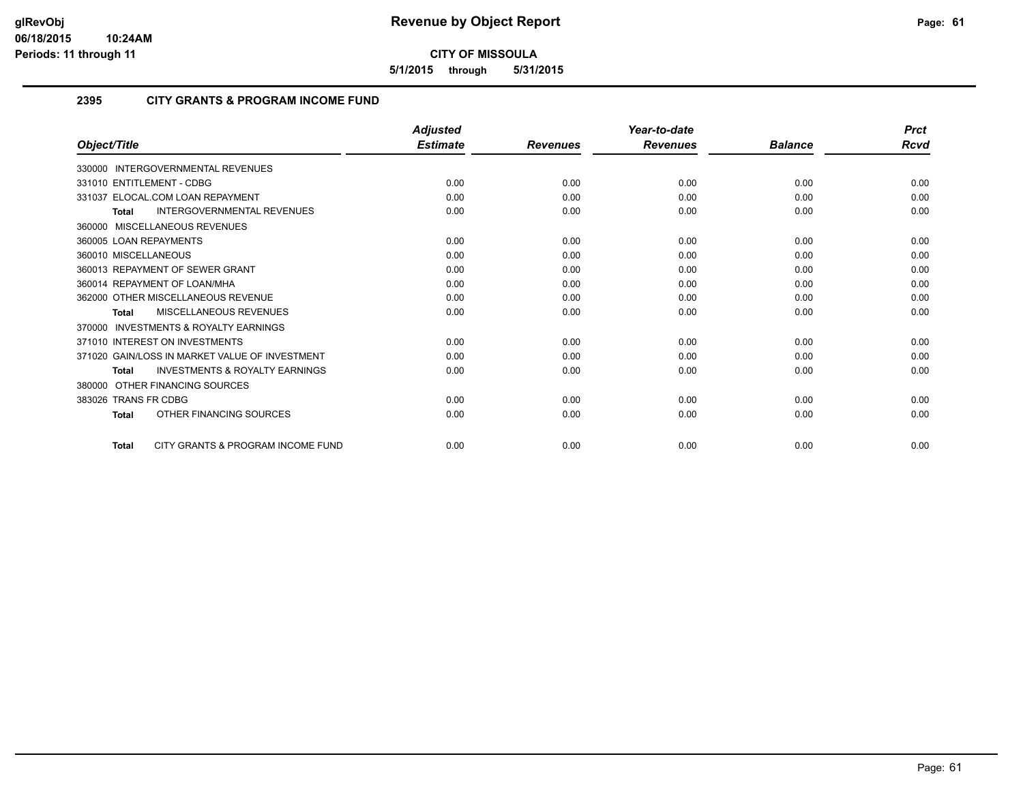**5/1/2015 through 5/31/2015**

#### **2395 CITY GRANTS & PROGRAM INCOME FUND**

|                        |                                                | <b>Adjusted</b> |                 | Year-to-date    |                | <b>Prct</b> |
|------------------------|------------------------------------------------|-----------------|-----------------|-----------------|----------------|-------------|
| Object/Title           |                                                | <b>Estimate</b> | <b>Revenues</b> | <b>Revenues</b> | <b>Balance</b> | Rcvd        |
| 330000                 | <b>INTERGOVERNMENTAL REVENUES</b>              |                 |                 |                 |                |             |
|                        | 331010 ENTITLEMENT - CDBG                      | 0.00            | 0.00            | 0.00            | 0.00           | 0.00        |
|                        | 331037 ELOCAL.COM LOAN REPAYMENT               | 0.00            | 0.00            | 0.00            | 0.00           | 0.00        |
| <b>Total</b>           | <b>INTERGOVERNMENTAL REVENUES</b>              | 0.00            | 0.00            | 0.00            | 0.00           | 0.00        |
|                        | 360000 MISCELLANEOUS REVENUES                  |                 |                 |                 |                |             |
| 360005 LOAN REPAYMENTS |                                                | 0.00            | 0.00            | 0.00            | 0.00           | 0.00        |
| 360010 MISCELLANEOUS   |                                                | 0.00            | 0.00            | 0.00            | 0.00           | 0.00        |
|                        | 360013 REPAYMENT OF SEWER GRANT                | 0.00            | 0.00            | 0.00            | 0.00           | 0.00        |
|                        | 360014 REPAYMENT OF LOAN/MHA                   | 0.00            | 0.00            | 0.00            | 0.00           | 0.00        |
|                        | 362000 OTHER MISCELLANEOUS REVENUE             | 0.00            | 0.00            | 0.00            | 0.00           | 0.00        |
| Total                  | <b>MISCELLANEOUS REVENUES</b>                  | 0.00            | 0.00            | 0.00            | 0.00           | 0.00        |
| 370000                 | <b>INVESTMENTS &amp; ROYALTY EARNINGS</b>      |                 |                 |                 |                |             |
|                        | 371010 INTEREST ON INVESTMENTS                 | 0.00            | 0.00            | 0.00            | 0.00           | 0.00        |
|                        | 371020 GAIN/LOSS IN MARKET VALUE OF INVESTMENT | 0.00            | 0.00            | 0.00            | 0.00           | 0.00        |
| <b>Total</b>           | <b>INVESTMENTS &amp; ROYALTY EARNINGS</b>      | 0.00            | 0.00            | 0.00            | 0.00           | 0.00        |
| 380000                 | OTHER FINANCING SOURCES                        |                 |                 |                 |                |             |
| 383026 TRANS FR CDBG   |                                                | 0.00            | 0.00            | 0.00            | 0.00           | 0.00        |
| <b>Total</b>           | OTHER FINANCING SOURCES                        | 0.00            | 0.00            | 0.00            | 0.00           | 0.00        |
| <b>Total</b>           | CITY GRANTS & PROGRAM INCOME FUND              | 0.00            | 0.00            | 0.00            | 0.00           | 0.00        |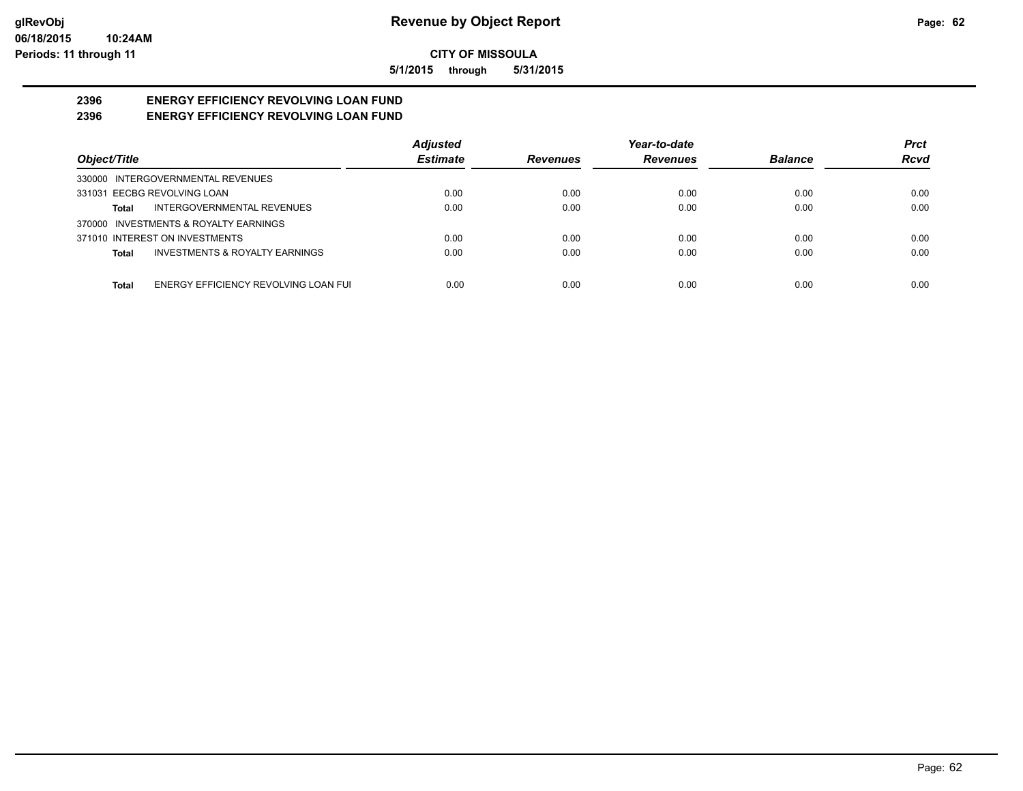**5/1/2015 through 5/31/2015**

#### **2396 ENERGY EFFICIENCY REVOLVING LOAN FUND 2396 ENERGY EFFICIENCY REVOLVING LOAN FUND**

|                                                      | <b>Adjusted</b> |                 | Year-to-date    |                | <b>Prct</b> |
|------------------------------------------------------|-----------------|-----------------|-----------------|----------------|-------------|
| Object/Title                                         | <b>Estimate</b> | <b>Revenues</b> | <b>Revenues</b> | <b>Balance</b> | <b>Rcvd</b> |
| 330000 INTERGOVERNMENTAL REVENUES                    |                 |                 |                 |                |             |
| 331031 EECBG REVOLVING LOAN                          | 0.00            | 0.00            | 0.00            | 0.00           | 0.00        |
| INTERGOVERNMENTAL REVENUES<br>Total                  | 0.00            | 0.00            | 0.00            | 0.00           | 0.00        |
| 370000 INVESTMENTS & ROYALTY EARNINGS                |                 |                 |                 |                |             |
| 371010 INTEREST ON INVESTMENTS                       | 0.00            | 0.00            | 0.00            | 0.00           | 0.00        |
| <b>INVESTMENTS &amp; ROYALTY EARNINGS</b><br>Total   | 0.00            | 0.00            | 0.00            | 0.00           | 0.00        |
| ENERGY EFFICIENCY REVOLVING LOAN FUI<br><b>Total</b> | 0.00            | 0.00            | 0.00            | 0.00           | 0.00        |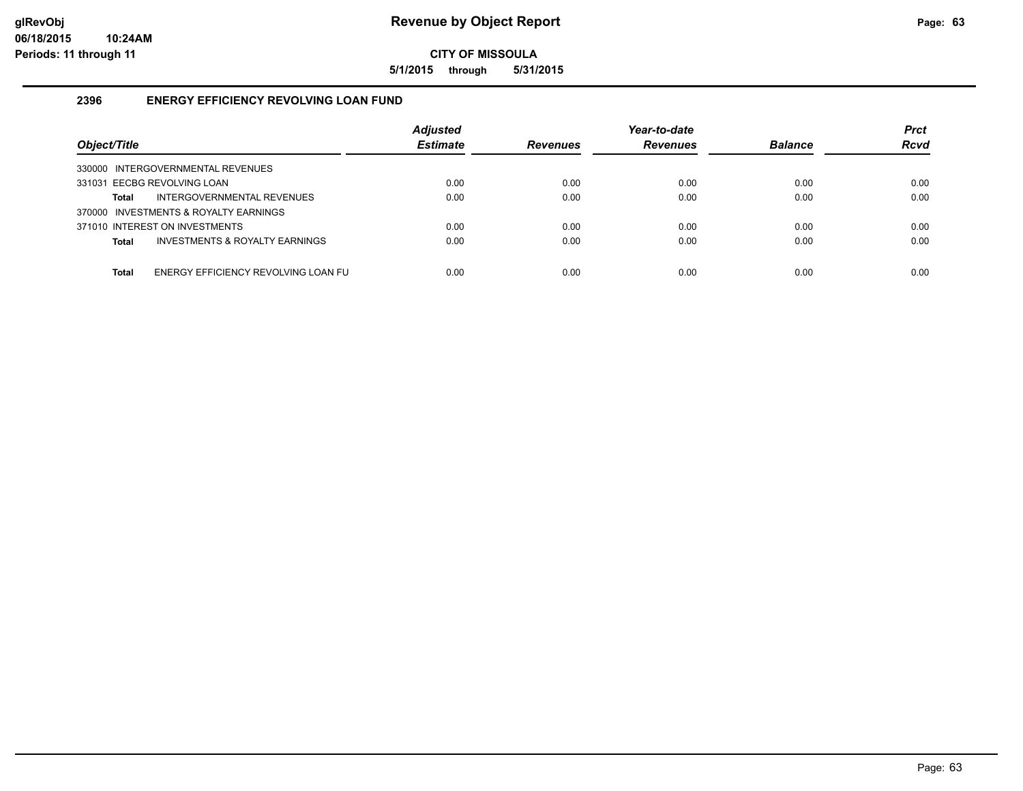**5/1/2015 through 5/31/2015**

## **2396 ENERGY EFFICIENCY REVOLVING LOAN FUND**

| Object/Title                                   | <b>Adjusted</b><br><b>Estimate</b> | <b>Revenues</b> | Year-to-date<br><b>Revenues</b> | <b>Balance</b> | <b>Prct</b><br><b>Rcvd</b> |
|------------------------------------------------|------------------------------------|-----------------|---------------------------------|----------------|----------------------------|
| INTERGOVERNMENTAL REVENUES<br>330000           |                                    |                 |                                 |                |                            |
| 331031 EECBG REVOLVING LOAN                    | 0.00                               | 0.00            | 0.00                            | 0.00           | 0.00                       |
| INTERGOVERNMENTAL REVENUES<br>Total            | 0.00                               | 0.00            | 0.00                            | 0.00           | 0.00                       |
| 370000 INVESTMENTS & ROYALTY EARNINGS          |                                    |                 |                                 |                |                            |
| 371010 INTEREST ON INVESTMENTS                 | 0.00                               | 0.00            | 0.00                            | 0.00           | 0.00                       |
| INVESTMENTS & ROYALTY EARNINGS<br><b>Total</b> | 0.00                               | 0.00            | 0.00                            | 0.00           | 0.00                       |
|                                                |                                    |                 |                                 |                |                            |
| ENERGY EFFICIENCY REVOLVING LOAN FU<br>Total   | 0.00                               | 0.00            | 0.00                            | 0.00           | 0.00                       |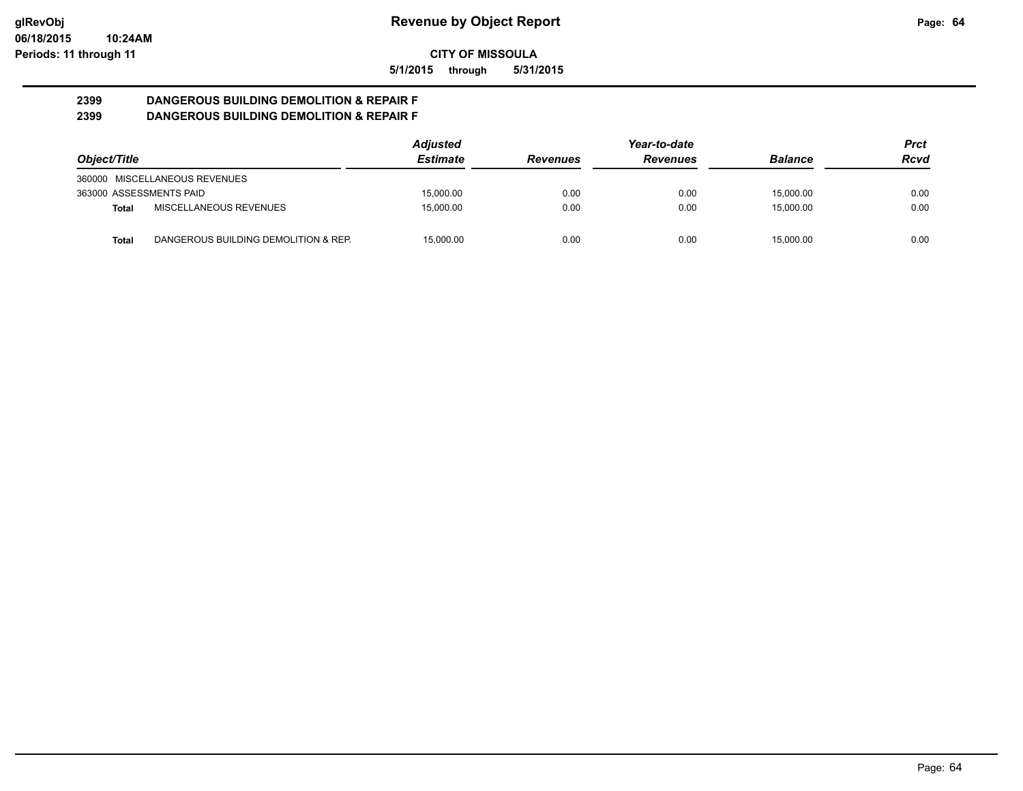**5/1/2015 through 5/31/2015**

#### **2399 DANGEROUS BUILDING DEMOLITION & REPAIR F 2399 DANGEROUS BUILDING DEMOLITION & REPAIR F**

|                         |                                      | <b>Adjusted</b> | Year-to-date    |                 |                | Prct |
|-------------------------|--------------------------------------|-----------------|-----------------|-----------------|----------------|------|
| Object/Title            |                                      | <b>Estimate</b> | <b>Revenues</b> | <b>Revenues</b> | <b>Balance</b> | Rcvd |
|                         | 360000 MISCELLANEOUS REVENUES        |                 |                 |                 |                |      |
| 363000 ASSESSMENTS PAID |                                      | 15.000.00       | 0.00            | 0.00            | 15.000.00      | 0.00 |
| Total                   | MISCELLANEOUS REVENUES               | 15.000.00       | 0.00            | 0.00            | 15.000.00      | 0.00 |
| Total                   | DANGEROUS BUILDING DEMOLITION & REP. | 15.000.00       | 0.00            | 0.00            | 15.000.00      | 0.00 |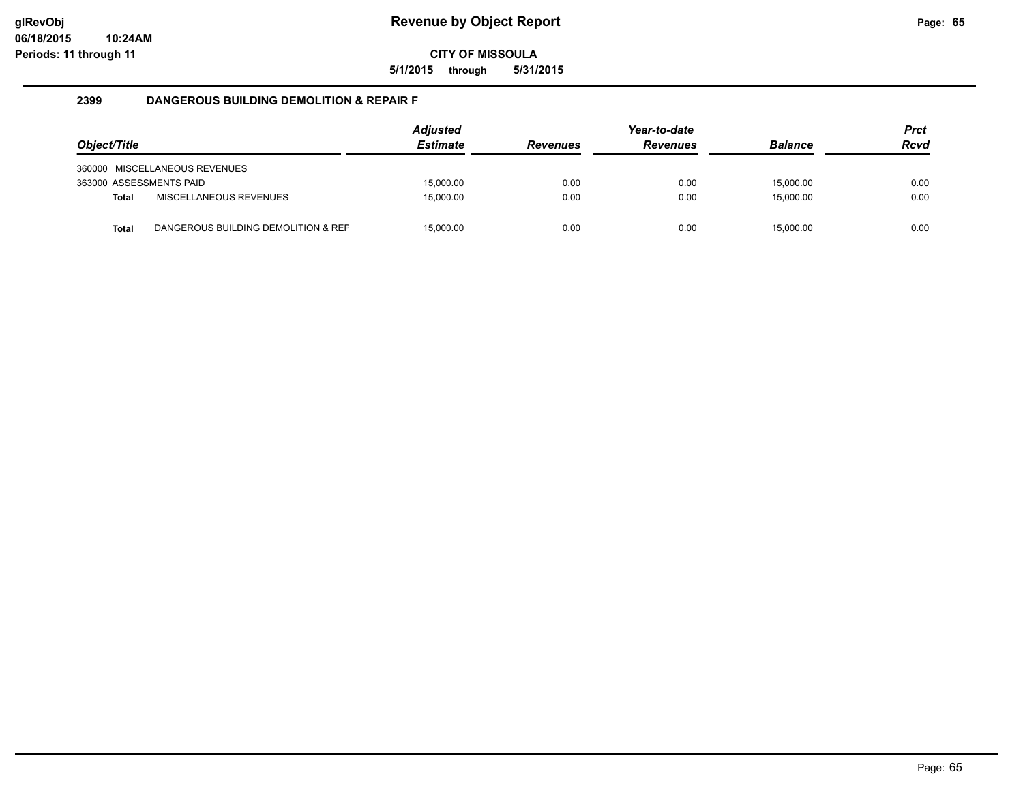**5/1/2015 through 5/31/2015**

#### **2399 DANGEROUS BUILDING DEMOLITION & REPAIR F**

| Object/Title            |                                     | <b>Adjusted</b><br><b>Estimate</b> | <b>Revenues</b> | Year-to-date<br><b>Revenues</b> | <b>Balance</b> | <b>Prct</b><br><b>Rcvd</b> |
|-------------------------|-------------------------------------|------------------------------------|-----------------|---------------------------------|----------------|----------------------------|
|                         | 360000 MISCELLANEOUS REVENUES       |                                    |                 |                                 |                |                            |
| 363000 ASSESSMENTS PAID |                                     | 15,000.00                          | 0.00            | 0.00                            | 15.000.00      | 0.00                       |
| <b>Total</b>            | MISCELLANEOUS REVENUES              | 15.000.00                          | 0.00            | 0.00                            | 15.000.00      | 0.00                       |
| <b>Total</b>            | DANGEROUS BUILDING DEMOLITION & REF | 15,000.00                          | 0.00            | 0.00                            | 15,000.00      | 0.00                       |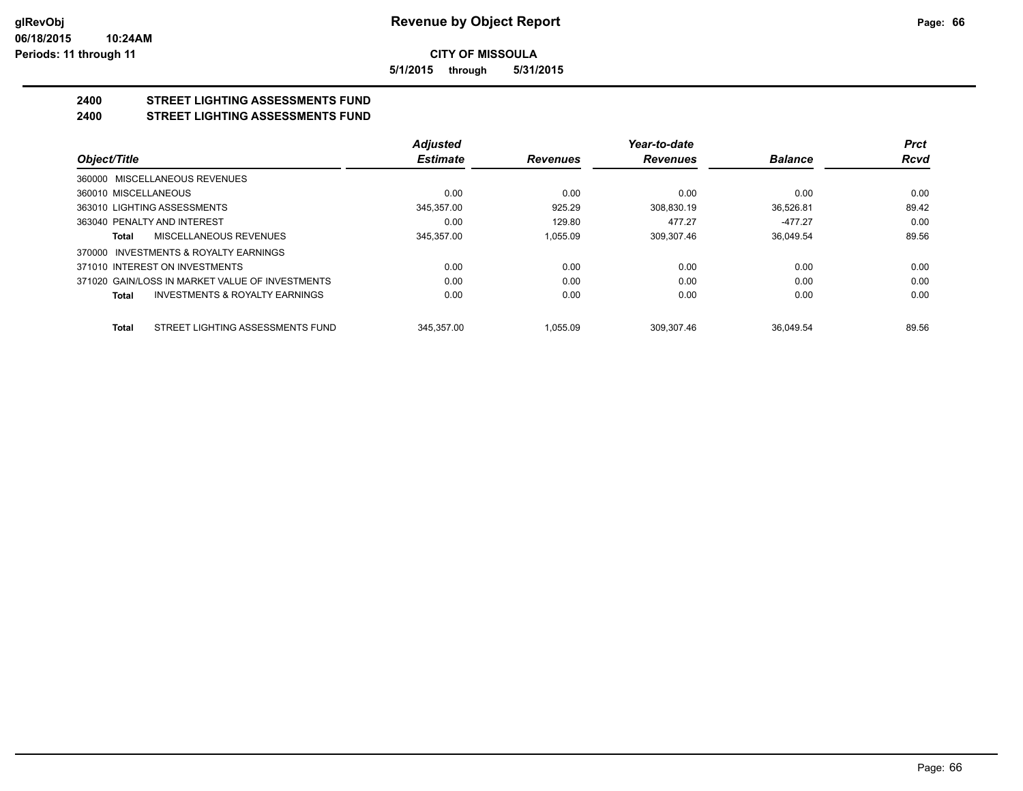**5/1/2015 through 5/31/2015**

# **2400 STREET LIGHTING ASSESSMENTS FUND**

## **2400 STREET LIGHTING ASSESSMENTS FUND**

|                                                           | <b>Adjusted</b> |                 | Year-to-date    |                | <b>Prct</b> |
|-----------------------------------------------------------|-----------------|-----------------|-----------------|----------------|-------------|
| Object/Title                                              | <b>Estimate</b> | <b>Revenues</b> | <b>Revenues</b> | <b>Balance</b> | <b>Rcvd</b> |
| 360000 MISCELLANEOUS REVENUES                             |                 |                 |                 |                |             |
| 360010 MISCELLANEOUS                                      | 0.00            | 0.00            | 0.00            | 0.00           | 0.00        |
| 363010 LIGHTING ASSESSMENTS                               | 345.357.00      | 925.29          | 308.830.19      | 36.526.81      | 89.42       |
| 363040 PENALTY AND INTEREST                               | 0.00            | 129.80          | 477.27          | $-477.27$      | 0.00        |
| MISCELLANEOUS REVENUES<br>Total                           | 345.357.00      | 1.055.09        | 309.307.46      | 36.049.54      | 89.56       |
| 370000 INVESTMENTS & ROYALTY EARNINGS                     |                 |                 |                 |                |             |
| 371010 INTEREST ON INVESTMENTS                            | 0.00            | 0.00            | 0.00            | 0.00           | 0.00        |
| 371020 GAIN/LOSS IN MARKET VALUE OF INVESTMENTS           | 0.00            | 0.00            | 0.00            | 0.00           | 0.00        |
| <b>INVESTMENTS &amp; ROYALTY EARNINGS</b><br><b>Total</b> | 0.00            | 0.00            | 0.00            | 0.00           | 0.00        |
| STREET LIGHTING ASSESSMENTS FUND<br><b>Total</b>          | 345.357.00      | 1.055.09        | 309.307.46      | 36.049.54      | 89.56       |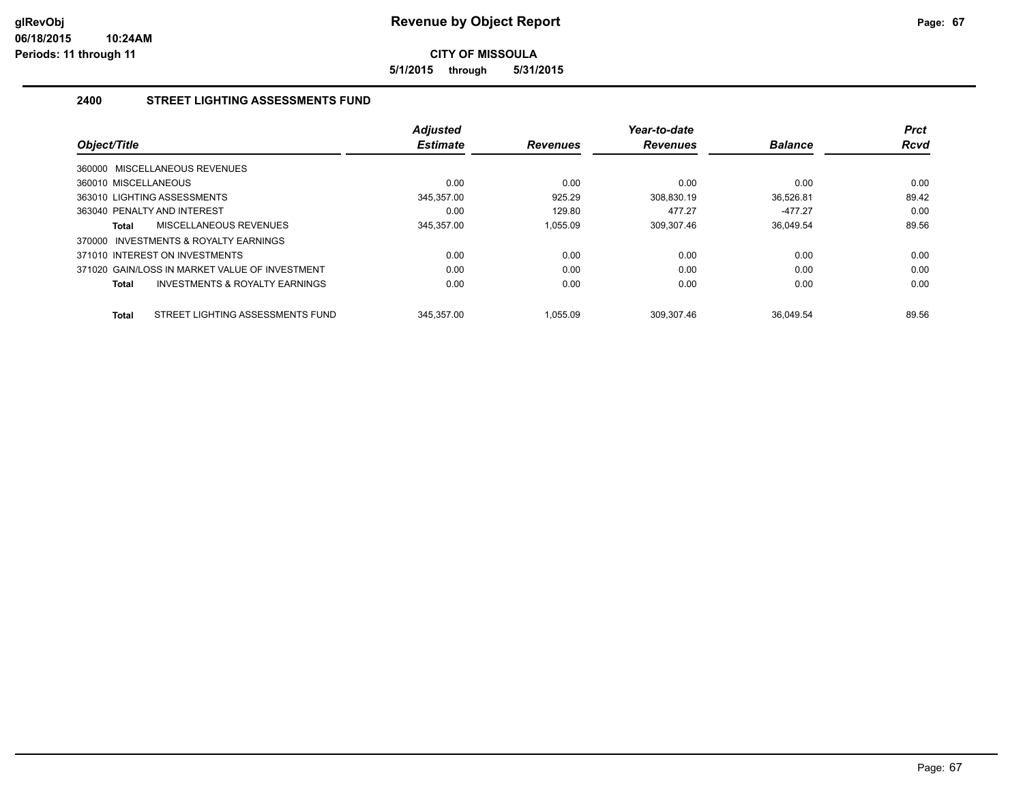**5/1/2015 through 5/31/2015**

## **2400 STREET LIGHTING ASSESSMENTS FUND**

| Object/Title                                     | <b>Adjusted</b><br><b>Estimate</b> | <b>Revenues</b> | Year-to-date<br><b>Revenues</b> | <b>Balance</b> | <b>Prct</b><br><b>Rcvd</b> |
|--------------------------------------------------|------------------------------------|-----------------|---------------------------------|----------------|----------------------------|
| 360000 MISCELLANEOUS REVENUES                    |                                    |                 |                                 |                |                            |
| 360010 MISCELLANEOUS                             | 0.00                               | 0.00            | 0.00                            | 0.00           | 0.00                       |
| 363010 LIGHTING ASSESSMENTS                      | 345,357.00                         | 925.29          | 308.830.19                      | 36,526.81      | 89.42                      |
| 363040 PENALTY AND INTEREST                      | 0.00                               | 129.80          | 477.27                          | $-477.27$      | 0.00                       |
| <b>MISCELLANEOUS REVENUES</b><br>Total           | 345,357.00                         | 1.055.09        | 309,307.46                      | 36.049.54      | 89.56                      |
| INVESTMENTS & ROYALTY EARNINGS<br>370000         |                                    |                 |                                 |                |                            |
| 371010 INTEREST ON INVESTMENTS                   | 0.00                               | 0.00            | 0.00                            | 0.00           | 0.00                       |
| 371020 GAIN/LOSS IN MARKET VALUE OF INVESTMENT   | 0.00                               | 0.00            | 0.00                            | 0.00           | 0.00                       |
| INVESTMENTS & ROYALTY EARNINGS<br>Total          | 0.00                               | 0.00            | 0.00                            | 0.00           | 0.00                       |
| STREET LIGHTING ASSESSMENTS FUND<br><b>Total</b> | 345.357.00                         | 1.055.09        | 309.307.46                      | 36.049.54      | 89.56                      |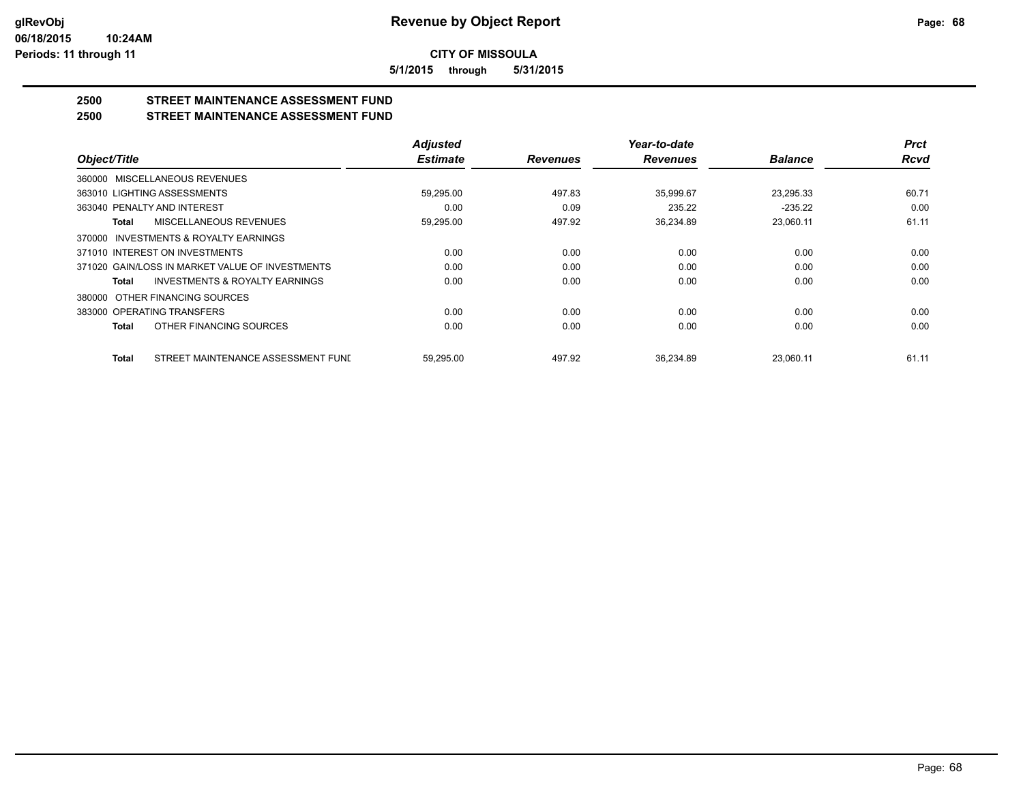**5/1/2015 through 5/31/2015**

## **2500 STREET MAINTENANCE ASSESSMENT FUND**

**2500 STREET MAINTENANCE ASSESSMENT FUND**

|                                                           | <b>Adjusted</b> |                 | Year-to-date    |                | <b>Prct</b> |
|-----------------------------------------------------------|-----------------|-----------------|-----------------|----------------|-------------|
| Object/Title                                              | <b>Estimate</b> | <b>Revenues</b> | <b>Revenues</b> | <b>Balance</b> | <b>Rcvd</b> |
| 360000 MISCELLANEOUS REVENUES                             |                 |                 |                 |                |             |
| 363010 LIGHTING ASSESSMENTS                               | 59,295.00       | 497.83          | 35,999.67       | 23,295.33      | 60.71       |
| 363040 PENALTY AND INTEREST                               | 0.00            | 0.09            | 235.22          | $-235.22$      | 0.00        |
| MISCELLANEOUS REVENUES<br><b>Total</b>                    | 59,295.00       | 497.92          | 36,234.89       | 23,060.11      | 61.11       |
| 370000 INVESTMENTS & ROYALTY EARNINGS                     |                 |                 |                 |                |             |
| 371010 INTEREST ON INVESTMENTS                            | 0.00            | 0.00            | 0.00            | 0.00           | 0.00        |
| 371020 GAIN/LOSS IN MARKET VALUE OF INVESTMENTS           | 0.00            | 0.00            | 0.00            | 0.00           | 0.00        |
| <b>INVESTMENTS &amp; ROYALTY EARNINGS</b><br><b>Total</b> | 0.00            | 0.00            | 0.00            | 0.00           | 0.00        |
| 380000 OTHER FINANCING SOURCES                            |                 |                 |                 |                |             |
| 383000 OPERATING TRANSFERS                                | 0.00            | 0.00            | 0.00            | 0.00           | 0.00        |
| OTHER FINANCING SOURCES<br><b>Total</b>                   | 0.00            | 0.00            | 0.00            | 0.00           | 0.00        |
| STREET MAINTENANCE ASSESSMENT FUNI<br><b>Total</b>        | 59.295.00       | 497.92          | 36.234.89       | 23.060.11      | 61.11       |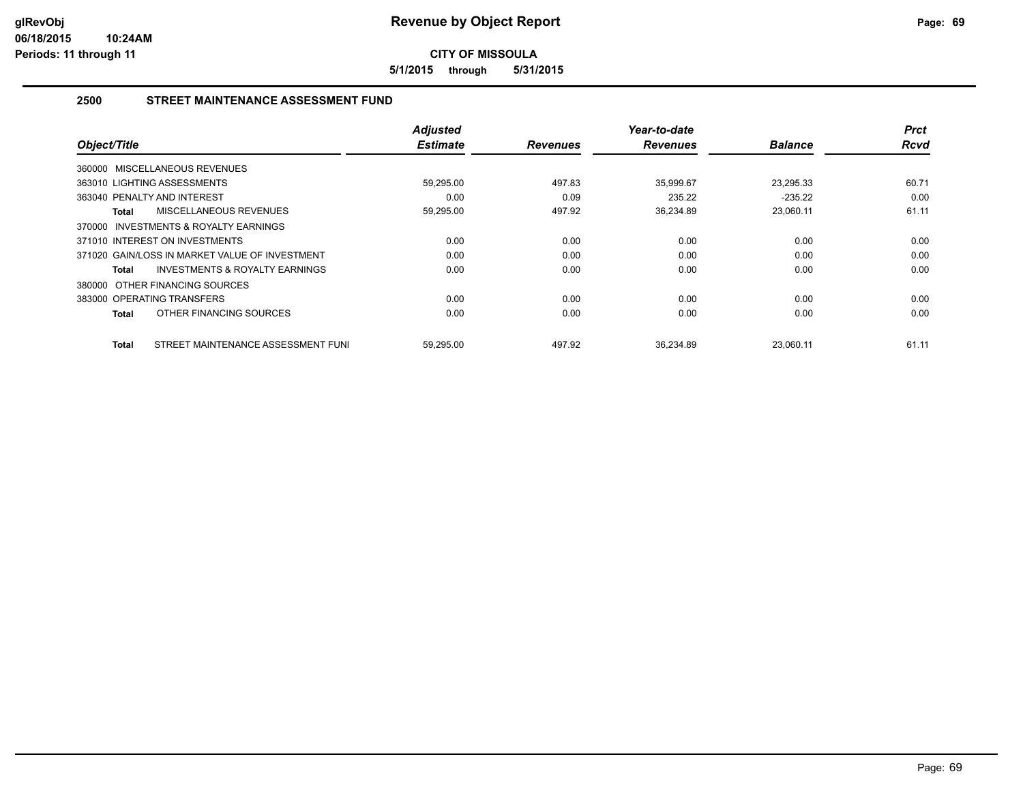**5/1/2015 through 5/31/2015**

### **2500 STREET MAINTENANCE ASSESSMENT FUND**

| Object/Title                                              | <b>Adjusted</b><br><b>Estimate</b> | <b>Revenues</b> | Year-to-date<br><b>Revenues</b> | <b>Balance</b> | <b>Prct</b><br><b>Rcvd</b> |
|-----------------------------------------------------------|------------------------------------|-----------------|---------------------------------|----------------|----------------------------|
|                                                           |                                    |                 |                                 |                |                            |
| 360000 MISCELLANEOUS REVENUES                             |                                    |                 |                                 |                |                            |
| 363010 LIGHTING ASSESSMENTS                               | 59,295.00                          | 497.83          | 35,999.67                       | 23,295.33      | 60.71                      |
| 363040 PENALTY AND INTEREST                               | 0.00                               | 0.09            | 235.22                          | $-235.22$      | 0.00                       |
| MISCELLANEOUS REVENUES<br>Total                           | 59,295.00                          | 497.92          | 36,234.89                       | 23,060.11      | 61.11                      |
| <b>INVESTMENTS &amp; ROYALTY EARNINGS</b><br>370000       |                                    |                 |                                 |                |                            |
| 371010 INTEREST ON INVESTMENTS                            | 0.00                               | 0.00            | 0.00                            | 0.00           | 0.00                       |
| 371020 GAIN/LOSS IN MARKET VALUE OF INVESTMENT            | 0.00                               | 0.00            | 0.00                            | 0.00           | 0.00                       |
| <b>INVESTMENTS &amp; ROYALTY EARNINGS</b><br><b>Total</b> | 0.00                               | 0.00            | 0.00                            | 0.00           | 0.00                       |
| 380000 OTHER FINANCING SOURCES                            |                                    |                 |                                 |                |                            |
| 383000 OPERATING TRANSFERS                                | 0.00                               | 0.00            | 0.00                            | 0.00           | 0.00                       |
| OTHER FINANCING SOURCES<br>Total                          | 0.00                               | 0.00            | 0.00                            | 0.00           | 0.00                       |
| STREET MAINTENANCE ASSESSMENT FUNI<br>Total               | 59,295.00                          | 497.92          | 36,234.89                       | 23,060.11      | 61.11                      |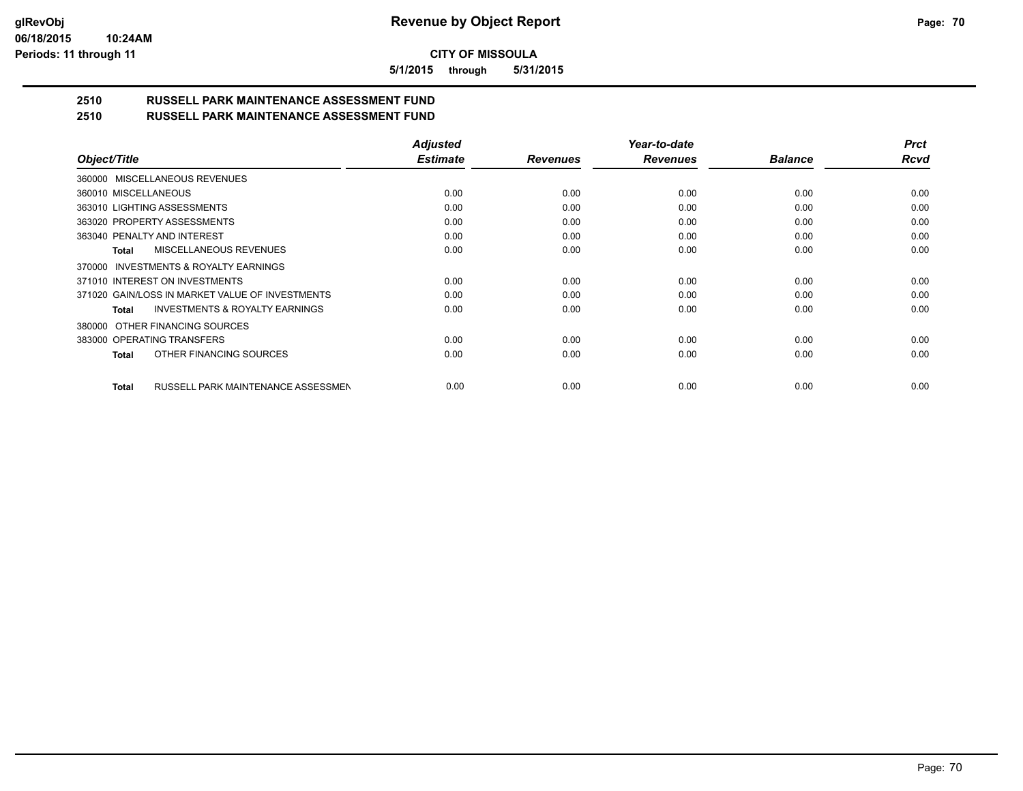**5/1/2015 through 5/31/2015**

# **2510 RUSSELL PARK MAINTENANCE ASSESSMENT FUND**

| 2510 | <b>RUSSELL PARK MAINTENANCE ASSESSMENT FUND</b> |
|------|-------------------------------------------------|
|------|-------------------------------------------------|

|                                                           | <b>Adjusted</b> |                 | Year-to-date    |                | <b>Prct</b> |
|-----------------------------------------------------------|-----------------|-----------------|-----------------|----------------|-------------|
| Object/Title                                              | <b>Estimate</b> | <b>Revenues</b> | <b>Revenues</b> | <b>Balance</b> | Rcvd        |
| 360000 MISCELLANEOUS REVENUES                             |                 |                 |                 |                |             |
| 360010 MISCELLANEOUS                                      | 0.00            | 0.00            | 0.00            | 0.00           | 0.00        |
| 363010 LIGHTING ASSESSMENTS                               | 0.00            | 0.00            | 0.00            | 0.00           | 0.00        |
| 363020 PROPERTY ASSESSMENTS                               | 0.00            | 0.00            | 0.00            | 0.00           | 0.00        |
| 363040 PENALTY AND INTEREST                               | 0.00            | 0.00            | 0.00            | 0.00           | 0.00        |
| MISCELLANEOUS REVENUES<br><b>Total</b>                    | 0.00            | 0.00            | 0.00            | 0.00           | 0.00        |
| 370000 INVESTMENTS & ROYALTY EARNINGS                     |                 |                 |                 |                |             |
| 371010 INTEREST ON INVESTMENTS                            | 0.00            | 0.00            | 0.00            | 0.00           | 0.00        |
| 371020 GAIN/LOSS IN MARKET VALUE OF INVESTMENTS           | 0.00            | 0.00            | 0.00            | 0.00           | 0.00        |
| <b>INVESTMENTS &amp; ROYALTY EARNINGS</b><br><b>Total</b> | 0.00            | 0.00            | 0.00            | 0.00           | 0.00        |
| OTHER FINANCING SOURCES<br>380000                         |                 |                 |                 |                |             |
| 383000 OPERATING TRANSFERS                                | 0.00            | 0.00            | 0.00            | 0.00           | 0.00        |
| OTHER FINANCING SOURCES<br><b>Total</b>                   | 0.00            | 0.00            | 0.00            | 0.00           | 0.00        |
| RUSSELL PARK MAINTENANCE ASSESSMEN<br><b>Total</b>        | 0.00            | 0.00            | 0.00            | 0.00           | 0.00        |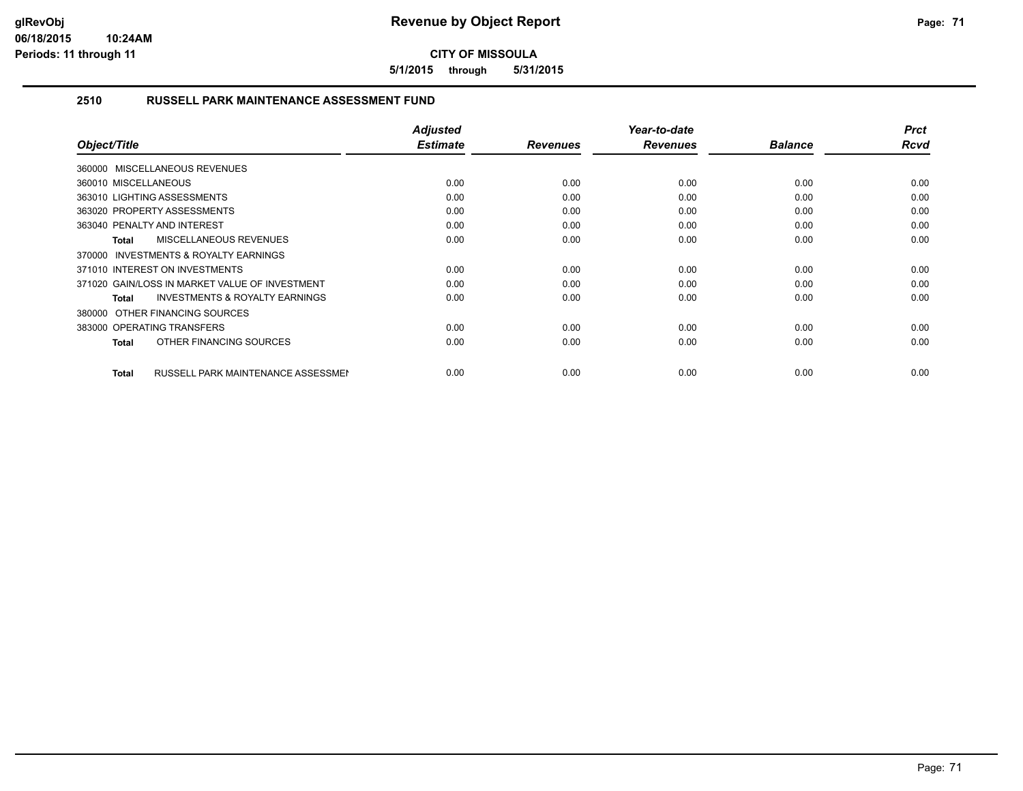**5/1/2015 through 5/31/2015**

## **2510 RUSSELL PARK MAINTENANCE ASSESSMENT FUND**

| Object/Title                                              | Adjusted<br><b>Estimate</b> | <b>Revenues</b> | Year-to-date<br><b>Revenues</b> | <b>Balance</b> | <b>Prct</b><br>Rcvd |
|-----------------------------------------------------------|-----------------------------|-----------------|---------------------------------|----------------|---------------------|
| 360000 MISCELLANEOUS REVENUES                             |                             |                 |                                 |                |                     |
| 360010 MISCELLANEOUS                                      | 0.00                        | 0.00            | 0.00                            | 0.00           | 0.00                |
| 363010 LIGHTING ASSESSMENTS                               | 0.00                        | 0.00            | 0.00                            | 0.00           | 0.00                |
| 363020 PROPERTY ASSESSMENTS                               | 0.00                        | 0.00            | 0.00                            | 0.00           | 0.00                |
| 363040 PENALTY AND INTEREST                               | 0.00                        | 0.00            | 0.00                            | 0.00           | 0.00                |
| <b>MISCELLANEOUS REVENUES</b><br>Total                    | 0.00                        | 0.00            | 0.00                            | 0.00           | 0.00                |
| <b>INVESTMENTS &amp; ROYALTY EARNINGS</b><br>370000       |                             |                 |                                 |                |                     |
| 371010 INTEREST ON INVESTMENTS                            | 0.00                        | 0.00            | 0.00                            | 0.00           | 0.00                |
| 371020 GAIN/LOSS IN MARKET VALUE OF INVESTMENT            | 0.00                        | 0.00            | 0.00                            | 0.00           | 0.00                |
| <b>INVESTMENTS &amp; ROYALTY EARNINGS</b><br>Total        | 0.00                        | 0.00            | 0.00                            | 0.00           | 0.00                |
| 380000 OTHER FINANCING SOURCES                            |                             |                 |                                 |                |                     |
| 383000 OPERATING TRANSFERS                                | 0.00                        | 0.00            | 0.00                            | 0.00           | 0.00                |
| OTHER FINANCING SOURCES<br><b>Total</b>                   | 0.00                        | 0.00            | 0.00                            | 0.00           | 0.00                |
| <b>RUSSELL PARK MAINTENANCE ASSESSMEN</b><br><b>Total</b> | 0.00                        | 0.00            | 0.00                            | 0.00           | 0.00                |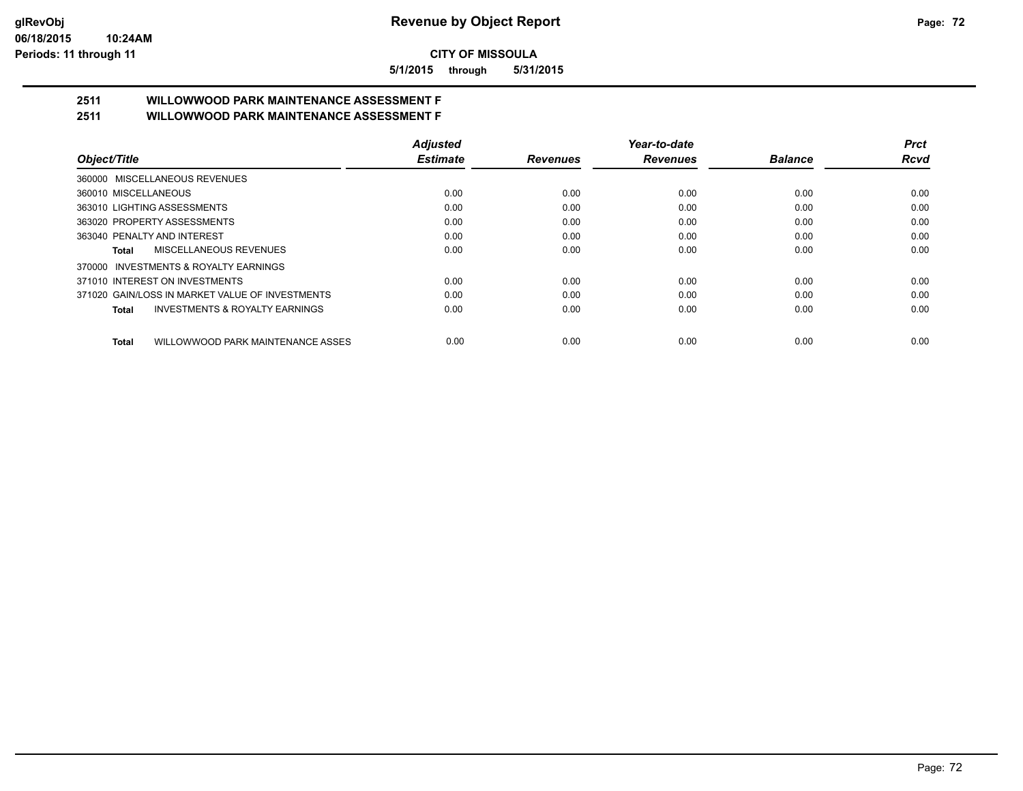**5/1/2015 through 5/31/2015**

# **2511 WILLOWWOOD PARK MAINTENANCE ASSESSMENT F**

**2511 WILLOWWOOD PARK MAINTENANCE ASSESSMENT F**

| Object/Title                                              | <b>Adjusted</b> |                 | Year-to-date    |                | <b>Prct</b> |
|-----------------------------------------------------------|-----------------|-----------------|-----------------|----------------|-------------|
|                                                           | <b>Estimate</b> | <b>Revenues</b> | <b>Revenues</b> | <b>Balance</b> | Rcvd        |
| 360000 MISCELLANEOUS REVENUES                             |                 |                 |                 |                |             |
| 360010 MISCELLANEOUS                                      | 0.00            | 0.00            | 0.00            | 0.00           | 0.00        |
| 363010 LIGHTING ASSESSMENTS                               | 0.00            | 0.00            | 0.00            | 0.00           | 0.00        |
| 363020 PROPERTY ASSESSMENTS                               | 0.00            | 0.00            | 0.00            | 0.00           | 0.00        |
| 363040 PENALTY AND INTEREST                               | 0.00            | 0.00            | 0.00            | 0.00           | 0.00        |
| MISCELLANEOUS REVENUES<br>Total                           | 0.00            | 0.00            | 0.00            | 0.00           | 0.00        |
| 370000 INVESTMENTS & ROYALTY EARNINGS                     |                 |                 |                 |                |             |
| 371010 INTEREST ON INVESTMENTS                            | 0.00            | 0.00            | 0.00            | 0.00           | 0.00        |
| 371020 GAIN/LOSS IN MARKET VALUE OF INVESTMENTS           | 0.00            | 0.00            | 0.00            | 0.00           | 0.00        |
| <b>INVESTMENTS &amp; ROYALTY EARNINGS</b><br><b>Total</b> | 0.00            | 0.00            | 0.00            | 0.00           | 0.00        |
| WILLOWWOOD PARK MAINTENANCE ASSES<br><b>Total</b>         | 0.00            | 0.00            | 0.00            | 0.00           | 0.00        |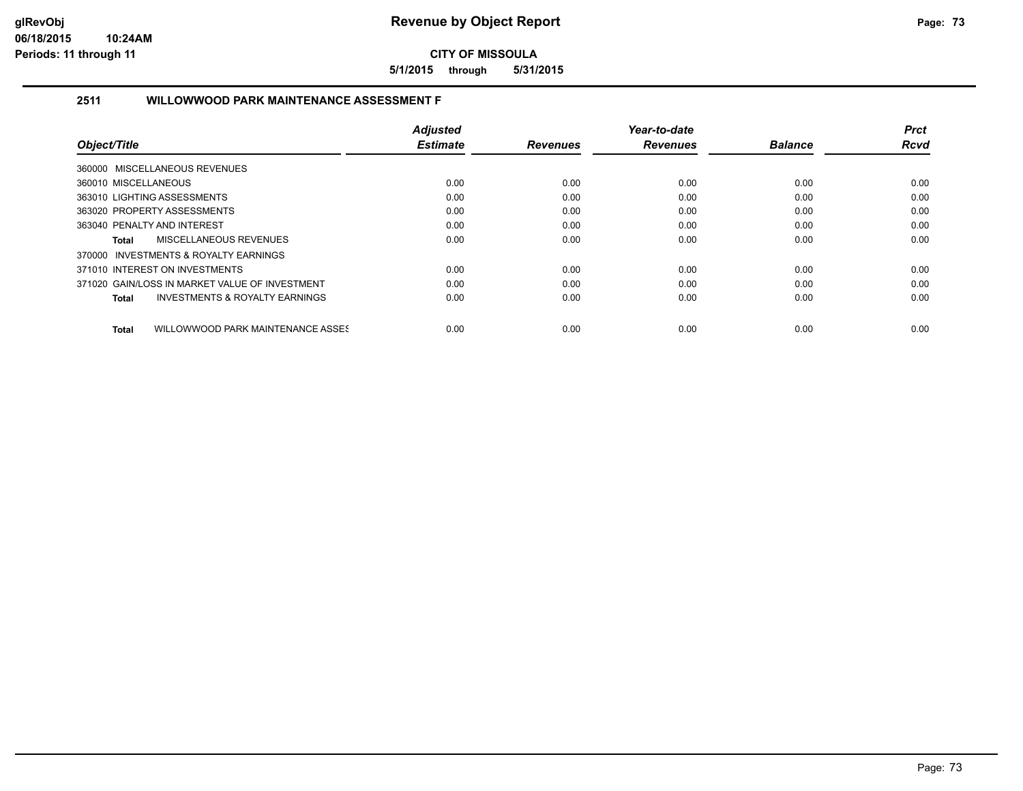**5/1/2015 through 5/31/2015**

# **2511 WILLOWWOOD PARK MAINTENANCE ASSESSMENT F**

|                                                    | <b>Adjusted</b> |                 | Year-to-date    |                | <b>Prct</b> |
|----------------------------------------------------|-----------------|-----------------|-----------------|----------------|-------------|
| Object/Title                                       | <b>Estimate</b> | <b>Revenues</b> | <b>Revenues</b> | <b>Balance</b> | <b>Rcvd</b> |
| 360000 MISCELLANEOUS REVENUES                      |                 |                 |                 |                |             |
| 360010 MISCELLANEOUS                               | 0.00            | 0.00            | 0.00            | 0.00           | 0.00        |
| 363010 LIGHTING ASSESSMENTS                        | 0.00            | 0.00            | 0.00            | 0.00           | 0.00        |
| 363020 PROPERTY ASSESSMENTS                        | 0.00            | 0.00            | 0.00            | 0.00           | 0.00        |
| 363040 PENALTY AND INTEREST                        | 0.00            | 0.00            | 0.00            | 0.00           | 0.00        |
| MISCELLANEOUS REVENUES<br>Total                    | 0.00            | 0.00            | 0.00            | 0.00           | 0.00        |
| 370000 INVESTMENTS & ROYALTY EARNINGS              |                 |                 |                 |                |             |
| 371010 INTEREST ON INVESTMENTS                     | 0.00            | 0.00            | 0.00            | 0.00           | 0.00        |
| 371020 GAIN/LOSS IN MARKET VALUE OF INVESTMENT     | 0.00            | 0.00            | 0.00            | 0.00           | 0.00        |
| <b>INVESTMENTS &amp; ROYALTY EARNINGS</b><br>Total | 0.00            | 0.00            | 0.00            | 0.00           | 0.00        |
| WILLOWWOOD PARK MAINTENANCE ASSES<br>Total         | 0.00            | 0.00            | 0.00            | 0.00           | 0.00        |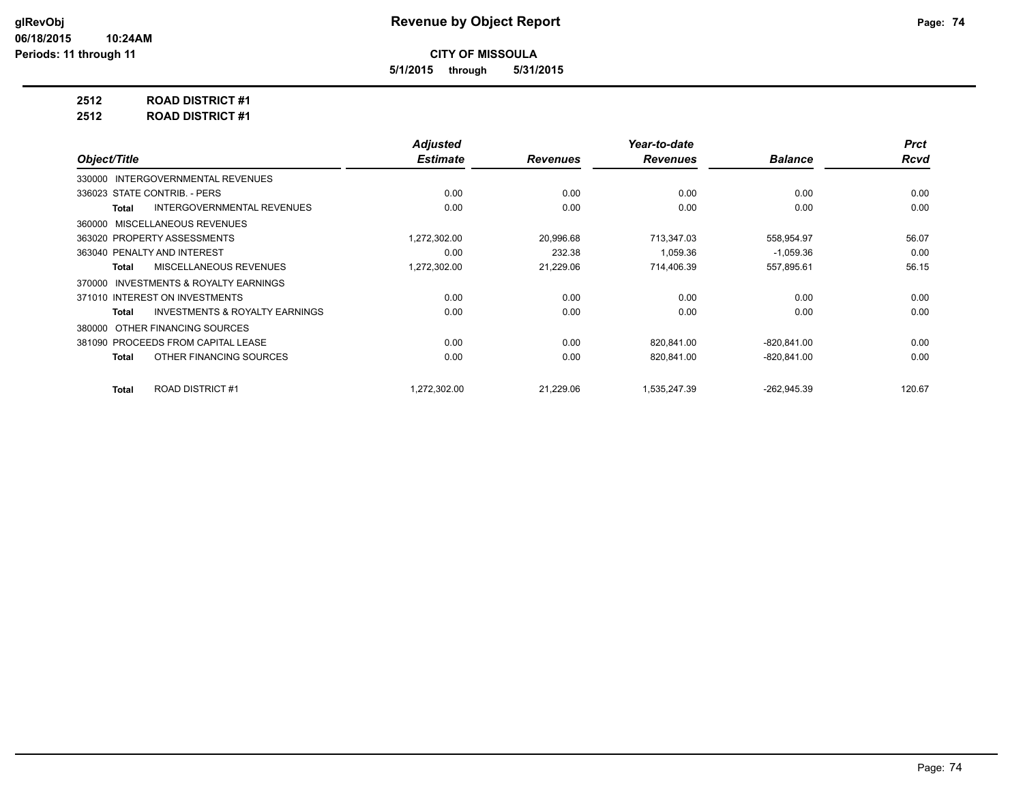**5/1/2015 through 5/31/2015**

**2512 ROAD DISTRICT #1**

**2512 ROAD DISTRICT #1**

|                                                           | <b>Adjusted</b> |                 | Year-to-date    |                | <b>Prct</b> |
|-----------------------------------------------------------|-----------------|-----------------|-----------------|----------------|-------------|
| Object/Title                                              | <b>Estimate</b> | <b>Revenues</b> | <b>Revenues</b> | <b>Balance</b> | <b>Rcvd</b> |
| 330000 INTERGOVERNMENTAL REVENUES                         |                 |                 |                 |                |             |
| 336023 STATE CONTRIB. - PERS                              | 0.00            | 0.00            | 0.00            | 0.00           | 0.00        |
| <b>INTERGOVERNMENTAL REVENUES</b><br><b>Total</b>         | 0.00            | 0.00            | 0.00            | 0.00           | 0.00        |
| 360000 MISCELLANEOUS REVENUES                             |                 |                 |                 |                |             |
| 363020 PROPERTY ASSESSMENTS                               | 1,272,302.00    | 20,996.68       | 713,347.03      | 558,954.97     | 56.07       |
| 363040 PENALTY AND INTEREST                               | 0.00            | 232.38          | 1,059.36        | $-1,059.36$    | 0.00        |
| MISCELLANEOUS REVENUES<br><b>Total</b>                    | 1,272,302.00    | 21,229.06       | 714,406.39      | 557,895.61     | 56.15       |
| INVESTMENTS & ROYALTY EARNINGS<br>370000                  |                 |                 |                 |                |             |
| 371010 INTEREST ON INVESTMENTS                            | 0.00            | 0.00            | 0.00            | 0.00           | 0.00        |
| <b>INVESTMENTS &amp; ROYALTY EARNINGS</b><br><b>Total</b> | 0.00            | 0.00            | 0.00            | 0.00           | 0.00        |
| OTHER FINANCING SOURCES<br>380000                         |                 |                 |                 |                |             |
| 381090 PROCEEDS FROM CAPITAL LEASE                        | 0.00            | 0.00            | 820,841.00      | $-820, 841.00$ | 0.00        |
| OTHER FINANCING SOURCES<br><b>Total</b>                   | 0.00            | 0.00            | 820,841.00      | $-820, 841.00$ | 0.00        |
| ROAD DISTRICT #1<br><b>Total</b>                          | 1,272,302.00    | 21,229.06       | 1,535,247.39    | $-262,945.39$  | 120.67      |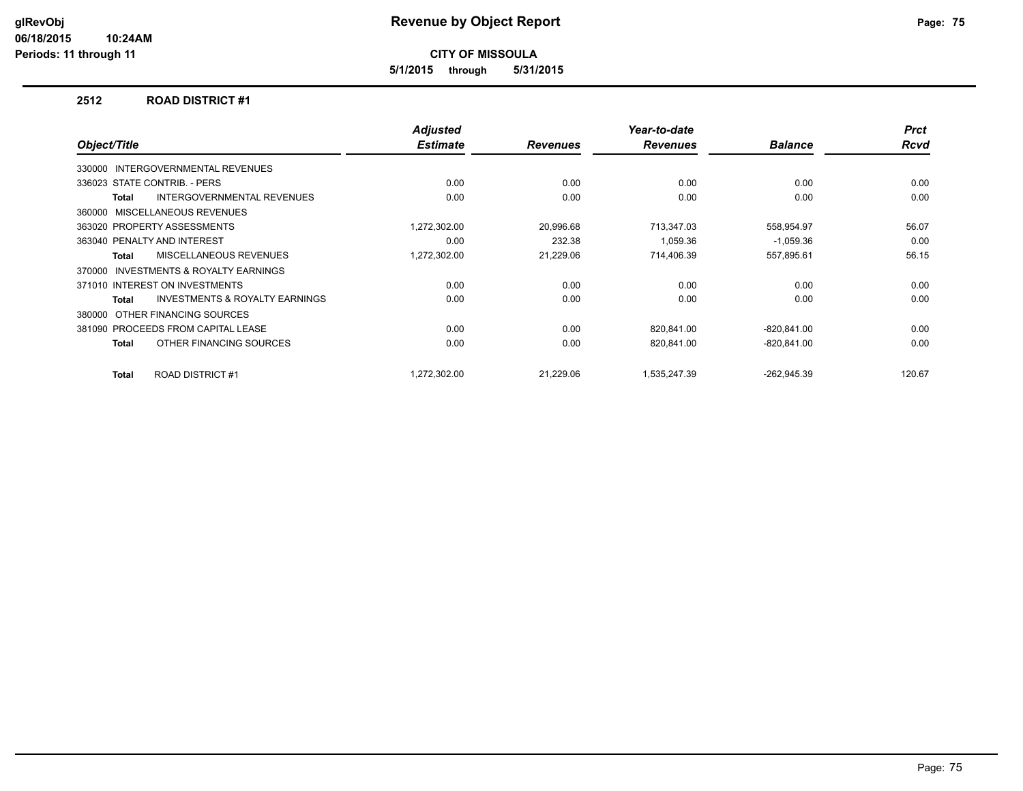**5/1/2015 through 5/31/2015**

### **2512 ROAD DISTRICT #1**

| Object/Title                                        | Adjusted<br><b>Estimate</b> | <b>Revenues</b> | Year-to-date<br><b>Revenues</b> | <b>Balance</b> | <b>Prct</b><br><b>Rcvd</b> |
|-----------------------------------------------------|-----------------------------|-----------------|---------------------------------|----------------|----------------------------|
| 330000 INTERGOVERNMENTAL REVENUES                   |                             |                 |                                 |                |                            |
| 336023 STATE CONTRIB. - PERS                        | 0.00                        | 0.00            | 0.00                            | 0.00           | 0.00                       |
|                                                     |                             |                 |                                 |                |                            |
| <b>INTERGOVERNMENTAL REVENUES</b><br><b>Total</b>   | 0.00                        | 0.00            | 0.00                            | 0.00           | 0.00                       |
| 360000 MISCELLANEOUS REVENUES                       |                             |                 |                                 |                |                            |
| 363020 PROPERTY ASSESSMENTS                         | 1,272,302.00                | 20,996.68       | 713,347.03                      | 558,954.97     | 56.07                      |
| 363040 PENALTY AND INTEREST                         | 0.00                        | 232.38          | 1.059.36                        | $-1,059.36$    | 0.00                       |
| MISCELLANEOUS REVENUES<br><b>Total</b>              | 1,272,302.00                | 21,229.06       | 714,406.39                      | 557,895.61     | 56.15                      |
| <b>INVESTMENTS &amp; ROYALTY EARNINGS</b><br>370000 |                             |                 |                                 |                |                            |
| 371010 INTEREST ON INVESTMENTS                      | 0.00                        | 0.00            | 0.00                            | 0.00           | 0.00                       |
| INVESTMENTS & ROYALTY EARNINGS<br><b>Total</b>      | 0.00                        | 0.00            | 0.00                            | 0.00           | 0.00                       |
| OTHER FINANCING SOURCES<br>380000                   |                             |                 |                                 |                |                            |
| 381090 PROCEEDS FROM CAPITAL LEASE                  | 0.00                        | 0.00            | 820,841.00                      | $-820, 841.00$ | 0.00                       |
| OTHER FINANCING SOURCES<br><b>Total</b>             | 0.00                        | 0.00            | 820,841.00                      | $-820, 841.00$ | 0.00                       |
| <b>ROAD DISTRICT #1</b><br><b>Total</b>             | 1.272.302.00                | 21,229.06       | 1,535,247.39                    | $-262,945.39$  | 120.67                     |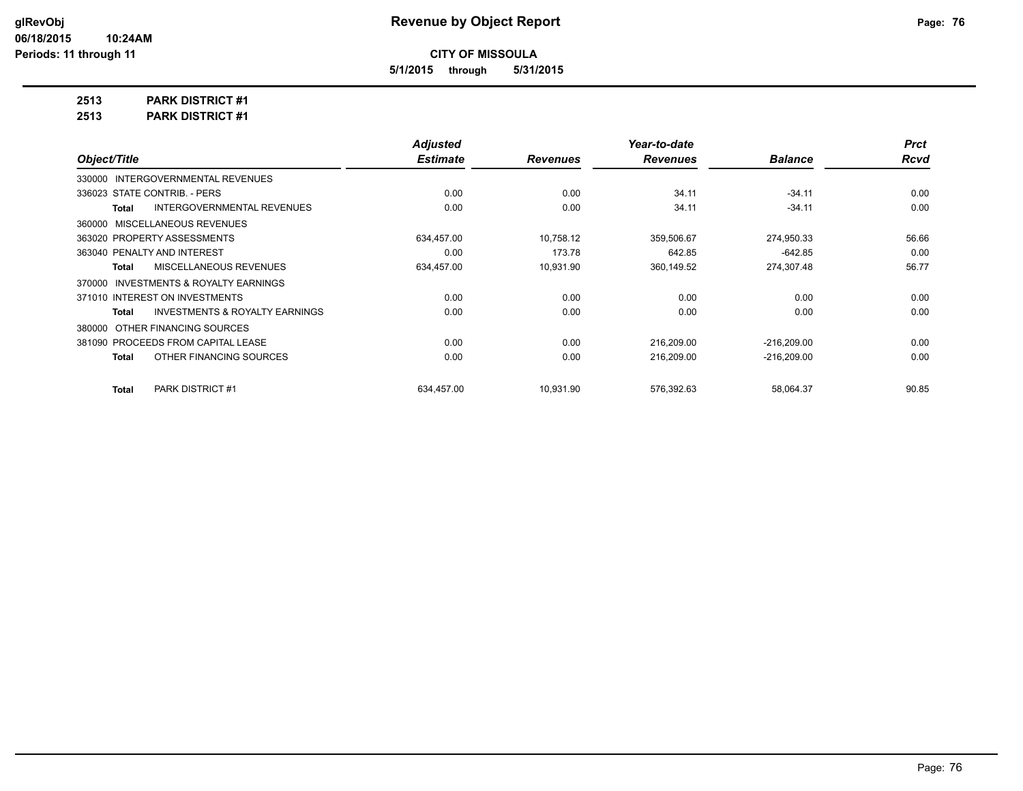**5/1/2015 through 5/31/2015**

**2513 PARK DISTRICT #1**

**2513 PARK DISTRICT #1**

|                                                     | <b>Adjusted</b> |                 | Year-to-date    |                | <b>Prct</b> |
|-----------------------------------------------------|-----------------|-----------------|-----------------|----------------|-------------|
| Object/Title                                        | <b>Estimate</b> | <b>Revenues</b> | <b>Revenues</b> | <b>Balance</b> | <b>Rcvd</b> |
| <b>INTERGOVERNMENTAL REVENUES</b><br>330000         |                 |                 |                 |                |             |
| 336023 STATE CONTRIB. - PERS                        | 0.00            | 0.00            | 34.11           | $-34.11$       | 0.00        |
| <b>INTERGOVERNMENTAL REVENUES</b><br>Total          | 0.00            | 0.00            | 34.11           | $-34.11$       | 0.00        |
| 360000 MISCELLANEOUS REVENUES                       |                 |                 |                 |                |             |
| 363020 PROPERTY ASSESSMENTS                         | 634,457.00      | 10,758.12       | 359,506.67      | 274,950.33     | 56.66       |
| 363040 PENALTY AND INTEREST                         | 0.00            | 173.78          | 642.85          | $-642.85$      | 0.00        |
| MISCELLANEOUS REVENUES<br>Total                     | 634,457.00      | 10,931.90       | 360,149.52      | 274,307.48     | 56.77       |
| <b>INVESTMENTS &amp; ROYALTY EARNINGS</b><br>370000 |                 |                 |                 |                |             |
| 371010 INTEREST ON INVESTMENTS                      | 0.00            | 0.00            | 0.00            | 0.00           | 0.00        |
| <b>INVESTMENTS &amp; ROYALTY EARNINGS</b><br>Total  | 0.00            | 0.00            | 0.00            | 0.00           | 0.00        |
| OTHER FINANCING SOURCES<br>380000                   |                 |                 |                 |                |             |
| 381090 PROCEEDS FROM CAPITAL LEASE                  | 0.00            | 0.00            | 216,209.00      | $-216,209.00$  | 0.00        |
| OTHER FINANCING SOURCES<br>Total                    | 0.00            | 0.00            | 216,209.00      | $-216,209.00$  | 0.00        |
| PARK DISTRICT #1<br><b>Total</b>                    | 634.457.00      | 10,931.90       | 576,392.63      | 58,064.37      | 90.85       |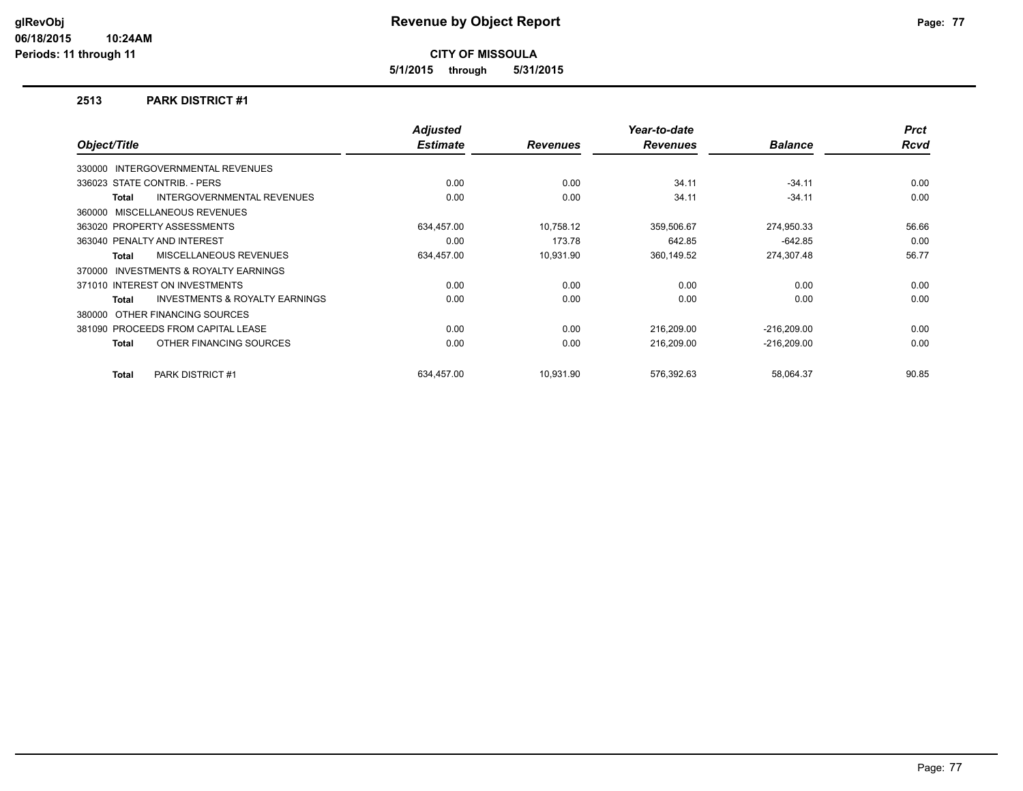**5/1/2015 through 5/31/2015**

### **2513 PARK DISTRICT #1**

| Object/Title |                                           | <b>Adjusted</b><br><b>Estimate</b> | <b>Revenues</b> | Year-to-date<br><b>Revenues</b> | <b>Balance</b> | <b>Prct</b><br><b>Rcvd</b> |
|--------------|-------------------------------------------|------------------------------------|-----------------|---------------------------------|----------------|----------------------------|
|              | <b>INTERGOVERNMENTAL REVENUES</b>         |                                    |                 |                                 |                |                            |
| 330000       |                                           |                                    |                 |                                 |                |                            |
|              | 336023 STATE CONTRIB. - PERS              | 0.00                               | 0.00            | 34.11                           | $-34.11$       | 0.00                       |
| Total        | <b>INTERGOVERNMENTAL REVENUES</b>         | 0.00                               | 0.00            | 34.11                           | $-34.11$       | 0.00                       |
|              | 360000 MISCELLANEOUS REVENUES             |                                    |                 |                                 |                |                            |
|              | 363020 PROPERTY ASSESSMENTS               | 634,457.00                         | 10,758.12       | 359,506.67                      | 274,950.33     | 56.66                      |
|              | 363040 PENALTY AND INTEREST               | 0.00                               | 173.78          | 642.85                          | $-642.85$      | 0.00                       |
| <b>Total</b> | MISCELLANEOUS REVENUES                    | 634,457.00                         | 10,931.90       | 360,149.52                      | 274,307.48     | 56.77                      |
| 370000       | <b>INVESTMENTS &amp; ROYALTY EARNINGS</b> |                                    |                 |                                 |                |                            |
|              | 371010 INTEREST ON INVESTMENTS            | 0.00                               | 0.00            | 0.00                            | 0.00           | 0.00                       |
| Total        | INVESTMENTS & ROYALTY EARNINGS            | 0.00                               | 0.00            | 0.00                            | 0.00           | 0.00                       |
| 380000       | OTHER FINANCING SOURCES                   |                                    |                 |                                 |                |                            |
|              | 381090 PROCEEDS FROM CAPITAL LEASE        | 0.00                               | 0.00            | 216,209.00                      | $-216,209.00$  | 0.00                       |
| Total        | OTHER FINANCING SOURCES                   | 0.00                               | 0.00            | 216,209.00                      | $-216,209.00$  | 0.00                       |
| Total        | <b>PARK DISTRICT #1</b>                   | 634.457.00                         | 10.931.90       | 576.392.63                      | 58,064.37      | 90.85                      |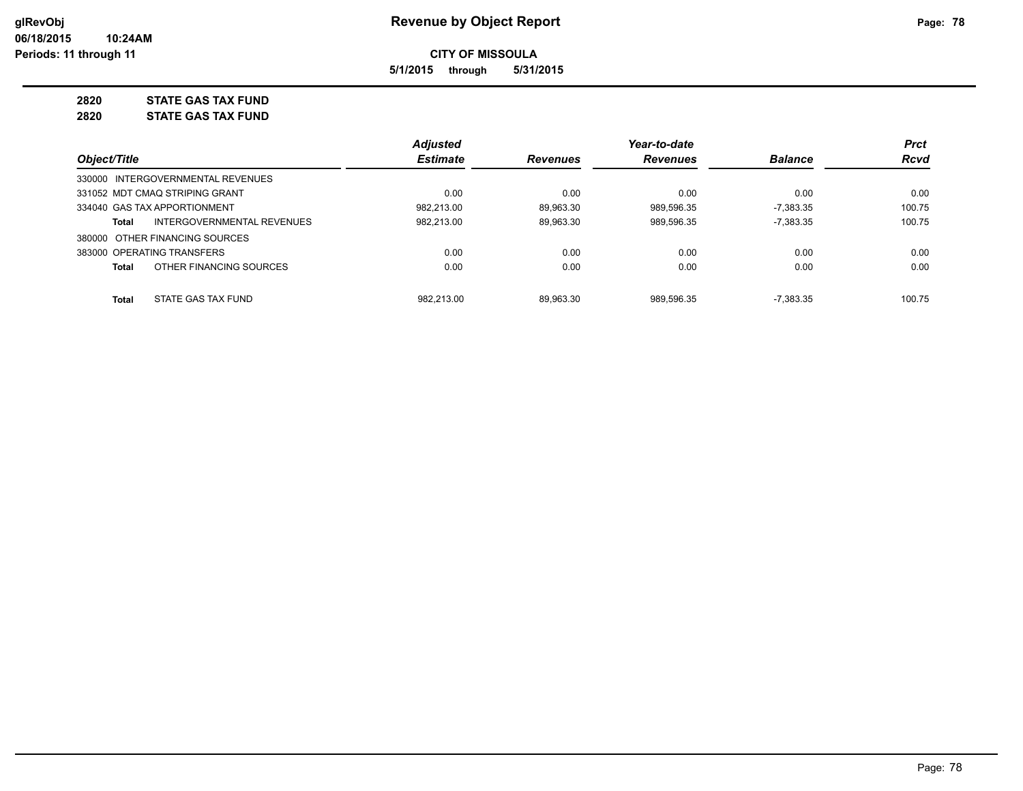**5/1/2015 through 5/31/2015**

# **2820 STATE GAS TAX FUND**

**2820 STATE GAS TAX FUND**

|                                                   | <b>Adjusted</b> |                 | Year-to-date    |                | <b>Prct</b> |
|---------------------------------------------------|-----------------|-----------------|-----------------|----------------|-------------|
| Object/Title                                      | <b>Estimate</b> | <b>Revenues</b> | <b>Revenues</b> | <b>Balance</b> | Rcvd        |
| 330000 INTERGOVERNMENTAL REVENUES                 |                 |                 |                 |                |             |
| 331052 MDT CMAO STRIPING GRANT                    | 0.00            | 0.00            | 0.00            | 0.00           | 0.00        |
| 334040 GAS TAX APPORTIONMENT                      | 982.213.00      | 89.963.30       | 989.596.35      | $-7.383.35$    | 100.75      |
| <b>INTERGOVERNMENTAL REVENUES</b><br><b>Total</b> | 982.213.00      | 89.963.30       | 989.596.35      | $-7.383.35$    | 100.75      |
| 380000 OTHER FINANCING SOURCES                    |                 |                 |                 |                |             |
| 383000 OPERATING TRANSFERS                        | 0.00            | 0.00            | 0.00            | 0.00           | 0.00        |
| OTHER FINANCING SOURCES<br><b>Total</b>           | 0.00            | 0.00            | 0.00            | 0.00           | 0.00        |
| STATE GAS TAX FUND<br><b>Total</b>                | 982.213.00      | 89.963.30       | 989.596.35      | $-7.383.35$    | 100.75      |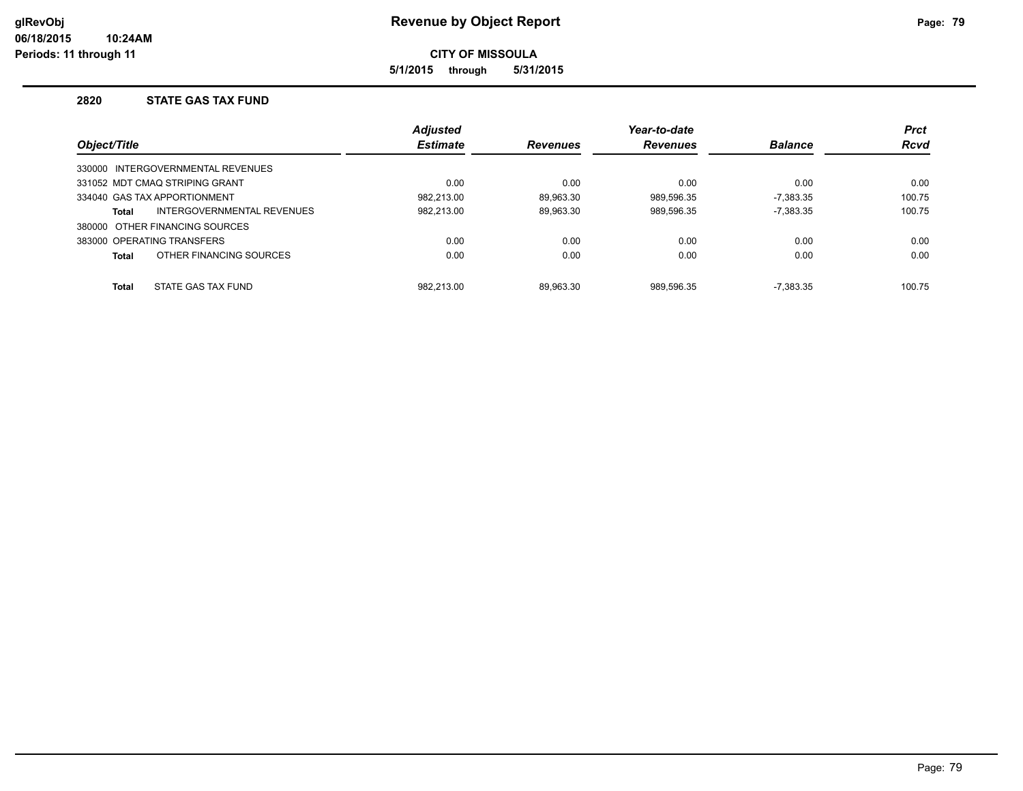**5/1/2015 through 5/31/2015**

### **2820 STATE GAS TAX FUND**

|              |                                   | <b>Adjusted</b> |                 | Year-to-date    |                | <b>Prct</b> |
|--------------|-----------------------------------|-----------------|-----------------|-----------------|----------------|-------------|
| Object/Title |                                   | <b>Estimate</b> | <b>Revenues</b> | <b>Revenues</b> | <b>Balance</b> | <b>Rcvd</b> |
|              | 330000 INTERGOVERNMENTAL REVENUES |                 |                 |                 |                |             |
|              | 331052 MDT CMAQ STRIPING GRANT    | 0.00            | 0.00            | 0.00            | 0.00           | 0.00        |
|              | 334040 GAS TAX APPORTIONMENT      | 982.213.00      | 89.963.30       | 989.596.35      | $-7.383.35$    | 100.75      |
| Total        | INTERGOVERNMENTAL REVENUES        | 982.213.00      | 89.963.30       | 989,596.35      | $-7.383.35$    | 100.75      |
|              | 380000 OTHER FINANCING SOURCES    |                 |                 |                 |                |             |
|              | 383000 OPERATING TRANSFERS        | 0.00            | 0.00            | 0.00            | 0.00           | 0.00        |
| Total        | OTHER FINANCING SOURCES           | 0.00            | 0.00            | 0.00            | 0.00           | 0.00        |
| <b>Total</b> | STATE GAS TAX FUND                | 982.213.00      | 89.963.30       | 989.596.35      | $-7.383.35$    | 100.75      |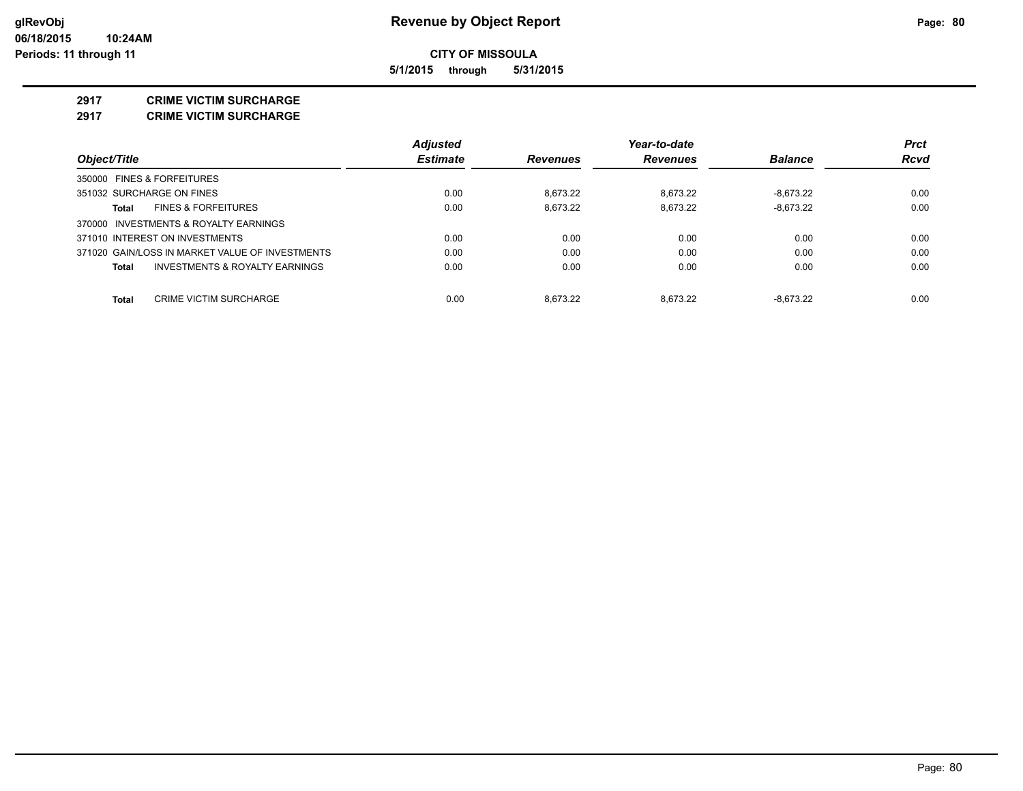**5/1/2015 through 5/31/2015**

### **2917 CRIME VICTIM SURCHARGE**

**2917 CRIME VICTIM SURCHARGE**

|                                                 | <b>Adjusted</b> |                 | Year-to-date    |                | <b>Prct</b> |
|-------------------------------------------------|-----------------|-----------------|-----------------|----------------|-------------|
| Object/Title                                    | <b>Estimate</b> | <b>Revenues</b> | <b>Revenues</b> | <b>Balance</b> | <b>Rcvd</b> |
| 350000 FINES & FORFEITURES                      |                 |                 |                 |                |             |
| 351032 SURCHARGE ON FINES                       | 0.00            | 8.673.22        | 8.673.22        | $-8.673.22$    | 0.00        |
| <b>FINES &amp; FORFEITURES</b><br>Total         | 0.00            | 8.673.22        | 8.673.22        | $-8.673.22$    | 0.00        |
| 370000 INVESTMENTS & ROYALTY EARNINGS           |                 |                 |                 |                |             |
| 371010 INTEREST ON INVESTMENTS                  | 0.00            | 0.00            | 0.00            | 0.00           | 0.00        |
| 371020 GAIN/LOSS IN MARKET VALUE OF INVESTMENTS | 0.00            | 0.00            | 0.00            | 0.00           | 0.00        |
| INVESTMENTS & ROYALTY EARNINGS<br><b>Total</b>  | 0.00            | 0.00            | 0.00            | 0.00           | 0.00        |
| <b>CRIME VICTIM SURCHARGE</b><br><b>Total</b>   | 0.00            | 8.673.22        | 8.673.22        | $-8.673.22$    | 0.00        |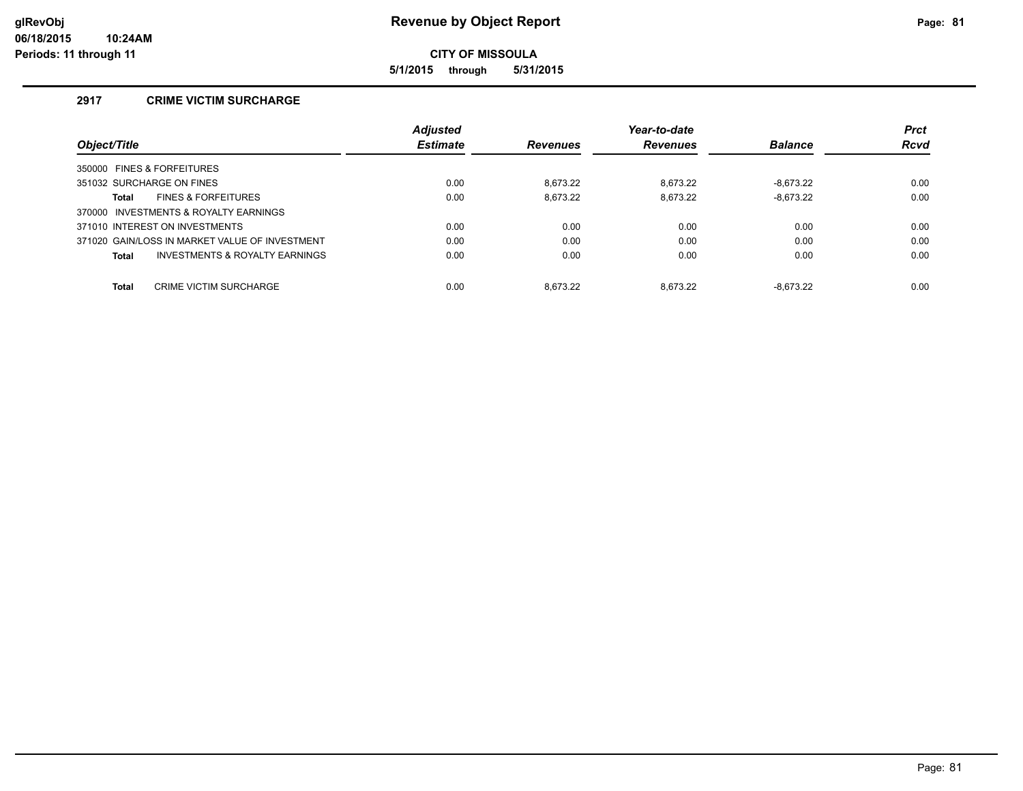**5/1/2015 through 5/31/2015**

# **2917 CRIME VICTIM SURCHARGE**

|                                                    | Adjusted        |                 | Year-to-date    |                | <b>Prct</b> |
|----------------------------------------------------|-----------------|-----------------|-----------------|----------------|-------------|
| Object/Title                                       | <b>Estimate</b> | <b>Revenues</b> | <b>Revenues</b> | <b>Balance</b> | <b>Rcvd</b> |
| 350000 FINES & FORFEITURES                         |                 |                 |                 |                |             |
| 351032 SURCHARGE ON FINES                          | 0.00            | 8.673.22        | 8.673.22        | $-8.673.22$    | 0.00        |
| <b>FINES &amp; FORFEITURES</b><br>Total            | 0.00            | 8.673.22        | 8,673.22        | $-8,673.22$    | 0.00        |
| 370000 INVESTMENTS & ROYALTY EARNINGS              |                 |                 |                 |                |             |
| 371010 INTEREST ON INVESTMENTS                     | 0.00            | 0.00            | 0.00            | 0.00           | 0.00        |
| 371020 GAIN/LOSS IN MARKET VALUE OF INVESTMENT     | 0.00            | 0.00            | 0.00            | 0.00           | 0.00        |
| <b>INVESTMENTS &amp; ROYALTY EARNINGS</b><br>Total | 0.00            | 0.00            | 0.00            | 0.00           | 0.00        |
| Total<br><b>CRIME VICTIM SURCHARGE</b>             | 0.00            | 8.673.22        | 8.673.22        | $-8.673.22$    | 0.00        |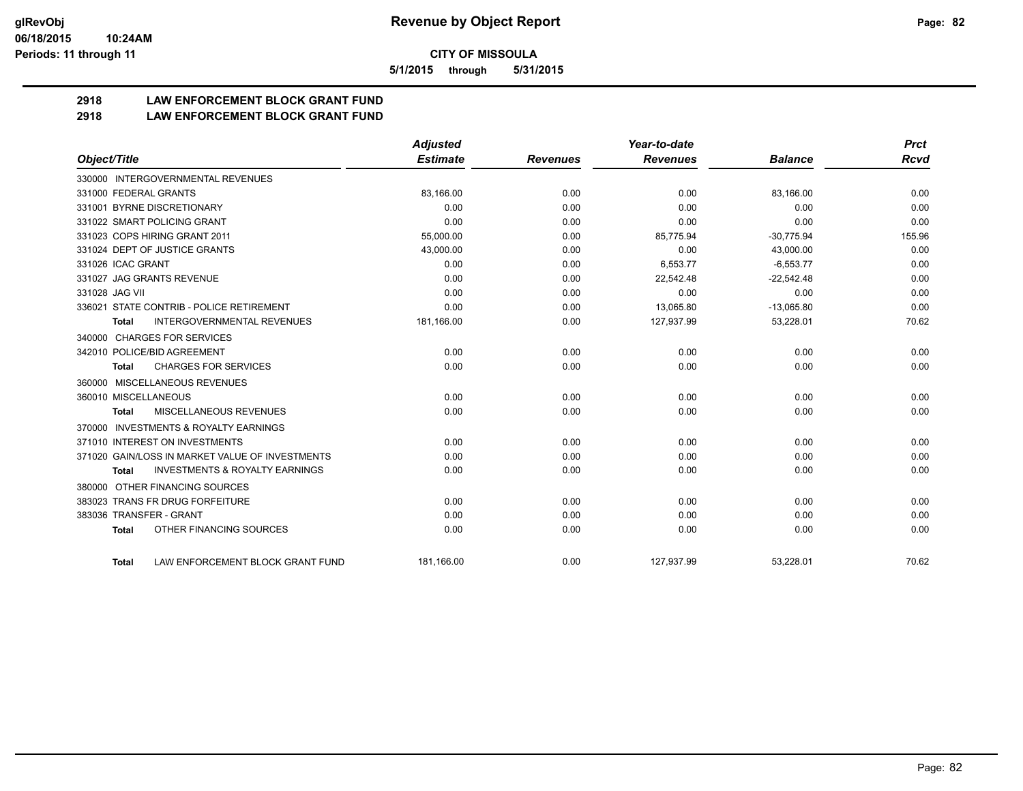**5/1/2015 through 5/31/2015**

# **2918 LAW ENFORCEMENT BLOCK GRANT FUND**

**2918 LAW ENFORCEMENT BLOCK GRANT FUND**

|                         |                                                 | <b>Adjusted</b> |                 | Year-to-date    |                | <b>Prct</b> |
|-------------------------|-------------------------------------------------|-----------------|-----------------|-----------------|----------------|-------------|
| Object/Title            |                                                 | <b>Estimate</b> | <b>Revenues</b> | <b>Revenues</b> | <b>Balance</b> | <b>Rcvd</b> |
|                         | 330000 INTERGOVERNMENTAL REVENUES               |                 |                 |                 |                |             |
| 331000 FEDERAL GRANTS   |                                                 | 83,166.00       | 0.00            | 0.00            | 83,166.00      | 0.00        |
|                         | 331001 BYRNE DISCRETIONARY                      | 0.00            | 0.00            | 0.00            | 0.00           | 0.00        |
|                         | 331022 SMART POLICING GRANT                     | 0.00            | 0.00            | 0.00            | 0.00           | 0.00        |
|                         | 331023 COPS HIRING GRANT 2011                   | 55,000.00       | 0.00            | 85,775.94       | $-30,775.94$   | 155.96      |
|                         | 331024 DEPT OF JUSTICE GRANTS                   | 43,000.00       | 0.00            | 0.00            | 43,000.00      | 0.00        |
| 331026 ICAC GRANT       |                                                 | 0.00            | 0.00            | 6,553.77        | $-6,553.77$    | 0.00        |
|                         | 331027 JAG GRANTS REVENUE                       | 0.00            | 0.00            | 22,542.48       | $-22,542.48$   | 0.00        |
| 331028 JAG VII          |                                                 | 0.00            | 0.00            | 0.00            | 0.00           | 0.00        |
|                         | 336021 STATE CONTRIB - POLICE RETIREMENT        | 0.00            | 0.00            | 13,065.80       | $-13,065.80$   | 0.00        |
| <b>Total</b>            | <b>INTERGOVERNMENTAL REVENUES</b>               | 181,166.00      | 0.00            | 127,937.99      | 53,228.01      | 70.62       |
|                         | 340000 CHARGES FOR SERVICES                     |                 |                 |                 |                |             |
|                         | 342010 POLICE/BID AGREEMENT                     | 0.00            | 0.00            | 0.00            | 0.00           | 0.00        |
| <b>Total</b>            | <b>CHARGES FOR SERVICES</b>                     | 0.00            | 0.00            | 0.00            | 0.00           | 0.00        |
| 360000                  | MISCELLANEOUS REVENUES                          |                 |                 |                 |                |             |
| 360010 MISCELLANEOUS    |                                                 | 0.00            | 0.00            | 0.00            | 0.00           | 0.00        |
| Total                   | <b>MISCELLANEOUS REVENUES</b>                   | 0.00            | 0.00            | 0.00            | 0.00           | 0.00        |
| 370000                  | <b>INVESTMENTS &amp; ROYALTY EARNINGS</b>       |                 |                 |                 |                |             |
|                         | 371010 INTEREST ON INVESTMENTS                  | 0.00            | 0.00            | 0.00            | 0.00           | 0.00        |
|                         | 371020 GAIN/LOSS IN MARKET VALUE OF INVESTMENTS | 0.00            | 0.00            | 0.00            | 0.00           | 0.00        |
| <b>Total</b>            | <b>INVESTMENTS &amp; ROYALTY EARNINGS</b>       | 0.00            | 0.00            | 0.00            | 0.00           | 0.00        |
| 380000                  | OTHER FINANCING SOURCES                         |                 |                 |                 |                |             |
|                         | 383023 TRANS FR DRUG FORFEITURE                 | 0.00            | 0.00            | 0.00            | 0.00           | 0.00        |
| 383036 TRANSFER - GRANT |                                                 | 0.00            | 0.00            | 0.00            | 0.00           | 0.00        |
| <b>Total</b>            | OTHER FINANCING SOURCES                         | 0.00            | 0.00            | 0.00            | 0.00           | 0.00        |
|                         |                                                 |                 |                 |                 |                |             |
| <b>Total</b>            | LAW ENFORCEMENT BLOCK GRANT FUND                | 181,166.00      | 0.00            | 127,937.99      | 53,228.01      | 70.62       |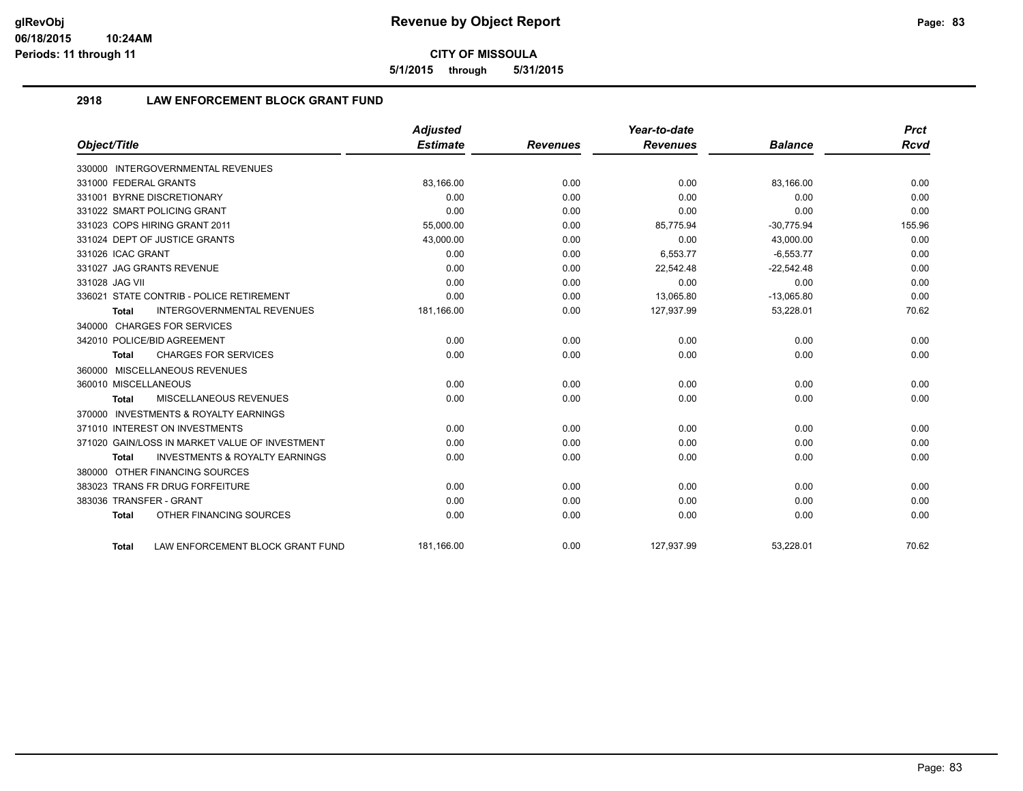**5/1/2015 through 5/31/2015**

# **2918 LAW ENFORCEMENT BLOCK GRANT FUND**

|                                                           | <b>Adjusted</b> |                 | Year-to-date    |                | <b>Prct</b> |
|-----------------------------------------------------------|-----------------|-----------------|-----------------|----------------|-------------|
| Object/Title                                              | <b>Estimate</b> | <b>Revenues</b> | <b>Revenues</b> | <b>Balance</b> | Rcvd        |
| 330000 INTERGOVERNMENTAL REVENUES                         |                 |                 |                 |                |             |
| 331000 FEDERAL GRANTS                                     | 83,166.00       | 0.00            | 0.00            | 83,166.00      | 0.00        |
| 331001 BYRNE DISCRETIONARY                                | 0.00            | 0.00            | 0.00            | 0.00           | 0.00        |
| 331022 SMART POLICING GRANT                               | 0.00            | 0.00            | 0.00            | 0.00           | 0.00        |
| 331023 COPS HIRING GRANT 2011                             | 55,000.00       | 0.00            | 85,775.94       | $-30,775.94$   | 155.96      |
| 331024 DEPT OF JUSTICE GRANTS                             | 43,000.00       | 0.00            | 0.00            | 43,000.00      | 0.00        |
| 331026 ICAC GRANT                                         | 0.00            | 0.00            | 6,553.77        | $-6,553.77$    | 0.00        |
| 331027 JAG GRANTS REVENUE                                 | 0.00            | 0.00            | 22,542.48       | $-22,542.48$   | 0.00        |
| 331028 JAG VII                                            | 0.00            | 0.00            | 0.00            | 0.00           | 0.00        |
| 336021 STATE CONTRIB - POLICE RETIREMENT                  | 0.00            | 0.00            | 13,065.80       | $-13,065.80$   | 0.00        |
| <b>INTERGOVERNMENTAL REVENUES</b><br>Total                | 181,166.00      | 0.00            | 127,937.99      | 53,228.01      | 70.62       |
| 340000 CHARGES FOR SERVICES                               |                 |                 |                 |                |             |
| 342010 POLICE/BID AGREEMENT                               | 0.00            | 0.00            | 0.00            | 0.00           | 0.00        |
| <b>CHARGES FOR SERVICES</b><br>Total                      | 0.00            | 0.00            | 0.00            | 0.00           | 0.00        |
| 360000 MISCELLANEOUS REVENUES                             |                 |                 |                 |                |             |
| 360010 MISCELLANEOUS                                      | 0.00            | 0.00            | 0.00            | 0.00           | 0.00        |
| <b>MISCELLANEOUS REVENUES</b><br><b>Total</b>             | 0.00            | 0.00            | 0.00            | 0.00           | 0.00        |
| 370000 INVESTMENTS & ROYALTY EARNINGS                     |                 |                 |                 |                |             |
| 371010 INTEREST ON INVESTMENTS                            | 0.00            | 0.00            | 0.00            | 0.00           | 0.00        |
| 371020 GAIN/LOSS IN MARKET VALUE OF INVESTMENT            | 0.00            | 0.00            | 0.00            | 0.00           | 0.00        |
| <b>INVESTMENTS &amp; ROYALTY EARNINGS</b><br><b>Total</b> | 0.00            | 0.00            | 0.00            | 0.00           | 0.00        |
| 380000 OTHER FINANCING SOURCES                            |                 |                 |                 |                |             |
| 383023 TRANS FR DRUG FORFEITURE                           | 0.00            | 0.00            | 0.00            | 0.00           | 0.00        |
| 383036 TRANSFER - GRANT                                   | 0.00            | 0.00            | 0.00            | 0.00           | 0.00        |
| OTHER FINANCING SOURCES<br><b>Total</b>                   | 0.00            | 0.00            | 0.00            | 0.00           | 0.00        |
| LAW ENFORCEMENT BLOCK GRANT FUND<br>Total                 | 181.166.00      | 0.00            | 127,937.99      | 53,228.01      | 70.62       |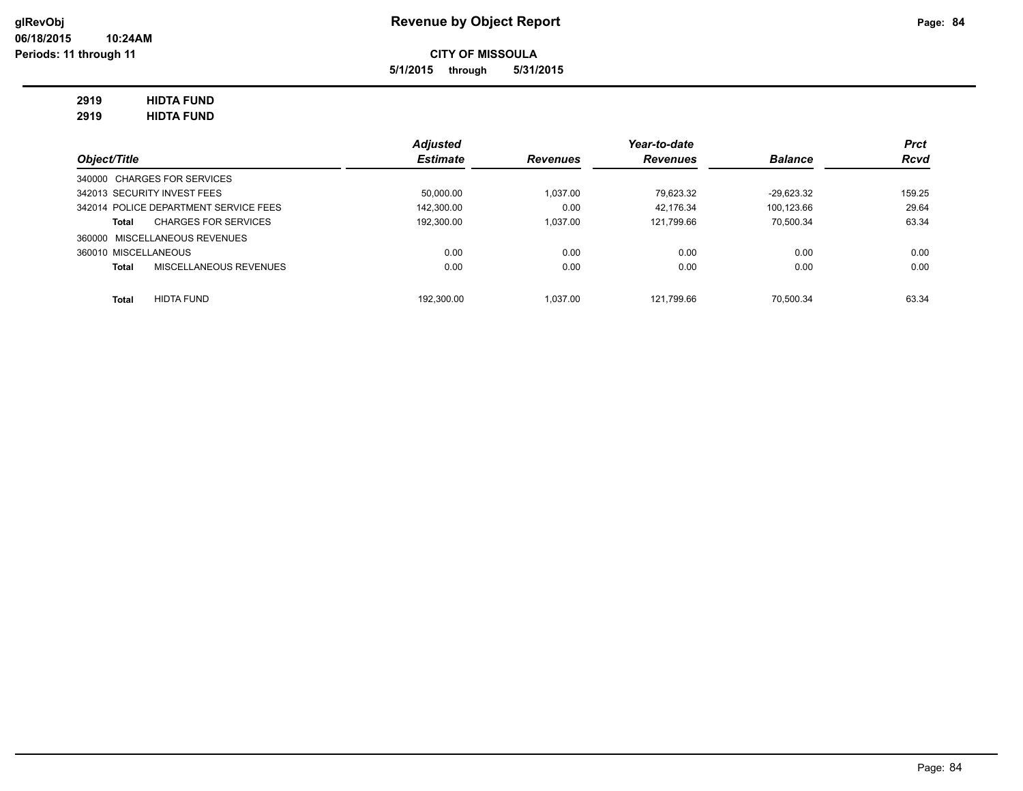**5/1/2015 through 5/31/2015**

# **2919 HIDTA FUND**

**2919 HIDTA FUND**

|                                               | <b>Adjusted</b> |                 | Year-to-date    |                | <b>Prct</b> |
|-----------------------------------------------|-----------------|-----------------|-----------------|----------------|-------------|
| Object/Title                                  | <b>Estimate</b> | <b>Revenues</b> | <b>Revenues</b> | <b>Balance</b> | <b>Rcvd</b> |
| 340000 CHARGES FOR SERVICES                   | 50.000.00       | 1.037.00        | 79.623.32       |                | 159.25      |
| 342013 SECURITY INVEST FEES                   |                 |                 |                 | $-29.623.32$   |             |
| 342014 POLICE DEPARTMENT SERVICE FEES         | 142,300.00      | 0.00            | 42.176.34       | 100.123.66     | 29.64       |
| <b>CHARGES FOR SERVICES</b><br>Total          | 192.300.00      | 1.037.00        | 121.799.66      | 70.500.34      | 63.34       |
| 360000 MISCELLANEOUS REVENUES                 |                 |                 |                 |                |             |
| 360010 MISCELLANEOUS                          | 0.00            | 0.00            | 0.00            | 0.00           | 0.00        |
| <b>MISCELLANEOUS REVENUES</b><br><b>Total</b> | 0.00            | 0.00            | 0.00            | 0.00           | 0.00        |
| <b>HIDTA FUND</b><br><b>Total</b>             | 192.300.00      | 1.037.00        | 121.799.66      | 70.500.34      | 63.34       |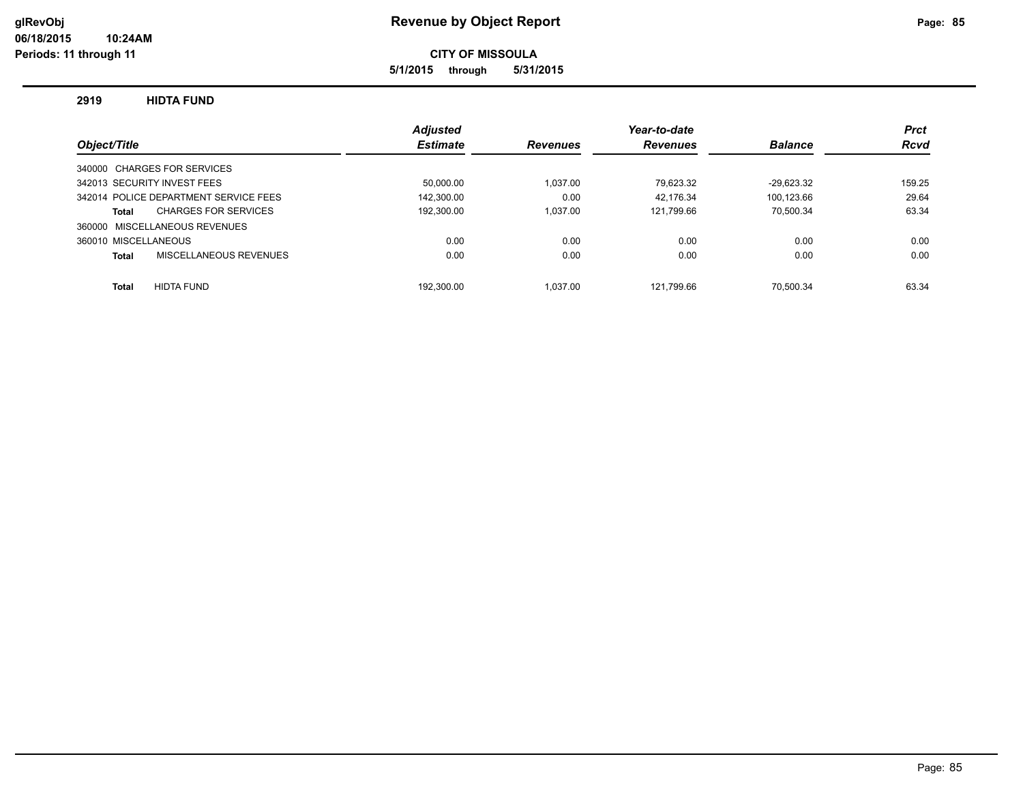**5/1/2015 through 5/31/2015**

### **2919 HIDTA FUND**

|                                       | <b>Adjusted</b> |                 | Year-to-date    |                | <b>Prct</b> |
|---------------------------------------|-----------------|-----------------|-----------------|----------------|-------------|
| Object/Title                          | <b>Estimate</b> | <b>Revenues</b> | <b>Revenues</b> | <b>Balance</b> | <b>Rcvd</b> |
| 340000 CHARGES FOR SERVICES           |                 |                 |                 |                |             |
| 342013 SECURITY INVEST FEES           | 50.000.00       | 1.037.00        | 79.623.32       | $-29.623.32$   | 159.25      |
| 342014 POLICE DEPARTMENT SERVICE FEES | 142.300.00      | 0.00            | 42.176.34       | 100.123.66     | 29.64       |
| <b>CHARGES FOR SERVICES</b><br>Total  | 192,300.00      | 1.037.00        | 121.799.66      | 70.500.34      | 63.34       |
| 360000 MISCELLANEOUS REVENUES         |                 |                 |                 |                |             |
| 360010 MISCELLANEOUS                  | 0.00            | 0.00            | 0.00            | 0.00           | 0.00        |
| MISCELLANEOUS REVENUES<br>Total       | 0.00            | 0.00            | 0.00            | 0.00           | 0.00        |
|                                       |                 |                 |                 |                |             |
| <b>HIDTA FUND</b><br>Total            | 192.300.00      | 1.037.00        | 121.799.66      | 70.500.34      | 63.34       |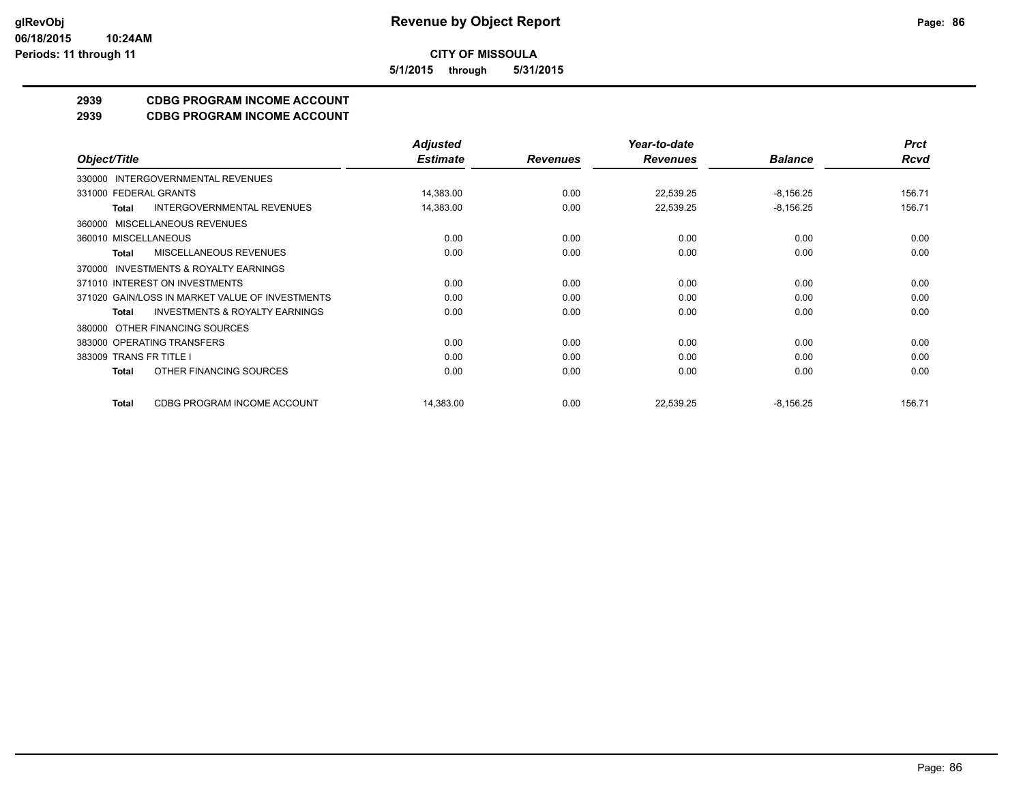**5/1/2015 through 5/31/2015**

# **2939 CDBG PROGRAM INCOME ACCOUNT**

**2939 CDBG PROGRAM INCOME ACCOUNT**

|                                                     | <b>Adjusted</b> |                 | Year-to-date    |                | <b>Prct</b> |
|-----------------------------------------------------|-----------------|-----------------|-----------------|----------------|-------------|
| Object/Title                                        | <b>Estimate</b> | <b>Revenues</b> | <b>Revenues</b> | <b>Balance</b> | <b>Rcvd</b> |
| INTERGOVERNMENTAL REVENUES<br>330000                |                 |                 |                 |                |             |
| 331000 FEDERAL GRANTS                               | 14,383.00       | 0.00            | 22,539.25       | $-8,156.25$    | 156.71      |
| <b>INTERGOVERNMENTAL REVENUES</b><br>Total          | 14,383.00       | 0.00            | 22,539.25       | $-8,156.25$    | 156.71      |
| MISCELLANEOUS REVENUES<br>360000                    |                 |                 |                 |                |             |
| 360010 MISCELLANEOUS                                | 0.00            | 0.00            | 0.00            | 0.00           | 0.00        |
| <b>MISCELLANEOUS REVENUES</b><br><b>Total</b>       | 0.00            | 0.00            | 0.00            | 0.00           | 0.00        |
| <b>INVESTMENTS &amp; ROYALTY EARNINGS</b><br>370000 |                 |                 |                 |                |             |
| 371010 INTEREST ON INVESTMENTS                      | 0.00            | 0.00            | 0.00            | 0.00           | 0.00        |
| 371020 GAIN/LOSS IN MARKET VALUE OF INVESTMENTS     | 0.00            | 0.00            | 0.00            | 0.00           | 0.00        |
| <b>INVESTMENTS &amp; ROYALTY EARNINGS</b><br>Total  | 0.00            | 0.00            | 0.00            | 0.00           | 0.00        |
| OTHER FINANCING SOURCES<br>380000                   |                 |                 |                 |                |             |
| 383000 OPERATING TRANSFERS                          | 0.00            | 0.00            | 0.00            | 0.00           | 0.00        |
| 383009 TRANS FR TITLE I                             | 0.00            | 0.00            | 0.00            | 0.00           | 0.00        |
| OTHER FINANCING SOURCES<br><b>Total</b>             | 0.00            | 0.00            | 0.00            | 0.00           | 0.00        |
| CDBG PROGRAM INCOME ACCOUNT<br><b>Total</b>         | 14,383.00       | 0.00            | 22,539.25       | $-8,156.25$    | 156.71      |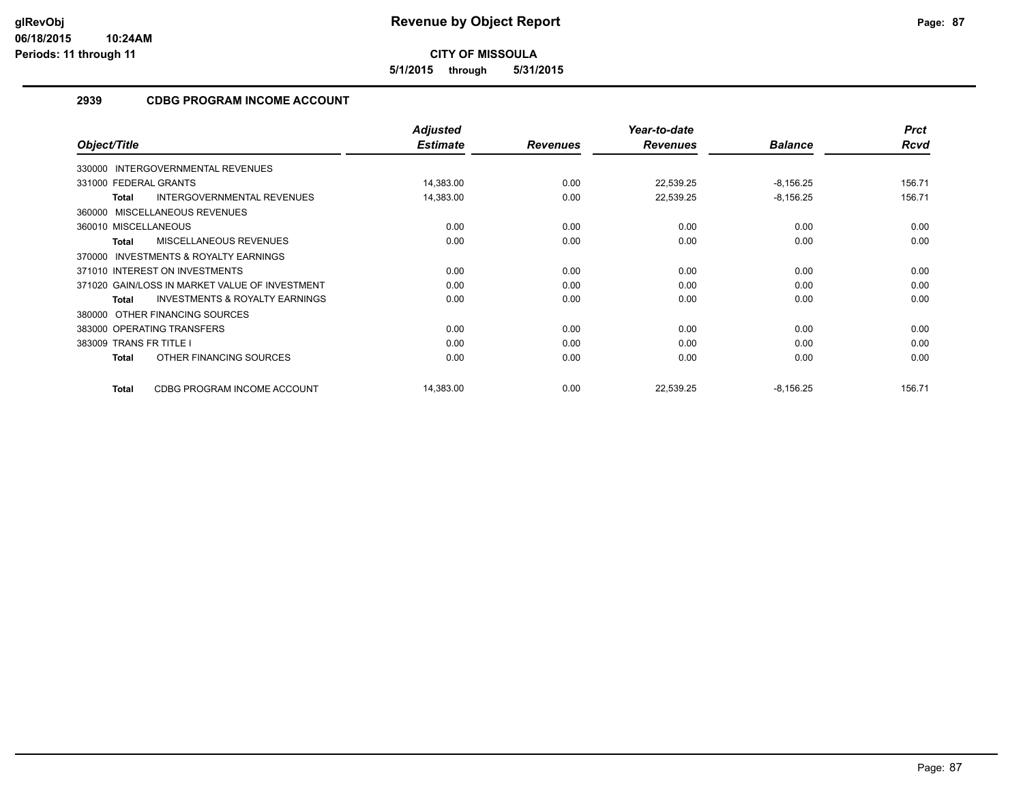**5/1/2015 through 5/31/2015**

# **2939 CDBG PROGRAM INCOME ACCOUNT**

|                                                           | <b>Adjusted</b> |                 | Year-to-date    |                | <b>Prct</b> |
|-----------------------------------------------------------|-----------------|-----------------|-----------------|----------------|-------------|
| Object/Title                                              | <b>Estimate</b> | <b>Revenues</b> | <b>Revenues</b> | <b>Balance</b> | Rcvd        |
| 330000 INTERGOVERNMENTAL REVENUES                         |                 |                 |                 |                |             |
| 331000 FEDERAL GRANTS                                     | 14,383.00       | 0.00            | 22,539.25       | $-8,156.25$    | 156.71      |
| <b>INTERGOVERNMENTAL REVENUES</b><br><b>Total</b>         | 14,383.00       | 0.00            | 22,539.25       | $-8,156.25$    | 156.71      |
| 360000 MISCELLANEOUS REVENUES                             |                 |                 |                 |                |             |
| 360010 MISCELLANEOUS                                      | 0.00            | 0.00            | 0.00            | 0.00           | 0.00        |
| MISCELLANEOUS REVENUES<br><b>Total</b>                    | 0.00            | 0.00            | 0.00            | 0.00           | 0.00        |
| <b>INVESTMENTS &amp; ROYALTY EARNINGS</b><br>370000       |                 |                 |                 |                |             |
| 371010 INTEREST ON INVESTMENTS                            | 0.00            | 0.00            | 0.00            | 0.00           | 0.00        |
| 371020 GAIN/LOSS IN MARKET VALUE OF INVESTMENT            | 0.00            | 0.00            | 0.00            | 0.00           | 0.00        |
| <b>INVESTMENTS &amp; ROYALTY EARNINGS</b><br><b>Total</b> | 0.00            | 0.00            | 0.00            | 0.00           | 0.00        |
| OTHER FINANCING SOURCES<br>380000                         |                 |                 |                 |                |             |
| 383000 OPERATING TRANSFERS                                | 0.00            | 0.00            | 0.00            | 0.00           | 0.00        |
| 383009 TRANS FR TITLE I                                   | 0.00            | 0.00            | 0.00            | 0.00           | 0.00        |
| OTHER FINANCING SOURCES<br>Total                          | 0.00            | 0.00            | 0.00            | 0.00           | 0.00        |
| CDBG PROGRAM INCOME ACCOUNT<br><b>Total</b>               | 14,383.00       | 0.00            | 22,539.25       | $-8,156.25$    | 156.71      |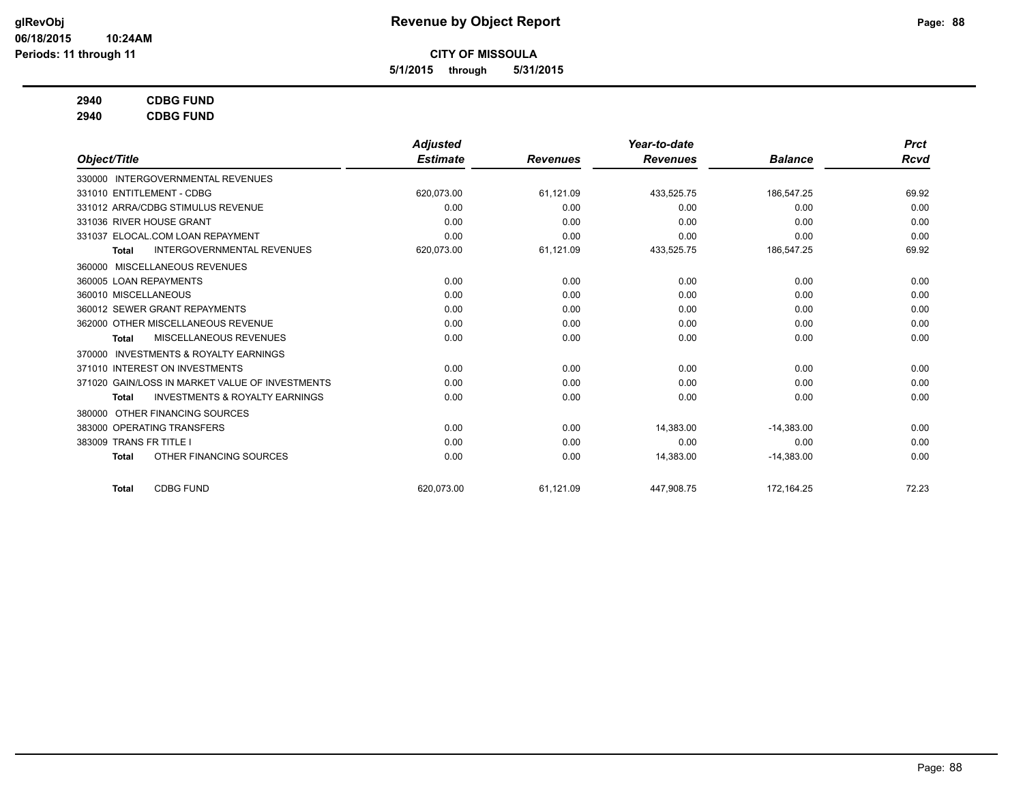**5/1/2015 through 5/31/2015**

# **2940 CDBG FUND**

**2940 CDBG FUND**

|                                                           | <b>Adjusted</b> |                 | Year-to-date    |                | <b>Prct</b> |
|-----------------------------------------------------------|-----------------|-----------------|-----------------|----------------|-------------|
| Object/Title                                              | <b>Estimate</b> | <b>Revenues</b> | <b>Revenues</b> | <b>Balance</b> | Rcvd        |
| 330000 INTERGOVERNMENTAL REVENUES                         |                 |                 |                 |                |             |
| 331010 ENTITLEMENT - CDBG                                 | 620,073.00      | 61,121.09       | 433,525.75      | 186,547.25     | 69.92       |
| 331012 ARRA/CDBG STIMULUS REVENUE                         | 0.00            | 0.00            | 0.00            | 0.00           | 0.00        |
| 331036 RIVER HOUSE GRANT                                  | 0.00            | 0.00            | 0.00            | 0.00           | 0.00        |
| 331037 ELOCAL.COM LOAN REPAYMENT                          | 0.00            | 0.00            | 0.00            | 0.00           | 0.00        |
| <b>INTERGOVERNMENTAL REVENUES</b><br><b>Total</b>         | 620,073.00      | 61,121.09       | 433,525.75      | 186,547.25     | 69.92       |
| 360000 MISCELLANEOUS REVENUES                             |                 |                 |                 |                |             |
| 360005 LOAN REPAYMENTS                                    | 0.00            | 0.00            | 0.00            | 0.00           | 0.00        |
| 360010 MISCELLANEOUS                                      | 0.00            | 0.00            | 0.00            | 0.00           | 0.00        |
| 360012 SEWER GRANT REPAYMENTS                             | 0.00            | 0.00            | 0.00            | 0.00           | 0.00        |
| 362000 OTHER MISCELLANEOUS REVENUE                        | 0.00            | 0.00            | 0.00            | 0.00           | 0.00        |
| <b>MISCELLANEOUS REVENUES</b><br><b>Total</b>             | 0.00            | 0.00            | 0.00            | 0.00           | 0.00        |
| <b>INVESTMENTS &amp; ROYALTY EARNINGS</b><br>370000       |                 |                 |                 |                |             |
| 371010 INTEREST ON INVESTMENTS                            | 0.00            | 0.00            | 0.00            | 0.00           | 0.00        |
| 371020 GAIN/LOSS IN MARKET VALUE OF INVESTMENTS           | 0.00            | 0.00            | 0.00            | 0.00           | 0.00        |
| <b>INVESTMENTS &amp; ROYALTY EARNINGS</b><br><b>Total</b> | 0.00            | 0.00            | 0.00            | 0.00           | 0.00        |
| OTHER FINANCING SOURCES<br>380000                         |                 |                 |                 |                |             |
| 383000 OPERATING TRANSFERS                                | 0.00            | 0.00            | 14,383.00       | $-14,383.00$   | 0.00        |
| 383009 TRANS FR TITLE I                                   | 0.00            | 0.00            | 0.00            | 0.00           | 0.00        |
| OTHER FINANCING SOURCES<br><b>Total</b>                   | 0.00            | 0.00            | 14,383.00       | $-14,383.00$   | 0.00        |
| <b>CDBG FUND</b><br><b>Total</b>                          | 620.073.00      | 61,121.09       | 447,908.75      | 172.164.25     | 72.23       |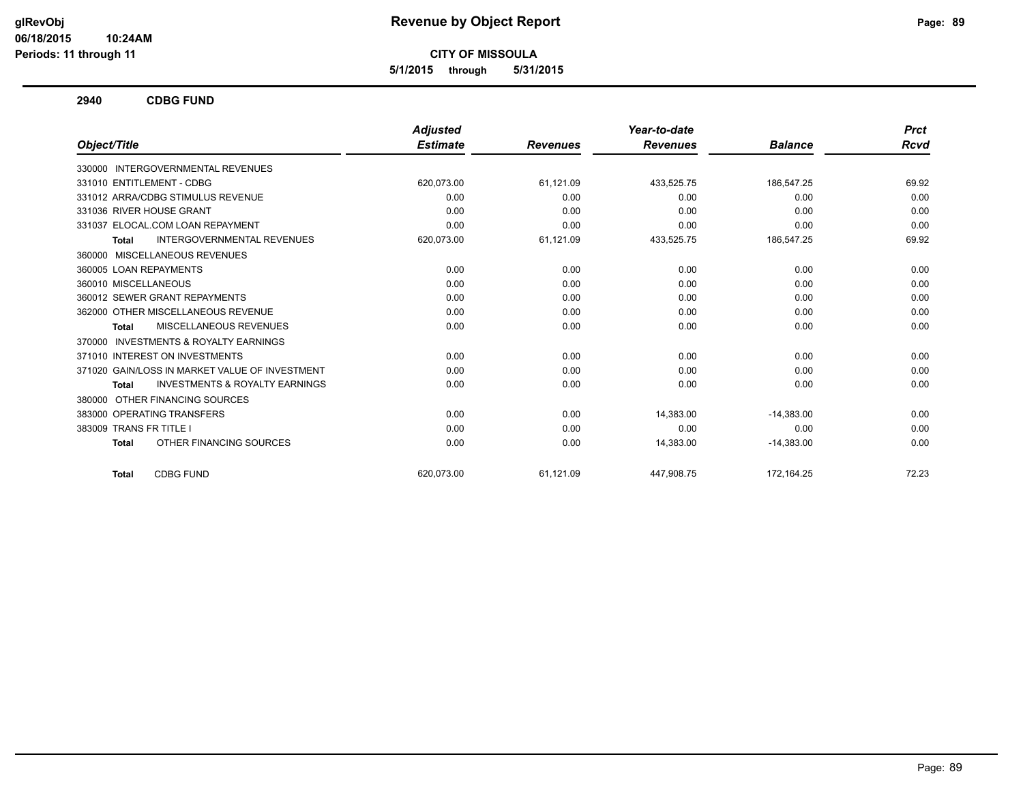**5/1/2015 through 5/31/2015**

**2940 CDBG FUND**

|                                                           | <b>Adjusted</b> |                 | Year-to-date    |                | <b>Prct</b> |
|-----------------------------------------------------------|-----------------|-----------------|-----------------|----------------|-------------|
| Object/Title                                              | <b>Estimate</b> | <b>Revenues</b> | <b>Revenues</b> | <b>Balance</b> | Rcvd        |
| INTERGOVERNMENTAL REVENUES<br>330000                      |                 |                 |                 |                |             |
| 331010 ENTITLEMENT - CDBG                                 | 620,073.00      | 61,121.09       | 433,525.75      | 186,547.25     | 69.92       |
| 331012 ARRA/CDBG STIMULUS REVENUE                         | 0.00            | 0.00            | 0.00            | 0.00           | 0.00        |
| 331036 RIVER HOUSE GRANT                                  | 0.00            | 0.00            | 0.00            | 0.00           | 0.00        |
| 331037 ELOCAL.COM LOAN REPAYMENT                          | 0.00            | 0.00            | 0.00            | 0.00           | 0.00        |
| <b>INTERGOVERNMENTAL REVENUES</b><br>Total                | 620,073.00      | 61,121.09       | 433,525.75      | 186,547.25     | 69.92       |
| 360000 MISCELLANEOUS REVENUES                             |                 |                 |                 |                |             |
| 360005 LOAN REPAYMENTS                                    | 0.00            | 0.00            | 0.00            | 0.00           | 0.00        |
| 360010 MISCELLANEOUS                                      | 0.00            | 0.00            | 0.00            | 0.00           | 0.00        |
| 360012 SEWER GRANT REPAYMENTS                             | 0.00            | 0.00            | 0.00            | 0.00           | 0.00        |
| 362000 OTHER MISCELLANEOUS REVENUE                        | 0.00            | 0.00            | 0.00            | 0.00           | 0.00        |
| MISCELLANEOUS REVENUES<br>Total                           | 0.00            | 0.00            | 0.00            | 0.00           | 0.00        |
| <b>INVESTMENTS &amp; ROYALTY EARNINGS</b><br>370000       |                 |                 |                 |                |             |
| 371010 INTEREST ON INVESTMENTS                            | 0.00            | 0.00            | 0.00            | 0.00           | 0.00        |
| 371020 GAIN/LOSS IN MARKET VALUE OF INVESTMENT            | 0.00            | 0.00            | 0.00            | 0.00           | 0.00        |
| <b>INVESTMENTS &amp; ROYALTY EARNINGS</b><br><b>Total</b> | 0.00            | 0.00            | 0.00            | 0.00           | 0.00        |
| OTHER FINANCING SOURCES<br>380000                         |                 |                 |                 |                |             |
| 383000 OPERATING TRANSFERS                                | 0.00            | 0.00            | 14,383.00       | $-14,383.00$   | 0.00        |
| 383009 TRANS FR TITLE I                                   | 0.00            | 0.00            | 0.00            | 0.00           | 0.00        |
| OTHER FINANCING SOURCES<br><b>Total</b>                   | 0.00            | 0.00            | 14,383.00       | $-14,383.00$   | 0.00        |
| <b>CDBG FUND</b><br><b>Total</b>                          | 620.073.00      | 61,121.09       | 447.908.75      | 172,164.25     | 72.23       |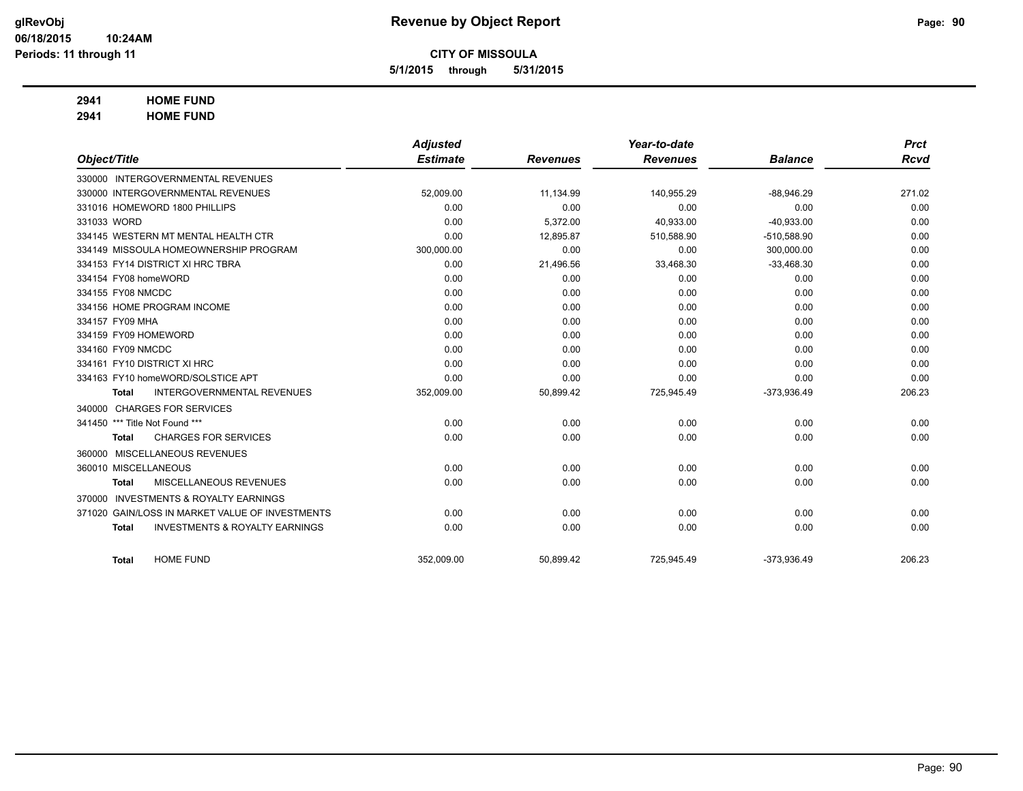**5/1/2015 through 5/31/2015**

# **2941 HOME FUND**

**2941 HOME FUND**

|                                |                                                 | <b>Adjusted</b> |                 | Year-to-date    |                | <b>Prct</b> |
|--------------------------------|-------------------------------------------------|-----------------|-----------------|-----------------|----------------|-------------|
| Object/Title                   |                                                 | <b>Estimate</b> | <b>Revenues</b> | <b>Revenues</b> | <b>Balance</b> | <b>Rcvd</b> |
|                                | 330000 INTERGOVERNMENTAL REVENUES               |                 |                 |                 |                |             |
|                                | 330000 INTERGOVERNMENTAL REVENUES               | 52,009.00       | 11,134.99       | 140,955.29      | $-88,946.29$   | 271.02      |
|                                | 331016 HOMEWORD 1800 PHILLIPS                   | 0.00            | 0.00            | 0.00            | 0.00           | 0.00        |
| 331033 WORD                    |                                                 | 0.00            | 5,372.00        | 40,933.00       | $-40,933.00$   | 0.00        |
|                                | 334145 WESTERN MT MENTAL HEALTH CTR             | 0.00            | 12,895.87       | 510,588.90      | $-510,588.90$  | 0.00        |
|                                | 334149 MISSOULA HOMEOWNERSHIP PROGRAM           | 300,000.00      | 0.00            | 0.00            | 300.000.00     | 0.00        |
|                                | 334153 FY14 DISTRICT XI HRC TBRA                | 0.00            | 21,496.56       | 33,468.30       | $-33,468.30$   | 0.00        |
| 334154 FY08 homeWORD           |                                                 | 0.00            | 0.00            | 0.00            | 0.00           | 0.00        |
| 334155 FY08 NMCDC              |                                                 | 0.00            | 0.00            | 0.00            | 0.00           | 0.00        |
|                                | 334156 HOME PROGRAM INCOME                      | 0.00            | 0.00            | 0.00            | 0.00           | 0.00        |
| 334157 FY09 MHA                |                                                 | 0.00            | 0.00            | 0.00            | 0.00           | 0.00        |
| 334159 FY09 HOMEWORD           |                                                 | 0.00            | 0.00            | 0.00            | 0.00           | 0.00        |
| 334160 FY09 NMCDC              |                                                 | 0.00            | 0.00            | 0.00            | 0.00           | 0.00        |
| 334161 FY10 DISTRICT XI HRC    |                                                 | 0.00            | 0.00            | 0.00            | 0.00           | 0.00        |
|                                | 334163 FY10 homeWORD/SOLSTICE APT               | 0.00            | 0.00            | 0.00            | 0.00           | 0.00        |
| <b>Total</b>                   | <b>INTERGOVERNMENTAL REVENUES</b>               | 352,009.00      | 50,899.42       | 725,945.49      | $-373,936.49$  | 206.23      |
|                                | 340000 CHARGES FOR SERVICES                     |                 |                 |                 |                |             |
| 341450 *** Title Not Found *** |                                                 | 0.00            | 0.00            | 0.00            | 0.00           | 0.00        |
| <b>Total</b>                   | <b>CHARGES FOR SERVICES</b>                     | 0.00            | 0.00            | 0.00            | 0.00           | 0.00        |
|                                | 360000 MISCELLANEOUS REVENUES                   |                 |                 |                 |                |             |
| 360010 MISCELLANEOUS           |                                                 | 0.00            | 0.00            | 0.00            | 0.00           | 0.00        |
| <b>Total</b>                   | MISCELLANEOUS REVENUES                          | 0.00            | 0.00            | 0.00            | 0.00           | 0.00        |
| 370000                         | <b>INVESTMENTS &amp; ROYALTY EARNINGS</b>       |                 |                 |                 |                |             |
|                                | 371020 GAIN/LOSS IN MARKET VALUE OF INVESTMENTS | 0.00            | 0.00            | 0.00            | 0.00           | 0.00        |
| <b>Total</b>                   | <b>INVESTMENTS &amp; ROYALTY EARNINGS</b>       | 0.00            | 0.00            | 0.00            | 0.00           | 0.00        |
|                                |                                                 |                 |                 |                 |                |             |
| <b>Total</b>                   | <b>HOME FUND</b>                                | 352,009.00      | 50,899.42       | 725,945.49      | $-373,936.49$  | 206.23      |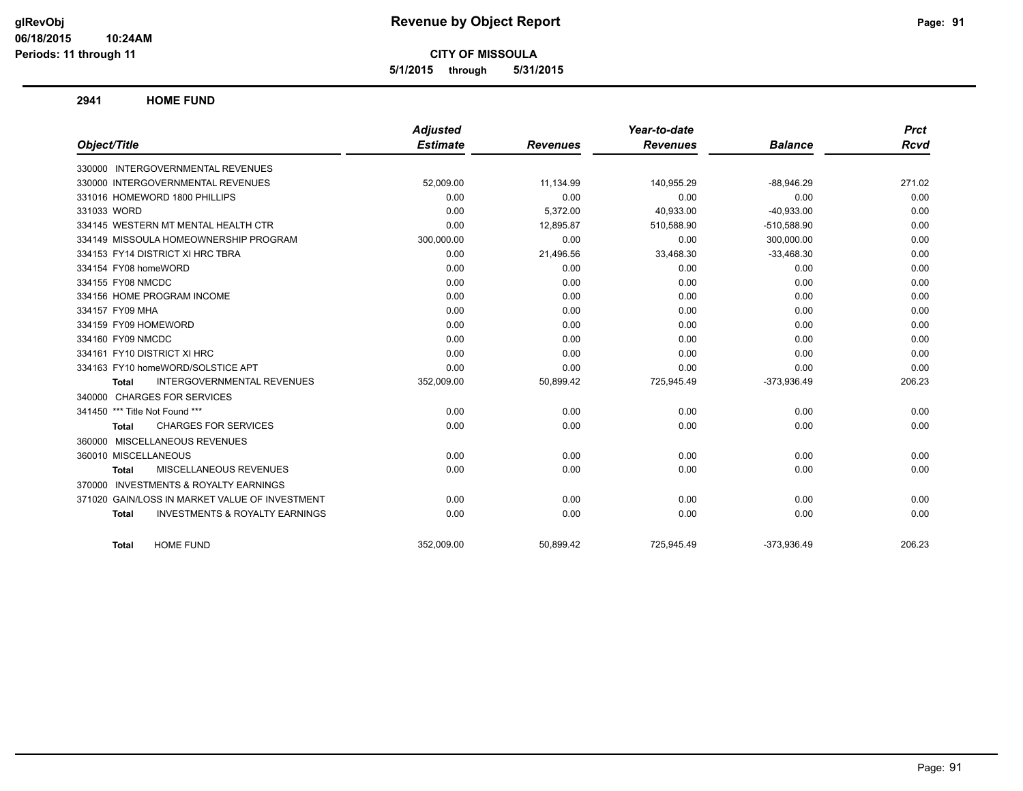**5/1/2015 through 5/31/2015**

### **2941 HOME FUND**

|                                                           | <b>Adjusted</b> |                 | Year-to-date    |                | <b>Prct</b> |
|-----------------------------------------------------------|-----------------|-----------------|-----------------|----------------|-------------|
| Object/Title                                              | <b>Estimate</b> | <b>Revenues</b> | <b>Revenues</b> | <b>Balance</b> | Rcvd        |
| 330000 INTERGOVERNMENTAL REVENUES                         |                 |                 |                 |                |             |
| 330000 INTERGOVERNMENTAL REVENUES                         | 52,009.00       | 11.134.99       | 140,955.29      | $-88.946.29$   | 271.02      |
| 331016 HOMEWORD 1800 PHILLIPS                             | 0.00            | 0.00            | 0.00            | 0.00           | 0.00        |
| 331033 WORD                                               | 0.00            | 5,372.00        | 40,933.00       | $-40,933.00$   | 0.00        |
| 334145 WESTERN MT MENTAL HEALTH CTR                       | 0.00            | 12,895.87       | 510,588.90      | $-510,588.90$  | 0.00        |
| 334149 MISSOULA HOMEOWNERSHIP PROGRAM                     | 300,000.00      | 0.00            | 0.00            | 300,000.00     | 0.00        |
| 334153 FY14 DISTRICT XI HRC TBRA                          | 0.00            | 21,496.56       | 33,468.30       | $-33,468.30$   | 0.00        |
| 334154 FY08 homeWORD                                      | 0.00            | 0.00            | 0.00            | 0.00           | 0.00        |
| 334155 FY08 NMCDC                                         | 0.00            | 0.00            | 0.00            | 0.00           | 0.00        |
| 334156 HOME PROGRAM INCOME                                | 0.00            | 0.00            | 0.00            | 0.00           | 0.00        |
| 334157 FY09 MHA                                           | 0.00            | 0.00            | 0.00            | 0.00           | 0.00        |
| 334159 FY09 HOMEWORD                                      | 0.00            | 0.00            | 0.00            | 0.00           | 0.00        |
| 334160 FY09 NMCDC                                         | 0.00            | 0.00            | 0.00            | 0.00           | 0.00        |
| 334161 FY10 DISTRICT XI HRC                               | 0.00            | 0.00            | 0.00            | 0.00           | 0.00        |
| 334163 FY10 homeWORD/SOLSTICE APT                         | 0.00            | 0.00            | 0.00            | 0.00           | 0.00        |
| <b>INTERGOVERNMENTAL REVENUES</b><br><b>Total</b>         | 352,009.00      | 50,899.42       | 725,945.49      | $-373,936.49$  | 206.23      |
| 340000 CHARGES FOR SERVICES                               |                 |                 |                 |                |             |
| 341450 *** Title Not Found ***                            | 0.00            | 0.00            | 0.00            | 0.00           | 0.00        |
| <b>CHARGES FOR SERVICES</b><br>Total                      | 0.00            | 0.00            | 0.00            | 0.00           | 0.00        |
| 360000 MISCELLANEOUS REVENUES                             |                 |                 |                 |                |             |
| 360010 MISCELLANEOUS                                      | 0.00            | 0.00            | 0.00            | 0.00           | 0.00        |
| MISCELLANEOUS REVENUES<br><b>Total</b>                    | 0.00            | 0.00            | 0.00            | 0.00           | 0.00        |
| 370000 INVESTMENTS & ROYALTY EARNINGS                     |                 |                 |                 |                |             |
| 371020 GAIN/LOSS IN MARKET VALUE OF INVESTMENT            | 0.00            | 0.00            | 0.00            | 0.00           | 0.00        |
| <b>INVESTMENTS &amp; ROYALTY EARNINGS</b><br><b>Total</b> | 0.00            | 0.00            | 0.00            | 0.00           | 0.00        |
| <b>HOME FUND</b><br><b>Total</b>                          | 352.009.00      | 50,899.42       | 725.945.49      | $-373,936.49$  | 206.23      |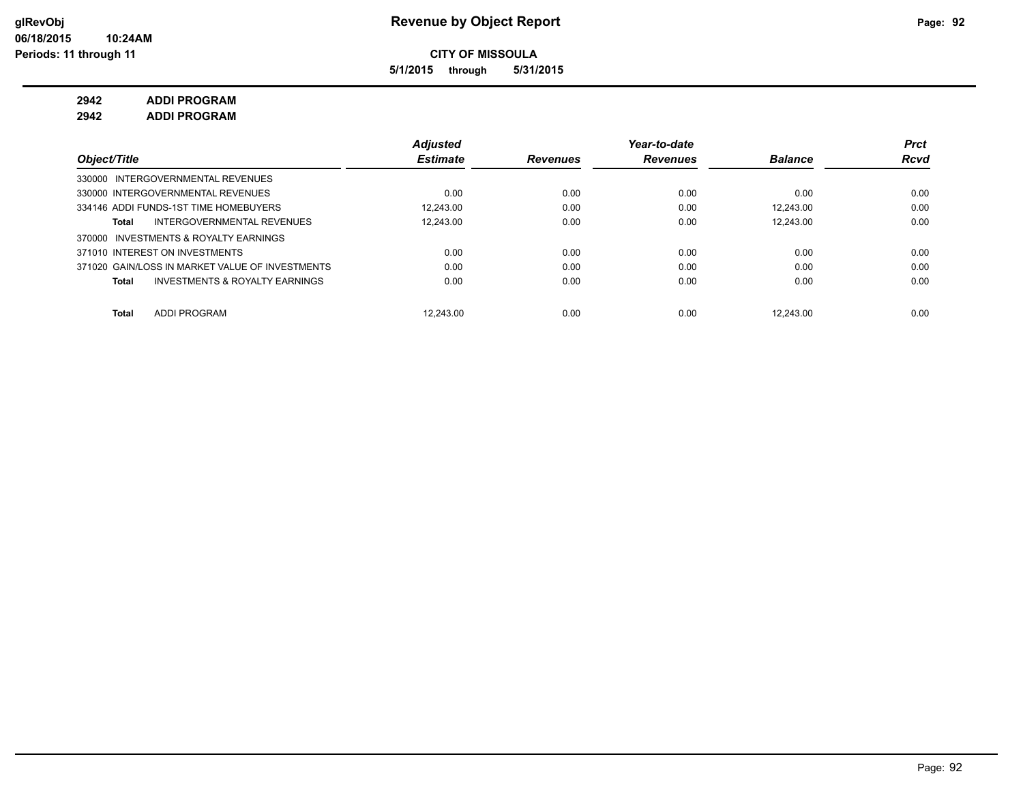**5/1/2015 through 5/31/2015**

**2942 ADDI PROGRAM**

**2942 ADDI PROGRAM**

|                                                    | <b>Adjusted</b> |                 | Year-to-date    |                | <b>Prct</b> |
|----------------------------------------------------|-----------------|-----------------|-----------------|----------------|-------------|
| Object/Title                                       | <b>Estimate</b> | <b>Revenues</b> | <b>Revenues</b> | <b>Balance</b> | <b>Rcvd</b> |
| 330000 INTERGOVERNMENTAL REVENUES                  |                 |                 |                 |                |             |
| 330000 INTERGOVERNMENTAL REVENUES                  | 0.00            | 0.00            | 0.00            | 0.00           | 0.00        |
| 334146 ADDI FUNDS-1ST TIME HOMEBUYERS              | 12.243.00       | 0.00            | 0.00            | 12.243.00      | 0.00        |
| INTERGOVERNMENTAL REVENUES<br>Total                | 12.243.00       | 0.00            | 0.00            | 12.243.00      | 0.00        |
| 370000 INVESTMENTS & ROYALTY EARNINGS              |                 |                 |                 |                |             |
| 371010 INTEREST ON INVESTMENTS                     | 0.00            | 0.00            | 0.00            | 0.00           | 0.00        |
| 371020 GAIN/LOSS IN MARKET VALUE OF INVESTMENTS    | 0.00            | 0.00            | 0.00            | 0.00           | 0.00        |
| <b>INVESTMENTS &amp; ROYALTY EARNINGS</b><br>Total | 0.00            | 0.00            | 0.00            | 0.00           | 0.00        |
|                                                    |                 |                 |                 |                |             |
| <b>ADDI PROGRAM</b><br><b>Total</b>                | 12.243.00       | 0.00            | 0.00            | 12.243.00      | 0.00        |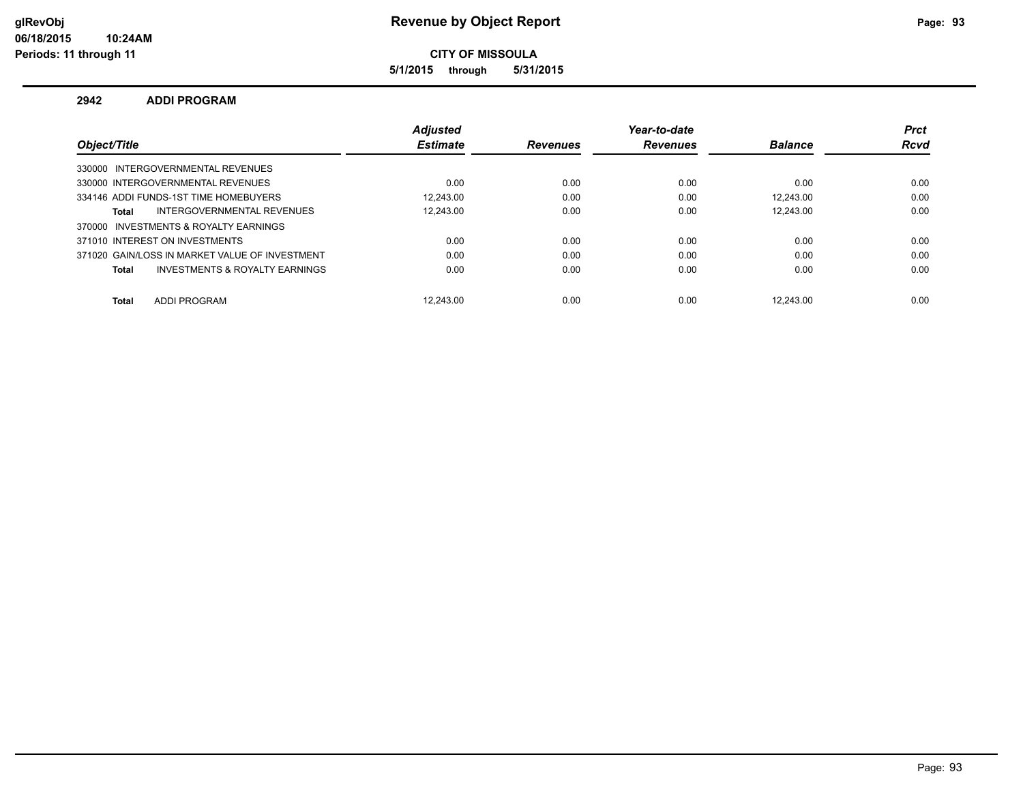**5/1/2015 through 5/31/2015**

### **2942 ADDI PROGRAM**

|                                                   | <b>Adiusted</b> |                 | Year-to-date    |                | <b>Prct</b> |
|---------------------------------------------------|-----------------|-----------------|-----------------|----------------|-------------|
| Object/Title                                      | <b>Estimate</b> | <b>Revenues</b> | <b>Revenues</b> | <b>Balance</b> | <b>Rcvd</b> |
| 330000 INTERGOVERNMENTAL REVENUES                 |                 |                 |                 |                |             |
| 330000 INTERGOVERNMENTAL REVENUES                 | 0.00            | 0.00            | 0.00            | 0.00           | 0.00        |
| 334146 ADDI FUNDS-1ST TIME HOMEBUYERS             | 12.243.00       | 0.00            | 0.00            | 12.243.00      | 0.00        |
| <b>INTERGOVERNMENTAL REVENUES</b><br><b>Total</b> | 12.243.00       | 0.00            | 0.00            | 12.243.00      | 0.00        |
| 370000 INVESTMENTS & ROYALTY EARNINGS             |                 |                 |                 |                |             |
| 371010 INTEREST ON INVESTMENTS                    | 0.00            | 0.00            | 0.00            | 0.00           | 0.00        |
| 371020 GAIN/LOSS IN MARKET VALUE OF INVESTMENT    | 0.00            | 0.00            | 0.00            | 0.00           | 0.00        |
| INVESTMENTS & ROYALTY EARNINGS<br><b>Total</b>    | 0.00            | 0.00            | 0.00            | 0.00           | 0.00        |
| <b>ADDI PROGRAM</b><br><b>Total</b>               | 12.243.00       | 0.00            | 0.00            | 12.243.00      | 0.00        |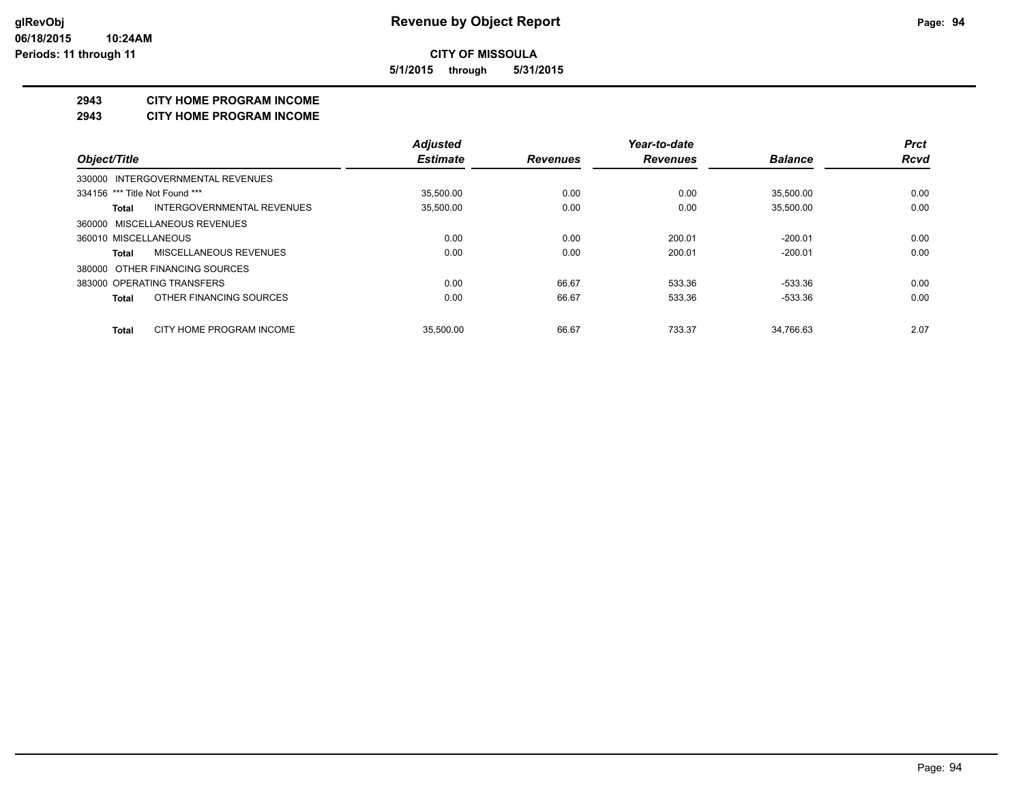**5/1/2015 through 5/31/2015**

### **2943 CITY HOME PROGRAM INCOME**

#### **2943 CITY HOME PROGRAM INCOME**

|                                            | <b>Adjusted</b> |                 | Year-to-date    |                | <b>Prct</b> |
|--------------------------------------------|-----------------|-----------------|-----------------|----------------|-------------|
| Object/Title                               | <b>Estimate</b> | <b>Revenues</b> | <b>Revenues</b> | <b>Balance</b> | <b>Rcvd</b> |
| 330000 INTERGOVERNMENTAL REVENUES          |                 |                 |                 |                |             |
| 334156 *** Title Not Found ***             | 35.500.00       | 0.00            | 0.00            | 35.500.00      | 0.00        |
| <b>INTERGOVERNMENTAL REVENUES</b><br>Total | 35,500.00       | 0.00            | 0.00            | 35,500.00      | 0.00        |
| 360000 MISCELLANEOUS REVENUES              |                 |                 |                 |                |             |
| 360010 MISCELLANEOUS                       | 0.00            | 0.00            | 200.01          | $-200.01$      | 0.00        |
| <b>MISCELLANEOUS REVENUES</b><br>Total     | 0.00            | 0.00            | 200.01          | $-200.01$      | 0.00        |
| 380000 OTHER FINANCING SOURCES             |                 |                 |                 |                |             |
| 383000 OPERATING TRANSFERS                 | 0.00            | 66.67           | 533.36          | $-533.36$      | 0.00        |
| OTHER FINANCING SOURCES<br>Total           | 0.00            | 66.67           | 533.36          | $-533.36$      | 0.00        |
| CITY HOME PROGRAM INCOME<br>Total          | 35.500.00       | 66.67           | 733.37          | 34.766.63      | 2.07        |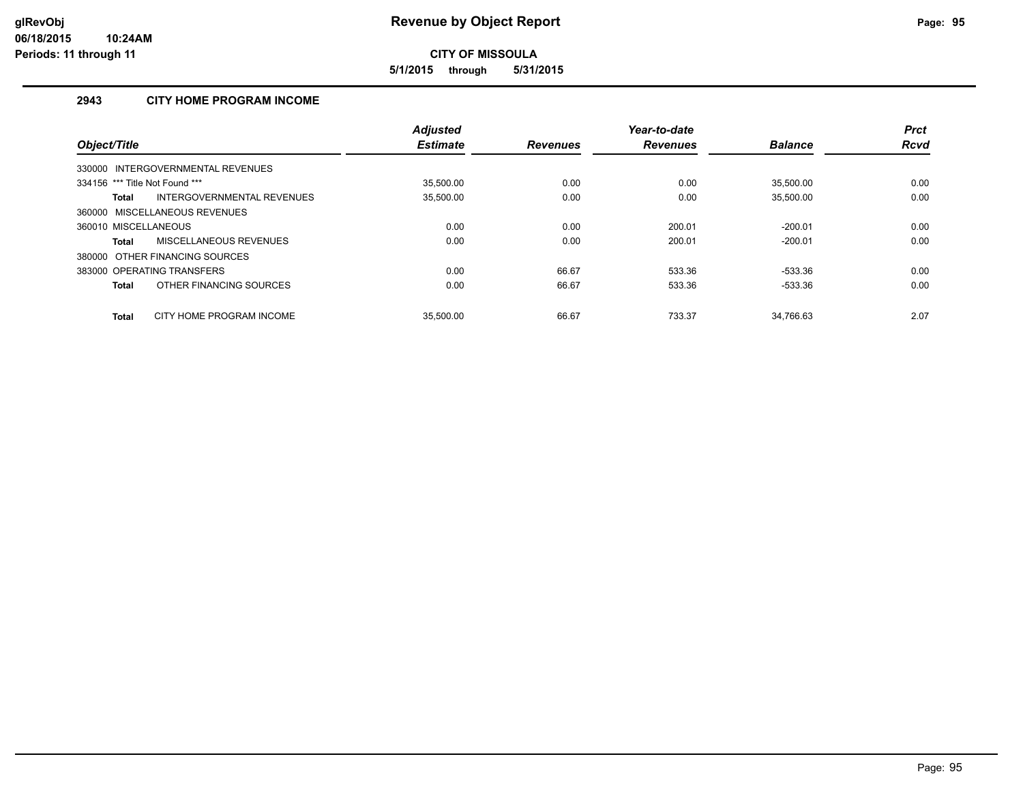**5/1/2015 through 5/31/2015**

# **2943 CITY HOME PROGRAM INCOME**

| Object/Title                   |                                   | <b>Adjusted</b><br><b>Estimate</b> | <b>Revenues</b> | Year-to-date<br><b>Revenues</b> | <b>Balance</b> | <b>Prct</b><br><b>Rcvd</b> |
|--------------------------------|-----------------------------------|------------------------------------|-----------------|---------------------------------|----------------|----------------------------|
|                                | 330000 INTERGOVERNMENTAL REVENUES |                                    |                 |                                 |                |                            |
| 334156 *** Title Not Found *** |                                   | 35.500.00                          | 0.00            | 0.00                            | 35.500.00      | 0.00                       |
| Total                          | INTERGOVERNMENTAL REVENUES        | 35,500.00                          | 0.00            | 0.00                            | 35,500.00      | 0.00                       |
|                                | 360000 MISCELLANEOUS REVENUES     |                                    |                 |                                 |                |                            |
| 360010 MISCELLANEOUS           |                                   | 0.00                               | 0.00            | 200.01                          | $-200.01$      | 0.00                       |
| Total                          | <b>MISCELLANEOUS REVENUES</b>     | 0.00                               | 0.00            | 200.01                          | $-200.01$      | 0.00                       |
| 380000                         | OTHER FINANCING SOURCES           |                                    |                 |                                 |                |                            |
|                                | 383000 OPERATING TRANSFERS        | 0.00                               | 66.67           | 533.36                          | -533.36        | 0.00                       |
| <b>Total</b>                   | OTHER FINANCING SOURCES           | 0.00                               | 66.67           | 533.36                          | -533.36        | 0.00                       |
| <b>Total</b>                   | CITY HOME PROGRAM INCOME          | 35.500.00                          | 66.67           | 733.37                          | 34.766.63      | 2.07                       |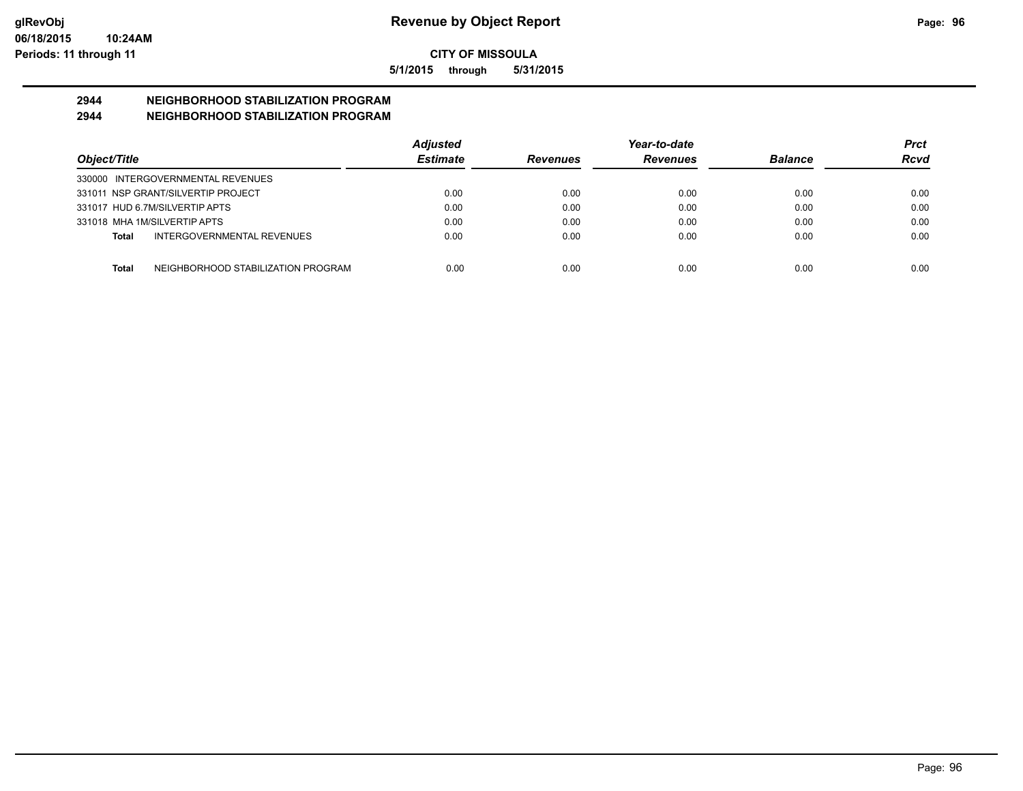**5/1/2015 through 5/31/2015**

# **2944 NEIGHBORHOOD STABILIZATION PROGRAM**

# **2944 NEIGHBORHOOD STABILIZATION PROGRAM**

|                                                    | <b>Adjusted</b> |                 | Year-to-date    |                | <b>Prct</b> |
|----------------------------------------------------|-----------------|-----------------|-----------------|----------------|-------------|
| Object/Title                                       | <b>Estimate</b> | <b>Revenues</b> | <b>Revenues</b> | <b>Balance</b> | Rcvd        |
| 330000 INTERGOVERNMENTAL REVENUES                  |                 |                 |                 |                |             |
| 331011 NSP GRANT/SILVERTIP PROJECT                 | 0.00            | 0.00            | 0.00            | 0.00           | 0.00        |
| 331017 HUD 6.7M/SILVERTIP APTS                     | 0.00            | 0.00            | 0.00            | 0.00           | 0.00        |
| 331018 MHA 1M/SILVERTIP APTS                       | 0.00            | 0.00            | 0.00            | 0.00           | 0.00        |
| INTERGOVERNMENTAL REVENUES<br><b>Total</b>         | 0.00            | 0.00            | 0.00            | 0.00           | 0.00        |
| NEIGHBORHOOD STABILIZATION PROGRAM<br><b>Total</b> | 0.00            | 0.00            | 0.00            | 0.00           | 0.00        |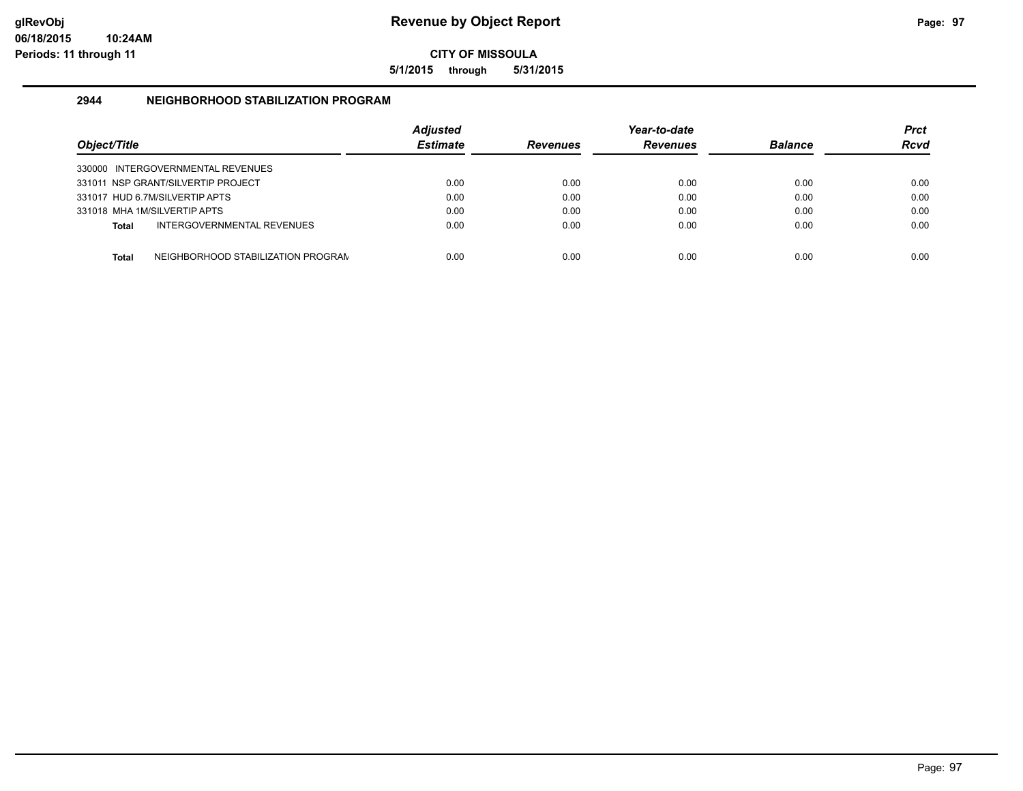**5/1/2015 through 5/31/2015**

### **2944 NEIGHBORHOOD STABILIZATION PROGRAM**

| Object/Title |                                    | <b>Adjusted</b><br><b>Estimate</b> | <b>Revenues</b> | Year-to-date<br><b>Revenues</b> | <b>Balance</b> | <b>Prct</b><br><b>Rcvd</b> |
|--------------|------------------------------------|------------------------------------|-----------------|---------------------------------|----------------|----------------------------|
|              | 330000 INTERGOVERNMENTAL REVENUES  |                                    |                 |                                 |                |                            |
|              | 331011 NSP GRANT/SILVERTIP PROJECT | 0.00                               | 0.00            | 0.00                            | 0.00           | 0.00                       |
|              | 331017 HUD 6.7M/SILVERTIP APTS     | 0.00                               | 0.00            | 0.00                            | 0.00           | 0.00                       |
|              | 331018 MHA 1M/SILVERTIP APTS       | 0.00                               | 0.00            | 0.00                            | 0.00           | 0.00                       |
| Total        | INTERGOVERNMENTAL REVENUES         | 0.00                               | 0.00            | 0.00                            | 0.00           | 0.00                       |
| Total        | NEIGHBORHOOD STABILIZATION PROGRAN | 0.00                               | 0.00            | 0.00                            | 0.00           | 0.00                       |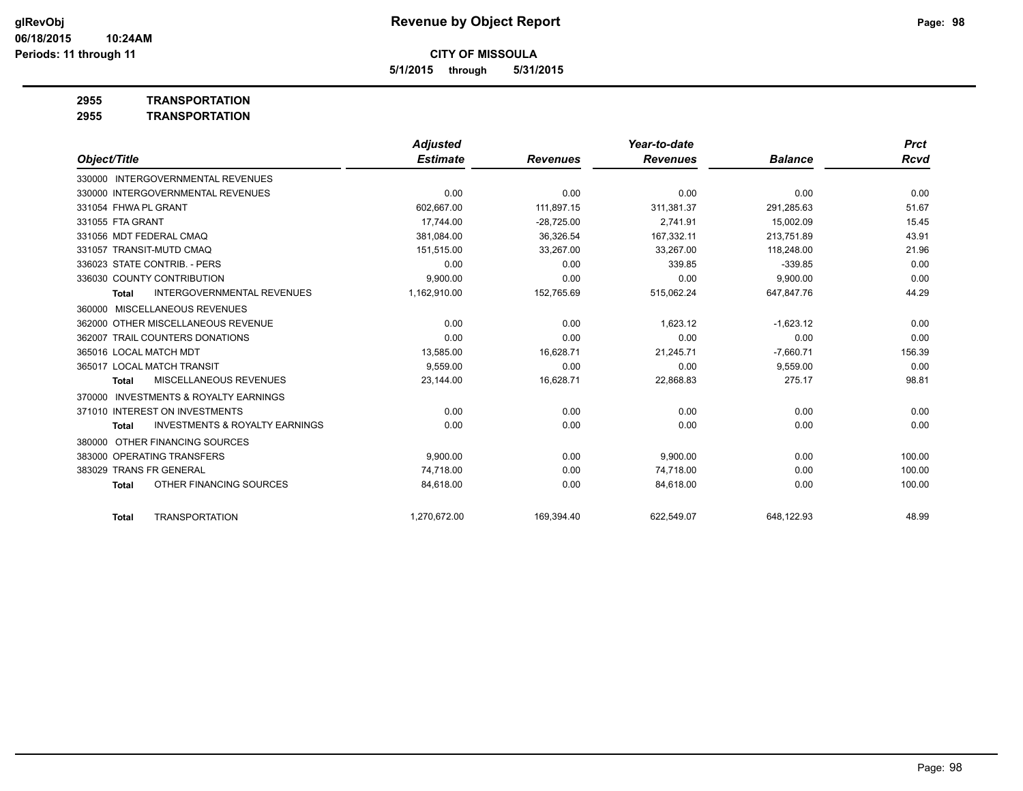**5/1/2015 through 5/31/2015**

**2955 TRANSPORTATION**

| 2955 | <b>TRANSPORTATION</b> |
|------|-----------------------|
|      |                       |

|                                                           | <b>Adjusted</b> |                 | Year-to-date    |                | <b>Prct</b> |
|-----------------------------------------------------------|-----------------|-----------------|-----------------|----------------|-------------|
| Object/Title                                              | <b>Estimate</b> | <b>Revenues</b> | <b>Revenues</b> | <b>Balance</b> | <b>Rcvd</b> |
| 330000 INTERGOVERNMENTAL REVENUES                         |                 |                 |                 |                |             |
| 330000 INTERGOVERNMENTAL REVENUES                         | 0.00            | 0.00            | 0.00            | 0.00           | 0.00        |
| 331054 FHWA PL GRANT                                      | 602,667.00      | 111.897.15      | 311.381.37      | 291,285.63     | 51.67       |
| 331055 FTA GRANT                                          | 17.744.00       | $-28,725.00$    | 2,741.91        | 15,002.09      | 15.45       |
| 331056 MDT FEDERAL CMAQ                                   | 381.084.00      | 36.326.54       | 167.332.11      | 213.751.89     | 43.91       |
| 331057 TRANSIT-MUTD CMAQ                                  | 151,515.00      | 33,267.00       | 33,267.00       | 118,248.00     | 21.96       |
| 336023 STATE CONTRIB. - PERS                              | 0.00            | 0.00            | 339.85          | $-339.85$      | 0.00        |
| 336030 COUNTY CONTRIBUTION                                | 9.900.00        | 0.00            | 0.00            | 9,900.00       | 0.00        |
| <b>INTERGOVERNMENTAL REVENUES</b><br><b>Total</b>         | 1,162,910.00    | 152,765.69      | 515,062.24      | 647,847.76     | 44.29       |
| 360000 MISCELLANEOUS REVENUES                             |                 |                 |                 |                |             |
| 362000 OTHER MISCELLANEOUS REVENUE                        | 0.00            | 0.00            | 1,623.12        | $-1,623.12$    | 0.00        |
| 362007 TRAIL COUNTERS DONATIONS                           | 0.00            | 0.00            | 0.00            | 0.00           | 0.00        |
| 365016 LOCAL MATCH MDT                                    | 13,585.00       | 16,628.71       | 21,245.71       | $-7,660.71$    | 156.39      |
| 365017 LOCAL MATCH TRANSIT                                | 9.559.00        | 0.00            | 0.00            | 9.559.00       | 0.00        |
| <b>MISCELLANEOUS REVENUES</b><br><b>Total</b>             | 23,144.00       | 16,628.71       | 22,868.83       | 275.17         | 98.81       |
| <b>INVESTMENTS &amp; ROYALTY EARNINGS</b><br>370000       |                 |                 |                 |                |             |
| 371010 INTEREST ON INVESTMENTS                            | 0.00            | 0.00            | 0.00            | 0.00           | 0.00        |
| <b>INVESTMENTS &amp; ROYALTY EARNINGS</b><br><b>Total</b> | 0.00            | 0.00            | 0.00            | 0.00           | 0.00        |
| OTHER FINANCING SOURCES<br>380000                         |                 |                 |                 |                |             |
| 383000 OPERATING TRANSFERS                                | 9.900.00        | 0.00            | 9.900.00        | 0.00           | 100.00      |
| <b>TRANS FR GENERAL</b><br>383029                         | 74.718.00       | 0.00            | 74,718.00       | 0.00           | 100.00      |
| OTHER FINANCING SOURCES<br><b>Total</b>                   | 84,618.00       | 0.00            | 84,618.00       | 0.00           | 100.00      |
| <b>TRANSPORTATION</b><br><b>Total</b>                     | 1,270,672.00    | 169,394.40      | 622,549.07      | 648,122.93     | 48.99       |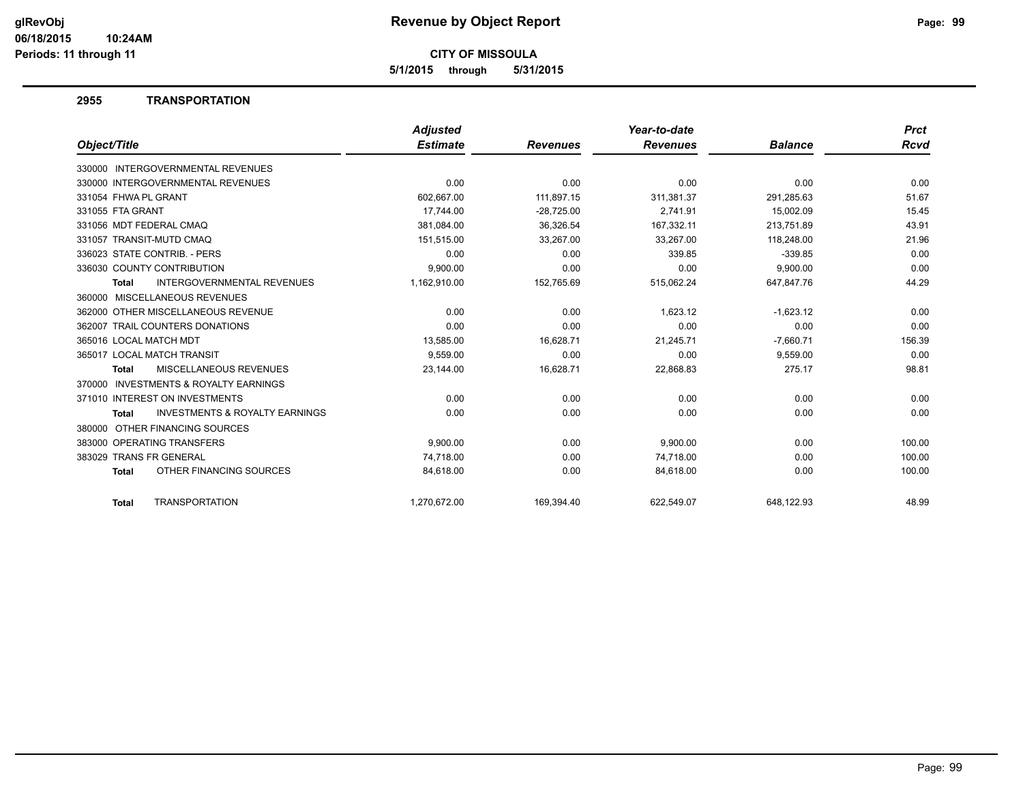**5/1/2015 through 5/31/2015**

### **2955 TRANSPORTATION**

|                                                           | <b>Adjusted</b> |                 | Year-to-date    |                | <b>Prct</b> |
|-----------------------------------------------------------|-----------------|-----------------|-----------------|----------------|-------------|
| Object/Title                                              | <b>Estimate</b> | <b>Revenues</b> | <b>Revenues</b> | <b>Balance</b> | <b>Rcvd</b> |
| 330000 INTERGOVERNMENTAL REVENUES                         |                 |                 |                 |                |             |
| 330000 INTERGOVERNMENTAL REVENUES                         | 0.00            | 0.00            | 0.00            | 0.00           | 0.00        |
| 331054 FHWA PL GRANT                                      | 602,667.00      | 111,897.15      | 311,381.37      | 291,285.63     | 51.67       |
| 331055 FTA GRANT                                          | 17.744.00       | $-28,725.00$    | 2.741.91        | 15.002.09      | 15.45       |
| 331056 MDT FEDERAL CMAQ                                   | 381,084.00      | 36,326.54       | 167,332.11      | 213,751.89     | 43.91       |
| 331057 TRANSIT-MUTD CMAQ                                  | 151.515.00      | 33.267.00       | 33.267.00       | 118.248.00     | 21.96       |
| 336023 STATE CONTRIB. - PERS                              | 0.00            | 0.00            | 339.85          | $-339.85$      | 0.00        |
| 336030 COUNTY CONTRIBUTION                                | 9,900.00        | 0.00            | 0.00            | 9,900.00       | 0.00        |
| <b>INTERGOVERNMENTAL REVENUES</b><br><b>Total</b>         | 1,162,910.00    | 152,765.69      | 515,062.24      | 647,847.76     | 44.29       |
| 360000 MISCELLANEOUS REVENUES                             |                 |                 |                 |                |             |
| 362000 OTHER MISCELLANEOUS REVENUE                        | 0.00            | 0.00            | 1,623.12        | $-1,623.12$    | 0.00        |
| 362007 TRAIL COUNTERS DONATIONS                           | 0.00            | 0.00            | 0.00            | 0.00           | 0.00        |
| 365016 LOCAL MATCH MDT                                    | 13,585.00       | 16,628.71       | 21,245.71       | $-7,660.71$    | 156.39      |
| 365017 LOCAL MATCH TRANSIT                                | 9,559.00        | 0.00            | 0.00            | 9,559.00       | 0.00        |
| <b>MISCELLANEOUS REVENUES</b><br><b>Total</b>             | 23,144.00       | 16,628.71       | 22,868.83       | 275.17         | 98.81       |
| <b>INVESTMENTS &amp; ROYALTY EARNINGS</b><br>370000       |                 |                 |                 |                |             |
| 371010 INTEREST ON INVESTMENTS                            | 0.00            | 0.00            | 0.00            | 0.00           | 0.00        |
| <b>INVESTMENTS &amp; ROYALTY EARNINGS</b><br><b>Total</b> | 0.00            | 0.00            | 0.00            | 0.00           | 0.00        |
| 380000 OTHER FINANCING SOURCES                            |                 |                 |                 |                |             |
| 383000 OPERATING TRANSFERS                                | 9,900.00        | 0.00            | 9,900.00        | 0.00           | 100.00      |
| 383029 TRANS FR GENERAL                                   | 74,718.00       | 0.00            | 74,718.00       | 0.00           | 100.00      |
| OTHER FINANCING SOURCES<br><b>Total</b>                   | 84,618.00       | 0.00            | 84,618.00       | 0.00           | 100.00      |
| <b>TRANSPORTATION</b><br><b>Total</b>                     | 1.270.672.00    | 169.394.40      | 622.549.07      | 648.122.93     | 48.99       |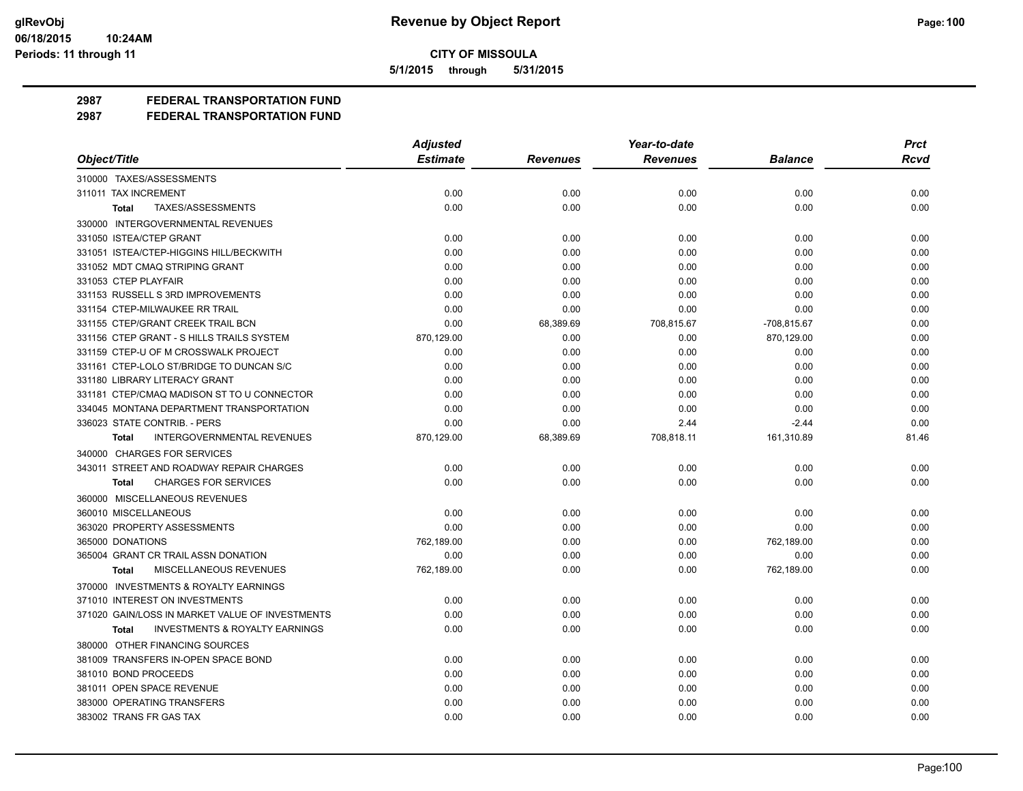**5/1/2015 through 5/31/2015**

# **2987 FEDERAL TRANSPORTATION FUND**

|                                                           | <b>Adjusted</b> |                 | Year-to-date    |                | <b>Prct</b> |
|-----------------------------------------------------------|-----------------|-----------------|-----------------|----------------|-------------|
| Object/Title                                              | <b>Estimate</b> | <b>Revenues</b> | <b>Revenues</b> | <b>Balance</b> | <b>Rcvd</b> |
| 310000 TAXES/ASSESSMENTS                                  |                 |                 |                 |                |             |
| 311011 TAX INCREMENT                                      | 0.00            | 0.00            | 0.00            | 0.00           | 0.00        |
| TAXES/ASSESSMENTS<br>Total                                | 0.00            | 0.00            | 0.00            | 0.00           | 0.00        |
| 330000 INTERGOVERNMENTAL REVENUES                         |                 |                 |                 |                |             |
| 331050 ISTEA/CTEP GRANT                                   | 0.00            | 0.00            | 0.00            | 0.00           | 0.00        |
| 331051 ISTEA/CTEP-HIGGINS HILL/BECKWITH                   | 0.00            | 0.00            | 0.00            | 0.00           | 0.00        |
| 331052 MDT CMAQ STRIPING GRANT                            | 0.00            | 0.00            | 0.00            | 0.00           | 0.00        |
| 331053 CTEP PLAYFAIR                                      | 0.00            | 0.00            | 0.00            | 0.00           | 0.00        |
| 331153 RUSSELL S 3RD IMPROVEMENTS                         | 0.00            | 0.00            | 0.00            | 0.00           | 0.00        |
| 331154 CTEP-MILWAUKEE RR TRAIL                            | 0.00            | 0.00            | 0.00            | 0.00           | 0.00        |
| 331155 CTEP/GRANT CREEK TRAIL BCN                         | 0.00            | 68,389.69       | 708,815.67      | -708,815.67    | 0.00        |
| 331156 CTEP GRANT - S HILLS TRAILS SYSTEM                 | 870,129.00      | 0.00            | 0.00            | 870,129.00     | 0.00        |
| 331159 CTEP-U OF M CROSSWALK PROJECT                      | 0.00            | 0.00            | 0.00            | 0.00           | 0.00        |
| 331161 CTEP-LOLO ST/BRIDGE TO DUNCAN S/C                  | 0.00            | 0.00            | 0.00            | 0.00           | 0.00        |
| 331180 LIBRARY LITERACY GRANT                             | 0.00            | 0.00            | 0.00            | 0.00           | 0.00        |
| 331181 CTEP/CMAQ MADISON ST TO U CONNECTOR                | 0.00            | 0.00            | 0.00            | 0.00           | 0.00        |
| 334045 MONTANA DEPARTMENT TRANSPORTATION                  | 0.00            | 0.00            | 0.00            | 0.00           | 0.00        |
| 336023 STATE CONTRIB. - PERS                              | 0.00            | 0.00            | 2.44            | $-2.44$        | 0.00        |
| <b>INTERGOVERNMENTAL REVENUES</b><br>Total                | 870,129.00      | 68,389.69       | 708,818.11      | 161,310.89     | 81.46       |
| 340000 CHARGES FOR SERVICES                               |                 |                 |                 |                |             |
| 343011 STREET AND ROADWAY REPAIR CHARGES                  | 0.00            | 0.00            | 0.00            | 0.00           | 0.00        |
| <b>CHARGES FOR SERVICES</b><br><b>Total</b>               | 0.00            | 0.00            | 0.00            | 0.00           | 0.00        |
| 360000 MISCELLANEOUS REVENUES                             |                 |                 |                 |                |             |
| 360010 MISCELLANEOUS                                      | 0.00            | 0.00            | 0.00            | 0.00           | 0.00        |
| 363020 PROPERTY ASSESSMENTS                               | 0.00            | 0.00            | 0.00            | 0.00           | 0.00        |
| 365000 DONATIONS                                          | 762,189.00      | 0.00            | 0.00            | 762,189.00     | 0.00        |
| 365004 GRANT CR TRAIL ASSN DONATION                       | 0.00            | 0.00            | 0.00            | 0.00           | 0.00        |
| MISCELLANEOUS REVENUES<br>Total                           | 762,189.00      | 0.00            | 0.00            | 762,189.00     | 0.00        |
| 370000 INVESTMENTS & ROYALTY EARNINGS                     |                 |                 |                 |                |             |
| 371010 INTEREST ON INVESTMENTS                            | 0.00            | 0.00            | 0.00            | 0.00           | 0.00        |
| 371020 GAIN/LOSS IN MARKET VALUE OF INVESTMENTS           | 0.00            | 0.00            | 0.00            | 0.00           | 0.00        |
| <b>INVESTMENTS &amp; ROYALTY EARNINGS</b><br><b>Total</b> | 0.00            | 0.00            | 0.00            | 0.00           | 0.00        |
| 380000 OTHER FINANCING SOURCES                            |                 |                 |                 |                |             |
| 381009 TRANSFERS IN-OPEN SPACE BOND                       | 0.00            | 0.00            | 0.00            | 0.00           | 0.00        |
| 381010 BOND PROCEEDS                                      | 0.00            | 0.00            | 0.00            | 0.00           | 0.00        |
| 381011 OPEN SPACE REVENUE                                 | 0.00            | 0.00            | 0.00            | 0.00           | 0.00        |
| 383000 OPERATING TRANSFERS                                | 0.00            | 0.00            | 0.00            | 0.00           | 0.00        |
| 383002 TRANS FR GAS TAX                                   | 0.00            | 0.00            | 0.00            | 0.00           | 0.00        |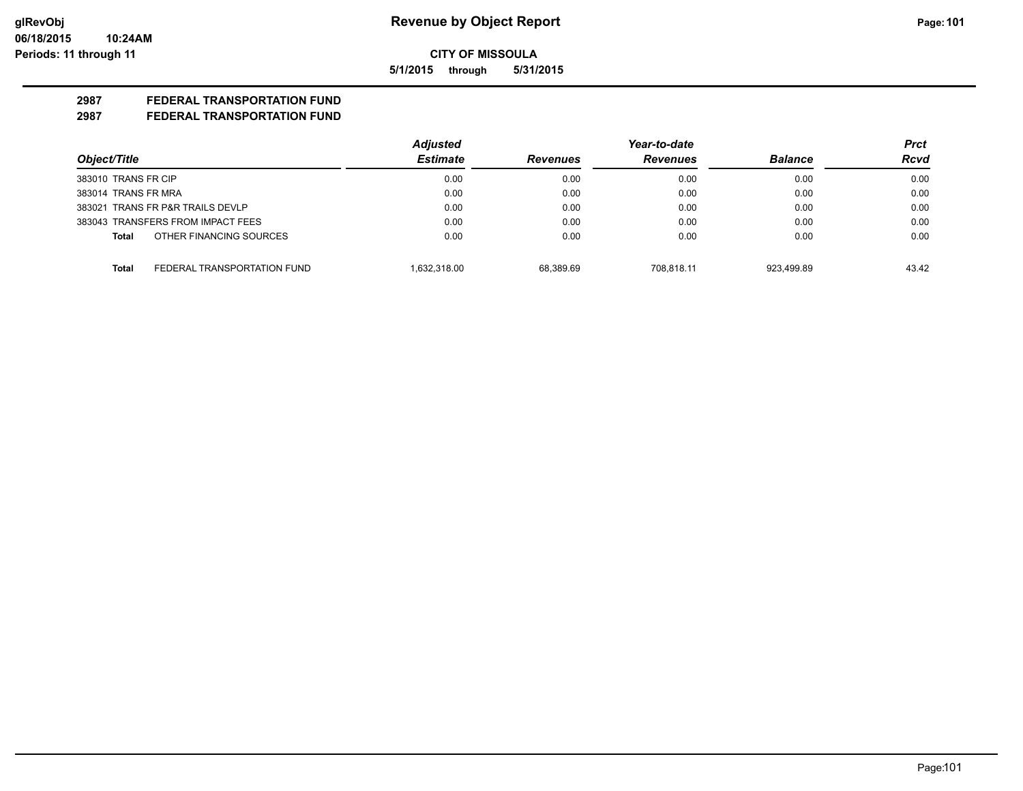**5/1/2015 through 5/31/2015**

# **2987 FEDERAL TRANSPORTATION FUND**

|                                      | <b>Adjusted</b> |                 | Year-to-date    |                | Prct        |
|--------------------------------------|-----------------|-----------------|-----------------|----------------|-------------|
| Object/Title                         | <b>Estimate</b> | <b>Revenues</b> | <b>Revenues</b> | <b>Balance</b> | <b>Rcvd</b> |
| 383010 TRANS FR CIP                  | 0.00            | 0.00            | 0.00            | 0.00           | 0.00        |
| 383014 TRANS FR MRA                  | 0.00            | 0.00            | 0.00            | 0.00           | 0.00        |
| 383021 TRANS FR P&R TRAILS DEVLP     | 0.00            | 0.00            | 0.00            | 0.00           | 0.00        |
| 383043 TRANSFERS FROM IMPACT FEES    | 0.00            | 0.00            | 0.00            | 0.00           | 0.00        |
| OTHER FINANCING SOURCES<br>Total     | 0.00            | 0.00            | 0.00            | 0.00           | 0.00        |
| FEDERAL TRANSPORTATION FUND<br>Total | 1.632.318.00    | 68.389.69       | 708.818.11      | 923.499.89     | 43.42       |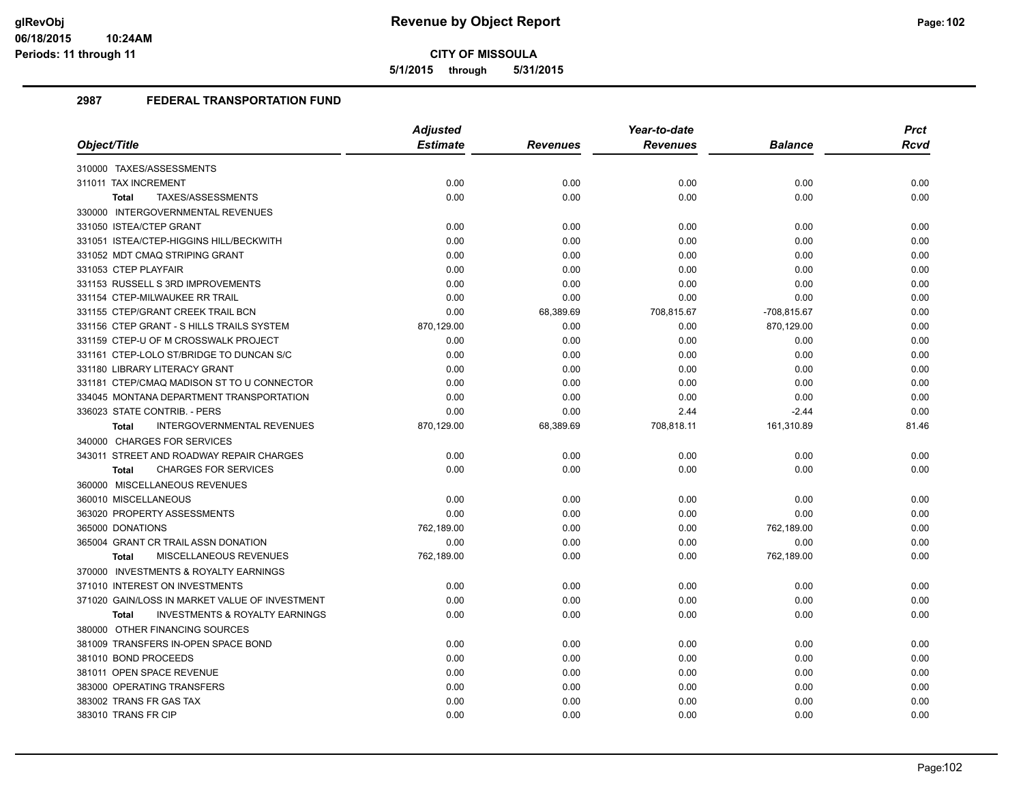**5/1/2015 through 5/31/2015**

|                                                    | <b>Adjusted</b> |                 | Year-to-date    |                | <b>Prct</b> |
|----------------------------------------------------|-----------------|-----------------|-----------------|----------------|-------------|
| Object/Title                                       | <b>Estimate</b> | <b>Revenues</b> | <b>Revenues</b> | <b>Balance</b> | Rcvd        |
| 310000 TAXES/ASSESSMENTS                           |                 |                 |                 |                |             |
| 311011 TAX INCREMENT                               | 0.00            | 0.00            | 0.00            | 0.00           | 0.00        |
| TAXES/ASSESSMENTS<br>Total                         | 0.00            | 0.00            | 0.00            | 0.00           | 0.00        |
| 330000 INTERGOVERNMENTAL REVENUES                  |                 |                 |                 |                |             |
| 331050 ISTEA/CTEP GRANT                            | 0.00            | 0.00            | 0.00            | 0.00           | 0.00        |
| 331051 ISTEA/CTEP-HIGGINS HILL/BECKWITH            | 0.00            | 0.00            | 0.00            | 0.00           | 0.00        |
| 331052 MDT CMAQ STRIPING GRANT                     | 0.00            | 0.00            | 0.00            | 0.00           | 0.00        |
| 331053 CTEP PLAYFAIR                               | 0.00            | 0.00            | 0.00            | 0.00           | 0.00        |
| 331153 RUSSELL S 3RD IMPROVEMENTS                  | 0.00            | 0.00            | 0.00            | 0.00           | 0.00        |
| 331154 CTEP-MILWAUKEE RR TRAIL                     | 0.00            | 0.00            | 0.00            | 0.00           | 0.00        |
| 331155 CTEP/GRANT CREEK TRAIL BCN                  | 0.00            | 68,389.69       | 708,815.67      | -708,815.67    | 0.00        |
| 331156 CTEP GRANT - S HILLS TRAILS SYSTEM          | 870,129.00      | 0.00            | 0.00            | 870,129.00     | 0.00        |
| 331159 CTEP-U OF M CROSSWALK PROJECT               | 0.00            | 0.00            | 0.00            | 0.00           | 0.00        |
| 331161 CTEP-LOLO ST/BRIDGE TO DUNCAN S/C           | 0.00            | 0.00            | 0.00            | 0.00           | 0.00        |
| 331180 LIBRARY LITERACY GRANT                      | 0.00            | 0.00            | 0.00            | 0.00           | 0.00        |
| 331181 CTEP/CMAQ MADISON ST TO U CONNECTOR         | 0.00            | 0.00            | 0.00            | 0.00           | 0.00        |
| 334045 MONTANA DEPARTMENT TRANSPORTATION           | 0.00            | 0.00            | 0.00            | 0.00           | 0.00        |
| 336023 STATE CONTRIB. - PERS                       | 0.00            | 0.00            | 2.44            | $-2.44$        | 0.00        |
| <b>INTERGOVERNMENTAL REVENUES</b><br><b>Total</b>  | 870,129.00      | 68,389.69       | 708,818.11      | 161,310.89     | 81.46       |
| 340000 CHARGES FOR SERVICES                        |                 |                 |                 |                |             |
| 343011 STREET AND ROADWAY REPAIR CHARGES           | 0.00            | 0.00            | 0.00            | 0.00           | 0.00        |
| <b>CHARGES FOR SERVICES</b><br>Total               | 0.00            | 0.00            | 0.00            | 0.00           | 0.00        |
| 360000 MISCELLANEOUS REVENUES                      |                 |                 |                 |                |             |
| 360010 MISCELLANEOUS                               | 0.00            | 0.00            | 0.00            | 0.00           | 0.00        |
| 363020 PROPERTY ASSESSMENTS                        | 0.00            | 0.00            | 0.00            | 0.00           | 0.00        |
| 365000 DONATIONS                                   | 762,189.00      | 0.00            | 0.00            | 762,189.00     | 0.00        |
| 365004 GRANT CR TRAIL ASSN DONATION                | 0.00            | 0.00            | 0.00            | 0.00           | 0.00        |
| <b>MISCELLANEOUS REVENUES</b><br><b>Total</b>      | 762,189.00      | 0.00            | 0.00            | 762,189.00     | 0.00        |
| 370000 INVESTMENTS & ROYALTY EARNINGS              |                 |                 |                 |                |             |
| 371010 INTEREST ON INVESTMENTS                     | 0.00            | 0.00            | 0.00            | 0.00           | 0.00        |
| 371020 GAIN/LOSS IN MARKET VALUE OF INVESTMENT     | 0.00            | 0.00            | 0.00            | 0.00           | 0.00        |
| <b>INVESTMENTS &amp; ROYALTY EARNINGS</b><br>Total | 0.00            | 0.00            | 0.00            | 0.00           | 0.00        |
| 380000 OTHER FINANCING SOURCES                     |                 |                 |                 |                |             |
| 381009 TRANSFERS IN-OPEN SPACE BOND                | 0.00            | 0.00            | 0.00            | 0.00           | 0.00        |
| 381010 BOND PROCEEDS                               | 0.00            | 0.00            | 0.00            | 0.00           | 0.00        |
| 381011 OPEN SPACE REVENUE                          | 0.00            | 0.00            | 0.00            | 0.00           | 0.00        |
| 383000 OPERATING TRANSFERS                         | 0.00            | 0.00            | 0.00            | 0.00           | 0.00        |
| 383002 TRANS FR GAS TAX                            | 0.00            | 0.00            | 0.00            | 0.00           | 0.00        |
| 383010 TRANS FR CIP                                | 0.00            | 0.00            | 0.00            | 0.00           | 0.00        |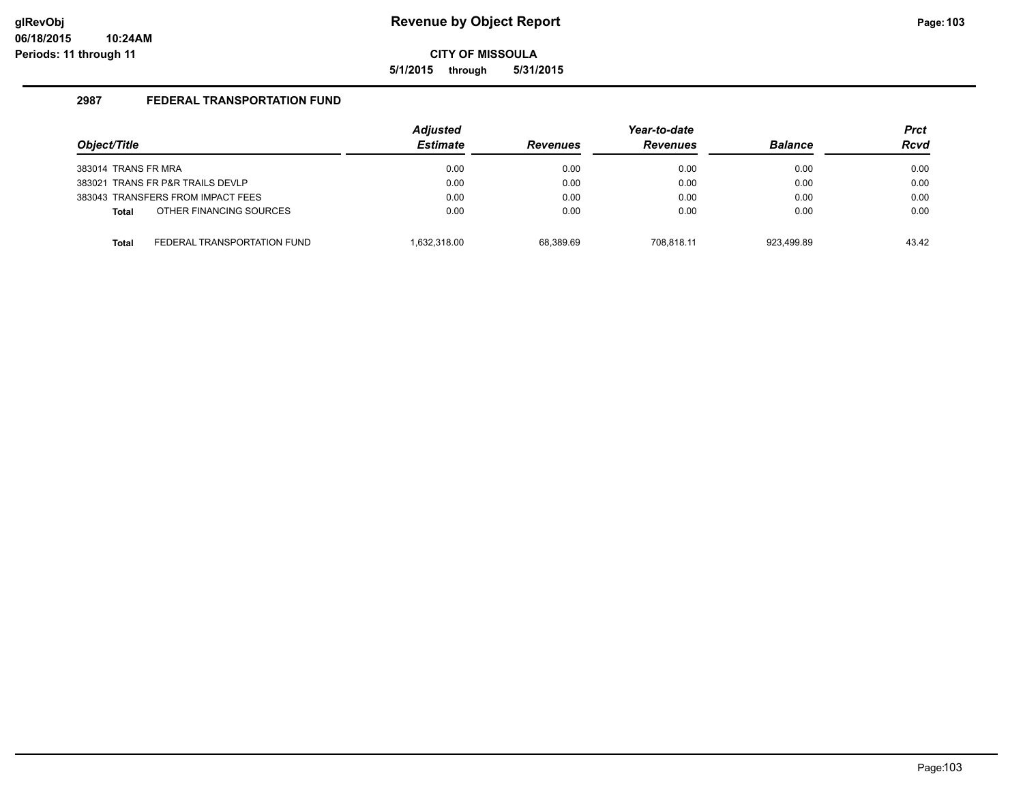**5/1/2015 through 5/31/2015**

| Object/Title                     |                                   | <b>Adjusted</b><br><b>Estimate</b> | <b>Revenues</b> | Year-to-date<br><b>Revenues</b> | <b>Balance</b> | <b>Prct</b><br><b>Rcvd</b> |
|----------------------------------|-----------------------------------|------------------------------------|-----------------|---------------------------------|----------------|----------------------------|
| 383014 TRANS FR MRA              |                                   | 0.00                               | 0.00            | 0.00                            | 0.00           | 0.00                       |
| 383021 TRANS FR P&R TRAILS DEVLP |                                   | 0.00                               | 0.00            | 0.00                            | 0.00           | 0.00                       |
|                                  | 383043 TRANSFERS FROM IMPACT FEES | 0.00                               | 0.00            | 0.00                            | 0.00           | 0.00                       |
| <b>Total</b>                     | OTHER FINANCING SOURCES           | 0.00                               | 0.00            | 0.00                            | 0.00           | 0.00                       |
| <b>Total</b>                     | FEDERAL TRANSPORTATION FUND       | 1.632.318.00                       | 68.389.69       | 708.818.11                      | 923.499.89     | 43.42                      |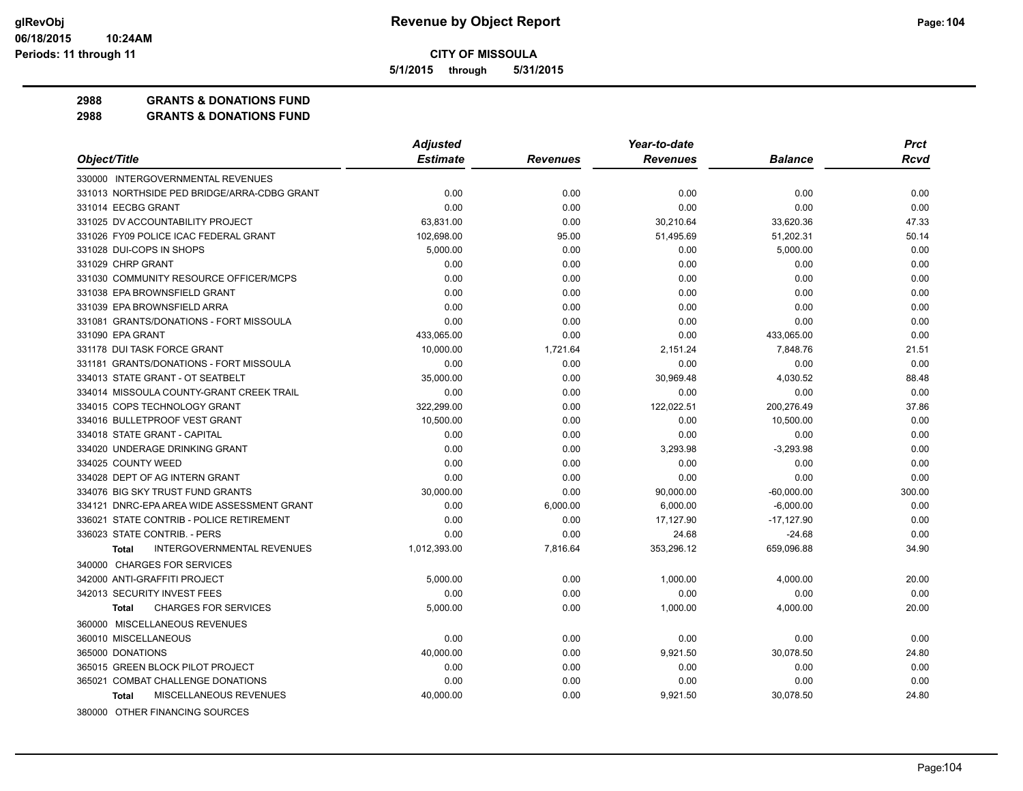**5/1/2015 through 5/31/2015**

**2988 GRANTS & DONATIONS FUND**

|                                                   | <b>Adjusted</b> |                 | Year-to-date    |                | <b>Prct</b> |
|---------------------------------------------------|-----------------|-----------------|-----------------|----------------|-------------|
| Object/Title                                      | <b>Estimate</b> | <b>Revenues</b> | <b>Revenues</b> | <b>Balance</b> | Rcvd        |
| 330000 INTERGOVERNMENTAL REVENUES                 |                 |                 |                 |                |             |
| 331013 NORTHSIDE PED BRIDGE/ARRA-CDBG GRANT       | 0.00            | 0.00            | 0.00            | 0.00           | 0.00        |
| 331014 EECBG GRANT                                | 0.00            | 0.00            | 0.00            | 0.00           | 0.00        |
| 331025 DV ACCOUNTABILITY PROJECT                  | 63,831.00       | 0.00            | 30,210.64       | 33,620.36      | 47.33       |
| 331026 FY09 POLICE ICAC FEDERAL GRANT             | 102,698.00      | 95.00           | 51,495.69       | 51,202.31      | 50.14       |
| 331028 DUI-COPS IN SHOPS                          | 5,000.00        | 0.00            | 0.00            | 5,000.00       | 0.00        |
| 331029 CHRP GRANT                                 | 0.00            | 0.00            | 0.00            | 0.00           | 0.00        |
| 331030 COMMUNITY RESOURCE OFFICER/MCPS            | 0.00            | 0.00            | 0.00            | 0.00           | 0.00        |
| 331038 EPA BROWNSFIELD GRANT                      | 0.00            | 0.00            | 0.00            | 0.00           | 0.00        |
| 331039 EPA BROWNSFIELD ARRA                       | 0.00            | 0.00            | 0.00            | 0.00           | 0.00        |
| 331081 GRANTS/DONATIONS - FORT MISSOULA           | 0.00            | 0.00            | 0.00            | 0.00           | 0.00        |
| 331090 EPA GRANT                                  | 433,065.00      | 0.00            | 0.00            | 433,065.00     | 0.00        |
| 331178 DUI TASK FORCE GRANT                       | 10.000.00       | 1,721.64        | 2,151.24        | 7,848.76       | 21.51       |
| 331181 GRANTS/DONATIONS - FORT MISSOULA           | 0.00            | 0.00            | 0.00            | 0.00           | 0.00        |
| 334013 STATE GRANT - OT SEATBELT                  | 35,000.00       | 0.00            | 30,969.48       | 4,030.52       | 88.48       |
| 334014 MISSOULA COUNTY-GRANT CREEK TRAIL          | 0.00            | 0.00            | 0.00            | 0.00           | 0.00        |
| 334015 COPS TECHNOLOGY GRANT                      | 322,299.00      | 0.00            | 122,022.51      | 200,276.49     | 37.86       |
| 334016 BULLETPROOF VEST GRANT                     | 10,500.00       | 0.00            | 0.00            | 10,500.00      | 0.00        |
| 334018 STATE GRANT - CAPITAL                      | 0.00            | 0.00            | 0.00            | 0.00           | 0.00        |
| 334020 UNDERAGE DRINKING GRANT                    | 0.00            | 0.00            | 3,293.98        | $-3,293.98$    | 0.00        |
| 334025 COUNTY WEED                                | 0.00            | 0.00            | 0.00            | 0.00           | 0.00        |
| 334028 DEPT OF AG INTERN GRANT                    | 0.00            | 0.00            | 0.00            | 0.00           | 0.00        |
| 334076 BIG SKY TRUST FUND GRANTS                  | 30,000.00       | 0.00            | 90,000.00       | $-60,000.00$   | 300.00      |
| 334121 DNRC-EPA AREA WIDE ASSESSMENT GRANT        | 0.00            | 6,000.00        | 6,000.00        | $-6,000.00$    | 0.00        |
| 336021 STATE CONTRIB - POLICE RETIREMENT          | 0.00            | 0.00            | 17,127.90       | $-17,127.90$   | 0.00        |
| 336023 STATE CONTRIB. - PERS                      | 0.00            | 0.00            | 24.68           | $-24.68$       | 0.00        |
| <b>INTERGOVERNMENTAL REVENUES</b><br><b>Total</b> | 1,012,393.00    | 7,816.64        | 353,296.12      | 659,096.88     | 34.90       |
| 340000 CHARGES FOR SERVICES                       |                 |                 |                 |                |             |
| 342000 ANTI-GRAFFITI PROJECT                      | 5,000.00        | 0.00            | 1,000.00        | 4,000.00       | 20.00       |
| 342013 SECURITY INVEST FEES                       | 0.00            | 0.00            | 0.00            | 0.00           | 0.00        |
| <b>CHARGES FOR SERVICES</b><br><b>Total</b>       | 5,000.00        | 0.00            | 1,000.00        | 4,000.00       | 20.00       |
| 360000 MISCELLANEOUS REVENUES                     |                 |                 |                 |                |             |
| 360010 MISCELLANEOUS                              | 0.00            | 0.00            | 0.00            | 0.00           | 0.00        |
| 365000 DONATIONS                                  | 40,000.00       | 0.00            | 9,921.50        | 30,078.50      | 24.80       |
| 365015 GREEN BLOCK PILOT PROJECT                  | 0.00            | 0.00            | 0.00            | 0.00           | 0.00        |
| 365021 COMBAT CHALLENGE DONATIONS                 | 0.00            | 0.00            | 0.00            | 0.00           | 0.00        |
| MISCELLANEOUS REVENUES<br><b>Total</b>            | 40,000.00       | 0.00            | 9,921.50        | 30,078.50      | 24.80       |
| 380000 OTHER FINANCING SOURCES                    |                 |                 |                 |                |             |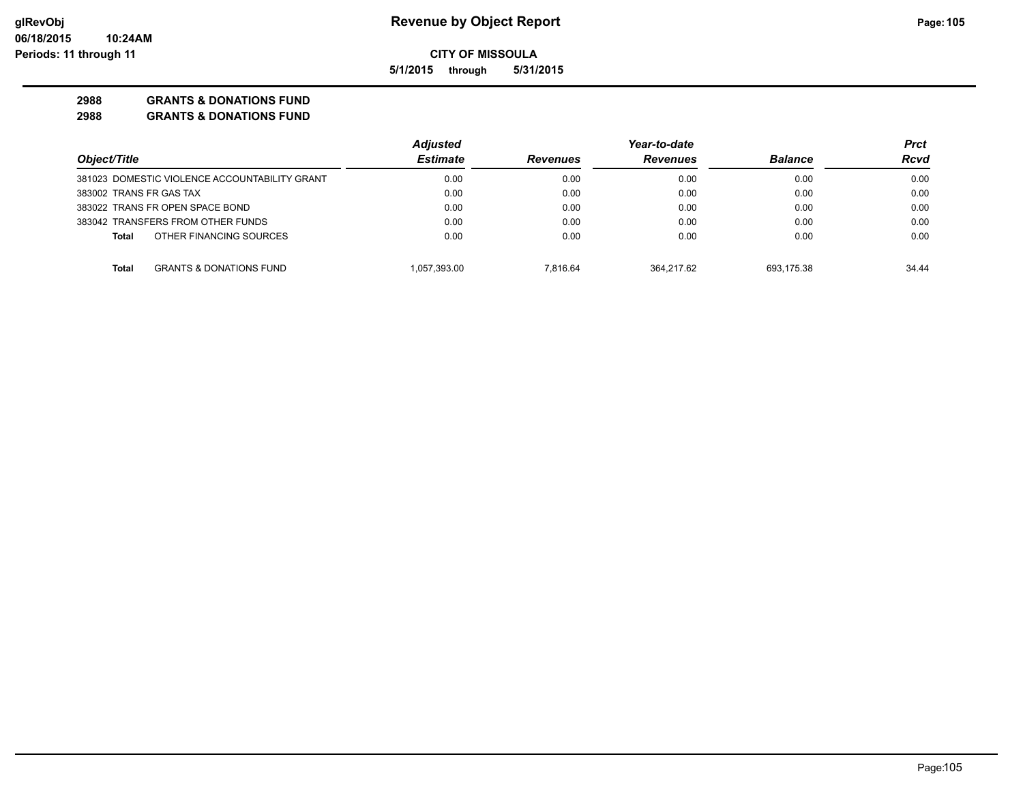**5/1/2015 through 5/31/2015**

### **2988 GRANTS & DONATIONS FUND**

|                                               | <b>Adjusted</b> |                 | Year-to-date    |                | Prct  |
|-----------------------------------------------|-----------------|-----------------|-----------------|----------------|-------|
| Object/Title                                  | <b>Estimate</b> | <b>Revenues</b> | <b>Revenues</b> | <b>Balance</b> | Rcvd  |
| 381023 DOMESTIC VIOLENCE ACCOUNTABILITY GRANT | 0.00            | 0.00            | 0.00            | 0.00           | 0.00  |
| 383002 TRANS FR GAS TAX                       | 0.00            | 0.00            | 0.00            | 0.00           | 0.00  |
| 383022 TRANS FR OPEN SPACE BOND               | 0.00            | 0.00            | 0.00            | 0.00           | 0.00  |
| 383042 TRANSFERS FROM OTHER FUNDS             | 0.00            | 0.00            | 0.00            | 0.00           | 0.00  |
| OTHER FINANCING SOURCES<br><b>Total</b>       | 0.00            | 0.00            | 0.00            | 0.00           | 0.00  |
| <b>GRANTS &amp; DONATIONS FUND</b><br>Total   | 1.057.393.00    | 7.816.64        | 364.217.62      | 693.175.38     | 34.44 |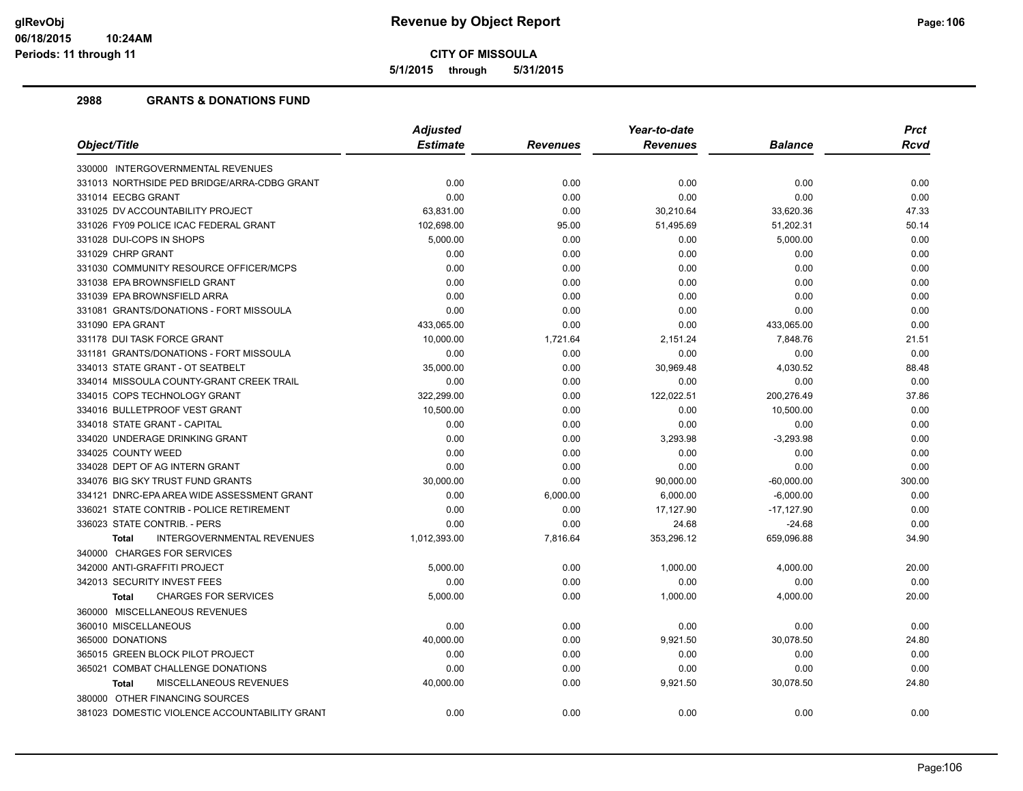**5/1/2015 through 5/31/2015**

|                                                   | <b>Adjusted</b> |                 | Year-to-date    |                | <b>Prct</b> |
|---------------------------------------------------|-----------------|-----------------|-----------------|----------------|-------------|
| Object/Title                                      | <b>Estimate</b> | <b>Revenues</b> | <b>Revenues</b> | <b>Balance</b> | Rcvd        |
| 330000 INTERGOVERNMENTAL REVENUES                 |                 |                 |                 |                |             |
| 331013 NORTHSIDE PED BRIDGE/ARRA-CDBG GRANT       | 0.00            | 0.00            | 0.00            | 0.00           | 0.00        |
| 331014 EECBG GRANT                                | 0.00            | 0.00            | 0.00            | 0.00           | 0.00        |
| 331025 DV ACCOUNTABILITY PROJECT                  | 63,831.00       | 0.00            | 30,210.64       | 33,620.36      | 47.33       |
| 331026 FY09 POLICE ICAC FEDERAL GRANT             | 102,698.00      | 95.00           | 51,495.69       | 51,202.31      | 50.14       |
| 331028 DUI-COPS IN SHOPS                          | 5,000.00        | 0.00            | 0.00            | 5,000.00       | 0.00        |
| 331029 CHRP GRANT                                 | 0.00            | 0.00            | 0.00            | 0.00           | 0.00        |
| 331030 COMMUNITY RESOURCE OFFICER/MCPS            | 0.00            | 0.00            | 0.00            | 0.00           | 0.00        |
| 331038 EPA BROWNSFIELD GRANT                      | 0.00            | 0.00            | 0.00            | 0.00           | 0.00        |
| 331039 EPA BROWNSFIELD ARRA                       | 0.00            | 0.00            | 0.00            | 0.00           | 0.00        |
| 331081 GRANTS/DONATIONS - FORT MISSOULA           | 0.00            | 0.00            | 0.00            | 0.00           | 0.00        |
| 331090 EPA GRANT                                  | 433,065.00      | 0.00            | 0.00            | 433,065.00     | 0.00        |
| 331178 DUI TASK FORCE GRANT                       | 10,000.00       | 1,721.64        | 2,151.24        | 7,848.76       | 21.51       |
| 331181 GRANTS/DONATIONS - FORT MISSOULA           | 0.00            | 0.00            | 0.00            | 0.00           | 0.00        |
| 334013 STATE GRANT - OT SEATBELT                  | 35,000.00       | 0.00            | 30,969.48       | 4,030.52       | 88.48       |
| 334014 MISSOULA COUNTY-GRANT CREEK TRAIL          | 0.00            | 0.00            | 0.00            | 0.00           | 0.00        |
| 334015 COPS TECHNOLOGY GRANT                      | 322,299.00      | 0.00            | 122,022.51      | 200,276.49     | 37.86       |
| 334016 BULLETPROOF VEST GRANT                     | 10,500.00       | 0.00            | 0.00            | 10,500.00      | 0.00        |
| 334018 STATE GRANT - CAPITAL                      | 0.00            | 0.00            | 0.00            | 0.00           | 0.00        |
| 334020 UNDERAGE DRINKING GRANT                    | 0.00            | 0.00            | 3,293.98        | $-3,293.98$    | 0.00        |
| 334025 COUNTY WEED                                | 0.00            | 0.00            | 0.00            | 0.00           | 0.00        |
| 334028 DEPT OF AG INTERN GRANT                    | 0.00            | 0.00            | 0.00            | 0.00           | 0.00        |
| 334076 BIG SKY TRUST FUND GRANTS                  | 30,000.00       | 0.00            | 90,000.00       | $-60,000.00$   | 300.00      |
| 334121 DNRC-EPA AREA WIDE ASSESSMENT GRANT        | 0.00            | 6,000.00        | 6,000.00        | $-6,000.00$    | 0.00        |
| 336021 STATE CONTRIB - POLICE RETIREMENT          | 0.00            | 0.00            | 17,127.90       | $-17,127.90$   | 0.00        |
| 336023 STATE CONTRIB. - PERS                      | 0.00            | 0.00            | 24.68           | $-24.68$       | 0.00        |
| <b>INTERGOVERNMENTAL REVENUES</b><br><b>Total</b> | 1,012,393.00    | 7,816.64        | 353,296.12      | 659,096.88     | 34.90       |
| 340000 CHARGES FOR SERVICES                       |                 |                 |                 |                |             |
| 342000 ANTI-GRAFFITI PROJECT                      | 5,000.00        | 0.00            | 1,000.00        | 4,000.00       | 20.00       |
| 342013 SECURITY INVEST FEES                       | 0.00            | 0.00            | 0.00            | 0.00           | 0.00        |
| <b>CHARGES FOR SERVICES</b><br><b>Total</b>       | 5,000.00        | 0.00            | 1,000.00        | 4,000.00       | 20.00       |
| 360000 MISCELLANEOUS REVENUES                     |                 |                 |                 |                |             |
| 360010 MISCELLANEOUS                              | 0.00            | 0.00            | 0.00            | 0.00           | 0.00        |
| 365000 DONATIONS                                  | 40,000.00       | 0.00            | 9,921.50        | 30,078.50      | 24.80       |
| 365015 GREEN BLOCK PILOT PROJECT                  | 0.00            | 0.00            | 0.00            | 0.00           | 0.00        |
| 365021 COMBAT CHALLENGE DONATIONS                 | 0.00            | 0.00            | 0.00            | 0.00           | 0.00        |
| MISCELLANEOUS REVENUES<br><b>Total</b>            | 40,000.00       | 0.00            | 9,921.50        | 30,078.50      | 24.80       |
| 380000 OTHER FINANCING SOURCES                    |                 |                 |                 |                |             |
| 381023 DOMESTIC VIOLENCE ACCOUNTABILITY GRANT     | 0.00            | 0.00            | 0.00            | 0.00           | 0.00        |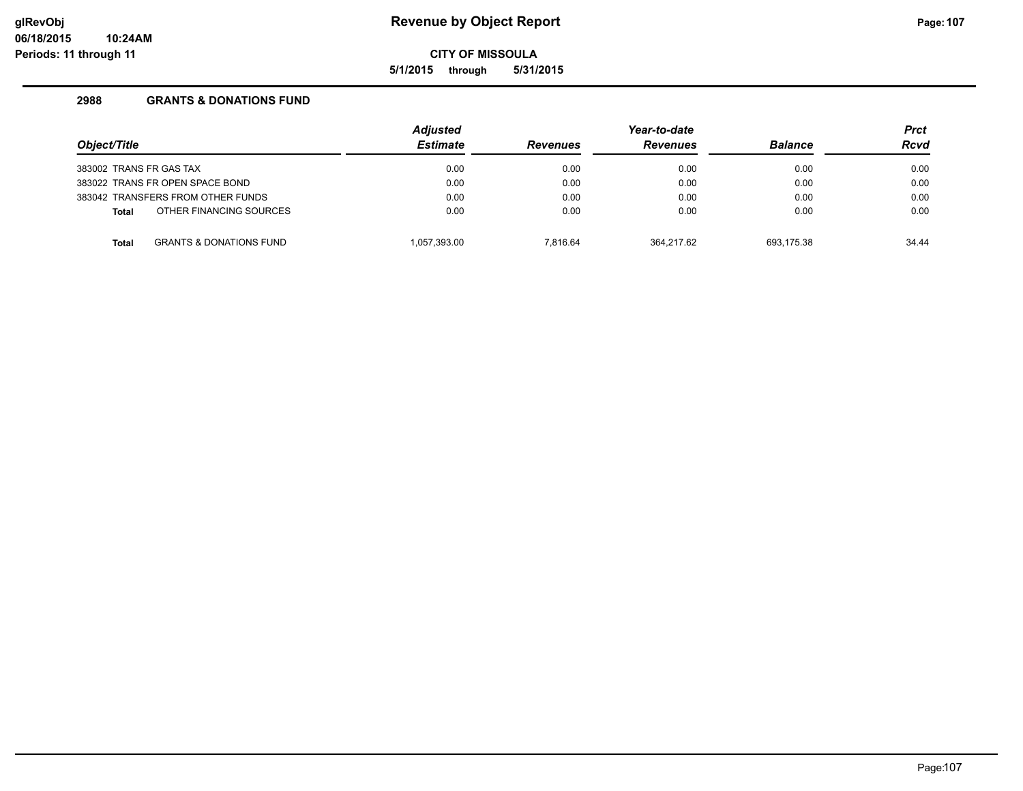# **glRevObj Revenue by Object Report Page:107**

**CITY OF MISSOULA**

**5/1/2015 through 5/31/2015**

| Object/Title                      |                                    | <b>Adjusted</b><br><b>Estimate</b> | <b>Revenues</b> | Year-to-date<br><b>Revenues</b> | <b>Balance</b> | <b>Prct</b><br><b>Rcvd</b> |
|-----------------------------------|------------------------------------|------------------------------------|-----------------|---------------------------------|----------------|----------------------------|
| 383002 TRANS FR GAS TAX           |                                    | 0.00                               | 0.00            | 0.00                            | 0.00           | 0.00                       |
| 383022 TRANS FR OPEN SPACE BOND   |                                    | 0.00                               | 0.00            | 0.00                            | 0.00           | 0.00                       |
| 383042 TRANSFERS FROM OTHER FUNDS |                                    | 0.00                               | 0.00            | 0.00                            | 0.00           | 0.00                       |
| <b>Total</b>                      | OTHER FINANCING SOURCES            | 0.00                               | 0.00            | 0.00                            | 0.00           | 0.00                       |
| <b>Total</b>                      | <b>GRANTS &amp; DONATIONS FUND</b> | 1.057.393.00                       | 7.816.64        | 364.217.62                      | 693.175.38     | 34.44                      |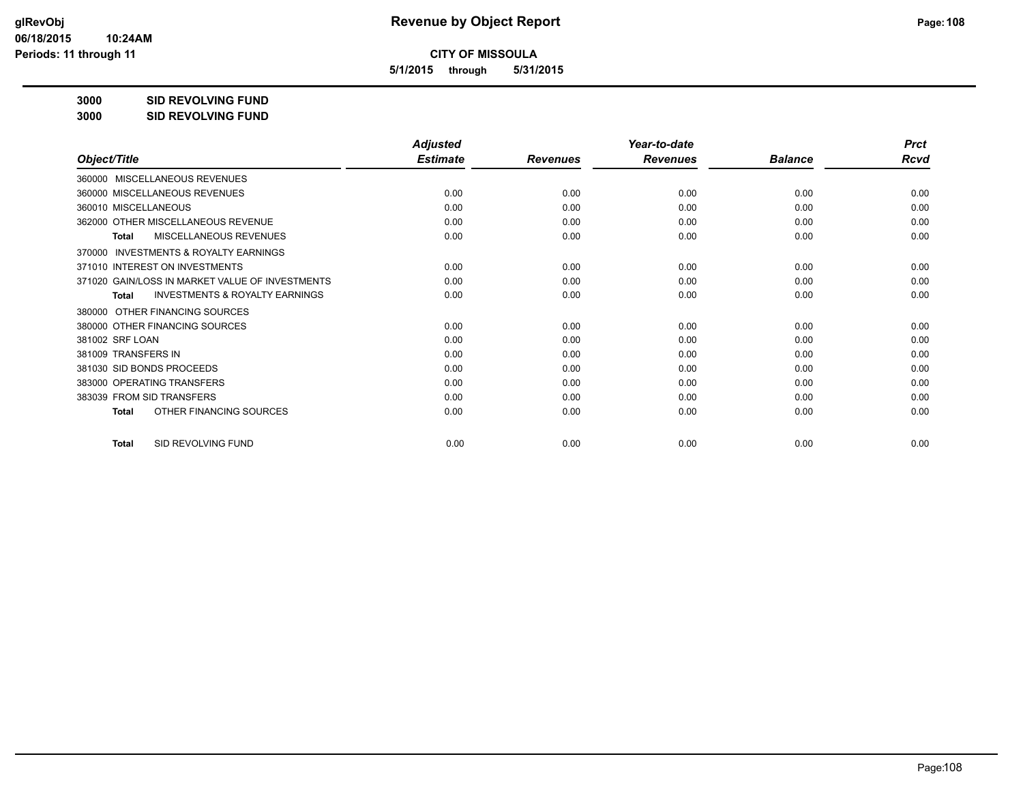**5/1/2015 through 5/31/2015**

**3000 SID REVOLVING FUND**

| 3000 | <b>SID REVOLVING FUND</b> |
|------|---------------------------|
|      |                           |

|                                                           | <b>Adjusted</b><br><b>Estimate</b> |                 | Year-to-date<br><b>Revenues</b> | <b>Balance</b> | <b>Prct</b><br>Rcvd |
|-----------------------------------------------------------|------------------------------------|-----------------|---------------------------------|----------------|---------------------|
| Object/Title                                              |                                    | <b>Revenues</b> |                                 |                |                     |
| 360000 MISCELLANEOUS REVENUES                             |                                    |                 |                                 |                |                     |
| 360000 MISCELLANEOUS REVENUES                             | 0.00                               | 0.00            | 0.00                            | 0.00           | 0.00                |
| 360010 MISCELLANEOUS                                      | 0.00                               | 0.00            | 0.00                            | 0.00           | 0.00                |
| 362000 OTHER MISCELLANEOUS REVENUE                        | 0.00                               | 0.00            | 0.00                            | 0.00           | 0.00                |
| MISCELLANEOUS REVENUES<br><b>Total</b>                    | 0.00                               | 0.00            | 0.00                            | 0.00           | 0.00                |
| <b>INVESTMENTS &amp; ROYALTY EARNINGS</b><br>370000       |                                    |                 |                                 |                |                     |
| 371010 INTEREST ON INVESTMENTS                            | 0.00                               | 0.00            | 0.00                            | 0.00           | 0.00                |
| 371020 GAIN/LOSS IN MARKET VALUE OF INVESTMENTS           | 0.00                               | 0.00            | 0.00                            | 0.00           | 0.00                |
| <b>INVESTMENTS &amp; ROYALTY EARNINGS</b><br><b>Total</b> | 0.00                               | 0.00            | 0.00                            | 0.00           | 0.00                |
| OTHER FINANCING SOURCES<br>380000                         |                                    |                 |                                 |                |                     |
| 380000 OTHER FINANCING SOURCES                            | 0.00                               | 0.00            | 0.00                            | 0.00           | 0.00                |
| 381002 SRF LOAN                                           | 0.00                               | 0.00            | 0.00                            | 0.00           | 0.00                |
| 381009 TRANSFERS IN                                       | 0.00                               | 0.00            | 0.00                            | 0.00           | 0.00                |
| 381030 SID BONDS PROCEEDS                                 | 0.00                               | 0.00            | 0.00                            | 0.00           | 0.00                |
| 383000 OPERATING TRANSFERS                                | 0.00                               | 0.00            | 0.00                            | 0.00           | 0.00                |
| 383039 FROM SID TRANSFERS                                 | 0.00                               | 0.00            | 0.00                            | 0.00           | 0.00                |
| OTHER FINANCING SOURCES<br><b>Total</b>                   | 0.00                               | 0.00            | 0.00                            | 0.00           | 0.00                |
| SID REVOLVING FUND<br><b>Total</b>                        | 0.00                               | 0.00            | 0.00                            | 0.00           | 0.00                |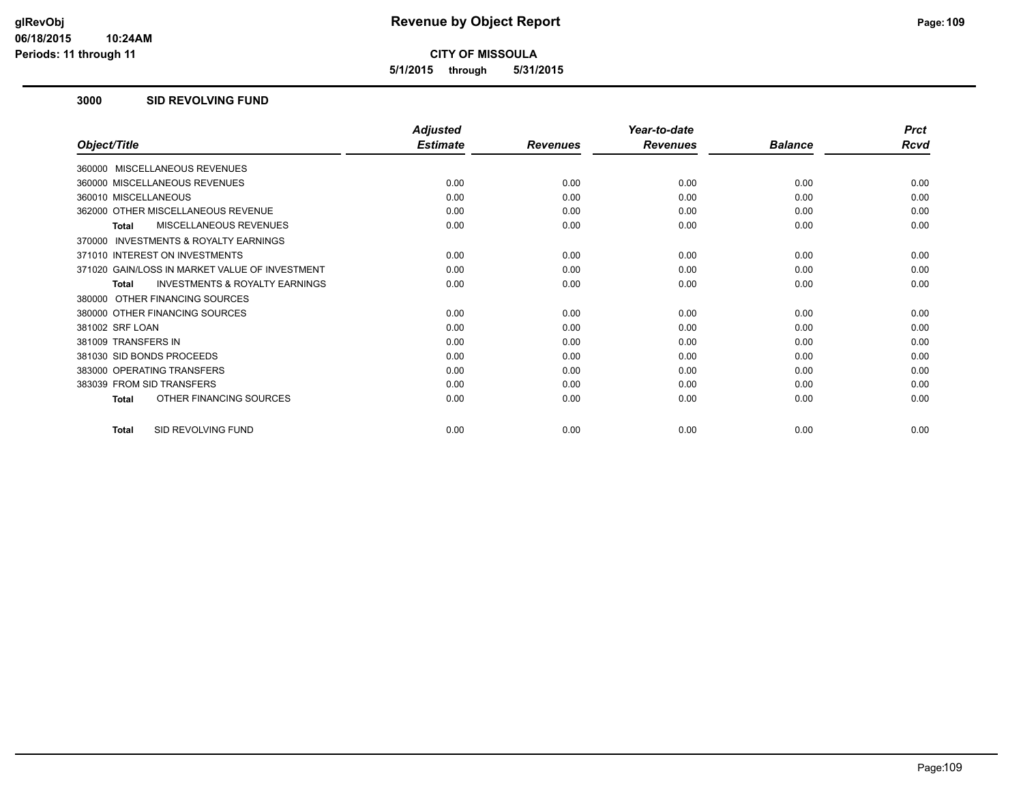**5/1/2015 through 5/31/2015**

#### **3000 SID REVOLVING FUND**

|                                                           | <b>Adjusted</b> |                 | Year-to-date    |                | <b>Prct</b> |
|-----------------------------------------------------------|-----------------|-----------------|-----------------|----------------|-------------|
| Object/Title                                              | <b>Estimate</b> | <b>Revenues</b> | <b>Revenues</b> | <b>Balance</b> | Rcvd        |
| 360000 MISCELLANEOUS REVENUES                             |                 |                 |                 |                |             |
| 360000 MISCELLANEOUS REVENUES                             | 0.00            | 0.00            | 0.00            | 0.00           | 0.00        |
| 360010 MISCELLANEOUS                                      | 0.00            | 0.00            | 0.00            | 0.00           | 0.00        |
| 362000 OTHER MISCELLANEOUS REVENUE                        | 0.00            | 0.00            | 0.00            | 0.00           | 0.00        |
| <b>MISCELLANEOUS REVENUES</b><br><b>Total</b>             | 0.00            | 0.00            | 0.00            | 0.00           | 0.00        |
| INVESTMENTS & ROYALTY EARNINGS<br>370000                  |                 |                 |                 |                |             |
| 371010 INTEREST ON INVESTMENTS                            | 0.00            | 0.00            | 0.00            | 0.00           | 0.00        |
| 371020 GAIN/LOSS IN MARKET VALUE OF INVESTMENT            | 0.00            | 0.00            | 0.00            | 0.00           | 0.00        |
| <b>INVESTMENTS &amp; ROYALTY EARNINGS</b><br><b>Total</b> | 0.00            | 0.00            | 0.00            | 0.00           | 0.00        |
| 380000 OTHER FINANCING SOURCES                            |                 |                 |                 |                |             |
| 380000 OTHER FINANCING SOURCES                            | 0.00            | 0.00            | 0.00            | 0.00           | 0.00        |
| 381002 SRF LOAN                                           | 0.00            | 0.00            | 0.00            | 0.00           | 0.00        |
| 381009 TRANSFERS IN                                       | 0.00            | 0.00            | 0.00            | 0.00           | 0.00        |
| 381030 SID BONDS PROCEEDS                                 | 0.00            | 0.00            | 0.00            | 0.00           | 0.00        |
| 383000 OPERATING TRANSFERS                                | 0.00            | 0.00            | 0.00            | 0.00           | 0.00        |
| 383039 FROM SID TRANSFERS                                 | 0.00            | 0.00            | 0.00            | 0.00           | 0.00        |
| OTHER FINANCING SOURCES<br><b>Total</b>                   | 0.00            | 0.00            | 0.00            | 0.00           | 0.00        |
| SID REVOLVING FUND<br><b>Total</b>                        | 0.00            | 0.00            | 0.00            | 0.00           | 0.00        |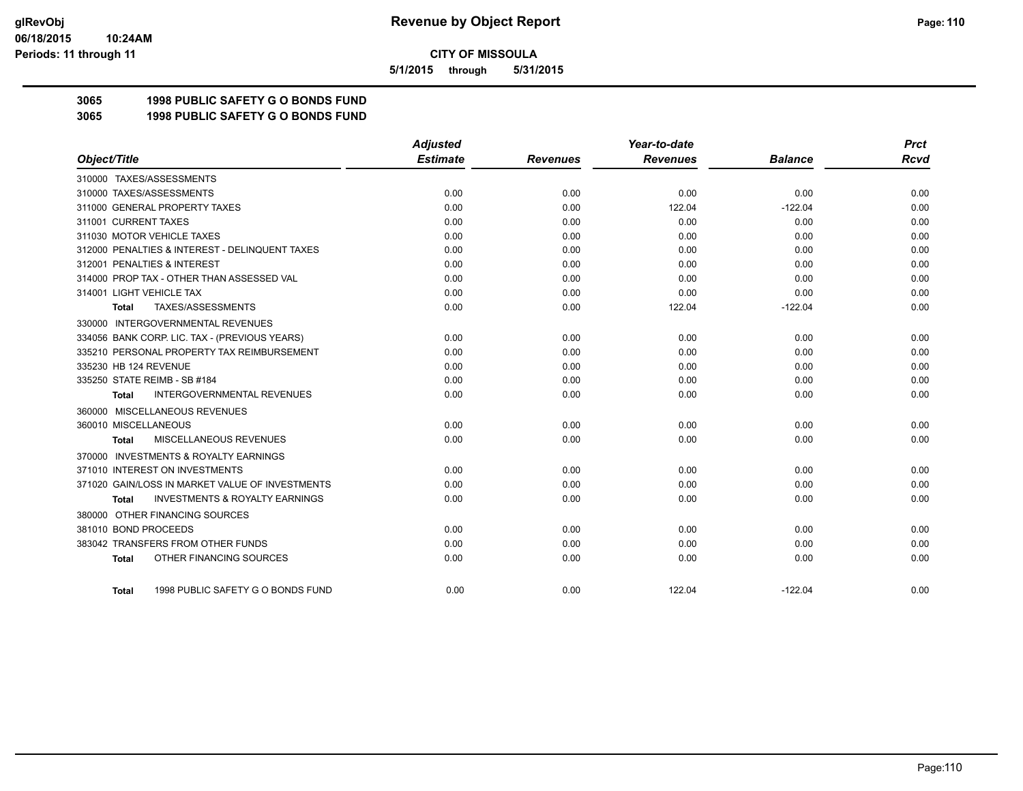**5/1/2015 through 5/31/2015**

## **3065 1998 PUBLIC SAFETY G O BONDS FUND**

**3065 1998 PUBLIC SAFETY G O BONDS FUND**

|                                                     | <b>Adjusted</b> |                 | Year-to-date    |                | <b>Prct</b> |
|-----------------------------------------------------|-----------------|-----------------|-----------------|----------------|-------------|
| Object/Title                                        | <b>Estimate</b> | <b>Revenues</b> | <b>Revenues</b> | <b>Balance</b> | Rcvd        |
| 310000 TAXES/ASSESSMENTS                            |                 |                 |                 |                |             |
| 310000 TAXES/ASSESSMENTS                            | 0.00            | 0.00            | 0.00            | 0.00           | 0.00        |
| 311000 GENERAL PROPERTY TAXES                       | 0.00            | 0.00            | 122.04          | $-122.04$      | 0.00        |
| 311001 CURRENT TAXES                                | 0.00            | 0.00            | 0.00            | 0.00           | 0.00        |
| 311030 MOTOR VEHICLE TAXES                          | 0.00            | 0.00            | 0.00            | 0.00           | 0.00        |
| 312000 PENALTIES & INTEREST - DELINQUENT TAXES      | 0.00            | 0.00            | 0.00            | 0.00           | 0.00        |
| 312001 PENALTIES & INTEREST                         | 0.00            | 0.00            | 0.00            | 0.00           | 0.00        |
| 314000 PROP TAX - OTHER THAN ASSESSED VAL           | 0.00            | 0.00            | 0.00            | 0.00           | 0.00        |
| 314001 LIGHT VEHICLE TAX                            | 0.00            | 0.00            | 0.00            | 0.00           | 0.00        |
| TAXES/ASSESSMENTS<br>Total                          | 0.00            | 0.00            | 122.04          | $-122.04$      | 0.00        |
| 330000 INTERGOVERNMENTAL REVENUES                   |                 |                 |                 |                |             |
| 334056 BANK CORP. LIC. TAX - (PREVIOUS YEARS)       | 0.00            | 0.00            | 0.00            | 0.00           | 0.00        |
| 335210 PERSONAL PROPERTY TAX REIMBURSEMENT          | 0.00            | 0.00            | 0.00            | 0.00           | 0.00        |
| 335230 HB 124 REVENUE                               | 0.00            | 0.00            | 0.00            | 0.00           | 0.00        |
| 335250 STATE REIMB - SB #184                        | 0.00            | 0.00            | 0.00            | 0.00           | 0.00        |
| <b>INTERGOVERNMENTAL REVENUES</b><br><b>Total</b>   | 0.00            | 0.00            | 0.00            | 0.00           | 0.00        |
| 360000 MISCELLANEOUS REVENUES                       |                 |                 |                 |                |             |
| 360010 MISCELLANEOUS                                | 0.00            | 0.00            | 0.00            | 0.00           | 0.00        |
| <b>MISCELLANEOUS REVENUES</b><br>Total              | 0.00            | 0.00            | 0.00            | 0.00           | 0.00        |
| <b>INVESTMENTS &amp; ROYALTY EARNINGS</b><br>370000 |                 |                 |                 |                |             |
| 371010 INTEREST ON INVESTMENTS                      | 0.00            | 0.00            | 0.00            | 0.00           | 0.00        |
| 371020 GAIN/LOSS IN MARKET VALUE OF INVESTMENTS     | 0.00            | 0.00            | 0.00            | 0.00           | 0.00        |
| <b>INVESTMENTS &amp; ROYALTY EARNINGS</b><br>Total  | 0.00            | 0.00            | 0.00            | 0.00           | 0.00        |
| 380000 OTHER FINANCING SOURCES                      |                 |                 |                 |                |             |
| 381010 BOND PROCEEDS                                | 0.00            | 0.00            | 0.00            | 0.00           | 0.00        |
| 383042 TRANSFERS FROM OTHER FUNDS                   | 0.00            | 0.00            | 0.00            | 0.00           | 0.00        |
| OTHER FINANCING SOURCES<br><b>Total</b>             | 0.00            | 0.00            | 0.00            | 0.00           | 0.00        |
| 1998 PUBLIC SAFETY G O BONDS FUND<br>Total          | 0.00            | 0.00            | 122.04          | $-122.04$      | 0.00        |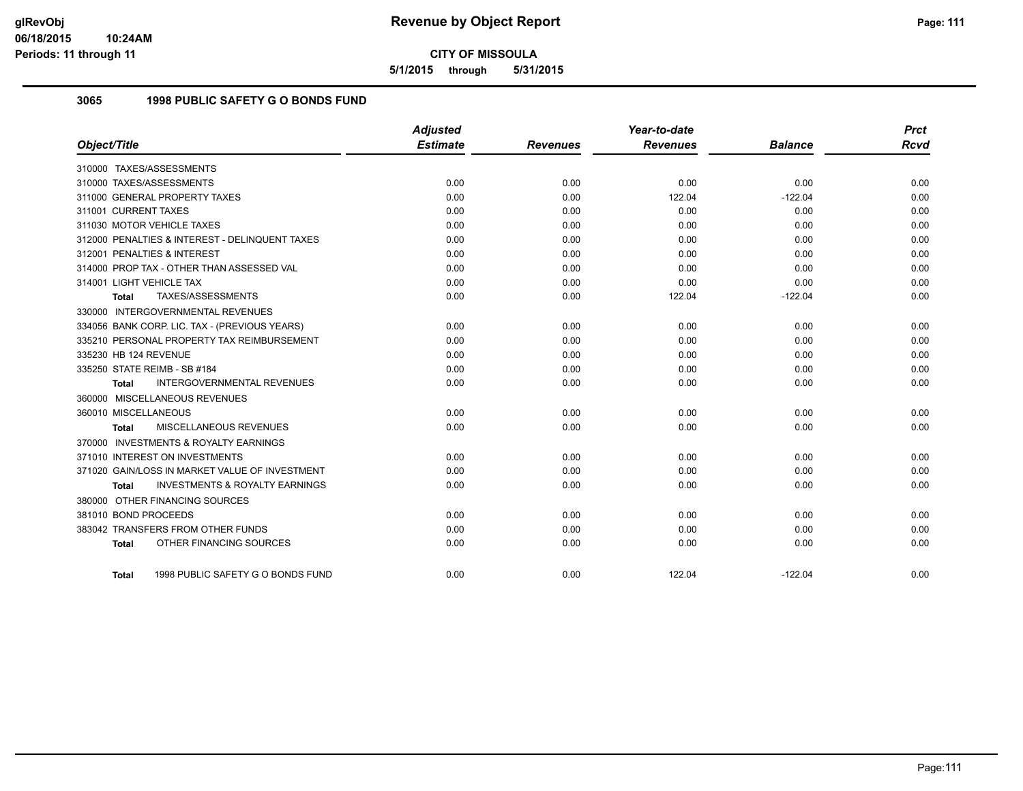**5/1/2015 through 5/31/2015**

## **3065 1998 PUBLIC SAFETY G O BONDS FUND**

|                                                    | <b>Adjusted</b> |                 | Year-to-date    |                | <b>Prct</b> |
|----------------------------------------------------|-----------------|-----------------|-----------------|----------------|-------------|
| Object/Title                                       | <b>Estimate</b> | <b>Revenues</b> | <b>Revenues</b> | <b>Balance</b> | <b>Rcvd</b> |
| 310000 TAXES/ASSESSMENTS                           |                 |                 |                 |                |             |
| 310000 TAXES/ASSESSMENTS                           | 0.00            | 0.00            | 0.00            | 0.00           | 0.00        |
| 311000 GENERAL PROPERTY TAXES                      | 0.00            | 0.00            | 122.04          | $-122.04$      | 0.00        |
| 311001 CURRENT TAXES                               | 0.00            | 0.00            | 0.00            | 0.00           | 0.00        |
| 311030 MOTOR VEHICLE TAXES                         | 0.00            | 0.00            | 0.00            | 0.00           | 0.00        |
| 312000 PENALTIES & INTEREST - DELINQUENT TAXES     | 0.00            | 0.00            | 0.00            | 0.00           | 0.00        |
| 312001 PENALTIES & INTEREST                        | 0.00            | 0.00            | 0.00            | 0.00           | 0.00        |
| 314000 PROP TAX - OTHER THAN ASSESSED VAL          | 0.00            | 0.00            | 0.00            | 0.00           | 0.00        |
| 314001 LIGHT VEHICLE TAX                           | 0.00            | 0.00            | 0.00            | 0.00           | 0.00        |
| TAXES/ASSESSMENTS<br><b>Total</b>                  | 0.00            | 0.00            | 122.04          | $-122.04$      | 0.00        |
| 330000 INTERGOVERNMENTAL REVENUES                  |                 |                 |                 |                |             |
| 334056 BANK CORP. LIC. TAX - (PREVIOUS YEARS)      | 0.00            | 0.00            | 0.00            | 0.00           | 0.00        |
| 335210 PERSONAL PROPERTY TAX REIMBURSEMENT         | 0.00            | 0.00            | 0.00            | 0.00           | 0.00        |
| 335230 HB 124 REVENUE                              | 0.00            | 0.00            | 0.00            | 0.00           | 0.00        |
| 335250 STATE REIMB - SB #184                       | 0.00            | 0.00            | 0.00            | 0.00           | 0.00        |
| <b>INTERGOVERNMENTAL REVENUES</b><br><b>Total</b>  | 0.00            | 0.00            | 0.00            | 0.00           | 0.00        |
| 360000 MISCELLANEOUS REVENUES                      |                 |                 |                 |                |             |
| 360010 MISCELLANEOUS                               | 0.00            | 0.00            | 0.00            | 0.00           | 0.00        |
| MISCELLANEOUS REVENUES<br><b>Total</b>             | 0.00            | 0.00            | 0.00            | 0.00           | 0.00        |
| 370000 INVESTMENTS & ROYALTY EARNINGS              |                 |                 |                 |                |             |
| 371010 INTEREST ON INVESTMENTS                     | 0.00            | 0.00            | 0.00            | 0.00           | 0.00        |
| 371020 GAIN/LOSS IN MARKET VALUE OF INVESTMENT     | 0.00            | 0.00            | 0.00            | 0.00           | 0.00        |
| <b>INVESTMENTS &amp; ROYALTY EARNINGS</b><br>Total | 0.00            | 0.00            | 0.00            | 0.00           | 0.00        |
| 380000 OTHER FINANCING SOURCES                     |                 |                 |                 |                |             |
| 381010 BOND PROCEEDS                               | 0.00            | 0.00            | 0.00            | 0.00           | 0.00        |
| 383042 TRANSFERS FROM OTHER FUNDS                  | 0.00            | 0.00            | 0.00            | 0.00           | 0.00        |
| OTHER FINANCING SOURCES<br><b>Total</b>            | 0.00            | 0.00            | 0.00            | 0.00           | 0.00        |
|                                                    |                 |                 |                 |                |             |
| 1998 PUBLIC SAFETY G O BONDS FUND<br>Total         | 0.00            | 0.00            | 122.04          | $-122.04$      | 0.00        |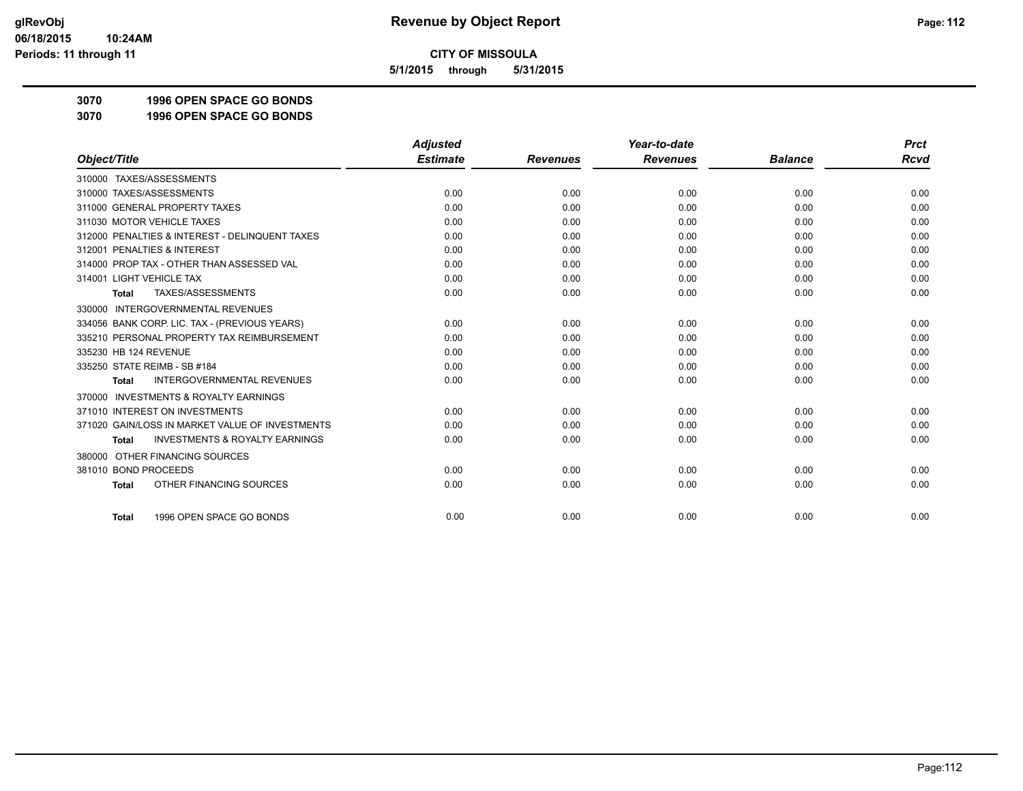**5/1/2015 through 5/31/2015**

**3070 1996 OPEN SPACE GO BONDS**

**3070 1996 OPEN SPACE GO BONDS**

|                                                           | <b>Adjusted</b> |                 | Year-to-date    |                | <b>Prct</b> |
|-----------------------------------------------------------|-----------------|-----------------|-----------------|----------------|-------------|
| Object/Title                                              | <b>Estimate</b> | <b>Revenues</b> | <b>Revenues</b> | <b>Balance</b> | <b>Rcvd</b> |
| 310000 TAXES/ASSESSMENTS                                  |                 |                 |                 |                |             |
| 310000 TAXES/ASSESSMENTS                                  | 0.00            | 0.00            | 0.00            | 0.00           | 0.00        |
| 311000 GENERAL PROPERTY TAXES                             | 0.00            | 0.00            | 0.00            | 0.00           | 0.00        |
| 311030 MOTOR VEHICLE TAXES                                | 0.00            | 0.00            | 0.00            | 0.00           | 0.00        |
| 312000 PENALTIES & INTEREST - DELINQUENT TAXES            | 0.00            | 0.00            | 0.00            | 0.00           | 0.00        |
| 312001 PENALTIES & INTEREST                               | 0.00            | 0.00            | 0.00            | 0.00           | 0.00        |
| 314000 PROP TAX - OTHER THAN ASSESSED VAL                 | 0.00            | 0.00            | 0.00            | 0.00           | 0.00        |
| 314001 LIGHT VEHICLE TAX                                  | 0.00            | 0.00            | 0.00            | 0.00           | 0.00        |
| TAXES/ASSESSMENTS<br><b>Total</b>                         | 0.00            | 0.00            | 0.00            | 0.00           | 0.00        |
| 330000 INTERGOVERNMENTAL REVENUES                         |                 |                 |                 |                |             |
| 334056 BANK CORP. LIC. TAX - (PREVIOUS YEARS)             | 0.00            | 0.00            | 0.00            | 0.00           | 0.00        |
| 335210 PERSONAL PROPERTY TAX REIMBURSEMENT                | 0.00            | 0.00            | 0.00            | 0.00           | 0.00        |
| 335230 HB 124 REVENUE                                     | 0.00            | 0.00            | 0.00            | 0.00           | 0.00        |
| 335250 STATE REIMB - SB #184                              | 0.00            | 0.00            | 0.00            | 0.00           | 0.00        |
| INTERGOVERNMENTAL REVENUES<br>Total                       | 0.00            | 0.00            | 0.00            | 0.00           | 0.00        |
| <b>INVESTMENTS &amp; ROYALTY EARNINGS</b><br>370000       |                 |                 |                 |                |             |
| 371010 INTEREST ON INVESTMENTS                            | 0.00            | 0.00            | 0.00            | 0.00           | 0.00        |
| 371020 GAIN/LOSS IN MARKET VALUE OF INVESTMENTS           | 0.00            | 0.00            | 0.00            | 0.00           | 0.00        |
| <b>INVESTMENTS &amp; ROYALTY EARNINGS</b><br><b>Total</b> | 0.00            | 0.00            | 0.00            | 0.00           | 0.00        |
| OTHER FINANCING SOURCES<br>380000                         |                 |                 |                 |                |             |
| 381010 BOND PROCEEDS                                      | 0.00            | 0.00            | 0.00            | 0.00           | 0.00        |
| OTHER FINANCING SOURCES<br><b>Total</b>                   | 0.00            | 0.00            | 0.00            | 0.00           | 0.00        |
| 1996 OPEN SPACE GO BONDS<br><b>Total</b>                  | 0.00            | 0.00            | 0.00            | 0.00           | 0.00        |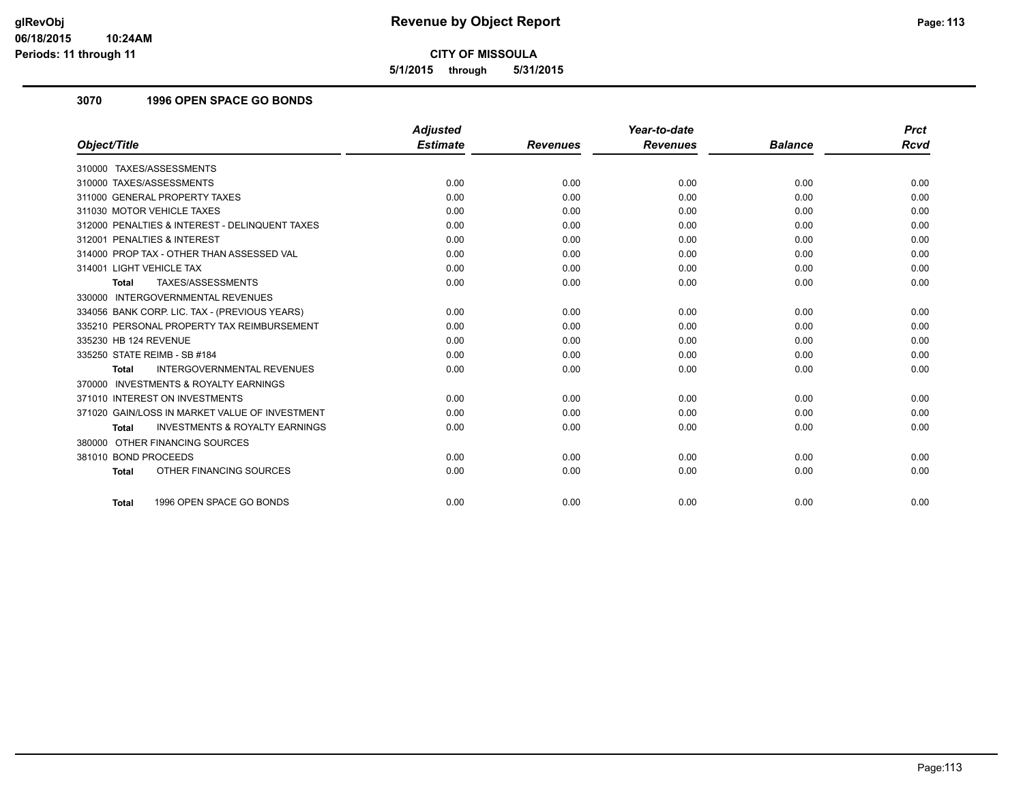**5/1/2015 through 5/31/2015**

## **3070 1996 OPEN SPACE GO BONDS**

|                                                           | <b>Adjusted</b> |                 | Year-to-date    |                | <b>Prct</b> |
|-----------------------------------------------------------|-----------------|-----------------|-----------------|----------------|-------------|
| Object/Title                                              | <b>Estimate</b> | <b>Revenues</b> | <b>Revenues</b> | <b>Balance</b> | <b>Rcvd</b> |
| 310000 TAXES/ASSESSMENTS                                  |                 |                 |                 |                |             |
| 310000 TAXES/ASSESSMENTS                                  | 0.00            | 0.00            | 0.00            | 0.00           | 0.00        |
| 311000 GENERAL PROPERTY TAXES                             | 0.00            | 0.00            | 0.00            | 0.00           | 0.00        |
| 311030 MOTOR VEHICLE TAXES                                | 0.00            | 0.00            | 0.00            | 0.00           | 0.00        |
| 312000 PENALTIES & INTEREST - DELINQUENT TAXES            | 0.00            | 0.00            | 0.00            | 0.00           | 0.00        |
| 312001 PENALTIES & INTEREST                               | 0.00            | 0.00            | 0.00            | 0.00           | 0.00        |
| 314000 PROP TAX - OTHER THAN ASSESSED VAL                 | 0.00            | 0.00            | 0.00            | 0.00           | 0.00        |
| 314001 LIGHT VEHICLE TAX                                  | 0.00            | 0.00            | 0.00            | 0.00           | 0.00        |
| TAXES/ASSESSMENTS<br><b>Total</b>                         | 0.00            | 0.00            | 0.00            | 0.00           | 0.00        |
| 330000 INTERGOVERNMENTAL REVENUES                         |                 |                 |                 |                |             |
| 334056 BANK CORP. LIC. TAX - (PREVIOUS YEARS)             | 0.00            | 0.00            | 0.00            | 0.00           | 0.00        |
| 335210 PERSONAL PROPERTY TAX REIMBURSEMENT                | 0.00            | 0.00            | 0.00            | 0.00           | 0.00        |
| 335230 HB 124 REVENUE                                     | 0.00            | 0.00            | 0.00            | 0.00           | 0.00        |
| 335250 STATE REIMB - SB #184                              | 0.00            | 0.00            | 0.00            | 0.00           | 0.00        |
| <b>INTERGOVERNMENTAL REVENUES</b><br><b>Total</b>         | 0.00            | 0.00            | 0.00            | 0.00           | 0.00        |
| 370000 INVESTMENTS & ROYALTY EARNINGS                     |                 |                 |                 |                |             |
| 371010 INTEREST ON INVESTMENTS                            | 0.00            | 0.00            | 0.00            | 0.00           | 0.00        |
| 371020 GAIN/LOSS IN MARKET VALUE OF INVESTMENT            | 0.00            | 0.00            | 0.00            | 0.00           | 0.00        |
| <b>INVESTMENTS &amp; ROYALTY EARNINGS</b><br><b>Total</b> | 0.00            | 0.00            | 0.00            | 0.00           | 0.00        |
| 380000 OTHER FINANCING SOURCES                            |                 |                 |                 |                |             |
| 381010 BOND PROCEEDS                                      | 0.00            | 0.00            | 0.00            | 0.00           | 0.00        |
| OTHER FINANCING SOURCES<br><b>Total</b>                   | 0.00            | 0.00            | 0.00            | 0.00           | 0.00        |
|                                                           |                 |                 |                 |                |             |
| 1996 OPEN SPACE GO BONDS<br><b>Total</b>                  | 0.00            | 0.00            | 0.00            | 0.00           | 0.00        |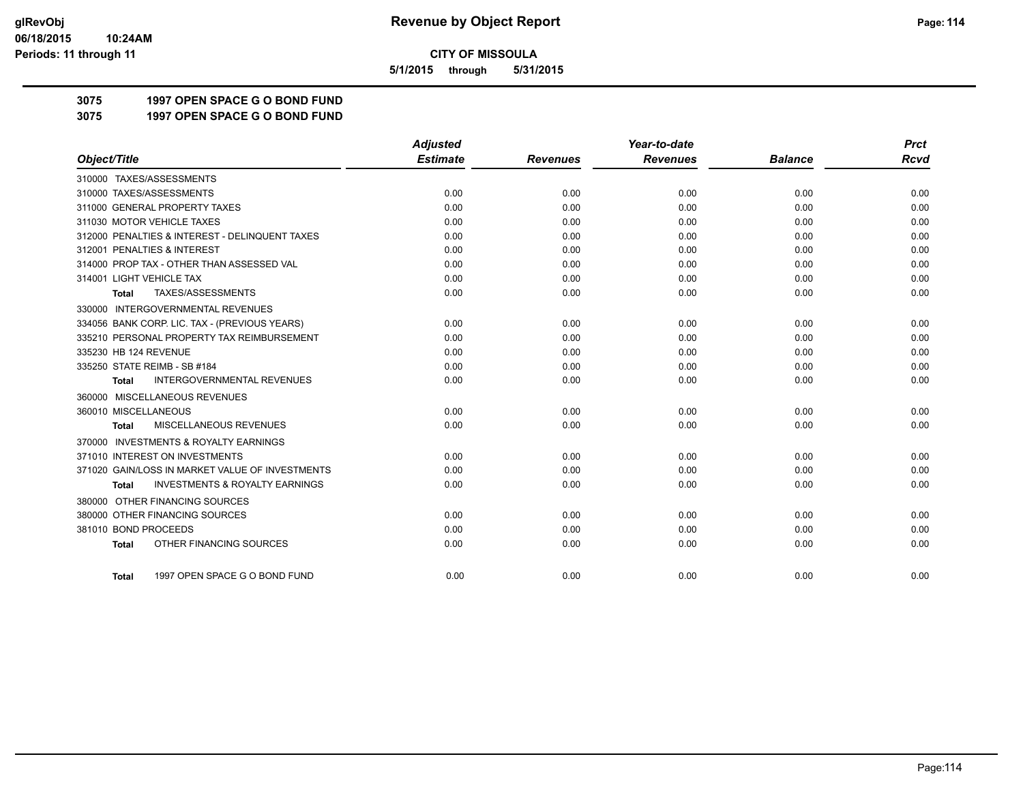**5/1/2015 through 5/31/2015**

## **3075 1997 OPEN SPACE G O BOND FUND**

**3075 1997 OPEN SPACE G O BOND FUND**

|                                                           | <b>Adjusted</b> |                 | Year-to-date    |                | <b>Prct</b> |
|-----------------------------------------------------------|-----------------|-----------------|-----------------|----------------|-------------|
| Object/Title                                              | <b>Estimate</b> | <b>Revenues</b> | <b>Revenues</b> | <b>Balance</b> | <b>Rcvd</b> |
| 310000 TAXES/ASSESSMENTS                                  |                 |                 |                 |                |             |
| 310000 TAXES/ASSESSMENTS                                  | 0.00            | 0.00            | 0.00            | 0.00           | 0.00        |
| 311000 GENERAL PROPERTY TAXES                             | 0.00            | 0.00            | 0.00            | 0.00           | 0.00        |
| 311030 MOTOR VEHICLE TAXES                                | 0.00            | 0.00            | 0.00            | 0.00           | 0.00        |
| 312000 PENALTIES & INTEREST - DELINQUENT TAXES            | 0.00            | 0.00            | 0.00            | 0.00           | 0.00        |
| 312001 PENALTIES & INTEREST                               | 0.00            | 0.00            | 0.00            | 0.00           | 0.00        |
| 314000 PROP TAX - OTHER THAN ASSESSED VAL                 | 0.00            | 0.00            | 0.00            | 0.00           | 0.00        |
| 314001 LIGHT VEHICLE TAX                                  | 0.00            | 0.00            | 0.00            | 0.00           | 0.00        |
| TAXES/ASSESSMENTS<br>Total                                | 0.00            | 0.00            | 0.00            | 0.00           | 0.00        |
| 330000 INTERGOVERNMENTAL REVENUES                         |                 |                 |                 |                |             |
| 334056 BANK CORP. LIC. TAX - (PREVIOUS YEARS)             | 0.00            | 0.00            | 0.00            | 0.00           | 0.00        |
| 335210 PERSONAL PROPERTY TAX REIMBURSEMENT                | 0.00            | 0.00            | 0.00            | 0.00           | 0.00        |
| 335230 HB 124 REVENUE                                     | 0.00            | 0.00            | 0.00            | 0.00           | 0.00        |
| 335250 STATE REIMB - SB #184                              | 0.00            | 0.00            | 0.00            | 0.00           | 0.00        |
| <b>INTERGOVERNMENTAL REVENUES</b><br><b>Total</b>         | 0.00            | 0.00            | 0.00            | 0.00           | 0.00        |
| 360000 MISCELLANEOUS REVENUES                             |                 |                 |                 |                |             |
| 360010 MISCELLANEOUS                                      | 0.00            | 0.00            | 0.00            | 0.00           | 0.00        |
| MISCELLANEOUS REVENUES<br><b>Total</b>                    | 0.00            | 0.00            | 0.00            | 0.00           | 0.00        |
| <b>INVESTMENTS &amp; ROYALTY EARNINGS</b><br>370000       |                 |                 |                 |                |             |
| 371010 INTEREST ON INVESTMENTS                            | 0.00            | 0.00            | 0.00            | 0.00           | 0.00        |
| 371020 GAIN/LOSS IN MARKET VALUE OF INVESTMENTS           | 0.00            | 0.00            | 0.00            | 0.00           | 0.00        |
| <b>INVESTMENTS &amp; ROYALTY EARNINGS</b><br><b>Total</b> | 0.00            | 0.00            | 0.00            | 0.00           | 0.00        |
| 380000 OTHER FINANCING SOURCES                            |                 |                 |                 |                |             |
| 380000 OTHER FINANCING SOURCES                            | 0.00            | 0.00            | 0.00            | 0.00           | 0.00        |
| 381010 BOND PROCEEDS                                      | 0.00            | 0.00            | 0.00            | 0.00           | 0.00        |
| OTHER FINANCING SOURCES<br><b>Total</b>                   | 0.00            | 0.00            | 0.00            | 0.00           | 0.00        |
|                                                           |                 |                 |                 |                |             |
| 1997 OPEN SPACE G O BOND FUND<br>Total                    | 0.00            | 0.00            | 0.00            | 0.00           | 0.00        |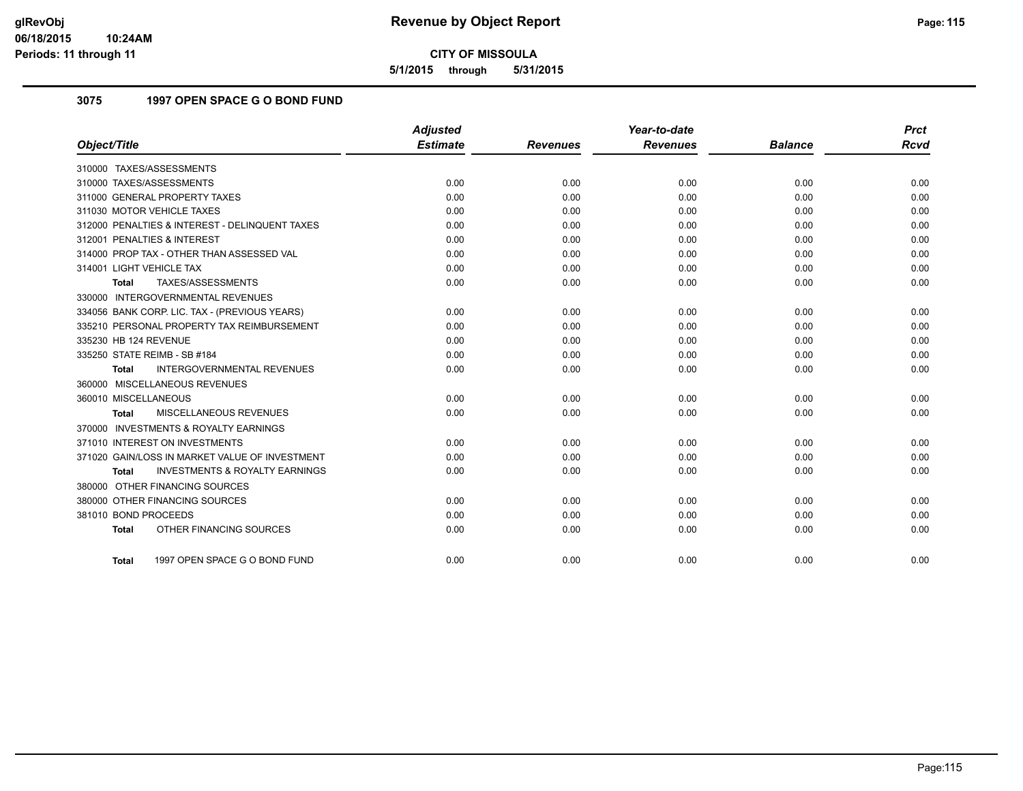**5/1/2015 through 5/31/2015**

## **3075 1997 OPEN SPACE G O BOND FUND**

|                                                           | <b>Adjusted</b> |                 | Year-to-date    |                | <b>Prct</b> |
|-----------------------------------------------------------|-----------------|-----------------|-----------------|----------------|-------------|
| Object/Title                                              | <b>Estimate</b> | <b>Revenues</b> | <b>Revenues</b> | <b>Balance</b> | <b>Rcvd</b> |
| 310000 TAXES/ASSESSMENTS                                  |                 |                 |                 |                |             |
| 310000 TAXES/ASSESSMENTS                                  | 0.00            | 0.00            | 0.00            | 0.00           | 0.00        |
| 311000 GENERAL PROPERTY TAXES                             | 0.00            | 0.00            | 0.00            | 0.00           | 0.00        |
| 311030 MOTOR VEHICLE TAXES                                | 0.00            | 0.00            | 0.00            | 0.00           | 0.00        |
| 312000 PENALTIES & INTEREST - DELINQUENT TAXES            | 0.00            | 0.00            | 0.00            | 0.00           | 0.00        |
| 312001 PENALTIES & INTEREST                               | 0.00            | 0.00            | 0.00            | 0.00           | 0.00        |
| 314000 PROP TAX - OTHER THAN ASSESSED VAL                 | 0.00            | 0.00            | 0.00            | 0.00           | 0.00        |
| 314001 LIGHT VEHICLE TAX                                  | 0.00            | 0.00            | 0.00            | 0.00           | 0.00        |
| TAXES/ASSESSMENTS<br>Total                                | 0.00            | 0.00            | 0.00            | 0.00           | 0.00        |
| 330000 INTERGOVERNMENTAL REVENUES                         |                 |                 |                 |                |             |
| 334056 BANK CORP. LIC. TAX - (PREVIOUS YEARS)             | 0.00            | 0.00            | 0.00            | 0.00           | 0.00        |
| 335210 PERSONAL PROPERTY TAX REIMBURSEMENT                | 0.00            | 0.00            | 0.00            | 0.00           | 0.00        |
| 335230 HB 124 REVENUE                                     | 0.00            | 0.00            | 0.00            | 0.00           | 0.00        |
| 335250 STATE REIMB - SB #184                              | 0.00            | 0.00            | 0.00            | 0.00           | 0.00        |
| INTERGOVERNMENTAL REVENUES<br><b>Total</b>                | 0.00            | 0.00            | 0.00            | 0.00           | 0.00        |
| 360000 MISCELLANEOUS REVENUES                             |                 |                 |                 |                |             |
| 360010 MISCELLANEOUS                                      | 0.00            | 0.00            | 0.00            | 0.00           | 0.00        |
| <b>MISCELLANEOUS REVENUES</b><br>Total                    | 0.00            | 0.00            | 0.00            | 0.00           | 0.00        |
| 370000 INVESTMENTS & ROYALTY EARNINGS                     |                 |                 |                 |                |             |
| 371010 INTEREST ON INVESTMENTS                            | 0.00            | 0.00            | 0.00            | 0.00           | 0.00        |
| 371020 GAIN/LOSS IN MARKET VALUE OF INVESTMENT            | 0.00            | 0.00            | 0.00            | 0.00           | 0.00        |
| <b>INVESTMENTS &amp; ROYALTY EARNINGS</b><br><b>Total</b> | 0.00            | 0.00            | 0.00            | 0.00           | 0.00        |
| 380000 OTHER FINANCING SOURCES                            |                 |                 |                 |                |             |
| 380000 OTHER FINANCING SOURCES                            | 0.00            | 0.00            | 0.00            | 0.00           | 0.00        |
| 381010 BOND PROCEEDS                                      | 0.00            | 0.00            | 0.00            | 0.00           | 0.00        |
| OTHER FINANCING SOURCES<br><b>Total</b>                   | 0.00            | 0.00            | 0.00            | 0.00           | 0.00        |
|                                                           |                 |                 |                 |                |             |
| 1997 OPEN SPACE G O BOND FUND<br>Total                    | 0.00            | 0.00            | 0.00            | 0.00           | 0.00        |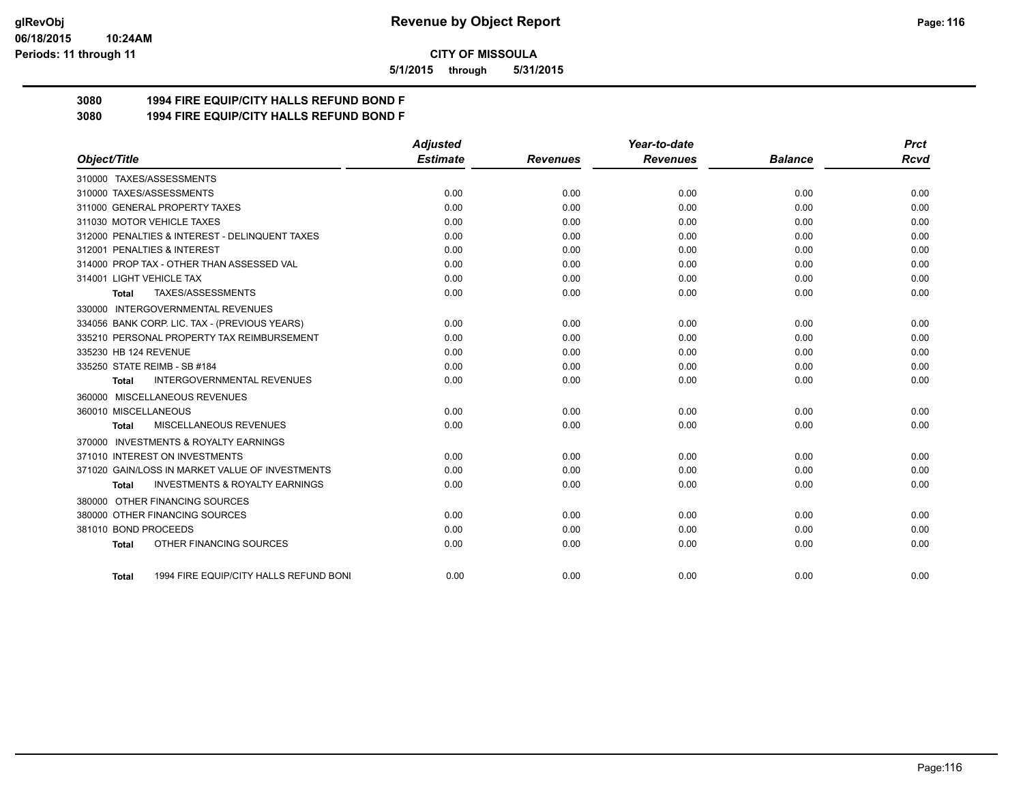#### **06/18/2015 10:24AM Periods: 11 through 11**

**CITY OF MISSOULA**

**5/1/2015 through 5/31/2015**

## **3080 1994 FIRE EQUIP/CITY HALLS REFUND BOND F**

**3080 1994 FIRE EQUIP/CITY HALLS REFUND BOND F**

|                                                           | <b>Adjusted</b> |                 | Year-to-date    |                | <b>Prct</b> |
|-----------------------------------------------------------|-----------------|-----------------|-----------------|----------------|-------------|
| Object/Title                                              | <b>Estimate</b> | <b>Revenues</b> | <b>Revenues</b> | <b>Balance</b> | <b>Rcvd</b> |
| 310000 TAXES/ASSESSMENTS                                  |                 |                 |                 |                |             |
| 310000 TAXES/ASSESSMENTS                                  | 0.00            | 0.00            | 0.00            | 0.00           | 0.00        |
| 311000 GENERAL PROPERTY TAXES                             | 0.00            | 0.00            | 0.00            | 0.00           | 0.00        |
| 311030 MOTOR VEHICLE TAXES                                | 0.00            | 0.00            | 0.00            | 0.00           | 0.00        |
| 312000 PENALTIES & INTEREST - DELINQUENT TAXES            | 0.00            | 0.00            | 0.00            | 0.00           | 0.00        |
| 312001 PENALTIES & INTEREST                               | 0.00            | 0.00            | 0.00            | 0.00           | 0.00        |
| 314000 PROP TAX - OTHER THAN ASSESSED VAL                 | 0.00            | 0.00            | 0.00            | 0.00           | 0.00        |
| 314001 LIGHT VEHICLE TAX                                  | 0.00            | 0.00            | 0.00            | 0.00           | 0.00        |
| TAXES/ASSESSMENTS<br>Total                                | 0.00            | 0.00            | 0.00            | 0.00           | 0.00        |
| 330000 INTERGOVERNMENTAL REVENUES                         |                 |                 |                 |                |             |
| 334056 BANK CORP. LIC. TAX - (PREVIOUS YEARS)             | 0.00            | 0.00            | 0.00            | 0.00           | 0.00        |
| 335210 PERSONAL PROPERTY TAX REIMBURSEMENT                | 0.00            | 0.00            | 0.00            | 0.00           | 0.00        |
| 335230 HB 124 REVENUE                                     | 0.00            | 0.00            | 0.00            | 0.00           | 0.00        |
| 335250 STATE REIMB - SB #184                              | 0.00            | 0.00            | 0.00            | 0.00           | 0.00        |
| <b>INTERGOVERNMENTAL REVENUES</b><br>Total                | 0.00            | 0.00            | 0.00            | 0.00           | 0.00        |
| 360000 MISCELLANEOUS REVENUES                             |                 |                 |                 |                |             |
| 360010 MISCELLANEOUS                                      | 0.00            | 0.00            | 0.00            | 0.00           | 0.00        |
| MISCELLANEOUS REVENUES<br><b>Total</b>                    | 0.00            | 0.00            | 0.00            | 0.00           | 0.00        |
| <b>INVESTMENTS &amp; ROYALTY EARNINGS</b><br>370000       |                 |                 |                 |                |             |
| 371010 INTEREST ON INVESTMENTS                            | 0.00            | 0.00            | 0.00            | 0.00           | 0.00        |
| 371020 GAIN/LOSS IN MARKET VALUE OF INVESTMENTS           | 0.00            | 0.00            | 0.00            | 0.00           | 0.00        |
| <b>INVESTMENTS &amp; ROYALTY EARNINGS</b><br><b>Total</b> | 0.00            | 0.00            | 0.00            | 0.00           | 0.00        |
| 380000 OTHER FINANCING SOURCES                            |                 |                 |                 |                |             |
| 380000 OTHER FINANCING SOURCES                            | 0.00            | 0.00            | 0.00            | 0.00           | 0.00        |
| 381010 BOND PROCEEDS                                      | 0.00            | 0.00            | 0.00            | 0.00           | 0.00        |
| OTHER FINANCING SOURCES<br><b>Total</b>                   | 0.00            | 0.00            | 0.00            | 0.00           | 0.00        |
|                                                           |                 |                 |                 |                |             |
| 1994 FIRE EQUIP/CITY HALLS REFUND BONI<br>Total           | 0.00            | 0.00            | 0.00            | 0.00           | 0.00        |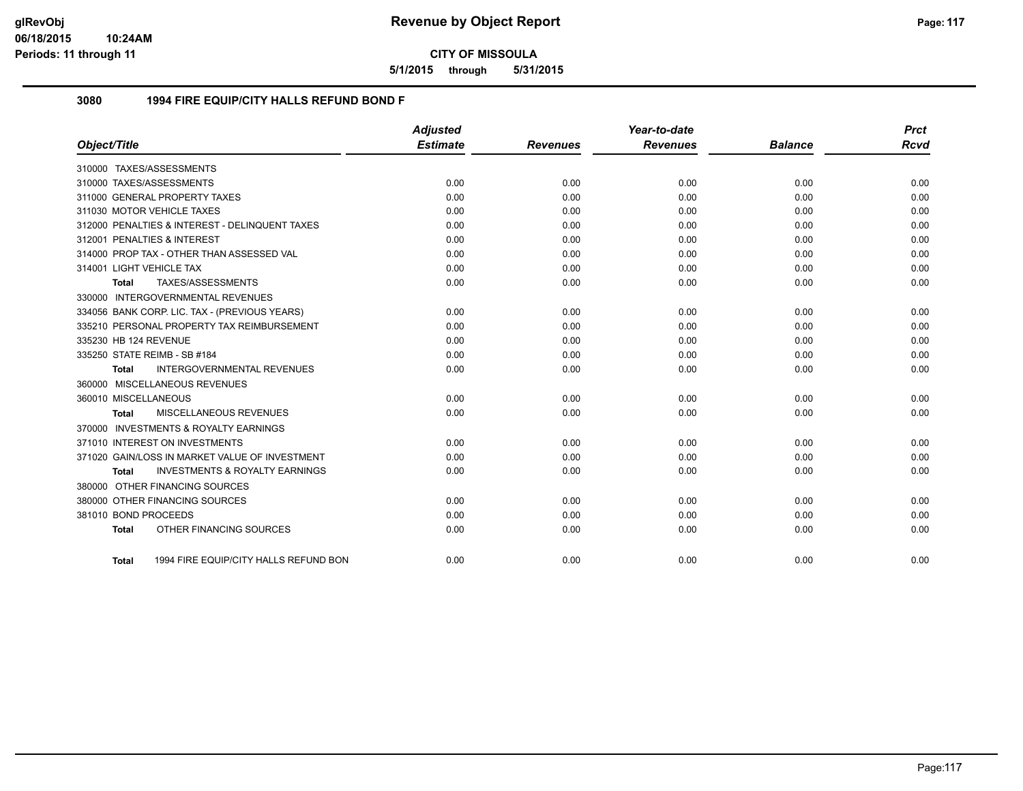**5/1/2015 through 5/31/2015**

#### **3080 1994 FIRE EQUIP/CITY HALLS REFUND BOND F**

|                                |                                                | <b>Adjusted</b> |                 | Year-to-date    |                | <b>Prct</b> |
|--------------------------------|------------------------------------------------|-----------------|-----------------|-----------------|----------------|-------------|
| Object/Title                   |                                                | <b>Estimate</b> | <b>Revenues</b> | <b>Revenues</b> | <b>Balance</b> | <b>Rcvd</b> |
| 310000 TAXES/ASSESSMENTS       |                                                |                 |                 |                 |                |             |
| 310000 TAXES/ASSESSMENTS       |                                                | 0.00            | 0.00            | 0.00            | 0.00           | 0.00        |
| 311000 GENERAL PROPERTY TAXES  |                                                | 0.00            | 0.00            | 0.00            | 0.00           | 0.00        |
| 311030 MOTOR VEHICLE TAXES     |                                                | 0.00            | 0.00            | 0.00            | 0.00           | 0.00        |
|                                | 312000 PENALTIES & INTEREST - DELINQUENT TAXES | 0.00            | 0.00            | 0.00            | 0.00           | 0.00        |
| 312001 PENALTIES & INTEREST    |                                                | 0.00            | 0.00            | 0.00            | 0.00           | 0.00        |
|                                | 314000 PROP TAX - OTHER THAN ASSESSED VAL      | 0.00            | 0.00            | 0.00            | 0.00           | 0.00        |
| 314001 LIGHT VEHICLE TAX       |                                                | 0.00            | 0.00            | 0.00            | 0.00           | 0.00        |
| Total                          | TAXES/ASSESSMENTS                              | 0.00            | 0.00            | 0.00            | 0.00           | 0.00        |
|                                | 330000 INTERGOVERNMENTAL REVENUES              |                 |                 |                 |                |             |
|                                | 334056 BANK CORP. LIC. TAX - (PREVIOUS YEARS)  | 0.00            | 0.00            | 0.00            | 0.00           | 0.00        |
|                                | 335210 PERSONAL PROPERTY TAX REIMBURSEMENT     | 0.00            | 0.00            | 0.00            | 0.00           | 0.00        |
| 335230 HB 124 REVENUE          |                                                | 0.00            | 0.00            | 0.00            | 0.00           | 0.00        |
| 335250 STATE REIMB - SB #184   |                                                | 0.00            | 0.00            | 0.00            | 0.00           | 0.00        |
| <b>Total</b>                   | <b>INTERGOVERNMENTAL REVENUES</b>              | 0.00            | 0.00            | 0.00            | 0.00           | 0.00        |
| 360000 MISCELLANEOUS REVENUES  |                                                |                 |                 |                 |                |             |
| 360010 MISCELLANEOUS           |                                                | 0.00            | 0.00            | 0.00            | 0.00           | 0.00        |
| Total                          | MISCELLANEOUS REVENUES                         | 0.00            | 0.00            | 0.00            | 0.00           | 0.00        |
|                                | 370000 INVESTMENTS & ROYALTY EARNINGS          |                 |                 |                 |                |             |
| 371010 INTEREST ON INVESTMENTS |                                                | 0.00            | 0.00            | 0.00            | 0.00           | 0.00        |
|                                | 371020 GAIN/LOSS IN MARKET VALUE OF INVESTMENT | 0.00            | 0.00            | 0.00            | 0.00           | 0.00        |
| Total                          | <b>INVESTMENTS &amp; ROYALTY EARNINGS</b>      | 0.00            | 0.00            | 0.00            | 0.00           | 0.00        |
| 380000 OTHER FINANCING SOURCES |                                                |                 |                 |                 |                |             |
| 380000 OTHER FINANCING SOURCES |                                                | 0.00            | 0.00            | 0.00            | 0.00           | 0.00        |
| 381010 BOND PROCEEDS           |                                                | 0.00            | 0.00            | 0.00            | 0.00           | 0.00        |
| <b>Total</b>                   | OTHER FINANCING SOURCES                        | 0.00            | 0.00            | 0.00            | 0.00           | 0.00        |
|                                |                                                |                 |                 |                 |                |             |
| Total                          | 1994 FIRE EQUIP/CITY HALLS REFUND BON          | 0.00            | 0.00            | 0.00            | 0.00           | 0.00        |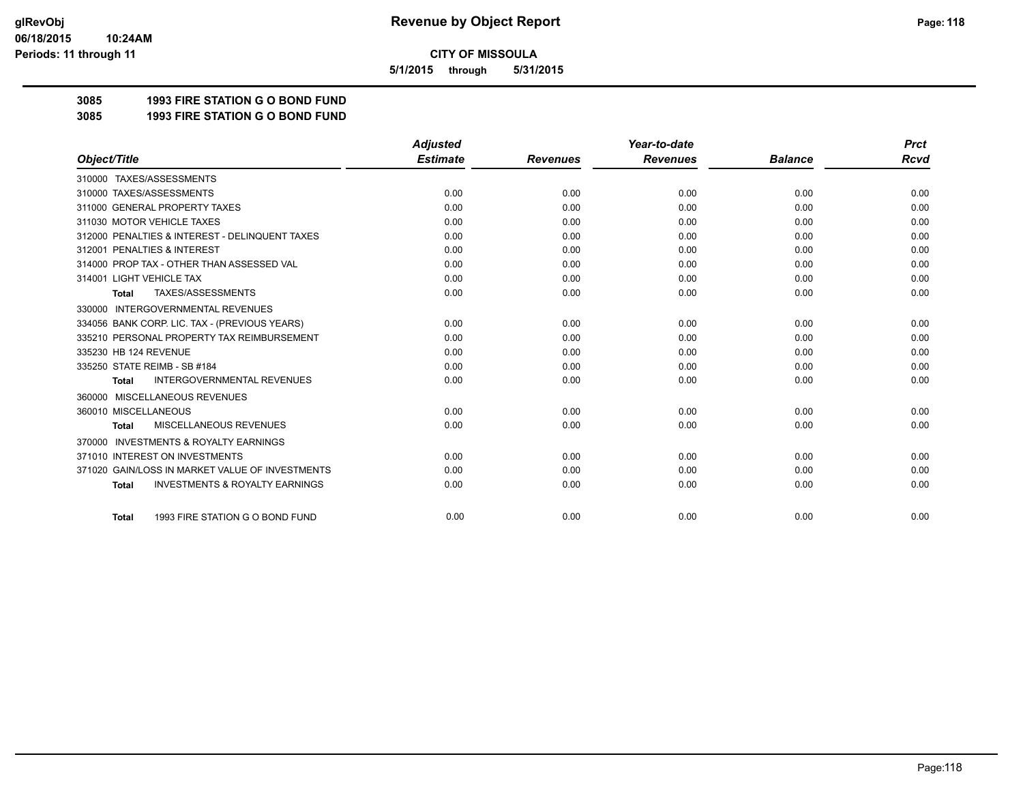**5/1/2015 through 5/31/2015**

## **3085 1993 FIRE STATION G O BOND FUND**

**3085 1993 FIRE STATION G O BOND FUND**

|                                                           | <b>Adjusted</b> |                 | Year-to-date    |                | <b>Prct</b> |
|-----------------------------------------------------------|-----------------|-----------------|-----------------|----------------|-------------|
| Object/Title                                              | <b>Estimate</b> | <b>Revenues</b> | <b>Revenues</b> | <b>Balance</b> | <b>Rcvd</b> |
| 310000 TAXES/ASSESSMENTS                                  |                 |                 |                 |                |             |
| 310000 TAXES/ASSESSMENTS                                  | 0.00            | 0.00            | 0.00            | 0.00           | 0.00        |
| 311000 GENERAL PROPERTY TAXES                             | 0.00            | 0.00            | 0.00            | 0.00           | 0.00        |
| 311030 MOTOR VEHICLE TAXES                                | 0.00            | 0.00            | 0.00            | 0.00           | 0.00        |
| 312000 PENALTIES & INTEREST - DELINQUENT TAXES            | 0.00            | 0.00            | 0.00            | 0.00           | 0.00        |
| 312001 PENALTIES & INTEREST                               | 0.00            | 0.00            | 0.00            | 0.00           | 0.00        |
| 314000 PROP TAX - OTHER THAN ASSESSED VAL                 | 0.00            | 0.00            | 0.00            | 0.00           | 0.00        |
| 314001 LIGHT VEHICLE TAX                                  | 0.00            | 0.00            | 0.00            | 0.00           | 0.00        |
| TAXES/ASSESSMENTS<br><b>Total</b>                         | 0.00            | 0.00            | 0.00            | 0.00           | 0.00        |
| <b>INTERGOVERNMENTAL REVENUES</b><br>330000               |                 |                 |                 |                |             |
| 334056 BANK CORP. LIC. TAX - (PREVIOUS YEARS)             | 0.00            | 0.00            | 0.00            | 0.00           | 0.00        |
| 335210 PERSONAL PROPERTY TAX REIMBURSEMENT                | 0.00            | 0.00            | 0.00            | 0.00           | 0.00        |
| 335230 HB 124 REVENUE                                     | 0.00            | 0.00            | 0.00            | 0.00           | 0.00        |
| 335250 STATE REIMB - SB #184                              | 0.00            | 0.00            | 0.00            | 0.00           | 0.00        |
| <b>INTERGOVERNMENTAL REVENUES</b><br><b>Total</b>         | 0.00            | 0.00            | 0.00            | 0.00           | 0.00        |
| MISCELLANEOUS REVENUES<br>360000                          |                 |                 |                 |                |             |
| 360010 MISCELLANEOUS                                      | 0.00            | 0.00            | 0.00            | 0.00           | 0.00        |
| MISCELLANEOUS REVENUES<br><b>Total</b>                    | 0.00            | 0.00            | 0.00            | 0.00           | 0.00        |
| <b>INVESTMENTS &amp; ROYALTY EARNINGS</b><br>370000       |                 |                 |                 |                |             |
| 371010 INTEREST ON INVESTMENTS                            | 0.00            | 0.00            | 0.00            | 0.00           | 0.00        |
| 371020 GAIN/LOSS IN MARKET VALUE OF INVESTMENTS           | 0.00            | 0.00            | 0.00            | 0.00           | 0.00        |
| <b>INVESTMENTS &amp; ROYALTY EARNINGS</b><br><b>Total</b> | 0.00            | 0.00            | 0.00            | 0.00           | 0.00        |
| 1993 FIRE STATION G O BOND FUND<br><b>Total</b>           | 0.00            | 0.00            | 0.00            | 0.00           | 0.00        |
|                                                           |                 |                 |                 |                |             |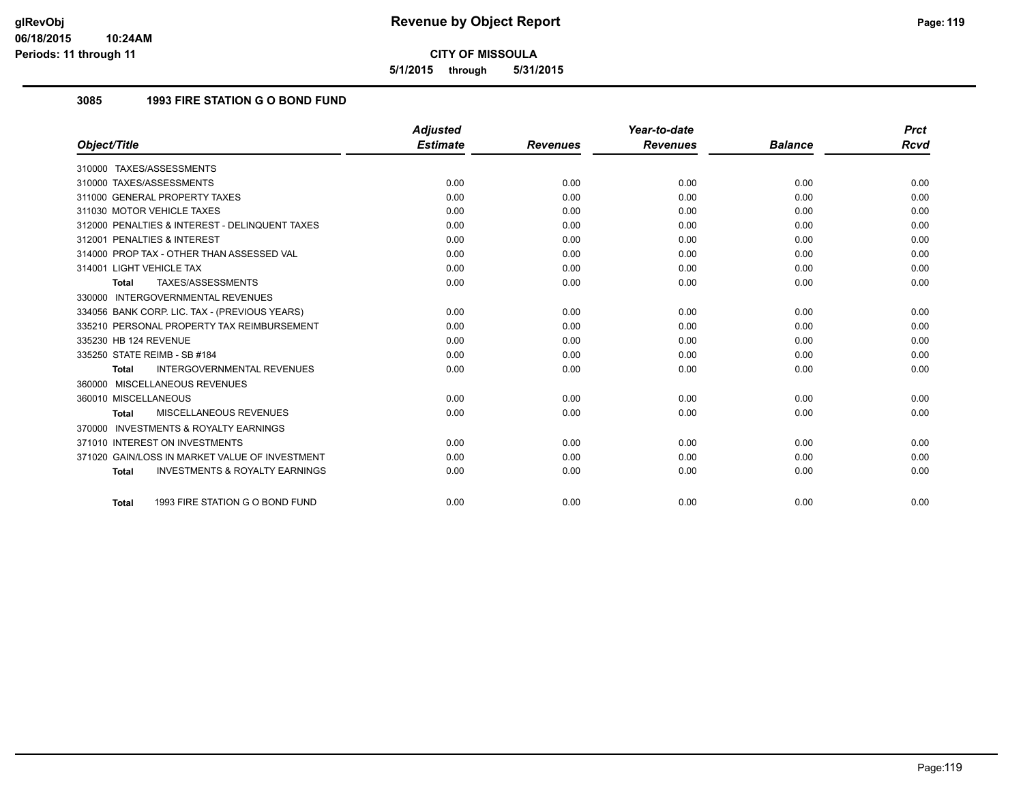**5/1/2015 through 5/31/2015**

## **3085 1993 FIRE STATION G O BOND FUND**

|                                                    | <b>Adjusted</b> |                 | Year-to-date    |                | <b>Prct</b> |
|----------------------------------------------------|-----------------|-----------------|-----------------|----------------|-------------|
| Object/Title                                       | <b>Estimate</b> | <b>Revenues</b> | <b>Revenues</b> | <b>Balance</b> | Rcvd        |
| 310000 TAXES/ASSESSMENTS                           |                 |                 |                 |                |             |
| 310000 TAXES/ASSESSMENTS                           | 0.00            | 0.00            | 0.00            | 0.00           | 0.00        |
| 311000 GENERAL PROPERTY TAXES                      | 0.00            | 0.00            | 0.00            | 0.00           | 0.00        |
| 311030 MOTOR VEHICLE TAXES                         | 0.00            | 0.00            | 0.00            | 0.00           | 0.00        |
| 312000 PENALTIES & INTEREST - DELINQUENT TAXES     | 0.00            | 0.00            | 0.00            | 0.00           | 0.00        |
| 312001 PENALTIES & INTEREST                        | 0.00            | 0.00            | 0.00            | 0.00           | 0.00        |
| 314000 PROP TAX - OTHER THAN ASSESSED VAL          | 0.00            | 0.00            | 0.00            | 0.00           | 0.00        |
| 314001 LIGHT VEHICLE TAX                           | 0.00            | 0.00            | 0.00            | 0.00           | 0.00        |
| TAXES/ASSESSMENTS<br>Total                         | 0.00            | 0.00            | 0.00            | 0.00           | 0.00        |
| 330000 INTERGOVERNMENTAL REVENUES                  |                 |                 |                 |                |             |
| 334056 BANK CORP. LIC. TAX - (PREVIOUS YEARS)      | 0.00            | 0.00            | 0.00            | 0.00           | 0.00        |
| 335210 PERSONAL PROPERTY TAX REIMBURSEMENT         | 0.00            | 0.00            | 0.00            | 0.00           | 0.00        |
| 335230 HB 124 REVENUE                              | 0.00            | 0.00            | 0.00            | 0.00           | 0.00        |
| 335250 STATE REIMB - SB #184                       | 0.00            | 0.00            | 0.00            | 0.00           | 0.00        |
| <b>INTERGOVERNMENTAL REVENUES</b><br><b>Total</b>  | 0.00            | 0.00            | 0.00            | 0.00           | 0.00        |
| 360000 MISCELLANEOUS REVENUES                      |                 |                 |                 |                |             |
| 360010 MISCELLANEOUS                               | 0.00            | 0.00            | 0.00            | 0.00           | 0.00        |
| MISCELLANEOUS REVENUES<br><b>Total</b>             | 0.00            | 0.00            | 0.00            | 0.00           | 0.00        |
| 370000 INVESTMENTS & ROYALTY EARNINGS              |                 |                 |                 |                |             |
| 371010 INTEREST ON INVESTMENTS                     | 0.00            | 0.00            | 0.00            | 0.00           | 0.00        |
| 371020 GAIN/LOSS IN MARKET VALUE OF INVESTMENT     | 0.00            | 0.00            | 0.00            | 0.00           | 0.00        |
| <b>INVESTMENTS &amp; ROYALTY EARNINGS</b><br>Total | 0.00            | 0.00            | 0.00            | 0.00           | 0.00        |
| 1993 FIRE STATION G O BOND FUND<br><b>Total</b>    | 0.00            | 0.00            | 0.00            | 0.00           | 0.00        |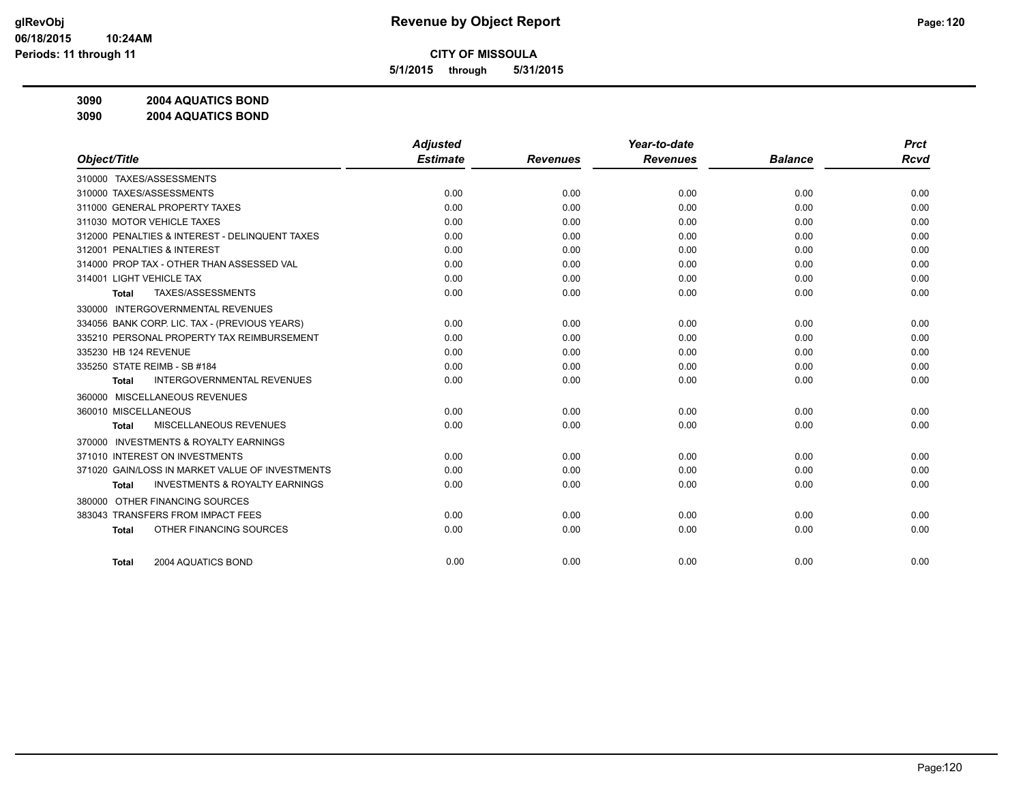**5/1/2015 through 5/31/2015**

**3090 2004 AQUATICS BOND**

**3090 2004 AQUATICS BOND**

|                                                           | <b>Adjusted</b> |                 | Year-to-date    |                | <b>Prct</b> |
|-----------------------------------------------------------|-----------------|-----------------|-----------------|----------------|-------------|
| Object/Title                                              | <b>Estimate</b> | <b>Revenues</b> | <b>Revenues</b> | <b>Balance</b> | <b>Rcvd</b> |
| 310000 TAXES/ASSESSMENTS                                  |                 |                 |                 |                |             |
| 310000 TAXES/ASSESSMENTS                                  | 0.00            | 0.00            | 0.00            | 0.00           | 0.00        |
| 311000 GENERAL PROPERTY TAXES                             | 0.00            | 0.00            | 0.00            | 0.00           | 0.00        |
| 311030 MOTOR VEHICLE TAXES                                | 0.00            | 0.00            | 0.00            | 0.00           | 0.00        |
| 312000 PENALTIES & INTEREST - DELINQUENT TAXES            | 0.00            | 0.00            | 0.00            | 0.00           | 0.00        |
| 312001 PENALTIES & INTEREST                               | 0.00            | 0.00            | 0.00            | 0.00           | 0.00        |
| 314000 PROP TAX - OTHER THAN ASSESSED VAL                 | 0.00            | 0.00            | 0.00            | 0.00           | 0.00        |
| 314001 LIGHT VEHICLE TAX                                  | 0.00            | 0.00            | 0.00            | 0.00           | 0.00        |
| TAXES/ASSESSMENTS<br>Total                                | 0.00            | 0.00            | 0.00            | 0.00           | 0.00        |
| INTERGOVERNMENTAL REVENUES<br>330000                      |                 |                 |                 |                |             |
| 334056 BANK CORP. LIC. TAX - (PREVIOUS YEARS)             | 0.00            | 0.00            | 0.00            | 0.00           | 0.00        |
| 335210 PERSONAL PROPERTY TAX REIMBURSEMENT                | 0.00            | 0.00            | 0.00            | 0.00           | 0.00        |
| 335230 HB 124 REVENUE                                     | 0.00            | 0.00            | 0.00            | 0.00           | 0.00        |
| 335250 STATE REIMB - SB #184                              | 0.00            | 0.00            | 0.00            | 0.00           | 0.00        |
| <b>INTERGOVERNMENTAL REVENUES</b><br><b>Total</b>         | 0.00            | 0.00            | 0.00            | 0.00           | 0.00        |
| 360000 MISCELLANEOUS REVENUES                             |                 |                 |                 |                |             |
| 360010 MISCELLANEOUS                                      | 0.00            | 0.00            | 0.00            | 0.00           | 0.00        |
| MISCELLANEOUS REVENUES<br><b>Total</b>                    | 0.00            | 0.00            | 0.00            | 0.00           | 0.00        |
| <b>INVESTMENTS &amp; ROYALTY EARNINGS</b><br>370000       |                 |                 |                 |                |             |
| 371010 INTEREST ON INVESTMENTS                            | 0.00            | 0.00            | 0.00            | 0.00           | 0.00        |
| 371020 GAIN/LOSS IN MARKET VALUE OF INVESTMENTS           | 0.00            | 0.00            | 0.00            | 0.00           | 0.00        |
| <b>INVESTMENTS &amp; ROYALTY EARNINGS</b><br><b>Total</b> | 0.00            | 0.00            | 0.00            | 0.00           | 0.00        |
| OTHER FINANCING SOURCES<br>380000                         |                 |                 |                 |                |             |
| 383043 TRANSFERS FROM IMPACT FEES                         | 0.00            | 0.00            | 0.00            | 0.00           | 0.00        |
| OTHER FINANCING SOURCES<br><b>Total</b>                   | 0.00            | 0.00            | 0.00            | 0.00           | 0.00        |
|                                                           |                 |                 |                 |                |             |
| 2004 AQUATICS BOND<br><b>Total</b>                        | 0.00            | 0.00            | 0.00            | 0.00           | 0.00        |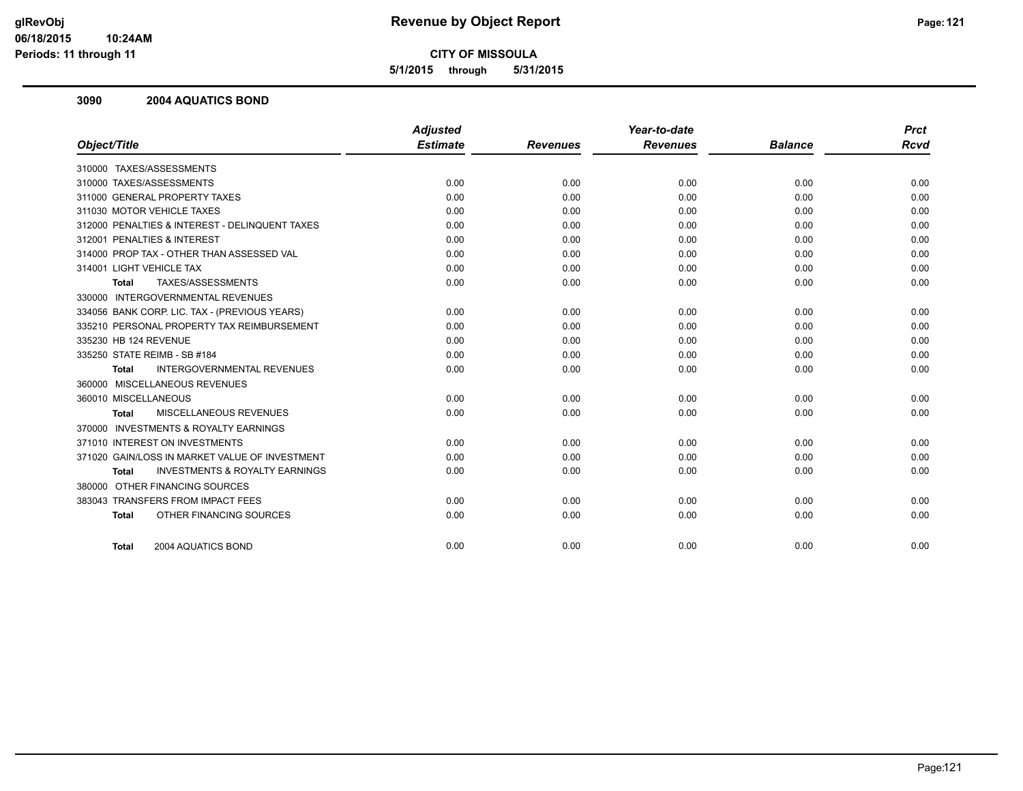**5/1/2015 through 5/31/2015**

#### **3090 2004 AQUATICS BOND**

| Object/Title                                              | <b>Adjusted</b><br><b>Estimate</b> | <b>Revenues</b> | Year-to-date<br><b>Revenues</b> | <b>Balance</b> | <b>Prct</b><br><b>Rcvd</b> |
|-----------------------------------------------------------|------------------------------------|-----------------|---------------------------------|----------------|----------------------------|
|                                                           |                                    |                 |                                 |                |                            |
| 310000 TAXES/ASSESSMENTS                                  |                                    |                 |                                 |                |                            |
| 310000 TAXES/ASSESSMENTS                                  | 0.00                               | 0.00            | 0.00                            | 0.00           | 0.00                       |
| 311000 GENERAL PROPERTY TAXES                             | 0.00                               | 0.00            | 0.00                            | 0.00           | 0.00                       |
| 311030 MOTOR VEHICLE TAXES                                | 0.00                               | 0.00            | 0.00                            | 0.00           | 0.00                       |
| 312000 PENALTIES & INTEREST - DELINQUENT TAXES            | 0.00                               | 0.00            | 0.00                            | 0.00           | 0.00                       |
| 312001 PENALTIES & INTEREST                               | 0.00                               | 0.00            | 0.00                            | 0.00           | 0.00                       |
| 314000 PROP TAX - OTHER THAN ASSESSED VAL                 | 0.00                               | 0.00            | 0.00                            | 0.00           | 0.00                       |
| 314001 LIGHT VEHICLE TAX                                  | 0.00                               | 0.00            | 0.00                            | 0.00           | 0.00                       |
| TAXES/ASSESSMENTS<br><b>Total</b>                         | 0.00                               | 0.00            | 0.00                            | 0.00           | 0.00                       |
| 330000 INTERGOVERNMENTAL REVENUES                         |                                    |                 |                                 |                |                            |
| 334056 BANK CORP. LIC. TAX - (PREVIOUS YEARS)             | 0.00                               | 0.00            | 0.00                            | 0.00           | 0.00                       |
| 335210 PERSONAL PROPERTY TAX REIMBURSEMENT                | 0.00                               | 0.00            | 0.00                            | 0.00           | 0.00                       |
| 335230 HB 124 REVENUE                                     | 0.00                               | 0.00            | 0.00                            | 0.00           | 0.00                       |
| 335250 STATE REIMB - SB #184                              | 0.00                               | 0.00            | 0.00                            | 0.00           | 0.00                       |
| <b>INTERGOVERNMENTAL REVENUES</b><br><b>Total</b>         | 0.00                               | 0.00            | 0.00                            | 0.00           | 0.00                       |
| 360000 MISCELLANEOUS REVENUES                             |                                    |                 |                                 |                |                            |
| 360010 MISCELLANEOUS                                      | 0.00                               | 0.00            | 0.00                            | 0.00           | 0.00                       |
| <b>MISCELLANEOUS REVENUES</b><br><b>Total</b>             | 0.00                               | 0.00            | 0.00                            | 0.00           | 0.00                       |
| 370000 INVESTMENTS & ROYALTY EARNINGS                     |                                    |                 |                                 |                |                            |
| 371010 INTEREST ON INVESTMENTS                            | 0.00                               | 0.00            | 0.00                            | 0.00           | 0.00                       |
| 371020 GAIN/LOSS IN MARKET VALUE OF INVESTMENT            | 0.00                               | 0.00            | 0.00                            | 0.00           | 0.00                       |
| <b>INVESTMENTS &amp; ROYALTY EARNINGS</b><br><b>Total</b> | 0.00                               | 0.00            | 0.00                            | 0.00           | 0.00                       |
| 380000 OTHER FINANCING SOURCES                            |                                    |                 |                                 |                |                            |
| 383043 TRANSFERS FROM IMPACT FEES                         | 0.00                               | 0.00            | 0.00                            | 0.00           | 0.00                       |
| OTHER FINANCING SOURCES<br><b>Total</b>                   | 0.00                               | 0.00            | 0.00                            | 0.00           | 0.00                       |
| 2004 AQUATICS BOND<br><b>Total</b>                        | 0.00                               | 0.00            | 0.00                            | 0.00           | 0.00                       |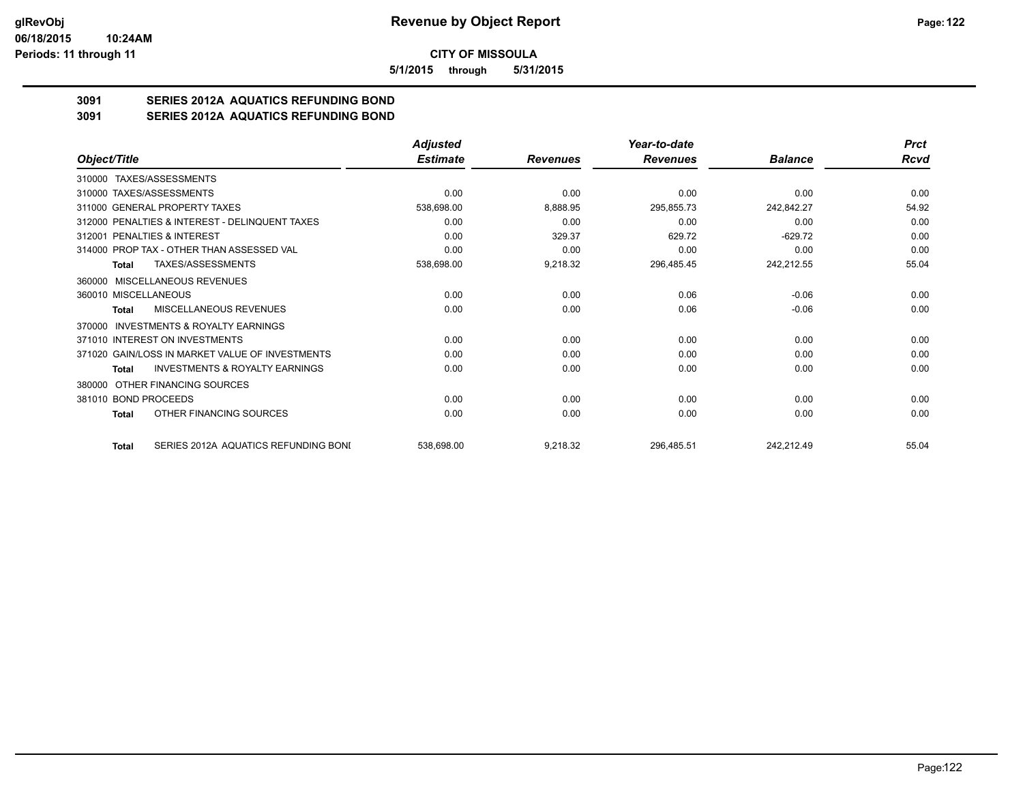**5/1/2015 through 5/31/2015**

# **3091 SERIES 2012A AQUATICS REFUNDING BOND**

**3091 SERIES 2012A AQUATICS REFUNDING BOND**

|                                                     | <b>Adjusted</b> |                 | Year-to-date    |                | <b>Prct</b> |
|-----------------------------------------------------|-----------------|-----------------|-----------------|----------------|-------------|
| Object/Title                                        | <b>Estimate</b> | <b>Revenues</b> | <b>Revenues</b> | <b>Balance</b> | Rcvd        |
| 310000 TAXES/ASSESSMENTS                            |                 |                 |                 |                |             |
| 310000 TAXES/ASSESSMENTS                            | 0.00            | 0.00            | 0.00            | 0.00           | 0.00        |
| 311000 GENERAL PROPERTY TAXES                       | 538,698.00      | 8,888.95        | 295,855.73      | 242,842.27     | 54.92       |
| 312000 PENALTIES & INTEREST - DELINQUENT TAXES      | 0.00            | 0.00            | 0.00            | 0.00           | 0.00        |
| 312001 PENALTIES & INTEREST                         | 0.00            | 329.37          | 629.72          | $-629.72$      | 0.00        |
| 314000 PROP TAX - OTHER THAN ASSESSED VAL           | 0.00            | 0.00            | 0.00            | 0.00           | 0.00        |
| TAXES/ASSESSMENTS<br>Total                          | 538,698.00      | 9,218.32        | 296,485.45      | 242,212.55     | 55.04       |
| 360000 MISCELLANEOUS REVENUES                       |                 |                 |                 |                |             |
| 360010 MISCELLANEOUS                                | 0.00            | 0.00            | 0.06            | $-0.06$        | 0.00        |
| MISCELLANEOUS REVENUES<br>Total                     | 0.00            | 0.00            | 0.06            | $-0.06$        | 0.00        |
| <b>INVESTMENTS &amp; ROYALTY EARNINGS</b><br>370000 |                 |                 |                 |                |             |
| 371010 INTEREST ON INVESTMENTS                      | 0.00            | 0.00            | 0.00            | 0.00           | 0.00        |
| 371020 GAIN/LOSS IN MARKET VALUE OF INVESTMENTS     | 0.00            | 0.00            | 0.00            | 0.00           | 0.00        |
| <b>INVESTMENTS &amp; ROYALTY EARNINGS</b><br>Total  | 0.00            | 0.00            | 0.00            | 0.00           | 0.00        |
| OTHER FINANCING SOURCES<br>380000                   |                 |                 |                 |                |             |
| 381010 BOND PROCEEDS                                | 0.00            | 0.00            | 0.00            | 0.00           | 0.00        |
| OTHER FINANCING SOURCES<br>Total                    | 0.00            | 0.00            | 0.00            | 0.00           | 0.00        |
| SERIES 2012A AQUATICS REFUNDING BONI<br>Total       | 538,698.00      | 9,218.32        | 296,485.51      | 242,212.49     | 55.04       |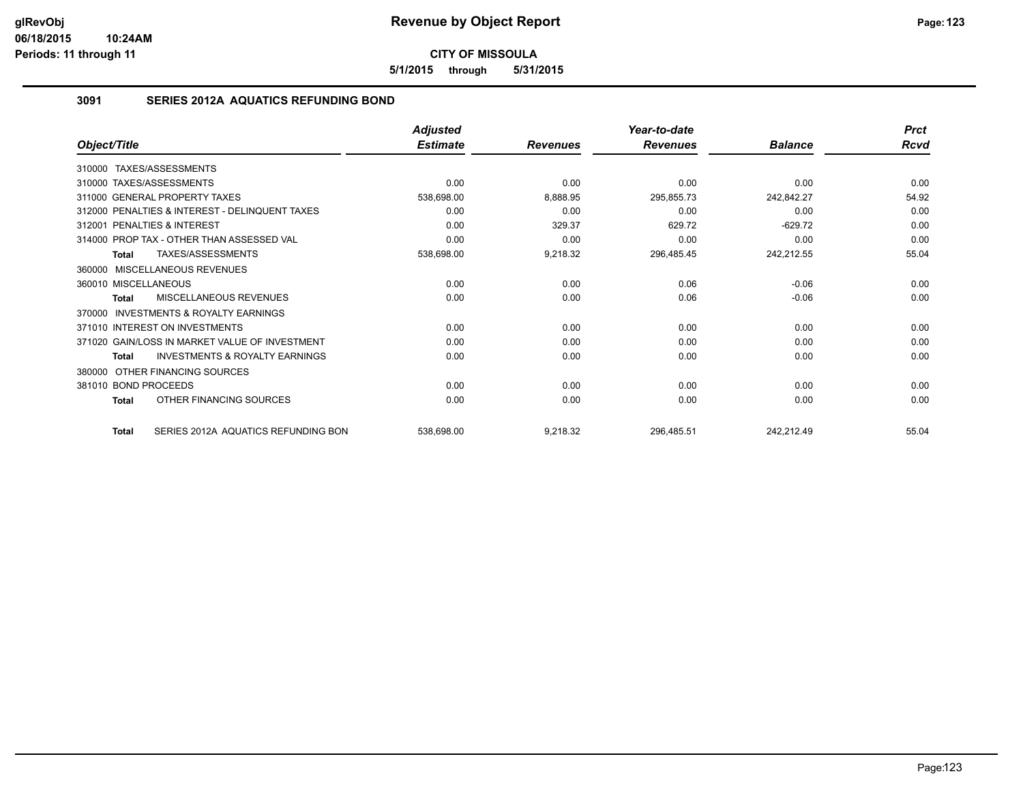**5/1/2015 through 5/31/2015**

## **3091 SERIES 2012A AQUATICS REFUNDING BOND**

|                                                           | <b>Adjusted</b> |                 | Year-to-date    |                | <b>Prct</b> |
|-----------------------------------------------------------|-----------------|-----------------|-----------------|----------------|-------------|
| Object/Title                                              | <b>Estimate</b> | <b>Revenues</b> | <b>Revenues</b> | <b>Balance</b> | Rcvd        |
| 310000 TAXES/ASSESSMENTS                                  |                 |                 |                 |                |             |
| 310000 TAXES/ASSESSMENTS                                  | 0.00            | 0.00            | 0.00            | 0.00           | 0.00        |
| 311000 GENERAL PROPERTY TAXES                             | 538,698.00      | 8,888.95        | 295,855.73      | 242,842.27     | 54.92       |
| 312000 PENALTIES & INTEREST - DELINQUENT TAXES            | 0.00            | 0.00            | 0.00            | 0.00           | 0.00        |
| 312001 PENALTIES & INTEREST                               | 0.00            | 329.37          | 629.72          | $-629.72$      | 0.00        |
| 314000 PROP TAX - OTHER THAN ASSESSED VAL                 | 0.00            | 0.00            | 0.00            | 0.00           | 0.00        |
| TAXES/ASSESSMENTS<br><b>Total</b>                         | 538,698.00      | 9,218.32        | 296,485.45      | 242,212.55     | 55.04       |
| 360000 MISCELLANEOUS REVENUES                             |                 |                 |                 |                |             |
| 360010 MISCELLANEOUS                                      | 0.00            | 0.00            | 0.06            | $-0.06$        | 0.00        |
| MISCELLANEOUS REVENUES<br>Total                           | 0.00            | 0.00            | 0.06            | $-0.06$        | 0.00        |
| INVESTMENTS & ROYALTY EARNINGS<br>370000                  |                 |                 |                 |                |             |
| 371010 INTEREST ON INVESTMENTS                            | 0.00            | 0.00            | 0.00            | 0.00           | 0.00        |
| 371020 GAIN/LOSS IN MARKET VALUE OF INVESTMENT            | 0.00            | 0.00            | 0.00            | 0.00           | 0.00        |
| <b>INVESTMENTS &amp; ROYALTY EARNINGS</b><br><b>Total</b> | 0.00            | 0.00            | 0.00            | 0.00           | 0.00        |
| OTHER FINANCING SOURCES<br>380000                         |                 |                 |                 |                |             |
| 381010 BOND PROCEEDS                                      | 0.00            | 0.00            | 0.00            | 0.00           | 0.00        |
| OTHER FINANCING SOURCES<br><b>Total</b>                   | 0.00            | 0.00            | 0.00            | 0.00           | 0.00        |
| SERIES 2012A AQUATICS REFUNDING BON<br><b>Total</b>       | 538,698.00      | 9,218.32        | 296,485.51      | 242,212.49     | 55.04       |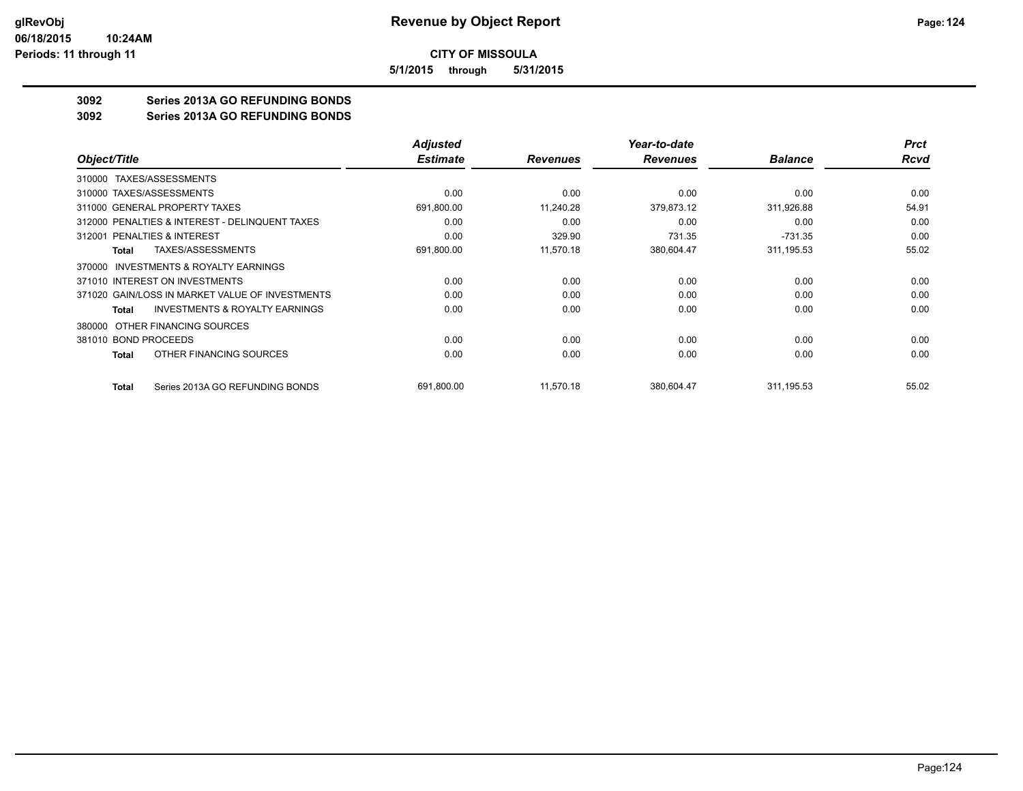**5/1/2015 through 5/31/2015**

## **3092 Series 2013A GO REFUNDING BONDS**

**3092 Series 2013A GO REFUNDING BONDS**

|                                                    | <b>Adjusted</b> |                 | Year-to-date    |                | <b>Prct</b> |
|----------------------------------------------------|-----------------|-----------------|-----------------|----------------|-------------|
| Object/Title                                       | <b>Estimate</b> | <b>Revenues</b> | <b>Revenues</b> | <b>Balance</b> | <b>Rcvd</b> |
| 310000 TAXES/ASSESSMENTS                           |                 |                 |                 |                |             |
| 310000 TAXES/ASSESSMENTS                           | 0.00            | 0.00            | 0.00            | 0.00           | 0.00        |
| 311000 GENERAL PROPERTY TAXES                      | 691,800.00      | 11,240.28       | 379,873.12      | 311,926.88     | 54.91       |
| 312000 PENALTIES & INTEREST - DELINQUENT TAXES     | 0.00            | 0.00            | 0.00            | 0.00           | 0.00        |
| PENALTIES & INTEREST<br>312001                     | 0.00            | 329.90          | 731.35          | $-731.35$      | 0.00        |
| TAXES/ASSESSMENTS<br>Total                         | 691,800.00      | 11,570.18       | 380,604.47      | 311, 195.53    | 55.02       |
| INVESTMENTS & ROYALTY EARNINGS<br>370000           |                 |                 |                 |                |             |
| 371010 INTEREST ON INVESTMENTS                     | 0.00            | 0.00            | 0.00            | 0.00           | 0.00        |
| 371020 GAIN/LOSS IN MARKET VALUE OF INVESTMENTS    | 0.00            | 0.00            | 0.00            | 0.00           | 0.00        |
| <b>INVESTMENTS &amp; ROYALTY EARNINGS</b><br>Total | 0.00            | 0.00            | 0.00            | 0.00           | 0.00        |
| OTHER FINANCING SOURCES<br>380000                  |                 |                 |                 |                |             |
| 381010 BOND PROCEEDS                               | 0.00            | 0.00            | 0.00            | 0.00           | 0.00        |
| OTHER FINANCING SOURCES<br>Total                   | 0.00            | 0.00            | 0.00            | 0.00           | 0.00        |
| Series 2013A GO REFUNDING BONDS<br><b>Total</b>    | 691,800.00      | 11,570.18       | 380,604.47      | 311, 195.53    | 55.02       |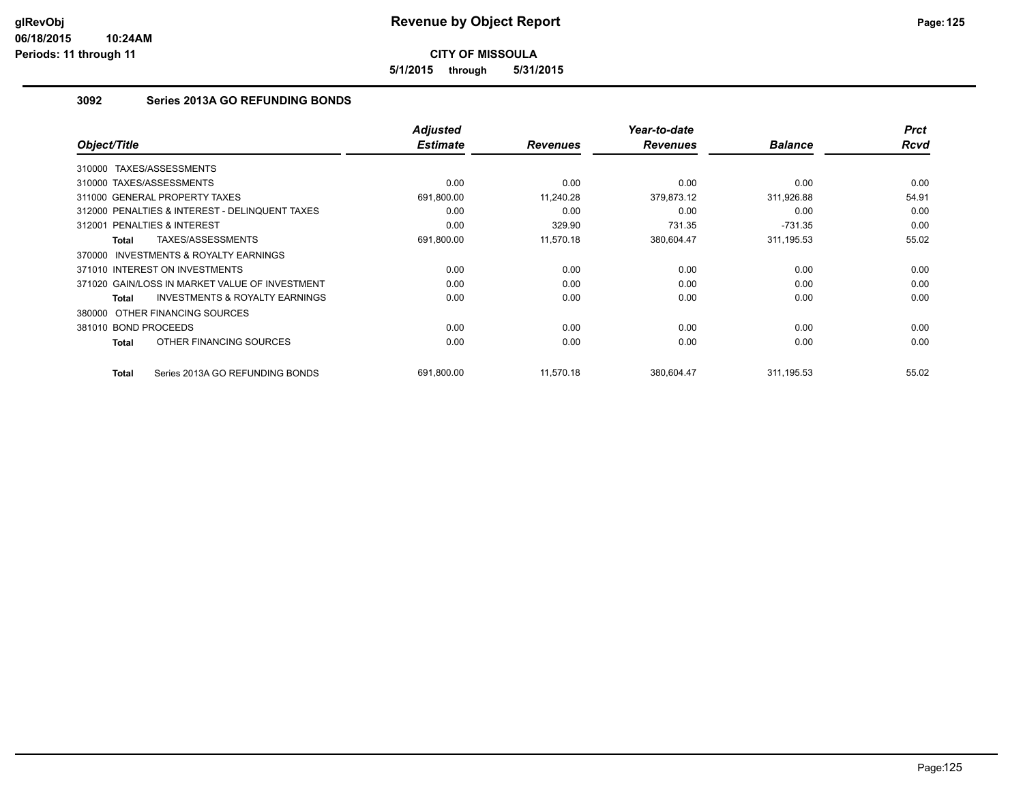**5/1/2015 through 5/31/2015**

## **3092 Series 2013A GO REFUNDING BONDS**

| Object/Title                                              | <b>Adjusted</b><br><b>Estimate</b> | <b>Revenues</b> | Year-to-date<br><b>Revenues</b> | <b>Balance</b> | <b>Prct</b><br><b>Rcvd</b> |
|-----------------------------------------------------------|------------------------------------|-----------------|---------------------------------|----------------|----------------------------|
| TAXES/ASSESSMENTS<br>310000                               |                                    |                 |                                 |                |                            |
| 310000 TAXES/ASSESSMENTS                                  | 0.00                               | 0.00            | 0.00                            | 0.00           | 0.00                       |
| 311000 GENERAL PROPERTY TAXES                             | 691,800.00                         | 11,240.28       | 379,873.12                      | 311,926.88     | 54.91                      |
| 312000 PENALTIES & INTEREST - DELINQUENT TAXES            | 0.00                               | 0.00            | 0.00                            | 0.00           | 0.00                       |
| 312001 PENALTIES & INTEREST                               | 0.00                               | 329.90          | 731.35                          | $-731.35$      | 0.00                       |
| TAXES/ASSESSMENTS<br><b>Total</b>                         | 691,800.00                         | 11,570.18       | 380,604.47                      | 311, 195.53    | 55.02                      |
| <b>INVESTMENTS &amp; ROYALTY EARNINGS</b><br>370000       |                                    |                 |                                 |                |                            |
| 371010 INTEREST ON INVESTMENTS                            | 0.00                               | 0.00            | 0.00                            | 0.00           | 0.00                       |
| 371020 GAIN/LOSS IN MARKET VALUE OF INVESTMENT            | 0.00                               | 0.00            | 0.00                            | 0.00           | 0.00                       |
| <b>INVESTMENTS &amp; ROYALTY EARNINGS</b><br><b>Total</b> | 0.00                               | 0.00            | 0.00                            | 0.00           | 0.00                       |
| 380000 OTHER FINANCING SOURCES                            |                                    |                 |                                 |                |                            |
| 381010 BOND PROCEEDS                                      | 0.00                               | 0.00            | 0.00                            | 0.00           | 0.00                       |
| OTHER FINANCING SOURCES<br><b>Total</b>                   | 0.00                               | 0.00            | 0.00                            | 0.00           | 0.00                       |
| Series 2013A GO REFUNDING BONDS<br><b>Total</b>           | 691.800.00                         | 11,570.18       | 380,604.47                      | 311, 195.53    | 55.02                      |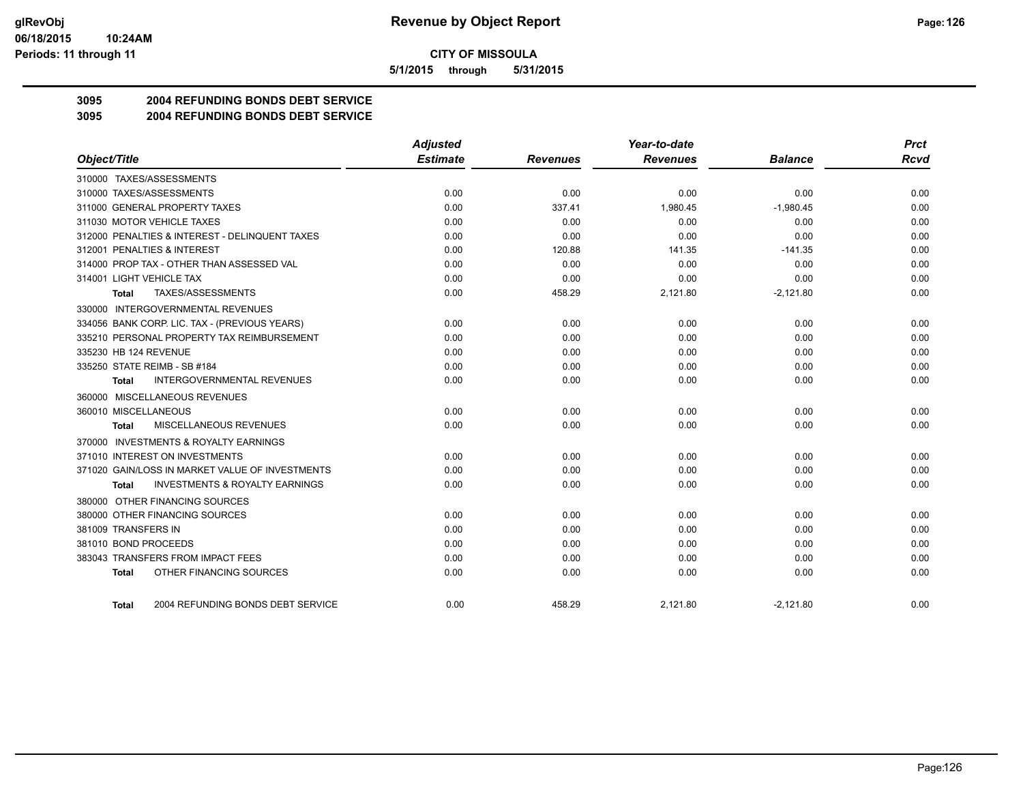**5/1/2015 through 5/31/2015**

## **3095 2004 REFUNDING BONDS DEBT SERVICE**

**3095 2004 REFUNDING BONDS DEBT SERVICE**

| <b>Estimate</b><br>Object/Title<br><b>Revenues</b><br><b>Revenues</b><br>310000 TAXES/ASSESSMENTS<br>310000 TAXES/ASSESSMENTS<br>0.00<br>0.00<br>0.00 | <b>Balance</b><br>0.00<br>$-1,980.45$<br>0.00<br>0.00 | <b>Rcvd</b><br>0.00<br>0.00<br>0.00 |
|-------------------------------------------------------------------------------------------------------------------------------------------------------|-------------------------------------------------------|-------------------------------------|
|                                                                                                                                                       |                                                       |                                     |
|                                                                                                                                                       |                                                       |                                     |
|                                                                                                                                                       |                                                       |                                     |
| 311000 GENERAL PROPERTY TAXES<br>0.00<br>337.41<br>1.980.45                                                                                           |                                                       |                                     |
| 311030 MOTOR VEHICLE TAXES<br>0.00<br>0.00<br>0.00                                                                                                    |                                                       |                                     |
| 312000 PENALTIES & INTEREST - DELINQUENT TAXES<br>0.00<br>0.00<br>0.00                                                                                |                                                       | 0.00                                |
| 312001 PENALTIES & INTEREST<br>0.00<br>120.88<br>141.35                                                                                               | $-141.35$                                             | 0.00                                |
| 314000 PROP TAX - OTHER THAN ASSESSED VAL<br>0.00<br>0.00<br>0.00                                                                                     | 0.00                                                  | 0.00                                |
| 0.00<br>314001 LIGHT VEHICLE TAX<br>0.00<br>0.00                                                                                                      | 0.00                                                  | 0.00                                |
| TAXES/ASSESSMENTS<br>2,121.80<br>0.00<br>458.29<br>Total                                                                                              | $-2,121.80$                                           | 0.00                                |
| 330000 INTERGOVERNMENTAL REVENUES                                                                                                                     |                                                       |                                     |
| 334056 BANK CORP. LIC. TAX - (PREVIOUS YEARS)<br>0.00<br>0.00<br>0.00                                                                                 | 0.00                                                  | 0.00                                |
| 335210 PERSONAL PROPERTY TAX REIMBURSEMENT<br>0.00<br>0.00<br>0.00                                                                                    | 0.00                                                  | 0.00                                |
| 335230 HB 124 REVENUE<br>0.00<br>0.00<br>0.00                                                                                                         | 0.00                                                  | 0.00                                |
| 335250 STATE REIMB - SB #184<br>0.00<br>0.00<br>0.00                                                                                                  | 0.00                                                  | 0.00                                |
| <b>INTERGOVERNMENTAL REVENUES</b><br>0.00<br>0.00<br>0.00<br>Total                                                                                    | 0.00                                                  | 0.00                                |
| 360000 MISCELLANEOUS REVENUES                                                                                                                         |                                                       |                                     |
| 360010 MISCELLANEOUS<br>0.00<br>0.00<br>0.00                                                                                                          | 0.00                                                  | 0.00                                |
| MISCELLANEOUS REVENUES<br>0.00<br>0.00<br>0.00<br>Total                                                                                               | 0.00                                                  | 0.00                                |
| 370000 INVESTMENTS & ROYALTY EARNINGS                                                                                                                 |                                                       |                                     |
| 371010 INTEREST ON INVESTMENTS<br>0.00<br>0.00<br>0.00                                                                                                | 0.00                                                  | 0.00                                |
| 371020 GAIN/LOSS IN MARKET VALUE OF INVESTMENTS<br>0.00<br>0.00<br>0.00                                                                               | 0.00                                                  | 0.00                                |
| <b>INVESTMENTS &amp; ROYALTY EARNINGS</b><br>0.00<br>0.00<br>0.00<br><b>Total</b>                                                                     | 0.00                                                  | 0.00                                |
| 380000 OTHER FINANCING SOURCES                                                                                                                        |                                                       |                                     |
| 380000 OTHER FINANCING SOURCES<br>0.00<br>0.00<br>0.00                                                                                                | 0.00                                                  | 0.00                                |
| 381009 TRANSFERS IN<br>0.00<br>0.00<br>0.00                                                                                                           | 0.00                                                  | 0.00                                |
| 381010 BOND PROCEEDS<br>0.00<br>0.00<br>0.00                                                                                                          | 0.00                                                  | 0.00                                |
| 383043 TRANSFERS FROM IMPACT FEES<br>0.00<br>0.00<br>0.00                                                                                             | 0.00                                                  | 0.00                                |
| OTHER FINANCING SOURCES<br>0.00<br>0.00<br>0.00<br><b>Total</b>                                                                                       | 0.00                                                  | 0.00                                |
| 0.00<br>458.29<br>2.121.80<br>2004 REFUNDING BONDS DEBT SERVICE<br><b>Total</b>                                                                       | $-2.121.80$                                           | 0.00                                |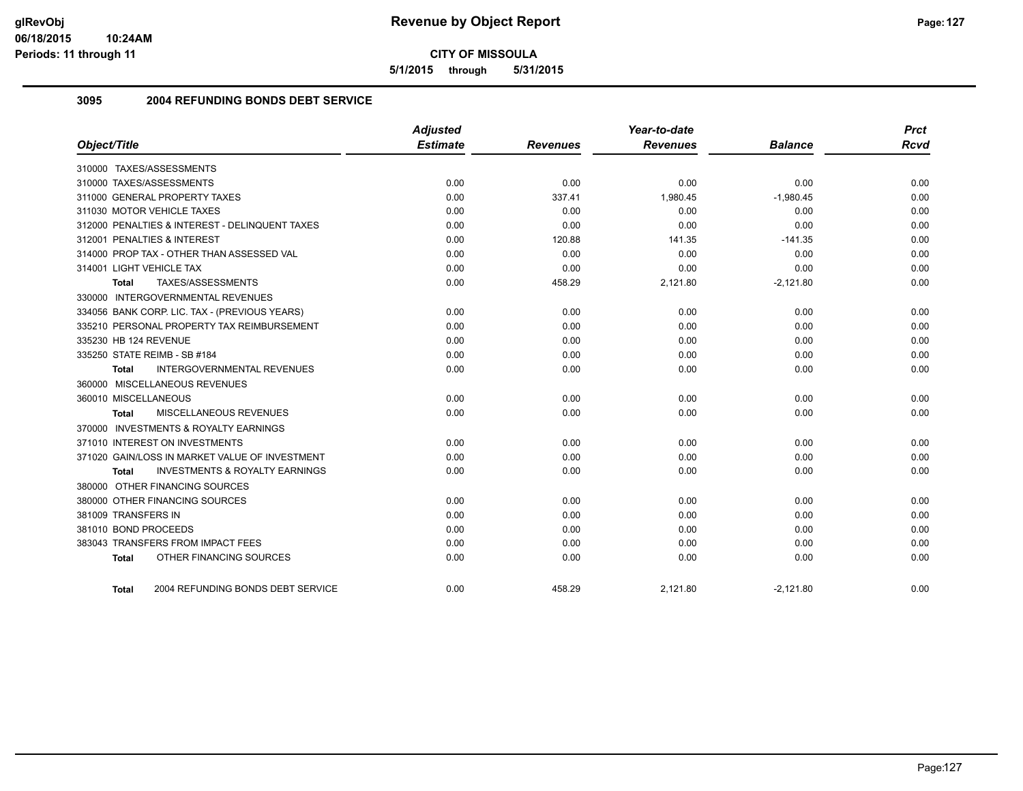**5/1/2015 through 5/31/2015**

## **3095 2004 REFUNDING BONDS DEBT SERVICE**

|                                                    | <b>Adjusted</b> |                 | Year-to-date    |                | <b>Prct</b> |
|----------------------------------------------------|-----------------|-----------------|-----------------|----------------|-------------|
| Object/Title                                       | <b>Estimate</b> | <b>Revenues</b> | <b>Revenues</b> | <b>Balance</b> | <b>Rcvd</b> |
| 310000 TAXES/ASSESSMENTS                           |                 |                 |                 |                |             |
| 310000 TAXES/ASSESSMENTS                           | 0.00            | 0.00            | 0.00            | 0.00           | 0.00        |
| 311000 GENERAL PROPERTY TAXES                      | 0.00            | 337.41          | 1,980.45        | $-1,980.45$    | 0.00        |
| 311030 MOTOR VEHICLE TAXES                         | 0.00            | 0.00            | 0.00            | 0.00           | 0.00        |
| 312000 PENALTIES & INTEREST - DELINQUENT TAXES     | 0.00            | 0.00            | 0.00            | 0.00           | 0.00        |
| 312001 PENALTIES & INTEREST                        | 0.00            | 120.88          | 141.35          | $-141.35$      | 0.00        |
| 314000 PROP TAX - OTHER THAN ASSESSED VAL          | 0.00            | 0.00            | 0.00            | 0.00           | 0.00        |
| 314001 LIGHT VEHICLE TAX                           | 0.00            | 0.00            | 0.00            | 0.00           | 0.00        |
| TAXES/ASSESSMENTS<br>Total                         | 0.00            | 458.29          | 2,121.80        | $-2,121.80$    | 0.00        |
| 330000 INTERGOVERNMENTAL REVENUES                  |                 |                 |                 |                |             |
| 334056 BANK CORP. LIC. TAX - (PREVIOUS YEARS)      | 0.00            | 0.00            | 0.00            | 0.00           | 0.00        |
| 335210 PERSONAL PROPERTY TAX REIMBURSEMENT         | 0.00            | 0.00            | 0.00            | 0.00           | 0.00        |
| 335230 HB 124 REVENUE                              | 0.00            | 0.00            | 0.00            | 0.00           | 0.00        |
| 335250 STATE REIMB - SB #184                       | 0.00            | 0.00            | 0.00            | 0.00           | 0.00        |
| <b>INTERGOVERNMENTAL REVENUES</b><br>Total         | 0.00            | 0.00            | 0.00            | 0.00           | 0.00        |
| 360000 MISCELLANEOUS REVENUES                      |                 |                 |                 |                |             |
| 360010 MISCELLANEOUS                               | 0.00            | 0.00            | 0.00            | 0.00           | 0.00        |
| MISCELLANEOUS REVENUES<br>Total                    | 0.00            | 0.00            | 0.00            | 0.00           | 0.00        |
| 370000 INVESTMENTS & ROYALTY EARNINGS              |                 |                 |                 |                |             |
| 371010 INTEREST ON INVESTMENTS                     | 0.00            | 0.00            | 0.00            | 0.00           | 0.00        |
| 371020 GAIN/LOSS IN MARKET VALUE OF INVESTMENT     | 0.00            | 0.00            | 0.00            | 0.00           | 0.00        |
| <b>INVESTMENTS &amp; ROYALTY EARNINGS</b><br>Total | 0.00            | 0.00            | 0.00            | 0.00           | 0.00        |
| 380000 OTHER FINANCING SOURCES                     |                 |                 |                 |                |             |
| 380000 OTHER FINANCING SOURCES                     | 0.00            | 0.00            | 0.00            | 0.00           | 0.00        |
| 381009 TRANSFERS IN                                | 0.00            | 0.00            | 0.00            | 0.00           | 0.00        |
| 381010 BOND PROCEEDS                               | 0.00            | 0.00            | 0.00            | 0.00           | 0.00        |
| 383043 TRANSFERS FROM IMPACT FEES                  | 0.00            | 0.00            | 0.00            | 0.00           | 0.00        |
| OTHER FINANCING SOURCES<br><b>Total</b>            | 0.00            | 0.00            | 0.00            | 0.00           | 0.00        |
| 2004 REFUNDING BONDS DEBT SERVICE<br><b>Total</b>  | 0.00            | 458.29          | 2,121.80        | $-2,121.80$    | 0.00        |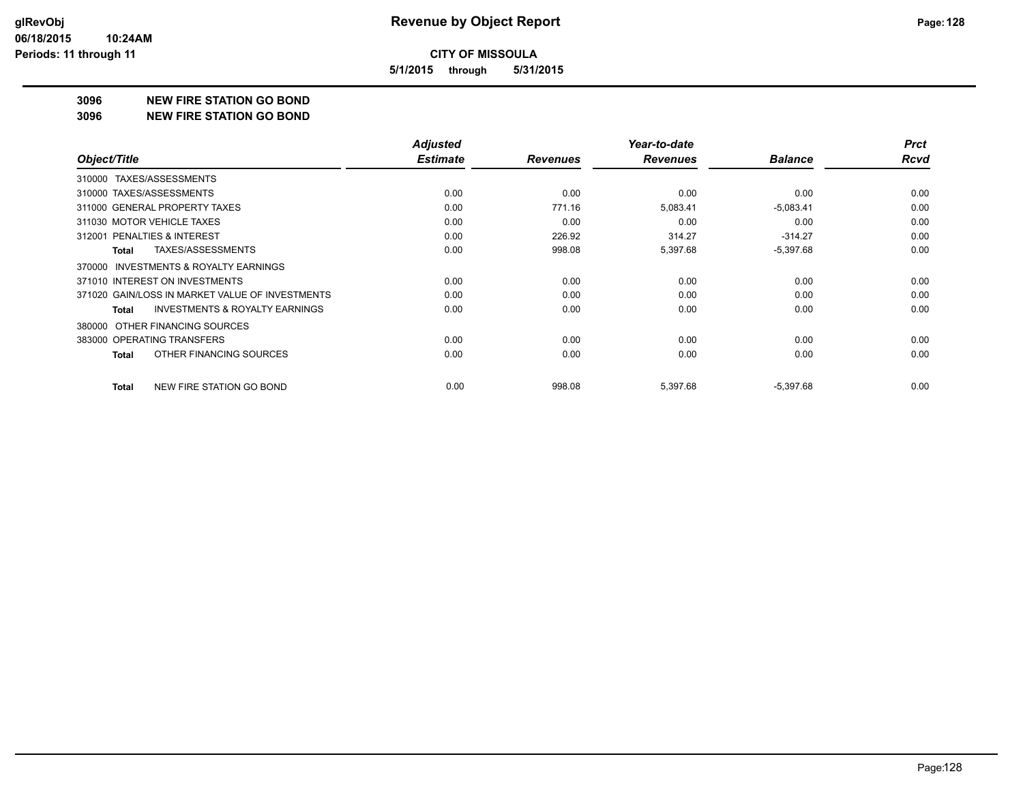**5/1/2015 through 5/31/2015**

#### **3096 NEW FIRE STATION GO BOND**

**3096 NEW FIRE STATION GO BOND**

|                                                    | <b>Adjusted</b> |                 | Year-to-date    |                | <b>Prct</b> |
|----------------------------------------------------|-----------------|-----------------|-----------------|----------------|-------------|
| Object/Title                                       | <b>Estimate</b> | <b>Revenues</b> | <b>Revenues</b> | <b>Balance</b> | <b>Rcvd</b> |
| TAXES/ASSESSMENTS<br>310000                        |                 |                 |                 |                |             |
| 310000 TAXES/ASSESSMENTS                           | 0.00            | 0.00            | 0.00            | 0.00           | 0.00        |
| 311000 GENERAL PROPERTY TAXES                      | 0.00            | 771.16          | 5,083.41        | $-5,083.41$    | 0.00        |
| 311030 MOTOR VEHICLE TAXES                         | 0.00            | 0.00            | 0.00            | 0.00           | 0.00        |
| 312001 PENALTIES & INTEREST                        | 0.00            | 226.92          | 314.27          | $-314.27$      | 0.00        |
| TAXES/ASSESSMENTS<br><b>Total</b>                  | 0.00            | 998.08          | 5,397.68        | $-5,397.68$    | 0.00        |
| 370000 INVESTMENTS & ROYALTY EARNINGS              |                 |                 |                 |                |             |
| 371010 INTEREST ON INVESTMENTS                     | 0.00            | 0.00            | 0.00            | 0.00           | 0.00        |
| 371020 GAIN/LOSS IN MARKET VALUE OF INVESTMENTS    | 0.00            | 0.00            | 0.00            | 0.00           | 0.00        |
| <b>INVESTMENTS &amp; ROYALTY EARNINGS</b><br>Total | 0.00            | 0.00            | 0.00            | 0.00           | 0.00        |
| OTHER FINANCING SOURCES<br>380000                  |                 |                 |                 |                |             |
| 383000 OPERATING TRANSFERS                         | 0.00            | 0.00            | 0.00            | 0.00           | 0.00        |
| OTHER FINANCING SOURCES<br>Total                   | 0.00            | 0.00            | 0.00            | 0.00           | 0.00        |
| NEW FIRE STATION GO BOND<br><b>Total</b>           | 0.00            | 998.08          | 5,397.68        | $-5,397.68$    | 0.00        |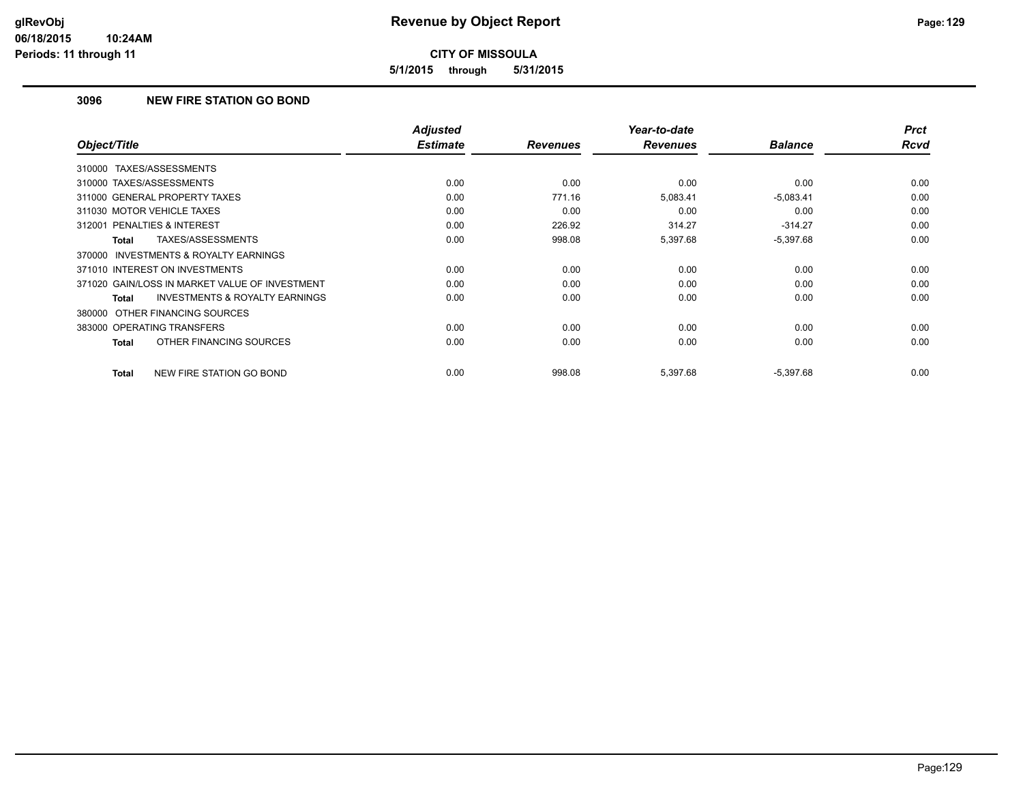**5/1/2015 through 5/31/2015**

## **3096 NEW FIRE STATION GO BOND**

| Object/Title                                              | <b>Adjusted</b><br><b>Estimate</b> | <b>Revenues</b> | Year-to-date<br><b>Revenues</b> | <b>Balance</b> | <b>Prct</b><br><b>Rcvd</b> |
|-----------------------------------------------------------|------------------------------------|-----------------|---------------------------------|----------------|----------------------------|
| TAXES/ASSESSMENTS<br>310000                               |                                    |                 |                                 |                |                            |
| 310000 TAXES/ASSESSMENTS                                  | 0.00                               | 0.00            | 0.00                            | 0.00           | 0.00                       |
| 311000 GENERAL PROPERTY TAXES                             | 0.00                               | 771.16          | 5,083.41                        | $-5,083.41$    | 0.00                       |
| 311030 MOTOR VEHICLE TAXES                                | 0.00                               | 0.00            | 0.00                            | 0.00           | 0.00                       |
| 312001 PENALTIES & INTEREST                               | 0.00                               | 226.92          | 314.27                          | $-314.27$      | 0.00                       |
| TAXES/ASSESSMENTS<br><b>Total</b>                         | 0.00                               | 998.08          | 5,397.68                        | $-5,397.68$    | 0.00                       |
| <b>INVESTMENTS &amp; ROYALTY EARNINGS</b><br>370000       |                                    |                 |                                 |                |                            |
| 371010 INTEREST ON INVESTMENTS                            | 0.00                               | 0.00            | 0.00                            | 0.00           | 0.00                       |
| 371020 GAIN/LOSS IN MARKET VALUE OF INVESTMENT            | 0.00                               | 0.00            | 0.00                            | 0.00           | 0.00                       |
| <b>INVESTMENTS &amp; ROYALTY EARNINGS</b><br><b>Total</b> | 0.00                               | 0.00            | 0.00                            | 0.00           | 0.00                       |
| 380000 OTHER FINANCING SOURCES                            |                                    |                 |                                 |                |                            |
| 383000 OPERATING TRANSFERS                                | 0.00                               | 0.00            | 0.00                            | 0.00           | 0.00                       |
| OTHER FINANCING SOURCES<br><b>Total</b>                   | 0.00                               | 0.00            | 0.00                            | 0.00           | 0.00                       |
| NEW FIRE STATION GO BOND<br><b>Total</b>                  | 0.00                               | 998.08          | 5,397.68                        | $-5,397.68$    | 0.00                       |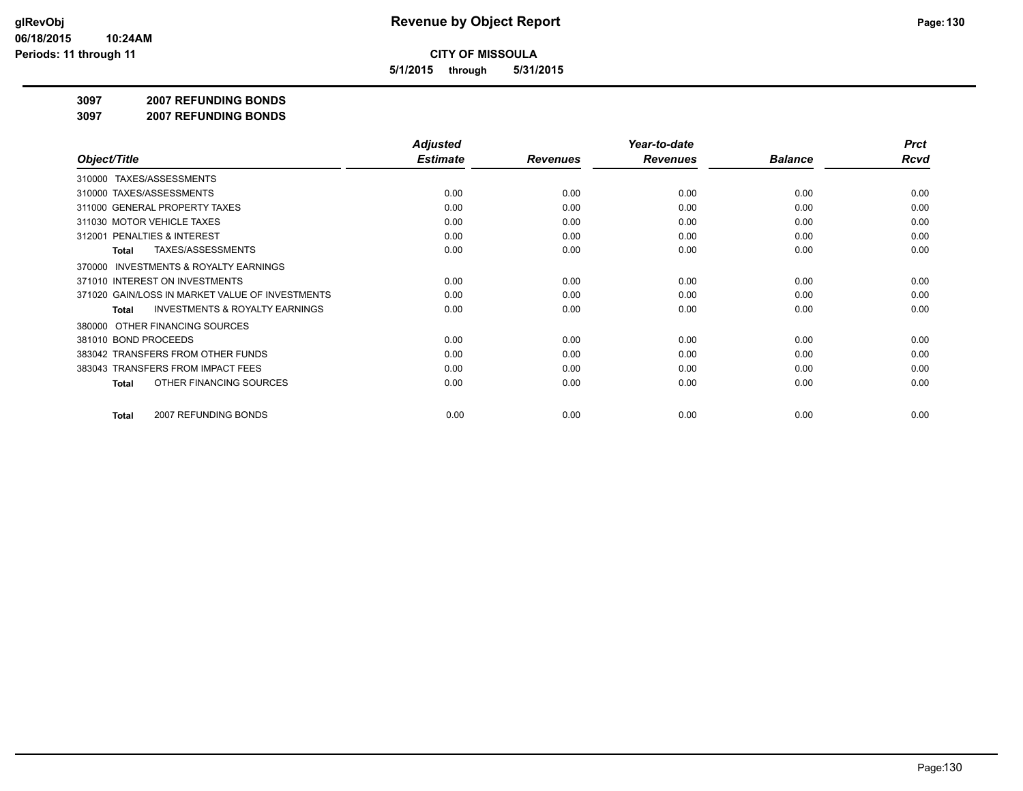**5/1/2015 through 5/31/2015**

#### **3097 2007 REFUNDING BONDS**

**3097 2007 REFUNDING BONDS**

|                                                     | <b>Adjusted</b> |                 | Year-to-date    |                | <b>Prct</b> |
|-----------------------------------------------------|-----------------|-----------------|-----------------|----------------|-------------|
| Object/Title                                        | <b>Estimate</b> | <b>Revenues</b> | <b>Revenues</b> | <b>Balance</b> | <b>Rcvd</b> |
| 310000 TAXES/ASSESSMENTS                            |                 |                 |                 |                |             |
| 310000 TAXES/ASSESSMENTS                            | 0.00            | 0.00            | 0.00            | 0.00           | 0.00        |
| 311000 GENERAL PROPERTY TAXES                       | 0.00            | 0.00            | 0.00            | 0.00           | 0.00        |
| 311030 MOTOR VEHICLE TAXES                          | 0.00            | 0.00            | 0.00            | 0.00           | 0.00        |
| 312001 PENALTIES & INTEREST                         | 0.00            | 0.00            | 0.00            | 0.00           | 0.00        |
| TAXES/ASSESSMENTS<br>Total                          | 0.00            | 0.00            | 0.00            | 0.00           | 0.00        |
| <b>INVESTMENTS &amp; ROYALTY EARNINGS</b><br>370000 |                 |                 |                 |                |             |
| 371010 INTEREST ON INVESTMENTS                      | 0.00            | 0.00            | 0.00            | 0.00           | 0.00        |
| 371020 GAIN/LOSS IN MARKET VALUE OF INVESTMENTS     | 0.00            | 0.00            | 0.00            | 0.00           | 0.00        |
| <b>INVESTMENTS &amp; ROYALTY EARNINGS</b><br>Total  | 0.00            | 0.00            | 0.00            | 0.00           | 0.00        |
| OTHER FINANCING SOURCES<br>380000                   |                 |                 |                 |                |             |
| 381010 BOND PROCEEDS                                | 0.00            | 0.00            | 0.00            | 0.00           | 0.00        |
| 383042 TRANSFERS FROM OTHER FUNDS                   | 0.00            | 0.00            | 0.00            | 0.00           | 0.00        |
| 383043 TRANSFERS FROM IMPACT FEES                   | 0.00            | 0.00            | 0.00            | 0.00           | 0.00        |
| OTHER FINANCING SOURCES<br>Total                    | 0.00            | 0.00            | 0.00            | 0.00           | 0.00        |
|                                                     |                 |                 |                 |                |             |
| 2007 REFUNDING BONDS<br>Total                       | 0.00            | 0.00            | 0.00            | 0.00           | 0.00        |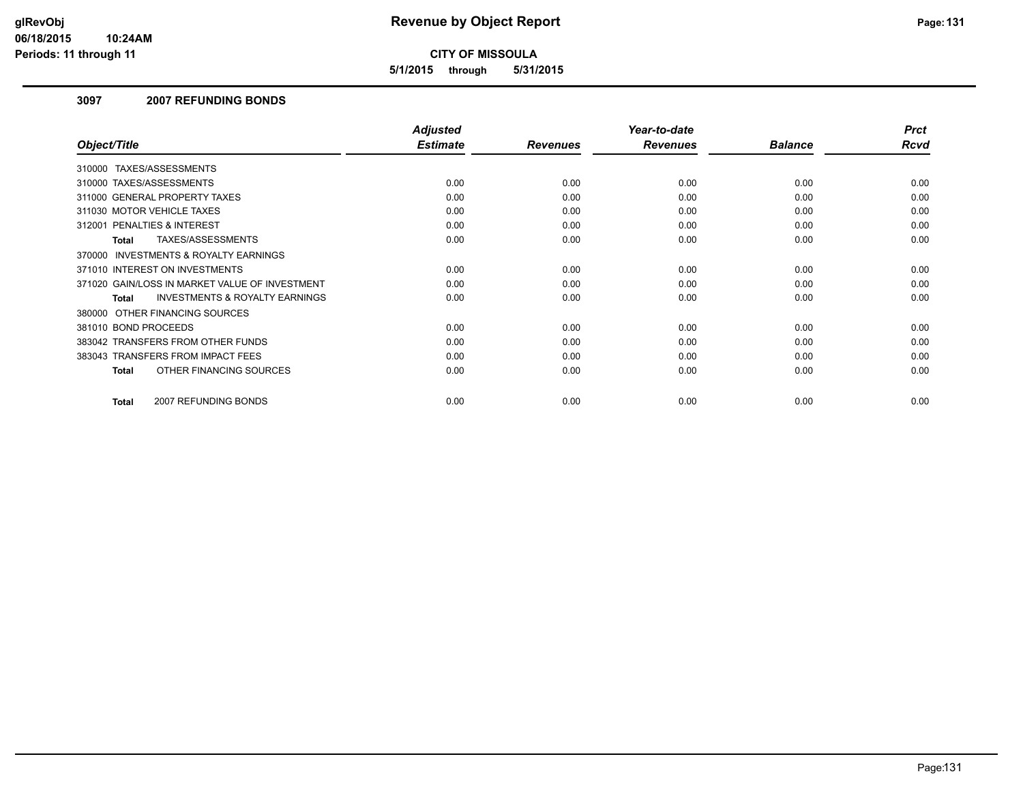**5/1/2015 through 5/31/2015**

#### **3097 2007 REFUNDING BONDS**

|                                                     | <b>Adjusted</b> |                 | Year-to-date    |                | <b>Prct</b> |
|-----------------------------------------------------|-----------------|-----------------|-----------------|----------------|-------------|
| Object/Title                                        | <b>Estimate</b> | <b>Revenues</b> | <b>Revenues</b> | <b>Balance</b> | <b>Rcvd</b> |
| TAXES/ASSESSMENTS<br>310000                         |                 |                 |                 |                |             |
| 310000 TAXES/ASSESSMENTS                            | 0.00            | 0.00            | 0.00            | 0.00           | 0.00        |
| 311000 GENERAL PROPERTY TAXES                       | 0.00            | 0.00            | 0.00            | 0.00           | 0.00        |
| 311030 MOTOR VEHICLE TAXES                          | 0.00            | 0.00            | 0.00            | 0.00           | 0.00        |
| 312001 PENALTIES & INTEREST                         | 0.00            | 0.00            | 0.00            | 0.00           | 0.00        |
| TAXES/ASSESSMENTS<br>Total                          | 0.00            | 0.00            | 0.00            | 0.00           | 0.00        |
| <b>INVESTMENTS &amp; ROYALTY EARNINGS</b><br>370000 |                 |                 |                 |                |             |
| 371010 INTEREST ON INVESTMENTS                      | 0.00            | 0.00            | 0.00            | 0.00           | 0.00        |
| 371020 GAIN/LOSS IN MARKET VALUE OF INVESTMENT      | 0.00            | 0.00            | 0.00            | 0.00           | 0.00        |
| <b>INVESTMENTS &amp; ROYALTY EARNINGS</b><br>Total  | 0.00            | 0.00            | 0.00            | 0.00           | 0.00        |
| 380000 OTHER FINANCING SOURCES                      |                 |                 |                 |                |             |
| 381010 BOND PROCEEDS                                | 0.00            | 0.00            | 0.00            | 0.00           | 0.00        |
| 383042 TRANSFERS FROM OTHER FUNDS                   | 0.00            | 0.00            | 0.00            | 0.00           | 0.00        |
| 383043 TRANSFERS FROM IMPACT FEES                   | 0.00            | 0.00            | 0.00            | 0.00           | 0.00        |
| OTHER FINANCING SOURCES<br><b>Total</b>             | 0.00            | 0.00            | 0.00            | 0.00           | 0.00        |
| 2007 REFUNDING BONDS<br>Total                       | 0.00            | 0.00            | 0.00            | 0.00           | 0.00        |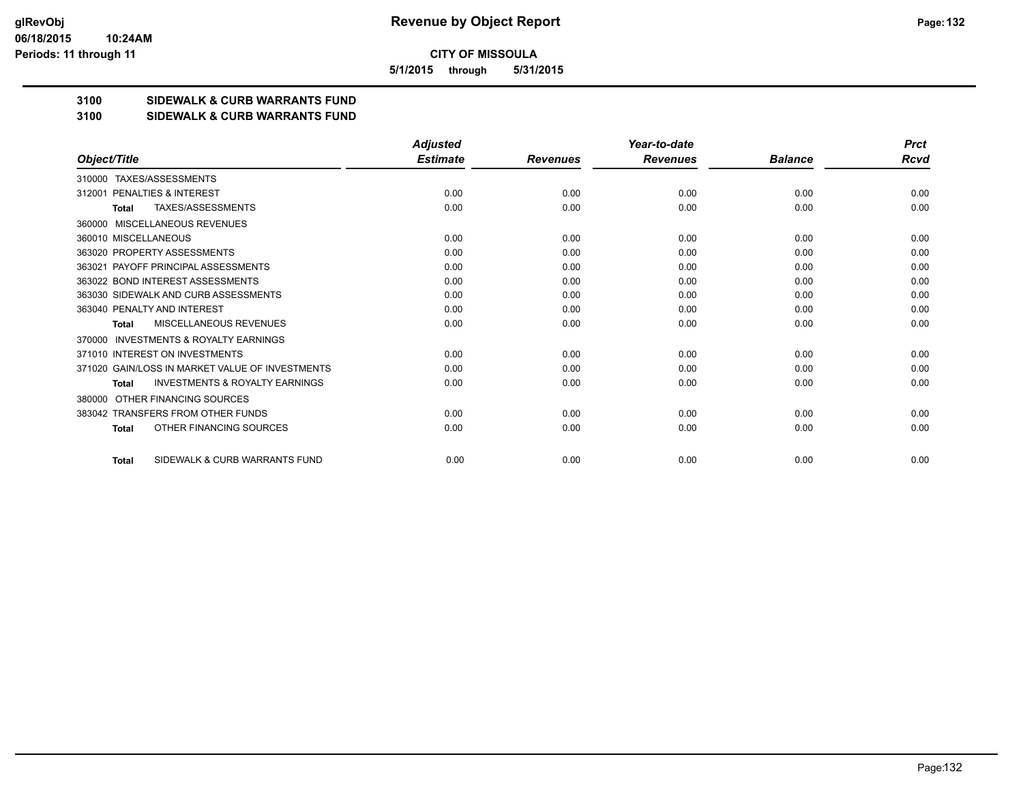**5/1/2015 through 5/31/2015**

## **3100 SIDEWALK & CURB WARRANTS FUND**

#### **3100 SIDEWALK & CURB WARRANTS FUND**

|                                                           | <b>Adjusted</b> |                 | Year-to-date    |                | <b>Prct</b> |
|-----------------------------------------------------------|-----------------|-----------------|-----------------|----------------|-------------|
| Object/Title                                              | <b>Estimate</b> | <b>Revenues</b> | <b>Revenues</b> | <b>Balance</b> | Rcvd        |
| TAXES/ASSESSMENTS<br>310000                               |                 |                 |                 |                |             |
| PENALTIES & INTEREST<br>312001                            | 0.00            | 0.00            | 0.00            | 0.00           | 0.00        |
| TAXES/ASSESSMENTS<br><b>Total</b>                         | 0.00            | 0.00            | 0.00            | 0.00           | 0.00        |
| MISCELLANEOUS REVENUES<br>360000                          |                 |                 |                 |                |             |
| 360010 MISCELLANEOUS                                      | 0.00            | 0.00            | 0.00            | 0.00           | 0.00        |
| 363020 PROPERTY ASSESSMENTS                               | 0.00            | 0.00            | 0.00            | 0.00           | 0.00        |
| 363021 PAYOFF PRINCIPAL ASSESSMENTS                       | 0.00            | 0.00            | 0.00            | 0.00           | 0.00        |
| 363022 BOND INTEREST ASSESSMENTS                          | 0.00            | 0.00            | 0.00            | 0.00           | 0.00        |
| 363030 SIDEWALK AND CURB ASSESSMENTS                      | 0.00            | 0.00            | 0.00            | 0.00           | 0.00        |
| 363040 PENALTY AND INTEREST                               | 0.00            | 0.00            | 0.00            | 0.00           | 0.00        |
| MISCELLANEOUS REVENUES<br><b>Total</b>                    | 0.00            | 0.00            | 0.00            | 0.00           | 0.00        |
| <b>INVESTMENTS &amp; ROYALTY EARNINGS</b><br>370000       |                 |                 |                 |                |             |
| 371010 INTEREST ON INVESTMENTS                            | 0.00            | 0.00            | 0.00            | 0.00           | 0.00        |
| 371020 GAIN/LOSS IN MARKET VALUE OF INVESTMENTS           | 0.00            | 0.00            | 0.00            | 0.00           | 0.00        |
| <b>INVESTMENTS &amp; ROYALTY EARNINGS</b><br><b>Total</b> | 0.00            | 0.00            | 0.00            | 0.00           | 0.00        |
| OTHER FINANCING SOURCES<br>380000                         |                 |                 |                 |                |             |
| 383042 TRANSFERS FROM OTHER FUNDS                         | 0.00            | 0.00            | 0.00            | 0.00           | 0.00        |
| OTHER FINANCING SOURCES<br><b>Total</b>                   | 0.00            | 0.00            | 0.00            | 0.00           | 0.00        |
| SIDEWALK & CURB WARRANTS FUND<br><b>Total</b>             | 0.00            | 0.00            | 0.00            | 0.00           | 0.00        |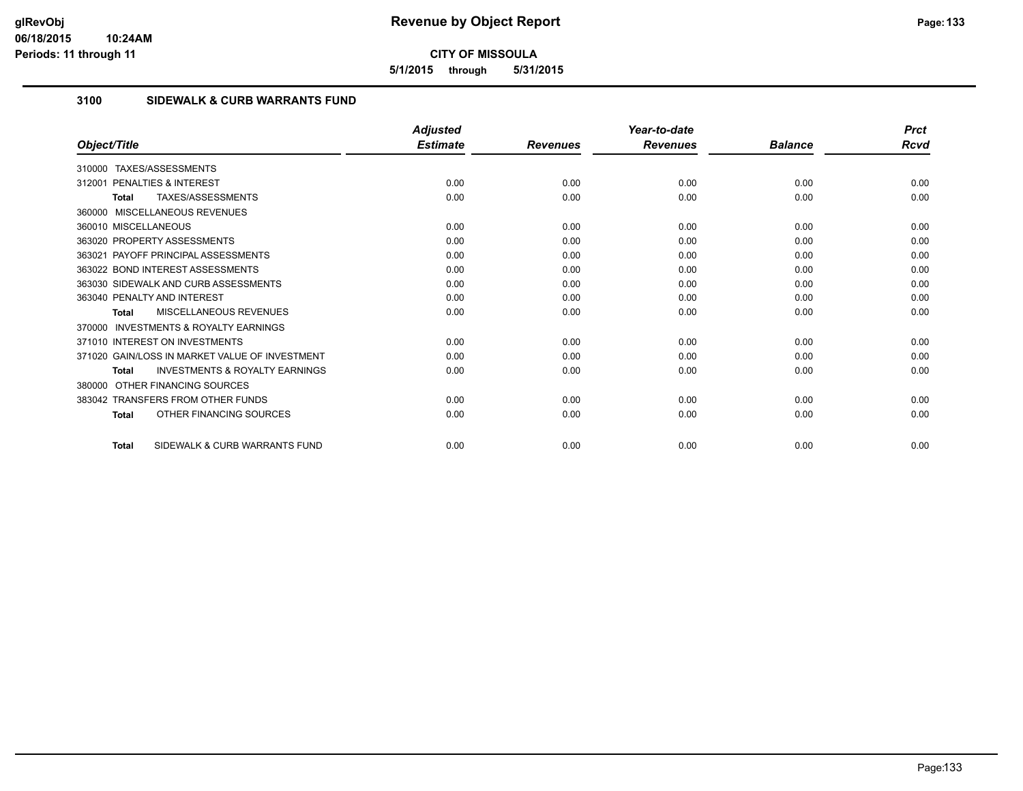**5/1/2015 through 5/31/2015**

## **3100 SIDEWALK & CURB WARRANTS FUND**

|                                                           | <b>Adjusted</b> |                 | Year-to-date    |                | <b>Prct</b> |
|-----------------------------------------------------------|-----------------|-----------------|-----------------|----------------|-------------|
| Object/Title                                              | <b>Estimate</b> | <b>Revenues</b> | <b>Revenues</b> | <b>Balance</b> | Rcvd        |
| TAXES/ASSESSMENTS<br>310000                               |                 |                 |                 |                |             |
| <b>PENALTIES &amp; INTEREST</b><br>312001                 | 0.00            | 0.00            | 0.00            | 0.00           | 0.00        |
| TAXES/ASSESSMENTS<br><b>Total</b>                         | 0.00            | 0.00            | 0.00            | 0.00           | 0.00        |
| 360000 MISCELLANEOUS REVENUES                             |                 |                 |                 |                |             |
| 360010 MISCELLANEOUS                                      | 0.00            | 0.00            | 0.00            | 0.00           | 0.00        |
| 363020 PROPERTY ASSESSMENTS                               | 0.00            | 0.00            | 0.00            | 0.00           | 0.00        |
| 363021 PAYOFF PRINCIPAL ASSESSMENTS                       | 0.00            | 0.00            | 0.00            | 0.00           | 0.00        |
| 363022 BOND INTEREST ASSESSMENTS                          | 0.00            | 0.00            | 0.00            | 0.00           | 0.00        |
| 363030 SIDEWALK AND CURB ASSESSMENTS                      | 0.00            | 0.00            | 0.00            | 0.00           | 0.00        |
| 363040 PENALTY AND INTEREST                               | 0.00            | 0.00            | 0.00            | 0.00           | 0.00        |
| <b>MISCELLANEOUS REVENUES</b><br><b>Total</b>             | 0.00            | 0.00            | 0.00            | 0.00           | 0.00        |
| <b>INVESTMENTS &amp; ROYALTY EARNINGS</b><br>370000       |                 |                 |                 |                |             |
| 371010 INTEREST ON INVESTMENTS                            | 0.00            | 0.00            | 0.00            | 0.00           | 0.00        |
| 371020 GAIN/LOSS IN MARKET VALUE OF INVESTMENT            | 0.00            | 0.00            | 0.00            | 0.00           | 0.00        |
| <b>INVESTMENTS &amp; ROYALTY EARNINGS</b><br><b>Total</b> | 0.00            | 0.00            | 0.00            | 0.00           | 0.00        |
| OTHER FINANCING SOURCES<br>380000                         |                 |                 |                 |                |             |
| 383042 TRANSFERS FROM OTHER FUNDS                         | 0.00            | 0.00            | 0.00            | 0.00           | 0.00        |
| OTHER FINANCING SOURCES<br><b>Total</b>                   | 0.00            | 0.00            | 0.00            | 0.00           | 0.00        |
| SIDEWALK & CURB WARRANTS FUND<br><b>Total</b>             | 0.00            | 0.00            | 0.00            | 0.00           | 0.00        |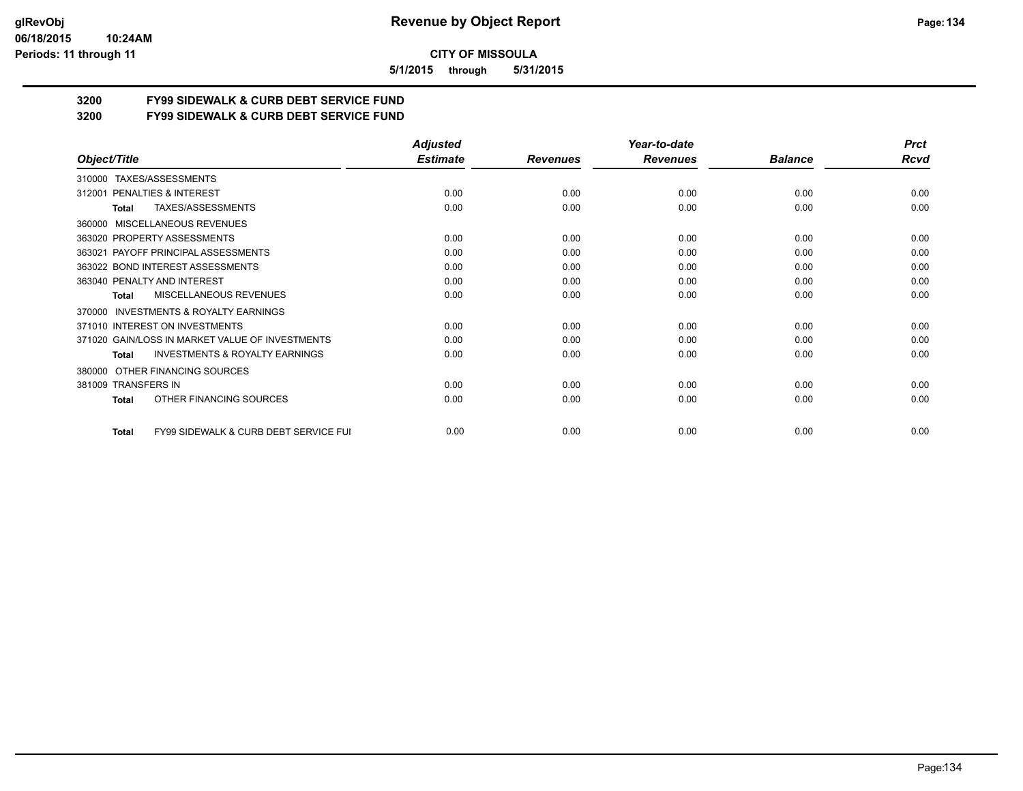#### **06/18/2015 10:24AM Periods: 11 through 11**

**CITY OF MISSOULA**

**5/1/2015 through 5/31/2015**

# **3200 FY99 SIDEWALK & CURB DEBT SERVICE FUND**

**3200 FY99 SIDEWALK & CURB DEBT SERVICE FUND**

|                                                                  | <b>Adjusted</b> |                 | Year-to-date    |                | <b>Prct</b> |
|------------------------------------------------------------------|-----------------|-----------------|-----------------|----------------|-------------|
| Object/Title                                                     | <b>Estimate</b> | <b>Revenues</b> | <b>Revenues</b> | <b>Balance</b> | Rcvd        |
| TAXES/ASSESSMENTS<br>310000                                      |                 |                 |                 |                |             |
| PENALTIES & INTEREST<br>312001                                   | 0.00            | 0.00            | 0.00            | 0.00           | 0.00        |
| TAXES/ASSESSMENTS<br>Total                                       | 0.00            | 0.00            | 0.00            | 0.00           | 0.00        |
| MISCELLANEOUS REVENUES<br>360000                                 |                 |                 |                 |                |             |
| 363020 PROPERTY ASSESSMENTS                                      | 0.00            | 0.00            | 0.00            | 0.00           | 0.00        |
| 363021 PAYOFF PRINCIPAL ASSESSMENTS                              | 0.00            | 0.00            | 0.00            | 0.00           | 0.00        |
| 363022 BOND INTEREST ASSESSMENTS                                 | 0.00            | 0.00            | 0.00            | 0.00           | 0.00        |
| 363040 PENALTY AND INTEREST                                      | 0.00            | 0.00            | 0.00            | 0.00           | 0.00        |
| <b>MISCELLANEOUS REVENUES</b><br>Total                           | 0.00            | 0.00            | 0.00            | 0.00           | 0.00        |
| INVESTMENTS & ROYALTY EARNINGS<br>370000                         |                 |                 |                 |                |             |
| 371010 INTEREST ON INVESTMENTS                                   | 0.00            | 0.00            | 0.00            | 0.00           | 0.00        |
| 371020 GAIN/LOSS IN MARKET VALUE OF INVESTMENTS                  | 0.00            | 0.00            | 0.00            | 0.00           | 0.00        |
| <b>INVESTMENTS &amp; ROYALTY EARNINGS</b><br><b>Total</b>        | 0.00            | 0.00            | 0.00            | 0.00           | 0.00        |
| OTHER FINANCING SOURCES<br>380000                                |                 |                 |                 |                |             |
| 381009 TRANSFERS IN                                              | 0.00            | 0.00            | 0.00            | 0.00           | 0.00        |
| OTHER FINANCING SOURCES<br><b>Total</b>                          | 0.00            | 0.00            | 0.00            | 0.00           | 0.00        |
| <b>FY99 SIDEWALK &amp; CURB DEBT SERVICE FUI</b><br><b>Total</b> | 0.00            | 0.00            | 0.00            | 0.00           | 0.00        |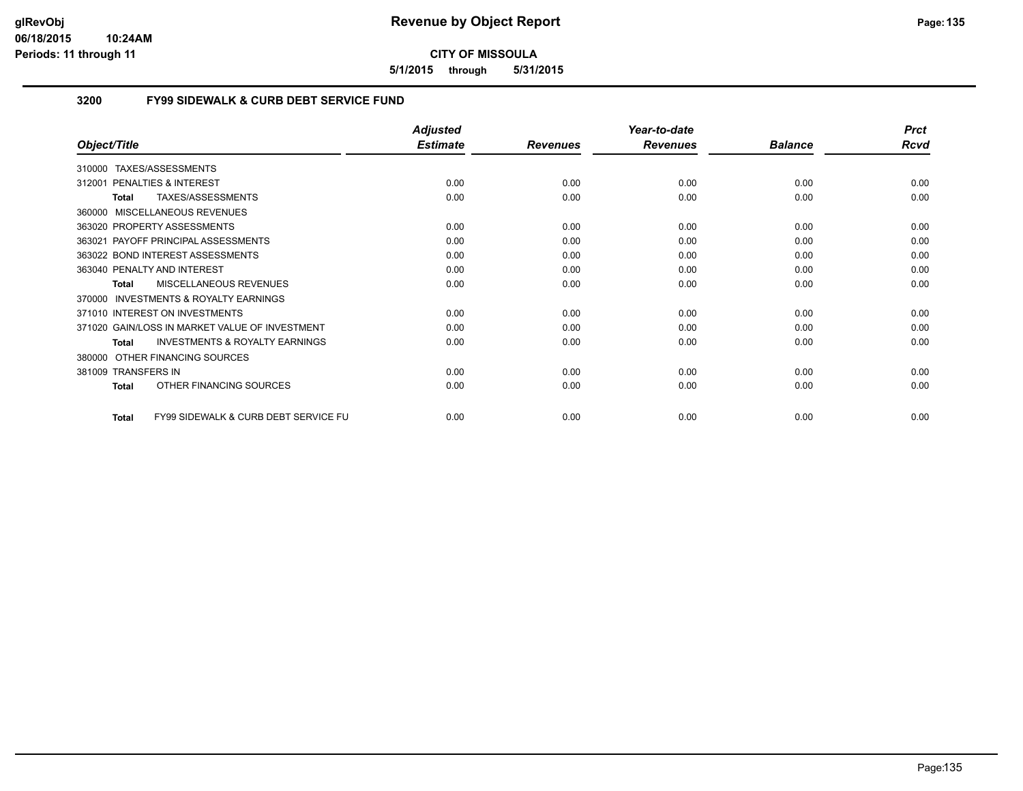**5/1/2015 through 5/31/2015**

## **3200 FY99 SIDEWALK & CURB DEBT SERVICE FUND**

|                                                                 | <b>Adjusted</b> |                 | Year-to-date    |                | <b>Prct</b> |
|-----------------------------------------------------------------|-----------------|-----------------|-----------------|----------------|-------------|
| Object/Title                                                    | <b>Estimate</b> | <b>Revenues</b> | <b>Revenues</b> | <b>Balance</b> | Rcvd        |
| <b>TAXES/ASSESSMENTS</b><br>310000                              |                 |                 |                 |                |             |
| 312001 PENALTIES & INTEREST                                     | 0.00            | 0.00            | 0.00            | 0.00           | 0.00        |
| TAXES/ASSESSMENTS<br><b>Total</b>                               | 0.00            | 0.00            | 0.00            | 0.00           | 0.00        |
| 360000 MISCELLANEOUS REVENUES                                   |                 |                 |                 |                |             |
| 363020 PROPERTY ASSESSMENTS                                     | 0.00            | 0.00            | 0.00            | 0.00           | 0.00        |
| 363021 PAYOFF PRINCIPAL ASSESSMENTS                             | 0.00            | 0.00            | 0.00            | 0.00           | 0.00        |
| 363022 BOND INTEREST ASSESSMENTS                                | 0.00            | 0.00            | 0.00            | 0.00           | 0.00        |
| 363040 PENALTY AND INTEREST                                     | 0.00            | 0.00            | 0.00            | 0.00           | 0.00        |
| <b>MISCELLANEOUS REVENUES</b><br>Total                          | 0.00            | 0.00            | 0.00            | 0.00           | 0.00        |
| 370000 INVESTMENTS & ROYALTY EARNINGS                           |                 |                 |                 |                |             |
| 371010 INTEREST ON INVESTMENTS                                  | 0.00            | 0.00            | 0.00            | 0.00           | 0.00        |
| 371020 GAIN/LOSS IN MARKET VALUE OF INVESTMENT                  | 0.00            | 0.00            | 0.00            | 0.00           | 0.00        |
| <b>INVESTMENTS &amp; ROYALTY EARNINGS</b><br><b>Total</b>       | 0.00            | 0.00            | 0.00            | 0.00           | 0.00        |
| OTHER FINANCING SOURCES<br>380000                               |                 |                 |                 |                |             |
| 381009 TRANSFERS IN                                             | 0.00            | 0.00            | 0.00            | 0.00           | 0.00        |
| OTHER FINANCING SOURCES<br><b>Total</b>                         | 0.00            | 0.00            | 0.00            | 0.00           | 0.00        |
| <b>FY99 SIDEWALK &amp; CURB DEBT SERVICE FU</b><br><b>Total</b> | 0.00            | 0.00            | 0.00            | 0.00           | 0.00        |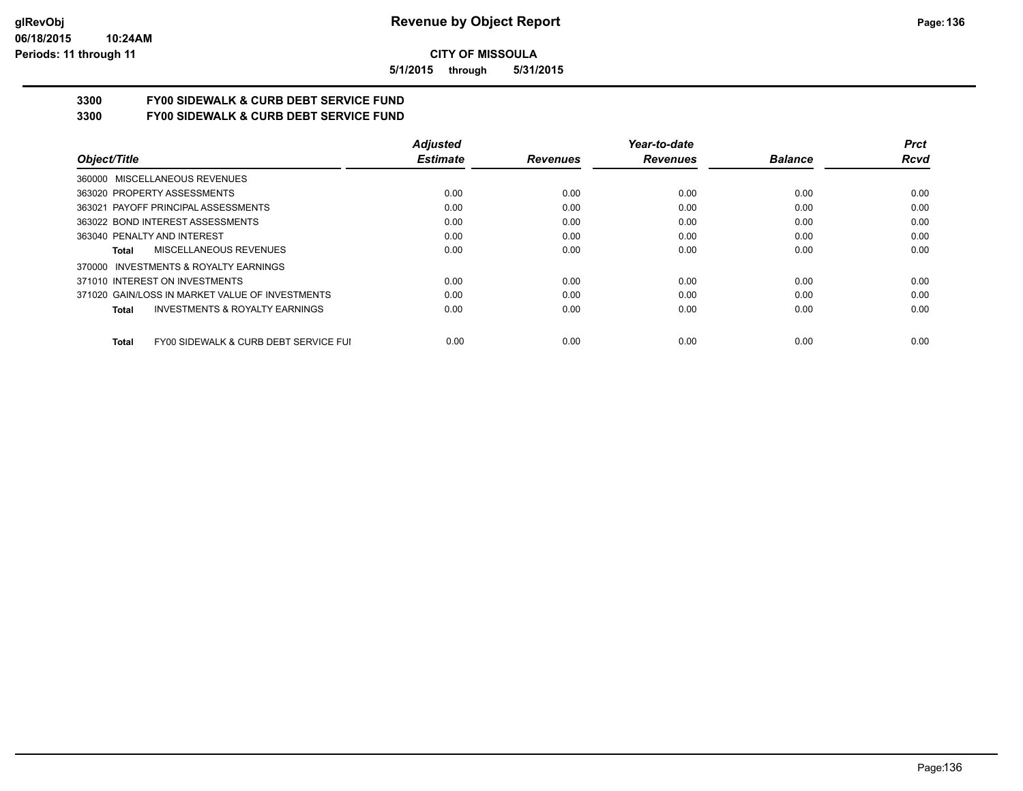**5/1/2015 through 5/31/2015**

# **3300 FY00 SIDEWALK & CURB DEBT SERVICE FUND**

**3300 FY00 SIDEWALK & CURB DEBT SERVICE FUND**

|                                                       | <b>Adjusted</b> |                 | Year-to-date    |                | <b>Prct</b> |
|-------------------------------------------------------|-----------------|-----------------|-----------------|----------------|-------------|
| Object/Title                                          | <b>Estimate</b> | <b>Revenues</b> | <b>Revenues</b> | <b>Balance</b> | <b>Rcvd</b> |
| 360000 MISCELLANEOUS REVENUES                         |                 |                 |                 |                |             |
| 363020 PROPERTY ASSESSMENTS                           | 0.00            | 0.00            | 0.00            | 0.00           | 0.00        |
| 363021 PAYOFF PRINCIPAL ASSESSMENTS                   | 0.00            | 0.00            | 0.00            | 0.00           | 0.00        |
| 363022 BOND INTEREST ASSESSMENTS                      | 0.00            | 0.00            | 0.00            | 0.00           | 0.00        |
| 363040 PENALTY AND INTEREST                           | 0.00            | 0.00            | 0.00            | 0.00           | 0.00        |
| MISCELLANEOUS REVENUES<br>Total                       | 0.00            | 0.00            | 0.00            | 0.00           | 0.00        |
| INVESTMENTS & ROYALTY EARNINGS<br>370000              |                 |                 |                 |                |             |
| 371010 INTEREST ON INVESTMENTS                        | 0.00            | 0.00            | 0.00            | 0.00           | 0.00        |
| 371020 GAIN/LOSS IN MARKET VALUE OF INVESTMENTS       | 0.00            | 0.00            | 0.00            | 0.00           | 0.00        |
| <b>INVESTMENTS &amp; ROYALTY EARNINGS</b><br>Total    | 0.00            | 0.00            | 0.00            | 0.00           | 0.00        |
| FY00 SIDEWALK & CURB DEBT SERVICE FUI<br><b>Total</b> | 0.00            | 0.00            | 0.00            | 0.00           | 0.00        |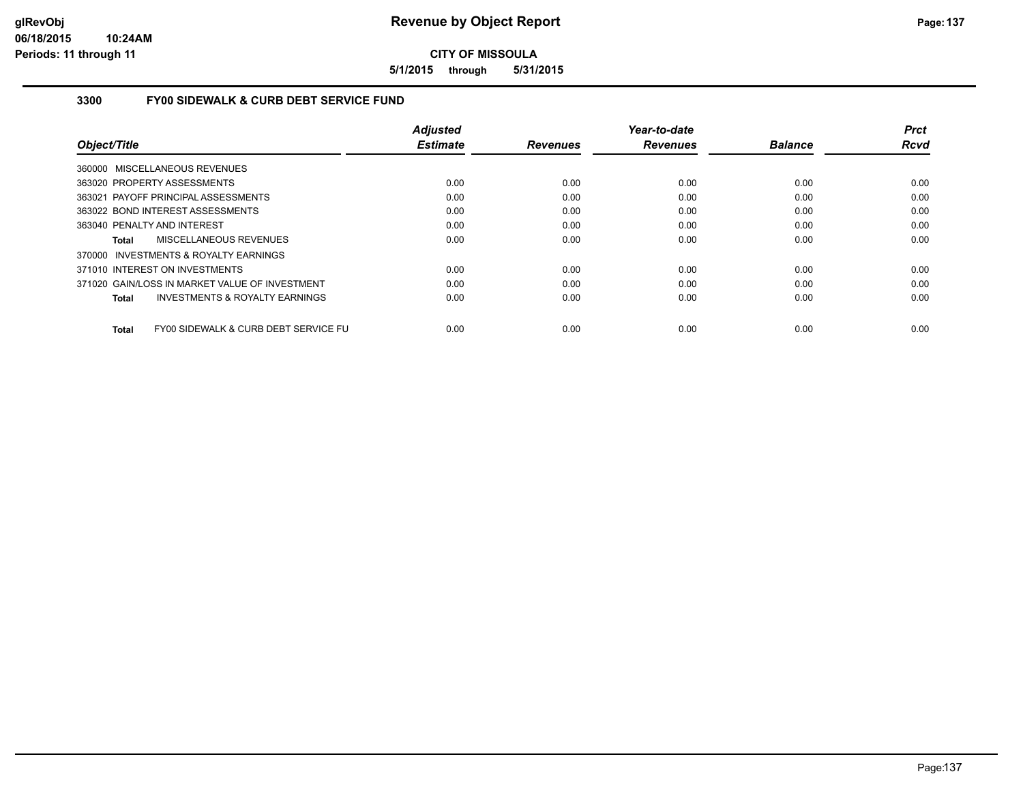**5/1/2015 through 5/31/2015**

#### **3300 FY00 SIDEWALK & CURB DEBT SERVICE FUND**

|                                                      | <b>Adjusted</b> |                 | Year-to-date    |                | <b>Prct</b> |
|------------------------------------------------------|-----------------|-----------------|-----------------|----------------|-------------|
| Object/Title                                         | <b>Estimate</b> | <b>Revenues</b> | <b>Revenues</b> | <b>Balance</b> | <b>Rcvd</b> |
| 360000 MISCELLANEOUS REVENUES                        |                 |                 |                 |                |             |
| 363020 PROPERTY ASSESSMENTS                          | 0.00            | 0.00            | 0.00            | 0.00           | 0.00        |
| 363021 PAYOFF PRINCIPAL ASSESSMENTS                  | 0.00            | 0.00            | 0.00            | 0.00           | 0.00        |
| 363022 BOND INTEREST ASSESSMENTS                     | 0.00            | 0.00            | 0.00            | 0.00           | 0.00        |
| 363040 PENALTY AND INTEREST                          | 0.00            | 0.00            | 0.00            | 0.00           | 0.00        |
| MISCELLANEOUS REVENUES<br>Total                      | 0.00            | 0.00            | 0.00            | 0.00           | 0.00        |
| 370000 INVESTMENTS & ROYALTY EARNINGS                |                 |                 |                 |                |             |
| 371010 INTEREST ON INVESTMENTS                       | 0.00            | 0.00            | 0.00            | 0.00           | 0.00        |
| 371020 GAIN/LOSS IN MARKET VALUE OF INVESTMENT       | 0.00            | 0.00            | 0.00            | 0.00           | 0.00        |
| <b>INVESTMENTS &amp; ROYALTY EARNINGS</b><br>Total   | 0.00            | 0.00            | 0.00            | 0.00           | 0.00        |
| FY00 SIDEWALK & CURB DEBT SERVICE FU<br><b>Total</b> | 0.00            | 0.00            | 0.00            | 0.00           | 0.00        |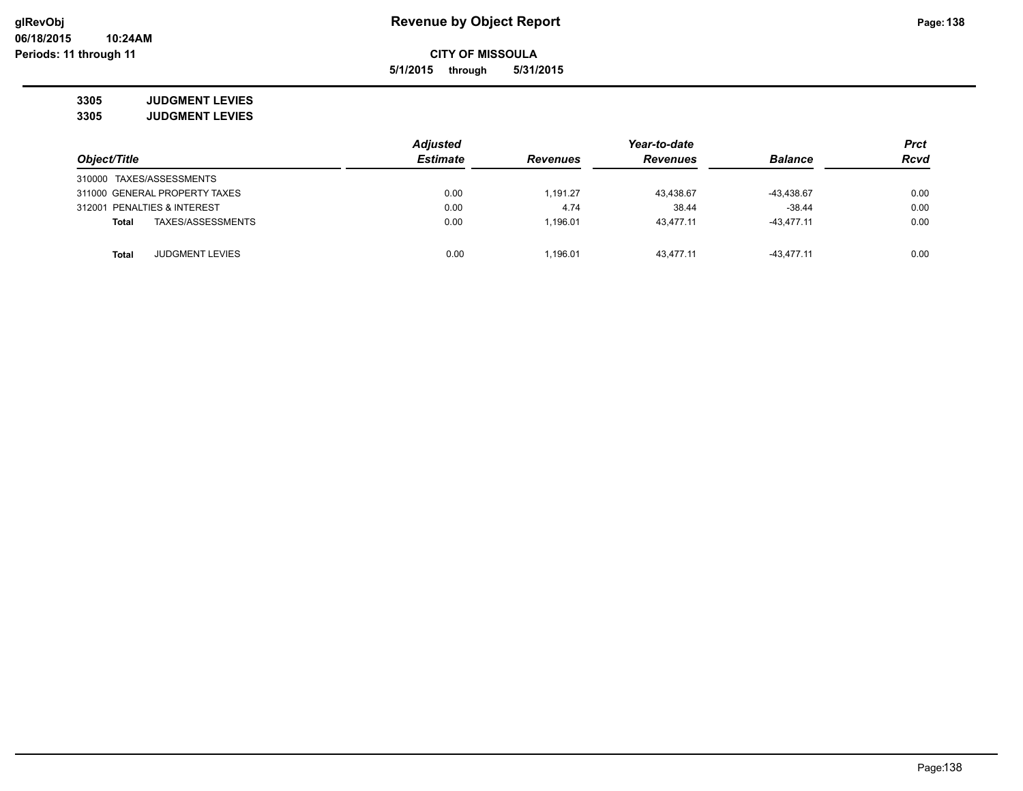**5/1/2015 through 5/31/2015**

**3305 JUDGMENT LEVIES 3305 JUDGMENT LEVIES**

|                                        | <b>Adjusted</b> |                 | Year-to-date    |                | <b>Prct</b> |
|----------------------------------------|-----------------|-----------------|-----------------|----------------|-------------|
| Object/Title                           | <b>Estimate</b> | <b>Revenues</b> | <b>Revenues</b> | <b>Balance</b> | <b>Rcvd</b> |
| 310000 TAXES/ASSESSMENTS               |                 |                 |                 |                |             |
| 311000 GENERAL PROPERTY TAXES          | 0.00            | 1.191.27        | 43.438.67       | -43,438.67     | 0.00        |
| 312001 PENALTIES & INTEREST            | 0.00            | 4.74            | 38.44           | $-38.44$       | 0.00        |
| TAXES/ASSESSMENTS<br>Total             | 0.00            | 1.196.01        | 43.477.11       | $-43.477.11$   | 0.00        |
|                                        |                 |                 |                 |                |             |
| <b>JUDGMENT LEVIES</b><br><b>Total</b> | 0.00            | 1.196.01        | 43.477.11       | $-43.477.11$   | 0.00        |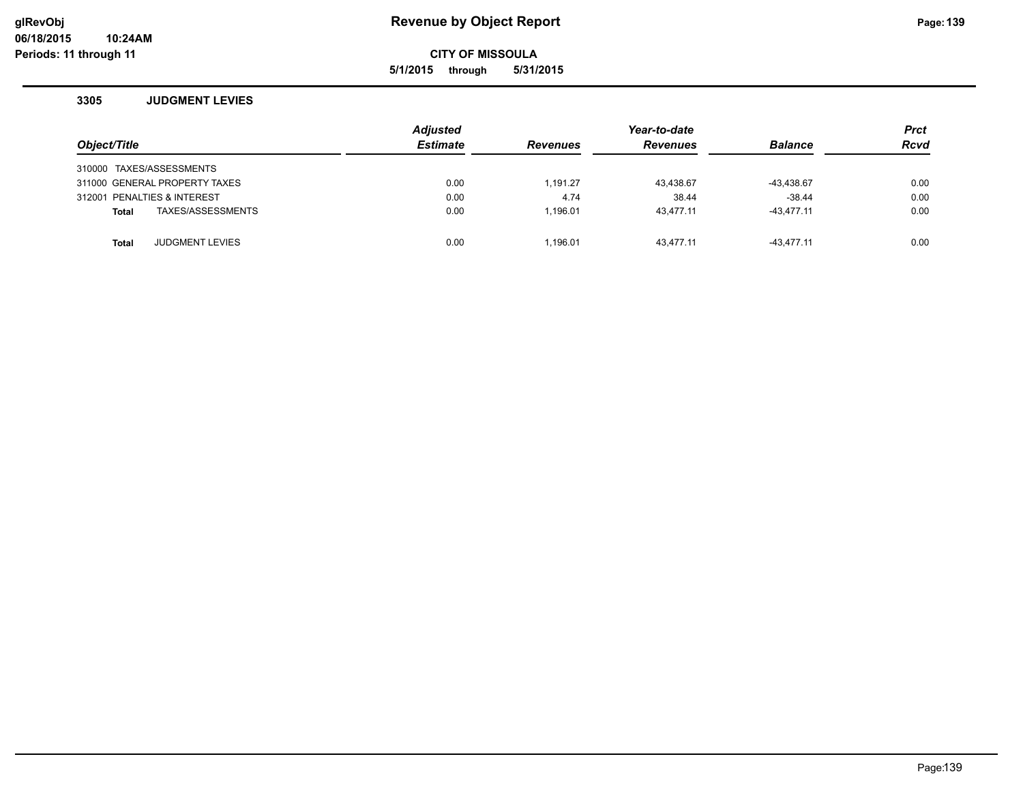## **glRevObj Revenue by Object Report Page:139**

**CITY OF MISSOULA**

**5/1/2015 through 5/31/2015**

#### **3305 JUDGMENT LEVIES**

| Object/Title                           | <b>Adjusted</b><br><b>Estimate</b> | <b>Revenues</b> | Year-to-date<br><b>Revenues</b> | <b>Balance</b> | <b>Prct</b><br><b>Rcvd</b> |
|----------------------------------------|------------------------------------|-----------------|---------------------------------|----------------|----------------------------|
| 310000 TAXES/ASSESSMENTS               |                                    |                 |                                 |                |                            |
| 311000 GENERAL PROPERTY TAXES          | 0.00                               | 1.191.27        | 43,438.67                       | $-43,438.67$   | 0.00                       |
| 312001 PENALTIES & INTEREST            | 0.00                               | 4.74            | 38.44                           | $-38.44$       | 0.00                       |
| TAXES/ASSESSMENTS<br><b>Total</b>      | 0.00                               | 1.196.01        | 43.477.11                       | $-43.477.11$   | 0.00                       |
|                                        |                                    |                 |                                 |                |                            |
| <b>JUDGMENT LEVIES</b><br><b>Total</b> | 0.00                               | 1.196.01        | 43.477.11                       | $-43.477.11$   | 0.00                       |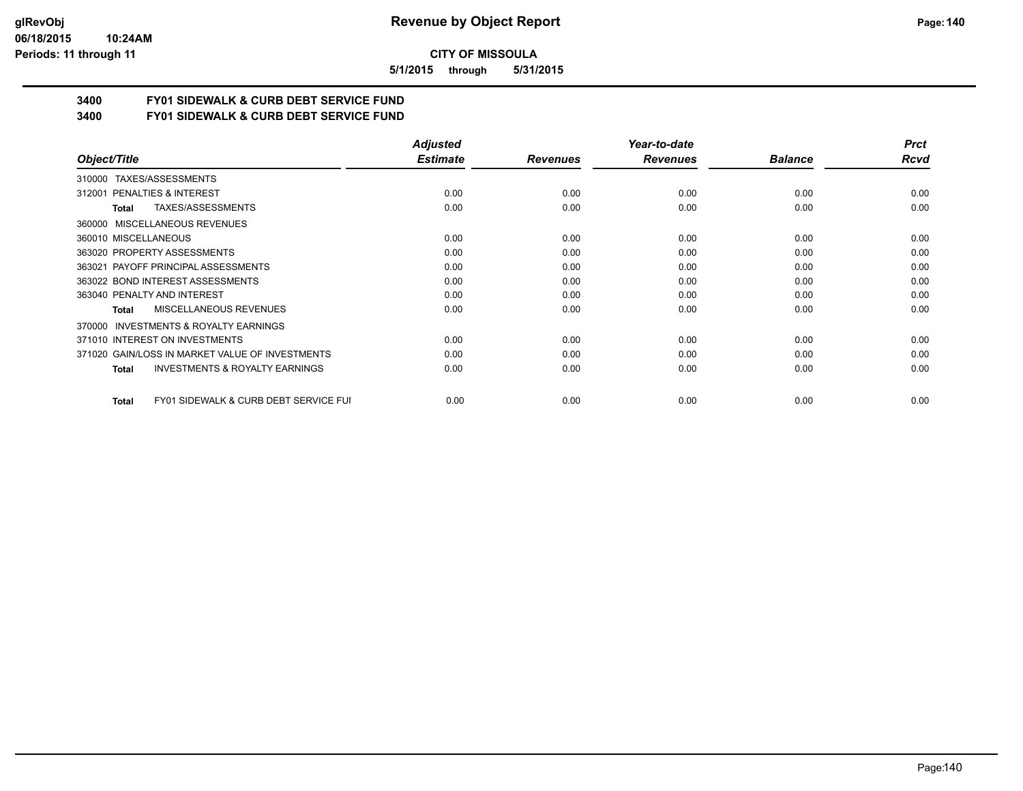#### **06/18/2015 10:24AM Periods: 11 through 11**

**CITY OF MISSOULA**

**5/1/2015 through 5/31/2015**

# **3400 FY01 SIDEWALK & CURB DEBT SERVICE FUND**

**3400 FY01 SIDEWALK & CURB DEBT SERVICE FUND**

|                                                           | <b>Adjusted</b> |                 | Year-to-date    |                | <b>Prct</b> |
|-----------------------------------------------------------|-----------------|-----------------|-----------------|----------------|-------------|
| Object/Title                                              | <b>Estimate</b> | <b>Revenues</b> | <b>Revenues</b> | <b>Balance</b> | <b>Rcvd</b> |
| TAXES/ASSESSMENTS<br>310000                               |                 |                 |                 |                |             |
| 312001 PENALTIES & INTEREST                               | 0.00            | 0.00            | 0.00            | 0.00           | 0.00        |
| TAXES/ASSESSMENTS<br>Total                                | 0.00            | 0.00            | 0.00            | 0.00           | 0.00        |
| 360000 MISCELLANEOUS REVENUES                             |                 |                 |                 |                |             |
| 360010 MISCELLANEOUS                                      | 0.00            | 0.00            | 0.00            | 0.00           | 0.00        |
| 363020 PROPERTY ASSESSMENTS                               | 0.00            | 0.00            | 0.00            | 0.00           | 0.00        |
| 363021 PAYOFF PRINCIPAL ASSESSMENTS                       | 0.00            | 0.00            | 0.00            | 0.00           | 0.00        |
| 363022 BOND INTEREST ASSESSMENTS                          | 0.00            | 0.00            | 0.00            | 0.00           | 0.00        |
| 363040 PENALTY AND INTEREST                               | 0.00            | 0.00            | 0.00            | 0.00           | 0.00        |
| <b>MISCELLANEOUS REVENUES</b><br>Total                    | 0.00            | 0.00            | 0.00            | 0.00           | 0.00        |
| <b>INVESTMENTS &amp; ROYALTY EARNINGS</b><br>370000       |                 |                 |                 |                |             |
| 371010 INTEREST ON INVESTMENTS                            | 0.00            | 0.00            | 0.00            | 0.00           | 0.00        |
| 371020 GAIN/LOSS IN MARKET VALUE OF INVESTMENTS           | 0.00            | 0.00            | 0.00            | 0.00           | 0.00        |
| <b>INVESTMENTS &amp; ROYALTY EARNINGS</b><br>Total        | 0.00            | 0.00            | 0.00            | 0.00           | 0.00        |
| <b>FY01 SIDEWALK &amp; CURB DEBT SERVICE FUI</b><br>Total | 0.00            | 0.00            | 0.00            | 0.00           | 0.00        |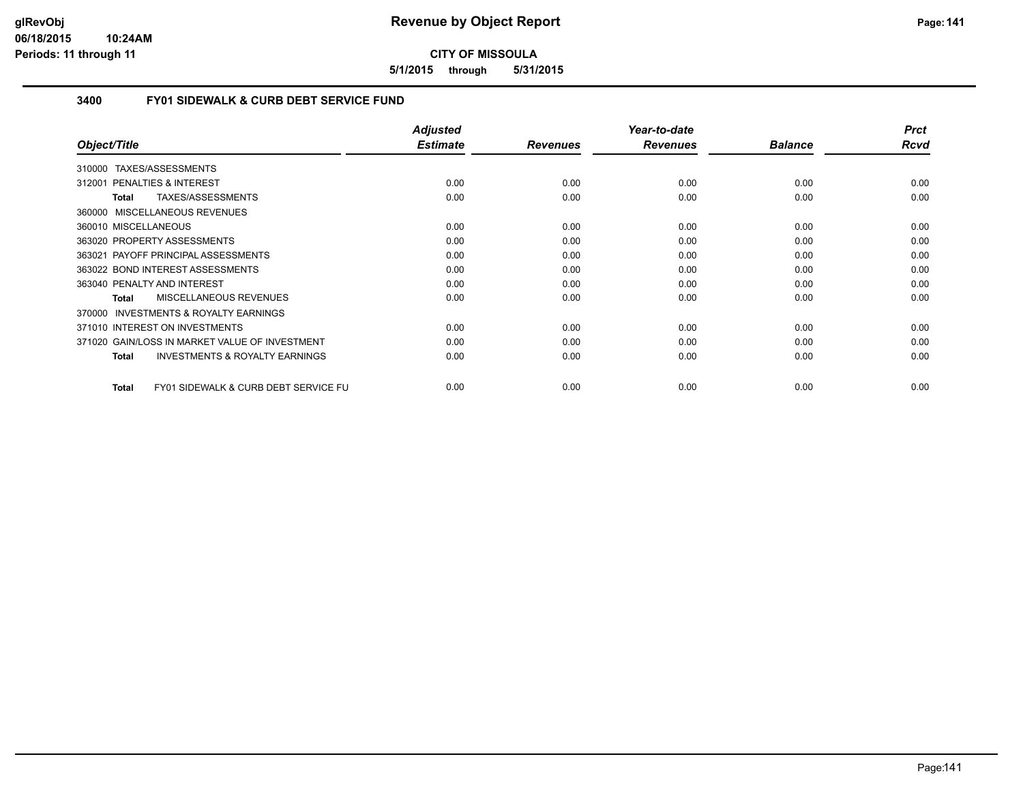**5/1/2015 through 5/31/2015**

## **3400 FY01 SIDEWALK & CURB DEBT SERVICE FUND**

|                                                                 | <b>Adjusted</b> |                 | Year-to-date    |                | <b>Prct</b> |
|-----------------------------------------------------------------|-----------------|-----------------|-----------------|----------------|-------------|
| Object/Title                                                    | <b>Estimate</b> | <b>Revenues</b> | <b>Revenues</b> | <b>Balance</b> | Rcvd        |
| TAXES/ASSESSMENTS<br>310000                                     |                 |                 |                 |                |             |
| <b>PENALTIES &amp; INTEREST</b><br>312001                       | 0.00            | 0.00            | 0.00            | 0.00           | 0.00        |
| TAXES/ASSESSMENTS<br>Total                                      | 0.00            | 0.00            | 0.00            | 0.00           | 0.00        |
| 360000 MISCELLANEOUS REVENUES                                   |                 |                 |                 |                |             |
| 360010 MISCELLANEOUS                                            | 0.00            | 0.00            | 0.00            | 0.00           | 0.00        |
| 363020 PROPERTY ASSESSMENTS                                     | 0.00            | 0.00            | 0.00            | 0.00           | 0.00        |
| PAYOFF PRINCIPAL ASSESSMENTS<br>363021                          | 0.00            | 0.00            | 0.00            | 0.00           | 0.00        |
| 363022 BOND INTEREST ASSESSMENTS                                | 0.00            | 0.00            | 0.00            | 0.00           | 0.00        |
| 363040 PENALTY AND INTEREST                                     | 0.00            | 0.00            | 0.00            | 0.00           | 0.00        |
| MISCELLANEOUS REVENUES<br><b>Total</b>                          | 0.00            | 0.00            | 0.00            | 0.00           | 0.00        |
| INVESTMENTS & ROYALTY EARNINGS<br>370000                        |                 |                 |                 |                |             |
| 371010 INTEREST ON INVESTMENTS                                  | 0.00            | 0.00            | 0.00            | 0.00           | 0.00        |
| 371020 GAIN/LOSS IN MARKET VALUE OF INVESTMENT                  | 0.00            | 0.00            | 0.00            | 0.00           | 0.00        |
| <b>INVESTMENTS &amp; ROYALTY EARNINGS</b><br><b>Total</b>       | 0.00            | 0.00            | 0.00            | 0.00           | 0.00        |
| <b>FY01 SIDEWALK &amp; CURB DEBT SERVICE FU</b><br><b>Total</b> | 0.00            | 0.00            | 0.00            | 0.00           | 0.00        |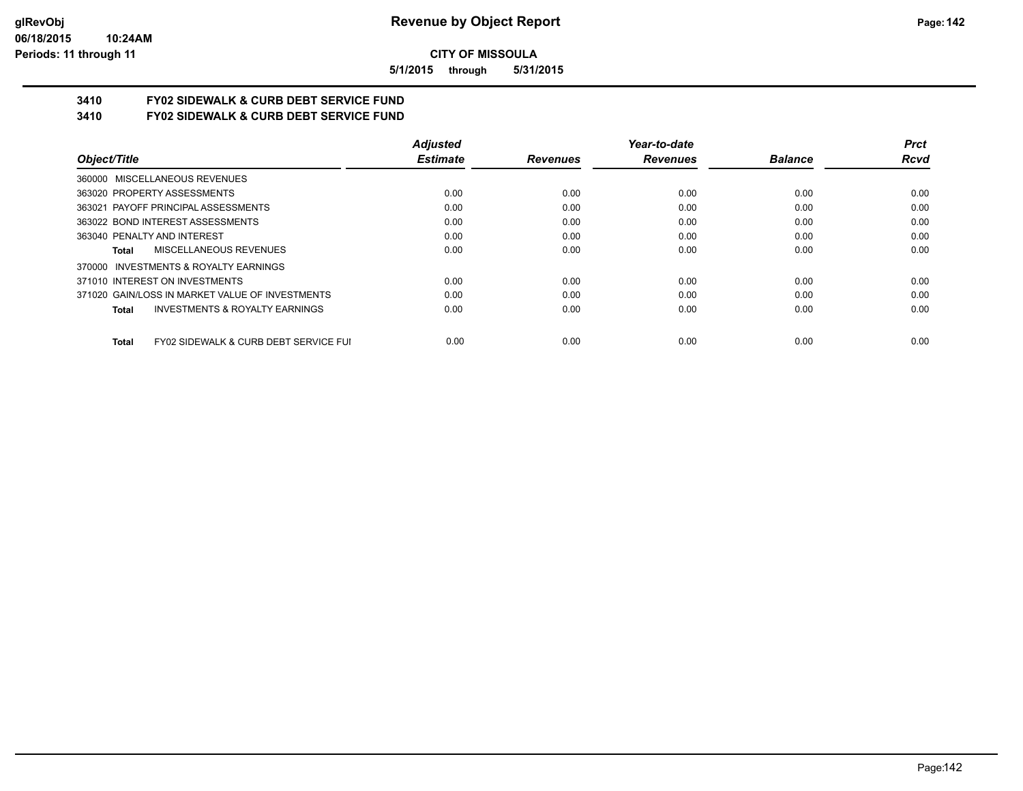**5/1/2015 through 5/31/2015**

# **3410 FY02 SIDEWALK & CURB DEBT SERVICE FUND**

**3410 FY02 SIDEWALK & CURB DEBT SERVICE FUND**

|                                                                  | <b>Adjusted</b> |                 | Year-to-date    |                | <b>Prct</b> |
|------------------------------------------------------------------|-----------------|-----------------|-----------------|----------------|-------------|
| Object/Title                                                     | <b>Estimate</b> | <b>Revenues</b> | <b>Revenues</b> | <b>Balance</b> | <b>Rcvd</b> |
| 360000 MISCELLANEOUS REVENUES                                    |                 |                 |                 |                |             |
| 363020 PROPERTY ASSESSMENTS                                      | 0.00            | 0.00            | 0.00            | 0.00           | 0.00        |
| 363021 PAYOFF PRINCIPAL ASSESSMENTS                              | 0.00            | 0.00            | 0.00            | 0.00           | 0.00        |
| 363022 BOND INTEREST ASSESSMENTS                                 | 0.00            | 0.00            | 0.00            | 0.00           | 0.00        |
| 363040 PENALTY AND INTEREST                                      | 0.00            | 0.00            | 0.00            | 0.00           | 0.00        |
| MISCELLANEOUS REVENUES<br>Total                                  | 0.00            | 0.00            | 0.00            | 0.00           | 0.00        |
| INVESTMENTS & ROYALTY EARNINGS<br>370000                         |                 |                 |                 |                |             |
| 371010 INTEREST ON INVESTMENTS                                   | 0.00            | 0.00            | 0.00            | 0.00           | 0.00        |
| 371020 GAIN/LOSS IN MARKET VALUE OF INVESTMENTS                  | 0.00            | 0.00            | 0.00            | 0.00           | 0.00        |
| <b>INVESTMENTS &amp; ROYALTY EARNINGS</b><br>Total               | 0.00            | 0.00            | 0.00            | 0.00           | 0.00        |
| <b>FY02 SIDEWALK &amp; CURB DEBT SERVICE FUI</b><br><b>Total</b> | 0.00            | 0.00            | 0.00            | 0.00           | 0.00        |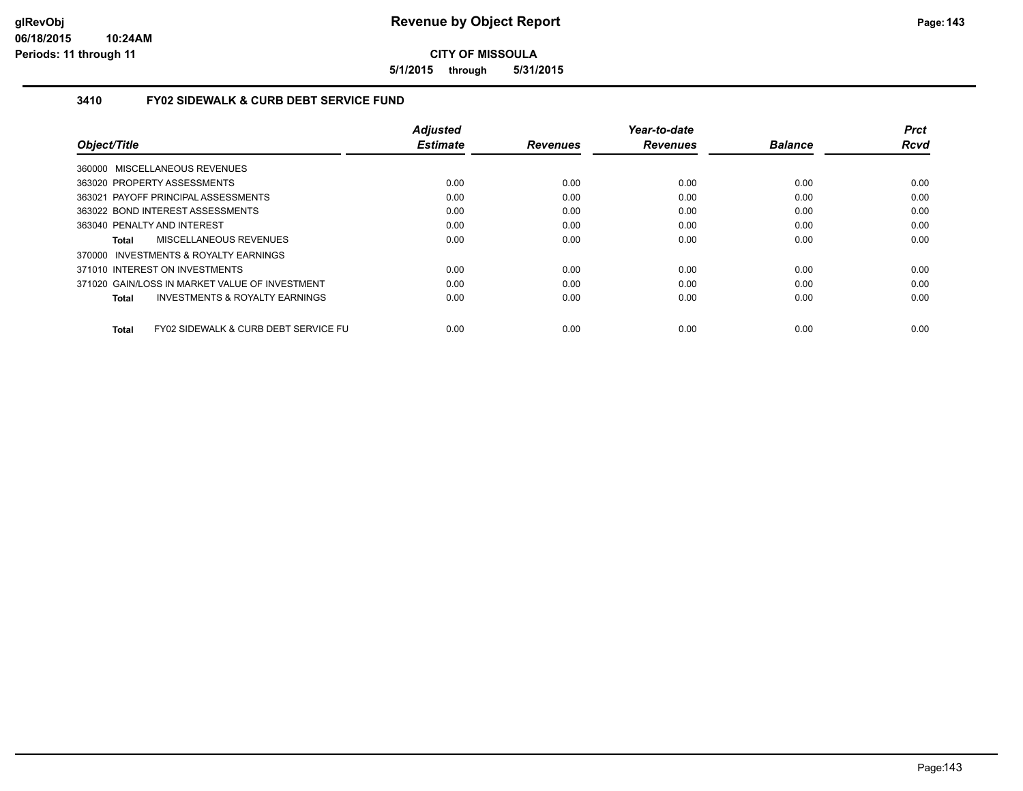**5/1/2015 through 5/31/2015**

## **3410 FY02 SIDEWALK & CURB DEBT SERVICE FUND**

|                                                           | <b>Adjusted</b> |                 | Year-to-date    |                | <b>Prct</b> |
|-----------------------------------------------------------|-----------------|-----------------|-----------------|----------------|-------------|
| Object/Title                                              | <b>Estimate</b> | <b>Revenues</b> | <b>Revenues</b> | <b>Balance</b> | <b>Rcvd</b> |
| 360000 MISCELLANEOUS REVENUES                             |                 |                 |                 |                |             |
| 363020 PROPERTY ASSESSMENTS                               | 0.00            | 0.00            | 0.00            | 0.00           | 0.00        |
| 363021 PAYOFF PRINCIPAL ASSESSMENTS                       | 0.00            | 0.00            | 0.00            | 0.00           | 0.00        |
| 363022 BOND INTEREST ASSESSMENTS                          | 0.00            | 0.00            | 0.00            | 0.00           | 0.00        |
| 363040 PENALTY AND INTEREST                               | 0.00            | 0.00            | 0.00            | 0.00           | 0.00        |
| MISCELLANEOUS REVENUES<br>Total                           | 0.00            | 0.00            | 0.00            | 0.00           | 0.00        |
| 370000 INVESTMENTS & ROYALTY EARNINGS                     |                 |                 |                 |                |             |
| 371010 INTEREST ON INVESTMENTS                            | 0.00            | 0.00            | 0.00            | 0.00           | 0.00        |
| 371020 GAIN/LOSS IN MARKET VALUE OF INVESTMENT            | 0.00            | 0.00            | 0.00            | 0.00           | 0.00        |
| <b>INVESTMENTS &amp; ROYALTY EARNINGS</b><br><b>Total</b> | 0.00            | 0.00            | 0.00            | 0.00           | 0.00        |
| FY02 SIDEWALK & CURB DEBT SERVICE FU<br><b>Total</b>      | 0.00            | 0.00            | 0.00            | 0.00           | 0.00        |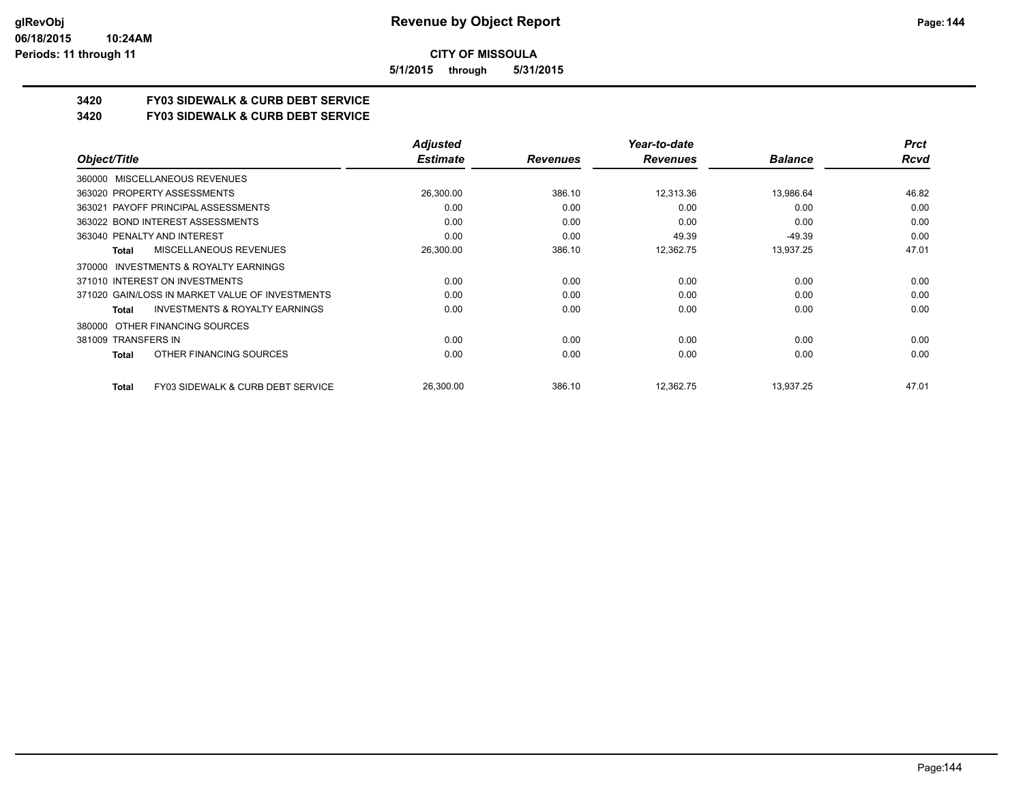**5/1/2015 through 5/31/2015**

# **3420 FY03 SIDEWALK & CURB DEBT SERVICE**

**3420 FY03 SIDEWALK & CURB DEBT SERVICE**

|                                                              | <b>Adjusted</b> |                 | Year-to-date    |                | <b>Prct</b> |
|--------------------------------------------------------------|-----------------|-----------------|-----------------|----------------|-------------|
| Object/Title                                                 | <b>Estimate</b> | <b>Revenues</b> | <b>Revenues</b> | <b>Balance</b> | Rcvd        |
| 360000 MISCELLANEOUS REVENUES                                |                 |                 |                 |                |             |
| 363020 PROPERTY ASSESSMENTS                                  | 26,300.00       | 386.10          | 12,313.36       | 13,986.64      | 46.82       |
| 363021 PAYOFF PRINCIPAL ASSESSMENTS                          | 0.00            | 0.00            | 0.00            | 0.00           | 0.00        |
| 363022 BOND INTEREST ASSESSMENTS                             | 0.00            | 0.00            | 0.00            | 0.00           | 0.00        |
| 363040 PENALTY AND INTEREST                                  | 0.00            | 0.00            | 49.39           | $-49.39$       | 0.00        |
| MISCELLANEOUS REVENUES<br>Total                              | 26,300.00       | 386.10          | 12,362.75       | 13,937.25      | 47.01       |
| 370000 INVESTMENTS & ROYALTY EARNINGS                        |                 |                 |                 |                |             |
| 371010 INTEREST ON INVESTMENTS                               | 0.00            | 0.00            | 0.00            | 0.00           | 0.00        |
| 371020 GAIN/LOSS IN MARKET VALUE OF INVESTMENTS              | 0.00            | 0.00            | 0.00            | 0.00           | 0.00        |
| <b>INVESTMENTS &amp; ROYALTY EARNINGS</b><br>Total           | 0.00            | 0.00            | 0.00            | 0.00           | 0.00        |
| OTHER FINANCING SOURCES<br>380000                            |                 |                 |                 |                |             |
| 381009 TRANSFERS IN                                          | 0.00            | 0.00            | 0.00            | 0.00           | 0.00        |
| OTHER FINANCING SOURCES<br>Total                             | 0.00            | 0.00            | 0.00            | 0.00           | 0.00        |
| <b>FY03 SIDEWALK &amp; CURB DEBT SERVICE</b><br><b>Total</b> | 26,300.00       | 386.10          | 12,362.75       | 13,937.25      | 47.01       |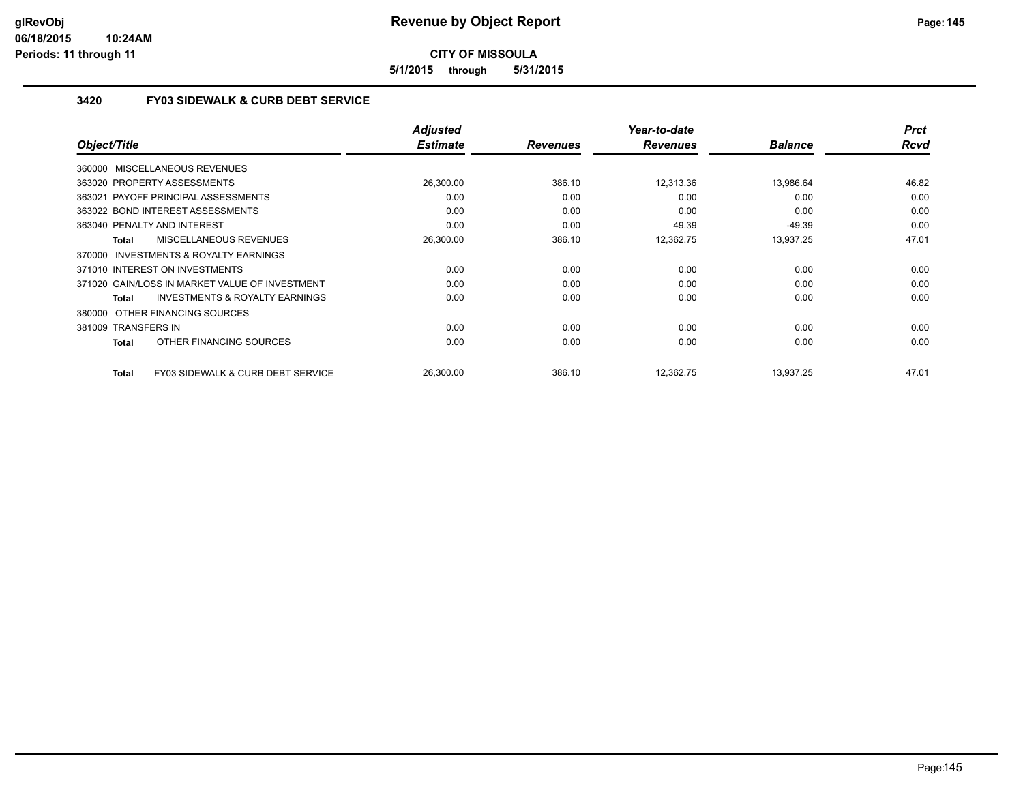**5/1/2015 through 5/31/2015**

#### **3420 FY03 SIDEWALK & CURB DEBT SERVICE**

|                                                    | <b>Adjusted</b> |                 | Year-to-date    |                | <b>Prct</b> |
|----------------------------------------------------|-----------------|-----------------|-----------------|----------------|-------------|
| Object/Title                                       | <b>Estimate</b> | <b>Revenues</b> | <b>Revenues</b> | <b>Balance</b> | <b>Rcvd</b> |
| 360000 MISCELLANEOUS REVENUES                      |                 |                 |                 |                |             |
| 363020 PROPERTY ASSESSMENTS                        | 26,300.00       | 386.10          | 12.313.36       | 13,986.64      | 46.82       |
| 363021 PAYOFF PRINCIPAL ASSESSMENTS                | 0.00            | 0.00            | 0.00            | 0.00           | 0.00        |
| 363022 BOND INTEREST ASSESSMENTS                   | 0.00            | 0.00            | 0.00            | 0.00           | 0.00        |
| 363040 PENALTY AND INTEREST                        | 0.00            | 0.00            | 49.39           | $-49.39$       | 0.00        |
| MISCELLANEOUS REVENUES<br>Total                    | 26,300.00       | 386.10          | 12,362.75       | 13,937.25      | 47.01       |
| 370000 INVESTMENTS & ROYALTY EARNINGS              |                 |                 |                 |                |             |
| 371010 INTEREST ON INVESTMENTS                     | 0.00            | 0.00            | 0.00            | 0.00           | 0.00        |
| 371020 GAIN/LOSS IN MARKET VALUE OF INVESTMENT     | 0.00            | 0.00            | 0.00            | 0.00           | 0.00        |
| <b>INVESTMENTS &amp; ROYALTY EARNINGS</b><br>Total | 0.00            | 0.00            | 0.00            | 0.00           | 0.00        |
| 380000 OTHER FINANCING SOURCES                     |                 |                 |                 |                |             |
| 381009 TRANSFERS IN                                | 0.00            | 0.00            | 0.00            | 0.00           | 0.00        |
| OTHER FINANCING SOURCES<br>Total                   | 0.00            | 0.00            | 0.00            | 0.00           | 0.00        |
| FY03 SIDEWALK & CURB DEBT SERVICE<br>Total         | 26,300.00       | 386.10          | 12,362.75       | 13,937.25      | 47.01       |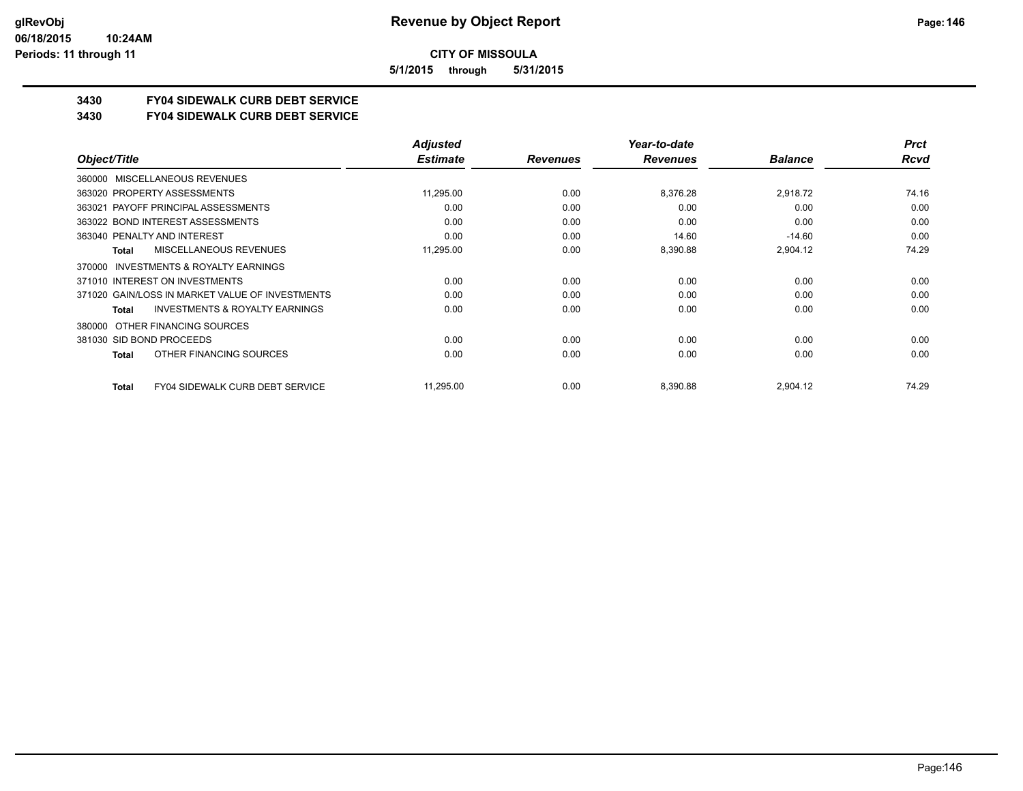**5/1/2015 through 5/31/2015**

# **3430 FY04 SIDEWALK CURB DEBT SERVICE**

#### **3430 FY04 SIDEWALK CURB DEBT SERVICE**

|                                                    | <b>Adjusted</b> |                 | Year-to-date    |                | <b>Prct</b> |
|----------------------------------------------------|-----------------|-----------------|-----------------|----------------|-------------|
| Object/Title                                       | <b>Estimate</b> | <b>Revenues</b> | <b>Revenues</b> | <b>Balance</b> | <b>Rcvd</b> |
| 360000 MISCELLANEOUS REVENUES                      |                 |                 |                 |                |             |
| 363020 PROPERTY ASSESSMENTS                        | 11,295.00       | 0.00            | 8,376.28        | 2,918.72       | 74.16       |
| 363021 PAYOFF PRINCIPAL ASSESSMENTS                | 0.00            | 0.00            | 0.00            | 0.00           | 0.00        |
| 363022 BOND INTEREST ASSESSMENTS                   | 0.00            | 0.00            | 0.00            | 0.00           | 0.00        |
| 363040 PENALTY AND INTEREST                        | 0.00            | 0.00            | 14.60           | $-14.60$       | 0.00        |
| MISCELLANEOUS REVENUES<br>Total                    | 11,295.00       | 0.00            | 8,390.88        | 2,904.12       | 74.29       |
| INVESTMENTS & ROYALTY EARNINGS<br>370000           |                 |                 |                 |                |             |
| 371010 INTEREST ON INVESTMENTS                     | 0.00            | 0.00            | 0.00            | 0.00           | 0.00        |
| 371020 GAIN/LOSS IN MARKET VALUE OF INVESTMENTS    | 0.00            | 0.00            | 0.00            | 0.00           | 0.00        |
| <b>INVESTMENTS &amp; ROYALTY EARNINGS</b><br>Total | 0.00            | 0.00            | 0.00            | 0.00           | 0.00        |
| OTHER FINANCING SOURCES<br>380000                  |                 |                 |                 |                |             |
| 381030 SID BOND PROCEEDS                           | 0.00            | 0.00            | 0.00            | 0.00           | 0.00        |
| OTHER FINANCING SOURCES<br>Total                   | 0.00            | 0.00            | 0.00            | 0.00           | 0.00        |
| <b>FY04 SIDEWALK CURB DEBT SERVICE</b><br>Total    | 11,295.00       | 0.00            | 8,390.88        | 2,904.12       | 74.29       |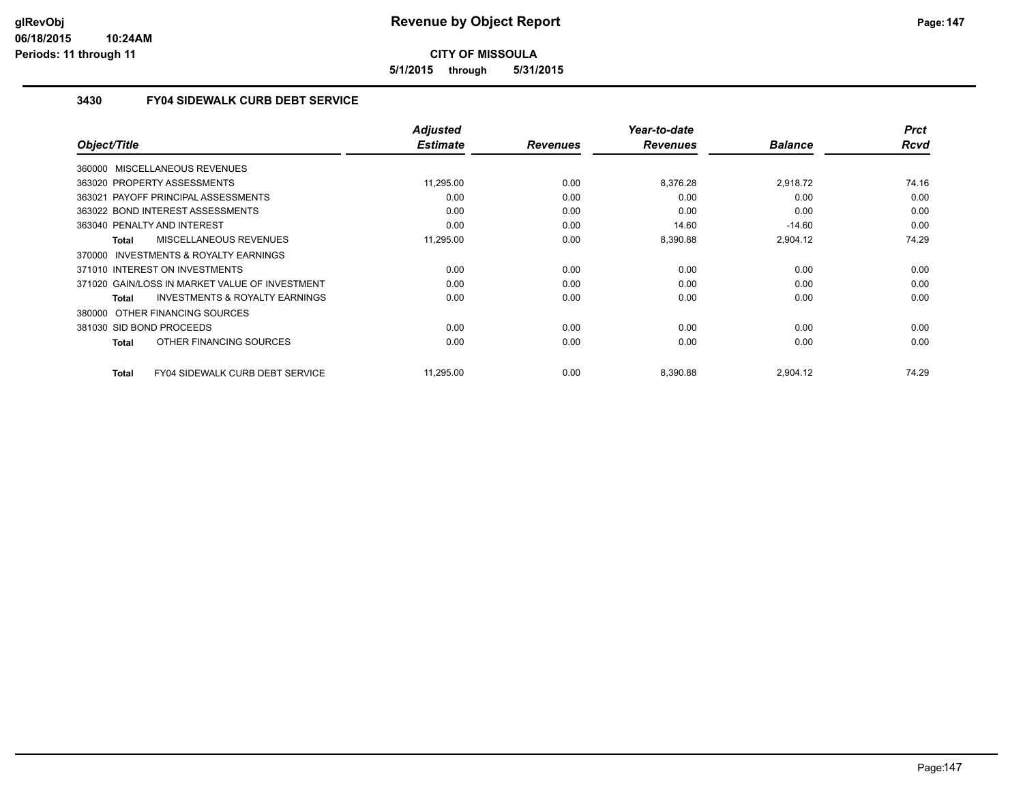**5/1/2015 through 5/31/2015**

#### **3430 FY04 SIDEWALK CURB DEBT SERVICE**

|                                                    | <b>Adjusted</b> |                 | Year-to-date    |                | <b>Prct</b> |
|----------------------------------------------------|-----------------|-----------------|-----------------|----------------|-------------|
| Object/Title                                       | <b>Estimate</b> | <b>Revenues</b> | <b>Revenues</b> | <b>Balance</b> | <b>Rcvd</b> |
| 360000 MISCELLANEOUS REVENUES                      |                 |                 |                 |                |             |
| 363020 PROPERTY ASSESSMENTS                        | 11,295.00       | 0.00            | 8,376.28        | 2,918.72       | 74.16       |
| 363021 PAYOFF PRINCIPAL ASSESSMENTS                | 0.00            | 0.00            | 0.00            | 0.00           | 0.00        |
| 363022 BOND INTEREST ASSESSMENTS                   | 0.00            | 0.00            | 0.00            | 0.00           | 0.00        |
| 363040 PENALTY AND INTEREST                        | 0.00            | 0.00            | 14.60           | $-14.60$       | 0.00        |
| <b>MISCELLANEOUS REVENUES</b><br>Total             | 11,295.00       | 0.00            | 8,390.88        | 2,904.12       | 74.29       |
| 370000 INVESTMENTS & ROYALTY EARNINGS              |                 |                 |                 |                |             |
| 371010 INTEREST ON INVESTMENTS                     | 0.00            | 0.00            | 0.00            | 0.00           | 0.00        |
| 371020 GAIN/LOSS IN MARKET VALUE OF INVESTMENT     | 0.00            | 0.00            | 0.00            | 0.00           | 0.00        |
| <b>INVESTMENTS &amp; ROYALTY EARNINGS</b><br>Total | 0.00            | 0.00            | 0.00            | 0.00           | 0.00        |
| 380000 OTHER FINANCING SOURCES                     |                 |                 |                 |                |             |
| 381030 SID BOND PROCEEDS                           | 0.00            | 0.00            | 0.00            | 0.00           | 0.00        |
| OTHER FINANCING SOURCES<br>Total                   | 0.00            | 0.00            | 0.00            | 0.00           | 0.00        |
| FY04 SIDEWALK CURB DEBT SERVICE<br>Total           | 11,295.00       | 0.00            | 8,390.88        | 2,904.12       | 74.29       |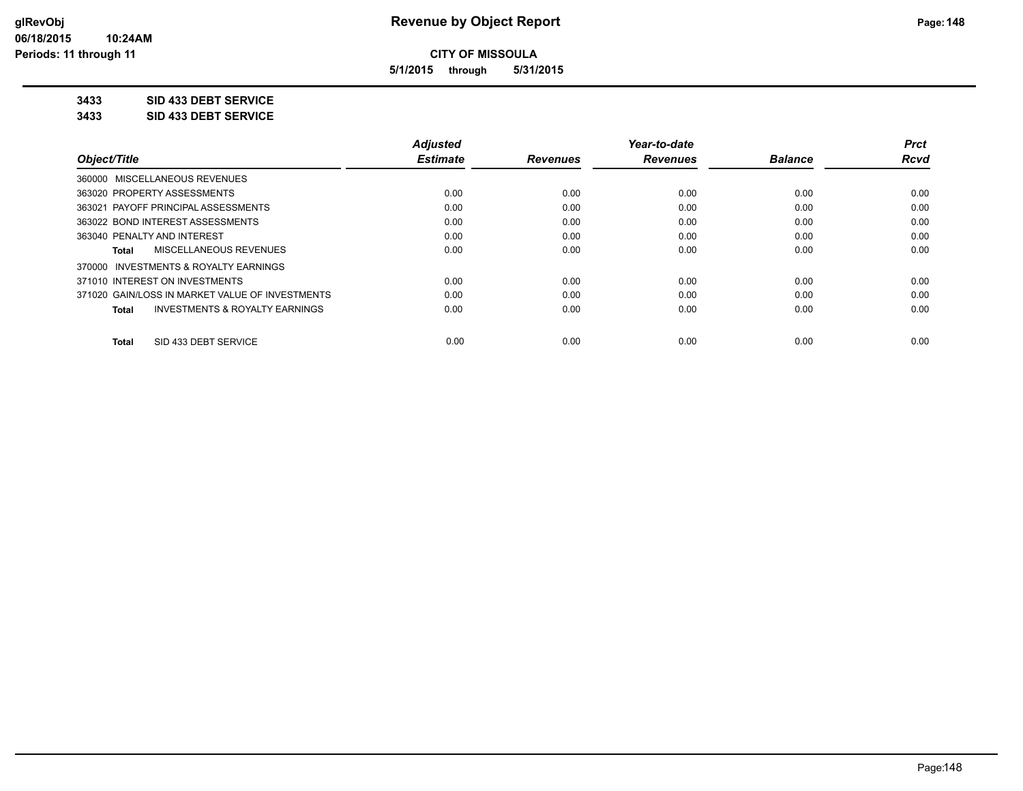**5/1/2015 through 5/31/2015**

### **3433 SID 433 DEBT SERVICE**

**3433 SID 433 DEBT SERVICE**

|                                                           | <b>Adjusted</b> |                 | Year-to-date    |                | <b>Prct</b> |
|-----------------------------------------------------------|-----------------|-----------------|-----------------|----------------|-------------|
| Object/Title                                              | <b>Estimate</b> | <b>Revenues</b> | <b>Revenues</b> | <b>Balance</b> | <b>Rcvd</b> |
| 360000 MISCELLANEOUS REVENUES                             |                 |                 |                 |                |             |
| 363020 PROPERTY ASSESSMENTS                               | 0.00            | 0.00            | 0.00            | 0.00           | 0.00        |
| PAYOFF PRINCIPAL ASSESSMENTS<br>363021                    | 0.00            | 0.00            | 0.00            | 0.00           | 0.00        |
| 363022 BOND INTEREST ASSESSMENTS                          | 0.00            | 0.00            | 0.00            | 0.00           | 0.00        |
| 363040 PENALTY AND INTEREST                               | 0.00            | 0.00            | 0.00            | 0.00           | 0.00        |
| MISCELLANEOUS REVENUES<br>Total                           | 0.00            | 0.00            | 0.00            | 0.00           | 0.00        |
| 370000 INVESTMENTS & ROYALTY EARNINGS                     |                 |                 |                 |                |             |
| 371010 INTEREST ON INVESTMENTS                            | 0.00            | 0.00            | 0.00            | 0.00           | 0.00        |
| 371020 GAIN/LOSS IN MARKET VALUE OF INVESTMENTS           | 0.00            | 0.00            | 0.00            | 0.00           | 0.00        |
| <b>INVESTMENTS &amp; ROYALTY EARNINGS</b><br><b>Total</b> | 0.00            | 0.00            | 0.00            | 0.00           | 0.00        |
| SID 433 DEBT SERVICE<br><b>Total</b>                      | 0.00            | 0.00            | 0.00            | 0.00           | 0.00        |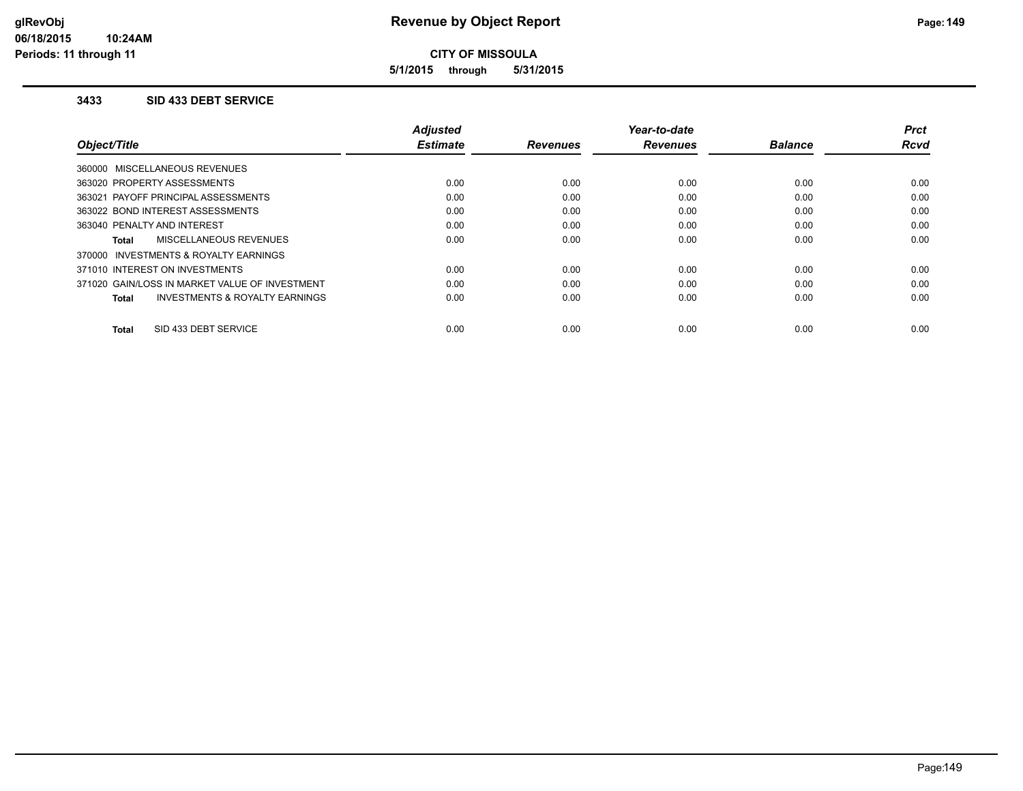**5/1/2015 through 5/31/2015**

#### **3433 SID 433 DEBT SERVICE**

|                                                    | <b>Adjusted</b> |                 | Year-to-date    |                | <b>Prct</b> |
|----------------------------------------------------|-----------------|-----------------|-----------------|----------------|-------------|
| Object/Title                                       | <b>Estimate</b> | <b>Revenues</b> | <b>Revenues</b> | <b>Balance</b> | <b>Rcvd</b> |
| 360000 MISCELLANEOUS REVENUES                      |                 |                 |                 |                |             |
| 363020 PROPERTY ASSESSMENTS                        | 0.00            | 0.00            | 0.00            | 0.00           | 0.00        |
| 363021 PAYOFF PRINCIPAL ASSESSMENTS                | 0.00            | 0.00            | 0.00            | 0.00           | 0.00        |
| 363022 BOND INTEREST ASSESSMENTS                   | 0.00            | 0.00            | 0.00            | 0.00           | 0.00        |
| 363040 PENALTY AND INTEREST                        | 0.00            | 0.00            | 0.00            | 0.00           | 0.00        |
| MISCELLANEOUS REVENUES<br>Total                    | 0.00            | 0.00            | 0.00            | 0.00           | 0.00        |
| 370000 INVESTMENTS & ROYALTY EARNINGS              |                 |                 |                 |                |             |
| 371010 INTEREST ON INVESTMENTS                     | 0.00            | 0.00            | 0.00            | 0.00           | 0.00        |
| 371020 GAIN/LOSS IN MARKET VALUE OF INVESTMENT     | 0.00            | 0.00            | 0.00            | 0.00           | 0.00        |
| <b>INVESTMENTS &amp; ROYALTY EARNINGS</b><br>Total | 0.00            | 0.00            | 0.00            | 0.00           | 0.00        |
|                                                    |                 |                 |                 |                |             |
| SID 433 DEBT SERVICE<br>Total                      | 0.00            | 0.00            | 0.00            | 0.00           | 0.00        |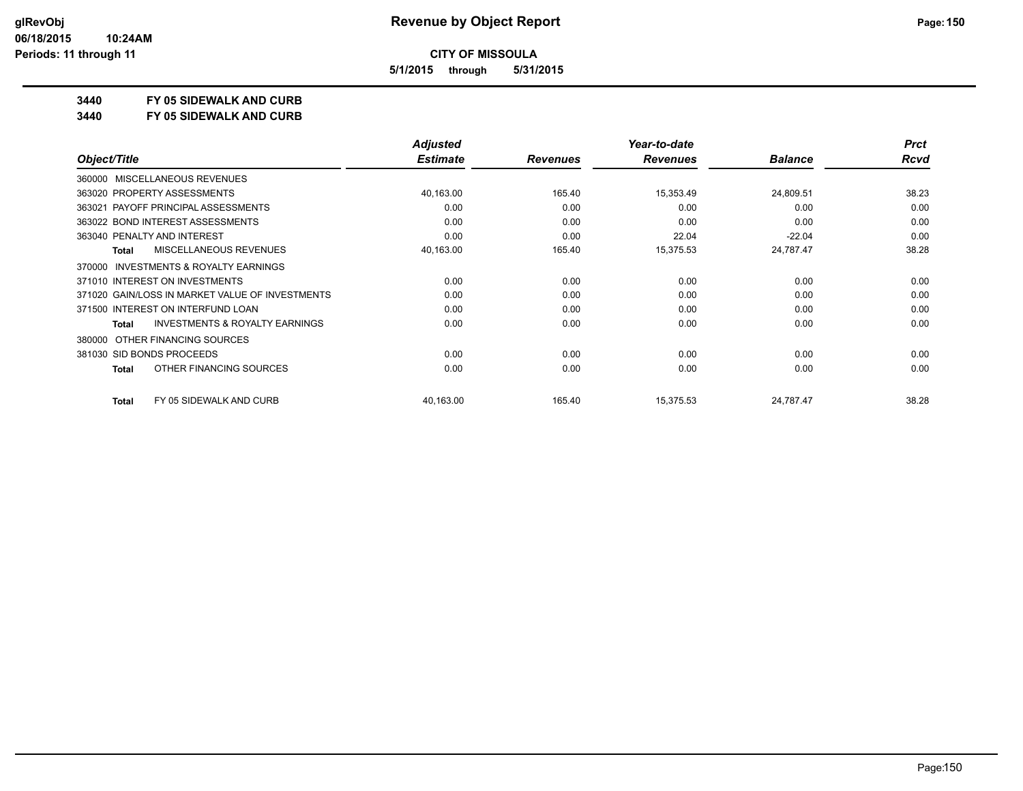**5/1/2015 through 5/31/2015**

#### **3440 FY 05 SIDEWALK AND CURB**

**3440 FY 05 SIDEWALK AND CURB**

|                                                           | <b>Adjusted</b> |                 | Year-to-date    |                | <b>Prct</b> |
|-----------------------------------------------------------|-----------------|-----------------|-----------------|----------------|-------------|
| Object/Title                                              | <b>Estimate</b> | <b>Revenues</b> | <b>Revenues</b> | <b>Balance</b> | <b>Rcvd</b> |
| 360000 MISCELLANEOUS REVENUES                             |                 |                 |                 |                |             |
| 363020 PROPERTY ASSESSMENTS                               | 40,163.00       | 165.40          | 15,353.49       | 24,809.51      | 38.23       |
| 363021 PAYOFF PRINCIPAL ASSESSMENTS                       | 0.00            | 0.00            | 0.00            | 0.00           | 0.00        |
| 363022 BOND INTEREST ASSESSMENTS                          | 0.00            | 0.00            | 0.00            | 0.00           | 0.00        |
| 363040 PENALTY AND INTEREST                               | 0.00            | 0.00            | 22.04           | $-22.04$       | 0.00        |
| <b>MISCELLANEOUS REVENUES</b><br><b>Total</b>             | 40,163.00       | 165.40          | 15,375.53       | 24,787.47      | 38.28       |
| <b>INVESTMENTS &amp; ROYALTY EARNINGS</b><br>370000       |                 |                 |                 |                |             |
| 371010 INTEREST ON INVESTMENTS                            | 0.00            | 0.00            | 0.00            | 0.00           | 0.00        |
| 371020 GAIN/LOSS IN MARKET VALUE OF INVESTMENTS           | 0.00            | 0.00            | 0.00            | 0.00           | 0.00        |
| 371500 INTEREST ON INTERFUND LOAN                         | 0.00            | 0.00            | 0.00            | 0.00           | 0.00        |
| <b>INVESTMENTS &amp; ROYALTY EARNINGS</b><br><b>Total</b> | 0.00            | 0.00            | 0.00            | 0.00           | 0.00        |
| OTHER FINANCING SOURCES<br>380000                         |                 |                 |                 |                |             |
| 381030 SID BONDS PROCEEDS                                 | 0.00            | 0.00            | 0.00            | 0.00           | 0.00        |
| OTHER FINANCING SOURCES<br><b>Total</b>                   | 0.00            | 0.00            | 0.00            | 0.00           | 0.00        |
| FY 05 SIDEWALK AND CURB<br><b>Total</b>                   | 40,163.00       | 165.40          | 15,375.53       | 24,787.47      | 38.28       |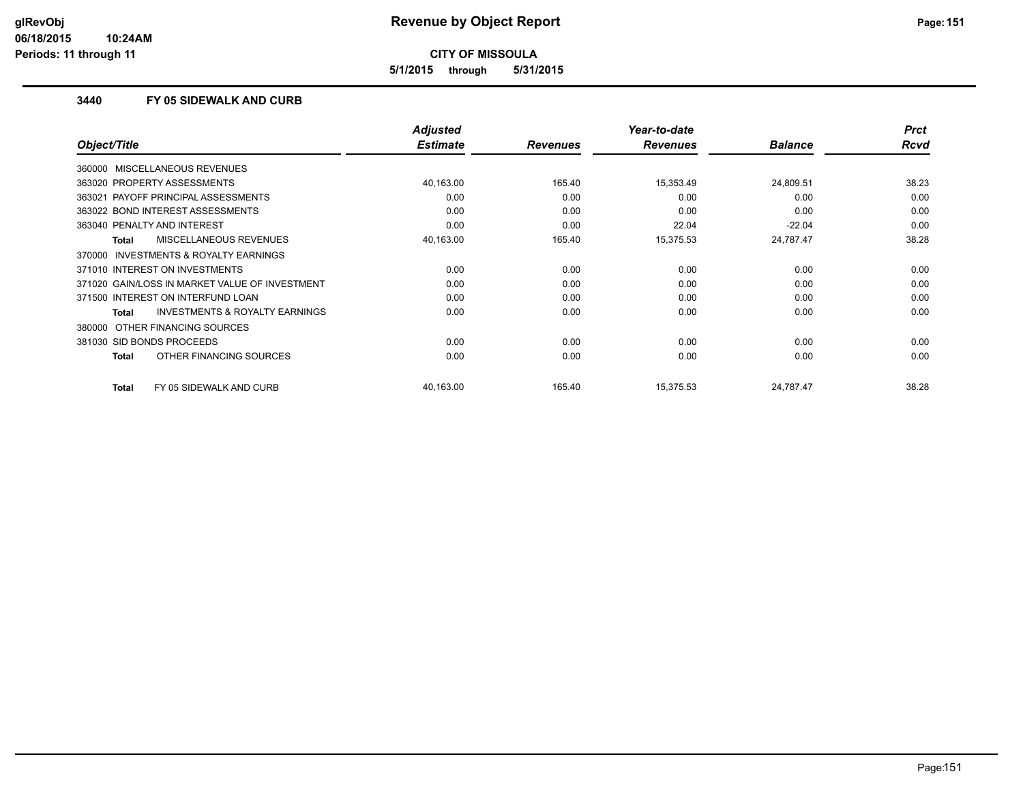**5/1/2015 through 5/31/2015**

#### **3440 FY 05 SIDEWALK AND CURB**

|                                                     | <b>Adjusted</b> |                 | Year-to-date    |                | <b>Prct</b> |
|-----------------------------------------------------|-----------------|-----------------|-----------------|----------------|-------------|
| Object/Title                                        | <b>Estimate</b> | <b>Revenues</b> | <b>Revenues</b> | <b>Balance</b> | <b>Rcvd</b> |
| 360000 MISCELLANEOUS REVENUES                       |                 |                 |                 |                |             |
| 363020 PROPERTY ASSESSMENTS                         | 40,163.00       | 165.40          | 15,353.49       | 24,809.51      | 38.23       |
| 363021 PAYOFF PRINCIPAL ASSESSMENTS                 | 0.00            | 0.00            | 0.00            | 0.00           | 0.00        |
| 363022 BOND INTEREST ASSESSMENTS                    | 0.00            | 0.00            | 0.00            | 0.00           | 0.00        |
| 363040 PENALTY AND INTEREST                         | 0.00            | 0.00            | 22.04           | $-22.04$       | 0.00        |
| <b>MISCELLANEOUS REVENUES</b><br>Total              | 40,163.00       | 165.40          | 15,375.53       | 24,787.47      | 38.28       |
| <b>INVESTMENTS &amp; ROYALTY EARNINGS</b><br>370000 |                 |                 |                 |                |             |
| 371010 INTEREST ON INVESTMENTS                      | 0.00            | 0.00            | 0.00            | 0.00           | 0.00        |
| 371020 GAIN/LOSS IN MARKET VALUE OF INVESTMENT      | 0.00            | 0.00            | 0.00            | 0.00           | 0.00        |
| 371500 INTEREST ON INTERFUND LOAN                   | 0.00            | 0.00            | 0.00            | 0.00           | 0.00        |
| <b>INVESTMENTS &amp; ROYALTY EARNINGS</b><br>Total  | 0.00            | 0.00            | 0.00            | 0.00           | 0.00        |
| 380000 OTHER FINANCING SOURCES                      |                 |                 |                 |                |             |
| 381030 SID BONDS PROCEEDS                           | 0.00            | 0.00            | 0.00            | 0.00           | 0.00        |
| OTHER FINANCING SOURCES<br>Total                    | 0.00            | 0.00            | 0.00            | 0.00           | 0.00        |
| <b>Total</b><br>FY 05 SIDEWALK AND CURB             | 40,163.00       | 165.40          | 15,375.53       | 24,787.47      | 38.28       |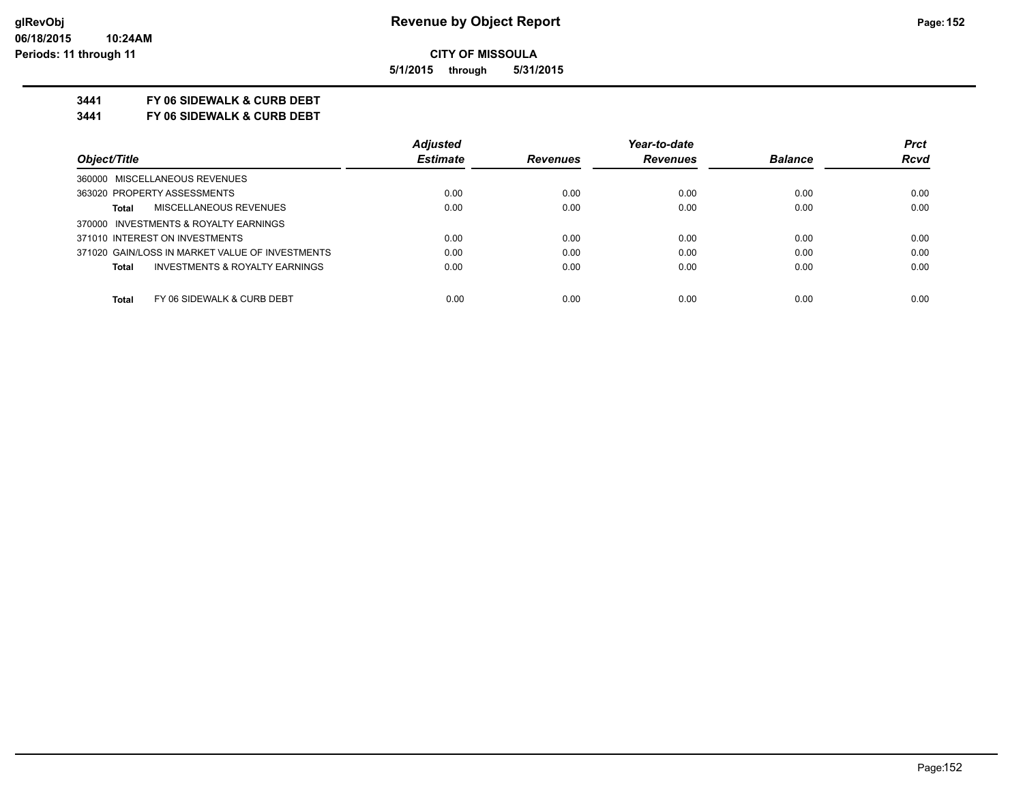**5/1/2015 through 5/31/2015**

#### **3441 FY 06 SIDEWALK & CURB DEBT**

**3441 FY 06 SIDEWALK & CURB DEBT**

|                                                           | <b>Adjusted</b> |                 | Year-to-date    |                | <b>Prct</b> |
|-----------------------------------------------------------|-----------------|-----------------|-----------------|----------------|-------------|
| Object/Title                                              | <b>Estimate</b> | <b>Revenues</b> | <b>Revenues</b> | <b>Balance</b> | <b>Rcvd</b> |
| 360000 MISCELLANEOUS REVENUES                             |                 |                 |                 |                |             |
| 363020 PROPERTY ASSESSMENTS                               | 0.00            | 0.00            | 0.00            | 0.00           | 0.00        |
| MISCELLANEOUS REVENUES<br><b>Total</b>                    | 0.00            | 0.00            | 0.00            | 0.00           | 0.00        |
| 370000 INVESTMENTS & ROYALTY EARNINGS                     |                 |                 |                 |                |             |
| 371010 INTEREST ON INVESTMENTS                            | 0.00            | 0.00            | 0.00            | 0.00           | 0.00        |
| 371020 GAIN/LOSS IN MARKET VALUE OF INVESTMENTS           | 0.00            | 0.00            | 0.00            | 0.00           | 0.00        |
| <b>INVESTMENTS &amp; ROYALTY EARNINGS</b><br><b>Total</b> | 0.00            | 0.00            | 0.00            | 0.00           | 0.00        |
| FY 06 SIDEWALK & CURB DEBT<br><b>Total</b>                | 0.00            | 0.00            | 0.00            | 0.00           | 0.00        |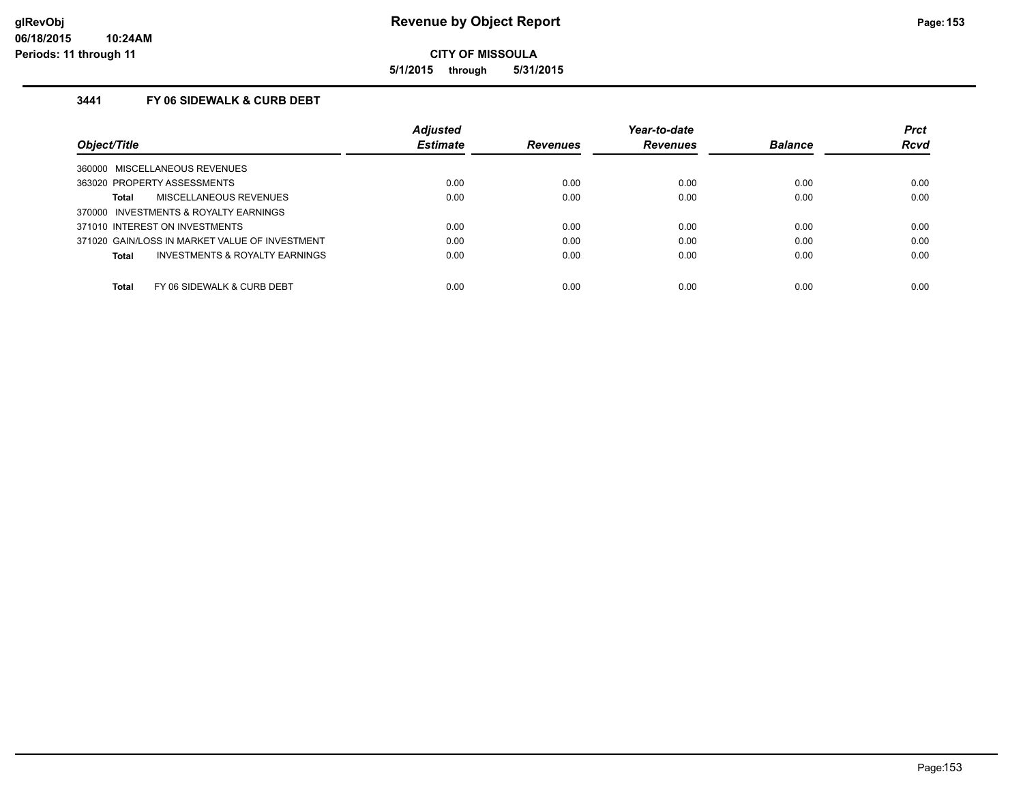**5/1/2015 through 5/31/2015**

### **3441 FY 06 SIDEWALK & CURB DEBT**

|                                                     | <b>Adjusted</b> |                 | Year-to-date    |                | <b>Prct</b> |
|-----------------------------------------------------|-----------------|-----------------|-----------------|----------------|-------------|
| Object/Title                                        | <b>Estimate</b> | <b>Revenues</b> | <b>Revenues</b> | <b>Balance</b> | <b>Rcvd</b> |
| MISCELLANEOUS REVENUES<br>360000                    |                 |                 |                 |                |             |
| 363020 PROPERTY ASSESSMENTS                         | 0.00            | 0.00            | 0.00            | 0.00           | 0.00        |
| <b>MISCELLANEOUS REVENUES</b><br>Total              | 0.00            | 0.00            | 0.00            | 0.00           | 0.00        |
| <b>INVESTMENTS &amp; ROYALTY EARNINGS</b><br>370000 |                 |                 |                 |                |             |
| 371010 INTEREST ON INVESTMENTS                      | 0.00            | 0.00            | 0.00            | 0.00           | 0.00        |
| 371020 GAIN/LOSS IN MARKET VALUE OF INVESTMENT      | 0.00            | 0.00            | 0.00            | 0.00           | 0.00        |
| <b>INVESTMENTS &amp; ROYALTY EARNINGS</b><br>Total  | 0.00            | 0.00            | 0.00            | 0.00           | 0.00        |
| Total<br>FY 06 SIDEWALK & CURB DEBT                 | 0.00            | 0.00            | 0.00            | 0.00           | 0.00        |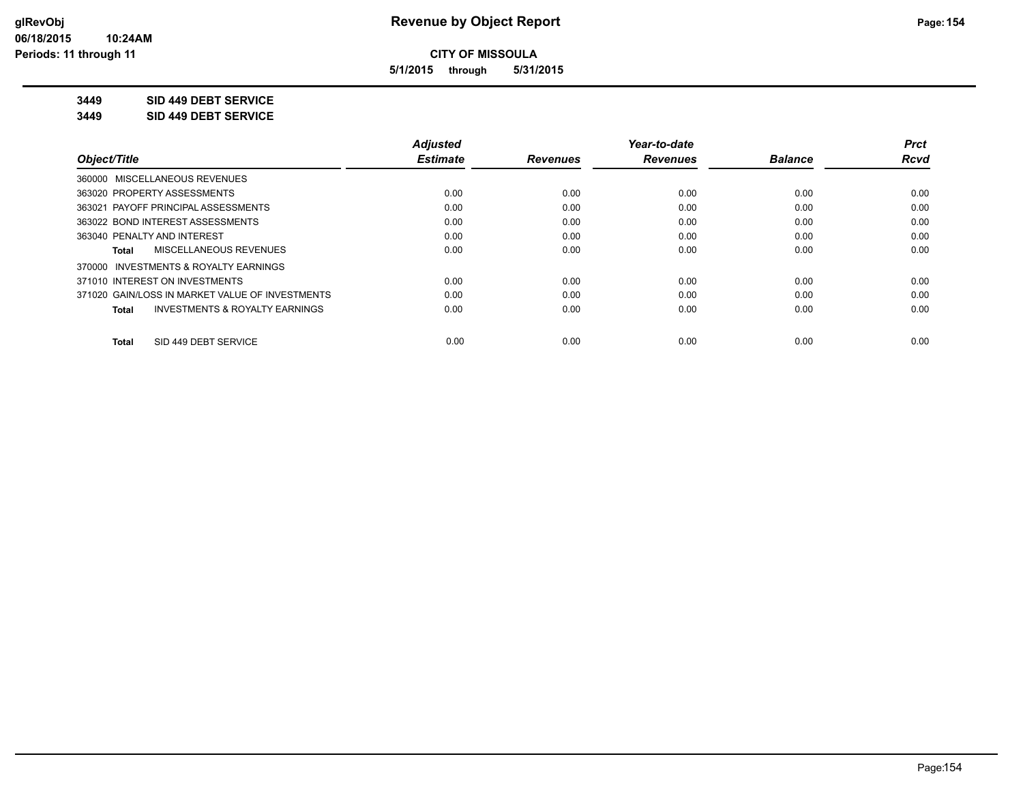**5/1/2015 through 5/31/2015**

**3449 SID 449 DEBT SERVICE**

**3449 SID 449 DEBT SERVICE**

|                                                    | <b>Adjusted</b> |                 | Year-to-date    |                | <b>Prct</b> |
|----------------------------------------------------|-----------------|-----------------|-----------------|----------------|-------------|
| Object/Title                                       | <b>Estimate</b> | <b>Revenues</b> | <b>Revenues</b> | <b>Balance</b> | <b>Rcvd</b> |
| 360000 MISCELLANEOUS REVENUES                      |                 |                 |                 |                |             |
| 363020 PROPERTY ASSESSMENTS                        | 0.00            | 0.00            | 0.00            | 0.00           | 0.00        |
| 363021 PAYOFF PRINCIPAL ASSESSMENTS                | 0.00            | 0.00            | 0.00            | 0.00           | 0.00        |
| 363022 BOND INTEREST ASSESSMENTS                   | 0.00            | 0.00            | 0.00            | 0.00           | 0.00        |
| 363040 PENALTY AND INTEREST                        | 0.00            | 0.00            | 0.00            | 0.00           | 0.00        |
| MISCELLANEOUS REVENUES<br>Total                    | 0.00            | 0.00            | 0.00            | 0.00           | 0.00        |
| 370000 INVESTMENTS & ROYALTY EARNINGS              |                 |                 |                 |                |             |
| 371010 INTEREST ON INVESTMENTS                     | 0.00            | 0.00            | 0.00            | 0.00           | 0.00        |
| 371020 GAIN/LOSS IN MARKET VALUE OF INVESTMENTS    | 0.00            | 0.00            | 0.00            | 0.00           | 0.00        |
| <b>INVESTMENTS &amp; ROYALTY EARNINGS</b><br>Total | 0.00            | 0.00            | 0.00            | 0.00           | 0.00        |
| SID 449 DEBT SERVICE<br>Total                      | 0.00            | 0.00            | 0.00            | 0.00           | 0.00        |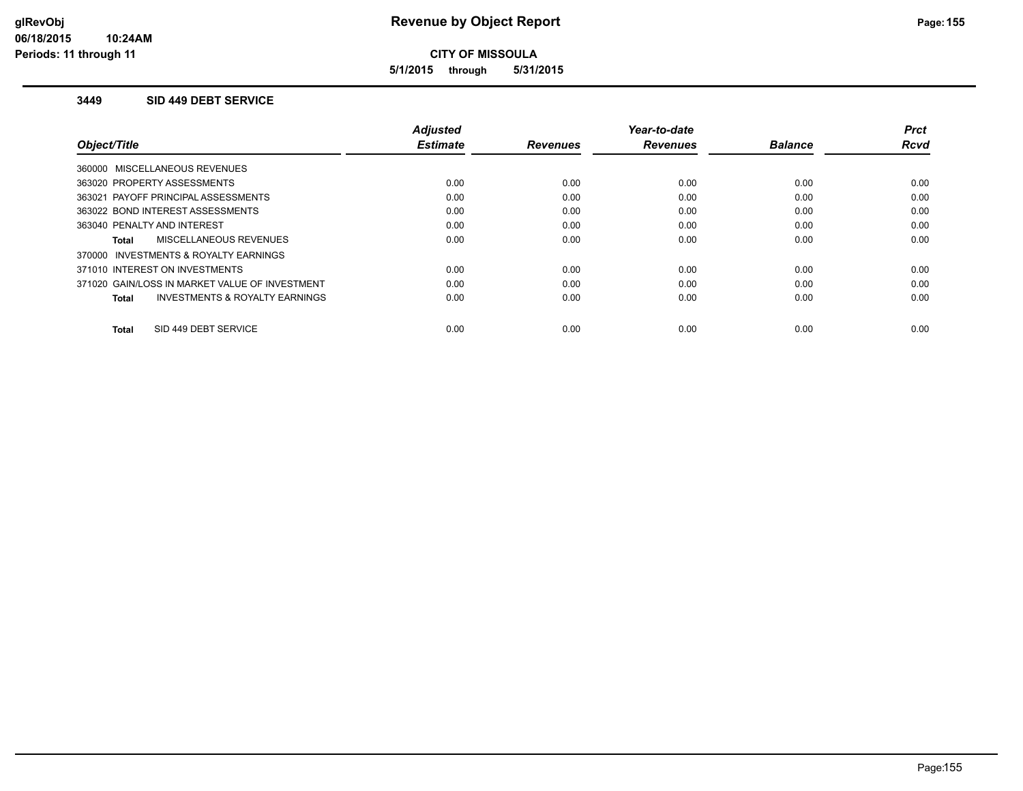**5/1/2015 through 5/31/2015**

#### **3449 SID 449 DEBT SERVICE**

|                                                    | <b>Adjusted</b> |                 | Year-to-date    |                | <b>Prct</b> |
|----------------------------------------------------|-----------------|-----------------|-----------------|----------------|-------------|
| Object/Title                                       | <b>Estimate</b> | <b>Revenues</b> | <b>Revenues</b> | <b>Balance</b> | <b>Rcvd</b> |
| 360000 MISCELLANEOUS REVENUES                      |                 |                 |                 |                |             |
| 363020 PROPERTY ASSESSMENTS                        | 0.00            | 0.00            | 0.00            | 0.00           | 0.00        |
| 363021 PAYOFF PRINCIPAL ASSESSMENTS                | 0.00            | 0.00            | 0.00            | 0.00           | 0.00        |
| 363022 BOND INTEREST ASSESSMENTS                   | 0.00            | 0.00            | 0.00            | 0.00           | 0.00        |
| 363040 PENALTY AND INTEREST                        | 0.00            | 0.00            | 0.00            | 0.00           | 0.00        |
| MISCELLANEOUS REVENUES<br>Total                    | 0.00            | 0.00            | 0.00            | 0.00           | 0.00        |
| INVESTMENTS & ROYALTY EARNINGS<br>370000           |                 |                 |                 |                |             |
| 371010 INTEREST ON INVESTMENTS                     | 0.00            | 0.00            | 0.00            | 0.00           | 0.00        |
| 371020 GAIN/LOSS IN MARKET VALUE OF INVESTMENT     | 0.00            | 0.00            | 0.00            | 0.00           | 0.00        |
| <b>INVESTMENTS &amp; ROYALTY EARNINGS</b><br>Total | 0.00            | 0.00            | 0.00            | 0.00           | 0.00        |
|                                                    |                 |                 |                 |                |             |
| SID 449 DEBT SERVICE<br>Total                      | 0.00            | 0.00            | 0.00            | 0.00           | 0.00        |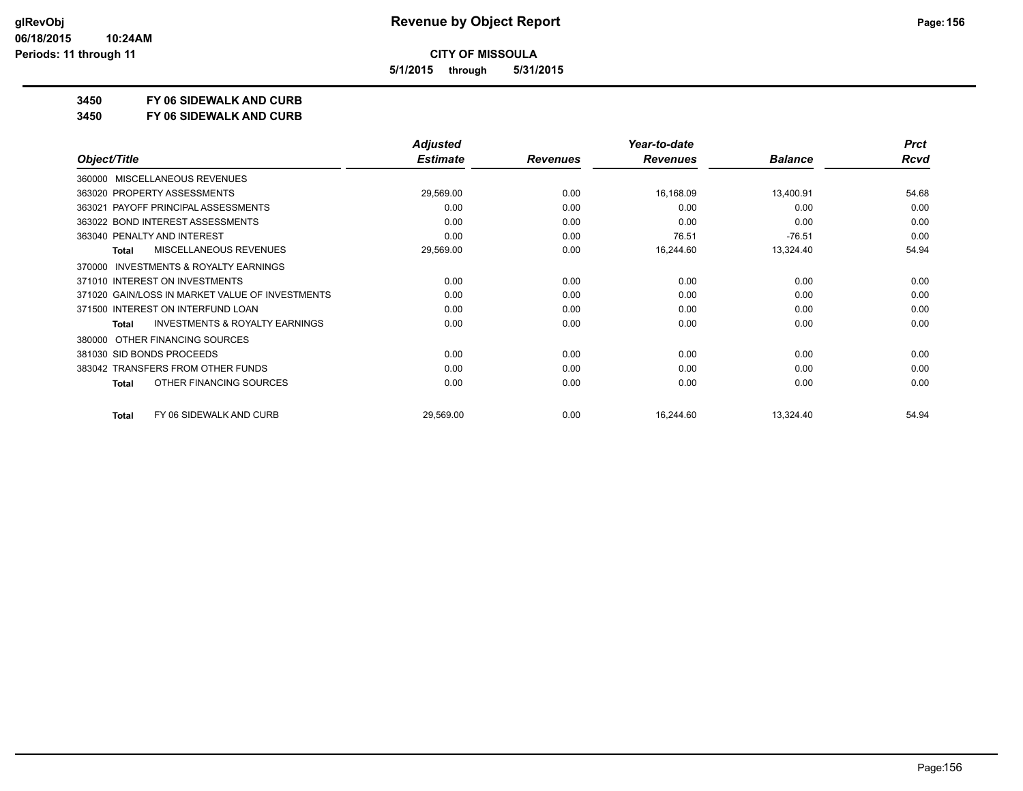**5/1/2015 through 5/31/2015**

**3450 FY 06 SIDEWALK AND CURB**

**3450 FY 06 SIDEWALK AND CURB**

|                                                     | <b>Adjusted</b> |                 | Year-to-date    |                | <b>Prct</b> |
|-----------------------------------------------------|-----------------|-----------------|-----------------|----------------|-------------|
| Object/Title                                        | <b>Estimate</b> | <b>Revenues</b> | <b>Revenues</b> | <b>Balance</b> | <b>Rcvd</b> |
| MISCELLANEOUS REVENUES<br>360000                    |                 |                 |                 |                |             |
| 363020 PROPERTY ASSESSMENTS                         | 29,569.00       | 0.00            | 16,168.09       | 13,400.91      | 54.68       |
| 363021 PAYOFF PRINCIPAL ASSESSMENTS                 | 0.00            | 0.00            | 0.00            | 0.00           | 0.00        |
| 363022 BOND INTEREST ASSESSMENTS                    | 0.00            | 0.00            | 0.00            | 0.00           | 0.00        |
| 363040 PENALTY AND INTEREST                         | 0.00            | 0.00            | 76.51           | $-76.51$       | 0.00        |
| MISCELLANEOUS REVENUES<br>Total                     | 29,569.00       | 0.00            | 16,244.60       | 13,324.40      | 54.94       |
| <b>INVESTMENTS &amp; ROYALTY EARNINGS</b><br>370000 |                 |                 |                 |                |             |
| 371010 INTEREST ON INVESTMENTS                      | 0.00            | 0.00            | 0.00            | 0.00           | 0.00        |
| 371020 GAIN/LOSS IN MARKET VALUE OF INVESTMENTS     | 0.00            | 0.00            | 0.00            | 0.00           | 0.00        |
| 371500 INTEREST ON INTERFUND LOAN                   | 0.00            | 0.00            | 0.00            | 0.00           | 0.00        |
| <b>INVESTMENTS &amp; ROYALTY EARNINGS</b><br>Total  | 0.00            | 0.00            | 0.00            | 0.00           | 0.00        |
| OTHER FINANCING SOURCES<br>380000                   |                 |                 |                 |                |             |
| 381030 SID BONDS PROCEEDS                           | 0.00            | 0.00            | 0.00            | 0.00           | 0.00        |
| 383042 TRANSFERS FROM OTHER FUNDS                   | 0.00            | 0.00            | 0.00            | 0.00           | 0.00        |
| OTHER FINANCING SOURCES<br>Total                    | 0.00            | 0.00            | 0.00            | 0.00           | 0.00        |
| FY 06 SIDEWALK AND CURB<br>Total                    | 29,569.00       | 0.00            | 16,244.60       | 13,324.40      | 54.94       |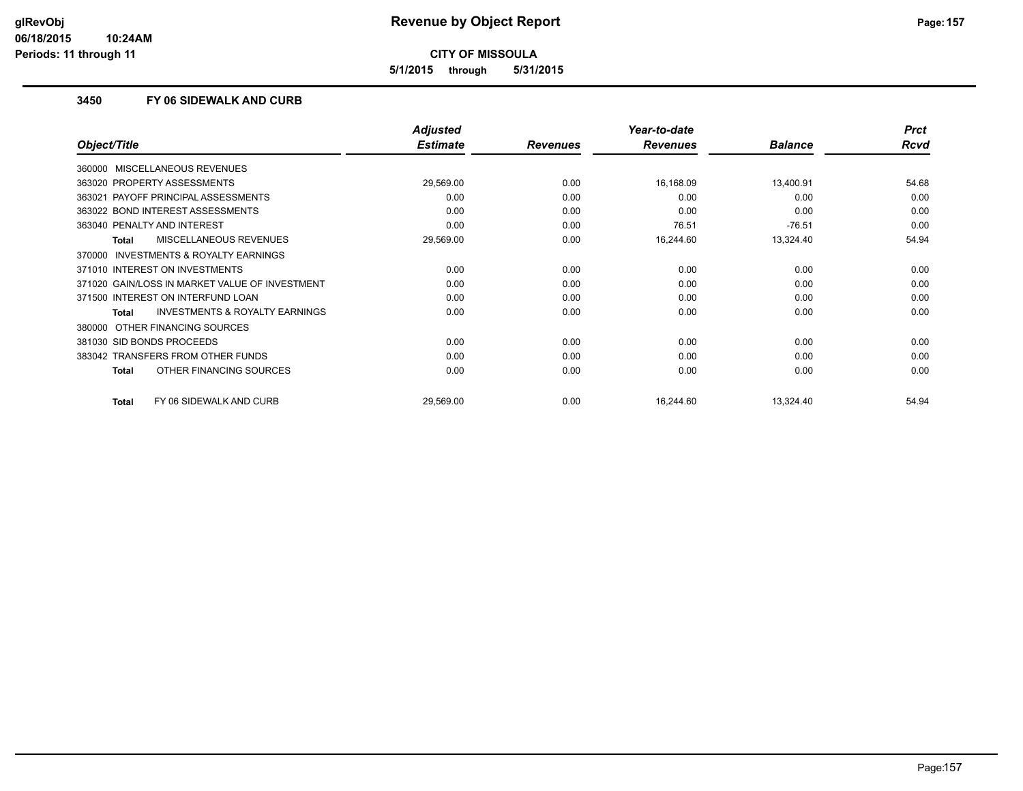**5/1/2015 through 5/31/2015**

#### **3450 FY 06 SIDEWALK AND CURB**

|                                                     | <b>Adjusted</b> |                 | Year-to-date    |                | <b>Prct</b> |
|-----------------------------------------------------|-----------------|-----------------|-----------------|----------------|-------------|
| Object/Title                                        | <b>Estimate</b> | <b>Revenues</b> | <b>Revenues</b> | <b>Balance</b> | <b>Rcvd</b> |
| 360000 MISCELLANEOUS REVENUES                       |                 |                 |                 |                |             |
| 363020 PROPERTY ASSESSMENTS                         | 29,569.00       | 0.00            | 16,168.09       | 13,400.91      | 54.68       |
| 363021 PAYOFF PRINCIPAL ASSESSMENTS                 | 0.00            | 0.00            | 0.00            | 0.00           | 0.00        |
| 363022 BOND INTEREST ASSESSMENTS                    | 0.00            | 0.00            | 0.00            | 0.00           | 0.00        |
| 363040 PENALTY AND INTEREST                         | 0.00            | 0.00            | 76.51           | $-76.51$       | 0.00        |
| MISCELLANEOUS REVENUES<br><b>Total</b>              | 29,569.00       | 0.00            | 16,244.60       | 13,324.40      | 54.94       |
| <b>INVESTMENTS &amp; ROYALTY EARNINGS</b><br>370000 |                 |                 |                 |                |             |
| 371010 INTEREST ON INVESTMENTS                      | 0.00            | 0.00            | 0.00            | 0.00           | 0.00        |
| 371020 GAIN/LOSS IN MARKET VALUE OF INVESTMENT      | 0.00            | 0.00            | 0.00            | 0.00           | 0.00        |
| 371500 INTEREST ON INTERFUND LOAN                   | 0.00            | 0.00            | 0.00            | 0.00           | 0.00        |
| <b>INVESTMENTS &amp; ROYALTY EARNINGS</b><br>Total  | 0.00            | 0.00            | 0.00            | 0.00           | 0.00        |
| 380000 OTHER FINANCING SOURCES                      |                 |                 |                 |                |             |
| 381030 SID BONDS PROCEEDS                           | 0.00            | 0.00            | 0.00            | 0.00           | 0.00        |
| 383042 TRANSFERS FROM OTHER FUNDS                   | 0.00            | 0.00            | 0.00            | 0.00           | 0.00        |
| OTHER FINANCING SOURCES<br><b>Total</b>             | 0.00            | 0.00            | 0.00            | 0.00           | 0.00        |
| FY 06 SIDEWALK AND CURB<br><b>Total</b>             | 29,569.00       | 0.00            | 16,244.60       | 13,324.40      | 54.94       |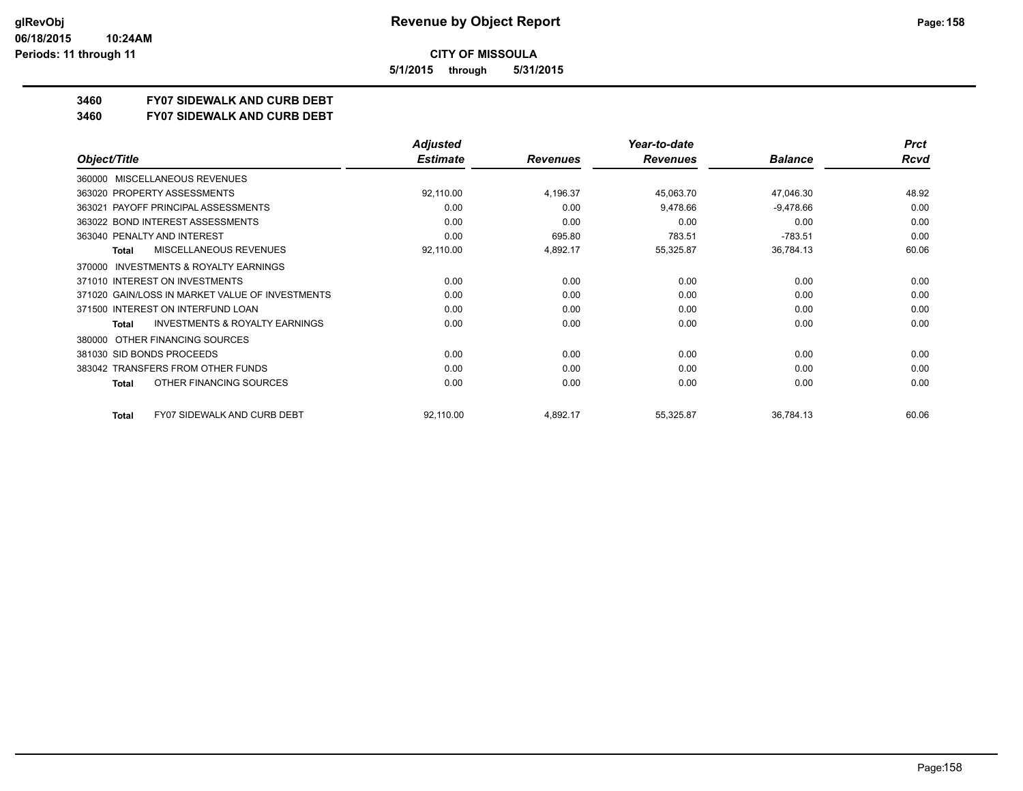**5/1/2015 through 5/31/2015**

## **3460 FY07 SIDEWALK AND CURB DEBT**

**3460 FY07 SIDEWALK AND CURB DEBT**

|                                                     | <b>Adjusted</b> |                 | Year-to-date    |                | <b>Prct</b> |
|-----------------------------------------------------|-----------------|-----------------|-----------------|----------------|-------------|
| Object/Title                                        | <b>Estimate</b> | <b>Revenues</b> | <b>Revenues</b> | <b>Balance</b> | <b>Rcvd</b> |
| <b>MISCELLANEOUS REVENUES</b><br>360000             |                 |                 |                 |                |             |
| 363020 PROPERTY ASSESSMENTS                         | 92,110.00       | 4,196.37        | 45,063.70       | 47,046.30      | 48.92       |
| 363021 PAYOFF PRINCIPAL ASSESSMENTS                 | 0.00            | 0.00            | 9,478.66        | $-9,478.66$    | 0.00        |
| 363022 BOND INTEREST ASSESSMENTS                    | 0.00            | 0.00            | 0.00            | 0.00           | 0.00        |
| 363040 PENALTY AND INTEREST                         | 0.00            | 695.80          | 783.51          | $-783.51$      | 0.00        |
| <b>MISCELLANEOUS REVENUES</b><br><b>Total</b>       | 92,110.00       | 4,892.17        | 55,325.87       | 36,784.13      | 60.06       |
| <b>INVESTMENTS &amp; ROYALTY EARNINGS</b><br>370000 |                 |                 |                 |                |             |
| 371010 INTEREST ON INVESTMENTS                      | 0.00            | 0.00            | 0.00            | 0.00           | 0.00        |
| 371020 GAIN/LOSS IN MARKET VALUE OF INVESTMENTS     | 0.00            | 0.00            | 0.00            | 0.00           | 0.00        |
| 371500 INTEREST ON INTERFUND LOAN                   | 0.00            | 0.00            | 0.00            | 0.00           | 0.00        |
| <b>INVESTMENTS &amp; ROYALTY EARNINGS</b><br>Total  | 0.00            | 0.00            | 0.00            | 0.00           | 0.00        |
| OTHER FINANCING SOURCES<br>380000                   |                 |                 |                 |                |             |
| 381030 SID BONDS PROCEEDS                           | 0.00            | 0.00            | 0.00            | 0.00           | 0.00        |
| 383042 TRANSFERS FROM OTHER FUNDS                   | 0.00            | 0.00            | 0.00            | 0.00           | 0.00        |
| OTHER FINANCING SOURCES<br>Total                    | 0.00            | 0.00            | 0.00            | 0.00           | 0.00        |
| <b>FY07 SIDEWALK AND CURB DEBT</b><br>Total         | 92,110.00       | 4,892.17        | 55,325.87       | 36,784.13      | 60.06       |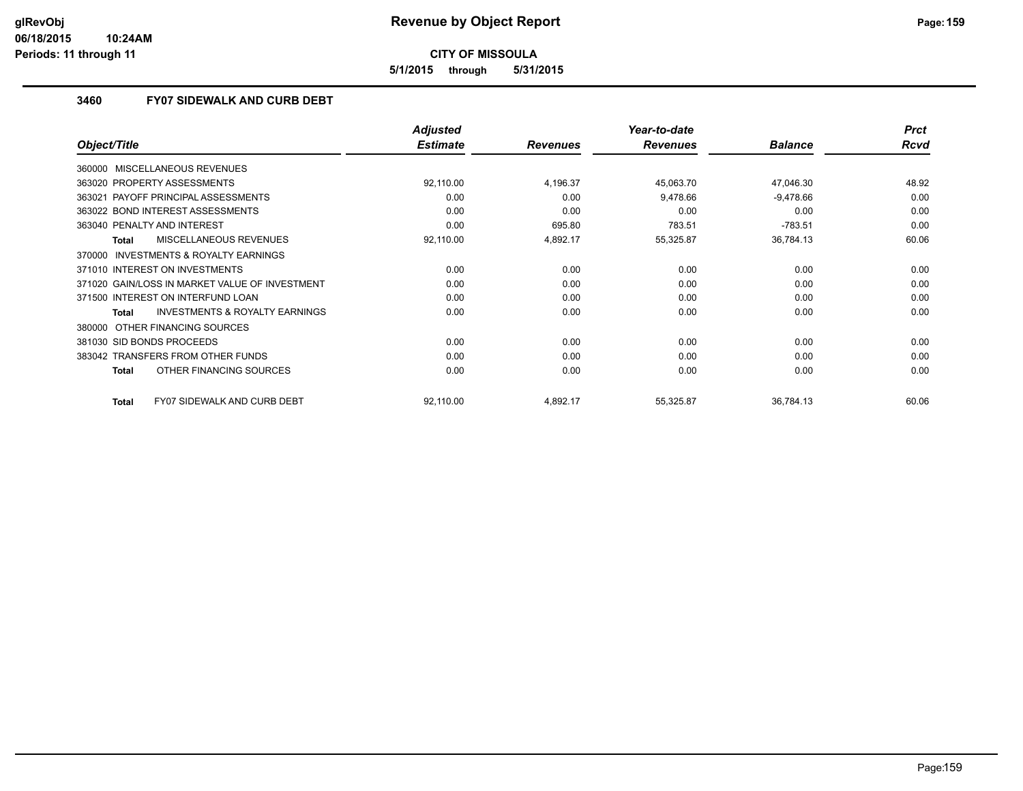**5/1/2015 through 5/31/2015**

#### **3460 FY07 SIDEWALK AND CURB DEBT**

|                                                     | <b>Adjusted</b> |                 | Year-to-date    |                | <b>Prct</b> |
|-----------------------------------------------------|-----------------|-----------------|-----------------|----------------|-------------|
| Object/Title                                        | <b>Estimate</b> | <b>Revenues</b> | <b>Revenues</b> | <b>Balance</b> | Rcvd        |
| 360000 MISCELLANEOUS REVENUES                       |                 |                 |                 |                |             |
| 363020 PROPERTY ASSESSMENTS                         | 92,110.00       | 4,196.37        | 45,063.70       | 47,046.30      | 48.92       |
| 363021 PAYOFF PRINCIPAL ASSESSMENTS                 | 0.00            | 0.00            | 9,478.66        | $-9,478.66$    | 0.00        |
| 363022 BOND INTEREST ASSESSMENTS                    | 0.00            | 0.00            | 0.00            | 0.00           | 0.00        |
| 363040 PENALTY AND INTEREST                         | 0.00            | 695.80          | 783.51          | $-783.51$      | 0.00        |
| <b>MISCELLANEOUS REVENUES</b><br><b>Total</b>       | 92,110.00       | 4,892.17        | 55,325.87       | 36,784.13      | 60.06       |
| <b>INVESTMENTS &amp; ROYALTY EARNINGS</b><br>370000 |                 |                 |                 |                |             |
| 371010 INTEREST ON INVESTMENTS                      | 0.00            | 0.00            | 0.00            | 0.00           | 0.00        |
| 371020 GAIN/LOSS IN MARKET VALUE OF INVESTMENT      | 0.00            | 0.00            | 0.00            | 0.00           | 0.00        |
| 371500 INTEREST ON INTERFUND LOAN                   | 0.00            | 0.00            | 0.00            | 0.00           | 0.00        |
| <b>INVESTMENTS &amp; ROYALTY EARNINGS</b><br>Total  | 0.00            | 0.00            | 0.00            | 0.00           | 0.00        |
| 380000 OTHER FINANCING SOURCES                      |                 |                 |                 |                |             |
| 381030 SID BONDS PROCEEDS                           | 0.00            | 0.00            | 0.00            | 0.00           | 0.00        |
| 383042 TRANSFERS FROM OTHER FUNDS                   | 0.00            | 0.00            | 0.00            | 0.00           | 0.00        |
| OTHER FINANCING SOURCES<br><b>Total</b>             | 0.00            | 0.00            | 0.00            | 0.00           | 0.00        |
| <b>FY07 SIDEWALK AND CURB DEBT</b><br>Total         | 92,110.00       | 4,892.17        | 55,325.87       | 36,784.13      | 60.06       |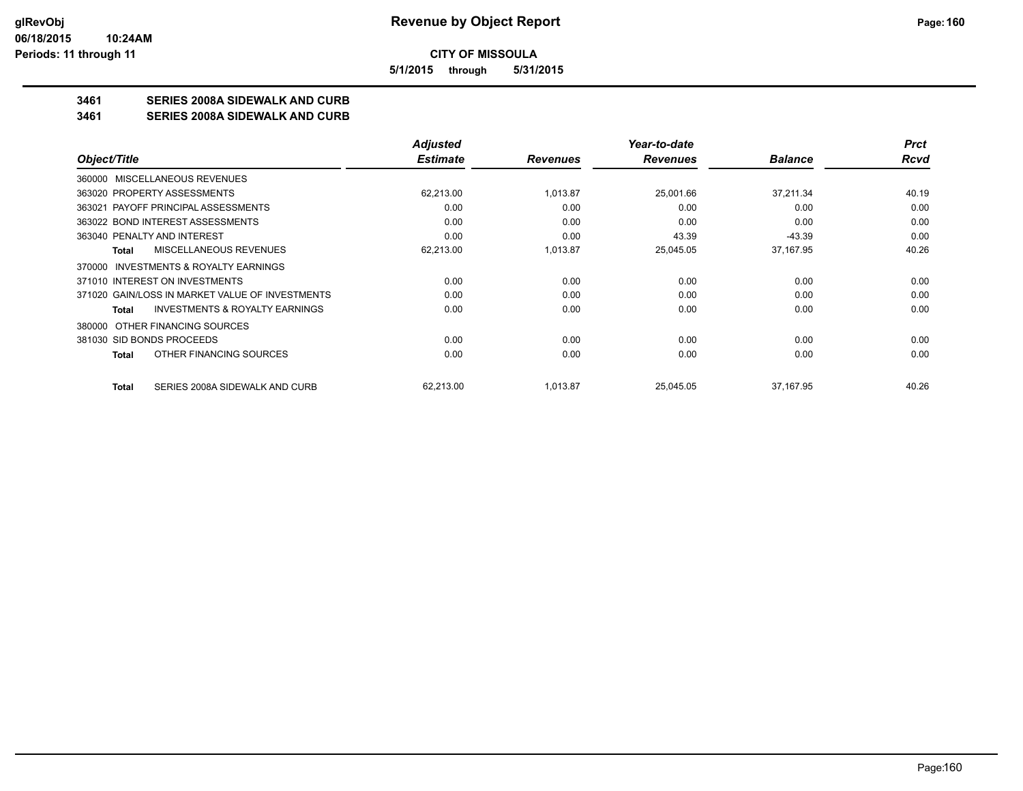**5/1/2015 through 5/31/2015**

### **3461 SERIES 2008A SIDEWALK AND CURB**

**3461 SERIES 2008A SIDEWALK AND CURB**

|                                                    | <b>Adjusted</b> |                 | Year-to-date    |                | <b>Prct</b> |
|----------------------------------------------------|-----------------|-----------------|-----------------|----------------|-------------|
| Object/Title                                       | <b>Estimate</b> | <b>Revenues</b> | <b>Revenues</b> | <b>Balance</b> | Rcvd        |
| 360000 MISCELLANEOUS REVENUES                      |                 |                 |                 |                |             |
| 363020 PROPERTY ASSESSMENTS                        | 62,213.00       | 1.013.87        | 25,001.66       | 37,211.34      | 40.19       |
| 363021 PAYOFF PRINCIPAL ASSESSMENTS                | 0.00            | 0.00            | 0.00            | 0.00           | 0.00        |
| 363022 BOND INTEREST ASSESSMENTS                   | 0.00            | 0.00            | 0.00            | 0.00           | 0.00        |
| 363040 PENALTY AND INTEREST                        | 0.00            | 0.00            | 43.39           | $-43.39$       | 0.00        |
| MISCELLANEOUS REVENUES<br>Total                    | 62,213.00       | 1,013.87        | 25,045.05       | 37,167.95      | 40.26       |
| 370000 INVESTMENTS & ROYALTY EARNINGS              |                 |                 |                 |                |             |
| 371010 INTEREST ON INVESTMENTS                     | 0.00            | 0.00            | 0.00            | 0.00           | 0.00        |
| 371020 GAIN/LOSS IN MARKET VALUE OF INVESTMENTS    | 0.00            | 0.00            | 0.00            | 0.00           | 0.00        |
| <b>INVESTMENTS &amp; ROYALTY EARNINGS</b><br>Total | 0.00            | 0.00            | 0.00            | 0.00           | 0.00        |
| OTHER FINANCING SOURCES<br>380000                  |                 |                 |                 |                |             |
| 381030 SID BONDS PROCEEDS                          | 0.00            | 0.00            | 0.00            | 0.00           | 0.00        |
| OTHER FINANCING SOURCES<br>Total                   | 0.00            | 0.00            | 0.00            | 0.00           | 0.00        |
| SERIES 2008A SIDEWALK AND CURB<br><b>Total</b>     | 62,213.00       | 1,013.87        | 25,045.05       | 37,167.95      | 40.26       |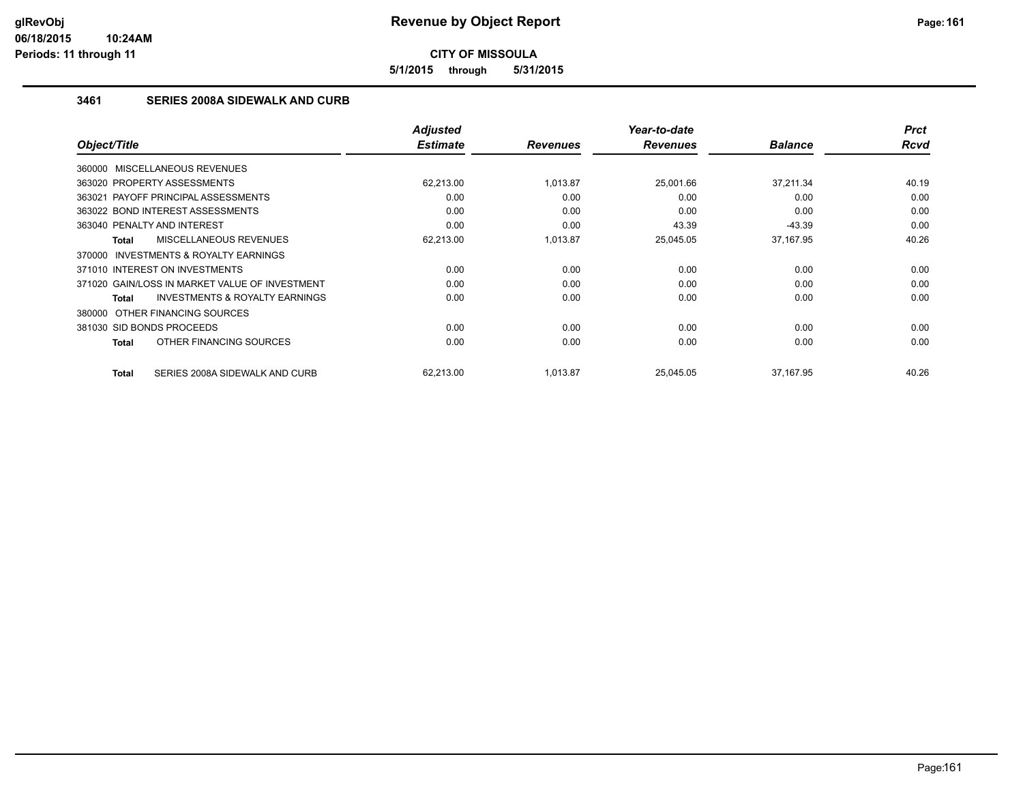**5/1/2015 through 5/31/2015**

#### **3461 SERIES 2008A SIDEWALK AND CURB**

| Object/Title                                        | <b>Adjusted</b><br><b>Estimate</b> |                 | Year-to-date<br><b>Revenues</b> | <b>Balance</b> | <b>Prct</b><br><b>Rcvd</b> |
|-----------------------------------------------------|------------------------------------|-----------------|---------------------------------|----------------|----------------------------|
|                                                     |                                    | <b>Revenues</b> |                                 |                |                            |
| 360000 MISCELLANEOUS REVENUES                       |                                    |                 |                                 |                |                            |
| 363020 PROPERTY ASSESSMENTS                         | 62.213.00                          | 1,013.87        | 25.001.66                       | 37.211.34      | 40.19                      |
| 363021 PAYOFF PRINCIPAL ASSESSMENTS                 | 0.00                               | 0.00            | 0.00                            | 0.00           | 0.00                       |
| 363022 BOND INTEREST ASSESSMENTS                    | 0.00                               | 0.00            | 0.00                            | 0.00           | 0.00                       |
| 363040 PENALTY AND INTEREST                         | 0.00                               | 0.00            | 43.39                           | $-43.39$       | 0.00                       |
| <b>MISCELLANEOUS REVENUES</b><br>Total              | 62,213.00                          | 1,013.87        | 25,045.05                       | 37,167.95      | 40.26                      |
| <b>INVESTMENTS &amp; ROYALTY EARNINGS</b><br>370000 |                                    |                 |                                 |                |                            |
| 371010 INTEREST ON INVESTMENTS                      | 0.00                               | 0.00            | 0.00                            | 0.00           | 0.00                       |
| 371020 GAIN/LOSS IN MARKET VALUE OF INVESTMENT      | 0.00                               | 0.00            | 0.00                            | 0.00           | 0.00                       |
| <b>INVESTMENTS &amp; ROYALTY EARNINGS</b><br>Total  | 0.00                               | 0.00            | 0.00                            | 0.00           | 0.00                       |
| 380000 OTHER FINANCING SOURCES                      |                                    |                 |                                 |                |                            |
| 381030 SID BONDS PROCEEDS                           | 0.00                               | 0.00            | 0.00                            | 0.00           | 0.00                       |
| OTHER FINANCING SOURCES<br>Total                    | 0.00                               | 0.00            | 0.00                            | 0.00           | 0.00                       |
| SERIES 2008A SIDEWALK AND CURB<br>Total             | 62.213.00                          | 1,013.87        | 25.045.05                       | 37,167.95      | 40.26                      |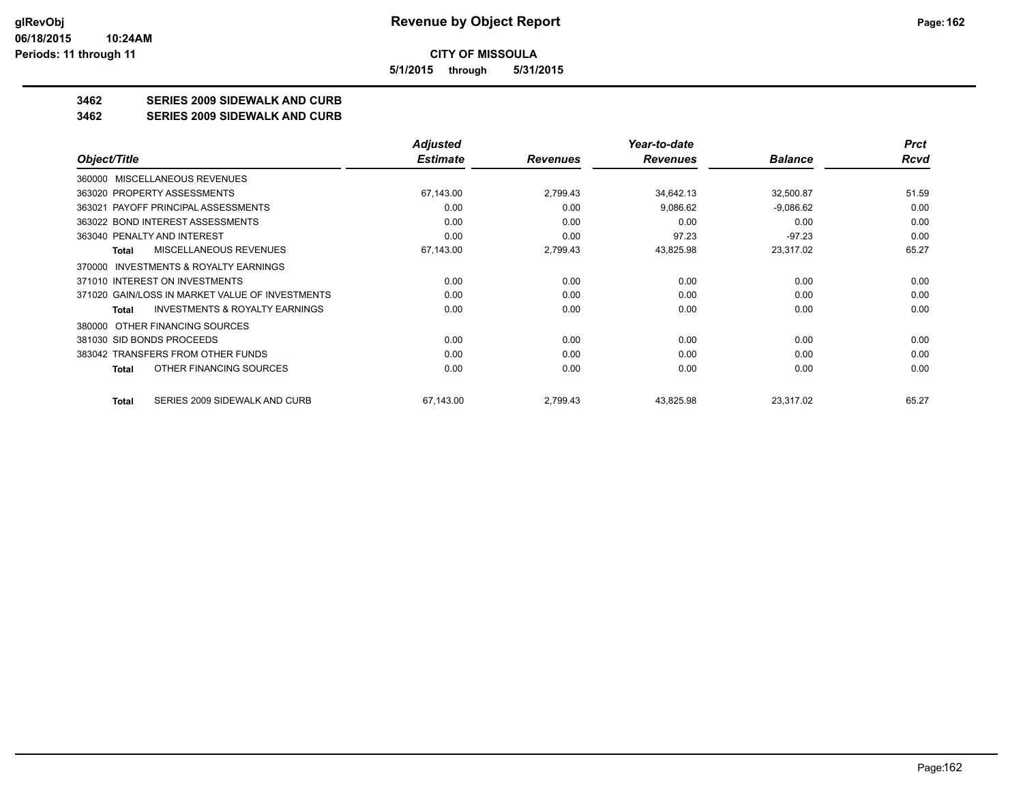**5/1/2015 through 5/31/2015**

## **3462 SERIES 2009 SIDEWALK AND CURB**

#### **3462 SERIES 2009 SIDEWALK AND CURB**

|                                                    | Adjusted        |                 | Year-to-date    |                | <b>Prct</b> |
|----------------------------------------------------|-----------------|-----------------|-----------------|----------------|-------------|
| Object/Title                                       | <b>Estimate</b> | <b>Revenues</b> | <b>Revenues</b> | <b>Balance</b> | Rcvd        |
| <b>MISCELLANEOUS REVENUES</b><br>360000            |                 |                 |                 |                |             |
| 363020 PROPERTY ASSESSMENTS                        | 67,143.00       | 2,799.43        | 34,642.13       | 32,500.87      | 51.59       |
| 363021 PAYOFF PRINCIPAL ASSESSMENTS                | 0.00            | 0.00            | 9,086.62        | $-9,086.62$    | 0.00        |
| 363022 BOND INTEREST ASSESSMENTS                   | 0.00            | 0.00            | 0.00            | 0.00           | 0.00        |
| 363040 PENALTY AND INTEREST                        | 0.00            | 0.00            | 97.23           | $-97.23$       | 0.00        |
| MISCELLANEOUS REVENUES<br>Total                    | 67,143.00       | 2,799.43        | 43,825.98       | 23,317.02      | 65.27       |
| INVESTMENTS & ROYALTY EARNINGS<br>370000           |                 |                 |                 |                |             |
| 371010 INTEREST ON INVESTMENTS                     | 0.00            | 0.00            | 0.00            | 0.00           | 0.00        |
| 371020 GAIN/LOSS IN MARKET VALUE OF INVESTMENTS    | 0.00            | 0.00            | 0.00            | 0.00           | 0.00        |
| <b>INVESTMENTS &amp; ROYALTY EARNINGS</b><br>Total | 0.00            | 0.00            | 0.00            | 0.00           | 0.00        |
| OTHER FINANCING SOURCES<br>380000                  |                 |                 |                 |                |             |
| 381030 SID BONDS PROCEEDS                          | 0.00            | 0.00            | 0.00            | 0.00           | 0.00        |
| 383042 TRANSFERS FROM OTHER FUNDS                  | 0.00            | 0.00            | 0.00            | 0.00           | 0.00        |
| OTHER FINANCING SOURCES<br>Total                   | 0.00            | 0.00            | 0.00            | 0.00           | 0.00        |
| SERIES 2009 SIDEWALK AND CURB<br>Total             | 67,143.00       | 2,799.43        | 43,825.98       | 23,317.02      | 65.27       |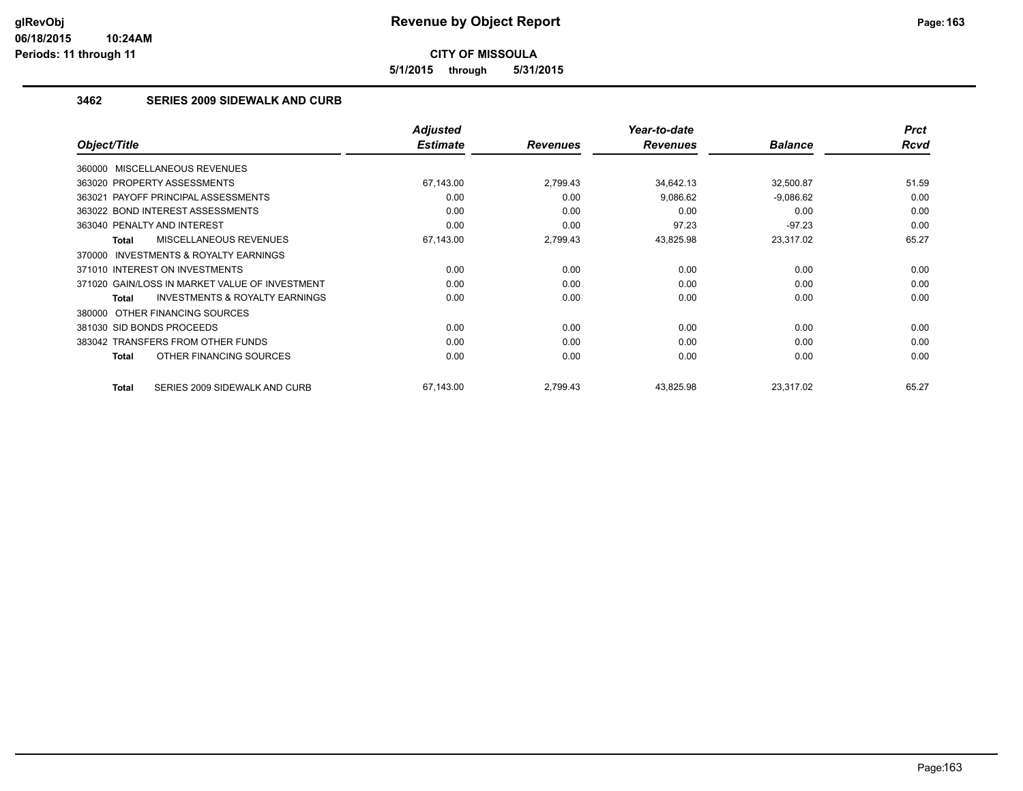**5/1/2015 through 5/31/2015**

#### **3462 SERIES 2009 SIDEWALK AND CURB**

|                                                           | <b>Adjusted</b> |                 | Year-to-date    |                | <b>Prct</b> |
|-----------------------------------------------------------|-----------------|-----------------|-----------------|----------------|-------------|
| Object/Title                                              | <b>Estimate</b> | <b>Revenues</b> | <b>Revenues</b> | <b>Balance</b> | <b>Rcvd</b> |
| 360000 MISCELLANEOUS REVENUES                             |                 |                 |                 |                |             |
| 363020 PROPERTY ASSESSMENTS                               | 67,143.00       | 2,799.43        | 34,642.13       | 32,500.87      | 51.59       |
| 363021 PAYOFF PRINCIPAL ASSESSMENTS                       | 0.00            | 0.00            | 9,086.62        | $-9,086.62$    | 0.00        |
| 363022 BOND INTEREST ASSESSMENTS                          | 0.00            | 0.00            | 0.00            | 0.00           | 0.00        |
| 363040 PENALTY AND INTEREST                               | 0.00            | 0.00            | 97.23           | $-97.23$       | 0.00        |
| <b>MISCELLANEOUS REVENUES</b><br><b>Total</b>             | 67,143.00       | 2,799.43        | 43,825.98       | 23,317.02      | 65.27       |
| <b>INVESTMENTS &amp; ROYALTY EARNINGS</b><br>370000       |                 |                 |                 |                |             |
| 371010 INTEREST ON INVESTMENTS                            | 0.00            | 0.00            | 0.00            | 0.00           | 0.00        |
| 371020 GAIN/LOSS IN MARKET VALUE OF INVESTMENT            | 0.00            | 0.00            | 0.00            | 0.00           | 0.00        |
| <b>INVESTMENTS &amp; ROYALTY EARNINGS</b><br><b>Total</b> | 0.00            | 0.00            | 0.00            | 0.00           | 0.00        |
| 380000 OTHER FINANCING SOURCES                            |                 |                 |                 |                |             |
| 381030 SID BONDS PROCEEDS                                 | 0.00            | 0.00            | 0.00            | 0.00           | 0.00        |
| 383042 TRANSFERS FROM OTHER FUNDS                         | 0.00            | 0.00            | 0.00            | 0.00           | 0.00        |
| OTHER FINANCING SOURCES<br><b>Total</b>                   | 0.00            | 0.00            | 0.00            | 0.00           | 0.00        |
| <b>Total</b><br>SERIES 2009 SIDEWALK AND CURB             | 67.143.00       | 2,799.43        | 43,825.98       | 23,317.02      | 65.27       |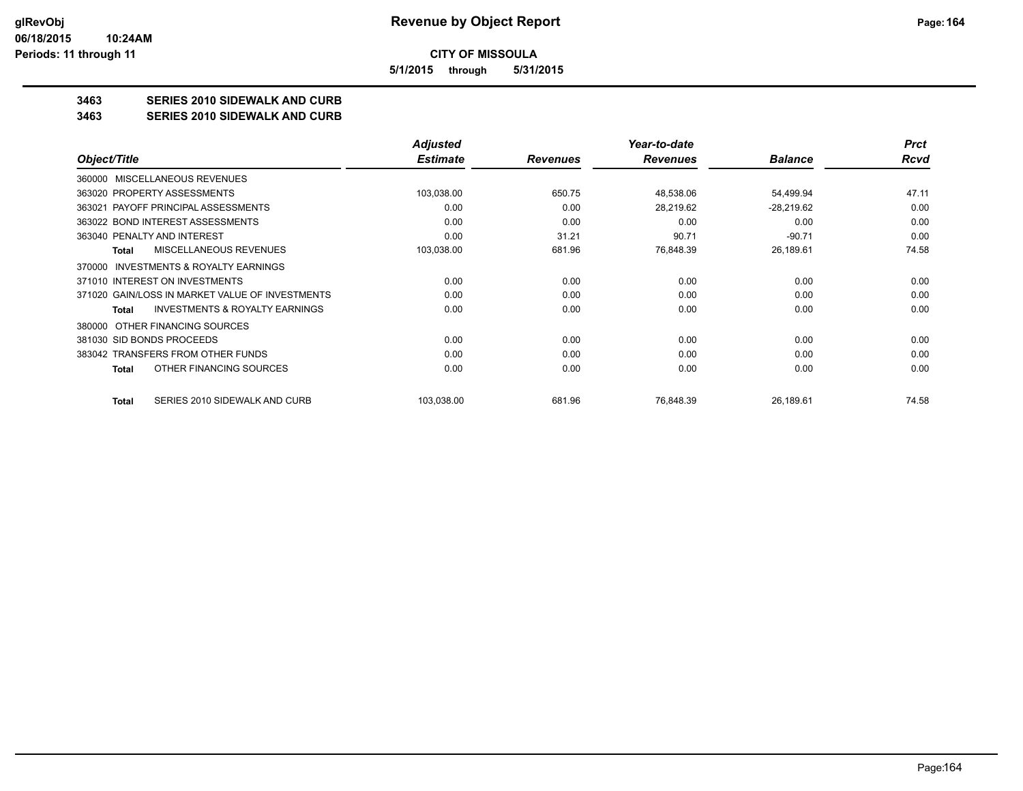**5/1/2015 through 5/31/2015**

## **3463 SERIES 2010 SIDEWALK AND CURB**

#### **3463 SERIES 2010 SIDEWALK AND CURB**

|                                                     | <b>Adjusted</b> |                 | Year-to-date    |                | <b>Prct</b> |
|-----------------------------------------------------|-----------------|-----------------|-----------------|----------------|-------------|
| Object/Title                                        | <b>Estimate</b> | <b>Revenues</b> | <b>Revenues</b> | <b>Balance</b> | Rcvd        |
| <b>MISCELLANEOUS REVENUES</b><br>360000             |                 |                 |                 |                |             |
| 363020 PROPERTY ASSESSMENTS                         | 103,038.00      | 650.75          | 48,538.06       | 54,499.94      | 47.11       |
| 363021 PAYOFF PRINCIPAL ASSESSMENTS                 | 0.00            | 0.00            | 28,219.62       | $-28,219.62$   | 0.00        |
| 363022 BOND INTEREST ASSESSMENTS                    | 0.00            | 0.00            | 0.00            | 0.00           | 0.00        |
| 363040 PENALTY AND INTEREST                         | 0.00            | 31.21           | 90.71           | $-90.71$       | 0.00        |
| MISCELLANEOUS REVENUES<br><b>Total</b>              | 103,038.00      | 681.96          | 76,848.39       | 26,189.61      | 74.58       |
| <b>INVESTMENTS &amp; ROYALTY EARNINGS</b><br>370000 |                 |                 |                 |                |             |
| 371010 INTEREST ON INVESTMENTS                      | 0.00            | 0.00            | 0.00            | 0.00           | 0.00        |
| 371020 GAIN/LOSS IN MARKET VALUE OF INVESTMENTS     | 0.00            | 0.00            | 0.00            | 0.00           | 0.00        |
| INVESTMENTS & ROYALTY EARNINGS<br>Total             | 0.00            | 0.00            | 0.00            | 0.00           | 0.00        |
| OTHER FINANCING SOURCES<br>380000                   |                 |                 |                 |                |             |
| 381030 SID BONDS PROCEEDS                           | 0.00            | 0.00            | 0.00            | 0.00           | 0.00        |
| 383042 TRANSFERS FROM OTHER FUNDS                   | 0.00            | 0.00            | 0.00            | 0.00           | 0.00        |
| OTHER FINANCING SOURCES<br>Total                    | 0.00            | 0.00            | 0.00            | 0.00           | 0.00        |
| SERIES 2010 SIDEWALK AND CURB<br>Total              | 103,038.00      | 681.96          | 76,848.39       | 26,189.61      | 74.58       |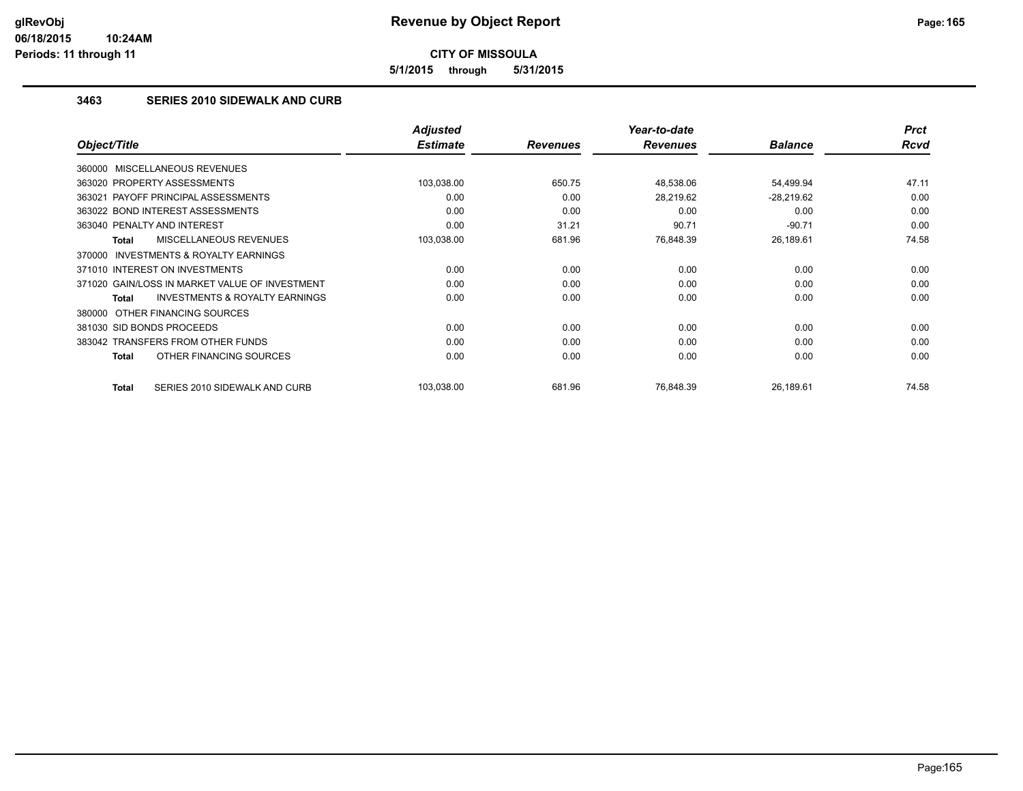**5/1/2015 through 5/31/2015**

#### **3463 SERIES 2010 SIDEWALK AND CURB**

|                                                           | <b>Adjusted</b> |                 | Year-to-date    |                | <b>Prct</b> |
|-----------------------------------------------------------|-----------------|-----------------|-----------------|----------------|-------------|
| Object/Title                                              | <b>Estimate</b> | <b>Revenues</b> | <b>Revenues</b> | <b>Balance</b> | <b>Rcvd</b> |
| 360000 MISCELLANEOUS REVENUES                             |                 |                 |                 |                |             |
| 363020 PROPERTY ASSESSMENTS                               | 103,038.00      | 650.75          | 48,538.06       | 54,499.94      | 47.11       |
| 363021 PAYOFF PRINCIPAL ASSESSMENTS                       | 0.00            | 0.00            | 28,219.62       | $-28,219.62$   | 0.00        |
| 363022 BOND INTEREST ASSESSMENTS                          | 0.00            | 0.00            | 0.00            | 0.00           | 0.00        |
| 363040 PENALTY AND INTEREST                               | 0.00            | 31.21           | 90.71           | $-90.71$       | 0.00        |
| MISCELLANEOUS REVENUES<br>Total                           | 103,038.00      | 681.96          | 76,848.39       | 26,189.61      | 74.58       |
| INVESTMENTS & ROYALTY EARNINGS<br>370000                  |                 |                 |                 |                |             |
| 371010 INTEREST ON INVESTMENTS                            | 0.00            | 0.00            | 0.00            | 0.00           | 0.00        |
| 371020 GAIN/LOSS IN MARKET VALUE OF INVESTMENT            | 0.00            | 0.00            | 0.00            | 0.00           | 0.00        |
| <b>INVESTMENTS &amp; ROYALTY EARNINGS</b><br><b>Total</b> | 0.00            | 0.00            | 0.00            | 0.00           | 0.00        |
| 380000 OTHER FINANCING SOURCES                            |                 |                 |                 |                |             |
| 381030 SID BONDS PROCEEDS                                 | 0.00            | 0.00            | 0.00            | 0.00           | 0.00        |
| 383042 TRANSFERS FROM OTHER FUNDS                         | 0.00            | 0.00            | 0.00            | 0.00           | 0.00        |
| OTHER FINANCING SOURCES<br>Total                          | 0.00            | 0.00            | 0.00            | 0.00           | 0.00        |
| <b>Total</b><br>SERIES 2010 SIDEWALK AND CURB             | 103,038.00      | 681.96          | 76,848.39       | 26,189.61      | 74.58       |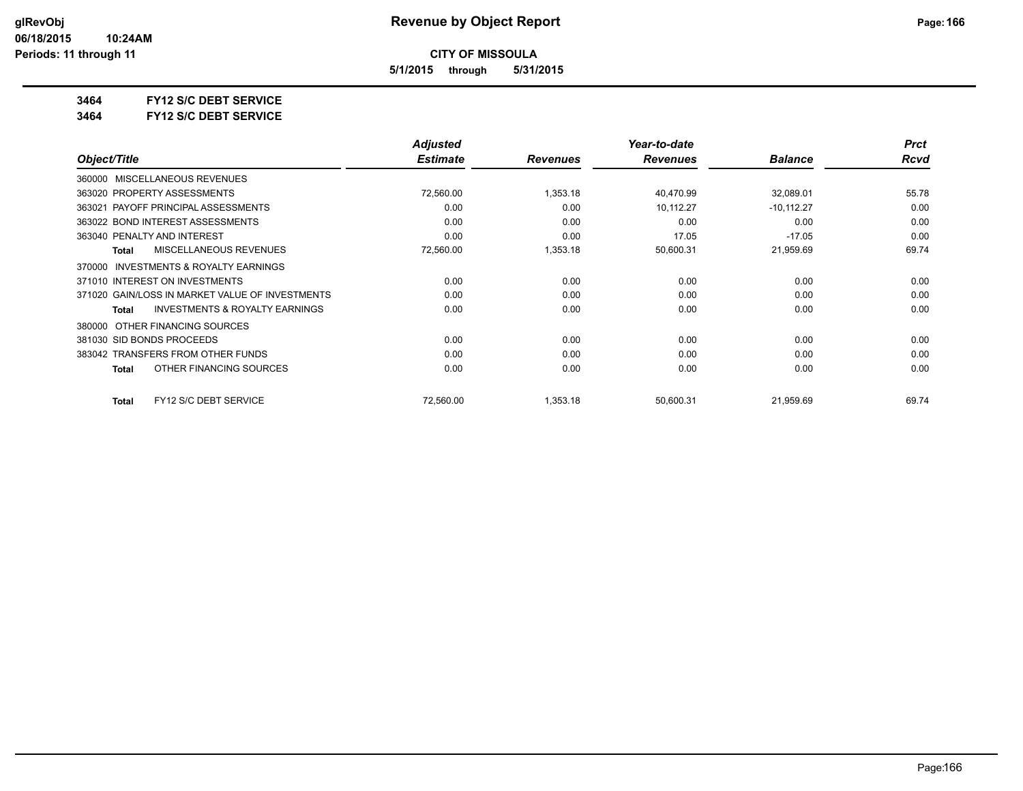**5/1/2015 through 5/31/2015**

**3464 FY12 S/C DEBT SERVICE**

**3464 FY12 S/C DEBT SERVICE**

|                                                    | <b>Adjusted</b> |                 | Year-to-date    |                | <b>Prct</b> |
|----------------------------------------------------|-----------------|-----------------|-----------------|----------------|-------------|
| Object/Title                                       | <b>Estimate</b> | <b>Revenues</b> | <b>Revenues</b> | <b>Balance</b> | Rcvd        |
| MISCELLANEOUS REVENUES<br>360000                   |                 |                 |                 |                |             |
| 363020 PROPERTY ASSESSMENTS                        | 72,560.00       | 1,353.18        | 40,470.99       | 32,089.01      | 55.78       |
| 363021 PAYOFF PRINCIPAL ASSESSMENTS                | 0.00            | 0.00            | 10.112.27       | $-10, 112.27$  | 0.00        |
| 363022 BOND INTEREST ASSESSMENTS                   | 0.00            | 0.00            | 0.00            | 0.00           | 0.00        |
| 363040 PENALTY AND INTEREST                        | 0.00            | 0.00            | 17.05           | $-17.05$       | 0.00        |
| <b>MISCELLANEOUS REVENUES</b><br>Total             | 72,560.00       | 1,353.18        | 50,600.31       | 21,959.69      | 69.74       |
| INVESTMENTS & ROYALTY EARNINGS<br>370000           |                 |                 |                 |                |             |
| 371010 INTEREST ON INVESTMENTS                     | 0.00            | 0.00            | 0.00            | 0.00           | 0.00        |
| 371020 GAIN/LOSS IN MARKET VALUE OF INVESTMENTS    | 0.00            | 0.00            | 0.00            | 0.00           | 0.00        |
| <b>INVESTMENTS &amp; ROYALTY EARNINGS</b><br>Total | 0.00            | 0.00            | 0.00            | 0.00           | 0.00        |
| OTHER FINANCING SOURCES<br>380000                  |                 |                 |                 |                |             |
| 381030 SID BONDS PROCEEDS                          | 0.00            | 0.00            | 0.00            | 0.00           | 0.00        |
| 383042 TRANSFERS FROM OTHER FUNDS                  | 0.00            | 0.00            | 0.00            | 0.00           | 0.00        |
| OTHER FINANCING SOURCES<br><b>Total</b>            | 0.00            | 0.00            | 0.00            | 0.00           | 0.00        |
| FY12 S/C DEBT SERVICE<br><b>Total</b>              | 72,560.00       | 1,353.18        | 50,600.31       | 21,959.69      | 69.74       |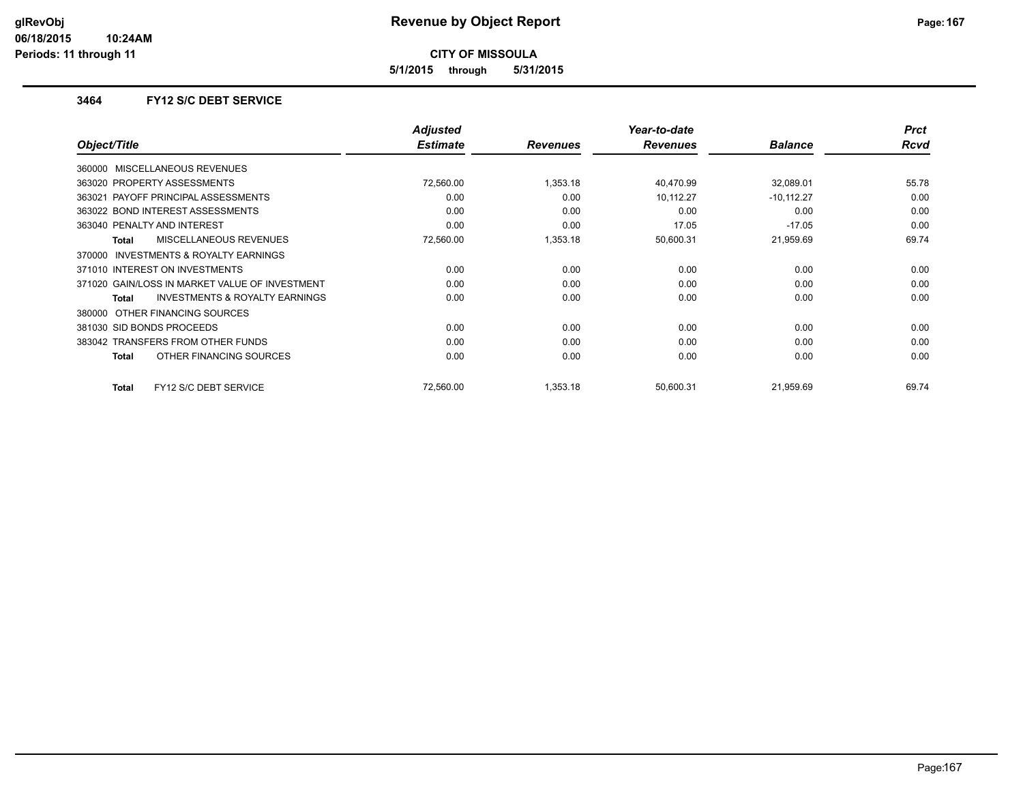**5/1/2015 through 5/31/2015**

#### **3464 FY12 S/C DEBT SERVICE**

|                                                     | <b>Adjusted</b> |                 | Year-to-date    |                | <b>Prct</b> |
|-----------------------------------------------------|-----------------|-----------------|-----------------|----------------|-------------|
| Object/Title                                        | <b>Estimate</b> | <b>Revenues</b> | <b>Revenues</b> | <b>Balance</b> | Rcvd        |
| 360000 MISCELLANEOUS REVENUES                       |                 |                 |                 |                |             |
| 363020 PROPERTY ASSESSMENTS                         | 72,560.00       | 1,353.18        | 40,470.99       | 32,089.01      | 55.78       |
| 363021 PAYOFF PRINCIPAL ASSESSMENTS                 | 0.00            | 0.00            | 10,112.27       | $-10,112.27$   | 0.00        |
| 363022 BOND INTEREST ASSESSMENTS                    | 0.00            | 0.00            | 0.00            | 0.00           | 0.00        |
| 363040 PENALTY AND INTEREST                         | 0.00            | 0.00            | 17.05           | $-17.05$       | 0.00        |
| <b>MISCELLANEOUS REVENUES</b><br>Total              | 72,560.00       | 1,353.18        | 50,600.31       | 21,959.69      | 69.74       |
| <b>INVESTMENTS &amp; ROYALTY EARNINGS</b><br>370000 |                 |                 |                 |                |             |
| 371010 INTEREST ON INVESTMENTS                      | 0.00            | 0.00            | 0.00            | 0.00           | 0.00        |
| 371020 GAIN/LOSS IN MARKET VALUE OF INVESTMENT      | 0.00            | 0.00            | 0.00            | 0.00           | 0.00        |
| <b>INVESTMENTS &amp; ROYALTY EARNINGS</b><br>Total  | 0.00            | 0.00            | 0.00            | 0.00           | 0.00        |
| 380000 OTHER FINANCING SOURCES                      |                 |                 |                 |                |             |
| 381030 SID BONDS PROCEEDS                           | 0.00            | 0.00            | 0.00            | 0.00           | 0.00        |
| 383042 TRANSFERS FROM OTHER FUNDS                   | 0.00            | 0.00            | 0.00            | 0.00           | 0.00        |
| OTHER FINANCING SOURCES<br>Total                    | 0.00            | 0.00            | 0.00            | 0.00           | 0.00        |
| FY12 S/C DEBT SERVICE<br>Total                      | 72,560.00       | 1,353.18        | 50,600.31       | 21,959.69      | 69.74       |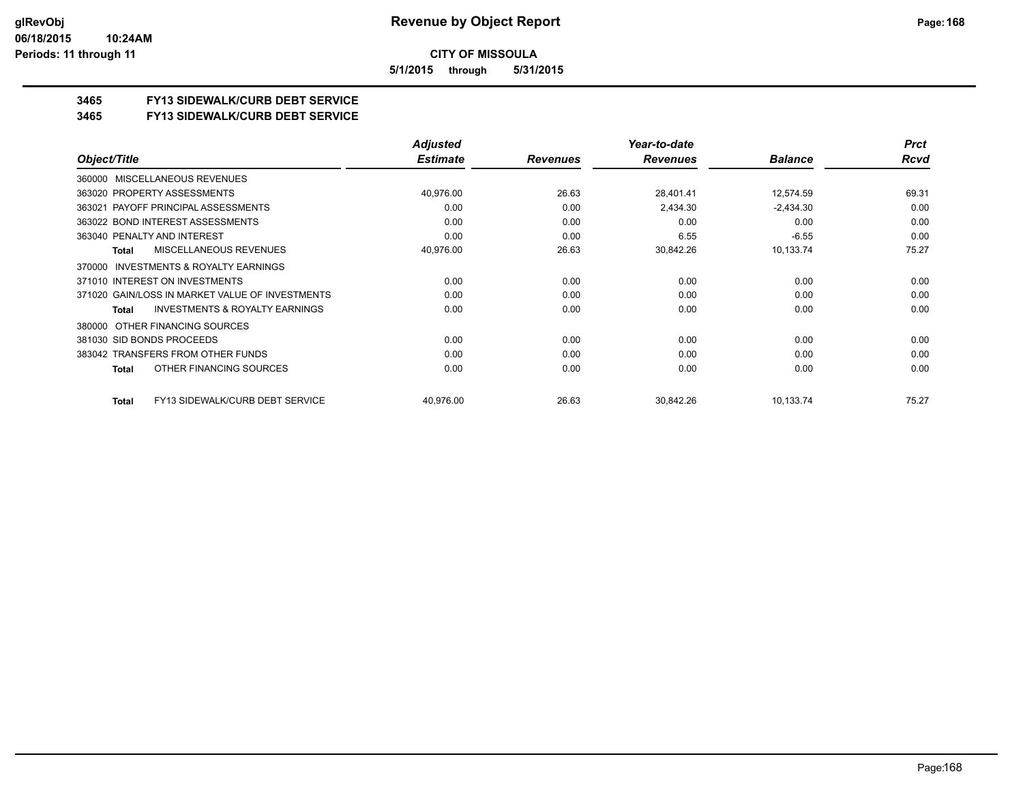**5/1/2015 through 5/31/2015**

### **3465 FY13 SIDEWALK/CURB DEBT SERVICE**

#### **3465 FY13 SIDEWALK/CURB DEBT SERVICE**

|                                                     | <b>Adjusted</b> |                 | Year-to-date    |                | <b>Prct</b> |
|-----------------------------------------------------|-----------------|-----------------|-----------------|----------------|-------------|
| Object/Title                                        | <b>Estimate</b> | <b>Revenues</b> | <b>Revenues</b> | <b>Balance</b> | Rcvd        |
| MISCELLANEOUS REVENUES<br>360000                    |                 |                 |                 |                |             |
| 363020 PROPERTY ASSESSMENTS                         | 40,976.00       | 26.63           | 28,401.41       | 12,574.59      | 69.31       |
| 363021 PAYOFF PRINCIPAL ASSESSMENTS                 | 0.00            | 0.00            | 2,434.30        | $-2,434.30$    | 0.00        |
| 363022 BOND INTEREST ASSESSMENTS                    | 0.00            | 0.00            | 0.00            | 0.00           | 0.00        |
| 363040 PENALTY AND INTEREST                         | 0.00            | 0.00            | 6.55            | $-6.55$        | 0.00        |
| MISCELLANEOUS REVENUES<br>Total                     | 40,976.00       | 26.63           | 30,842.26       | 10,133.74      | 75.27       |
| <b>INVESTMENTS &amp; ROYALTY EARNINGS</b><br>370000 |                 |                 |                 |                |             |
| 371010 INTEREST ON INVESTMENTS                      | 0.00            | 0.00            | 0.00            | 0.00           | 0.00        |
| 371020 GAIN/LOSS IN MARKET VALUE OF INVESTMENTS     | 0.00            | 0.00            | 0.00            | 0.00           | 0.00        |
| <b>INVESTMENTS &amp; ROYALTY EARNINGS</b><br>Total  | 0.00            | 0.00            | 0.00            | 0.00           | 0.00        |
| 380000 OTHER FINANCING SOURCES                      |                 |                 |                 |                |             |
| 381030 SID BONDS PROCEEDS                           | 0.00            | 0.00            | 0.00            | 0.00           | 0.00        |
| 383042 TRANSFERS FROM OTHER FUNDS                   | 0.00            | 0.00            | 0.00            | 0.00           | 0.00        |
| OTHER FINANCING SOURCES<br>Total                    | 0.00            | 0.00            | 0.00            | 0.00           | 0.00        |
| FY13 SIDEWALK/CURB DEBT SERVICE<br>Total            | 40,976.00       | 26.63           | 30,842.26       | 10,133.74      | 75.27       |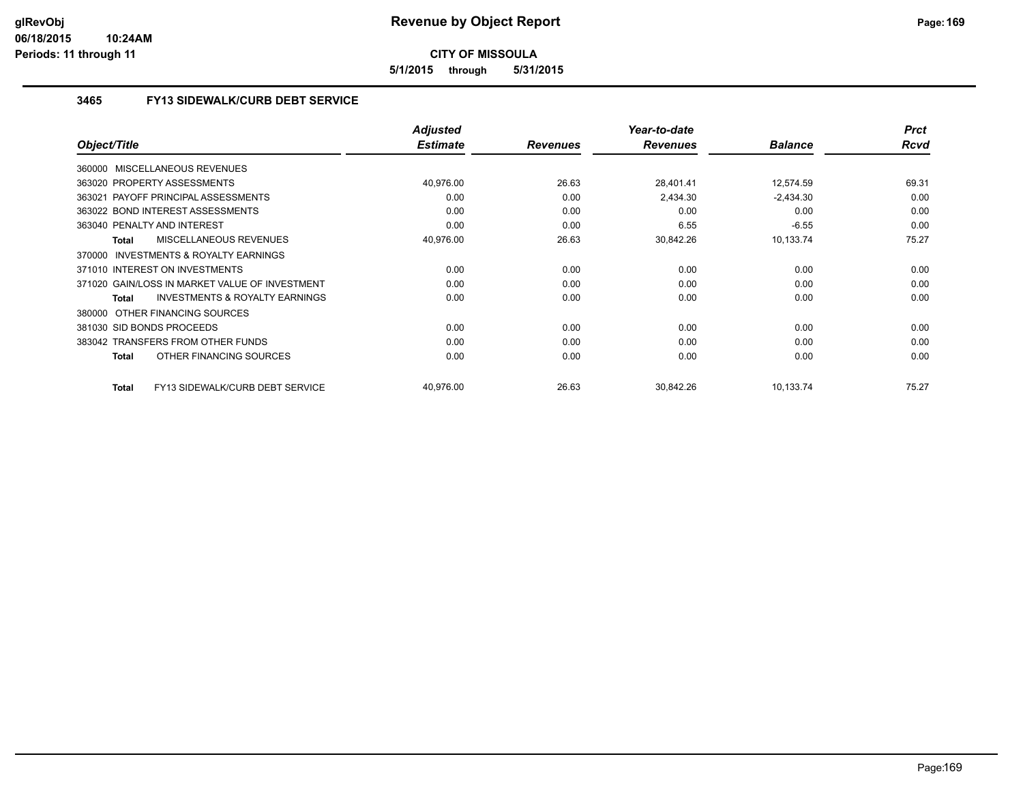**5/1/2015 through 5/31/2015**

#### **3465 FY13 SIDEWALK/CURB DEBT SERVICE**

|                                                           | <b>Adjusted</b> |                 | Year-to-date    |                | <b>Prct</b> |
|-----------------------------------------------------------|-----------------|-----------------|-----------------|----------------|-------------|
| Object/Title                                              | <b>Estimate</b> | <b>Revenues</b> | <b>Revenues</b> | <b>Balance</b> | <b>Rcvd</b> |
| 360000 MISCELLANEOUS REVENUES                             |                 |                 |                 |                |             |
| 363020 PROPERTY ASSESSMENTS                               | 40,976.00       | 26.63           | 28,401.41       | 12,574.59      | 69.31       |
| 363021 PAYOFF PRINCIPAL ASSESSMENTS                       | 0.00            | 0.00            | 2,434.30        | $-2,434.30$    | 0.00        |
| 363022 BOND INTEREST ASSESSMENTS                          | 0.00            | 0.00            | 0.00            | 0.00           | 0.00        |
| 363040 PENALTY AND INTEREST                               | 0.00            | 0.00            | 6.55            | $-6.55$        | 0.00        |
| <b>MISCELLANEOUS REVENUES</b><br><b>Total</b>             | 40,976.00       | 26.63           | 30,842.26       | 10,133.74      | 75.27       |
| 370000 INVESTMENTS & ROYALTY EARNINGS                     |                 |                 |                 |                |             |
| 371010 INTEREST ON INVESTMENTS                            | 0.00            | 0.00            | 0.00            | 0.00           | 0.00        |
| 371020 GAIN/LOSS IN MARKET VALUE OF INVESTMENT            | 0.00            | 0.00            | 0.00            | 0.00           | 0.00        |
| <b>INVESTMENTS &amp; ROYALTY EARNINGS</b><br><b>Total</b> | 0.00            | 0.00            | 0.00            | 0.00           | 0.00        |
| 380000 OTHER FINANCING SOURCES                            |                 |                 |                 |                |             |
| 381030 SID BONDS PROCEEDS                                 | 0.00            | 0.00            | 0.00            | 0.00           | 0.00        |
| 383042 TRANSFERS FROM OTHER FUNDS                         | 0.00            | 0.00            | 0.00            | 0.00           | 0.00        |
| OTHER FINANCING SOURCES<br><b>Total</b>                   | 0.00            | 0.00            | 0.00            | 0.00           | 0.00        |
| FY13 SIDEWALK/CURB DEBT SERVICE<br><b>Total</b>           | 40,976.00       | 26.63           | 30,842.26       | 10,133.74      | 75.27       |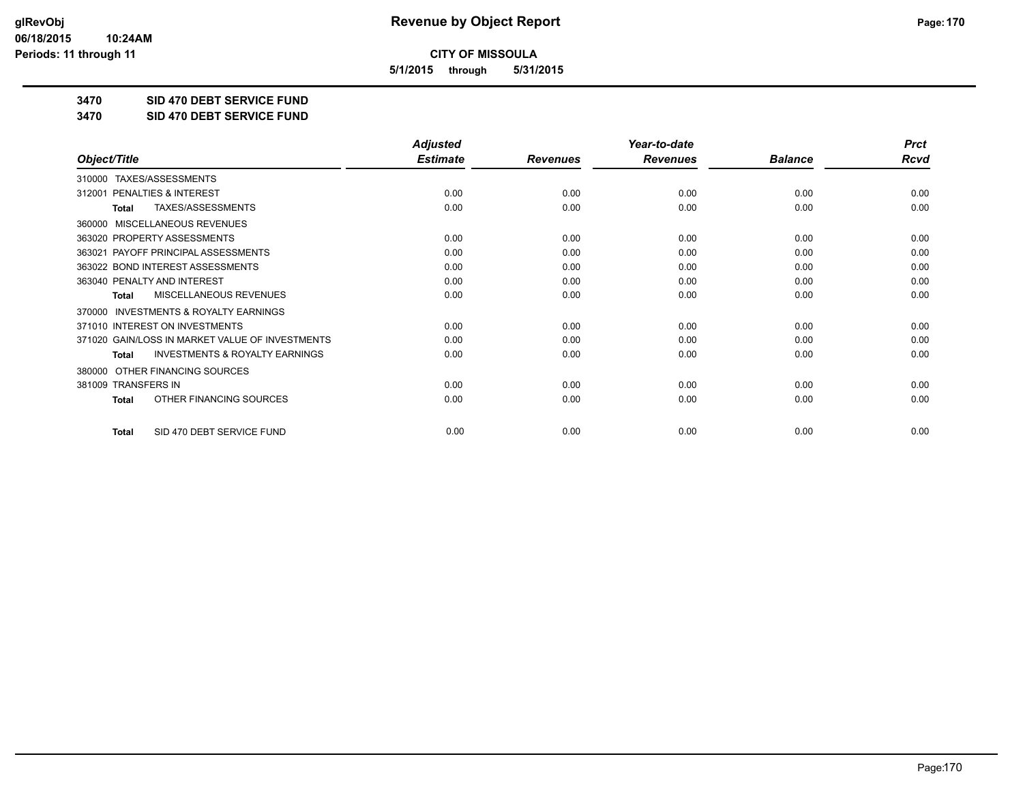**5/1/2015 through 5/31/2015**

**3470 SID 470 DEBT SERVICE FUND**

**3470 SID 470 DEBT SERVICE FUND**

|                                                           | <b>Adjusted</b> |                 | Year-to-date    |                | <b>Prct</b> |
|-----------------------------------------------------------|-----------------|-----------------|-----------------|----------------|-------------|
| Object/Title                                              | <b>Estimate</b> | <b>Revenues</b> | <b>Revenues</b> | <b>Balance</b> | <b>Rcvd</b> |
| TAXES/ASSESSMENTS<br>310000                               |                 |                 |                 |                |             |
| PENALTIES & INTEREST<br>312001                            | 0.00            | 0.00            | 0.00            | 0.00           | 0.00        |
| TAXES/ASSESSMENTS<br><b>Total</b>                         | 0.00            | 0.00            | 0.00            | 0.00           | 0.00        |
| MISCELLANEOUS REVENUES<br>360000                          |                 |                 |                 |                |             |
| 363020 PROPERTY ASSESSMENTS                               | 0.00            | 0.00            | 0.00            | 0.00           | 0.00        |
| 363021 PAYOFF PRINCIPAL ASSESSMENTS                       | 0.00            | 0.00            | 0.00            | 0.00           | 0.00        |
| 363022 BOND INTEREST ASSESSMENTS                          | 0.00            | 0.00            | 0.00            | 0.00           | 0.00        |
| 363040 PENALTY AND INTEREST                               | 0.00            | 0.00            | 0.00            | 0.00           | 0.00        |
| MISCELLANEOUS REVENUES<br><b>Total</b>                    | 0.00            | 0.00            | 0.00            | 0.00           | 0.00        |
| <b>INVESTMENTS &amp; ROYALTY EARNINGS</b><br>370000       |                 |                 |                 |                |             |
| 371010 INTEREST ON INVESTMENTS                            | 0.00            | 0.00            | 0.00            | 0.00           | 0.00        |
| 371020 GAIN/LOSS IN MARKET VALUE OF INVESTMENTS           | 0.00            | 0.00            | 0.00            | 0.00           | 0.00        |
| <b>INVESTMENTS &amp; ROYALTY EARNINGS</b><br><b>Total</b> | 0.00            | 0.00            | 0.00            | 0.00           | 0.00        |
| OTHER FINANCING SOURCES<br>380000                         |                 |                 |                 |                |             |
| 381009 TRANSFERS IN                                       | 0.00            | 0.00            | 0.00            | 0.00           | 0.00        |
| OTHER FINANCING SOURCES<br><b>Total</b>                   | 0.00            | 0.00            | 0.00            | 0.00           | 0.00        |
| SID 470 DEBT SERVICE FUND<br><b>Total</b>                 | 0.00            | 0.00            | 0.00            | 0.00           | 0.00        |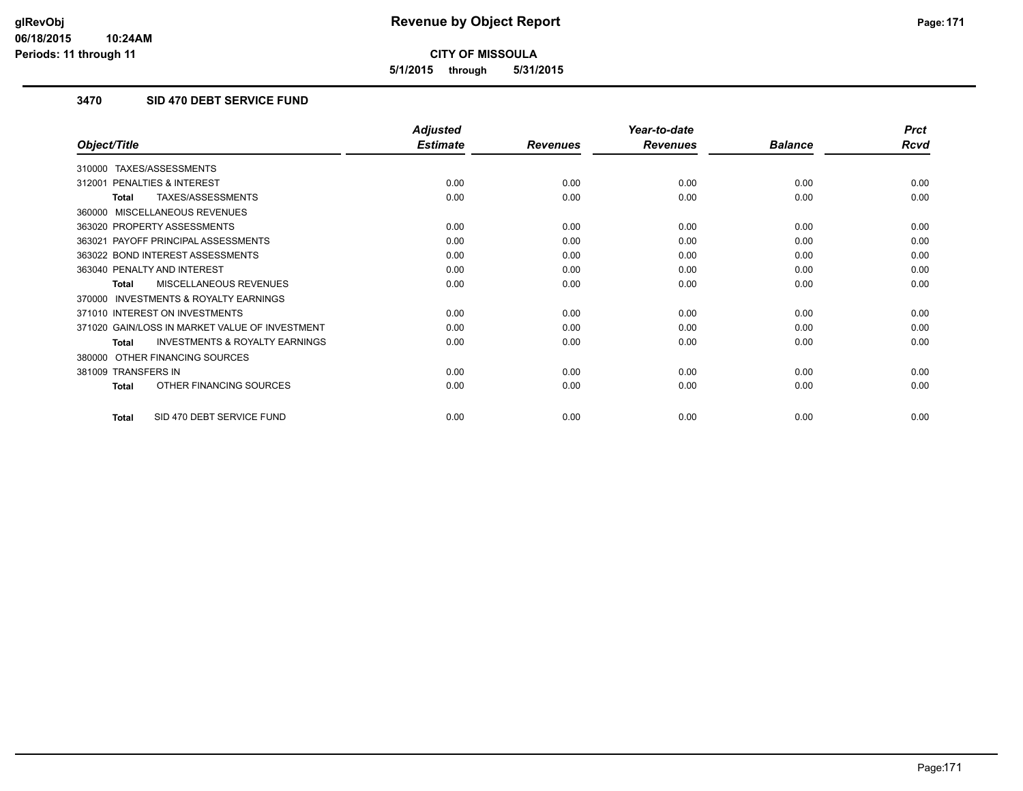**5/1/2015 through 5/31/2015**

### **3470 SID 470 DEBT SERVICE FUND**

|                                                           | <b>Adjusted</b> |                 | Year-to-date    |                | <b>Prct</b> |
|-----------------------------------------------------------|-----------------|-----------------|-----------------|----------------|-------------|
| Object/Title                                              | <b>Estimate</b> | <b>Revenues</b> | <b>Revenues</b> | <b>Balance</b> | <b>Rcvd</b> |
| TAXES/ASSESSMENTS<br>310000                               |                 |                 |                 |                |             |
| <b>PENALTIES &amp; INTEREST</b><br>312001                 | 0.00            | 0.00            | 0.00            | 0.00           | 0.00        |
| TAXES/ASSESSMENTS<br>Total                                | 0.00            | 0.00            | 0.00            | 0.00           | 0.00        |
| MISCELLANEOUS REVENUES<br>360000                          |                 |                 |                 |                |             |
| 363020 PROPERTY ASSESSMENTS                               | 0.00            | 0.00            | 0.00            | 0.00           | 0.00        |
| 363021 PAYOFF PRINCIPAL ASSESSMENTS                       | 0.00            | 0.00            | 0.00            | 0.00           | 0.00        |
| 363022 BOND INTEREST ASSESSMENTS                          | 0.00            | 0.00            | 0.00            | 0.00           | 0.00        |
| 363040 PENALTY AND INTEREST                               | 0.00            | 0.00            | 0.00            | 0.00           | 0.00        |
| <b>MISCELLANEOUS REVENUES</b><br><b>Total</b>             | 0.00            | 0.00            | 0.00            | 0.00           | 0.00        |
| <b>INVESTMENTS &amp; ROYALTY EARNINGS</b><br>370000       |                 |                 |                 |                |             |
| 371010 INTEREST ON INVESTMENTS                            | 0.00            | 0.00            | 0.00            | 0.00           | 0.00        |
| 371020 GAIN/LOSS IN MARKET VALUE OF INVESTMENT            | 0.00            | 0.00            | 0.00            | 0.00           | 0.00        |
| <b>INVESTMENTS &amp; ROYALTY EARNINGS</b><br><b>Total</b> | 0.00            | 0.00            | 0.00            | 0.00           | 0.00        |
| OTHER FINANCING SOURCES<br>380000                         |                 |                 |                 |                |             |
| 381009 TRANSFERS IN                                       | 0.00            | 0.00            | 0.00            | 0.00           | 0.00        |
| OTHER FINANCING SOURCES<br><b>Total</b>                   | 0.00            | 0.00            | 0.00            | 0.00           | 0.00        |
| SID 470 DEBT SERVICE FUND<br><b>Total</b>                 | 0.00            | 0.00            | 0.00            | 0.00           | 0.00        |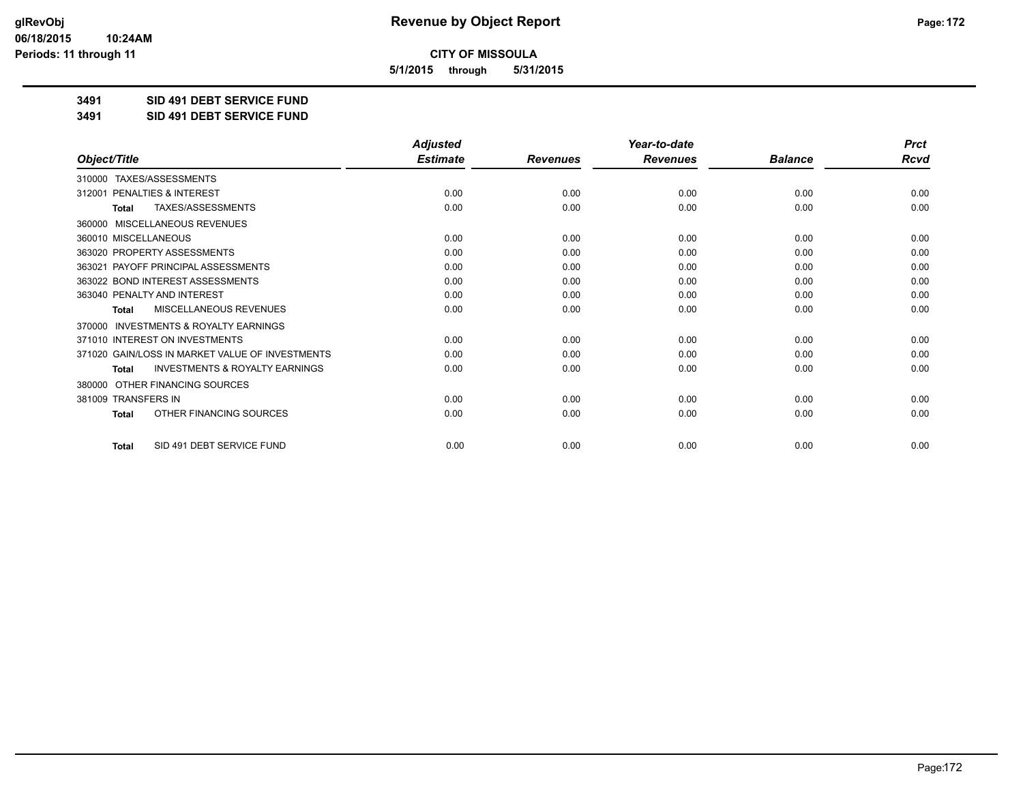**5/1/2015 through 5/31/2015**

**3491 SID 491 DEBT SERVICE FUND**

**3491 SID 491 DEBT SERVICE FUND**

|                                                           | <b>Adjusted</b> |                 | Year-to-date    |                | <b>Prct</b> |
|-----------------------------------------------------------|-----------------|-----------------|-----------------|----------------|-------------|
| Object/Title                                              | <b>Estimate</b> | <b>Revenues</b> | <b>Revenues</b> | <b>Balance</b> | <b>Rcvd</b> |
| 310000 TAXES/ASSESSMENTS                                  |                 |                 |                 |                |             |
| 312001 PENALTIES & INTEREST                               | 0.00            | 0.00            | 0.00            | 0.00           | 0.00        |
| <b>TAXES/ASSESSMENTS</b><br><b>Total</b>                  | 0.00            | 0.00            | 0.00            | 0.00           | 0.00        |
| MISCELLANEOUS REVENUES<br>360000                          |                 |                 |                 |                |             |
| 360010 MISCELLANEOUS                                      | 0.00            | 0.00            | 0.00            | 0.00           | 0.00        |
| 363020 PROPERTY ASSESSMENTS                               | 0.00            | 0.00            | 0.00            | 0.00           | 0.00        |
| 363021 PAYOFF PRINCIPAL ASSESSMENTS                       | 0.00            | 0.00            | 0.00            | 0.00           | 0.00        |
| 363022 BOND INTEREST ASSESSMENTS                          | 0.00            | 0.00            | 0.00            | 0.00           | 0.00        |
| 363040 PENALTY AND INTEREST                               | 0.00            | 0.00            | 0.00            | 0.00           | 0.00        |
| <b>MISCELLANEOUS REVENUES</b><br><b>Total</b>             | 0.00            | 0.00            | 0.00            | 0.00           | 0.00        |
| <b>INVESTMENTS &amp; ROYALTY EARNINGS</b><br>370000       |                 |                 |                 |                |             |
| 371010 INTEREST ON INVESTMENTS                            | 0.00            | 0.00            | 0.00            | 0.00           | 0.00        |
| 371020 GAIN/LOSS IN MARKET VALUE OF INVESTMENTS           | 0.00            | 0.00            | 0.00            | 0.00           | 0.00        |
| <b>INVESTMENTS &amp; ROYALTY EARNINGS</b><br><b>Total</b> | 0.00            | 0.00            | 0.00            | 0.00           | 0.00        |
| OTHER FINANCING SOURCES<br>380000                         |                 |                 |                 |                |             |
| 381009 TRANSFERS IN                                       | 0.00            | 0.00            | 0.00            | 0.00           | 0.00        |
| OTHER FINANCING SOURCES<br><b>Total</b>                   | 0.00            | 0.00            | 0.00            | 0.00           | 0.00        |
| SID 491 DEBT SERVICE FUND<br><b>Total</b>                 | 0.00            | 0.00            | 0.00            | 0.00           | 0.00        |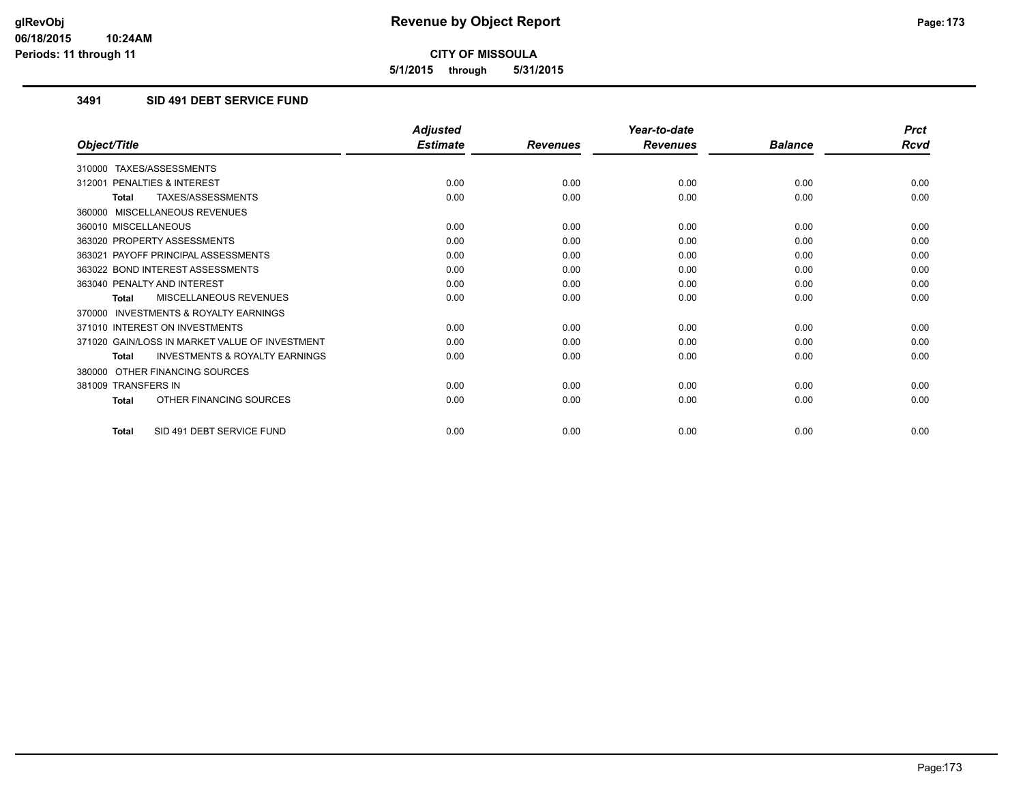**5/1/2015 through 5/31/2015**

### **3491 SID 491 DEBT SERVICE FUND**

|                                                           | <b>Adjusted</b> |                 | Year-to-date    |                | <b>Prct</b> |
|-----------------------------------------------------------|-----------------|-----------------|-----------------|----------------|-------------|
| Object/Title                                              | <b>Estimate</b> | <b>Revenues</b> | <b>Revenues</b> | <b>Balance</b> | <b>Rcvd</b> |
| 310000 TAXES/ASSESSMENTS                                  |                 |                 |                 |                |             |
| 312001 PENALTIES & INTEREST                               | 0.00            | 0.00            | 0.00            | 0.00           | 0.00        |
| <b>TAXES/ASSESSMENTS</b><br><b>Total</b>                  | 0.00            | 0.00            | 0.00            | 0.00           | 0.00        |
| 360000 MISCELLANEOUS REVENUES                             |                 |                 |                 |                |             |
| 360010 MISCELLANEOUS                                      | 0.00            | 0.00            | 0.00            | 0.00           | 0.00        |
| 363020 PROPERTY ASSESSMENTS                               | 0.00            | 0.00            | 0.00            | 0.00           | 0.00        |
| 363021 PAYOFF PRINCIPAL ASSESSMENTS                       | 0.00            | 0.00            | 0.00            | 0.00           | 0.00        |
| 363022 BOND INTEREST ASSESSMENTS                          | 0.00            | 0.00            | 0.00            | 0.00           | 0.00        |
| 363040 PENALTY AND INTEREST                               | 0.00            | 0.00            | 0.00            | 0.00           | 0.00        |
| MISCELLANEOUS REVENUES<br><b>Total</b>                    | 0.00            | 0.00            | 0.00            | 0.00           | 0.00        |
| <b>INVESTMENTS &amp; ROYALTY EARNINGS</b><br>370000       |                 |                 |                 |                |             |
| 371010 INTEREST ON INVESTMENTS                            | 0.00            | 0.00            | 0.00            | 0.00           | 0.00        |
| 371020 GAIN/LOSS IN MARKET VALUE OF INVESTMENT            | 0.00            | 0.00            | 0.00            | 0.00           | 0.00        |
| <b>INVESTMENTS &amp; ROYALTY EARNINGS</b><br><b>Total</b> | 0.00            | 0.00            | 0.00            | 0.00           | 0.00        |
| 380000 OTHER FINANCING SOURCES                            |                 |                 |                 |                |             |
| 381009 TRANSFERS IN                                       | 0.00            | 0.00            | 0.00            | 0.00           | 0.00        |
| OTHER FINANCING SOURCES<br><b>Total</b>                   | 0.00            | 0.00            | 0.00            | 0.00           | 0.00        |
| SID 491 DEBT SERVICE FUND<br>Total                        | 0.00            | 0.00            | 0.00            | 0.00           | 0.00        |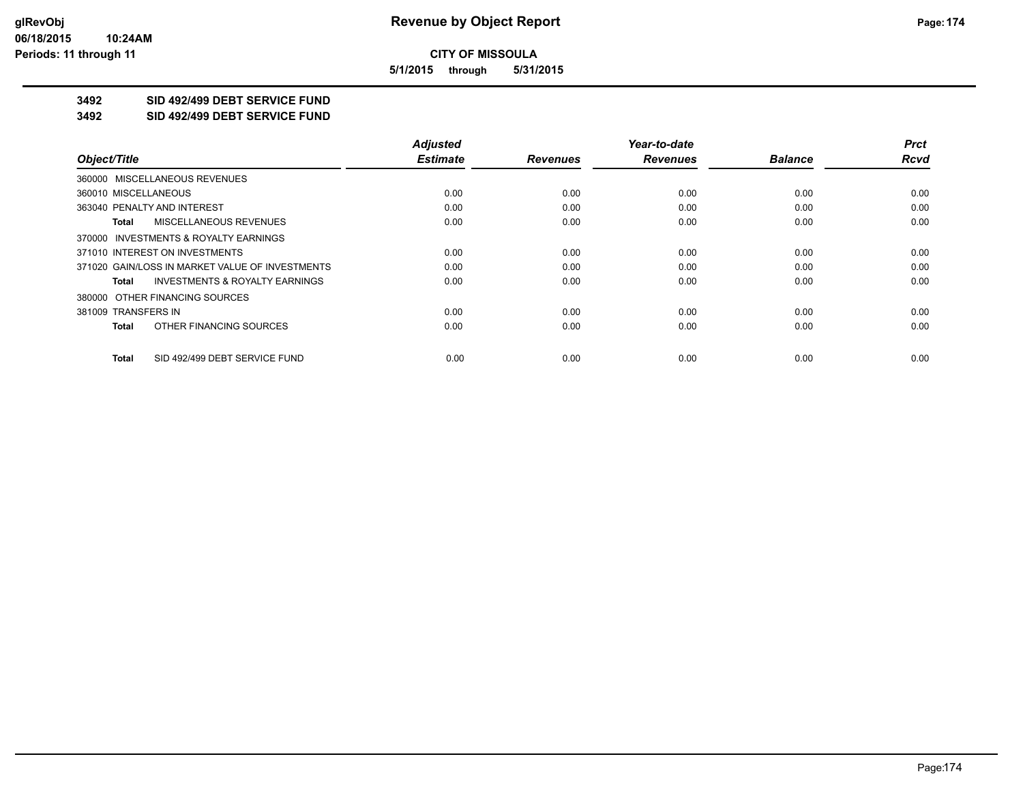**5/1/2015 through 5/31/2015**

## **3492 SID 492/499 DEBT SERVICE FUND**

**3492 SID 492/499 DEBT SERVICE FUND**

|                                                    | <b>Adjusted</b> |                 | Year-to-date    |                | <b>Prct</b> |
|----------------------------------------------------|-----------------|-----------------|-----------------|----------------|-------------|
| Object/Title                                       | <b>Estimate</b> | <b>Revenues</b> | <b>Revenues</b> | <b>Balance</b> | <b>Rcvd</b> |
| 360000 MISCELLANEOUS REVENUES                      |                 |                 |                 |                |             |
| 360010 MISCELLANEOUS                               | 0.00            | 0.00            | 0.00            | 0.00           | 0.00        |
| 363040 PENALTY AND INTEREST                        | 0.00            | 0.00            | 0.00            | 0.00           | 0.00        |
| <b>MISCELLANEOUS REVENUES</b><br>Total             | 0.00            | 0.00            | 0.00            | 0.00           | 0.00        |
| 370000 INVESTMENTS & ROYALTY EARNINGS              |                 |                 |                 |                |             |
| 371010 INTEREST ON INVESTMENTS                     | 0.00            | 0.00            | 0.00            | 0.00           | 0.00        |
| 371020 GAIN/LOSS IN MARKET VALUE OF INVESTMENTS    | 0.00            | 0.00            | 0.00            | 0.00           | 0.00        |
| <b>INVESTMENTS &amp; ROYALTY EARNINGS</b><br>Total | 0.00            | 0.00            | 0.00            | 0.00           | 0.00        |
| 380000 OTHER FINANCING SOURCES                     |                 |                 |                 |                |             |
| 381009 TRANSFERS IN                                | 0.00            | 0.00            | 0.00            | 0.00           | 0.00        |
| OTHER FINANCING SOURCES<br>Total                   | 0.00            | 0.00            | 0.00            | 0.00           | 0.00        |
| SID 492/499 DEBT SERVICE FUND<br>Total             | 0.00            | 0.00            | 0.00            | 0.00           | 0.00        |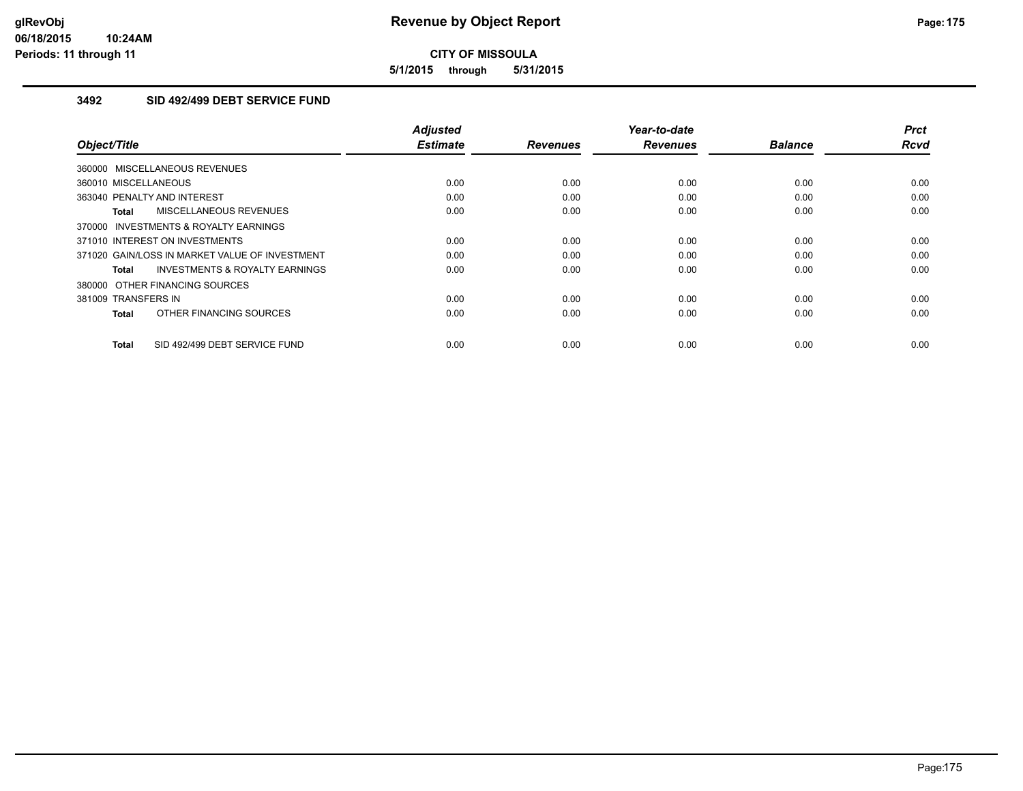**5/1/2015 through 5/31/2015**

### **3492 SID 492/499 DEBT SERVICE FUND**

| Object/Title                                   | Adjusted<br><b>Estimate</b> | <b>Revenues</b> | Year-to-date<br><b>Revenues</b> | <b>Balance</b> | <b>Prct</b><br>Rcvd |
|------------------------------------------------|-----------------------------|-----------------|---------------------------------|----------------|---------------------|
| 360000 MISCELLANEOUS REVENUES                  |                             |                 |                                 |                |                     |
| 360010 MISCELLANEOUS                           | 0.00                        | 0.00            | 0.00                            | 0.00           | 0.00                |
| 363040 PENALTY AND INTEREST                    | 0.00                        | 0.00            | 0.00                            | 0.00           | 0.00                |
| <b>MISCELLANEOUS REVENUES</b><br>Total         | 0.00                        | 0.00            | 0.00                            | 0.00           | 0.00                |
| 370000 INVESTMENTS & ROYALTY EARNINGS          |                             |                 |                                 |                |                     |
| 371010 INTEREST ON INVESTMENTS                 | 0.00                        | 0.00            | 0.00                            | 0.00           | 0.00                |
| 371020 GAIN/LOSS IN MARKET VALUE OF INVESTMENT | 0.00                        | 0.00            | 0.00                            | 0.00           | 0.00                |
| INVESTMENTS & ROYALTY EARNINGS<br>Total        | 0.00                        | 0.00            | 0.00                            | 0.00           | 0.00                |
| 380000 OTHER FINANCING SOURCES                 |                             |                 |                                 |                |                     |
| 381009 TRANSFERS IN                            | 0.00                        | 0.00            | 0.00                            | 0.00           | 0.00                |
| OTHER FINANCING SOURCES<br><b>Total</b>        | 0.00                        | 0.00            | 0.00                            | 0.00           | 0.00                |
| SID 492/499 DEBT SERVICE FUND<br><b>Total</b>  | 0.00                        | 0.00            | 0.00                            | 0.00           | 0.00                |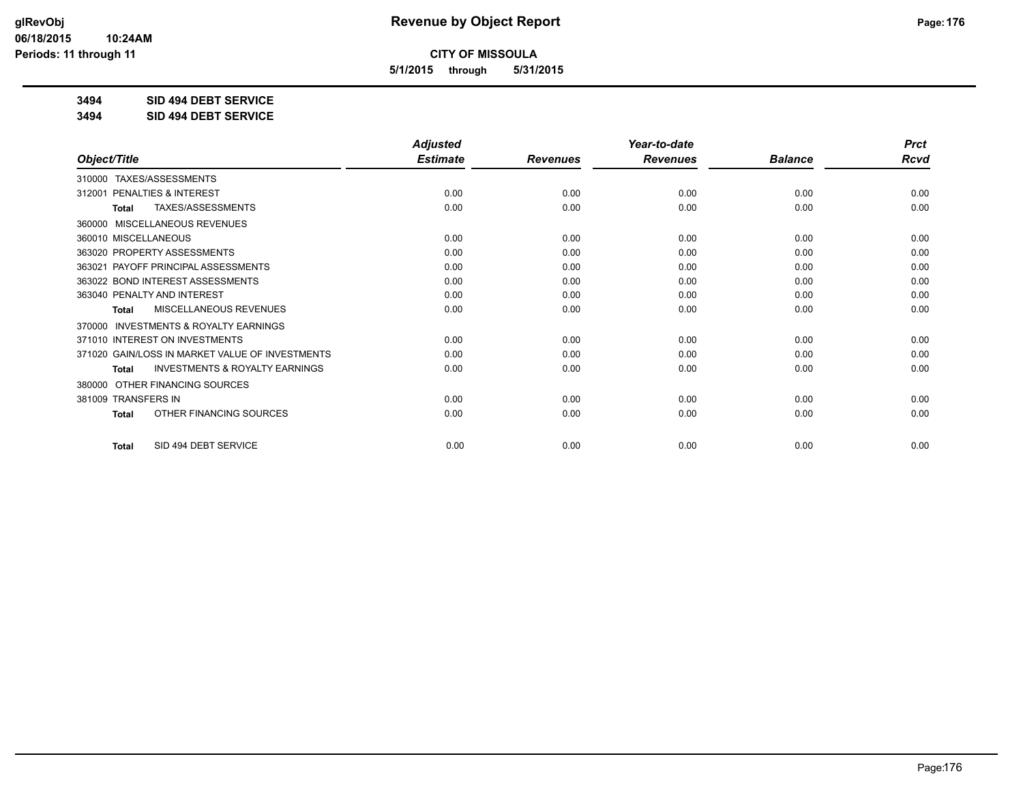**5/1/2015 through 5/31/2015**

**3494 SID 494 DEBT SERVICE**

**3494 SID 494 DEBT SERVICE**

|                                                           | <b>Adjusted</b> |                 | Year-to-date    |                | <b>Prct</b> |
|-----------------------------------------------------------|-----------------|-----------------|-----------------|----------------|-------------|
| Object/Title                                              | <b>Estimate</b> | <b>Revenues</b> | <b>Revenues</b> | <b>Balance</b> | <b>Rcvd</b> |
| 310000 TAXES/ASSESSMENTS                                  |                 |                 |                 |                |             |
| PENALTIES & INTEREST<br>312001                            | 0.00            | 0.00            | 0.00            | 0.00           | 0.00        |
| TAXES/ASSESSMENTS<br><b>Total</b>                         | 0.00            | 0.00            | 0.00            | 0.00           | 0.00        |
| MISCELLANEOUS REVENUES<br>360000                          |                 |                 |                 |                |             |
| 360010 MISCELLANEOUS                                      | 0.00            | 0.00            | 0.00            | 0.00           | 0.00        |
| 363020 PROPERTY ASSESSMENTS                               | 0.00            | 0.00            | 0.00            | 0.00           | 0.00        |
| 363021 PAYOFF PRINCIPAL ASSESSMENTS                       | 0.00            | 0.00            | 0.00            | 0.00           | 0.00        |
| 363022 BOND INTEREST ASSESSMENTS                          | 0.00            | 0.00            | 0.00            | 0.00           | 0.00        |
| 363040 PENALTY AND INTEREST                               | 0.00            | 0.00            | 0.00            | 0.00           | 0.00        |
| MISCELLANEOUS REVENUES<br>Total                           | 0.00            | 0.00            | 0.00            | 0.00           | 0.00        |
| <b>INVESTMENTS &amp; ROYALTY EARNINGS</b><br>370000       |                 |                 |                 |                |             |
| 371010 INTEREST ON INVESTMENTS                            | 0.00            | 0.00            | 0.00            | 0.00           | 0.00        |
| 371020 GAIN/LOSS IN MARKET VALUE OF INVESTMENTS           | 0.00            | 0.00            | 0.00            | 0.00           | 0.00        |
| <b>INVESTMENTS &amp; ROYALTY EARNINGS</b><br><b>Total</b> | 0.00            | 0.00            | 0.00            | 0.00           | 0.00        |
| OTHER FINANCING SOURCES<br>380000                         |                 |                 |                 |                |             |
| 381009 TRANSFERS IN                                       | 0.00            | 0.00            | 0.00            | 0.00           | 0.00        |
| OTHER FINANCING SOURCES<br><b>Total</b>                   | 0.00            | 0.00            | 0.00            | 0.00           | 0.00        |
| SID 494 DEBT SERVICE<br><b>Total</b>                      | 0.00            | 0.00            | 0.00            | 0.00           | 0.00        |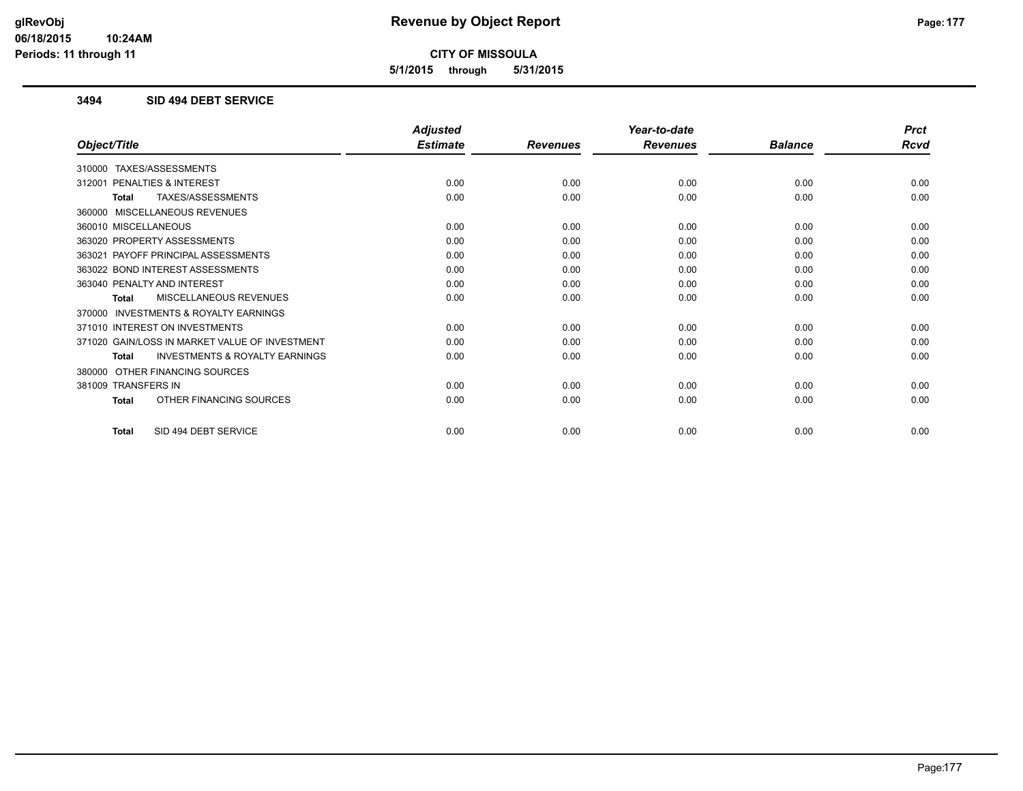**5/1/2015 through 5/31/2015**

#### **3494 SID 494 DEBT SERVICE**

|                                                           | <b>Adjusted</b> |                 | Year-to-date    |                | <b>Prct</b> |
|-----------------------------------------------------------|-----------------|-----------------|-----------------|----------------|-------------|
| Object/Title                                              | <b>Estimate</b> | <b>Revenues</b> | <b>Revenues</b> | <b>Balance</b> | <b>Rcvd</b> |
| 310000 TAXES/ASSESSMENTS                                  |                 |                 |                 |                |             |
| PENALTIES & INTEREST<br>312001                            | 0.00            | 0.00            | 0.00            | 0.00           | 0.00        |
| TAXES/ASSESSMENTS<br><b>Total</b>                         | 0.00            | 0.00            | 0.00            | 0.00           | 0.00        |
| 360000 MISCELLANEOUS REVENUES                             |                 |                 |                 |                |             |
| 360010 MISCELLANEOUS                                      | 0.00            | 0.00            | 0.00            | 0.00           | 0.00        |
| 363020 PROPERTY ASSESSMENTS                               | 0.00            | 0.00            | 0.00            | 0.00           | 0.00        |
| 363021 PAYOFF PRINCIPAL ASSESSMENTS                       | 0.00            | 0.00            | 0.00            | 0.00           | 0.00        |
| 363022 BOND INTEREST ASSESSMENTS                          | 0.00            | 0.00            | 0.00            | 0.00           | 0.00        |
| 363040 PENALTY AND INTEREST                               | 0.00            | 0.00            | 0.00            | 0.00           | 0.00        |
| <b>MISCELLANEOUS REVENUES</b><br><b>Total</b>             | 0.00            | 0.00            | 0.00            | 0.00           | 0.00        |
| <b>INVESTMENTS &amp; ROYALTY EARNINGS</b><br>370000       |                 |                 |                 |                |             |
| 371010 INTEREST ON INVESTMENTS                            | 0.00            | 0.00            | 0.00            | 0.00           | 0.00        |
| 371020 GAIN/LOSS IN MARKET VALUE OF INVESTMENT            | 0.00            | 0.00            | 0.00            | 0.00           | 0.00        |
| <b>INVESTMENTS &amp; ROYALTY EARNINGS</b><br><b>Total</b> | 0.00            | 0.00            | 0.00            | 0.00           | 0.00        |
| OTHER FINANCING SOURCES<br>380000                         |                 |                 |                 |                |             |
| 381009 TRANSFERS IN                                       | 0.00            | 0.00            | 0.00            | 0.00           | 0.00        |
| OTHER FINANCING SOURCES<br><b>Total</b>                   | 0.00            | 0.00            | 0.00            | 0.00           | 0.00        |
| SID 494 DEBT SERVICE<br><b>Total</b>                      | 0.00            | 0.00            | 0.00            | 0.00           | 0.00        |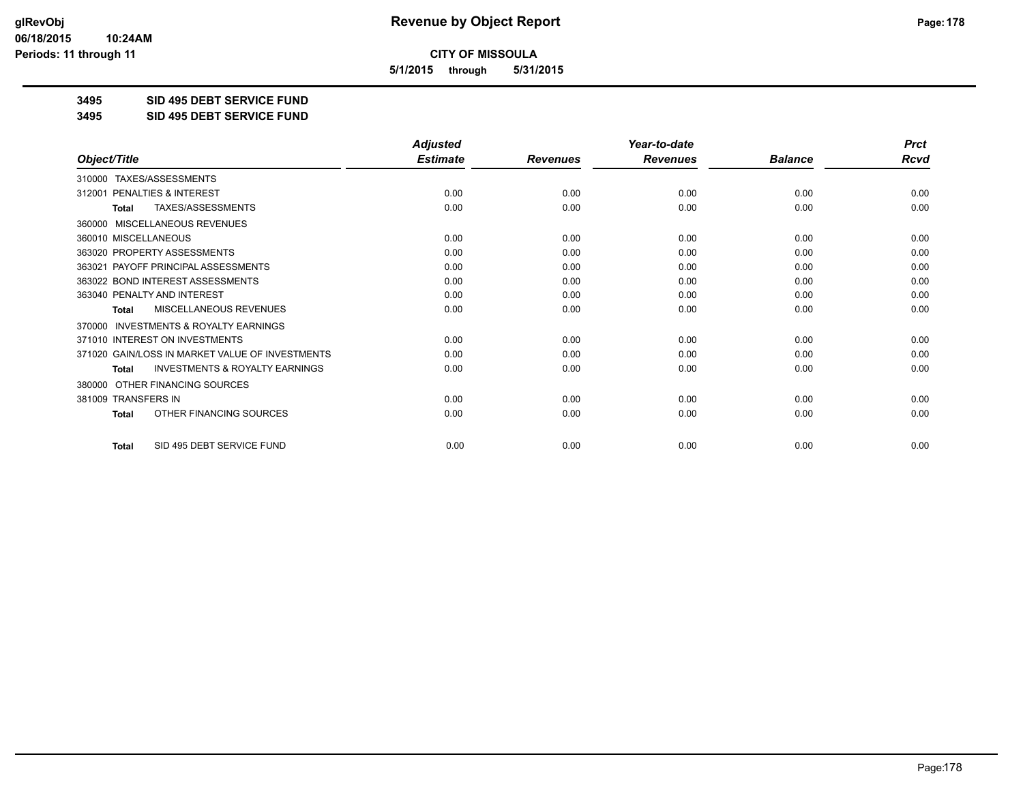**5/1/2015 through 5/31/2015**

**3495 SID 495 DEBT SERVICE FUND**

**3495 SID 495 DEBT SERVICE FUND**

|                                                           | <b>Adjusted</b> |                 | Year-to-date    |                | <b>Prct</b> |
|-----------------------------------------------------------|-----------------|-----------------|-----------------|----------------|-------------|
| Object/Title                                              | <b>Estimate</b> | <b>Revenues</b> | <b>Revenues</b> | <b>Balance</b> | <b>Rcvd</b> |
| TAXES/ASSESSMENTS<br>310000                               |                 |                 |                 |                |             |
| 312001 PENALTIES & INTEREST                               | 0.00            | 0.00            | 0.00            | 0.00           | 0.00        |
| TAXES/ASSESSMENTS<br><b>Total</b>                         | 0.00            | 0.00            | 0.00            | 0.00           | 0.00        |
| MISCELLANEOUS REVENUES<br>360000                          |                 |                 |                 |                |             |
| 360010 MISCELLANEOUS                                      | 0.00            | 0.00            | 0.00            | 0.00           | 0.00        |
| 363020 PROPERTY ASSESSMENTS                               | 0.00            | 0.00            | 0.00            | 0.00           | 0.00        |
| 363021 PAYOFF PRINCIPAL ASSESSMENTS                       | 0.00            | 0.00            | 0.00            | 0.00           | 0.00        |
| 363022 BOND INTEREST ASSESSMENTS                          | 0.00            | 0.00            | 0.00            | 0.00           | 0.00        |
| 363040 PENALTY AND INTEREST                               | 0.00            | 0.00            | 0.00            | 0.00           | 0.00        |
| MISCELLANEOUS REVENUES<br><b>Total</b>                    | 0.00            | 0.00            | 0.00            | 0.00           | 0.00        |
| <b>INVESTMENTS &amp; ROYALTY EARNINGS</b><br>370000       |                 |                 |                 |                |             |
| 371010 INTEREST ON INVESTMENTS                            | 0.00            | 0.00            | 0.00            | 0.00           | 0.00        |
| 371020 GAIN/LOSS IN MARKET VALUE OF INVESTMENTS           | 0.00            | 0.00            | 0.00            | 0.00           | 0.00        |
| <b>INVESTMENTS &amp; ROYALTY EARNINGS</b><br><b>Total</b> | 0.00            | 0.00            | 0.00            | 0.00           | 0.00        |
| OTHER FINANCING SOURCES<br>380000                         |                 |                 |                 |                |             |
| 381009 TRANSFERS IN                                       | 0.00            | 0.00            | 0.00            | 0.00           | 0.00        |
| OTHER FINANCING SOURCES<br><b>Total</b>                   | 0.00            | 0.00            | 0.00            | 0.00           | 0.00        |
| SID 495 DEBT SERVICE FUND<br><b>Total</b>                 | 0.00            | 0.00            | 0.00            | 0.00           | 0.00        |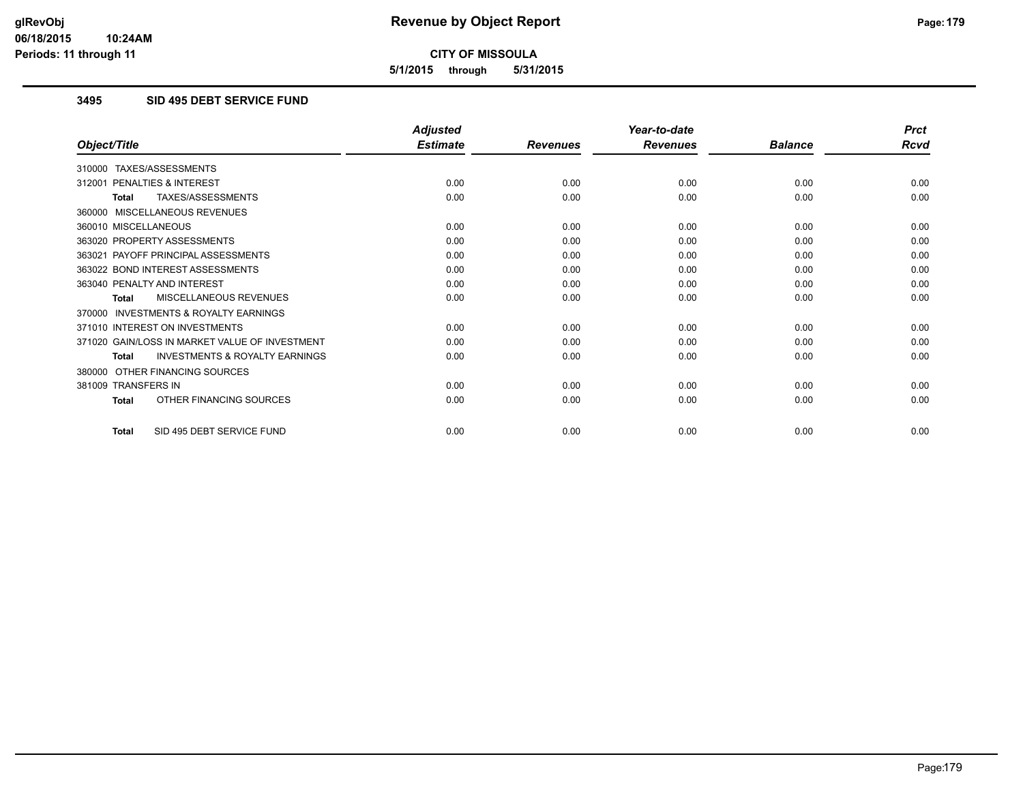**5/1/2015 through 5/31/2015**

#### **3495 SID 495 DEBT SERVICE FUND**

|                                                           | <b>Adjusted</b> |                 | Year-to-date    |                | <b>Prct</b> |
|-----------------------------------------------------------|-----------------|-----------------|-----------------|----------------|-------------|
| Object/Title                                              | <b>Estimate</b> | <b>Revenues</b> | <b>Revenues</b> | <b>Balance</b> | <b>Rcvd</b> |
| 310000 TAXES/ASSESSMENTS                                  |                 |                 |                 |                |             |
| 312001 PENALTIES & INTEREST                               | 0.00            | 0.00            | 0.00            | 0.00           | 0.00        |
| <b>TAXES/ASSESSMENTS</b><br><b>Total</b>                  | 0.00            | 0.00            | 0.00            | 0.00           | 0.00        |
| 360000 MISCELLANEOUS REVENUES                             |                 |                 |                 |                |             |
| 360010 MISCELLANEOUS                                      | 0.00            | 0.00            | 0.00            | 0.00           | 0.00        |
| 363020 PROPERTY ASSESSMENTS                               | 0.00            | 0.00            | 0.00            | 0.00           | 0.00        |
| 363021 PAYOFF PRINCIPAL ASSESSMENTS                       | 0.00            | 0.00            | 0.00            | 0.00           | 0.00        |
| 363022 BOND INTEREST ASSESSMENTS                          | 0.00            | 0.00            | 0.00            | 0.00           | 0.00        |
| 363040 PENALTY AND INTEREST                               | 0.00            | 0.00            | 0.00            | 0.00           | 0.00        |
| MISCELLANEOUS REVENUES<br><b>Total</b>                    | 0.00            | 0.00            | 0.00            | 0.00           | 0.00        |
| <b>INVESTMENTS &amp; ROYALTY EARNINGS</b><br>370000       |                 |                 |                 |                |             |
| 371010 INTEREST ON INVESTMENTS                            | 0.00            | 0.00            | 0.00            | 0.00           | 0.00        |
| 371020 GAIN/LOSS IN MARKET VALUE OF INVESTMENT            | 0.00            | 0.00            | 0.00            | 0.00           | 0.00        |
| <b>INVESTMENTS &amp; ROYALTY EARNINGS</b><br><b>Total</b> | 0.00            | 0.00            | 0.00            | 0.00           | 0.00        |
| 380000 OTHER FINANCING SOURCES                            |                 |                 |                 |                |             |
| 381009 TRANSFERS IN                                       | 0.00            | 0.00            | 0.00            | 0.00           | 0.00        |
| OTHER FINANCING SOURCES<br><b>Total</b>                   | 0.00            | 0.00            | 0.00            | 0.00           | 0.00        |
| SID 495 DEBT SERVICE FUND<br>Total                        | 0.00            | 0.00            | 0.00            | 0.00           | 0.00        |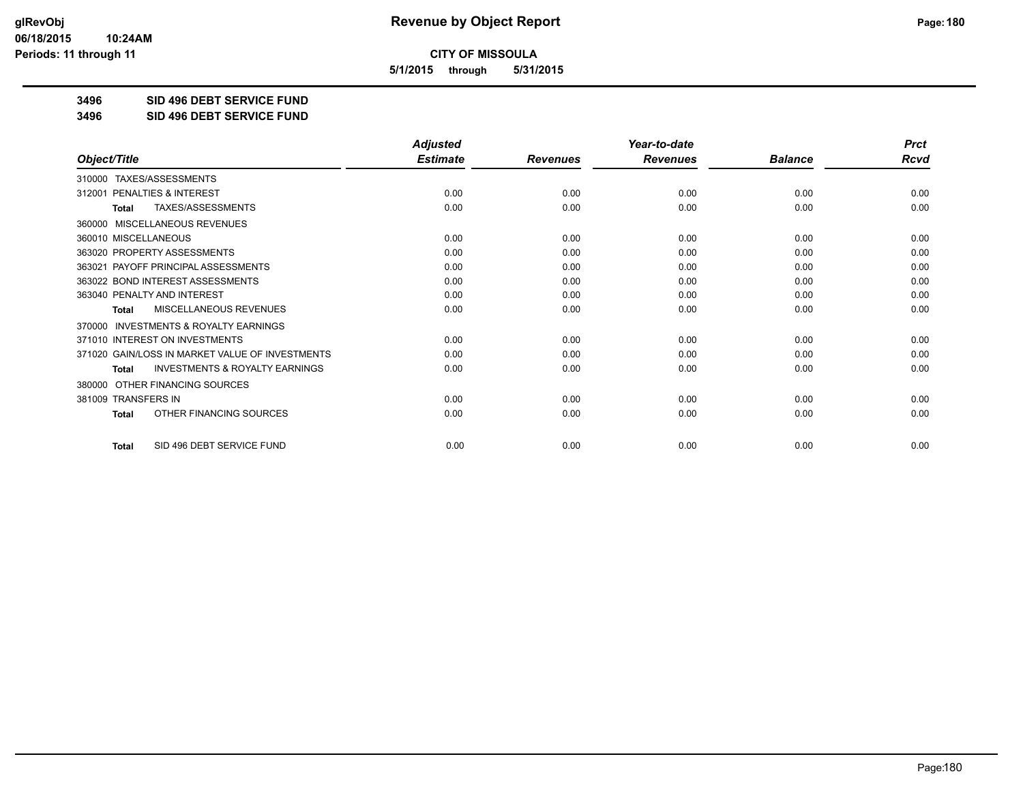**5/1/2015 through 5/31/2015**

**3496 SID 496 DEBT SERVICE FUND**

**3496 SID 496 DEBT SERVICE FUND**

|                                                           | <b>Adjusted</b> |                 | Year-to-date    |                | <b>Prct</b> |
|-----------------------------------------------------------|-----------------|-----------------|-----------------|----------------|-------------|
| Object/Title                                              | <b>Estimate</b> | <b>Revenues</b> | <b>Revenues</b> | <b>Balance</b> | <b>Rcvd</b> |
| TAXES/ASSESSMENTS<br>310000                               |                 |                 |                 |                |             |
| 312001 PENALTIES & INTEREST                               | 0.00            | 0.00            | 0.00            | 0.00           | 0.00        |
| TAXES/ASSESSMENTS<br><b>Total</b>                         | 0.00            | 0.00            | 0.00            | 0.00           | 0.00        |
| MISCELLANEOUS REVENUES<br>360000                          |                 |                 |                 |                |             |
| 360010 MISCELLANEOUS                                      | 0.00            | 0.00            | 0.00            | 0.00           | 0.00        |
| 363020 PROPERTY ASSESSMENTS                               | 0.00            | 0.00            | 0.00            | 0.00           | 0.00        |
| 363021 PAYOFF PRINCIPAL ASSESSMENTS                       | 0.00            | 0.00            | 0.00            | 0.00           | 0.00        |
| 363022 BOND INTEREST ASSESSMENTS                          | 0.00            | 0.00            | 0.00            | 0.00           | 0.00        |
| 363040 PENALTY AND INTEREST                               | 0.00            | 0.00            | 0.00            | 0.00           | 0.00        |
| MISCELLANEOUS REVENUES<br><b>Total</b>                    | 0.00            | 0.00            | 0.00            | 0.00           | 0.00        |
| <b>INVESTMENTS &amp; ROYALTY EARNINGS</b><br>370000       |                 |                 |                 |                |             |
| 371010 INTEREST ON INVESTMENTS                            | 0.00            | 0.00            | 0.00            | 0.00           | 0.00        |
| 371020 GAIN/LOSS IN MARKET VALUE OF INVESTMENTS           | 0.00            | 0.00            | 0.00            | 0.00           | 0.00        |
| <b>INVESTMENTS &amp; ROYALTY EARNINGS</b><br><b>Total</b> | 0.00            | 0.00            | 0.00            | 0.00           | 0.00        |
| OTHER FINANCING SOURCES<br>380000                         |                 |                 |                 |                |             |
| 381009 TRANSFERS IN                                       | 0.00            | 0.00            | 0.00            | 0.00           | 0.00        |
| OTHER FINANCING SOURCES<br><b>Total</b>                   | 0.00            | 0.00            | 0.00            | 0.00           | 0.00        |
| SID 496 DEBT SERVICE FUND<br><b>Total</b>                 | 0.00            | 0.00            | 0.00            | 0.00           | 0.00        |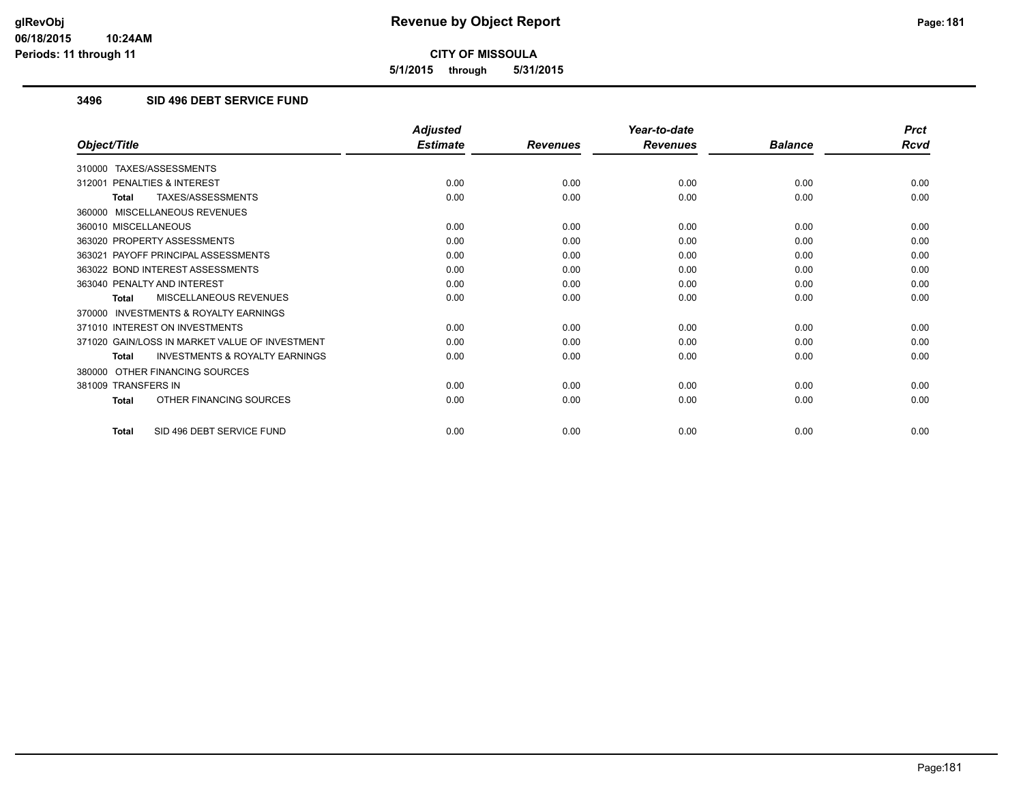**5/1/2015 through 5/31/2015**

#### **3496 SID 496 DEBT SERVICE FUND**

|                                                           | <b>Adjusted</b> |                 | Year-to-date    |                | <b>Prct</b> |
|-----------------------------------------------------------|-----------------|-----------------|-----------------|----------------|-------------|
| Object/Title                                              | <b>Estimate</b> | <b>Revenues</b> | <b>Revenues</b> | <b>Balance</b> | <b>Rcvd</b> |
| 310000 TAXES/ASSESSMENTS                                  |                 |                 |                 |                |             |
| 312001 PENALTIES & INTEREST                               | 0.00            | 0.00            | 0.00            | 0.00           | 0.00        |
| TAXES/ASSESSMENTS<br><b>Total</b>                         | 0.00            | 0.00            | 0.00            | 0.00           | 0.00        |
| 360000 MISCELLANEOUS REVENUES                             |                 |                 |                 |                |             |
| 360010 MISCELLANEOUS                                      | 0.00            | 0.00            | 0.00            | 0.00           | 0.00        |
| 363020 PROPERTY ASSESSMENTS                               | 0.00            | 0.00            | 0.00            | 0.00           | 0.00        |
| 363021 PAYOFF PRINCIPAL ASSESSMENTS                       | 0.00            | 0.00            | 0.00            | 0.00           | 0.00        |
| 363022 BOND INTEREST ASSESSMENTS                          | 0.00            | 0.00            | 0.00            | 0.00           | 0.00        |
| 363040 PENALTY AND INTEREST                               | 0.00            | 0.00            | 0.00            | 0.00           | 0.00        |
| MISCELLANEOUS REVENUES<br><b>Total</b>                    | 0.00            | 0.00            | 0.00            | 0.00           | 0.00        |
| <b>INVESTMENTS &amp; ROYALTY EARNINGS</b><br>370000       |                 |                 |                 |                |             |
| 371010 INTEREST ON INVESTMENTS                            | 0.00            | 0.00            | 0.00            | 0.00           | 0.00        |
| 371020 GAIN/LOSS IN MARKET VALUE OF INVESTMENT            | 0.00            | 0.00            | 0.00            | 0.00           | 0.00        |
| <b>INVESTMENTS &amp; ROYALTY EARNINGS</b><br><b>Total</b> | 0.00            | 0.00            | 0.00            | 0.00           | 0.00        |
| 380000 OTHER FINANCING SOURCES                            |                 |                 |                 |                |             |
| 381009 TRANSFERS IN                                       | 0.00            | 0.00            | 0.00            | 0.00           | 0.00        |
| OTHER FINANCING SOURCES<br><b>Total</b>                   | 0.00            | 0.00            | 0.00            | 0.00           | 0.00        |
| SID 496 DEBT SERVICE FUND<br><b>Total</b>                 | 0.00            | 0.00            | 0.00            | 0.00           | 0.00        |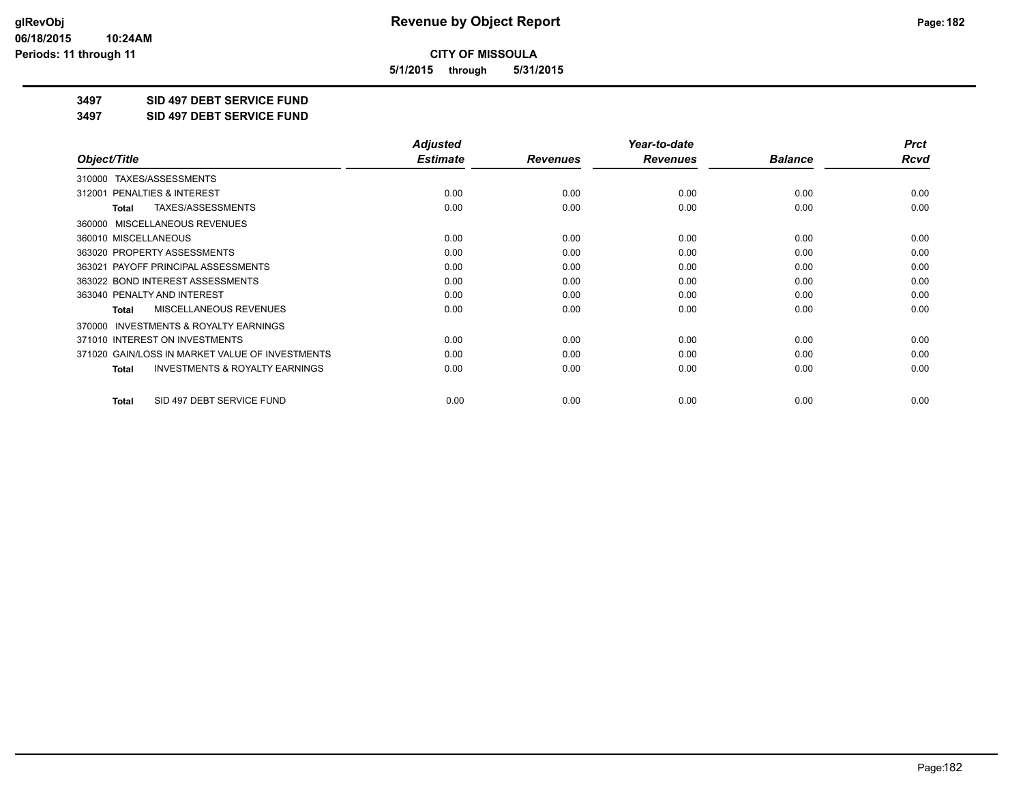**5/1/2015 through 5/31/2015**

**3497 SID 497 DEBT SERVICE FUND**

**3497 SID 497 DEBT SERVICE FUND**

|                                                           | <b>Adjusted</b> |                 | Year-to-date    |                | <b>Prct</b> |
|-----------------------------------------------------------|-----------------|-----------------|-----------------|----------------|-------------|
| Object/Title                                              | <b>Estimate</b> | <b>Revenues</b> | <b>Revenues</b> | <b>Balance</b> | Rcvd        |
| TAXES/ASSESSMENTS<br>310000                               |                 |                 |                 |                |             |
| 312001 PENALTIES & INTEREST                               | 0.00            | 0.00            | 0.00            | 0.00           | 0.00        |
| TAXES/ASSESSMENTS<br><b>Total</b>                         | 0.00            | 0.00            | 0.00            | 0.00           | 0.00        |
| MISCELLANEOUS REVENUES<br>360000                          |                 |                 |                 |                |             |
| 360010 MISCELLANEOUS                                      | 0.00            | 0.00            | 0.00            | 0.00           | 0.00        |
| 363020 PROPERTY ASSESSMENTS                               | 0.00            | 0.00            | 0.00            | 0.00           | 0.00        |
| 363021 PAYOFF PRINCIPAL ASSESSMENTS                       | 0.00            | 0.00            | 0.00            | 0.00           | 0.00        |
| 363022 BOND INTEREST ASSESSMENTS                          | 0.00            | 0.00            | 0.00            | 0.00           | 0.00        |
| 363040 PENALTY AND INTEREST                               | 0.00            | 0.00            | 0.00            | 0.00           | 0.00        |
| MISCELLANEOUS REVENUES<br><b>Total</b>                    | 0.00            | 0.00            | 0.00            | 0.00           | 0.00        |
| <b>INVESTMENTS &amp; ROYALTY EARNINGS</b><br>370000       |                 |                 |                 |                |             |
| 371010 INTEREST ON INVESTMENTS                            | 0.00            | 0.00            | 0.00            | 0.00           | 0.00        |
| 371020 GAIN/LOSS IN MARKET VALUE OF INVESTMENTS           | 0.00            | 0.00            | 0.00            | 0.00           | 0.00        |
| <b>INVESTMENTS &amp; ROYALTY EARNINGS</b><br><b>Total</b> | 0.00            | 0.00            | 0.00            | 0.00           | 0.00        |
| SID 497 DEBT SERVICE FUND<br><b>Total</b>                 | 0.00            | 0.00            | 0.00            | 0.00           | 0.00        |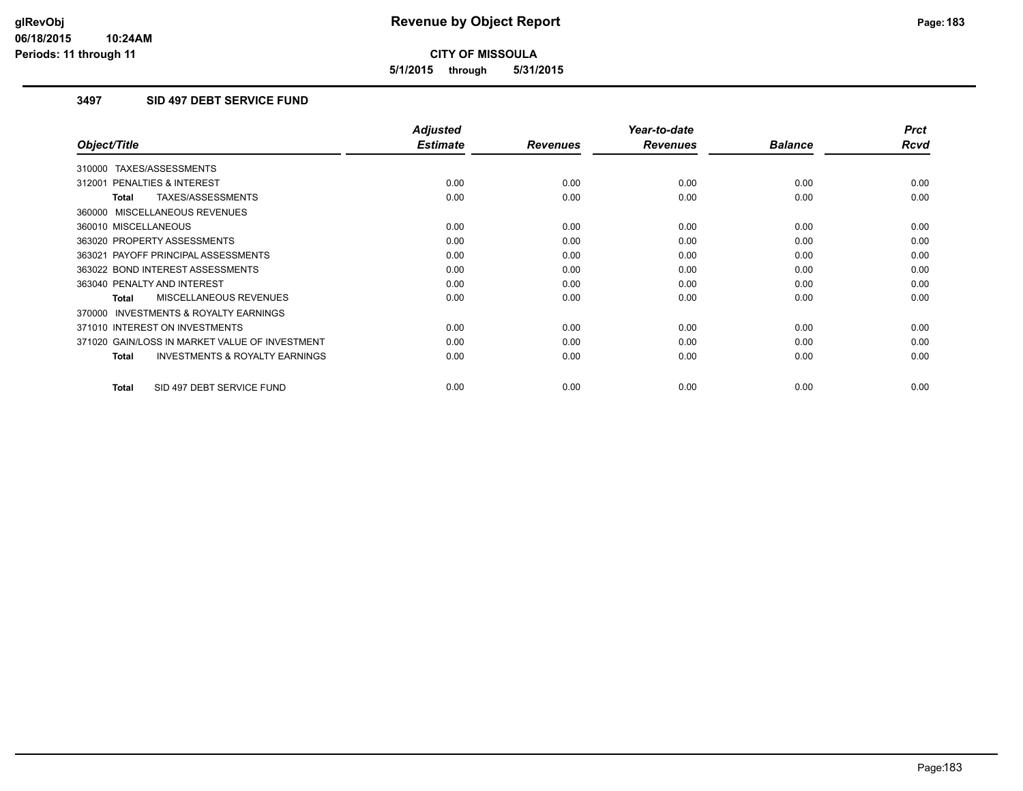**5/1/2015 through 5/31/2015**

### **3497 SID 497 DEBT SERVICE FUND**

|                                                           | <b>Adjusted</b> |                 | Year-to-date    |                | <b>Prct</b> |
|-----------------------------------------------------------|-----------------|-----------------|-----------------|----------------|-------------|
| Object/Title                                              | <b>Estimate</b> | <b>Revenues</b> | <b>Revenues</b> | <b>Balance</b> | <b>Rcvd</b> |
| 310000 TAXES/ASSESSMENTS                                  |                 |                 |                 |                |             |
| 312001 PENALTIES & INTEREST                               | 0.00            | 0.00            | 0.00            | 0.00           | 0.00        |
| TAXES/ASSESSMENTS<br><b>Total</b>                         | 0.00            | 0.00            | 0.00            | 0.00           | 0.00        |
| 360000 MISCELLANEOUS REVENUES                             |                 |                 |                 |                |             |
| 360010 MISCELLANEOUS                                      | 0.00            | 0.00            | 0.00            | 0.00           | 0.00        |
| 363020 PROPERTY ASSESSMENTS                               | 0.00            | 0.00            | 0.00            | 0.00           | 0.00        |
| 363021 PAYOFF PRINCIPAL ASSESSMENTS                       | 0.00            | 0.00            | 0.00            | 0.00           | 0.00        |
| 363022 BOND INTEREST ASSESSMENTS                          | 0.00            | 0.00            | 0.00            | 0.00           | 0.00        |
| 363040 PENALTY AND INTEREST                               | 0.00            | 0.00            | 0.00            | 0.00           | 0.00        |
| MISCELLANEOUS REVENUES<br>Total                           | 0.00            | 0.00            | 0.00            | 0.00           | 0.00        |
| <b>INVESTMENTS &amp; ROYALTY EARNINGS</b><br>370000       |                 |                 |                 |                |             |
| 371010 INTEREST ON INVESTMENTS                            | 0.00            | 0.00            | 0.00            | 0.00           | 0.00        |
| 371020 GAIN/LOSS IN MARKET VALUE OF INVESTMENT            | 0.00            | 0.00            | 0.00            | 0.00           | 0.00        |
| <b>INVESTMENTS &amp; ROYALTY EARNINGS</b><br><b>Total</b> | 0.00            | 0.00            | 0.00            | 0.00           | 0.00        |
|                                                           |                 |                 |                 |                |             |
| SID 497 DEBT SERVICE FUND<br><b>Total</b>                 | 0.00            | 0.00            | 0.00            | 0.00           | 0.00        |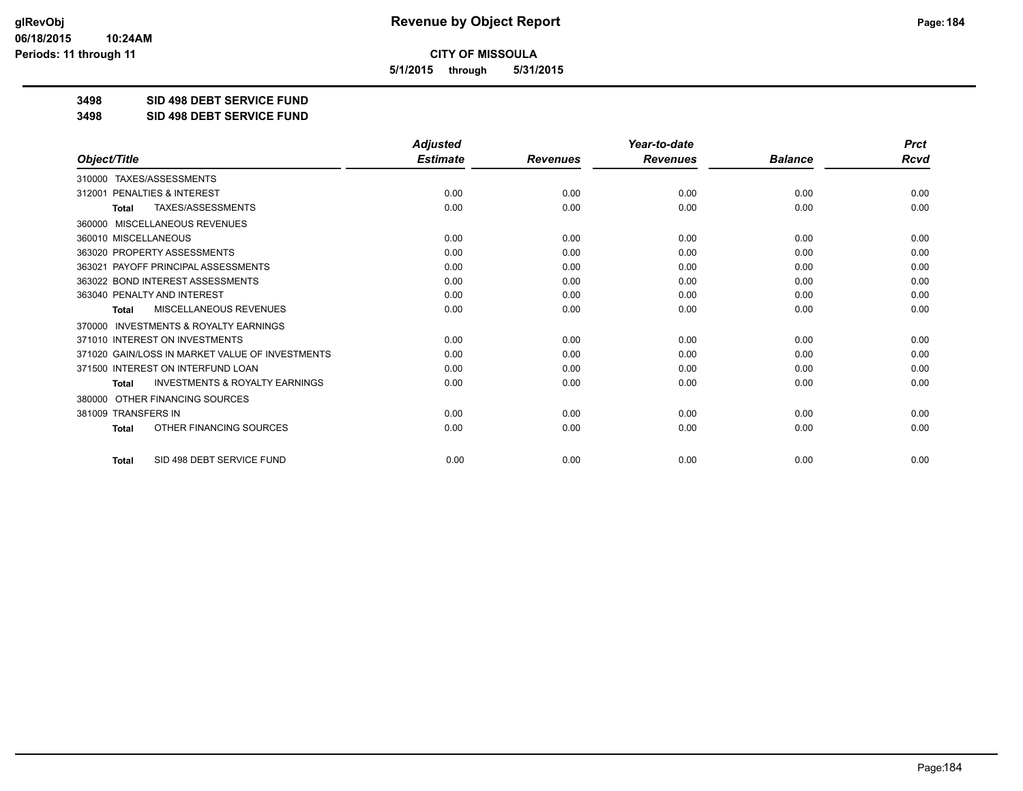**5/1/2015 through 5/31/2015**

**3498 SID 498 DEBT SERVICE FUND**

**3498 SID 498 DEBT SERVICE FUND**

|                                                           | <b>Adjusted</b> |                 | Year-to-date    |                | <b>Prct</b> |
|-----------------------------------------------------------|-----------------|-----------------|-----------------|----------------|-------------|
| Object/Title                                              | <b>Estimate</b> | <b>Revenues</b> | <b>Revenues</b> | <b>Balance</b> | Rcvd        |
| TAXES/ASSESSMENTS<br>310000                               |                 |                 |                 |                |             |
| PENALTIES & INTEREST<br>312001                            | 0.00            | 0.00            | 0.00            | 0.00           | 0.00        |
| TAXES/ASSESSMENTS<br><b>Total</b>                         | 0.00            | 0.00            | 0.00            | 0.00           | 0.00        |
| 360000 MISCELLANEOUS REVENUES                             |                 |                 |                 |                |             |
| 360010 MISCELLANEOUS                                      | 0.00            | 0.00            | 0.00            | 0.00           | 0.00        |
| 363020 PROPERTY ASSESSMENTS                               | 0.00            | 0.00            | 0.00            | 0.00           | 0.00        |
| PAYOFF PRINCIPAL ASSESSMENTS<br>363021                    | 0.00            | 0.00            | 0.00            | 0.00           | 0.00        |
| 363022 BOND INTEREST ASSESSMENTS                          | 0.00            | 0.00            | 0.00            | 0.00           | 0.00        |
| 363040 PENALTY AND INTEREST                               | 0.00            | 0.00            | 0.00            | 0.00           | 0.00        |
| MISCELLANEOUS REVENUES<br><b>Total</b>                    | 0.00            | 0.00            | 0.00            | 0.00           | 0.00        |
| 370000 INVESTMENTS & ROYALTY EARNINGS                     |                 |                 |                 |                |             |
| 371010 INTEREST ON INVESTMENTS                            | 0.00            | 0.00            | 0.00            | 0.00           | 0.00        |
| 371020 GAIN/LOSS IN MARKET VALUE OF INVESTMENTS           | 0.00            | 0.00            | 0.00            | 0.00           | 0.00        |
| 371500 INTEREST ON INTERFUND LOAN                         | 0.00            | 0.00            | 0.00            | 0.00           | 0.00        |
| <b>INVESTMENTS &amp; ROYALTY EARNINGS</b><br><b>Total</b> | 0.00            | 0.00            | 0.00            | 0.00           | 0.00        |
| OTHER FINANCING SOURCES<br>380000                         |                 |                 |                 |                |             |
| 381009 TRANSFERS IN                                       | 0.00            | 0.00            | 0.00            | 0.00           | 0.00        |
| OTHER FINANCING SOURCES<br><b>Total</b>                   | 0.00            | 0.00            | 0.00            | 0.00           | 0.00        |
| SID 498 DEBT SERVICE FUND<br>Total                        | 0.00            | 0.00            | 0.00            | 0.00           | 0.00        |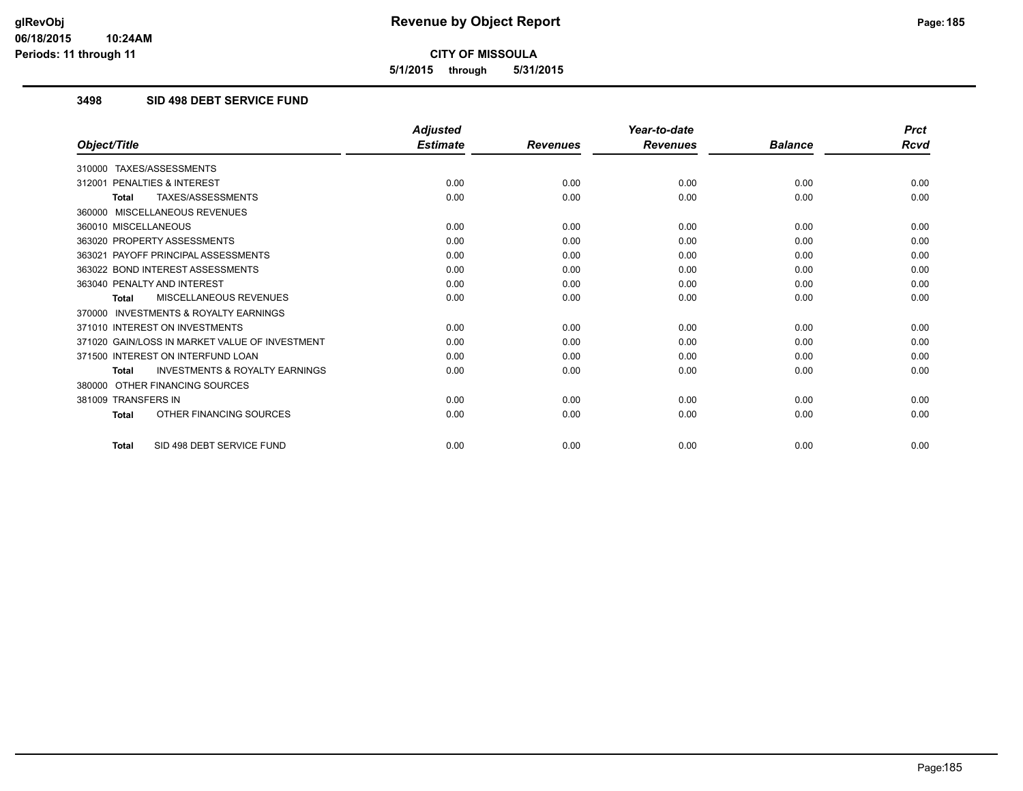**5/1/2015 through 5/31/2015**

#### **3498 SID 498 DEBT SERVICE FUND**

|                                                           | <b>Adjusted</b> |                 | Year-to-date    |                | <b>Prct</b> |
|-----------------------------------------------------------|-----------------|-----------------|-----------------|----------------|-------------|
| Object/Title                                              | <b>Estimate</b> | <b>Revenues</b> | <b>Revenues</b> | <b>Balance</b> | <b>Rcvd</b> |
| 310000 TAXES/ASSESSMENTS                                  |                 |                 |                 |                |             |
| 312001 PENALTIES & INTEREST                               | 0.00            | 0.00            | 0.00            | 0.00           | 0.00        |
| TAXES/ASSESSMENTS<br><b>Total</b>                         | 0.00            | 0.00            | 0.00            | 0.00           | 0.00        |
| 360000 MISCELLANEOUS REVENUES                             |                 |                 |                 |                |             |
| 360010 MISCELLANEOUS                                      | 0.00            | 0.00            | 0.00            | 0.00           | 0.00        |
| 363020 PROPERTY ASSESSMENTS                               | 0.00            | 0.00            | 0.00            | 0.00           | 0.00        |
| 363021 PAYOFF PRINCIPAL ASSESSMENTS                       | 0.00            | 0.00            | 0.00            | 0.00           | 0.00        |
| 363022 BOND INTEREST ASSESSMENTS                          | 0.00            | 0.00            | 0.00            | 0.00           | 0.00        |
| 363040 PENALTY AND INTEREST                               | 0.00            | 0.00            | 0.00            | 0.00           | 0.00        |
| MISCELLANEOUS REVENUES<br><b>Total</b>                    | 0.00            | 0.00            | 0.00            | 0.00           | 0.00        |
| <b>INVESTMENTS &amp; ROYALTY EARNINGS</b><br>370000       |                 |                 |                 |                |             |
| 371010 INTEREST ON INVESTMENTS                            | 0.00            | 0.00            | 0.00            | 0.00           | 0.00        |
| 371020 GAIN/LOSS IN MARKET VALUE OF INVESTMENT            | 0.00            | 0.00            | 0.00            | 0.00           | 0.00        |
| 371500 INTEREST ON INTERFUND LOAN                         | 0.00            | 0.00            | 0.00            | 0.00           | 0.00        |
| <b>INVESTMENTS &amp; ROYALTY EARNINGS</b><br><b>Total</b> | 0.00            | 0.00            | 0.00            | 0.00           | 0.00        |
| OTHER FINANCING SOURCES<br>380000                         |                 |                 |                 |                |             |
| 381009 TRANSFERS IN                                       | 0.00            | 0.00            | 0.00            | 0.00           | 0.00        |
| OTHER FINANCING SOURCES<br><b>Total</b>                   | 0.00            | 0.00            | 0.00            | 0.00           | 0.00        |
| SID 498 DEBT SERVICE FUND<br><b>Total</b>                 | 0.00            | 0.00            | 0.00            | 0.00           | 0.00        |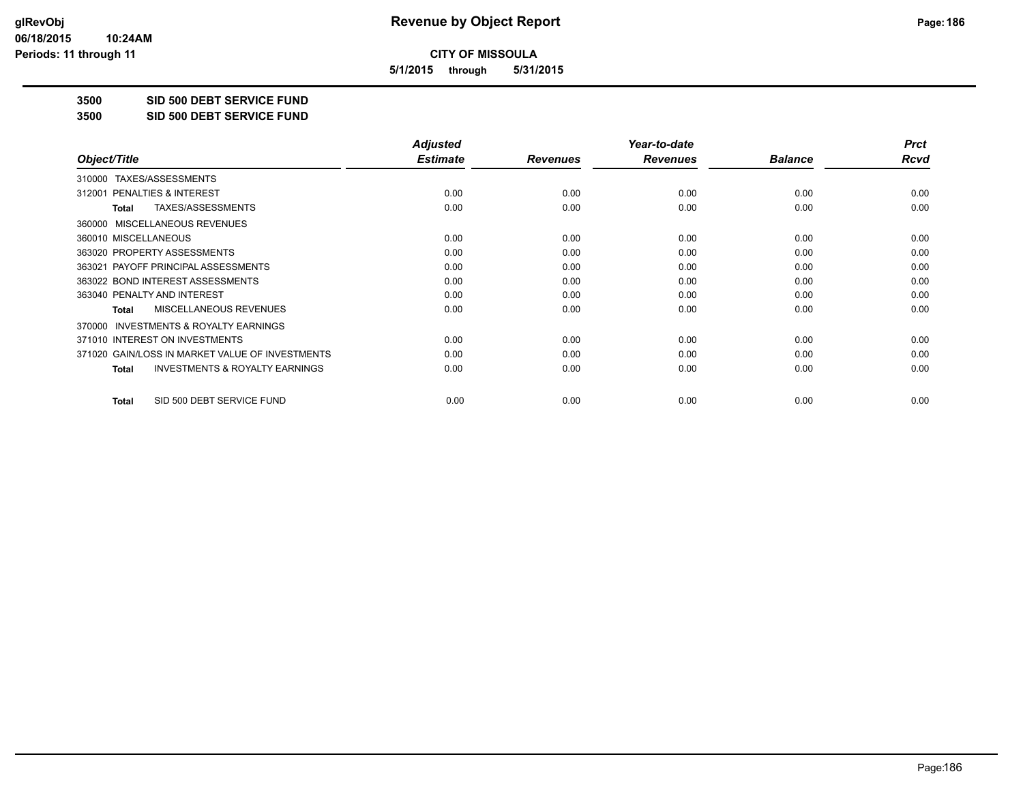**5/1/2015 through 5/31/2015**

**3500 SID 500 DEBT SERVICE FUND**

**3500 SID 500 DEBT SERVICE FUND**

|                                                           | <b>Adjusted</b> |                 | Year-to-date    |                | <b>Prct</b> |
|-----------------------------------------------------------|-----------------|-----------------|-----------------|----------------|-------------|
| Object/Title                                              | <b>Estimate</b> | <b>Revenues</b> | <b>Revenues</b> | <b>Balance</b> | Rcvd        |
| TAXES/ASSESSMENTS<br>310000                               |                 |                 |                 |                |             |
| 312001 PENALTIES & INTEREST                               | 0.00            | 0.00            | 0.00            | 0.00           | 0.00        |
| TAXES/ASSESSMENTS<br><b>Total</b>                         | 0.00            | 0.00            | 0.00            | 0.00           | 0.00        |
| MISCELLANEOUS REVENUES<br>360000                          |                 |                 |                 |                |             |
| 360010 MISCELLANEOUS                                      | 0.00            | 0.00            | 0.00            | 0.00           | 0.00        |
| 363020 PROPERTY ASSESSMENTS                               | 0.00            | 0.00            | 0.00            | 0.00           | 0.00        |
| 363021 PAYOFF PRINCIPAL ASSESSMENTS                       | 0.00            | 0.00            | 0.00            | 0.00           | 0.00        |
| 363022 BOND INTEREST ASSESSMENTS                          | 0.00            | 0.00            | 0.00            | 0.00           | 0.00        |
| 363040 PENALTY AND INTEREST                               | 0.00            | 0.00            | 0.00            | 0.00           | 0.00        |
| MISCELLANEOUS REVENUES<br><b>Total</b>                    | 0.00            | 0.00            | 0.00            | 0.00           | 0.00        |
| <b>INVESTMENTS &amp; ROYALTY EARNINGS</b><br>370000       |                 |                 |                 |                |             |
| 371010 INTEREST ON INVESTMENTS                            | 0.00            | 0.00            | 0.00            | 0.00           | 0.00        |
| 371020 GAIN/LOSS IN MARKET VALUE OF INVESTMENTS           | 0.00            | 0.00            | 0.00            | 0.00           | 0.00        |
| <b>INVESTMENTS &amp; ROYALTY EARNINGS</b><br><b>Total</b> | 0.00            | 0.00            | 0.00            | 0.00           | 0.00        |
| SID 500 DEBT SERVICE FUND<br><b>Total</b>                 | 0.00            | 0.00            | 0.00            | 0.00           | 0.00        |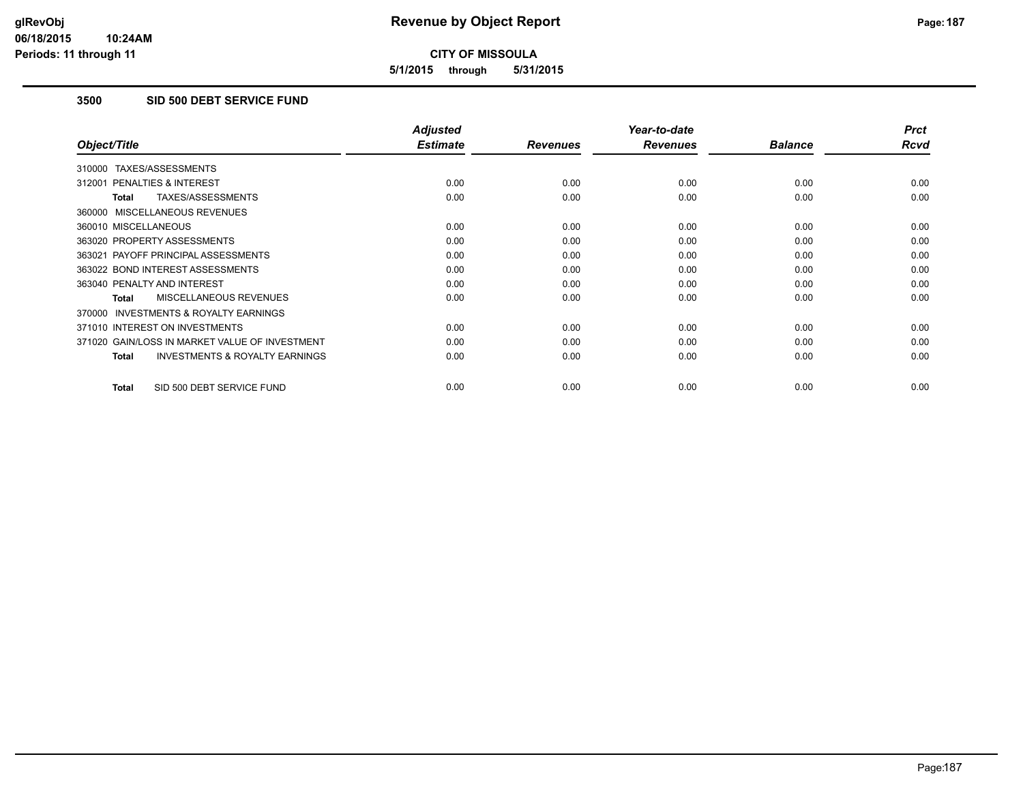**5/1/2015 through 5/31/2015**

### **3500 SID 500 DEBT SERVICE FUND**

|                                                           | <b>Adjusted</b> |                 | Year-to-date    |                | <b>Prct</b> |
|-----------------------------------------------------------|-----------------|-----------------|-----------------|----------------|-------------|
| Object/Title                                              | <b>Estimate</b> | <b>Revenues</b> | <b>Revenues</b> | <b>Balance</b> | <b>Rcvd</b> |
| 310000 TAXES/ASSESSMENTS                                  |                 |                 |                 |                |             |
| 312001 PENALTIES & INTEREST                               | 0.00            | 0.00            | 0.00            | 0.00           | 0.00        |
| TAXES/ASSESSMENTS<br><b>Total</b>                         | 0.00            | 0.00            | 0.00            | 0.00           | 0.00        |
| 360000 MISCELLANEOUS REVENUES                             |                 |                 |                 |                |             |
| 360010 MISCELLANEOUS                                      | 0.00            | 0.00            | 0.00            | 0.00           | 0.00        |
| 363020 PROPERTY ASSESSMENTS                               | 0.00            | 0.00            | 0.00            | 0.00           | 0.00        |
| 363021 PAYOFF PRINCIPAL ASSESSMENTS                       | 0.00            | 0.00            | 0.00            | 0.00           | 0.00        |
| 363022 BOND INTEREST ASSESSMENTS                          | 0.00            | 0.00            | 0.00            | 0.00           | 0.00        |
| 363040 PENALTY AND INTEREST                               | 0.00            | 0.00            | 0.00            | 0.00           | 0.00        |
| MISCELLANEOUS REVENUES<br>Total                           | 0.00            | 0.00            | 0.00            | 0.00           | 0.00        |
| <b>INVESTMENTS &amp; ROYALTY EARNINGS</b><br>370000       |                 |                 |                 |                |             |
| 371010 INTEREST ON INVESTMENTS                            | 0.00            | 0.00            | 0.00            | 0.00           | 0.00        |
| 371020 GAIN/LOSS IN MARKET VALUE OF INVESTMENT            | 0.00            | 0.00            | 0.00            | 0.00           | 0.00        |
| <b>INVESTMENTS &amp; ROYALTY EARNINGS</b><br><b>Total</b> | 0.00            | 0.00            | 0.00            | 0.00           | 0.00        |
| SID 500 DEBT SERVICE FUND<br><b>Total</b>                 | 0.00            | 0.00            | 0.00            | 0.00           | 0.00        |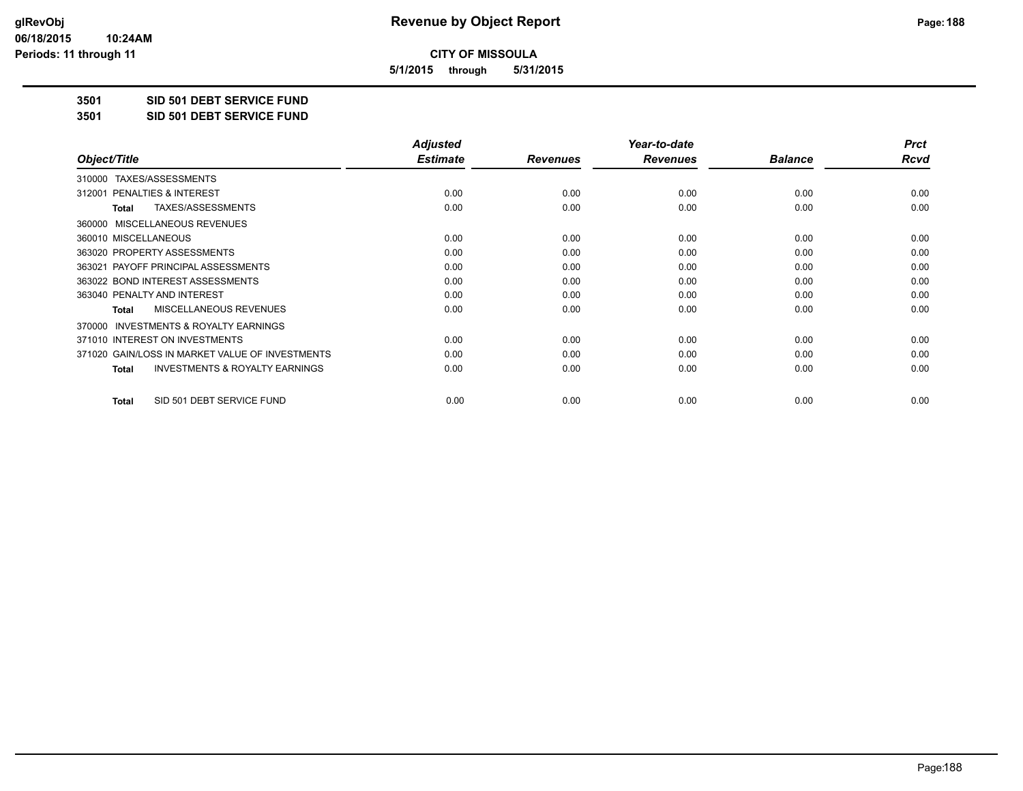**5/1/2015 through 5/31/2015**

**3501 SID 501 DEBT SERVICE FUND**

**3501 SID 501 DEBT SERVICE FUND**

|                                                           | <b>Adjusted</b> |                 | Year-to-date    |                | <b>Prct</b> |
|-----------------------------------------------------------|-----------------|-----------------|-----------------|----------------|-------------|
| Object/Title                                              | <b>Estimate</b> | <b>Revenues</b> | <b>Revenues</b> | <b>Balance</b> | Rcvd        |
| TAXES/ASSESSMENTS<br>310000                               |                 |                 |                 |                |             |
| 312001 PENALTIES & INTEREST                               | 0.00            | 0.00            | 0.00            | 0.00           | 0.00        |
| TAXES/ASSESSMENTS<br><b>Total</b>                         | 0.00            | 0.00            | 0.00            | 0.00           | 0.00        |
| MISCELLANEOUS REVENUES<br>360000                          |                 |                 |                 |                |             |
| 360010 MISCELLANEOUS                                      | 0.00            | 0.00            | 0.00            | 0.00           | 0.00        |
| 363020 PROPERTY ASSESSMENTS                               | 0.00            | 0.00            | 0.00            | 0.00           | 0.00        |
| 363021 PAYOFF PRINCIPAL ASSESSMENTS                       | 0.00            | 0.00            | 0.00            | 0.00           | 0.00        |
| 363022 BOND INTEREST ASSESSMENTS                          | 0.00            | 0.00            | 0.00            | 0.00           | 0.00        |
| 363040 PENALTY AND INTEREST                               | 0.00            | 0.00            | 0.00            | 0.00           | 0.00        |
| MISCELLANEOUS REVENUES<br><b>Total</b>                    | 0.00            | 0.00            | 0.00            | 0.00           | 0.00        |
| <b>INVESTMENTS &amp; ROYALTY EARNINGS</b><br>370000       |                 |                 |                 |                |             |
| 371010 INTEREST ON INVESTMENTS                            | 0.00            | 0.00            | 0.00            | 0.00           | 0.00        |
| 371020 GAIN/LOSS IN MARKET VALUE OF INVESTMENTS           | 0.00            | 0.00            | 0.00            | 0.00           | 0.00        |
| <b>INVESTMENTS &amp; ROYALTY EARNINGS</b><br><b>Total</b> | 0.00            | 0.00            | 0.00            | 0.00           | 0.00        |
| SID 501 DEBT SERVICE FUND<br><b>Total</b>                 | 0.00            | 0.00            | 0.00            | 0.00           | 0.00        |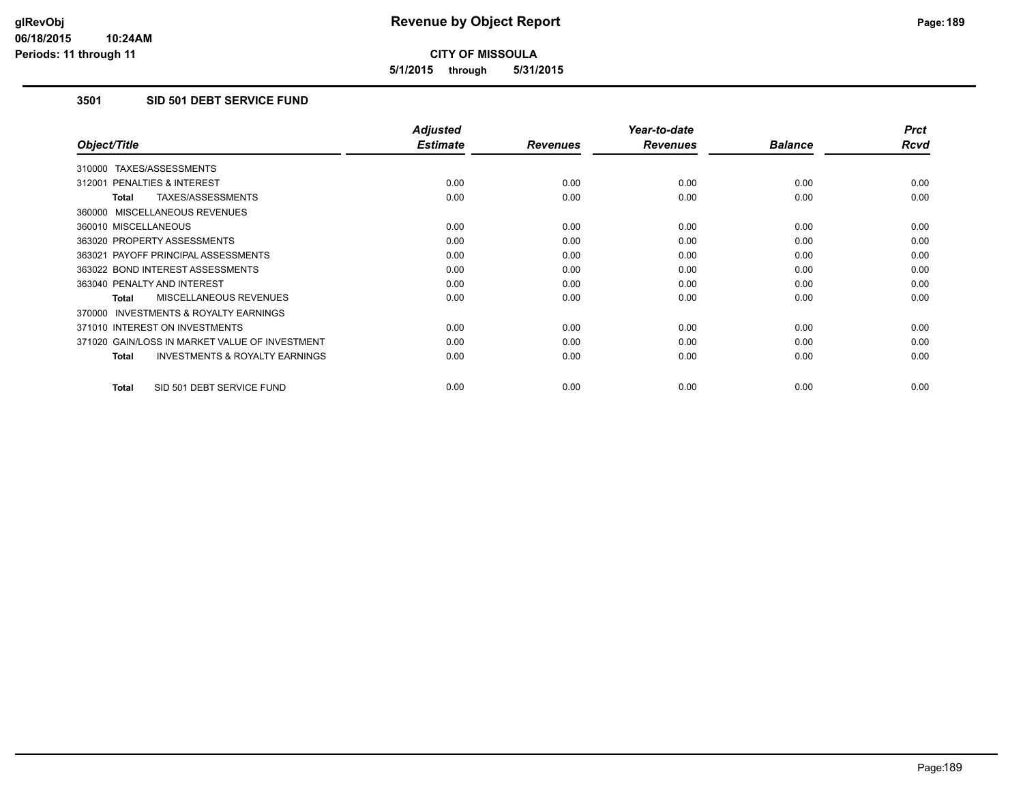**5/1/2015 through 5/31/2015**

### **3501 SID 501 DEBT SERVICE FUND**

|                                                           | <b>Adjusted</b> |                 | Year-to-date    |                | <b>Prct</b> |
|-----------------------------------------------------------|-----------------|-----------------|-----------------|----------------|-------------|
| Object/Title                                              | <b>Estimate</b> | <b>Revenues</b> | <b>Revenues</b> | <b>Balance</b> | <b>Rcvd</b> |
| 310000 TAXES/ASSESSMENTS                                  |                 |                 |                 |                |             |
| 312001 PENALTIES & INTEREST                               | 0.00            | 0.00            | 0.00            | 0.00           | 0.00        |
| TAXES/ASSESSMENTS<br><b>Total</b>                         | 0.00            | 0.00            | 0.00            | 0.00           | 0.00        |
| 360000 MISCELLANEOUS REVENUES                             |                 |                 |                 |                |             |
| 360010 MISCELLANEOUS                                      | 0.00            | 0.00            | 0.00            | 0.00           | 0.00        |
| 363020 PROPERTY ASSESSMENTS                               | 0.00            | 0.00            | 0.00            | 0.00           | 0.00        |
| 363021 PAYOFF PRINCIPAL ASSESSMENTS                       | 0.00            | 0.00            | 0.00            | 0.00           | 0.00        |
| 363022 BOND INTEREST ASSESSMENTS                          | 0.00            | 0.00            | 0.00            | 0.00           | 0.00        |
| 363040 PENALTY AND INTEREST                               | 0.00            | 0.00            | 0.00            | 0.00           | 0.00        |
| <b>MISCELLANEOUS REVENUES</b><br>Total                    | 0.00            | 0.00            | 0.00            | 0.00           | 0.00        |
| <b>INVESTMENTS &amp; ROYALTY EARNINGS</b><br>370000       |                 |                 |                 |                |             |
| 371010 INTEREST ON INVESTMENTS                            | 0.00            | 0.00            | 0.00            | 0.00           | 0.00        |
| 371020 GAIN/LOSS IN MARKET VALUE OF INVESTMENT            | 0.00            | 0.00            | 0.00            | 0.00           | 0.00        |
| <b>INVESTMENTS &amp; ROYALTY EARNINGS</b><br><b>Total</b> | 0.00            | 0.00            | 0.00            | 0.00           | 0.00        |
|                                                           |                 |                 |                 |                |             |
| SID 501 DEBT SERVICE FUND<br><b>Total</b>                 | 0.00            | 0.00            | 0.00            | 0.00           | 0.00        |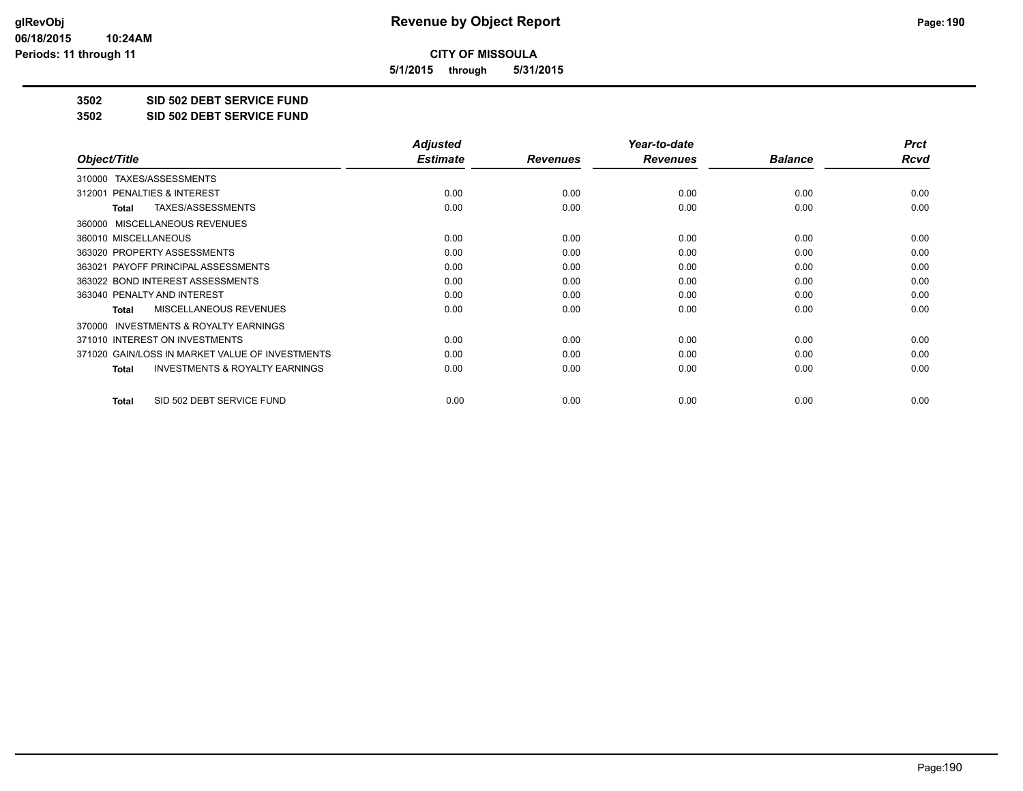**5/1/2015 through 5/31/2015**

**3502 SID 502 DEBT SERVICE FUND**

**3502 SID 502 DEBT SERVICE FUND**

|                                                           | <b>Adjusted</b> |                 | Year-to-date    |                | <b>Prct</b> |
|-----------------------------------------------------------|-----------------|-----------------|-----------------|----------------|-------------|
| Object/Title                                              | <b>Estimate</b> | <b>Revenues</b> | <b>Revenues</b> | <b>Balance</b> | Rcvd        |
| TAXES/ASSESSMENTS<br>310000                               |                 |                 |                 |                |             |
| 312001 PENALTIES & INTEREST                               | 0.00            | 0.00            | 0.00            | 0.00           | 0.00        |
| TAXES/ASSESSMENTS<br>Total                                | 0.00            | 0.00            | 0.00            | 0.00           | 0.00        |
| MISCELLANEOUS REVENUES<br>360000                          |                 |                 |                 |                |             |
| 360010 MISCELLANEOUS                                      | 0.00            | 0.00            | 0.00            | 0.00           | 0.00        |
| 363020 PROPERTY ASSESSMENTS                               | 0.00            | 0.00            | 0.00            | 0.00           | 0.00        |
| 363021 PAYOFF PRINCIPAL ASSESSMENTS                       | 0.00            | 0.00            | 0.00            | 0.00           | 0.00        |
| 363022 BOND INTEREST ASSESSMENTS                          | 0.00            | 0.00            | 0.00            | 0.00           | 0.00        |
| 363040 PENALTY AND INTEREST                               | 0.00            | 0.00            | 0.00            | 0.00           | 0.00        |
| MISCELLANEOUS REVENUES<br><b>Total</b>                    | 0.00            | 0.00            | 0.00            | 0.00           | 0.00        |
| <b>INVESTMENTS &amp; ROYALTY EARNINGS</b><br>370000       |                 |                 |                 |                |             |
| 371010 INTEREST ON INVESTMENTS                            | 0.00            | 0.00            | 0.00            | 0.00           | 0.00        |
| 371020 GAIN/LOSS IN MARKET VALUE OF INVESTMENTS           | 0.00            | 0.00            | 0.00            | 0.00           | 0.00        |
| <b>INVESTMENTS &amp; ROYALTY EARNINGS</b><br><b>Total</b> | 0.00            | 0.00            | 0.00            | 0.00           | 0.00        |
| SID 502 DEBT SERVICE FUND<br>Total                        | 0.00            | 0.00            | 0.00            | 0.00           | 0.00        |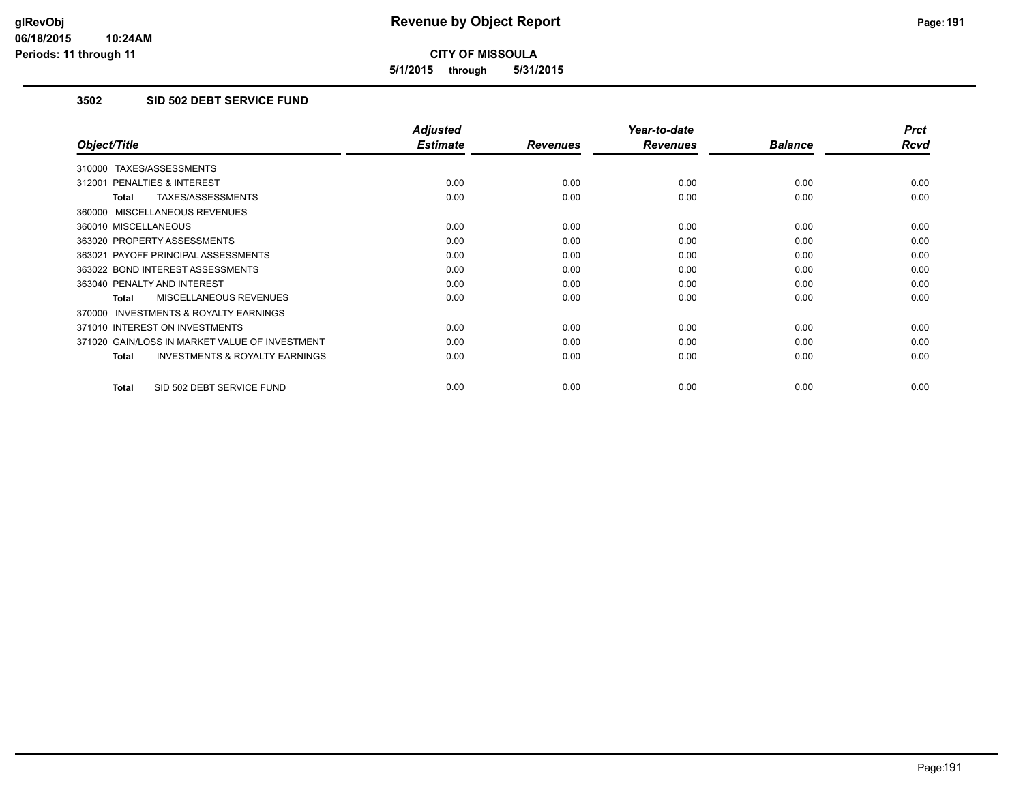**5/1/2015 through 5/31/2015**

#### **3502 SID 502 DEBT SERVICE FUND**

|                                                           | <b>Adjusted</b> |                 | Year-to-date    |                | <b>Prct</b> |
|-----------------------------------------------------------|-----------------|-----------------|-----------------|----------------|-------------|
| Object/Title                                              | <b>Estimate</b> | <b>Revenues</b> | <b>Revenues</b> | <b>Balance</b> | <b>Rcvd</b> |
| 310000 TAXES/ASSESSMENTS                                  |                 |                 |                 |                |             |
| 312001 PENALTIES & INTEREST                               | 0.00            | 0.00            | 0.00            | 0.00           | 0.00        |
| TAXES/ASSESSMENTS<br><b>Total</b>                         | 0.00            | 0.00            | 0.00            | 0.00           | 0.00        |
| 360000 MISCELLANEOUS REVENUES                             |                 |                 |                 |                |             |
| 360010 MISCELLANEOUS                                      | 0.00            | 0.00            | 0.00            | 0.00           | 0.00        |
| 363020 PROPERTY ASSESSMENTS                               | 0.00            | 0.00            | 0.00            | 0.00           | 0.00        |
| 363021 PAYOFF PRINCIPAL ASSESSMENTS                       | 0.00            | 0.00            | 0.00            | 0.00           | 0.00        |
| 363022 BOND INTEREST ASSESSMENTS                          | 0.00            | 0.00            | 0.00            | 0.00           | 0.00        |
| 363040 PENALTY AND INTEREST                               | 0.00            | 0.00            | 0.00            | 0.00           | 0.00        |
| MISCELLANEOUS REVENUES<br>Total                           | 0.00            | 0.00            | 0.00            | 0.00           | 0.00        |
| <b>INVESTMENTS &amp; ROYALTY EARNINGS</b><br>370000       |                 |                 |                 |                |             |
| 371010 INTEREST ON INVESTMENTS                            | 0.00            | 0.00            | 0.00            | 0.00           | 0.00        |
| 371020 GAIN/LOSS IN MARKET VALUE OF INVESTMENT            | 0.00            | 0.00            | 0.00            | 0.00           | 0.00        |
| <b>INVESTMENTS &amp; ROYALTY EARNINGS</b><br><b>Total</b> | 0.00            | 0.00            | 0.00            | 0.00           | 0.00        |
|                                                           |                 |                 |                 |                |             |
| SID 502 DEBT SERVICE FUND<br><b>Total</b>                 | 0.00            | 0.00            | 0.00            | 0.00           | 0.00        |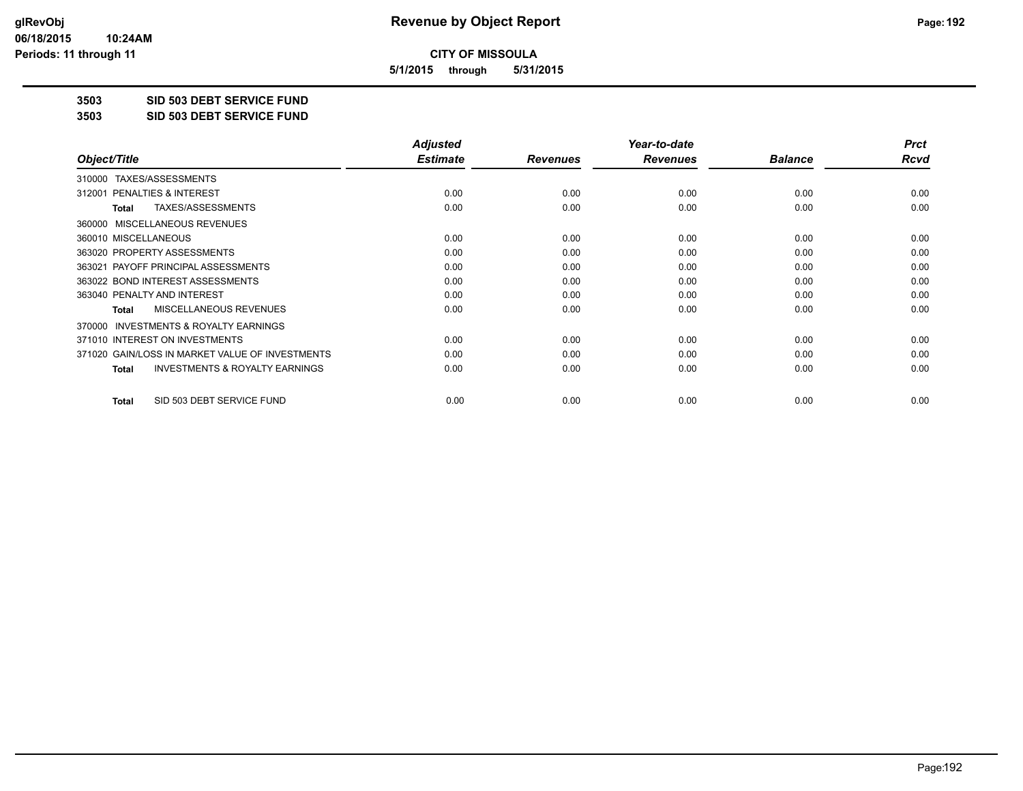**5/1/2015 through 5/31/2015**

**3503 SID 503 DEBT SERVICE FUND**

**3503 SID 503 DEBT SERVICE FUND**

|                                                           | <b>Adjusted</b> |                 | Year-to-date    |                | <b>Prct</b> |
|-----------------------------------------------------------|-----------------|-----------------|-----------------|----------------|-------------|
| Object/Title                                              | <b>Estimate</b> | <b>Revenues</b> | <b>Revenues</b> | <b>Balance</b> | Rcvd        |
| TAXES/ASSESSMENTS<br>310000                               |                 |                 |                 |                |             |
| 312001 PENALTIES & INTEREST                               | 0.00            | 0.00            | 0.00            | 0.00           | 0.00        |
| TAXES/ASSESSMENTS<br>Total                                | 0.00            | 0.00            | 0.00            | 0.00           | 0.00        |
| MISCELLANEOUS REVENUES<br>360000                          |                 |                 |                 |                |             |
| 360010 MISCELLANEOUS                                      | 0.00            | 0.00            | 0.00            | 0.00           | 0.00        |
| 363020 PROPERTY ASSESSMENTS                               | 0.00            | 0.00            | 0.00            | 0.00           | 0.00        |
| 363021 PAYOFF PRINCIPAL ASSESSMENTS                       | 0.00            | 0.00            | 0.00            | 0.00           | 0.00        |
| 363022 BOND INTEREST ASSESSMENTS                          | 0.00            | 0.00            | 0.00            | 0.00           | 0.00        |
| 363040 PENALTY AND INTEREST                               | 0.00            | 0.00            | 0.00            | 0.00           | 0.00        |
| MISCELLANEOUS REVENUES<br><b>Total</b>                    | 0.00            | 0.00            | 0.00            | 0.00           | 0.00        |
| <b>INVESTMENTS &amp; ROYALTY EARNINGS</b><br>370000       |                 |                 |                 |                |             |
| 371010 INTEREST ON INVESTMENTS                            | 0.00            | 0.00            | 0.00            | 0.00           | 0.00        |
| 371020 GAIN/LOSS IN MARKET VALUE OF INVESTMENTS           | 0.00            | 0.00            | 0.00            | 0.00           | 0.00        |
| <b>INVESTMENTS &amp; ROYALTY EARNINGS</b><br><b>Total</b> | 0.00            | 0.00            | 0.00            | 0.00           | 0.00        |
| SID 503 DEBT SERVICE FUND<br><b>Total</b>                 | 0.00            | 0.00            | 0.00            | 0.00           | 0.00        |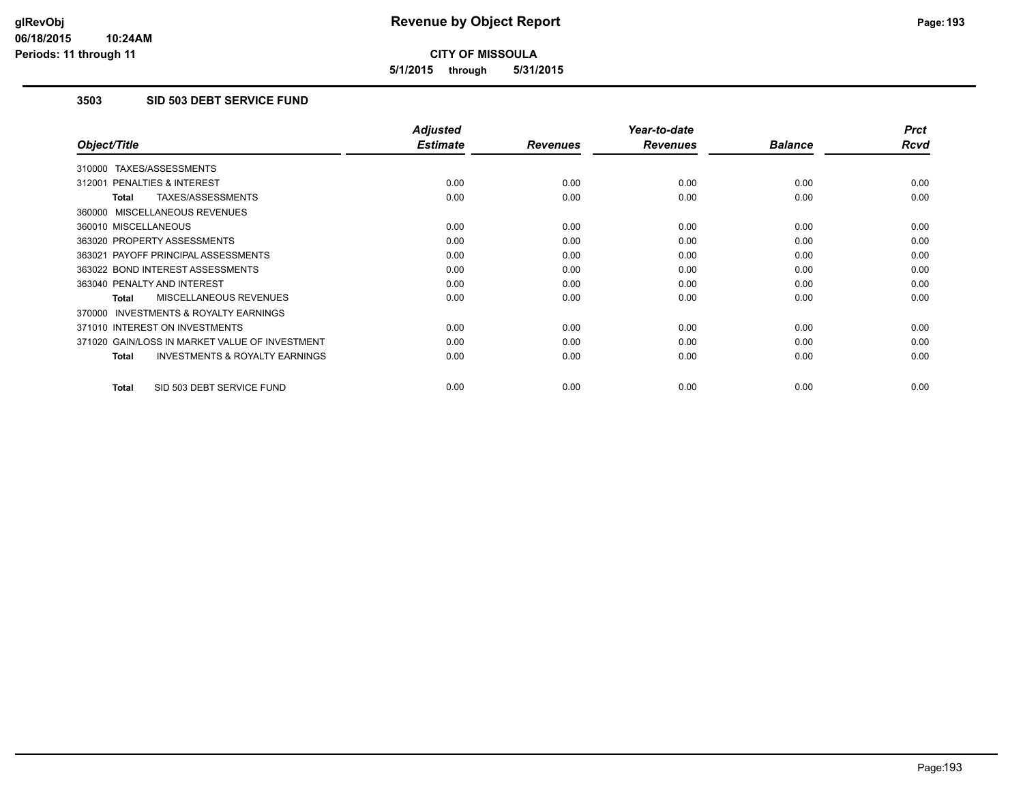**5/1/2015 through 5/31/2015**

### **3503 SID 503 DEBT SERVICE FUND**

|                                                           | <b>Adjusted</b> |                 | Year-to-date    |                | <b>Prct</b> |
|-----------------------------------------------------------|-----------------|-----------------|-----------------|----------------|-------------|
| Object/Title                                              | <b>Estimate</b> | <b>Revenues</b> | <b>Revenues</b> | <b>Balance</b> | <b>Rcvd</b> |
| 310000 TAXES/ASSESSMENTS                                  |                 |                 |                 |                |             |
| 312001 PENALTIES & INTEREST                               | 0.00            | 0.00            | 0.00            | 0.00           | 0.00        |
| TAXES/ASSESSMENTS<br><b>Total</b>                         | 0.00            | 0.00            | 0.00            | 0.00           | 0.00        |
| 360000 MISCELLANEOUS REVENUES                             |                 |                 |                 |                |             |
| 360010 MISCELLANEOUS                                      | 0.00            | 0.00            | 0.00            | 0.00           | 0.00        |
| 363020 PROPERTY ASSESSMENTS                               | 0.00            | 0.00            | 0.00            | 0.00           | 0.00        |
| 363021 PAYOFF PRINCIPAL ASSESSMENTS                       | 0.00            | 0.00            | 0.00            | 0.00           | 0.00        |
| 363022 BOND INTEREST ASSESSMENTS                          | 0.00            | 0.00            | 0.00            | 0.00           | 0.00        |
| 363040 PENALTY AND INTEREST                               | 0.00            | 0.00            | 0.00            | 0.00           | 0.00        |
| MISCELLANEOUS REVENUES<br>Total                           | 0.00            | 0.00            | 0.00            | 0.00           | 0.00        |
| <b>INVESTMENTS &amp; ROYALTY EARNINGS</b><br>370000       |                 |                 |                 |                |             |
| 371010 INTEREST ON INVESTMENTS                            | 0.00            | 0.00            | 0.00            | 0.00           | 0.00        |
| 371020 GAIN/LOSS IN MARKET VALUE OF INVESTMENT            | 0.00            | 0.00            | 0.00            | 0.00           | 0.00        |
| <b>INVESTMENTS &amp; ROYALTY EARNINGS</b><br><b>Total</b> | 0.00            | 0.00            | 0.00            | 0.00           | 0.00        |
| SID 503 DEBT SERVICE FUND<br><b>Total</b>                 | 0.00            | 0.00            | 0.00            | 0.00           | 0.00        |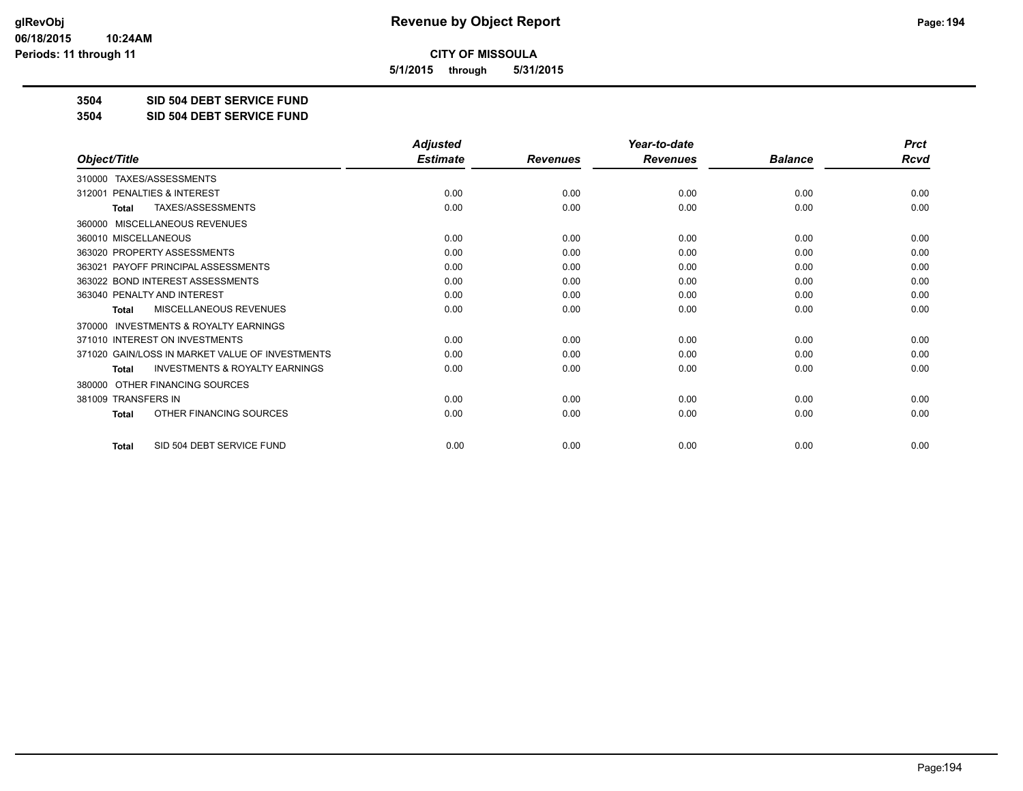**5/1/2015 through 5/31/2015**

**3504 SID 504 DEBT SERVICE FUND**

**3504 SID 504 DEBT SERVICE FUND**

|                                                           | <b>Adjusted</b> |                 | Year-to-date    |                | <b>Prct</b> |
|-----------------------------------------------------------|-----------------|-----------------|-----------------|----------------|-------------|
| Object/Title                                              | <b>Estimate</b> | <b>Revenues</b> | <b>Revenues</b> | <b>Balance</b> | <b>Rcvd</b> |
| TAXES/ASSESSMENTS<br>310000                               |                 |                 |                 |                |             |
| 312001 PENALTIES & INTEREST                               | 0.00            | 0.00            | 0.00            | 0.00           | 0.00        |
| TAXES/ASSESSMENTS<br><b>Total</b>                         | 0.00            | 0.00            | 0.00            | 0.00           | 0.00        |
| MISCELLANEOUS REVENUES<br>360000                          |                 |                 |                 |                |             |
| 360010 MISCELLANEOUS                                      | 0.00            | 0.00            | 0.00            | 0.00           | 0.00        |
| 363020 PROPERTY ASSESSMENTS                               | 0.00            | 0.00            | 0.00            | 0.00           | 0.00        |
| 363021 PAYOFF PRINCIPAL ASSESSMENTS                       | 0.00            | 0.00            | 0.00            | 0.00           | 0.00        |
| 363022 BOND INTEREST ASSESSMENTS                          | 0.00            | 0.00            | 0.00            | 0.00           | 0.00        |
| 363040 PENALTY AND INTEREST                               | 0.00            | 0.00            | 0.00            | 0.00           | 0.00        |
| <b>MISCELLANEOUS REVENUES</b><br><b>Total</b>             | 0.00            | 0.00            | 0.00            | 0.00           | 0.00        |
| <b>INVESTMENTS &amp; ROYALTY EARNINGS</b><br>370000       |                 |                 |                 |                |             |
| 371010 INTEREST ON INVESTMENTS                            | 0.00            | 0.00            | 0.00            | 0.00           | 0.00        |
| 371020 GAIN/LOSS IN MARKET VALUE OF INVESTMENTS           | 0.00            | 0.00            | 0.00            | 0.00           | 0.00        |
| <b>INVESTMENTS &amp; ROYALTY EARNINGS</b><br><b>Total</b> | 0.00            | 0.00            | 0.00            | 0.00           | 0.00        |
| OTHER FINANCING SOURCES<br>380000                         |                 |                 |                 |                |             |
| 381009 TRANSFERS IN                                       | 0.00            | 0.00            | 0.00            | 0.00           | 0.00        |
| OTHER FINANCING SOURCES<br>Total                          | 0.00            | 0.00            | 0.00            | 0.00           | 0.00        |
| SID 504 DEBT SERVICE FUND<br><b>Total</b>                 | 0.00            | 0.00            | 0.00            | 0.00           | 0.00        |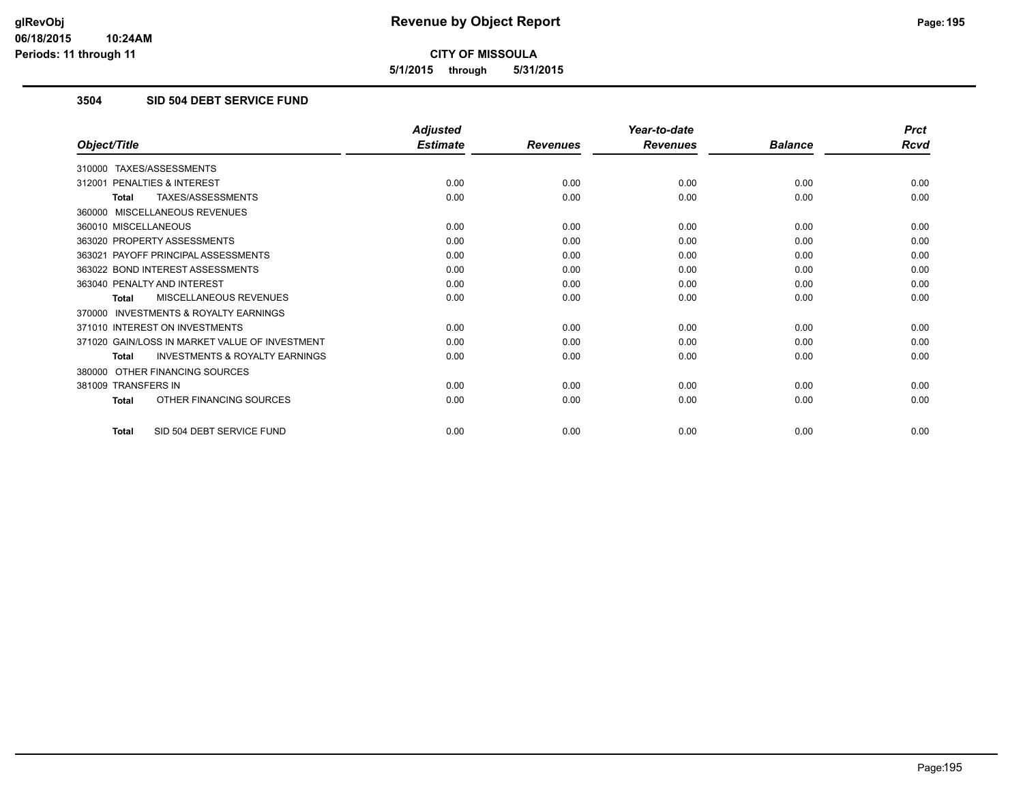**5/1/2015 through 5/31/2015**

### **3504 SID 504 DEBT SERVICE FUND**

|                                                           | <b>Adjusted</b> |                 | Year-to-date    |                | <b>Prct</b> |
|-----------------------------------------------------------|-----------------|-----------------|-----------------|----------------|-------------|
| Object/Title                                              | <b>Estimate</b> | <b>Revenues</b> | <b>Revenues</b> | <b>Balance</b> | <b>Rcvd</b> |
| 310000 TAXES/ASSESSMENTS                                  |                 |                 |                 |                |             |
| 312001 PENALTIES & INTEREST                               | 0.00            | 0.00            | 0.00            | 0.00           | 0.00        |
| TAXES/ASSESSMENTS<br><b>Total</b>                         | 0.00            | 0.00            | 0.00            | 0.00           | 0.00        |
| 360000 MISCELLANEOUS REVENUES                             |                 |                 |                 |                |             |
| 360010 MISCELLANEOUS                                      | 0.00            | 0.00            | 0.00            | 0.00           | 0.00        |
| 363020 PROPERTY ASSESSMENTS                               | 0.00            | 0.00            | 0.00            | 0.00           | 0.00        |
| 363021 PAYOFF PRINCIPAL ASSESSMENTS                       | 0.00            | 0.00            | 0.00            | 0.00           | 0.00        |
| 363022 BOND INTEREST ASSESSMENTS                          | 0.00            | 0.00            | 0.00            | 0.00           | 0.00        |
| 363040 PENALTY AND INTEREST                               | 0.00            | 0.00            | 0.00            | 0.00           | 0.00        |
| MISCELLANEOUS REVENUES<br>Total                           | 0.00            | 0.00            | 0.00            | 0.00           | 0.00        |
| 370000 INVESTMENTS & ROYALTY EARNINGS                     |                 |                 |                 |                |             |
| 371010 INTEREST ON INVESTMENTS                            | 0.00            | 0.00            | 0.00            | 0.00           | 0.00        |
| 371020 GAIN/LOSS IN MARKET VALUE OF INVESTMENT            | 0.00            | 0.00            | 0.00            | 0.00           | 0.00        |
| <b>INVESTMENTS &amp; ROYALTY EARNINGS</b><br><b>Total</b> | 0.00            | 0.00            | 0.00            | 0.00           | 0.00        |
| 380000 OTHER FINANCING SOURCES                            |                 |                 |                 |                |             |
| 381009 TRANSFERS IN                                       | 0.00            | 0.00            | 0.00            | 0.00           | 0.00        |
| OTHER FINANCING SOURCES<br><b>Total</b>                   | 0.00            | 0.00            | 0.00            | 0.00           | 0.00        |
| SID 504 DEBT SERVICE FUND<br><b>Total</b>                 | 0.00            | 0.00            | 0.00            | 0.00           | 0.00        |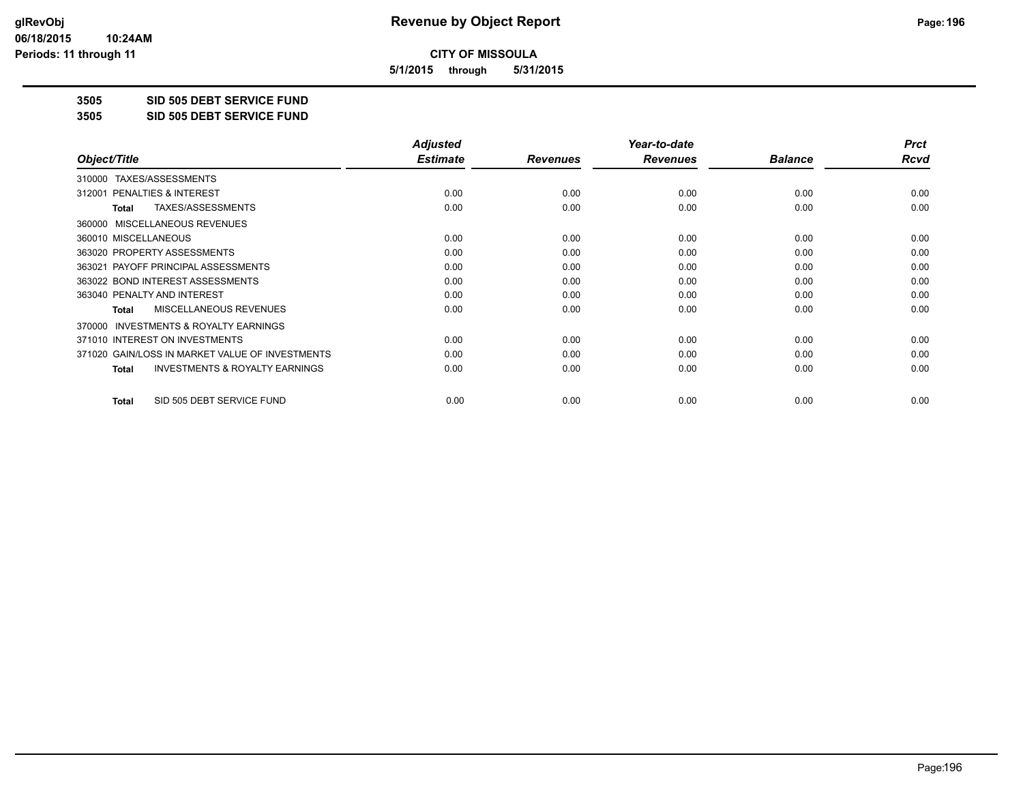**5/1/2015 through 5/31/2015**

**3505 SID 505 DEBT SERVICE FUND**

**3505 SID 505 DEBT SERVICE FUND**

|                                                           | <b>Adjusted</b> |                 | Year-to-date    |                | <b>Prct</b> |
|-----------------------------------------------------------|-----------------|-----------------|-----------------|----------------|-------------|
| Object/Title                                              | <b>Estimate</b> | <b>Revenues</b> | <b>Revenues</b> | <b>Balance</b> | Rcvd        |
| TAXES/ASSESSMENTS<br>310000                               |                 |                 |                 |                |             |
| 312001 PENALTIES & INTEREST                               | 0.00            | 0.00            | 0.00            | 0.00           | 0.00        |
| TAXES/ASSESSMENTS<br><b>Total</b>                         | 0.00            | 0.00            | 0.00            | 0.00           | 0.00        |
| MISCELLANEOUS REVENUES<br>360000                          |                 |                 |                 |                |             |
| 360010 MISCELLANEOUS                                      | 0.00            | 0.00            | 0.00            | 0.00           | 0.00        |
| 363020 PROPERTY ASSESSMENTS                               | 0.00            | 0.00            | 0.00            | 0.00           | 0.00        |
| 363021 PAYOFF PRINCIPAL ASSESSMENTS                       | 0.00            | 0.00            | 0.00            | 0.00           | 0.00        |
| 363022 BOND INTEREST ASSESSMENTS                          | 0.00            | 0.00            | 0.00            | 0.00           | 0.00        |
| 363040 PENALTY AND INTEREST                               | 0.00            | 0.00            | 0.00            | 0.00           | 0.00        |
| MISCELLANEOUS REVENUES<br><b>Total</b>                    | 0.00            | 0.00            | 0.00            | 0.00           | 0.00        |
| <b>INVESTMENTS &amp; ROYALTY EARNINGS</b><br>370000       |                 |                 |                 |                |             |
| 371010 INTEREST ON INVESTMENTS                            | 0.00            | 0.00            | 0.00            | 0.00           | 0.00        |
| 371020 GAIN/LOSS IN MARKET VALUE OF INVESTMENTS           | 0.00            | 0.00            | 0.00            | 0.00           | 0.00        |
| <b>INVESTMENTS &amp; ROYALTY EARNINGS</b><br><b>Total</b> | 0.00            | 0.00            | 0.00            | 0.00           | 0.00        |
| SID 505 DEBT SERVICE FUND<br><b>Total</b>                 | 0.00            | 0.00            | 0.00            | 0.00           | 0.00        |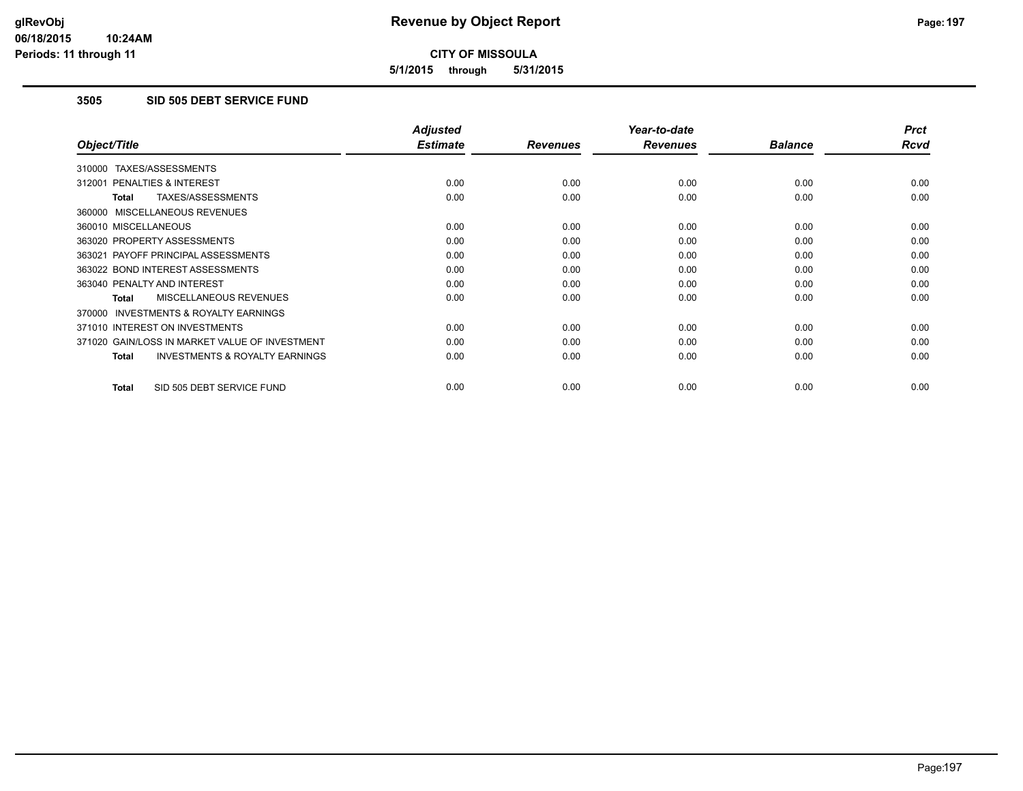**5/1/2015 through 5/31/2015**

### **3505 SID 505 DEBT SERVICE FUND**

|                                                           | <b>Adjusted</b> |                 | Year-to-date    |                | <b>Prct</b> |
|-----------------------------------------------------------|-----------------|-----------------|-----------------|----------------|-------------|
| Object/Title                                              | <b>Estimate</b> | <b>Revenues</b> | <b>Revenues</b> | <b>Balance</b> | <b>Rcvd</b> |
| 310000 TAXES/ASSESSMENTS                                  |                 |                 |                 |                |             |
| 312001 PENALTIES & INTEREST                               | 0.00            | 0.00            | 0.00            | 0.00           | 0.00        |
| TAXES/ASSESSMENTS<br><b>Total</b>                         | 0.00            | 0.00            | 0.00            | 0.00           | 0.00        |
| 360000 MISCELLANEOUS REVENUES                             |                 |                 |                 |                |             |
| 360010 MISCELLANEOUS                                      | 0.00            | 0.00            | 0.00            | 0.00           | 0.00        |
| 363020 PROPERTY ASSESSMENTS                               | 0.00            | 0.00            | 0.00            | 0.00           | 0.00        |
| 363021 PAYOFF PRINCIPAL ASSESSMENTS                       | 0.00            | 0.00            | 0.00            | 0.00           | 0.00        |
| 363022 BOND INTEREST ASSESSMENTS                          | 0.00            | 0.00            | 0.00            | 0.00           | 0.00        |
| 363040 PENALTY AND INTEREST                               | 0.00            | 0.00            | 0.00            | 0.00           | 0.00        |
| MISCELLANEOUS REVENUES<br>Total                           | 0.00            | 0.00            | 0.00            | 0.00           | 0.00        |
| <b>INVESTMENTS &amp; ROYALTY EARNINGS</b><br>370000       |                 |                 |                 |                |             |
| 371010 INTEREST ON INVESTMENTS                            | 0.00            | 0.00            | 0.00            | 0.00           | 0.00        |
| 371020 GAIN/LOSS IN MARKET VALUE OF INVESTMENT            | 0.00            | 0.00            | 0.00            | 0.00           | 0.00        |
| <b>INVESTMENTS &amp; ROYALTY EARNINGS</b><br><b>Total</b> | 0.00            | 0.00            | 0.00            | 0.00           | 0.00        |
| SID 505 DEBT SERVICE FUND<br><b>Total</b>                 | 0.00            | 0.00            | 0.00            | 0.00           | 0.00        |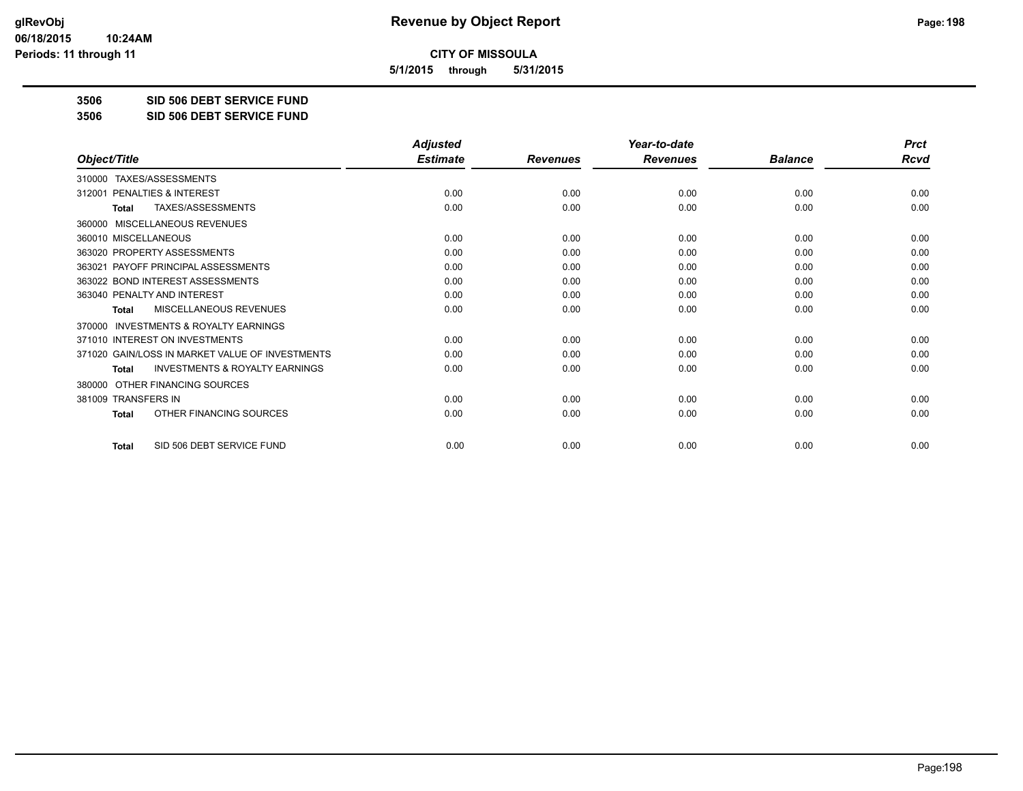**5/1/2015 through 5/31/2015**

**3506 SID 506 DEBT SERVICE FUND**

**3506 SID 506 DEBT SERVICE FUND**

|                                                           | <b>Adjusted</b> |                 | Year-to-date    |                | <b>Prct</b> |
|-----------------------------------------------------------|-----------------|-----------------|-----------------|----------------|-------------|
| Object/Title                                              | <b>Estimate</b> | <b>Revenues</b> | <b>Revenues</b> | <b>Balance</b> | Rcvd        |
| TAXES/ASSESSMENTS<br>310000                               |                 |                 |                 |                |             |
| PENALTIES & INTEREST<br>312001                            | 0.00            | 0.00            | 0.00            | 0.00           | 0.00        |
| TAXES/ASSESSMENTS<br>Total                                | 0.00            | 0.00            | 0.00            | 0.00           | 0.00        |
| MISCELLANEOUS REVENUES<br>360000                          |                 |                 |                 |                |             |
| 360010 MISCELLANEOUS                                      | 0.00            | 0.00            | 0.00            | 0.00           | 0.00        |
| 363020 PROPERTY ASSESSMENTS                               | 0.00            | 0.00            | 0.00            | 0.00           | 0.00        |
| 363021 PAYOFF PRINCIPAL ASSESSMENTS                       | 0.00            | 0.00            | 0.00            | 0.00           | 0.00        |
| 363022 BOND INTEREST ASSESSMENTS                          | 0.00            | 0.00            | 0.00            | 0.00           | 0.00        |
| 363040 PENALTY AND INTEREST                               | 0.00            | 0.00            | 0.00            | 0.00           | 0.00        |
| <b>MISCELLANEOUS REVENUES</b><br><b>Total</b>             | 0.00            | 0.00            | 0.00            | 0.00           | 0.00        |
| <b>INVESTMENTS &amp; ROYALTY EARNINGS</b><br>370000       |                 |                 |                 |                |             |
| 371010 INTEREST ON INVESTMENTS                            | 0.00            | 0.00            | 0.00            | 0.00           | 0.00        |
| 371020 GAIN/LOSS IN MARKET VALUE OF INVESTMENTS           | 0.00            | 0.00            | 0.00            | 0.00           | 0.00        |
| <b>INVESTMENTS &amp; ROYALTY EARNINGS</b><br><b>Total</b> | 0.00            | 0.00            | 0.00            | 0.00           | 0.00        |
| OTHER FINANCING SOURCES<br>380000                         |                 |                 |                 |                |             |
| 381009 TRANSFERS IN                                       | 0.00            | 0.00            | 0.00            | 0.00           | 0.00        |
| OTHER FINANCING SOURCES<br><b>Total</b>                   | 0.00            | 0.00            | 0.00            | 0.00           | 0.00        |
| SID 506 DEBT SERVICE FUND<br><b>Total</b>                 | 0.00            | 0.00            | 0.00            | 0.00           | 0.00        |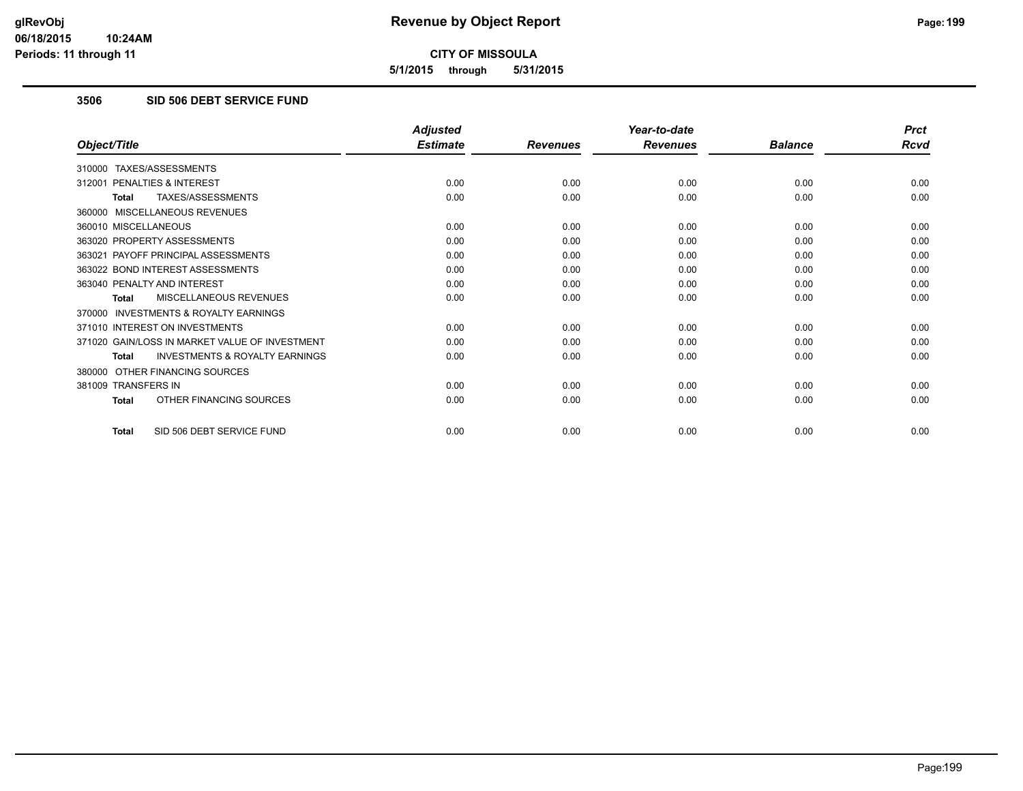**5/1/2015 through 5/31/2015**

### **3506 SID 506 DEBT SERVICE FUND**

|                                                           | <b>Adjusted</b> |                 | Year-to-date    |                | <b>Prct</b> |
|-----------------------------------------------------------|-----------------|-----------------|-----------------|----------------|-------------|
| Object/Title                                              | <b>Estimate</b> | <b>Revenues</b> | <b>Revenues</b> | <b>Balance</b> | <b>Rcvd</b> |
| 310000 TAXES/ASSESSMENTS                                  |                 |                 |                 |                |             |
| 312001 PENALTIES & INTEREST                               | 0.00            | 0.00            | 0.00            | 0.00           | 0.00        |
| TAXES/ASSESSMENTS<br><b>Total</b>                         | 0.00            | 0.00            | 0.00            | 0.00           | 0.00        |
| 360000 MISCELLANEOUS REVENUES                             |                 |                 |                 |                |             |
| 360010 MISCELLANEOUS                                      | 0.00            | 0.00            | 0.00            | 0.00           | 0.00        |
| 363020 PROPERTY ASSESSMENTS                               | 0.00            | 0.00            | 0.00            | 0.00           | 0.00        |
| 363021 PAYOFF PRINCIPAL ASSESSMENTS                       | 0.00            | 0.00            | 0.00            | 0.00           | 0.00        |
| 363022 BOND INTEREST ASSESSMENTS                          | 0.00            | 0.00            | 0.00            | 0.00           | 0.00        |
| 363040 PENALTY AND INTEREST                               | 0.00            | 0.00            | 0.00            | 0.00           | 0.00        |
| MISCELLANEOUS REVENUES<br>Total                           | 0.00            | 0.00            | 0.00            | 0.00           | 0.00        |
| 370000 INVESTMENTS & ROYALTY EARNINGS                     |                 |                 |                 |                |             |
| 371010 INTEREST ON INVESTMENTS                            | 0.00            | 0.00            | 0.00            | 0.00           | 0.00        |
| 371020 GAIN/LOSS IN MARKET VALUE OF INVESTMENT            | 0.00            | 0.00            | 0.00            | 0.00           | 0.00        |
| <b>INVESTMENTS &amp; ROYALTY EARNINGS</b><br><b>Total</b> | 0.00            | 0.00            | 0.00            | 0.00           | 0.00        |
| 380000 OTHER FINANCING SOURCES                            |                 |                 |                 |                |             |
| 381009 TRANSFERS IN                                       | 0.00            | 0.00            | 0.00            | 0.00           | 0.00        |
| OTHER FINANCING SOURCES<br><b>Total</b>                   | 0.00            | 0.00            | 0.00            | 0.00           | 0.00        |
| SID 506 DEBT SERVICE FUND<br><b>Total</b>                 | 0.00            | 0.00            | 0.00            | 0.00           | 0.00        |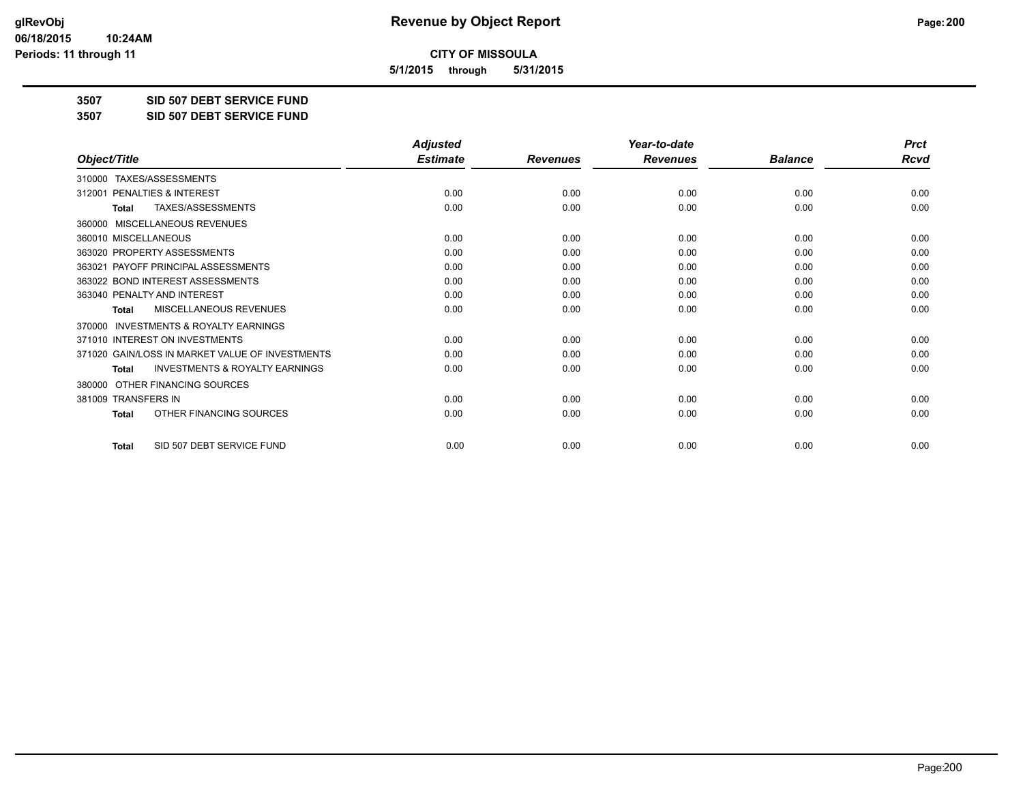**5/1/2015 through 5/31/2015**

**3507 SID 507 DEBT SERVICE FUND**

**3507 SID 507 DEBT SERVICE FUND**

|                                                           | <b>Adjusted</b> |                 | Year-to-date    |                | <b>Prct</b> |
|-----------------------------------------------------------|-----------------|-----------------|-----------------|----------------|-------------|
| Object/Title                                              | <b>Estimate</b> | <b>Revenues</b> | <b>Revenues</b> | <b>Balance</b> | <b>Rcvd</b> |
| 310000 TAXES/ASSESSMENTS                                  |                 |                 |                 |                |             |
| 312001 PENALTIES & INTEREST                               | 0.00            | 0.00            | 0.00            | 0.00           | 0.00        |
| <b>TAXES/ASSESSMENTS</b><br><b>Total</b>                  | 0.00            | 0.00            | 0.00            | 0.00           | 0.00        |
| MISCELLANEOUS REVENUES<br>360000                          |                 |                 |                 |                |             |
| 360010 MISCELLANEOUS                                      | 0.00            | 0.00            | 0.00            | 0.00           | 0.00        |
| 363020 PROPERTY ASSESSMENTS                               | 0.00            | 0.00            | 0.00            | 0.00           | 0.00        |
| 363021 PAYOFF PRINCIPAL ASSESSMENTS                       | 0.00            | 0.00            | 0.00            | 0.00           | 0.00        |
| 363022 BOND INTEREST ASSESSMENTS                          | 0.00            | 0.00            | 0.00            | 0.00           | 0.00        |
| 363040 PENALTY AND INTEREST                               | 0.00            | 0.00            | 0.00            | 0.00           | 0.00        |
| <b>MISCELLANEOUS REVENUES</b><br><b>Total</b>             | 0.00            | 0.00            | 0.00            | 0.00           | 0.00        |
| <b>INVESTMENTS &amp; ROYALTY EARNINGS</b><br>370000       |                 |                 |                 |                |             |
| 371010 INTEREST ON INVESTMENTS                            | 0.00            | 0.00            | 0.00            | 0.00           | 0.00        |
| 371020 GAIN/LOSS IN MARKET VALUE OF INVESTMENTS           | 0.00            | 0.00            | 0.00            | 0.00           | 0.00        |
| <b>INVESTMENTS &amp; ROYALTY EARNINGS</b><br><b>Total</b> | 0.00            | 0.00            | 0.00            | 0.00           | 0.00        |
| OTHER FINANCING SOURCES<br>380000                         |                 |                 |                 |                |             |
| 381009 TRANSFERS IN                                       | 0.00            | 0.00            | 0.00            | 0.00           | 0.00        |
| OTHER FINANCING SOURCES<br><b>Total</b>                   | 0.00            | 0.00            | 0.00            | 0.00           | 0.00        |
| SID 507 DEBT SERVICE FUND<br><b>Total</b>                 | 0.00            | 0.00            | 0.00            | 0.00           | 0.00        |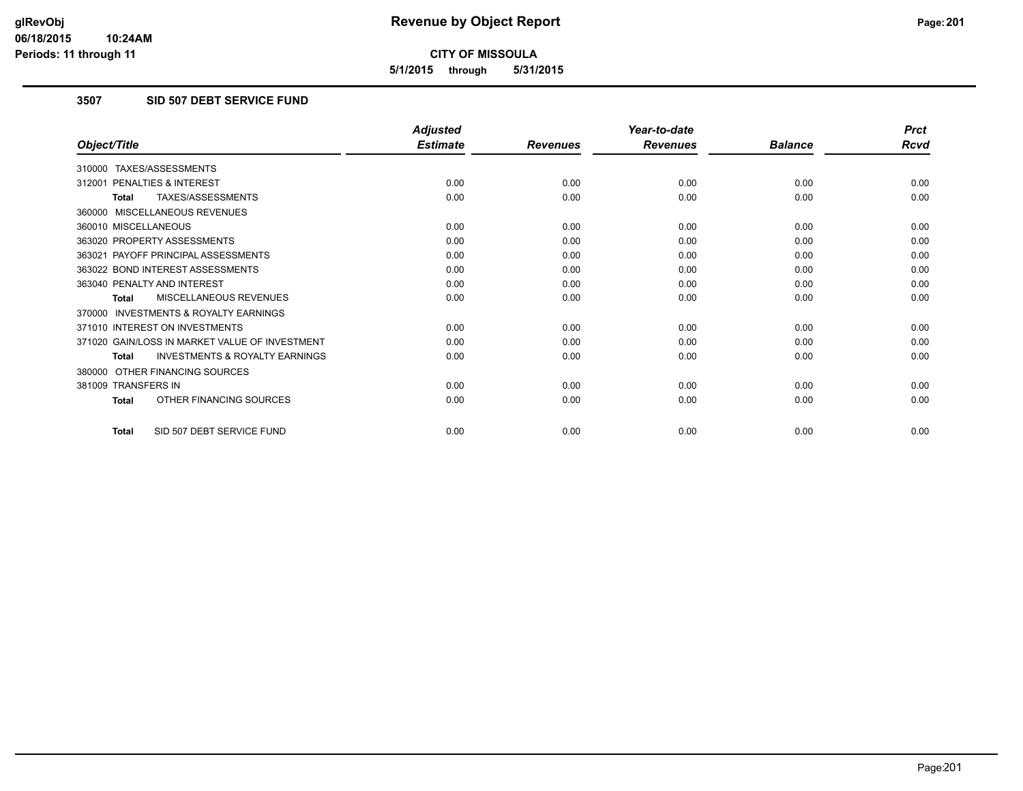**5/1/2015 through 5/31/2015**

### **3507 SID 507 DEBT SERVICE FUND**

|                                                           | <b>Adjusted</b> |                 | Year-to-date    |                | <b>Prct</b> |
|-----------------------------------------------------------|-----------------|-----------------|-----------------|----------------|-------------|
| Object/Title                                              | <b>Estimate</b> | <b>Revenues</b> | <b>Revenues</b> | <b>Balance</b> | <b>Rcvd</b> |
| 310000 TAXES/ASSESSMENTS                                  |                 |                 |                 |                |             |
| 312001 PENALTIES & INTEREST                               | 0.00            | 0.00            | 0.00            | 0.00           | 0.00        |
| TAXES/ASSESSMENTS<br><b>Total</b>                         | 0.00            | 0.00            | 0.00            | 0.00           | 0.00        |
| 360000 MISCELLANEOUS REVENUES                             |                 |                 |                 |                |             |
| 360010 MISCELLANEOUS                                      | 0.00            | 0.00            | 0.00            | 0.00           | 0.00        |
| 363020 PROPERTY ASSESSMENTS                               | 0.00            | 0.00            | 0.00            | 0.00           | 0.00        |
| 363021 PAYOFF PRINCIPAL ASSESSMENTS                       | 0.00            | 0.00            | 0.00            | 0.00           | 0.00        |
| 363022 BOND INTEREST ASSESSMENTS                          | 0.00            | 0.00            | 0.00            | 0.00           | 0.00        |
| 363040 PENALTY AND INTEREST                               | 0.00            | 0.00            | 0.00            | 0.00           | 0.00        |
| MISCELLANEOUS REVENUES<br><b>Total</b>                    | 0.00            | 0.00            | 0.00            | 0.00           | 0.00        |
| <b>INVESTMENTS &amp; ROYALTY EARNINGS</b><br>370000       |                 |                 |                 |                |             |
| 371010 INTEREST ON INVESTMENTS                            | 0.00            | 0.00            | 0.00            | 0.00           | 0.00        |
| 371020 GAIN/LOSS IN MARKET VALUE OF INVESTMENT            | 0.00            | 0.00            | 0.00            | 0.00           | 0.00        |
| <b>INVESTMENTS &amp; ROYALTY EARNINGS</b><br><b>Total</b> | 0.00            | 0.00            | 0.00            | 0.00           | 0.00        |
| OTHER FINANCING SOURCES<br>380000                         |                 |                 |                 |                |             |
| 381009 TRANSFERS IN                                       | 0.00            | 0.00            | 0.00            | 0.00           | 0.00        |
| OTHER FINANCING SOURCES<br><b>Total</b>                   | 0.00            | 0.00            | 0.00            | 0.00           | 0.00        |
| SID 507 DEBT SERVICE FUND<br><b>Total</b>                 | 0.00            | 0.00            | 0.00            | 0.00           | 0.00        |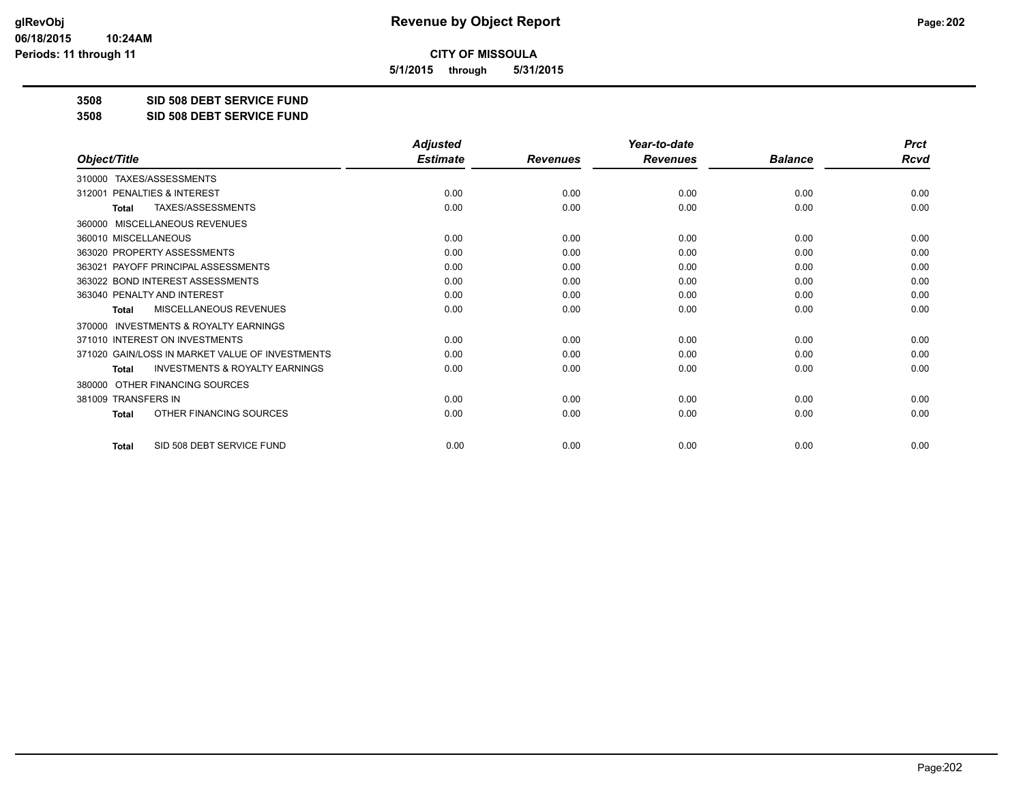**5/1/2015 through 5/31/2015**

**3508 SID 508 DEBT SERVICE FUND**

**3508 SID 508 DEBT SERVICE FUND**

|                                                           | <b>Adjusted</b> |                 | Year-to-date    |                | <b>Prct</b> |
|-----------------------------------------------------------|-----------------|-----------------|-----------------|----------------|-------------|
| Object/Title                                              | <b>Estimate</b> | <b>Revenues</b> | <b>Revenues</b> | <b>Balance</b> | <b>Rcvd</b> |
| TAXES/ASSESSMENTS<br>310000                               |                 |                 |                 |                |             |
| 312001 PENALTIES & INTEREST                               | 0.00            | 0.00            | 0.00            | 0.00           | 0.00        |
| TAXES/ASSESSMENTS<br><b>Total</b>                         | 0.00            | 0.00            | 0.00            | 0.00           | 0.00        |
| MISCELLANEOUS REVENUES<br>360000                          |                 |                 |                 |                |             |
| 360010 MISCELLANEOUS                                      | 0.00            | 0.00            | 0.00            | 0.00           | 0.00        |
| 363020 PROPERTY ASSESSMENTS                               | 0.00            | 0.00            | 0.00            | 0.00           | 0.00        |
| 363021 PAYOFF PRINCIPAL ASSESSMENTS                       | 0.00            | 0.00            | 0.00            | 0.00           | 0.00        |
| 363022 BOND INTEREST ASSESSMENTS                          | 0.00            | 0.00            | 0.00            | 0.00           | 0.00        |
| 363040 PENALTY AND INTEREST                               | 0.00            | 0.00            | 0.00            | 0.00           | 0.00        |
| MISCELLANEOUS REVENUES<br><b>Total</b>                    | 0.00            | 0.00            | 0.00            | 0.00           | 0.00        |
| <b>INVESTMENTS &amp; ROYALTY EARNINGS</b><br>370000       |                 |                 |                 |                |             |
| 371010 INTEREST ON INVESTMENTS                            | 0.00            | 0.00            | 0.00            | 0.00           | 0.00        |
| 371020 GAIN/LOSS IN MARKET VALUE OF INVESTMENTS           | 0.00            | 0.00            | 0.00            | 0.00           | 0.00        |
| <b>INVESTMENTS &amp; ROYALTY EARNINGS</b><br><b>Total</b> | 0.00            | 0.00            | 0.00            | 0.00           | 0.00        |
| OTHER FINANCING SOURCES<br>380000                         |                 |                 |                 |                |             |
| 381009 TRANSFERS IN                                       | 0.00            | 0.00            | 0.00            | 0.00           | 0.00        |
| OTHER FINANCING SOURCES<br><b>Total</b>                   | 0.00            | 0.00            | 0.00            | 0.00           | 0.00        |
| SID 508 DEBT SERVICE FUND<br><b>Total</b>                 | 0.00            | 0.00            | 0.00            | 0.00           | 0.00        |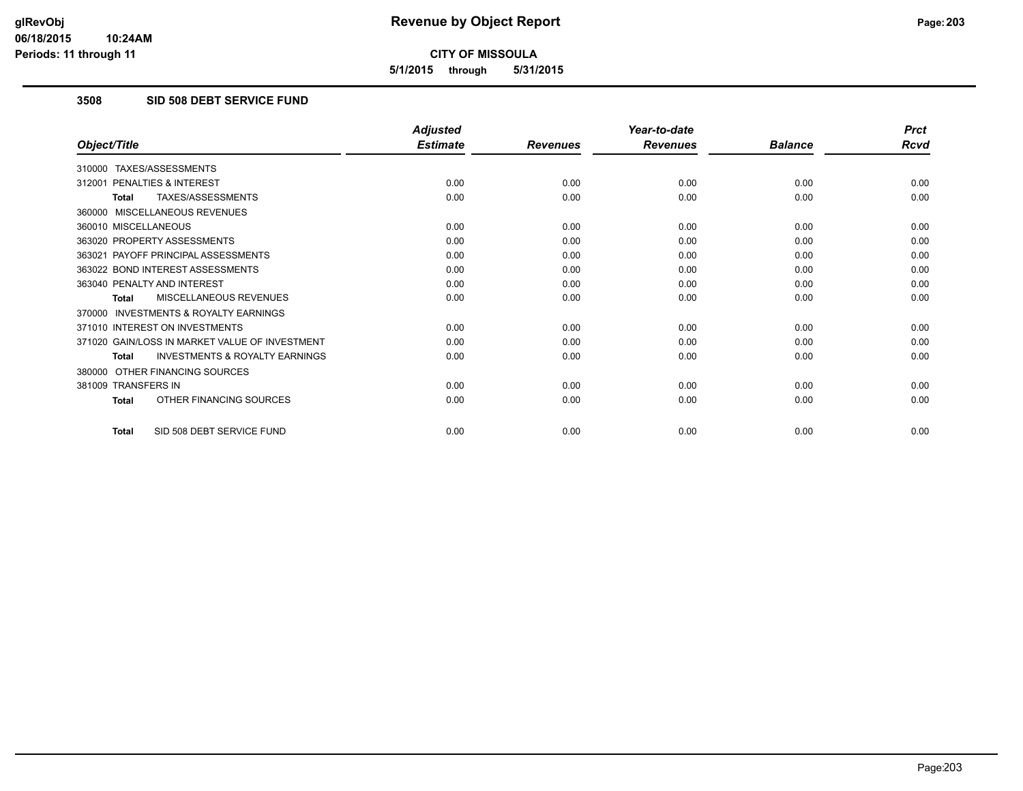**5/1/2015 through 5/31/2015**

### **3508 SID 508 DEBT SERVICE FUND**

|                                                           | <b>Adjusted</b> |                 | Year-to-date    |                | <b>Prct</b> |
|-----------------------------------------------------------|-----------------|-----------------|-----------------|----------------|-------------|
| Object/Title                                              | <b>Estimate</b> | <b>Revenues</b> | <b>Revenues</b> | <b>Balance</b> | <b>Rcvd</b> |
| 310000 TAXES/ASSESSMENTS                                  |                 |                 |                 |                |             |
| 312001 PENALTIES & INTEREST                               | 0.00            | 0.00            | 0.00            | 0.00           | 0.00        |
| TAXES/ASSESSMENTS<br><b>Total</b>                         | 0.00            | 0.00            | 0.00            | 0.00           | 0.00        |
| 360000 MISCELLANEOUS REVENUES                             |                 |                 |                 |                |             |
| 360010 MISCELLANEOUS                                      | 0.00            | 0.00            | 0.00            | 0.00           | 0.00        |
| 363020 PROPERTY ASSESSMENTS                               | 0.00            | 0.00            | 0.00            | 0.00           | 0.00        |
| 363021 PAYOFF PRINCIPAL ASSESSMENTS                       | 0.00            | 0.00            | 0.00            | 0.00           | 0.00        |
| 363022 BOND INTEREST ASSESSMENTS                          | 0.00            | 0.00            | 0.00            | 0.00           | 0.00        |
| 363040 PENALTY AND INTEREST                               | 0.00            | 0.00            | 0.00            | 0.00           | 0.00        |
| MISCELLANEOUS REVENUES<br>Total                           | 0.00            | 0.00            | 0.00            | 0.00           | 0.00        |
| 370000 INVESTMENTS & ROYALTY EARNINGS                     |                 |                 |                 |                |             |
| 371010 INTEREST ON INVESTMENTS                            | 0.00            | 0.00            | 0.00            | 0.00           | 0.00        |
| 371020 GAIN/LOSS IN MARKET VALUE OF INVESTMENT            | 0.00            | 0.00            | 0.00            | 0.00           | 0.00        |
| <b>INVESTMENTS &amp; ROYALTY EARNINGS</b><br><b>Total</b> | 0.00            | 0.00            | 0.00            | 0.00           | 0.00        |
| 380000 OTHER FINANCING SOURCES                            |                 |                 |                 |                |             |
| 381009 TRANSFERS IN                                       | 0.00            | 0.00            | 0.00            | 0.00           | 0.00        |
| OTHER FINANCING SOURCES<br><b>Total</b>                   | 0.00            | 0.00            | 0.00            | 0.00           | 0.00        |
| SID 508 DEBT SERVICE FUND<br><b>Total</b>                 | 0.00            | 0.00            | 0.00            | 0.00           | 0.00        |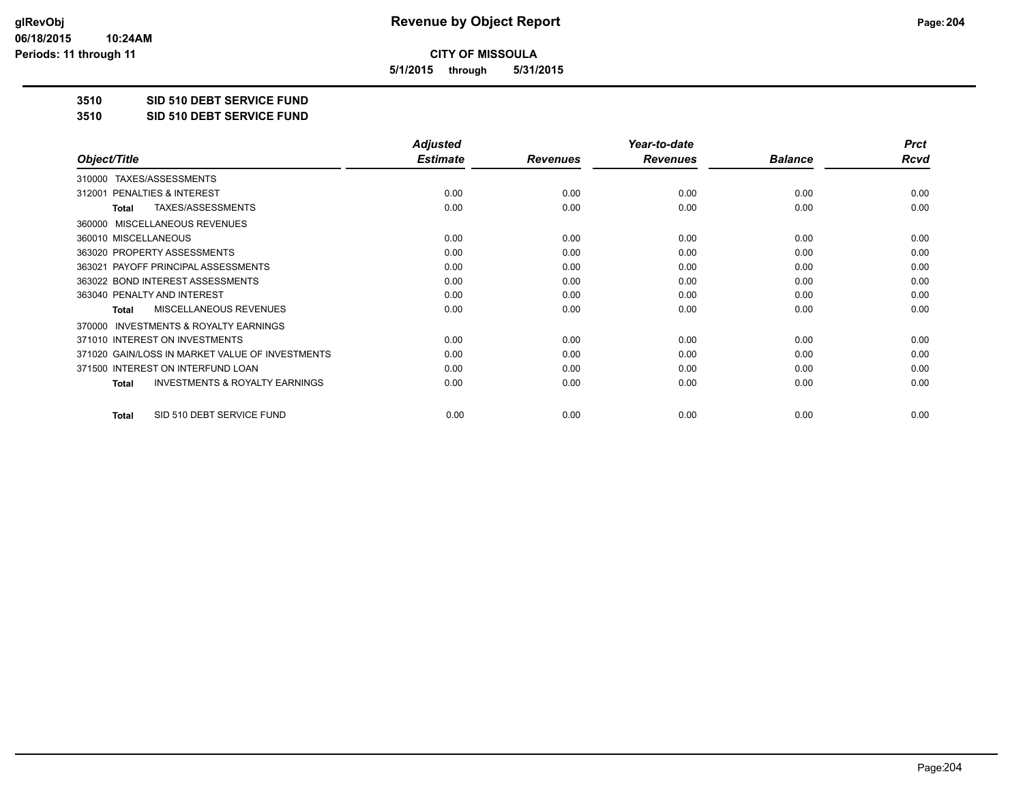**5/1/2015 through 5/31/2015**

**3510 SID 510 DEBT SERVICE FUND**

**3510 SID 510 DEBT SERVICE FUND**

|                                                           | <b>Adjusted</b> |                 | Year-to-date    |                | <b>Prct</b> |
|-----------------------------------------------------------|-----------------|-----------------|-----------------|----------------|-------------|
| Object/Title                                              | <b>Estimate</b> | <b>Revenues</b> | <b>Revenues</b> | <b>Balance</b> | <b>Rcvd</b> |
| TAXES/ASSESSMENTS<br>310000                               |                 |                 |                 |                |             |
| 312001 PENALTIES & INTEREST                               | 0.00            | 0.00            | 0.00            | 0.00           | 0.00        |
| TAXES/ASSESSMENTS<br><b>Total</b>                         | 0.00            | 0.00            | 0.00            | 0.00           | 0.00        |
| MISCELLANEOUS REVENUES<br>360000                          |                 |                 |                 |                |             |
| 360010 MISCELLANEOUS                                      | 0.00            | 0.00            | 0.00            | 0.00           | 0.00        |
| 363020 PROPERTY ASSESSMENTS                               | 0.00            | 0.00            | 0.00            | 0.00           | 0.00        |
| 363021 PAYOFF PRINCIPAL ASSESSMENTS                       | 0.00            | 0.00            | 0.00            | 0.00           | 0.00        |
| 363022 BOND INTEREST ASSESSMENTS                          | 0.00            | 0.00            | 0.00            | 0.00           | 0.00        |
| 363040 PENALTY AND INTEREST                               | 0.00            | 0.00            | 0.00            | 0.00           | 0.00        |
| MISCELLANEOUS REVENUES<br>Total                           | 0.00            | 0.00            | 0.00            | 0.00           | 0.00        |
| <b>INVESTMENTS &amp; ROYALTY EARNINGS</b><br>370000       |                 |                 |                 |                |             |
| 371010 INTEREST ON INVESTMENTS                            | 0.00            | 0.00            | 0.00            | 0.00           | 0.00        |
| 371020 GAIN/LOSS IN MARKET VALUE OF INVESTMENTS           | 0.00            | 0.00            | 0.00            | 0.00           | 0.00        |
| 371500 INTEREST ON INTERFUND LOAN                         | 0.00            | 0.00            | 0.00            | 0.00           | 0.00        |
| <b>INVESTMENTS &amp; ROYALTY EARNINGS</b><br><b>Total</b> | 0.00            | 0.00            | 0.00            | 0.00           | 0.00        |
| SID 510 DEBT SERVICE FUND<br><b>Total</b>                 | 0.00            | 0.00            | 0.00            | 0.00           | 0.00        |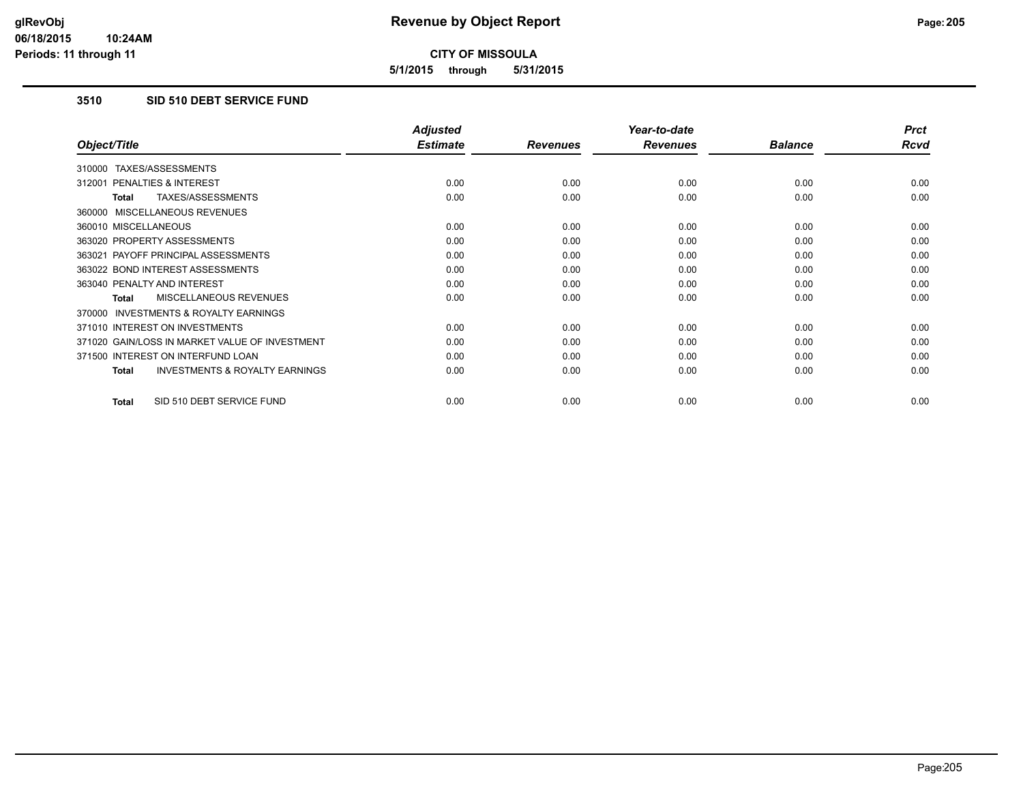**5/1/2015 through 5/31/2015**

### **3510 SID 510 DEBT SERVICE FUND**

|                                                           | <b>Adjusted</b> |                 | Year-to-date    |                | <b>Prct</b> |
|-----------------------------------------------------------|-----------------|-----------------|-----------------|----------------|-------------|
| Object/Title                                              | <b>Estimate</b> | <b>Revenues</b> | <b>Revenues</b> | <b>Balance</b> | Rcvd        |
| TAXES/ASSESSMENTS<br>310000                               |                 |                 |                 |                |             |
| 312001 PENALTIES & INTEREST                               | 0.00            | 0.00            | 0.00            | 0.00           | 0.00        |
| TAXES/ASSESSMENTS<br>Total                                | 0.00            | 0.00            | 0.00            | 0.00           | 0.00        |
| 360000 MISCELLANEOUS REVENUES                             |                 |                 |                 |                |             |
| 360010 MISCELLANEOUS                                      | 0.00            | 0.00            | 0.00            | 0.00           | 0.00        |
| 363020 PROPERTY ASSESSMENTS                               | 0.00            | 0.00            | 0.00            | 0.00           | 0.00        |
| 363021 PAYOFF PRINCIPAL ASSESSMENTS                       | 0.00            | 0.00            | 0.00            | 0.00           | 0.00        |
| 363022 BOND INTEREST ASSESSMENTS                          | 0.00            | 0.00            | 0.00            | 0.00           | 0.00        |
| 363040 PENALTY AND INTEREST                               | 0.00            | 0.00            | 0.00            | 0.00           | 0.00        |
| MISCELLANEOUS REVENUES<br><b>Total</b>                    | 0.00            | 0.00            | 0.00            | 0.00           | 0.00        |
| 370000 INVESTMENTS & ROYALTY EARNINGS                     |                 |                 |                 |                |             |
| 371010 INTEREST ON INVESTMENTS                            | 0.00            | 0.00            | 0.00            | 0.00           | 0.00        |
| 371020 GAIN/LOSS IN MARKET VALUE OF INVESTMENT            | 0.00            | 0.00            | 0.00            | 0.00           | 0.00        |
| 371500 INTEREST ON INTERFUND LOAN                         | 0.00            | 0.00            | 0.00            | 0.00           | 0.00        |
| <b>INVESTMENTS &amp; ROYALTY EARNINGS</b><br><b>Total</b> | 0.00            | 0.00            | 0.00            | 0.00           | 0.00        |
| SID 510 DEBT SERVICE FUND<br><b>Total</b>                 | 0.00            | 0.00            | 0.00            | 0.00           | 0.00        |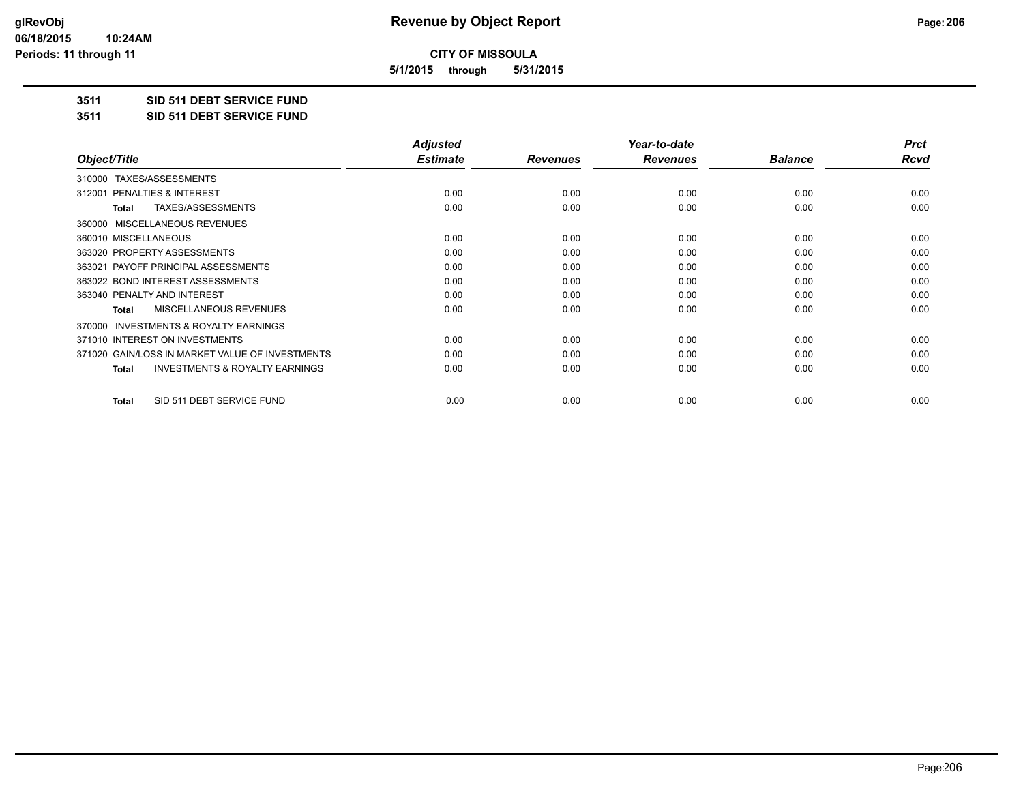**5/1/2015 through 5/31/2015**

**3511 SID 511 DEBT SERVICE FUND**

**3511 SID 511 DEBT SERVICE FUND**

|                                                    | <b>Adjusted</b> |                 | Year-to-date    |                | <b>Prct</b> |
|----------------------------------------------------|-----------------|-----------------|-----------------|----------------|-------------|
| Object/Title                                       | <b>Estimate</b> | <b>Revenues</b> | <b>Revenues</b> | <b>Balance</b> | Rcvd        |
| TAXES/ASSESSMENTS<br>310000                        |                 |                 |                 |                |             |
| <b>PENALTIES &amp; INTEREST</b><br>312001          | 0.00            | 0.00            | 0.00            | 0.00           | 0.00        |
| TAXES/ASSESSMENTS<br><b>Total</b>                  | 0.00            | 0.00            | 0.00            | 0.00           | 0.00        |
| 360000 MISCELLANEOUS REVENUES                      |                 |                 |                 |                |             |
| 360010 MISCELLANEOUS                               | 0.00            | 0.00            | 0.00            | 0.00           | 0.00        |
| 363020 PROPERTY ASSESSMENTS                        | 0.00            | 0.00            | 0.00            | 0.00           | 0.00        |
| 363021 PAYOFF PRINCIPAL ASSESSMENTS                | 0.00            | 0.00            | 0.00            | 0.00           | 0.00        |
| 363022 BOND INTEREST ASSESSMENTS                   | 0.00            | 0.00            | 0.00            | 0.00           | 0.00        |
| 363040 PENALTY AND INTEREST                        | 0.00            | 0.00            | 0.00            | 0.00           | 0.00        |
| <b>MISCELLANEOUS REVENUES</b><br><b>Total</b>      | 0.00            | 0.00            | 0.00            | 0.00           | 0.00        |
| 370000 INVESTMENTS & ROYALTY EARNINGS              |                 |                 |                 |                |             |
| 371010 INTEREST ON INVESTMENTS                     | 0.00            | 0.00            | 0.00            | 0.00           | 0.00        |
| 371020 GAIN/LOSS IN MARKET VALUE OF INVESTMENTS    | 0.00            | 0.00            | 0.00            | 0.00           | 0.00        |
| <b>INVESTMENTS &amp; ROYALTY EARNINGS</b><br>Total | 0.00            | 0.00            | 0.00            | 0.00           | 0.00        |
| SID 511 DEBT SERVICE FUND<br>Total                 | 0.00            | 0.00            | 0.00            | 0.00           | 0.00        |
|                                                    |                 |                 |                 |                |             |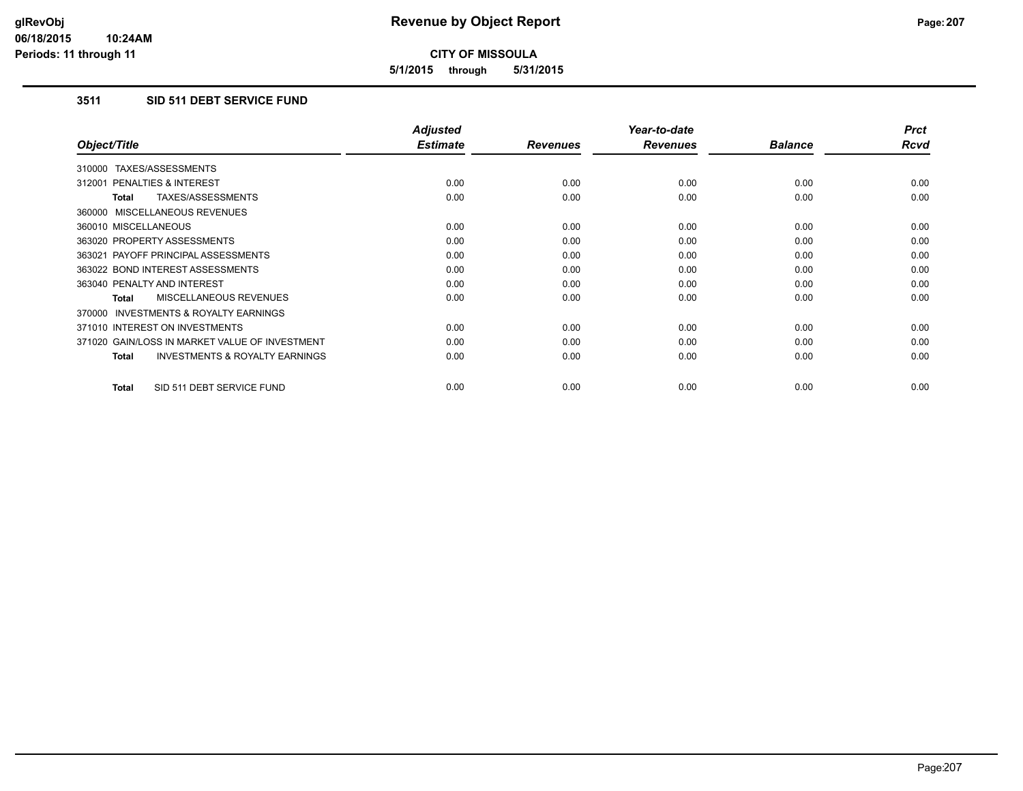**5/1/2015 through 5/31/2015**

# **3511 SID 511 DEBT SERVICE FUND**

|                                                           | <b>Adjusted</b> |                 | Year-to-date    |                | <b>Prct</b> |
|-----------------------------------------------------------|-----------------|-----------------|-----------------|----------------|-------------|
| Object/Title                                              | <b>Estimate</b> | <b>Revenues</b> | <b>Revenues</b> | <b>Balance</b> | <b>Rcvd</b> |
| 310000 TAXES/ASSESSMENTS                                  |                 |                 |                 |                |             |
| 312001 PENALTIES & INTEREST                               | 0.00            | 0.00            | 0.00            | 0.00           | 0.00        |
| TAXES/ASSESSMENTS<br><b>Total</b>                         | 0.00            | 0.00            | 0.00            | 0.00           | 0.00        |
| 360000 MISCELLANEOUS REVENUES                             |                 |                 |                 |                |             |
| 360010 MISCELLANEOUS                                      | 0.00            | 0.00            | 0.00            | 0.00           | 0.00        |
| 363020 PROPERTY ASSESSMENTS                               | 0.00            | 0.00            | 0.00            | 0.00           | 0.00        |
| 363021 PAYOFF PRINCIPAL ASSESSMENTS                       | 0.00            | 0.00            | 0.00            | 0.00           | 0.00        |
| 363022 BOND INTEREST ASSESSMENTS                          | 0.00            | 0.00            | 0.00            | 0.00           | 0.00        |
| 363040 PENALTY AND INTEREST                               | 0.00            | 0.00            | 0.00            | 0.00           | 0.00        |
| MISCELLANEOUS REVENUES<br>Total                           | 0.00            | 0.00            | 0.00            | 0.00           | 0.00        |
| <b>INVESTMENTS &amp; ROYALTY EARNINGS</b><br>370000       |                 |                 |                 |                |             |
| 371010 INTEREST ON INVESTMENTS                            | 0.00            | 0.00            | 0.00            | 0.00           | 0.00        |
| 371020 GAIN/LOSS IN MARKET VALUE OF INVESTMENT            | 0.00            | 0.00            | 0.00            | 0.00           | 0.00        |
| <b>INVESTMENTS &amp; ROYALTY EARNINGS</b><br><b>Total</b> | 0.00            | 0.00            | 0.00            | 0.00           | 0.00        |
| SID 511 DEBT SERVICE FUND<br><b>Total</b>                 | 0.00            | 0.00            | 0.00            | 0.00           | 0.00        |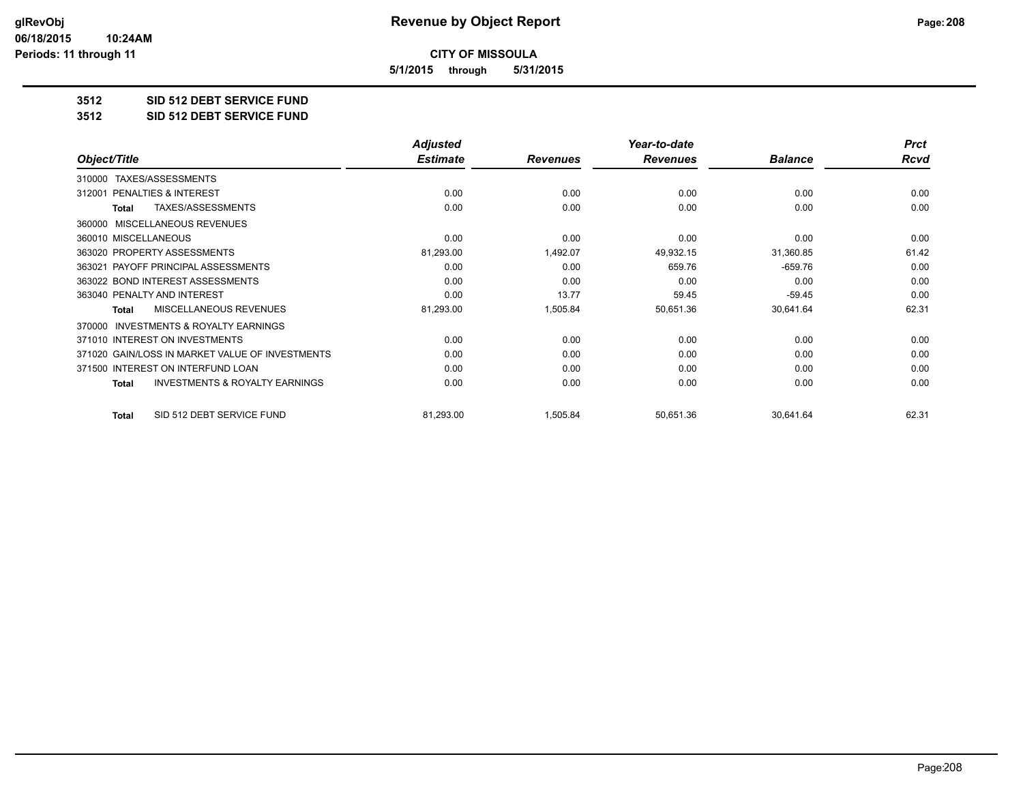**5/1/2015 through 5/31/2015**

#### **3512 SID 512 DEBT SERVICE FUND**

**3512 SID 512 DEBT SERVICE FUND**

|                                                           | <b>Adjusted</b> |                 | Year-to-date    |                | <b>Prct</b> |
|-----------------------------------------------------------|-----------------|-----------------|-----------------|----------------|-------------|
| Object/Title                                              | <b>Estimate</b> | <b>Revenues</b> | <b>Revenues</b> | <b>Balance</b> | <b>Rcvd</b> |
| TAXES/ASSESSMENTS<br>310000                               |                 |                 |                 |                |             |
| <b>PENALTIES &amp; INTEREST</b><br>312001                 | 0.00            | 0.00            | 0.00            | 0.00           | 0.00        |
| TAXES/ASSESSMENTS<br><b>Total</b>                         | 0.00            | 0.00            | 0.00            | 0.00           | 0.00        |
| MISCELLANEOUS REVENUES<br>360000                          |                 |                 |                 |                |             |
| 360010 MISCELLANEOUS                                      | 0.00            | 0.00            | 0.00            | 0.00           | 0.00        |
| 363020 PROPERTY ASSESSMENTS                               | 81,293.00       | 1,492.07        | 49,932.15       | 31,360.85      | 61.42       |
| 363021 PAYOFF PRINCIPAL ASSESSMENTS                       | 0.00            | 0.00            | 659.76          | $-659.76$      | 0.00        |
| 363022 BOND INTEREST ASSESSMENTS                          | 0.00            | 0.00            | 0.00            | 0.00           | 0.00        |
| 363040 PENALTY AND INTEREST                               | 0.00            | 13.77           | 59.45           | $-59.45$       | 0.00        |
| <b>MISCELLANEOUS REVENUES</b><br><b>Total</b>             | 81,293.00       | 1,505.84        | 50,651.36       | 30,641.64      | 62.31       |
| <b>INVESTMENTS &amp; ROYALTY EARNINGS</b><br>370000       |                 |                 |                 |                |             |
| 371010 INTEREST ON INVESTMENTS                            | 0.00            | 0.00            | 0.00            | 0.00           | 0.00        |
| 371020 GAIN/LOSS IN MARKET VALUE OF INVESTMENTS           | 0.00            | 0.00            | 0.00            | 0.00           | 0.00        |
| 371500 INTEREST ON INTERFUND LOAN                         | 0.00            | 0.00            | 0.00            | 0.00           | 0.00        |
| <b>INVESTMENTS &amp; ROYALTY EARNINGS</b><br><b>Total</b> | 0.00            | 0.00            | 0.00            | 0.00           | 0.00        |
| SID 512 DEBT SERVICE FUND<br><b>Total</b>                 | 81,293.00       | 1,505.84        | 50,651.36       | 30,641.64      | 62.31       |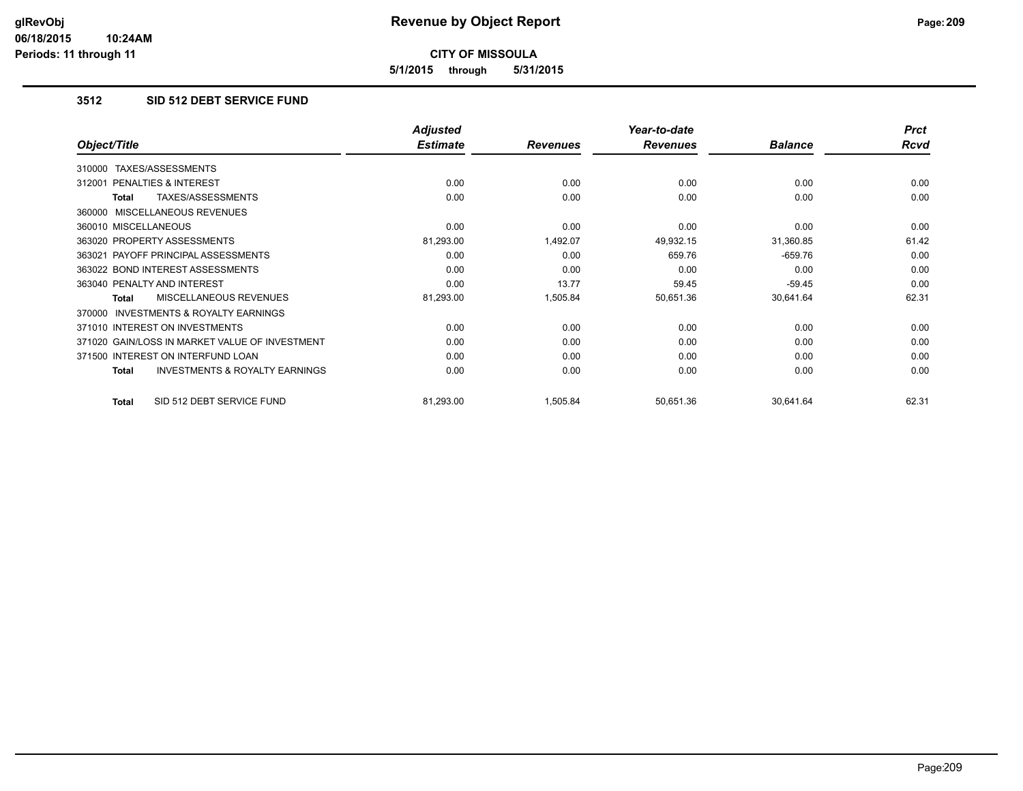**5/1/2015 through 5/31/2015**

### **3512 SID 512 DEBT SERVICE FUND**

|                                                           | <b>Adjusted</b> |                 | Year-to-date    |                | <b>Prct</b> |
|-----------------------------------------------------------|-----------------|-----------------|-----------------|----------------|-------------|
| Object/Title                                              | <b>Estimate</b> | <b>Revenues</b> | <b>Revenues</b> | <b>Balance</b> | Rcvd        |
| TAXES/ASSESSMENTS<br>310000                               |                 |                 |                 |                |             |
| 312001 PENALTIES & INTEREST                               | 0.00            | 0.00            | 0.00            | 0.00           | 0.00        |
| TAXES/ASSESSMENTS<br>Total                                | 0.00            | 0.00            | 0.00            | 0.00           | 0.00        |
| 360000 MISCELLANEOUS REVENUES                             |                 |                 |                 |                |             |
| 360010 MISCELLANEOUS                                      | 0.00            | 0.00            | 0.00            | 0.00           | 0.00        |
| 363020 PROPERTY ASSESSMENTS                               | 81,293.00       | 1,492.07        | 49,932.15       | 31,360.85      | 61.42       |
| 363021 PAYOFF PRINCIPAL ASSESSMENTS                       | 0.00            | 0.00            | 659.76          | $-659.76$      | 0.00        |
| 363022 BOND INTEREST ASSESSMENTS                          | 0.00            | 0.00            | 0.00            | 0.00           | 0.00        |
| 363040 PENALTY AND INTEREST                               | 0.00            | 13.77           | 59.45           | $-59.45$       | 0.00        |
| MISCELLANEOUS REVENUES<br>Total                           | 81,293.00       | 1,505.84        | 50,651.36       | 30,641.64      | 62.31       |
| <b>INVESTMENTS &amp; ROYALTY EARNINGS</b><br>370000       |                 |                 |                 |                |             |
| 371010 INTEREST ON INVESTMENTS                            | 0.00            | 0.00            | 0.00            | 0.00           | 0.00        |
| 371020 GAIN/LOSS IN MARKET VALUE OF INVESTMENT            | 0.00            | 0.00            | 0.00            | 0.00           | 0.00        |
| 371500 INTEREST ON INTERFUND LOAN                         | 0.00            | 0.00            | 0.00            | 0.00           | 0.00        |
| <b>INVESTMENTS &amp; ROYALTY EARNINGS</b><br><b>Total</b> | 0.00            | 0.00            | 0.00            | 0.00           | 0.00        |
| SID 512 DEBT SERVICE FUND<br><b>Total</b>                 | 81,293.00       | 1,505.84        | 50,651.36       | 30,641.64      | 62.31       |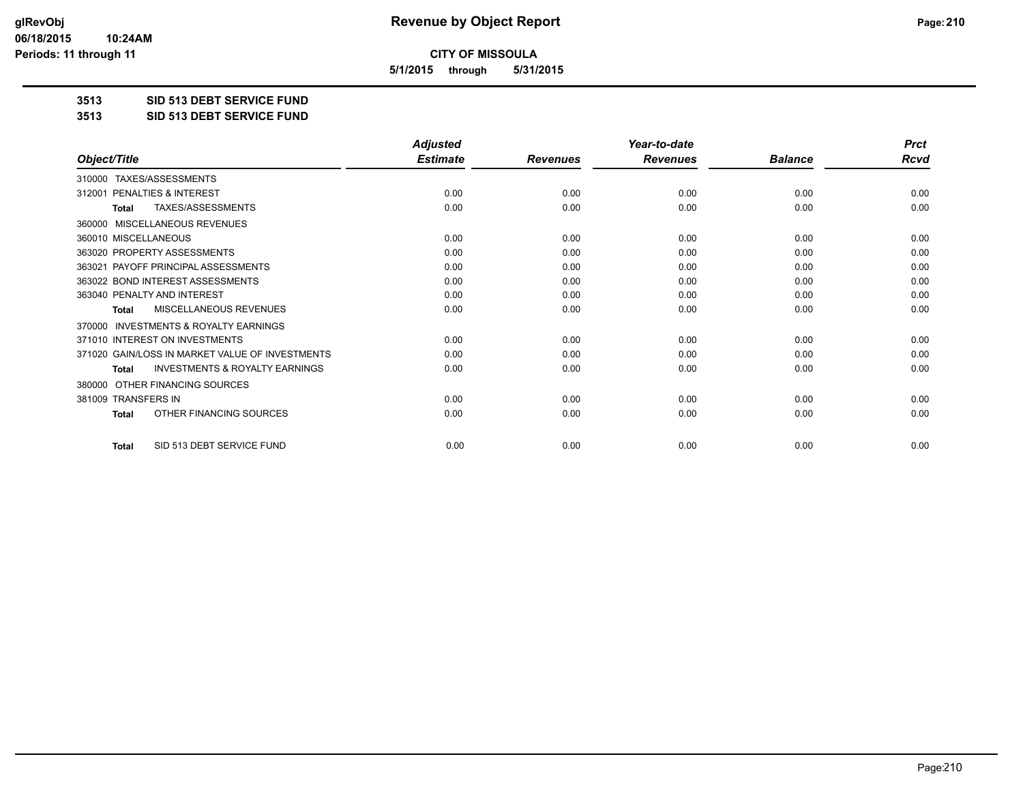**5/1/2015 through 5/31/2015**

**3513 SID 513 DEBT SERVICE FUND**

**3513 SID 513 DEBT SERVICE FUND**

|                                                           | <b>Adjusted</b> |                 | Year-to-date    |                | <b>Prct</b> |
|-----------------------------------------------------------|-----------------|-----------------|-----------------|----------------|-------------|
| Object/Title                                              | <b>Estimate</b> | <b>Revenues</b> | <b>Revenues</b> | <b>Balance</b> | <b>Rcvd</b> |
| TAXES/ASSESSMENTS<br>310000                               |                 |                 |                 |                |             |
| 312001 PENALTIES & INTEREST                               | 0.00            | 0.00            | 0.00            | 0.00           | 0.00        |
| TAXES/ASSESSMENTS<br><b>Total</b>                         | 0.00            | 0.00            | 0.00            | 0.00           | 0.00        |
| MISCELLANEOUS REVENUES<br>360000                          |                 |                 |                 |                |             |
| 360010 MISCELLANEOUS                                      | 0.00            | 0.00            | 0.00            | 0.00           | 0.00        |
| 363020 PROPERTY ASSESSMENTS                               | 0.00            | 0.00            | 0.00            | 0.00           | 0.00        |
| 363021 PAYOFF PRINCIPAL ASSESSMENTS                       | 0.00            | 0.00            | 0.00            | 0.00           | 0.00        |
| 363022 BOND INTEREST ASSESSMENTS                          | 0.00            | 0.00            | 0.00            | 0.00           | 0.00        |
| 363040 PENALTY AND INTEREST                               | 0.00            | 0.00            | 0.00            | 0.00           | 0.00        |
| <b>MISCELLANEOUS REVENUES</b><br><b>Total</b>             | 0.00            | 0.00            | 0.00            | 0.00           | 0.00        |
| <b>INVESTMENTS &amp; ROYALTY EARNINGS</b><br>370000       |                 |                 |                 |                |             |
| 371010 INTEREST ON INVESTMENTS                            | 0.00            | 0.00            | 0.00            | 0.00           | 0.00        |
| 371020 GAIN/LOSS IN MARKET VALUE OF INVESTMENTS           | 0.00            | 0.00            | 0.00            | 0.00           | 0.00        |
| <b>INVESTMENTS &amp; ROYALTY EARNINGS</b><br><b>Total</b> | 0.00            | 0.00            | 0.00            | 0.00           | 0.00        |
| OTHER FINANCING SOURCES<br>380000                         |                 |                 |                 |                |             |
| 381009 TRANSFERS IN                                       | 0.00            | 0.00            | 0.00            | 0.00           | 0.00        |
| OTHER FINANCING SOURCES<br>Total                          | 0.00            | 0.00            | 0.00            | 0.00           | 0.00        |
| SID 513 DEBT SERVICE FUND<br><b>Total</b>                 | 0.00            | 0.00            | 0.00            | 0.00           | 0.00        |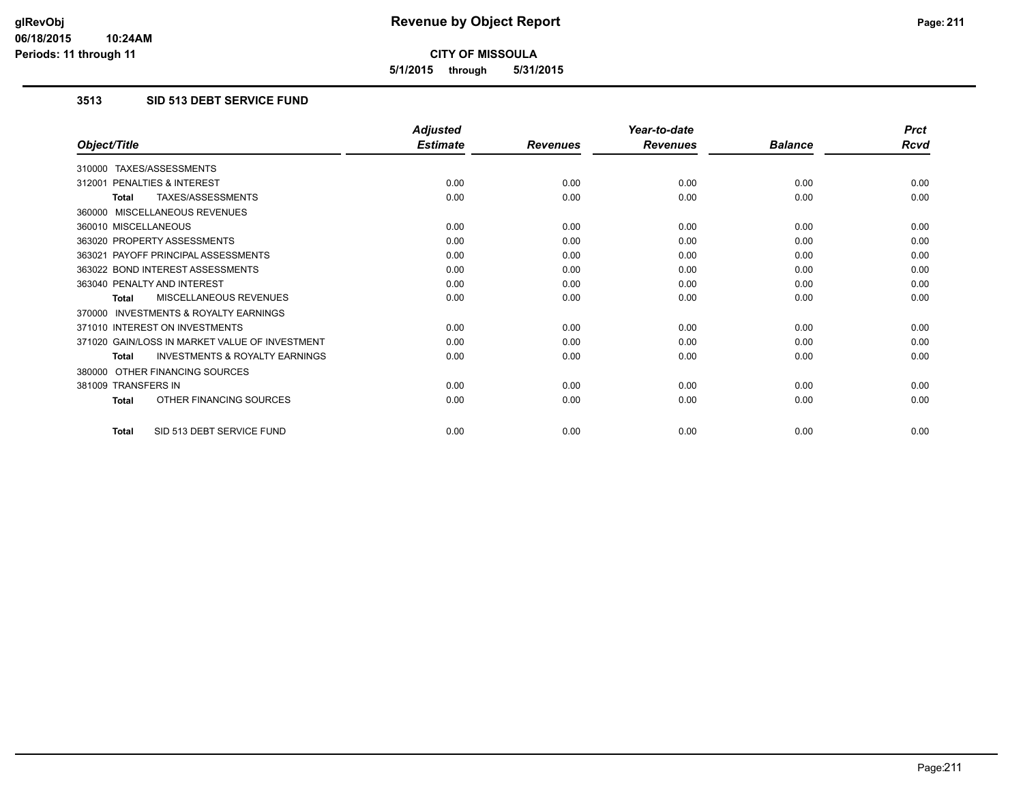**5/1/2015 through 5/31/2015**

### **3513 SID 513 DEBT SERVICE FUND**

|                                                           | <b>Adjusted</b> |                 | Year-to-date    |                | <b>Prct</b> |
|-----------------------------------------------------------|-----------------|-----------------|-----------------|----------------|-------------|
| Object/Title                                              | <b>Estimate</b> | <b>Revenues</b> | <b>Revenues</b> | <b>Balance</b> | <b>Rcvd</b> |
| 310000 TAXES/ASSESSMENTS                                  |                 |                 |                 |                |             |
| 312001 PENALTIES & INTEREST                               | 0.00            | 0.00            | 0.00            | 0.00           | 0.00        |
| TAXES/ASSESSMENTS<br><b>Total</b>                         | 0.00            | 0.00            | 0.00            | 0.00           | 0.00        |
| 360000 MISCELLANEOUS REVENUES                             |                 |                 |                 |                |             |
| 360010 MISCELLANEOUS                                      | 0.00            | 0.00            | 0.00            | 0.00           | 0.00        |
| 363020 PROPERTY ASSESSMENTS                               | 0.00            | 0.00            | 0.00            | 0.00           | 0.00        |
| 363021 PAYOFF PRINCIPAL ASSESSMENTS                       | 0.00            | 0.00            | 0.00            | 0.00           | 0.00        |
| 363022 BOND INTEREST ASSESSMENTS                          | 0.00            | 0.00            | 0.00            | 0.00           | 0.00        |
| 363040 PENALTY AND INTEREST                               | 0.00            | 0.00            | 0.00            | 0.00           | 0.00        |
| MISCELLANEOUS REVENUES<br><b>Total</b>                    | 0.00            | 0.00            | 0.00            | 0.00           | 0.00        |
| <b>INVESTMENTS &amp; ROYALTY EARNINGS</b><br>370000       |                 |                 |                 |                |             |
| 371010 INTEREST ON INVESTMENTS                            | 0.00            | 0.00            | 0.00            | 0.00           | 0.00        |
| 371020 GAIN/LOSS IN MARKET VALUE OF INVESTMENT            | 0.00            | 0.00            | 0.00            | 0.00           | 0.00        |
| <b>INVESTMENTS &amp; ROYALTY EARNINGS</b><br><b>Total</b> | 0.00            | 0.00            | 0.00            | 0.00           | 0.00        |
| OTHER FINANCING SOURCES<br>380000                         |                 |                 |                 |                |             |
| 381009 TRANSFERS IN                                       | 0.00            | 0.00            | 0.00            | 0.00           | 0.00        |
| OTHER FINANCING SOURCES<br><b>Total</b>                   | 0.00            | 0.00            | 0.00            | 0.00           | 0.00        |
| SID 513 DEBT SERVICE FUND<br><b>Total</b>                 | 0.00            | 0.00            | 0.00            | 0.00           | 0.00        |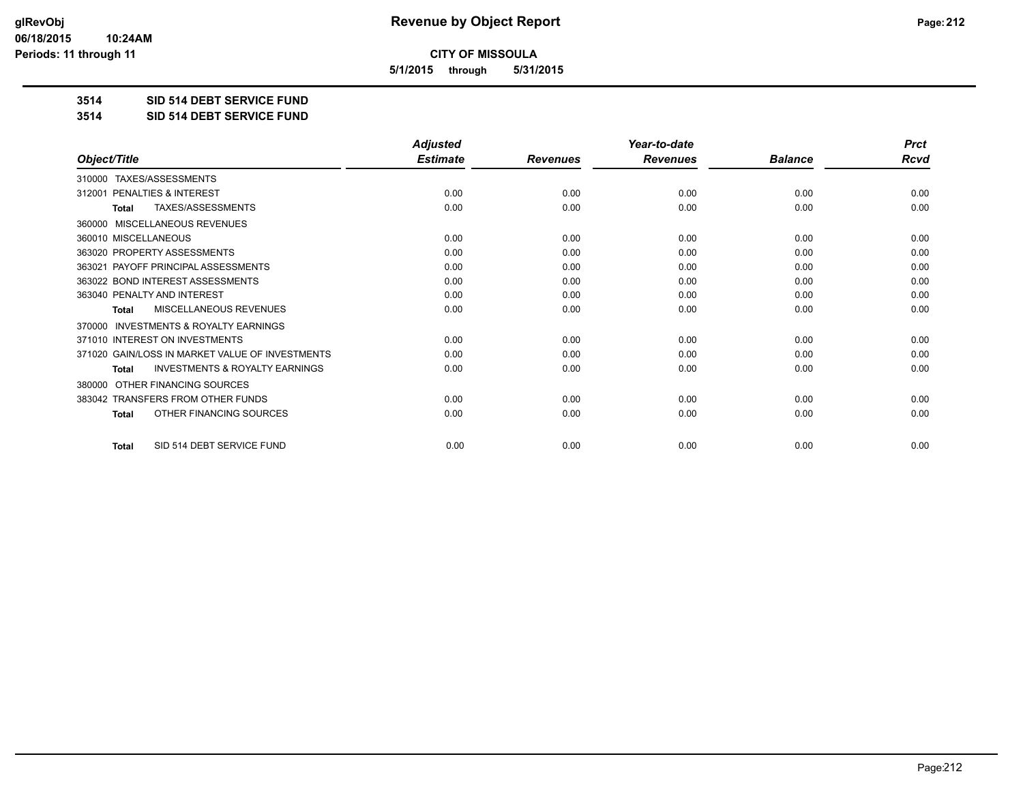**5/1/2015 through 5/31/2015**

**3514 SID 514 DEBT SERVICE FUND**

**3514 SID 514 DEBT SERVICE FUND**

|                                                           | <b>Adjusted</b> |                 | Year-to-date    |                | <b>Prct</b> |
|-----------------------------------------------------------|-----------------|-----------------|-----------------|----------------|-------------|
| Object/Title                                              | <b>Estimate</b> | <b>Revenues</b> | <b>Revenues</b> | <b>Balance</b> | <b>Rcvd</b> |
| TAXES/ASSESSMENTS<br>310000                               |                 |                 |                 |                |             |
| 312001 PENALTIES & INTEREST                               | 0.00            | 0.00            | 0.00            | 0.00           | 0.00        |
| TAXES/ASSESSMENTS<br><b>Total</b>                         | 0.00            | 0.00            | 0.00            | 0.00           | 0.00        |
| MISCELLANEOUS REVENUES<br>360000                          |                 |                 |                 |                |             |
| 360010 MISCELLANEOUS                                      | 0.00            | 0.00            | 0.00            | 0.00           | 0.00        |
| 363020 PROPERTY ASSESSMENTS                               | 0.00            | 0.00            | 0.00            | 0.00           | 0.00        |
| 363021 PAYOFF PRINCIPAL ASSESSMENTS                       | 0.00            | 0.00            | 0.00            | 0.00           | 0.00        |
| 363022 BOND INTEREST ASSESSMENTS                          | 0.00            | 0.00            | 0.00            | 0.00           | 0.00        |
| 363040 PENALTY AND INTEREST                               | 0.00            | 0.00            | 0.00            | 0.00           | 0.00        |
| <b>MISCELLANEOUS REVENUES</b><br><b>Total</b>             | 0.00            | 0.00            | 0.00            | 0.00           | 0.00        |
| <b>INVESTMENTS &amp; ROYALTY EARNINGS</b><br>370000       |                 |                 |                 |                |             |
| 371010 INTEREST ON INVESTMENTS                            | 0.00            | 0.00            | 0.00            | 0.00           | 0.00        |
| 371020 GAIN/LOSS IN MARKET VALUE OF INVESTMENTS           | 0.00            | 0.00            | 0.00            | 0.00           | 0.00        |
| <b>INVESTMENTS &amp; ROYALTY EARNINGS</b><br><b>Total</b> | 0.00            | 0.00            | 0.00            | 0.00           | 0.00        |
| OTHER FINANCING SOURCES<br>380000                         |                 |                 |                 |                |             |
| 383042 TRANSFERS FROM OTHER FUNDS                         | 0.00            | 0.00            | 0.00            | 0.00           | 0.00        |
| OTHER FINANCING SOURCES<br>Total                          | 0.00            | 0.00            | 0.00            | 0.00           | 0.00        |
| SID 514 DEBT SERVICE FUND<br><b>Total</b>                 | 0.00            | 0.00            | 0.00            | 0.00           | 0.00        |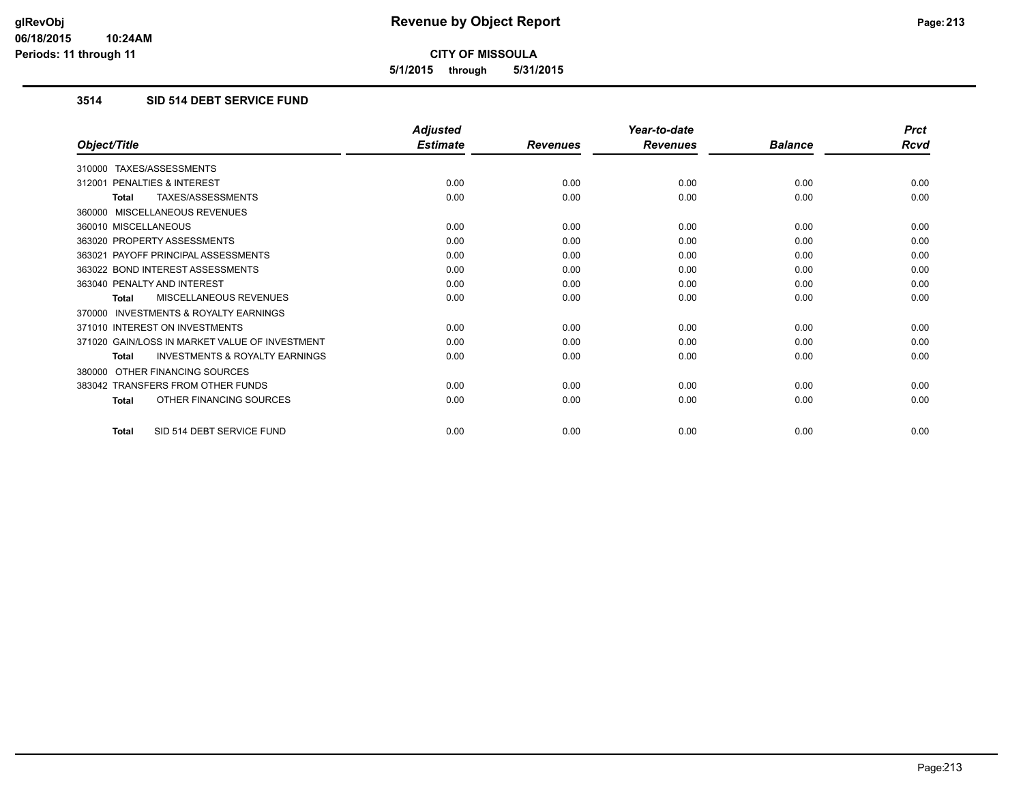**5/1/2015 through 5/31/2015**

### **3514 SID 514 DEBT SERVICE FUND**

|                                                           | <b>Adjusted</b> |                 | Year-to-date    |                | <b>Prct</b> |
|-----------------------------------------------------------|-----------------|-----------------|-----------------|----------------|-------------|
| Object/Title                                              | <b>Estimate</b> | <b>Revenues</b> | <b>Revenues</b> | <b>Balance</b> | <b>Rcvd</b> |
| 310000 TAXES/ASSESSMENTS                                  |                 |                 |                 |                |             |
| 312001 PENALTIES & INTEREST                               | 0.00            | 0.00            | 0.00            | 0.00           | 0.00        |
| <b>TAXES/ASSESSMENTS</b><br><b>Total</b>                  | 0.00            | 0.00            | 0.00            | 0.00           | 0.00        |
| 360000 MISCELLANEOUS REVENUES                             |                 |                 |                 |                |             |
| 360010 MISCELLANEOUS                                      | 0.00            | 0.00            | 0.00            | 0.00           | 0.00        |
| 363020 PROPERTY ASSESSMENTS                               | 0.00            | 0.00            | 0.00            | 0.00           | 0.00        |
| 363021 PAYOFF PRINCIPAL ASSESSMENTS                       | 0.00            | 0.00            | 0.00            | 0.00           | 0.00        |
| 363022 BOND INTEREST ASSESSMENTS                          | 0.00            | 0.00            | 0.00            | 0.00           | 0.00        |
| 363040 PENALTY AND INTEREST                               | 0.00            | 0.00            | 0.00            | 0.00           | 0.00        |
| MISCELLANEOUS REVENUES<br><b>Total</b>                    | 0.00            | 0.00            | 0.00            | 0.00           | 0.00        |
| <b>INVESTMENTS &amp; ROYALTY EARNINGS</b><br>370000       |                 |                 |                 |                |             |
| 371010 INTEREST ON INVESTMENTS                            | 0.00            | 0.00            | 0.00            | 0.00           | 0.00        |
| 371020 GAIN/LOSS IN MARKET VALUE OF INVESTMENT            | 0.00            | 0.00            | 0.00            | 0.00           | 0.00        |
| <b>INVESTMENTS &amp; ROYALTY EARNINGS</b><br><b>Total</b> | 0.00            | 0.00            | 0.00            | 0.00           | 0.00        |
| OTHER FINANCING SOURCES<br>380000                         |                 |                 |                 |                |             |
| 383042 TRANSFERS FROM OTHER FUNDS                         | 0.00            | 0.00            | 0.00            | 0.00           | 0.00        |
| OTHER FINANCING SOURCES<br><b>Total</b>                   | 0.00            | 0.00            | 0.00            | 0.00           | 0.00        |
| SID 514 DEBT SERVICE FUND<br>Total                        | 0.00            | 0.00            | 0.00            | 0.00           | 0.00        |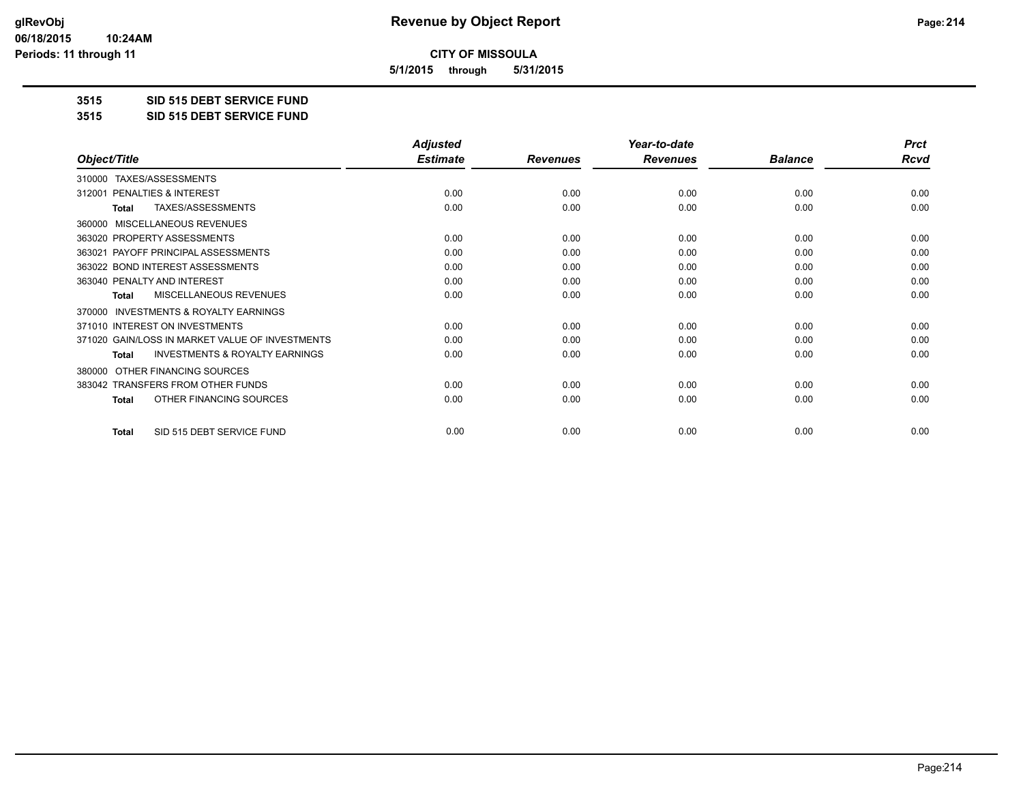**5/1/2015 through 5/31/2015**

**3515 SID 515 DEBT SERVICE FUND**

**3515 SID 515 DEBT SERVICE FUND**

|                                                     | <b>Adjusted</b> |                 | Year-to-date    |                | <b>Prct</b> |
|-----------------------------------------------------|-----------------|-----------------|-----------------|----------------|-------------|
| Object/Title                                        | <b>Estimate</b> | <b>Revenues</b> | <b>Revenues</b> | <b>Balance</b> | <b>Rcvd</b> |
| TAXES/ASSESSMENTS<br>310000                         |                 |                 |                 |                |             |
| PENALTIES & INTEREST<br>312001                      | 0.00            | 0.00            | 0.00            | 0.00           | 0.00        |
| TAXES/ASSESSMENTS<br>Total                          | 0.00            | 0.00            | 0.00            | 0.00           | 0.00        |
| MISCELLANEOUS REVENUES<br>360000                    |                 |                 |                 |                |             |
| 363020 PROPERTY ASSESSMENTS                         | 0.00            | 0.00            | 0.00            | 0.00           | 0.00        |
| PAYOFF PRINCIPAL ASSESSMENTS<br>363021              | 0.00            | 0.00            | 0.00            | 0.00           | 0.00        |
| 363022 BOND INTEREST ASSESSMENTS                    | 0.00            | 0.00            | 0.00            | 0.00           | 0.00        |
| 363040 PENALTY AND INTEREST                         | 0.00            | 0.00            | 0.00            | 0.00           | 0.00        |
| MISCELLANEOUS REVENUES<br>Total                     | 0.00            | 0.00            | 0.00            | 0.00           | 0.00        |
| <b>INVESTMENTS &amp; ROYALTY EARNINGS</b><br>370000 |                 |                 |                 |                |             |
| 371010 INTEREST ON INVESTMENTS                      | 0.00            | 0.00            | 0.00            | 0.00           | 0.00        |
| 371020 GAIN/LOSS IN MARKET VALUE OF INVESTMENTS     | 0.00            | 0.00            | 0.00            | 0.00           | 0.00        |
| <b>INVESTMENTS &amp; ROYALTY EARNINGS</b><br>Total  | 0.00            | 0.00            | 0.00            | 0.00           | 0.00        |
| OTHER FINANCING SOURCES<br>380000                   |                 |                 |                 |                |             |
| 383042 TRANSFERS FROM OTHER FUNDS                   | 0.00            | 0.00            | 0.00            | 0.00           | 0.00        |
| OTHER FINANCING SOURCES<br><b>Total</b>             | 0.00            | 0.00            | 0.00            | 0.00           | 0.00        |
|                                                     |                 |                 |                 |                |             |
| SID 515 DEBT SERVICE FUND<br><b>Total</b>           | 0.00            | 0.00            | 0.00            | 0.00           | 0.00        |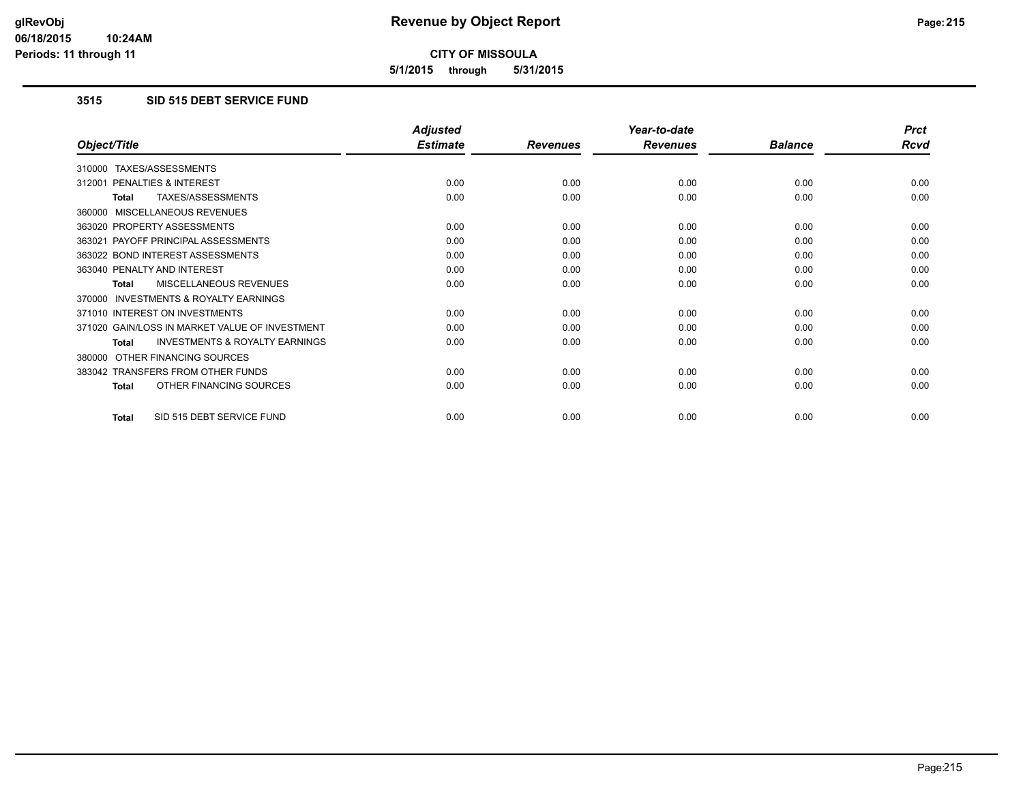**5/1/2015 through 5/31/2015**

### **3515 SID 515 DEBT SERVICE FUND**

|                                                           | <b>Adjusted</b> |                 | Year-to-date    |                | <b>Prct</b> |
|-----------------------------------------------------------|-----------------|-----------------|-----------------|----------------|-------------|
| Object/Title                                              | <b>Estimate</b> | <b>Revenues</b> | <b>Revenues</b> | <b>Balance</b> | <b>Rcvd</b> |
| TAXES/ASSESSMENTS<br>310000                               |                 |                 |                 |                |             |
| 312001 PENALTIES & INTEREST                               | 0.00            | 0.00            | 0.00            | 0.00           | 0.00        |
| TAXES/ASSESSMENTS<br><b>Total</b>                         | 0.00            | 0.00            | 0.00            | 0.00           | 0.00        |
| MISCELLANEOUS REVENUES<br>360000                          |                 |                 |                 |                |             |
| 363020 PROPERTY ASSESSMENTS                               | 0.00            | 0.00            | 0.00            | 0.00           | 0.00        |
| 363021 PAYOFF PRINCIPAL ASSESSMENTS                       | 0.00            | 0.00            | 0.00            | 0.00           | 0.00        |
| 363022 BOND INTEREST ASSESSMENTS                          | 0.00            | 0.00            | 0.00            | 0.00           | 0.00        |
| 363040 PENALTY AND INTEREST                               | 0.00            | 0.00            | 0.00            | 0.00           | 0.00        |
| MISCELLANEOUS REVENUES<br><b>Total</b>                    | 0.00            | 0.00            | 0.00            | 0.00           | 0.00        |
| <b>INVESTMENTS &amp; ROYALTY EARNINGS</b><br>370000       |                 |                 |                 |                |             |
| 371010 INTEREST ON INVESTMENTS                            | 0.00            | 0.00            | 0.00            | 0.00           | 0.00        |
| 371020 GAIN/LOSS IN MARKET VALUE OF INVESTMENT            | 0.00            | 0.00            | 0.00            | 0.00           | 0.00        |
| <b>INVESTMENTS &amp; ROYALTY EARNINGS</b><br><b>Total</b> | 0.00            | 0.00            | 0.00            | 0.00           | 0.00        |
| OTHER FINANCING SOURCES<br>380000                         |                 |                 |                 |                |             |
| 383042 TRANSFERS FROM OTHER FUNDS                         | 0.00            | 0.00            | 0.00            | 0.00           | 0.00        |
| OTHER FINANCING SOURCES<br><b>Total</b>                   | 0.00            | 0.00            | 0.00            | 0.00           | 0.00        |
| SID 515 DEBT SERVICE FUND<br>Total                        | 0.00            | 0.00            | 0.00            | 0.00           | 0.00        |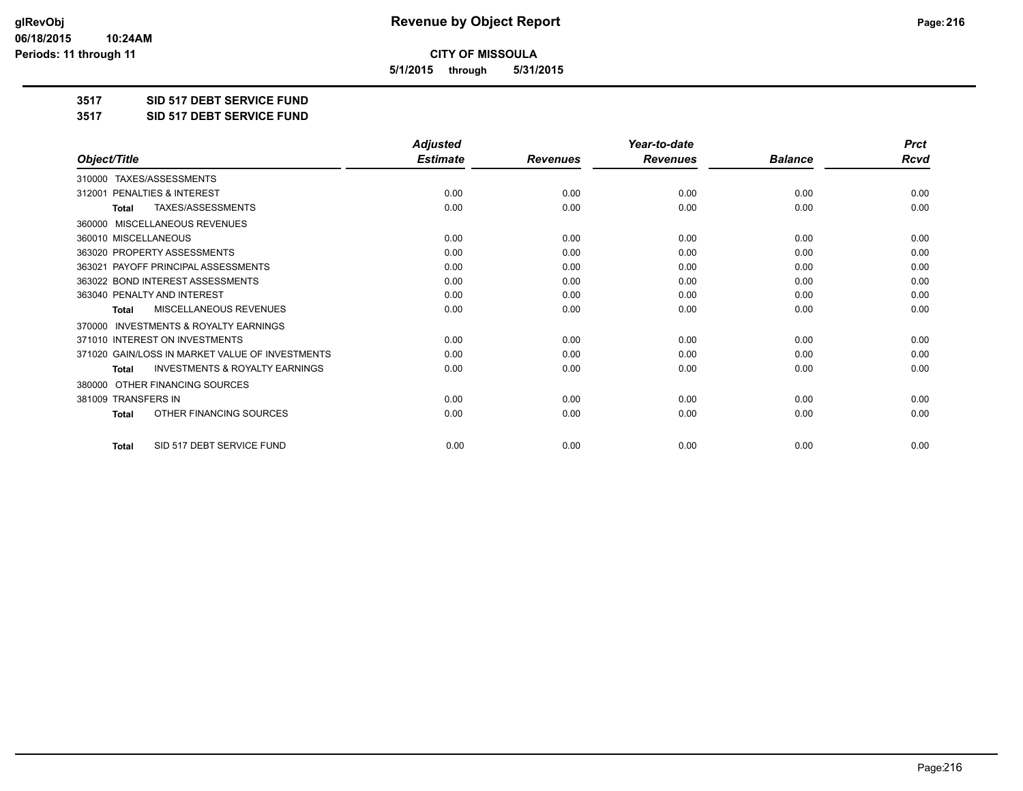**5/1/2015 through 5/31/2015**

**3517 SID 517 DEBT SERVICE FUND**

**3517 SID 517 DEBT SERVICE FUND**

|                                                           | <b>Adjusted</b> |                 | Year-to-date    |                | <b>Prct</b> |
|-----------------------------------------------------------|-----------------|-----------------|-----------------|----------------|-------------|
| Object/Title                                              | <b>Estimate</b> | <b>Revenues</b> | <b>Revenues</b> | <b>Balance</b> | Rcvd        |
| TAXES/ASSESSMENTS<br>310000                               |                 |                 |                 |                |             |
| PENALTIES & INTEREST<br>312001                            | 0.00            | 0.00            | 0.00            | 0.00           | 0.00        |
| TAXES/ASSESSMENTS<br>Total                                | 0.00            | 0.00            | 0.00            | 0.00           | 0.00        |
| MISCELLANEOUS REVENUES<br>360000                          |                 |                 |                 |                |             |
| 360010 MISCELLANEOUS                                      | 0.00            | 0.00            | 0.00            | 0.00           | 0.00        |
| 363020 PROPERTY ASSESSMENTS                               | 0.00            | 0.00            | 0.00            | 0.00           | 0.00        |
| 363021 PAYOFF PRINCIPAL ASSESSMENTS                       | 0.00            | 0.00            | 0.00            | 0.00           | 0.00        |
| 363022 BOND INTEREST ASSESSMENTS                          | 0.00            | 0.00            | 0.00            | 0.00           | 0.00        |
| 363040 PENALTY AND INTEREST                               | 0.00            | 0.00            | 0.00            | 0.00           | 0.00        |
| <b>MISCELLANEOUS REVENUES</b><br><b>Total</b>             | 0.00            | 0.00            | 0.00            | 0.00           | 0.00        |
| <b>INVESTMENTS &amp; ROYALTY EARNINGS</b><br>370000       |                 |                 |                 |                |             |
| 371010 INTEREST ON INVESTMENTS                            | 0.00            | 0.00            | 0.00            | 0.00           | 0.00        |
| 371020 GAIN/LOSS IN MARKET VALUE OF INVESTMENTS           | 0.00            | 0.00            | 0.00            | 0.00           | 0.00        |
| <b>INVESTMENTS &amp; ROYALTY EARNINGS</b><br><b>Total</b> | 0.00            | 0.00            | 0.00            | 0.00           | 0.00        |
| OTHER FINANCING SOURCES<br>380000                         |                 |                 |                 |                |             |
| 381009 TRANSFERS IN                                       | 0.00            | 0.00            | 0.00            | 0.00           | 0.00        |
| OTHER FINANCING SOURCES<br><b>Total</b>                   | 0.00            | 0.00            | 0.00            | 0.00           | 0.00        |
| SID 517 DEBT SERVICE FUND<br><b>Total</b>                 | 0.00            | 0.00            | 0.00            | 0.00           | 0.00        |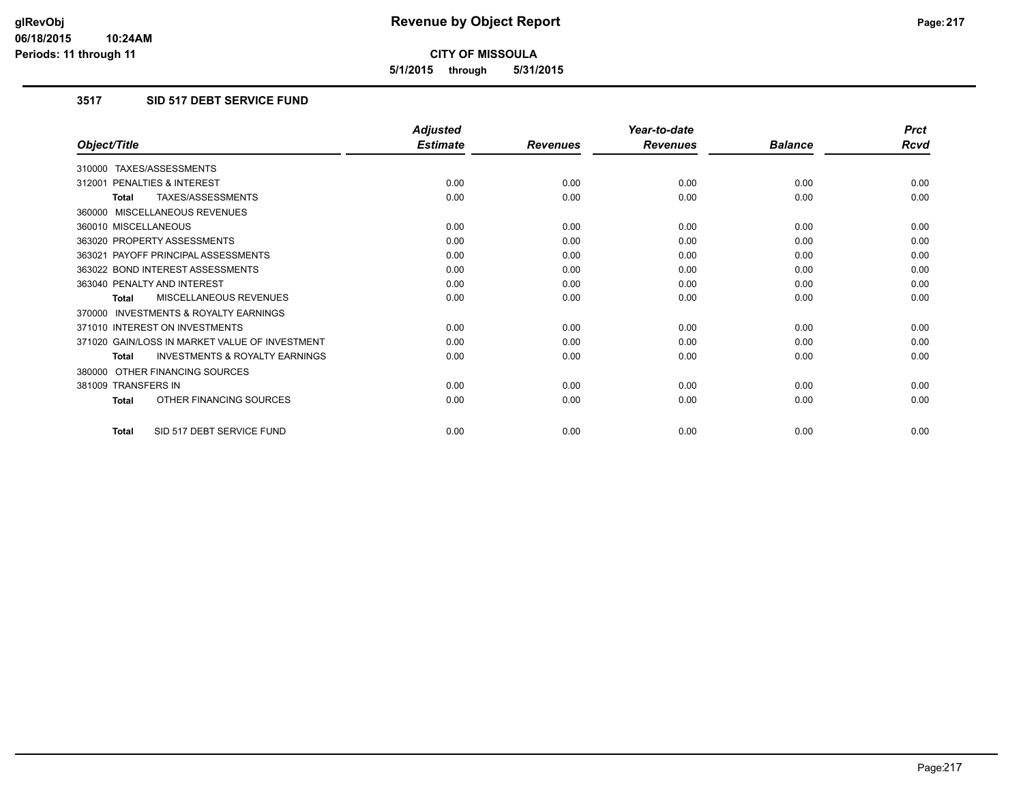**5/1/2015 through 5/31/2015**

# **3517 SID 517 DEBT SERVICE FUND**

|                                                           | <b>Adjusted</b> |                 | Year-to-date    |                | <b>Prct</b> |
|-----------------------------------------------------------|-----------------|-----------------|-----------------|----------------|-------------|
| Object/Title                                              | <b>Estimate</b> | <b>Revenues</b> | <b>Revenues</b> | <b>Balance</b> | <b>Rcvd</b> |
| 310000 TAXES/ASSESSMENTS                                  |                 |                 |                 |                |             |
| 312001 PENALTIES & INTEREST                               | 0.00            | 0.00            | 0.00            | 0.00           | 0.00        |
| TAXES/ASSESSMENTS<br><b>Total</b>                         | 0.00            | 0.00            | 0.00            | 0.00           | 0.00        |
| 360000 MISCELLANEOUS REVENUES                             |                 |                 |                 |                |             |
| 360010 MISCELLANEOUS                                      | 0.00            | 0.00            | 0.00            | 0.00           | 0.00        |
| 363020 PROPERTY ASSESSMENTS                               | 0.00            | 0.00            | 0.00            | 0.00           | 0.00        |
| 363021 PAYOFF PRINCIPAL ASSESSMENTS                       | 0.00            | 0.00            | 0.00            | 0.00           | 0.00        |
| 363022 BOND INTEREST ASSESSMENTS                          | 0.00            | 0.00            | 0.00            | 0.00           | 0.00        |
| 363040 PENALTY AND INTEREST                               | 0.00            | 0.00            | 0.00            | 0.00           | 0.00        |
| MISCELLANEOUS REVENUES<br><b>Total</b>                    | 0.00            | 0.00            | 0.00            | 0.00           | 0.00        |
| <b>INVESTMENTS &amp; ROYALTY EARNINGS</b><br>370000       |                 |                 |                 |                |             |
| 371010 INTEREST ON INVESTMENTS                            | 0.00            | 0.00            | 0.00            | 0.00           | 0.00        |
| 371020 GAIN/LOSS IN MARKET VALUE OF INVESTMENT            | 0.00            | 0.00            | 0.00            | 0.00           | 0.00        |
| <b>INVESTMENTS &amp; ROYALTY EARNINGS</b><br><b>Total</b> | 0.00            | 0.00            | 0.00            | 0.00           | 0.00        |
| 380000 OTHER FINANCING SOURCES                            |                 |                 |                 |                |             |
| 381009 TRANSFERS IN                                       | 0.00            | 0.00            | 0.00            | 0.00           | 0.00        |
| OTHER FINANCING SOURCES<br><b>Total</b>                   | 0.00            | 0.00            | 0.00            | 0.00           | 0.00        |
| SID 517 DEBT SERVICE FUND<br>Total                        | 0.00            | 0.00            | 0.00            | 0.00           | 0.00        |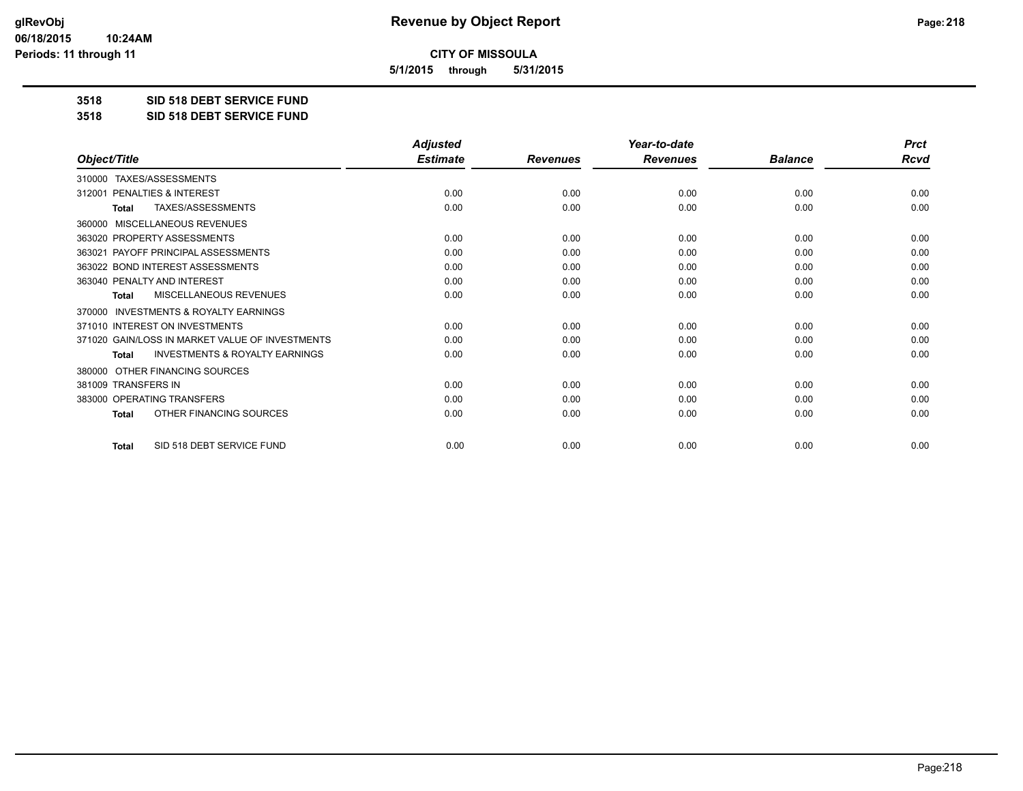**5/1/2015 through 5/31/2015**

**3518 SID 518 DEBT SERVICE FUND**

**3518 SID 518 DEBT SERVICE FUND**

|                                                           | <b>Adjusted</b> |                 | Year-to-date    |                | <b>Prct</b> |
|-----------------------------------------------------------|-----------------|-----------------|-----------------|----------------|-------------|
| Object/Title                                              | <b>Estimate</b> | <b>Revenues</b> | <b>Revenues</b> | <b>Balance</b> | <b>Rcvd</b> |
| 310000 TAXES/ASSESSMENTS                                  |                 |                 |                 |                |             |
| PENALTIES & INTEREST<br>312001                            | 0.00            | 0.00            | 0.00            | 0.00           | 0.00        |
| TAXES/ASSESSMENTS<br><b>Total</b>                         | 0.00            | 0.00            | 0.00            | 0.00           | 0.00        |
| <b>MISCELLANEOUS REVENUES</b><br>360000                   |                 |                 |                 |                |             |
| 363020 PROPERTY ASSESSMENTS                               | 0.00            | 0.00            | 0.00            | 0.00           | 0.00        |
| 363021 PAYOFF PRINCIPAL ASSESSMENTS                       | 0.00            | 0.00            | 0.00            | 0.00           | 0.00        |
| 363022 BOND INTEREST ASSESSMENTS                          | 0.00            | 0.00            | 0.00            | 0.00           | 0.00        |
| 363040 PENALTY AND INTEREST                               | 0.00            | 0.00            | 0.00            | 0.00           | 0.00        |
| MISCELLANEOUS REVENUES<br><b>Total</b>                    | 0.00            | 0.00            | 0.00            | 0.00           | 0.00        |
| <b>INVESTMENTS &amp; ROYALTY EARNINGS</b><br>370000       |                 |                 |                 |                |             |
| 371010 INTEREST ON INVESTMENTS                            | 0.00            | 0.00            | 0.00            | 0.00           | 0.00        |
| 371020 GAIN/LOSS IN MARKET VALUE OF INVESTMENTS           | 0.00            | 0.00            | 0.00            | 0.00           | 0.00        |
| <b>INVESTMENTS &amp; ROYALTY EARNINGS</b><br><b>Total</b> | 0.00            | 0.00            | 0.00            | 0.00           | 0.00        |
| OTHER FINANCING SOURCES<br>380000                         |                 |                 |                 |                |             |
| 381009 TRANSFERS IN                                       | 0.00            | 0.00            | 0.00            | 0.00           | 0.00        |
| 383000 OPERATING TRANSFERS                                | 0.00            | 0.00            | 0.00            | 0.00           | 0.00        |
| OTHER FINANCING SOURCES<br><b>Total</b>                   | 0.00            | 0.00            | 0.00            | 0.00           | 0.00        |
| SID 518 DEBT SERVICE FUND<br><b>Total</b>                 | 0.00            | 0.00            | 0.00            | 0.00           | 0.00        |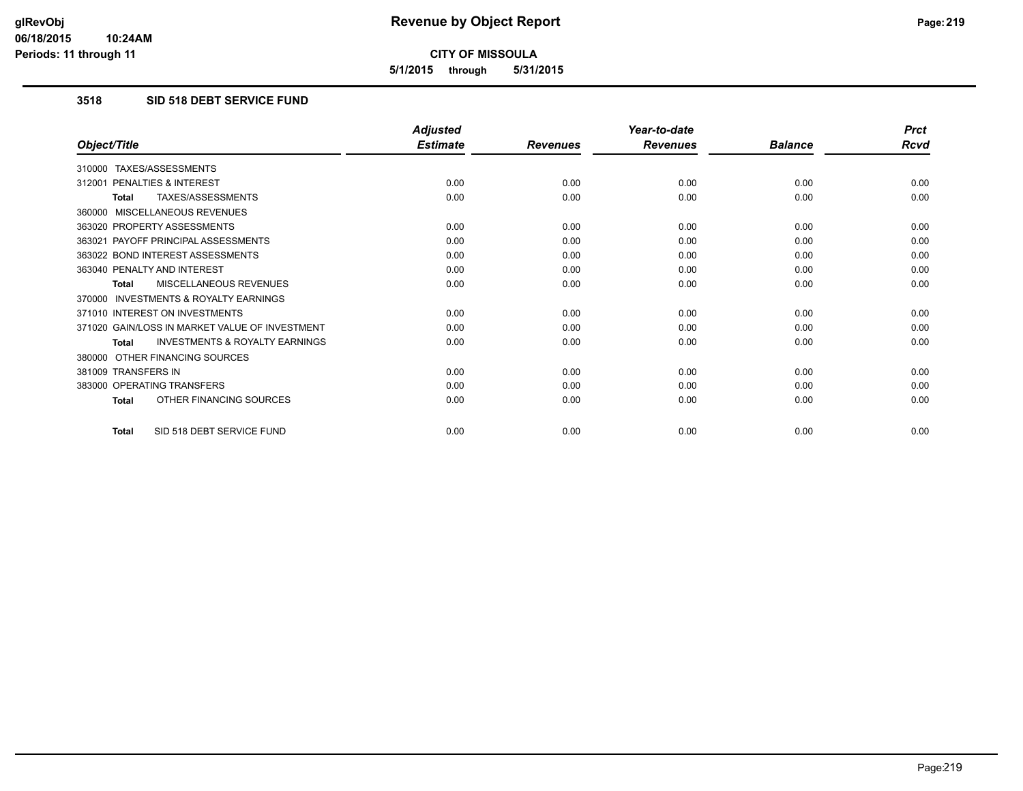**5/1/2015 through 5/31/2015**

# **3518 SID 518 DEBT SERVICE FUND**

|                                                           | <b>Adjusted</b> |                 | Year-to-date    |                | <b>Prct</b> |
|-----------------------------------------------------------|-----------------|-----------------|-----------------|----------------|-------------|
| Object/Title                                              | <b>Estimate</b> | <b>Revenues</b> | <b>Revenues</b> | <b>Balance</b> | <b>Rcvd</b> |
| 310000 TAXES/ASSESSMENTS                                  |                 |                 |                 |                |             |
| 312001 PENALTIES & INTEREST                               | 0.00            | 0.00            | 0.00            | 0.00           | 0.00        |
| <b>TAXES/ASSESSMENTS</b><br><b>Total</b>                  | 0.00            | 0.00            | 0.00            | 0.00           | 0.00        |
| 360000 MISCELLANEOUS REVENUES                             |                 |                 |                 |                |             |
| 363020 PROPERTY ASSESSMENTS                               | 0.00            | 0.00            | 0.00            | 0.00           | 0.00        |
| 363021 PAYOFF PRINCIPAL ASSESSMENTS                       | 0.00            | 0.00            | 0.00            | 0.00           | 0.00        |
| 363022 BOND INTEREST ASSESSMENTS                          | 0.00            | 0.00            | 0.00            | 0.00           | 0.00        |
| 363040 PENALTY AND INTEREST                               | 0.00            | 0.00            | 0.00            | 0.00           | 0.00        |
| MISCELLANEOUS REVENUES<br><b>Total</b>                    | 0.00            | 0.00            | 0.00            | 0.00           | 0.00        |
| <b>INVESTMENTS &amp; ROYALTY EARNINGS</b><br>370000       |                 |                 |                 |                |             |
| 371010 INTEREST ON INVESTMENTS                            | 0.00            | 0.00            | 0.00            | 0.00           | 0.00        |
| 371020 GAIN/LOSS IN MARKET VALUE OF INVESTMENT            | 0.00            | 0.00            | 0.00            | 0.00           | 0.00        |
| <b>INVESTMENTS &amp; ROYALTY EARNINGS</b><br><b>Total</b> | 0.00            | 0.00            | 0.00            | 0.00           | 0.00        |
| 380000 OTHER FINANCING SOURCES                            |                 |                 |                 |                |             |
| 381009 TRANSFERS IN                                       | 0.00            | 0.00            | 0.00            | 0.00           | 0.00        |
| 383000 OPERATING TRANSFERS                                | 0.00            | 0.00            | 0.00            | 0.00           | 0.00        |
| OTHER FINANCING SOURCES<br><b>Total</b>                   | 0.00            | 0.00            | 0.00            | 0.00           | 0.00        |
| SID 518 DEBT SERVICE FUND<br><b>Total</b>                 | 0.00            | 0.00            | 0.00            | 0.00           | 0.00        |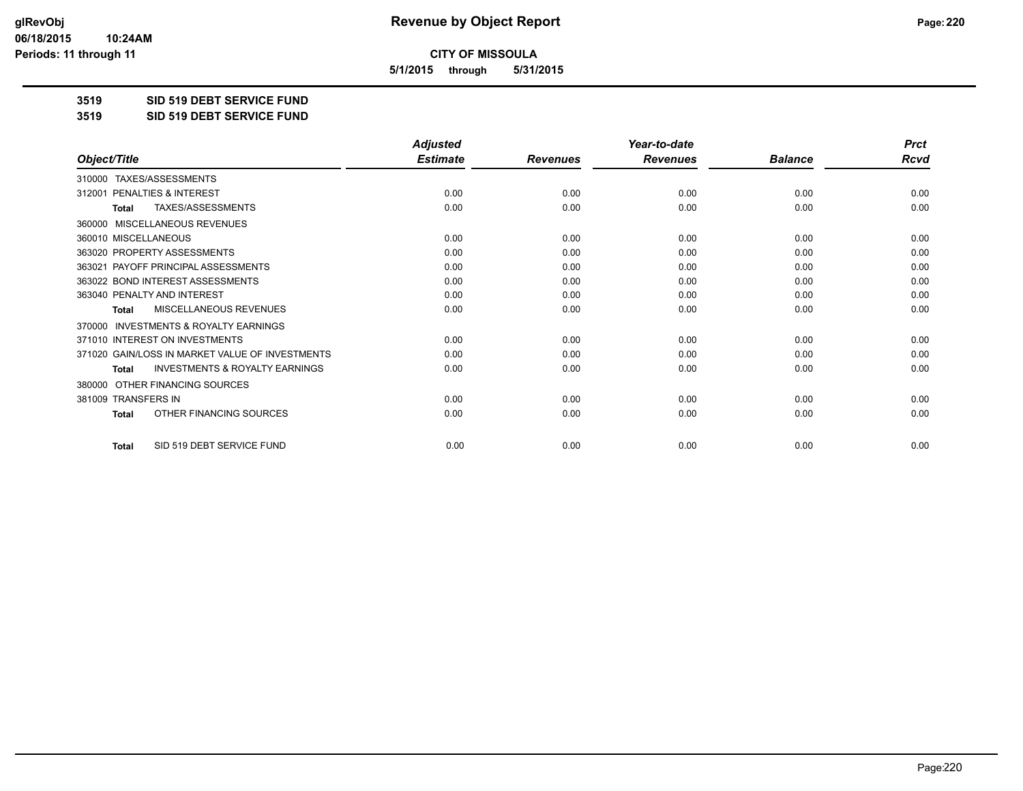**5/1/2015 through 5/31/2015**

**3519 SID 519 DEBT SERVICE FUND**

**3519 SID 519 DEBT SERVICE FUND**

|                                                           | <b>Adjusted</b> |                 | Year-to-date    |                | <b>Prct</b> |
|-----------------------------------------------------------|-----------------|-----------------|-----------------|----------------|-------------|
| Object/Title                                              | <b>Estimate</b> | <b>Revenues</b> | <b>Revenues</b> | <b>Balance</b> | <b>Rcvd</b> |
| TAXES/ASSESSMENTS<br>310000                               |                 |                 |                 |                |             |
| PENALTIES & INTEREST<br>312001                            | 0.00            | 0.00            | 0.00            | 0.00           | 0.00        |
| TAXES/ASSESSMENTS<br><b>Total</b>                         | 0.00            | 0.00            | 0.00            | 0.00           | 0.00        |
| <b>MISCELLANEOUS REVENUES</b><br>360000                   |                 |                 |                 |                |             |
| 360010 MISCELLANEOUS                                      | 0.00            | 0.00            | 0.00            | 0.00           | 0.00        |
| 363020 PROPERTY ASSESSMENTS                               | 0.00            | 0.00            | 0.00            | 0.00           | 0.00        |
| 363021 PAYOFF PRINCIPAL ASSESSMENTS                       | 0.00            | 0.00            | 0.00            | 0.00           | 0.00        |
| 363022 BOND INTEREST ASSESSMENTS                          | 0.00            | 0.00            | 0.00            | 0.00           | 0.00        |
| 363040 PENALTY AND INTEREST                               | 0.00            | 0.00            | 0.00            | 0.00           | 0.00        |
| MISCELLANEOUS REVENUES<br><b>Total</b>                    | 0.00            | 0.00            | 0.00            | 0.00           | 0.00        |
| <b>INVESTMENTS &amp; ROYALTY EARNINGS</b><br>370000       |                 |                 |                 |                |             |
| 371010 INTEREST ON INVESTMENTS                            | 0.00            | 0.00            | 0.00            | 0.00           | 0.00        |
| 371020 GAIN/LOSS IN MARKET VALUE OF INVESTMENTS           | 0.00            | 0.00            | 0.00            | 0.00           | 0.00        |
| <b>INVESTMENTS &amp; ROYALTY EARNINGS</b><br><b>Total</b> | 0.00            | 0.00            | 0.00            | 0.00           | 0.00        |
| OTHER FINANCING SOURCES<br>380000                         |                 |                 |                 |                |             |
| 381009 TRANSFERS IN                                       | 0.00            | 0.00            | 0.00            | 0.00           | 0.00        |
| OTHER FINANCING SOURCES<br><b>Total</b>                   | 0.00            | 0.00            | 0.00            | 0.00           | 0.00        |
| SID 519 DEBT SERVICE FUND<br><b>Total</b>                 | 0.00            | 0.00            | 0.00            | 0.00           | 0.00        |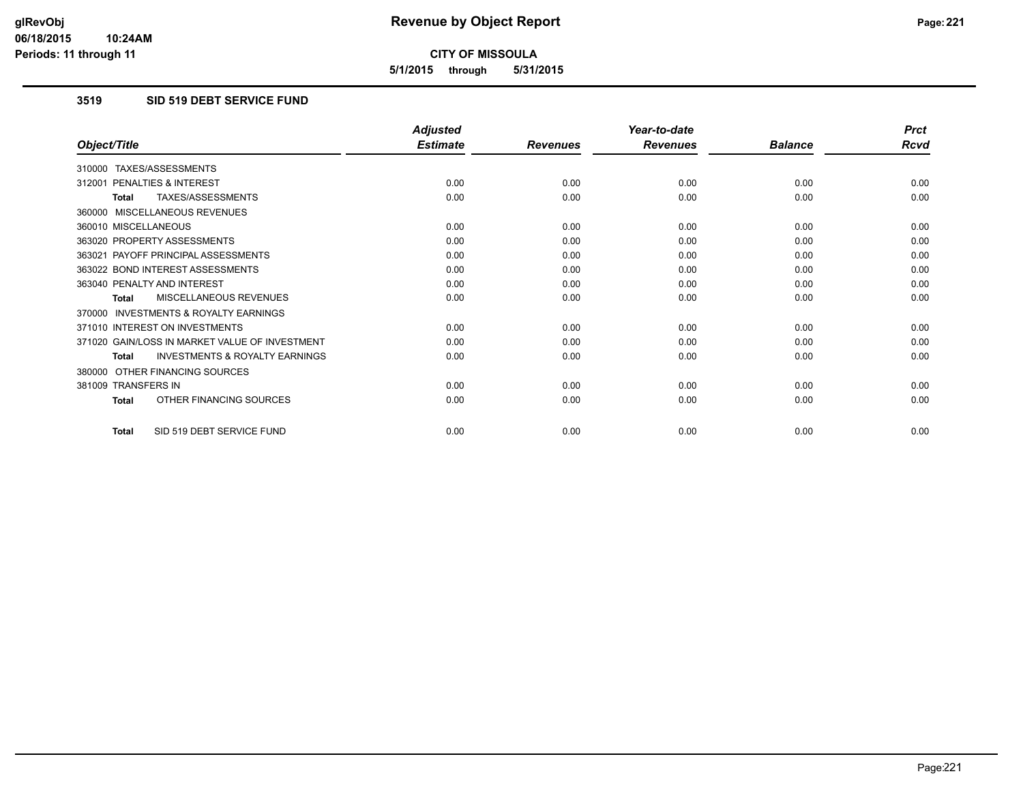**5/1/2015 through 5/31/2015**

# **3519 SID 519 DEBT SERVICE FUND**

|                                                           | <b>Adjusted</b> |                 | Year-to-date    |                | <b>Prct</b> |
|-----------------------------------------------------------|-----------------|-----------------|-----------------|----------------|-------------|
| Object/Title                                              | <b>Estimate</b> | <b>Revenues</b> | <b>Revenues</b> | <b>Balance</b> | <b>Rcvd</b> |
| 310000 TAXES/ASSESSMENTS                                  |                 |                 |                 |                |             |
| 312001 PENALTIES & INTEREST                               | 0.00            | 0.00            | 0.00            | 0.00           | 0.00        |
| TAXES/ASSESSMENTS<br><b>Total</b>                         | 0.00            | 0.00            | 0.00            | 0.00           | 0.00        |
| 360000 MISCELLANEOUS REVENUES                             |                 |                 |                 |                |             |
| 360010 MISCELLANEOUS                                      | 0.00            | 0.00            | 0.00            | 0.00           | 0.00        |
| 363020 PROPERTY ASSESSMENTS                               | 0.00            | 0.00            | 0.00            | 0.00           | 0.00        |
| 363021 PAYOFF PRINCIPAL ASSESSMENTS                       | 0.00            | 0.00            | 0.00            | 0.00           | 0.00        |
| 363022 BOND INTEREST ASSESSMENTS                          | 0.00            | 0.00            | 0.00            | 0.00           | 0.00        |
| 363040 PENALTY AND INTEREST                               | 0.00            | 0.00            | 0.00            | 0.00           | 0.00        |
| MISCELLANEOUS REVENUES<br><b>Total</b>                    | 0.00            | 0.00            | 0.00            | 0.00           | 0.00        |
| <b>INVESTMENTS &amp; ROYALTY EARNINGS</b><br>370000       |                 |                 |                 |                |             |
| 371010 INTEREST ON INVESTMENTS                            | 0.00            | 0.00            | 0.00            | 0.00           | 0.00        |
| 371020 GAIN/LOSS IN MARKET VALUE OF INVESTMENT            | 0.00            | 0.00            | 0.00            | 0.00           | 0.00        |
| <b>INVESTMENTS &amp; ROYALTY EARNINGS</b><br><b>Total</b> | 0.00            | 0.00            | 0.00            | 0.00           | 0.00        |
| OTHER FINANCING SOURCES<br>380000                         |                 |                 |                 |                |             |
| 381009 TRANSFERS IN                                       | 0.00            | 0.00            | 0.00            | 0.00           | 0.00        |
| OTHER FINANCING SOURCES<br><b>Total</b>                   | 0.00            | 0.00            | 0.00            | 0.00           | 0.00        |
| SID 519 DEBT SERVICE FUND<br><b>Total</b>                 | 0.00            | 0.00            | 0.00            | 0.00           | 0.00        |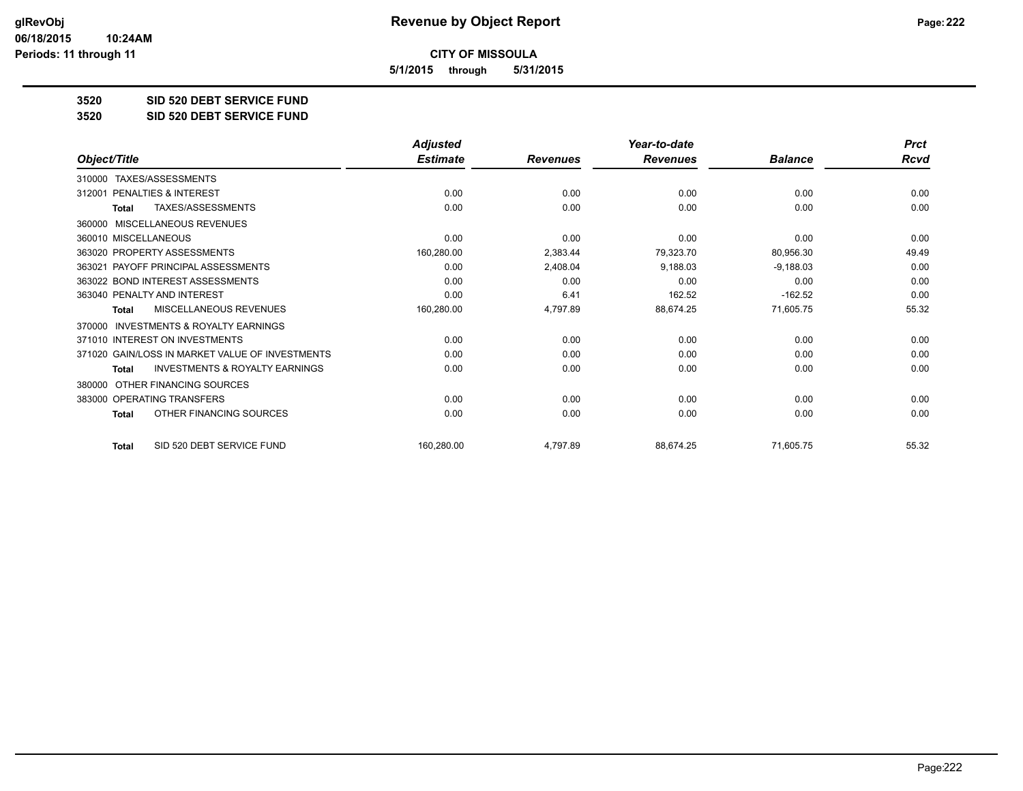**5/1/2015 through 5/31/2015**

**3520 SID 520 DEBT SERVICE FUND**

**3520 SID 520 DEBT SERVICE FUND**

|                                                           | <b>Adjusted</b> |                 | Year-to-date    |                | <b>Prct</b> |
|-----------------------------------------------------------|-----------------|-----------------|-----------------|----------------|-------------|
| Object/Title                                              | <b>Estimate</b> | <b>Revenues</b> | <b>Revenues</b> | <b>Balance</b> | <b>Rcvd</b> |
| TAXES/ASSESSMENTS<br>310000                               |                 |                 |                 |                |             |
| 312001 PENALTIES & INTEREST                               | 0.00            | 0.00            | 0.00            | 0.00           | 0.00        |
| TAXES/ASSESSMENTS<br><b>Total</b>                         | 0.00            | 0.00            | 0.00            | 0.00           | 0.00        |
| MISCELLANEOUS REVENUES<br>360000                          |                 |                 |                 |                |             |
| 360010 MISCELLANEOUS                                      | 0.00            | 0.00            | 0.00            | 0.00           | 0.00        |
| 363020 PROPERTY ASSESSMENTS                               | 160,280.00      | 2,383.44        | 79,323.70       | 80,956.30      | 49.49       |
| 363021 PAYOFF PRINCIPAL ASSESSMENTS                       | 0.00            | 2,408.04        | 9,188.03        | $-9,188.03$    | 0.00        |
| 363022 BOND INTEREST ASSESSMENTS                          | 0.00            | 0.00            | 0.00            | 0.00           | 0.00        |
| 363040 PENALTY AND INTEREST                               | 0.00            | 6.41            | 162.52          | $-162.52$      | 0.00        |
| MISCELLANEOUS REVENUES<br>Total                           | 160,280.00      | 4,797.89        | 88,674.25       | 71,605.75      | 55.32       |
| <b>INVESTMENTS &amp; ROYALTY EARNINGS</b><br>370000       |                 |                 |                 |                |             |
| 371010 INTEREST ON INVESTMENTS                            | 0.00            | 0.00            | 0.00            | 0.00           | 0.00        |
| 371020 GAIN/LOSS IN MARKET VALUE OF INVESTMENTS           | 0.00            | 0.00            | 0.00            | 0.00           | 0.00        |
| <b>INVESTMENTS &amp; ROYALTY EARNINGS</b><br><b>Total</b> | 0.00            | 0.00            | 0.00            | 0.00           | 0.00        |
| OTHER FINANCING SOURCES<br>380000                         |                 |                 |                 |                |             |
| 383000 OPERATING TRANSFERS                                | 0.00            | 0.00            | 0.00            | 0.00           | 0.00        |
| OTHER FINANCING SOURCES<br><b>Total</b>                   | 0.00            | 0.00            | 0.00            | 0.00           | 0.00        |
| SID 520 DEBT SERVICE FUND<br><b>Total</b>                 | 160,280.00      | 4,797.89        | 88,674.25       | 71,605.75      | 55.32       |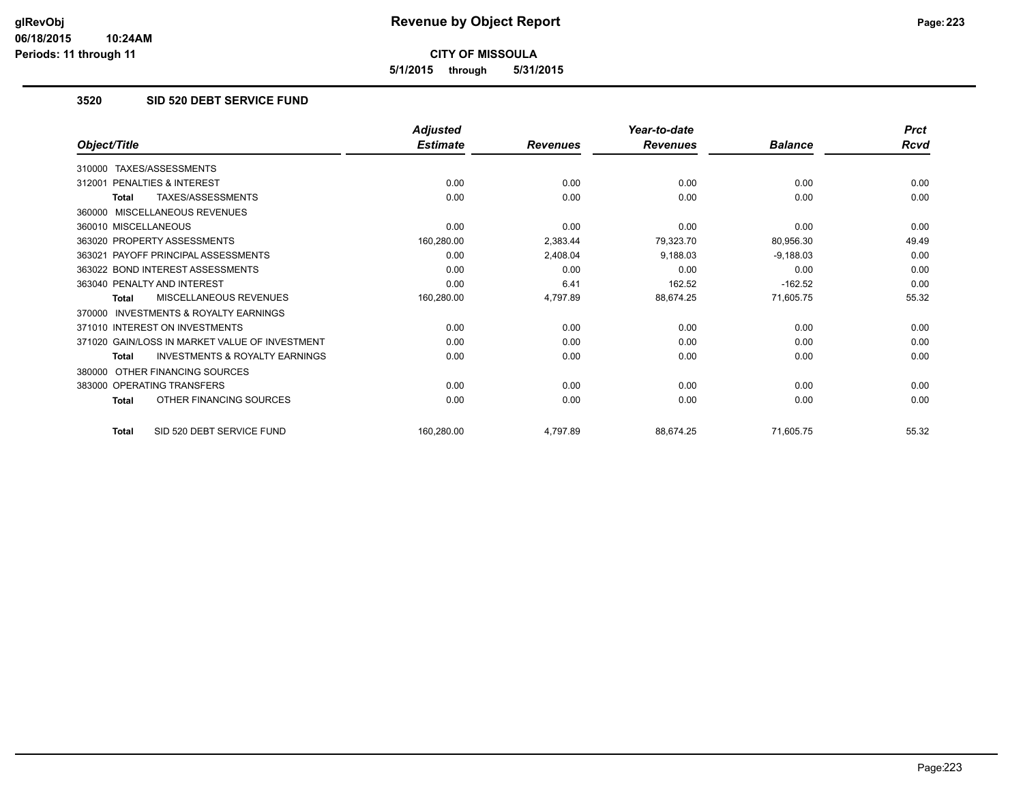**5/1/2015 through 5/31/2015**

# **3520 SID 520 DEBT SERVICE FUND**

|                                                           | <b>Adjusted</b> |                 | Year-to-date    |                | <b>Prct</b> |
|-----------------------------------------------------------|-----------------|-----------------|-----------------|----------------|-------------|
| Object/Title                                              | <b>Estimate</b> | <b>Revenues</b> | <b>Revenues</b> | <b>Balance</b> | Rcvd        |
| TAXES/ASSESSMENTS<br>310000                               |                 |                 |                 |                |             |
| PENALTIES & INTEREST<br>312001                            | 0.00            | 0.00            | 0.00            | 0.00           | 0.00        |
| TAXES/ASSESSMENTS<br><b>Total</b>                         | 0.00            | 0.00            | 0.00            | 0.00           | 0.00        |
| MISCELLANEOUS REVENUES<br>360000                          |                 |                 |                 |                |             |
| 360010 MISCELLANEOUS                                      | 0.00            | 0.00            | 0.00            | 0.00           | 0.00        |
| 363020 PROPERTY ASSESSMENTS                               | 160,280.00      | 2,383.44        | 79,323.70       | 80,956.30      | 49.49       |
| 363021 PAYOFF PRINCIPAL ASSESSMENTS                       | 0.00            | 2,408.04        | 9,188.03        | $-9,188.03$    | 0.00        |
| 363022 BOND INTEREST ASSESSMENTS                          | 0.00            | 0.00            | 0.00            | 0.00           | 0.00        |
| 363040 PENALTY AND INTEREST                               | 0.00            | 6.41            | 162.52          | $-162.52$      | 0.00        |
| MISCELLANEOUS REVENUES<br><b>Total</b>                    | 160,280.00      | 4,797.89        | 88,674.25       | 71,605.75      | 55.32       |
| <b>INVESTMENTS &amp; ROYALTY EARNINGS</b><br>370000       |                 |                 |                 |                |             |
| 371010 INTEREST ON INVESTMENTS                            | 0.00            | 0.00            | 0.00            | 0.00           | 0.00        |
| 371020 GAIN/LOSS IN MARKET VALUE OF INVESTMENT            | 0.00            | 0.00            | 0.00            | 0.00           | 0.00        |
| <b>INVESTMENTS &amp; ROYALTY EARNINGS</b><br><b>Total</b> | 0.00            | 0.00            | 0.00            | 0.00           | 0.00        |
| OTHER FINANCING SOURCES<br>380000                         |                 |                 |                 |                |             |
| 383000 OPERATING TRANSFERS                                | 0.00            | 0.00            | 0.00            | 0.00           | 0.00        |
| OTHER FINANCING SOURCES<br><b>Total</b>                   | 0.00            | 0.00            | 0.00            | 0.00           | 0.00        |
| SID 520 DEBT SERVICE FUND<br><b>Total</b>                 | 160,280.00      | 4,797.89        | 88,674.25       | 71,605.75      | 55.32       |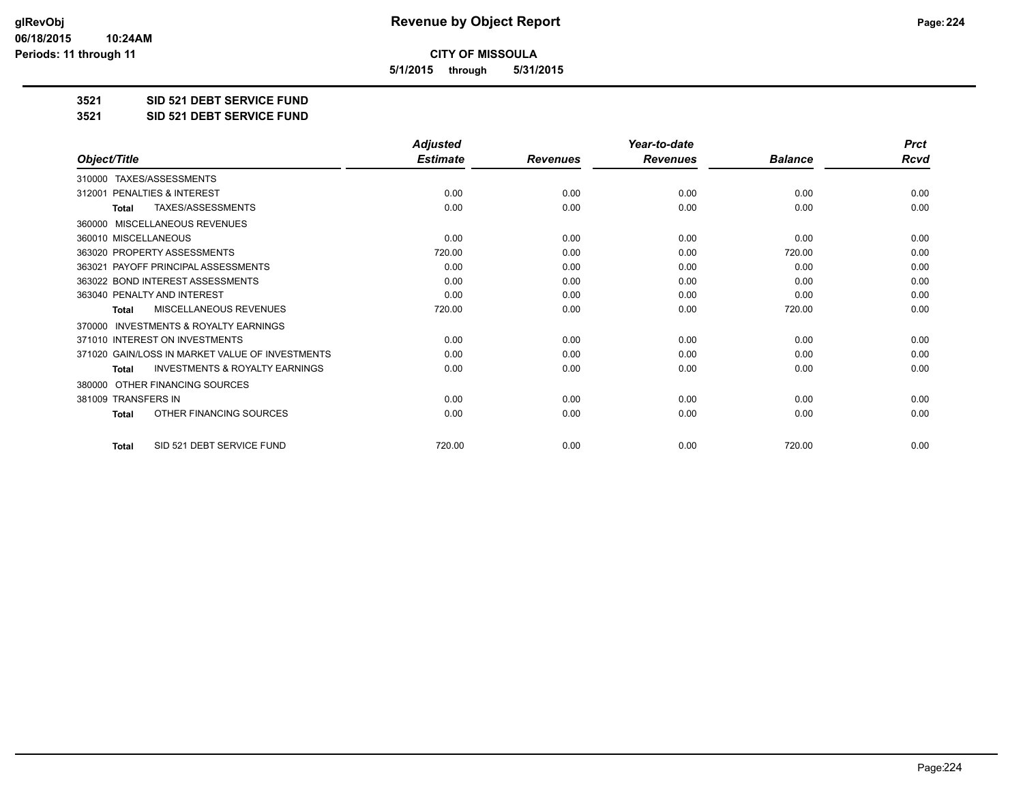**5/1/2015 through 5/31/2015**

**3521 SID 521 DEBT SERVICE FUND**

**3521 SID 521 DEBT SERVICE FUND**

|                                                           | <b>Adjusted</b> |                 | Year-to-date    |                | <b>Prct</b> |
|-----------------------------------------------------------|-----------------|-----------------|-----------------|----------------|-------------|
| Object/Title                                              | <b>Estimate</b> | <b>Revenues</b> | <b>Revenues</b> | <b>Balance</b> | <b>Rcvd</b> |
| TAXES/ASSESSMENTS<br>310000                               |                 |                 |                 |                |             |
| 312001 PENALTIES & INTEREST                               | 0.00            | 0.00            | 0.00            | 0.00           | 0.00        |
| <b>TAXES/ASSESSMENTS</b><br><b>Total</b>                  | 0.00            | 0.00            | 0.00            | 0.00           | 0.00        |
| MISCELLANEOUS REVENUES<br>360000                          |                 |                 |                 |                |             |
| 360010 MISCELLANEOUS                                      | 0.00            | 0.00            | 0.00            | 0.00           | 0.00        |
| 363020 PROPERTY ASSESSMENTS                               | 720.00          | 0.00            | 0.00            | 720.00         | 0.00        |
| 363021 PAYOFF PRINCIPAL ASSESSMENTS                       | 0.00            | 0.00            | 0.00            | 0.00           | 0.00        |
| 363022 BOND INTEREST ASSESSMENTS                          | 0.00            | 0.00            | 0.00            | 0.00           | 0.00        |
| 363040 PENALTY AND INTEREST                               | 0.00            | 0.00            | 0.00            | 0.00           | 0.00        |
| <b>MISCELLANEOUS REVENUES</b><br><b>Total</b>             | 720.00          | 0.00            | 0.00            | 720.00         | 0.00        |
| <b>INVESTMENTS &amp; ROYALTY EARNINGS</b><br>370000       |                 |                 |                 |                |             |
| 371010 INTEREST ON INVESTMENTS                            | 0.00            | 0.00            | 0.00            | 0.00           | 0.00        |
| 371020 GAIN/LOSS IN MARKET VALUE OF INVESTMENTS           | 0.00            | 0.00            | 0.00            | 0.00           | 0.00        |
| <b>INVESTMENTS &amp; ROYALTY EARNINGS</b><br><b>Total</b> | 0.00            | 0.00            | 0.00            | 0.00           | 0.00        |
| OTHER FINANCING SOURCES<br>380000                         |                 |                 |                 |                |             |
| 381009 TRANSFERS IN                                       | 0.00            | 0.00            | 0.00            | 0.00           | 0.00        |
| OTHER FINANCING SOURCES<br><b>Total</b>                   | 0.00            | 0.00            | 0.00            | 0.00           | 0.00        |
| SID 521 DEBT SERVICE FUND<br><b>Total</b>                 | 720.00          | 0.00            | 0.00            | 720.00         | 0.00        |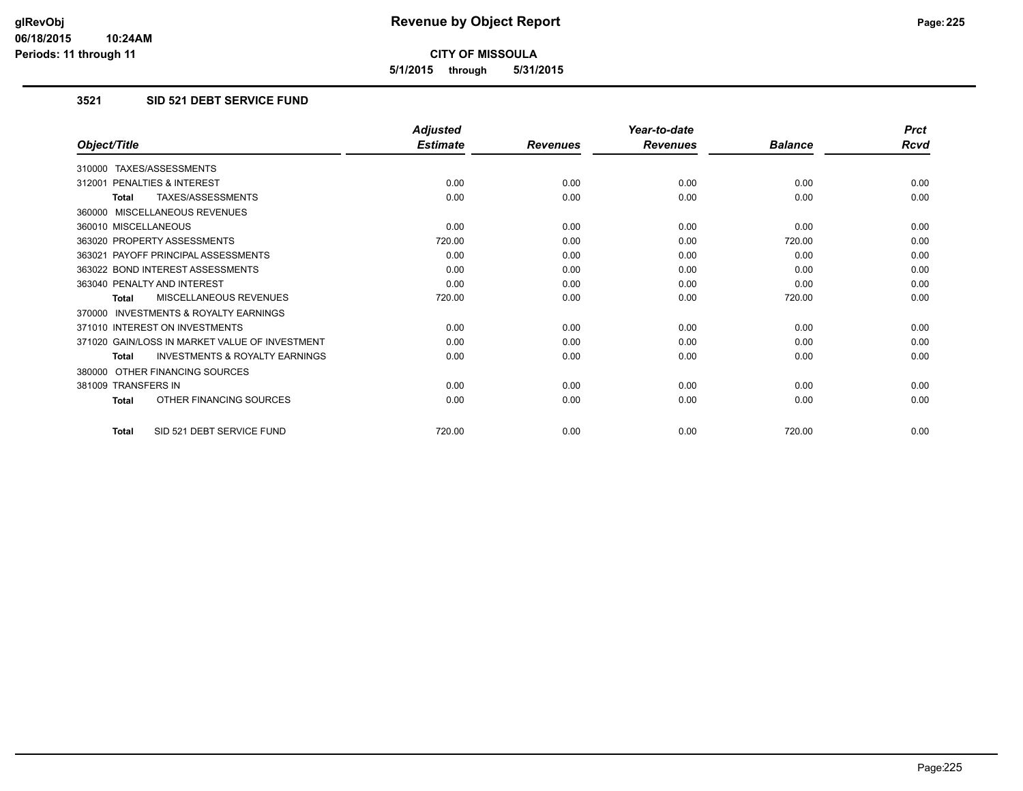**5/1/2015 through 5/31/2015**

# **3521 SID 521 DEBT SERVICE FUND**

|                                                           | <b>Adjusted</b> |                 | Year-to-date    |                | <b>Prct</b> |
|-----------------------------------------------------------|-----------------|-----------------|-----------------|----------------|-------------|
| Object/Title                                              | <b>Estimate</b> | <b>Revenues</b> | <b>Revenues</b> | <b>Balance</b> | <b>Rcvd</b> |
| 310000 TAXES/ASSESSMENTS                                  |                 |                 |                 |                |             |
| 312001 PENALTIES & INTEREST                               | 0.00            | 0.00            | 0.00            | 0.00           | 0.00        |
| <b>TAXES/ASSESSMENTS</b><br><b>Total</b>                  | 0.00            | 0.00            | 0.00            | 0.00           | 0.00        |
| 360000 MISCELLANEOUS REVENUES                             |                 |                 |                 |                |             |
| 360010 MISCELLANEOUS                                      | 0.00            | 0.00            | 0.00            | 0.00           | 0.00        |
| 363020 PROPERTY ASSESSMENTS                               | 720.00          | 0.00            | 0.00            | 720.00         | 0.00        |
| 363021 PAYOFF PRINCIPAL ASSESSMENTS                       | 0.00            | 0.00            | 0.00            | 0.00           | 0.00        |
| 363022 BOND INTEREST ASSESSMENTS                          | 0.00            | 0.00            | 0.00            | 0.00           | 0.00        |
| 363040 PENALTY AND INTEREST                               | 0.00            | 0.00            | 0.00            | 0.00           | 0.00        |
| <b>MISCELLANEOUS REVENUES</b><br><b>Total</b>             | 720.00          | 0.00            | 0.00            | 720.00         | 0.00        |
| 370000 INVESTMENTS & ROYALTY EARNINGS                     |                 |                 |                 |                |             |
| 371010 INTEREST ON INVESTMENTS                            | 0.00            | 0.00            | 0.00            | 0.00           | 0.00        |
| 371020 GAIN/LOSS IN MARKET VALUE OF INVESTMENT            | 0.00            | 0.00            | 0.00            | 0.00           | 0.00        |
| <b>INVESTMENTS &amp; ROYALTY EARNINGS</b><br><b>Total</b> | 0.00            | 0.00            | 0.00            | 0.00           | 0.00        |
| 380000 OTHER FINANCING SOURCES                            |                 |                 |                 |                |             |
| 381009 TRANSFERS IN                                       | 0.00            | 0.00            | 0.00            | 0.00           | 0.00        |
| OTHER FINANCING SOURCES<br><b>Total</b>                   | 0.00            | 0.00            | 0.00            | 0.00           | 0.00        |
| SID 521 DEBT SERVICE FUND<br><b>Total</b>                 | 720.00          | 0.00            | 0.00            | 720.00         | 0.00        |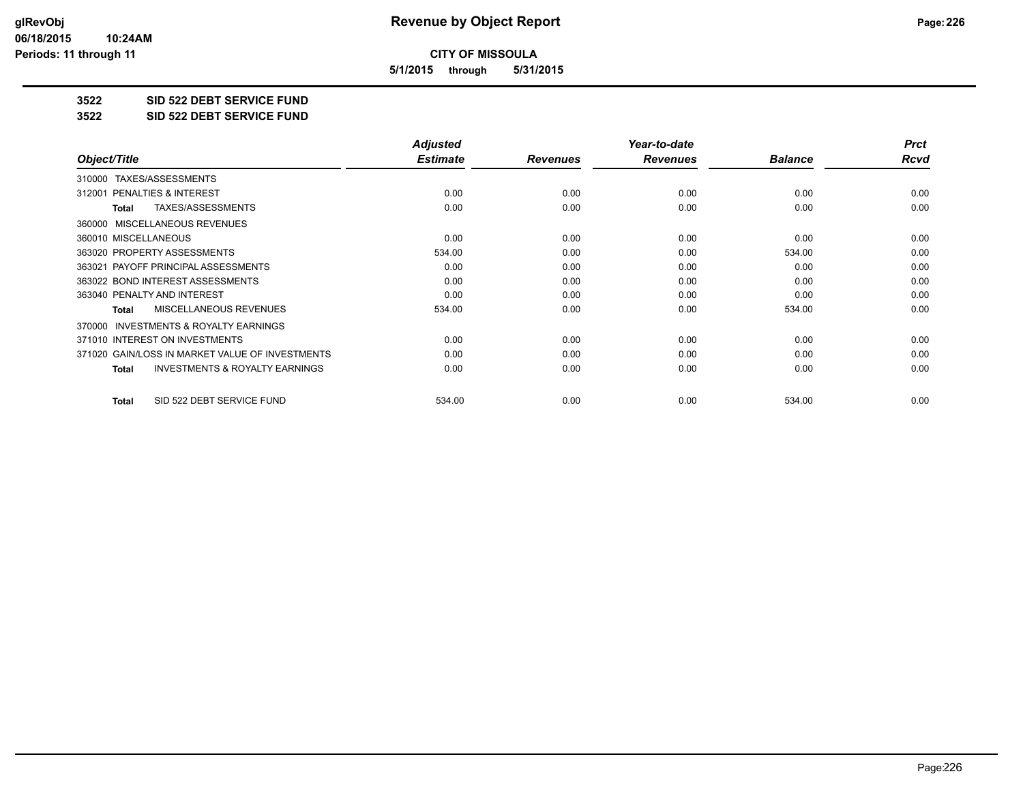**5/1/2015 through 5/31/2015**

**3522 SID 522 DEBT SERVICE FUND**

**3522 SID 522 DEBT SERVICE FUND**

|                                                           | <b>Adjusted</b> |                 | Year-to-date    |                | <b>Prct</b> |
|-----------------------------------------------------------|-----------------|-----------------|-----------------|----------------|-------------|
| Object/Title                                              | <b>Estimate</b> | <b>Revenues</b> | <b>Revenues</b> | <b>Balance</b> | <b>Rcvd</b> |
| TAXES/ASSESSMENTS<br>310000                               |                 |                 |                 |                |             |
| 312001 PENALTIES & INTEREST                               | 0.00            | 0.00            | 0.00            | 0.00           | 0.00        |
| TAXES/ASSESSMENTS<br>Total                                | 0.00            | 0.00            | 0.00            | 0.00           | 0.00        |
| MISCELLANEOUS REVENUES<br>360000                          |                 |                 |                 |                |             |
| 360010 MISCELLANEOUS                                      | 0.00            | 0.00            | 0.00            | 0.00           | 0.00        |
| 363020 PROPERTY ASSESSMENTS                               | 534.00          | 0.00            | 0.00            | 534.00         | 0.00        |
| 363021 PAYOFF PRINCIPAL ASSESSMENTS                       | 0.00            | 0.00            | 0.00            | 0.00           | 0.00        |
| 363022 BOND INTEREST ASSESSMENTS                          | 0.00            | 0.00            | 0.00            | 0.00           | 0.00        |
| 363040 PENALTY AND INTEREST                               | 0.00            | 0.00            | 0.00            | 0.00           | 0.00        |
| MISCELLANEOUS REVENUES<br><b>Total</b>                    | 534.00          | 0.00            | 0.00            | 534.00         | 0.00        |
| <b>INVESTMENTS &amp; ROYALTY EARNINGS</b><br>370000       |                 |                 |                 |                |             |
| 371010 INTEREST ON INVESTMENTS                            | 0.00            | 0.00            | 0.00            | 0.00           | 0.00        |
| 371020 GAIN/LOSS IN MARKET VALUE OF INVESTMENTS           | 0.00            | 0.00            | 0.00            | 0.00           | 0.00        |
| <b>INVESTMENTS &amp; ROYALTY EARNINGS</b><br><b>Total</b> | 0.00            | 0.00            | 0.00            | 0.00           | 0.00        |
| SID 522 DEBT SERVICE FUND<br><b>Total</b>                 | 534.00          | 0.00            | 0.00            | 534.00         | 0.00        |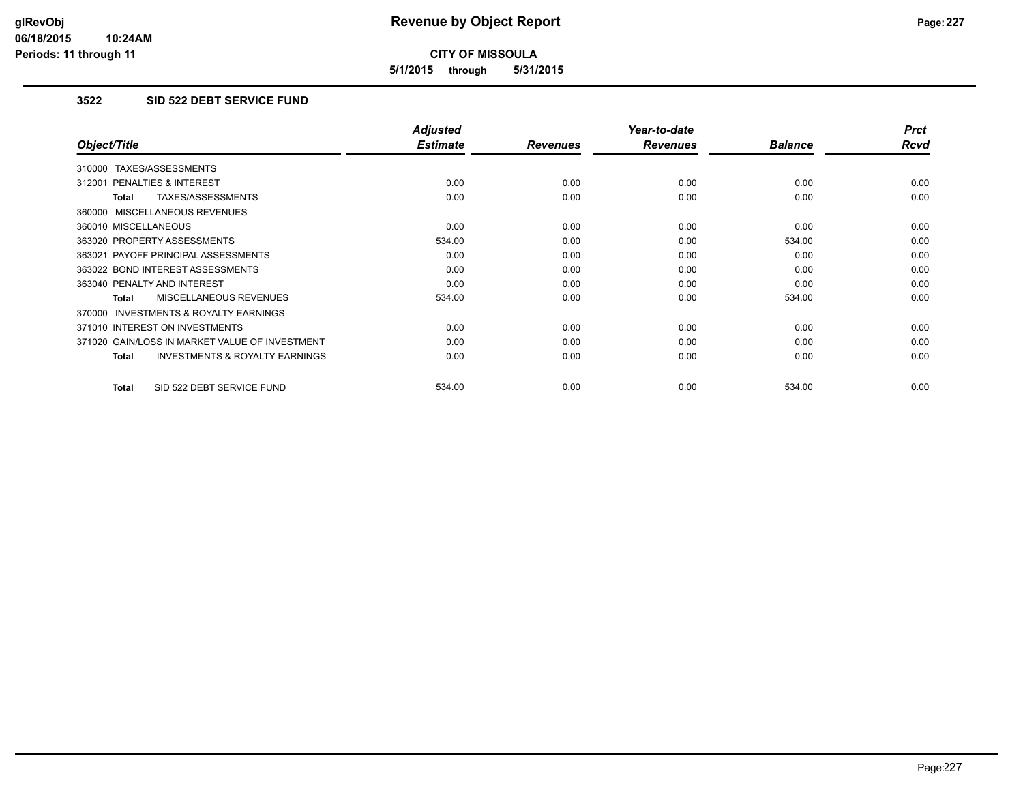**5/1/2015 through 5/31/2015**

# **3522 SID 522 DEBT SERVICE FUND**

|                                                           | <b>Adjusted</b> |                 | Year-to-date    |                | <b>Prct</b> |
|-----------------------------------------------------------|-----------------|-----------------|-----------------|----------------|-------------|
| Object/Title                                              | <b>Estimate</b> | <b>Revenues</b> | <b>Revenues</b> | <b>Balance</b> | <b>Rcvd</b> |
| 310000 TAXES/ASSESSMENTS                                  |                 |                 |                 |                |             |
| 312001 PENALTIES & INTEREST                               | 0.00            | 0.00            | 0.00            | 0.00           | 0.00        |
| TAXES/ASSESSMENTS<br><b>Total</b>                         | 0.00            | 0.00            | 0.00            | 0.00           | 0.00        |
| 360000 MISCELLANEOUS REVENUES                             |                 |                 |                 |                |             |
| 360010 MISCELLANEOUS                                      | 0.00            | 0.00            | 0.00            | 0.00           | 0.00        |
| 363020 PROPERTY ASSESSMENTS                               | 534.00          | 0.00            | 0.00            | 534.00         | 0.00        |
| 363021 PAYOFF PRINCIPAL ASSESSMENTS                       | 0.00            | 0.00            | 0.00            | 0.00           | 0.00        |
| 363022 BOND INTEREST ASSESSMENTS                          | 0.00            | 0.00            | 0.00            | 0.00           | 0.00        |
| 363040 PENALTY AND INTEREST                               | 0.00            | 0.00            | 0.00            | 0.00           | 0.00        |
| <b>MISCELLANEOUS REVENUES</b><br><b>Total</b>             | 534.00          | 0.00            | 0.00            | 534.00         | 0.00        |
| <b>INVESTMENTS &amp; ROYALTY EARNINGS</b><br>370000       |                 |                 |                 |                |             |
| 371010 INTEREST ON INVESTMENTS                            | 0.00            | 0.00            | 0.00            | 0.00           | 0.00        |
| 371020 GAIN/LOSS IN MARKET VALUE OF INVESTMENT            | 0.00            | 0.00            | 0.00            | 0.00           | 0.00        |
| <b>INVESTMENTS &amp; ROYALTY EARNINGS</b><br><b>Total</b> | 0.00            | 0.00            | 0.00            | 0.00           | 0.00        |
| SID 522 DEBT SERVICE FUND<br><b>Total</b>                 | 534.00          | 0.00            | 0.00            | 534.00         | 0.00        |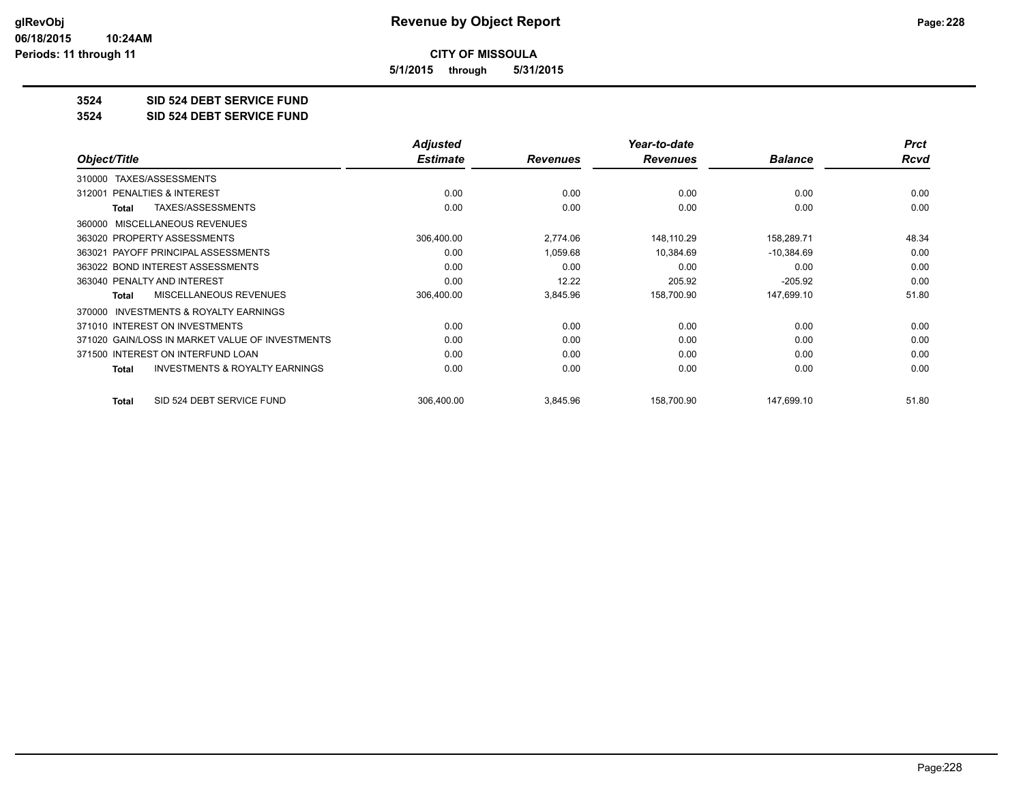**5/1/2015 through 5/31/2015**

#### **3524 SID 524 DEBT SERVICE FUND**

**3524 SID 524 DEBT SERVICE FUND**

|                                                     | <b>Adjusted</b> |                 | Year-to-date    |                | <b>Prct</b> |
|-----------------------------------------------------|-----------------|-----------------|-----------------|----------------|-------------|
| Object/Title                                        | <b>Estimate</b> | <b>Revenues</b> | <b>Revenues</b> | <b>Balance</b> | <b>Rcvd</b> |
| TAXES/ASSESSMENTS<br>310000                         |                 |                 |                 |                |             |
| PENALTIES & INTEREST<br>312001                      | 0.00            | 0.00            | 0.00            | 0.00           | 0.00        |
| TAXES/ASSESSMENTS<br>Total                          | 0.00            | 0.00            | 0.00            | 0.00           | 0.00        |
| MISCELLANEOUS REVENUES<br>360000                    |                 |                 |                 |                |             |
| 363020 PROPERTY ASSESSMENTS                         | 306,400.00      | 2,774.06        | 148,110.29      | 158,289.71     | 48.34       |
| 363021 PAYOFF PRINCIPAL ASSESSMENTS                 | 0.00            | 1,059.68        | 10,384.69       | $-10,384.69$   | 0.00        |
| 363022 BOND INTEREST ASSESSMENTS                    | 0.00            | 0.00            | 0.00            | 0.00           | 0.00        |
| 363040 PENALTY AND INTEREST                         | 0.00            | 12.22           | 205.92          | $-205.92$      | 0.00        |
| <b>MISCELLANEOUS REVENUES</b><br>Total              | 306,400.00      | 3,845.96        | 158,700.90      | 147,699.10     | 51.80       |
| <b>INVESTMENTS &amp; ROYALTY EARNINGS</b><br>370000 |                 |                 |                 |                |             |
| 371010 INTEREST ON INVESTMENTS                      | 0.00            | 0.00            | 0.00            | 0.00           | 0.00        |
| 371020 GAIN/LOSS IN MARKET VALUE OF INVESTMENTS     | 0.00            | 0.00            | 0.00            | 0.00           | 0.00        |
| 371500 INTEREST ON INTERFUND LOAN                   | 0.00            | 0.00            | 0.00            | 0.00           | 0.00        |
| <b>INVESTMENTS &amp; ROYALTY EARNINGS</b><br>Total  | 0.00            | 0.00            | 0.00            | 0.00           | 0.00        |
| SID 524 DEBT SERVICE FUND<br><b>Total</b>           | 306,400.00      | 3,845.96        | 158,700.90      | 147,699.10     | 51.80       |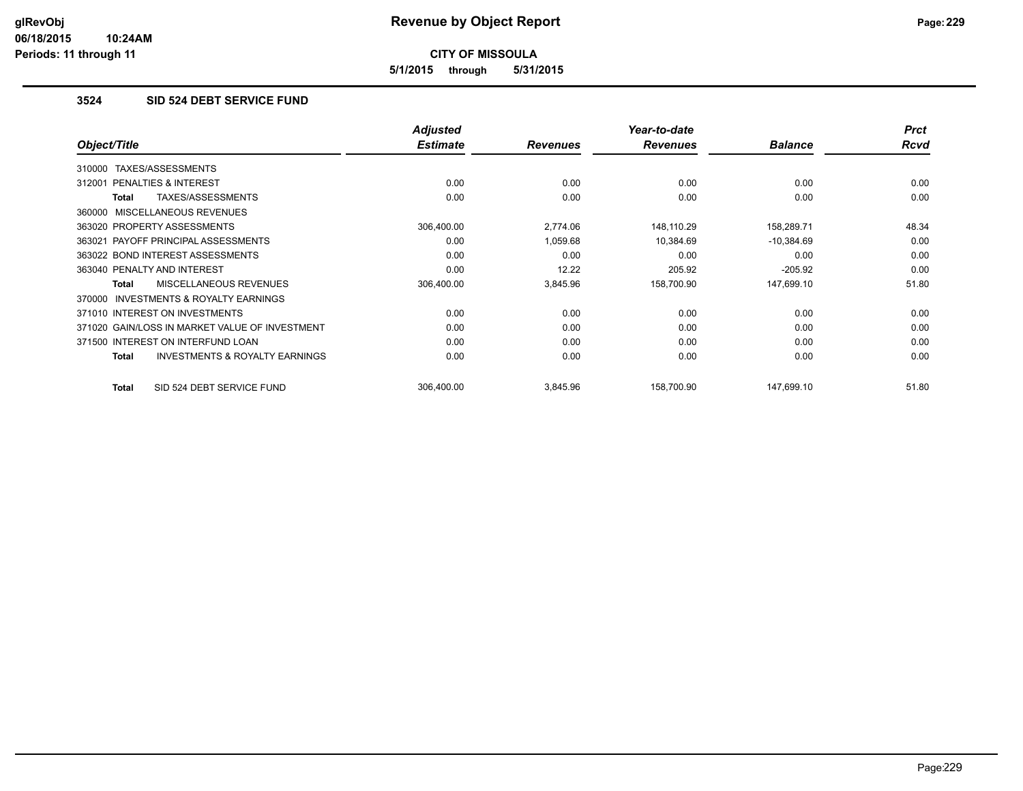**5/1/2015 through 5/31/2015**

# **3524 SID 524 DEBT SERVICE FUND**

|                                                     | <b>Adjusted</b> |                 | Year-to-date    |                | <b>Prct</b> |
|-----------------------------------------------------|-----------------|-----------------|-----------------|----------------|-------------|
| Object/Title                                        | <b>Estimate</b> | <b>Revenues</b> | <b>Revenues</b> | <b>Balance</b> | <b>Rcvd</b> |
| TAXES/ASSESSMENTS<br>310000                         |                 |                 |                 |                |             |
| 312001 PENALTIES & INTEREST                         | 0.00            | 0.00            | 0.00            | 0.00           | 0.00        |
| TAXES/ASSESSMENTS<br>Total                          | 0.00            | 0.00            | 0.00            | 0.00           | 0.00        |
| 360000 MISCELLANEOUS REVENUES                       |                 |                 |                 |                |             |
| 363020 PROPERTY ASSESSMENTS                         | 306,400.00      | 2,774.06        | 148,110.29      | 158,289.71     | 48.34       |
| 363021 PAYOFF PRINCIPAL ASSESSMENTS                 | 0.00            | 1,059.68        | 10,384.69       | $-10,384.69$   | 0.00        |
| 363022 BOND INTEREST ASSESSMENTS                    | 0.00            | 0.00            | 0.00            | 0.00           | 0.00        |
| 363040 PENALTY AND INTEREST                         | 0.00            | 12.22           | 205.92          | $-205.92$      | 0.00        |
| <b>MISCELLANEOUS REVENUES</b><br><b>Total</b>       | 306,400.00      | 3,845.96        | 158,700.90      | 147,699.10     | 51.80       |
| <b>INVESTMENTS &amp; ROYALTY EARNINGS</b><br>370000 |                 |                 |                 |                |             |
| 371010 INTEREST ON INVESTMENTS                      | 0.00            | 0.00            | 0.00            | 0.00           | 0.00        |
| 371020 GAIN/LOSS IN MARKET VALUE OF INVESTMENT      | 0.00            | 0.00            | 0.00            | 0.00           | 0.00        |
| 371500 INTEREST ON INTERFUND LOAN                   | 0.00            | 0.00            | 0.00            | 0.00           | 0.00        |
| <b>INVESTMENTS &amp; ROYALTY EARNINGS</b><br>Total  | 0.00            | 0.00            | 0.00            | 0.00           | 0.00        |
| SID 524 DEBT SERVICE FUND<br>Total                  | 306.400.00      | 3,845.96        | 158,700.90      | 147,699.10     | 51.80       |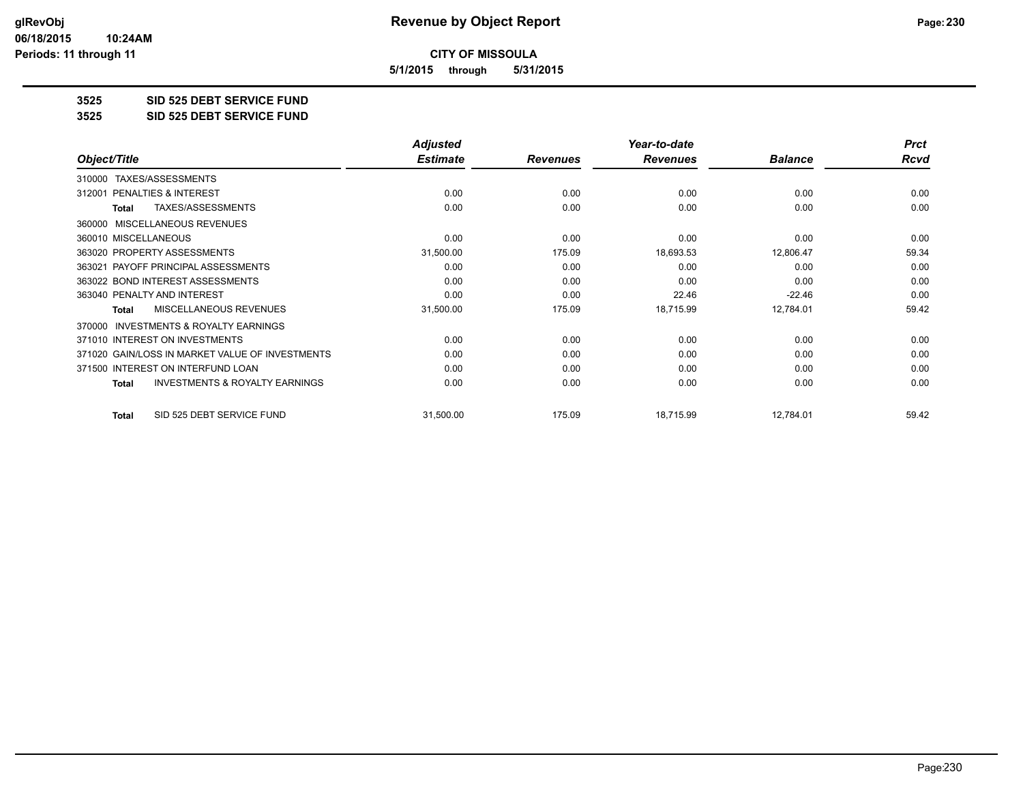**5/1/2015 through 5/31/2015**

#### **3525 SID 525 DEBT SERVICE FUND**

**3525 SID 525 DEBT SERVICE FUND**

|                                                           | <b>Adjusted</b> |                 | Year-to-date    |                | <b>Prct</b> |
|-----------------------------------------------------------|-----------------|-----------------|-----------------|----------------|-------------|
| Object/Title                                              | <b>Estimate</b> | <b>Revenues</b> | <b>Revenues</b> | <b>Balance</b> | Rcvd        |
| TAXES/ASSESSMENTS<br>310000                               |                 |                 |                 |                |             |
| 312001 PENALTIES & INTEREST                               | 0.00            | 0.00            | 0.00            | 0.00           | 0.00        |
| TAXES/ASSESSMENTS<br><b>Total</b>                         | 0.00            | 0.00            | 0.00            | 0.00           | 0.00        |
| <b>MISCELLANEOUS REVENUES</b><br>360000                   |                 |                 |                 |                |             |
| 360010 MISCELLANEOUS                                      | 0.00            | 0.00            | 0.00            | 0.00           | 0.00        |
| 363020 PROPERTY ASSESSMENTS                               | 31,500.00       | 175.09          | 18,693.53       | 12,806.47      | 59.34       |
| 363021 PAYOFF PRINCIPAL ASSESSMENTS                       | 0.00            | 0.00            | 0.00            | 0.00           | 0.00        |
| 363022 BOND INTEREST ASSESSMENTS                          | 0.00            | 0.00            | 0.00            | 0.00           | 0.00        |
| 363040 PENALTY AND INTEREST                               | 0.00            | 0.00            | 22.46           | $-22.46$       | 0.00        |
| MISCELLANEOUS REVENUES<br>Total                           | 31,500.00       | 175.09          | 18,715.99       | 12,784.01      | 59.42       |
| <b>INVESTMENTS &amp; ROYALTY EARNINGS</b><br>370000       |                 |                 |                 |                |             |
| 371010 INTEREST ON INVESTMENTS                            | 0.00            | 0.00            | 0.00            | 0.00           | 0.00        |
| 371020 GAIN/LOSS IN MARKET VALUE OF INVESTMENTS           | 0.00            | 0.00            | 0.00            | 0.00           | 0.00        |
| 371500 INTEREST ON INTERFUND LOAN                         | 0.00            | 0.00            | 0.00            | 0.00           | 0.00        |
| <b>INVESTMENTS &amp; ROYALTY EARNINGS</b><br><b>Total</b> | 0.00            | 0.00            | 0.00            | 0.00           | 0.00        |
| SID 525 DEBT SERVICE FUND<br><b>Total</b>                 | 31,500.00       | 175.09          | 18,715.99       | 12,784.01      | 59.42       |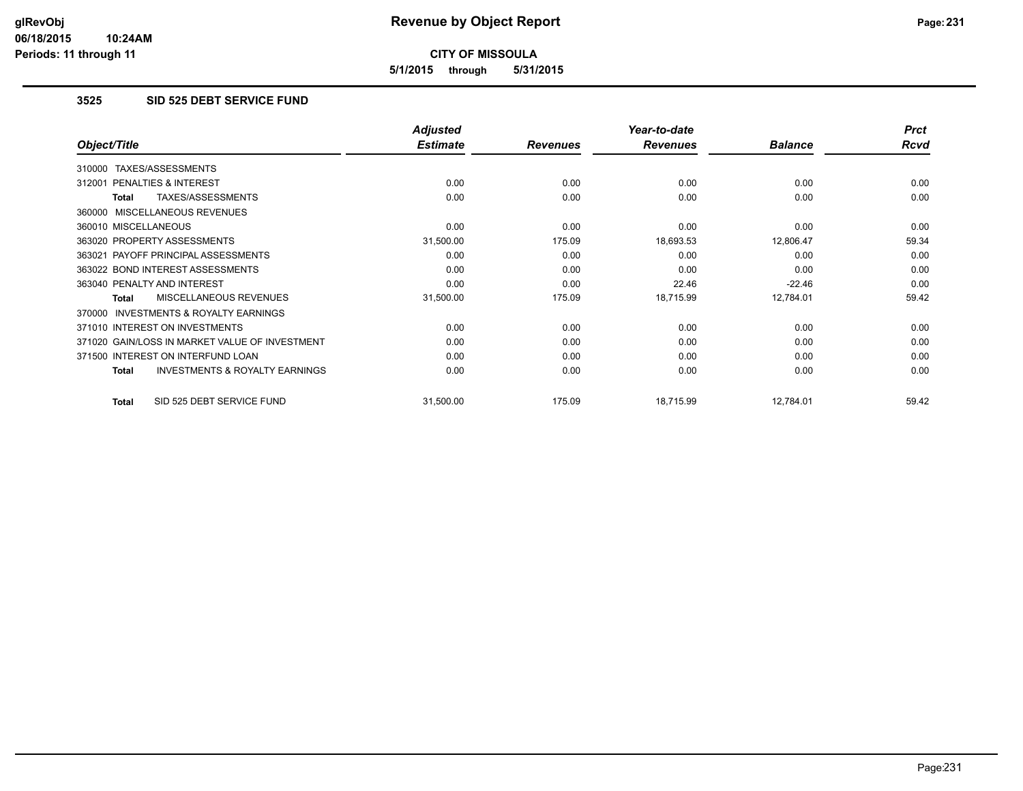**5/1/2015 through 5/31/2015**

# **3525 SID 525 DEBT SERVICE FUND**

|                                                    | <b>Adjusted</b> |                 | Year-to-date    |                | <b>Prct</b> |
|----------------------------------------------------|-----------------|-----------------|-----------------|----------------|-------------|
| Object/Title                                       | <b>Estimate</b> | <b>Revenues</b> | <b>Revenues</b> | <b>Balance</b> | Rcvd        |
| TAXES/ASSESSMENTS<br>310000                        |                 |                 |                 |                |             |
| 312001 PENALTIES & INTEREST                        | 0.00            | 0.00            | 0.00            | 0.00           | 0.00        |
| TAXES/ASSESSMENTS<br>Total                         | 0.00            | 0.00            | 0.00            | 0.00           | 0.00        |
| 360000 MISCELLANEOUS REVENUES                      |                 |                 |                 |                |             |
| 360010 MISCELLANEOUS                               | 0.00            | 0.00            | 0.00            | 0.00           | 0.00        |
| 363020 PROPERTY ASSESSMENTS                        | 31,500.00       | 175.09          | 18,693.53       | 12,806.47      | 59.34       |
| 363021 PAYOFF PRINCIPAL ASSESSMENTS                | 0.00            | 0.00            | 0.00            | 0.00           | 0.00        |
| 363022 BOND INTEREST ASSESSMENTS                   | 0.00            | 0.00            | 0.00            | 0.00           | 0.00        |
| 363040 PENALTY AND INTEREST                        | 0.00            | 0.00            | 22.46           | $-22.46$       | 0.00        |
| MISCELLANEOUS REVENUES<br>Total                    | 31,500.00       | 175.09          | 18,715.99       | 12,784.01      | 59.42       |
| 370000 INVESTMENTS & ROYALTY EARNINGS              |                 |                 |                 |                |             |
| 371010 INTEREST ON INVESTMENTS                     | 0.00            | 0.00            | 0.00            | 0.00           | 0.00        |
| 371020 GAIN/LOSS IN MARKET VALUE OF INVESTMENT     | 0.00            | 0.00            | 0.00            | 0.00           | 0.00        |
| 371500 INTEREST ON INTERFUND LOAN                  | 0.00            | 0.00            | 0.00            | 0.00           | 0.00        |
| <b>INVESTMENTS &amp; ROYALTY EARNINGS</b><br>Total | 0.00            | 0.00            | 0.00            | 0.00           | 0.00        |
| SID 525 DEBT SERVICE FUND<br>Total                 | 31,500.00       | 175.09          | 18,715.99       | 12,784.01      | 59.42       |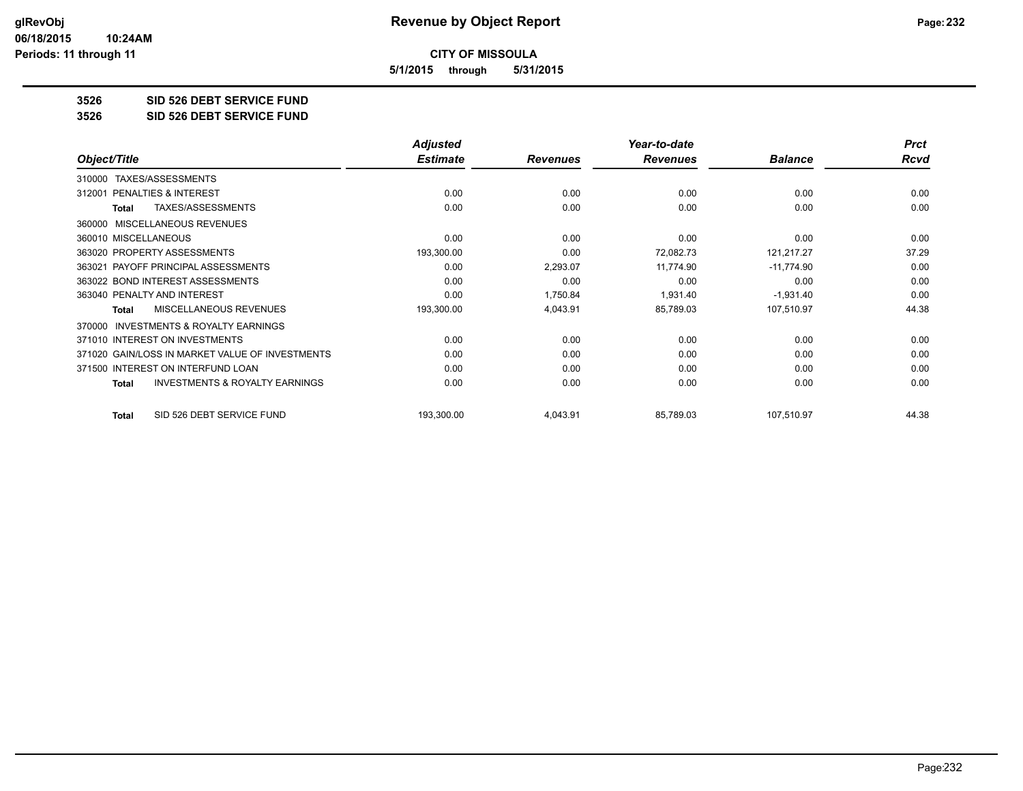**5/1/2015 through 5/31/2015**

#### **3526 SID 526 DEBT SERVICE FUND**

**3526 SID 526 DEBT SERVICE FUND**

|                                                           | <b>Adjusted</b> |                 | Year-to-date    |                | <b>Prct</b> |
|-----------------------------------------------------------|-----------------|-----------------|-----------------|----------------|-------------|
| Object/Title                                              | <b>Estimate</b> | <b>Revenues</b> | <b>Revenues</b> | <b>Balance</b> | Rcvd        |
| TAXES/ASSESSMENTS<br>310000                               |                 |                 |                 |                |             |
| 312001 PENALTIES & INTEREST                               | 0.00            | 0.00            | 0.00            | 0.00           | 0.00        |
| TAXES/ASSESSMENTS<br><b>Total</b>                         | 0.00            | 0.00            | 0.00            | 0.00           | 0.00        |
| <b>MISCELLANEOUS REVENUES</b><br>360000                   |                 |                 |                 |                |             |
| 360010 MISCELLANEOUS                                      | 0.00            | 0.00            | 0.00            | 0.00           | 0.00        |
| 363020 PROPERTY ASSESSMENTS                               | 193,300.00      | 0.00            | 72,082.73       | 121,217.27     | 37.29       |
| 363021 PAYOFF PRINCIPAL ASSESSMENTS                       | 0.00            | 2,293.07        | 11,774.90       | $-11,774.90$   | 0.00        |
| 363022 BOND INTEREST ASSESSMENTS                          | 0.00            | 0.00            | 0.00            | 0.00           | 0.00        |
| 363040 PENALTY AND INTEREST                               | 0.00            | 1,750.84        | 1,931.40        | $-1,931.40$    | 0.00        |
| MISCELLANEOUS REVENUES<br>Total                           | 193,300.00      | 4,043.91        | 85,789.03       | 107,510.97     | 44.38       |
| <b>INVESTMENTS &amp; ROYALTY EARNINGS</b><br>370000       |                 |                 |                 |                |             |
| 371010 INTEREST ON INVESTMENTS                            | 0.00            | 0.00            | 0.00            | 0.00           | 0.00        |
| 371020 GAIN/LOSS IN MARKET VALUE OF INVESTMENTS           | 0.00            | 0.00            | 0.00            | 0.00           | 0.00        |
| 371500 INTEREST ON INTERFUND LOAN                         | 0.00            | 0.00            | 0.00            | 0.00           | 0.00        |
| <b>INVESTMENTS &amp; ROYALTY EARNINGS</b><br><b>Total</b> | 0.00            | 0.00            | 0.00            | 0.00           | 0.00        |
| SID 526 DEBT SERVICE FUND<br><b>Total</b>                 | 193,300.00      | 4,043.91        | 85,789.03       | 107,510.97     | 44.38       |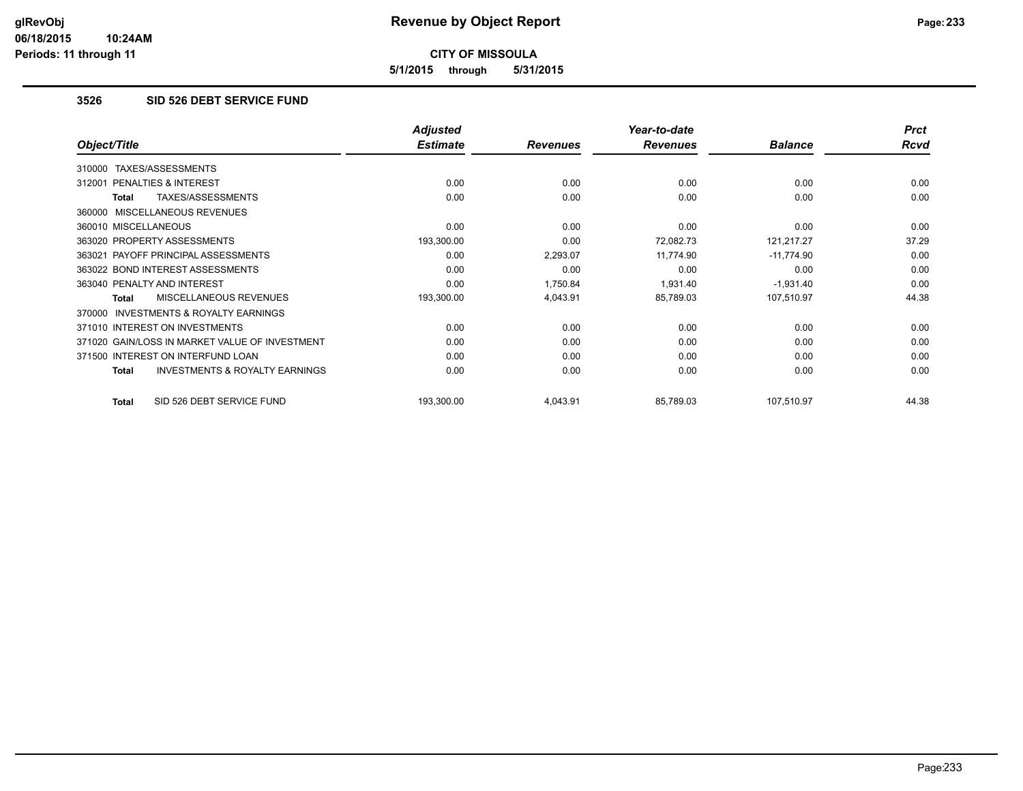**5/1/2015 through 5/31/2015**

## **3526 SID 526 DEBT SERVICE FUND**

|                                                    | <b>Adjusted</b> |                 | Year-to-date    |                | <b>Prct</b> |
|----------------------------------------------------|-----------------|-----------------|-----------------|----------------|-------------|
| Object/Title                                       | <b>Estimate</b> | <b>Revenues</b> | <b>Revenues</b> | <b>Balance</b> | Rcvd        |
| TAXES/ASSESSMENTS<br>310000                        |                 |                 |                 |                |             |
| 312001 PENALTIES & INTEREST                        | 0.00            | 0.00            | 0.00            | 0.00           | 0.00        |
| TAXES/ASSESSMENTS<br>Total                         | 0.00            | 0.00            | 0.00            | 0.00           | 0.00        |
| 360000 MISCELLANEOUS REVENUES                      |                 |                 |                 |                |             |
| 360010 MISCELLANEOUS                               | 0.00            | 0.00            | 0.00            | 0.00           | 0.00        |
| 363020 PROPERTY ASSESSMENTS                        | 193,300.00      | 0.00            | 72,082.73       | 121,217.27     | 37.29       |
| 363021 PAYOFF PRINCIPAL ASSESSMENTS                | 0.00            | 2,293.07        | 11,774.90       | $-11,774.90$   | 0.00        |
| 363022 BOND INTEREST ASSESSMENTS                   | 0.00            | 0.00            | 0.00            | 0.00           | 0.00        |
| 363040 PENALTY AND INTEREST                        | 0.00            | 1,750.84        | 1,931.40        | $-1,931.40$    | 0.00        |
| <b>MISCELLANEOUS REVENUES</b><br>Total             | 193,300.00      | 4,043.91        | 85,789.03       | 107,510.97     | 44.38       |
| 370000 INVESTMENTS & ROYALTY EARNINGS              |                 |                 |                 |                |             |
| 371010 INTEREST ON INVESTMENTS                     | 0.00            | 0.00            | 0.00            | 0.00           | 0.00        |
| 371020 GAIN/LOSS IN MARKET VALUE OF INVESTMENT     | 0.00            | 0.00            | 0.00            | 0.00           | 0.00        |
| 371500 INTEREST ON INTERFUND LOAN                  | 0.00            | 0.00            | 0.00            | 0.00           | 0.00        |
| <b>INVESTMENTS &amp; ROYALTY EARNINGS</b><br>Total | 0.00            | 0.00            | 0.00            | 0.00           | 0.00        |
| SID 526 DEBT SERVICE FUND<br>Total                 | 193,300.00      | 4,043.91        | 85,789.03       | 107,510.97     | 44.38       |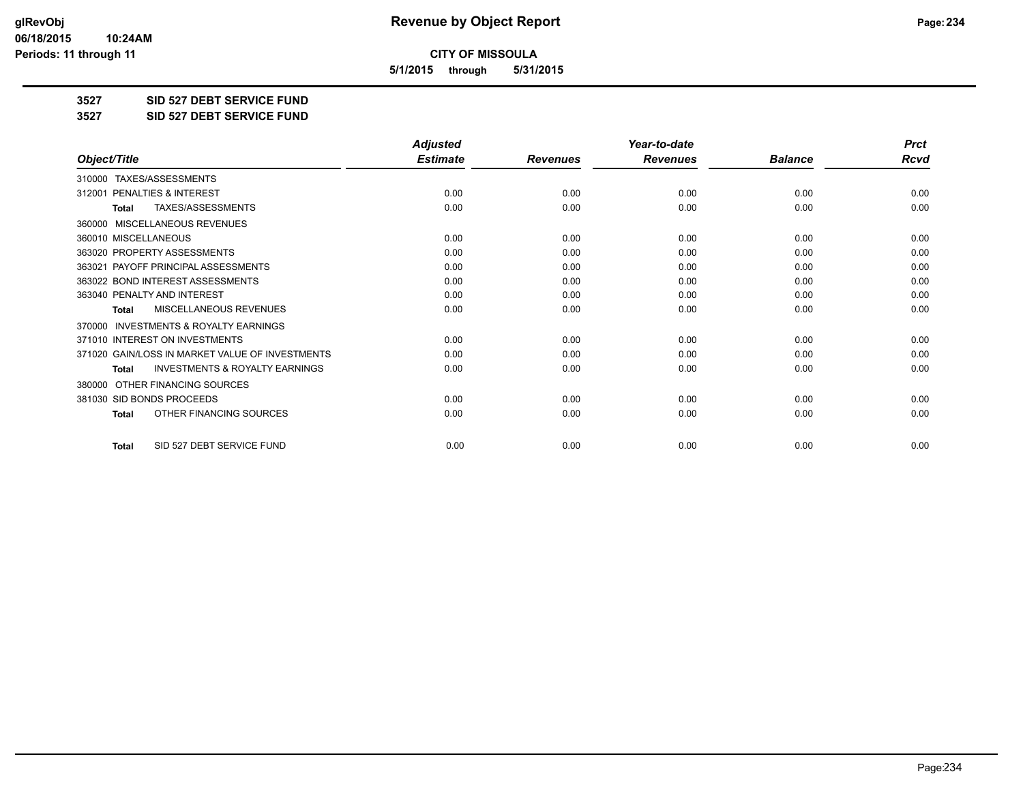**5/1/2015 through 5/31/2015**

**3527 SID 527 DEBT SERVICE FUND**

**3527 SID 527 DEBT SERVICE FUND**

|                                                           | <b>Adjusted</b> |                 | Year-to-date    |                | <b>Prct</b> |
|-----------------------------------------------------------|-----------------|-----------------|-----------------|----------------|-------------|
| Object/Title                                              | <b>Estimate</b> | <b>Revenues</b> | <b>Revenues</b> | <b>Balance</b> | Rcvd        |
| TAXES/ASSESSMENTS<br>310000                               |                 |                 |                 |                |             |
| PENALTIES & INTEREST<br>312001                            | 0.00            | 0.00            | 0.00            | 0.00           | 0.00        |
| TAXES/ASSESSMENTS<br><b>Total</b>                         | 0.00            | 0.00            | 0.00            | 0.00           | 0.00        |
| MISCELLANEOUS REVENUES<br>360000                          |                 |                 |                 |                |             |
| 360010 MISCELLANEOUS                                      | 0.00            | 0.00            | 0.00            | 0.00           | 0.00        |
| 363020 PROPERTY ASSESSMENTS                               | 0.00            | 0.00            | 0.00            | 0.00           | 0.00        |
| 363021 PAYOFF PRINCIPAL ASSESSMENTS                       | 0.00            | 0.00            | 0.00            | 0.00           | 0.00        |
| 363022 BOND INTEREST ASSESSMENTS                          | 0.00            | 0.00            | 0.00            | 0.00           | 0.00        |
| 363040 PENALTY AND INTEREST                               | 0.00            | 0.00            | 0.00            | 0.00           | 0.00        |
| <b>MISCELLANEOUS REVENUES</b><br>Total                    | 0.00            | 0.00            | 0.00            | 0.00           | 0.00        |
| <b>INVESTMENTS &amp; ROYALTY EARNINGS</b><br>370000       |                 |                 |                 |                |             |
| 371010 INTEREST ON INVESTMENTS                            | 0.00            | 0.00            | 0.00            | 0.00           | 0.00        |
| 371020 GAIN/LOSS IN MARKET VALUE OF INVESTMENTS           | 0.00            | 0.00            | 0.00            | 0.00           | 0.00        |
| <b>INVESTMENTS &amp; ROYALTY EARNINGS</b><br><b>Total</b> | 0.00            | 0.00            | 0.00            | 0.00           | 0.00        |
| OTHER FINANCING SOURCES<br>380000                         |                 |                 |                 |                |             |
| 381030 SID BONDS PROCEEDS                                 | 0.00            | 0.00            | 0.00            | 0.00           | 0.00        |
| OTHER FINANCING SOURCES<br><b>Total</b>                   | 0.00            | 0.00            | 0.00            | 0.00           | 0.00        |
| SID 527 DEBT SERVICE FUND<br><b>Total</b>                 | 0.00            | 0.00            | 0.00            | 0.00           | 0.00        |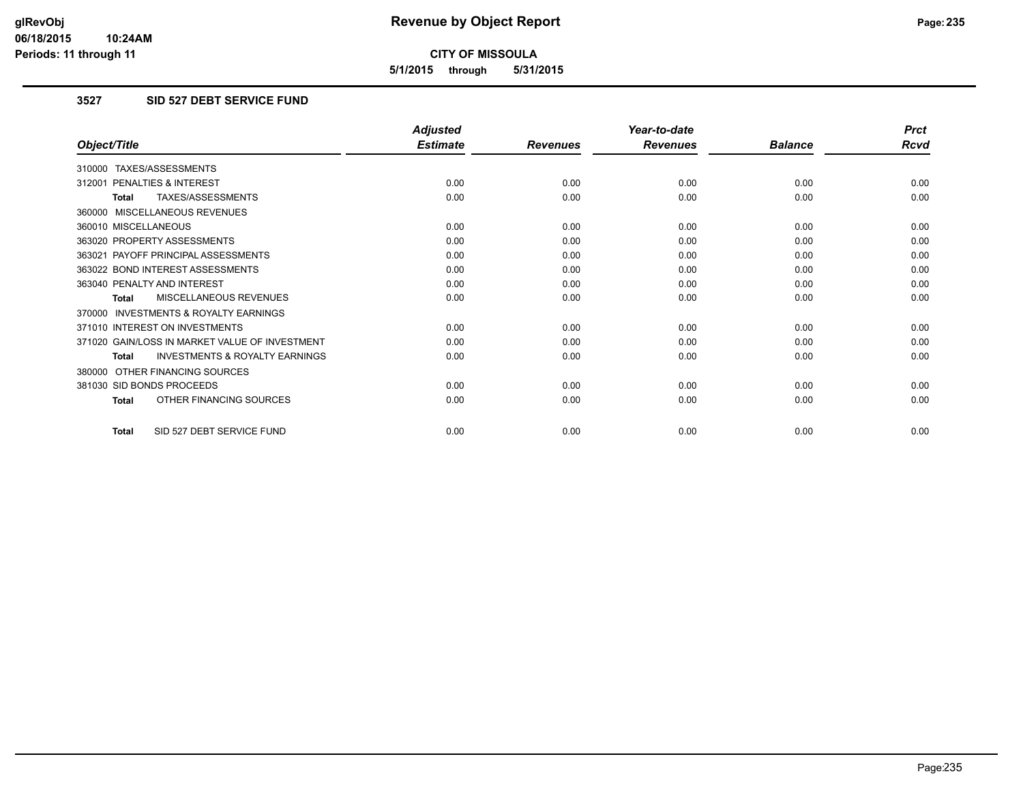**5/1/2015 through 5/31/2015**

# **3527 SID 527 DEBT SERVICE FUND**

|                                                           | <b>Adjusted</b> |                 | Year-to-date    |                | <b>Prct</b> |
|-----------------------------------------------------------|-----------------|-----------------|-----------------|----------------|-------------|
| Object/Title                                              | <b>Estimate</b> | <b>Revenues</b> | <b>Revenues</b> | <b>Balance</b> | <b>Rcvd</b> |
| 310000 TAXES/ASSESSMENTS                                  |                 |                 |                 |                |             |
| 312001 PENALTIES & INTEREST                               | 0.00            | 0.00            | 0.00            | 0.00           | 0.00        |
| TAXES/ASSESSMENTS<br><b>Total</b>                         | 0.00            | 0.00            | 0.00            | 0.00           | 0.00        |
| 360000 MISCELLANEOUS REVENUES                             |                 |                 |                 |                |             |
| 360010 MISCELLANEOUS                                      | 0.00            | 0.00            | 0.00            | 0.00           | 0.00        |
| 363020 PROPERTY ASSESSMENTS                               | 0.00            | 0.00            | 0.00            | 0.00           | 0.00        |
| 363021 PAYOFF PRINCIPAL ASSESSMENTS                       | 0.00            | 0.00            | 0.00            | 0.00           | 0.00        |
| 363022 BOND INTEREST ASSESSMENTS                          | 0.00            | 0.00            | 0.00            | 0.00           | 0.00        |
| 363040 PENALTY AND INTEREST                               | 0.00            | 0.00            | 0.00            | 0.00           | 0.00        |
| MISCELLANEOUS REVENUES<br>Total                           | 0.00            | 0.00            | 0.00            | 0.00           | 0.00        |
| 370000 INVESTMENTS & ROYALTY EARNINGS                     |                 |                 |                 |                |             |
| 371010 INTEREST ON INVESTMENTS                            | 0.00            | 0.00            | 0.00            | 0.00           | 0.00        |
| 371020 GAIN/LOSS IN MARKET VALUE OF INVESTMENT            | 0.00            | 0.00            | 0.00            | 0.00           | 0.00        |
| <b>INVESTMENTS &amp; ROYALTY EARNINGS</b><br><b>Total</b> | 0.00            | 0.00            | 0.00            | 0.00           | 0.00        |
| 380000 OTHER FINANCING SOURCES                            |                 |                 |                 |                |             |
| 381030 SID BONDS PROCEEDS                                 | 0.00            | 0.00            | 0.00            | 0.00           | 0.00        |
| OTHER FINANCING SOURCES<br><b>Total</b>                   | 0.00            | 0.00            | 0.00            | 0.00           | 0.00        |
| SID 527 DEBT SERVICE FUND<br><b>Total</b>                 | 0.00            | 0.00            | 0.00            | 0.00           | 0.00        |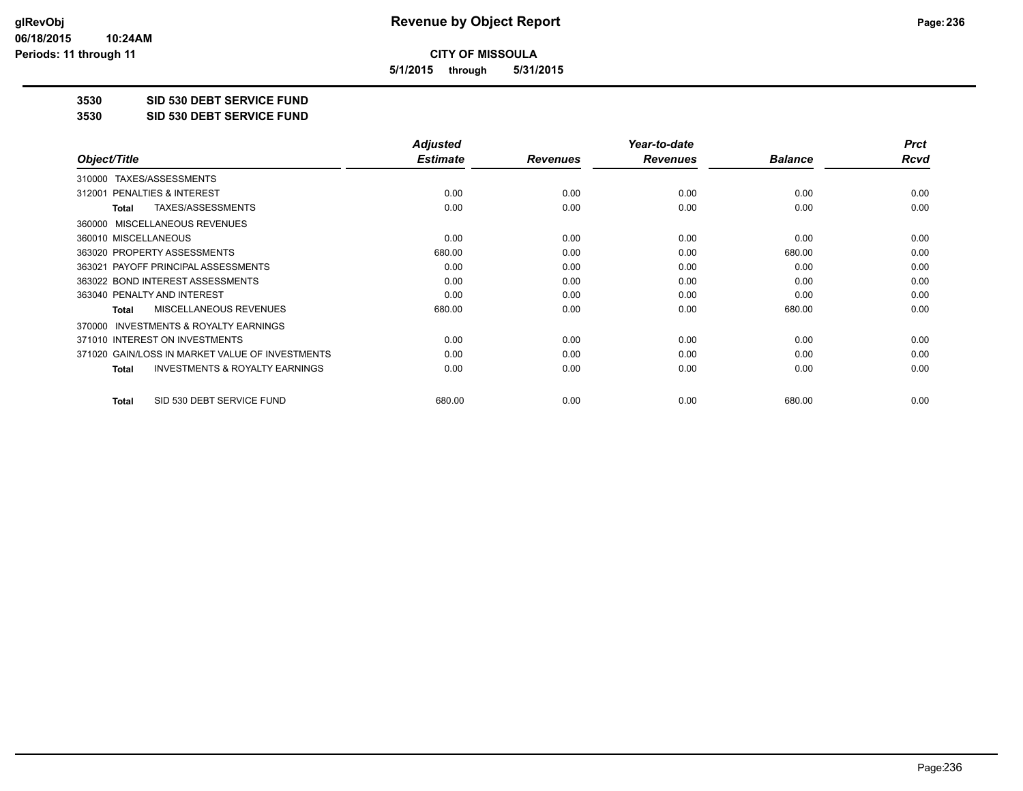**5/1/2015 through 5/31/2015**

**3530 SID 530 DEBT SERVICE FUND**

**3530 SID 530 DEBT SERVICE FUND**

|                                                           | <b>Adjusted</b> |                 | Year-to-date    |                | <b>Prct</b> |
|-----------------------------------------------------------|-----------------|-----------------|-----------------|----------------|-------------|
| Object/Title                                              | <b>Estimate</b> | <b>Revenues</b> | <b>Revenues</b> | <b>Balance</b> | Rcvd        |
| TAXES/ASSESSMENTS<br>310000                               |                 |                 |                 |                |             |
| 312001 PENALTIES & INTEREST                               | 0.00            | 0.00            | 0.00            | 0.00           | 0.00        |
| TAXES/ASSESSMENTS<br>Total                                | 0.00            | 0.00            | 0.00            | 0.00           | 0.00        |
| 360000 MISCELLANEOUS REVENUES                             |                 |                 |                 |                |             |
| 360010 MISCELLANEOUS                                      | 0.00            | 0.00            | 0.00            | 0.00           | 0.00        |
| 363020 PROPERTY ASSESSMENTS                               | 680.00          | 0.00            | 0.00            | 680.00         | 0.00        |
| 363021 PAYOFF PRINCIPAL ASSESSMENTS                       | 0.00            | 0.00            | 0.00            | 0.00           | 0.00        |
| 363022 BOND INTEREST ASSESSMENTS                          | 0.00            | 0.00            | 0.00            | 0.00           | 0.00        |
| 363040 PENALTY AND INTEREST                               | 0.00            | 0.00            | 0.00            | 0.00           | 0.00        |
| <b>MISCELLANEOUS REVENUES</b><br>Total                    | 680.00          | 0.00            | 0.00            | 680.00         | 0.00        |
| 370000 INVESTMENTS & ROYALTY EARNINGS                     |                 |                 |                 |                |             |
| 371010 INTEREST ON INVESTMENTS                            | 0.00            | 0.00            | 0.00            | 0.00           | 0.00        |
| 371020 GAIN/LOSS IN MARKET VALUE OF INVESTMENTS           | 0.00            | 0.00            | 0.00            | 0.00           | 0.00        |
| <b>INVESTMENTS &amp; ROYALTY EARNINGS</b><br><b>Total</b> | 0.00            | 0.00            | 0.00            | 0.00           | 0.00        |
| SID 530 DEBT SERVICE FUND<br><b>Total</b>                 | 680.00          | 0.00            | 0.00            | 680.00         | 0.00        |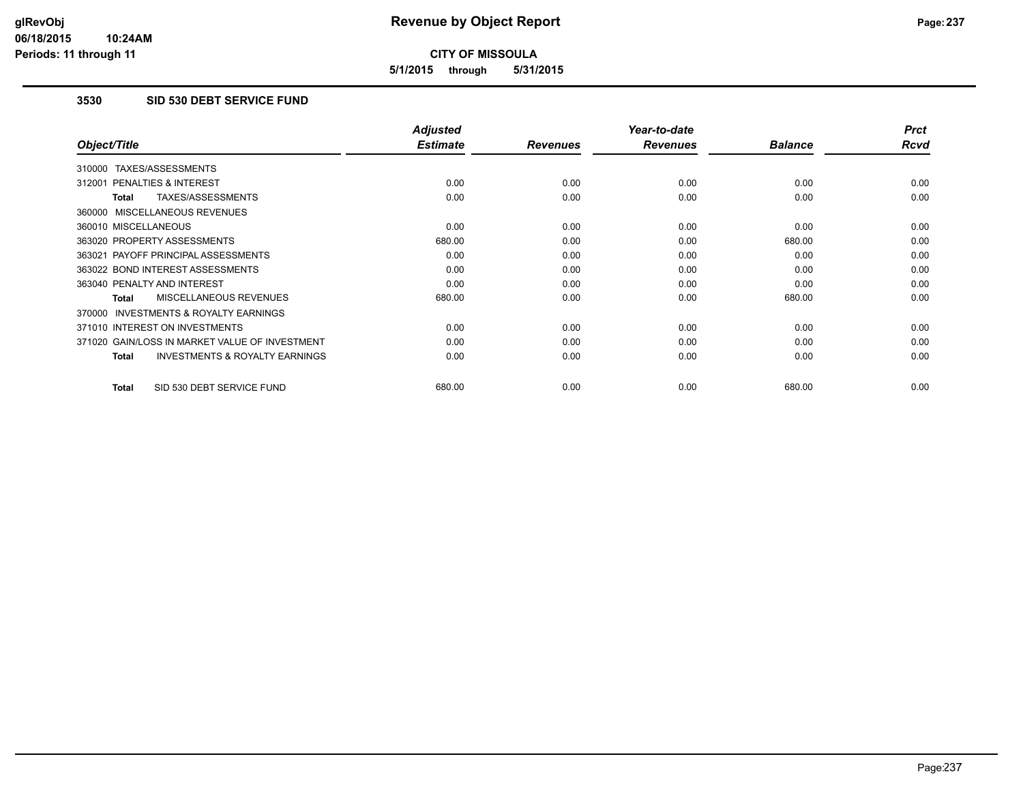**5/1/2015 through 5/31/2015**

# **3530 SID 530 DEBT SERVICE FUND**

|                                                           | <b>Adjusted</b> |                 | Year-to-date    |                | <b>Prct</b> |
|-----------------------------------------------------------|-----------------|-----------------|-----------------|----------------|-------------|
| Object/Title                                              | <b>Estimate</b> | <b>Revenues</b> | <b>Revenues</b> | <b>Balance</b> | <b>Rcvd</b> |
| 310000 TAXES/ASSESSMENTS                                  |                 |                 |                 |                |             |
| 312001 PENALTIES & INTEREST                               | 0.00            | 0.00            | 0.00            | 0.00           | 0.00        |
| TAXES/ASSESSMENTS<br><b>Total</b>                         | 0.00            | 0.00            | 0.00            | 0.00           | 0.00        |
| 360000 MISCELLANEOUS REVENUES                             |                 |                 |                 |                |             |
| 360010 MISCELLANEOUS                                      | 0.00            | 0.00            | 0.00            | 0.00           | 0.00        |
| 363020 PROPERTY ASSESSMENTS                               | 680.00          | 0.00            | 0.00            | 680.00         | 0.00        |
| 363021 PAYOFF PRINCIPAL ASSESSMENTS                       | 0.00            | 0.00            | 0.00            | 0.00           | 0.00        |
| 363022 BOND INTEREST ASSESSMENTS                          | 0.00            | 0.00            | 0.00            | 0.00           | 0.00        |
| 363040 PENALTY AND INTEREST                               | 0.00            | 0.00            | 0.00            | 0.00           | 0.00        |
| <b>MISCELLANEOUS REVENUES</b><br><b>Total</b>             | 680.00          | 0.00            | 0.00            | 680.00         | 0.00        |
| <b>INVESTMENTS &amp; ROYALTY EARNINGS</b><br>370000       |                 |                 |                 |                |             |
| 371010 INTEREST ON INVESTMENTS                            | 0.00            | 0.00            | 0.00            | 0.00           | 0.00        |
| 371020 GAIN/LOSS IN MARKET VALUE OF INVESTMENT            | 0.00            | 0.00            | 0.00            | 0.00           | 0.00        |
| <b>INVESTMENTS &amp; ROYALTY EARNINGS</b><br><b>Total</b> | 0.00            | 0.00            | 0.00            | 0.00           | 0.00        |
| SID 530 DEBT SERVICE FUND<br><b>Total</b>                 | 680.00          | 0.00            | 0.00            | 680.00         | 0.00        |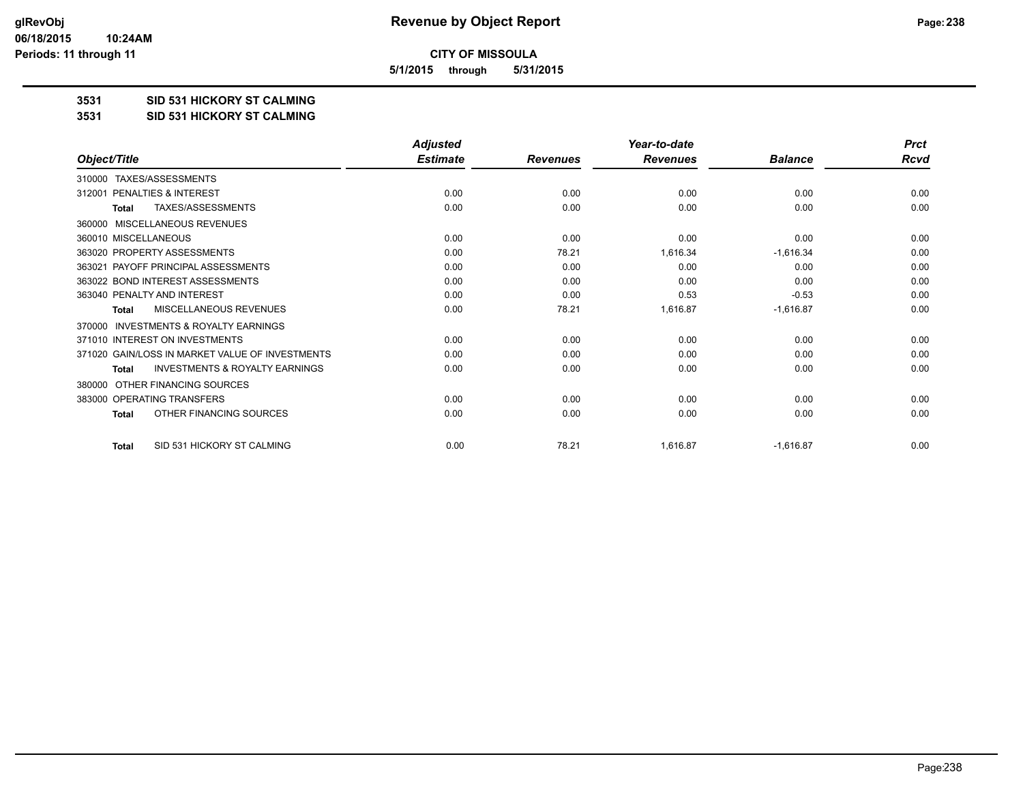**5/1/2015 through 5/31/2015**

#### **3531 SID 531 HICKORY ST CALMING**

**3531 SID 531 HICKORY ST CALMING**

|                                                           | <b>Adjusted</b> |                 | Year-to-date    |                | <b>Prct</b> |
|-----------------------------------------------------------|-----------------|-----------------|-----------------|----------------|-------------|
| Object/Title                                              | <b>Estimate</b> | <b>Revenues</b> | <b>Revenues</b> | <b>Balance</b> | <b>Rcvd</b> |
| 310000 TAXES/ASSESSMENTS                                  |                 |                 |                 |                |             |
| PENALTIES & INTEREST<br>312001                            | 0.00            | 0.00            | 0.00            | 0.00           | 0.00        |
| TAXES/ASSESSMENTS<br><b>Total</b>                         | 0.00            | 0.00            | 0.00            | 0.00           | 0.00        |
| MISCELLANEOUS REVENUES<br>360000                          |                 |                 |                 |                |             |
| 360010 MISCELLANEOUS                                      | 0.00            | 0.00            | 0.00            | 0.00           | 0.00        |
| 363020 PROPERTY ASSESSMENTS                               | 0.00            | 78.21           | 1,616.34        | $-1,616.34$    | 0.00        |
| PAYOFF PRINCIPAL ASSESSMENTS<br>363021                    | 0.00            | 0.00            | 0.00            | 0.00           | 0.00        |
| 363022 BOND INTEREST ASSESSMENTS                          | 0.00            | 0.00            | 0.00            | 0.00           | 0.00        |
| 363040 PENALTY AND INTEREST                               | 0.00            | 0.00            | 0.53            | $-0.53$        | 0.00        |
| MISCELLANEOUS REVENUES<br>Total                           | 0.00            | 78.21           | 1,616.87        | $-1,616.87$    | 0.00        |
| INVESTMENTS & ROYALTY EARNINGS<br>370000                  |                 |                 |                 |                |             |
| 371010 INTEREST ON INVESTMENTS                            | 0.00            | 0.00            | 0.00            | 0.00           | 0.00        |
| 371020 GAIN/LOSS IN MARKET VALUE OF INVESTMENTS           | 0.00            | 0.00            | 0.00            | 0.00           | 0.00        |
| <b>INVESTMENTS &amp; ROYALTY EARNINGS</b><br><b>Total</b> | 0.00            | 0.00            | 0.00            | 0.00           | 0.00        |
| OTHER FINANCING SOURCES<br>380000                         |                 |                 |                 |                |             |
| 383000 OPERATING TRANSFERS                                | 0.00            | 0.00            | 0.00            | 0.00           | 0.00        |
| OTHER FINANCING SOURCES<br><b>Total</b>                   | 0.00            | 0.00            | 0.00            | 0.00           | 0.00        |
| SID 531 HICKORY ST CALMING<br><b>Total</b>                | 0.00            | 78.21           | 1,616.87        | $-1,616.87$    | 0.00        |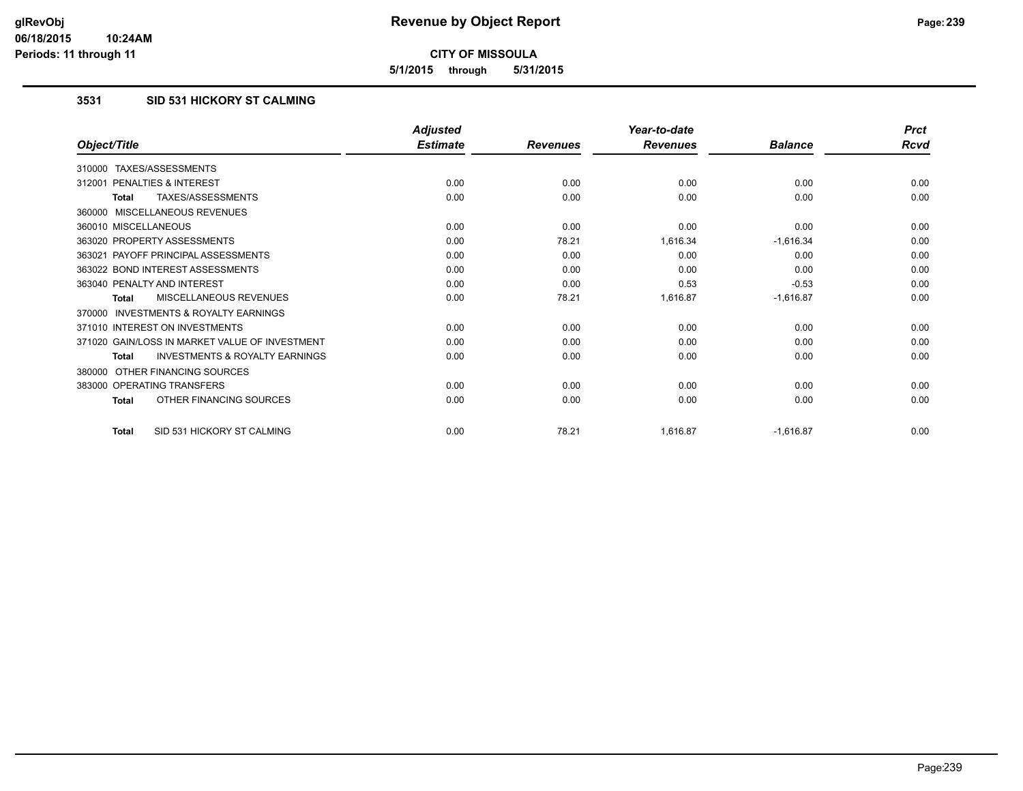**5/1/2015 through 5/31/2015**

# **3531 SID 531 HICKORY ST CALMING**

|                                                           | <b>Adjusted</b> |                 | Year-to-date    |                | <b>Prct</b> |
|-----------------------------------------------------------|-----------------|-----------------|-----------------|----------------|-------------|
| Object/Title                                              | <b>Estimate</b> | <b>Revenues</b> | <b>Revenues</b> | <b>Balance</b> | <b>Rcvd</b> |
| 310000 TAXES/ASSESSMENTS                                  |                 |                 |                 |                |             |
| PENALTIES & INTEREST<br>312001                            | 0.00            | 0.00            | 0.00            | 0.00           | 0.00        |
| TAXES/ASSESSMENTS<br><b>Total</b>                         | 0.00            | 0.00            | 0.00            | 0.00           | 0.00        |
| 360000 MISCELLANEOUS REVENUES                             |                 |                 |                 |                |             |
| 360010 MISCELLANEOUS                                      | 0.00            | 0.00            | 0.00            | 0.00           | 0.00        |
| 363020 PROPERTY ASSESSMENTS                               | 0.00            | 78.21           | 1,616.34        | $-1,616.34$    | 0.00        |
| 363021 PAYOFF PRINCIPAL ASSESSMENTS                       | 0.00            | 0.00            | 0.00            | 0.00           | 0.00        |
| 363022 BOND INTEREST ASSESSMENTS                          | 0.00            | 0.00            | 0.00            | 0.00           | 0.00        |
| 363040 PENALTY AND INTEREST                               | 0.00            | 0.00            | 0.53            | $-0.53$        | 0.00        |
| MISCELLANEOUS REVENUES<br><b>Total</b>                    | 0.00            | 78.21           | 1,616.87        | $-1,616.87$    | 0.00        |
| <b>INVESTMENTS &amp; ROYALTY EARNINGS</b><br>370000       |                 |                 |                 |                |             |
| 371010 INTEREST ON INVESTMENTS                            | 0.00            | 0.00            | 0.00            | 0.00           | 0.00        |
| 371020 GAIN/LOSS IN MARKET VALUE OF INVESTMENT            | 0.00            | 0.00            | 0.00            | 0.00           | 0.00        |
| <b>INVESTMENTS &amp; ROYALTY EARNINGS</b><br><b>Total</b> | 0.00            | 0.00            | 0.00            | 0.00           | 0.00        |
| OTHER FINANCING SOURCES<br>380000                         |                 |                 |                 |                |             |
| 383000 OPERATING TRANSFERS                                | 0.00            | 0.00            | 0.00            | 0.00           | 0.00        |
| OTHER FINANCING SOURCES<br><b>Total</b>                   | 0.00            | 0.00            | 0.00            | 0.00           | 0.00        |
| SID 531 HICKORY ST CALMING<br><b>Total</b>                | 0.00            | 78.21           | 1,616.87        | $-1,616.87$    | 0.00        |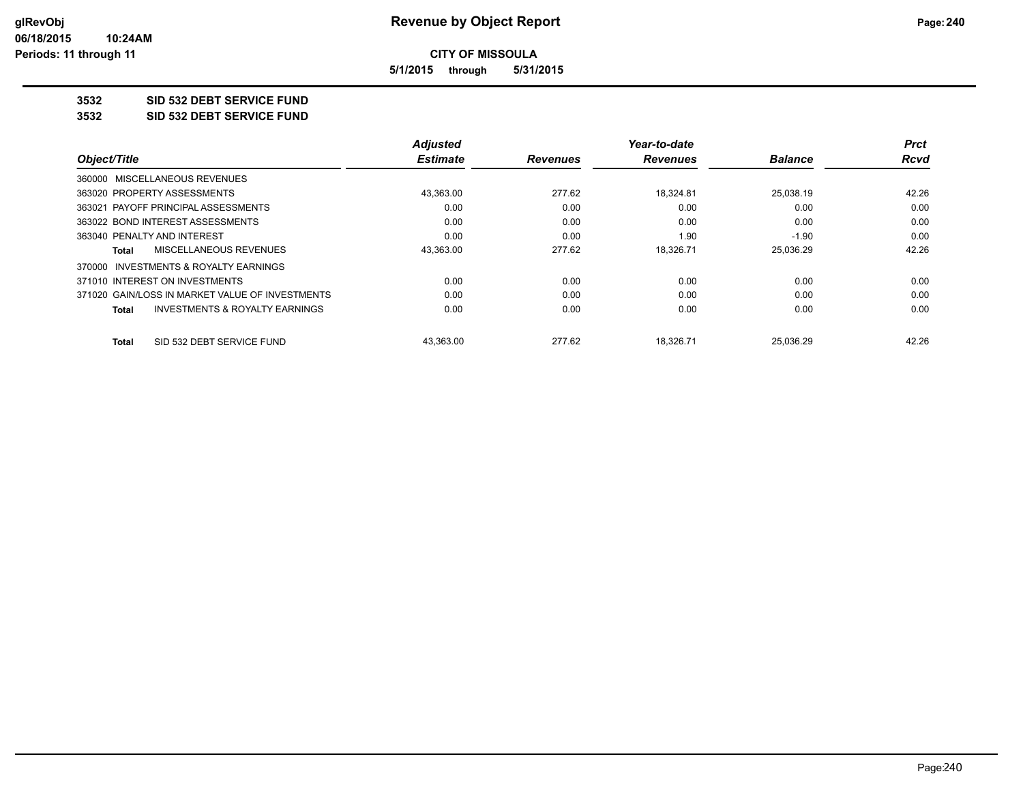**5/1/2015 through 5/31/2015**

# **3532 SID 532 DEBT SERVICE FUND**

**3532 SID 532 DEBT SERVICE FUND**

|                                                    | <b>Adjusted</b> |                 | Year-to-date    |                | <b>Prct</b> |
|----------------------------------------------------|-----------------|-----------------|-----------------|----------------|-------------|
| Object/Title                                       | <b>Estimate</b> | <b>Revenues</b> | <b>Revenues</b> | <b>Balance</b> | <b>Rcvd</b> |
| 360000 MISCELLANEOUS REVENUES                      |                 |                 |                 |                |             |
| 363020 PROPERTY ASSESSMENTS                        | 43,363.00       | 277.62          | 18,324.81       | 25.038.19      | 42.26       |
| PAYOFF PRINCIPAL ASSESSMENTS<br>363021             | 0.00            | 0.00            | 0.00            | 0.00           | 0.00        |
| 363022 BOND INTEREST ASSESSMENTS                   | 0.00            | 0.00            | 0.00            | 0.00           | 0.00        |
| 363040 PENALTY AND INTEREST                        | 0.00            | 0.00            | 1.90            | $-1.90$        | 0.00        |
| MISCELLANEOUS REVENUES<br>Total                    | 43,363.00       | 277.62          | 18,326.71       | 25,036.29      | 42.26       |
| 370000 INVESTMENTS & ROYALTY EARNINGS              |                 |                 |                 |                |             |
| 371010 INTEREST ON INVESTMENTS                     | 0.00            | 0.00            | 0.00            | 0.00           | 0.00        |
| 371020 GAIN/LOSS IN MARKET VALUE OF INVESTMENTS    | 0.00            | 0.00            | 0.00            | 0.00           | 0.00        |
| <b>INVESTMENTS &amp; ROYALTY EARNINGS</b><br>Total | 0.00            | 0.00            | 0.00            | 0.00           | 0.00        |
| SID 532 DEBT SERVICE FUND<br><b>Total</b>          | 43.363.00       | 277.62          | 18.326.71       | 25.036.29      | 42.26       |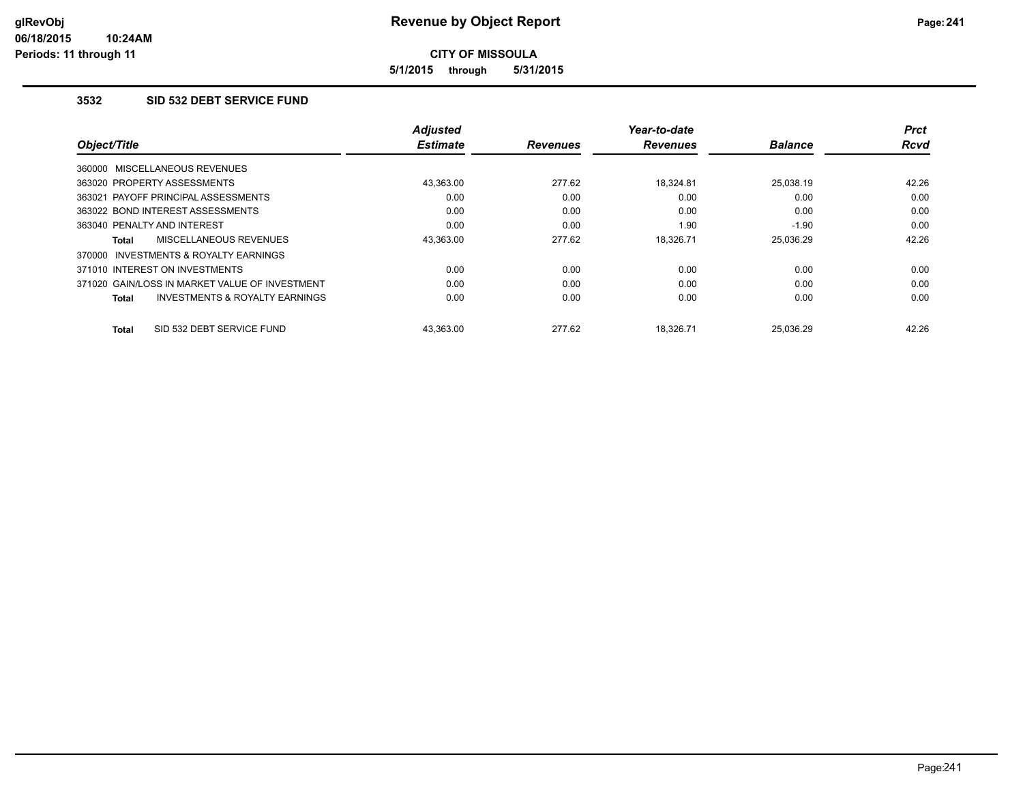**5/1/2015 through 5/31/2015**

#### **3532 SID 532 DEBT SERVICE FUND**

|                                                           | <b>Adjusted</b> |                 | Year-to-date    |                | <b>Prct</b> |
|-----------------------------------------------------------|-----------------|-----------------|-----------------|----------------|-------------|
| Object/Title                                              | <b>Estimate</b> | <b>Revenues</b> | <b>Revenues</b> | <b>Balance</b> | <b>Rcvd</b> |
| 360000 MISCELLANEOUS REVENUES                             |                 |                 |                 |                |             |
| 363020 PROPERTY ASSESSMENTS                               | 43.363.00       | 277.62          | 18.324.81       | 25.038.19      | 42.26       |
| 363021 PAYOFF PRINCIPAL ASSESSMENTS                       | 0.00            | 0.00            | 0.00            | 0.00           | 0.00        |
| 363022 BOND INTEREST ASSESSMENTS                          | 0.00            | 0.00            | 0.00            | 0.00           | 0.00        |
| 363040 PENALTY AND INTEREST                               | 0.00            | 0.00            | 1.90            | $-1.90$        | 0.00        |
| MISCELLANEOUS REVENUES<br><b>Total</b>                    | 43,363.00       | 277.62          | 18.326.71       | 25,036.29      | 42.26       |
| INVESTMENTS & ROYALTY EARNINGS<br>370000                  |                 |                 |                 |                |             |
| 371010 INTEREST ON INVESTMENTS                            | 0.00            | 0.00            | 0.00            | 0.00           | 0.00        |
| 371020 GAIN/LOSS IN MARKET VALUE OF INVESTMENT            | 0.00            | 0.00            | 0.00            | 0.00           | 0.00        |
| <b>INVESTMENTS &amp; ROYALTY EARNINGS</b><br><b>Total</b> | 0.00            | 0.00            | 0.00            | 0.00           | 0.00        |
| SID 532 DEBT SERVICE FUND<br><b>Total</b>                 | 43.363.00       | 277.62          | 18.326.71       | 25.036.29      | 42.26       |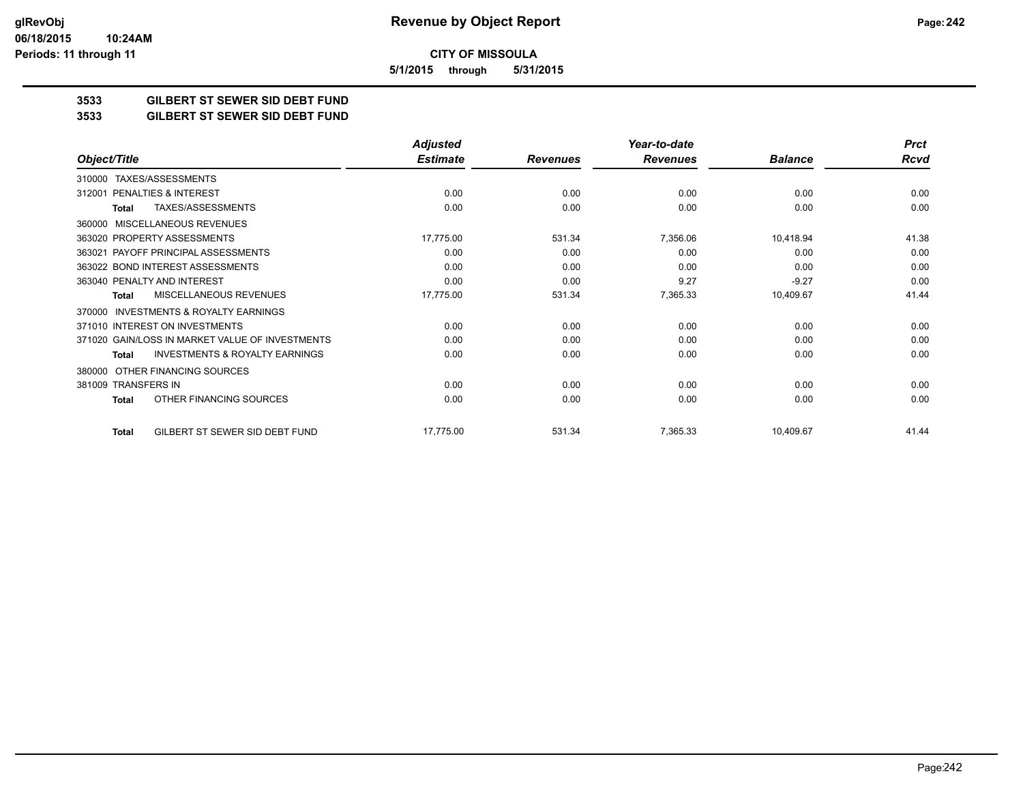**CITY OF MISSOULA 5/1/2015 through 5/31/2015**

**3533 GILBERT ST SEWER SID DEBT FUND**

**3533 GILBERT ST SEWER SID DEBT FUND**

|                                                           | <b>Adjusted</b> |                 | Year-to-date    |                | <b>Prct</b> |
|-----------------------------------------------------------|-----------------|-----------------|-----------------|----------------|-------------|
| Object/Title                                              | <b>Estimate</b> | <b>Revenues</b> | <b>Revenues</b> | <b>Balance</b> | <b>Rcvd</b> |
| TAXES/ASSESSMENTS<br>310000                               |                 |                 |                 |                |             |
| PENALTIES & INTEREST<br>312001                            | 0.00            | 0.00            | 0.00            | 0.00           | 0.00        |
| TAXES/ASSESSMENTS<br>Total                                | 0.00            | 0.00            | 0.00            | 0.00           | 0.00        |
| <b>MISCELLANEOUS REVENUES</b><br>360000                   |                 |                 |                 |                |             |
| 363020 PROPERTY ASSESSMENTS                               | 17,775.00       | 531.34          | 7,356.06        | 10,418.94      | 41.38       |
| PAYOFF PRINCIPAL ASSESSMENTS<br>363021                    | 0.00            | 0.00            | 0.00            | 0.00           | 0.00        |
| 363022 BOND INTEREST ASSESSMENTS                          | 0.00            | 0.00            | 0.00            | 0.00           | 0.00        |
| 363040 PENALTY AND INTEREST                               | 0.00            | 0.00            | 9.27            | $-9.27$        | 0.00        |
| MISCELLANEOUS REVENUES<br>Total                           | 17,775.00       | 531.34          | 7,365.33        | 10,409.67      | 41.44       |
| <b>INVESTMENTS &amp; ROYALTY EARNINGS</b><br>370000       |                 |                 |                 |                |             |
| 371010 INTEREST ON INVESTMENTS                            | 0.00            | 0.00            | 0.00            | 0.00           | 0.00        |
| 371020 GAIN/LOSS IN MARKET VALUE OF INVESTMENTS           | 0.00            | 0.00            | 0.00            | 0.00           | 0.00        |
| <b>INVESTMENTS &amp; ROYALTY EARNINGS</b><br><b>Total</b> | 0.00            | 0.00            | 0.00            | 0.00           | 0.00        |
| OTHER FINANCING SOURCES<br>380000                         |                 |                 |                 |                |             |
| 381009 TRANSFERS IN                                       | 0.00            | 0.00            | 0.00            | 0.00           | 0.00        |
| OTHER FINANCING SOURCES<br><b>Total</b>                   | 0.00            | 0.00            | 0.00            | 0.00           | 0.00        |
| GILBERT ST SEWER SID DEBT FUND<br><b>Total</b>            | 17,775.00       | 531.34          | 7,365.33        | 10,409.67      | 41.44       |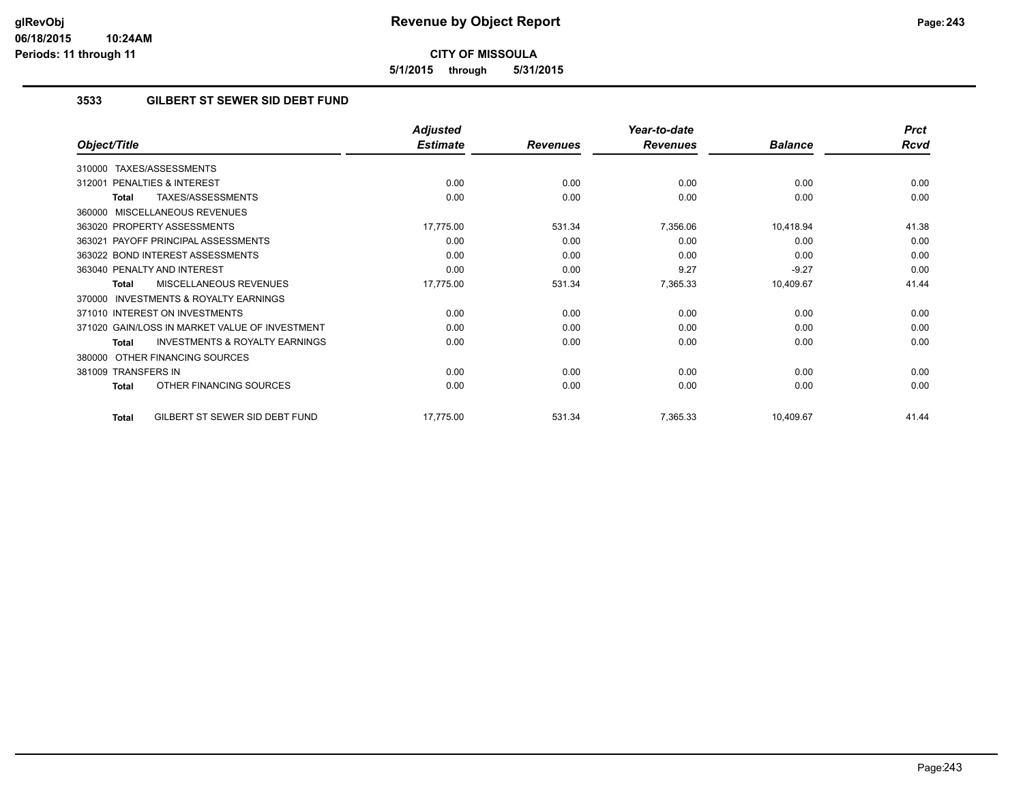**5/1/2015 through 5/31/2015**

# **3533 GILBERT ST SEWER SID DEBT FUND**

|                                                           | <b>Adjusted</b> |                 | Year-to-date    |                | <b>Prct</b> |
|-----------------------------------------------------------|-----------------|-----------------|-----------------|----------------|-------------|
| Object/Title                                              | <b>Estimate</b> | <b>Revenues</b> | <b>Revenues</b> | <b>Balance</b> | <b>Rcvd</b> |
| TAXES/ASSESSMENTS<br>310000                               |                 |                 |                 |                |             |
| PENALTIES & INTEREST<br>312001                            | 0.00            | 0.00            | 0.00            | 0.00           | 0.00        |
| TAXES/ASSESSMENTS<br><b>Total</b>                         | 0.00            | 0.00            | 0.00            | 0.00           | 0.00        |
| <b>MISCELLANEOUS REVENUES</b><br>360000                   |                 |                 |                 |                |             |
| 363020 PROPERTY ASSESSMENTS                               | 17,775.00       | 531.34          | 7,356.06        | 10,418.94      | 41.38       |
| 363021 PAYOFF PRINCIPAL ASSESSMENTS                       | 0.00            | 0.00            | 0.00            | 0.00           | 0.00        |
| 363022 BOND INTEREST ASSESSMENTS                          | 0.00            | 0.00            | 0.00            | 0.00           | 0.00        |
| 363040 PENALTY AND INTEREST                               | 0.00            | 0.00            | 9.27            | $-9.27$        | 0.00        |
| <b>MISCELLANEOUS REVENUES</b><br><b>Total</b>             | 17,775.00       | 531.34          | 7,365.33        | 10,409.67      | 41.44       |
| <b>INVESTMENTS &amp; ROYALTY EARNINGS</b><br>370000       |                 |                 |                 |                |             |
| 371010 INTEREST ON INVESTMENTS                            | 0.00            | 0.00            | 0.00            | 0.00           | 0.00        |
| 371020 GAIN/LOSS IN MARKET VALUE OF INVESTMENT            | 0.00            | 0.00            | 0.00            | 0.00           | 0.00        |
| <b>INVESTMENTS &amp; ROYALTY EARNINGS</b><br><b>Total</b> | 0.00            | 0.00            | 0.00            | 0.00           | 0.00        |
| OTHER FINANCING SOURCES<br>380000                         |                 |                 |                 |                |             |
| 381009 TRANSFERS IN                                       | 0.00            | 0.00            | 0.00            | 0.00           | 0.00        |
| OTHER FINANCING SOURCES<br><b>Total</b>                   | 0.00            | 0.00            | 0.00            | 0.00           | 0.00        |
| GILBERT ST SEWER SID DEBT FUND<br><b>Total</b>            | 17,775.00       | 531.34          | 7,365.33        | 10,409.67      | 41.44       |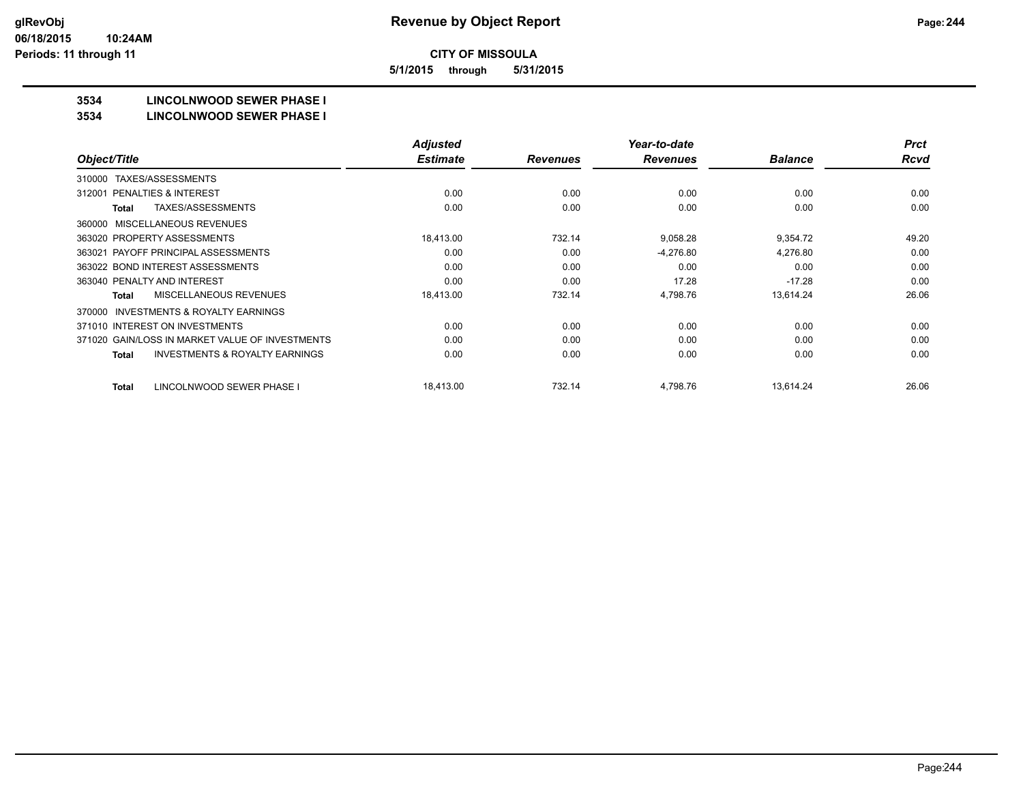**5/1/2015 through 5/31/2015**

# **3534 LINCOLNWOOD SEWER PHASE I**

#### **3534 LINCOLNWOOD SEWER PHASE I**

|                                                    | <b>Adjusted</b> |                 | Year-to-date    |                | <b>Prct</b> |
|----------------------------------------------------|-----------------|-----------------|-----------------|----------------|-------------|
| Object/Title                                       | <b>Estimate</b> | <b>Revenues</b> | <b>Revenues</b> | <b>Balance</b> | <b>Rcvd</b> |
| TAXES/ASSESSMENTS<br>310000                        |                 |                 |                 |                |             |
| <b>PENALTIES &amp; INTEREST</b><br>312001          | 0.00            | 0.00            | 0.00            | 0.00           | 0.00        |
| TAXES/ASSESSMENTS<br>Total                         | 0.00            | 0.00            | 0.00            | 0.00           | 0.00        |
| MISCELLANEOUS REVENUES<br>360000                   |                 |                 |                 |                |             |
| 363020 PROPERTY ASSESSMENTS                        | 18,413.00       | 732.14          | 9,058.28        | 9,354.72       | 49.20       |
| 363021 PAYOFF PRINCIPAL ASSESSMENTS                | 0.00            | 0.00            | $-4,276.80$     | 4,276.80       | 0.00        |
| 363022 BOND INTEREST ASSESSMENTS                   | 0.00            | 0.00            | 0.00            | 0.00           | 0.00        |
| 363040 PENALTY AND INTEREST                        | 0.00            | 0.00            | 17.28           | $-17.28$       | 0.00        |
| MISCELLANEOUS REVENUES<br>Total                    | 18,413.00       | 732.14          | 4,798.76        | 13,614.24      | 26.06       |
| INVESTMENTS & ROYALTY EARNINGS<br>370000           |                 |                 |                 |                |             |
| 371010 INTEREST ON INVESTMENTS                     | 0.00            | 0.00            | 0.00            | 0.00           | 0.00        |
| 371020 GAIN/LOSS IN MARKET VALUE OF INVESTMENTS    | 0.00            | 0.00            | 0.00            | 0.00           | 0.00        |
| <b>INVESTMENTS &amp; ROYALTY EARNINGS</b><br>Total | 0.00            | 0.00            | 0.00            | 0.00           | 0.00        |
| LINCOLNWOOD SEWER PHASE I<br>Total                 | 18,413.00       | 732.14          | 4,798.76        | 13.614.24      | 26.06       |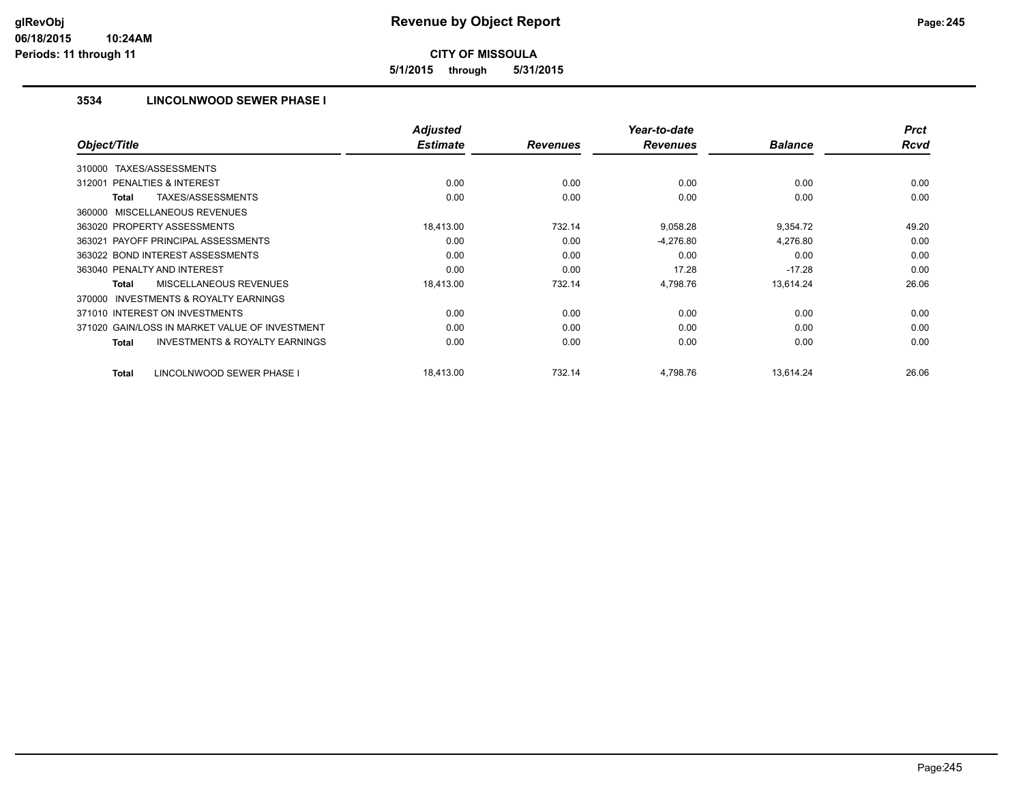**5/1/2015 through 5/31/2015**

# **3534 LINCOLNWOOD SEWER PHASE I**

| Object/Title                                              | <b>Adjusted</b><br><b>Estimate</b> | <b>Revenues</b> | Year-to-date<br><b>Revenues</b> | <b>Balance</b> | <b>Prct</b><br><b>Rcvd</b> |
|-----------------------------------------------------------|------------------------------------|-----------------|---------------------------------|----------------|----------------------------|
|                                                           |                                    |                 |                                 |                |                            |
| TAXES/ASSESSMENTS<br>310000                               |                                    |                 |                                 |                |                            |
| 312001 PENALTIES & INTEREST                               | 0.00                               | 0.00            | 0.00                            | 0.00           | 0.00                       |
| TAXES/ASSESSMENTS<br><b>Total</b>                         | 0.00                               | 0.00            | 0.00                            | 0.00           | 0.00                       |
| 360000 MISCELLANEOUS REVENUES                             |                                    |                 |                                 |                |                            |
| 363020 PROPERTY ASSESSMENTS                               | 18,413.00                          | 732.14          | 9,058.28                        | 9,354.72       | 49.20                      |
| 363021 PAYOFF PRINCIPAL ASSESSMENTS                       | 0.00                               | 0.00            | $-4,276.80$                     | 4,276.80       | 0.00                       |
| 363022 BOND INTEREST ASSESSMENTS                          | 0.00                               | 0.00            | 0.00                            | 0.00           | 0.00                       |
| 363040 PENALTY AND INTEREST                               | 0.00                               | 0.00            | 17.28                           | $-17.28$       | 0.00                       |
| MISCELLANEOUS REVENUES<br><b>Total</b>                    | 18,413.00                          | 732.14          | 4,798.76                        | 13,614.24      | 26.06                      |
| <b>INVESTMENTS &amp; ROYALTY EARNINGS</b><br>370000       |                                    |                 |                                 |                |                            |
| 371010 INTEREST ON INVESTMENTS                            | 0.00                               | 0.00            | 0.00                            | 0.00           | 0.00                       |
| 371020 GAIN/LOSS IN MARKET VALUE OF INVESTMENT            | 0.00                               | 0.00            | 0.00                            | 0.00           | 0.00                       |
| <b>INVESTMENTS &amp; ROYALTY EARNINGS</b><br><b>Total</b> | 0.00                               | 0.00            | 0.00                            | 0.00           | 0.00                       |
| LINCOLNWOOD SEWER PHASE I<br><b>Total</b>                 | 18,413.00                          | 732.14          | 4,798.76                        | 13,614.24      | 26.06                      |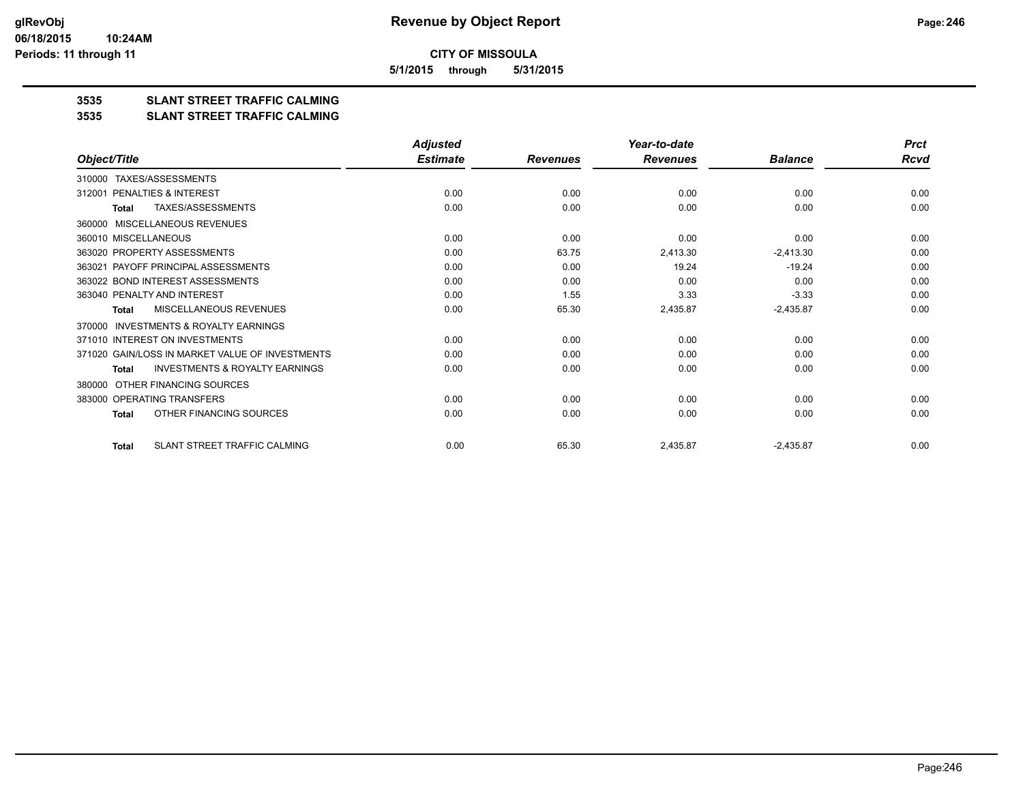**5/1/2015 through 5/31/2015**

# **3535 SLANT STREET TRAFFIC CALMING**

#### **3535 SLANT STREET TRAFFIC CALMING**

|                                                     | <b>Adjusted</b> |                 | Year-to-date    |                | <b>Prct</b> |
|-----------------------------------------------------|-----------------|-----------------|-----------------|----------------|-------------|
| Object/Title                                        | <b>Estimate</b> | <b>Revenues</b> | <b>Revenues</b> | <b>Balance</b> | Rcvd        |
| TAXES/ASSESSMENTS<br>310000                         |                 |                 |                 |                |             |
| PENALTIES & INTEREST<br>312001                      | 0.00            | 0.00            | 0.00            | 0.00           | 0.00        |
| TAXES/ASSESSMENTS<br><b>Total</b>                   | 0.00            | 0.00            | 0.00            | 0.00           | 0.00        |
| MISCELLANEOUS REVENUES<br>360000                    |                 |                 |                 |                |             |
| 360010 MISCELLANEOUS                                | 0.00            | 0.00            | 0.00            | 0.00           | 0.00        |
| 363020 PROPERTY ASSESSMENTS                         | 0.00            | 63.75           | 2,413.30        | $-2,413.30$    | 0.00        |
| PAYOFF PRINCIPAL ASSESSMENTS<br>363021              | 0.00            | 0.00            | 19.24           | $-19.24$       | 0.00        |
| 363022 BOND INTEREST ASSESSMENTS                    | 0.00            | 0.00            | 0.00            | 0.00           | 0.00        |
| 363040 PENALTY AND INTEREST                         | 0.00            | 1.55            | 3.33            | $-3.33$        | 0.00        |
| MISCELLANEOUS REVENUES<br>Total                     | 0.00            | 65.30           | 2,435.87        | $-2,435.87$    | 0.00        |
| <b>INVESTMENTS &amp; ROYALTY EARNINGS</b><br>370000 |                 |                 |                 |                |             |
| 371010 INTEREST ON INVESTMENTS                      | 0.00            | 0.00            | 0.00            | 0.00           | 0.00        |
| 371020 GAIN/LOSS IN MARKET VALUE OF INVESTMENTS     | 0.00            | 0.00            | 0.00            | 0.00           | 0.00        |
| <b>INVESTMENTS &amp; ROYALTY EARNINGS</b><br>Total  | 0.00            | 0.00            | 0.00            | 0.00           | 0.00        |
| OTHER FINANCING SOURCES<br>380000                   |                 |                 |                 |                |             |
| 383000 OPERATING TRANSFERS                          | 0.00            | 0.00            | 0.00            | 0.00           | 0.00        |
| OTHER FINANCING SOURCES<br><b>Total</b>             | 0.00            | 0.00            | 0.00            | 0.00           | 0.00        |
| SLANT STREET TRAFFIC CALMING<br><b>Total</b>        | 0.00            | 65.30           | 2,435.87        | $-2,435.87$    | 0.00        |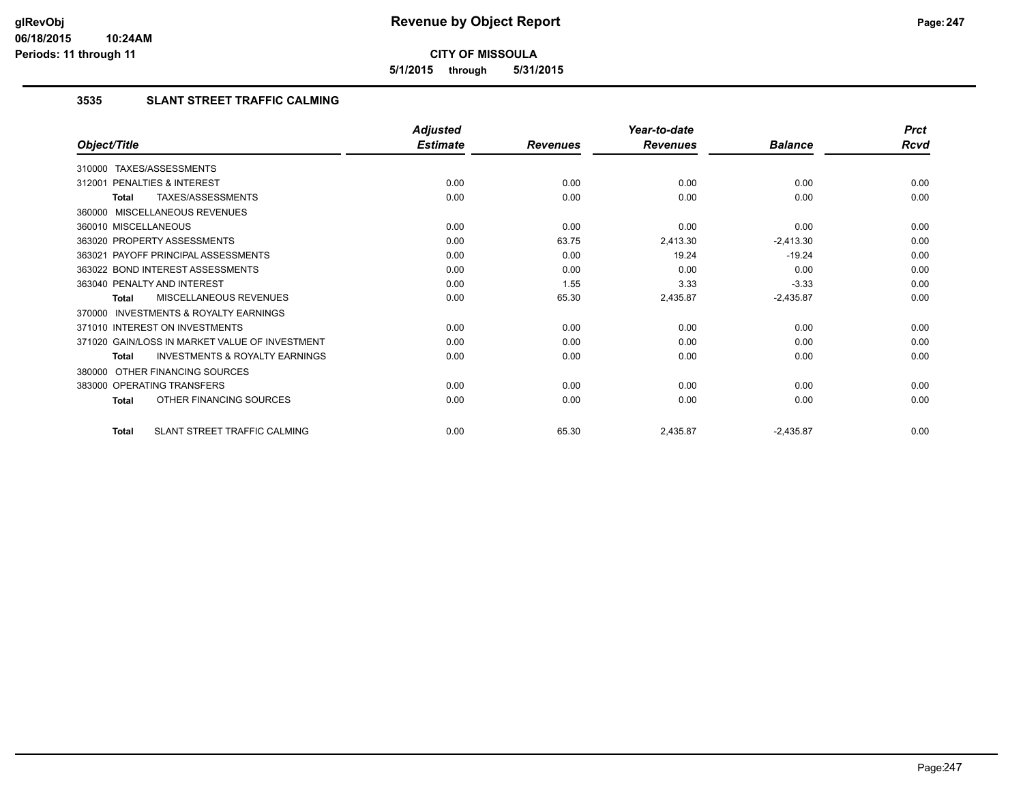**5/1/2015 through 5/31/2015**

# **3535 SLANT STREET TRAFFIC CALMING**

|                                                           | <b>Adjusted</b> |                 | Year-to-date    |                | <b>Prct</b> |
|-----------------------------------------------------------|-----------------|-----------------|-----------------|----------------|-------------|
| Object/Title                                              | <b>Estimate</b> | <b>Revenues</b> | <b>Revenues</b> | <b>Balance</b> | <b>Rcvd</b> |
| 310000 TAXES/ASSESSMENTS                                  |                 |                 |                 |                |             |
| PENALTIES & INTEREST<br>312001                            | 0.00            | 0.00            | 0.00            | 0.00           | 0.00        |
| TAXES/ASSESSMENTS<br><b>Total</b>                         | 0.00            | 0.00            | 0.00            | 0.00           | 0.00        |
| 360000 MISCELLANEOUS REVENUES                             |                 |                 |                 |                |             |
| 360010 MISCELLANEOUS                                      | 0.00            | 0.00            | 0.00            | 0.00           | 0.00        |
| 363020 PROPERTY ASSESSMENTS                               | 0.00            | 63.75           | 2,413.30        | $-2,413.30$    | 0.00        |
| 363021 PAYOFF PRINCIPAL ASSESSMENTS                       | 0.00            | 0.00            | 19.24           | $-19.24$       | 0.00        |
| 363022 BOND INTEREST ASSESSMENTS                          | 0.00            | 0.00            | 0.00            | 0.00           | 0.00        |
| 363040 PENALTY AND INTEREST                               | 0.00            | 1.55            | 3.33            | $-3.33$        | 0.00        |
| MISCELLANEOUS REVENUES<br><b>Total</b>                    | 0.00            | 65.30           | 2,435.87        | $-2,435.87$    | 0.00        |
| INVESTMENTS & ROYALTY EARNINGS<br>370000                  |                 |                 |                 |                |             |
| 371010 INTEREST ON INVESTMENTS                            | 0.00            | 0.00            | 0.00            | 0.00           | 0.00        |
| 371020 GAIN/LOSS IN MARKET VALUE OF INVESTMENT            | 0.00            | 0.00            | 0.00            | 0.00           | 0.00        |
| <b>INVESTMENTS &amp; ROYALTY EARNINGS</b><br><b>Total</b> | 0.00            | 0.00            | 0.00            | 0.00           | 0.00        |
| OTHER FINANCING SOURCES<br>380000                         |                 |                 |                 |                |             |
| 383000 OPERATING TRANSFERS                                | 0.00            | 0.00            | 0.00            | 0.00           | 0.00        |
| OTHER FINANCING SOURCES<br><b>Total</b>                   | 0.00            | 0.00            | 0.00            | 0.00           | 0.00        |
| SLANT STREET TRAFFIC CALMING<br><b>Total</b>              | 0.00            | 65.30           | 2,435.87        | $-2,435.87$    | 0.00        |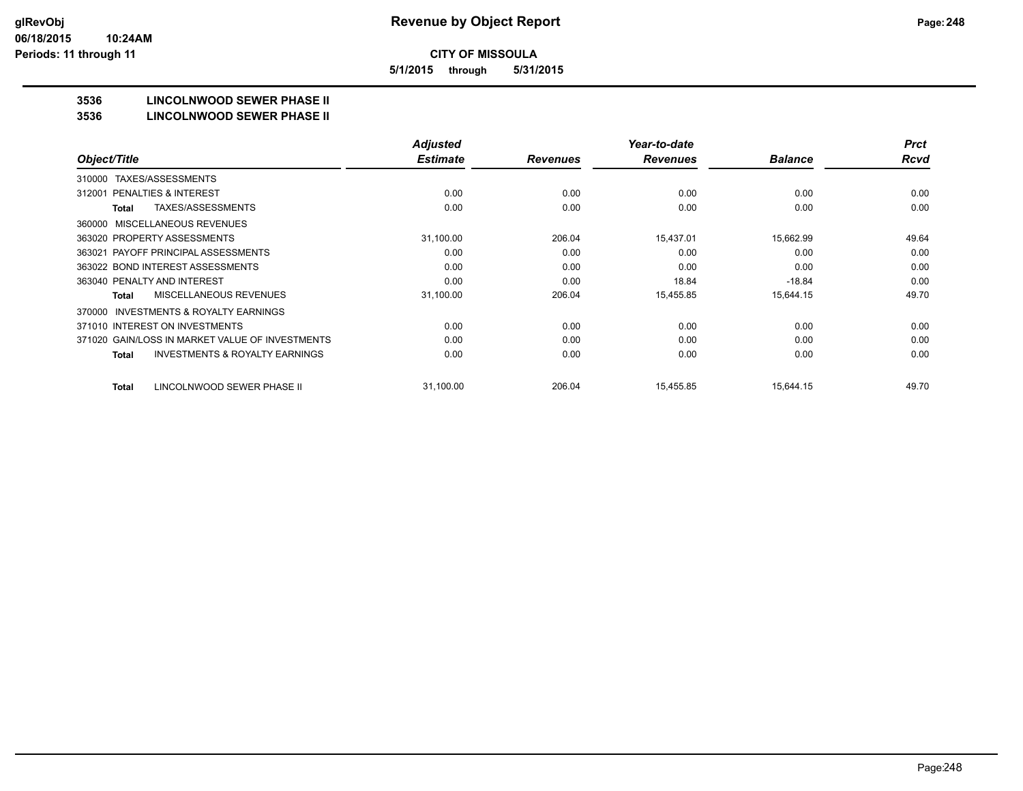**5/1/2015 through 5/31/2015**

# **3536 LINCOLNWOOD SEWER PHASE II**

#### **3536 LINCOLNWOOD SEWER PHASE II**

|                                                           | <b>Adjusted</b> |                 | Year-to-date    |                | <b>Prct</b> |
|-----------------------------------------------------------|-----------------|-----------------|-----------------|----------------|-------------|
| Object/Title                                              | <b>Estimate</b> | <b>Revenues</b> | <b>Revenues</b> | <b>Balance</b> | <b>Rcvd</b> |
| TAXES/ASSESSMENTS<br>310000                               |                 |                 |                 |                |             |
| PENALTIES & INTEREST<br>312001                            | 0.00            | 0.00            | 0.00            | 0.00           | 0.00        |
| TAXES/ASSESSMENTS<br>Total                                | 0.00            | 0.00            | 0.00            | 0.00           | 0.00        |
| MISCELLANEOUS REVENUES<br>360000                          |                 |                 |                 |                |             |
| 363020 PROPERTY ASSESSMENTS                               | 31,100.00       | 206.04          | 15,437.01       | 15,662.99      | 49.64       |
| 363021 PAYOFF PRINCIPAL ASSESSMENTS                       | 0.00            | 0.00            | 0.00            | 0.00           | 0.00        |
| 363022 BOND INTEREST ASSESSMENTS                          | 0.00            | 0.00            | 0.00            | 0.00           | 0.00        |
| 363040 PENALTY AND INTEREST                               | 0.00            | 0.00            | 18.84           | $-18.84$       | 0.00        |
| MISCELLANEOUS REVENUES<br>Total                           | 31,100.00       | 206.04          | 15,455.85       | 15,644.15      | 49.70       |
| <b>INVESTMENTS &amp; ROYALTY EARNINGS</b><br>370000       |                 |                 |                 |                |             |
| 371010 INTEREST ON INVESTMENTS                            | 0.00            | 0.00            | 0.00            | 0.00           | 0.00        |
| 371020 GAIN/LOSS IN MARKET VALUE OF INVESTMENTS           | 0.00            | 0.00            | 0.00            | 0.00           | 0.00        |
| <b>INVESTMENTS &amp; ROYALTY EARNINGS</b><br><b>Total</b> | 0.00            | 0.00            | 0.00            | 0.00           | 0.00        |
|                                                           |                 |                 |                 |                |             |
| LINCOLNWOOD SEWER PHASE II<br>Total                       | 31,100.00       | 206.04          | 15,455.85       | 15.644.15      | 49.70       |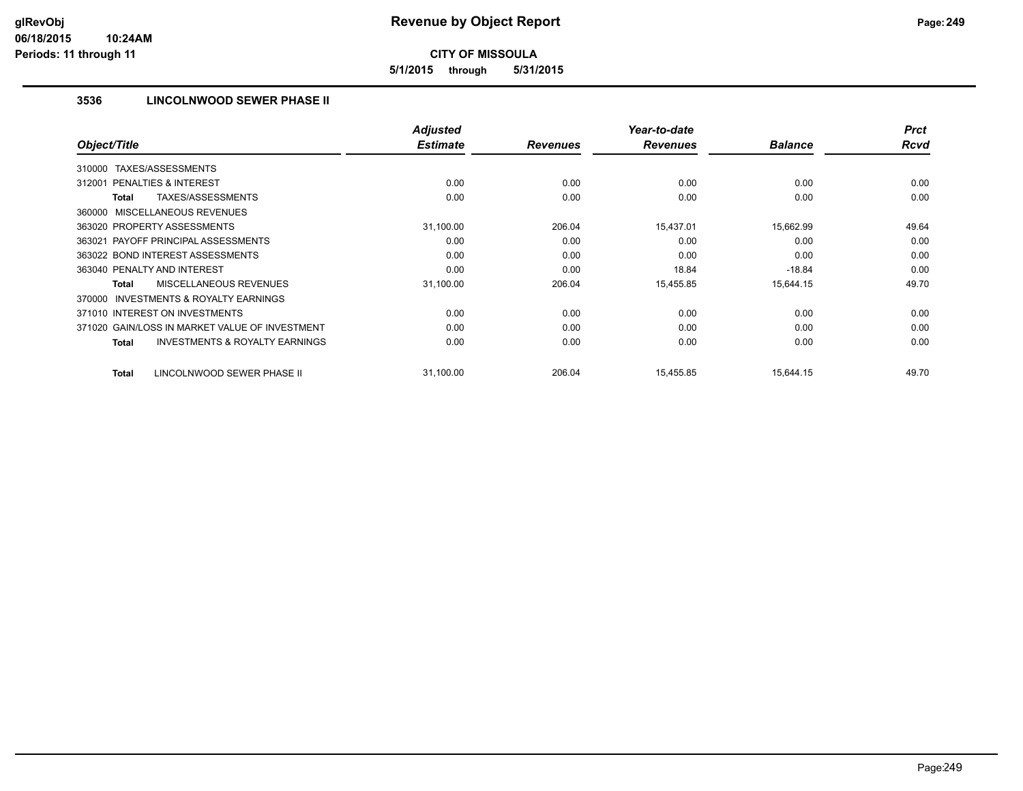**5/1/2015 through 5/31/2015**

# **3536 LINCOLNWOOD SEWER PHASE II**

|                                                           | <b>Adjusted</b> |                 | Year-to-date    |                | <b>Prct</b> |
|-----------------------------------------------------------|-----------------|-----------------|-----------------|----------------|-------------|
| Object/Title                                              | <b>Estimate</b> | <b>Revenues</b> | <b>Revenues</b> | <b>Balance</b> | <b>Rcvd</b> |
| TAXES/ASSESSMENTS<br>310000                               |                 |                 |                 |                |             |
| 312001 PENALTIES & INTEREST                               | 0.00            | 0.00            | 0.00            | 0.00           | 0.00        |
| TAXES/ASSESSMENTS<br><b>Total</b>                         | 0.00            | 0.00            | 0.00            | 0.00           | 0.00        |
| 360000 MISCELLANEOUS REVENUES                             |                 |                 |                 |                |             |
| 363020 PROPERTY ASSESSMENTS                               | 31,100.00       | 206.04          | 15,437.01       | 15,662.99      | 49.64       |
| 363021 PAYOFF PRINCIPAL ASSESSMENTS                       | 0.00            | 0.00            | 0.00            | 0.00           | 0.00        |
| 363022 BOND INTEREST ASSESSMENTS                          | 0.00            | 0.00            | 0.00            | 0.00           | 0.00        |
| 363040 PENALTY AND INTEREST                               | 0.00            | 0.00            | 18.84           | $-18.84$       | 0.00        |
| MISCELLANEOUS REVENUES<br><b>Total</b>                    | 31,100.00       | 206.04          | 15,455.85       | 15,644.15      | 49.70       |
| <b>INVESTMENTS &amp; ROYALTY EARNINGS</b><br>370000       |                 |                 |                 |                |             |
| 371010 INTEREST ON INVESTMENTS                            | 0.00            | 0.00            | 0.00            | 0.00           | 0.00        |
| 371020 GAIN/LOSS IN MARKET VALUE OF INVESTMENT            | 0.00            | 0.00            | 0.00            | 0.00           | 0.00        |
| <b>INVESTMENTS &amp; ROYALTY EARNINGS</b><br><b>Total</b> | 0.00            | 0.00            | 0.00            | 0.00           | 0.00        |
| LINCOLNWOOD SEWER PHASE II<br><b>Total</b>                | 31,100.00       | 206.04          | 15,455.85       | 15,644.15      | 49.70       |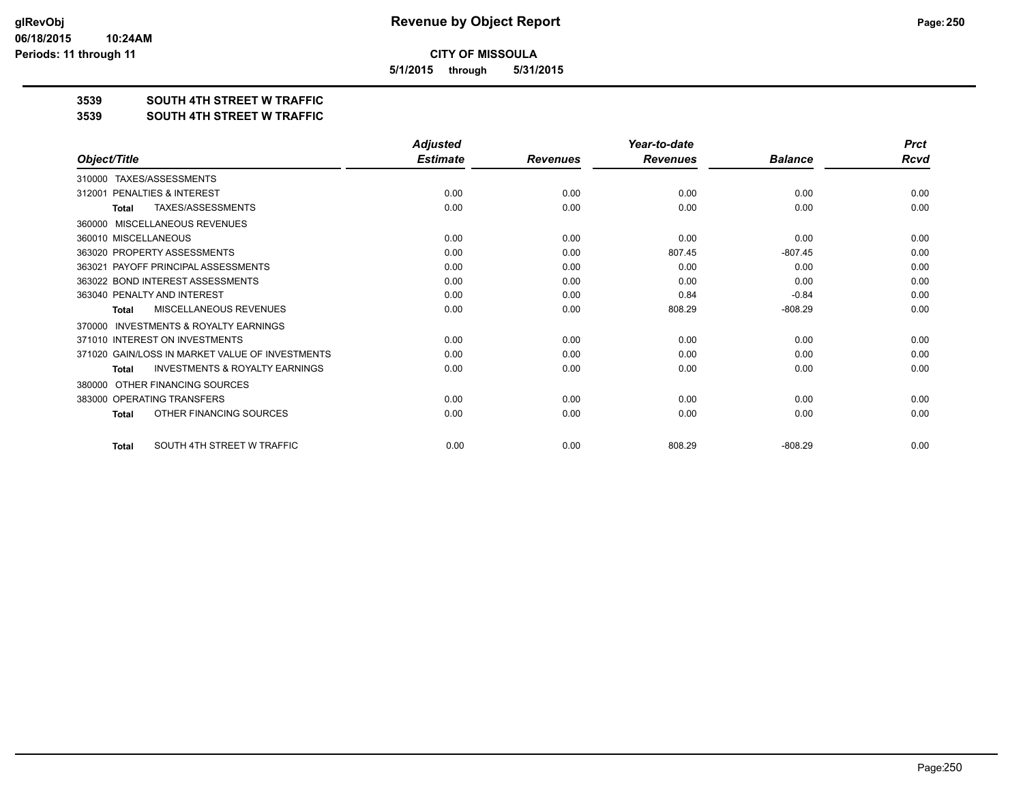**5/1/2015 through 5/31/2015**

#### **3539 SOUTH 4TH STREET W TRAFFIC**

#### **3539 SOUTH 4TH STREET W TRAFFIC**

|                                                           | <b>Adjusted</b> |                 | Year-to-date    |                | <b>Prct</b> |
|-----------------------------------------------------------|-----------------|-----------------|-----------------|----------------|-------------|
| Object/Title                                              | <b>Estimate</b> | <b>Revenues</b> | <b>Revenues</b> | <b>Balance</b> | <b>Rcvd</b> |
| TAXES/ASSESSMENTS<br>310000                               |                 |                 |                 |                |             |
| PENALTIES & INTEREST<br>312001                            | 0.00            | 0.00            | 0.00            | 0.00           | 0.00        |
| <b>TAXES/ASSESSMENTS</b><br>Total                         | 0.00            | 0.00            | 0.00            | 0.00           | 0.00        |
| <b>MISCELLANEOUS REVENUES</b><br>360000                   |                 |                 |                 |                |             |
| 360010 MISCELLANEOUS                                      | 0.00            | 0.00            | 0.00            | 0.00           | 0.00        |
| 363020 PROPERTY ASSESSMENTS                               | 0.00            | 0.00            | 807.45          | $-807.45$      | 0.00        |
| 363021 PAYOFF PRINCIPAL ASSESSMENTS                       | 0.00            | 0.00            | 0.00            | 0.00           | 0.00        |
| 363022 BOND INTEREST ASSESSMENTS                          | 0.00            | 0.00            | 0.00            | 0.00           | 0.00        |
| 363040 PENALTY AND INTEREST                               | 0.00            | 0.00            | 0.84            | $-0.84$        | 0.00        |
| MISCELLANEOUS REVENUES<br><b>Total</b>                    | 0.00            | 0.00            | 808.29          | $-808.29$      | 0.00        |
| <b>INVESTMENTS &amp; ROYALTY EARNINGS</b><br>370000       |                 |                 |                 |                |             |
| 371010 INTEREST ON INVESTMENTS                            | 0.00            | 0.00            | 0.00            | 0.00           | 0.00        |
| 371020 GAIN/LOSS IN MARKET VALUE OF INVESTMENTS           | 0.00            | 0.00            | 0.00            | 0.00           | 0.00        |
| <b>INVESTMENTS &amp; ROYALTY EARNINGS</b><br><b>Total</b> | 0.00            | 0.00            | 0.00            | 0.00           | 0.00        |
| OTHER FINANCING SOURCES<br>380000                         |                 |                 |                 |                |             |
| 383000 OPERATING TRANSFERS                                | 0.00            | 0.00            | 0.00            | 0.00           | 0.00        |
| OTHER FINANCING SOURCES<br><b>Total</b>                   | 0.00            | 0.00            | 0.00            | 0.00           | 0.00        |
| SOUTH 4TH STREET W TRAFFIC<br><b>Total</b>                | 0.00            | 0.00            | 808.29          | $-808.29$      | 0.00        |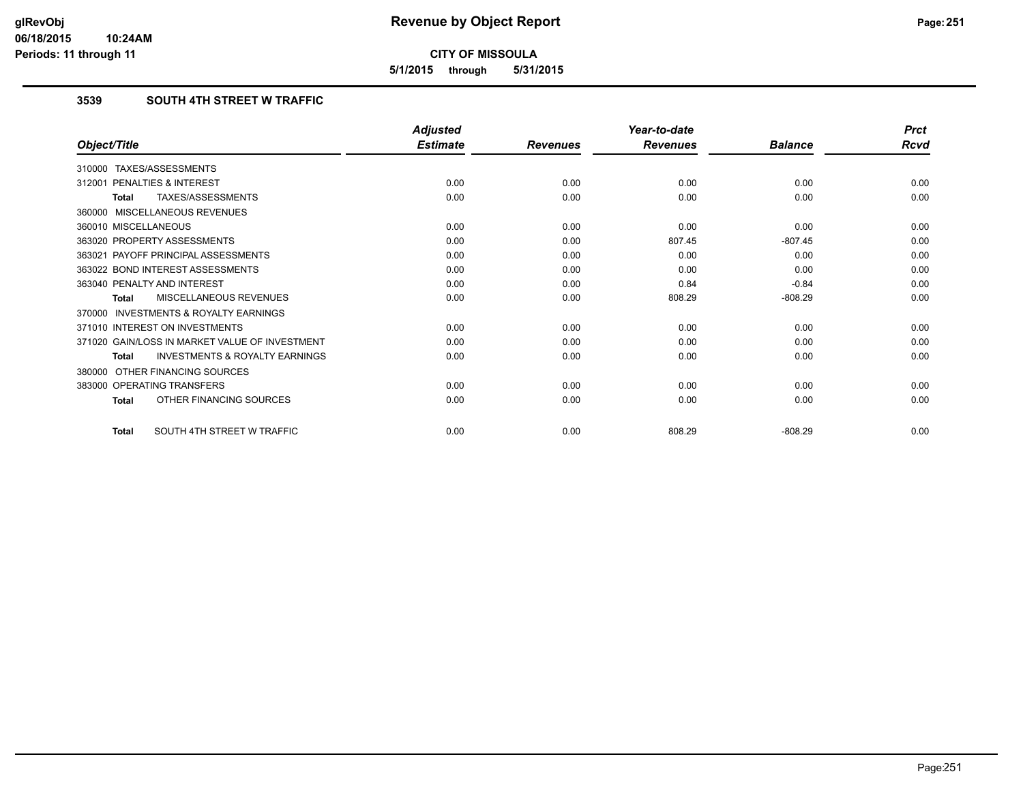**5/1/2015 through 5/31/2015**

# **3539 SOUTH 4TH STREET W TRAFFIC**

|                                                           | <b>Adjusted</b> |                 | Year-to-date    |                | <b>Prct</b> |
|-----------------------------------------------------------|-----------------|-----------------|-----------------|----------------|-------------|
| Object/Title                                              | <b>Estimate</b> | <b>Revenues</b> | <b>Revenues</b> | <b>Balance</b> | Rcvd        |
| 310000 TAXES/ASSESSMENTS                                  |                 |                 |                 |                |             |
| PENALTIES & INTEREST<br>312001                            | 0.00            | 0.00            | 0.00            | 0.00           | 0.00        |
| TAXES/ASSESSMENTS<br><b>Total</b>                         | 0.00            | 0.00            | 0.00            | 0.00           | 0.00        |
| 360000 MISCELLANEOUS REVENUES                             |                 |                 |                 |                |             |
| 360010 MISCELLANEOUS                                      | 0.00            | 0.00            | 0.00            | 0.00           | 0.00        |
| 363020 PROPERTY ASSESSMENTS                               | 0.00            | 0.00            | 807.45          | $-807.45$      | 0.00        |
| 363021 PAYOFF PRINCIPAL ASSESSMENTS                       | 0.00            | 0.00            | 0.00            | 0.00           | 0.00        |
| 363022 BOND INTEREST ASSESSMENTS                          | 0.00            | 0.00            | 0.00            | 0.00           | 0.00        |
| 363040 PENALTY AND INTEREST                               | 0.00            | 0.00            | 0.84            | $-0.84$        | 0.00        |
| MISCELLANEOUS REVENUES<br><b>Total</b>                    | 0.00            | 0.00            | 808.29          | $-808.29$      | 0.00        |
| <b>INVESTMENTS &amp; ROYALTY EARNINGS</b><br>370000       |                 |                 |                 |                |             |
| 371010 INTEREST ON INVESTMENTS                            | 0.00            | 0.00            | 0.00            | 0.00           | 0.00        |
| 371020 GAIN/LOSS IN MARKET VALUE OF INVESTMENT            | 0.00            | 0.00            | 0.00            | 0.00           | 0.00        |
| <b>INVESTMENTS &amp; ROYALTY EARNINGS</b><br><b>Total</b> | 0.00            | 0.00            | 0.00            | 0.00           | 0.00        |
| OTHER FINANCING SOURCES<br>380000                         |                 |                 |                 |                |             |
| 383000 OPERATING TRANSFERS                                | 0.00            | 0.00            | 0.00            | 0.00           | 0.00        |
| OTHER FINANCING SOURCES<br><b>Total</b>                   | 0.00            | 0.00            | 0.00            | 0.00           | 0.00        |
| SOUTH 4TH STREET W TRAFFIC<br><b>Total</b>                | 0.00            | 0.00            | 808.29          | $-808.29$      | 0.00        |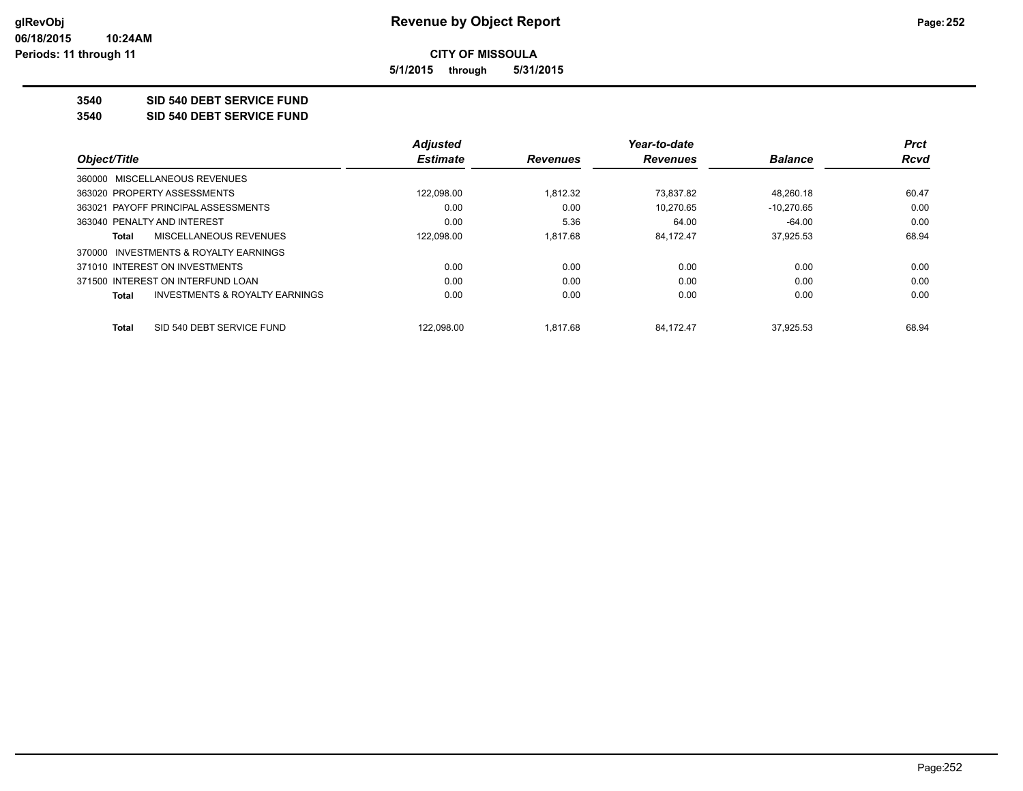**5/1/2015 through 5/31/2015**

**3540 SID 540 DEBT SERVICE FUND**

**3540 SID 540 DEBT SERVICE FUND**

|                                                    | <b>Adjusted</b> |                 | Year-to-date    |                | <b>Prct</b> |
|----------------------------------------------------|-----------------|-----------------|-----------------|----------------|-------------|
| Object/Title                                       | <b>Estimate</b> | <b>Revenues</b> | <b>Revenues</b> | <b>Balance</b> | <b>Rcvd</b> |
| 360000 MISCELLANEOUS REVENUES                      |                 |                 |                 |                |             |
| 363020 PROPERTY ASSESSMENTS                        | 122.098.00      | 1.812.32        | 73.837.82       | 48.260.18      | 60.47       |
| 363021 PAYOFF PRINCIPAL ASSESSMENTS                | 0.00            | 0.00            | 10.270.65       | $-10.270.65$   | 0.00        |
| 363040 PENALTY AND INTEREST                        | 0.00            | 5.36            | 64.00           | $-64.00$       | 0.00        |
| MISCELLANEOUS REVENUES<br>Total                    | 122.098.00      | 1.817.68        | 84.172.47       | 37.925.53      | 68.94       |
| 370000 INVESTMENTS & ROYALTY EARNINGS              |                 |                 |                 |                |             |
| 371010 INTEREST ON INVESTMENTS                     | 0.00            | 0.00            | 0.00            | 0.00           | 0.00        |
| 371500 INTEREST ON INTERFUND LOAN                  | 0.00            | 0.00            | 0.00            | 0.00           | 0.00        |
| <b>INVESTMENTS &amp; ROYALTY EARNINGS</b><br>Total | 0.00            | 0.00            | 0.00            | 0.00           | 0.00        |
| SID 540 DEBT SERVICE FUND<br>Total                 | 122.098.00      | 1.817.68        | 84.172.47       | 37.925.53      | 68.94       |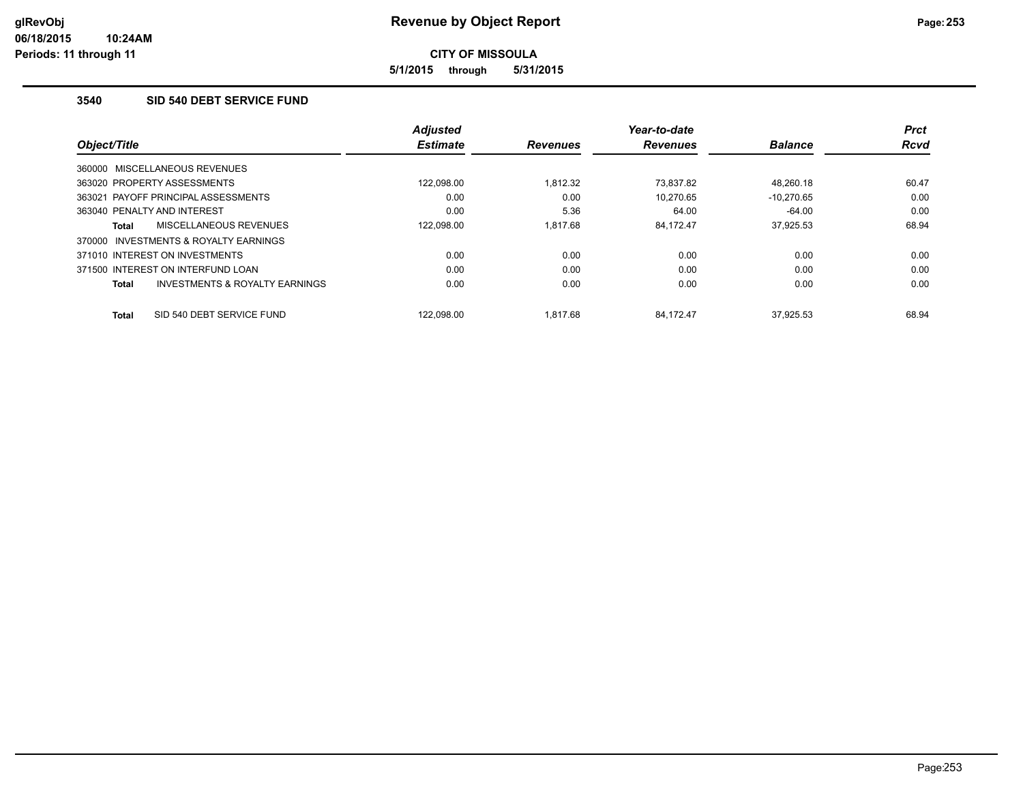**5/1/2015 through 5/31/2015**

# **3540 SID 540 DEBT SERVICE FUND**

| Object/Title                                        | <b>Adjusted</b><br><b>Estimate</b> | <b>Revenues</b> | Year-to-date<br><b>Revenues</b> | <b>Balance</b> | <b>Prct</b><br><b>Rcvd</b> |
|-----------------------------------------------------|------------------------------------|-----------------|---------------------------------|----------------|----------------------------|
| 360000 MISCELLANEOUS REVENUES                       |                                    |                 |                                 |                |                            |
| 363020 PROPERTY ASSESSMENTS                         | 122.098.00                         | 1.812.32        | 73.837.82                       | 48.260.18      | 60.47                      |
| 363021 PAYOFF PRINCIPAL ASSESSMENTS                 | 0.00                               | 0.00            | 10.270.65                       | $-10.270.65$   | 0.00                       |
| 363040 PENALTY AND INTEREST                         | 0.00                               | 5.36            | 64.00                           | $-64.00$       | 0.00                       |
| MISCELLANEOUS REVENUES<br>Total                     | 122,098.00                         | 1.817.68        | 84.172.47                       | 37,925.53      | 68.94                      |
| <b>INVESTMENTS &amp; ROYALTY EARNINGS</b><br>370000 |                                    |                 |                                 |                |                            |
| 371010 INTEREST ON INVESTMENTS                      | 0.00                               | 0.00            | 0.00                            | 0.00           | 0.00                       |
| 371500 INTEREST ON INTERFUND LOAN                   | 0.00                               | 0.00            | 0.00                            | 0.00           | 0.00                       |
| INVESTMENTS & ROYALTY EARNINGS<br>Total             | 0.00                               | 0.00            | 0.00                            | 0.00           | 0.00                       |
| SID 540 DEBT SERVICE FUND<br><b>Total</b>           | 122.098.00                         | 1.817.68        | 84.172.47                       | 37.925.53      | 68.94                      |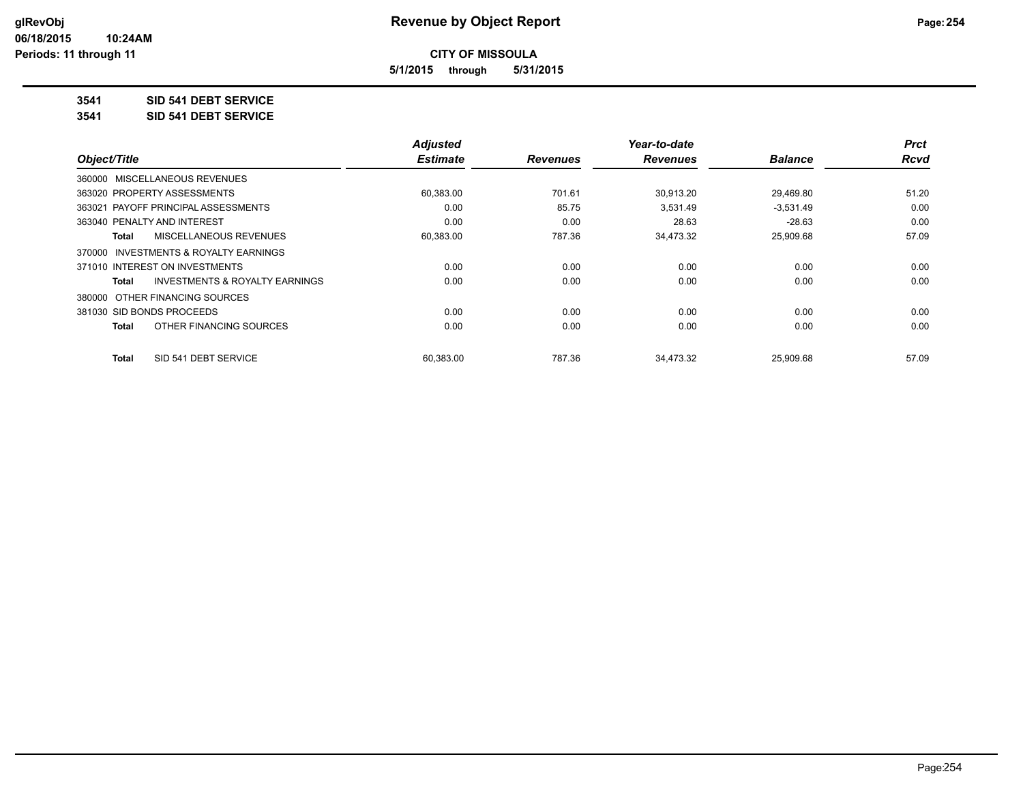**5/1/2015 through 5/31/2015**

# **3541 SID 541 DEBT SERVICE**

**3541 SID 541 DEBT SERVICE**

|                                          | <b>Adjusted</b> |                 | Year-to-date    |                | <b>Prct</b> |
|------------------------------------------|-----------------|-----------------|-----------------|----------------|-------------|
| Object/Title                             | <b>Estimate</b> | <b>Revenues</b> | <b>Revenues</b> | <b>Balance</b> | <b>Rcvd</b> |
| 360000 MISCELLANEOUS REVENUES            |                 |                 |                 |                |             |
| 363020 PROPERTY ASSESSMENTS              | 60,383.00       | 701.61          | 30,913.20       | 29,469.80      | 51.20       |
| 363021 PAYOFF PRINCIPAL ASSESSMENTS      | 0.00            | 85.75           | 3,531.49        | $-3,531.49$    | 0.00        |
| 363040 PENALTY AND INTEREST              | 0.00            | 0.00            | 28.63           | $-28.63$       | 0.00        |
| MISCELLANEOUS REVENUES<br>Total          | 60,383.00       | 787.36          | 34,473.32       | 25,909.68      | 57.09       |
| INVESTMENTS & ROYALTY EARNINGS<br>370000 |                 |                 |                 |                |             |
| 371010 INTEREST ON INVESTMENTS           | 0.00            | 0.00            | 0.00            | 0.00           | 0.00        |
| INVESTMENTS & ROYALTY EARNINGS<br>Total  | 0.00            | 0.00            | 0.00            | 0.00           | 0.00        |
| 380000 OTHER FINANCING SOURCES           |                 |                 |                 |                |             |
| 381030 SID BONDS PROCEEDS                | 0.00            | 0.00            | 0.00            | 0.00           | 0.00        |
| OTHER FINANCING SOURCES<br>Total         | 0.00            | 0.00            | 0.00            | 0.00           | 0.00        |
| SID 541 DEBT SERVICE<br>Total            | 60.383.00       | 787.36          | 34.473.32       | 25.909.68      | 57.09       |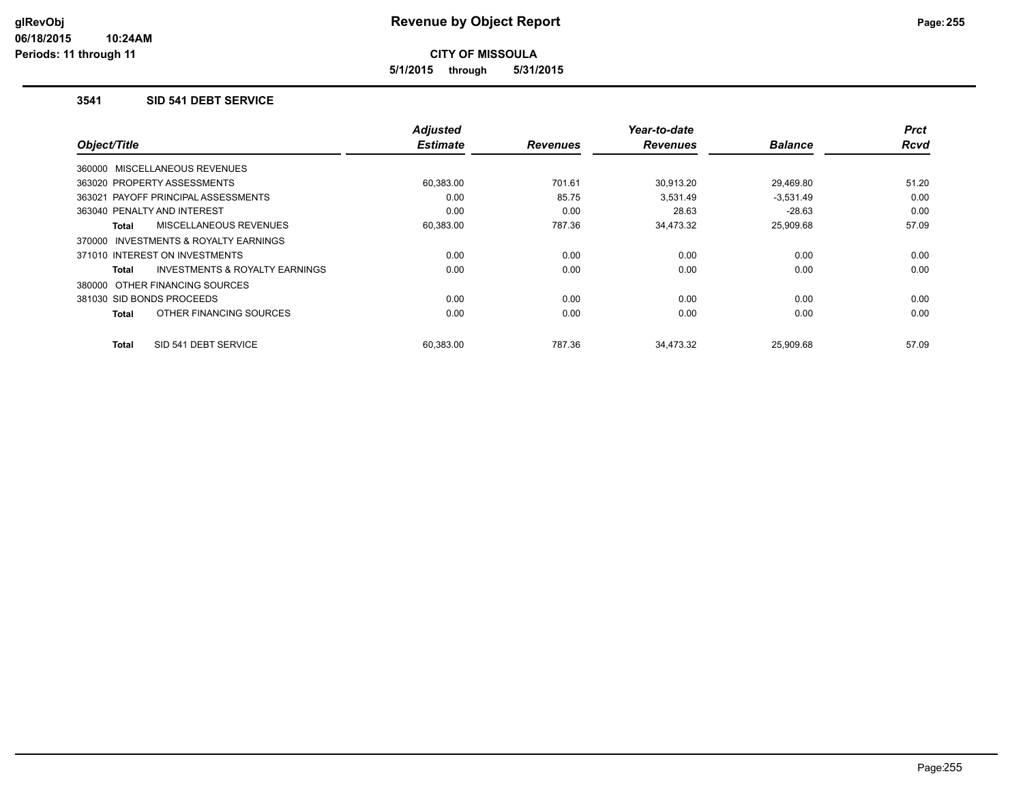**5/1/2015 through 5/31/2015**

#### **3541 SID 541 DEBT SERVICE**

| Object/Title                                       | <b>Adjusted</b><br><b>Estimate</b> | <b>Revenues</b> | Year-to-date<br><b>Revenues</b> | <b>Balance</b> | <b>Prct</b><br><b>Rcvd</b> |
|----------------------------------------------------|------------------------------------|-----------------|---------------------------------|----------------|----------------------------|
|                                                    |                                    |                 |                                 |                |                            |
| 360000 MISCELLANEOUS REVENUES                      |                                    |                 |                                 |                |                            |
| 363020 PROPERTY ASSESSMENTS                        | 60,383.00                          | 701.61          | 30,913.20                       | 29,469.80      | 51.20                      |
| 363021 PAYOFF PRINCIPAL ASSESSMENTS                | 0.00                               | 85.75           | 3,531.49                        | $-3,531.49$    | 0.00                       |
| 363040 PENALTY AND INTEREST                        | 0.00                               | 0.00            | 28.63                           | $-28.63$       | 0.00                       |
| MISCELLANEOUS REVENUES<br>Total                    | 60,383.00                          | 787.36          | 34,473.32                       | 25,909.68      | 57.09                      |
| INVESTMENTS & ROYALTY EARNINGS<br>370000           |                                    |                 |                                 |                |                            |
| 371010 INTEREST ON INVESTMENTS                     | 0.00                               | 0.00            | 0.00                            | 0.00           | 0.00                       |
| <b>INVESTMENTS &amp; ROYALTY EARNINGS</b><br>Total | 0.00                               | 0.00            | 0.00                            | 0.00           | 0.00                       |
| 380000 OTHER FINANCING SOURCES                     |                                    |                 |                                 |                |                            |
| 381030 SID BONDS PROCEEDS                          | 0.00                               | 0.00            | 0.00                            | 0.00           | 0.00                       |
| OTHER FINANCING SOURCES<br><b>Total</b>            | 0.00                               | 0.00            | 0.00                            | 0.00           | 0.00                       |
| SID 541 DEBT SERVICE<br><b>Total</b>               | 60,383.00                          | 787.36          | 34,473.32                       | 25,909.68      | 57.09                      |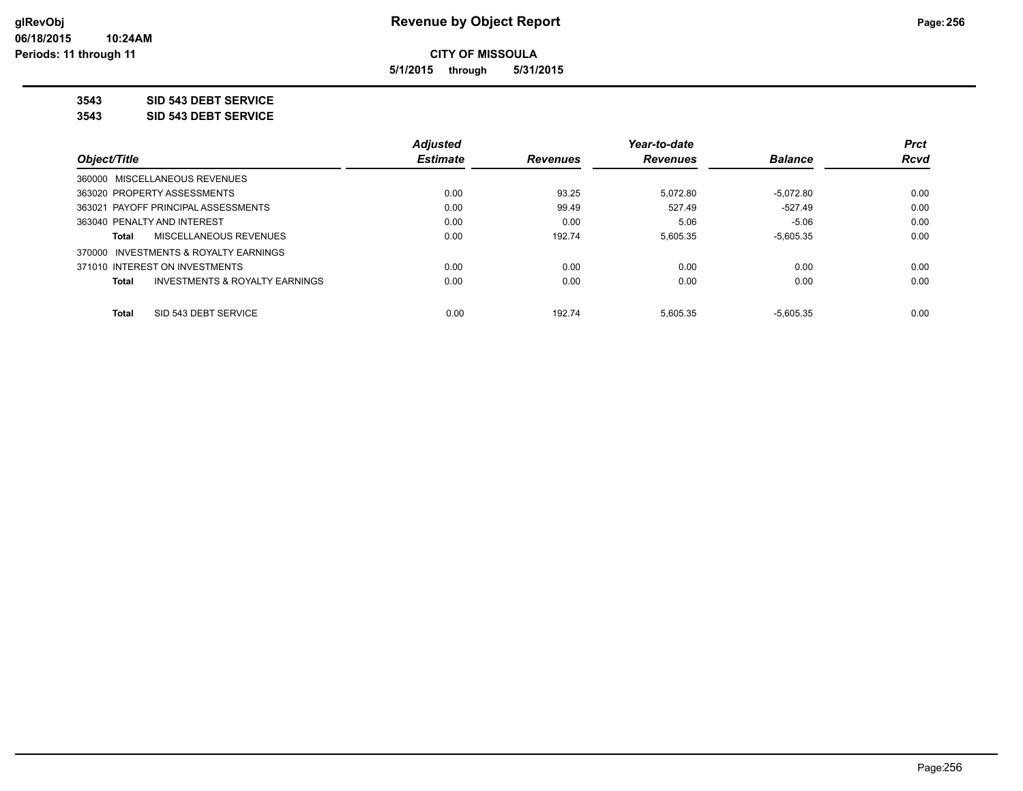**5/1/2015 through 5/31/2015**

**3543 SID 543 DEBT SERVICE**

**3543 SID 543 DEBT SERVICE**

|                                                           | <b>Adjusted</b> |                 | Year-to-date    |                | <b>Prct</b> |
|-----------------------------------------------------------|-----------------|-----------------|-----------------|----------------|-------------|
| Object/Title                                              | <b>Estimate</b> | <b>Revenues</b> | <b>Revenues</b> | <b>Balance</b> | <b>Rcvd</b> |
| 360000 MISCELLANEOUS REVENUES                             |                 |                 |                 |                |             |
| 363020 PROPERTY ASSESSMENTS                               | 0.00            | 93.25           | 5.072.80        | $-5.072.80$    | 0.00        |
| 363021 PAYOFF PRINCIPAL ASSESSMENTS                       | 0.00            | 99.49           | 527.49          | $-527.49$      | 0.00        |
| 363040 PENALTY AND INTEREST                               | 0.00            | 0.00            | 5.06            | $-5.06$        | 0.00        |
| MISCELLANEOUS REVENUES<br>Total                           | 0.00            | 192.74          | 5.605.35        | $-5.605.35$    | 0.00        |
| 370000 INVESTMENTS & ROYALTY EARNINGS                     |                 |                 |                 |                |             |
| 371010 INTEREST ON INVESTMENTS                            | 0.00            | 0.00            | 0.00            | 0.00           | 0.00        |
| <b>INVESTMENTS &amp; ROYALTY EARNINGS</b><br><b>Total</b> | 0.00            | 0.00            | 0.00            | 0.00           | 0.00        |
| SID 543 DEBT SERVICE<br><b>Total</b>                      | 0.00            | 192.74          | 5.605.35        | $-5.605.35$    | 0.00        |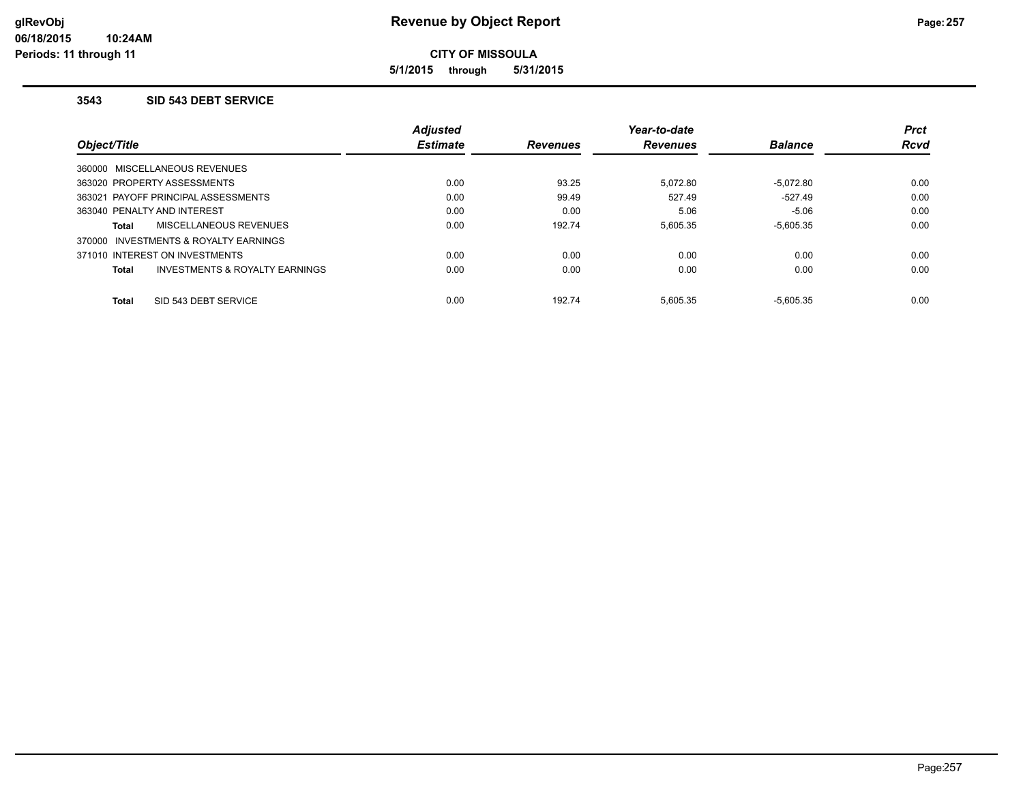**5/1/2015 through 5/31/2015**

#### **3543 SID 543 DEBT SERVICE**

|                                                           | <b>Adjusted</b> |                 | Year-to-date    |                | <b>Prct</b> |
|-----------------------------------------------------------|-----------------|-----------------|-----------------|----------------|-------------|
| Object/Title                                              | <b>Estimate</b> | <b>Revenues</b> | <b>Revenues</b> | <b>Balance</b> | <b>Rcvd</b> |
| 360000 MISCELLANEOUS REVENUES                             |                 |                 |                 |                |             |
| 363020 PROPERTY ASSESSMENTS                               | 0.00            | 93.25           | 5.072.80        | $-5.072.80$    | 0.00        |
| 363021 PAYOFF PRINCIPAL ASSESSMENTS                       | 0.00            | 99.49           | 527.49          | $-527.49$      | 0.00        |
| 363040 PENALTY AND INTEREST                               | 0.00            | 0.00            | 5.06            | $-5.06$        | 0.00        |
| MISCELLANEOUS REVENUES<br><b>Total</b>                    | 0.00            | 192.74          | 5.605.35        | $-5.605.35$    | 0.00        |
| 370000 INVESTMENTS & ROYALTY EARNINGS                     |                 |                 |                 |                |             |
| 371010 INTEREST ON INVESTMENTS                            | 0.00            | 0.00            | 0.00            | 0.00           | 0.00        |
| <b>INVESTMENTS &amp; ROYALTY EARNINGS</b><br><b>Total</b> | 0.00            | 0.00            | 0.00            | 0.00           | 0.00        |
| SID 543 DEBT SERVICE<br><b>Total</b>                      | 0.00            | 192.74          | 5.605.35        | $-5.605.35$    | 0.00        |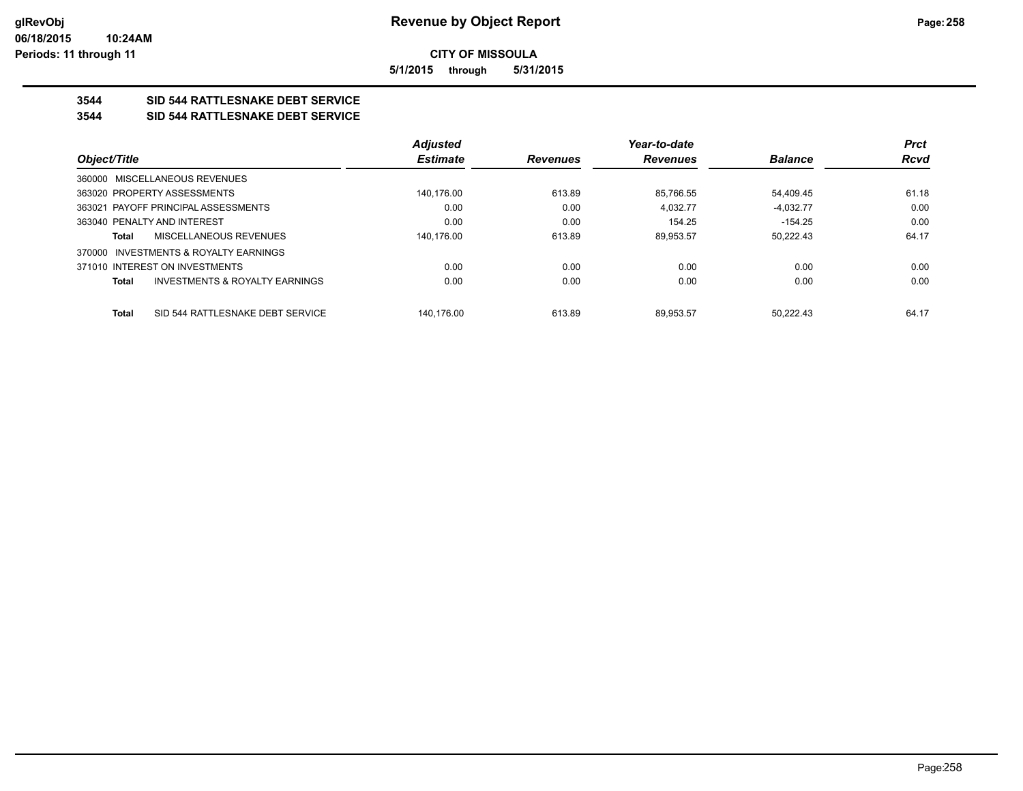**5/1/2015 through 5/31/2015**

# **3544 SID 544 RATTLESNAKE DEBT SERVICE**

#### **3544 SID 544 RATTLESNAKE DEBT SERVICE**

|              |                                           | <b>Adjusted</b> |                 | Year-to-date    |                | <b>Prct</b> |
|--------------|-------------------------------------------|-----------------|-----------------|-----------------|----------------|-------------|
| Object/Title |                                           | <b>Estimate</b> | <b>Revenues</b> | <b>Revenues</b> | <b>Balance</b> | Rcvd        |
|              | 360000 MISCELLANEOUS REVENUES             |                 |                 |                 |                |             |
|              | 363020 PROPERTY ASSESSMENTS               | 140,176.00      | 613.89          | 85,766.55       | 54,409.45      | 61.18       |
|              | 363021 PAYOFF PRINCIPAL ASSESSMENTS       | 0.00            | 0.00            | 4.032.77        | $-4.032.77$    | 0.00        |
|              | 363040 PENALTY AND INTEREST               | 0.00            | 0.00            | 154.25          | $-154.25$      | 0.00        |
| <b>Total</b> | MISCELLANEOUS REVENUES                    | 140.176.00      | 613.89          | 89.953.57       | 50.222.43      | 64.17       |
|              | 370000 INVESTMENTS & ROYALTY EARNINGS     |                 |                 |                 |                |             |
|              | 371010 INTEREST ON INVESTMENTS            | 0.00            | 0.00            | 0.00            | 0.00           | 0.00        |
| <b>Total</b> | <b>INVESTMENTS &amp; ROYALTY EARNINGS</b> | 0.00            | 0.00            | 0.00            | 0.00           | 0.00        |
| <b>Total</b> | SID 544 RATTLESNAKE DEBT SERVICE          | 140.176.00      | 613.89          | 89.953.57       | 50.222.43      | 64.17       |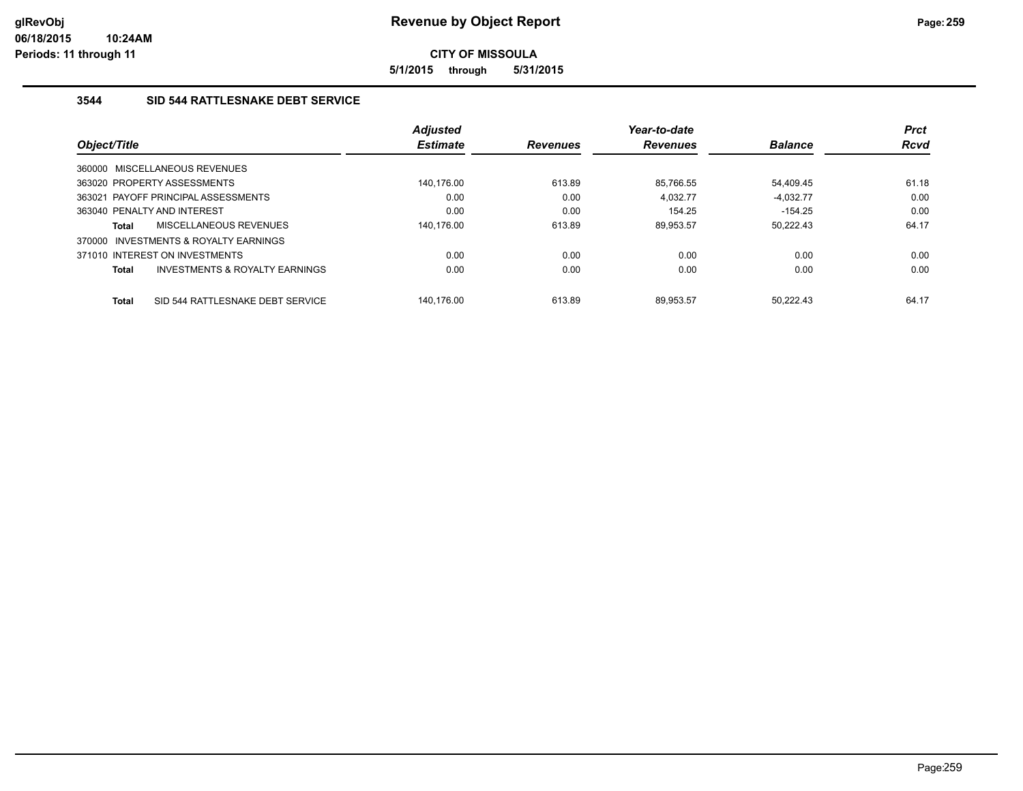**5/1/2015 through 5/31/2015**

# **3544 SID 544 RATTLESNAKE DEBT SERVICE**

|              |                                     | <b>Adjusted</b> |                 | Year-to-date    |                | <b>Prct</b> |
|--------------|-------------------------------------|-----------------|-----------------|-----------------|----------------|-------------|
| Object/Title |                                     | <b>Estimate</b> | <b>Revenues</b> | <b>Revenues</b> | <b>Balance</b> | <b>Rcvd</b> |
|              | 360000 MISCELLANEOUS REVENUES       |                 |                 |                 |                |             |
|              | 363020 PROPERTY ASSESSMENTS         | 140.176.00      | 613.89          | 85.766.55       | 54.409.45      | 61.18       |
|              | 363021 PAYOFF PRINCIPAL ASSESSMENTS | 0.00            | 0.00            | 4.032.77        | $-4.032.77$    | 0.00        |
|              | 363040 PENALTY AND INTEREST         | 0.00            | 0.00            | 154.25          | $-154.25$      | 0.00        |
| <b>Total</b> | MISCELLANEOUS REVENUES              | 140.176.00      | 613.89          | 89.953.57       | 50.222.43      | 64.17       |
| 370000       | INVESTMENTS & ROYALTY EARNINGS      |                 |                 |                 |                |             |
|              | 371010 INTEREST ON INVESTMENTS      | 0.00            | 0.00            | 0.00            | 0.00           | 0.00        |
| <b>Total</b> | INVESTMENTS & ROYALTY EARNINGS      | 0.00            | 0.00            | 0.00            | 0.00           | 0.00        |
| <b>Total</b> | SID 544 RATTLESNAKE DEBT SERVICE    | 140.176.00      | 613.89          | 89.953.57       | 50.222.43      | 64.17       |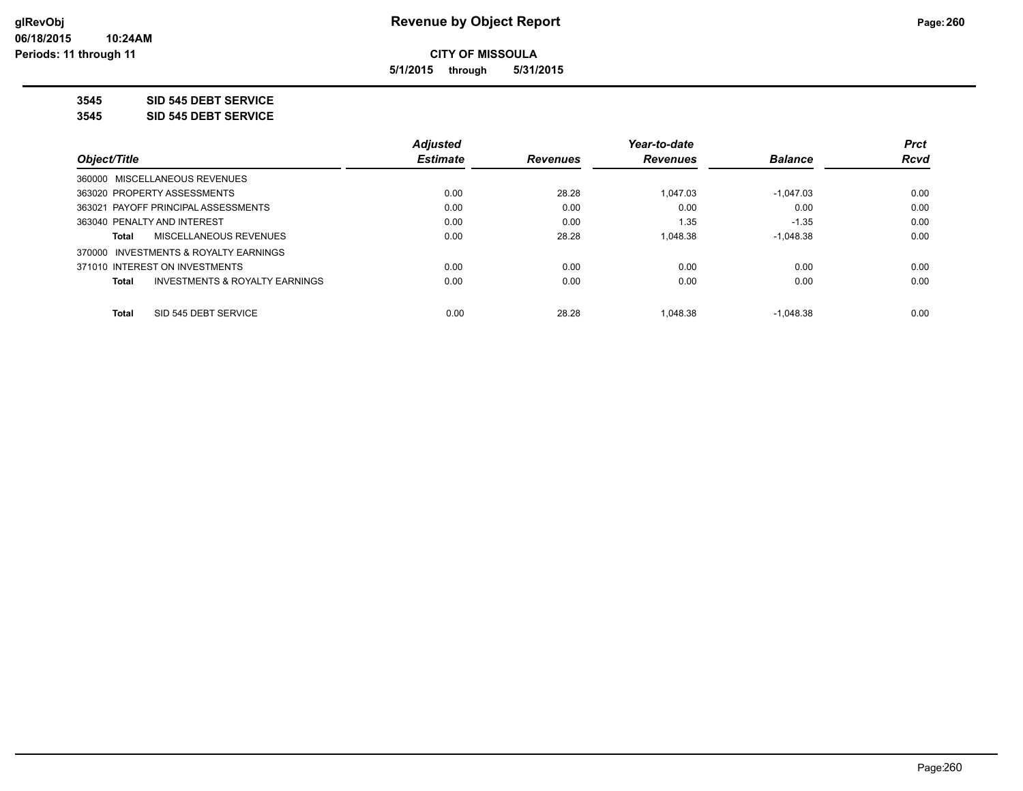**5/1/2015 through 5/31/2015**

**3545 SID 545 DEBT SERVICE**

**3545 SID 545 DEBT SERVICE**

|                                                | <b>Adjusted</b> |                 | Year-to-date    |                | <b>Prct</b> |
|------------------------------------------------|-----------------|-----------------|-----------------|----------------|-------------|
| Object/Title                                   | <b>Estimate</b> | <b>Revenues</b> | <b>Revenues</b> | <b>Balance</b> | Rcvd        |
| 360000 MISCELLANEOUS REVENUES                  |                 |                 |                 |                |             |
| 363020 PROPERTY ASSESSMENTS                    | 0.00            | 28.28           | 1.047.03        | $-1.047.03$    | 0.00        |
| 363021 PAYOFF PRINCIPAL ASSESSMENTS            | 0.00            | 0.00            | 0.00            | 0.00           | 0.00        |
| 363040 PENALTY AND INTEREST                    | 0.00            | 0.00            | 1.35            | $-1.35$        | 0.00        |
| MISCELLANEOUS REVENUES<br>Total                | 0.00            | 28.28           | 1,048.38        | $-1.048.38$    | 0.00        |
| 370000 INVESTMENTS & ROYALTY EARNINGS          |                 |                 |                 |                |             |
| 371010 INTEREST ON INVESTMENTS                 | 0.00            | 0.00            | 0.00            | 0.00           | 0.00        |
| INVESTMENTS & ROYALTY EARNINGS<br><b>Total</b> | 0.00            | 0.00            | 0.00            | 0.00           | 0.00        |
| SID 545 DEBT SERVICE<br>Total                  | 0.00            | 28.28           | 1.048.38        | $-1.048.38$    | 0.00        |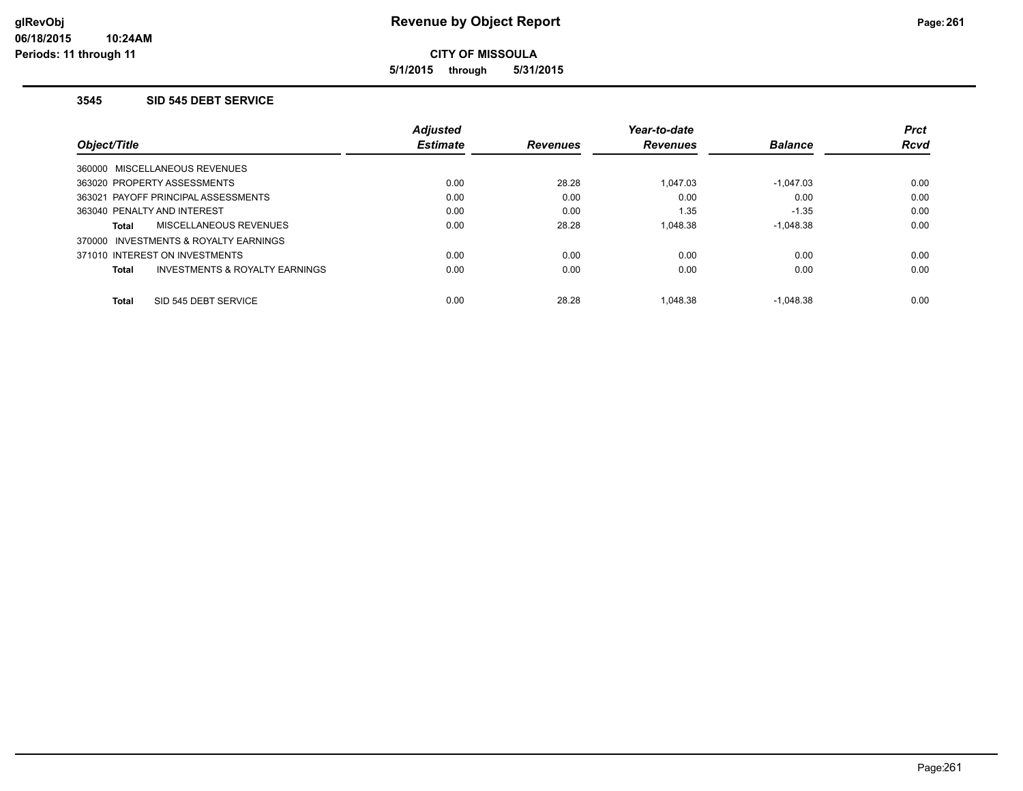**5/1/2015 through 5/31/2015**

#### **3545 SID 545 DEBT SERVICE**

|                                                | <b>Adjusted</b> |                 | Year-to-date    |                | <b>Prct</b> |
|------------------------------------------------|-----------------|-----------------|-----------------|----------------|-------------|
| Object/Title                                   | <b>Estimate</b> | <b>Revenues</b> | <b>Revenues</b> | <b>Balance</b> | <b>Rcvd</b> |
| 360000 MISCELLANEOUS REVENUES                  |                 |                 |                 |                |             |
| 363020 PROPERTY ASSESSMENTS                    | 0.00            | 28.28           | 1.047.03        | $-1.047.03$    | 0.00        |
| 363021 PAYOFF PRINCIPAL ASSESSMENTS            | 0.00            | 0.00            | 0.00            | 0.00           | 0.00        |
| 363040 PENALTY AND INTEREST                    | 0.00            | 0.00            | 1.35            | $-1.35$        | 0.00        |
| MISCELLANEOUS REVENUES<br><b>Total</b>         | 0.00            | 28.28           | 1.048.38        | $-1.048.38$    | 0.00        |
| 370000 INVESTMENTS & ROYALTY EARNINGS          |                 |                 |                 |                |             |
| 371010 INTEREST ON INVESTMENTS                 | 0.00            | 0.00            | 0.00            | 0.00           | 0.00        |
| INVESTMENTS & ROYALTY EARNINGS<br><b>Total</b> | 0.00            | 0.00            | 0.00            | 0.00           | 0.00        |
| SID 545 DEBT SERVICE<br><b>Total</b>           | 0.00            | 28.28           | 1.048.38        | $-1.048.38$    | 0.00        |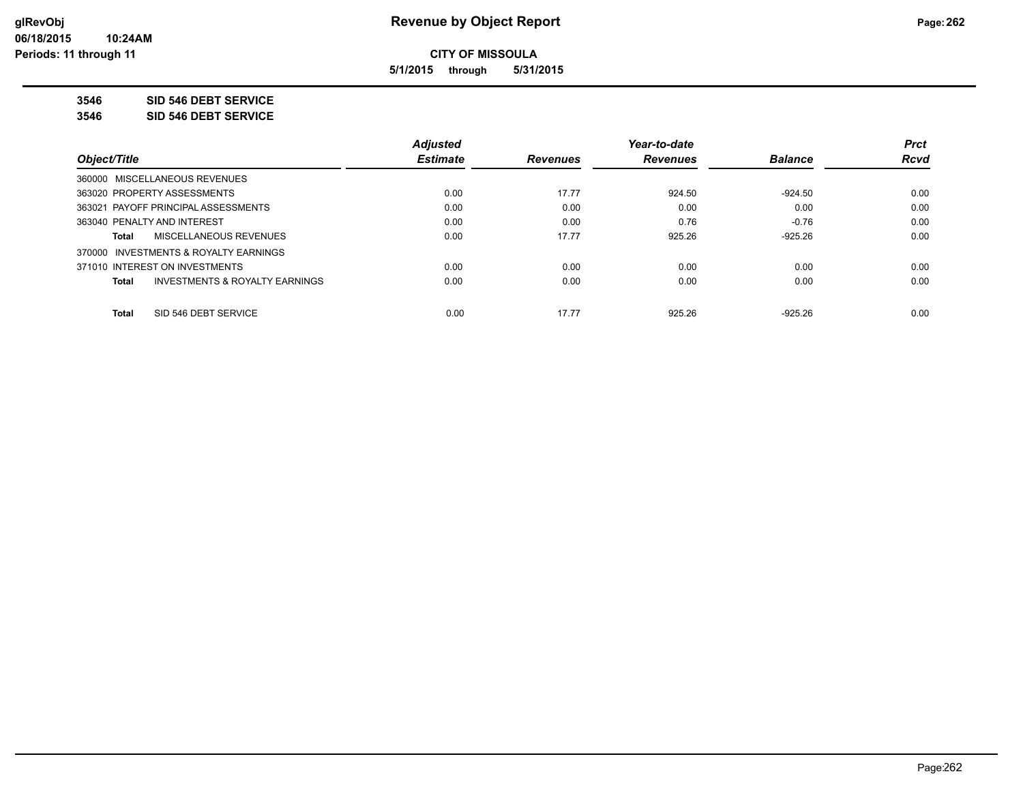**5/1/2015 through 5/31/2015**

**3546 SID 546 DEBT SERVICE**

**3546 SID 546 DEBT SERVICE**

|                                         | <b>Adjusted</b> |                 | Year-to-date    |                | <b>Prct</b> |
|-----------------------------------------|-----------------|-----------------|-----------------|----------------|-------------|
| Object/Title                            | <b>Estimate</b> | <b>Revenues</b> | <b>Revenues</b> | <b>Balance</b> | Rcvd        |
| 360000 MISCELLANEOUS REVENUES           |                 |                 |                 |                |             |
| 363020 PROPERTY ASSESSMENTS             | 0.00            | 17.77           | 924.50          | $-924.50$      | 0.00        |
| 363021 PAYOFF PRINCIPAL ASSESSMENTS     | 0.00            | 0.00            | 0.00            | 0.00           | 0.00        |
| 363040 PENALTY AND INTEREST             | 0.00            | 0.00            | 0.76            | $-0.76$        | 0.00        |
| <b>MISCELLANEOUS REVENUES</b><br>Total  | 0.00            | 17.77           | 925.26          | $-925.26$      | 0.00        |
| 370000 INVESTMENTS & ROYALTY EARNINGS   |                 |                 |                 |                |             |
| 371010 INTEREST ON INVESTMENTS          | 0.00            | 0.00            | 0.00            | 0.00           | 0.00        |
| INVESTMENTS & ROYALTY EARNINGS<br>Total | 0.00            | 0.00            | 0.00            | 0.00           | 0.00        |
| SID 546 DEBT SERVICE<br><b>Total</b>    | 0.00            | 17.77           | 925.26          | $-925.26$      | 0.00        |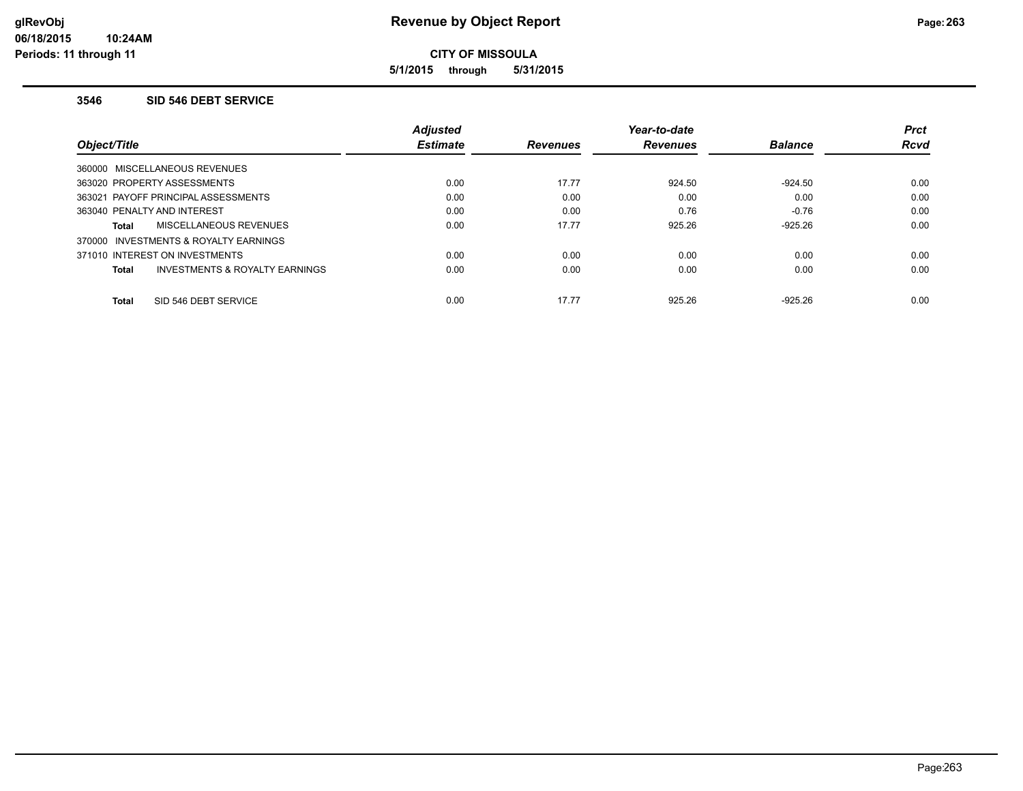**5/1/2015 through 5/31/2015**

#### **3546 SID 546 DEBT SERVICE**

|                                                | <b>Adjusted</b> |                 | Year-to-date    |                | <b>Prct</b> |
|------------------------------------------------|-----------------|-----------------|-----------------|----------------|-------------|
| Object/Title                                   | <b>Estimate</b> | <b>Revenues</b> | <b>Revenues</b> | <b>Balance</b> | <b>Rcvd</b> |
| 360000 MISCELLANEOUS REVENUES                  |                 |                 |                 |                |             |
| 363020 PROPERTY ASSESSMENTS                    | 0.00            | 17.77           | 924.50          | $-924.50$      | 0.00        |
| 363021 PAYOFF PRINCIPAL ASSESSMENTS            | 0.00            | 0.00            | 0.00            | 0.00           | 0.00        |
| 363040 PENALTY AND INTEREST                    | 0.00            | 0.00            | 0.76            | $-0.76$        | 0.00        |
| MISCELLANEOUS REVENUES<br><b>Total</b>         | 0.00            | 17.77           | 925.26          | $-925.26$      | 0.00        |
| 370000 INVESTMENTS & ROYALTY EARNINGS          |                 |                 |                 |                |             |
| 371010 INTEREST ON INVESTMENTS                 | 0.00            | 0.00            | 0.00            | 0.00           | 0.00        |
| INVESTMENTS & ROYALTY EARNINGS<br><b>Total</b> | 0.00            | 0.00            | 0.00            | 0.00           | 0.00        |
| SID 546 DEBT SERVICE<br><b>Total</b>           | 0.00            | 17.77           | 925.26          | $-925.26$      | 0.00        |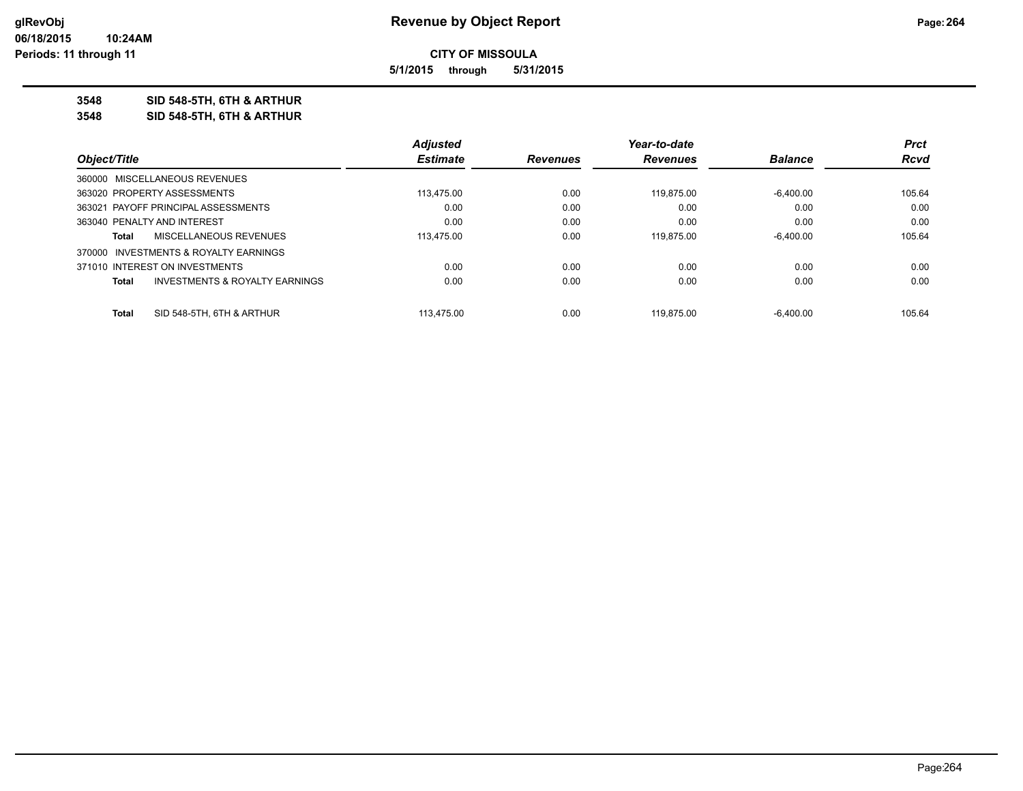**5/1/2015 through 5/31/2015**

## **3548 SID 548-5TH, 6TH & ARTHUR**

**3548 SID 548-5TH, 6TH & ARTHUR**

| <b>Prct</b>            |
|------------------------|
| <b>Balance</b><br>Rcvd |
|                        |
| 105.64<br>$-6.400.00$  |
| 0.00<br>0.00           |
| 0.00<br>0.00           |
| $-6.400.00$<br>105.64  |
|                        |
| 0.00<br>0.00           |
| 0.00<br>0.00           |
| $-6.400.00$<br>105.64  |
|                        |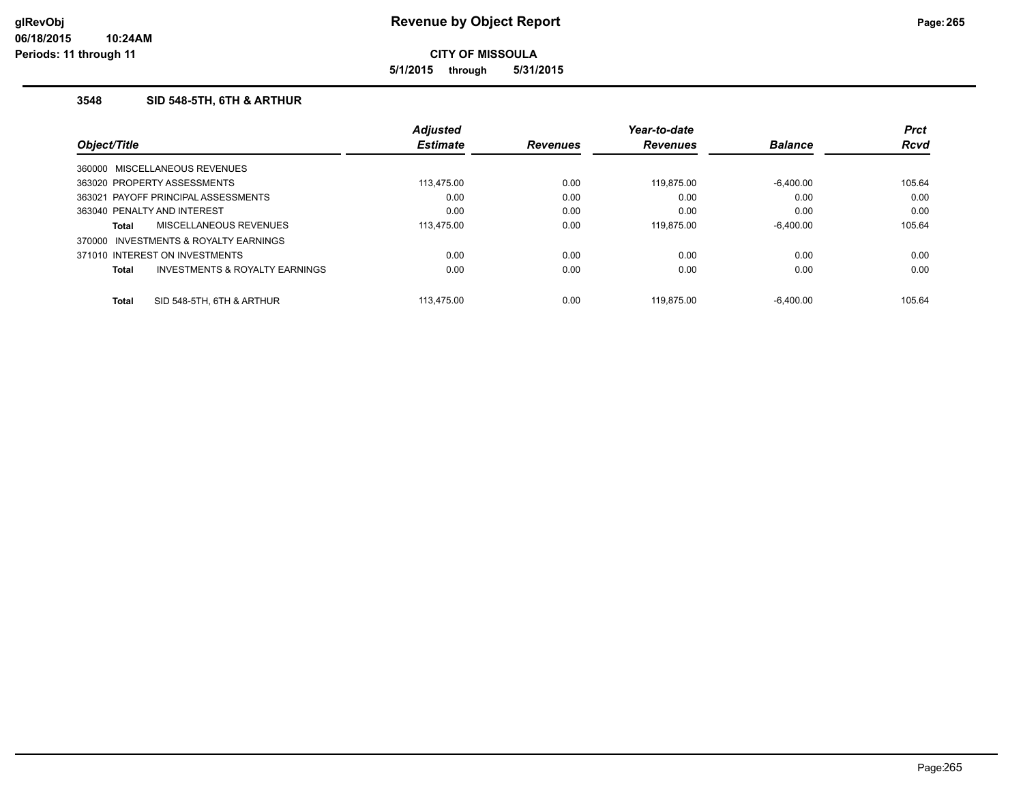**5/1/2015 through 5/31/2015**

# **3548 SID 548-5TH, 6TH & ARTHUR**

|              |                                           | <b>Adjusted</b> |                 | Year-to-date    |                | <b>Prct</b> |
|--------------|-------------------------------------------|-----------------|-----------------|-----------------|----------------|-------------|
| Object/Title |                                           | <b>Estimate</b> | <b>Revenues</b> | <b>Revenues</b> | <b>Balance</b> | <b>Rcvd</b> |
|              | 360000 MISCELLANEOUS REVENUES             |                 |                 |                 |                |             |
|              | 363020 PROPERTY ASSESSMENTS               | 113.475.00      | 0.00            | 119.875.00      | $-6.400.00$    | 105.64      |
|              | 363021 PAYOFF PRINCIPAL ASSESSMENTS       | 0.00            | 0.00            | 0.00            | 0.00           | 0.00        |
|              | 363040 PENALTY AND INTEREST               | 0.00            | 0.00            | 0.00            | 0.00           | 0.00        |
| Total        | MISCELLANEOUS REVENUES                    | 113.475.00      | 0.00            | 119.875.00      | $-6.400.00$    | 105.64      |
|              | 370000 INVESTMENTS & ROYALTY EARNINGS     |                 |                 |                 |                |             |
|              | 371010 INTEREST ON INVESTMENTS            | 0.00            | 0.00            | 0.00            | 0.00           | 0.00        |
| Total        | <b>INVESTMENTS &amp; ROYALTY EARNINGS</b> | 0.00            | 0.00            | 0.00            | 0.00           | 0.00        |
| <b>Total</b> | SID 548-5TH, 6TH & ARTHUR                 | 113.475.00      | 0.00            | 119.875.00      | $-6.400.00$    | 105.64      |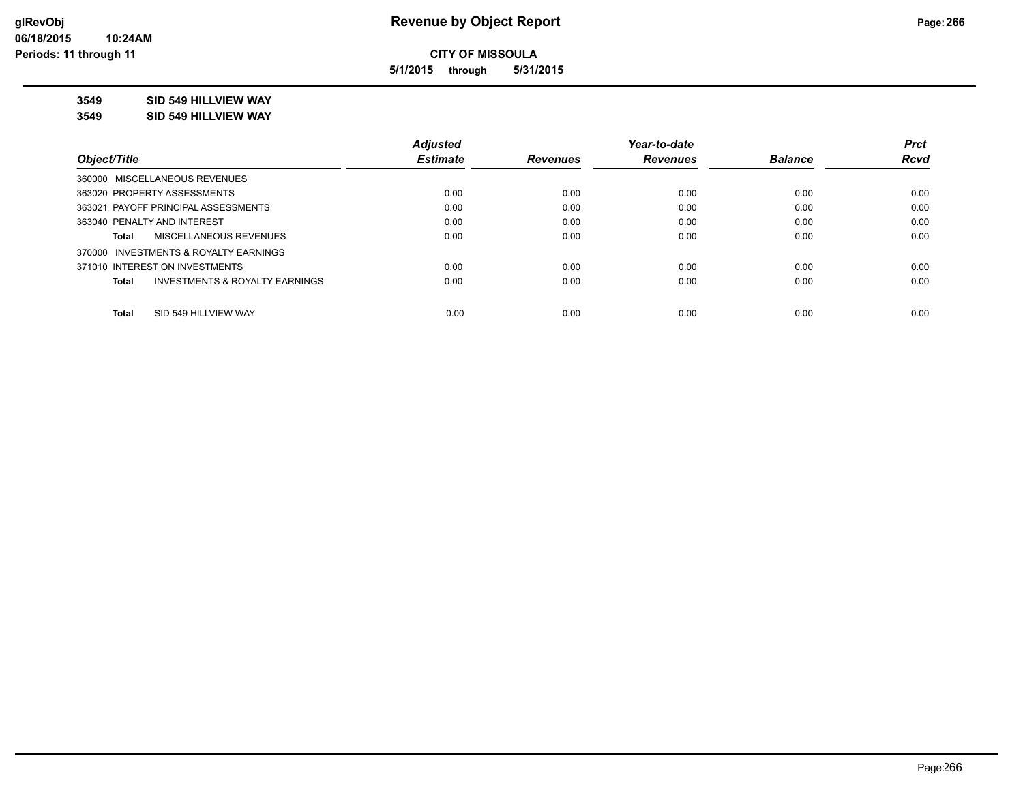**5/1/2015 through 5/31/2015**

# **3549 SID 549 HILLVIEW WAY**

**3549 SID 549 HILLVIEW WAY**

|                                                    | <b>Adjusted</b> |                 | Year-to-date    |                | <b>Prct</b> |
|----------------------------------------------------|-----------------|-----------------|-----------------|----------------|-------------|
| Object/Title                                       | <b>Estimate</b> | <b>Revenues</b> | <b>Revenues</b> | <b>Balance</b> | <b>Rcvd</b> |
| 360000 MISCELLANEOUS REVENUES                      |                 |                 |                 |                |             |
| 363020 PROPERTY ASSESSMENTS                        | 0.00            | 0.00            | 0.00            | 0.00           | 0.00        |
| 363021 PAYOFF PRINCIPAL ASSESSMENTS                | 0.00            | 0.00            | 0.00            | 0.00           | 0.00        |
| 363040 PENALTY AND INTEREST                        | 0.00            | 0.00            | 0.00            | 0.00           | 0.00        |
| MISCELLANEOUS REVENUES<br>Total                    | 0.00            | 0.00            | 0.00            | 0.00           | 0.00        |
| 370000 INVESTMENTS & ROYALTY EARNINGS              |                 |                 |                 |                |             |
| 371010 INTEREST ON INVESTMENTS                     | 0.00            | 0.00            | 0.00            | 0.00           | 0.00        |
| <b>INVESTMENTS &amp; ROYALTY EARNINGS</b><br>Total | 0.00            | 0.00            | 0.00            | 0.00           | 0.00        |
| SID 549 HILLVIEW WAY<br>Total                      | 0.00            | 0.00            | 0.00            | 0.00           | 0.00        |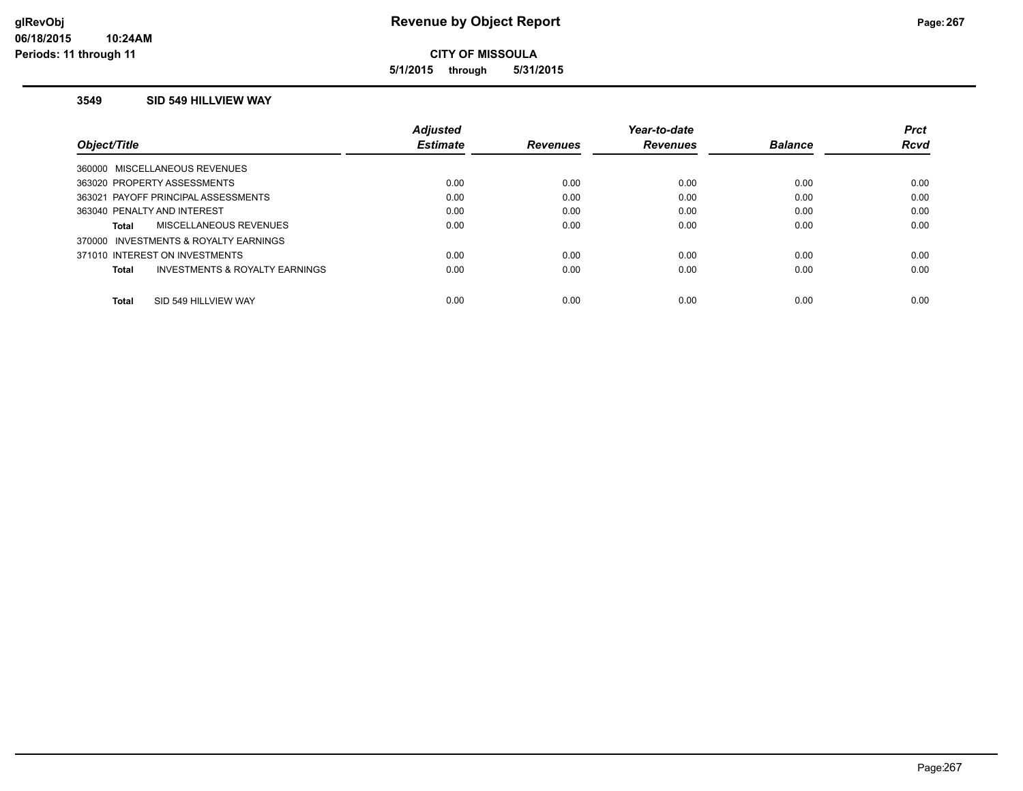**5/1/2015 through 5/31/2015**

#### **3549 SID 549 HILLVIEW WAY**

|                                          | Adjusted        |                 | Year-to-date    |                | <b>Prct</b> |
|------------------------------------------|-----------------|-----------------|-----------------|----------------|-------------|
| Object/Title                             | <b>Estimate</b> | <b>Revenues</b> | <b>Revenues</b> | <b>Balance</b> | <b>Rcvd</b> |
| 360000 MISCELLANEOUS REVENUES            |                 |                 |                 |                |             |
| 363020 PROPERTY ASSESSMENTS              | 0.00            | 0.00            | 0.00            | 0.00           | 0.00        |
| 363021 PAYOFF PRINCIPAL ASSESSMENTS      | 0.00            | 0.00            | 0.00            | 0.00           | 0.00        |
| 363040 PENALTY AND INTEREST              | 0.00            | 0.00            | 0.00            | 0.00           | 0.00        |
| MISCELLANEOUS REVENUES<br>Total          | 0.00            | 0.00            | 0.00            | 0.00           | 0.00        |
| INVESTMENTS & ROYALTY EARNINGS<br>370000 |                 |                 |                 |                |             |
| 371010 INTEREST ON INVESTMENTS           | 0.00            | 0.00            | 0.00            | 0.00           | 0.00        |
| INVESTMENTS & ROYALTY EARNINGS<br>Total  | 0.00            | 0.00            | 0.00            | 0.00           | 0.00        |
| SID 549 HILLVIEW WAY<br><b>Total</b>     | 0.00            | 0.00            | 0.00            | 0.00           | 0.00        |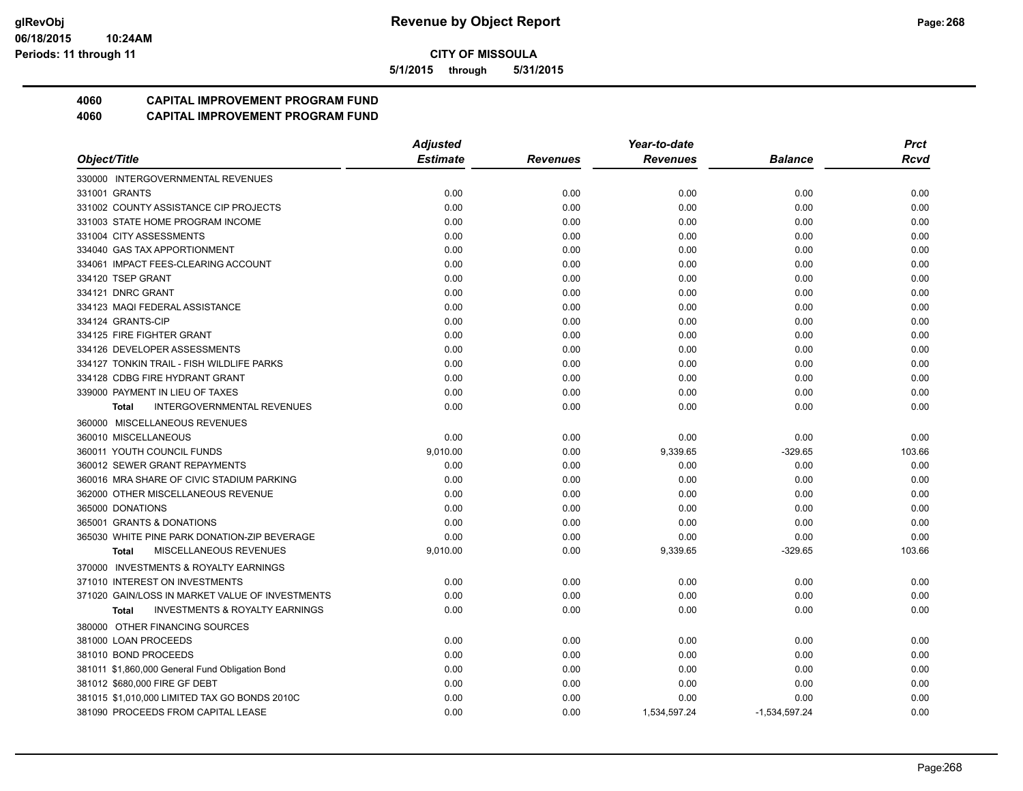**5/1/2015 through 5/31/2015**

# **4060 CAPITAL IMPROVEMENT PROGRAM FUND**

|                                                           | <b>Adjusted</b> |                 | Year-to-date    |                 | <b>Prct</b> |
|-----------------------------------------------------------|-----------------|-----------------|-----------------|-----------------|-------------|
| Object/Title                                              | <b>Estimate</b> | <b>Revenues</b> | <b>Revenues</b> | Balance         | Rcvd        |
| 330000 INTERGOVERNMENTAL REVENUES                         |                 |                 |                 |                 |             |
| 331001 GRANTS                                             | 0.00            | 0.00            | 0.00            | 0.00            | 0.00        |
| 331002 COUNTY ASSISTANCE CIP PROJECTS                     | 0.00            | 0.00            | 0.00            | 0.00            | 0.00        |
| 331003 STATE HOME PROGRAM INCOME                          | 0.00            | 0.00            | 0.00            | 0.00            | 0.00        |
| 331004 CITY ASSESSMENTS                                   | 0.00            | 0.00            | 0.00            | 0.00            | 0.00        |
| 334040 GAS TAX APPORTIONMENT                              | 0.00            | 0.00            | 0.00            | 0.00            | 0.00        |
| 334061 IMPACT FEES-CLEARING ACCOUNT                       | 0.00            | 0.00            | 0.00            | 0.00            | 0.00        |
| 334120 TSEP GRANT                                         | 0.00            | 0.00            | 0.00            | 0.00            | 0.00        |
| 334121 DNRC GRANT                                         | 0.00            | 0.00            | 0.00            | 0.00            | 0.00        |
| 334123 MAQI FEDERAL ASSISTANCE                            | 0.00            | 0.00            | 0.00            | 0.00            | 0.00        |
| 334124 GRANTS-CIP                                         | 0.00            | 0.00            | 0.00            | 0.00            | 0.00        |
| 334125 FIRE FIGHTER GRANT                                 | 0.00            | 0.00            | 0.00            | 0.00            | 0.00        |
| 334126 DEVELOPER ASSESSMENTS                              | 0.00            | 0.00            | 0.00            | 0.00            | 0.00        |
| 334127 TONKIN TRAIL - FISH WILDLIFE PARKS                 | 0.00            | 0.00            | 0.00            | 0.00            | 0.00        |
| 334128 CDBG FIRE HYDRANT GRANT                            | 0.00            | 0.00            | 0.00            | 0.00            | 0.00        |
| 339000 PAYMENT IN LIEU OF TAXES                           | 0.00            | 0.00            | 0.00            | 0.00            | 0.00        |
| <b>INTERGOVERNMENTAL REVENUES</b><br><b>Total</b>         | 0.00            | 0.00            | 0.00            | 0.00            | 0.00        |
| 360000 MISCELLANEOUS REVENUES                             |                 |                 |                 |                 |             |
| 360010 MISCELLANEOUS                                      | 0.00            | 0.00            | 0.00            | 0.00            | 0.00        |
| 360011 YOUTH COUNCIL FUNDS                                | 9,010.00        | 0.00            | 9,339.65        | $-329.65$       | 103.66      |
| 360012 SEWER GRANT REPAYMENTS                             | 0.00            | 0.00            | 0.00            | 0.00            | 0.00        |
| 360016 MRA SHARE OF CIVIC STADIUM PARKING                 | 0.00            | 0.00            | 0.00            | 0.00            | 0.00        |
| 362000 OTHER MISCELLANEOUS REVENUE                        | 0.00            | 0.00            | 0.00            | 0.00            | 0.00        |
| 365000 DONATIONS                                          | 0.00            | 0.00            | 0.00            | 0.00            | 0.00        |
| 365001 GRANTS & DONATIONS                                 | 0.00            | 0.00            | 0.00            | 0.00            | 0.00        |
| 365030 WHITE PINE PARK DONATION-ZIP BEVERAGE              | 0.00            | 0.00            | 0.00            | 0.00            | 0.00        |
| MISCELLANEOUS REVENUES<br><b>Total</b>                    | 9,010.00        | 0.00            | 9,339.65        | $-329.65$       | 103.66      |
| 370000 INVESTMENTS & ROYALTY EARNINGS                     |                 |                 |                 |                 |             |
| 371010 INTEREST ON INVESTMENTS                            | 0.00            | 0.00            | 0.00            | 0.00            | 0.00        |
| 371020 GAIN/LOSS IN MARKET VALUE OF INVESTMENTS           | 0.00            | 0.00            | 0.00            | 0.00            | 0.00        |
| <b>INVESTMENTS &amp; ROYALTY EARNINGS</b><br><b>Total</b> | 0.00            | 0.00            | 0.00            | 0.00            | 0.00        |
| 380000 OTHER FINANCING SOURCES                            |                 |                 |                 |                 |             |
| 381000 LOAN PROCEEDS                                      | 0.00            | 0.00            | 0.00            | 0.00            | 0.00        |
| 381010 BOND PROCEEDS                                      | 0.00            | 0.00            | 0.00            | 0.00            | 0.00        |
| 381011 \$1,860,000 General Fund Obligation Bond           | 0.00            | 0.00            | 0.00            | 0.00            | 0.00        |
| 381012 \$680,000 FIRE GF DEBT                             | 0.00            | 0.00            | 0.00            | 0.00            | 0.00        |
| 381015 \$1,010,000 LIMITED TAX GO BONDS 2010C             | 0.00            | 0.00            | 0.00            | 0.00            | 0.00        |
| 381090 PROCEEDS FROM CAPITAL LEASE                        | 0.00            | 0.00            | 1,534,597.24    | $-1,534,597.24$ | 0.00        |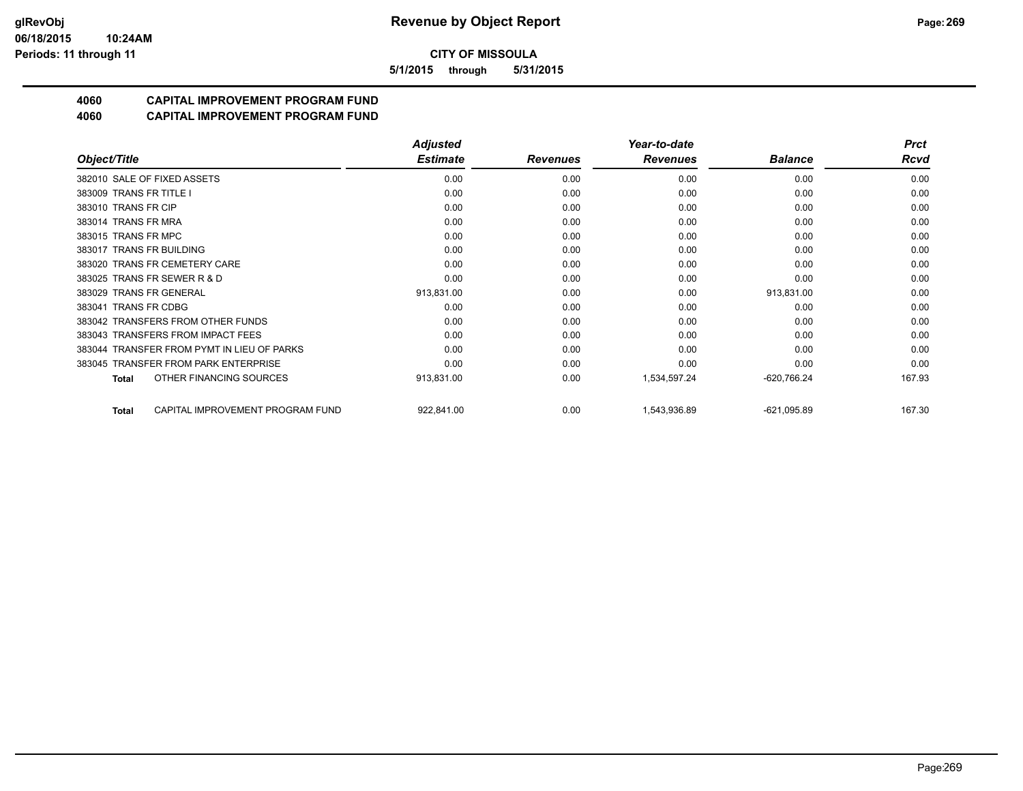**5/1/2015 through 5/31/2015**

# **4060 CAPITAL IMPROVEMENT PROGRAM FUND**

|                                                  | <b>Adjusted</b> |                 | Year-to-date    |                | <b>Prct</b> |
|--------------------------------------------------|-----------------|-----------------|-----------------|----------------|-------------|
| Object/Title                                     | <b>Estimate</b> | <b>Revenues</b> | <b>Revenues</b> | <b>Balance</b> | <b>Rcvd</b> |
| 382010 SALE OF FIXED ASSETS                      | 0.00            | 0.00            | 0.00            | 0.00           | 0.00        |
| 383009 TRANS FR TITLE I                          | 0.00            | 0.00            | 0.00            | 0.00           | 0.00        |
| 383010 TRANS FR CIP                              | 0.00            | 0.00            | 0.00            | 0.00           | 0.00        |
| 383014 TRANS FR MRA                              | 0.00            | 0.00            | 0.00            | 0.00           | 0.00        |
| 383015 TRANS FR MPC                              | 0.00            | 0.00            | 0.00            | 0.00           | 0.00        |
| 383017 TRANS FR BUILDING                         | 0.00            | 0.00            | 0.00            | 0.00           | 0.00        |
| 383020 TRANS FR CEMETERY CARE                    | 0.00            | 0.00            | 0.00            | 0.00           | 0.00        |
| 383025 TRANS FR SEWER R & D                      | 0.00            | 0.00            | 0.00            | 0.00           | 0.00        |
| 383029 TRANS FR GENERAL                          | 913,831.00      | 0.00            | 0.00            | 913,831.00     | 0.00        |
| 383041 TRANS FR CDBG                             | 0.00            | 0.00            | 0.00            | 0.00           | 0.00        |
| 383042 TRANSFERS FROM OTHER FUNDS                | 0.00            | 0.00            | 0.00            | 0.00           | 0.00        |
| 383043 TRANSFERS FROM IMPACT FEES                | 0.00            | 0.00            | 0.00            | 0.00           | 0.00        |
| 383044 TRANSFER FROM PYMT IN LIEU OF PARKS       | 0.00            | 0.00            | 0.00            | 0.00           | 0.00        |
| 383045 TRANSFER FROM PARK ENTERPRISE             | 0.00            | 0.00            | 0.00            | 0.00           | 0.00        |
| OTHER FINANCING SOURCES<br><b>Total</b>          | 913,831.00      | 0.00            | 1,534,597.24    | $-620,766.24$  | 167.93      |
| CAPITAL IMPROVEMENT PROGRAM FUND<br><b>Total</b> | 922,841.00      | 0.00            | 1,543,936.89    | $-621,095.89$  | 167.30      |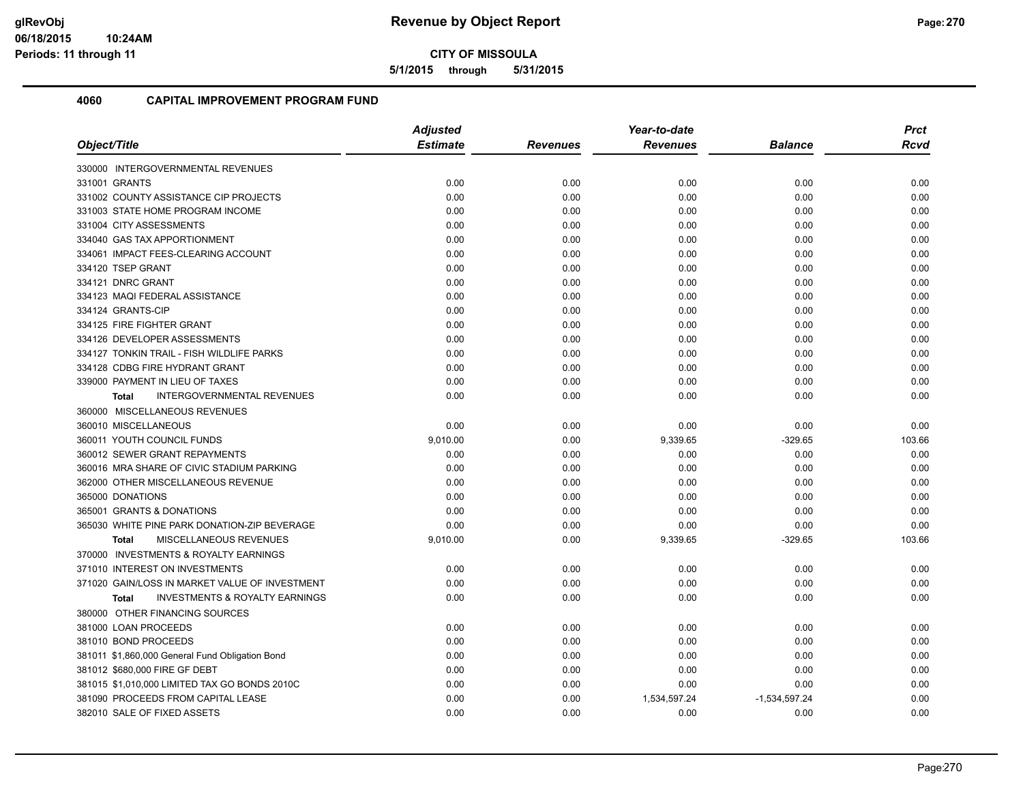**5/1/2015 through 5/31/2015**

|                                                           | <b>Adjusted</b> |          | Year-to-date    |                 | <b>Prct</b> |
|-----------------------------------------------------------|-----------------|----------|-----------------|-----------------|-------------|
| Object/Title                                              | <b>Estimate</b> | Revenues | <b>Revenues</b> | <b>Balance</b>  | <b>Rcvd</b> |
| 330000 INTERGOVERNMENTAL REVENUES                         |                 |          |                 |                 |             |
| 331001 GRANTS                                             | 0.00            | 0.00     | 0.00            | 0.00            | 0.00        |
| 331002 COUNTY ASSISTANCE CIP PROJECTS                     | 0.00            | 0.00     | 0.00            | 0.00            | 0.00        |
| 331003 STATE HOME PROGRAM INCOME                          | 0.00            | 0.00     | 0.00            | 0.00            | 0.00        |
| 331004 CITY ASSESSMENTS                                   | 0.00            | 0.00     | 0.00            | 0.00            | 0.00        |
| 334040 GAS TAX APPORTIONMENT                              | 0.00            | 0.00     | 0.00            | 0.00            | 0.00        |
| 334061 IMPACT FEES-CLEARING ACCOUNT                       | 0.00            | 0.00     | 0.00            | 0.00            | 0.00        |
| 334120 TSEP GRANT                                         | 0.00            | 0.00     | 0.00            | 0.00            | 0.00        |
| 334121 DNRC GRANT                                         | 0.00            | 0.00     | 0.00            | 0.00            | 0.00        |
| 334123 MAQI FEDERAL ASSISTANCE                            | 0.00            | 0.00     | 0.00            | 0.00            | 0.00        |
| 334124 GRANTS-CIP                                         | 0.00            | 0.00     | 0.00            | 0.00            | 0.00        |
| 334125 FIRE FIGHTER GRANT                                 | 0.00            | 0.00     | 0.00            | 0.00            | 0.00        |
| 334126 DEVELOPER ASSESSMENTS                              | 0.00            | 0.00     | 0.00            | 0.00            | 0.00        |
| 334127 TONKIN TRAIL - FISH WILDLIFE PARKS                 | 0.00            | 0.00     | 0.00            | 0.00            | 0.00        |
| 334128 CDBG FIRE HYDRANT GRANT                            | 0.00            | 0.00     | 0.00            | 0.00            | 0.00        |
| 339000 PAYMENT IN LIEU OF TAXES                           | 0.00            | 0.00     | 0.00            | 0.00            | 0.00        |
| <b>INTERGOVERNMENTAL REVENUES</b><br><b>Total</b>         | 0.00            | 0.00     | 0.00            | 0.00            | 0.00        |
| 360000 MISCELLANEOUS REVENUES                             |                 |          |                 |                 |             |
| 360010 MISCELLANEOUS                                      | 0.00            | 0.00     | 0.00            | 0.00            | 0.00        |
| 360011 YOUTH COUNCIL FUNDS                                | 9,010.00        | 0.00     | 9,339.65        | $-329.65$       | 103.66      |
| 360012 SEWER GRANT REPAYMENTS                             | 0.00            | 0.00     | 0.00            | 0.00            | 0.00        |
| 360016 MRA SHARE OF CIVIC STADIUM PARKING                 | 0.00            | 0.00     | 0.00            | 0.00            | 0.00        |
| 362000 OTHER MISCELLANEOUS REVENUE                        | 0.00            | 0.00     | 0.00            | 0.00            | 0.00        |
| 365000 DONATIONS                                          | 0.00            | 0.00     | 0.00            | 0.00            | 0.00        |
| 365001 GRANTS & DONATIONS                                 | 0.00            | 0.00     | 0.00            | 0.00            | 0.00        |
| 365030 WHITE PINE PARK DONATION-ZIP BEVERAGE              | 0.00            | 0.00     | 0.00            | 0.00            | 0.00        |
| <b>MISCELLANEOUS REVENUES</b><br><b>Total</b>             | 9,010.00        | 0.00     | 9,339.65        | $-329.65$       | 103.66      |
| 370000 INVESTMENTS & ROYALTY EARNINGS                     |                 |          |                 |                 |             |
| 371010 INTEREST ON INVESTMENTS                            | 0.00            | 0.00     | 0.00            | 0.00            | 0.00        |
| 371020 GAIN/LOSS IN MARKET VALUE OF INVESTMENT            | 0.00            | 0.00     | 0.00            | 0.00            | 0.00        |
| <b>INVESTMENTS &amp; ROYALTY EARNINGS</b><br><b>Total</b> | 0.00            | 0.00     | 0.00            | 0.00            | 0.00        |
| 380000 OTHER FINANCING SOURCES                            |                 |          |                 |                 |             |
| 381000 LOAN PROCEEDS                                      | 0.00            | 0.00     | 0.00            | 0.00            | 0.00        |
| 381010 BOND PROCEEDS                                      | 0.00            | 0.00     | 0.00            | 0.00            | 0.00        |
| 381011 \$1,860,000 General Fund Obligation Bond           | 0.00            | 0.00     | 0.00            | 0.00            | 0.00        |
| 381012 \$680,000 FIRE GF DEBT                             | 0.00            | 0.00     | 0.00            | 0.00            | 0.00        |
| 381015 \$1,010,000 LIMITED TAX GO BONDS 2010C             | 0.00            | 0.00     | 0.00            | 0.00            | 0.00        |
| 381090 PROCEEDS FROM CAPITAL LEASE                        | 0.00            | 0.00     | 1,534,597.24    | $-1,534,597.24$ | 0.00        |
| 382010 SALE OF FIXED ASSETS                               | 0.00            | 0.00     | 0.00            | 0.00            | 0.00        |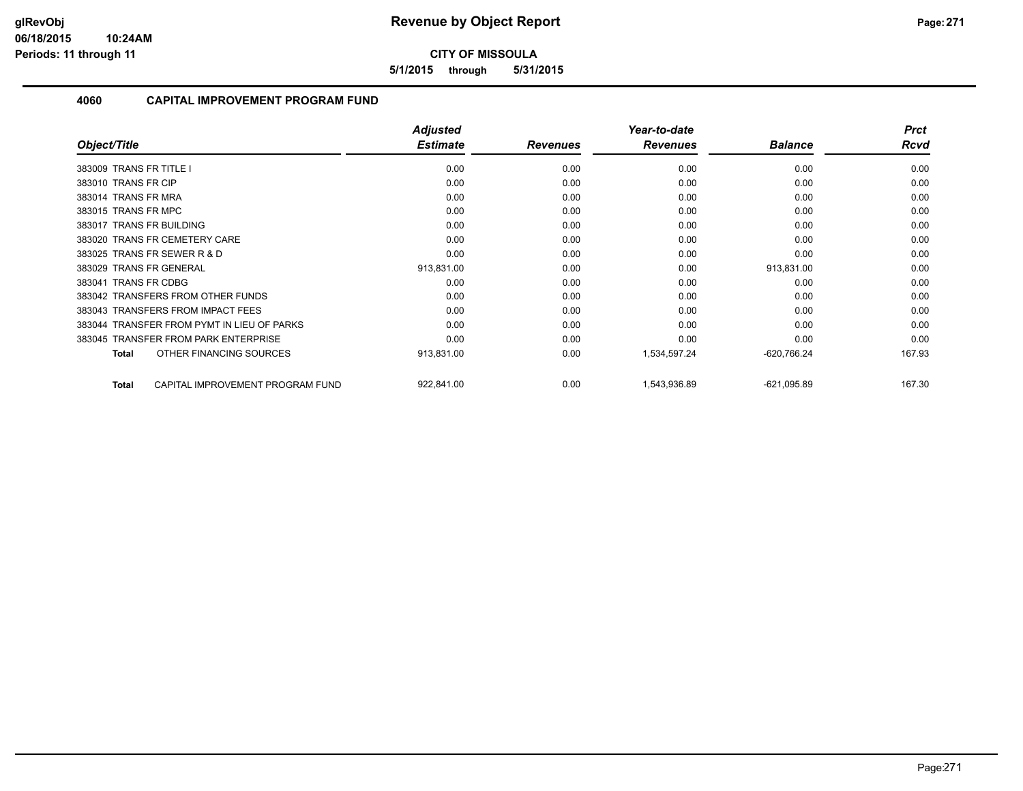**5/1/2015 through 5/31/2015**

|                                                  | <b>Adjusted</b> |                 | Year-to-date    |                | <b>Prct</b> |
|--------------------------------------------------|-----------------|-----------------|-----------------|----------------|-------------|
| Object/Title                                     | <b>Estimate</b> | <b>Revenues</b> | <b>Revenues</b> | <b>Balance</b> | <b>Rcvd</b> |
| 383009 TRANS FR TITLE I                          | 0.00            | 0.00            | 0.00            | 0.00           | 0.00        |
| 383010 TRANS FR CIP                              | 0.00            | 0.00            | 0.00            | 0.00           | 0.00        |
| 383014 TRANS FR MRA                              | 0.00            | 0.00            | 0.00            | 0.00           | 0.00        |
| 383015 TRANS FR MPC                              | 0.00            | 0.00            | 0.00            | 0.00           | 0.00        |
| 383017 TRANS FR BUILDING                         | 0.00            | 0.00            | 0.00            | 0.00           | 0.00        |
| 383020 TRANS FR CEMETERY CARE                    | 0.00            | 0.00            | 0.00            | 0.00           | 0.00        |
| 383025 TRANS FR SEWER R & D                      | 0.00            | 0.00            | 0.00            | 0.00           | 0.00        |
| 383029 TRANS FR GENERAL                          | 913,831.00      | 0.00            | 0.00            | 913,831.00     | 0.00        |
| 383041 TRANS FR CDBG                             | 0.00            | 0.00            | 0.00            | 0.00           | 0.00        |
| 383042 TRANSFERS FROM OTHER FUNDS                | 0.00            | 0.00            | 0.00            | 0.00           | 0.00        |
| 383043 TRANSFERS FROM IMPACT FEES                | 0.00            | 0.00            | 0.00            | 0.00           | 0.00        |
| 383044 TRANSFER FROM PYMT IN LIEU OF PARKS       | 0.00            | 0.00            | 0.00            | 0.00           | 0.00        |
| 383045 TRANSFER FROM PARK ENTERPRISE             | 0.00            | 0.00            | 0.00            | 0.00           | 0.00        |
| OTHER FINANCING SOURCES<br><b>Total</b>          | 913,831.00      | 0.00            | 1,534,597.24    | $-620,766.24$  | 167.93      |
| CAPITAL IMPROVEMENT PROGRAM FUND<br><b>Total</b> | 922,841.00      | 0.00            | 1,543,936.89    | $-621,095.89$  | 167.30      |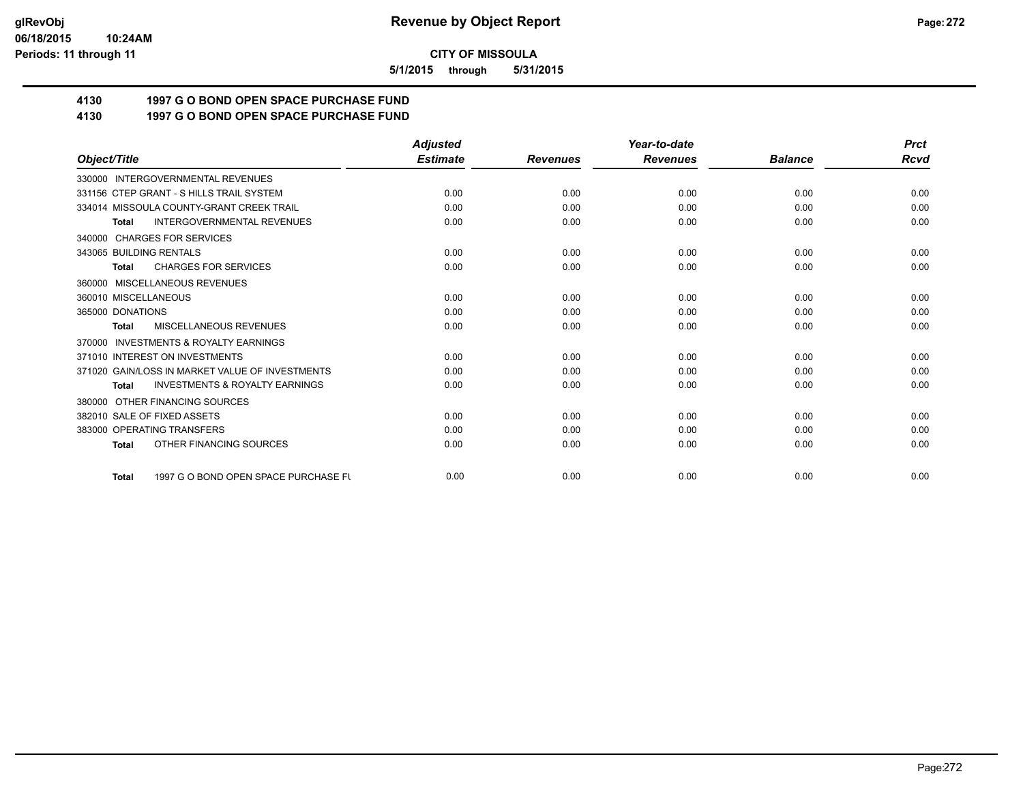**5/1/2015 through 5/31/2015**

# **4130 1997 G O BOND OPEN SPACE PURCHASE FUND**

# **4130 1997 G O BOND OPEN SPACE PURCHASE FUND**

|                                                           | <b>Adjusted</b> |                 | Year-to-date    |                | <b>Prct</b> |
|-----------------------------------------------------------|-----------------|-----------------|-----------------|----------------|-------------|
| Object/Title                                              | <b>Estimate</b> | <b>Revenues</b> | <b>Revenues</b> | <b>Balance</b> | <b>Rcvd</b> |
| 330000 INTERGOVERNMENTAL REVENUES                         |                 |                 |                 |                |             |
| 331156 CTEP GRANT - S HILLS TRAIL SYSTEM                  | 0.00            | 0.00            | 0.00            | 0.00           | 0.00        |
| 334014 MISSOULA COUNTY-GRANT CREEK TRAIL                  | 0.00            | 0.00            | 0.00            | 0.00           | 0.00        |
| <b>INTERGOVERNMENTAL REVENUES</b><br><b>Total</b>         | 0.00            | 0.00            | 0.00            | 0.00           | 0.00        |
| 340000 CHARGES FOR SERVICES                               |                 |                 |                 |                |             |
| 343065 BUILDING RENTALS                                   | 0.00            | 0.00            | 0.00            | 0.00           | 0.00        |
| <b>CHARGES FOR SERVICES</b><br><b>Total</b>               | 0.00            | 0.00            | 0.00            | 0.00           | 0.00        |
| 360000 MISCELLANEOUS REVENUES                             |                 |                 |                 |                |             |
| 360010 MISCELLANEOUS                                      | 0.00            | 0.00            | 0.00            | 0.00           | 0.00        |
| 365000 DONATIONS                                          | 0.00            | 0.00            | 0.00            | 0.00           | 0.00        |
| MISCELLANEOUS REVENUES<br><b>Total</b>                    | 0.00            | 0.00            | 0.00            | 0.00           | 0.00        |
| 370000 INVESTMENTS & ROYALTY EARNINGS                     |                 |                 |                 |                |             |
| 371010 INTEREST ON INVESTMENTS                            | 0.00            | 0.00            | 0.00            | 0.00           | 0.00        |
| 371020 GAIN/LOSS IN MARKET VALUE OF INVESTMENTS           | 0.00            | 0.00            | 0.00            | 0.00           | 0.00        |
| <b>INVESTMENTS &amp; ROYALTY EARNINGS</b><br><b>Total</b> | 0.00            | 0.00            | 0.00            | 0.00           | 0.00        |
| 380000 OTHER FINANCING SOURCES                            |                 |                 |                 |                |             |
| 382010 SALE OF FIXED ASSETS                               | 0.00            | 0.00            | 0.00            | 0.00           | 0.00        |
| 383000 OPERATING TRANSFERS                                | 0.00            | 0.00            | 0.00            | 0.00           | 0.00        |
| OTHER FINANCING SOURCES<br><b>Total</b>                   | 0.00            | 0.00            | 0.00            | 0.00           | 0.00        |
| 1997 G O BOND OPEN SPACE PURCHASE FU<br><b>Total</b>      | 0.00            | 0.00            | 0.00            | 0.00           | 0.00        |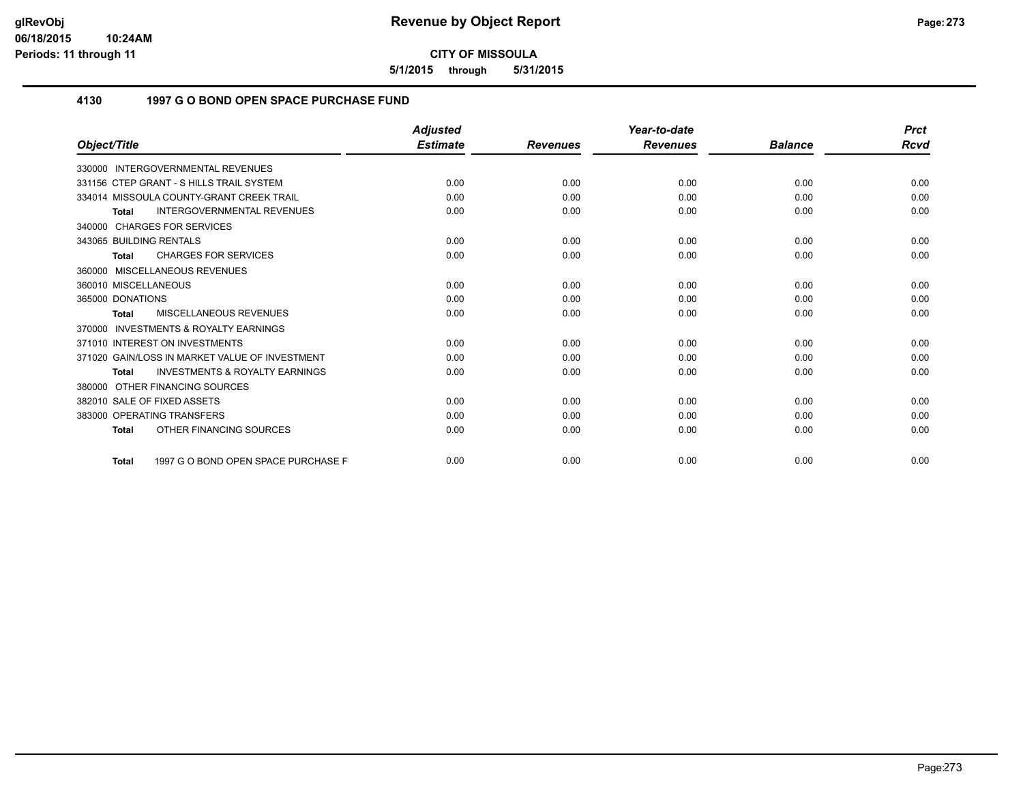**5/1/2015 through 5/31/2015**

## **4130 1997 G O BOND OPEN SPACE PURCHASE FUND**

|                                                           | <b>Adjusted</b> |                 | Year-to-date    |                | <b>Prct</b> |
|-----------------------------------------------------------|-----------------|-----------------|-----------------|----------------|-------------|
| Object/Title                                              | <b>Estimate</b> | <b>Revenues</b> | <b>Revenues</b> | <b>Balance</b> | Rcvd        |
| <b>INTERGOVERNMENTAL REVENUES</b><br>330000               |                 |                 |                 |                |             |
| 331156 CTEP GRANT - S HILLS TRAIL SYSTEM                  | 0.00            | 0.00            | 0.00            | 0.00           | 0.00        |
| 334014 MISSOULA COUNTY-GRANT CREEK TRAIL                  | 0.00            | 0.00            | 0.00            | 0.00           | 0.00        |
| <b>INTERGOVERNMENTAL REVENUES</b><br>Total                | 0.00            | 0.00            | 0.00            | 0.00           | 0.00        |
| 340000 CHARGES FOR SERVICES                               |                 |                 |                 |                |             |
| 343065 BUILDING RENTALS                                   | 0.00            | 0.00            | 0.00            | 0.00           | 0.00        |
| <b>CHARGES FOR SERVICES</b><br>Total                      | 0.00            | 0.00            | 0.00            | 0.00           | 0.00        |
| 360000 MISCELLANEOUS REVENUES                             |                 |                 |                 |                |             |
| 360010 MISCELLANEOUS                                      | 0.00            | 0.00            | 0.00            | 0.00           | 0.00        |
| 365000 DONATIONS                                          | 0.00            | 0.00            | 0.00            | 0.00           | 0.00        |
| MISCELLANEOUS REVENUES<br><b>Total</b>                    | 0.00            | 0.00            | 0.00            | 0.00           | 0.00        |
| <b>INVESTMENTS &amp; ROYALTY EARNINGS</b><br>370000       |                 |                 |                 |                |             |
| 371010 INTEREST ON INVESTMENTS                            | 0.00            | 0.00            | 0.00            | 0.00           | 0.00        |
| 371020 GAIN/LOSS IN MARKET VALUE OF INVESTMENT            | 0.00            | 0.00            | 0.00            | 0.00           | 0.00        |
| <b>INVESTMENTS &amp; ROYALTY EARNINGS</b><br><b>Total</b> | 0.00            | 0.00            | 0.00            | 0.00           | 0.00        |
| 380000 OTHER FINANCING SOURCES                            |                 |                 |                 |                |             |
| 382010 SALE OF FIXED ASSETS                               | 0.00            | 0.00            | 0.00            | 0.00           | 0.00        |
| 383000 OPERATING TRANSFERS                                | 0.00            | 0.00            | 0.00            | 0.00           | 0.00        |
| OTHER FINANCING SOURCES<br><b>Total</b>                   | 0.00            | 0.00            | 0.00            | 0.00           | 0.00        |
| 1997 G O BOND OPEN SPACE PURCHASE F<br><b>Total</b>       | 0.00            | 0.00            | 0.00            | 0.00           | 0.00        |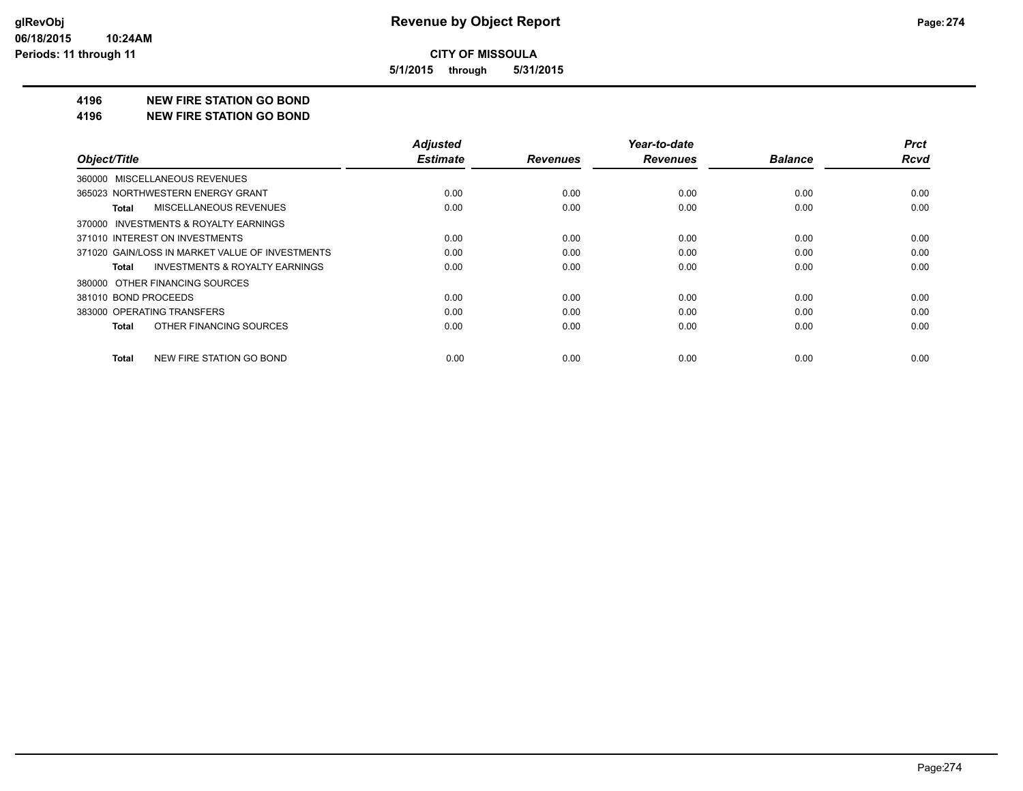**5/1/2015 through 5/31/2015**

#### **4196 NEW FIRE STATION GO BOND**

#### **4196 NEW FIRE STATION GO BOND**

|                                                    | <b>Adjusted</b> |                 | Year-to-date    |                | <b>Prct</b> |
|----------------------------------------------------|-----------------|-----------------|-----------------|----------------|-------------|
| Object/Title                                       | <b>Estimate</b> | <b>Revenues</b> | <b>Revenues</b> | <b>Balance</b> | <b>Rcvd</b> |
| 360000 MISCELLANEOUS REVENUES                      |                 |                 |                 |                |             |
| 365023 NORTHWESTERN ENERGY GRANT                   | 0.00            | 0.00            | 0.00            | 0.00           | 0.00        |
| <b>MISCELLANEOUS REVENUES</b><br>Total             | 0.00            | 0.00            | 0.00            | 0.00           | 0.00        |
| 370000 INVESTMENTS & ROYALTY EARNINGS              |                 |                 |                 |                |             |
| 371010 INTEREST ON INVESTMENTS                     | 0.00            | 0.00            | 0.00            | 0.00           | 0.00        |
| 371020 GAIN/LOSS IN MARKET VALUE OF INVESTMENTS    | 0.00            | 0.00            | 0.00            | 0.00           | 0.00        |
| <b>INVESTMENTS &amp; ROYALTY EARNINGS</b><br>Total | 0.00            | 0.00            | 0.00            | 0.00           | 0.00        |
| 380000 OTHER FINANCING SOURCES                     |                 |                 |                 |                |             |
| 381010 BOND PROCEEDS                               | 0.00            | 0.00            | 0.00            | 0.00           | 0.00        |
| 383000 OPERATING TRANSFERS                         | 0.00            | 0.00            | 0.00            | 0.00           | 0.00        |
| OTHER FINANCING SOURCES<br>Total                   | 0.00            | 0.00            | 0.00            | 0.00           | 0.00        |
| NEW FIRE STATION GO BOND<br>Total                  | 0.00            | 0.00            | 0.00            | 0.00           | 0.00        |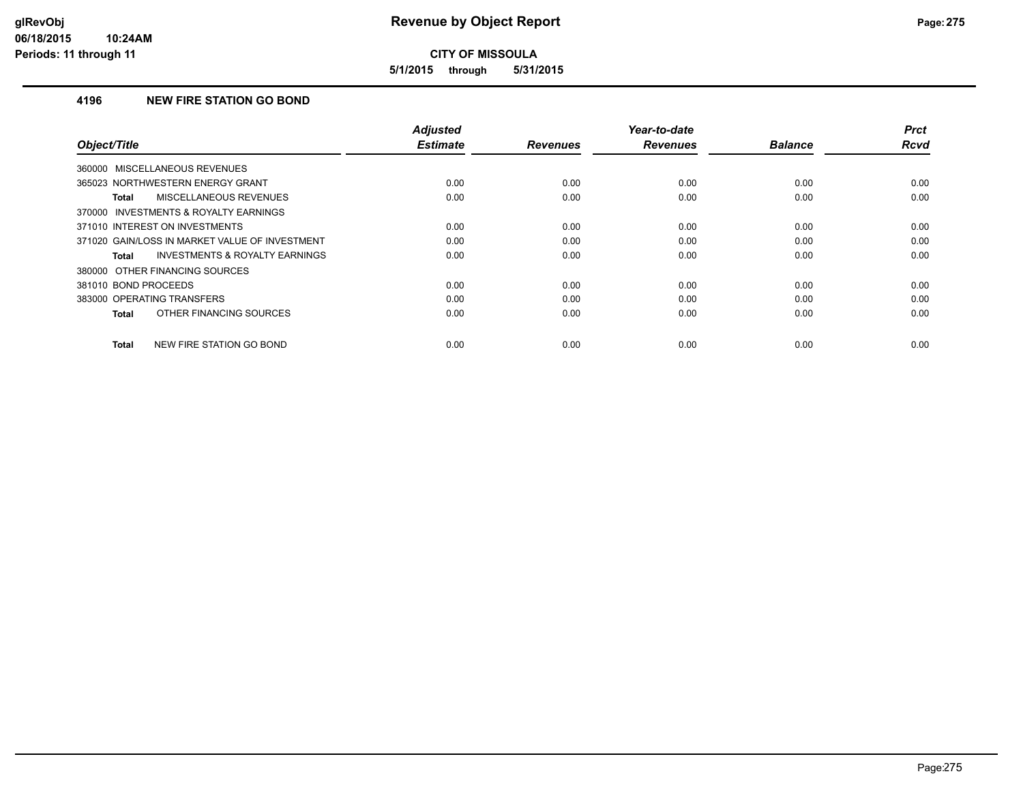**5/1/2015 through 5/31/2015**

## **4196 NEW FIRE STATION GO BOND**

| Object/Title                                              | Adjusted<br><b>Estimate</b> | <b>Revenues</b> | Year-to-date<br><b>Revenues</b> | <b>Balance</b> | <b>Prct</b><br><b>Rcvd</b> |
|-----------------------------------------------------------|-----------------------------|-----------------|---------------------------------|----------------|----------------------------|
| 360000 MISCELLANEOUS REVENUES                             |                             |                 |                                 |                |                            |
| 365023 NORTHWESTERN ENERGY GRANT                          | 0.00                        | 0.00            | 0.00                            | 0.00           | 0.00                       |
| MISCELLANEOUS REVENUES<br>Total                           | 0.00                        | 0.00            | 0.00                            | 0.00           | 0.00                       |
| 370000 INVESTMENTS & ROYALTY EARNINGS                     |                             |                 |                                 |                |                            |
| 371010 INTEREST ON INVESTMENTS                            | 0.00                        | 0.00            | 0.00                            | 0.00           | 0.00                       |
| 371020 GAIN/LOSS IN MARKET VALUE OF INVESTMENT            | 0.00                        | 0.00            | 0.00                            | 0.00           | 0.00                       |
| <b>INVESTMENTS &amp; ROYALTY EARNINGS</b><br><b>Total</b> | 0.00                        | 0.00            | 0.00                            | 0.00           | 0.00                       |
| 380000 OTHER FINANCING SOURCES                            |                             |                 |                                 |                |                            |
| 381010 BOND PROCEEDS                                      | 0.00                        | 0.00            | 0.00                            | 0.00           | 0.00                       |
| 383000 OPERATING TRANSFERS                                | 0.00                        | 0.00            | 0.00                            | 0.00           | 0.00                       |
| OTHER FINANCING SOURCES<br>Total                          | 0.00                        | 0.00            | 0.00                            | 0.00           | 0.00                       |
| NEW FIRE STATION GO BOND<br><b>Total</b>                  | 0.00                        | 0.00            | 0.00                            | 0.00           | 0.00                       |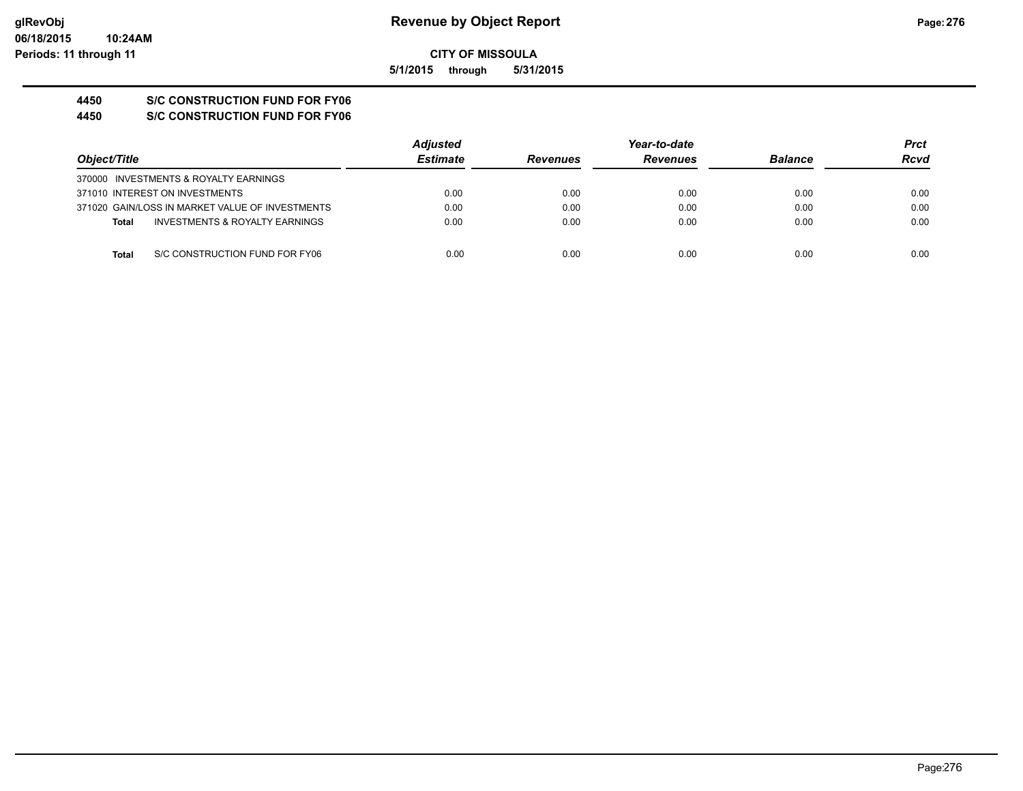**CITY OF MISSOULA 5/1/2015 through 5/31/2015**

**4450 S/C CONSTRUCTION FUND FOR FY06**

**4450 S/C CONSTRUCTION FUND FOR FY06**

|              |                                                 | <b>Adjusted</b> |                 | Year-to-date    |                |      |
|--------------|-------------------------------------------------|-----------------|-----------------|-----------------|----------------|------|
| Object/Title |                                                 | <b>Estimate</b> | <b>Revenues</b> | <b>Revenues</b> | <b>Balance</b> | Rcvd |
|              | 370000 INVESTMENTS & ROYALTY EARNINGS           |                 |                 |                 |                |      |
|              | 371010 INTEREST ON INVESTMENTS                  | 0.00            | 0.00            | 0.00            | 0.00           | 0.00 |
|              | 371020 GAIN/LOSS IN MARKET VALUE OF INVESTMENTS | 0.00            | 0.00            | 0.00            | 0.00           | 0.00 |
| Total        | INVESTMENTS & ROYALTY EARNINGS                  | 0.00            | 0.00            | 0.00            | 0.00           | 0.00 |
|              |                                                 |                 |                 |                 |                |      |
| Total        | S/C CONSTRUCTION FUND FOR FY06                  | 0.00            | 0.00            | 0.00            | 0.00           | 0.00 |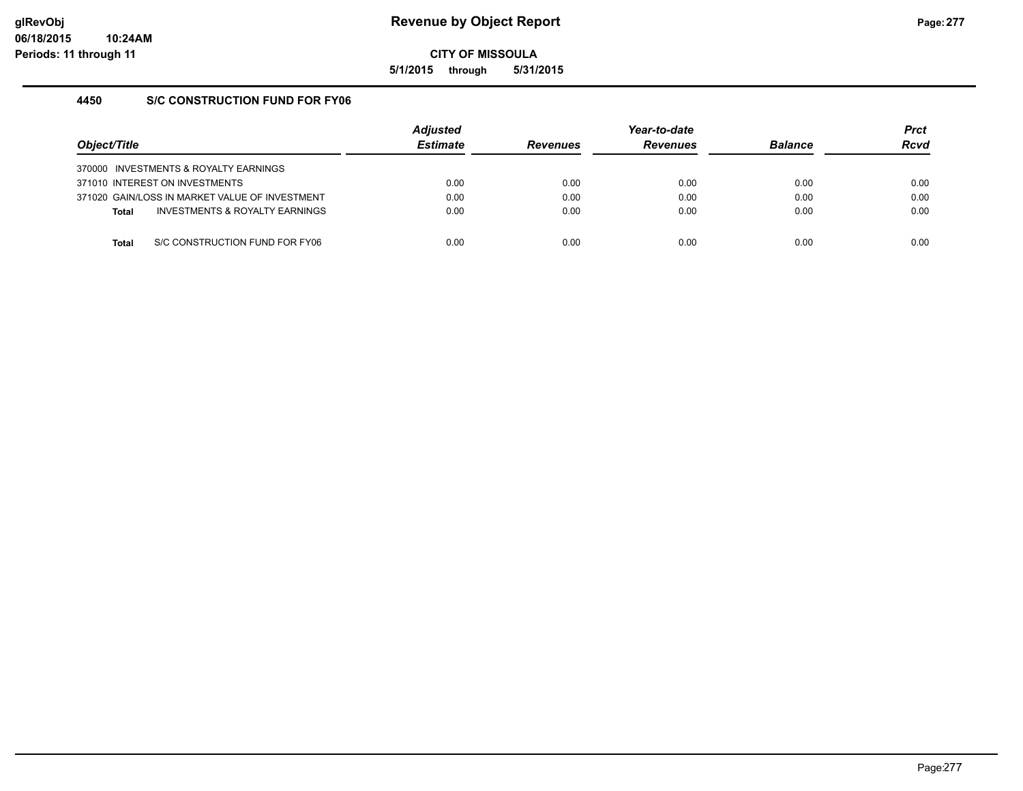**5/1/2015 through 5/31/2015**

## **4450 S/C CONSTRUCTION FUND FOR FY06**

| Obiect/Title |                                                | <b>Adjusted</b><br><b>Estimate</b> | <b>Revenues</b> | Year-to-date<br><b>Revenues</b> | <b>Balance</b> | <b>Prct</b><br><b>Rcvd</b> |
|--------------|------------------------------------------------|------------------------------------|-----------------|---------------------------------|----------------|----------------------------|
|              | 370000 INVESTMENTS & ROYALTY EARNINGS          |                                    |                 |                                 |                |                            |
|              | 371010 INTEREST ON INVESTMENTS                 | 0.00                               | 0.00            | 0.00                            | 0.00           | 0.00                       |
|              | 371020 GAIN/LOSS IN MARKET VALUE OF INVESTMENT | 0.00                               | 0.00            | 0.00                            | 0.00           | 0.00                       |
| <b>Total</b> | INVESTMENTS & ROYALTY EARNINGS                 | 0.00                               | 0.00            | 0.00                            | 0.00           | 0.00                       |
|              |                                                |                                    |                 |                                 |                |                            |
| Total        | S/C CONSTRUCTION FUND FOR FY06                 | 0.00                               | 0.00            | 0.00                            | 0.00           | 0.00                       |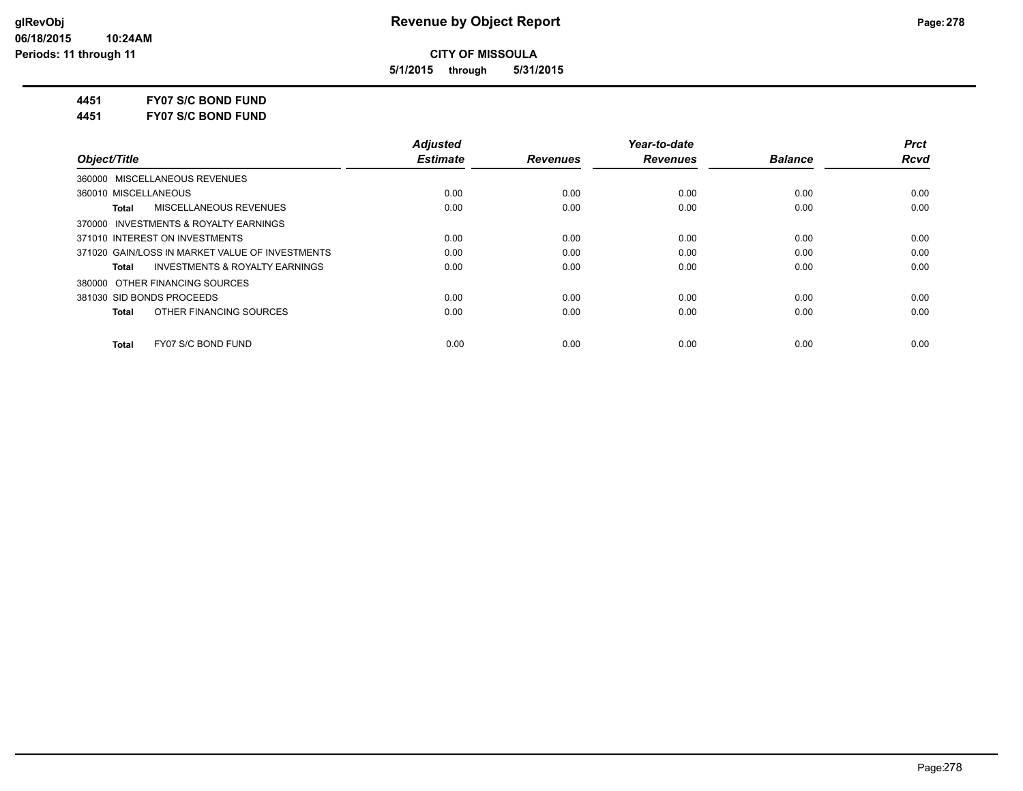**5/1/2015 through 5/31/2015**

**4451 FY07 S/C BOND FUND**

**4451 FY07 S/C BOND FUND**

|                                                    | <b>Adjusted</b> |                 | Year-to-date    |                | <b>Prct</b> |
|----------------------------------------------------|-----------------|-----------------|-----------------|----------------|-------------|
| Object/Title                                       | <b>Estimate</b> | <b>Revenues</b> | <b>Revenues</b> | <b>Balance</b> | Rcvd        |
| 360000 MISCELLANEOUS REVENUES                      |                 |                 |                 |                |             |
| 360010 MISCELLANEOUS                               | 0.00            | 0.00            | 0.00            | 0.00           | 0.00        |
| MISCELLANEOUS REVENUES<br>Total                    | 0.00            | 0.00            | 0.00            | 0.00           | 0.00        |
| 370000 INVESTMENTS & ROYALTY EARNINGS              |                 |                 |                 |                |             |
| 371010 INTEREST ON INVESTMENTS                     | 0.00            | 0.00            | 0.00            | 0.00           | 0.00        |
| 371020 GAIN/LOSS IN MARKET VALUE OF INVESTMENTS    | 0.00            | 0.00            | 0.00            | 0.00           | 0.00        |
| <b>INVESTMENTS &amp; ROYALTY EARNINGS</b><br>Total | 0.00            | 0.00            | 0.00            | 0.00           | 0.00        |
| 380000 OTHER FINANCING SOURCES                     |                 |                 |                 |                |             |
| 381030 SID BONDS PROCEEDS                          | 0.00            | 0.00            | 0.00            | 0.00           | 0.00        |
| OTHER FINANCING SOURCES<br><b>Total</b>            | 0.00            | 0.00            | 0.00            | 0.00           | 0.00        |
| FY07 S/C BOND FUND<br><b>Total</b>                 | 0.00            | 0.00            | 0.00            | 0.00           | 0.00        |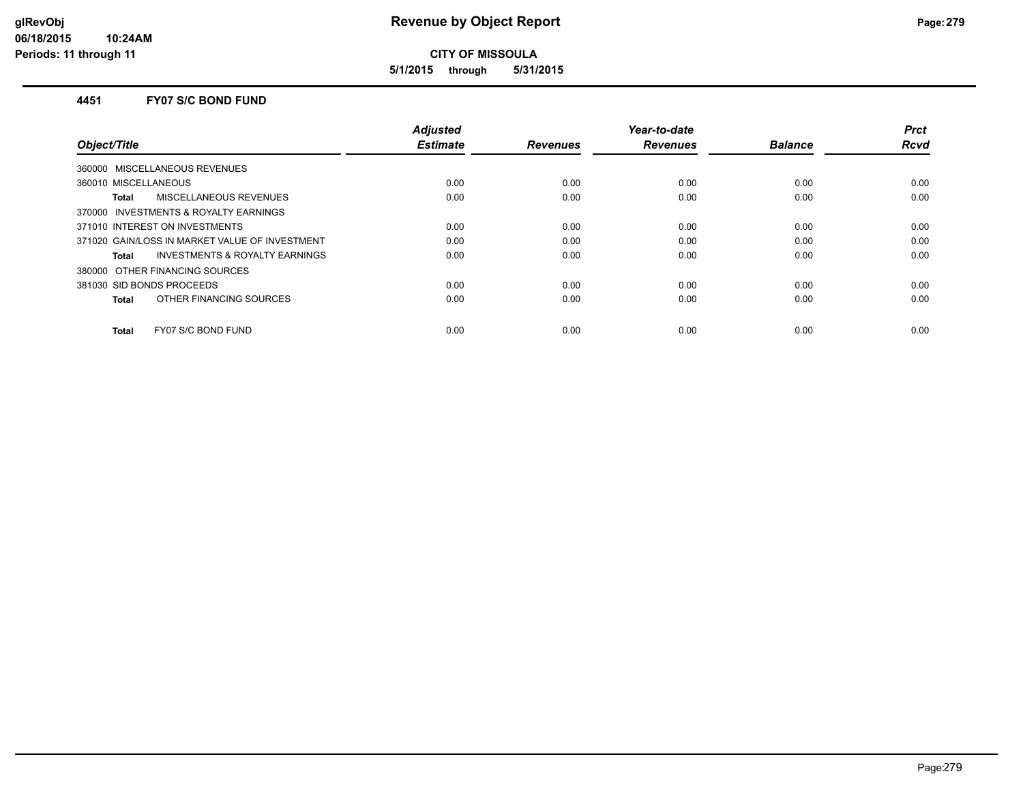**5/1/2015 through 5/31/2015**

#### **4451 FY07 S/C BOND FUND**

| Object/Title                                       | <b>Adjusted</b><br><b>Estimate</b> | <b>Revenues</b> | Year-to-date<br><b>Revenues</b> | <b>Balance</b> | <b>Prct</b><br><b>Rcvd</b> |
|----------------------------------------------------|------------------------------------|-----------------|---------------------------------|----------------|----------------------------|
| 360000 MISCELLANEOUS REVENUES                      |                                    |                 |                                 |                |                            |
| 360010 MISCELLANEOUS                               | 0.00                               | 0.00            | 0.00                            | 0.00           | 0.00                       |
| MISCELLANEOUS REVENUES<br>Total                    | 0.00                               | 0.00            | 0.00                            | 0.00           | 0.00                       |
| 370000 INVESTMENTS & ROYALTY EARNINGS              |                                    |                 |                                 |                |                            |
| 371010 INTEREST ON INVESTMENTS                     | 0.00                               | 0.00            | 0.00                            | 0.00           | 0.00                       |
| 371020 GAIN/LOSS IN MARKET VALUE OF INVESTMENT     | 0.00                               | 0.00            | 0.00                            | 0.00           | 0.00                       |
| <b>INVESTMENTS &amp; ROYALTY EARNINGS</b><br>Total | 0.00                               | 0.00            | 0.00                            | 0.00           | 0.00                       |
| 380000 OTHER FINANCING SOURCES                     |                                    |                 |                                 |                |                            |
| 381030 SID BONDS PROCEEDS                          | 0.00                               | 0.00            | 0.00                            | 0.00           | 0.00                       |
| OTHER FINANCING SOURCES<br><b>Total</b>            | 0.00                               | 0.00            | 0.00                            | 0.00           | 0.00                       |
| FY07 S/C BOND FUND<br><b>Total</b>                 | 0.00                               | 0.00            | 0.00                            | 0.00           | 0.00                       |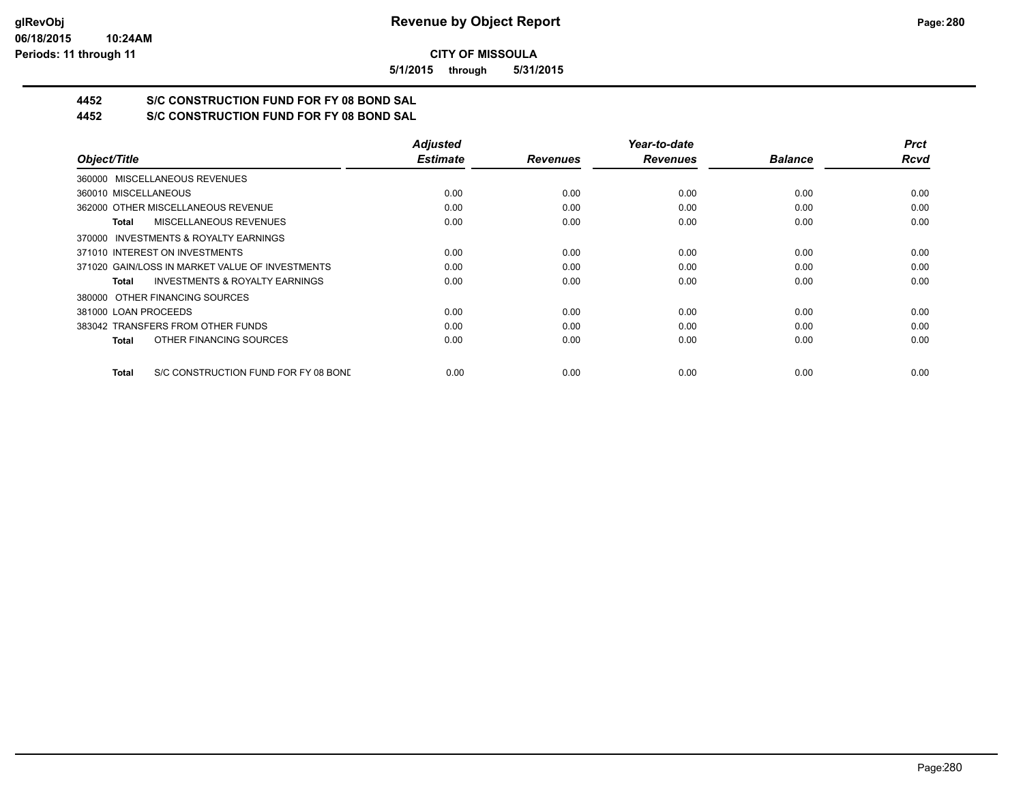**5/1/2015 through 5/31/2015**

# **4452 S/C CONSTRUCTION FUND FOR FY 08 BOND SAL**

**4452 S/C CONSTRUCTION FUND FOR FY 08 BOND SAL**

|                                                      | <b>Adjusted</b> |                 | Year-to-date    |                | <b>Prct</b> |
|------------------------------------------------------|-----------------|-----------------|-----------------|----------------|-------------|
| Object/Title                                         | <b>Estimate</b> | <b>Revenues</b> | <b>Revenues</b> | <b>Balance</b> | <b>Rcvd</b> |
| 360000 MISCELLANEOUS REVENUES                        |                 |                 |                 |                |             |
| 360010 MISCELLANEOUS                                 | 0.00            | 0.00            | 0.00            | 0.00           | 0.00        |
| 362000 OTHER MISCELLANEOUS REVENUE                   | 0.00            | 0.00            | 0.00            | 0.00           | 0.00        |
| <b>MISCELLANEOUS REVENUES</b><br>Total               | 0.00            | 0.00            | 0.00            | 0.00           | 0.00        |
| 370000 INVESTMENTS & ROYALTY EARNINGS                |                 |                 |                 |                |             |
| 371010 INTEREST ON INVESTMENTS                       | 0.00            | 0.00            | 0.00            | 0.00           | 0.00        |
| 371020 GAIN/LOSS IN MARKET VALUE OF INVESTMENTS      | 0.00            | 0.00            | 0.00            | 0.00           | 0.00        |
| <b>INVESTMENTS &amp; ROYALTY EARNINGS</b><br>Total   | 0.00            | 0.00            | 0.00            | 0.00           | 0.00        |
| 380000 OTHER FINANCING SOURCES                       |                 |                 |                 |                |             |
| 381000 LOAN PROCEEDS                                 | 0.00            | 0.00            | 0.00            | 0.00           | 0.00        |
| 383042 TRANSFERS FROM OTHER FUNDS                    | 0.00            | 0.00            | 0.00            | 0.00           | 0.00        |
| OTHER FINANCING SOURCES<br><b>Total</b>              | 0.00            | 0.00            | 0.00            | 0.00           | 0.00        |
| S/C CONSTRUCTION FUND FOR FY 08 BOND<br><b>Total</b> | 0.00            | 0.00            | 0.00            | 0.00           | 0.00        |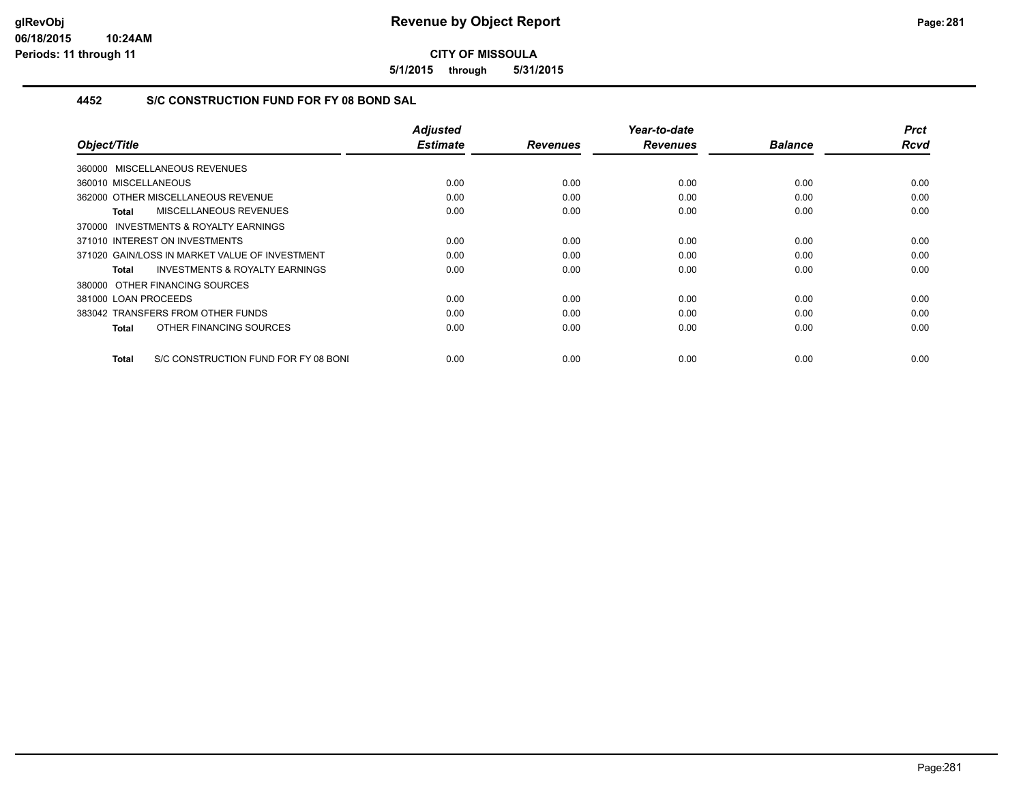**5/1/2015 through 5/31/2015**

# **4452 S/C CONSTRUCTION FUND FOR FY 08 BOND SAL**

| Object/Title                                        | <b>Adjusted</b><br><b>Estimate</b> | <b>Revenues</b> | Year-to-date<br><b>Revenues</b> | <b>Balance</b> | <b>Prct</b><br><b>Rcvd</b> |
|-----------------------------------------------------|------------------------------------|-----------------|---------------------------------|----------------|----------------------------|
|                                                     |                                    |                 |                                 |                |                            |
| 360000 MISCELLANEOUS REVENUES                       |                                    |                 |                                 |                |                            |
| 360010 MISCELLANEOUS                                | 0.00                               | 0.00            | 0.00                            | 0.00           | 0.00                       |
| 362000 OTHER MISCELLANEOUS REVENUE                  | 0.00                               | 0.00            | 0.00                            | 0.00           | 0.00                       |
| MISCELLANEOUS REVENUES<br>Total                     | 0.00                               | 0.00            | 0.00                            | 0.00           | 0.00                       |
| <b>INVESTMENTS &amp; ROYALTY EARNINGS</b><br>370000 |                                    |                 |                                 |                |                            |
| 371010 INTEREST ON INVESTMENTS                      | 0.00                               | 0.00            | 0.00                            | 0.00           | 0.00                       |
| 371020 GAIN/LOSS IN MARKET VALUE OF INVESTMENT      | 0.00                               | 0.00            | 0.00                            | 0.00           | 0.00                       |
| <b>INVESTMENTS &amp; ROYALTY EARNINGS</b><br>Total  | 0.00                               | 0.00            | 0.00                            | 0.00           | 0.00                       |
| 380000 OTHER FINANCING SOURCES                      |                                    |                 |                                 |                |                            |
| 381000 LOAN PROCEEDS                                | 0.00                               | 0.00            | 0.00                            | 0.00           | 0.00                       |
| 383042 TRANSFERS FROM OTHER FUNDS                   | 0.00                               | 0.00            | 0.00                            | 0.00           | 0.00                       |
| OTHER FINANCING SOURCES<br>Total                    | 0.00                               | 0.00            | 0.00                            | 0.00           | 0.00                       |
|                                                     |                                    |                 |                                 |                |                            |
| S/C CONSTRUCTION FUND FOR FY 08 BONI<br>Total       | 0.00                               | 0.00            | 0.00                            | 0.00           | 0.00                       |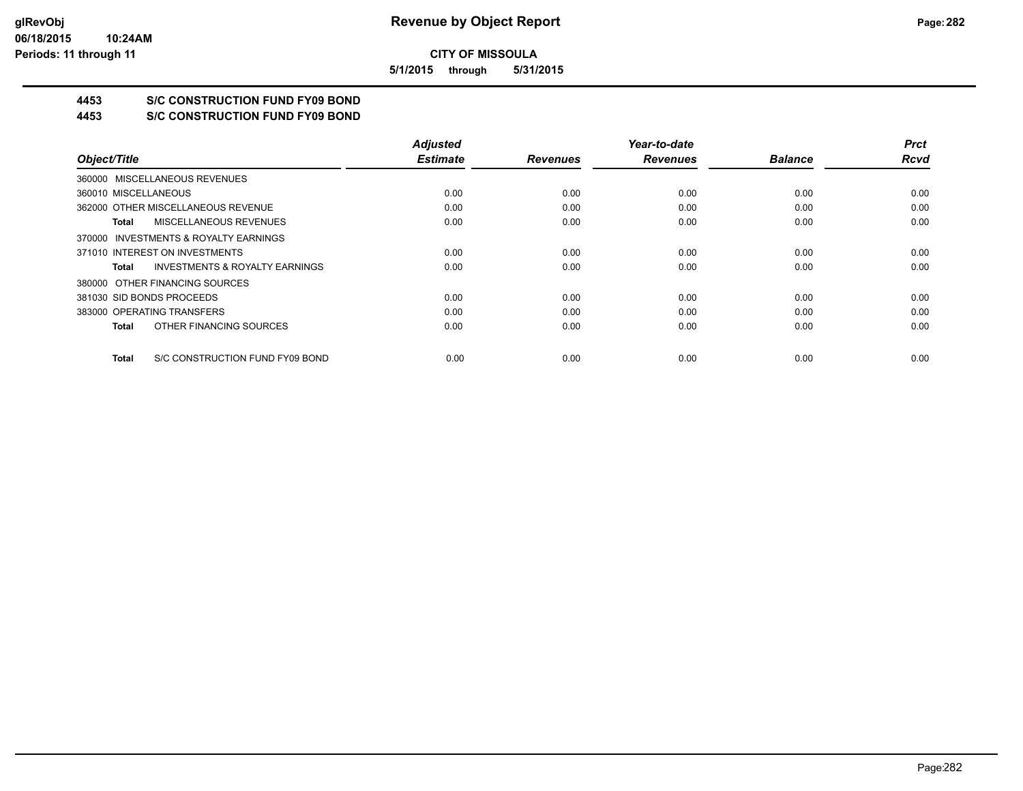**5/1/2015 through 5/31/2015**

# **4453 S/C CONSTRUCTION FUND FY09 BOND**

**4453 S/C CONSTRUCTION FUND FY09 BOND**

|                                                    | <b>Adjusted</b> |                 | Year-to-date    |                | <b>Prct</b> |
|----------------------------------------------------|-----------------|-----------------|-----------------|----------------|-------------|
| Object/Title                                       | <b>Estimate</b> | <b>Revenues</b> | <b>Revenues</b> | <b>Balance</b> | <b>Rcvd</b> |
| 360000 MISCELLANEOUS REVENUES                      |                 |                 |                 |                |             |
| 360010 MISCELLANEOUS                               | 0.00            | 0.00            | 0.00            | 0.00           | 0.00        |
| 362000 OTHER MISCELLANEOUS REVENUE                 | 0.00            | 0.00            | 0.00            | 0.00           | 0.00        |
| MISCELLANEOUS REVENUES<br>Total                    | 0.00            | 0.00            | 0.00            | 0.00           | 0.00        |
| 370000 INVESTMENTS & ROYALTY EARNINGS              |                 |                 |                 |                |             |
| 371010 INTEREST ON INVESTMENTS                     | 0.00            | 0.00            | 0.00            | 0.00           | 0.00        |
| <b>INVESTMENTS &amp; ROYALTY EARNINGS</b><br>Total | 0.00            | 0.00            | 0.00            | 0.00           | 0.00        |
| 380000 OTHER FINANCING SOURCES                     |                 |                 |                 |                |             |
| 381030 SID BONDS PROCEEDS                          | 0.00            | 0.00            | 0.00            | 0.00           | 0.00        |
| 383000 OPERATING TRANSFERS                         | 0.00            | 0.00            | 0.00            | 0.00           | 0.00        |
| OTHER FINANCING SOURCES<br>Total                   | 0.00            | 0.00            | 0.00            | 0.00           | 0.00        |
| S/C CONSTRUCTION FUND FY09 BOND<br>Total           | 0.00            | 0.00            | 0.00            | 0.00           | 0.00        |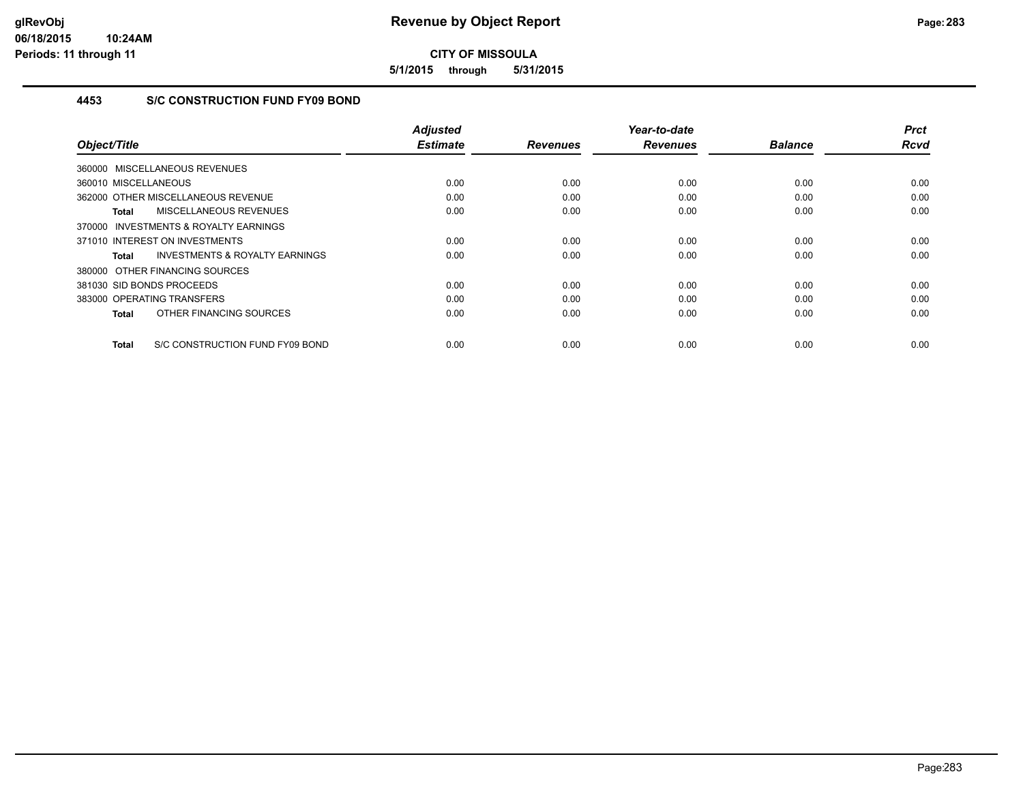**5/1/2015 through 5/31/2015**

# **4453 S/C CONSTRUCTION FUND FY09 BOND**

|                                                    | <b>Adjusted</b><br><b>Estimate</b> |                 | Year-to-date    |                | <b>Prct</b><br><b>Rcvd</b> |
|----------------------------------------------------|------------------------------------|-----------------|-----------------|----------------|----------------------------|
| Object/Title                                       |                                    | <b>Revenues</b> | <b>Revenues</b> | <b>Balance</b> |                            |
| 360000 MISCELLANEOUS REVENUES                      |                                    |                 |                 |                |                            |
| 360010 MISCELLANEOUS                               | 0.00                               | 0.00            | 0.00            | 0.00           | 0.00                       |
| 362000 OTHER MISCELLANEOUS REVENUE                 | 0.00                               | 0.00            | 0.00            | 0.00           | 0.00                       |
| MISCELLANEOUS REVENUES<br>Total                    | 0.00                               | 0.00            | 0.00            | 0.00           | 0.00                       |
| 370000 INVESTMENTS & ROYALTY EARNINGS              |                                    |                 |                 |                |                            |
| 371010 INTEREST ON INVESTMENTS                     | 0.00                               | 0.00            | 0.00            | 0.00           | 0.00                       |
| <b>INVESTMENTS &amp; ROYALTY EARNINGS</b><br>Total | 0.00                               | 0.00            | 0.00            | 0.00           | 0.00                       |
| 380000 OTHER FINANCING SOURCES                     |                                    |                 |                 |                |                            |
| 381030 SID BONDS PROCEEDS                          | 0.00                               | 0.00            | 0.00            | 0.00           | 0.00                       |
| 383000 OPERATING TRANSFERS                         | 0.00                               | 0.00            | 0.00            | 0.00           | 0.00                       |
| OTHER FINANCING SOURCES<br>Total                   | 0.00                               | 0.00            | 0.00            | 0.00           | 0.00                       |
| S/C CONSTRUCTION FUND FY09 BOND<br><b>Total</b>    | 0.00                               | 0.00            | 0.00            | 0.00           | 0.00                       |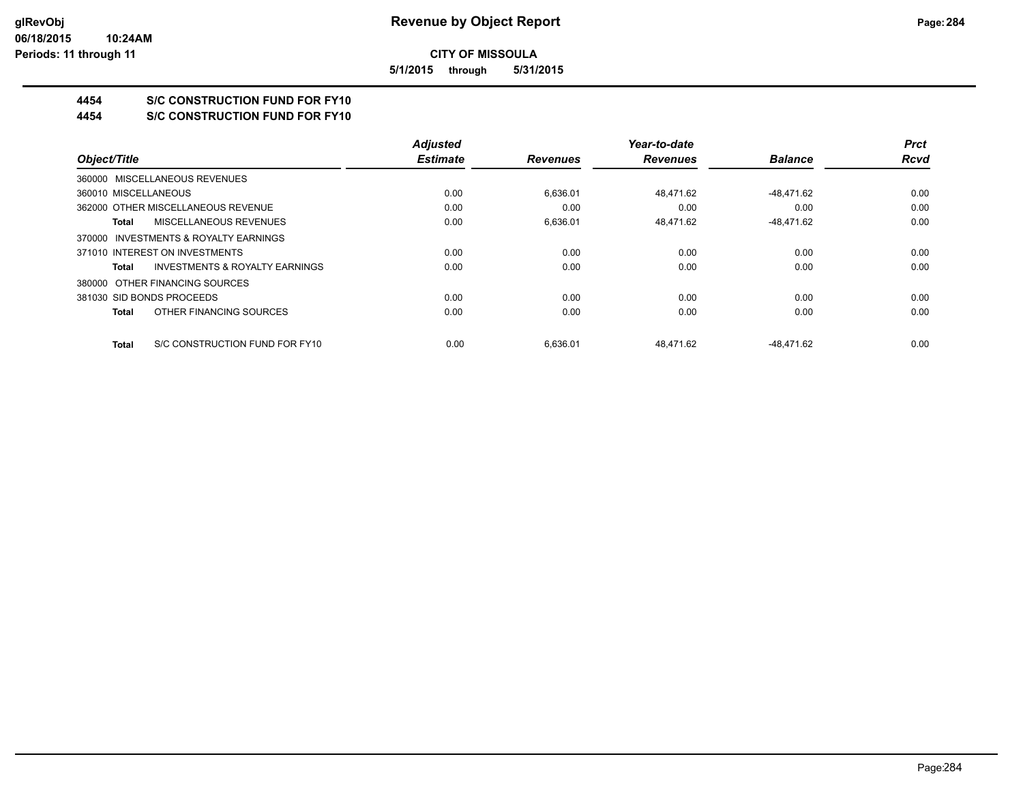**5/1/2015 through 5/31/2015**

# **4454 S/C CONSTRUCTION FUND FOR FY10**

**4454 S/C CONSTRUCTION FUND FOR FY10**

|                                                | <b>Adjusted</b> |                 | Year-to-date    |                | <b>Prct</b> |
|------------------------------------------------|-----------------|-----------------|-----------------|----------------|-------------|
| Object/Title                                   | <b>Estimate</b> | <b>Revenues</b> | <b>Revenues</b> | <b>Balance</b> | <b>Rcvd</b> |
| 360000 MISCELLANEOUS REVENUES                  |                 |                 |                 |                |             |
| 360010 MISCELLANEOUS                           | 0.00            | 6.636.01        | 48.471.62       | -48.471.62     | 0.00        |
| 362000 OTHER MISCELLANEOUS REVENUE             | 0.00            | 0.00            | 0.00            | 0.00           | 0.00        |
| MISCELLANEOUS REVENUES<br>Total                | 0.00            | 6,636.01        | 48,471.62       | -48,471.62     | 0.00        |
| 370000 INVESTMENTS & ROYALTY EARNINGS          |                 |                 |                 |                |             |
| 371010 INTEREST ON INVESTMENTS                 | 0.00            | 0.00            | 0.00            | 0.00           | 0.00        |
| INVESTMENTS & ROYALTY EARNINGS<br>Total        | 0.00            | 0.00            | 0.00            | 0.00           | 0.00        |
| 380000 OTHER FINANCING SOURCES                 |                 |                 |                 |                |             |
| 381030 SID BONDS PROCEEDS                      | 0.00            | 0.00            | 0.00            | 0.00           | 0.00        |
| OTHER FINANCING SOURCES<br>Total               | 0.00            | 0.00            | 0.00            | 0.00           | 0.00        |
| S/C CONSTRUCTION FUND FOR FY10<br><b>Total</b> | 0.00            | 6.636.01        | 48.471.62       | -48.471.62     | 0.00        |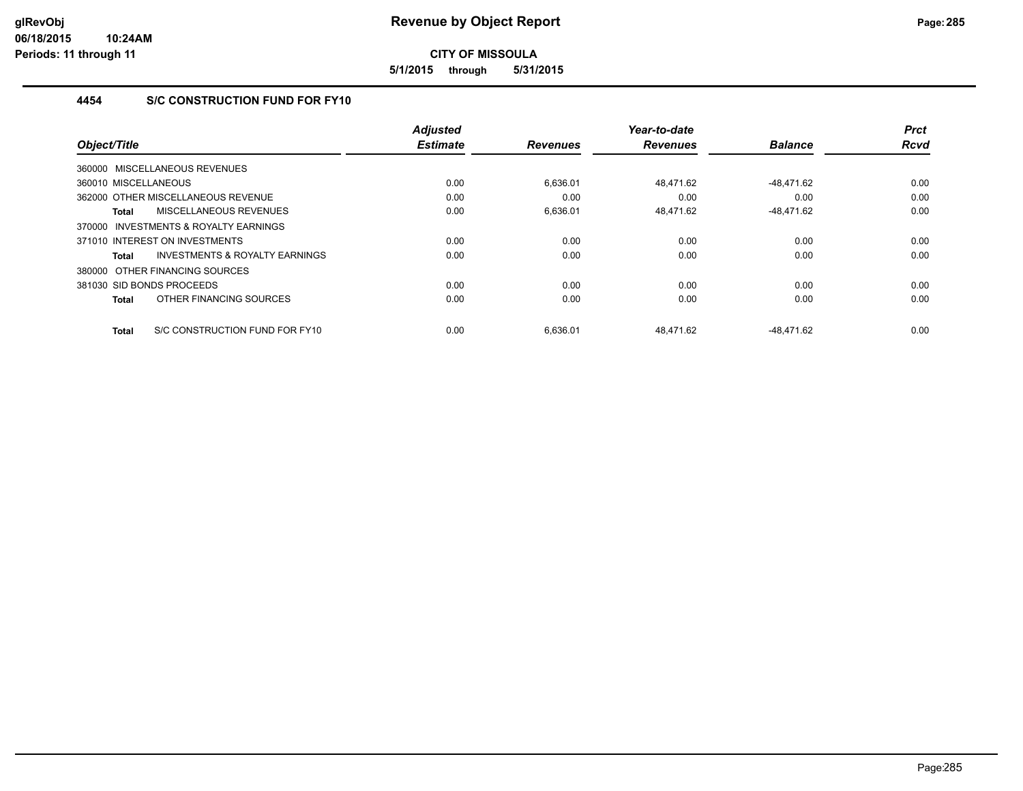**5/1/2015 through 5/31/2015**

# **4454 S/C CONSTRUCTION FUND FOR FY10**

| Object/Title                                   | <b>Adjusted</b><br><b>Estimate</b> | <b>Revenues</b> | Year-to-date<br><b>Revenues</b> | <b>Balance</b> | <b>Prct</b><br><b>Rcvd</b> |
|------------------------------------------------|------------------------------------|-----------------|---------------------------------|----------------|----------------------------|
|                                                |                                    |                 |                                 |                |                            |
| MISCELLANEOUS REVENUES<br>360000               |                                    |                 |                                 |                |                            |
| 360010 MISCELLANEOUS                           | 0.00                               | 6,636.01        | 48.471.62                       | -48.471.62     | 0.00                       |
| 362000 OTHER MISCELLANEOUS REVENUE             | 0.00                               | 0.00            | 0.00                            | 0.00           | 0.00                       |
| MISCELLANEOUS REVENUES<br><b>Total</b>         | 0.00                               | 6,636.01        | 48,471.62                       | $-48,471.62$   | 0.00                       |
| INVESTMENTS & ROYALTY EARNINGS<br>370000       |                                    |                 |                                 |                |                            |
| 371010 INTEREST ON INVESTMENTS                 | 0.00                               | 0.00            | 0.00                            | 0.00           | 0.00                       |
| INVESTMENTS & ROYALTY EARNINGS<br>Total        | 0.00                               | 0.00            | 0.00                            | 0.00           | 0.00                       |
| 380000 OTHER FINANCING SOURCES                 |                                    |                 |                                 |                |                            |
| 381030 SID BONDS PROCEEDS                      | 0.00                               | 0.00            | 0.00                            | 0.00           | 0.00                       |
| OTHER FINANCING SOURCES<br><b>Total</b>        | 0.00                               | 0.00            | 0.00                            | 0.00           | 0.00                       |
| S/C CONSTRUCTION FUND FOR FY10<br><b>Total</b> | 0.00                               | 6.636.01        | 48.471.62                       | -48.471.62     | 0.00                       |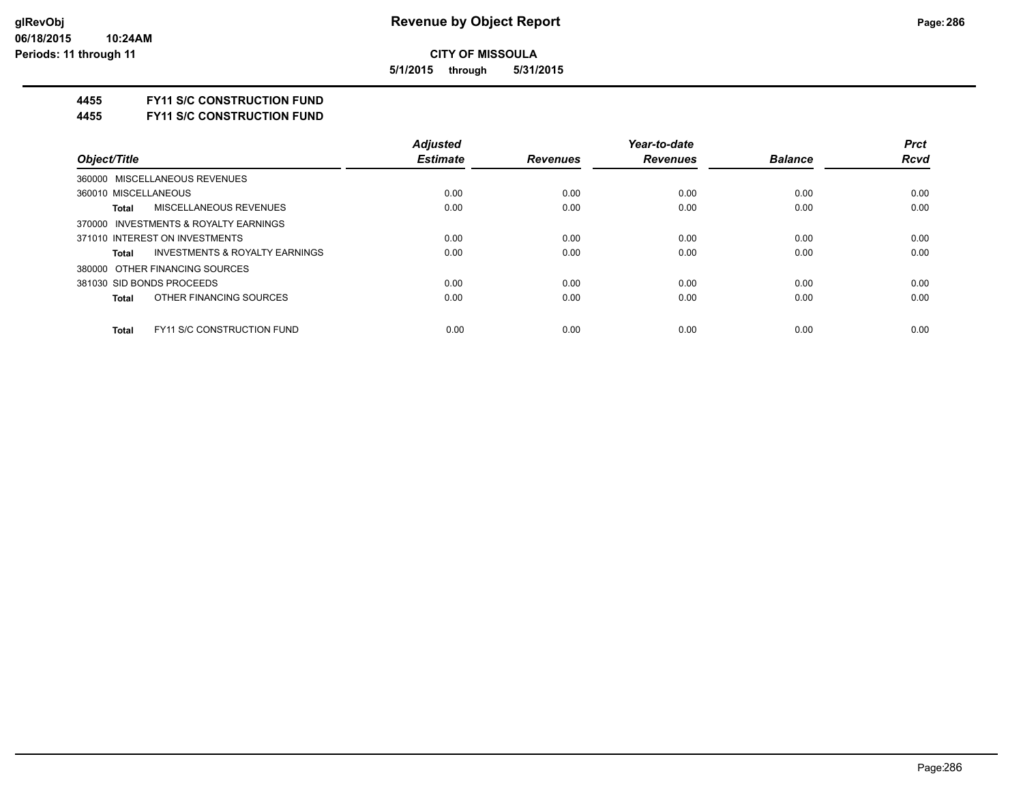**5/1/2015 through 5/31/2015**

## **4455 FY11 S/C CONSTRUCTION FUND**

**4455 FY11 S/C CONSTRUCTION FUND**

|                                                    | <b>Adjusted</b> |                 | Year-to-date    |                | <b>Prct</b> |
|----------------------------------------------------|-----------------|-----------------|-----------------|----------------|-------------|
| Object/Title                                       | <b>Estimate</b> | <b>Revenues</b> | <b>Revenues</b> | <b>Balance</b> | Rcvd        |
| 360000 MISCELLANEOUS REVENUES                      |                 |                 |                 |                |             |
| 360010 MISCELLANEOUS                               | 0.00            | 0.00            | 0.00            | 0.00           | 0.00        |
| MISCELLANEOUS REVENUES<br><b>Total</b>             | 0.00            | 0.00            | 0.00            | 0.00           | 0.00        |
| 370000 INVESTMENTS & ROYALTY EARNINGS              |                 |                 |                 |                |             |
| 371010 INTEREST ON INVESTMENTS                     | 0.00            | 0.00            | 0.00            | 0.00           | 0.00        |
| <b>INVESTMENTS &amp; ROYALTY EARNINGS</b><br>Total | 0.00            | 0.00            | 0.00            | 0.00           | 0.00        |
| 380000 OTHER FINANCING SOURCES                     |                 |                 |                 |                |             |
| 381030 SID BONDS PROCEEDS                          | 0.00            | 0.00            | 0.00            | 0.00           | 0.00        |
| OTHER FINANCING SOURCES<br><b>Total</b>            | 0.00            | 0.00            | 0.00            | 0.00           | 0.00        |
| <b>FY11 S/C CONSTRUCTION FUND</b><br><b>Total</b>  | 0.00            | 0.00            | 0.00            | 0.00           | 0.00        |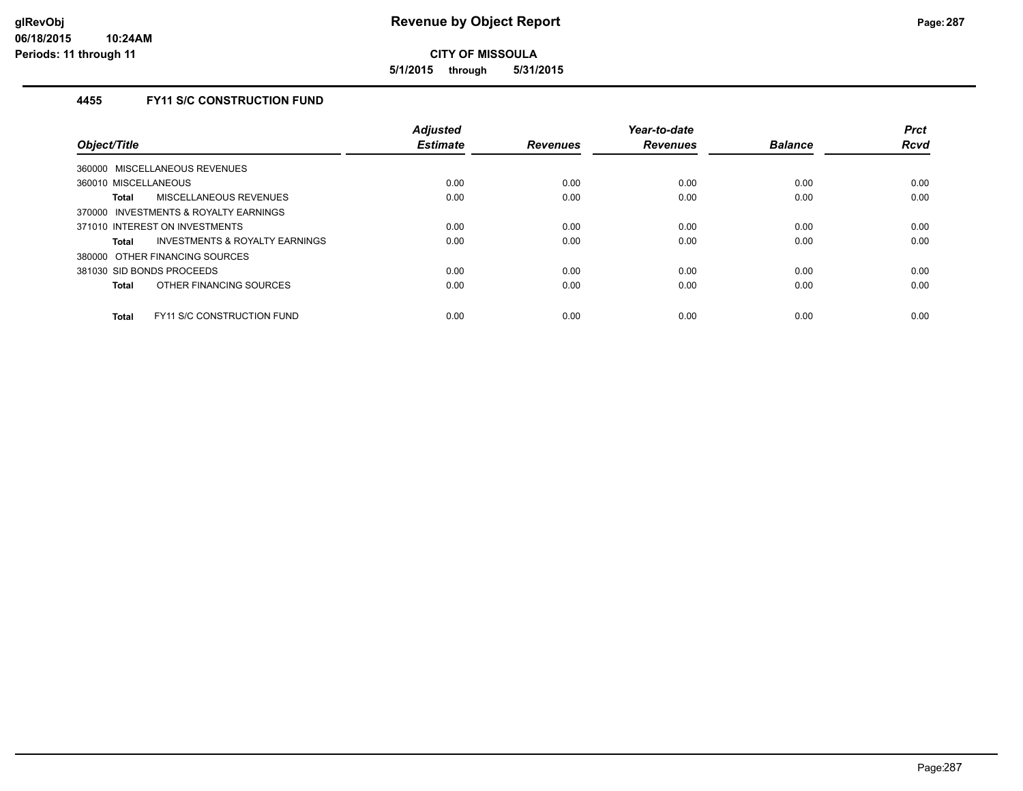**5/1/2015 through 5/31/2015**

# **4455 FY11 S/C CONSTRUCTION FUND**

| Object/Title                                      | <b>Adjusted</b><br><b>Estimate</b> | <b>Revenues</b> | Year-to-date<br><b>Revenues</b> | <b>Balance</b> | <b>Prct</b><br><b>Rcvd</b> |
|---------------------------------------------------|------------------------------------|-----------------|---------------------------------|----------------|----------------------------|
|                                                   |                                    |                 |                                 |                |                            |
| 360000 MISCELLANEOUS REVENUES                     |                                    |                 |                                 |                |                            |
| 360010 MISCELLANEOUS                              | 0.00                               | 0.00            | 0.00                            | 0.00           | 0.00                       |
| MISCELLANEOUS REVENUES<br>Total                   | 0.00                               | 0.00            | 0.00                            | 0.00           | 0.00                       |
| 370000 INVESTMENTS & ROYALTY EARNINGS             |                                    |                 |                                 |                |                            |
| 371010 INTEREST ON INVESTMENTS                    | 0.00                               | 0.00            | 0.00                            | 0.00           | 0.00                       |
| INVESTMENTS & ROYALTY EARNINGS<br>Total           | 0.00                               | 0.00            | 0.00                            | 0.00           | 0.00                       |
| 380000 OTHER FINANCING SOURCES                    |                                    |                 |                                 |                |                            |
| 381030 SID BONDS PROCEEDS                         | 0.00                               | 0.00            | 0.00                            | 0.00           | 0.00                       |
| OTHER FINANCING SOURCES<br>Total                  | 0.00                               | 0.00            | 0.00                            | 0.00           | 0.00                       |
| <b>FY11 S/C CONSTRUCTION FUND</b><br><b>Total</b> | 0.00                               | 0.00            | 0.00                            | 0.00           | 0.00                       |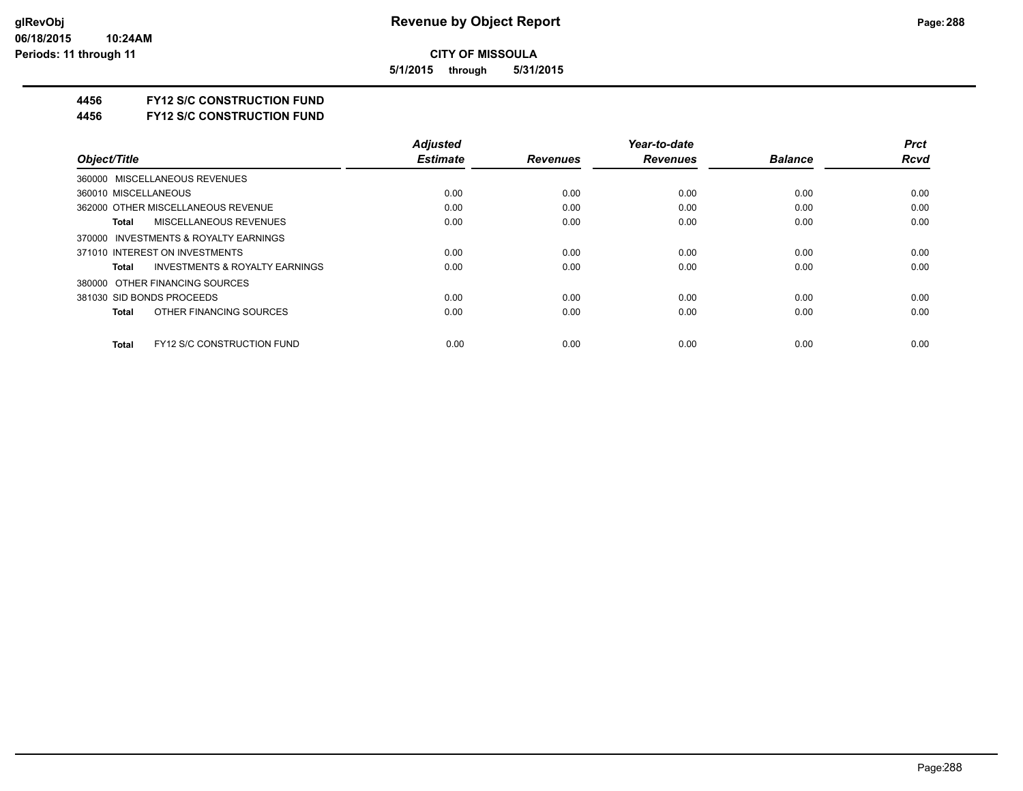**5/1/2015 through 5/31/2015**

#### **4456 FY12 S/C CONSTRUCTION FUND**

**4456 FY12 S/C CONSTRUCTION FUND**

|                                                    | <b>Adjusted</b> |                 | Year-to-date    |                | <b>Prct</b> |
|----------------------------------------------------|-----------------|-----------------|-----------------|----------------|-------------|
| Object/Title                                       | <b>Estimate</b> | <b>Revenues</b> | <b>Revenues</b> | <b>Balance</b> | <b>Rcvd</b> |
| 360000 MISCELLANEOUS REVENUES                      |                 |                 |                 |                |             |
| 360010 MISCELLANEOUS                               | 0.00            | 0.00            | 0.00            | 0.00           | 0.00        |
| 362000 OTHER MISCELLANEOUS REVENUE                 | 0.00            | 0.00            | 0.00            | 0.00           | 0.00        |
| MISCELLANEOUS REVENUES<br>Total                    | 0.00            | 0.00            | 0.00            | 0.00           | 0.00        |
| 370000 INVESTMENTS & ROYALTY EARNINGS              |                 |                 |                 |                |             |
| 371010 INTEREST ON INVESTMENTS                     | 0.00            | 0.00            | 0.00            | 0.00           | 0.00        |
| <b>INVESTMENTS &amp; ROYALTY EARNINGS</b><br>Total | 0.00            | 0.00            | 0.00            | 0.00           | 0.00        |
| 380000 OTHER FINANCING SOURCES                     |                 |                 |                 |                |             |
| 381030 SID BONDS PROCEEDS                          | 0.00            | 0.00            | 0.00            | 0.00           | 0.00        |
| OTHER FINANCING SOURCES<br><b>Total</b>            | 0.00            | 0.00            | 0.00            | 0.00           | 0.00        |
| <b>FY12 S/C CONSTRUCTION FUND</b><br><b>Total</b>  | 0.00            | 0.00            | 0.00            | 0.00           | 0.00        |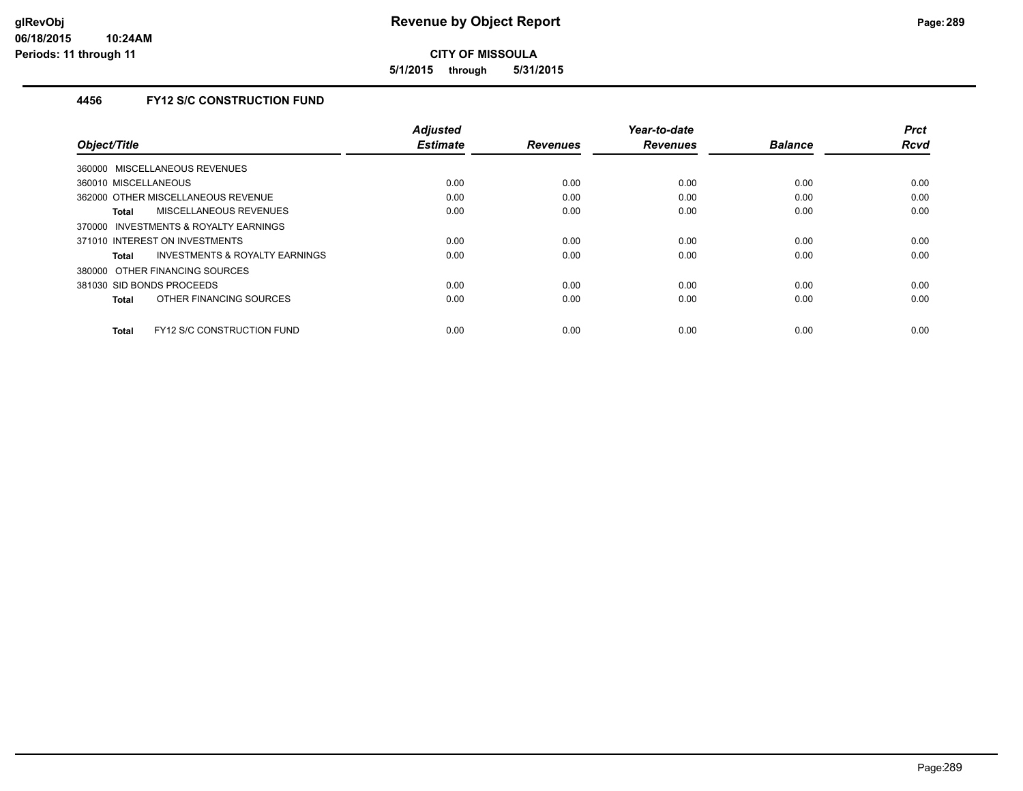**5/1/2015 through 5/31/2015**

## **4456 FY12 S/C CONSTRUCTION FUND**

|                                                    | <b>Adjusted</b><br><b>Estimate</b> |                 | Year-to-date    | <b>Balance</b> | <b>Prct</b><br><b>Rcvd</b> |
|----------------------------------------------------|------------------------------------|-----------------|-----------------|----------------|----------------------------|
| Object/Title                                       |                                    | <b>Revenues</b> | <b>Revenues</b> |                |                            |
| 360000 MISCELLANEOUS REVENUES                      |                                    |                 |                 |                |                            |
| 360010 MISCELLANEOUS                               | 0.00                               | 0.00            | 0.00            | 0.00           | 0.00                       |
| 362000 OTHER MISCELLANEOUS REVENUE                 | 0.00                               | 0.00            | 0.00            | 0.00           | 0.00                       |
| <b>MISCELLANEOUS REVENUES</b><br>Total             | 0.00                               | 0.00            | 0.00            | 0.00           | 0.00                       |
| INVESTMENTS & ROYALTY EARNINGS<br>370000           |                                    |                 |                 |                |                            |
| 371010 INTEREST ON INVESTMENTS                     | 0.00                               | 0.00            | 0.00            | 0.00           | 0.00                       |
| <b>INVESTMENTS &amp; ROYALTY EARNINGS</b><br>Total | 0.00                               | 0.00            | 0.00            | 0.00           | 0.00                       |
| 380000 OTHER FINANCING SOURCES                     |                                    |                 |                 |                |                            |
| 381030 SID BONDS PROCEEDS                          | 0.00                               | 0.00            | 0.00            | 0.00           | 0.00                       |
| OTHER FINANCING SOURCES<br>Total                   | 0.00                               | 0.00            | 0.00            | 0.00           | 0.00                       |
|                                                    |                                    |                 |                 |                |                            |
| <b>FY12 S/C CONSTRUCTION FUND</b><br>Total         | 0.00                               | 0.00            | 0.00            | 0.00           | 0.00                       |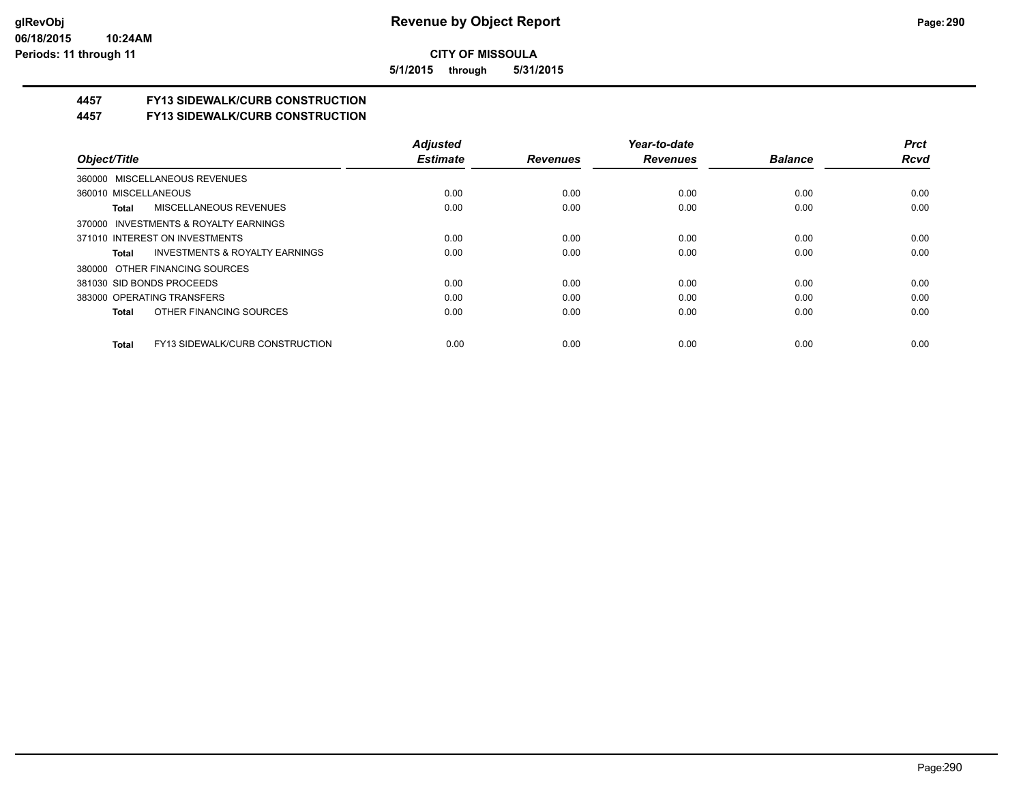**5/1/2015 through 5/31/2015**

## **4457 FY13 SIDEWALK/CURB CONSTRUCTION**

**4457 FY13 SIDEWALK/CURB CONSTRUCTION**

|                                                    | <b>Adjusted</b> |                 | Year-to-date    |                | <b>Prct</b> |
|----------------------------------------------------|-----------------|-----------------|-----------------|----------------|-------------|
| Object/Title                                       | <b>Estimate</b> | <b>Revenues</b> | <b>Revenues</b> | <b>Balance</b> | <b>Rcvd</b> |
| 360000 MISCELLANEOUS REVENUES                      |                 |                 |                 |                |             |
| 360010 MISCELLANEOUS                               | 0.00            | 0.00            | 0.00            | 0.00           | 0.00        |
| MISCELLANEOUS REVENUES<br>Total                    | 0.00            | 0.00            | 0.00            | 0.00           | 0.00        |
| 370000 INVESTMENTS & ROYALTY EARNINGS              |                 |                 |                 |                |             |
| 371010 INTEREST ON INVESTMENTS                     | 0.00            | 0.00            | 0.00            | 0.00           | 0.00        |
| <b>INVESTMENTS &amp; ROYALTY EARNINGS</b><br>Total | 0.00            | 0.00            | 0.00            | 0.00           | 0.00        |
| 380000 OTHER FINANCING SOURCES                     |                 |                 |                 |                |             |
| 381030 SID BONDS PROCEEDS                          | 0.00            | 0.00            | 0.00            | 0.00           | 0.00        |
| 383000 OPERATING TRANSFERS                         | 0.00            | 0.00            | 0.00            | 0.00           | 0.00        |
| OTHER FINANCING SOURCES<br>Total                   | 0.00            | 0.00            | 0.00            | 0.00           | 0.00        |
| <b>FY13 SIDEWALK/CURB CONSTRUCTION</b><br>Total    | 0.00            | 0.00            | 0.00            | 0.00           | 0.00        |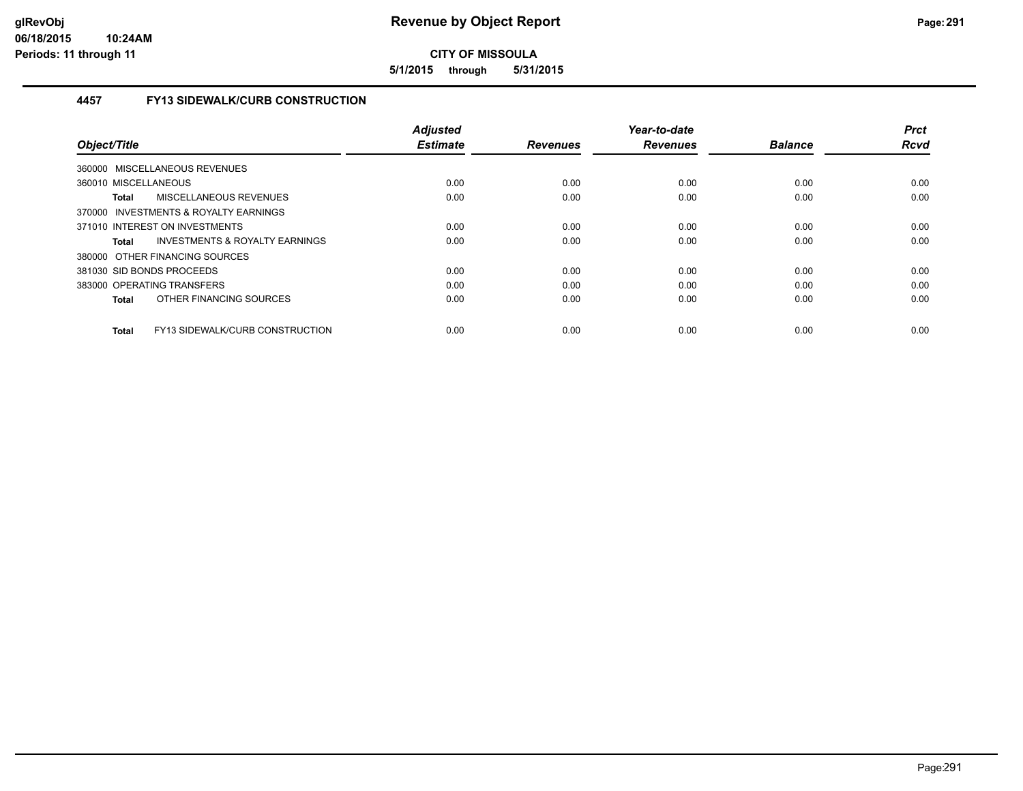**5/1/2015 through 5/31/2015**

## **4457 FY13 SIDEWALK/CURB CONSTRUCTION**

| Object/Title                                           | <b>Adjusted</b><br><b>Estimate</b> | <b>Revenues</b> | Year-to-date<br><b>Revenues</b> | <b>Balance</b> | <b>Prct</b><br><b>Rcvd</b> |
|--------------------------------------------------------|------------------------------------|-----------------|---------------------------------|----------------|----------------------------|
| 360000 MISCELLANEOUS REVENUES                          |                                    |                 |                                 |                |                            |
| 360010 MISCELLANEOUS                                   | 0.00                               | 0.00            | 0.00                            | 0.00           | 0.00                       |
| MISCELLANEOUS REVENUES<br><b>Total</b>                 | 0.00                               | 0.00            | 0.00                            | 0.00           | 0.00                       |
| 370000 INVESTMENTS & ROYALTY EARNINGS                  |                                    |                 |                                 |                |                            |
| 371010 INTEREST ON INVESTMENTS                         | 0.00                               | 0.00            | 0.00                            | 0.00           | 0.00                       |
| INVESTMENTS & ROYALTY EARNINGS<br><b>Total</b>         | 0.00                               | 0.00            | 0.00                            | 0.00           | 0.00                       |
| 380000 OTHER FINANCING SOURCES                         |                                    |                 |                                 |                |                            |
| 381030 SID BONDS PROCEEDS                              | 0.00                               | 0.00            | 0.00                            | 0.00           | 0.00                       |
| 383000 OPERATING TRANSFERS                             | 0.00                               | 0.00            | 0.00                            | 0.00           | 0.00                       |
| OTHER FINANCING SOURCES<br><b>Total</b>                | 0.00                               | 0.00            | 0.00                            | 0.00           | 0.00                       |
| <b>FY13 SIDEWALK/CURB CONSTRUCTION</b><br><b>Total</b> | 0.00                               | 0.00            | 0.00                            | 0.00           | 0.00                       |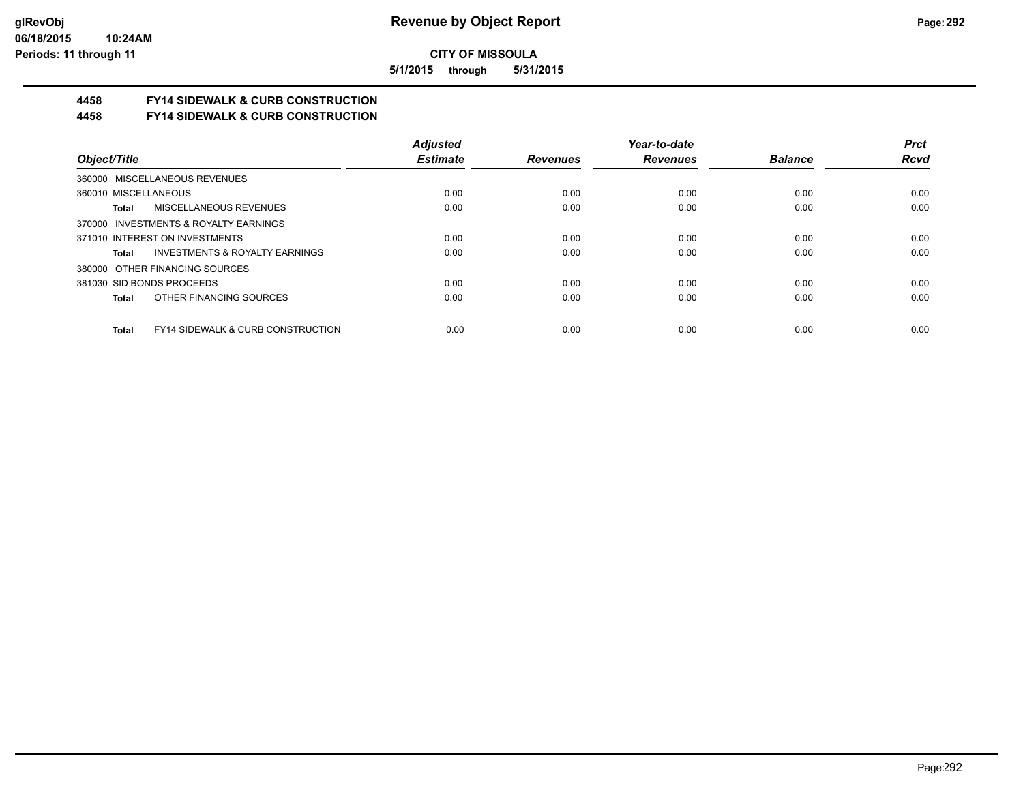**5/1/2015 through 5/31/2015**

# **4458 FY14 SIDEWALK & CURB CONSTRUCTION**

**4458 FY14 SIDEWALK & CURB CONSTRUCTION**

|                                                              | <b>Adjusted</b> |                 | Year-to-date    |                | <b>Prct</b> |
|--------------------------------------------------------------|-----------------|-----------------|-----------------|----------------|-------------|
| Object/Title                                                 | <b>Estimate</b> | <b>Revenues</b> | <b>Revenues</b> | <b>Balance</b> | <b>Rcvd</b> |
| 360000 MISCELLANEOUS REVENUES                                |                 |                 |                 |                |             |
| 360010 MISCELLANEOUS                                         | 0.00            | 0.00            | 0.00            | 0.00           | 0.00        |
| <b>MISCELLANEOUS REVENUES</b><br>Total                       | 0.00            | 0.00            | 0.00            | 0.00           | 0.00        |
| 370000 INVESTMENTS & ROYALTY EARNINGS                        |                 |                 |                 |                |             |
| 371010 INTEREST ON INVESTMENTS                               | 0.00            | 0.00            | 0.00            | 0.00           | 0.00        |
| INVESTMENTS & ROYALTY EARNINGS<br>Total                      | 0.00            | 0.00            | 0.00            | 0.00           | 0.00        |
| 380000 OTHER FINANCING SOURCES                               |                 |                 |                 |                |             |
| 381030 SID BONDS PROCEEDS                                    | 0.00            | 0.00            | 0.00            | 0.00           | 0.00        |
| OTHER FINANCING SOURCES<br><b>Total</b>                      | 0.00            | 0.00            | 0.00            | 0.00           | 0.00        |
|                                                              |                 |                 |                 |                |             |
| <b>FY14 SIDEWALK &amp; CURB CONSTRUCTION</b><br><b>Total</b> | 0.00            | 0.00            | 0.00            | 0.00           | 0.00        |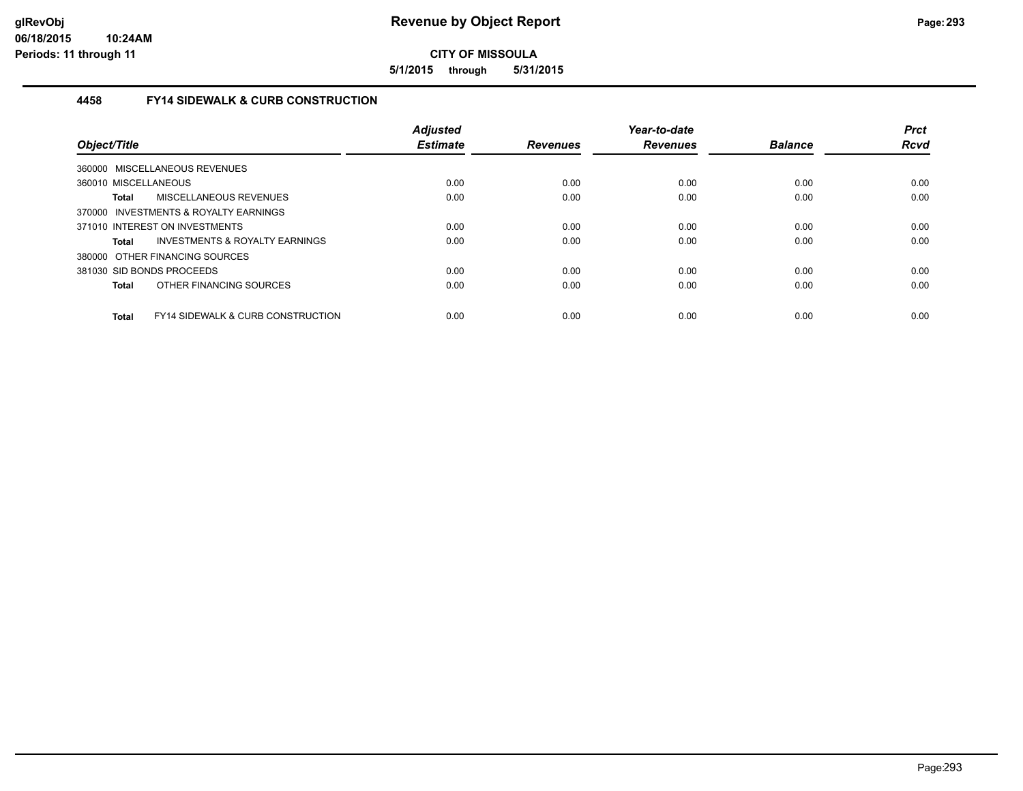**5/1/2015 through 5/31/2015**

#### **4458 FY14 SIDEWALK & CURB CONSTRUCTION**

| Object/Title         |                                              | <b>Adjusted</b><br><b>Estimate</b> | <b>Revenues</b> | Year-to-date<br><b>Revenues</b> | <b>Balance</b> | <b>Prct</b><br><b>Rcvd</b> |
|----------------------|----------------------------------------------|------------------------------------|-----------------|---------------------------------|----------------|----------------------------|
|                      | 360000 MISCELLANEOUS REVENUES                |                                    |                 |                                 |                |                            |
| 360010 MISCELLANEOUS |                                              | 0.00                               | 0.00            | 0.00                            | 0.00           | 0.00                       |
| <b>Total</b>         | MISCELLANEOUS REVENUES                       | 0.00                               | 0.00            | 0.00                            | 0.00           | 0.00                       |
|                      | 370000 INVESTMENTS & ROYALTY EARNINGS        |                                    |                 |                                 |                |                            |
|                      | 371010 INTEREST ON INVESTMENTS               | 0.00                               | 0.00            | 0.00                            | 0.00           | 0.00                       |
| <b>Total</b>         | INVESTMENTS & ROYALTY EARNINGS               | 0.00                               | 0.00            | 0.00                            | 0.00           | 0.00                       |
|                      | 380000 OTHER FINANCING SOURCES               |                                    |                 |                                 |                |                            |
|                      | 381030 SID BONDS PROCEEDS                    | 0.00                               | 0.00            | 0.00                            | 0.00           | 0.00                       |
| <b>Total</b>         | OTHER FINANCING SOURCES                      | 0.00                               | 0.00            | 0.00                            | 0.00           | 0.00                       |
| <b>Total</b>         | <b>FY14 SIDEWALK &amp; CURB CONSTRUCTION</b> | 0.00                               | 0.00            | 0.00                            | 0.00           | 0.00                       |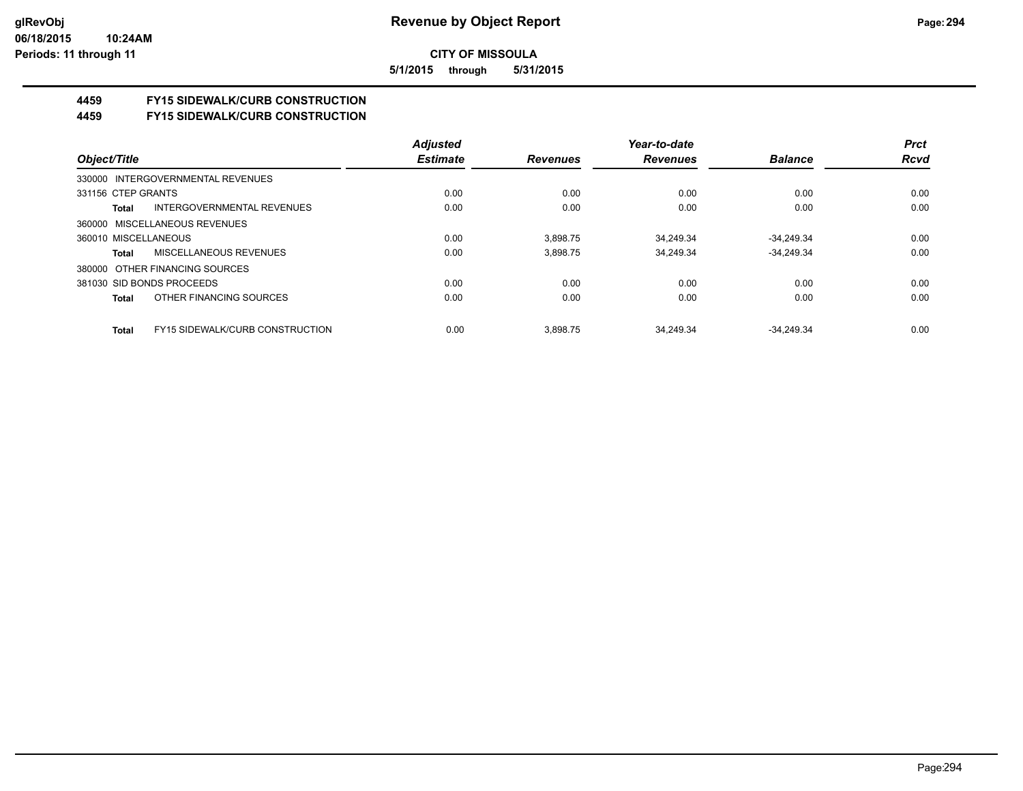**5/1/2015 through 5/31/2015**

# **4459 FY15 SIDEWALK/CURB CONSTRUCTION**

**4459 FY15 SIDEWALK/CURB CONSTRUCTION**

|                                   |                                        | <b>Adjusted</b> |                 | Year-to-date    |                | <b>Prct</b> |
|-----------------------------------|----------------------------------------|-----------------|-----------------|-----------------|----------------|-------------|
| Object/Title                      |                                        | <b>Estimate</b> | <b>Revenues</b> | <b>Revenues</b> | <b>Balance</b> | <b>Rcvd</b> |
| 330000 INTERGOVERNMENTAL REVENUES |                                        |                 |                 |                 |                |             |
| 331156 CTEP GRANTS                |                                        | 0.00            | 0.00            | 0.00            | 0.00           | 0.00        |
| Total                             | INTERGOVERNMENTAL REVENUES             | 0.00            | 0.00            | 0.00            | 0.00           | 0.00        |
| 360000 MISCELLANEOUS REVENUES     |                                        |                 |                 |                 |                |             |
| 360010 MISCELLANEOUS              |                                        | 0.00            | 3.898.75        | 34.249.34       | $-34.249.34$   | 0.00        |
| Total                             | MISCELLANEOUS REVENUES                 | 0.00            | 3.898.75        | 34.249.34       | $-34.249.34$   | 0.00        |
| 380000 OTHER FINANCING SOURCES    |                                        |                 |                 |                 |                |             |
| 381030 SID BONDS PROCEEDS         |                                        | 0.00            | 0.00            | 0.00            | 0.00           | 0.00        |
| Total                             | OTHER FINANCING SOURCES                | 0.00            | 0.00            | 0.00            | 0.00           | 0.00        |
| Total                             | <b>FY15 SIDEWALK/CURB CONSTRUCTION</b> | 0.00            | 3.898.75        | 34.249.34       | $-34.249.34$   | 0.00        |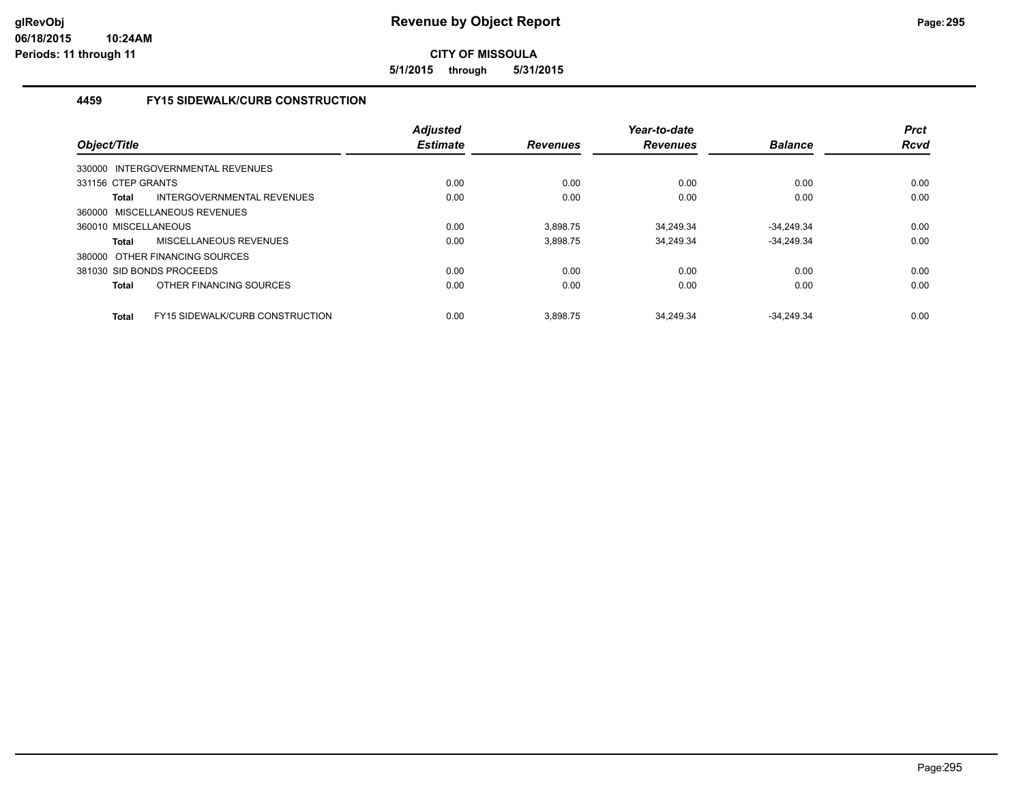**5/1/2015 through 5/31/2015**

## **4459 FY15 SIDEWALK/CURB CONSTRUCTION**

| Object/Title         |                                        | <b>Adjusted</b><br><b>Estimate</b> | <b>Revenues</b> | Year-to-date<br><b>Revenues</b> | <b>Balance</b> | <b>Prct</b><br><b>Rcvd</b> |
|----------------------|----------------------------------------|------------------------------------|-----------------|---------------------------------|----------------|----------------------------|
|                      | 330000 INTERGOVERNMENTAL REVENUES      |                                    |                 |                                 |                |                            |
| 331156 CTEP GRANTS   |                                        | 0.00                               | 0.00            | 0.00                            | 0.00           | 0.00                       |
| <b>Total</b>         | INTERGOVERNMENTAL REVENUES             | 0.00                               | 0.00            | 0.00                            | 0.00           | 0.00                       |
|                      | 360000 MISCELLANEOUS REVENUES          |                                    |                 |                                 |                |                            |
| 360010 MISCELLANEOUS |                                        | 0.00                               | 3.898.75        | 34.249.34                       | $-34.249.34$   | 0.00                       |
| <b>Total</b>         | MISCELLANEOUS REVENUES                 | 0.00                               | 3,898.75        | 34.249.34                       | $-34,249.34$   | 0.00                       |
|                      | 380000 OTHER FINANCING SOURCES         |                                    |                 |                                 |                |                            |
|                      | 381030 SID BONDS PROCEEDS              | 0.00                               | 0.00            | 0.00                            | 0.00           | 0.00                       |
| <b>Total</b>         | OTHER FINANCING SOURCES                | 0.00                               | 0.00            | 0.00                            | 0.00           | 0.00                       |
| <b>Total</b>         | <b>FY15 SIDEWALK/CURB CONSTRUCTION</b> | 0.00                               | 3.898.75        | 34.249.34                       | $-34.249.34$   | 0.00                       |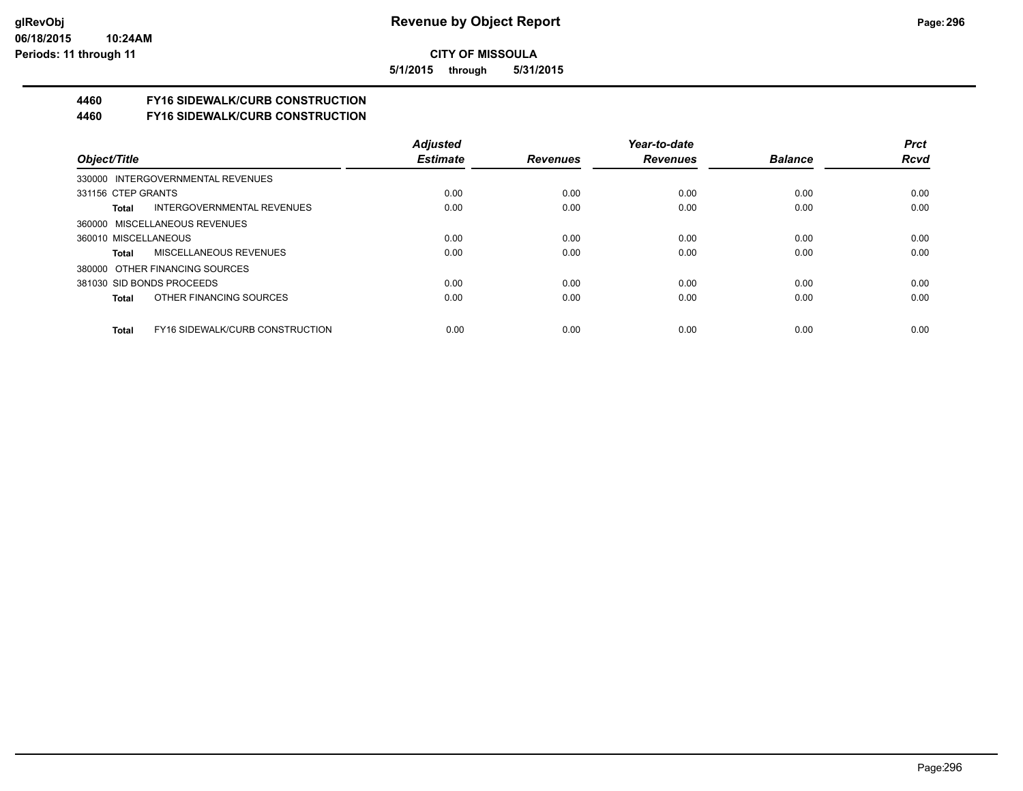**5/1/2015 through 5/31/2015**

# **4460 FY16 SIDEWALK/CURB CONSTRUCTION**

**4460 FY16 SIDEWALK/CURB CONSTRUCTION**

|                                                 | <b>Adiusted</b> |                 | Year-to-date    |                | <b>Prct</b> |
|-------------------------------------------------|-----------------|-----------------|-----------------|----------------|-------------|
| Object/Title                                    | <b>Estimate</b> | <b>Revenues</b> | <b>Revenues</b> | <b>Balance</b> | <b>Rcvd</b> |
| 330000 INTERGOVERNMENTAL REVENUES               |                 |                 |                 |                |             |
| 331156 CTEP GRANTS                              | 0.00            | 0.00            | 0.00            | 0.00           | 0.00        |
| INTERGOVERNMENTAL REVENUES<br>Total             | 0.00            | 0.00            | 0.00            | 0.00           | 0.00        |
| 360000 MISCELLANEOUS REVENUES                   |                 |                 |                 |                |             |
| 360010 MISCELLANEOUS                            | 0.00            | 0.00            | 0.00            | 0.00           | 0.00        |
| MISCELLANEOUS REVENUES<br>Total                 | 0.00            | 0.00            | 0.00            | 0.00           | 0.00        |
| 380000 OTHER FINANCING SOURCES                  |                 |                 |                 |                |             |
| 381030 SID BONDS PROCEEDS                       | 0.00            | 0.00            | 0.00            | 0.00           | 0.00        |
| OTHER FINANCING SOURCES<br>Total                | 0.00            | 0.00            | 0.00            | 0.00           | 0.00        |
|                                                 |                 |                 |                 |                |             |
| <b>FY16 SIDEWALK/CURB CONSTRUCTION</b><br>Total | 0.00            | 0.00            | 0.00            | 0.00           | 0.00        |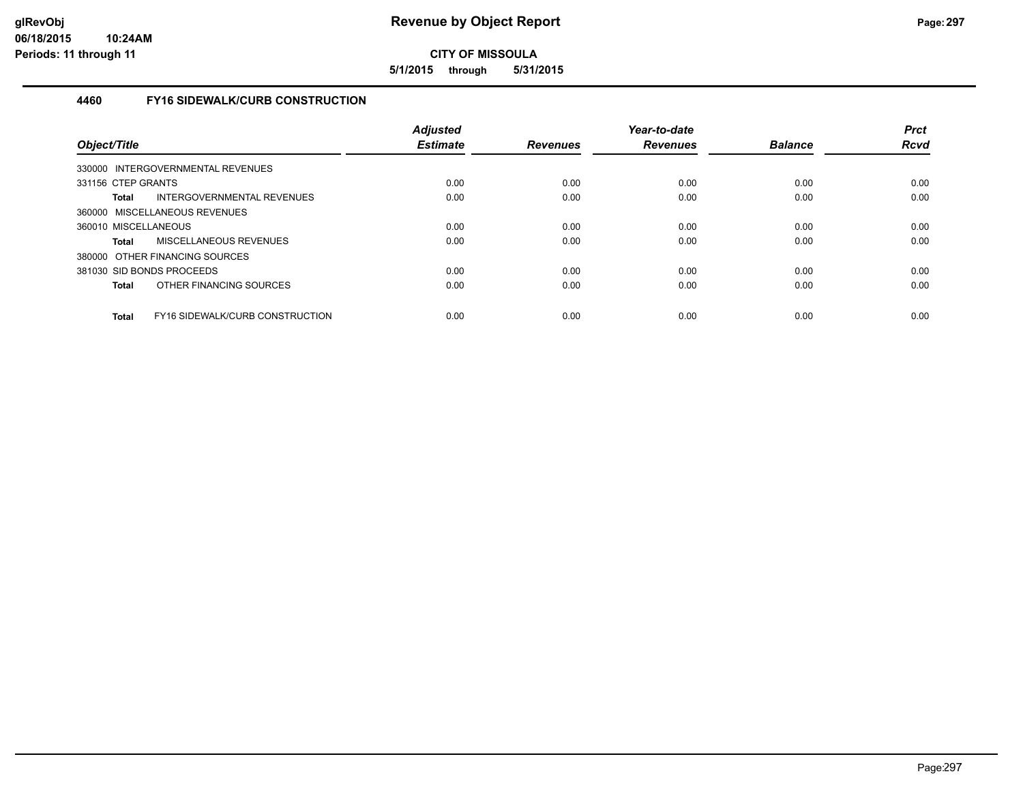**5/1/2015 through 5/31/2015**

## **4460 FY16 SIDEWALK/CURB CONSTRUCTION**

| Object/Title         |                                   | <b>Adjusted</b><br><b>Estimate</b> | <b>Revenues</b> | Year-to-date<br><b>Revenues</b> | <b>Balance</b> | <b>Prct</b><br><b>Rcvd</b> |
|----------------------|-----------------------------------|------------------------------------|-----------------|---------------------------------|----------------|----------------------------|
|                      | 330000 INTERGOVERNMENTAL REVENUES |                                    |                 |                                 |                |                            |
| 331156 CTEP GRANTS   |                                   | 0.00                               | 0.00            | 0.00                            | 0.00           | 0.00                       |
| <b>Total</b>         | INTERGOVERNMENTAL REVENUES        | 0.00                               | 0.00            | 0.00                            | 0.00           | 0.00                       |
|                      | 360000 MISCELLANEOUS REVENUES     |                                    |                 |                                 |                |                            |
| 360010 MISCELLANEOUS |                                   | 0.00                               | 0.00            | 0.00                            | 0.00           | 0.00                       |
| <b>Total</b>         | MISCELLANEOUS REVENUES            | 0.00                               | 0.00            | 0.00                            | 0.00           | 0.00                       |
|                      | 380000 OTHER FINANCING SOURCES    |                                    |                 |                                 |                |                            |
|                      | 381030 SID BONDS PROCEEDS         | 0.00                               | 0.00            | 0.00                            | 0.00           | 0.00                       |
| <b>Total</b>         | OTHER FINANCING SOURCES           | 0.00                               | 0.00            | 0.00                            | 0.00           | 0.00                       |
| <b>Total</b>         | FY16 SIDEWALK/CURB CONSTRUCTION   | 0.00                               | 0.00            | 0.00                            | 0.00           | 0.00                       |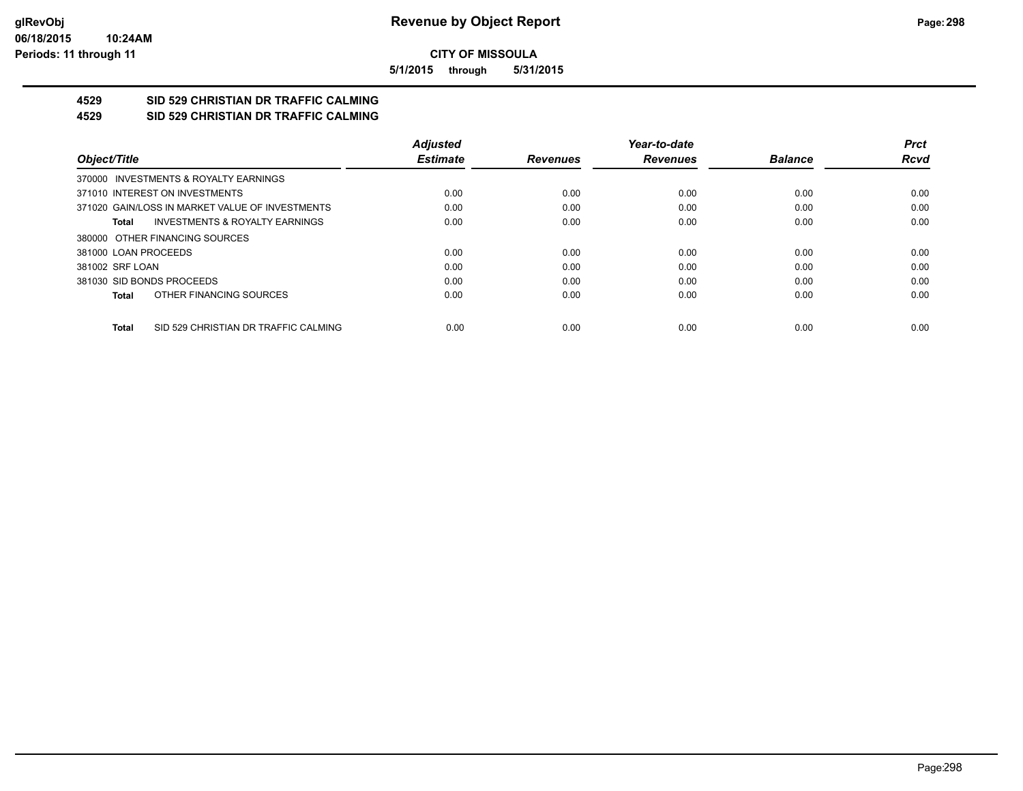**5/1/2015 through 5/31/2015**

#### **4529 SID 529 CHRISTIAN DR TRAFFIC CALMING 4529 SID 529 CHRISTIAN DR TRAFFIC CALMING**

|                                                      | <b>Adjusted</b> |                 | Year-to-date    |                | <b>Prct</b> |
|------------------------------------------------------|-----------------|-----------------|-----------------|----------------|-------------|
| Object/Title                                         | <b>Estimate</b> | <b>Revenues</b> | <b>Revenues</b> | <b>Balance</b> | <b>Rcvd</b> |
| 370000 INVESTMENTS & ROYALTY EARNINGS                |                 |                 |                 |                |             |
| 371010 INTEREST ON INVESTMENTS                       | 0.00            | 0.00            | 0.00            | 0.00           | 0.00        |
| 371020 GAIN/LOSS IN MARKET VALUE OF INVESTMENTS      | 0.00            | 0.00            | 0.00            | 0.00           | 0.00        |
| <b>INVESTMENTS &amp; ROYALTY EARNINGS</b><br>Total   | 0.00            | 0.00            | 0.00            | 0.00           | 0.00        |
| 380000 OTHER FINANCING SOURCES                       |                 |                 |                 |                |             |
| 381000 LOAN PROCEEDS                                 | 0.00            | 0.00            | 0.00            | 0.00           | 0.00        |
| 381002 SRF LOAN                                      | 0.00            | 0.00            | 0.00            | 0.00           | 0.00        |
| 381030 SID BONDS PROCEEDS                            | 0.00            | 0.00            | 0.00            | 0.00           | 0.00        |
| OTHER FINANCING SOURCES<br>Total                     | 0.00            | 0.00            | 0.00            | 0.00           | 0.00        |
| SID 529 CHRISTIAN DR TRAFFIC CALMING<br><b>Total</b> | 0.00            | 0.00            | 0.00            | 0.00           | 0.00        |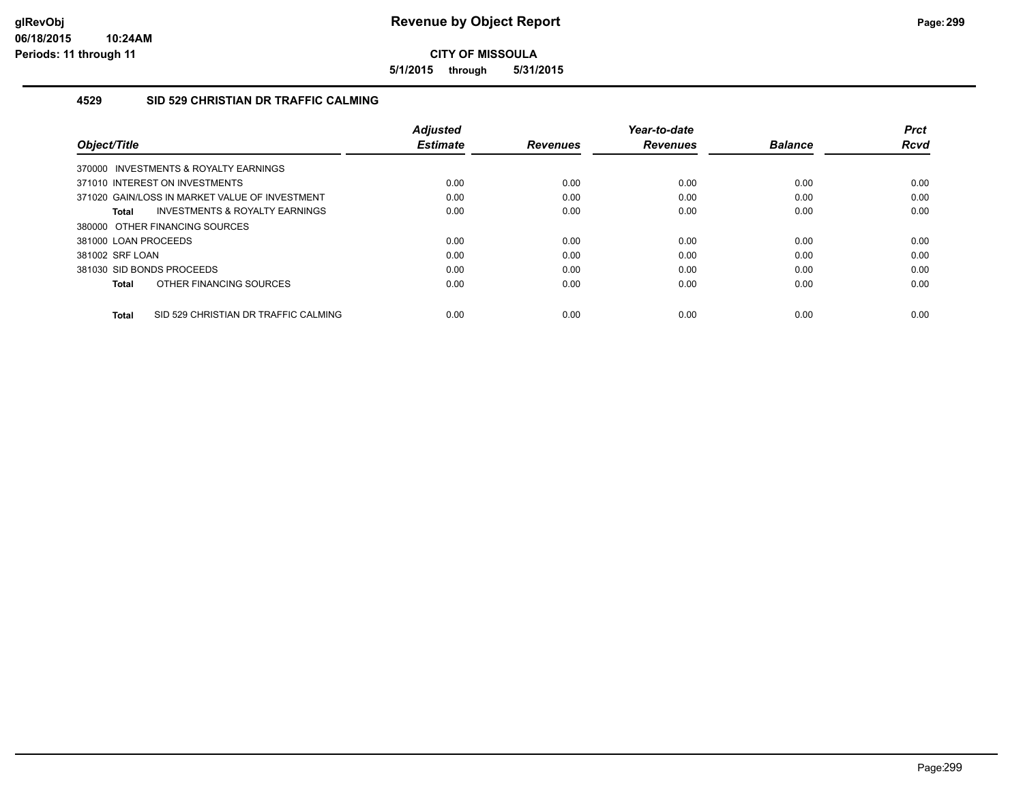**5/1/2015 through 5/31/2015**

#### **4529 SID 529 CHRISTIAN DR TRAFFIC CALMING**

| Object/Title                                       | <b>Adjusted</b><br><b>Estimate</b> | <b>Revenues</b> | Year-to-date<br><b>Revenues</b> | <b>Balance</b> | <b>Prct</b><br>Rcvd |
|----------------------------------------------------|------------------------------------|-----------------|---------------------------------|----------------|---------------------|
| 370000 INVESTMENTS & ROYALTY EARNINGS              |                                    |                 |                                 |                |                     |
| 371010 INTEREST ON INVESTMENTS                     | 0.00                               | 0.00            | 0.00                            | 0.00           | 0.00                |
| 371020 GAIN/LOSS IN MARKET VALUE OF INVESTMENT     | 0.00                               | 0.00            | 0.00                            | 0.00           | 0.00                |
| <b>INVESTMENTS &amp; ROYALTY EARNINGS</b><br>Total | 0.00                               | 0.00            | 0.00                            | 0.00           | 0.00                |
| 380000 OTHER FINANCING SOURCES                     |                                    |                 |                                 |                |                     |
| 381000 LOAN PROCEEDS                               | 0.00                               | 0.00            | 0.00                            | 0.00           | 0.00                |
| 381002 SRF LOAN                                    | 0.00                               | 0.00            | 0.00                            | 0.00           | 0.00                |
| 381030 SID BONDS PROCEEDS                          | 0.00                               | 0.00            | 0.00                            | 0.00           | 0.00                |
| OTHER FINANCING SOURCES<br>Total                   | 0.00                               | 0.00            | 0.00                            | 0.00           | 0.00                |
| SID 529 CHRISTIAN DR TRAFFIC CALMING<br>Total      | 0.00                               | 0.00            | 0.00                            | 0.00           | 0.00                |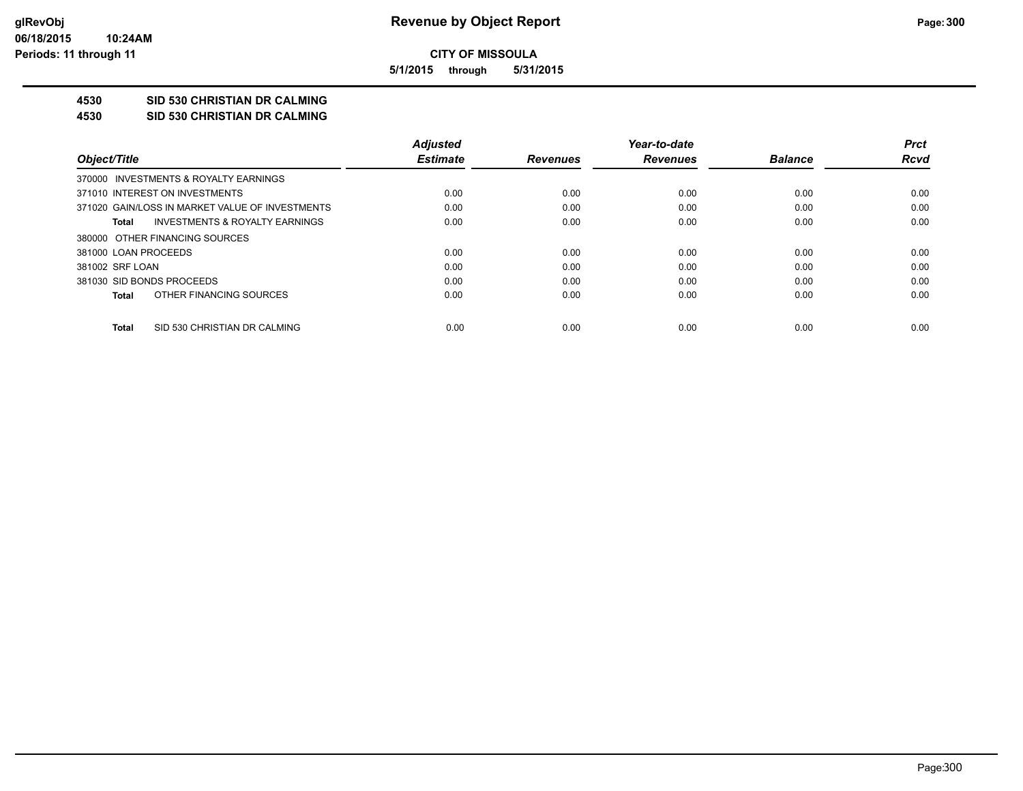**5/1/2015 through 5/31/2015**

# **4530 SID 530 CHRISTIAN DR CALMING**

**4530 SID 530 CHRISTIAN DR CALMING**

|                                                 | <b>Adjusted</b> |                 | Year-to-date    |                | <b>Prct</b> |
|-------------------------------------------------|-----------------|-----------------|-----------------|----------------|-------------|
| Object/Title                                    | <b>Estimate</b> | <b>Revenues</b> | <b>Revenues</b> | <b>Balance</b> | Rcvd        |
| 370000 INVESTMENTS & ROYALTY EARNINGS           |                 |                 |                 |                |             |
| 371010 INTEREST ON INVESTMENTS                  | 0.00            | 0.00            | 0.00            | 0.00           | 0.00        |
| 371020 GAIN/LOSS IN MARKET VALUE OF INVESTMENTS | 0.00            | 0.00            | 0.00            | 0.00           | 0.00        |
| INVESTMENTS & ROYALTY EARNINGS<br>Total         | 0.00            | 0.00            | 0.00            | 0.00           | 0.00        |
| 380000 OTHER FINANCING SOURCES                  |                 |                 |                 |                |             |
| 381000 LOAN PROCEEDS                            | 0.00            | 0.00            | 0.00            | 0.00           | 0.00        |
| 381002 SRF LOAN                                 | 0.00            | 0.00            | 0.00            | 0.00           | 0.00        |
| 381030 SID BONDS PROCEEDS                       | 0.00            | 0.00            | 0.00            | 0.00           | 0.00        |
| OTHER FINANCING SOURCES<br>Total                | 0.00            | 0.00            | 0.00            | 0.00           | 0.00        |
| SID 530 CHRISTIAN DR CALMING<br>Total           | 0.00            | 0.00            | 0.00            | 0.00           | 0.00        |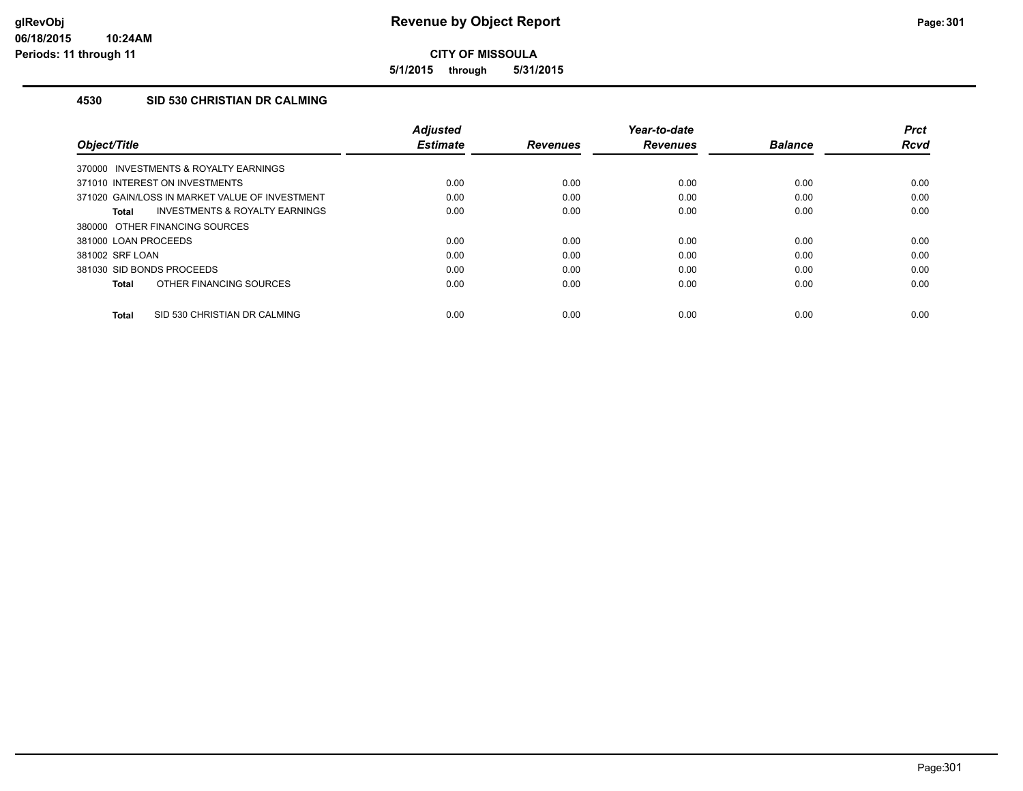**5/1/2015 through 5/31/2015**

## **4530 SID 530 CHRISTIAN DR CALMING**

| Object/Title                                   | <b>Adjusted</b><br><b>Estimate</b> | <b>Revenues</b> | Year-to-date<br><b>Revenues</b> | <b>Balance</b> | <b>Prct</b><br>Rcvd |
|------------------------------------------------|------------------------------------|-----------------|---------------------------------|----------------|---------------------|
| 370000 INVESTMENTS & ROYALTY EARNINGS          |                                    |                 |                                 |                |                     |
| 371010 INTEREST ON INVESTMENTS                 | 0.00                               | 0.00            | 0.00                            | 0.00           | 0.00                |
| 371020 GAIN/LOSS IN MARKET VALUE OF INVESTMENT | 0.00                               | 0.00            | 0.00                            | 0.00           | 0.00                |
| INVESTMENTS & ROYALTY EARNINGS<br>Total        | 0.00                               | 0.00            | 0.00                            | 0.00           | 0.00                |
| 380000 OTHER FINANCING SOURCES                 |                                    |                 |                                 |                |                     |
| 381000 LOAN PROCEEDS                           | 0.00                               | 0.00            | 0.00                            | 0.00           | 0.00                |
| 381002 SRF LOAN                                | 0.00                               | 0.00            | 0.00                            | 0.00           | 0.00                |
| 381030 SID BONDS PROCEEDS                      | 0.00                               | 0.00            | 0.00                            | 0.00           | 0.00                |
| OTHER FINANCING SOURCES<br><b>Total</b>        | 0.00                               | 0.00            | 0.00                            | 0.00           | 0.00                |
| SID 530 CHRISTIAN DR CALMING<br><b>Total</b>   | 0.00                               | 0.00            | 0.00                            | 0.00           | 0.00                |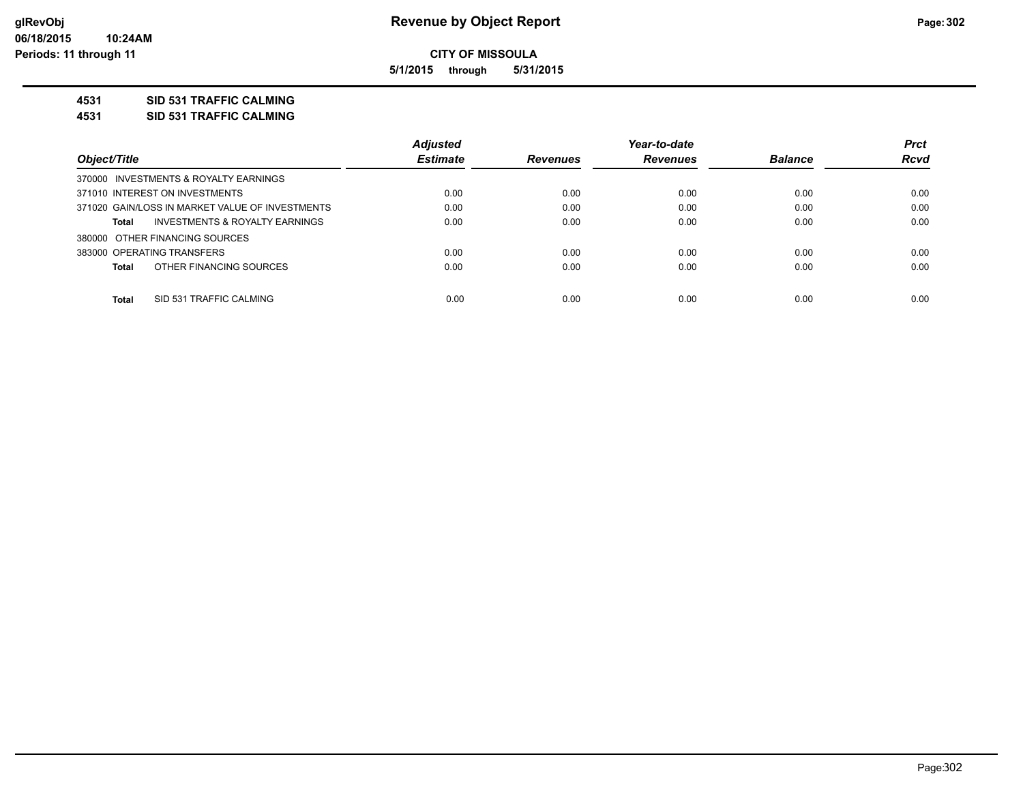**5/1/2015 through 5/31/2015**

#### **4531 SID 531 TRAFFIC CALMING**

**4531 SID 531 TRAFFIC CALMING**

|                                                 | <b>Adjusted</b> |                 | Year-to-date    |                | <b>Prct</b> |
|-------------------------------------------------|-----------------|-----------------|-----------------|----------------|-------------|
| Object/Title                                    | <b>Estimate</b> | <b>Revenues</b> | <b>Revenues</b> | <b>Balance</b> | <b>Rcvd</b> |
| 370000 INVESTMENTS & ROYALTY EARNINGS           |                 |                 |                 |                |             |
| 371010 INTEREST ON INVESTMENTS                  | 0.00            | 0.00            | 0.00            | 0.00           | 0.00        |
| 371020 GAIN/LOSS IN MARKET VALUE OF INVESTMENTS | 0.00            | 0.00            | 0.00            | 0.00           | 0.00        |
| INVESTMENTS & ROYALTY EARNINGS<br>Total         | 0.00            | 0.00            | 0.00            | 0.00           | 0.00        |
| 380000 OTHER FINANCING SOURCES                  |                 |                 |                 |                |             |
| 383000 OPERATING TRANSFERS                      | 0.00            | 0.00            | 0.00            | 0.00           | 0.00        |
| OTHER FINANCING SOURCES<br><b>Total</b>         | 0.00            | 0.00            | 0.00            | 0.00           | 0.00        |
| <b>Total</b><br>SID 531 TRAFFIC CALMING         | 0.00            | 0.00            | 0.00            | 0.00           | 0.00        |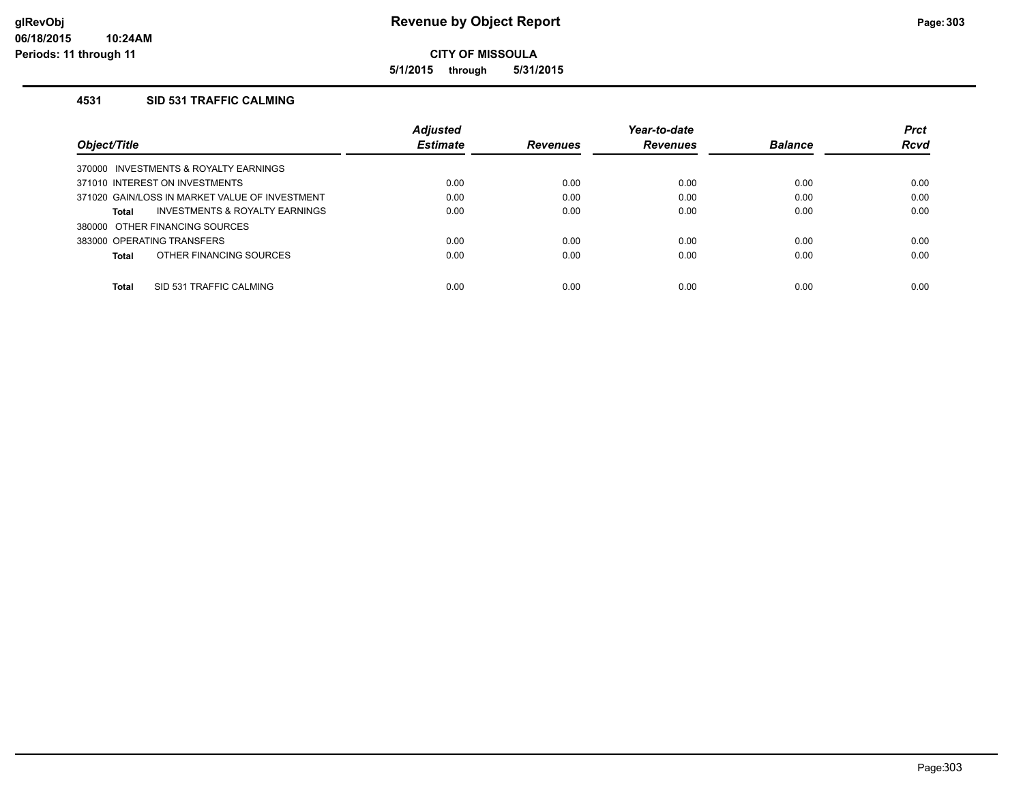**5/1/2015 through 5/31/2015**

#### **4531 SID 531 TRAFFIC CALMING**

| <b>Adjusted</b> |                                                                                                                                                                                         | Year-to-date    |                | <b>Prct</b> |
|-----------------|-----------------------------------------------------------------------------------------------------------------------------------------------------------------------------------------|-----------------|----------------|-------------|
| <b>Estimate</b> | <b>Revenues</b>                                                                                                                                                                         | <b>Revenues</b> | <b>Balance</b> | <b>Rcvd</b> |
|                 |                                                                                                                                                                                         |                 |                |             |
| 0.00            | 0.00                                                                                                                                                                                    | 0.00            | 0.00           | 0.00        |
| 0.00            | 0.00                                                                                                                                                                                    | 0.00            | 0.00           | 0.00        |
| 0.00            | 0.00                                                                                                                                                                                    | 0.00            | 0.00           | 0.00        |
|                 |                                                                                                                                                                                         |                 |                |             |
| 0.00            | 0.00                                                                                                                                                                                    | 0.00            | 0.00           | 0.00        |
| 0.00            | 0.00                                                                                                                                                                                    | 0.00            | 0.00           | 0.00        |
|                 |                                                                                                                                                                                         |                 |                | 0.00        |
|                 | 370000 INVESTMENTS & ROYALTY EARNINGS<br>371020 GAIN/LOSS IN MARKET VALUE OF INVESTMENT<br>INVESTMENTS & ROYALTY EARNINGS<br>OTHER FINANCING SOURCES<br>0.00<br>SID 531 TRAFFIC CALMING | 0.00            | 0.00           | 0.00        |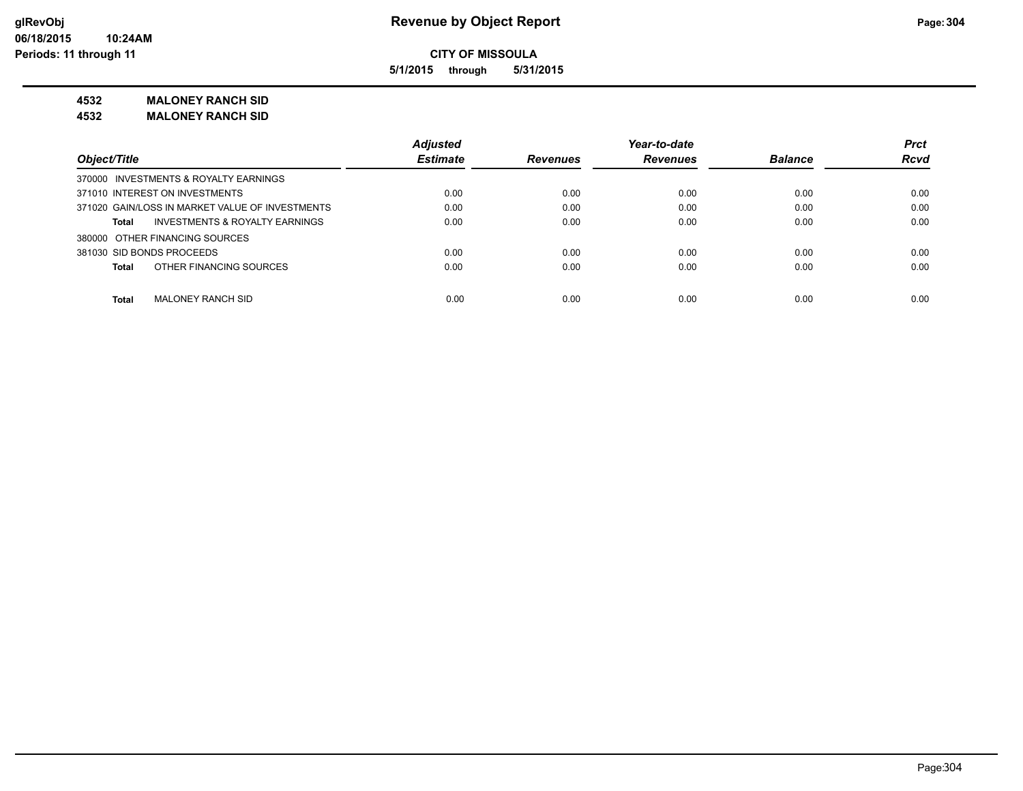**5/1/2015 through 5/31/2015**

**4532 MALONEY RANCH SID**

**4532 MALONEY RANCH SID**

|                                                 | <b>Adjusted</b> |                 | Year-to-date    |                | <b>Prct</b> |
|-------------------------------------------------|-----------------|-----------------|-----------------|----------------|-------------|
| Object/Title                                    | <b>Estimate</b> | <b>Revenues</b> | <b>Revenues</b> | <b>Balance</b> | <b>Rcvd</b> |
| 370000 INVESTMENTS & ROYALTY EARNINGS           |                 |                 |                 |                |             |
| 371010 INTEREST ON INVESTMENTS                  | 0.00            | 0.00            | 0.00            | 0.00           | 0.00        |
| 371020 GAIN/LOSS IN MARKET VALUE OF INVESTMENTS | 0.00            | 0.00            | 0.00            | 0.00           | 0.00        |
| INVESTMENTS & ROYALTY EARNINGS<br>Total         | 0.00            | 0.00            | 0.00            | 0.00           | 0.00        |
| 380000 OTHER FINANCING SOURCES                  |                 |                 |                 |                |             |
| 381030 SID BONDS PROCEEDS                       | 0.00            | 0.00            | 0.00            | 0.00           | 0.00        |
| OTHER FINANCING SOURCES<br><b>Total</b>         | 0.00            | 0.00            | 0.00            | 0.00           | 0.00        |
|                                                 |                 |                 |                 |                |             |
| <b>Total</b><br><b>MALONEY RANCH SID</b>        | 0.00            | 0.00            | 0.00            | 0.00           | 0.00        |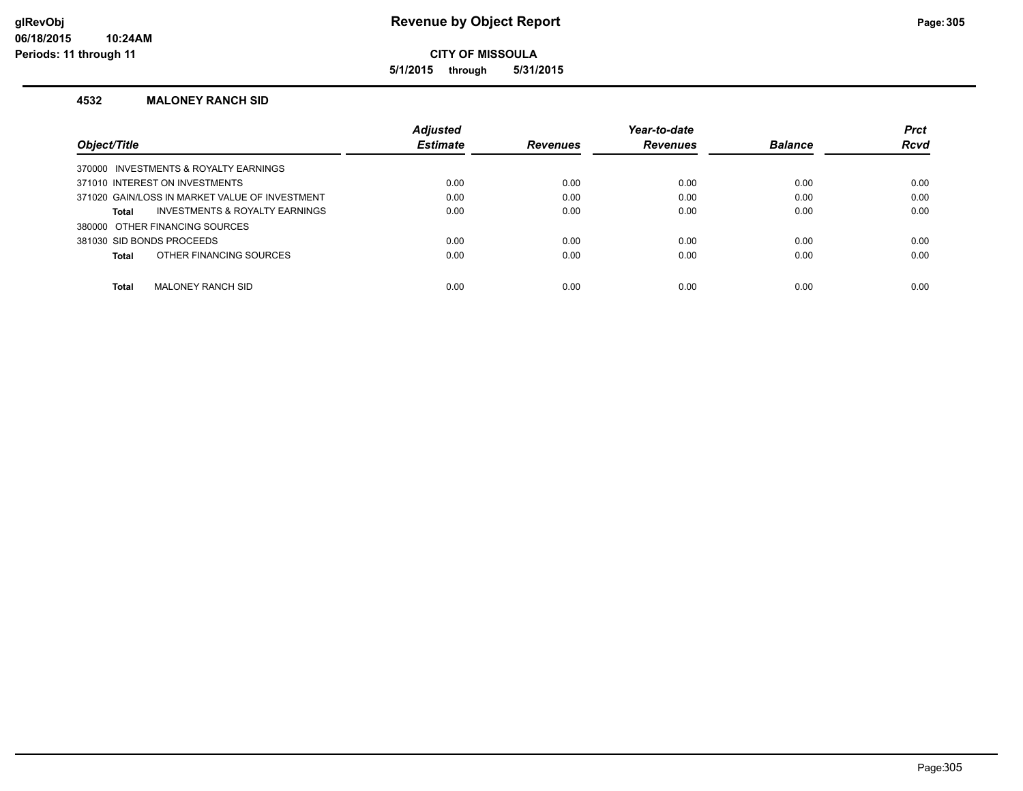**5/1/2015 through 5/31/2015**

#### **4532 MALONEY RANCH SID**

|                                                | <b>Adjusted</b> |                 | Year-to-date    |                | <b>Prct</b> |
|------------------------------------------------|-----------------|-----------------|-----------------|----------------|-------------|
| Object/Title                                   | <b>Estimate</b> | <b>Revenues</b> | <b>Revenues</b> | <b>Balance</b> | <b>Rcvd</b> |
| 370000 INVESTMENTS & ROYALTY EARNINGS          |                 |                 |                 |                |             |
| 371010 INTEREST ON INVESTMENTS                 | 0.00            | 0.00            | 0.00            | 0.00           | 0.00        |
| 371020 GAIN/LOSS IN MARKET VALUE OF INVESTMENT | 0.00            | 0.00            | 0.00            | 0.00           | 0.00        |
| INVESTMENTS & ROYALTY EARNINGS<br>Total        | 0.00            | 0.00            | 0.00            | 0.00           | 0.00        |
| 380000 OTHER FINANCING SOURCES                 |                 |                 |                 |                |             |
| 381030 SID BONDS PROCEEDS                      | 0.00            | 0.00            | 0.00            | 0.00           | 0.00        |
| OTHER FINANCING SOURCES<br>Total               | 0.00            | 0.00            | 0.00            | 0.00           | 0.00        |
|                                                |                 |                 |                 |                |             |
| Total<br>MALONEY RANCH SID                     | 0.00            | 0.00            | 0.00            | 0.00           | 0.00        |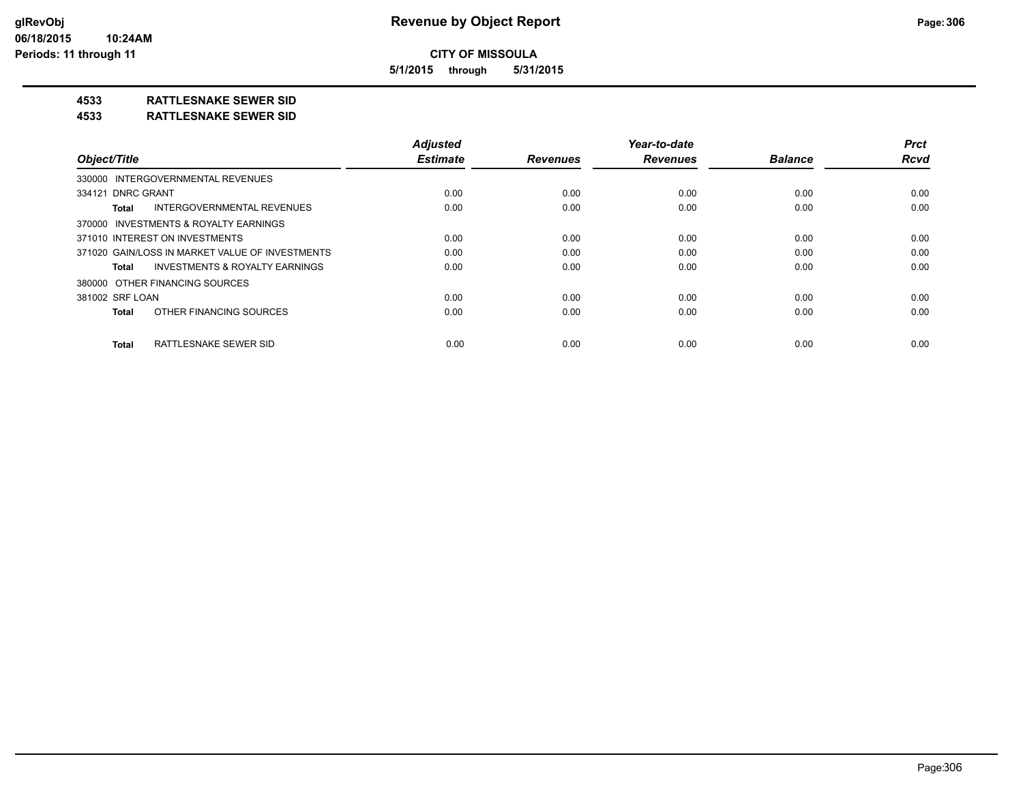**5/1/2015 through 5/31/2015**

## **4533 RATTLESNAKE SEWER SID**

#### **4533 RATTLESNAKE SEWER SID**

|                                                    | <b>Adjusted</b> |                 | Year-to-date    |                | <b>Prct</b> |
|----------------------------------------------------|-----------------|-----------------|-----------------|----------------|-------------|
| Object/Title                                       | <b>Estimate</b> | <b>Revenues</b> | <b>Revenues</b> | <b>Balance</b> | <b>Rcvd</b> |
| 330000 INTERGOVERNMENTAL REVENUES                  |                 |                 |                 |                |             |
| 334121 DNRC GRANT                                  | 0.00            | 0.00            | 0.00            | 0.00           | 0.00        |
| INTERGOVERNMENTAL REVENUES<br>Total                | 0.00            | 0.00            | 0.00            | 0.00           | 0.00        |
| 370000 INVESTMENTS & ROYALTY EARNINGS              |                 |                 |                 |                |             |
| 371010 INTEREST ON INVESTMENTS                     | 0.00            | 0.00            | 0.00            | 0.00           | 0.00        |
| 371020 GAIN/LOSS IN MARKET VALUE OF INVESTMENTS    | 0.00            | 0.00            | 0.00            | 0.00           | 0.00        |
| <b>INVESTMENTS &amp; ROYALTY EARNINGS</b><br>Total | 0.00            | 0.00            | 0.00            | 0.00           | 0.00        |
| 380000 OTHER FINANCING SOURCES                     |                 |                 |                 |                |             |
| 381002 SRF LOAN                                    | 0.00            | 0.00            | 0.00            | 0.00           | 0.00        |
| OTHER FINANCING SOURCES<br>Total                   | 0.00            | 0.00            | 0.00            | 0.00           | 0.00        |
| <b>RATTLESNAKE SEWER SID</b><br><b>Total</b>       | 0.00            | 0.00            | 0.00            | 0.00           | 0.00        |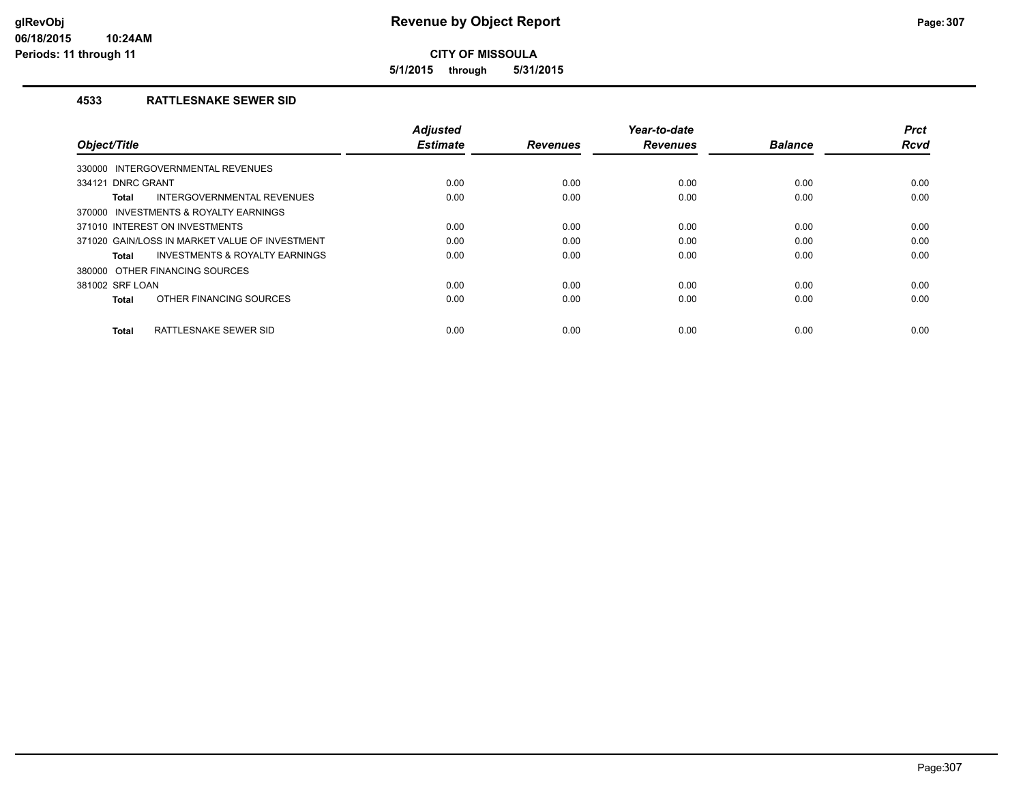**5/1/2015 through 5/31/2015**

#### **4533 RATTLESNAKE SEWER SID**

|                                                    | <b>Adjusted</b> |                 | Year-to-date    |                | <b>Prct</b> |
|----------------------------------------------------|-----------------|-----------------|-----------------|----------------|-------------|
| Object/Title                                       | <b>Estimate</b> | <b>Revenues</b> | <b>Revenues</b> | <b>Balance</b> | <b>Rcvd</b> |
| 330000 INTERGOVERNMENTAL REVENUES                  |                 |                 |                 |                |             |
| 334121 DNRC GRANT                                  | 0.00            | 0.00            | 0.00            | 0.00           | 0.00        |
| INTERGOVERNMENTAL REVENUES<br>Total                | 0.00            | 0.00            | 0.00            | 0.00           | 0.00        |
| 370000 INVESTMENTS & ROYALTY EARNINGS              |                 |                 |                 |                |             |
| 371010 INTEREST ON INVESTMENTS                     | 0.00            | 0.00            | 0.00            | 0.00           | 0.00        |
| 371020 GAIN/LOSS IN MARKET VALUE OF INVESTMENT     | 0.00            | 0.00            | 0.00            | 0.00           | 0.00        |
| <b>INVESTMENTS &amp; ROYALTY EARNINGS</b><br>Total | 0.00            | 0.00            | 0.00            | 0.00           | 0.00        |
| 380000 OTHER FINANCING SOURCES                     |                 |                 |                 |                |             |
| 381002 SRF LOAN                                    | 0.00            | 0.00            | 0.00            | 0.00           | 0.00        |
| OTHER FINANCING SOURCES<br>Total                   | 0.00            | 0.00            | 0.00            | 0.00           | 0.00        |
|                                                    |                 |                 |                 |                |             |
| <b>RATTLESNAKE SEWER SID</b><br>Total              | 0.00            | 0.00            | 0.00            | 0.00           | 0.00        |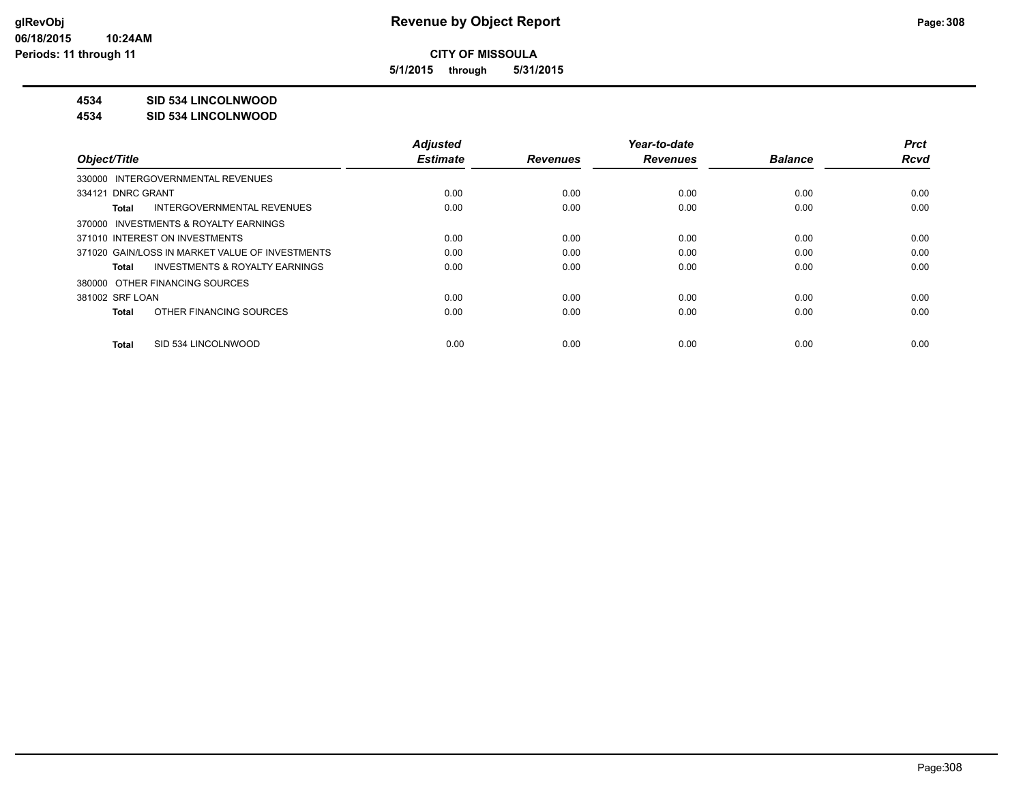**5/1/2015 through 5/31/2015**

## **4534 SID 534 LINCOLNWOOD**

#### **4534 SID 534 LINCOLNWOOD**

|                                                    | <b>Adjusted</b> |                 | Year-to-date    |                | <b>Prct</b> |
|----------------------------------------------------|-----------------|-----------------|-----------------|----------------|-------------|
| Object/Title                                       | <b>Estimate</b> | <b>Revenues</b> | <b>Revenues</b> | <b>Balance</b> | <b>Rcvd</b> |
| 330000 INTERGOVERNMENTAL REVENUES                  |                 |                 |                 |                |             |
| 334121 DNRC GRANT                                  | 0.00            | 0.00            | 0.00            | 0.00           | 0.00        |
| INTERGOVERNMENTAL REVENUES<br>Total                | 0.00            | 0.00            | 0.00            | 0.00           | 0.00        |
| 370000 INVESTMENTS & ROYALTY EARNINGS              |                 |                 |                 |                |             |
| 371010 INTEREST ON INVESTMENTS                     | 0.00            | 0.00            | 0.00            | 0.00           | 0.00        |
| 371020 GAIN/LOSS IN MARKET VALUE OF INVESTMENTS    | 0.00            | 0.00            | 0.00            | 0.00           | 0.00        |
| <b>INVESTMENTS &amp; ROYALTY EARNINGS</b><br>Total | 0.00            | 0.00            | 0.00            | 0.00           | 0.00        |
| 380000 OTHER FINANCING SOURCES                     |                 |                 |                 |                |             |
| 381002 SRF LOAN                                    | 0.00            | 0.00            | 0.00            | 0.00           | 0.00        |
| OTHER FINANCING SOURCES<br>Total                   | 0.00            | 0.00            | 0.00            | 0.00           | 0.00        |
| SID 534 LINCOLNWOOD<br>Total                       | 0.00            | 0.00            | 0.00            | 0.00           | 0.00        |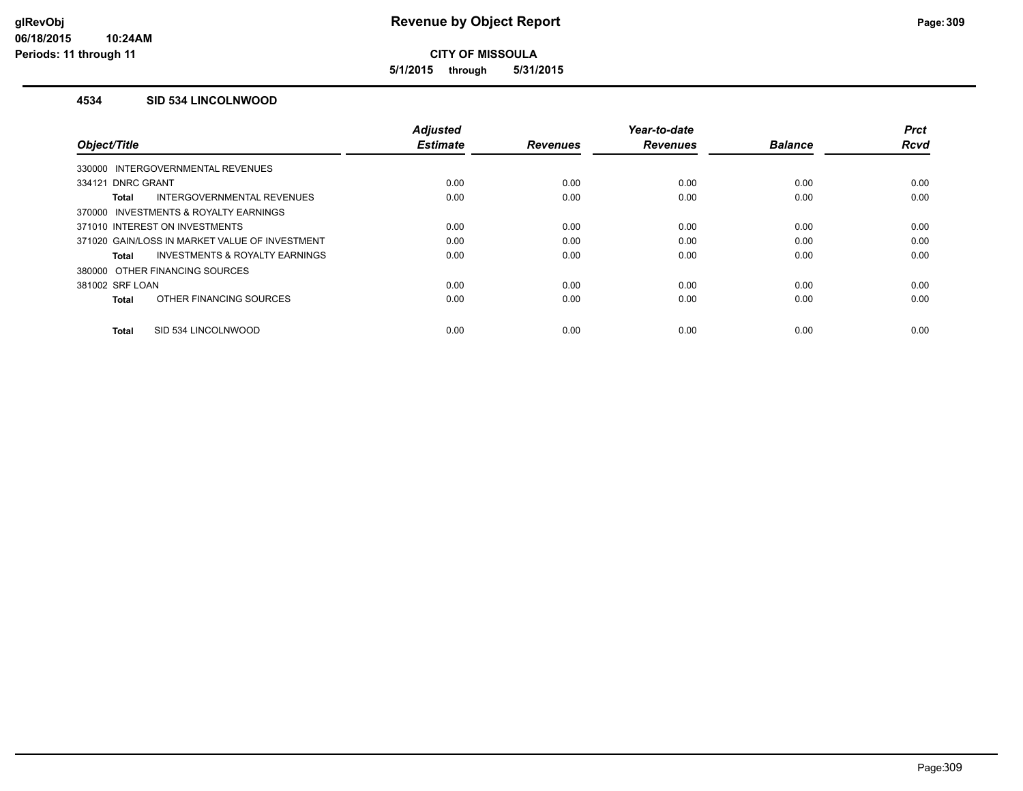**5/1/2015 through 5/31/2015**

#### **4534 SID 534 LINCOLNWOOD**

|                                                | <b>Adjusted</b> |                 | Year-to-date    |                | <b>Prct</b> |
|------------------------------------------------|-----------------|-----------------|-----------------|----------------|-------------|
| Object/Title                                   | <b>Estimate</b> | <b>Revenues</b> | <b>Revenues</b> | <b>Balance</b> | <b>Rcvd</b> |
| 330000 INTERGOVERNMENTAL REVENUES              |                 |                 |                 |                |             |
| 334121 DNRC GRANT                              | 0.00            | 0.00            | 0.00            | 0.00           | 0.00        |
| INTERGOVERNMENTAL REVENUES<br><b>Total</b>     | 0.00            | 0.00            | 0.00            | 0.00           | 0.00        |
| 370000 INVESTMENTS & ROYALTY EARNINGS          |                 |                 |                 |                |             |
| 371010 INTEREST ON INVESTMENTS                 | 0.00            | 0.00            | 0.00            | 0.00           | 0.00        |
| 371020 GAIN/LOSS IN MARKET VALUE OF INVESTMENT | 0.00            | 0.00            | 0.00            | 0.00           | 0.00        |
| INVESTMENTS & ROYALTY EARNINGS<br><b>Total</b> | 0.00            | 0.00            | 0.00            | 0.00           | 0.00        |
| 380000 OTHER FINANCING SOURCES                 |                 |                 |                 |                |             |
| 381002 SRF LOAN                                | 0.00            | 0.00            | 0.00            | 0.00           | 0.00        |
| OTHER FINANCING SOURCES<br><b>Total</b>        | 0.00            | 0.00            | 0.00            | 0.00           | 0.00        |
|                                                |                 |                 |                 |                |             |
| SID 534 LINCOLNWOOD<br><b>Total</b>            | 0.00            | 0.00            | 0.00            | 0.00           | 0.00        |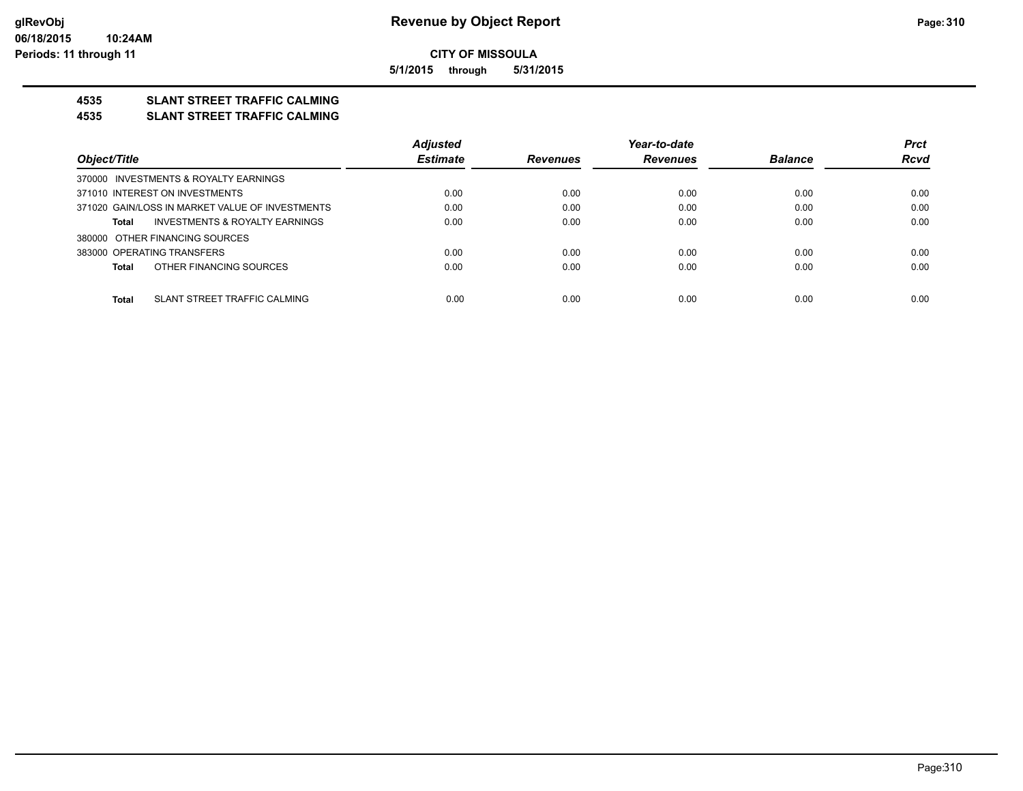**5/1/2015 through 5/31/2015**

## **4535 SLANT STREET TRAFFIC CALMING**

#### **4535 SLANT STREET TRAFFIC CALMING**

|                                                 | <b>Adjusted</b> |                 | Year-to-date    |                | <b>Prct</b> |
|-------------------------------------------------|-----------------|-----------------|-----------------|----------------|-------------|
| Object/Title                                    | <b>Estimate</b> | <b>Revenues</b> | <b>Revenues</b> | <b>Balance</b> | <b>Rcvd</b> |
| 370000 INVESTMENTS & ROYALTY EARNINGS           |                 |                 |                 |                |             |
| 371010 INTEREST ON INVESTMENTS                  | 0.00            | 0.00            | 0.00            | 0.00           | 0.00        |
| 371020 GAIN/LOSS IN MARKET VALUE OF INVESTMENTS | 0.00            | 0.00            | 0.00            | 0.00           | 0.00        |
| INVESTMENTS & ROYALTY EARNINGS<br>Total         | 0.00            | 0.00            | 0.00            | 0.00           | 0.00        |
| 380000 OTHER FINANCING SOURCES                  |                 |                 |                 |                |             |
| 383000 OPERATING TRANSFERS                      | 0.00            | 0.00            | 0.00            | 0.00           | 0.00        |
| OTHER FINANCING SOURCES<br><b>Total</b>         | 0.00            | 0.00            | 0.00            | 0.00           | 0.00        |
| <b>Total</b><br>SLANT STREET TRAFFIC CALMING    | 0.00            | 0.00            | 0.00            | 0.00           | 0.00        |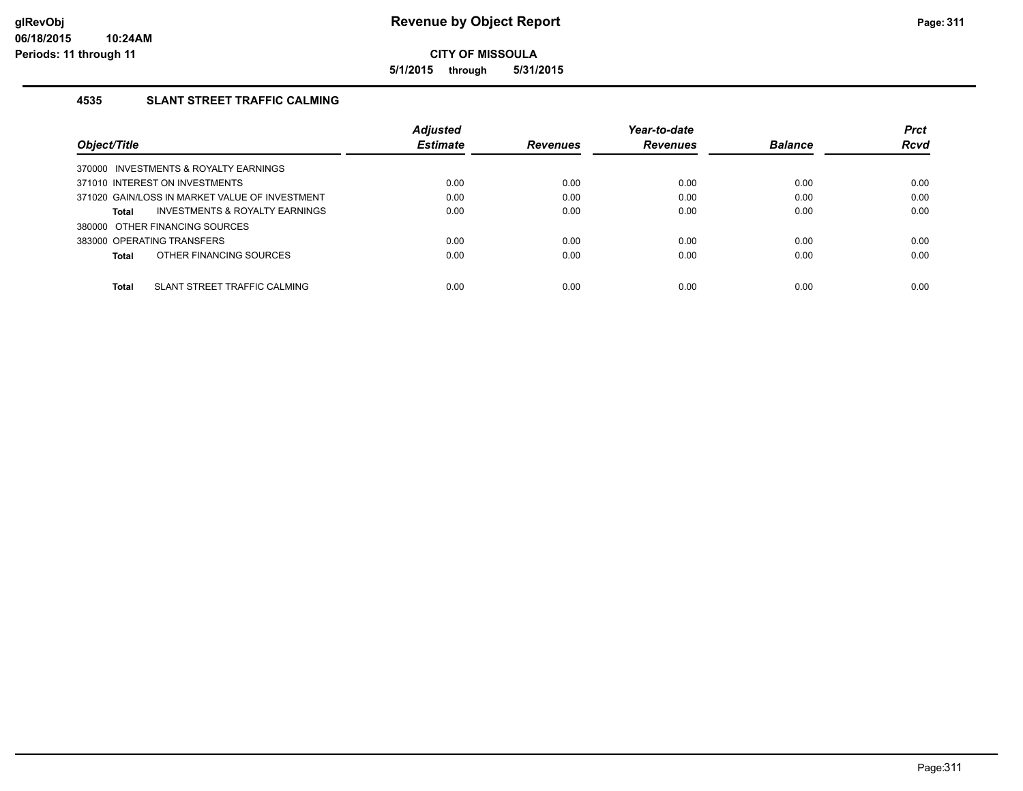**5/1/2015 through 5/31/2015**

## **4535 SLANT STREET TRAFFIC CALMING**

|                                                | <b>Adjusted</b> |                 | Year-to-date    |                | <b>Prct</b> |
|------------------------------------------------|-----------------|-----------------|-----------------|----------------|-------------|
| Object/Title                                   | <b>Estimate</b> | <b>Revenues</b> | <b>Revenues</b> | <b>Balance</b> | <b>Rcvd</b> |
| 370000 INVESTMENTS & ROYALTY EARNINGS          |                 |                 |                 |                |             |
| 371010 INTEREST ON INVESTMENTS                 | 0.00            | 0.00            | 0.00            | 0.00           | 0.00        |
| 371020 GAIN/LOSS IN MARKET VALUE OF INVESTMENT | 0.00            | 0.00            | 0.00            | 0.00           | 0.00        |
| INVESTMENTS & ROYALTY EARNINGS<br>Total        | 0.00            | 0.00            | 0.00            | 0.00           | 0.00        |
| 380000 OTHER FINANCING SOURCES                 |                 |                 |                 |                |             |
| 383000 OPERATING TRANSFERS                     | 0.00            | 0.00            | 0.00            | 0.00           | 0.00        |
| OTHER FINANCING SOURCES<br>Total               | 0.00            | 0.00            | 0.00            | 0.00           | 0.00        |
|                                                |                 |                 |                 |                |             |
| Total<br>SLANT STREET TRAFFIC CALMING          | 0.00            | 0.00            | 0.00            | 0.00           | 0.00        |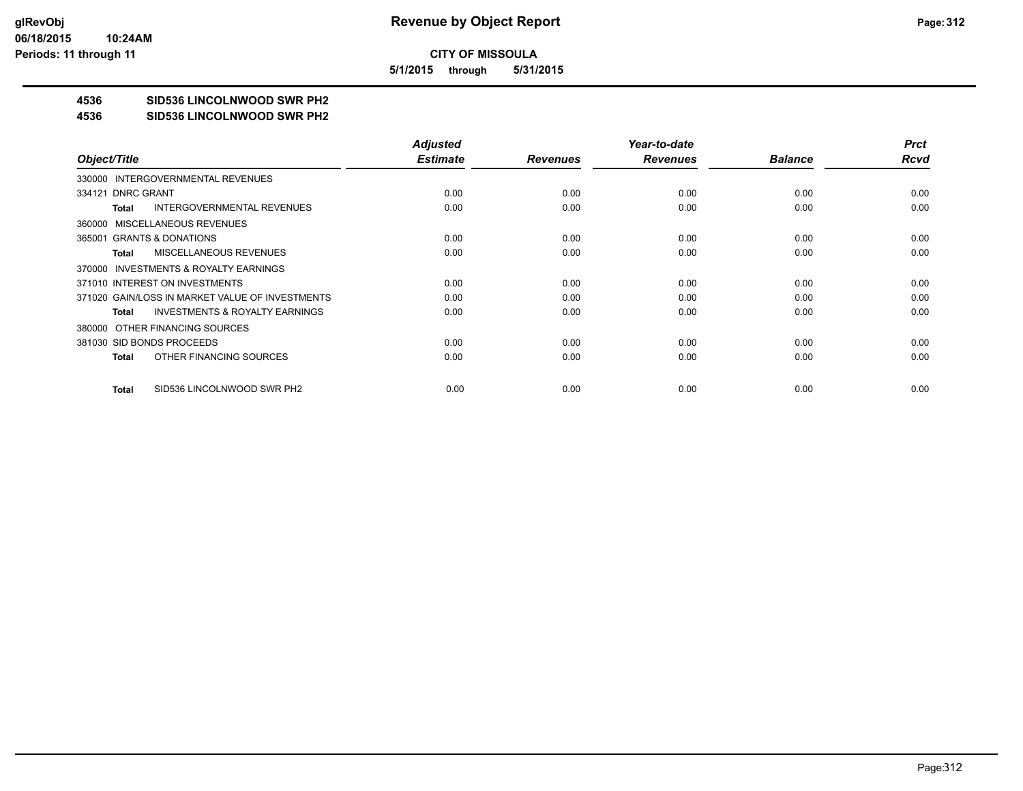**5/1/2015 through 5/31/2015**

# **4536 SID536 LINCOLNWOOD SWR PH2**

#### **4536 SID536 LINCOLNWOOD SWR PH2**

|                                                     | <b>Adjusted</b> |                 | Year-to-date    |                | <b>Prct</b> |
|-----------------------------------------------------|-----------------|-----------------|-----------------|----------------|-------------|
| Object/Title                                        | <b>Estimate</b> | <b>Revenues</b> | <b>Revenues</b> | <b>Balance</b> | Rcvd        |
| 330000 INTERGOVERNMENTAL REVENUES                   |                 |                 |                 |                |             |
| 334121 DNRC GRANT                                   | 0.00            | 0.00            | 0.00            | 0.00           | 0.00        |
| <b>INTERGOVERNMENTAL REVENUES</b><br>Total          | 0.00            | 0.00            | 0.00            | 0.00           | 0.00        |
| 360000 MISCELLANEOUS REVENUES                       |                 |                 |                 |                |             |
| 365001 GRANTS & DONATIONS                           | 0.00            | 0.00            | 0.00            | 0.00           | 0.00        |
| <b>MISCELLANEOUS REVENUES</b><br>Total              | 0.00            | 0.00            | 0.00            | 0.00           | 0.00        |
| <b>INVESTMENTS &amp; ROYALTY EARNINGS</b><br>370000 |                 |                 |                 |                |             |
| 371010 INTEREST ON INVESTMENTS                      | 0.00            | 0.00            | 0.00            | 0.00           | 0.00        |
| 371020 GAIN/LOSS IN MARKET VALUE OF INVESTMENTS     | 0.00            | 0.00            | 0.00            | 0.00           | 0.00        |
| <b>INVESTMENTS &amp; ROYALTY EARNINGS</b><br>Total  | 0.00            | 0.00            | 0.00            | 0.00           | 0.00        |
| 380000 OTHER FINANCING SOURCES                      |                 |                 |                 |                |             |
| 381030 SID BONDS PROCEEDS                           | 0.00            | 0.00            | 0.00            | 0.00           | 0.00        |
| OTHER FINANCING SOURCES<br>Total                    | 0.00            | 0.00            | 0.00            | 0.00           | 0.00        |
|                                                     |                 |                 |                 |                |             |
| SID536 LINCOLNWOOD SWR PH2<br><b>Total</b>          | 0.00            | 0.00            | 0.00            | 0.00           | 0.00        |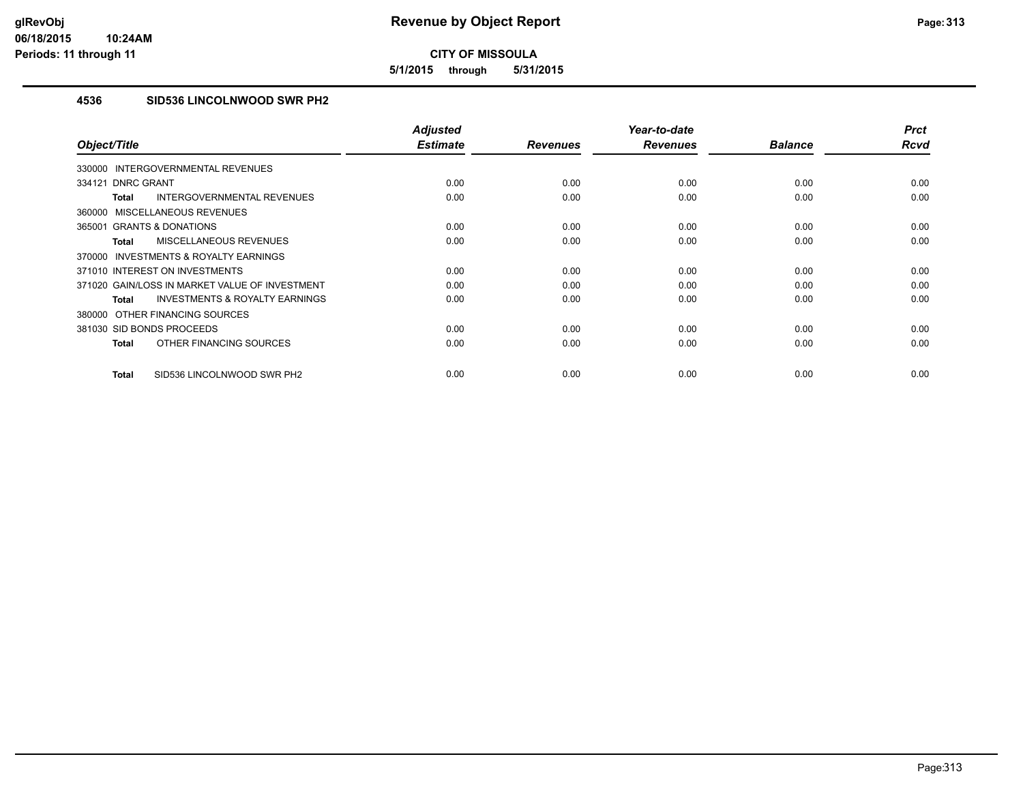**5/1/2015 through 5/31/2015**

## **4536 SID536 LINCOLNWOOD SWR PH2**

| Object/Title                                              | <b>Adjusted</b><br><b>Estimate</b> | <b>Revenues</b> | Year-to-date<br><b>Revenues</b> | <b>Balance</b> | <b>Prct</b><br><b>Rcvd</b> |
|-----------------------------------------------------------|------------------------------------|-----------------|---------------------------------|----------------|----------------------------|
| INTERGOVERNMENTAL REVENUES<br>330000                      |                                    |                 |                                 |                |                            |
| 334121 DNRC GRANT                                         | 0.00                               | 0.00            | 0.00                            | 0.00           | 0.00                       |
|                                                           |                                    |                 |                                 |                |                            |
| INTERGOVERNMENTAL REVENUES<br><b>Total</b>                | 0.00                               | 0.00            | 0.00                            | 0.00           | 0.00                       |
| <b>MISCELLANEOUS REVENUES</b><br>360000                   |                                    |                 |                                 |                |                            |
| 365001 GRANTS & DONATIONS                                 | 0.00                               | 0.00            | 0.00                            | 0.00           | 0.00                       |
| MISCELLANEOUS REVENUES<br><b>Total</b>                    | 0.00                               | 0.00            | 0.00                            | 0.00           | 0.00                       |
| <b>INVESTMENTS &amp; ROYALTY EARNINGS</b><br>370000       |                                    |                 |                                 |                |                            |
| 371010 INTEREST ON INVESTMENTS                            | 0.00                               | 0.00            | 0.00                            | 0.00           | 0.00                       |
| 371020 GAIN/LOSS IN MARKET VALUE OF INVESTMENT            | 0.00                               | 0.00            | 0.00                            | 0.00           | 0.00                       |
| <b>INVESTMENTS &amp; ROYALTY EARNINGS</b><br><b>Total</b> | 0.00                               | 0.00            | 0.00                            | 0.00           | 0.00                       |
| 380000 OTHER FINANCING SOURCES                            |                                    |                 |                                 |                |                            |
| 381030 SID BONDS PROCEEDS                                 | 0.00                               | 0.00            | 0.00                            | 0.00           | 0.00                       |
| OTHER FINANCING SOURCES<br><b>Total</b>                   | 0.00                               | 0.00            | 0.00                            | 0.00           | 0.00                       |
| SID536 LINCOLNWOOD SWR PH2<br><b>Total</b>                | 0.00                               | 0.00            | 0.00                            | 0.00           | 0.00                       |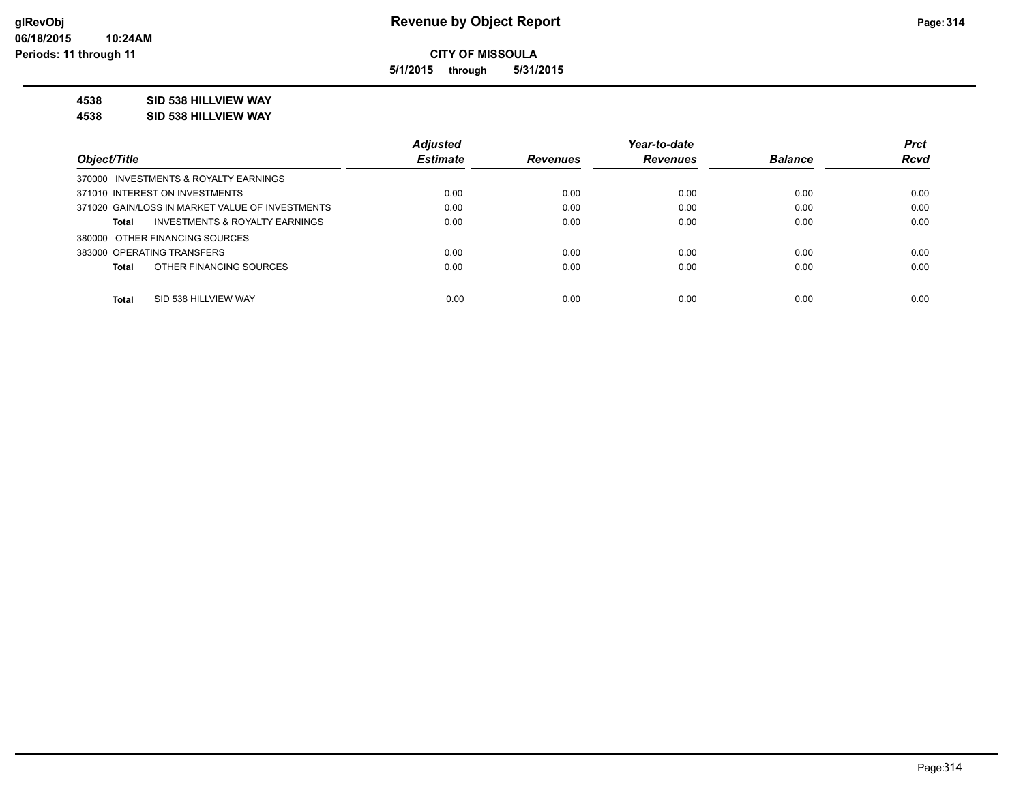**5/1/2015 through 5/31/2015**

#### **4538 SID 538 HILLVIEW WAY**

**4538 SID 538 HILLVIEW WAY**

|                                                    | <b>Adjusted</b> |                 | Year-to-date    |                | <b>Prct</b> |
|----------------------------------------------------|-----------------|-----------------|-----------------|----------------|-------------|
| Object/Title                                       | <b>Estimate</b> | <b>Revenues</b> | <b>Revenues</b> | <b>Balance</b> | <b>Rcvd</b> |
| 370000 INVESTMENTS & ROYALTY EARNINGS              |                 |                 |                 |                |             |
| 371010 INTEREST ON INVESTMENTS                     | 0.00            | 0.00            | 0.00            | 0.00           | 0.00        |
| 371020 GAIN/LOSS IN MARKET VALUE OF INVESTMENTS    | 0.00            | 0.00            | 0.00            | 0.00           | 0.00        |
| <b>INVESTMENTS &amp; ROYALTY EARNINGS</b><br>Total | 0.00            | 0.00            | 0.00            | 0.00           | 0.00        |
| 380000 OTHER FINANCING SOURCES                     |                 |                 |                 |                |             |
| 383000 OPERATING TRANSFERS                         | 0.00            | 0.00            | 0.00            | 0.00           | 0.00        |
| OTHER FINANCING SOURCES<br>Total                   | 0.00            | 0.00            | 0.00            | 0.00           | 0.00        |
|                                                    |                 |                 |                 |                |             |
| Total<br>SID 538 HILLVIEW WAY                      | 0.00            | 0.00            | 0.00            | 0.00           | 0.00        |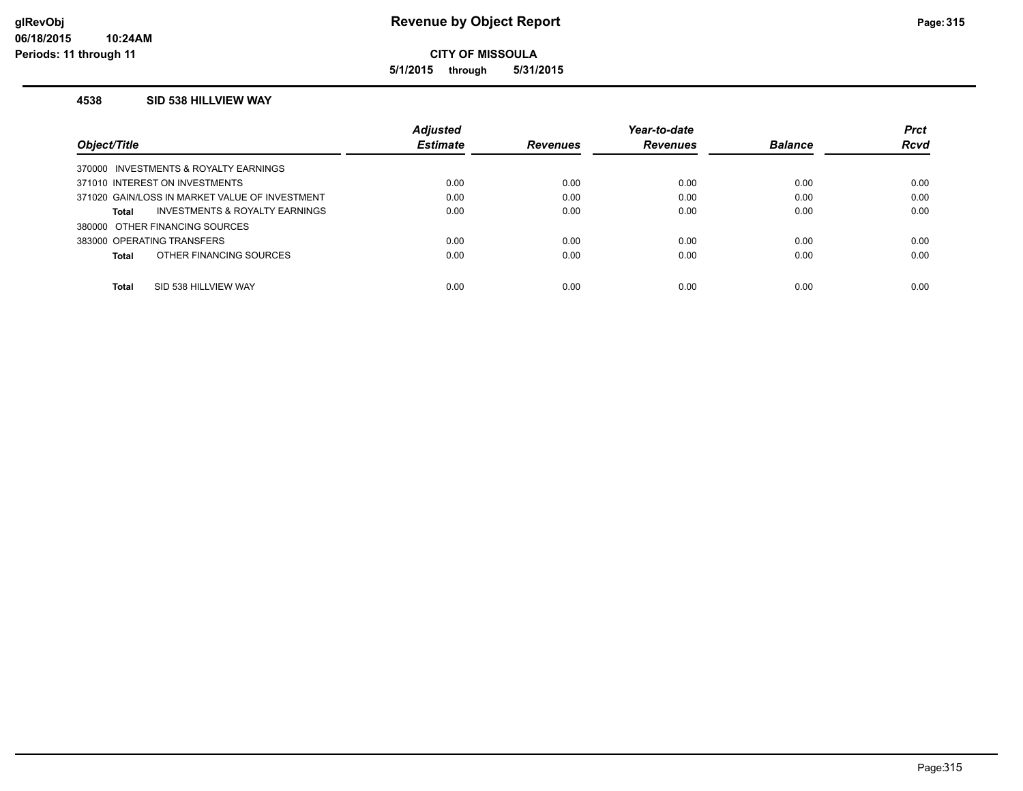**5/1/2015 through 5/31/2015**

#### **4538 SID 538 HILLVIEW WAY**

|              |                                                | <b>Adjusted</b> |                 | Year-to-date    |                | <b>Prct</b> |
|--------------|------------------------------------------------|-----------------|-----------------|-----------------|----------------|-------------|
| Object/Title |                                                | <b>Estimate</b> | <b>Revenues</b> | <b>Revenues</b> | <b>Balance</b> | <b>Rcvd</b> |
|              | 370000 INVESTMENTS & ROYALTY EARNINGS          |                 |                 |                 |                |             |
|              | 371010 INTEREST ON INVESTMENTS                 | 0.00            | 0.00            | 0.00            | 0.00           | 0.00        |
|              | 371020 GAIN/LOSS IN MARKET VALUE OF INVESTMENT | 0.00            | 0.00            | 0.00            | 0.00           | 0.00        |
| Total        | INVESTMENTS & ROYALTY EARNINGS                 | 0.00            | 0.00            | 0.00            | 0.00           | 0.00        |
|              | 380000 OTHER FINANCING SOURCES                 |                 |                 |                 |                |             |
|              | 383000 OPERATING TRANSFERS                     | 0.00            | 0.00            | 0.00            | 0.00           | 0.00        |
| Total        | OTHER FINANCING SOURCES                        | 0.00            | 0.00            | 0.00            | 0.00           | 0.00        |
| Total        | SID 538 HILLVIEW WAY                           | 0.00            | 0.00            | 0.00            | 0.00           | 0.00        |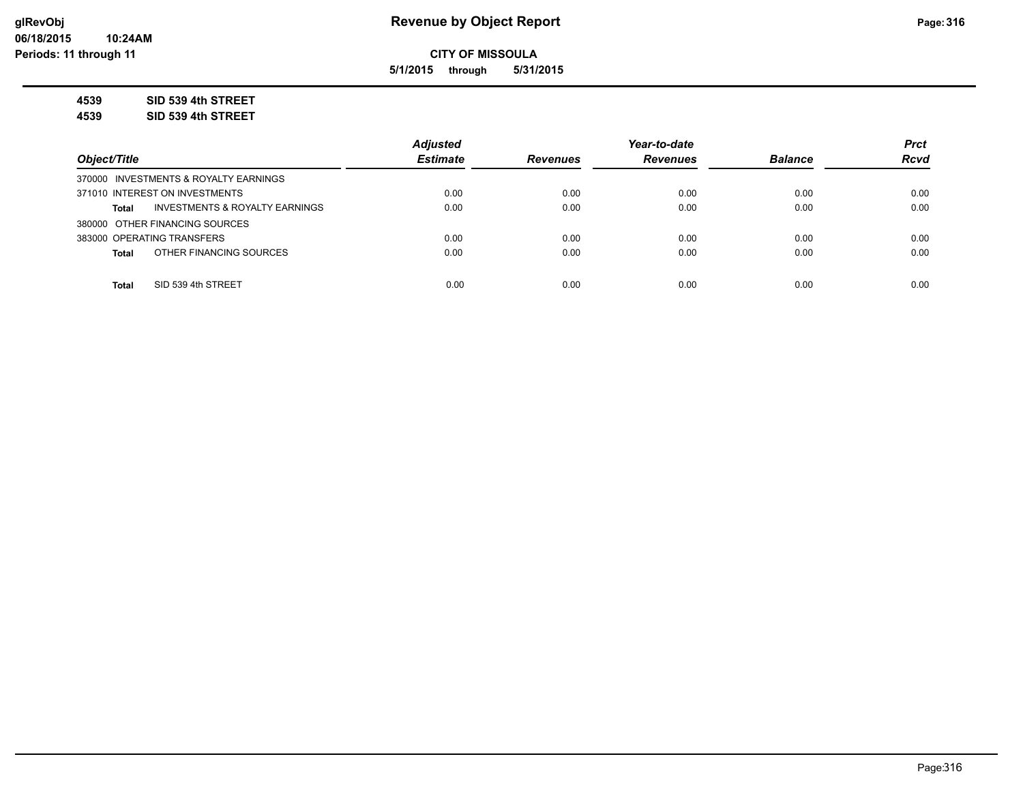**5/1/2015 through 5/31/2015**

**4539 SID 539 4th STREET**

**4539 SID 539 4th STREET**

|                                                | <b>Adiusted</b> |                 | Year-to-date    |                | <b>Prct</b> |
|------------------------------------------------|-----------------|-----------------|-----------------|----------------|-------------|
| Object/Title                                   | <b>Estimate</b> | <b>Revenues</b> | <b>Revenues</b> | <b>Balance</b> | <b>Rcvd</b> |
| 370000 INVESTMENTS & ROYALTY EARNINGS          |                 |                 |                 |                |             |
| 371010 INTEREST ON INVESTMENTS                 | 0.00            | 0.00            | 0.00            | 0.00           | 0.00        |
| INVESTMENTS & ROYALTY EARNINGS<br><b>Total</b> | 0.00            | 0.00            | 0.00            | 0.00           | 0.00        |
| 380000 OTHER FINANCING SOURCES                 |                 |                 |                 |                |             |
| 383000 OPERATING TRANSFERS                     | 0.00            | 0.00            | 0.00            | 0.00           | 0.00        |
| OTHER FINANCING SOURCES<br><b>Total</b>        | 0.00            | 0.00            | 0.00            | 0.00           | 0.00        |
|                                                |                 |                 |                 |                |             |
| SID 539 4th STREET<br><b>Total</b>             | 0.00            | 0.00            | 0.00            | 0.00           | 0.00        |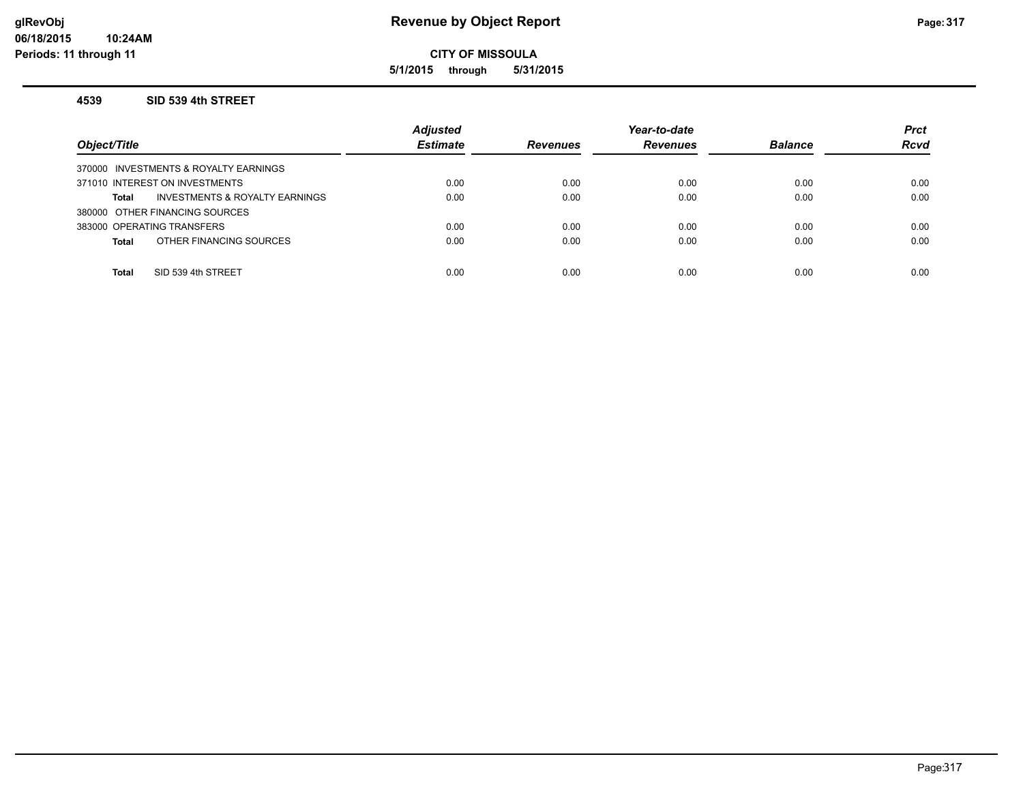**5/1/2015 through 5/31/2015**

#### **4539 SID 539 4th STREET**

| Object/Title                                       | <b>Adjusted</b><br><b>Estimate</b> | <b>Revenues</b> | Year-to-date<br><b>Revenues</b> | <b>Balance</b> | <b>Prct</b><br><b>Rcvd</b> |
|----------------------------------------------------|------------------------------------|-----------------|---------------------------------|----------------|----------------------------|
| 370000 INVESTMENTS & ROYALTY EARNINGS              |                                    |                 |                                 |                |                            |
| 371010 INTEREST ON INVESTMENTS                     | 0.00                               | 0.00            | 0.00                            | 0.00           | 0.00                       |
| <b>INVESTMENTS &amp; ROYALTY EARNINGS</b><br>Total | 0.00                               | 0.00            | 0.00                            | 0.00           | 0.00                       |
| 380000 OTHER FINANCING SOURCES                     |                                    |                 |                                 |                |                            |
| 383000 OPERATING TRANSFERS                         | 0.00                               | 0.00            | 0.00                            | 0.00           | 0.00                       |
| OTHER FINANCING SOURCES<br><b>Total</b>            | 0.00                               | 0.00            | 0.00                            | 0.00           | 0.00                       |
|                                                    |                                    |                 |                                 |                |                            |
| SID 539 4th STREET<br>Total                        | 0.00                               | 0.00            | 0.00                            | 0.00           | 0.00                       |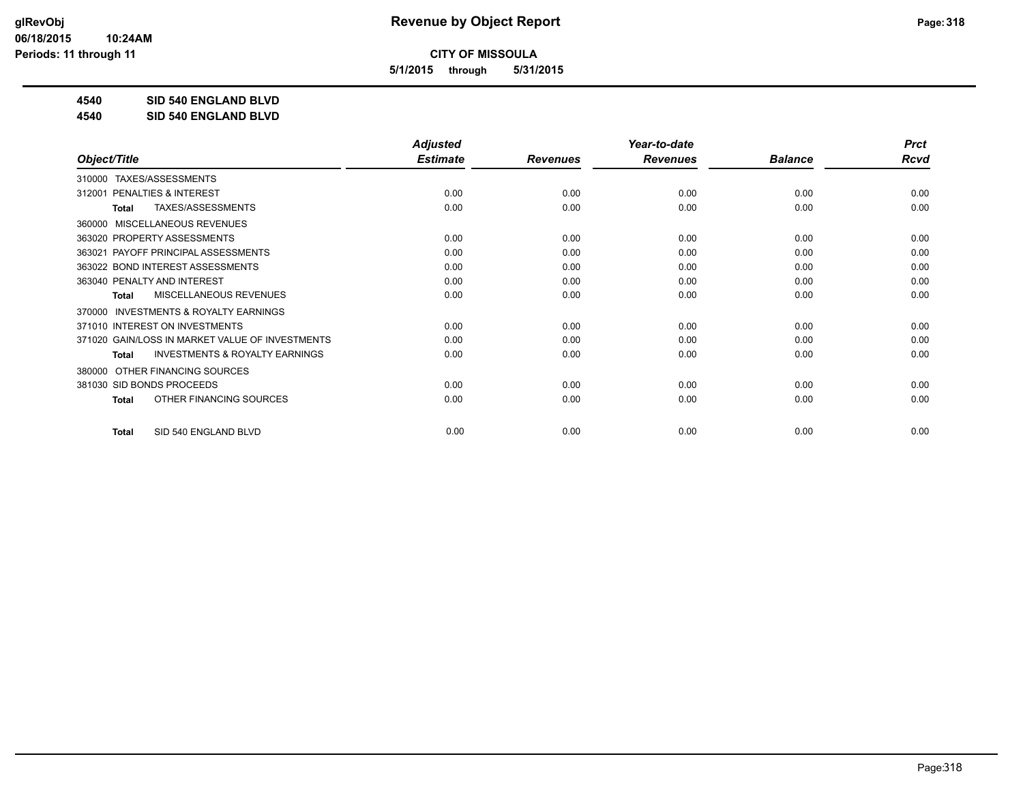**5/1/2015 through 5/31/2015**

**4540 SID 540 ENGLAND BLVD**

**4540 SID 540 ENGLAND BLVD**

|                                                           | <b>Adjusted</b> |                 | Year-to-date    |                | <b>Prct</b> |
|-----------------------------------------------------------|-----------------|-----------------|-----------------|----------------|-------------|
| Object/Title                                              | <b>Estimate</b> | <b>Revenues</b> | <b>Revenues</b> | <b>Balance</b> | <b>Rcvd</b> |
| TAXES/ASSESSMENTS<br>310000                               |                 |                 |                 |                |             |
| PENALTIES & INTEREST<br>312001                            | 0.00            | 0.00            | 0.00            | 0.00           | 0.00        |
| TAXES/ASSESSMENTS<br>Total                                | 0.00            | 0.00            | 0.00            | 0.00           | 0.00        |
| MISCELLANEOUS REVENUES<br>360000                          |                 |                 |                 |                |             |
| 363020 PROPERTY ASSESSMENTS                               | 0.00            | 0.00            | 0.00            | 0.00           | 0.00        |
| PAYOFF PRINCIPAL ASSESSMENTS<br>363021                    | 0.00            | 0.00            | 0.00            | 0.00           | 0.00        |
| 363022 BOND INTEREST ASSESSMENTS                          | 0.00            | 0.00            | 0.00            | 0.00           | 0.00        |
| 363040 PENALTY AND INTEREST                               | 0.00            | 0.00            | 0.00            | 0.00           | 0.00        |
| MISCELLANEOUS REVENUES<br>Total                           | 0.00            | 0.00            | 0.00            | 0.00           | 0.00        |
| <b>INVESTMENTS &amp; ROYALTY EARNINGS</b><br>370000       |                 |                 |                 |                |             |
| 371010 INTEREST ON INVESTMENTS                            | 0.00            | 0.00            | 0.00            | 0.00           | 0.00        |
| 371020 GAIN/LOSS IN MARKET VALUE OF INVESTMENTS           | 0.00            | 0.00            | 0.00            | 0.00           | 0.00        |
| <b>INVESTMENTS &amp; ROYALTY EARNINGS</b><br><b>Total</b> | 0.00            | 0.00            | 0.00            | 0.00           | 0.00        |
| OTHER FINANCING SOURCES<br>380000                         |                 |                 |                 |                |             |
| 381030 SID BONDS PROCEEDS                                 | 0.00            | 0.00            | 0.00            | 0.00           | 0.00        |
| OTHER FINANCING SOURCES<br><b>Total</b>                   | 0.00            | 0.00            | 0.00            | 0.00           | 0.00        |
| SID 540 ENGLAND BLVD<br><b>Total</b>                      | 0.00            | 0.00            | 0.00            | 0.00           | 0.00        |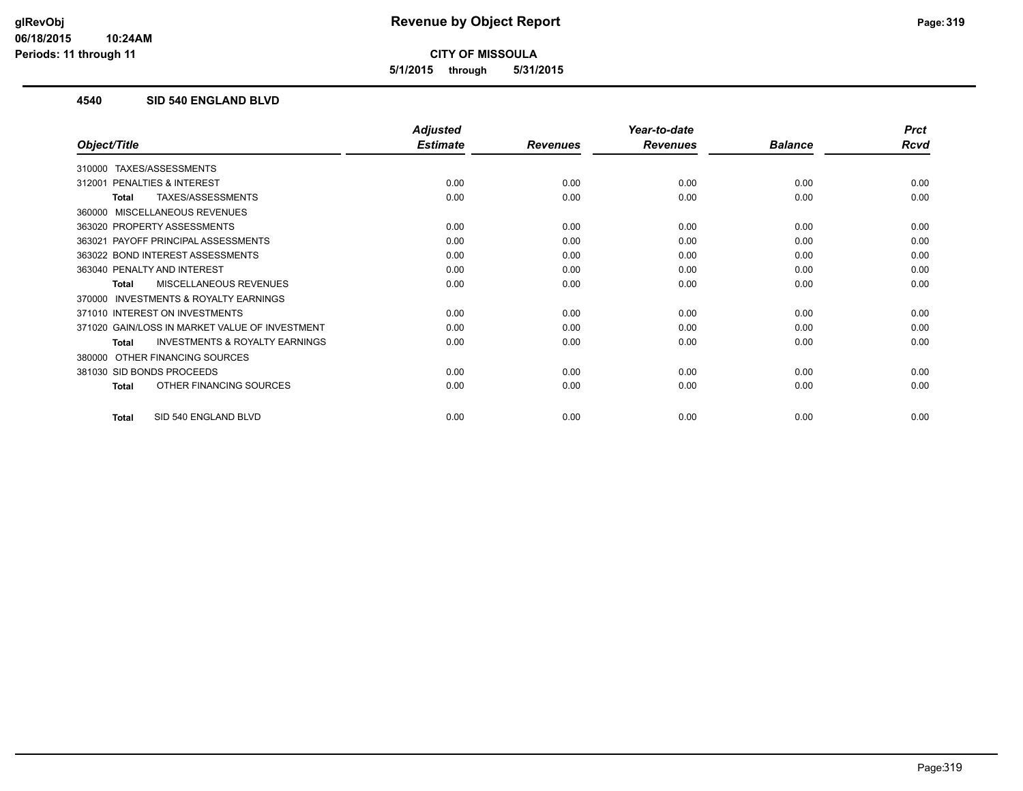**5/1/2015 through 5/31/2015**

#### **4540 SID 540 ENGLAND BLVD**

|                                                           | <b>Adjusted</b> |                 | Year-to-date    |                | <b>Prct</b> |
|-----------------------------------------------------------|-----------------|-----------------|-----------------|----------------|-------------|
| Object/Title                                              | <b>Estimate</b> | <b>Revenues</b> | <b>Revenues</b> | <b>Balance</b> | <b>Rcvd</b> |
| TAXES/ASSESSMENTS<br>310000                               |                 |                 |                 |                |             |
| PENALTIES & INTEREST<br>312001                            | 0.00            | 0.00            | 0.00            | 0.00           | 0.00        |
| TAXES/ASSESSMENTS<br>Total                                | 0.00            | 0.00            | 0.00            | 0.00           | 0.00        |
| MISCELLANEOUS REVENUES<br>360000                          |                 |                 |                 |                |             |
| 363020 PROPERTY ASSESSMENTS                               | 0.00            | 0.00            | 0.00            | 0.00           | 0.00        |
| PAYOFF PRINCIPAL ASSESSMENTS<br>363021                    | 0.00            | 0.00            | 0.00            | 0.00           | 0.00        |
| 363022 BOND INTEREST ASSESSMENTS                          | 0.00            | 0.00            | 0.00            | 0.00           | 0.00        |
| 363040 PENALTY AND INTEREST                               | 0.00            | 0.00            | 0.00            | 0.00           | 0.00        |
| <b>MISCELLANEOUS REVENUES</b><br>Total                    | 0.00            | 0.00            | 0.00            | 0.00           | 0.00        |
| INVESTMENTS & ROYALTY EARNINGS<br>370000                  |                 |                 |                 |                |             |
| 371010 INTEREST ON INVESTMENTS                            | 0.00            | 0.00            | 0.00            | 0.00           | 0.00        |
| 371020 GAIN/LOSS IN MARKET VALUE OF INVESTMENT            | 0.00            | 0.00            | 0.00            | 0.00           | 0.00        |
| <b>INVESTMENTS &amp; ROYALTY EARNINGS</b><br><b>Total</b> | 0.00            | 0.00            | 0.00            | 0.00           | 0.00        |
| OTHER FINANCING SOURCES<br>380000                         |                 |                 |                 |                |             |
| 381030 SID BONDS PROCEEDS                                 | 0.00            | 0.00            | 0.00            | 0.00           | 0.00        |
| OTHER FINANCING SOURCES<br>Total                          | 0.00            | 0.00            | 0.00            | 0.00           | 0.00        |
| SID 540 ENGLAND BLVD<br><b>Total</b>                      | 0.00            | 0.00            | 0.00            | 0.00           | 0.00        |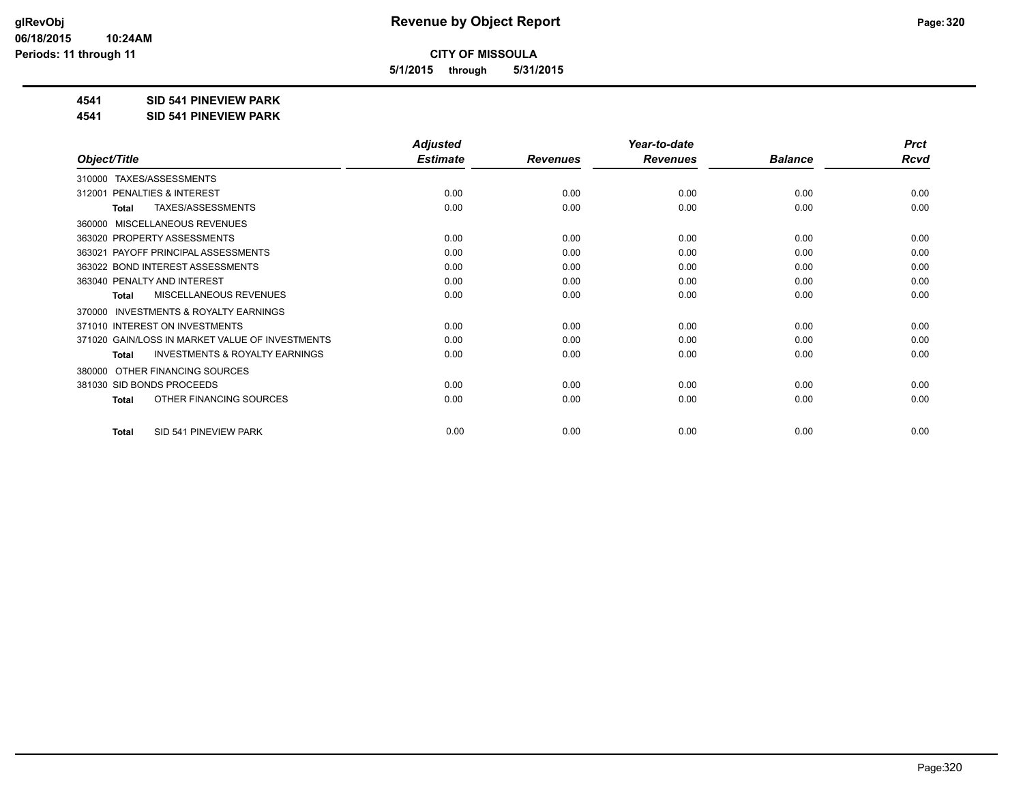**5/1/2015 through 5/31/2015**

#### **4541 SID 541 PINEVIEW PARK**

**4541 SID 541 PINEVIEW PARK**

|                                                           | <b>Adjusted</b> |                 | Year-to-date    |                | <b>Prct</b> |
|-----------------------------------------------------------|-----------------|-----------------|-----------------|----------------|-------------|
| Object/Title                                              | <b>Estimate</b> | <b>Revenues</b> | <b>Revenues</b> | <b>Balance</b> | <b>Rcvd</b> |
| TAXES/ASSESSMENTS<br>310000                               |                 |                 |                 |                |             |
| PENALTIES & INTEREST<br>312001                            | 0.00            | 0.00            | 0.00            | 0.00           | 0.00        |
| TAXES/ASSESSMENTS<br>Total                                | 0.00            | 0.00            | 0.00            | 0.00           | 0.00        |
| MISCELLANEOUS REVENUES<br>360000                          |                 |                 |                 |                |             |
| 363020 PROPERTY ASSESSMENTS                               | 0.00            | 0.00            | 0.00            | 0.00           | 0.00        |
| PAYOFF PRINCIPAL ASSESSMENTS<br>363021                    | 0.00            | 0.00            | 0.00            | 0.00           | 0.00        |
| 363022 BOND INTEREST ASSESSMENTS                          | 0.00            | 0.00            | 0.00            | 0.00           | 0.00        |
| 363040 PENALTY AND INTEREST                               | 0.00            | 0.00            | 0.00            | 0.00           | 0.00        |
| MISCELLANEOUS REVENUES<br>Total                           | 0.00            | 0.00            | 0.00            | 0.00           | 0.00        |
| <b>INVESTMENTS &amp; ROYALTY EARNINGS</b><br>370000       |                 |                 |                 |                |             |
| 371010 INTEREST ON INVESTMENTS                            | 0.00            | 0.00            | 0.00            | 0.00           | 0.00        |
| 371020 GAIN/LOSS IN MARKET VALUE OF INVESTMENTS           | 0.00            | 0.00            | 0.00            | 0.00           | 0.00        |
| <b>INVESTMENTS &amp; ROYALTY EARNINGS</b><br><b>Total</b> | 0.00            | 0.00            | 0.00            | 0.00           | 0.00        |
| OTHER FINANCING SOURCES<br>380000                         |                 |                 |                 |                |             |
| 381030 SID BONDS PROCEEDS                                 | 0.00            | 0.00            | 0.00            | 0.00           | 0.00        |
| OTHER FINANCING SOURCES<br><b>Total</b>                   | 0.00            | 0.00            | 0.00            | 0.00           | 0.00        |
| SID 541 PINEVIEW PARK<br><b>Total</b>                     | 0.00            | 0.00            | 0.00            | 0.00           | 0.00        |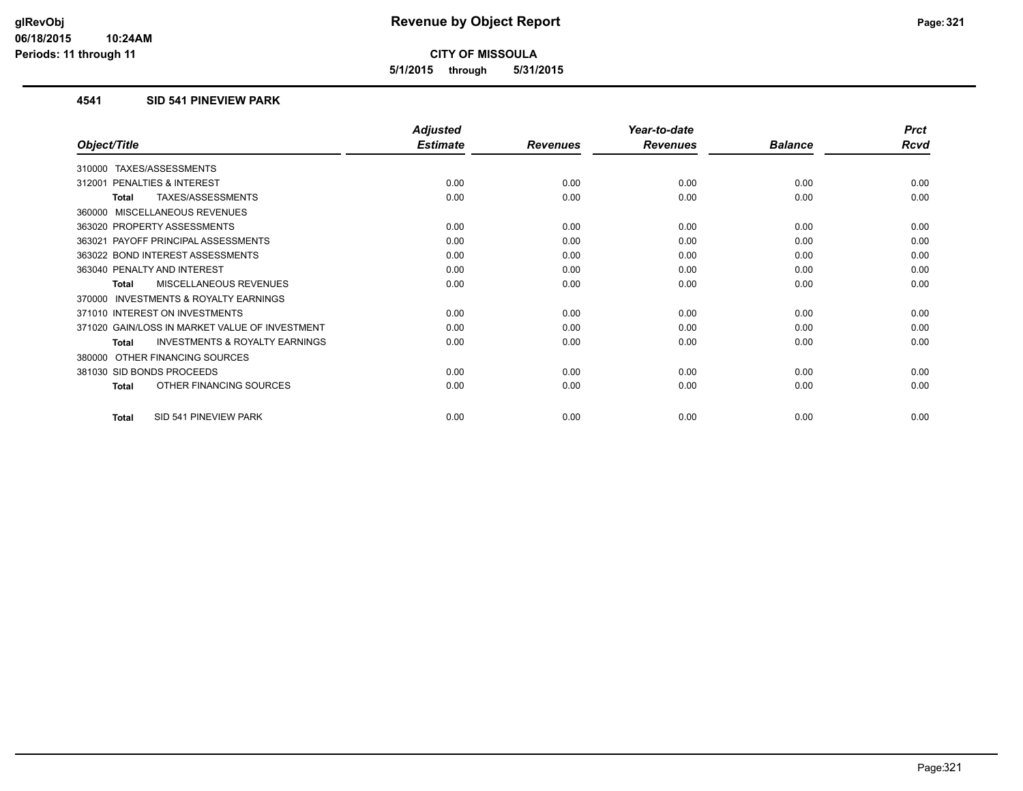**5/1/2015 through 5/31/2015**

#### **4541 SID 541 PINEVIEW PARK**

|                                                           | <b>Adjusted</b> |                 | Year-to-date    |                | <b>Prct</b> |
|-----------------------------------------------------------|-----------------|-----------------|-----------------|----------------|-------------|
| Object/Title                                              | <b>Estimate</b> | <b>Revenues</b> | <b>Revenues</b> | <b>Balance</b> | <b>Rcvd</b> |
| TAXES/ASSESSMENTS<br>310000                               |                 |                 |                 |                |             |
| PENALTIES & INTEREST<br>312001                            | 0.00            | 0.00            | 0.00            | 0.00           | 0.00        |
| TAXES/ASSESSMENTS<br>Total                                | 0.00            | 0.00            | 0.00            | 0.00           | 0.00        |
| 360000 MISCELLANEOUS REVENUES                             |                 |                 |                 |                |             |
| 363020 PROPERTY ASSESSMENTS                               | 0.00            | 0.00            | 0.00            | 0.00           | 0.00        |
| 363021 PAYOFF PRINCIPAL ASSESSMENTS                       | 0.00            | 0.00            | 0.00            | 0.00           | 0.00        |
| 363022 BOND INTEREST ASSESSMENTS                          | 0.00            | 0.00            | 0.00            | 0.00           | 0.00        |
| 363040 PENALTY AND INTEREST                               | 0.00            | 0.00            | 0.00            | 0.00           | 0.00        |
| MISCELLANEOUS REVENUES<br><b>Total</b>                    | 0.00            | 0.00            | 0.00            | 0.00           | 0.00        |
| 370000 INVESTMENTS & ROYALTY EARNINGS                     |                 |                 |                 |                |             |
| 371010 INTEREST ON INVESTMENTS                            | 0.00            | 0.00            | 0.00            | 0.00           | 0.00        |
| 371020 GAIN/LOSS IN MARKET VALUE OF INVESTMENT            | 0.00            | 0.00            | 0.00            | 0.00           | 0.00        |
| <b>INVESTMENTS &amp; ROYALTY EARNINGS</b><br><b>Total</b> | 0.00            | 0.00            | 0.00            | 0.00           | 0.00        |
| OTHER FINANCING SOURCES<br>380000                         |                 |                 |                 |                |             |
| 381030 SID BONDS PROCEEDS                                 | 0.00            | 0.00            | 0.00            | 0.00           | 0.00        |
| OTHER FINANCING SOURCES<br>Total                          | 0.00            | 0.00            | 0.00            | 0.00           | 0.00        |
| SID 541 PINEVIEW PARK<br><b>Total</b>                     | 0.00            | 0.00            | 0.00            | 0.00           | 0.00        |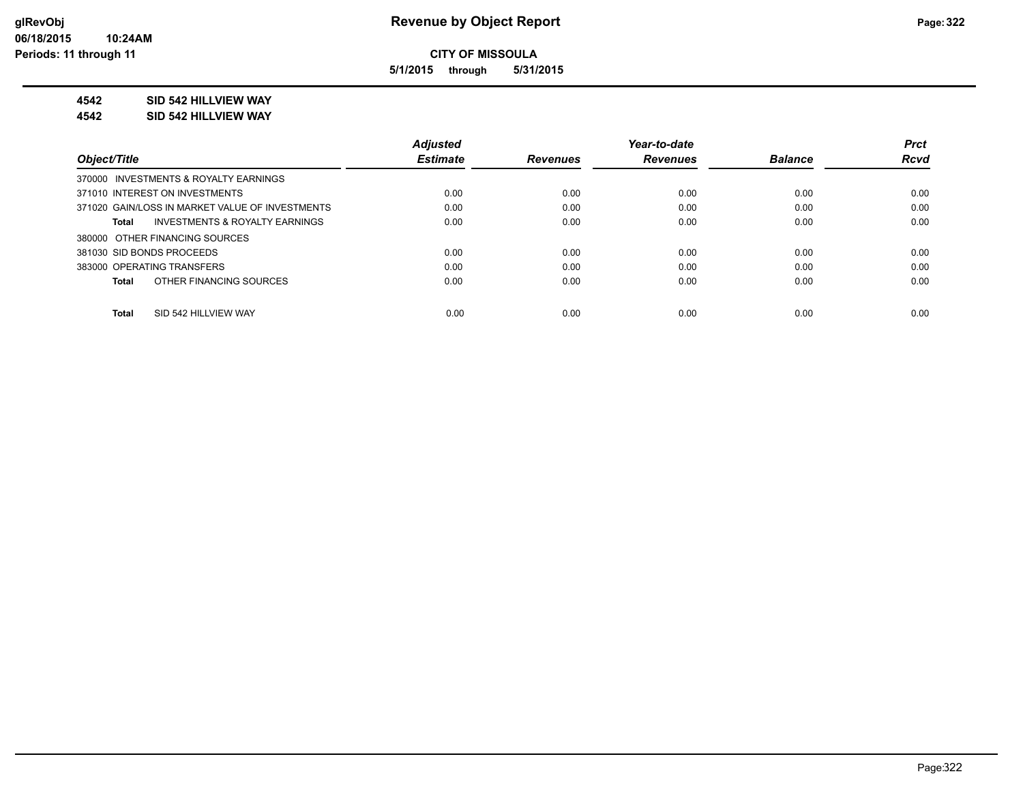**5/1/2015 through 5/31/2015**

#### **4542 SID 542 HILLVIEW WAY**

**4542 SID 542 HILLVIEW WAY**

|                                                    | <b>Adiusted</b> |                 | Year-to-date    |                | <b>Prct</b> |
|----------------------------------------------------|-----------------|-----------------|-----------------|----------------|-------------|
| Object/Title                                       | <b>Estimate</b> | <b>Revenues</b> | <b>Revenues</b> | <b>Balance</b> | <b>Rcvd</b> |
| 370000 INVESTMENTS & ROYALTY EARNINGS              |                 |                 |                 |                |             |
| 371010 INTEREST ON INVESTMENTS                     | 0.00            | 0.00            | 0.00            | 0.00           | 0.00        |
| 371020 GAIN/LOSS IN MARKET VALUE OF INVESTMENTS    | 0.00            | 0.00            | 0.00            | 0.00           | 0.00        |
| <b>INVESTMENTS &amp; ROYALTY EARNINGS</b><br>Total | 0.00            | 0.00            | 0.00            | 0.00           | 0.00        |
| 380000 OTHER FINANCING SOURCES                     |                 |                 |                 |                |             |
| 381030 SID BONDS PROCEEDS                          | 0.00            | 0.00            | 0.00            | 0.00           | 0.00        |
| 383000 OPERATING TRANSFERS                         | 0.00            | 0.00            | 0.00            | 0.00           | 0.00        |
| OTHER FINANCING SOURCES<br>Total                   | 0.00            | 0.00            | 0.00            | 0.00           | 0.00        |
|                                                    |                 |                 |                 |                |             |
| SID 542 HILLVIEW WAY<br>Total                      | 0.00            | 0.00            | 0.00            | 0.00           | 0.00        |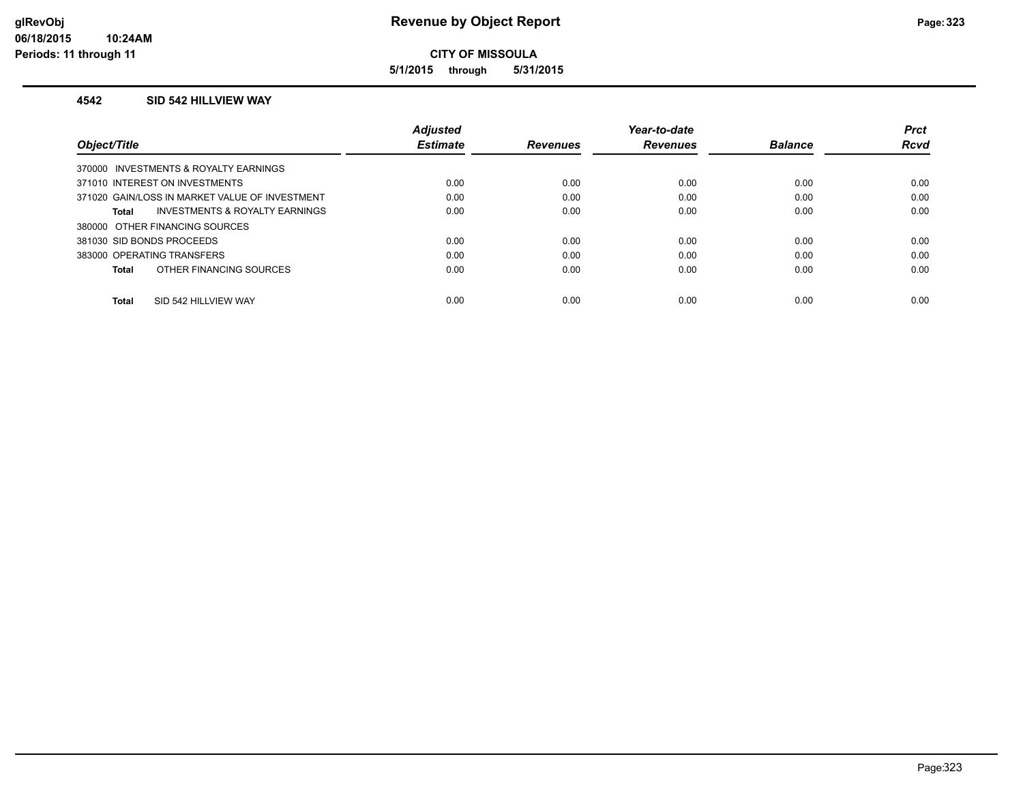**5/1/2015 through 5/31/2015**

#### **4542 SID 542 HILLVIEW WAY**

|                                                    | <b>Adjusted</b> |                 | Year-to-date    |                | <b>Prct</b> |
|----------------------------------------------------|-----------------|-----------------|-----------------|----------------|-------------|
| Object/Title                                       | <b>Estimate</b> | <b>Revenues</b> | <b>Revenues</b> | <b>Balance</b> | <b>Rcvd</b> |
| 370000 INVESTMENTS & ROYALTY EARNINGS              |                 |                 |                 |                |             |
| 371010 INTEREST ON INVESTMENTS                     | 0.00            | 0.00            | 0.00            | 0.00           | 0.00        |
| 371020 GAIN/LOSS IN MARKET VALUE OF INVESTMENT     | 0.00            | 0.00            | 0.00            | 0.00           | 0.00        |
| <b>INVESTMENTS &amp; ROYALTY EARNINGS</b><br>Total | 0.00            | 0.00            | 0.00            | 0.00           | 0.00        |
| 380000 OTHER FINANCING SOURCES                     |                 |                 |                 |                |             |
| 381030 SID BONDS PROCEEDS                          | 0.00            | 0.00            | 0.00            | 0.00           | 0.00        |
| 383000 OPERATING TRANSFERS                         | 0.00            | 0.00            | 0.00            | 0.00           | 0.00        |
| OTHER FINANCING SOURCES<br>Total                   | 0.00            | 0.00            | 0.00            | 0.00           | 0.00        |
| SID 542 HILLVIEW WAY<br>Total                      | 0.00            | 0.00            | 0.00            | 0.00           | 0.00        |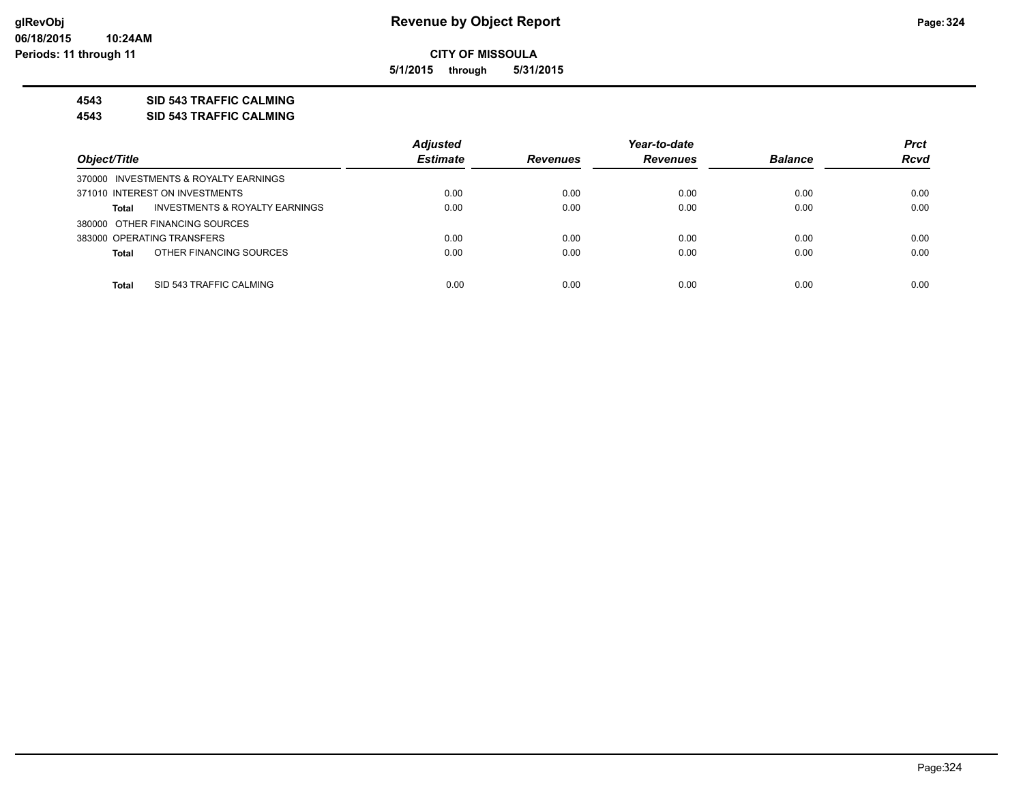**5/1/2015 through 5/31/2015**

#### **4543 SID 543 TRAFFIC CALMING**

**4543 SID 543 TRAFFIC CALMING**

|                                                | <b>Adjusted</b> |                 | Year-to-date    |                | <b>Prct</b> |
|------------------------------------------------|-----------------|-----------------|-----------------|----------------|-------------|
| Object/Title                                   | <b>Estimate</b> | <b>Revenues</b> | <b>Revenues</b> | <b>Balance</b> | <b>Rcvd</b> |
| 370000 INVESTMENTS & ROYALTY EARNINGS          |                 |                 |                 |                |             |
| 371010 INTEREST ON INVESTMENTS                 | 0.00            | 0.00            | 0.00            | 0.00           | 0.00        |
| INVESTMENTS & ROYALTY EARNINGS<br><b>Total</b> | 0.00            | 0.00            | 0.00            | 0.00           | 0.00        |
| 380000 OTHER FINANCING SOURCES                 |                 |                 |                 |                |             |
| 383000 OPERATING TRANSFERS                     | 0.00            | 0.00            | 0.00            | 0.00           | 0.00        |
| OTHER FINANCING SOURCES<br><b>Total</b>        | 0.00            | 0.00            | 0.00            | 0.00           | 0.00        |
|                                                |                 |                 |                 |                |             |
| SID 543 TRAFFIC CALMING<br><b>Total</b>        | 0.00            | 0.00            | 0.00            | 0.00           | 0.00        |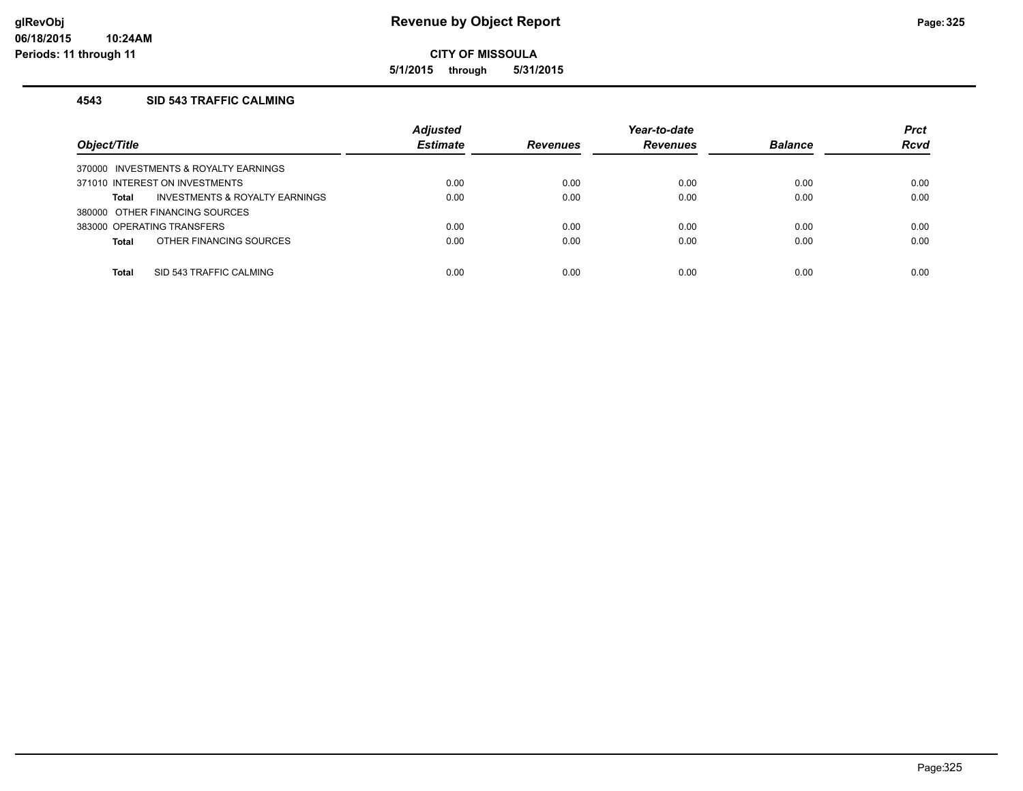**5/1/2015 through 5/31/2015**

## **4543 SID 543 TRAFFIC CALMING**

| Object/Title                                       | <b>Adjusted</b><br><b>Estimate</b> | <b>Revenues</b> | Year-to-date<br><b>Revenues</b> | <b>Balance</b> | <b>Prct</b><br><b>Rcvd</b> |
|----------------------------------------------------|------------------------------------|-----------------|---------------------------------|----------------|----------------------------|
| 370000 INVESTMENTS & ROYALTY EARNINGS              |                                    |                 |                                 |                |                            |
| 371010 INTEREST ON INVESTMENTS                     | 0.00                               | 0.00            | 0.00                            | 0.00           | 0.00                       |
| <b>INVESTMENTS &amp; ROYALTY EARNINGS</b><br>Total | 0.00                               | 0.00            | 0.00                            | 0.00           | 0.00                       |
| 380000 OTHER FINANCING SOURCES                     |                                    |                 |                                 |                |                            |
| 383000 OPERATING TRANSFERS                         | 0.00                               | 0.00            | 0.00                            | 0.00           | 0.00                       |
| OTHER FINANCING SOURCES<br>Total                   | 0.00                               | 0.00            | 0.00                            | 0.00           | 0.00                       |
|                                                    |                                    |                 |                                 |                |                            |
| SID 543 TRAFFIC CALMING<br><b>Total</b>            | 0.00                               | 0.00            | 0.00                            | 0.00           | 0.00                       |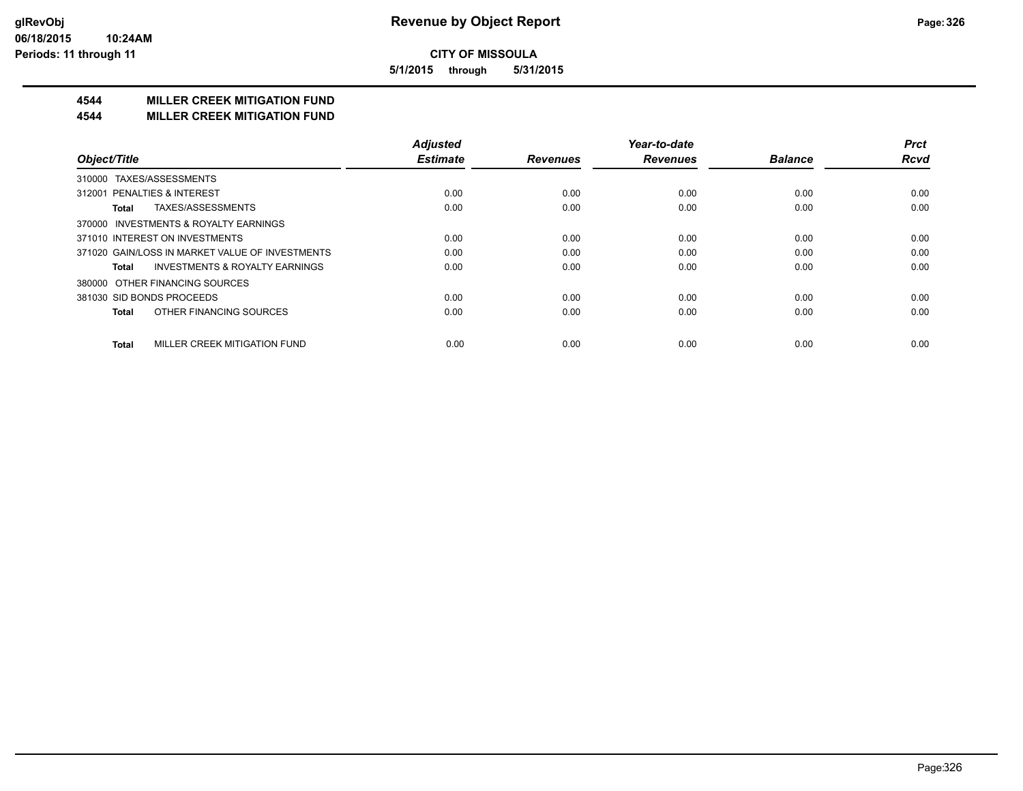**5/1/2015 through 5/31/2015**

# **4544 MILLER CREEK MITIGATION FUND**

#### **4544 MILLER CREEK MITIGATION FUND**

|                                                    | <b>Adjusted</b><br><b>Estimate</b> |                 | Year-to-date    | <b>Balance</b> | <b>Prct</b><br><b>Rcvd</b> |
|----------------------------------------------------|------------------------------------|-----------------|-----------------|----------------|----------------------------|
| Object/Title                                       |                                    | <b>Revenues</b> | <b>Revenues</b> |                |                            |
| 310000 TAXES/ASSESSMENTS                           |                                    |                 |                 |                |                            |
| 312001 PENALTIES & INTEREST                        | 0.00                               | 0.00            | 0.00            | 0.00           | 0.00                       |
| TAXES/ASSESSMENTS<br>Total                         | 0.00                               | 0.00            | 0.00            | 0.00           | 0.00                       |
| 370000 INVESTMENTS & ROYALTY EARNINGS              |                                    |                 |                 |                |                            |
| 371010 INTEREST ON INVESTMENTS                     | 0.00                               | 0.00            | 0.00            | 0.00           | 0.00                       |
| 371020 GAIN/LOSS IN MARKET VALUE OF INVESTMENTS    | 0.00                               | 0.00            | 0.00            | 0.00           | 0.00                       |
| <b>INVESTMENTS &amp; ROYALTY EARNINGS</b><br>Total | 0.00                               | 0.00            | 0.00            | 0.00           | 0.00                       |
| 380000 OTHER FINANCING SOURCES                     |                                    |                 |                 |                |                            |
| 381030 SID BONDS PROCEEDS                          | 0.00                               | 0.00            | 0.00            | 0.00           | 0.00                       |
| OTHER FINANCING SOURCES<br><b>Total</b>            | 0.00                               | 0.00            | 0.00            | 0.00           | 0.00                       |
| MILLER CREEK MITIGATION FUND<br><b>Total</b>       | 0.00                               | 0.00            | 0.00            | 0.00           | 0.00                       |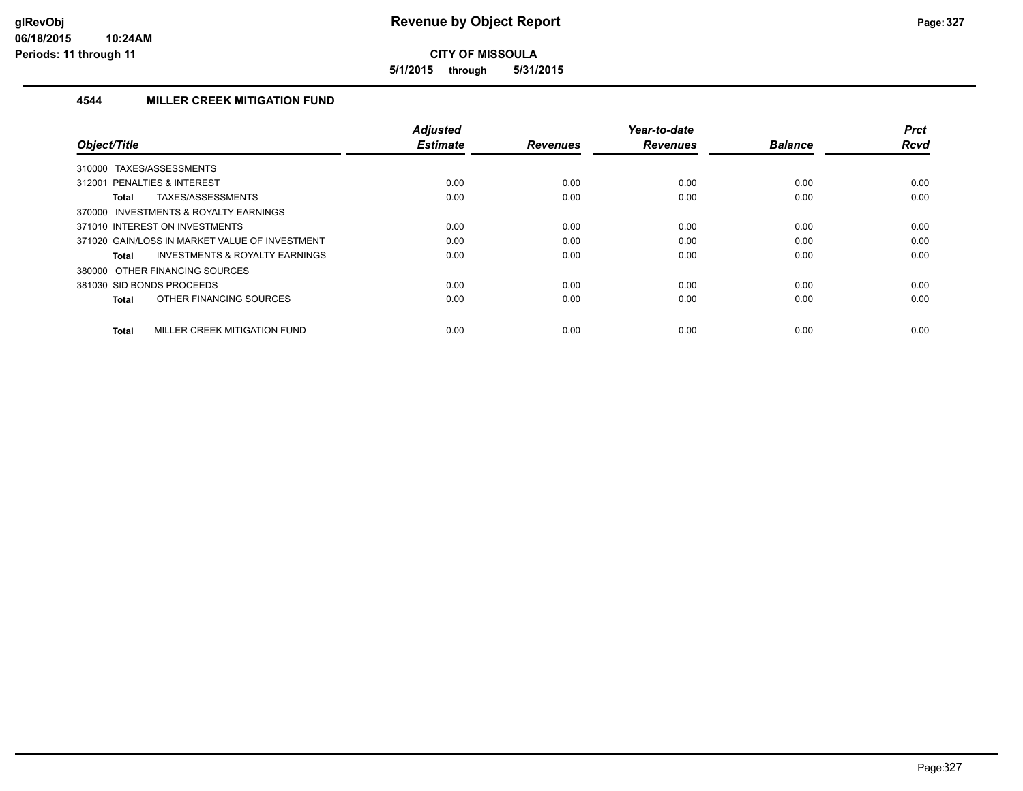**5/1/2015 through 5/31/2015**

# **4544 MILLER CREEK MITIGATION FUND**

|                                                    | <b>Adjusted</b> |                 | Year-to-date    |                | <b>Prct</b> |
|----------------------------------------------------|-----------------|-----------------|-----------------|----------------|-------------|
| Object/Title                                       | <b>Estimate</b> | <b>Revenues</b> | <b>Revenues</b> | <b>Balance</b> | <b>Rcvd</b> |
| TAXES/ASSESSMENTS<br>310000                        |                 |                 |                 |                |             |
| 312001 PENALTIES & INTEREST                        | 0.00            | 0.00            | 0.00            | 0.00           | 0.00        |
| TAXES/ASSESSMENTS<br>Total                         | 0.00            | 0.00            | 0.00            | 0.00           | 0.00        |
| 370000 INVESTMENTS & ROYALTY EARNINGS              |                 |                 |                 |                |             |
| 371010 INTEREST ON INVESTMENTS                     | 0.00            | 0.00            | 0.00            | 0.00           | 0.00        |
| 371020 GAIN/LOSS IN MARKET VALUE OF INVESTMENT     | 0.00            | 0.00            | 0.00            | 0.00           | 0.00        |
| <b>INVESTMENTS &amp; ROYALTY EARNINGS</b><br>Total | 0.00            | 0.00            | 0.00            | 0.00           | 0.00        |
| 380000 OTHER FINANCING SOURCES                     |                 |                 |                 |                |             |
| 381030 SID BONDS PROCEEDS                          | 0.00            | 0.00            | 0.00            | 0.00           | 0.00        |
| OTHER FINANCING SOURCES<br><b>Total</b>            | 0.00            | 0.00            | 0.00            | 0.00           | 0.00        |
| MILLER CREEK MITIGATION FUND<br><b>Total</b>       | 0.00            | 0.00            | 0.00            | 0.00           | 0.00        |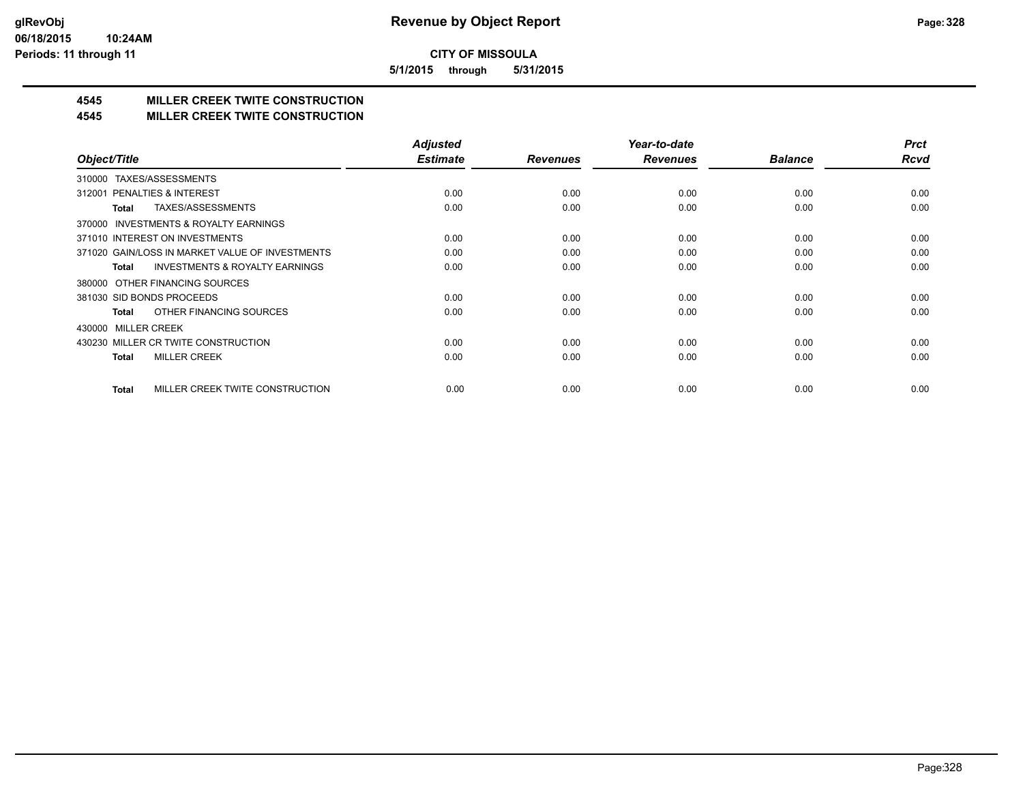**5/1/2015 through 5/31/2015**

# **4545 MILLER CREEK TWITE CONSTRUCTION**

### **4545 MILLER CREEK TWITE CONSTRUCTION**

|                                                     | <b>Adjusted</b> |                 | Year-to-date    |                | <b>Prct</b> |
|-----------------------------------------------------|-----------------|-----------------|-----------------|----------------|-------------|
| Object/Title                                        | <b>Estimate</b> | <b>Revenues</b> | <b>Revenues</b> | <b>Balance</b> | <b>Rcvd</b> |
| TAXES/ASSESSMENTS<br>310000                         |                 |                 |                 |                |             |
| 312001 PENALTIES & INTEREST                         | 0.00            | 0.00            | 0.00            | 0.00           | 0.00        |
| TAXES/ASSESSMENTS<br>Total                          | 0.00            | 0.00            | 0.00            | 0.00           | 0.00        |
| <b>INVESTMENTS &amp; ROYALTY EARNINGS</b><br>370000 |                 |                 |                 |                |             |
| 371010 INTEREST ON INVESTMENTS                      | 0.00            | 0.00            | 0.00            | 0.00           | 0.00        |
| 371020 GAIN/LOSS IN MARKET VALUE OF INVESTMENTS     | 0.00            | 0.00            | 0.00            | 0.00           | 0.00        |
| <b>INVESTMENTS &amp; ROYALTY EARNINGS</b><br>Total  | 0.00            | 0.00            | 0.00            | 0.00           | 0.00        |
| 380000 OTHER FINANCING SOURCES                      |                 |                 |                 |                |             |
| 381030 SID BONDS PROCEEDS                           | 0.00            | 0.00            | 0.00            | 0.00           | 0.00        |
| OTHER FINANCING SOURCES<br>Total                    | 0.00            | 0.00            | 0.00            | 0.00           | 0.00        |
| <b>MILLER CREEK</b><br>430000                       |                 |                 |                 |                |             |
| 430230 MILLER CR TWITE CONSTRUCTION                 | 0.00            | 0.00            | 0.00            | 0.00           | 0.00        |
| <b>MILLER CREEK</b><br>Total                        | 0.00            | 0.00            | 0.00            | 0.00           | 0.00        |
|                                                     |                 |                 |                 |                |             |
| MILLER CREEK TWITE CONSTRUCTION<br><b>Total</b>     | 0.00            | 0.00            | 0.00            | 0.00           | 0.00        |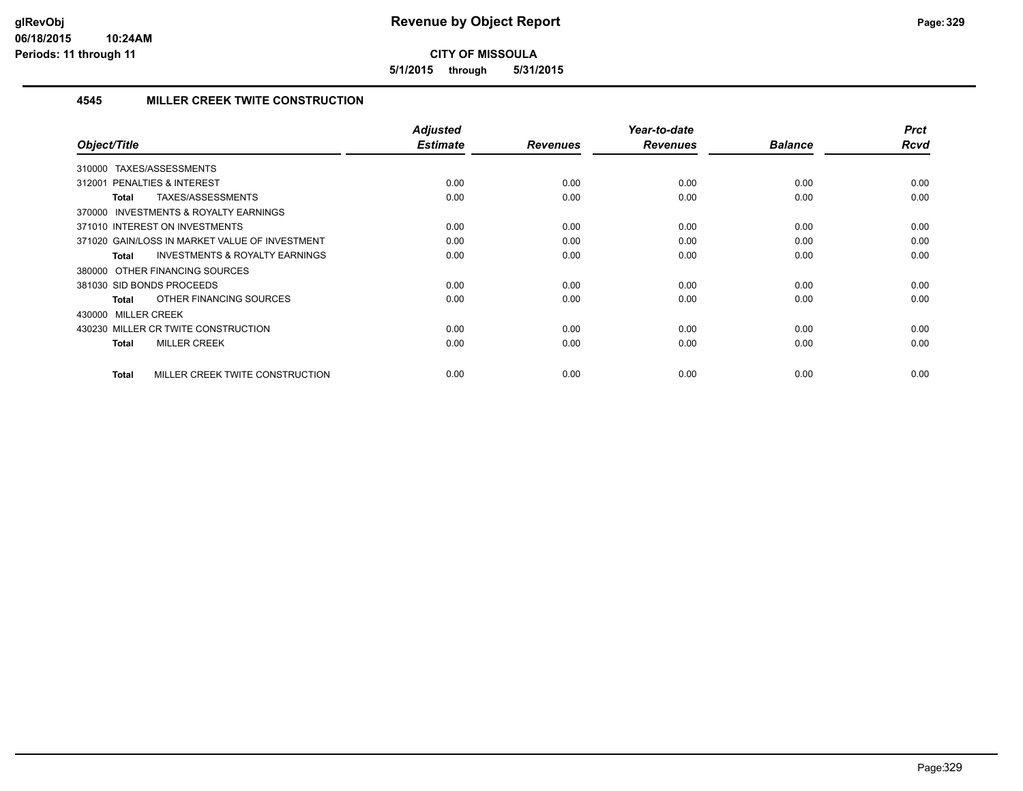**5/1/2015 through 5/31/2015**

# **4545 MILLER CREEK TWITE CONSTRUCTION**

| Object/Title                                              | Adjusted<br><b>Estimate</b> | <b>Revenues</b> | Year-to-date<br><b>Revenues</b> | <b>Balance</b> | <b>Prct</b><br>Rcvd |
|-----------------------------------------------------------|-----------------------------|-----------------|---------------------------------|----------------|---------------------|
|                                                           |                             |                 |                                 |                |                     |
| TAXES/ASSESSMENTS<br>310000                               |                             |                 |                                 |                |                     |
| PENALTIES & INTEREST<br>312001                            | 0.00                        | 0.00            | 0.00                            | 0.00           | 0.00                |
| TAXES/ASSESSMENTS<br><b>Total</b>                         | 0.00                        | 0.00            | 0.00                            | 0.00           | 0.00                |
| 370000 INVESTMENTS & ROYALTY EARNINGS                     |                             |                 |                                 |                |                     |
| 371010 INTEREST ON INVESTMENTS                            | 0.00                        | 0.00            | 0.00                            | 0.00           | 0.00                |
| 371020 GAIN/LOSS IN MARKET VALUE OF INVESTMENT            | 0.00                        | 0.00            | 0.00                            | 0.00           | 0.00                |
| <b>INVESTMENTS &amp; ROYALTY EARNINGS</b><br><b>Total</b> | 0.00                        | 0.00            | 0.00                            | 0.00           | 0.00                |
| 380000 OTHER FINANCING SOURCES                            |                             |                 |                                 |                |                     |
| 381030 SID BONDS PROCEEDS                                 | 0.00                        | 0.00            | 0.00                            | 0.00           | 0.00                |
| OTHER FINANCING SOURCES<br><b>Total</b>                   | 0.00                        | 0.00            | 0.00                            | 0.00           | 0.00                |
| 430000 MILLER CREEK                                       |                             |                 |                                 |                |                     |
| 430230 MILLER CR TWITE CONSTRUCTION                       | 0.00                        | 0.00            | 0.00                            | 0.00           | 0.00                |
| <b>MILLER CREEK</b><br><b>Total</b>                       | 0.00                        | 0.00            | 0.00                            | 0.00           | 0.00                |
|                                                           |                             |                 |                                 |                |                     |
| MILLER CREEK TWITE CONSTRUCTION<br><b>Total</b>           | 0.00                        | 0.00            | 0.00                            | 0.00           | 0.00                |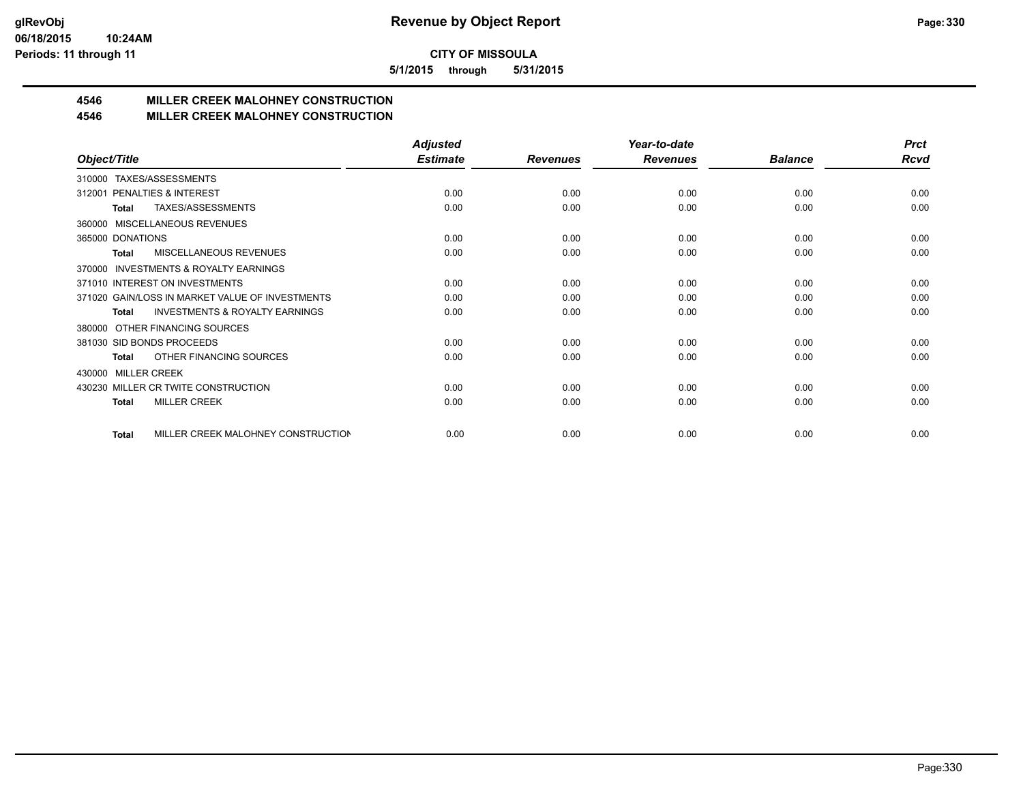**5/1/2015 through 5/31/2015**

# **4546 MILLER CREEK MALOHNEY CONSTRUCTION**

## **4546 MILLER CREEK MALOHNEY CONSTRUCTION**

|                                                     | <b>Adjusted</b> |                 | Year-to-date    |                | <b>Prct</b> |
|-----------------------------------------------------|-----------------|-----------------|-----------------|----------------|-------------|
| Object/Title                                        | <b>Estimate</b> | <b>Revenues</b> | <b>Revenues</b> | <b>Balance</b> | <b>Rcvd</b> |
| TAXES/ASSESSMENTS<br>310000                         |                 |                 |                 |                |             |
| PENALTIES & INTEREST<br>312001                      | 0.00            | 0.00            | 0.00            | 0.00           | 0.00        |
| TAXES/ASSESSMENTS<br><b>Total</b>                   | 0.00            | 0.00            | 0.00            | 0.00           | 0.00        |
| MISCELLANEOUS REVENUES<br>360000                    |                 |                 |                 |                |             |
| 365000 DONATIONS                                    | 0.00            | 0.00            | 0.00            | 0.00           | 0.00        |
| <b>MISCELLANEOUS REVENUES</b><br>Total              | 0.00            | 0.00            | 0.00            | 0.00           | 0.00        |
| <b>INVESTMENTS &amp; ROYALTY EARNINGS</b><br>370000 |                 |                 |                 |                |             |
| 371010 INTEREST ON INVESTMENTS                      | 0.00            | 0.00            | 0.00            | 0.00           | 0.00        |
| 371020 GAIN/LOSS IN MARKET VALUE OF INVESTMENTS     | 0.00            | 0.00            | 0.00            | 0.00           | 0.00        |
| <b>INVESTMENTS &amp; ROYALTY EARNINGS</b><br>Total  | 0.00            | 0.00            | 0.00            | 0.00           | 0.00        |
| OTHER FINANCING SOURCES<br>380000                   |                 |                 |                 |                |             |
| 381030 SID BONDS PROCEEDS                           | 0.00            | 0.00            | 0.00            | 0.00           | 0.00        |
| OTHER FINANCING SOURCES<br><b>Total</b>             | 0.00            | 0.00            | 0.00            | 0.00           | 0.00        |
| <b>MILLER CREEK</b><br>430000                       |                 |                 |                 |                |             |
| 430230 MILLER CR TWITE CONSTRUCTION                 | 0.00            | 0.00            | 0.00            | 0.00           | 0.00        |
| <b>MILLER CREEK</b><br><b>Total</b>                 | 0.00            | 0.00            | 0.00            | 0.00           | 0.00        |
|                                                     |                 |                 |                 |                |             |
| MILLER CREEK MALOHNEY CONSTRUCTION<br><b>Total</b>  | 0.00            | 0.00            | 0.00            | 0.00           | 0.00        |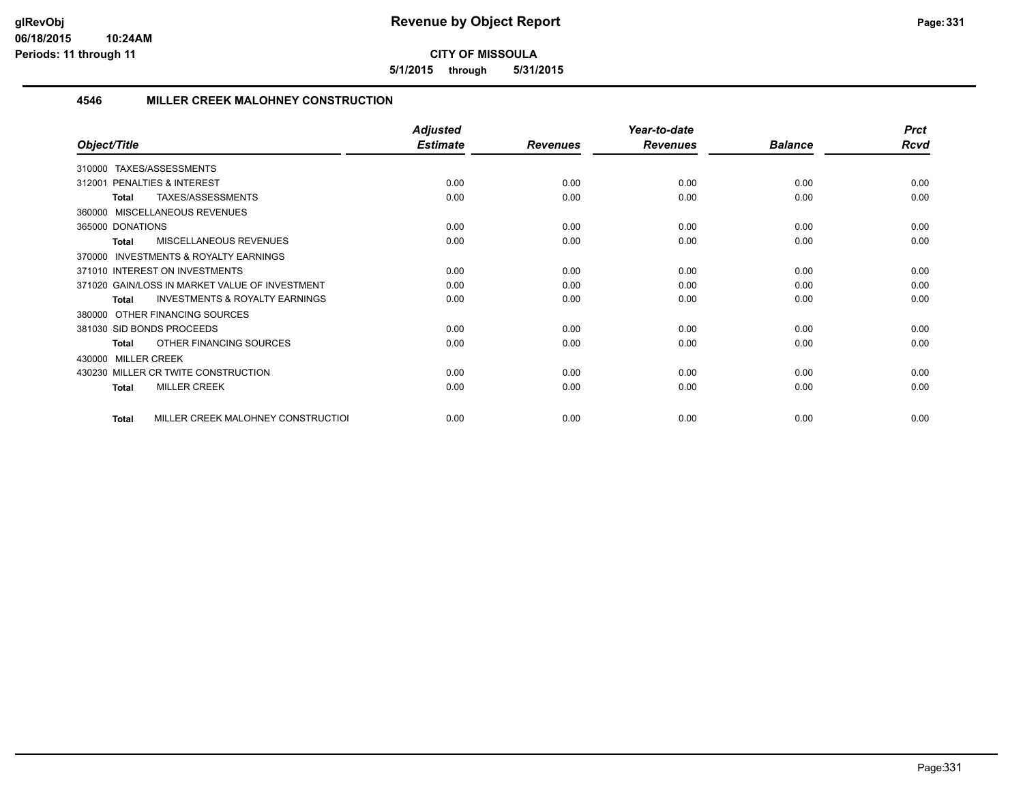**5/1/2015 through 5/31/2015**

## **4546 MILLER CREEK MALOHNEY CONSTRUCTION**

|                                                    | <b>Adjusted</b> |                 | Year-to-date    |                | <b>Prct</b> |
|----------------------------------------------------|-----------------|-----------------|-----------------|----------------|-------------|
| Object/Title                                       | <b>Estimate</b> | <b>Revenues</b> | <b>Revenues</b> | <b>Balance</b> | <b>Rcvd</b> |
| TAXES/ASSESSMENTS<br>310000                        |                 |                 |                 |                |             |
| <b>PENALTIES &amp; INTEREST</b><br>312001          | 0.00            | 0.00            | 0.00            | 0.00           | 0.00        |
| TAXES/ASSESSMENTS<br><b>Total</b>                  | 0.00            | 0.00            | 0.00            | 0.00           | 0.00        |
| 360000 MISCELLANEOUS REVENUES                      |                 |                 |                 |                |             |
| 365000 DONATIONS                                   | 0.00            | 0.00            | 0.00            | 0.00           | 0.00        |
| <b>MISCELLANEOUS REVENUES</b><br>Total             | 0.00            | 0.00            | 0.00            | 0.00           | 0.00        |
| INVESTMENTS & ROYALTY EARNINGS<br>370000           |                 |                 |                 |                |             |
| 371010 INTEREST ON INVESTMENTS                     | 0.00            | 0.00            | 0.00            | 0.00           | 0.00        |
| 371020 GAIN/LOSS IN MARKET VALUE OF INVESTMENT     | 0.00            | 0.00            | 0.00            | 0.00           | 0.00        |
| <b>INVESTMENTS &amp; ROYALTY EARNINGS</b><br>Total | 0.00            | 0.00            | 0.00            | 0.00           | 0.00        |
| OTHER FINANCING SOURCES<br>380000                  |                 |                 |                 |                |             |
| 381030 SID BONDS PROCEEDS                          | 0.00            | 0.00            | 0.00            | 0.00           | 0.00        |
| OTHER FINANCING SOURCES<br><b>Total</b>            | 0.00            | 0.00            | 0.00            | 0.00           | 0.00        |
| 430000 MILLER CREEK                                |                 |                 |                 |                |             |
| 430230 MILLER CR TWITE CONSTRUCTION                | 0.00            | 0.00            | 0.00            | 0.00           | 0.00        |
| <b>MILLER CREEK</b><br><b>Total</b>                | 0.00            | 0.00            | 0.00            | 0.00           | 0.00        |
| MILLER CREEK MALOHNEY CONSTRUCTIOI<br>Total        | 0.00            | 0.00            | 0.00            | 0.00           | 0.00        |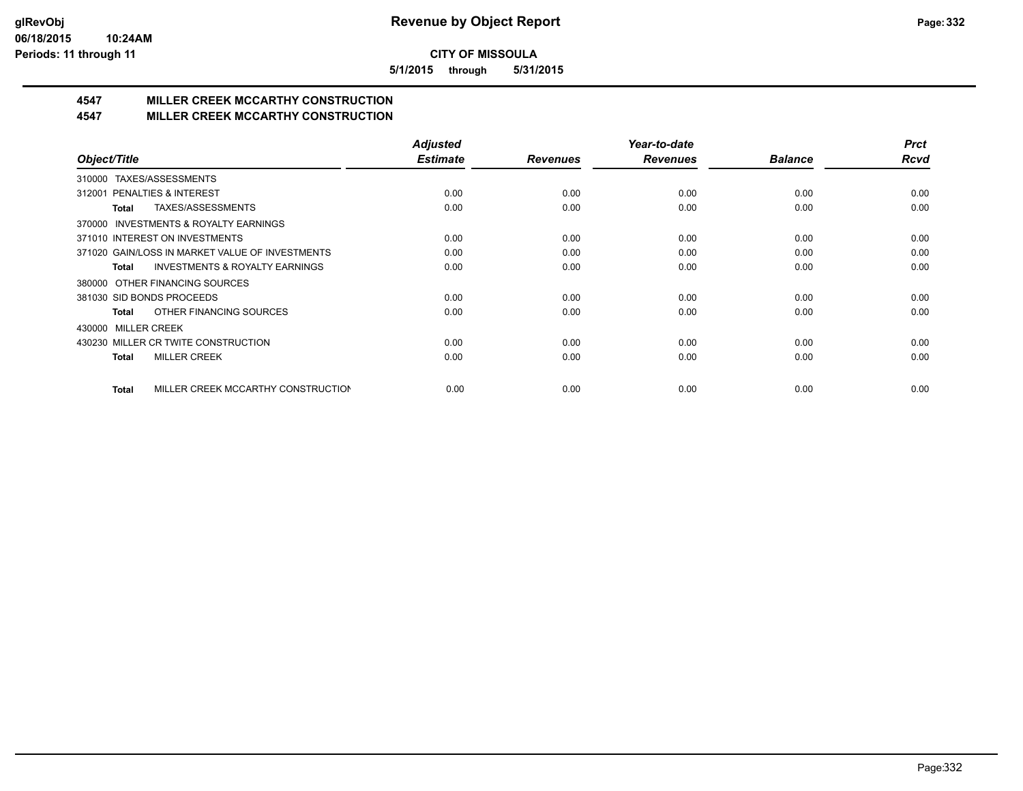**5/1/2015 through 5/31/2015**

# **4547 MILLER CREEK MCCARTHY CONSTRUCTION**

## **4547 MILLER CREEK MCCARTHY CONSTRUCTION**

|                                                     | <b>Adjusted</b> |                 | Year-to-date    |                | <b>Prct</b> |
|-----------------------------------------------------|-----------------|-----------------|-----------------|----------------|-------------|
| Object/Title                                        | <b>Estimate</b> | <b>Revenues</b> | <b>Revenues</b> | <b>Balance</b> | Rcvd        |
| TAXES/ASSESSMENTS<br>310000                         |                 |                 |                 |                |             |
| 312001 PENALTIES & INTEREST                         | 0.00            | 0.00            | 0.00            | 0.00           | 0.00        |
| TAXES/ASSESSMENTS<br>Total                          | 0.00            | 0.00            | 0.00            | 0.00           | 0.00        |
| <b>INVESTMENTS &amp; ROYALTY EARNINGS</b><br>370000 |                 |                 |                 |                |             |
| 371010 INTEREST ON INVESTMENTS                      | 0.00            | 0.00            | 0.00            | 0.00           | 0.00        |
| 371020 GAIN/LOSS IN MARKET VALUE OF INVESTMENTS     | 0.00            | 0.00            | 0.00            | 0.00           | 0.00        |
| <b>INVESTMENTS &amp; ROYALTY EARNINGS</b><br>Total  | 0.00            | 0.00            | 0.00            | 0.00           | 0.00        |
| 380000 OTHER FINANCING SOURCES                      |                 |                 |                 |                |             |
| 381030 SID BONDS PROCEEDS                           | 0.00            | 0.00            | 0.00            | 0.00           | 0.00        |
| OTHER FINANCING SOURCES<br>Total                    | 0.00            | 0.00            | 0.00            | 0.00           | 0.00        |
| <b>MILLER CREEK</b><br>430000                       |                 |                 |                 |                |             |
| 430230 MILLER CR TWITE CONSTRUCTION                 | 0.00            | 0.00            | 0.00            | 0.00           | 0.00        |
| <b>MILLER CREEK</b><br>Total                        | 0.00            | 0.00            | 0.00            | 0.00           | 0.00        |
|                                                     |                 |                 |                 |                |             |
| MILLER CREEK MCCARTHY CONSTRUCTION<br><b>Total</b>  | 0.00            | 0.00            | 0.00            | 0.00           | 0.00        |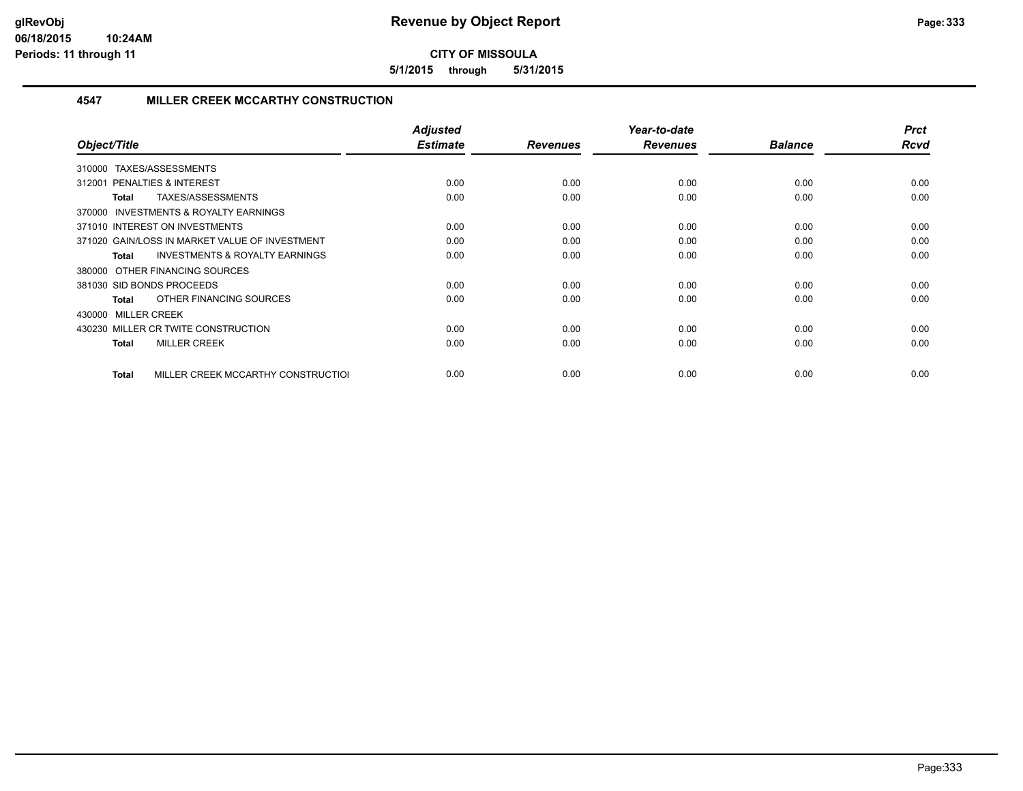**5/1/2015 through 5/31/2015**

### **4547 MILLER CREEK MCCARTHY CONSTRUCTION**

| Object/Title                                              | <b>Adjusted</b><br><b>Estimate</b> | <b>Revenues</b> | Year-to-date<br><b>Revenues</b> | <b>Balance</b> | <b>Prct</b><br><b>Rcvd</b> |
|-----------------------------------------------------------|------------------------------------|-----------------|---------------------------------|----------------|----------------------------|
| TAXES/ASSESSMENTS<br>310000                               |                                    |                 |                                 |                |                            |
| 312001 PENALTIES & INTEREST                               | 0.00                               | 0.00            | 0.00                            | 0.00           | 0.00                       |
| TAXES/ASSESSMENTS<br><b>Total</b>                         | 0.00                               | 0.00            | 0.00                            | 0.00           | 0.00                       |
| <b>INVESTMENTS &amp; ROYALTY EARNINGS</b><br>370000       |                                    |                 |                                 |                |                            |
| 371010 INTEREST ON INVESTMENTS                            | 0.00                               | 0.00            | 0.00                            | 0.00           | 0.00                       |
| 371020 GAIN/LOSS IN MARKET VALUE OF INVESTMENT            | 0.00                               | 0.00            | 0.00                            | 0.00           | 0.00                       |
| <b>INVESTMENTS &amp; ROYALTY EARNINGS</b><br><b>Total</b> | 0.00                               | 0.00            | 0.00                            | 0.00           | 0.00                       |
| 380000 OTHER FINANCING SOURCES                            |                                    |                 |                                 |                |                            |
| 381030 SID BONDS PROCEEDS                                 | 0.00                               | 0.00            | 0.00                            | 0.00           | 0.00                       |
| OTHER FINANCING SOURCES<br><b>Total</b>                   | 0.00                               | 0.00            | 0.00                            | 0.00           | 0.00                       |
| 430000 MILLER CREEK                                       |                                    |                 |                                 |                |                            |
| 430230 MILLER CR TWITE CONSTRUCTION                       | 0.00                               | 0.00            | 0.00                            | 0.00           | 0.00                       |
| <b>MILLER CREEK</b><br><b>Total</b>                       | 0.00                               | 0.00            | 0.00                            | 0.00           | 0.00                       |
|                                                           |                                    |                 |                                 |                |                            |
| MILLER CREEK MCCARTHY CONSTRUCTIOI<br><b>Total</b>        | 0.00                               | 0.00            | 0.00                            | 0.00           | 0.00                       |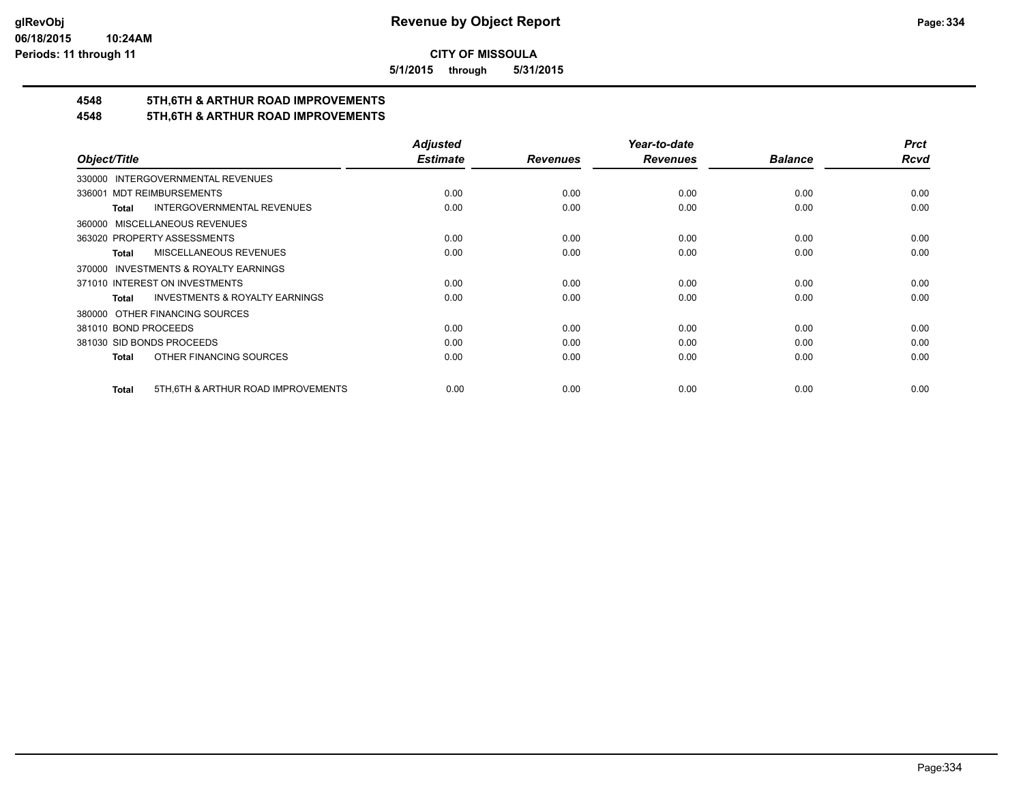**5/1/2015 through 5/31/2015**

# **4548 5TH,6TH & ARTHUR ROAD IMPROVEMENTS**

# **4548 5TH,6TH & ARTHUR ROAD IMPROVEMENTS**

|                                                           | <b>Adjusted</b> |                 | Year-to-date    |                | <b>Prct</b> |
|-----------------------------------------------------------|-----------------|-----------------|-----------------|----------------|-------------|
| Object/Title                                              | <b>Estimate</b> | <b>Revenues</b> | <b>Revenues</b> | <b>Balance</b> | <b>Rcvd</b> |
| 330000 INTERGOVERNMENTAL REVENUES                         |                 |                 |                 |                |             |
| <b>MDT REIMBURSEMENTS</b><br>336001                       | 0.00            | 0.00            | 0.00            | 0.00           | 0.00        |
| <b>INTERGOVERNMENTAL REVENUES</b><br><b>Total</b>         | 0.00            | 0.00            | 0.00            | 0.00           | 0.00        |
| 360000 MISCELLANEOUS REVENUES                             |                 |                 |                 |                |             |
| 363020 PROPERTY ASSESSMENTS                               | 0.00            | 0.00            | 0.00            | 0.00           | 0.00        |
| MISCELLANEOUS REVENUES<br>Total                           | 0.00            | 0.00            | 0.00            | 0.00           | 0.00        |
| 370000 INVESTMENTS & ROYALTY EARNINGS                     |                 |                 |                 |                |             |
| 371010 INTEREST ON INVESTMENTS                            | 0.00            | 0.00            | 0.00            | 0.00           | 0.00        |
| <b>INVESTMENTS &amp; ROYALTY EARNINGS</b><br><b>Total</b> | 0.00            | 0.00            | 0.00            | 0.00           | 0.00        |
| 380000 OTHER FINANCING SOURCES                            |                 |                 |                 |                |             |
| 381010 BOND PROCEEDS                                      | 0.00            | 0.00            | 0.00            | 0.00           | 0.00        |
| 381030 SID BONDS PROCEEDS                                 | 0.00            | 0.00            | 0.00            | 0.00           | 0.00        |
| OTHER FINANCING SOURCES<br><b>Total</b>                   | 0.00            | 0.00            | 0.00            | 0.00           | 0.00        |
|                                                           |                 |                 |                 |                |             |
| 5TH, 6TH & ARTHUR ROAD IMPROVEMENTS<br><b>Total</b>       | 0.00            | 0.00            | 0.00            | 0.00           | 0.00        |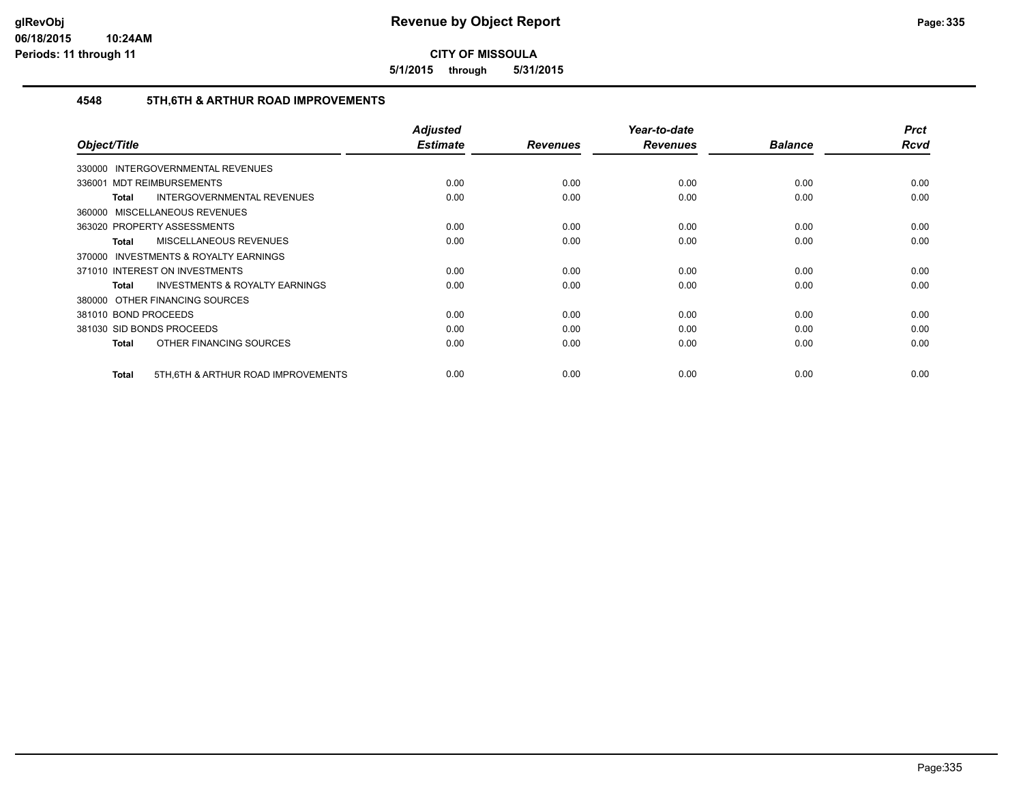**5/1/2015 through 5/31/2015**

### **4548 5TH,6TH & ARTHUR ROAD IMPROVEMENTS**

| Object/Title                                              | <b>Adjusted</b><br><b>Estimate</b> | <b>Revenues</b> | Year-to-date<br><b>Revenues</b> | <b>Balance</b> | <b>Prct</b><br><b>Rcvd</b> |
|-----------------------------------------------------------|------------------------------------|-----------------|---------------------------------|----------------|----------------------------|
| <b>INTERGOVERNMENTAL REVENUES</b><br>330000               |                                    |                 |                                 |                |                            |
| 336001 MDT REIMBURSEMENTS                                 | 0.00                               | 0.00            | 0.00                            | 0.00           | 0.00                       |
| <b>INTERGOVERNMENTAL REVENUES</b><br><b>Total</b>         | 0.00                               | 0.00            | 0.00                            | 0.00           | 0.00                       |
| 360000 MISCELLANEOUS REVENUES                             |                                    |                 |                                 |                |                            |
| 363020 PROPERTY ASSESSMENTS                               | 0.00                               | 0.00            | 0.00                            | 0.00           | 0.00                       |
| <b>MISCELLANEOUS REVENUES</b><br><b>Total</b>             | 0.00                               | 0.00            | 0.00                            | 0.00           | 0.00                       |
| 370000 INVESTMENTS & ROYALTY EARNINGS                     |                                    |                 |                                 |                |                            |
| 371010 INTEREST ON INVESTMENTS                            | 0.00                               | 0.00            | 0.00                            | 0.00           | 0.00                       |
| <b>INVESTMENTS &amp; ROYALTY EARNINGS</b><br><b>Total</b> | 0.00                               | 0.00            | 0.00                            | 0.00           | 0.00                       |
| 380000 OTHER FINANCING SOURCES                            |                                    |                 |                                 |                |                            |
| 381010 BOND PROCEEDS                                      | 0.00                               | 0.00            | 0.00                            | 0.00           | 0.00                       |
| 381030 SID BONDS PROCEEDS                                 | 0.00                               | 0.00            | 0.00                            | 0.00           | 0.00                       |
| OTHER FINANCING SOURCES<br><b>Total</b>                   | 0.00                               | 0.00            | 0.00                            | 0.00           | 0.00                       |
| 5TH, 6TH & ARTHUR ROAD IMPROVEMENTS<br>Total              | 0.00                               | 0.00            | 0.00                            | 0.00           | 0.00                       |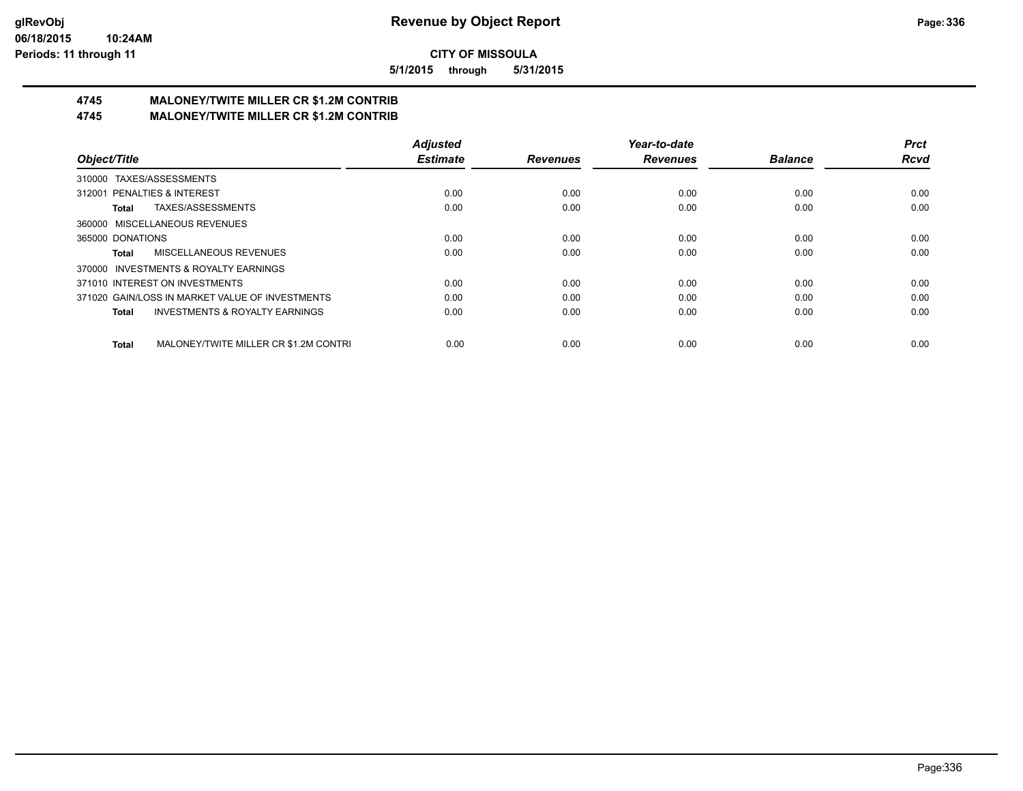**5/1/2015 through 5/31/2015**

# **4745 MALONEY/TWITE MILLER CR \$1.2M CONTRIB**

**4745 MALONEY/TWITE MILLER CR \$1.2M CONTRIB**

|                                                           | <b>Adjusted</b> |                 | Year-to-date    |                | <b>Prct</b> |
|-----------------------------------------------------------|-----------------|-----------------|-----------------|----------------|-------------|
| Object/Title                                              | <b>Estimate</b> | <b>Revenues</b> | <b>Revenues</b> | <b>Balance</b> | <b>Rcvd</b> |
| 310000 TAXES/ASSESSMENTS                                  |                 |                 |                 |                |             |
| 312001 PENALTIES & INTEREST                               | 0.00            | 0.00            | 0.00            | 0.00           | 0.00        |
| TAXES/ASSESSMENTS<br>Total                                | 0.00            | 0.00            | 0.00            | 0.00           | 0.00        |
| 360000 MISCELLANEOUS REVENUES                             |                 |                 |                 |                |             |
| 365000 DONATIONS                                          | 0.00            | 0.00            | 0.00            | 0.00           | 0.00        |
| MISCELLANEOUS REVENUES<br>Total                           | 0.00            | 0.00            | 0.00            | 0.00           | 0.00        |
| 370000 INVESTMENTS & ROYALTY EARNINGS                     |                 |                 |                 |                |             |
| 371010 INTEREST ON INVESTMENTS                            | 0.00            | 0.00            | 0.00            | 0.00           | 0.00        |
| 371020 GAIN/LOSS IN MARKET VALUE OF INVESTMENTS           | 0.00            | 0.00            | 0.00            | 0.00           | 0.00        |
| <b>INVESTMENTS &amp; ROYALTY EARNINGS</b><br><b>Total</b> | 0.00            | 0.00            | 0.00            | 0.00           | 0.00        |
| MALONEY/TWITE MILLER CR \$1.2M CONTRI<br><b>Total</b>     | 0.00            | 0.00            | 0.00            | 0.00           | 0.00        |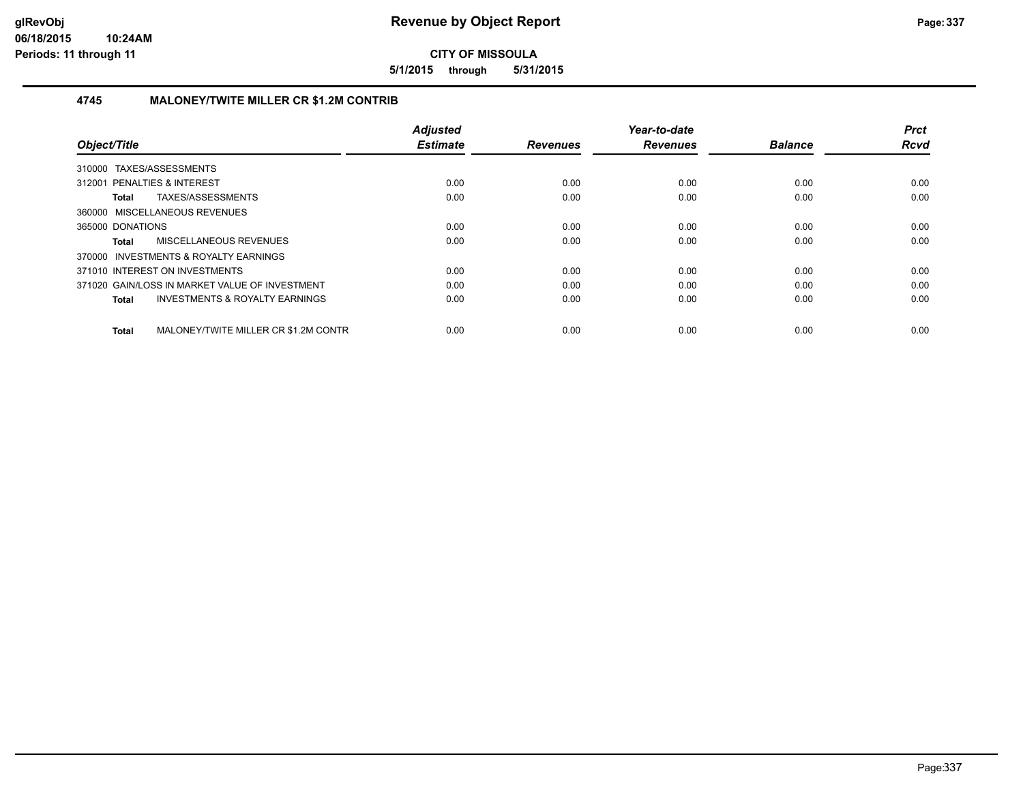**5/1/2015 through 5/31/2015**

### **4745 MALONEY/TWITE MILLER CR \$1.2M CONTRIB**

| Object/Title                                       | <b>Adjusted</b><br><b>Estimate</b> | <b>Revenues</b> | Year-to-date<br><b>Revenues</b> | <b>Balance</b> | <b>Prct</b><br><b>Rcvd</b> |
|----------------------------------------------------|------------------------------------|-----------------|---------------------------------|----------------|----------------------------|
| 310000 TAXES/ASSESSMENTS                           |                                    |                 |                                 |                |                            |
|                                                    |                                    |                 |                                 |                |                            |
| 312001 PENALTIES & INTEREST                        | 0.00                               | 0.00            | 0.00                            | 0.00           | 0.00                       |
| TAXES/ASSESSMENTS<br>Total                         | 0.00                               | 0.00            | 0.00                            | 0.00           | 0.00                       |
| 360000 MISCELLANEOUS REVENUES                      |                                    |                 |                                 |                |                            |
| 365000 DONATIONS                                   | 0.00                               | 0.00            | 0.00                            | 0.00           | 0.00                       |
| MISCELLANEOUS REVENUES<br>Total                    | 0.00                               | 0.00            | 0.00                            | 0.00           | 0.00                       |
| 370000 INVESTMENTS & ROYALTY EARNINGS              |                                    |                 |                                 |                |                            |
| 371010 INTEREST ON INVESTMENTS                     | 0.00                               | 0.00            | 0.00                            | 0.00           | 0.00                       |
| 371020 GAIN/LOSS IN MARKET VALUE OF INVESTMENT     | 0.00                               | 0.00            | 0.00                            | 0.00           | 0.00                       |
| <b>INVESTMENTS &amp; ROYALTY EARNINGS</b><br>Total | 0.00                               | 0.00            | 0.00                            | 0.00           | 0.00                       |
| MALONEY/TWITE MILLER CR \$1.2M CONTR<br>Total      | 0.00                               | 0.00            | 0.00                            | 0.00           | 0.00                       |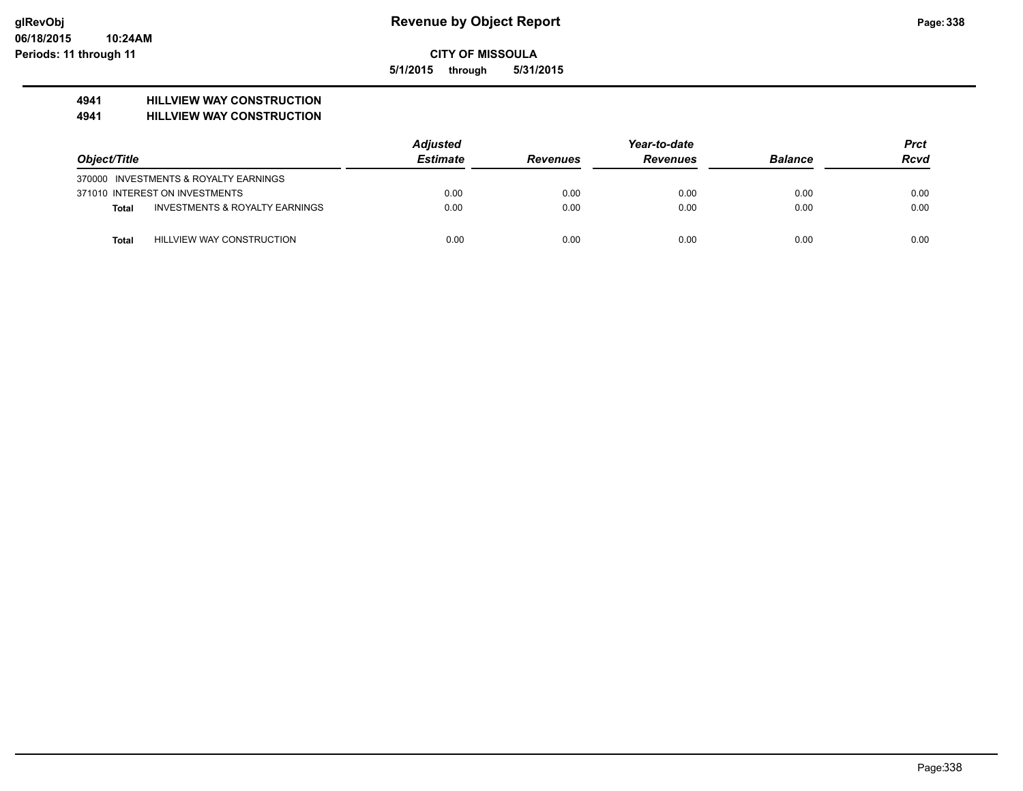**5/1/2015 through 5/31/2015**

# **4941 HILLVIEW WAY CONSTRUCTION**

**4941 HILLVIEW WAY CONSTRUCTION**

|              |                                           | <b>Adjusted</b> |                 | Year-to-date    |                | Prct |
|--------------|-------------------------------------------|-----------------|-----------------|-----------------|----------------|------|
| Object/Title |                                           | <b>Estimate</b> | <b>Revenues</b> | <b>Revenues</b> | <b>Balance</b> | Rcvd |
|              | 370000 INVESTMENTS & ROYALTY EARNINGS     |                 |                 |                 |                |      |
|              | 371010 INTEREST ON INVESTMENTS            | 0.00            | 0.00            | 0.00            | 0.00           | 0.00 |
| Total        | <b>INVESTMENTS &amp; ROYALTY EARNINGS</b> | 0.00            | 0.00            | 0.00            | 0.00           | 0.00 |
| <b>Total</b> | HILLVIEW WAY CONSTRUCTION                 | 0.00            | 0.00            | 0.00            | 0.00           | 0.00 |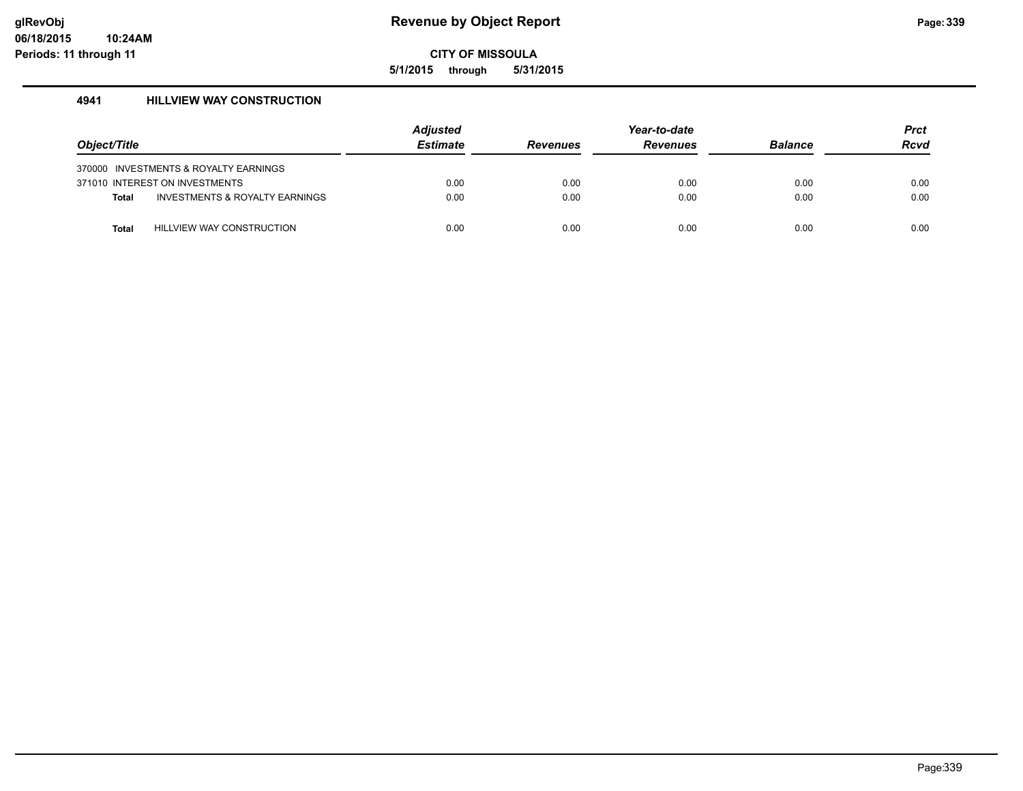**5/1/2015 through 5/31/2015**

## **4941 HILLVIEW WAY CONSTRUCTION**

| Object/Title |                                       | <b>Adjusted</b><br><b>Estimate</b> | <b>Revenues</b> | Year-to-date<br><b>Revenues</b> | <b>Balance</b> | <b>Prct</b><br><b>Rcvd</b> |
|--------------|---------------------------------------|------------------------------------|-----------------|---------------------------------|----------------|----------------------------|
|              | 370000 INVESTMENTS & ROYALTY EARNINGS |                                    |                 |                                 |                |                            |
|              | 371010 INTEREST ON INVESTMENTS        | 0.00                               | 0.00            | 0.00                            | 0.00           | 0.00                       |
| <b>Total</b> | INVESTMENTS & ROYALTY EARNINGS        | 0.00                               | 0.00            | 0.00                            | 0.00           | 0.00                       |
|              |                                       |                                    |                 |                                 |                |                            |
| Total        | HILLVIEW WAY CONSTRUCTION             | 0.00                               | 0.00            | 0.00                            | 0.00           | 0.00                       |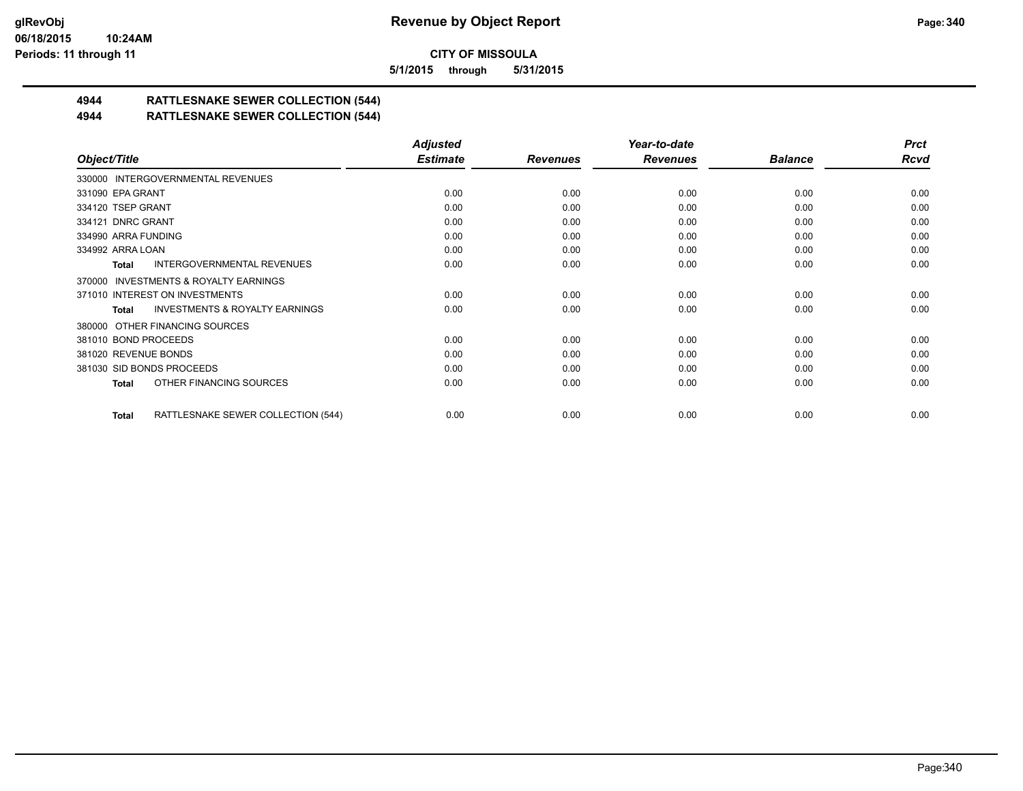**5/1/2015 through 5/31/2015**

# **4944 RATTLESNAKE SEWER COLLECTION (544)**

# **4944 RATTLESNAKE SEWER COLLECTION (544)**

|                                                    | <b>Adjusted</b> |                 | Year-to-date    |                | <b>Prct</b> |
|----------------------------------------------------|-----------------|-----------------|-----------------|----------------|-------------|
| Object/Title                                       | <b>Estimate</b> | <b>Revenues</b> | <b>Revenues</b> | <b>Balance</b> | <b>Rcvd</b> |
| 330000 INTERGOVERNMENTAL REVENUES                  |                 |                 |                 |                |             |
| 331090 EPA GRANT                                   | 0.00            | 0.00            | 0.00            | 0.00           | 0.00        |
| 334120 TSEP GRANT                                  | 0.00            | 0.00            | 0.00            | 0.00           | 0.00        |
| 334121 DNRC GRANT                                  | 0.00            | 0.00            | 0.00            | 0.00           | 0.00        |
| 334990 ARRA FUNDING                                | 0.00            | 0.00            | 0.00            | 0.00           | 0.00        |
| 334992 ARRA LOAN                                   | 0.00            | 0.00            | 0.00            | 0.00           | 0.00        |
| <b>INTERGOVERNMENTAL REVENUES</b><br>Total         | 0.00            | 0.00            | 0.00            | 0.00           | 0.00        |
| 370000 INVESTMENTS & ROYALTY EARNINGS              |                 |                 |                 |                |             |
| 371010 INTEREST ON INVESTMENTS                     | 0.00            | 0.00            | 0.00            | 0.00           | 0.00        |
| <b>INVESTMENTS &amp; ROYALTY EARNINGS</b><br>Total | 0.00            | 0.00            | 0.00            | 0.00           | 0.00        |
| 380000 OTHER FINANCING SOURCES                     |                 |                 |                 |                |             |
| 381010 BOND PROCEEDS                               | 0.00            | 0.00            | 0.00            | 0.00           | 0.00        |
| 381020 REVENUE BONDS                               | 0.00            | 0.00            | 0.00            | 0.00           | 0.00        |
| 381030 SID BONDS PROCEEDS                          | 0.00            | 0.00            | 0.00            | 0.00           | 0.00        |
| OTHER FINANCING SOURCES<br>Total                   | 0.00            | 0.00            | 0.00            | 0.00           | 0.00        |
| RATTLESNAKE SEWER COLLECTION (544)<br>Total        | 0.00            | 0.00            | 0.00            | 0.00           | 0.00        |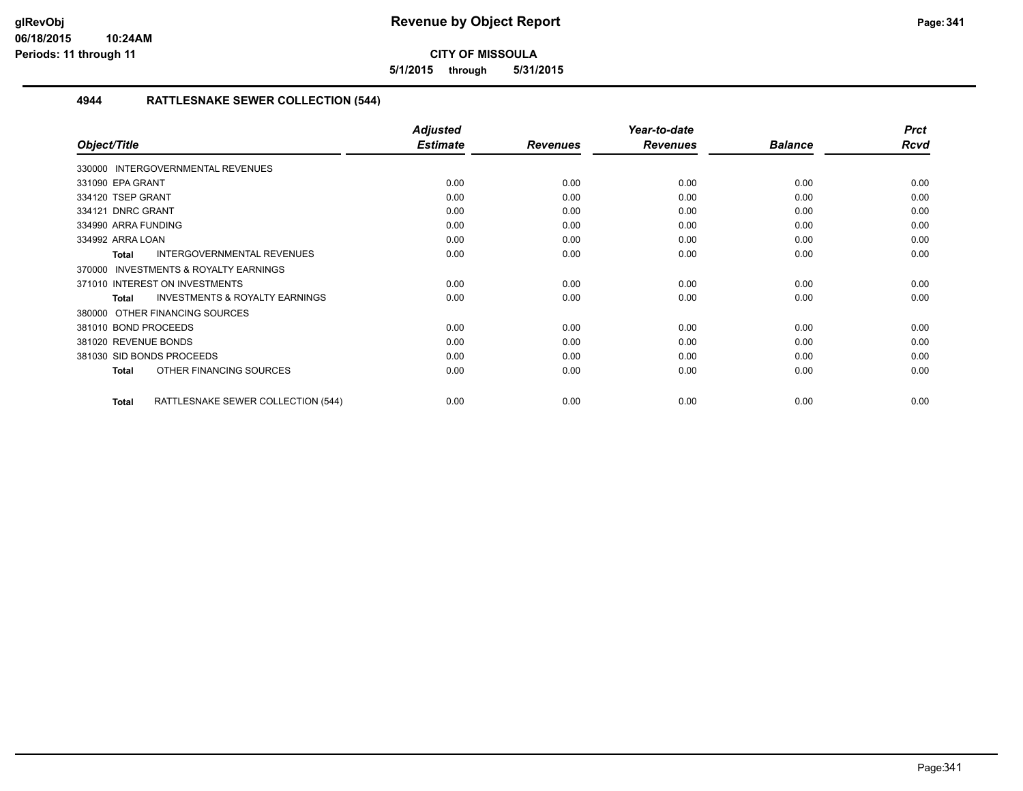**5/1/2015 through 5/31/2015**

# **4944 RATTLESNAKE SEWER COLLECTION (544)**

|                                                           | <b>Adjusted</b> |                 | Year-to-date    |                | <b>Prct</b> |
|-----------------------------------------------------------|-----------------|-----------------|-----------------|----------------|-------------|
| Object/Title                                              | <b>Estimate</b> | <b>Revenues</b> | <b>Revenues</b> | <b>Balance</b> | <b>Rcvd</b> |
| 330000 INTERGOVERNMENTAL REVENUES                         |                 |                 |                 |                |             |
| 331090 EPA GRANT                                          | 0.00            | 0.00            | 0.00            | 0.00           | 0.00        |
| 334120 TSEP GRANT                                         | 0.00            | 0.00            | 0.00            | 0.00           | 0.00        |
| 334121 DNRC GRANT                                         | 0.00            | 0.00            | 0.00            | 0.00           | 0.00        |
| 334990 ARRA FUNDING                                       | 0.00            | 0.00            | 0.00            | 0.00           | 0.00        |
| 334992 ARRA LOAN                                          | 0.00            | 0.00            | 0.00            | 0.00           | 0.00        |
| INTERGOVERNMENTAL REVENUES<br><b>Total</b>                | 0.00            | 0.00            | 0.00            | 0.00           | 0.00        |
| <b>INVESTMENTS &amp; ROYALTY EARNINGS</b><br>370000       |                 |                 |                 |                |             |
| 371010 INTEREST ON INVESTMENTS                            | 0.00            | 0.00            | 0.00            | 0.00           | 0.00        |
| <b>INVESTMENTS &amp; ROYALTY EARNINGS</b><br><b>Total</b> | 0.00            | 0.00            | 0.00            | 0.00           | 0.00        |
| OTHER FINANCING SOURCES<br>380000                         |                 |                 |                 |                |             |
| 381010 BOND PROCEEDS                                      | 0.00            | 0.00            | 0.00            | 0.00           | 0.00        |
| 381020 REVENUE BONDS                                      | 0.00            | 0.00            | 0.00            | 0.00           | 0.00        |
| 381030 SID BONDS PROCEEDS                                 | 0.00            | 0.00            | 0.00            | 0.00           | 0.00        |
| OTHER FINANCING SOURCES<br><b>Total</b>                   | 0.00            | 0.00            | 0.00            | 0.00           | 0.00        |
| RATTLESNAKE SEWER COLLECTION (544)<br>Total               | 0.00            | 0.00            | 0.00            | 0.00           | 0.00        |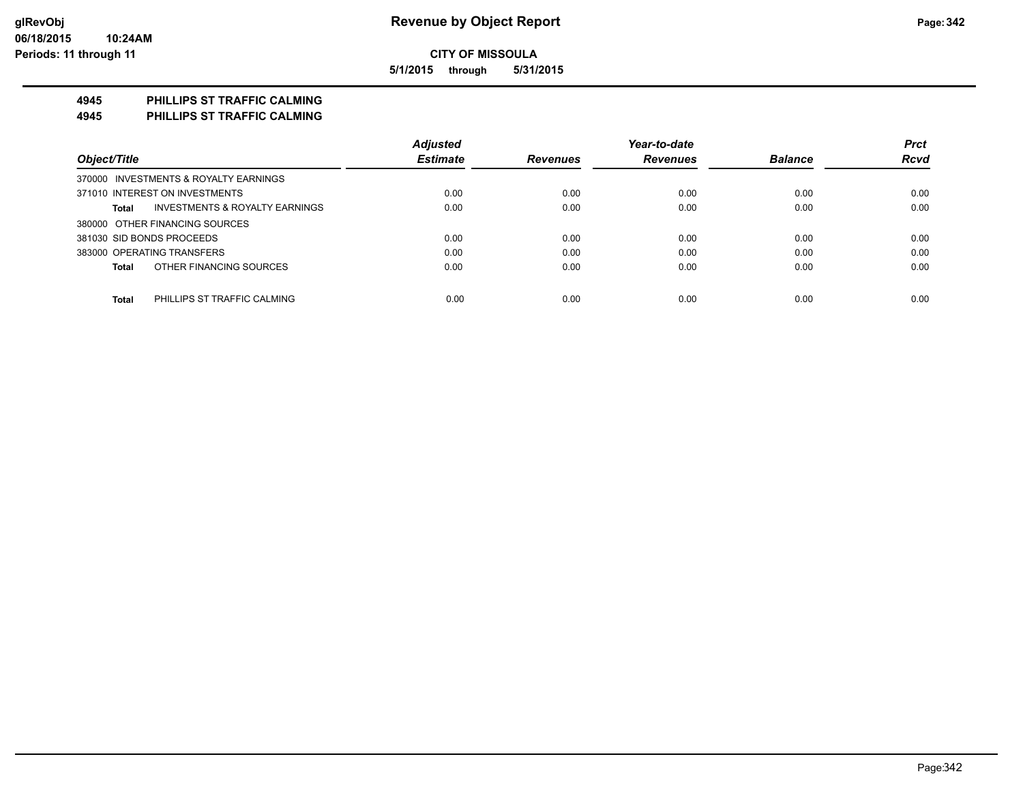**5/1/2015 through 5/31/2015**

## **4945 PHILLIPS ST TRAFFIC CALMING**

**4945 PHILLIPS ST TRAFFIC CALMING**

|                                                    | <b>Adjusted</b> |                 | Year-to-date    |                | <b>Prct</b> |
|----------------------------------------------------|-----------------|-----------------|-----------------|----------------|-------------|
| Object/Title                                       | <b>Estimate</b> | <b>Revenues</b> | <b>Revenues</b> | <b>Balance</b> | <b>Rcvd</b> |
| 370000 INVESTMENTS & ROYALTY EARNINGS              |                 |                 |                 |                |             |
| 371010 INTEREST ON INVESTMENTS                     | 0.00            | 0.00            | 0.00            | 0.00           | 0.00        |
| <b>INVESTMENTS &amp; ROYALTY EARNINGS</b><br>Total | 0.00            | 0.00            | 0.00            | 0.00           | 0.00        |
| 380000 OTHER FINANCING SOURCES                     |                 |                 |                 |                |             |
| 381030 SID BONDS PROCEEDS                          | 0.00            | 0.00            | 0.00            | 0.00           | 0.00        |
| 383000 OPERATING TRANSFERS                         | 0.00            | 0.00            | 0.00            | 0.00           | 0.00        |
| OTHER FINANCING SOURCES<br><b>Total</b>            | 0.00            | 0.00            | 0.00            | 0.00           | 0.00        |
|                                                    |                 |                 |                 |                |             |
| <b>Total</b><br>PHILLIPS ST TRAFFIC CALMING        | 0.00            | 0.00            | 0.00            | 0.00           | 0.00        |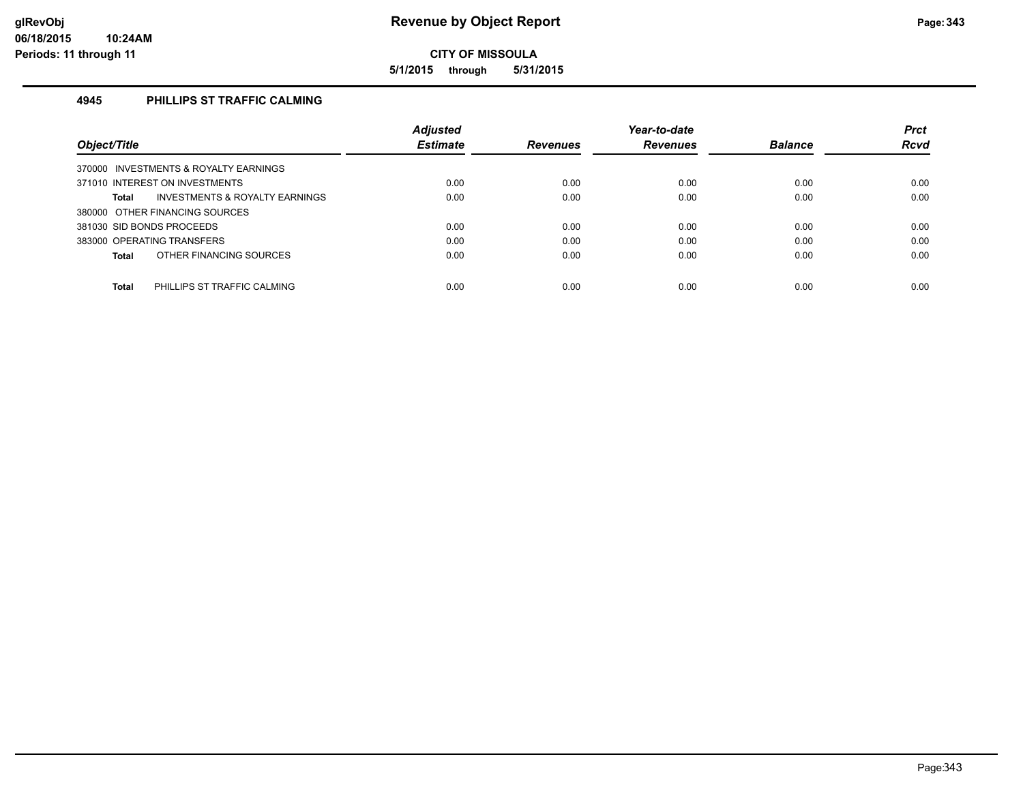**5/1/2015 through 5/31/2015**

# **4945 PHILLIPS ST TRAFFIC CALMING**

|                                                    | <b>Adjusted</b> |                 | Year-to-date    |                | <b>Prct</b> |
|----------------------------------------------------|-----------------|-----------------|-----------------|----------------|-------------|
| Object/Title                                       | <b>Estimate</b> | <b>Revenues</b> | <b>Revenues</b> | <b>Balance</b> | <b>Rcvd</b> |
| 370000 INVESTMENTS & ROYALTY EARNINGS              |                 |                 |                 |                |             |
| 371010 INTEREST ON INVESTMENTS                     | 0.00            | 0.00            | 0.00            | 0.00           | 0.00        |
| <b>INVESTMENTS &amp; ROYALTY EARNINGS</b><br>Total | 0.00            | 0.00            | 0.00            | 0.00           | 0.00        |
| 380000 OTHER FINANCING SOURCES                     |                 |                 |                 |                |             |
| 381030 SID BONDS PROCEEDS                          | 0.00            | 0.00            | 0.00            | 0.00           | 0.00        |
| 383000 OPERATING TRANSFERS                         | 0.00            | 0.00            | 0.00            | 0.00           | 0.00        |
| OTHER FINANCING SOURCES<br>Total                   | 0.00            | 0.00            | 0.00            | 0.00           | 0.00        |
|                                                    |                 |                 |                 |                |             |
| <b>Total</b><br>PHILLIPS ST TRAFFIC CALMING        | 0.00            | 0.00            | 0.00            | 0.00           | 0.00        |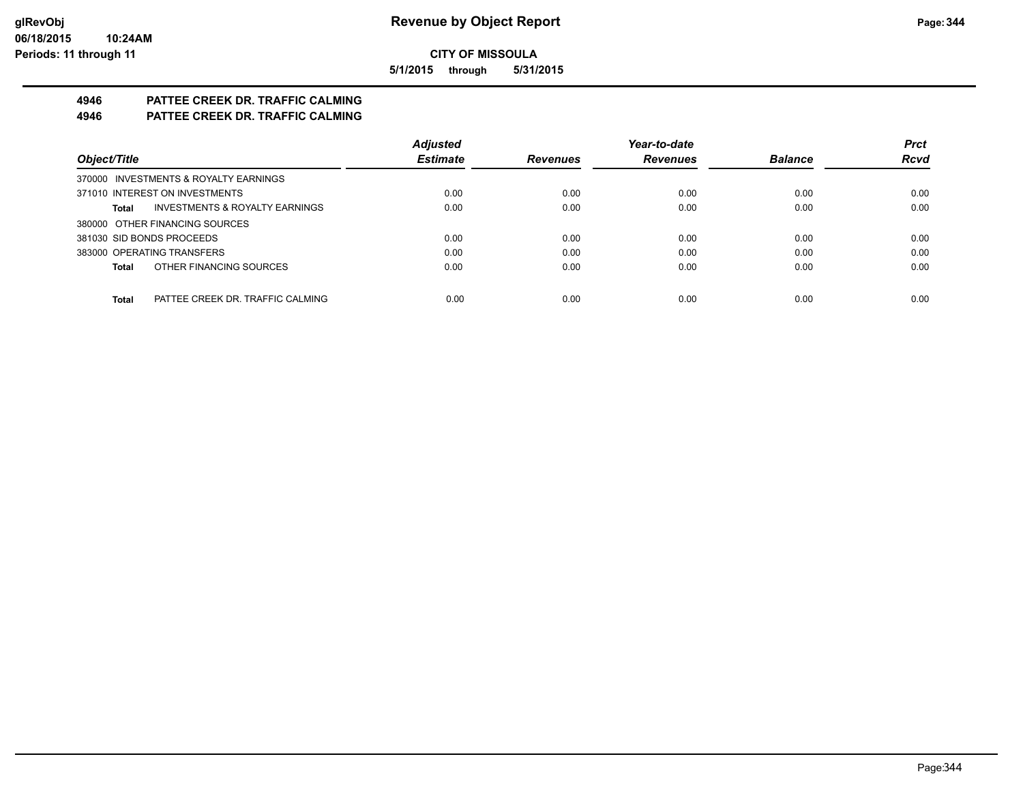**5/1/2015 through 5/31/2015**

# **4946 PATTEE CREEK DR. TRAFFIC CALMING**

**4946 PATTEE CREEK DR. TRAFFIC CALMING**

|                                                  | <b>Adjusted</b> |                 | Year-to-date    |                | <b>Prct</b> |
|--------------------------------------------------|-----------------|-----------------|-----------------|----------------|-------------|
| Object/Title                                     | <b>Estimate</b> | <b>Revenues</b> | <b>Revenues</b> | <b>Balance</b> | <b>Rcvd</b> |
| 370000 INVESTMENTS & ROYALTY EARNINGS            |                 |                 |                 |                |             |
| 371010 INTEREST ON INVESTMENTS                   | 0.00            | 0.00            | 0.00            | 0.00           | 0.00        |
| INVESTMENTS & ROYALTY EARNINGS<br>Total          | 0.00            | 0.00            | 0.00            | 0.00           | 0.00        |
| 380000 OTHER FINANCING SOURCES                   |                 |                 |                 |                |             |
| 381030 SID BONDS PROCEEDS                        | 0.00            | 0.00            | 0.00            | 0.00           | 0.00        |
| 383000 OPERATING TRANSFERS                       | 0.00            | 0.00            | 0.00            | 0.00           | 0.00        |
| OTHER FINANCING SOURCES<br>Total                 | 0.00            | 0.00            | 0.00            | 0.00           | 0.00        |
|                                                  |                 |                 |                 |                |             |
| <b>Total</b><br>PATTEE CREEK DR. TRAFFIC CALMING | 0.00            | 0.00            | 0.00            | 0.00           | 0.00        |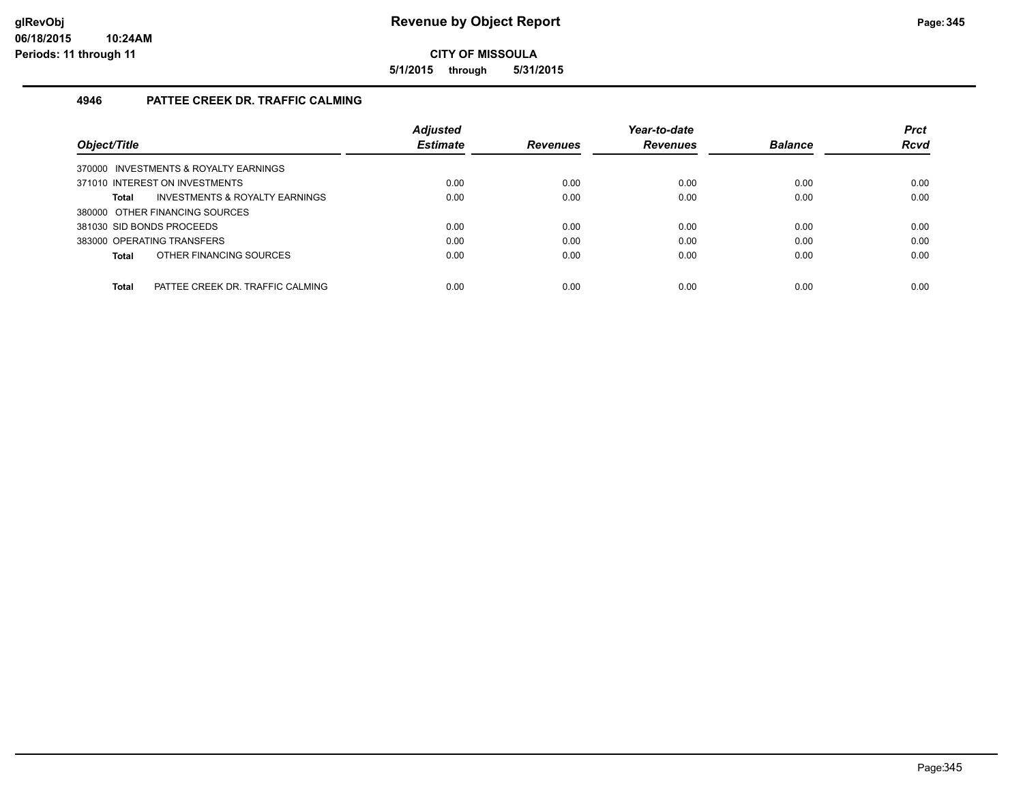**5/1/2015 through 5/31/2015**

# **4946 PATTEE CREEK DR. TRAFFIC CALMING**

|                                                  | <b>Adjusted</b> |                 | Year-to-date    |                | <b>Prct</b> |
|--------------------------------------------------|-----------------|-----------------|-----------------|----------------|-------------|
| Object/Title                                     | <b>Estimate</b> | <b>Revenues</b> | <b>Revenues</b> | <b>Balance</b> | <b>Rcvd</b> |
| 370000 INVESTMENTS & ROYALTY EARNINGS            |                 |                 |                 |                |             |
| 371010 INTEREST ON INVESTMENTS                   | 0.00            | 0.00            | 0.00            | 0.00           | 0.00        |
| INVESTMENTS & ROYALTY EARNINGS<br>Total          | 0.00            | 0.00            | 0.00            | 0.00           | 0.00        |
| 380000 OTHER FINANCING SOURCES                   |                 |                 |                 |                |             |
| 381030 SID BONDS PROCEEDS                        | 0.00            | 0.00            | 0.00            | 0.00           | 0.00        |
| 383000 OPERATING TRANSFERS                       | 0.00            | 0.00            | 0.00            | 0.00           | 0.00        |
| OTHER FINANCING SOURCES<br>Total                 | 0.00            | 0.00            | 0.00            | 0.00           | 0.00        |
|                                                  |                 |                 |                 |                |             |
| <b>Total</b><br>PATTEE CREEK DR. TRAFFIC CALMING | 0.00            | 0.00            | 0.00            | 0.00           | 0.00        |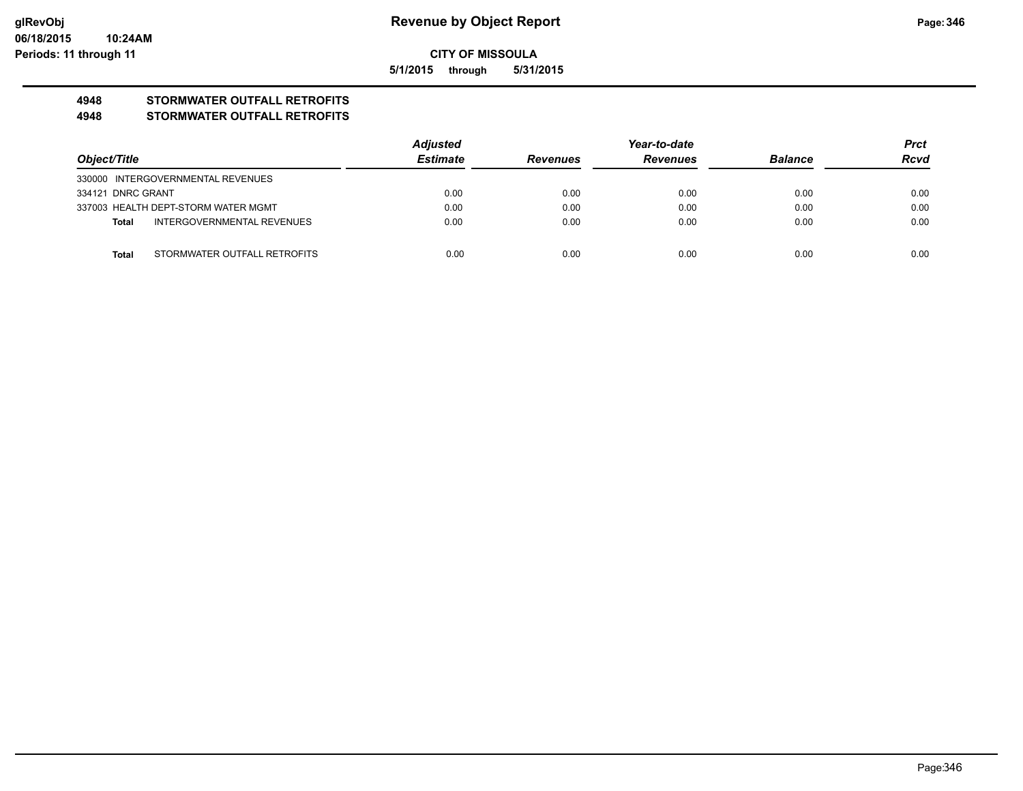**5/1/2015 through 5/31/2015**

# **4948 STORMWATER OUTFALL RETROFITS**

#### **4948 STORMWATER OUTFALL RETROFITS**

|                   |                                     | <b>Adjusted</b> |                 | Year-to-date    |                | <b>Prct</b> |
|-------------------|-------------------------------------|-----------------|-----------------|-----------------|----------------|-------------|
| Object/Title      |                                     | <b>Estimate</b> | <b>Revenues</b> | <b>Revenues</b> | <b>Balance</b> | <b>Rcvd</b> |
|                   | 330000 INTERGOVERNMENTAL REVENUES   |                 |                 |                 |                |             |
| 334121 DNRC GRANT |                                     | 0.00            | 0.00            | 0.00            | 0.00           | 0.00        |
|                   | 337003 HEALTH DEPT-STORM WATER MGMT | 0.00            | 0.00            | 0.00            | 0.00           | 0.00        |
| Total             | <b>INTERGOVERNMENTAL REVENUES</b>   | 0.00            | 0.00            | 0.00            | 0.00           | 0.00        |
|                   |                                     |                 |                 |                 |                |             |
| Total             | STORMWATER OUTFALL RETROFITS        | 0.00            | 0.00            | 0.00            | 0.00           | 0.00        |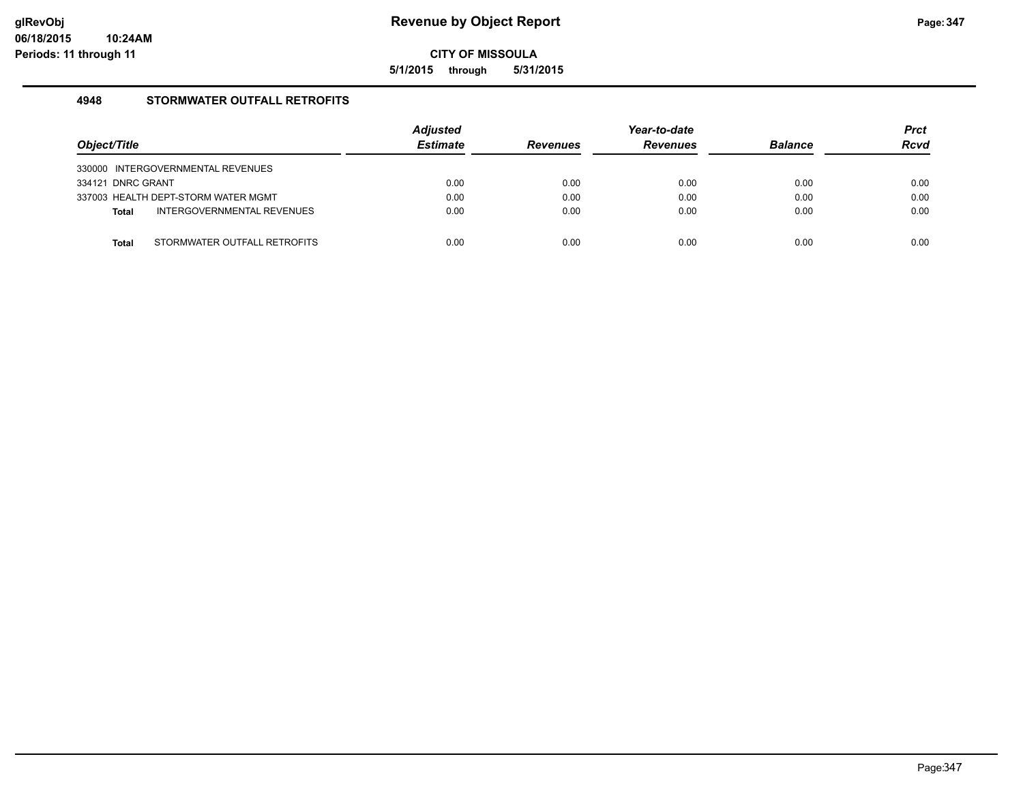**5/1/2015 through 5/31/2015**

## **4948 STORMWATER OUTFALL RETROFITS**

| Object/Title      |                                     | <b>Adjusted</b><br><b>Estimate</b> | <b>Revenues</b> | Year-to-date<br><b>Revenues</b> | <b>Balance</b> | <b>Prct</b><br><b>Rcvd</b> |
|-------------------|-------------------------------------|------------------------------------|-----------------|---------------------------------|----------------|----------------------------|
|                   | 330000 INTERGOVERNMENTAL REVENUES   |                                    |                 |                                 |                |                            |
| 334121 DNRC GRANT |                                     | 0.00                               | 0.00            | 0.00                            | 0.00           | 0.00                       |
|                   | 337003 HEALTH DEPT-STORM WATER MGMT | 0.00                               | 0.00            | 0.00                            | 0.00           | 0.00                       |
| <b>Total</b>      | INTERGOVERNMENTAL REVENUES          | 0.00                               | 0.00            | 0.00                            | 0.00           | 0.00                       |
|                   |                                     |                                    |                 |                                 |                |                            |
| Total             | STORMWATER OUTFALL RETROFITS        | 0.00                               | 0.00            | 0.00                            | 0.00           | 0.00                       |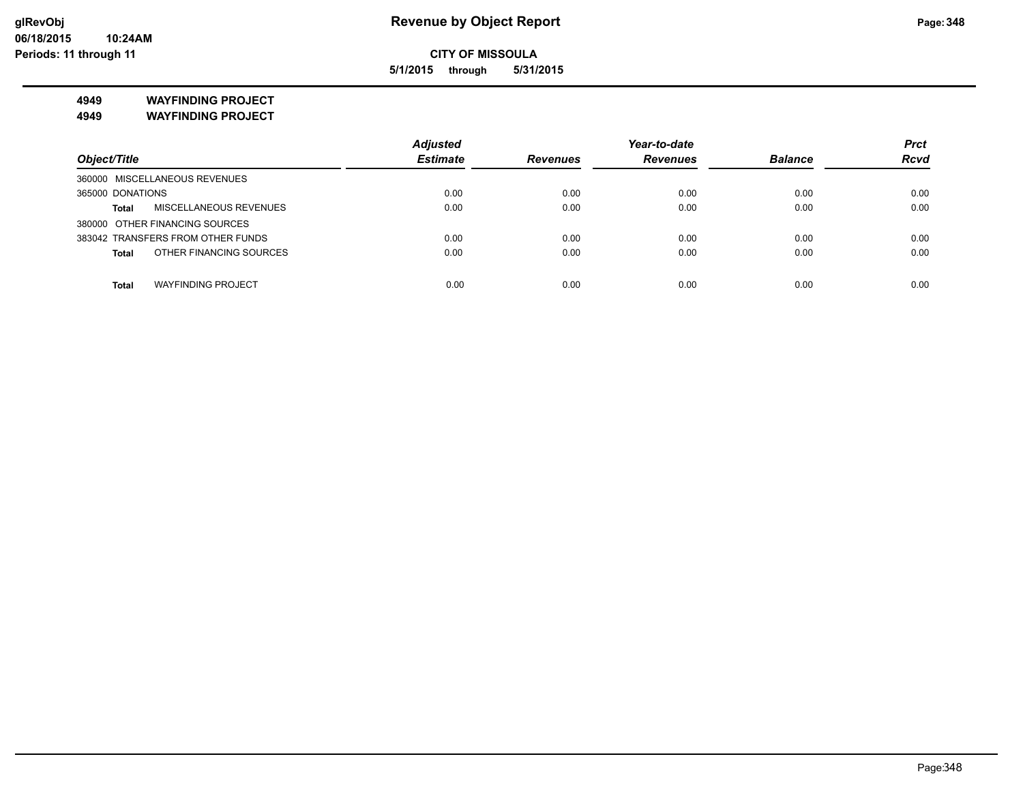**5/1/2015 through 5/31/2015**

**4949 WAYFINDING PROJECT**

**4949 WAYFINDING PROJECT**

|                                           | <b>Adjusted</b> |                 | Year-to-date    |                | <b>Prct</b> |
|-------------------------------------------|-----------------|-----------------|-----------------|----------------|-------------|
| Object/Title                              | <b>Estimate</b> | <b>Revenues</b> | <b>Revenues</b> | <b>Balance</b> | <b>Rcvd</b> |
| 360000 MISCELLANEOUS REVENUES             |                 |                 |                 |                |             |
| 365000 DONATIONS                          | 0.00            | 0.00            | 0.00            | 0.00           | 0.00        |
| MISCELLANEOUS REVENUES<br><b>Total</b>    | 0.00            | 0.00            | 0.00            | 0.00           | 0.00        |
| 380000 OTHER FINANCING SOURCES            |                 |                 |                 |                |             |
| 383042 TRANSFERS FROM OTHER FUNDS         | 0.00            | 0.00            | 0.00            | 0.00           | 0.00        |
| OTHER FINANCING SOURCES<br>Total          | 0.00            | 0.00            | 0.00            | 0.00           | 0.00        |
| <b>WAYFINDING PROJECT</b><br><b>Total</b> | 0.00            | 0.00            | 0.00            | 0.00           | 0.00        |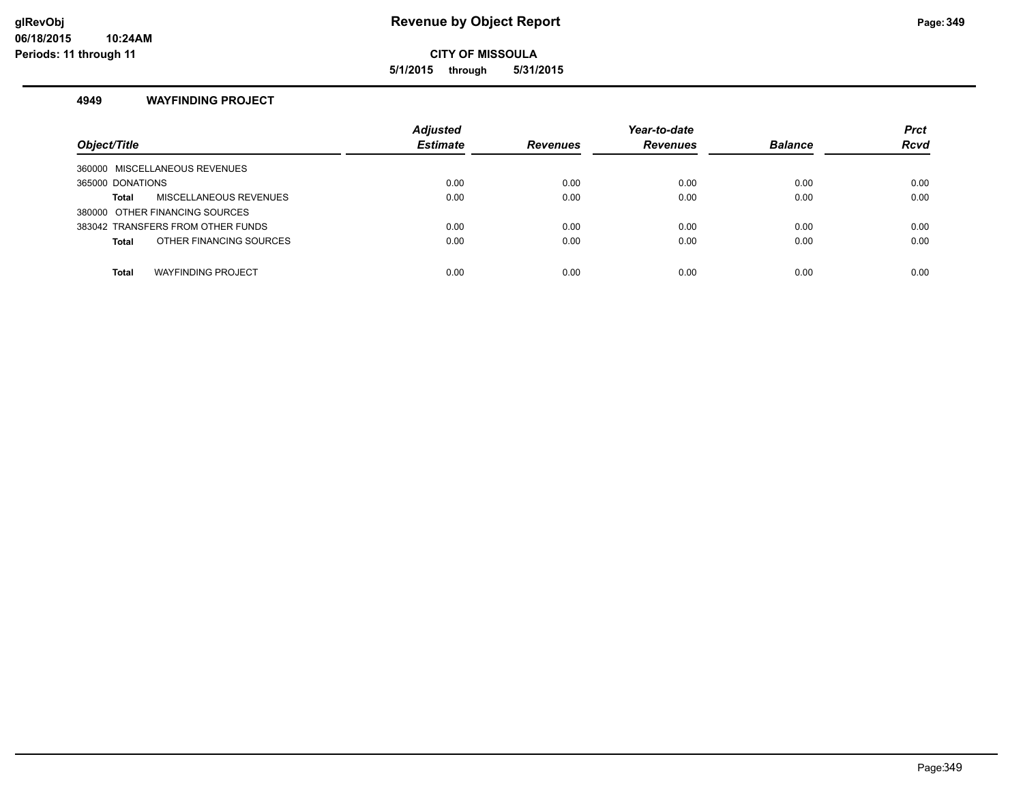**5/1/2015 through 5/31/2015**

#### **4949 WAYFINDING PROJECT**

| Object/Title                            | <b>Adjusted</b><br><b>Estimate</b> | <b>Revenues</b> | Year-to-date<br><b>Revenues</b> | <b>Balance</b> | <b>Prct</b><br><b>Rcvd</b> |
|-----------------------------------------|------------------------------------|-----------------|---------------------------------|----------------|----------------------------|
| MISCELLANEOUS REVENUES<br>360000        |                                    |                 |                                 |                |                            |
| 365000 DONATIONS                        | 0.00                               | 0.00            | 0.00                            | 0.00           | 0.00                       |
| MISCELLANEOUS REVENUES<br>Total         | 0.00                               | 0.00            | 0.00                            | 0.00           | 0.00                       |
| 380000 OTHER FINANCING SOURCES          |                                    |                 |                                 |                |                            |
| 383042 TRANSFERS FROM OTHER FUNDS       | 0.00                               | 0.00            | 0.00                            | 0.00           | 0.00                       |
| OTHER FINANCING SOURCES<br><b>Total</b> | 0.00                               | 0.00            | 0.00                            | 0.00           | 0.00                       |
|                                         |                                    |                 |                                 |                |                            |
| <b>WAYFINDING PROJECT</b><br>Total      | 0.00                               | 0.00            | 0.00                            | 0.00           | 0.00                       |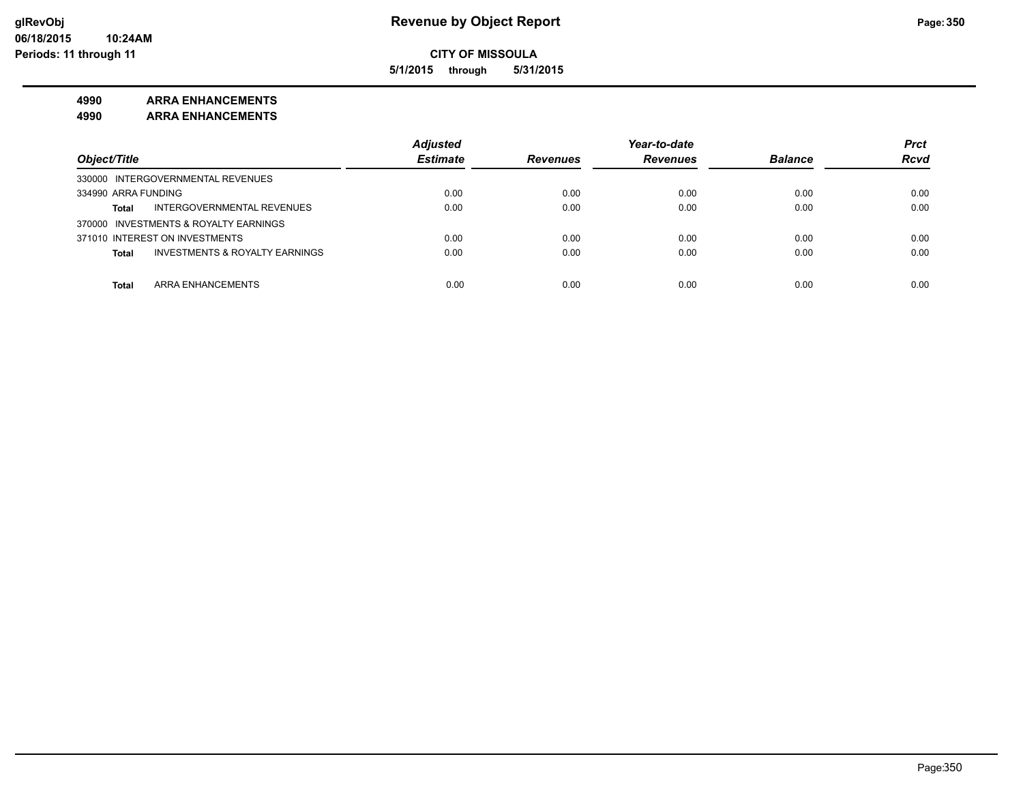**5/1/2015 through 5/31/2015**

# **4990 ARRA ENHANCEMENTS**

**4990 ARRA ENHANCEMENTS**

|                                                           | <b>Adjusted</b> |                 | Year-to-date    |                | <b>Prct</b> |
|-----------------------------------------------------------|-----------------|-----------------|-----------------|----------------|-------------|
| Object/Title                                              | <b>Estimate</b> | <b>Revenues</b> | <b>Revenues</b> | <b>Balance</b> | <b>Rcvd</b> |
| 330000 INTERGOVERNMENTAL REVENUES                         |                 |                 |                 |                |             |
| 334990 ARRA FUNDING                                       | 0.00            | 0.00            | 0.00            | 0.00           | 0.00        |
| INTERGOVERNMENTAL REVENUES<br><b>Total</b>                | 0.00            | 0.00            | 0.00            | 0.00           | 0.00        |
| 370000 INVESTMENTS & ROYALTY EARNINGS                     |                 |                 |                 |                |             |
| 371010 INTEREST ON INVESTMENTS                            | 0.00            | 0.00            | 0.00            | 0.00           | 0.00        |
| <b>INVESTMENTS &amp; ROYALTY EARNINGS</b><br><b>Total</b> | 0.00            | 0.00            | 0.00            | 0.00           | 0.00        |
|                                                           |                 |                 |                 |                |             |
| ARRA ENHANCEMENTS<br>Total                                | 0.00            | 0.00            | 0.00            | 0.00           | 0.00        |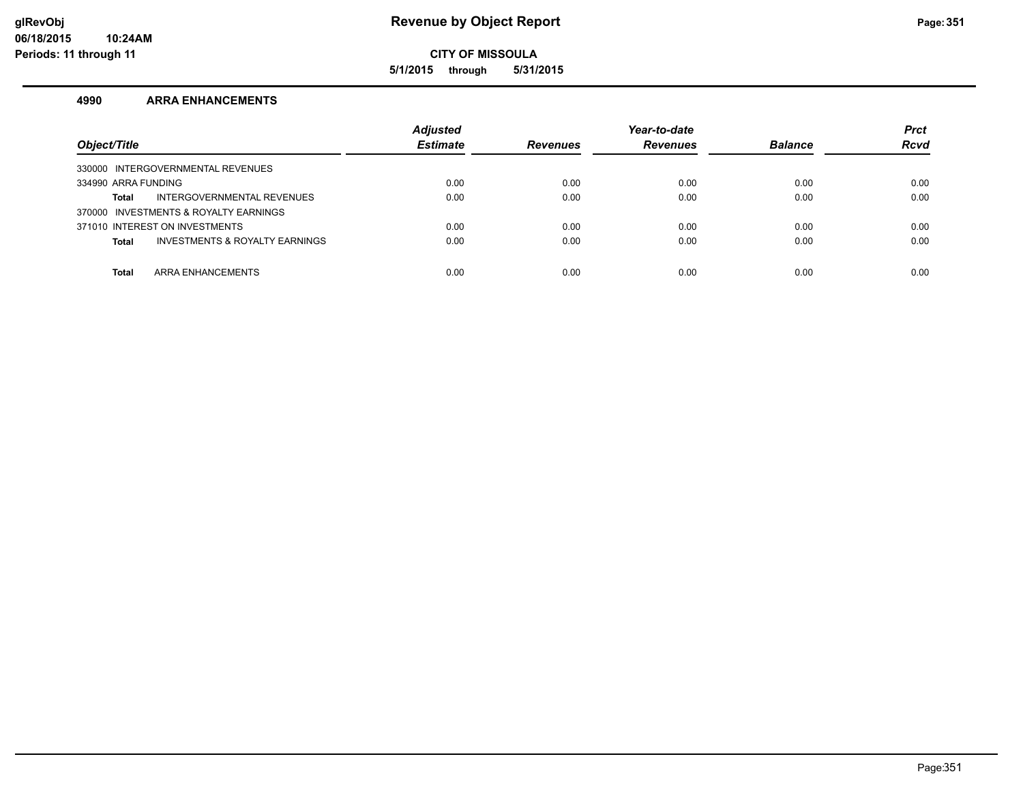**5/1/2015 through 5/31/2015**

#### **4990 ARRA ENHANCEMENTS**

| Object/Title                                              | <b>Adjusted</b><br><b>Estimate</b> | <b>Revenues</b> | Year-to-date<br><b>Revenues</b> | <b>Balance</b> | <b>Prct</b><br><b>Rcvd</b> |
|-----------------------------------------------------------|------------------------------------|-----------------|---------------------------------|----------------|----------------------------|
| 330000 INTERGOVERNMENTAL REVENUES                         |                                    |                 |                                 |                |                            |
| 334990 ARRA FUNDING                                       | 0.00                               | 0.00            | 0.00                            | 0.00           | 0.00                       |
| INTERGOVERNMENTAL REVENUES<br>Total                       | 0.00                               | 0.00            | 0.00                            | 0.00           | 0.00                       |
| 370000 INVESTMENTS & ROYALTY EARNINGS                     |                                    |                 |                                 |                |                            |
| 371010 INTEREST ON INVESTMENTS                            | 0.00                               | 0.00            | 0.00                            | 0.00           | 0.00                       |
| <b>INVESTMENTS &amp; ROYALTY EARNINGS</b><br><b>Total</b> | 0.00                               | 0.00            | 0.00                            | 0.00           | 0.00                       |
|                                                           |                                    |                 |                                 |                |                            |
| ARRA ENHANCEMENTS<br><b>Total</b>                         | 0.00                               | 0.00            | 0.00                            | 0.00           | 0.00                       |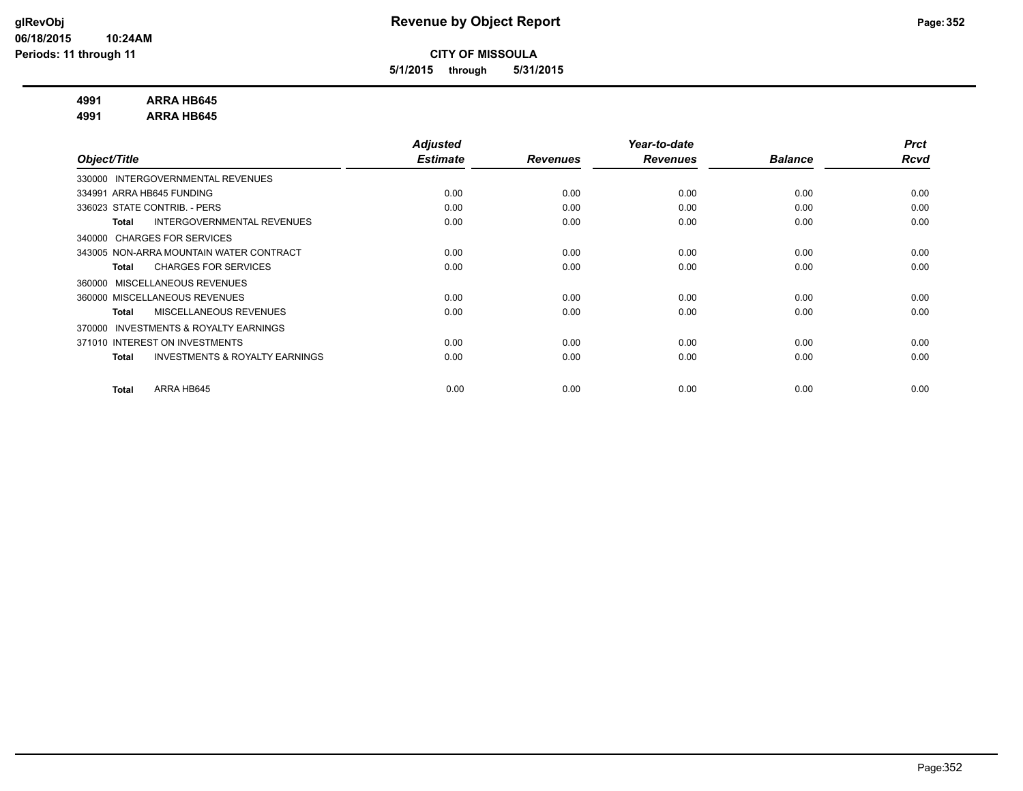**5/1/2015 through 5/31/2015**

## **4991 ARRA HB645**

**4991 ARRA HB645**

|                                                           | <b>Adjusted</b> |                 | Year-to-date    |                | <b>Prct</b> |
|-----------------------------------------------------------|-----------------|-----------------|-----------------|----------------|-------------|
| Object/Title                                              | <b>Estimate</b> | <b>Revenues</b> | <b>Revenues</b> | <b>Balance</b> | Rcvd        |
| INTERGOVERNMENTAL REVENUES<br>330000                      |                 |                 |                 |                |             |
| 334991 ARRA HB645 FUNDING                                 | 0.00            | 0.00            | 0.00            | 0.00           | 0.00        |
| 336023 STATE CONTRIB. - PERS                              | 0.00            | 0.00            | 0.00            | 0.00           | 0.00        |
| INTERGOVERNMENTAL REVENUES<br><b>Total</b>                | 0.00            | 0.00            | 0.00            | 0.00           | 0.00        |
| 340000 CHARGES FOR SERVICES                               |                 |                 |                 |                |             |
| 343005 NON-ARRA MOUNTAIN WATER CONTRACT                   | 0.00            | 0.00            | 0.00            | 0.00           | 0.00        |
| <b>CHARGES FOR SERVICES</b><br><b>Total</b>               | 0.00            | 0.00            | 0.00            | 0.00           | 0.00        |
| MISCELLANEOUS REVENUES<br>360000                          |                 |                 |                 |                |             |
| 360000 MISCELLANEOUS REVENUES                             | 0.00            | 0.00            | 0.00            | 0.00           | 0.00        |
| MISCELLANEOUS REVENUES<br><b>Total</b>                    | 0.00            | 0.00            | 0.00            | 0.00           | 0.00        |
| <b>INVESTMENTS &amp; ROYALTY EARNINGS</b><br>370000       |                 |                 |                 |                |             |
| 371010 INTEREST ON INVESTMENTS                            | 0.00            | 0.00            | 0.00            | 0.00           | 0.00        |
| <b>INVESTMENTS &amp; ROYALTY EARNINGS</b><br><b>Total</b> | 0.00            | 0.00            | 0.00            | 0.00           | 0.00        |
|                                                           |                 |                 |                 |                |             |
| ARRA HB645<br><b>Total</b>                                | 0.00            | 0.00            | 0.00            | 0.00           | 0.00        |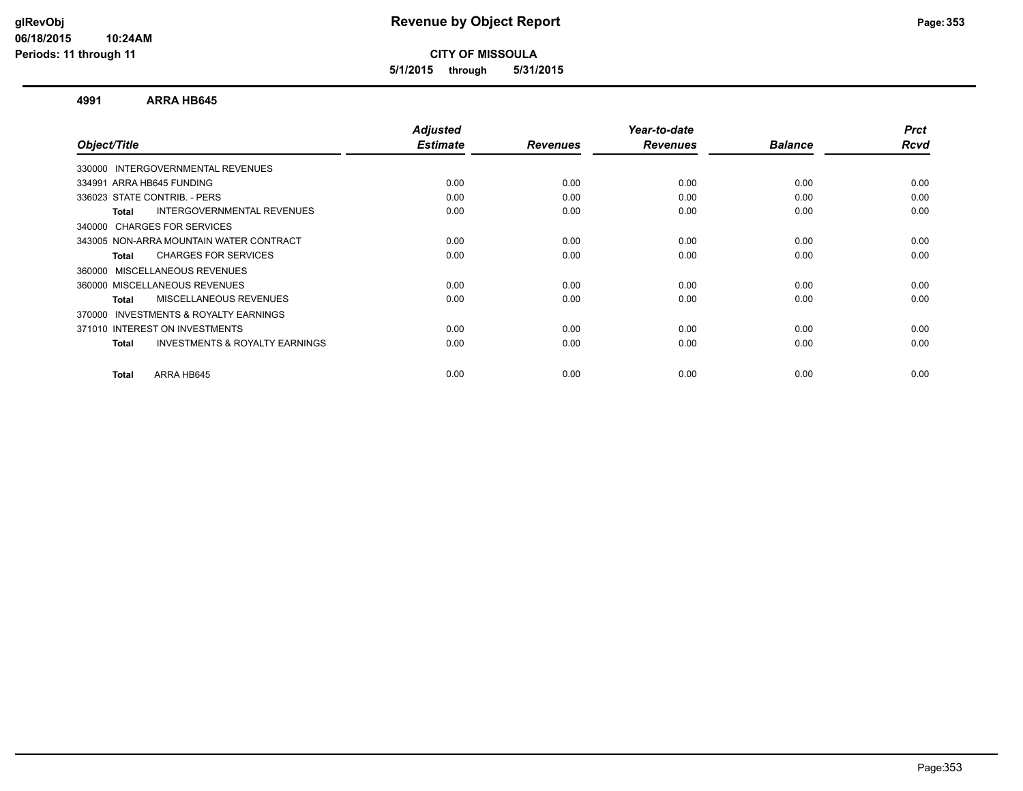**5/1/2015 through 5/31/2015**

#### **4991 ARRA HB645**

| Object/Title                                              | <b>Adjusted</b><br><b>Estimate</b> | <b>Revenues</b> | Year-to-date<br><b>Revenues</b> | <b>Balance</b> | <b>Prct</b><br>Rcvd |
|-----------------------------------------------------------|------------------------------------|-----------------|---------------------------------|----------------|---------------------|
|                                                           |                                    |                 |                                 |                |                     |
| 330000 INTERGOVERNMENTAL REVENUES                         |                                    |                 |                                 |                |                     |
| 334991 ARRA HB645 FUNDING                                 | 0.00                               | 0.00            | 0.00                            | 0.00           | 0.00                |
| 336023 STATE CONTRIB. - PERS                              | 0.00                               | 0.00            | 0.00                            | 0.00           | 0.00                |
| INTERGOVERNMENTAL REVENUES<br><b>Total</b>                | 0.00                               | 0.00            | 0.00                            | 0.00           | 0.00                |
| 340000 CHARGES FOR SERVICES                               |                                    |                 |                                 |                |                     |
| 343005 NON-ARRA MOUNTAIN WATER CONTRACT                   | 0.00                               | 0.00            | 0.00                            | 0.00           | 0.00                |
| <b>CHARGES FOR SERVICES</b><br><b>Total</b>               | 0.00                               | 0.00            | 0.00                            | 0.00           | 0.00                |
| 360000 MISCELLANEOUS REVENUES                             |                                    |                 |                                 |                |                     |
| 360000 MISCELLANEOUS REVENUES                             | 0.00                               | 0.00            | 0.00                            | 0.00           | 0.00                |
| MISCELLANEOUS REVENUES<br><b>Total</b>                    | 0.00                               | 0.00            | 0.00                            | 0.00           | 0.00                |
| <b>INVESTMENTS &amp; ROYALTY EARNINGS</b><br>370000       |                                    |                 |                                 |                |                     |
| 371010 INTEREST ON INVESTMENTS                            | 0.00                               | 0.00            | 0.00                            | 0.00           | 0.00                |
| <b>INVESTMENTS &amp; ROYALTY EARNINGS</b><br><b>Total</b> | 0.00                               | 0.00            | 0.00                            | 0.00           | 0.00                |
| ARRA HB645<br><b>Total</b>                                | 0.00                               | 0.00            | 0.00                            | 0.00           | 0.00                |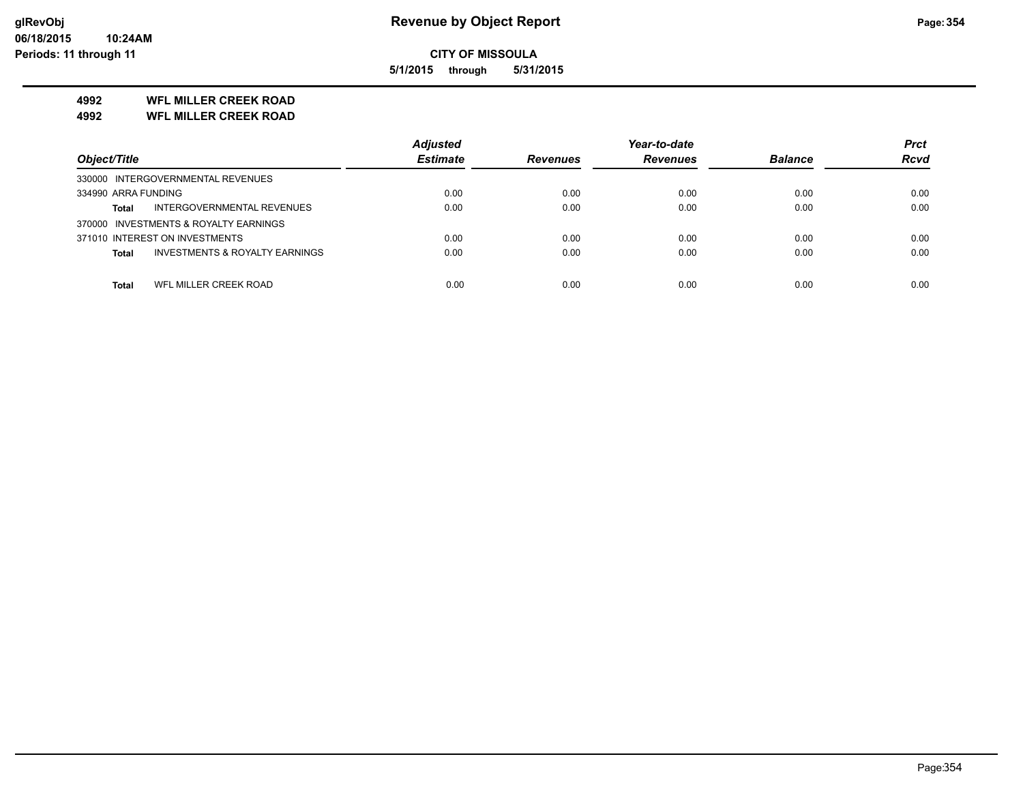**5/1/2015 through 5/31/2015**

# **4992 WFL MILLER CREEK ROAD**

**4992 WFL MILLER CREEK ROAD**

|                                                           | <b>Adjusted</b> |                 | Year-to-date    |                | <b>Prct</b> |
|-----------------------------------------------------------|-----------------|-----------------|-----------------|----------------|-------------|
| Object/Title                                              | <b>Estimate</b> | <b>Revenues</b> | <b>Revenues</b> | <b>Balance</b> | <b>Rcvd</b> |
| 330000 INTERGOVERNMENTAL REVENUES                         |                 |                 |                 |                |             |
| 334990 ARRA FUNDING                                       | 0.00            | 0.00            | 0.00            | 0.00           | 0.00        |
| INTERGOVERNMENTAL REVENUES<br><b>Total</b>                | 0.00            | 0.00            | 0.00            | 0.00           | 0.00        |
| 370000 INVESTMENTS & ROYALTY EARNINGS                     |                 |                 |                 |                |             |
| 371010 INTEREST ON INVESTMENTS                            | 0.00            | 0.00            | 0.00            | 0.00           | 0.00        |
| <b>INVESTMENTS &amp; ROYALTY EARNINGS</b><br><b>Total</b> | 0.00            | 0.00            | 0.00            | 0.00           | 0.00        |
|                                                           |                 |                 |                 |                |             |
| WFL MILLER CREEK ROAD<br>Total                            | 0.00            | 0.00            | 0.00            | 0.00           | 0.00        |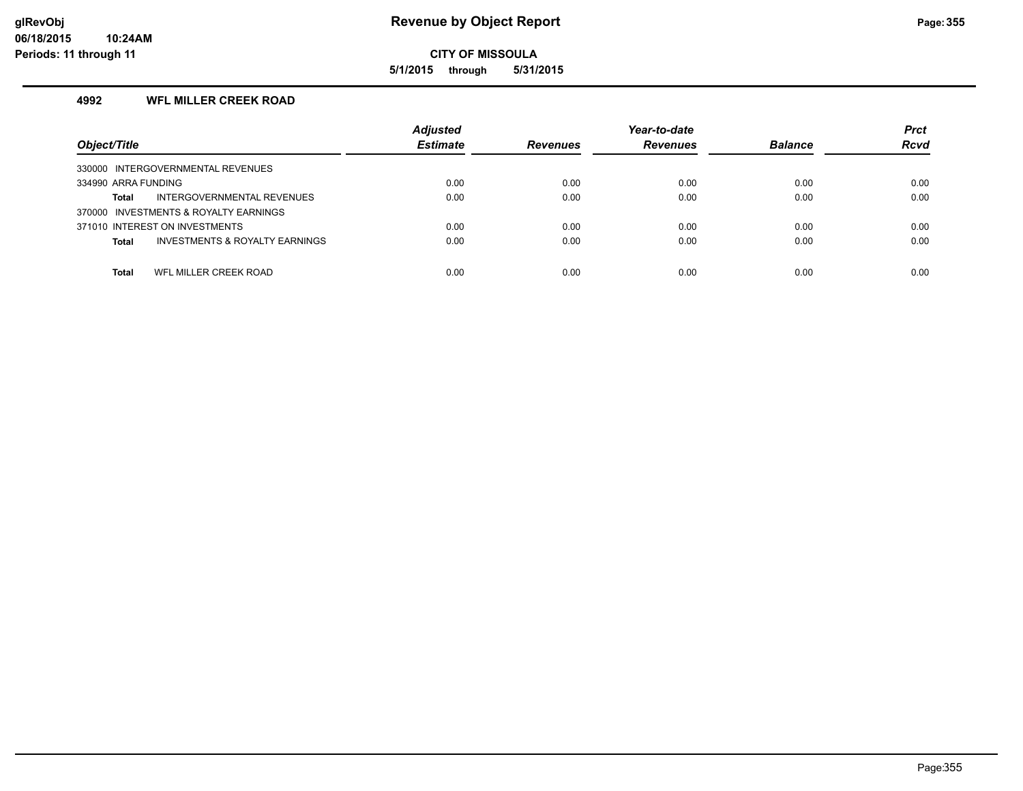**5/1/2015 through 5/31/2015**

#### **4992 WFL MILLER CREEK ROAD**

| Object/Title                                              | <b>Adjusted</b><br><b>Estimate</b> | <b>Revenues</b> | Year-to-date<br><b>Revenues</b> | <b>Balance</b> | <b>Prct</b><br><b>Rcvd</b> |
|-----------------------------------------------------------|------------------------------------|-----------------|---------------------------------|----------------|----------------------------|
| 330000 INTERGOVERNMENTAL REVENUES                         |                                    |                 |                                 |                |                            |
| 334990 ARRA FUNDING                                       | 0.00                               | 0.00            | 0.00                            | 0.00           | 0.00                       |
| INTERGOVERNMENTAL REVENUES<br>Total                       | 0.00                               | 0.00            | 0.00                            | 0.00           | 0.00                       |
| 370000 INVESTMENTS & ROYALTY EARNINGS                     |                                    |                 |                                 |                |                            |
| 371010 INTEREST ON INVESTMENTS                            | 0.00                               | 0.00            | 0.00                            | 0.00           | 0.00                       |
| <b>INVESTMENTS &amp; ROYALTY EARNINGS</b><br><b>Total</b> | 0.00                               | 0.00            | 0.00                            | 0.00           | 0.00                       |
|                                                           |                                    |                 |                                 |                |                            |
| WFL MILLER CREEK ROAD<br>Total                            | 0.00                               | 0.00            | 0.00                            | 0.00           | 0.00                       |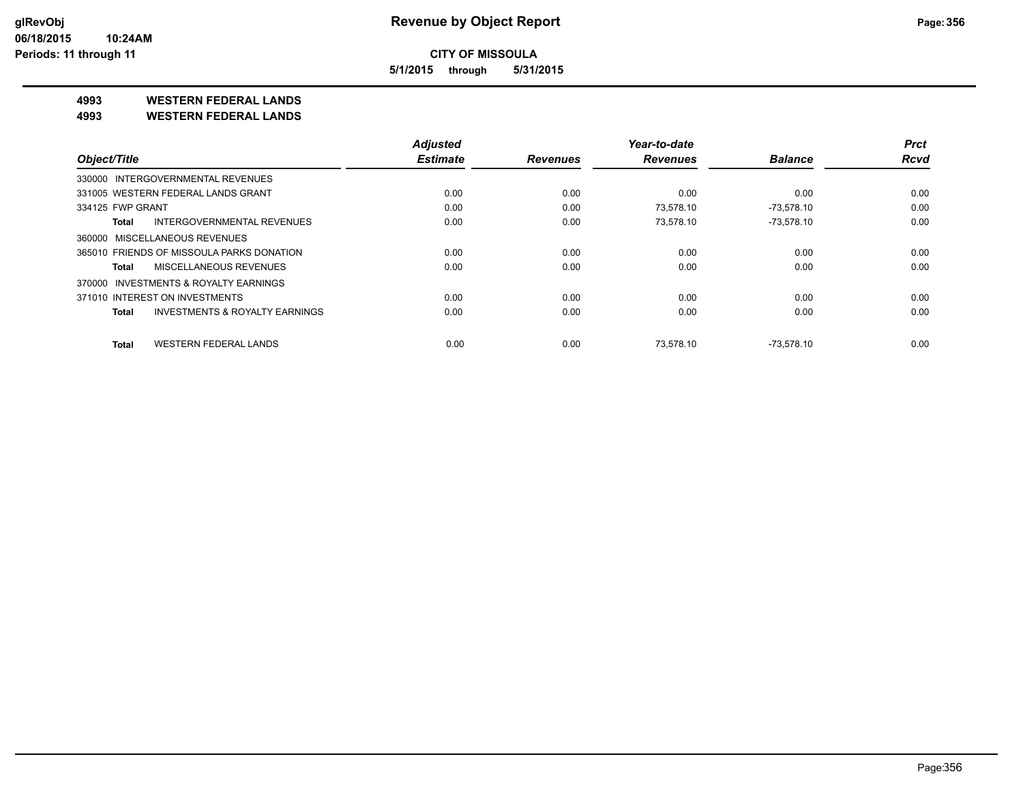**5/1/2015 through 5/31/2015**

**4993 WESTERN FEDERAL LANDS**

**4993 WESTERN FEDERAL LANDS**

|                                              | <b>Adjusted</b> |                 | Year-to-date    |                | <b>Prct</b> |
|----------------------------------------------|-----------------|-----------------|-----------------|----------------|-------------|
| Object/Title                                 | <b>Estimate</b> | <b>Revenues</b> | <b>Revenues</b> | <b>Balance</b> | <b>Rcvd</b> |
| 330000 INTERGOVERNMENTAL REVENUES            |                 |                 |                 |                |             |
| 331005 WESTERN FEDERAL LANDS GRANT           | 0.00            | 0.00            | 0.00            | 0.00           | 0.00        |
| 334125 FWP GRANT                             | 0.00            | 0.00            | 73.578.10       | $-73.578.10$   | 0.00        |
| <b>INTERGOVERNMENTAL REVENUES</b><br>Total   | 0.00            | 0.00            | 73,578.10       | $-73,578.10$   | 0.00        |
| 360000 MISCELLANEOUS REVENUES                |                 |                 |                 |                |             |
| 365010 FRIENDS OF MISSOULA PARKS DONATION    | 0.00            | 0.00            | 0.00            | 0.00           | 0.00        |
| MISCELLANEOUS REVENUES<br>Total              | 0.00            | 0.00            | 0.00            | 0.00           | 0.00        |
| INVESTMENTS & ROYALTY EARNINGS<br>370000     |                 |                 |                 |                |             |
| 371010 INTEREST ON INVESTMENTS               | 0.00            | 0.00            | 0.00            | 0.00           | 0.00        |
| INVESTMENTS & ROYALTY EARNINGS<br>Total      | 0.00            | 0.00            | 0.00            | 0.00           | 0.00        |
| <b>WESTERN FEDERAL LANDS</b><br><b>Total</b> | 0.00            | 0.00            | 73.578.10       | $-73.578.10$   | 0.00        |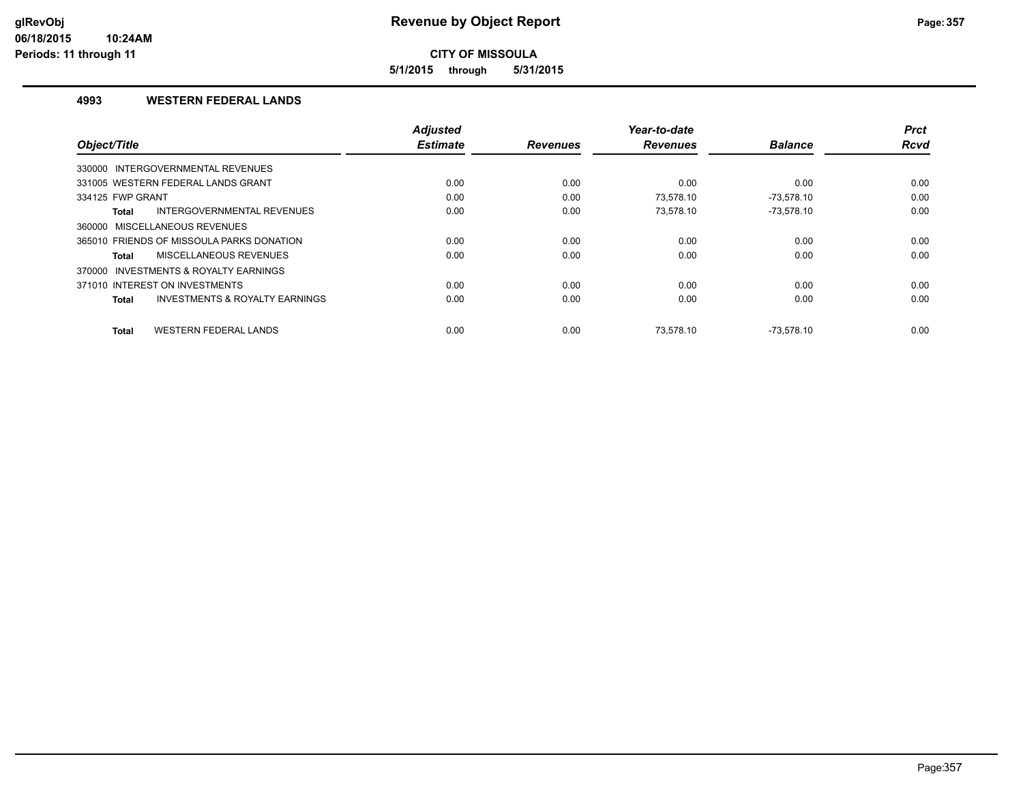**5/1/2015 through 5/31/2015**

## **4993 WESTERN FEDERAL LANDS**

|                                                           | <b>Adjusted</b> |                 | Year-to-date    |                | <b>Prct</b> |
|-----------------------------------------------------------|-----------------|-----------------|-----------------|----------------|-------------|
| Object/Title                                              | <b>Estimate</b> | <b>Revenues</b> | <b>Revenues</b> | <b>Balance</b> | Rcvd        |
| 330000 INTERGOVERNMENTAL REVENUES                         |                 |                 |                 |                |             |
| 331005 WESTERN FEDERAL LANDS GRANT                        | 0.00            | 0.00            | 0.00            | 0.00           | 0.00        |
| 334125 FWP GRANT                                          | 0.00            | 0.00            | 73.578.10       | $-73.578.10$   | 0.00        |
| INTERGOVERNMENTAL REVENUES<br><b>Total</b>                | 0.00            | 0.00            | 73,578.10       | $-73,578.10$   | 0.00        |
| 360000 MISCELLANEOUS REVENUES                             |                 |                 |                 |                |             |
| 365010 FRIENDS OF MISSOULA PARKS DONATION                 | 0.00            | 0.00            | 0.00            | 0.00           | 0.00        |
| MISCELLANEOUS REVENUES<br><b>Total</b>                    | 0.00            | 0.00            | 0.00            | 0.00           | 0.00        |
| 370000 INVESTMENTS & ROYALTY EARNINGS                     |                 |                 |                 |                |             |
| 371010 INTEREST ON INVESTMENTS                            | 0.00            | 0.00            | 0.00            | 0.00           | 0.00        |
| <b>INVESTMENTS &amp; ROYALTY EARNINGS</b><br><b>Total</b> | 0.00            | 0.00            | 0.00            | 0.00           | 0.00        |
|                                                           |                 |                 |                 |                |             |
| <b>WESTERN FEDERAL LANDS</b><br><b>Total</b>              | 0.00            | 0.00            | 73.578.10       | $-73.578.10$   | 0.00        |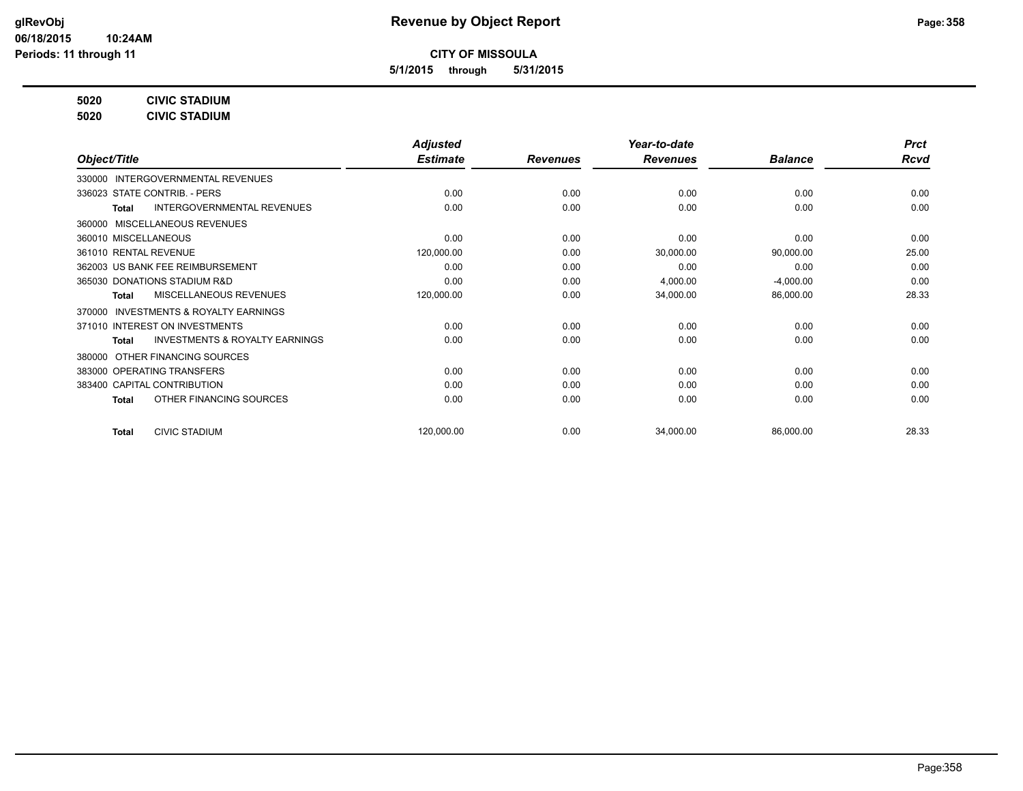**5/1/2015 through 5/31/2015**

**5020 CIVIC STADIUM**

**5020 CIVIC STADIUM**

|                                                           | <b>Adjusted</b> |                 | Year-to-date    |                | <b>Prct</b> |
|-----------------------------------------------------------|-----------------|-----------------|-----------------|----------------|-------------|
| Object/Title                                              | <b>Estimate</b> | <b>Revenues</b> | <b>Revenues</b> | <b>Balance</b> | <b>Rcvd</b> |
| 330000 INTERGOVERNMENTAL REVENUES                         |                 |                 |                 |                |             |
| 336023 STATE CONTRIB. - PERS                              | 0.00            | 0.00            | 0.00            | 0.00           | 0.00        |
| <b>INTERGOVERNMENTAL REVENUES</b><br>Total                | 0.00            | 0.00            | 0.00            | 0.00           | 0.00        |
| 360000 MISCELLANEOUS REVENUES                             |                 |                 |                 |                |             |
| 360010 MISCELLANEOUS                                      | 0.00            | 0.00            | 0.00            | 0.00           | 0.00        |
| 361010 RENTAL REVENUE                                     | 120,000.00      | 0.00            | 30,000.00       | 90,000.00      | 25.00       |
| 362003 US BANK FEE REIMBURSEMENT                          | 0.00            | 0.00            | 0.00            | 0.00           | 0.00        |
| 365030 DONATIONS STADIUM R&D                              | 0.00            | 0.00            | 4,000.00        | $-4,000.00$    | 0.00        |
| MISCELLANEOUS REVENUES<br><b>Total</b>                    | 120,000.00      | 0.00            | 34,000.00       | 86,000.00      | 28.33       |
| 370000 INVESTMENTS & ROYALTY EARNINGS                     |                 |                 |                 |                |             |
| 371010 INTEREST ON INVESTMENTS                            | 0.00            | 0.00            | 0.00            | 0.00           | 0.00        |
| <b>INVESTMENTS &amp; ROYALTY EARNINGS</b><br><b>Total</b> | 0.00            | 0.00            | 0.00            | 0.00           | 0.00        |
| 380000 OTHER FINANCING SOURCES                            |                 |                 |                 |                |             |
| 383000 OPERATING TRANSFERS                                | 0.00            | 0.00            | 0.00            | 0.00           | 0.00        |
| 383400 CAPITAL CONTRIBUTION                               | 0.00            | 0.00            | 0.00            | 0.00           | 0.00        |
| OTHER FINANCING SOURCES<br><b>Total</b>                   | 0.00            | 0.00            | 0.00            | 0.00           | 0.00        |
| <b>CIVIC STADIUM</b><br><b>Total</b>                      | 120,000.00      | 0.00            | 34,000.00       | 86,000.00      | 28.33       |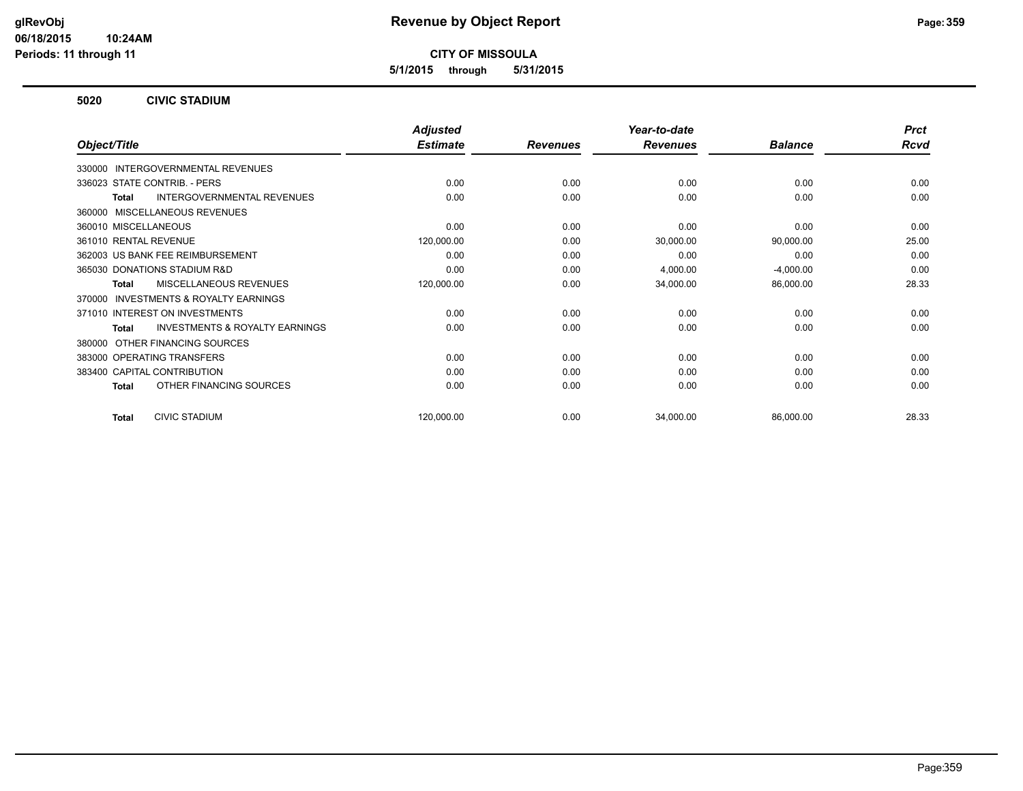**5/1/2015 through 5/31/2015**

#### **5020 CIVIC STADIUM**

|                                                     | <b>Adjusted</b> |                 | Year-to-date    |                | <b>Prct</b> |
|-----------------------------------------------------|-----------------|-----------------|-----------------|----------------|-------------|
| Object/Title                                        | <b>Estimate</b> | <b>Revenues</b> | <b>Revenues</b> | <b>Balance</b> | <b>Rcvd</b> |
| 330000 INTERGOVERNMENTAL REVENUES                   |                 |                 |                 |                |             |
| 336023 STATE CONTRIB. - PERS                        | 0.00            | 0.00            | 0.00            | 0.00           | 0.00        |
| INTERGOVERNMENTAL REVENUES<br><b>Total</b>          | 0.00            | 0.00            | 0.00            | 0.00           | 0.00        |
| MISCELLANEOUS REVENUES<br>360000                    |                 |                 |                 |                |             |
| 360010 MISCELLANEOUS                                | 0.00            | 0.00            | 0.00            | 0.00           | 0.00        |
| 361010 RENTAL REVENUE                               | 120,000.00      | 0.00            | 30,000.00       | 90,000.00      | 25.00       |
| 362003 US BANK FEE REIMBURSEMENT                    | 0.00            | 0.00            | 0.00            | 0.00           | 0.00        |
| 365030 DONATIONS STADIUM R&D                        | 0.00            | 0.00            | 4,000.00        | $-4,000.00$    | 0.00        |
| <b>MISCELLANEOUS REVENUES</b><br><b>Total</b>       | 120,000.00      | 0.00            | 34,000.00       | 86,000.00      | 28.33       |
| <b>INVESTMENTS &amp; ROYALTY EARNINGS</b><br>370000 |                 |                 |                 |                |             |
| 371010 INTEREST ON INVESTMENTS                      | 0.00            | 0.00            | 0.00            | 0.00           | 0.00        |
| <b>INVESTMENTS &amp; ROYALTY EARNINGS</b><br>Total  | 0.00            | 0.00            | 0.00            | 0.00           | 0.00        |
| OTHER FINANCING SOURCES<br>380000                   |                 |                 |                 |                |             |
| 383000 OPERATING TRANSFERS                          | 0.00            | 0.00            | 0.00            | 0.00           | 0.00        |
| 383400 CAPITAL CONTRIBUTION                         | 0.00            | 0.00            | 0.00            | 0.00           | 0.00        |
| OTHER FINANCING SOURCES<br><b>Total</b>             | 0.00            | 0.00            | 0.00            | 0.00           | 0.00        |
| <b>CIVIC STADIUM</b><br><b>Total</b>                | 120,000.00      | 0.00            | 34,000.00       | 86,000.00      | 28.33       |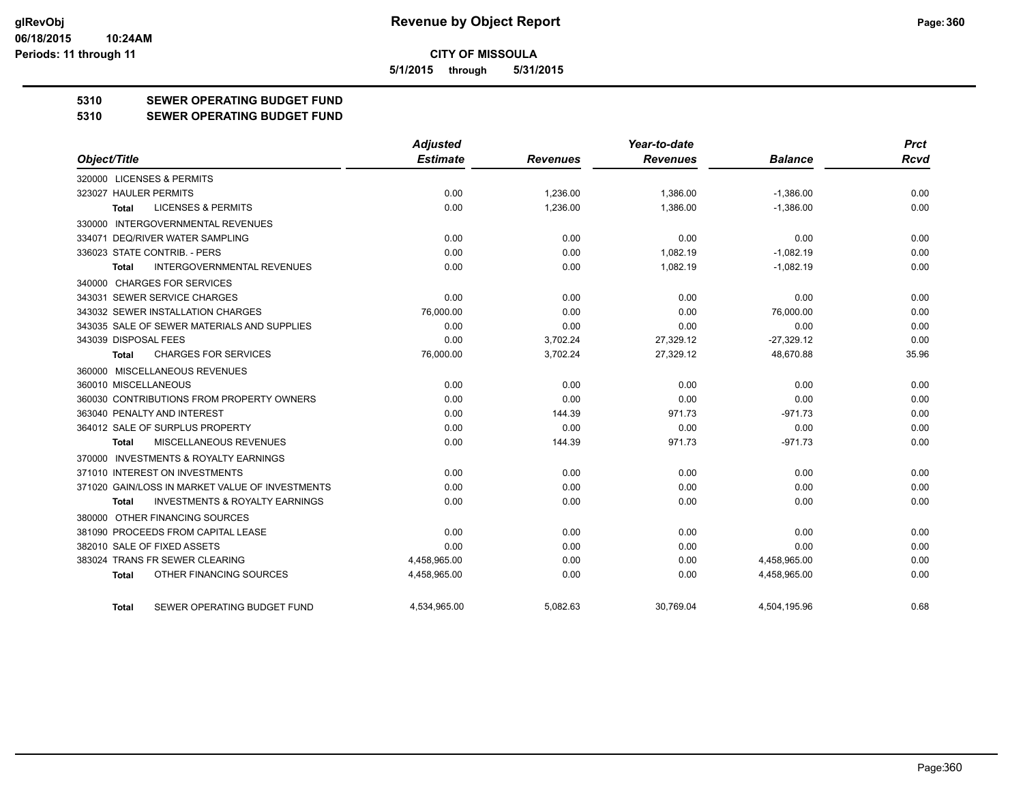**5/1/2015 through 5/31/2015**

# **5310 SEWER OPERATING BUDGET FUND**

#### **5310 SEWER OPERATING BUDGET FUND**

|                                                    | <b>Adjusted</b> |                 | Year-to-date    |                | <b>Prct</b> |
|----------------------------------------------------|-----------------|-----------------|-----------------|----------------|-------------|
| Object/Title                                       | <b>Estimate</b> | <b>Revenues</b> | <b>Revenues</b> | <b>Balance</b> | <b>Rcvd</b> |
| 320000 LICENSES & PERMITS                          |                 |                 |                 |                |             |
| 323027 HAULER PERMITS                              | 0.00            | 1,236.00        | 1,386.00        | $-1,386.00$    | 0.00        |
| <b>LICENSES &amp; PERMITS</b><br><b>Total</b>      | 0.00            | 1,236.00        | 1,386.00        | $-1,386.00$    | 0.00        |
| 330000 INTERGOVERNMENTAL REVENUES                  |                 |                 |                 |                |             |
| 334071 DEQ/RIVER WATER SAMPLING                    | 0.00            | 0.00            | 0.00            | 0.00           | 0.00        |
| 336023 STATE CONTRIB. - PERS                       | 0.00            | 0.00            | 1,082.19        | $-1,082.19$    | 0.00        |
| <b>INTERGOVERNMENTAL REVENUES</b><br><b>Total</b>  | 0.00            | 0.00            | 1,082.19        | $-1,082.19$    | 0.00        |
| 340000 CHARGES FOR SERVICES                        |                 |                 |                 |                |             |
| 343031 SEWER SERVICE CHARGES                       | 0.00            | 0.00            | 0.00            | 0.00           | 0.00        |
| 343032 SEWER INSTALLATION CHARGES                  | 76,000.00       | 0.00            | 0.00            | 76,000.00      | 0.00        |
| 343035 SALE OF SEWER MATERIALS AND SUPPLIES        | 0.00            | 0.00            | 0.00            | 0.00           | 0.00        |
| 343039 DISPOSAL FEES                               | 0.00            | 3,702.24        | 27,329.12       | $-27,329.12$   | 0.00        |
| <b>CHARGES FOR SERVICES</b><br><b>Total</b>        | 76,000.00       | 3,702.24        | 27,329.12       | 48,670.88      | 35.96       |
| 360000 MISCELLANEOUS REVENUES                      |                 |                 |                 |                |             |
| 360010 MISCELLANEOUS                               | 0.00            | 0.00            | 0.00            | 0.00           | 0.00        |
| 360030 CONTRIBUTIONS FROM PROPERTY OWNERS          | 0.00            | 0.00            | 0.00            | 0.00           | 0.00        |
| 363040 PENALTY AND INTEREST                        | 0.00            | 144.39          | 971.73          | $-971.73$      | 0.00        |
| 364012 SALE OF SURPLUS PROPERTY                    | 0.00            | 0.00            | 0.00            | 0.00           | 0.00        |
| MISCELLANEOUS REVENUES<br>Total                    | 0.00            | 144.39          | 971.73          | $-971.73$      | 0.00        |
| 370000 INVESTMENTS & ROYALTY EARNINGS              |                 |                 |                 |                |             |
| 371010 INTEREST ON INVESTMENTS                     | 0.00            | 0.00            | 0.00            | 0.00           | 0.00        |
| 371020 GAIN/LOSS IN MARKET VALUE OF INVESTMENTS    | 0.00            | 0.00            | 0.00            | 0.00           | 0.00        |
| <b>INVESTMENTS &amp; ROYALTY EARNINGS</b><br>Total | 0.00            | 0.00            | 0.00            | 0.00           | 0.00        |
| 380000 OTHER FINANCING SOURCES                     |                 |                 |                 |                |             |
| 381090 PROCEEDS FROM CAPITAL LEASE                 | 0.00            | 0.00            | 0.00            | 0.00           | 0.00        |
| 382010 SALE OF FIXED ASSETS                        | 0.00            | 0.00            | 0.00            | 0.00           | 0.00        |
| 383024 TRANS FR SEWER CLEARING                     | 4,458,965.00    | 0.00            | 0.00            | 4,458,965.00   | 0.00        |
| OTHER FINANCING SOURCES<br><b>Total</b>            | 4,458,965.00    | 0.00            | 0.00            | 4,458,965.00   | 0.00        |
| SEWER OPERATING BUDGET FUND<br>Total               | 4.534.965.00    | 5,082.63        | 30.769.04       | 4.504.195.96   | 0.68        |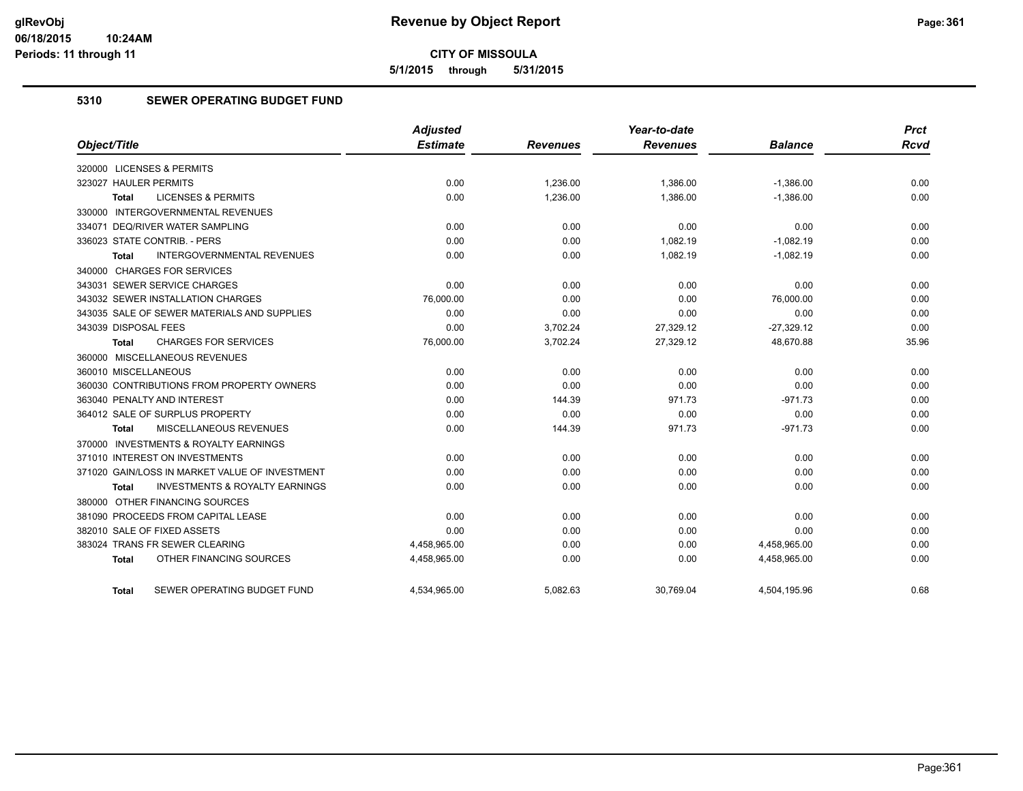**5/1/2015 through 5/31/2015**

## **5310 SEWER OPERATING BUDGET FUND**

|                                                    | <b>Adjusted</b> |                 | Year-to-date    |                | <b>Prct</b> |
|----------------------------------------------------|-----------------|-----------------|-----------------|----------------|-------------|
| Object/Title                                       | <b>Estimate</b> | <b>Revenues</b> | <b>Revenues</b> | <b>Balance</b> | <b>Rcvd</b> |
| 320000 LICENSES & PERMITS                          |                 |                 |                 |                |             |
| 323027 HAULER PERMITS                              | 0.00            | 1,236.00        | 1,386.00        | $-1,386.00$    | 0.00        |
| <b>LICENSES &amp; PERMITS</b><br><b>Total</b>      | 0.00            | 1,236.00        | 1,386.00        | $-1,386.00$    | 0.00        |
| 330000 INTERGOVERNMENTAL REVENUES                  |                 |                 |                 |                |             |
| 334071 DEQ/RIVER WATER SAMPLING                    | 0.00            | 0.00            | 0.00            | 0.00           | 0.00        |
| 336023 STATE CONTRIB. - PERS                       | 0.00            | 0.00            | 1,082.19        | $-1,082.19$    | 0.00        |
| <b>INTERGOVERNMENTAL REVENUES</b><br><b>Total</b>  | 0.00            | 0.00            | 1,082.19        | $-1,082.19$    | 0.00        |
| 340000 CHARGES FOR SERVICES                        |                 |                 |                 |                |             |
| 343031 SEWER SERVICE CHARGES                       | 0.00            | 0.00            | 0.00            | 0.00           | 0.00        |
| 343032 SEWER INSTALLATION CHARGES                  | 76,000.00       | 0.00            | 0.00            | 76,000.00      | 0.00        |
| 343035 SALE OF SEWER MATERIALS AND SUPPLIES        | 0.00            | 0.00            | 0.00            | 0.00           | 0.00        |
| 343039 DISPOSAL FEES                               | 0.00            | 3,702.24        | 27,329.12       | $-27,329.12$   | 0.00        |
| <b>CHARGES FOR SERVICES</b><br><b>Total</b>        | 76,000.00       | 3,702.24        | 27,329.12       | 48,670.88      | 35.96       |
| 360000 MISCELLANEOUS REVENUES                      |                 |                 |                 |                |             |
| 360010 MISCELLANEOUS                               | 0.00            | 0.00            | 0.00            | 0.00           | 0.00        |
| 360030 CONTRIBUTIONS FROM PROPERTY OWNERS          | 0.00            | 0.00            | 0.00            | 0.00           | 0.00        |
| 363040 PENALTY AND INTEREST                        | 0.00            | 144.39          | 971.73          | $-971.73$      | 0.00        |
| 364012 SALE OF SURPLUS PROPERTY                    | 0.00            | 0.00            | 0.00            | 0.00           | 0.00        |
| <b>MISCELLANEOUS REVENUES</b><br>Total             | 0.00            | 144.39          | 971.73          | $-971.73$      | 0.00        |
| 370000 INVESTMENTS & ROYALTY EARNINGS              |                 |                 |                 |                |             |
| 371010 INTEREST ON INVESTMENTS                     | 0.00            | 0.00            | 0.00            | 0.00           | 0.00        |
| 371020 GAIN/LOSS IN MARKET VALUE OF INVESTMENT     | 0.00            | 0.00            | 0.00            | 0.00           | 0.00        |
| <b>INVESTMENTS &amp; ROYALTY EARNINGS</b><br>Total | 0.00            | 0.00            | 0.00            | 0.00           | 0.00        |
| 380000 OTHER FINANCING SOURCES                     |                 |                 |                 |                |             |
| 381090 PROCEEDS FROM CAPITAL LEASE                 | 0.00            | 0.00            | 0.00            | 0.00           | 0.00        |
| 382010 SALE OF FIXED ASSETS                        | 0.00            | 0.00            | 0.00            | 0.00           | 0.00        |
| 383024 TRANS FR SEWER CLEARING                     | 4,458,965.00    | 0.00            | 0.00            | 4,458,965.00   | 0.00        |
| OTHER FINANCING SOURCES<br><b>Total</b>            | 4,458,965.00    | 0.00            | 0.00            | 4,458,965.00   | 0.00        |
| SEWER OPERATING BUDGET FUND<br>Total               | 4,534,965.00    | 5.082.63        | 30,769.04       | 4,504,195.96   | 0.68        |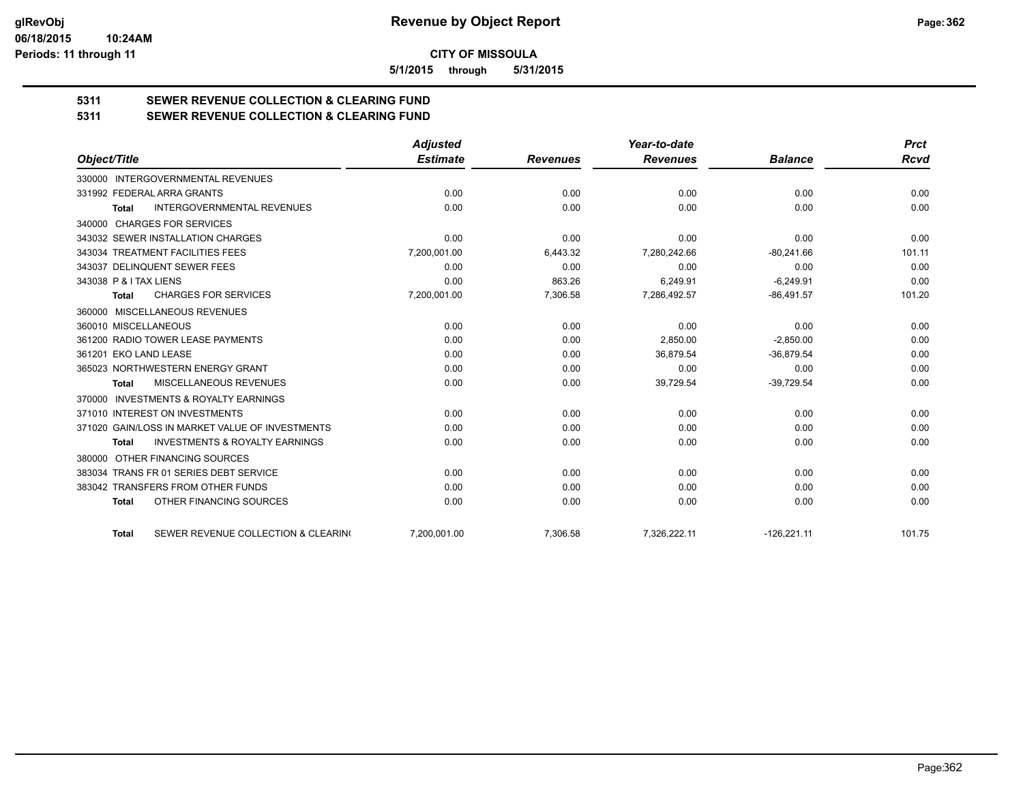**5/1/2015 through 5/31/2015**

# **5311 SEWER REVENUE COLLECTION & CLEARING FUND**

| 5311 | <b>SEWER REVENUE COLLECTION &amp; CLEARING FUND</b> |
|------|-----------------------------------------------------|
|      |                                                     |

|                                                           | <b>Adjusted</b> |                 | Year-to-date    |                | <b>Prct</b> |
|-----------------------------------------------------------|-----------------|-----------------|-----------------|----------------|-------------|
| Object/Title                                              | <b>Estimate</b> | <b>Revenues</b> | <b>Revenues</b> | <b>Balance</b> | <b>Rcvd</b> |
| 330000 INTERGOVERNMENTAL REVENUES                         |                 |                 |                 |                |             |
| 331992 FEDERAL ARRA GRANTS                                | 0.00            | 0.00            | 0.00            | 0.00           | 0.00        |
| <b>INTERGOVERNMENTAL REVENUES</b><br>Total                | 0.00            | 0.00            | 0.00            | 0.00           | 0.00        |
| 340000 CHARGES FOR SERVICES                               |                 |                 |                 |                |             |
| 343032 SEWER INSTALLATION CHARGES                         | 0.00            | 0.00            | 0.00            | 0.00           | 0.00        |
| 343034 TREATMENT FACILITIES FEES                          | 7,200,001.00    | 6,443.32        | 7,280,242.66    | $-80.241.66$   | 101.11      |
| 343037 DELINQUENT SEWER FEES                              | 0.00            | 0.00            | 0.00            | 0.00           | 0.00        |
| 343038 P & I TAX LIENS                                    | 0.00            | 863.26          | 6.249.91        | $-6.249.91$    | 0.00        |
| <b>CHARGES FOR SERVICES</b><br><b>Total</b>               | 7,200,001.00    | 7,306.58        | 7,286,492.57    | $-86,491.57$   | 101.20      |
| MISCELLANEOUS REVENUES<br>360000                          |                 |                 |                 |                |             |
| 360010 MISCELLANEOUS                                      | 0.00            | 0.00            | 0.00            | 0.00           | 0.00        |
| 361200 RADIO TOWER LEASE PAYMENTS                         | 0.00            | 0.00            | 2.850.00        | $-2.850.00$    | 0.00        |
| 361201 EKO LAND LEASE                                     | 0.00            | 0.00            | 36,879.54       | $-36,879.54$   | 0.00        |
| 365023 NORTHWESTERN ENERGY GRANT                          | 0.00            | 0.00            | 0.00            | 0.00           | 0.00        |
| MISCELLANEOUS REVENUES<br><b>Total</b>                    | 0.00            | 0.00            | 39,729.54       | $-39,729.54$   | 0.00        |
| <b>INVESTMENTS &amp; ROYALTY EARNINGS</b><br>370000       |                 |                 |                 |                |             |
| 371010 INTEREST ON INVESTMENTS                            | 0.00            | 0.00            | 0.00            | 0.00           | 0.00        |
| 371020 GAIN/LOSS IN MARKET VALUE OF INVESTMENTS           | 0.00            | 0.00            | 0.00            | 0.00           | 0.00        |
| <b>INVESTMENTS &amp; ROYALTY EARNINGS</b><br><b>Total</b> | 0.00            | 0.00            | 0.00            | 0.00           | 0.00        |
| OTHER FINANCING SOURCES<br>380000                         |                 |                 |                 |                |             |
| 383034 TRANS FR 01 SERIES DEBT SERVICE                    | 0.00            | 0.00            | 0.00            | 0.00           | 0.00        |
| 383042 TRANSFERS FROM OTHER FUNDS                         | 0.00            | 0.00            | 0.00            | 0.00           | 0.00        |
| OTHER FINANCING SOURCES<br><b>Total</b>                   | 0.00            | 0.00            | 0.00            | 0.00           | 0.00        |
| SEWER REVENUE COLLECTION & CLEARING<br><b>Total</b>       | 7,200,001.00    | 7,306.58        | 7,326,222.11    | $-126,221.11$  | 101.75      |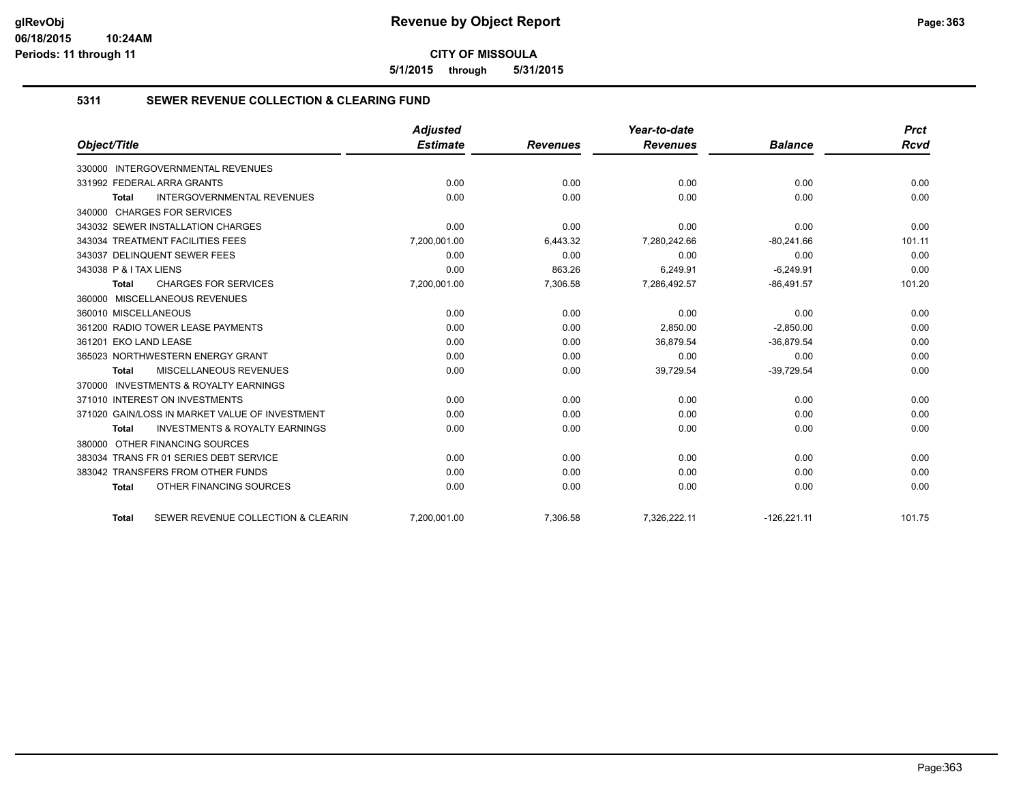**5/1/2015 through 5/31/2015**

## **5311 SEWER REVENUE COLLECTION & CLEARING FUND**

|                                                           | <b>Adjusted</b> |                 | Year-to-date    |                | <b>Prct</b> |
|-----------------------------------------------------------|-----------------|-----------------|-----------------|----------------|-------------|
| Object/Title                                              | <b>Estimate</b> | <b>Revenues</b> | <b>Revenues</b> | <b>Balance</b> | <b>Rcvd</b> |
| <b>INTERGOVERNMENTAL REVENUES</b><br>330000               |                 |                 |                 |                |             |
| 331992 FEDERAL ARRA GRANTS                                | 0.00            | 0.00            | 0.00            | 0.00           | 0.00        |
| <b>INTERGOVERNMENTAL REVENUES</b><br><b>Total</b>         | 0.00            | 0.00            | 0.00            | 0.00           | 0.00        |
| 340000 CHARGES FOR SERVICES                               |                 |                 |                 |                |             |
| 343032 SEWER INSTALLATION CHARGES                         | 0.00            | 0.00            | 0.00            | 0.00           | 0.00        |
| 343034 TREATMENT FACILITIES FEES                          | 7,200,001.00    | 6,443.32        | 7,280,242.66    | $-80,241.66$   | 101.11      |
| 343037 DELINQUENT SEWER FEES                              | 0.00            | 0.00            | 0.00            | 0.00           | 0.00        |
| 343038 P & I TAX LIENS                                    | 0.00            | 863.26          | 6.249.91        | $-6.249.91$    | 0.00        |
| <b>CHARGES FOR SERVICES</b><br><b>Total</b>               | 7,200,001.00    | 7,306.58        | 7,286,492.57    | $-86,491.57$   | 101.20      |
| 360000 MISCELLANEOUS REVENUES                             |                 |                 |                 |                |             |
| 360010 MISCELLANEOUS                                      | 0.00            | 0.00            | 0.00            | 0.00           | 0.00        |
| 361200 RADIO TOWER LEASE PAYMENTS                         | 0.00            | 0.00            | 2,850.00        | $-2,850.00$    | 0.00        |
| 361201 EKO LAND LEASE                                     | 0.00            | 0.00            | 36.879.54       | $-36.879.54$   | 0.00        |
| 365023 NORTHWESTERN ENERGY GRANT                          | 0.00            | 0.00            | 0.00            | 0.00           | 0.00        |
| MISCELLANEOUS REVENUES<br><b>Total</b>                    | 0.00            | 0.00            | 39,729.54       | $-39,729.54$   | 0.00        |
| 370000 INVESTMENTS & ROYALTY EARNINGS                     |                 |                 |                 |                |             |
| 371010 INTEREST ON INVESTMENTS                            | 0.00            | 0.00            | 0.00            | 0.00           | 0.00        |
| 371020 GAIN/LOSS IN MARKET VALUE OF INVESTMENT            | 0.00            | 0.00            | 0.00            | 0.00           | 0.00        |
| <b>INVESTMENTS &amp; ROYALTY EARNINGS</b><br><b>Total</b> | 0.00            | 0.00            | 0.00            | 0.00           | 0.00        |
| OTHER FINANCING SOURCES<br>380000                         |                 |                 |                 |                |             |
| 383034 TRANS FR 01 SERIES DEBT SERVICE                    | 0.00            | 0.00            | 0.00            | 0.00           | 0.00        |
| 383042 TRANSFERS FROM OTHER FUNDS                         | 0.00            | 0.00            | 0.00            | 0.00           | 0.00        |
| OTHER FINANCING SOURCES<br><b>Total</b>                   | 0.00            | 0.00            | 0.00            | 0.00           | 0.00        |
| SEWER REVENUE COLLECTION & CLEARIN<br><b>Total</b>        | 7,200,001.00    | 7,306.58        | 7,326,222.11    | $-126,221.11$  | 101.75      |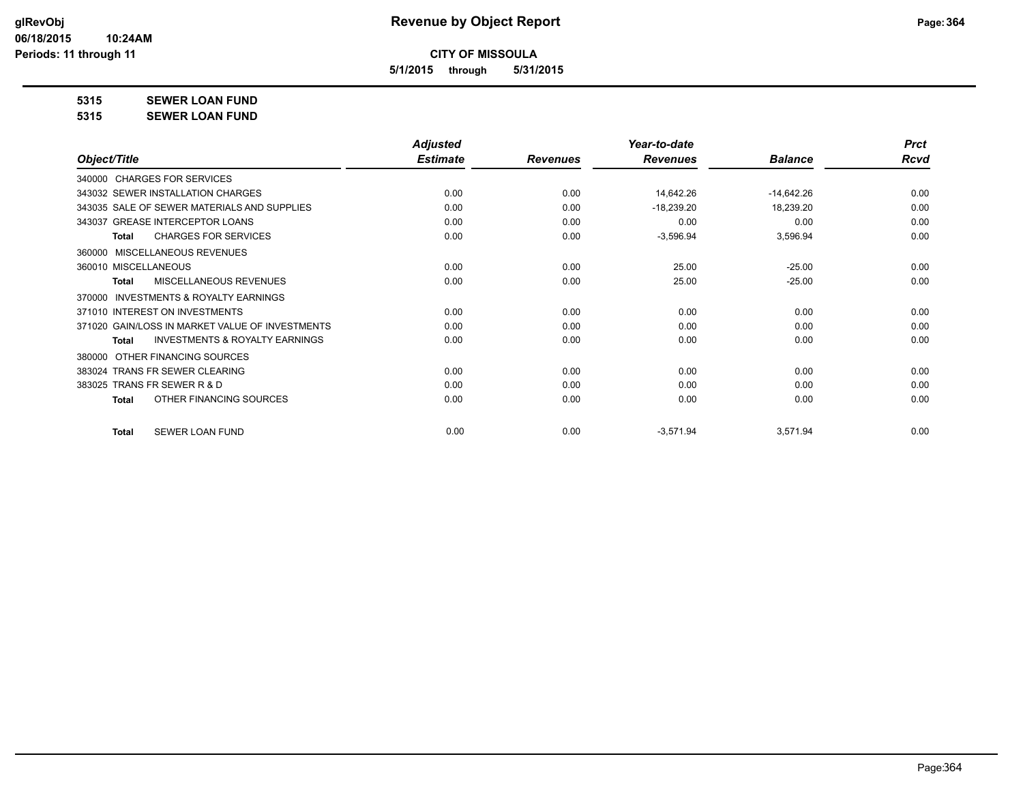**5/1/2015 through 5/31/2015**

**5315 SEWER LOAN FUND**

**5315 SEWER LOAN FUND**

|                                                           | <b>Adjusted</b> |                 | Year-to-date    |                | <b>Prct</b> |
|-----------------------------------------------------------|-----------------|-----------------|-----------------|----------------|-------------|
| Object/Title                                              | <b>Estimate</b> | <b>Revenues</b> | <b>Revenues</b> | <b>Balance</b> | <b>Rcvd</b> |
| 340000 CHARGES FOR SERVICES                               |                 |                 |                 |                |             |
| 343032 SEWER INSTALLATION CHARGES                         | 0.00            | 0.00            | 14,642.26       | $-14,642.26$   | 0.00        |
| 343035 SALE OF SEWER MATERIALS AND SUPPLIES               | 0.00            | 0.00            | $-18,239.20$    | 18,239.20      | 0.00        |
| 343037 GREASE INTERCEPTOR LOANS                           | 0.00            | 0.00            | 0.00            | 0.00           | 0.00        |
| <b>CHARGES FOR SERVICES</b><br><b>Total</b>               | 0.00            | 0.00            | $-3,596.94$     | 3,596.94       | 0.00        |
| MISCELLANEOUS REVENUES<br>360000                          |                 |                 |                 |                |             |
| 360010 MISCELLANEOUS                                      | 0.00            | 0.00            | 25.00           | $-25.00$       | 0.00        |
| MISCELLANEOUS REVENUES<br>Total                           | 0.00            | 0.00            | 25.00           | $-25.00$       | 0.00        |
| <b>INVESTMENTS &amp; ROYALTY EARNINGS</b><br>370000       |                 |                 |                 |                |             |
| 371010 INTEREST ON INVESTMENTS                            | 0.00            | 0.00            | 0.00            | 0.00           | 0.00        |
| 371020 GAIN/LOSS IN MARKET VALUE OF INVESTMENTS           | 0.00            | 0.00            | 0.00            | 0.00           | 0.00        |
| <b>INVESTMENTS &amp; ROYALTY EARNINGS</b><br><b>Total</b> | 0.00            | 0.00            | 0.00            | 0.00           | 0.00        |
| OTHER FINANCING SOURCES<br>380000                         |                 |                 |                 |                |             |
| 383024 TRANS FR SEWER CLEARING                            | 0.00            | 0.00            | 0.00            | 0.00           | 0.00        |
| 383025 TRANS FR SEWER R & D                               | 0.00            | 0.00            | 0.00            | 0.00           | 0.00        |
| OTHER FINANCING SOURCES<br><b>Total</b>                   | 0.00            | 0.00            | 0.00            | 0.00           | 0.00        |
| <b>SEWER LOAN FUND</b><br><b>Total</b>                    | 0.00            | 0.00            | $-3,571.94$     | 3,571.94       | 0.00        |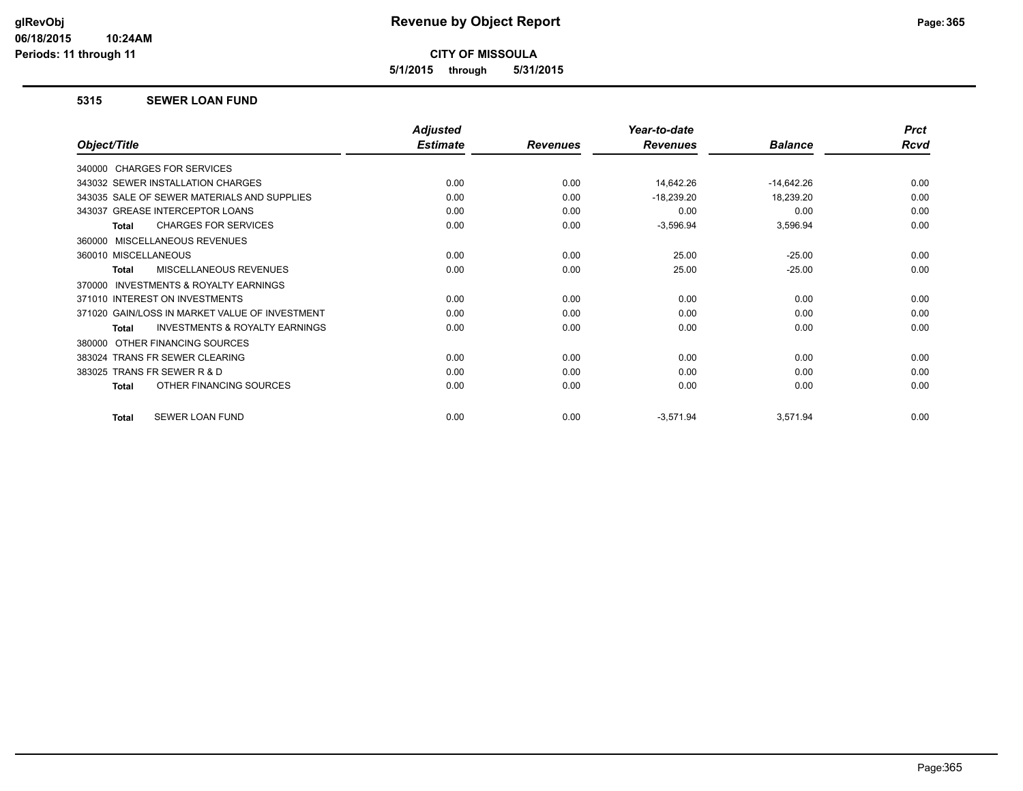**5/1/2015 through 5/31/2015**

#### **5315 SEWER LOAN FUND**

|                                                     | <b>Adjusted</b> |                 | Year-to-date    |                | <b>Prct</b> |
|-----------------------------------------------------|-----------------|-----------------|-----------------|----------------|-------------|
| Object/Title                                        | <b>Estimate</b> | <b>Revenues</b> | <b>Revenues</b> | <b>Balance</b> | Rcvd        |
| 340000 CHARGES FOR SERVICES                         |                 |                 |                 |                |             |
| 343032 SEWER INSTALLATION CHARGES                   | 0.00            | 0.00            | 14,642.26       | $-14,642.26$   | 0.00        |
| 343035 SALE OF SEWER MATERIALS AND SUPPLIES         | 0.00            | 0.00            | $-18,239.20$    | 18,239.20      | 0.00        |
| 343037 GREASE INTERCEPTOR LOANS                     | 0.00            | 0.00            | 0.00            | 0.00           | 0.00        |
| <b>CHARGES FOR SERVICES</b><br><b>Total</b>         | 0.00            | 0.00            | $-3,596.94$     | 3,596.94       | 0.00        |
| 360000 MISCELLANEOUS REVENUES                       |                 |                 |                 |                |             |
| 360010 MISCELLANEOUS                                | 0.00            | 0.00            | 25.00           | $-25.00$       | 0.00        |
| <b>MISCELLANEOUS REVENUES</b><br><b>Total</b>       | 0.00            | 0.00            | 25.00           | $-25.00$       | 0.00        |
| <b>INVESTMENTS &amp; ROYALTY EARNINGS</b><br>370000 |                 |                 |                 |                |             |
| 371010 INTEREST ON INVESTMENTS                      | 0.00            | 0.00            | 0.00            | 0.00           | 0.00        |
| 371020 GAIN/LOSS IN MARKET VALUE OF INVESTMENT      | 0.00            | 0.00            | 0.00            | 0.00           | 0.00        |
| <b>INVESTMENTS &amp; ROYALTY EARNINGS</b><br>Total  | 0.00            | 0.00            | 0.00            | 0.00           | 0.00        |
| OTHER FINANCING SOURCES<br>380000                   |                 |                 |                 |                |             |
| 383024 TRANS FR SEWER CLEARING                      | 0.00            | 0.00            | 0.00            | 0.00           | 0.00        |
| 383025 TRANS FR SEWER R & D                         | 0.00            | 0.00            | 0.00            | 0.00           | 0.00        |
| OTHER FINANCING SOURCES<br><b>Total</b>             | 0.00            | 0.00            | 0.00            | 0.00           | 0.00        |
| SEWER LOAN FUND<br><b>Total</b>                     | 0.00            | 0.00            | $-3,571.94$     | 3,571.94       | 0.00        |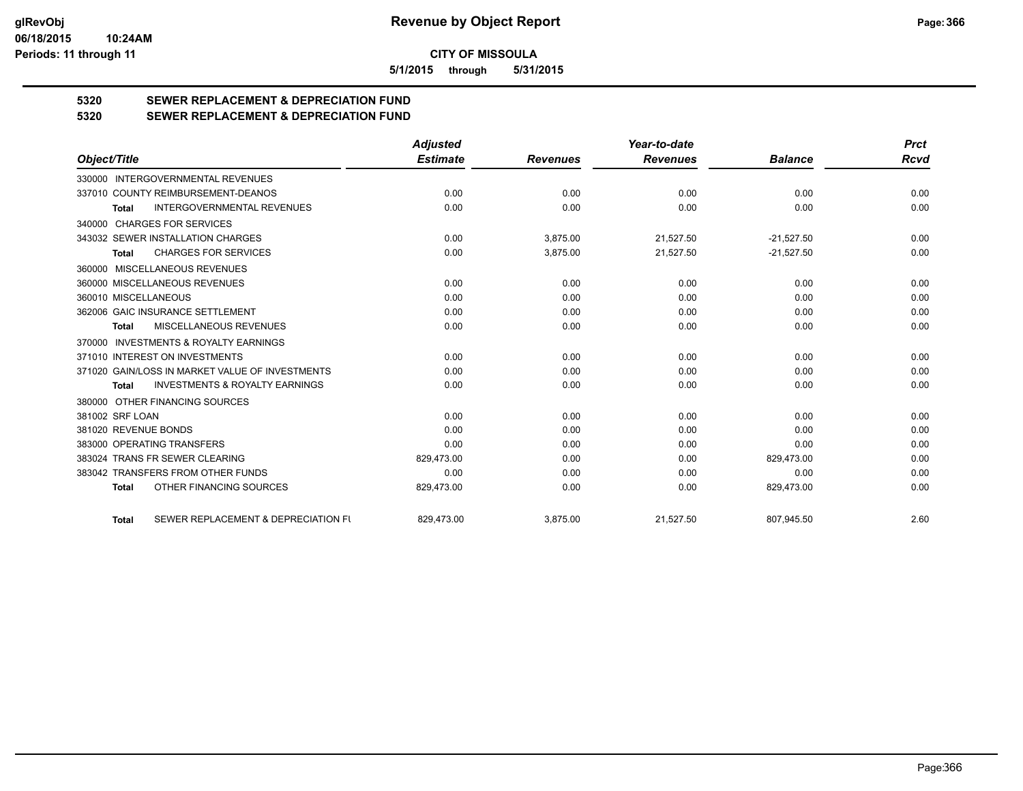**5/1/2015 through 5/31/2015**

# **5320 SEWER REPLACEMENT & DEPRECIATION FUND**

**5320 SEWER REPLACEMENT & DEPRECIATION FUND**

|                                                           | <b>Adjusted</b> |                 | Year-to-date    |                | <b>Prct</b> |
|-----------------------------------------------------------|-----------------|-----------------|-----------------|----------------|-------------|
| Object/Title                                              | <b>Estimate</b> | <b>Revenues</b> | <b>Revenues</b> | <b>Balance</b> | Rcvd        |
| 330000 INTERGOVERNMENTAL REVENUES                         |                 |                 |                 |                |             |
| 337010 COUNTY REIMBURSEMENT-DEANOS                        | 0.00            | 0.00            | 0.00            | 0.00           | 0.00        |
| <b>INTERGOVERNMENTAL REVENUES</b><br><b>Total</b>         | 0.00            | 0.00            | 0.00            | 0.00           | 0.00        |
| 340000 CHARGES FOR SERVICES                               |                 |                 |                 |                |             |
| 343032 SEWER INSTALLATION CHARGES                         | 0.00            | 3,875.00        | 21,527.50       | $-21,527.50$   | 0.00        |
| <b>CHARGES FOR SERVICES</b><br><b>Total</b>               | 0.00            | 3,875.00        | 21,527.50       | $-21,527.50$   | 0.00        |
| 360000 MISCELLANEOUS REVENUES                             |                 |                 |                 |                |             |
| 360000 MISCELLANEOUS REVENUES                             | 0.00            | 0.00            | 0.00            | 0.00           | 0.00        |
| 360010 MISCELLANEOUS                                      | 0.00            | 0.00            | 0.00            | 0.00           | 0.00        |
| 362006 GAIC INSURANCE SETTLEMENT                          | 0.00            | 0.00            | 0.00            | 0.00           | 0.00        |
| MISCELLANEOUS REVENUES<br>Total                           | 0.00            | 0.00            | 0.00            | 0.00           | 0.00        |
| 370000 INVESTMENTS & ROYALTY EARNINGS                     |                 |                 |                 |                |             |
| 371010 INTEREST ON INVESTMENTS                            | 0.00            | 0.00            | 0.00            | 0.00           | 0.00        |
| 371020 GAIN/LOSS IN MARKET VALUE OF INVESTMENTS           | 0.00            | 0.00            | 0.00            | 0.00           | 0.00        |
| <b>INVESTMENTS &amp; ROYALTY EARNINGS</b><br><b>Total</b> | 0.00            | 0.00            | 0.00            | 0.00           | 0.00        |
| 380000 OTHER FINANCING SOURCES                            |                 |                 |                 |                |             |
| 381002 SRF LOAN                                           | 0.00            | 0.00            | 0.00            | 0.00           | 0.00        |
| 381020 REVENUE BONDS                                      | 0.00            | 0.00            | 0.00            | 0.00           | 0.00        |
| 383000 OPERATING TRANSFERS                                | 0.00            | 0.00            | 0.00            | 0.00           | 0.00        |
| 383024 TRANS FR SEWER CLEARING                            | 829,473.00      | 0.00            | 0.00            | 829,473.00     | 0.00        |
| 383042 TRANSFERS FROM OTHER FUNDS                         | 0.00            | 0.00            | 0.00            | 0.00           | 0.00        |
| OTHER FINANCING SOURCES<br><b>Total</b>                   | 829,473.00      | 0.00            | 0.00            | 829,473.00     | 0.00        |
| SEWER REPLACEMENT & DEPRECIATION FU<br><b>Total</b>       | 829,473.00      | 3,875.00        | 21,527.50       | 807,945.50     | 2.60        |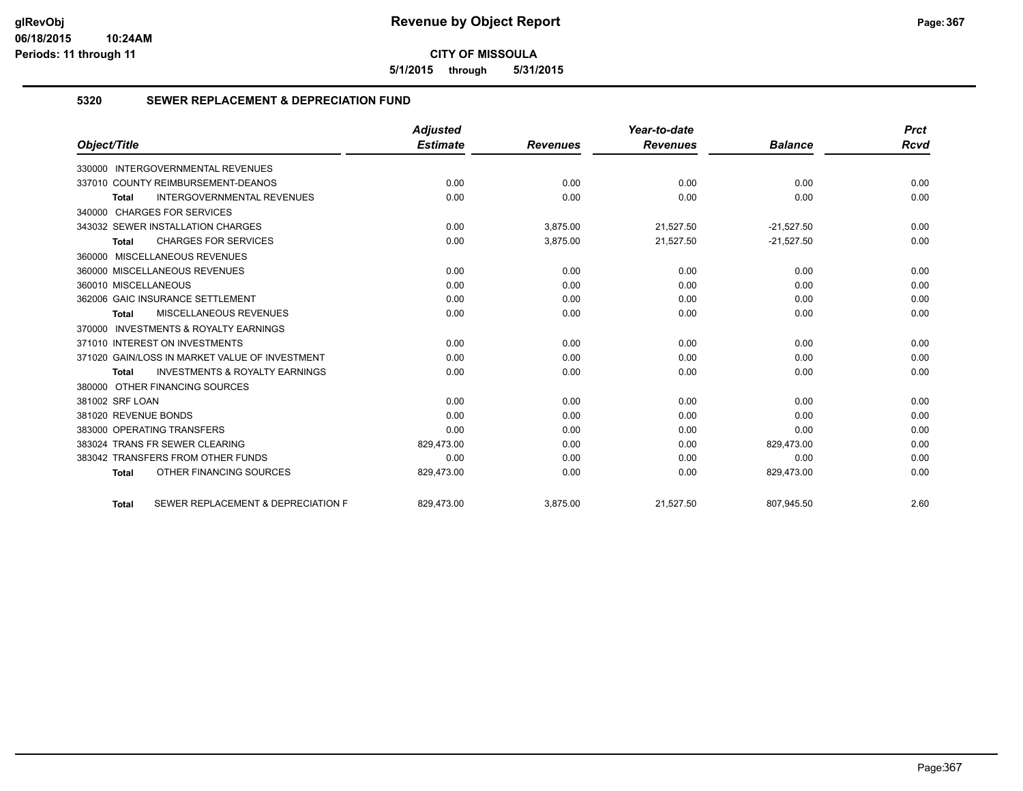**5/1/2015 through 5/31/2015**

## **5320 SEWER REPLACEMENT & DEPRECIATION FUND**

|                                                           | <b>Adjusted</b> |                 | Year-to-date    |                | <b>Prct</b> |
|-----------------------------------------------------------|-----------------|-----------------|-----------------|----------------|-------------|
| Object/Title                                              | <b>Estimate</b> | <b>Revenues</b> | <b>Revenues</b> | <b>Balance</b> | <b>Rcvd</b> |
| 330000 INTERGOVERNMENTAL REVENUES                         |                 |                 |                 |                |             |
| 337010 COUNTY REIMBURSEMENT-DEANOS                        | 0.00            | 0.00            | 0.00            | 0.00           | 0.00        |
| <b>INTERGOVERNMENTAL REVENUES</b><br><b>Total</b>         | 0.00            | 0.00            | 0.00            | 0.00           | 0.00        |
| 340000 CHARGES FOR SERVICES                               |                 |                 |                 |                |             |
| 343032 SEWER INSTALLATION CHARGES                         | 0.00            | 3,875.00        | 21,527.50       | $-21,527.50$   | 0.00        |
| <b>CHARGES FOR SERVICES</b><br><b>Total</b>               | 0.00            | 3,875.00        | 21,527.50       | $-21,527.50$   | 0.00        |
| 360000 MISCELLANEOUS REVENUES                             |                 |                 |                 |                |             |
| 360000 MISCELLANEOUS REVENUES                             | 0.00            | 0.00            | 0.00            | 0.00           | 0.00        |
| 360010 MISCELLANEOUS                                      | 0.00            | 0.00            | 0.00            | 0.00           | 0.00        |
| 362006 GAIC INSURANCE SETTLEMENT                          | 0.00            | 0.00            | 0.00            | 0.00           | 0.00        |
| <b>MISCELLANEOUS REVENUES</b><br>Total                    | 0.00            | 0.00            | 0.00            | 0.00           | 0.00        |
| 370000 INVESTMENTS & ROYALTY EARNINGS                     |                 |                 |                 |                |             |
| 371010 INTEREST ON INVESTMENTS                            | 0.00            | 0.00            | 0.00            | 0.00           | 0.00        |
| 371020 GAIN/LOSS IN MARKET VALUE OF INVESTMENT            | 0.00            | 0.00            | 0.00            | 0.00           | 0.00        |
| <b>INVESTMENTS &amp; ROYALTY EARNINGS</b><br><b>Total</b> | 0.00            | 0.00            | 0.00            | 0.00           | 0.00        |
| 380000 OTHER FINANCING SOURCES                            |                 |                 |                 |                |             |
| 381002 SRF LOAN                                           | 0.00            | 0.00            | 0.00            | 0.00           | 0.00        |
| 381020 REVENUE BONDS                                      | 0.00            | 0.00            | 0.00            | 0.00           | 0.00        |
| 383000 OPERATING TRANSFERS                                | 0.00            | 0.00            | 0.00            | 0.00           | 0.00        |
| 383024 TRANS FR SEWER CLEARING                            | 829,473.00      | 0.00            | 0.00            | 829,473.00     | 0.00        |
| 383042 TRANSFERS FROM OTHER FUNDS                         | 0.00            | 0.00            | 0.00            | 0.00           | 0.00        |
| OTHER FINANCING SOURCES<br><b>Total</b>                   | 829,473.00      | 0.00            | 0.00            | 829,473.00     | 0.00        |
| SEWER REPLACEMENT & DEPRECIATION F<br><b>Total</b>        | 829.473.00      | 3.875.00        | 21,527.50       | 807.945.50     | 2.60        |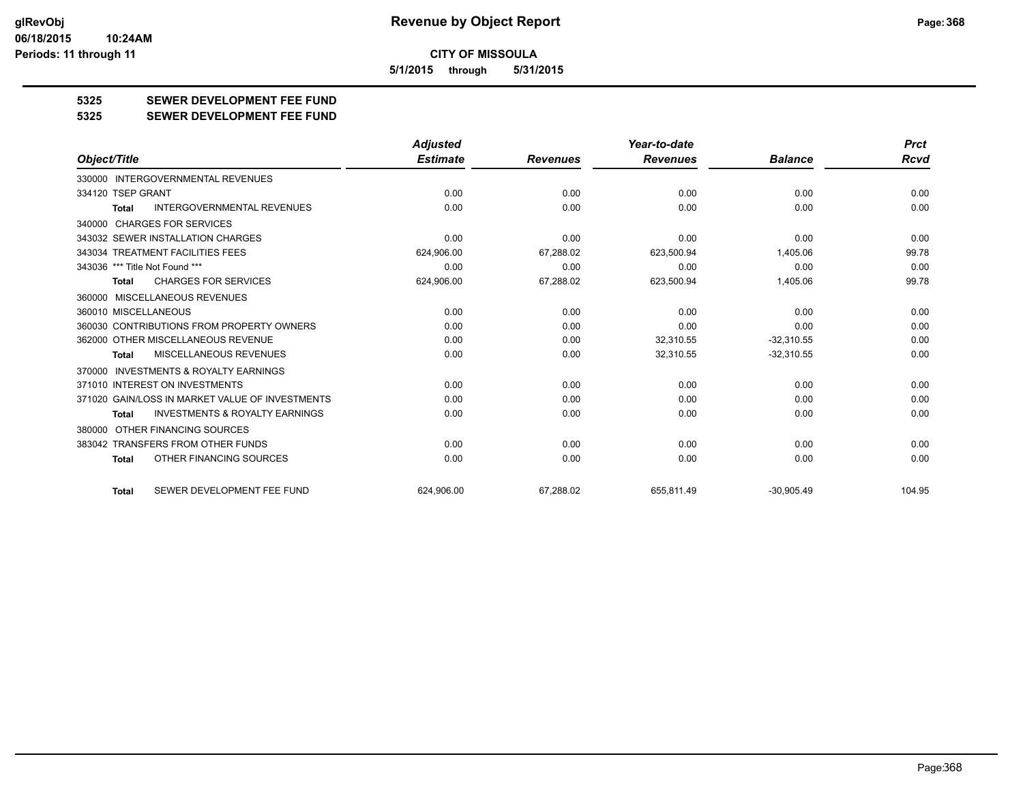**5/1/2015 through 5/31/2015**

# **5325 SEWER DEVELOPMENT FEE FUND**

**5325 SEWER DEVELOPMENT FEE FUND**

|                                                           | <b>Adjusted</b> |                 | Year-to-date    |                | <b>Prct</b> |
|-----------------------------------------------------------|-----------------|-----------------|-----------------|----------------|-------------|
| Object/Title                                              | <b>Estimate</b> | <b>Revenues</b> | <b>Revenues</b> | <b>Balance</b> | <b>Rcvd</b> |
| 330000 INTERGOVERNMENTAL REVENUES                         |                 |                 |                 |                |             |
| 334120 TSEP GRANT                                         | 0.00            | 0.00            | 0.00            | 0.00           | 0.00        |
| <b>INTERGOVERNMENTAL REVENUES</b><br><b>Total</b>         | 0.00            | 0.00            | 0.00            | 0.00           | 0.00        |
| 340000 CHARGES FOR SERVICES                               |                 |                 |                 |                |             |
| 343032 SEWER INSTALLATION CHARGES                         | 0.00            | 0.00            | 0.00            | 0.00           | 0.00        |
| 343034 TREATMENT FACILITIES FEES                          | 624,906.00      | 67,288.02       | 623,500.94      | 1,405.06       | 99.78       |
| 343036 *** Title Not Found ***                            | 0.00            | 0.00            | 0.00            | 0.00           | 0.00        |
| <b>CHARGES FOR SERVICES</b><br>Total                      | 624,906.00      | 67,288.02       | 623,500.94      | 1,405.06       | 99.78       |
| 360000 MISCELLANEOUS REVENUES                             |                 |                 |                 |                |             |
| 360010 MISCELLANEOUS                                      | 0.00            | 0.00            | 0.00            | 0.00           | 0.00        |
| 360030 CONTRIBUTIONS FROM PROPERTY OWNERS                 | 0.00            | 0.00            | 0.00            | 0.00           | 0.00        |
| 362000 OTHER MISCELLANEOUS REVENUE                        | 0.00            | 0.00            | 32,310.55       | $-32,310.55$   | 0.00        |
| <b>MISCELLANEOUS REVENUES</b><br><b>Total</b>             | 0.00            | 0.00            | 32,310.55       | $-32,310.55$   | 0.00        |
| INVESTMENTS & ROYALTY EARNINGS<br>370000                  |                 |                 |                 |                |             |
| 371010 INTEREST ON INVESTMENTS                            | 0.00            | 0.00            | 0.00            | 0.00           | 0.00        |
| 371020 GAIN/LOSS IN MARKET VALUE OF INVESTMENTS           | 0.00            | 0.00            | 0.00            | 0.00           | 0.00        |
| <b>INVESTMENTS &amp; ROYALTY EARNINGS</b><br><b>Total</b> | 0.00            | 0.00            | 0.00            | 0.00           | 0.00        |
| 380000 OTHER FINANCING SOURCES                            |                 |                 |                 |                |             |
| 383042 TRANSFERS FROM OTHER FUNDS                         | 0.00            | 0.00            | 0.00            | 0.00           | 0.00        |
| OTHER FINANCING SOURCES<br>Total                          | 0.00            | 0.00            | 0.00            | 0.00           | 0.00        |
| SEWER DEVELOPMENT FEE FUND<br><b>Total</b>                | 624.906.00      | 67.288.02       | 655.811.49      | $-30.905.49$   | 104.95      |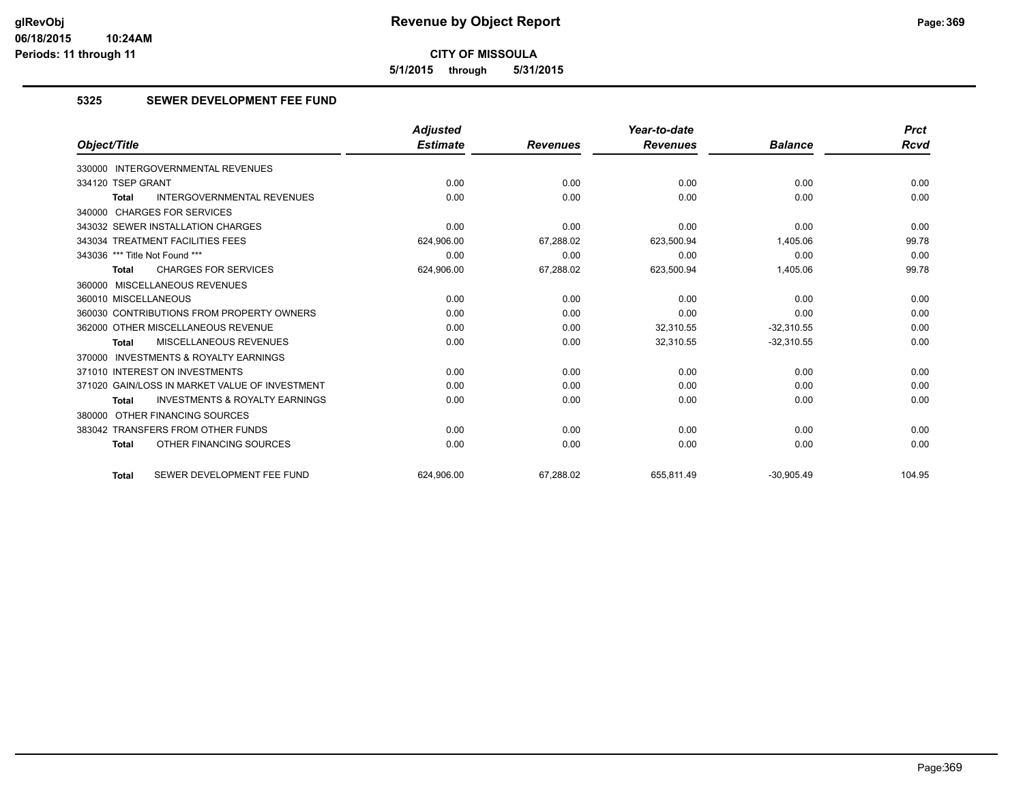**5/1/2015 through 5/31/2015**

# **5325 SEWER DEVELOPMENT FEE FUND**

|                                                    | <b>Adjusted</b> |                 | Year-to-date    |                | <b>Prct</b> |
|----------------------------------------------------|-----------------|-----------------|-----------------|----------------|-------------|
| Object/Title                                       | <b>Estimate</b> | <b>Revenues</b> | <b>Revenues</b> | <b>Balance</b> | Rcvd        |
| 330000 INTERGOVERNMENTAL REVENUES                  |                 |                 |                 |                |             |
| 334120 TSEP GRANT                                  | 0.00            | 0.00            | 0.00            | 0.00           | 0.00        |
| <b>INTERGOVERNMENTAL REVENUES</b><br>Total         | 0.00            | 0.00            | 0.00            | 0.00           | 0.00        |
| 340000 CHARGES FOR SERVICES                        |                 |                 |                 |                |             |
| 343032 SEWER INSTALLATION CHARGES                  | 0.00            | 0.00            | 0.00            | 0.00           | 0.00        |
| 343034 TREATMENT FACILITIES FEES                   | 624,906.00      | 67,288.02       | 623,500.94      | 1,405.06       | 99.78       |
| 343036 *** Title Not Found ***                     | 0.00            | 0.00            | 0.00            | 0.00           | 0.00        |
| <b>CHARGES FOR SERVICES</b><br><b>Total</b>        | 624,906.00      | 67,288.02       | 623,500.94      | 1,405.06       | 99.78       |
| 360000 MISCELLANEOUS REVENUES                      |                 |                 |                 |                |             |
| 360010 MISCELLANEOUS                               | 0.00            | 0.00            | 0.00            | 0.00           | 0.00        |
| 360030 CONTRIBUTIONS FROM PROPERTY OWNERS          | 0.00            | 0.00            | 0.00            | 0.00           | 0.00        |
| 362000 OTHER MISCELLANEOUS REVENUE                 | 0.00            | 0.00            | 32.310.55       | $-32,310.55$   | 0.00        |
| <b>MISCELLANEOUS REVENUES</b><br><b>Total</b>      | 0.00            | 0.00            | 32,310.55       | $-32,310.55$   | 0.00        |
| 370000 INVESTMENTS & ROYALTY EARNINGS              |                 |                 |                 |                |             |
| 371010 INTEREST ON INVESTMENTS                     | 0.00            | 0.00            | 0.00            | 0.00           | 0.00        |
| 371020 GAIN/LOSS IN MARKET VALUE OF INVESTMENT     | 0.00            | 0.00            | 0.00            | 0.00           | 0.00        |
| <b>INVESTMENTS &amp; ROYALTY EARNINGS</b><br>Total | 0.00            | 0.00            | 0.00            | 0.00           | 0.00        |
| 380000 OTHER FINANCING SOURCES                     |                 |                 |                 |                |             |
| 383042 TRANSFERS FROM OTHER FUNDS                  | 0.00            | 0.00            | 0.00            | 0.00           | 0.00        |
| OTHER FINANCING SOURCES<br><b>Total</b>            | 0.00            | 0.00            | 0.00            | 0.00           | 0.00        |
| SEWER DEVELOPMENT FEE FUND<br><b>Total</b>         | 624.906.00      | 67.288.02       | 655.811.49      | $-30.905.49$   | 104.95      |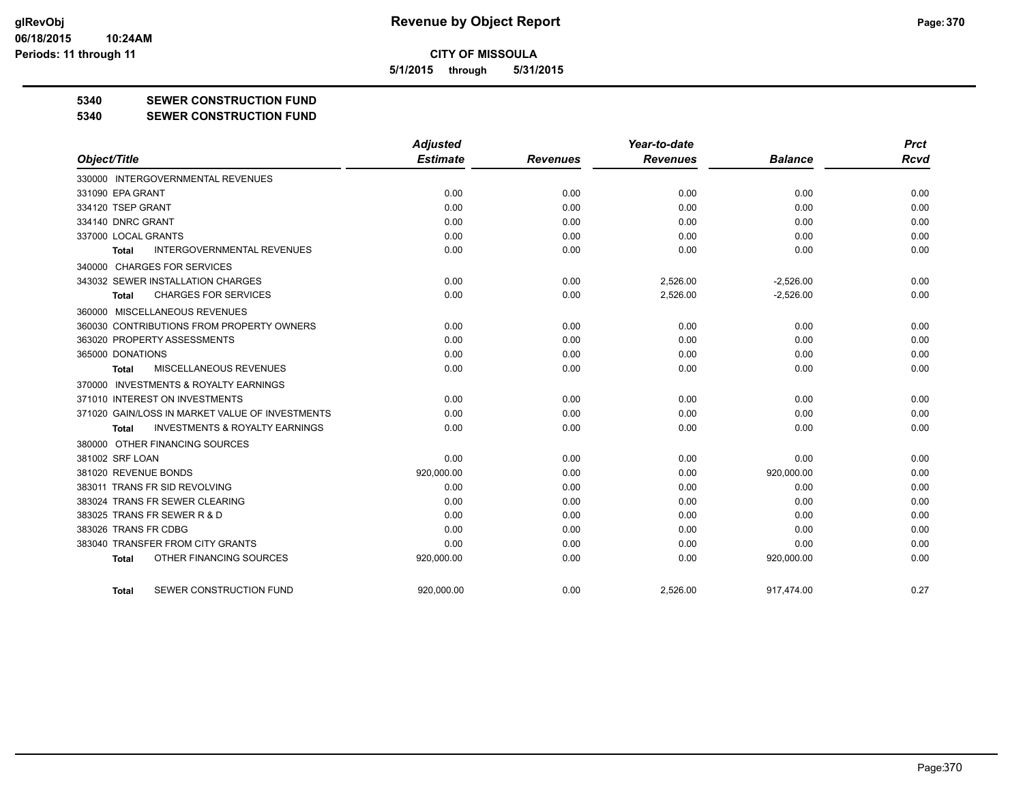**5/1/2015 through 5/31/2015**

### **5340 SEWER CONSTRUCTION FUND**

**5340 SEWER CONSTRUCTION FUND**

|                                                     | <b>Adjusted</b> |                 | Year-to-date    |                | <b>Prct</b> |
|-----------------------------------------------------|-----------------|-----------------|-----------------|----------------|-------------|
| Object/Title                                        | <b>Estimate</b> | <b>Revenues</b> | <b>Revenues</b> | <b>Balance</b> | <b>Rcvd</b> |
| 330000 INTERGOVERNMENTAL REVENUES                   |                 |                 |                 |                |             |
| 331090 EPA GRANT                                    | 0.00            | 0.00            | 0.00            | 0.00           | 0.00        |
| 334120 TSEP GRANT                                   | 0.00            | 0.00            | 0.00            | 0.00           | 0.00        |
| 334140 DNRC GRANT                                   | 0.00            | 0.00            | 0.00            | 0.00           | 0.00        |
| 337000 LOCAL GRANTS                                 | 0.00            | 0.00            | 0.00            | 0.00           | 0.00        |
| <b>INTERGOVERNMENTAL REVENUES</b><br><b>Total</b>   | 0.00            | 0.00            | 0.00            | 0.00           | 0.00        |
| 340000 CHARGES FOR SERVICES                         |                 |                 |                 |                |             |
| 343032 SEWER INSTALLATION CHARGES                   | 0.00            | 0.00            | 2,526.00        | $-2,526.00$    | 0.00        |
| <b>CHARGES FOR SERVICES</b><br>Total                | 0.00            | 0.00            | 2,526.00        | $-2,526.00$    | 0.00        |
| 360000 MISCELLANEOUS REVENUES                       |                 |                 |                 |                |             |
| 360030 CONTRIBUTIONS FROM PROPERTY OWNERS           | 0.00            | 0.00            | 0.00            | 0.00           | 0.00        |
| 363020 PROPERTY ASSESSMENTS                         | 0.00            | 0.00            | 0.00            | 0.00           | 0.00        |
| 365000 DONATIONS                                    | 0.00            | 0.00            | 0.00            | 0.00           | 0.00        |
| MISCELLANEOUS REVENUES<br>Total                     | 0.00            | 0.00            | 0.00            | 0.00           | 0.00        |
| <b>INVESTMENTS &amp; ROYALTY EARNINGS</b><br>370000 |                 |                 |                 |                |             |
| 371010 INTEREST ON INVESTMENTS                      | 0.00            | 0.00            | 0.00            | 0.00           | 0.00        |
| 371020 GAIN/LOSS IN MARKET VALUE OF INVESTMENTS     | 0.00            | 0.00            | 0.00            | 0.00           | 0.00        |
| <b>INVESTMENTS &amp; ROYALTY EARNINGS</b><br>Total  | 0.00            | 0.00            | 0.00            | 0.00           | 0.00        |
| 380000 OTHER FINANCING SOURCES                      |                 |                 |                 |                |             |
| 381002 SRF LOAN                                     | 0.00            | 0.00            | 0.00            | 0.00           | 0.00        |
| 381020 REVENUE BONDS                                | 920,000.00      | 0.00            | 0.00            | 920,000.00     | 0.00        |
| 383011 TRANS FR SID REVOLVING                       | 0.00            | 0.00            | 0.00            | 0.00           | 0.00        |
| 383024 TRANS FR SEWER CLEARING                      | 0.00            | 0.00            | 0.00            | 0.00           | 0.00        |
| 383025 TRANS FR SEWER R & D                         | 0.00            | 0.00            | 0.00            | 0.00           | 0.00        |
| 383026 TRANS FR CDBG                                | 0.00            | 0.00            | 0.00            | 0.00           | 0.00        |
| 383040 TRANSFER FROM CITY GRANTS                    | 0.00            | 0.00            | 0.00            | 0.00           | 0.00        |
| OTHER FINANCING SOURCES<br><b>Total</b>             | 920,000.00      | 0.00            | 0.00            | 920,000.00     | 0.00        |
| SEWER CONSTRUCTION FUND<br>Total                    | 920.000.00      | 0.00            | 2,526.00        | 917.474.00     | 0.27        |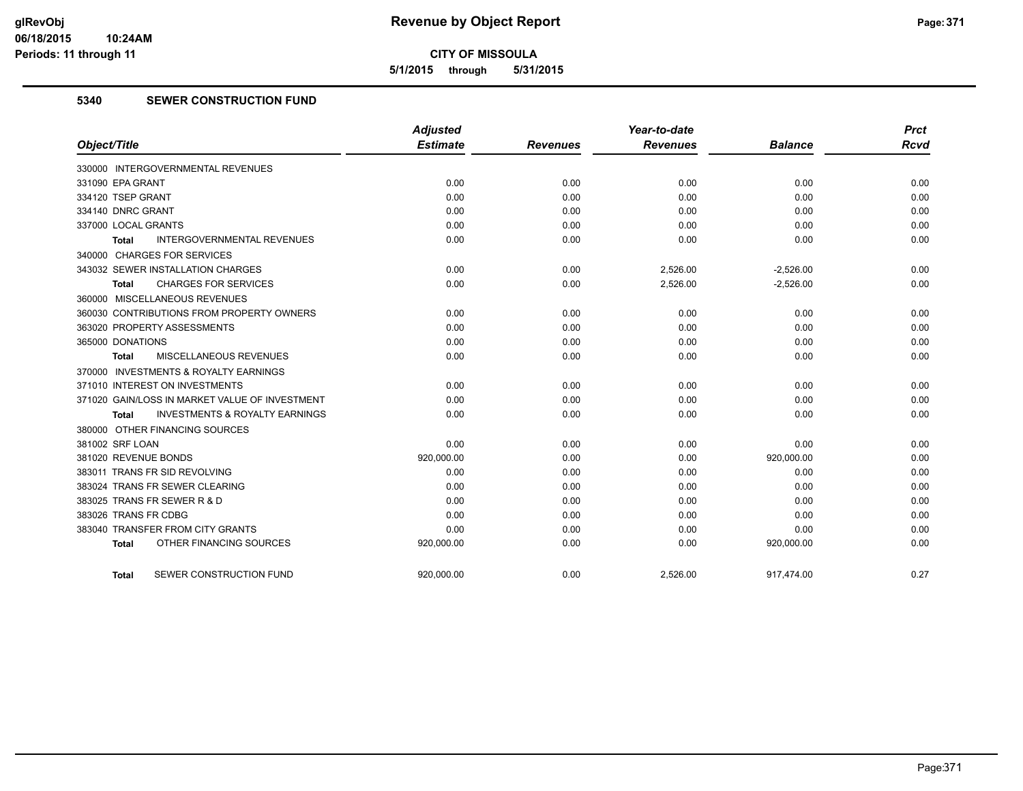**5/1/2015 through 5/31/2015**

# **5340 SEWER CONSTRUCTION FUND**

|                                                    | <b>Adjusted</b> |                 | Year-to-date    |                | <b>Prct</b> |
|----------------------------------------------------|-----------------|-----------------|-----------------|----------------|-------------|
| Object/Title                                       | <b>Estimate</b> | <b>Revenues</b> | <b>Revenues</b> | <b>Balance</b> | <b>Rcvd</b> |
| 330000 INTERGOVERNMENTAL REVENUES                  |                 |                 |                 |                |             |
| 331090 EPA GRANT                                   | 0.00            | 0.00            | 0.00            | 0.00           | 0.00        |
| 334120 TSEP GRANT                                  | 0.00            | 0.00            | 0.00            | 0.00           | 0.00        |
| 334140 DNRC GRANT                                  | 0.00            | 0.00            | 0.00            | 0.00           | 0.00        |
| 337000 LOCAL GRANTS                                | 0.00            | 0.00            | 0.00            | 0.00           | 0.00        |
| <b>INTERGOVERNMENTAL REVENUES</b><br>Total         | 0.00            | 0.00            | 0.00            | 0.00           | 0.00        |
| 340000 CHARGES FOR SERVICES                        |                 |                 |                 |                |             |
| 343032 SEWER INSTALLATION CHARGES                  | 0.00            | 0.00            | 2,526.00        | $-2,526.00$    | 0.00        |
| <b>CHARGES FOR SERVICES</b><br>Total               | 0.00            | 0.00            | 2,526.00        | $-2,526.00$    | 0.00        |
| 360000 MISCELLANEOUS REVENUES                      |                 |                 |                 |                |             |
| 360030 CONTRIBUTIONS FROM PROPERTY OWNERS          | 0.00            | 0.00            | 0.00            | 0.00           | 0.00        |
| 363020 PROPERTY ASSESSMENTS                        | 0.00            | 0.00            | 0.00            | 0.00           | 0.00        |
| 365000 DONATIONS                                   | 0.00            | 0.00            | 0.00            | 0.00           | 0.00        |
| MISCELLANEOUS REVENUES<br>Total                    | 0.00            | 0.00            | 0.00            | 0.00           | 0.00        |
| 370000 INVESTMENTS & ROYALTY EARNINGS              |                 |                 |                 |                |             |
| 371010 INTEREST ON INVESTMENTS                     | 0.00            | 0.00            | 0.00            | 0.00           | 0.00        |
| 371020 GAIN/LOSS IN MARKET VALUE OF INVESTMENT     | 0.00            | 0.00            | 0.00            | 0.00           | 0.00        |
| <b>INVESTMENTS &amp; ROYALTY EARNINGS</b><br>Total | 0.00            | 0.00            | 0.00            | 0.00           | 0.00        |
| 380000 OTHER FINANCING SOURCES                     |                 |                 |                 |                |             |
| 381002 SRF LOAN                                    | 0.00            | 0.00            | 0.00            | 0.00           | 0.00        |
| 381020 REVENUE BONDS                               | 920,000.00      | 0.00            | 0.00            | 920,000.00     | 0.00        |
| 383011 TRANS FR SID REVOLVING                      | 0.00            | 0.00            | 0.00            | 0.00           | 0.00        |
| 383024 TRANS FR SEWER CLEARING                     | 0.00            | 0.00            | 0.00            | 0.00           | 0.00        |
| 383025 TRANS FR SEWER R & D                        | 0.00            | 0.00            | 0.00            | 0.00           | 0.00        |
| 383026 TRANS FR CDBG                               | 0.00            | 0.00            | 0.00            | 0.00           | 0.00        |
| 383040 TRANSFER FROM CITY GRANTS                   | 0.00            | 0.00            | 0.00            | 0.00           | 0.00        |
| OTHER FINANCING SOURCES<br><b>Total</b>            | 920,000.00      | 0.00            | 0.00            | 920,000.00     | 0.00        |
| SEWER CONSTRUCTION FUND<br><b>Total</b>            | 920,000.00      | 0.00            | 2,526.00        | 917,474.00     | 0.27        |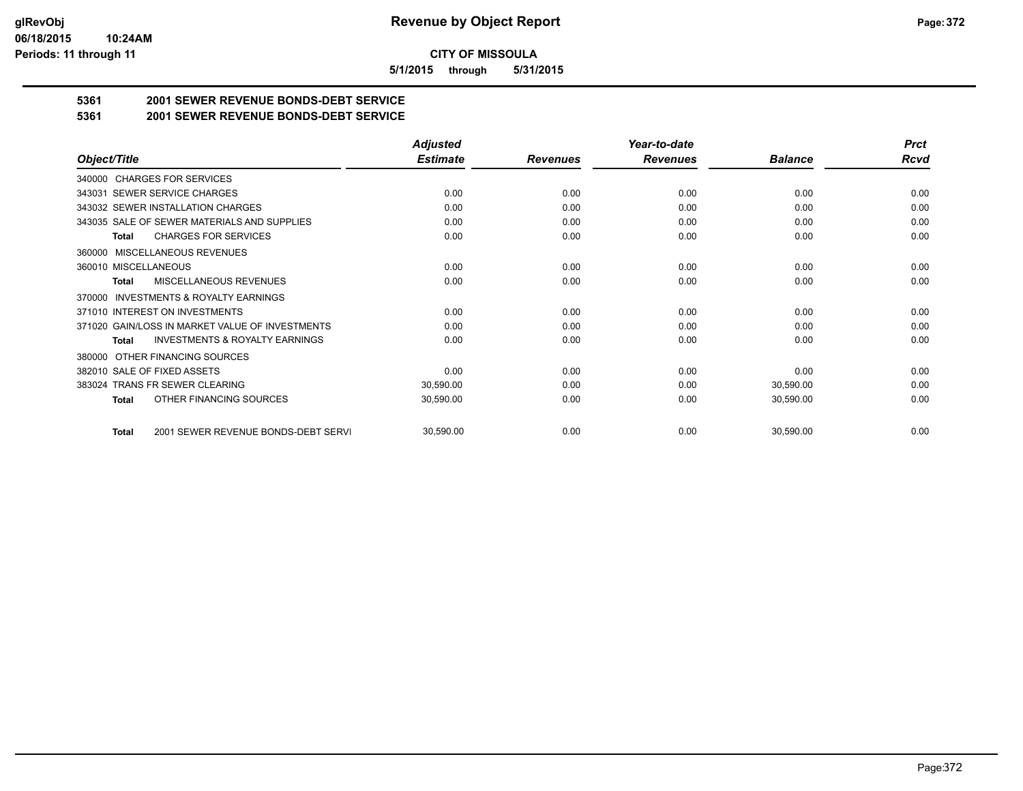**5/1/2015 through 5/31/2015**

# **5361 2001 SEWER REVENUE BONDS-DEBT SERVICE**

**5361 2001 SEWER REVENUE BONDS-DEBT SERVICE**

|                                                           | <b>Adjusted</b> |                 | Year-to-date    |                | <b>Prct</b> |
|-----------------------------------------------------------|-----------------|-----------------|-----------------|----------------|-------------|
| Object/Title                                              | <b>Estimate</b> | <b>Revenues</b> | <b>Revenues</b> | <b>Balance</b> | <b>Rcvd</b> |
| 340000 CHARGES FOR SERVICES                               |                 |                 |                 |                |             |
| <b>SEWER SERVICE CHARGES</b><br>343031                    | 0.00            | 0.00            | 0.00            | 0.00           | 0.00        |
| 343032 SEWER INSTALLATION CHARGES                         | 0.00            | 0.00            | 0.00            | 0.00           | 0.00        |
| 343035 SALE OF SEWER MATERIALS AND SUPPLIES               | 0.00            | 0.00            | 0.00            | 0.00           | 0.00        |
| <b>CHARGES FOR SERVICES</b><br><b>Total</b>               | 0.00            | 0.00            | 0.00            | 0.00           | 0.00        |
| <b>MISCELLANEOUS REVENUES</b><br>360000                   |                 |                 |                 |                |             |
| 360010 MISCELLANEOUS                                      | 0.00            | 0.00            | 0.00            | 0.00           | 0.00        |
| <b>MISCELLANEOUS REVENUES</b><br>Total                    | 0.00            | 0.00            | 0.00            | 0.00           | 0.00        |
| <b>INVESTMENTS &amp; ROYALTY EARNINGS</b><br>370000       |                 |                 |                 |                |             |
| 371010 INTEREST ON INVESTMENTS                            | 0.00            | 0.00            | 0.00            | 0.00           | 0.00        |
| 371020 GAIN/LOSS IN MARKET VALUE OF INVESTMENTS           | 0.00            | 0.00            | 0.00            | 0.00           | 0.00        |
| <b>INVESTMENTS &amp; ROYALTY EARNINGS</b><br><b>Total</b> | 0.00            | 0.00            | 0.00            | 0.00           | 0.00        |
| OTHER FINANCING SOURCES<br>380000                         |                 |                 |                 |                |             |
| 382010 SALE OF FIXED ASSETS                               | 0.00            | 0.00            | 0.00            | 0.00           | 0.00        |
| 383024 TRANS FR SEWER CLEARING                            | 30,590.00       | 0.00            | 0.00            | 30,590.00      | 0.00        |
| OTHER FINANCING SOURCES<br><b>Total</b>                   | 30,590.00       | 0.00            | 0.00            | 30,590.00      | 0.00        |
|                                                           |                 |                 |                 |                |             |
| 2001 SEWER REVENUE BONDS-DEBT SERVI<br><b>Total</b>       | 30,590.00       | 0.00            | 0.00            | 30,590.00      | 0.00        |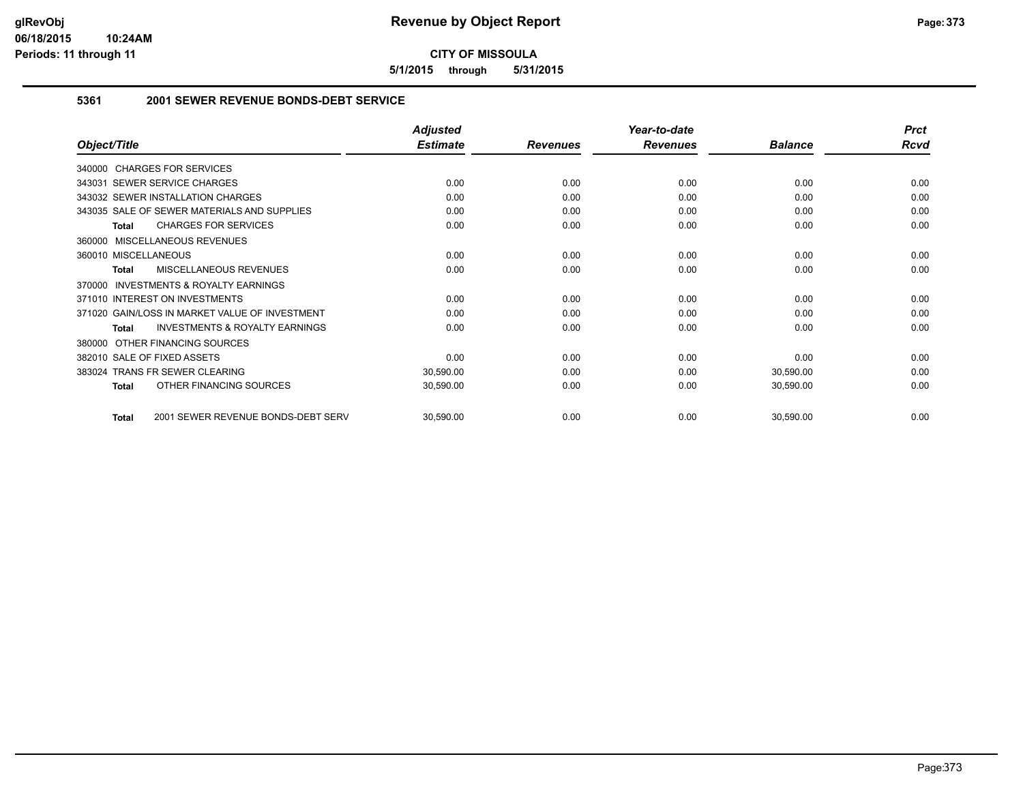**5/1/2015 through 5/31/2015**

### **5361 2001 SEWER REVENUE BONDS-DEBT SERVICE**

|                                                     | <b>Adjusted</b> |                 | Year-to-date    |                | <b>Prct</b> |
|-----------------------------------------------------|-----------------|-----------------|-----------------|----------------|-------------|
| Object/Title                                        | <b>Estimate</b> | <b>Revenues</b> | <b>Revenues</b> | <b>Balance</b> | <b>Rcvd</b> |
| 340000 CHARGES FOR SERVICES                         |                 |                 |                 |                |             |
| 343031 SEWER SERVICE CHARGES                        | 0.00            | 0.00            | 0.00            | 0.00           | 0.00        |
| 343032 SEWER INSTALLATION CHARGES                   | 0.00            | 0.00            | 0.00            | 0.00           | 0.00        |
| 343035 SALE OF SEWER MATERIALS AND SUPPLIES         | 0.00            | 0.00            | 0.00            | 0.00           | 0.00        |
| <b>CHARGES FOR SERVICES</b><br><b>Total</b>         | 0.00            | 0.00            | 0.00            | 0.00           | 0.00        |
| 360000 MISCELLANEOUS REVENUES                       |                 |                 |                 |                |             |
| 360010 MISCELLANEOUS                                | 0.00            | 0.00            | 0.00            | 0.00           | 0.00        |
| <b>MISCELLANEOUS REVENUES</b><br><b>Total</b>       | 0.00            | 0.00            | 0.00            | 0.00           | 0.00        |
| <b>INVESTMENTS &amp; ROYALTY EARNINGS</b><br>370000 |                 |                 |                 |                |             |
| 371010 INTEREST ON INVESTMENTS                      | 0.00            | 0.00            | 0.00            | 0.00           | 0.00        |
| 371020 GAIN/LOSS IN MARKET VALUE OF INVESTMENT      | 0.00            | 0.00            | 0.00            | 0.00           | 0.00        |
| <b>INVESTMENTS &amp; ROYALTY EARNINGS</b><br>Total  | 0.00            | 0.00            | 0.00            | 0.00           | 0.00        |
| OTHER FINANCING SOURCES<br>380000                   |                 |                 |                 |                |             |
| 382010 SALE OF FIXED ASSETS                         | 0.00            | 0.00            | 0.00            | 0.00           | 0.00        |
| 383024 TRANS FR SEWER CLEARING                      | 30,590.00       | 0.00            | 0.00            | 30,590.00      | 0.00        |
| OTHER FINANCING SOURCES<br><b>Total</b>             | 30,590.00       | 0.00            | 0.00            | 30,590.00      | 0.00        |
| 2001 SEWER REVENUE BONDS-DEBT SERV<br><b>Total</b>  | 30,590.00       | 0.00            | 0.00            | 30,590.00      | 0.00        |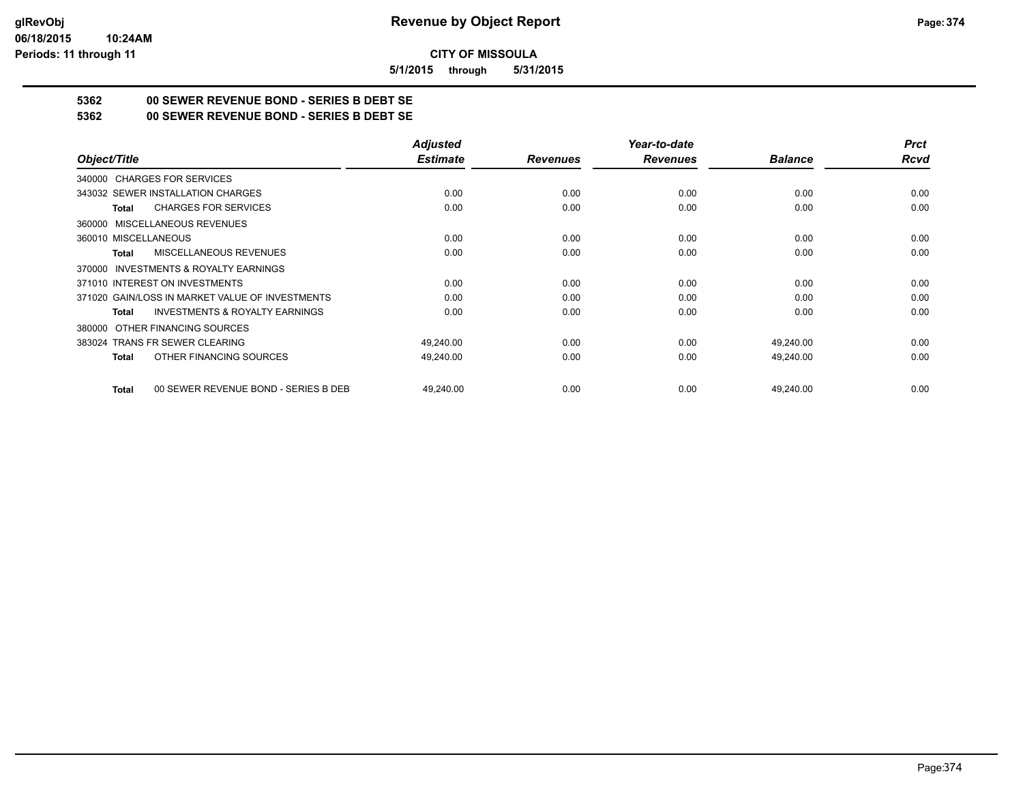**5/1/2015 through 5/31/2015**

# **5362 00 SEWER REVENUE BOND - SERIES B DEBT SE**

**5362 00 SEWER REVENUE BOND - SERIES B DEBT SE**

|                                                      | <b>Adjusted</b> |                 | Year-to-date    |                | <b>Prct</b> |
|------------------------------------------------------|-----------------|-----------------|-----------------|----------------|-------------|
| Object/Title                                         | <b>Estimate</b> | <b>Revenues</b> | <b>Revenues</b> | <b>Balance</b> | Rcvd        |
| 340000 CHARGES FOR SERVICES                          |                 |                 |                 |                |             |
| 343032 SEWER INSTALLATION CHARGES                    | 0.00            | 0.00            | 0.00            | 0.00           | 0.00        |
| <b>CHARGES FOR SERVICES</b><br><b>Total</b>          | 0.00            | 0.00            | 0.00            | 0.00           | 0.00        |
| 360000 MISCELLANEOUS REVENUES                        |                 |                 |                 |                |             |
| 360010 MISCELLANEOUS                                 | 0.00            | 0.00            | 0.00            | 0.00           | 0.00        |
| MISCELLANEOUS REVENUES<br>Total                      | 0.00            | 0.00            | 0.00            | 0.00           | 0.00        |
| 370000 INVESTMENTS & ROYALTY EARNINGS                |                 |                 |                 |                |             |
| 371010 INTEREST ON INVESTMENTS                       | 0.00            | 0.00            | 0.00            | 0.00           | 0.00        |
| 371020 GAIN/LOSS IN MARKET VALUE OF INVESTMENTS      | 0.00            | 0.00            | 0.00            | 0.00           | 0.00        |
| <b>INVESTMENTS &amp; ROYALTY EARNINGS</b><br>Total   | 0.00            | 0.00            | 0.00            | 0.00           | 0.00        |
| 380000 OTHER FINANCING SOURCES                       |                 |                 |                 |                |             |
| 383024 TRANS FR SEWER CLEARING                       | 49,240.00       | 0.00            | 0.00            | 49,240.00      | 0.00        |
| OTHER FINANCING SOURCES<br>Total                     | 49,240.00       | 0.00            | 0.00            | 49,240.00      | 0.00        |
| 00 SEWER REVENUE BOND - SERIES B DEB<br><b>Total</b> | 49.240.00       | 0.00            | 0.00            | 49,240.00      | 0.00        |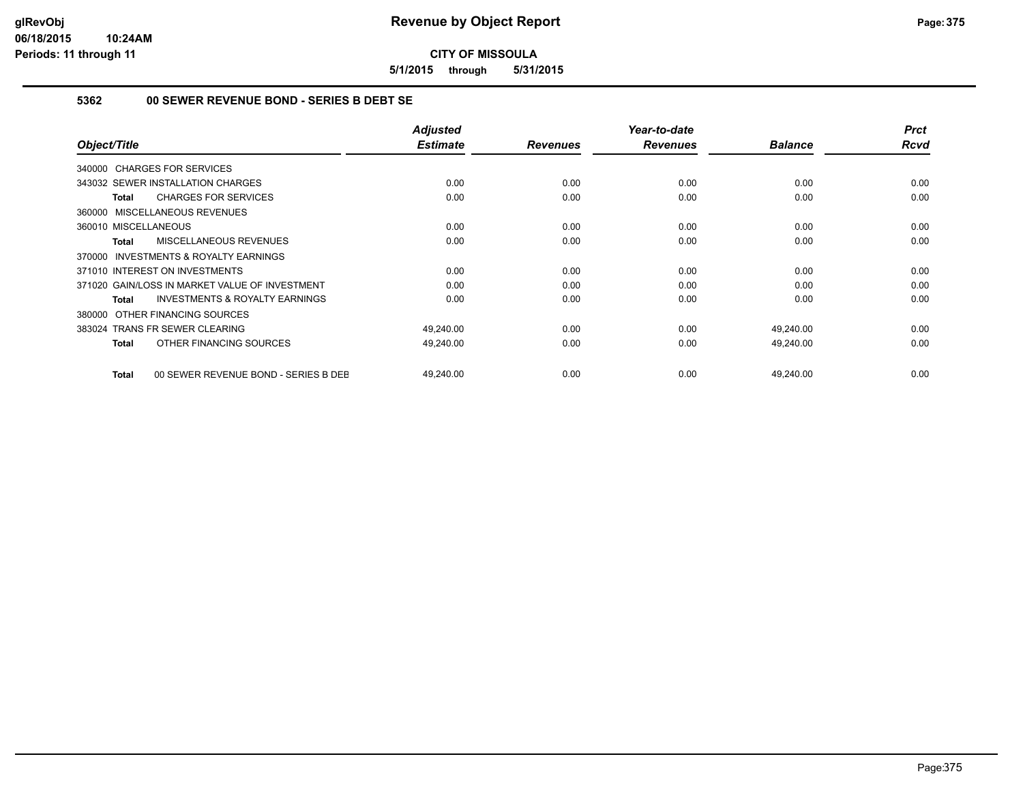**5/1/2015 through 5/31/2015**

## **5362 00 SEWER REVENUE BOND - SERIES B DEBT SE**

| Object/Title                                              | <b>Adjusted</b><br><b>Estimate</b> | <b>Revenues</b> | Year-to-date<br><b>Revenues</b> | <b>Balance</b> | <b>Prct</b><br><b>Rcvd</b> |
|-----------------------------------------------------------|------------------------------------|-----------------|---------------------------------|----------------|----------------------------|
| 340000 CHARGES FOR SERVICES                               |                                    |                 |                                 |                |                            |
| 343032 SEWER INSTALLATION CHARGES                         | 0.00                               | 0.00            | 0.00                            | 0.00           | 0.00                       |
| <b>CHARGES FOR SERVICES</b><br>Total                      | 0.00                               | 0.00            | 0.00                            | 0.00           | 0.00                       |
| 360000 MISCELLANEOUS REVENUES                             |                                    |                 |                                 |                |                            |
| 360010 MISCELLANEOUS                                      | 0.00                               | 0.00            | 0.00                            | 0.00           | 0.00                       |
| MISCELLANEOUS REVENUES<br><b>Total</b>                    | 0.00                               | 0.00            | 0.00                            | 0.00           | 0.00                       |
| 370000 INVESTMENTS & ROYALTY EARNINGS                     |                                    |                 |                                 |                |                            |
| 371010 INTEREST ON INVESTMENTS                            | 0.00                               | 0.00            | 0.00                            | 0.00           | 0.00                       |
| 371020 GAIN/LOSS IN MARKET VALUE OF INVESTMENT            | 0.00                               | 0.00            | 0.00                            | 0.00           | 0.00                       |
| <b>INVESTMENTS &amp; ROYALTY EARNINGS</b><br><b>Total</b> | 0.00                               | 0.00            | 0.00                            | 0.00           | 0.00                       |
| 380000 OTHER FINANCING SOURCES                            |                                    |                 |                                 |                |                            |
| 383024 TRANS FR SEWER CLEARING                            | 49,240.00                          | 0.00            | 0.00                            | 49,240.00      | 0.00                       |
| OTHER FINANCING SOURCES<br><b>Total</b>                   | 49,240.00                          | 0.00            | 0.00                            | 49,240.00      | 0.00                       |
| 00 SEWER REVENUE BOND - SERIES B DEE<br><b>Total</b>      | 49,240.00                          | 0.00            | 0.00                            | 49,240.00      | 0.00                       |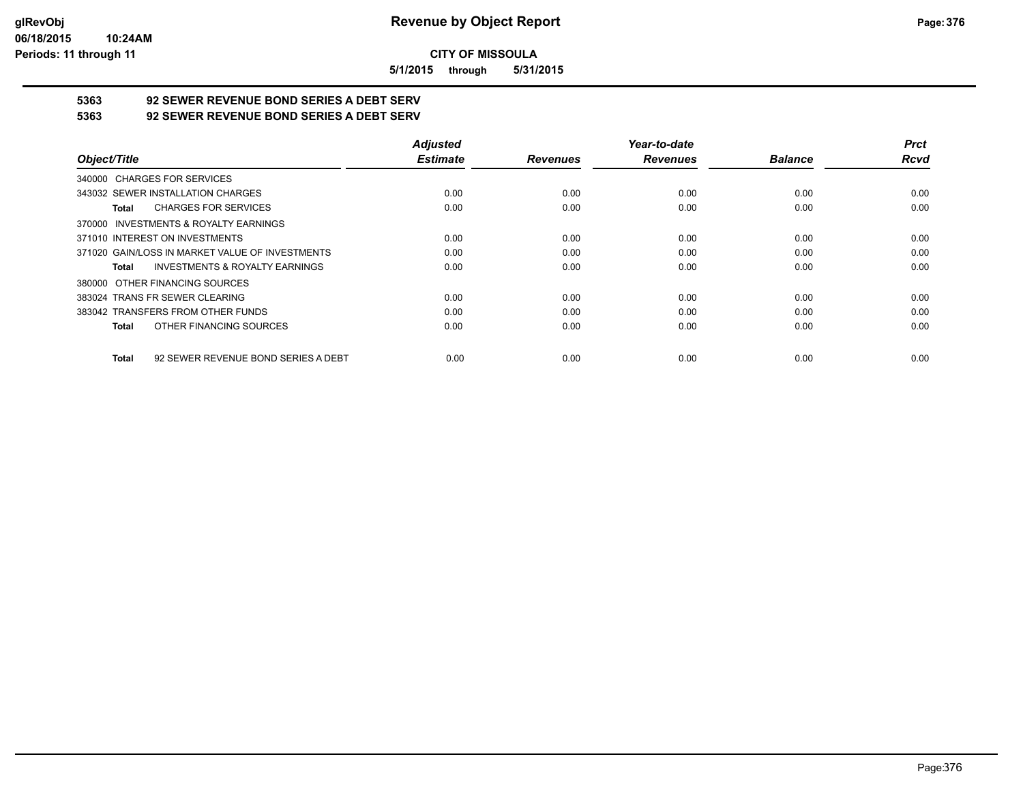**5/1/2015 through 5/31/2015**

# **5363 92 SEWER REVENUE BOND SERIES A DEBT SERV**

**5363 92 SEWER REVENUE BOND SERIES A DEBT SERV**

|                                                     | <b>Adjusted</b> |                 | Year-to-date    |                | <b>Prct</b> |
|-----------------------------------------------------|-----------------|-----------------|-----------------|----------------|-------------|
| Object/Title                                        | <b>Estimate</b> | <b>Revenues</b> | <b>Revenues</b> | <b>Balance</b> | <b>Rcvd</b> |
| 340000 CHARGES FOR SERVICES                         |                 |                 |                 |                |             |
| 343032 SEWER INSTALLATION CHARGES                   | 0.00            | 0.00            | 0.00            | 0.00           | 0.00        |
| <b>CHARGES FOR SERVICES</b><br>Total                | 0.00            | 0.00            | 0.00            | 0.00           | 0.00        |
| INVESTMENTS & ROYALTY EARNINGS<br>370000            |                 |                 |                 |                |             |
| 371010 INTEREST ON INVESTMENTS                      | 0.00            | 0.00            | 0.00            | 0.00           | 0.00        |
| 371020 GAIN/LOSS IN MARKET VALUE OF INVESTMENTS     | 0.00            | 0.00            | 0.00            | 0.00           | 0.00        |
| <b>INVESTMENTS &amp; ROYALTY EARNINGS</b><br>Total  | 0.00            | 0.00            | 0.00            | 0.00           | 0.00        |
| OTHER FINANCING SOURCES<br>380000                   |                 |                 |                 |                |             |
| 383024 TRANS FR SEWER CLEARING                      | 0.00            | 0.00            | 0.00            | 0.00           | 0.00        |
| 383042 TRANSFERS FROM OTHER FUNDS                   | 0.00            | 0.00            | 0.00            | 0.00           | 0.00        |
| OTHER FINANCING SOURCES<br>Total                    | 0.00            | 0.00            | 0.00            | 0.00           | 0.00        |
| 92 SEWER REVENUE BOND SERIES A DEBT<br><b>Total</b> | 0.00            | 0.00            | 0.00            | 0.00           | 0.00        |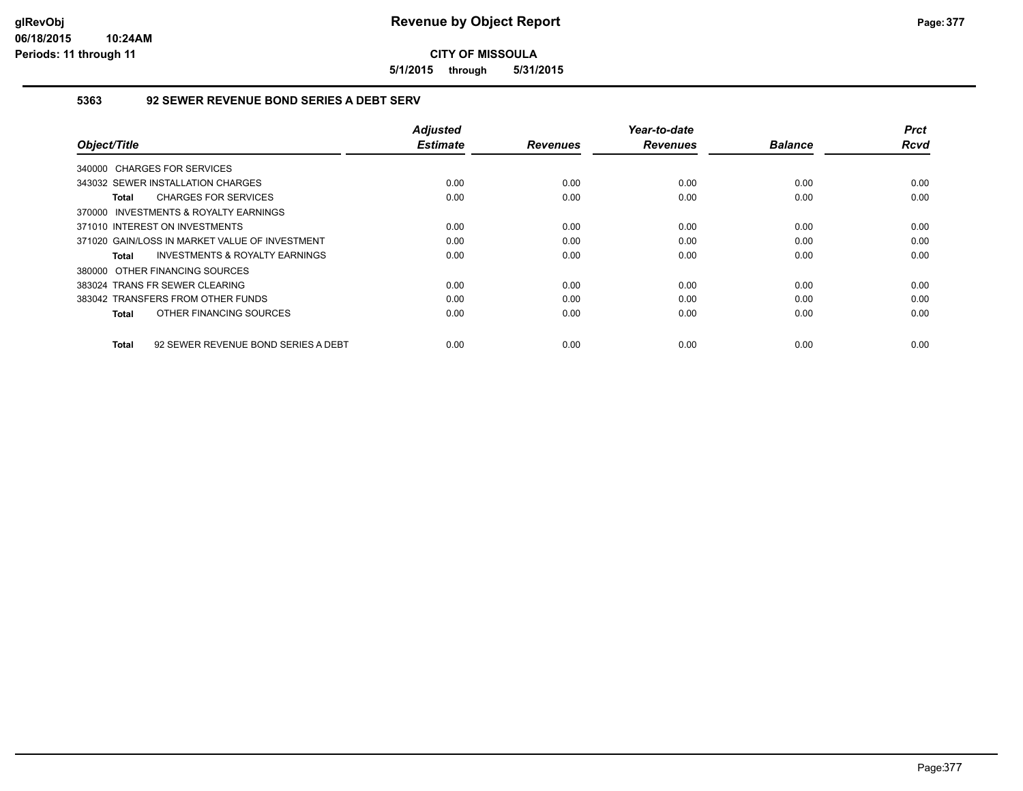**5/1/2015 through 5/31/2015**

## **5363 92 SEWER REVENUE BOND SERIES A DEBT SERV**

| Object/Title                                        | <b>Adjusted</b><br><b>Estimate</b> | <b>Revenues</b> | Year-to-date<br><b>Revenues</b> | <b>Balance</b> | <b>Prct</b><br>Rcvd |
|-----------------------------------------------------|------------------------------------|-----------------|---------------------------------|----------------|---------------------|
| 340000 CHARGES FOR SERVICES                         |                                    |                 |                                 |                |                     |
| 343032 SEWER INSTALLATION CHARGES                   | 0.00                               | 0.00            | 0.00                            | 0.00           | 0.00                |
| <b>CHARGES FOR SERVICES</b><br>Total                | 0.00                               | 0.00            | 0.00                            | 0.00           | 0.00                |
| INVESTMENTS & ROYALTY EARNINGS<br>370000            |                                    |                 |                                 |                |                     |
| 371010 INTEREST ON INVESTMENTS                      | 0.00                               | 0.00            | 0.00                            | 0.00           | 0.00                |
| 371020 GAIN/LOSS IN MARKET VALUE OF INVESTMENT      | 0.00                               | 0.00            | 0.00                            | 0.00           | 0.00                |
| <b>INVESTMENTS &amp; ROYALTY EARNINGS</b><br>Total  | 0.00                               | 0.00            | 0.00                            | 0.00           | 0.00                |
| 380000 OTHER FINANCING SOURCES                      |                                    |                 |                                 |                |                     |
| 383024 TRANS FR SEWER CLEARING                      | 0.00                               | 0.00            | 0.00                            | 0.00           | 0.00                |
| 383042 TRANSFERS FROM OTHER FUNDS                   | 0.00                               | 0.00            | 0.00                            | 0.00           | 0.00                |
| OTHER FINANCING SOURCES<br>Total                    | 0.00                               | 0.00            | 0.00                            | 0.00           | 0.00                |
| 92 SEWER REVENUE BOND SERIES A DEBT<br><b>Total</b> | 0.00                               | 0.00            | 0.00                            | 0.00           | 0.00                |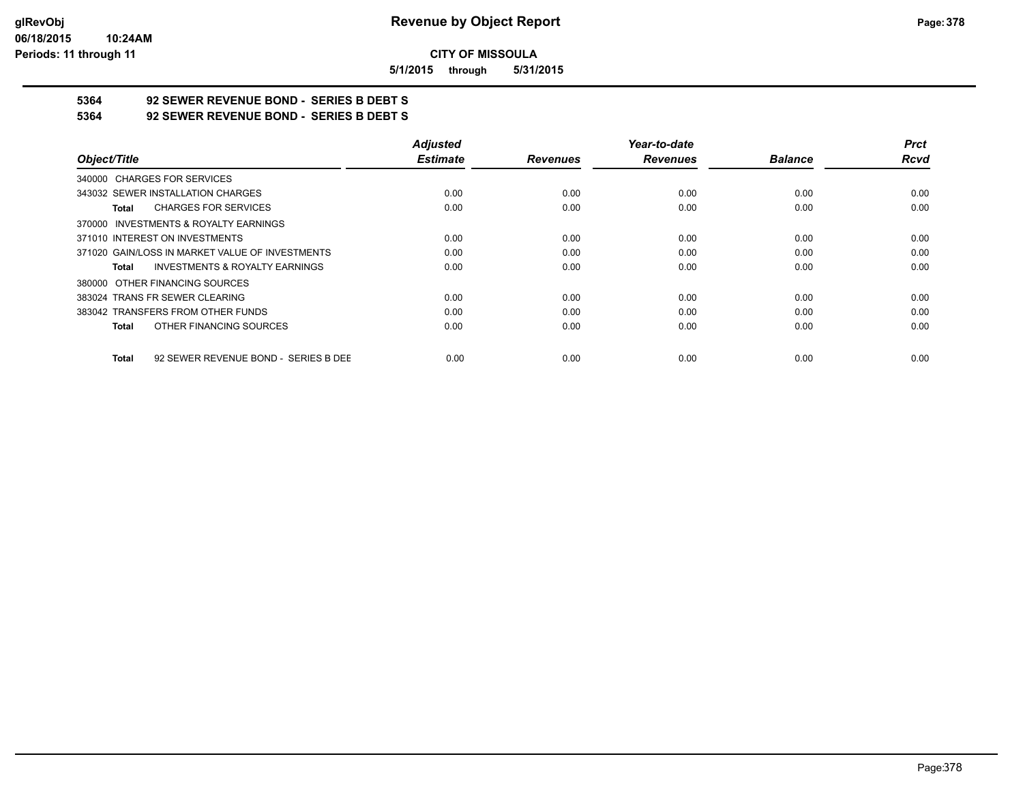**5/1/2015 through 5/31/2015**

# **5364 92 SEWER REVENUE BOND - SERIES B DEBT S**

**5364 92 SEWER REVENUE BOND - SERIES B DEBT S**

|                                                    | <b>Adjusted</b> |                 | Year-to-date    |                | <b>Prct</b> |
|----------------------------------------------------|-----------------|-----------------|-----------------|----------------|-------------|
| Object/Title                                       | <b>Estimate</b> | <b>Revenues</b> | <b>Revenues</b> | <b>Balance</b> | <b>Rcvd</b> |
| 340000 CHARGES FOR SERVICES                        |                 |                 |                 |                |             |
| 343032 SEWER INSTALLATION CHARGES                  | 0.00            | 0.00            | 0.00            | 0.00           | 0.00        |
| <b>CHARGES FOR SERVICES</b><br>Total               | 0.00            | 0.00            | 0.00            | 0.00           | 0.00        |
| 370000 INVESTMENTS & ROYALTY EARNINGS              |                 |                 |                 |                |             |
| 371010 INTEREST ON INVESTMENTS                     | 0.00            | 0.00            | 0.00            | 0.00           | 0.00        |
| 371020 GAIN/LOSS IN MARKET VALUE OF INVESTMENTS    | 0.00            | 0.00            | 0.00            | 0.00           | 0.00        |
| <b>INVESTMENTS &amp; ROYALTY EARNINGS</b><br>Total | 0.00            | 0.00            | 0.00            | 0.00           | 0.00        |
| 380000 OTHER FINANCING SOURCES                     |                 |                 |                 |                |             |
| 383024 TRANS FR SEWER CLEARING                     | 0.00            | 0.00            | 0.00            | 0.00           | 0.00        |
| 383042 TRANSFERS FROM OTHER FUNDS                  | 0.00            | 0.00            | 0.00            | 0.00           | 0.00        |
| OTHER FINANCING SOURCES<br>Total                   | 0.00            | 0.00            | 0.00            | 0.00           | 0.00        |
| 92 SEWER REVENUE BOND - SERIES B DEE<br>Total      | 0.00            | 0.00            | 0.00            | 0.00           | 0.00        |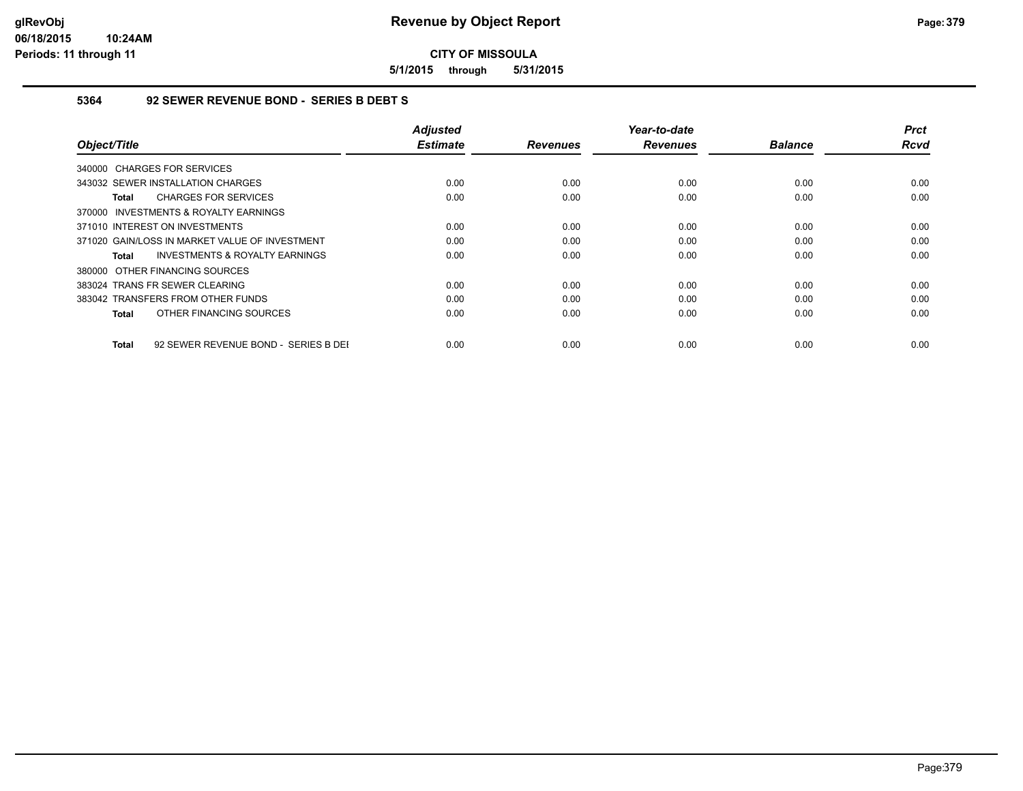**5/1/2015 through 5/31/2015**

## **5364 92 SEWER REVENUE BOND - SERIES B DEBT S**

| Object/Title                                              | <b>Adjusted</b><br><b>Estimate</b> | <b>Revenues</b> | Year-to-date<br><b>Revenues</b> | <b>Balance</b> | <b>Prct</b><br>Rcvd |
|-----------------------------------------------------------|------------------------------------|-----------------|---------------------------------|----------------|---------------------|
|                                                           |                                    |                 |                                 |                |                     |
| 340000 CHARGES FOR SERVICES                               |                                    |                 |                                 |                |                     |
| 343032 SEWER INSTALLATION CHARGES                         | 0.00                               | 0.00            | 0.00                            | 0.00           | 0.00                |
| <b>CHARGES FOR SERVICES</b><br><b>Total</b>               | 0.00                               | 0.00            | 0.00                            | 0.00           | 0.00                |
| 370000 INVESTMENTS & ROYALTY EARNINGS                     |                                    |                 |                                 |                |                     |
| 371010 INTEREST ON INVESTMENTS                            | 0.00                               | 0.00            | 0.00                            | 0.00           | 0.00                |
| 371020 GAIN/LOSS IN MARKET VALUE OF INVESTMENT            | 0.00                               | 0.00            | 0.00                            | 0.00           | 0.00                |
| <b>INVESTMENTS &amp; ROYALTY EARNINGS</b><br><b>Total</b> | 0.00                               | 0.00            | 0.00                            | 0.00           | 0.00                |
| 380000 OTHER FINANCING SOURCES                            |                                    |                 |                                 |                |                     |
| 383024 TRANS FR SEWER CLEARING                            | 0.00                               | 0.00            | 0.00                            | 0.00           | 0.00                |
| 383042 TRANSFERS FROM OTHER FUNDS                         | 0.00                               | 0.00            | 0.00                            | 0.00           | 0.00                |
| OTHER FINANCING SOURCES<br><b>Total</b>                   | 0.00                               | 0.00            | 0.00                            | 0.00           | 0.00                |
| <b>Total</b><br>92 SEWER REVENUE BOND - SERIES B DEI      | 0.00                               | 0.00            | 0.00                            | 0.00           | 0.00                |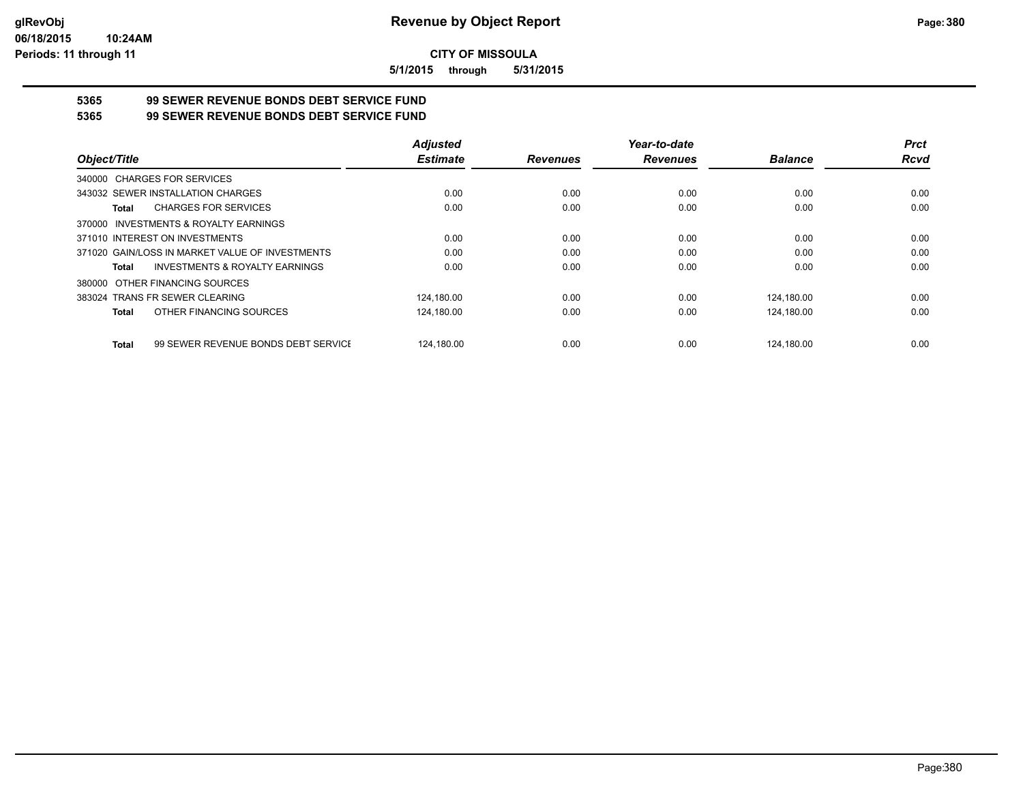**5/1/2015 through 5/31/2015**

#### **5365 99 SEWER REVENUE BONDS DEBT SERVICE FUND 5365 99 SEWER REVENUE BONDS DEBT SERVICE FUND**

|                                                    | <b>Adjusted</b> |                 | Year-to-date    |                | <b>Prct</b> |
|----------------------------------------------------|-----------------|-----------------|-----------------|----------------|-------------|
| Object/Title                                       | <b>Estimate</b> | <b>Revenues</b> | <b>Revenues</b> | <b>Balance</b> | <b>Rcvd</b> |
| 340000 CHARGES FOR SERVICES                        |                 |                 |                 |                |             |
| 343032 SEWER INSTALLATION CHARGES                  | 0.00            | 0.00            | 0.00            | 0.00           | 0.00        |
| <b>CHARGES FOR SERVICES</b><br>Total               | 0.00            | 0.00            | 0.00            | 0.00           | 0.00        |
| INVESTMENTS & ROYALTY EARNINGS<br>370000           |                 |                 |                 |                |             |
| 371010 INTEREST ON INVESTMENTS                     | 0.00            | 0.00            | 0.00            | 0.00           | 0.00        |
| 371020 GAIN/LOSS IN MARKET VALUE OF INVESTMENTS    | 0.00            | 0.00            | 0.00            | 0.00           | 0.00        |
| <b>INVESTMENTS &amp; ROYALTY EARNINGS</b><br>Total | 0.00            | 0.00            | 0.00            | 0.00           | 0.00        |
| 380000 OTHER FINANCING SOURCES                     |                 |                 |                 |                |             |
| 383024 TRANS FR SEWER CLEARING                     | 124,180.00      | 0.00            | 0.00            | 124,180.00     | 0.00        |
| OTHER FINANCING SOURCES<br>Total                   | 124,180.00      | 0.00            | 0.00            | 124,180.00     | 0.00        |
| 99 SEWER REVENUE BONDS DEBT SERVICE<br>Total       | 124.180.00      | 0.00            | 0.00            | 124.180.00     | 0.00        |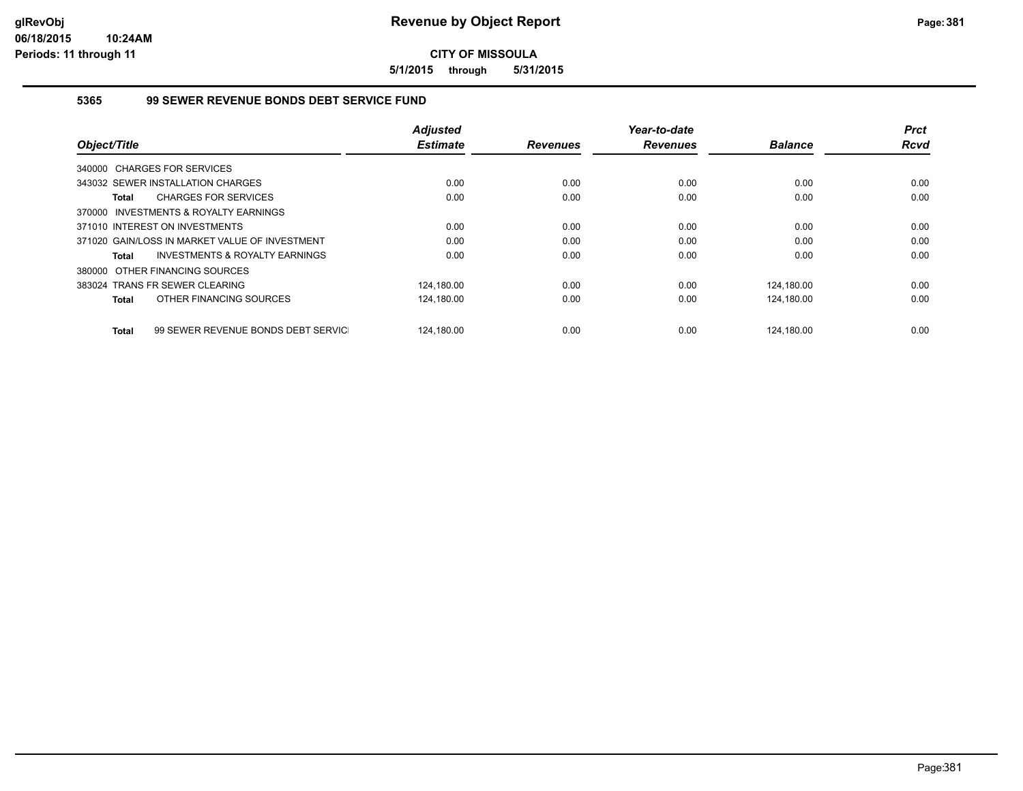**5/1/2015 through 5/31/2015**

#### **5365 99 SEWER REVENUE BONDS DEBT SERVICE FUND**

|                                                    | <b>Adjusted</b> |                 | Year-to-date    |                | <b>Prct</b> |
|----------------------------------------------------|-----------------|-----------------|-----------------|----------------|-------------|
| Object/Title                                       | <b>Estimate</b> | <b>Revenues</b> | <b>Revenues</b> | <b>Balance</b> | <b>Rcvd</b> |
| 340000 CHARGES FOR SERVICES                        |                 |                 |                 |                |             |
| 343032 SEWER INSTALLATION CHARGES                  | 0.00            | 0.00            | 0.00            | 0.00           | 0.00        |
| <b>CHARGES FOR SERVICES</b><br>Total               | 0.00            | 0.00            | 0.00            | 0.00           | 0.00        |
| 370000 INVESTMENTS & ROYALTY EARNINGS              |                 |                 |                 |                |             |
| 371010 INTEREST ON INVESTMENTS                     | 0.00            | 0.00            | 0.00            | 0.00           | 0.00        |
| 371020 GAIN/LOSS IN MARKET VALUE OF INVESTMENT     | 0.00            | 0.00            | 0.00            | 0.00           | 0.00        |
| <b>INVESTMENTS &amp; ROYALTY EARNINGS</b><br>Total | 0.00            | 0.00            | 0.00            | 0.00           | 0.00        |
| 380000 OTHER FINANCING SOURCES                     |                 |                 |                 |                |             |
| 383024 TRANS FR SEWER CLEARING                     | 124,180.00      | 0.00            | 0.00            | 124.180.00     | 0.00        |
| OTHER FINANCING SOURCES<br>Total                   | 124,180.00      | 0.00            | 0.00            | 124,180.00     | 0.00        |
| 99 SEWER REVENUE BONDS DEBT SERVIC<br><b>Total</b> | 124.180.00      | 0.00            | 0.00            | 124.180.00     | 0.00        |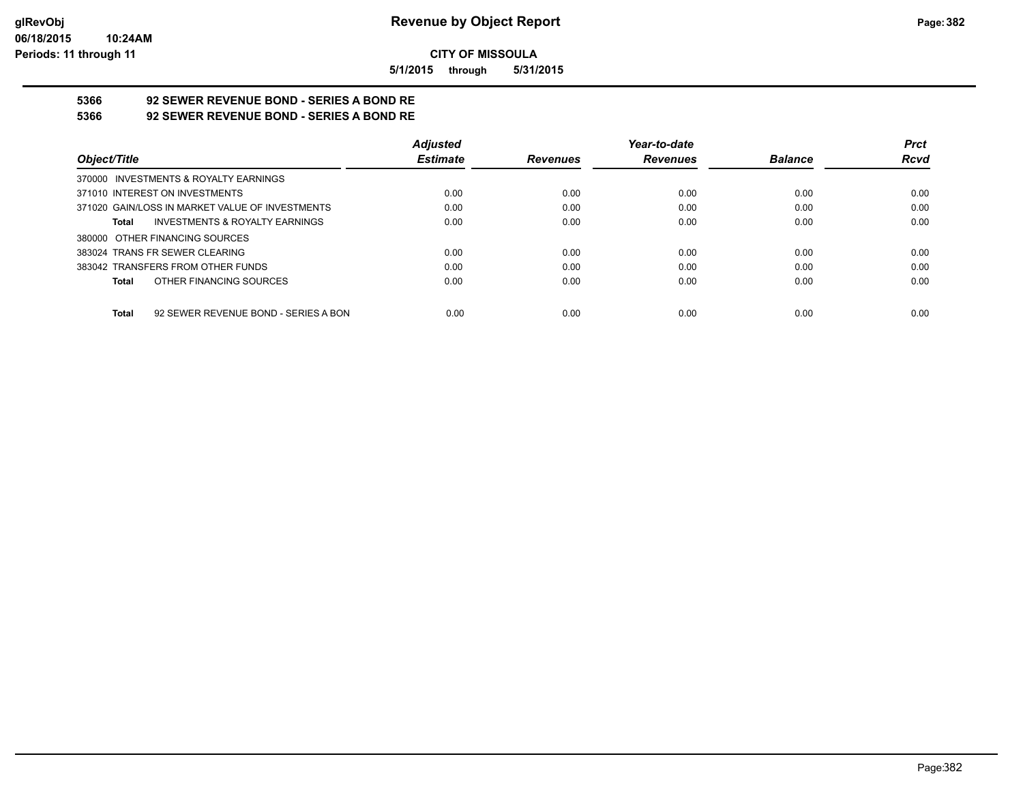**5/1/2015 through 5/31/2015**

# **5366 92 SEWER REVENUE BOND - SERIES A BOND RE**

**5366 92 SEWER REVENUE BOND - SERIES A BOND RE**

|                                                 | <b>Adjusted</b> |                 | Year-to-date    |                | <b>Prct</b> |
|-------------------------------------------------|-----------------|-----------------|-----------------|----------------|-------------|
| Object/Title                                    | <b>Estimate</b> | <b>Revenues</b> | <b>Revenues</b> | <b>Balance</b> | <b>Rcvd</b> |
| 370000 INVESTMENTS & ROYALTY EARNINGS           |                 |                 |                 |                |             |
| 371010 INTEREST ON INVESTMENTS                  | 0.00            | 0.00            | 0.00            | 0.00           | 0.00        |
| 371020 GAIN/LOSS IN MARKET VALUE OF INVESTMENTS | 0.00            | 0.00            | 0.00            | 0.00           | 0.00        |
| INVESTMENTS & ROYALTY EARNINGS<br>Total         | 0.00            | 0.00            | 0.00            | 0.00           | 0.00        |
| 380000 OTHER FINANCING SOURCES                  |                 |                 |                 |                |             |
| 383024 TRANS FR SEWER CLEARING                  | 0.00            | 0.00            | 0.00            | 0.00           | 0.00        |
| 383042 TRANSFERS FROM OTHER FUNDS               | 0.00            | 0.00            | 0.00            | 0.00           | 0.00        |
| OTHER FINANCING SOURCES<br>Total                | 0.00            | 0.00            | 0.00            | 0.00           | 0.00        |
| 92 SEWER REVENUE BOND - SERIES A BON<br>Total   | 0.00            | 0.00            | 0.00            | 0.00           | 0.00        |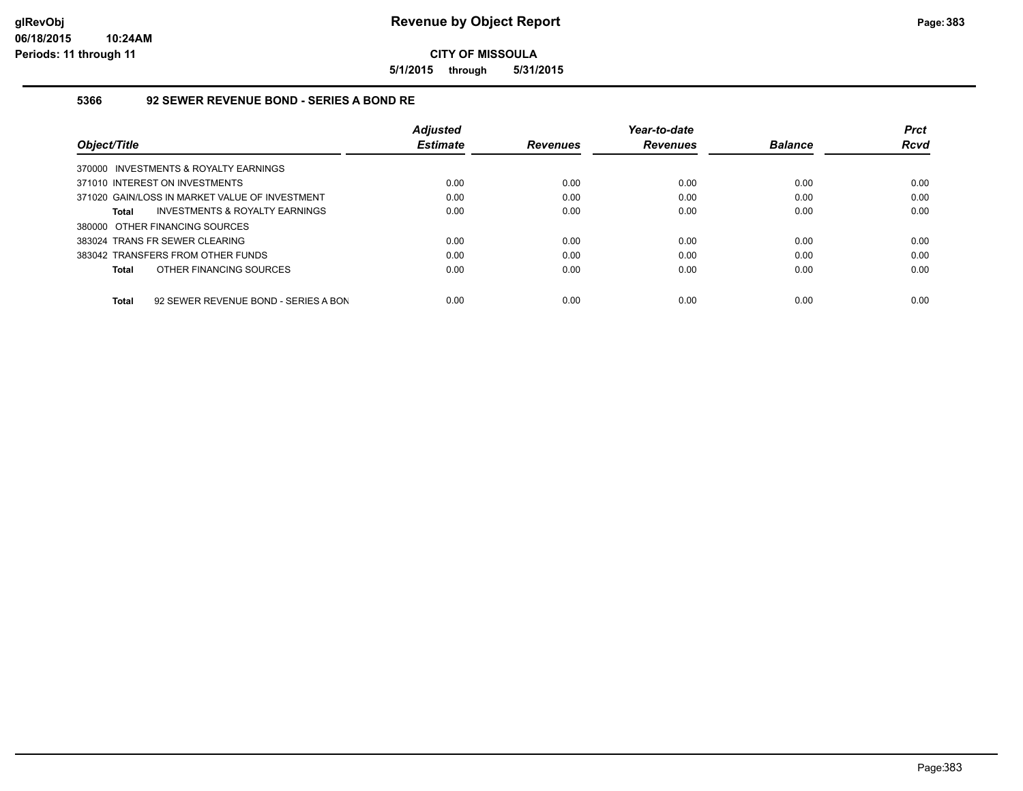**5/1/2015 through 5/31/2015**

#### **5366 92 SEWER REVENUE BOND - SERIES A BOND RE**

|                                                      | <b>Adiusted</b> |                 | Year-to-date    |                | <b>Prct</b> |
|------------------------------------------------------|-----------------|-----------------|-----------------|----------------|-------------|
| Object/Title                                         | <b>Estimate</b> | <b>Revenues</b> | <b>Revenues</b> | <b>Balance</b> | Rcvd        |
| 370000 INVESTMENTS & ROYALTY EARNINGS                |                 |                 |                 |                |             |
| 371010 INTEREST ON INVESTMENTS                       | 0.00            | 0.00            | 0.00            | 0.00           | 0.00        |
| 371020 GAIN/LOSS IN MARKET VALUE OF INVESTMENT       | 0.00            | 0.00            | 0.00            | 0.00           | 0.00        |
| INVESTMENTS & ROYALTY EARNINGS<br><b>Total</b>       | 0.00            | 0.00            | 0.00            | 0.00           | 0.00        |
| 380000 OTHER FINANCING SOURCES                       |                 |                 |                 |                |             |
| 383024 TRANS FR SEWER CLEARING                       | 0.00            | 0.00            | 0.00            | 0.00           | 0.00        |
| 383042 TRANSFERS FROM OTHER FUNDS                    | 0.00            | 0.00            | 0.00            | 0.00           | 0.00        |
| OTHER FINANCING SOURCES<br><b>Total</b>              | 0.00            | 0.00            | 0.00            | 0.00           | 0.00        |
|                                                      |                 |                 |                 |                |             |
| 92 SEWER REVENUE BOND - SERIES A BON<br><b>Total</b> | 0.00            | 0.00            | 0.00            | 0.00           | 0.00        |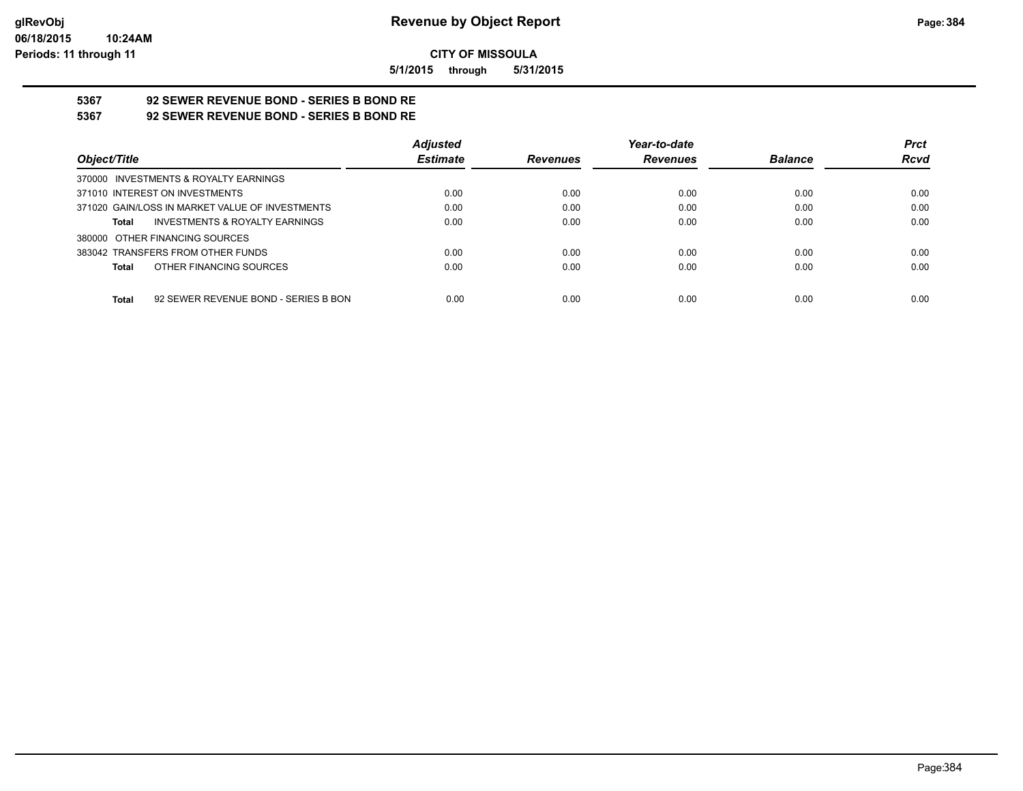**5/1/2015 through 5/31/2015**

# **5367 92 SEWER REVENUE BOND - SERIES B BOND RE**

**5367 92 SEWER REVENUE BOND - SERIES B BOND RE**

|                                                 | <b>Adjusted</b> |                 | Year-to-date    |                | <b>Prct</b> |
|-------------------------------------------------|-----------------|-----------------|-----------------|----------------|-------------|
| Object/Title                                    | <b>Estimate</b> | <b>Revenues</b> | <b>Revenues</b> | <b>Balance</b> | <b>Rcvd</b> |
| 370000 INVESTMENTS & ROYALTY EARNINGS           |                 |                 |                 |                |             |
| 371010 INTEREST ON INVESTMENTS                  | 0.00            | 0.00            | 0.00            | 0.00           | 0.00        |
| 371020 GAIN/LOSS IN MARKET VALUE OF INVESTMENTS | 0.00            | 0.00            | 0.00            | 0.00           | 0.00        |
| INVESTMENTS & ROYALTY EARNINGS<br>Total         | 0.00            | 0.00            | 0.00            | 0.00           | 0.00        |
| 380000 OTHER FINANCING SOURCES                  |                 |                 |                 |                |             |
| 383042 TRANSFERS FROM OTHER FUNDS               | 0.00            | 0.00            | 0.00            | 0.00           | 0.00        |
| OTHER FINANCING SOURCES<br>Total                | 0.00            | 0.00            | 0.00            | 0.00           | 0.00        |
|                                                 |                 |                 |                 |                |             |
| 92 SEWER REVENUE BOND - SERIES B BON<br>Total   | 0.00            | 0.00            | 0.00            | 0.00           | 0.00        |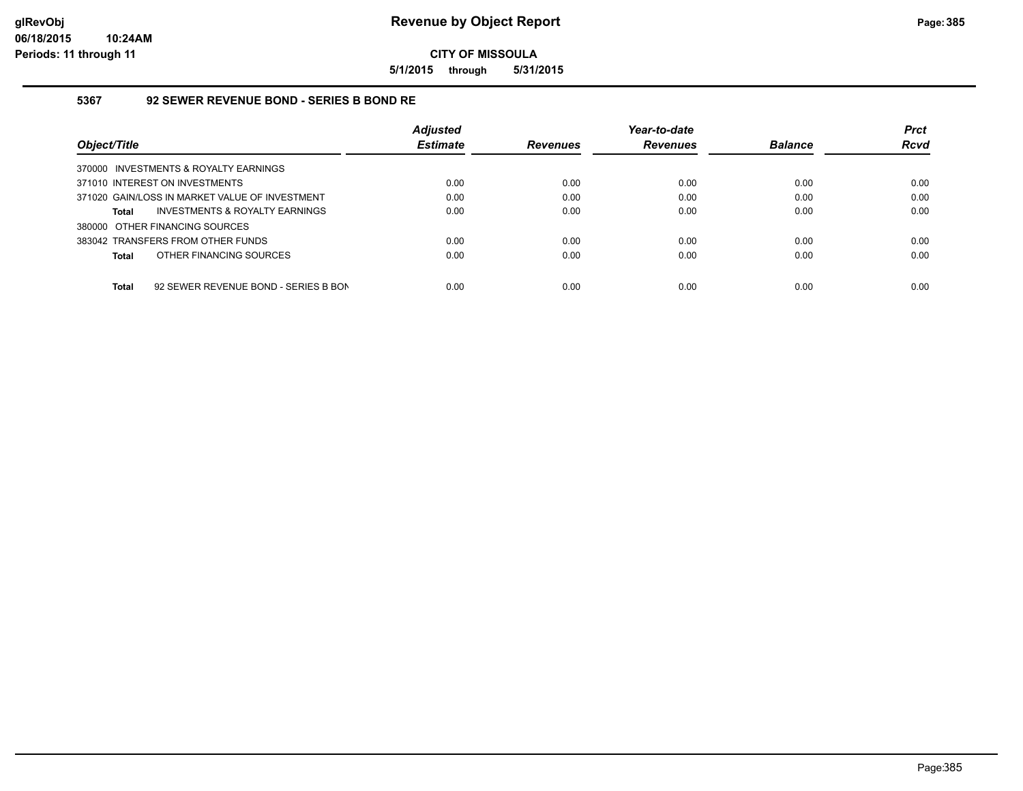**5/1/2015 through 5/31/2015**

#### **5367 92 SEWER REVENUE BOND - SERIES B BOND RE**

|                                                      | <b>Adjusted</b> |                 | Year-to-date    |                | <b>Prct</b> |
|------------------------------------------------------|-----------------|-----------------|-----------------|----------------|-------------|
| Object/Title                                         | <b>Estimate</b> | <b>Revenues</b> | <b>Revenues</b> | <b>Balance</b> | Rcvd        |
| 370000 INVESTMENTS & ROYALTY EARNINGS                |                 |                 |                 |                |             |
| 371010 INTEREST ON INVESTMENTS                       | 0.00            | 0.00            | 0.00            | 0.00           | 0.00        |
| 371020 GAIN/LOSS IN MARKET VALUE OF INVESTMENT       | 0.00            | 0.00            | 0.00            | 0.00           | 0.00        |
| INVESTMENTS & ROYALTY EARNINGS<br><b>Total</b>       | 0.00            | 0.00            | 0.00            | 0.00           | 0.00        |
| 380000 OTHER FINANCING SOURCES                       |                 |                 |                 |                |             |
| 383042 TRANSFERS FROM OTHER FUNDS                    | 0.00            | 0.00            | 0.00            | 0.00           | 0.00        |
| OTHER FINANCING SOURCES<br><b>Total</b>              | 0.00            | 0.00            | 0.00            | 0.00           | 0.00        |
| <b>Total</b><br>92 SEWER REVENUE BOND - SERIES B BON | 0.00            | 0.00            | 0.00            | 0.00           | 0.00        |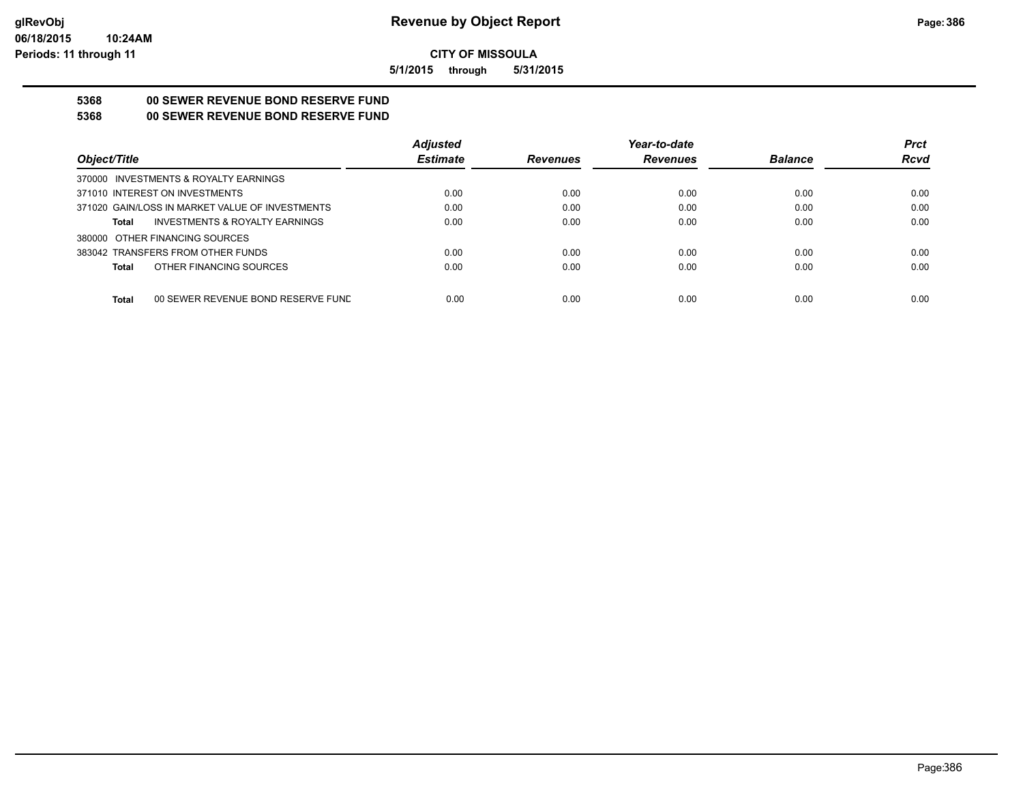**5/1/2015 through 5/31/2015**

# **5368 00 SEWER REVENUE BOND RESERVE FUND**

**5368 00 SEWER REVENUE BOND RESERVE FUND**

|                                                 | <b>Adjusted</b> |                 | Year-to-date    |                | <b>Prct</b> |
|-------------------------------------------------|-----------------|-----------------|-----------------|----------------|-------------|
| Object/Title                                    | <b>Estimate</b> | <b>Revenues</b> | <b>Revenues</b> | <b>Balance</b> | <b>Rcvd</b> |
| 370000 INVESTMENTS & ROYALTY EARNINGS           |                 |                 |                 |                |             |
| 371010 INTEREST ON INVESTMENTS                  | 0.00            | 0.00            | 0.00            | 0.00           | 0.00        |
| 371020 GAIN/LOSS IN MARKET VALUE OF INVESTMENTS | 0.00            | 0.00            | 0.00            | 0.00           | 0.00        |
| INVESTMENTS & ROYALTY EARNINGS<br>Total         | 0.00            | 0.00            | 0.00            | 0.00           | 0.00        |
| 380000 OTHER FINANCING SOURCES                  |                 |                 |                 |                |             |
| 383042 TRANSFERS FROM OTHER FUNDS               | 0.00            | 0.00            | 0.00            | 0.00           | 0.00        |
| OTHER FINANCING SOURCES<br>Total                | 0.00            | 0.00            | 0.00            | 0.00           | 0.00        |
|                                                 |                 |                 |                 |                |             |
| Total<br>00 SEWER REVENUE BOND RESERVE FUND     | 0.00            | 0.00            | 0.00            | 0.00           | 0.00        |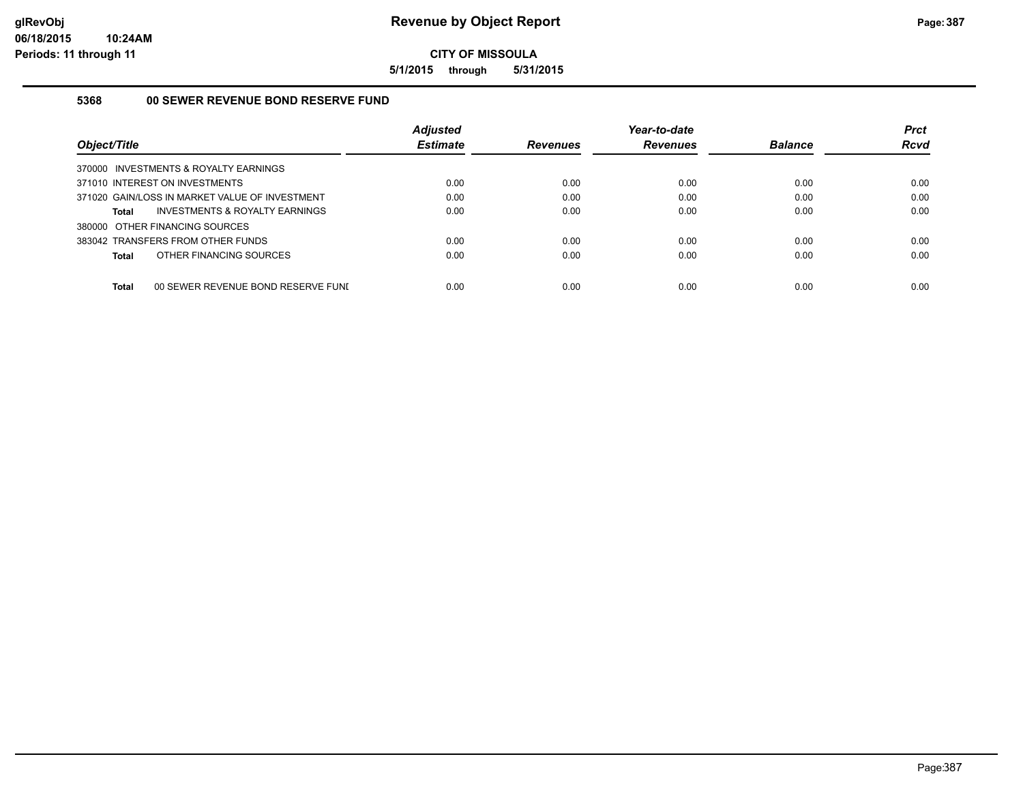**5/1/2015 through 5/31/2015**

### **5368 00 SEWER REVENUE BOND RESERVE FUND**

| Object/Title                                       | <b>Adjusted</b><br><b>Estimate</b> | <b>Revenues</b> | Year-to-date<br><b>Revenues</b> | <b>Balance</b> | <b>Prct</b><br><b>Rcvd</b> |
|----------------------------------------------------|------------------------------------|-----------------|---------------------------------|----------------|----------------------------|
| 370000 INVESTMENTS & ROYALTY EARNINGS              |                                    |                 |                                 |                |                            |
| 371010 INTEREST ON INVESTMENTS                     | 0.00                               | 0.00            | 0.00                            | 0.00           | 0.00                       |
| 371020 GAIN/LOSS IN MARKET VALUE OF INVESTMENT     | 0.00                               | 0.00            | 0.00                            | 0.00           | 0.00                       |
| INVESTMENTS & ROYALTY EARNINGS<br><b>Total</b>     | 0.00                               | 0.00            | 0.00                            | 0.00           | 0.00                       |
| 380000 OTHER FINANCING SOURCES                     |                                    |                 |                                 |                |                            |
| 383042 TRANSFERS FROM OTHER FUNDS                  | 0.00                               | 0.00            | 0.00                            | 0.00           | 0.00                       |
| OTHER FINANCING SOURCES<br><b>Total</b>            | 0.00                               | 0.00            | 0.00                            | 0.00           | 0.00                       |
|                                                    |                                    |                 |                                 |                |                            |
| <b>Total</b><br>00 SEWER REVENUE BOND RESERVE FUNI | 0.00                               | 0.00            | 0.00                            | 0.00           | 0.00                       |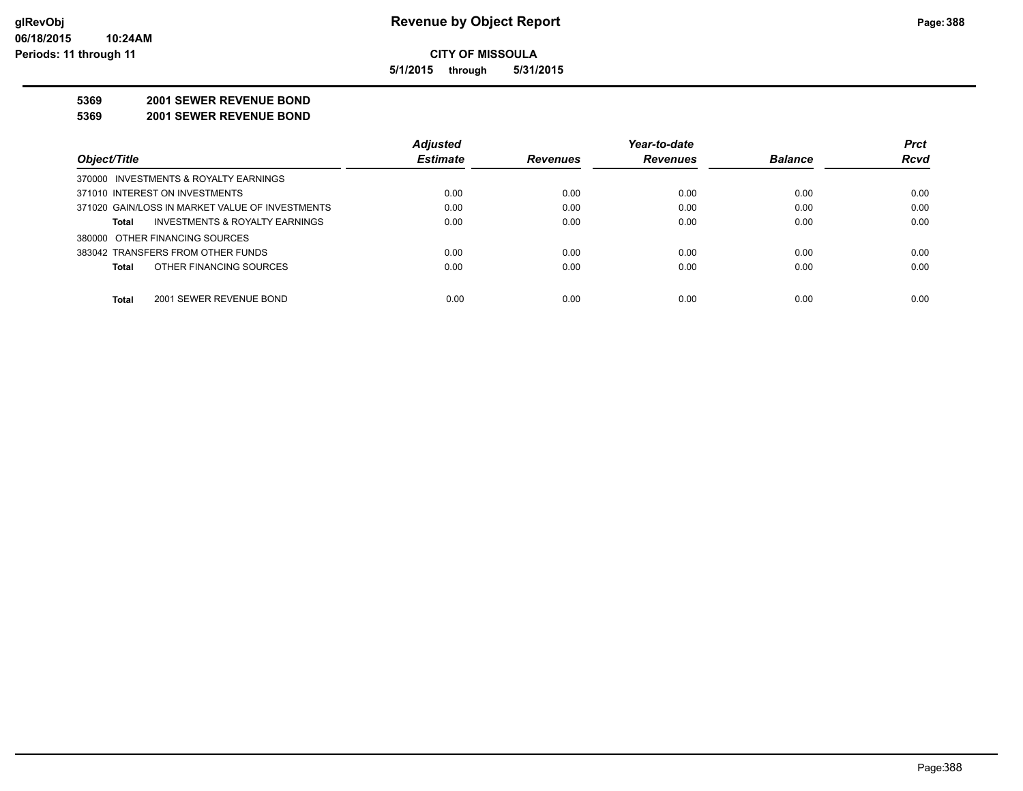**5/1/2015 through 5/31/2015**

#### **5369 2001 SEWER REVENUE BOND**

**5369 2001 SEWER REVENUE BOND**

|                                                 | <b>Adjusted</b> |                 | Year-to-date    |                | <b>Prct</b> |
|-------------------------------------------------|-----------------|-----------------|-----------------|----------------|-------------|
| Object/Title                                    | <b>Estimate</b> | <b>Revenues</b> | <b>Revenues</b> | <b>Balance</b> | <b>Rcvd</b> |
| 370000 INVESTMENTS & ROYALTY EARNINGS           |                 |                 |                 |                |             |
| 371010 INTEREST ON INVESTMENTS                  | 0.00            | 0.00            | 0.00            | 0.00           | 0.00        |
| 371020 GAIN/LOSS IN MARKET VALUE OF INVESTMENTS | 0.00            | 0.00            | 0.00            | 0.00           | 0.00        |
| INVESTMENTS & ROYALTY EARNINGS<br>Total         | 0.00            | 0.00            | 0.00            | 0.00           | 0.00        |
| 380000 OTHER FINANCING SOURCES                  |                 |                 |                 |                |             |
| 383042 TRANSFERS FROM OTHER FUNDS               | 0.00            | 0.00            | 0.00            | 0.00           | 0.00        |
| OTHER FINANCING SOURCES<br><b>Total</b>         | 0.00            | 0.00            | 0.00            | 0.00           | 0.00        |
| <b>Total</b><br>2001 SEWER REVENUE BOND         | 0.00            | 0.00            | 0.00            | 0.00           | 0.00        |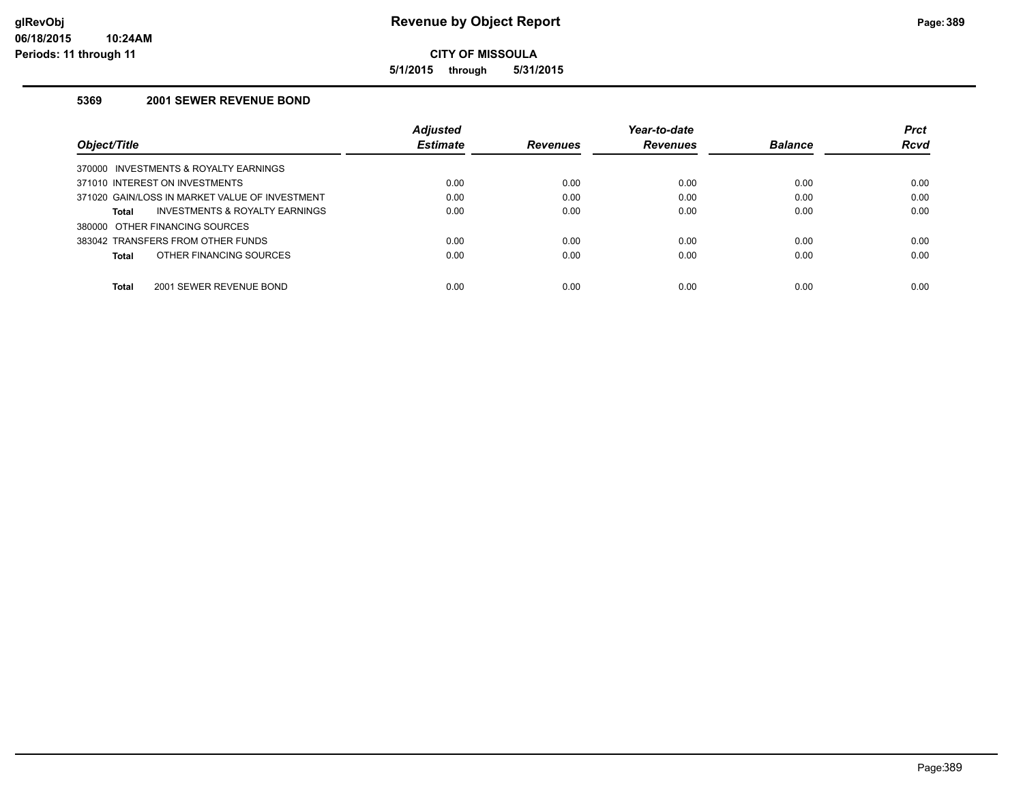**5/1/2015 through 5/31/2015**

## **5369 2001 SEWER REVENUE BOND**

|                                                | Adjusted        |                 | Year-to-date    |                | <b>Prct</b> |
|------------------------------------------------|-----------------|-----------------|-----------------|----------------|-------------|
| Obiect/Title                                   | <b>Estimate</b> | <b>Revenues</b> | <b>Revenues</b> | <b>Balance</b> | <b>Rcvd</b> |
| 370000 INVESTMENTS & ROYALTY EARNINGS          |                 |                 |                 |                |             |
| 371010 INTEREST ON INVESTMENTS                 | 0.00            | 0.00            | 0.00            | 0.00           | 0.00        |
| 371020 GAIN/LOSS IN MARKET VALUE OF INVESTMENT | 0.00            | 0.00            | 0.00            | 0.00           | 0.00        |
| INVESTMENTS & ROYALTY EARNINGS<br>Total        | 0.00            | 0.00            | 0.00            | 0.00           | 0.00        |
| 380000 OTHER FINANCING SOURCES                 |                 |                 |                 |                |             |
| 383042 TRANSFERS FROM OTHER FUNDS              | 0.00            | 0.00            | 0.00            | 0.00           | 0.00        |
| OTHER FINANCING SOURCES<br>Total               | 0.00            | 0.00            | 0.00            | 0.00           | 0.00        |
| <b>Total</b><br>2001 SEWER REVENUE BOND        | 0.00            | 0.00            | 0.00            | 0.00           | 0.00        |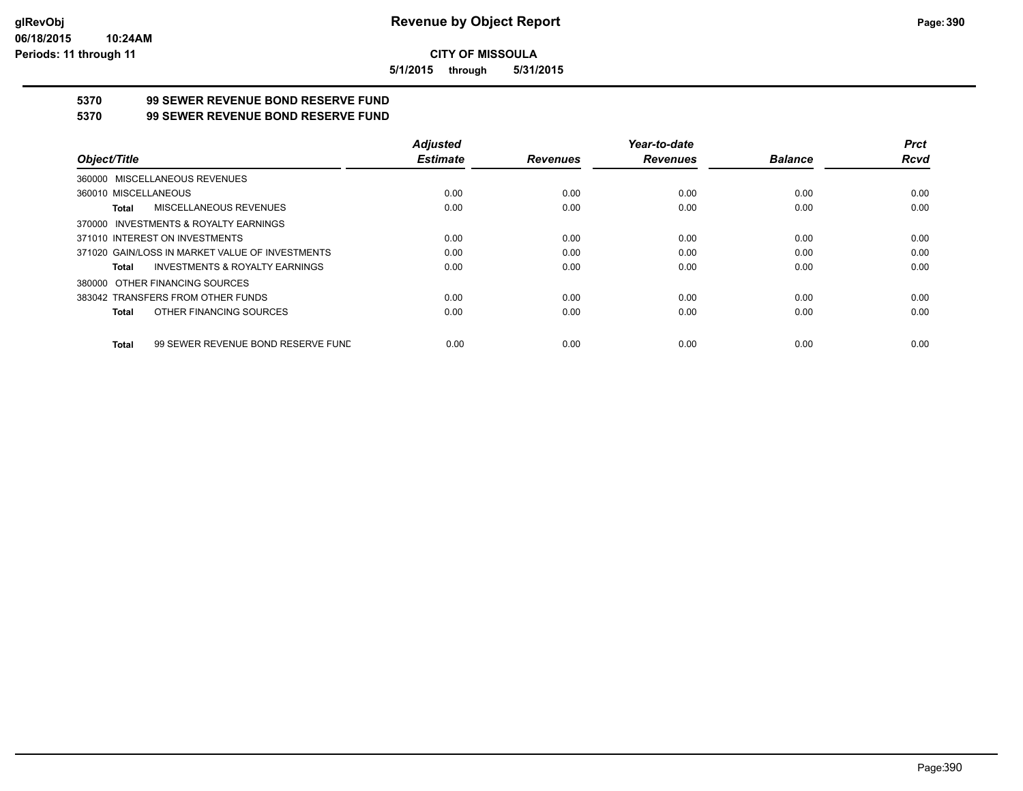**5/1/2015 through 5/31/2015**

# **5370 99 SEWER REVENUE BOND RESERVE FUND**

### **5370 99 SEWER REVENUE BOND RESERVE FUND**

|                                                    | <b>Adjusted</b> |                 | Year-to-date    |                | <b>Prct</b> |
|----------------------------------------------------|-----------------|-----------------|-----------------|----------------|-------------|
| Object/Title                                       | <b>Estimate</b> | <b>Revenues</b> | <b>Revenues</b> | <b>Balance</b> | Rcvd        |
| 360000 MISCELLANEOUS REVENUES                      |                 |                 |                 |                |             |
| 360010 MISCELLANEOUS                               | 0.00            | 0.00            | 0.00            | 0.00           | 0.00        |
| MISCELLANEOUS REVENUES<br>Total                    | 0.00            | 0.00            | 0.00            | 0.00           | 0.00        |
| 370000 INVESTMENTS & ROYALTY EARNINGS              |                 |                 |                 |                |             |
| 371010 INTEREST ON INVESTMENTS                     | 0.00            | 0.00            | 0.00            | 0.00           | 0.00        |
| 371020 GAIN/LOSS IN MARKET VALUE OF INVESTMENTS    | 0.00            | 0.00            | 0.00            | 0.00           | 0.00        |
| <b>INVESTMENTS &amp; ROYALTY EARNINGS</b><br>Total | 0.00            | 0.00            | 0.00            | 0.00           | 0.00        |
| 380000 OTHER FINANCING SOURCES                     |                 |                 |                 |                |             |
| 383042 TRANSFERS FROM OTHER FUNDS                  | 0.00            | 0.00            | 0.00            | 0.00           | 0.00        |
| OTHER FINANCING SOURCES<br>Total                   | 0.00            | 0.00            | 0.00            | 0.00           | 0.00        |
| 99 SEWER REVENUE BOND RESERVE FUND<br>Total        | 0.00            | 0.00            | 0.00            | 0.00           | 0.00        |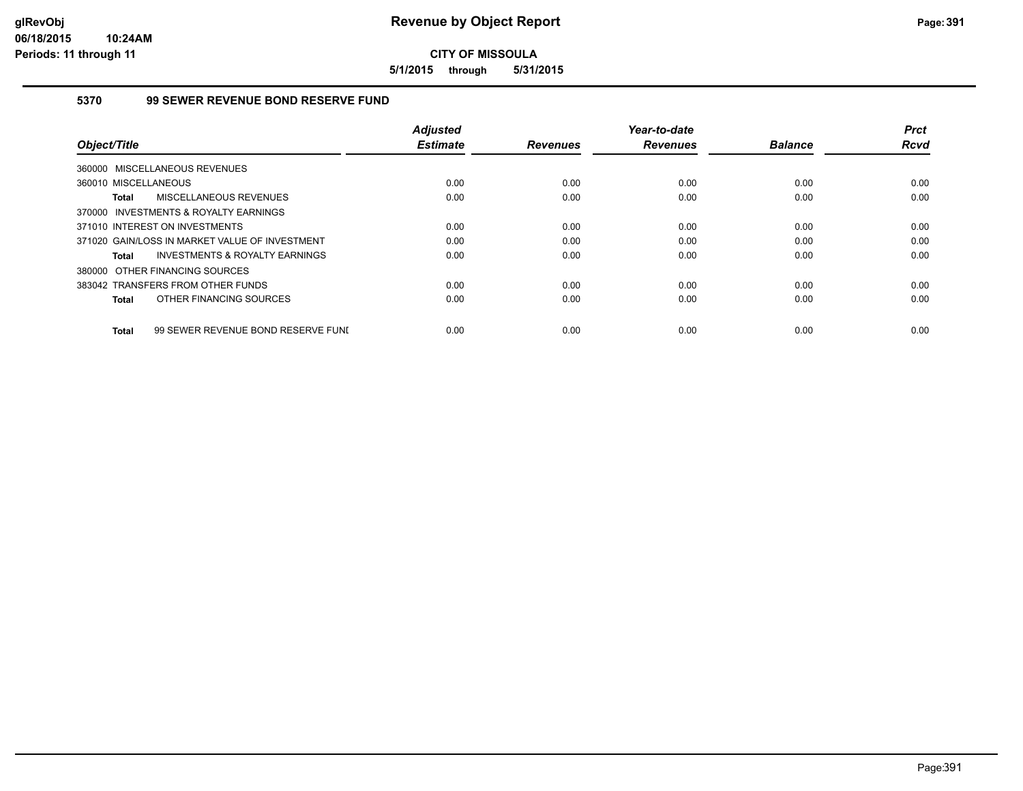**5/1/2015 through 5/31/2015**

## **5370 99 SEWER REVENUE BOND RESERVE FUND**

|                                                    | <b>Adjusted</b> |                 | Year-to-date    |                | <b>Prct</b> |
|----------------------------------------------------|-----------------|-----------------|-----------------|----------------|-------------|
| Object/Title                                       | <b>Estimate</b> | <b>Revenues</b> | <b>Revenues</b> | <b>Balance</b> | <b>Rcvd</b> |
| 360000 MISCELLANEOUS REVENUES                      |                 |                 |                 |                |             |
| 360010 MISCELLANEOUS                               | 0.00            | 0.00            | 0.00            | 0.00           | 0.00        |
| MISCELLANEOUS REVENUES<br><b>Total</b>             | 0.00            | 0.00            | 0.00            | 0.00           | 0.00        |
| 370000 INVESTMENTS & ROYALTY EARNINGS              |                 |                 |                 |                |             |
| 371010 INTEREST ON INVESTMENTS                     | 0.00            | 0.00            | 0.00            | 0.00           | 0.00        |
| 371020 GAIN/LOSS IN MARKET VALUE OF INVESTMENT     | 0.00            | 0.00            | 0.00            | 0.00           | 0.00        |
| INVESTMENTS & ROYALTY EARNINGS<br>Total            | 0.00            | 0.00            | 0.00            | 0.00           | 0.00        |
| 380000 OTHER FINANCING SOURCES                     |                 |                 |                 |                |             |
| 383042 TRANSFERS FROM OTHER FUNDS                  | 0.00            | 0.00            | 0.00            | 0.00           | 0.00        |
| OTHER FINANCING SOURCES<br><b>Total</b>            | 0.00            | 0.00            | 0.00            | 0.00           | 0.00        |
|                                                    |                 |                 |                 |                |             |
| 99 SEWER REVENUE BOND RESERVE FUNI<br><b>Total</b> | 0.00            | 0.00            | 0.00            | 0.00           | 0.00        |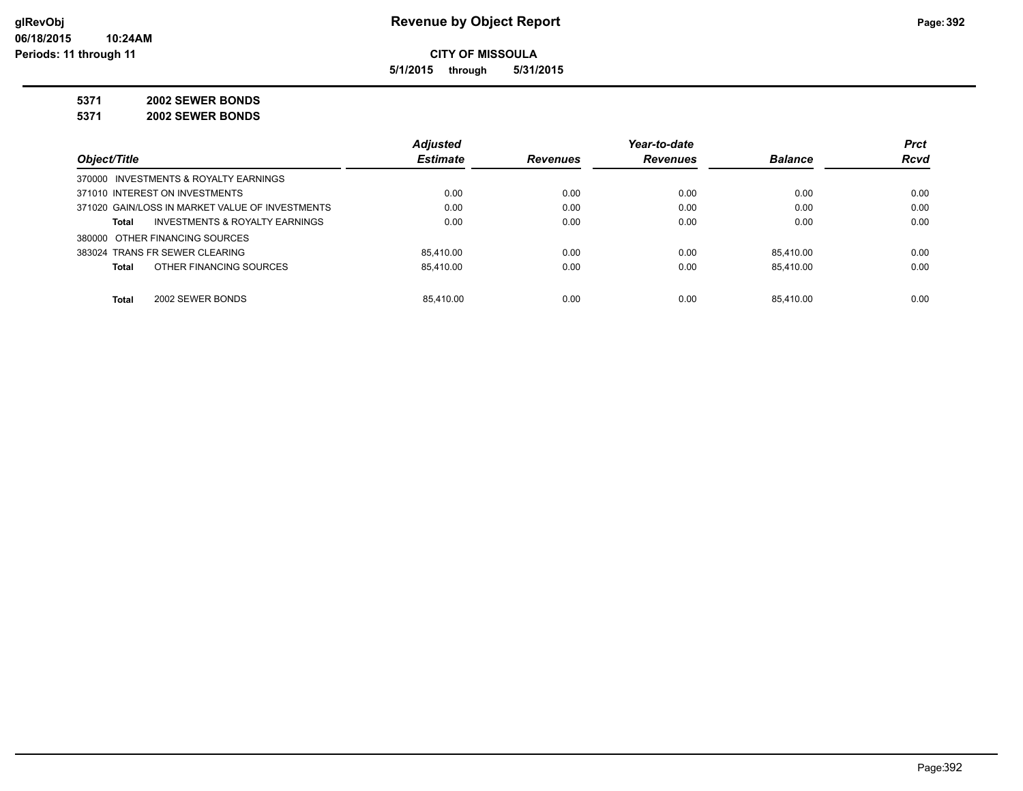**5/1/2015 through 5/31/2015**

**5371 2002 SEWER BONDS**

**5371 2002 SEWER BONDS**

|                                                    | <b>Adjusted</b> |                 | Year-to-date    |                | <b>Prct</b> |
|----------------------------------------------------|-----------------|-----------------|-----------------|----------------|-------------|
| Object/Title                                       | <b>Estimate</b> | <b>Revenues</b> | <b>Revenues</b> | <b>Balance</b> | <b>Rcvd</b> |
| 370000 INVESTMENTS & ROYALTY EARNINGS              |                 |                 |                 |                |             |
| 371010 INTEREST ON INVESTMENTS                     | 0.00            | 0.00            | 0.00            | 0.00           | 0.00        |
| 371020 GAIN/LOSS IN MARKET VALUE OF INVESTMENTS    | 0.00            | 0.00            | 0.00            | 0.00           | 0.00        |
| <b>INVESTMENTS &amp; ROYALTY EARNINGS</b><br>Total | 0.00            | 0.00            | 0.00            | 0.00           | 0.00        |
| 380000 OTHER FINANCING SOURCES                     |                 |                 |                 |                |             |
| 383024 TRANS FR SEWER CLEARING                     | 85.410.00       | 0.00            | 0.00            | 85.410.00      | 0.00        |
| OTHER FINANCING SOURCES<br><b>Total</b>            | 85.410.00       | 0.00            | 0.00            | 85.410.00      | 0.00        |
| <b>Total</b><br>2002 SEWER BONDS                   | 85.410.00       | 0.00            | 0.00            | 85.410.00      | 0.00        |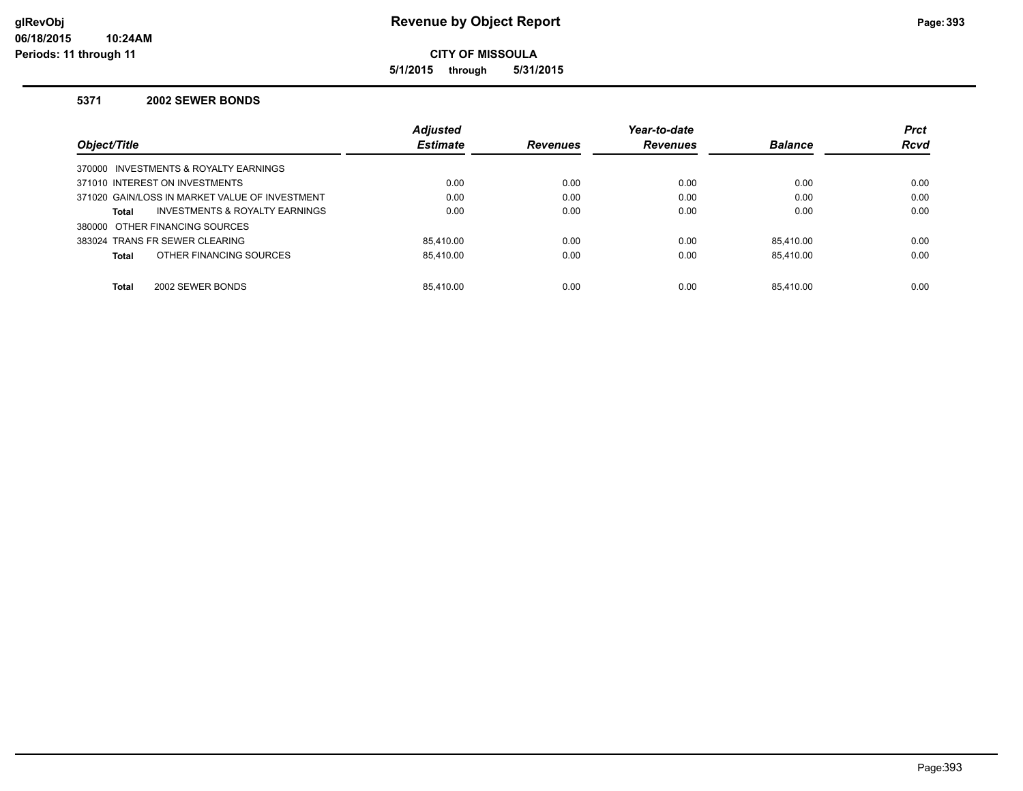**5/1/2015 through 5/31/2015**

#### **5371 2002 SEWER BONDS**

|                                                    | <b>Adjusted</b> |                 | Year-to-date    |                | <b>Prct</b> |
|----------------------------------------------------|-----------------|-----------------|-----------------|----------------|-------------|
| Object/Title                                       | <b>Estimate</b> | <b>Revenues</b> | <b>Revenues</b> | <b>Balance</b> | <b>Rcvd</b> |
| 370000 INVESTMENTS & ROYALTY EARNINGS              |                 |                 |                 |                |             |
| 371010 INTEREST ON INVESTMENTS                     | 0.00            | 0.00            | 0.00            | 0.00           | 0.00        |
| 371020 GAIN/LOSS IN MARKET VALUE OF INVESTMENT     | 0.00            | 0.00            | 0.00            | 0.00           | 0.00        |
| <b>INVESTMENTS &amp; ROYALTY EARNINGS</b><br>Total | 0.00            | 0.00            | 0.00            | 0.00           | 0.00        |
| 380000 OTHER FINANCING SOURCES                     |                 |                 |                 |                |             |
| 383024 TRANS FR SEWER CLEARING                     | 85.410.00       | 0.00            | 0.00            | 85.410.00      | 0.00        |
| OTHER FINANCING SOURCES<br>Total                   | 85.410.00       | 0.00            | 0.00            | 85.410.00      | 0.00        |
|                                                    |                 |                 |                 |                |             |
| <b>Total</b><br>2002 SEWER BONDS                   | 85.410.00       | 0.00            | 0.00            | 85.410.00      | 0.00        |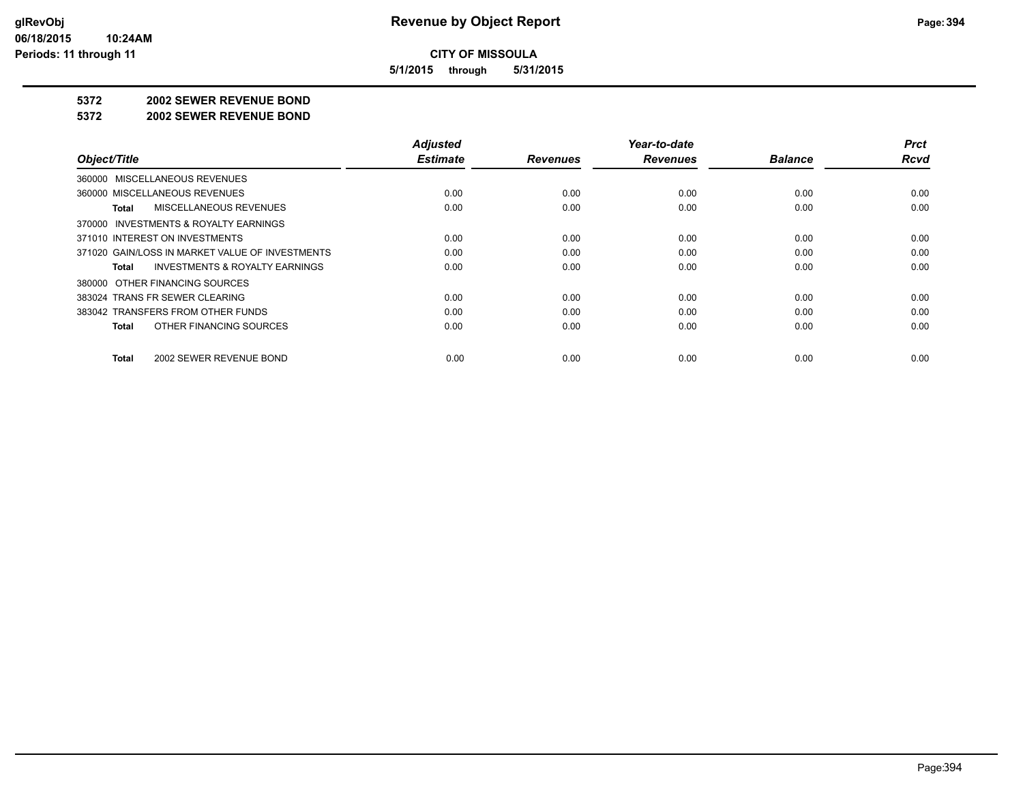**5/1/2015 through 5/31/2015**

#### **5372 2002 SEWER REVENUE BOND**

#### **5372 2002 SEWER REVENUE BOND**

| Object/Title                                       | <b>Adjusted</b><br><b>Estimate</b> | <b>Revenues</b> | Year-to-date<br><b>Revenues</b> | <b>Balance</b> | <b>Prct</b><br><b>Rcvd</b> |
|----------------------------------------------------|------------------------------------|-----------------|---------------------------------|----------------|----------------------------|
| 360000 MISCELLANEOUS REVENUES                      |                                    |                 |                                 |                |                            |
| 360000 MISCELLANEOUS REVENUES                      | 0.00                               | 0.00            | 0.00                            | 0.00           | 0.00                       |
| MISCELLANEOUS REVENUES<br>Total                    | 0.00                               | 0.00            | 0.00                            | 0.00           | 0.00                       |
| INVESTMENTS & ROYALTY EARNINGS<br>370000           |                                    |                 |                                 |                |                            |
| 371010 INTEREST ON INVESTMENTS                     | 0.00                               | 0.00            | 0.00                            | 0.00           | 0.00                       |
| 371020 GAIN/LOSS IN MARKET VALUE OF INVESTMENTS    | 0.00                               | 0.00            | 0.00                            | 0.00           | 0.00                       |
| <b>INVESTMENTS &amp; ROYALTY EARNINGS</b><br>Total | 0.00                               | 0.00            | 0.00                            | 0.00           | 0.00                       |
| 380000 OTHER FINANCING SOURCES                     |                                    |                 |                                 |                |                            |
| 383024 TRANS FR SEWER CLEARING                     | 0.00                               | 0.00            | 0.00                            | 0.00           | 0.00                       |
| 383042 TRANSFERS FROM OTHER FUNDS                  | 0.00                               | 0.00            | 0.00                            | 0.00           | 0.00                       |
| OTHER FINANCING SOURCES<br><b>Total</b>            | 0.00                               | 0.00            | 0.00                            | 0.00           | 0.00                       |
| 2002 SEWER REVENUE BOND<br><b>Total</b>            | 0.00                               | 0.00            | 0.00                            | 0.00           | 0.00                       |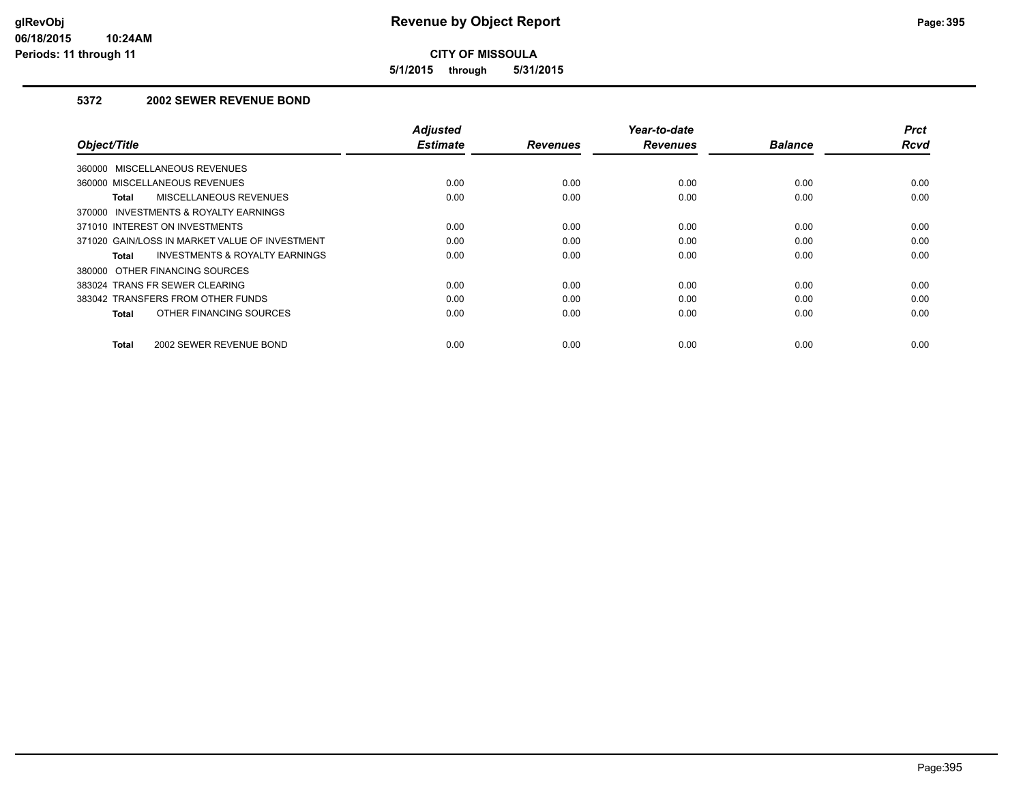**5/1/2015 through 5/31/2015**

# **5372 2002 SEWER REVENUE BOND**

| Object/Title                                       | <b>Adjusted</b><br><b>Estimate</b> | <b>Revenues</b> | Year-to-date<br><b>Revenues</b> | <b>Balance</b> | <b>Prct</b><br>Rcvd |
|----------------------------------------------------|------------------------------------|-----------------|---------------------------------|----------------|---------------------|
| 360000 MISCELLANEOUS REVENUES                      |                                    |                 |                                 |                |                     |
| 360000 MISCELLANEOUS REVENUES                      | 0.00                               | 0.00            | 0.00                            | 0.00           | 0.00                |
| <b>MISCELLANEOUS REVENUES</b><br>Total             | 0.00                               | 0.00            | 0.00                            | 0.00           | 0.00                |
| 370000 INVESTMENTS & ROYALTY EARNINGS              |                                    |                 |                                 |                |                     |
| 371010 INTEREST ON INVESTMENTS                     | 0.00                               | 0.00            | 0.00                            | 0.00           | 0.00                |
| 371020 GAIN/LOSS IN MARKET VALUE OF INVESTMENT     | 0.00                               | 0.00            | 0.00                            | 0.00           | 0.00                |
| <b>INVESTMENTS &amp; ROYALTY EARNINGS</b><br>Total | 0.00                               | 0.00            | 0.00                            | 0.00           | 0.00                |
| 380000 OTHER FINANCING SOURCES                     |                                    |                 |                                 |                |                     |
| 383024 TRANS FR SEWER CLEARING                     | 0.00                               | 0.00            | 0.00                            | 0.00           | 0.00                |
| 383042 TRANSFERS FROM OTHER FUNDS                  | 0.00                               | 0.00            | 0.00                            | 0.00           | 0.00                |
| OTHER FINANCING SOURCES<br>Total                   | 0.00                               | 0.00            | 0.00                            | 0.00           | 0.00                |
| <b>Total</b><br>2002 SEWER REVENUE BOND            | 0.00                               | 0.00            | 0.00                            | 0.00           | 0.00                |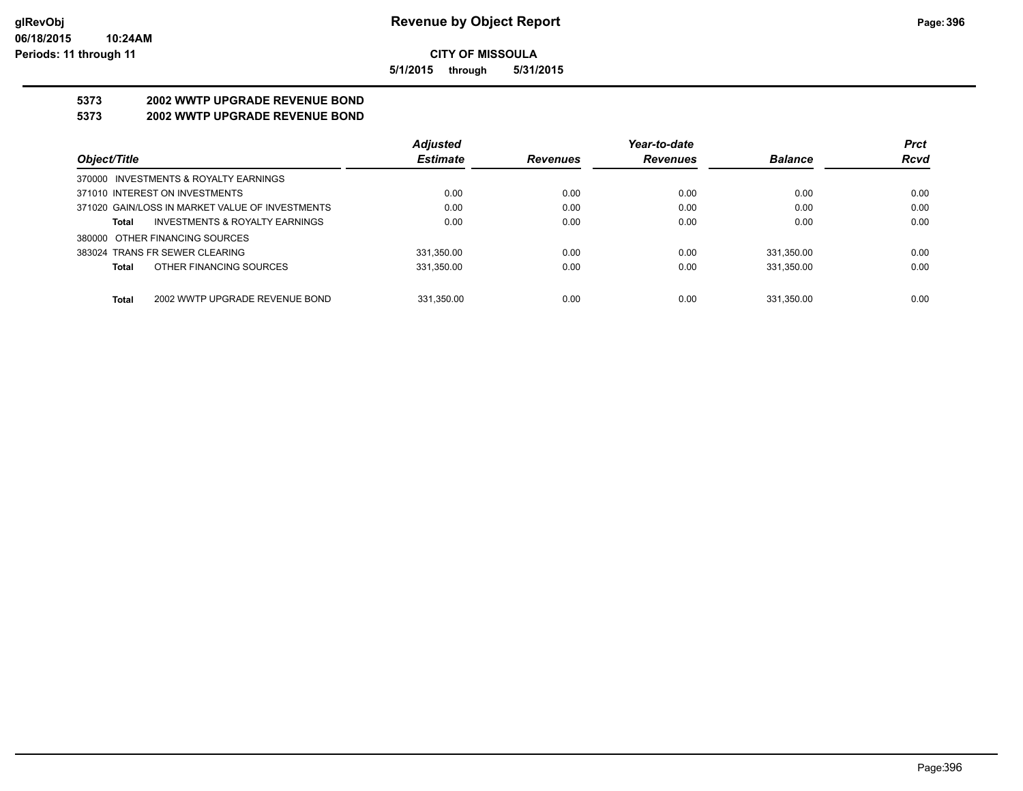**5/1/2015 through 5/31/2015**

# **5373 2002 WWTP UPGRADE REVENUE BOND**

# **5373 2002 WWTP UPGRADE REVENUE BOND**

|                                                 | <b>Adjusted</b> |                 | Year-to-date    |                | <b>Prct</b> |
|-------------------------------------------------|-----------------|-----------------|-----------------|----------------|-------------|
| Object/Title                                    | <b>Estimate</b> | <b>Revenues</b> | <b>Revenues</b> | <b>Balance</b> | <b>Rcvd</b> |
| 370000 INVESTMENTS & ROYALTY EARNINGS           |                 |                 |                 |                |             |
| 371010 INTEREST ON INVESTMENTS                  | 0.00            | 0.00            | 0.00            | 0.00           | 0.00        |
| 371020 GAIN/LOSS IN MARKET VALUE OF INVESTMENTS | 0.00            | 0.00            | 0.00            | 0.00           | 0.00        |
| INVESTMENTS & ROYALTY EARNINGS<br>Total         | 0.00            | 0.00            | 0.00            | 0.00           | 0.00        |
| 380000 OTHER FINANCING SOURCES                  |                 |                 |                 |                |             |
| 383024 TRANS FR SEWER CLEARING                  | 331.350.00      | 0.00            | 0.00            | 331.350.00     | 0.00        |
| OTHER FINANCING SOURCES<br>Total                | 331,350.00      | 0.00            | 0.00            | 331,350.00     | 0.00        |
|                                                 |                 |                 |                 |                |             |
| 2002 WWTP UPGRADE REVENUE BOND<br>Total         | 331.350.00      | 0.00            | 0.00            | 331.350.00     | 0.00        |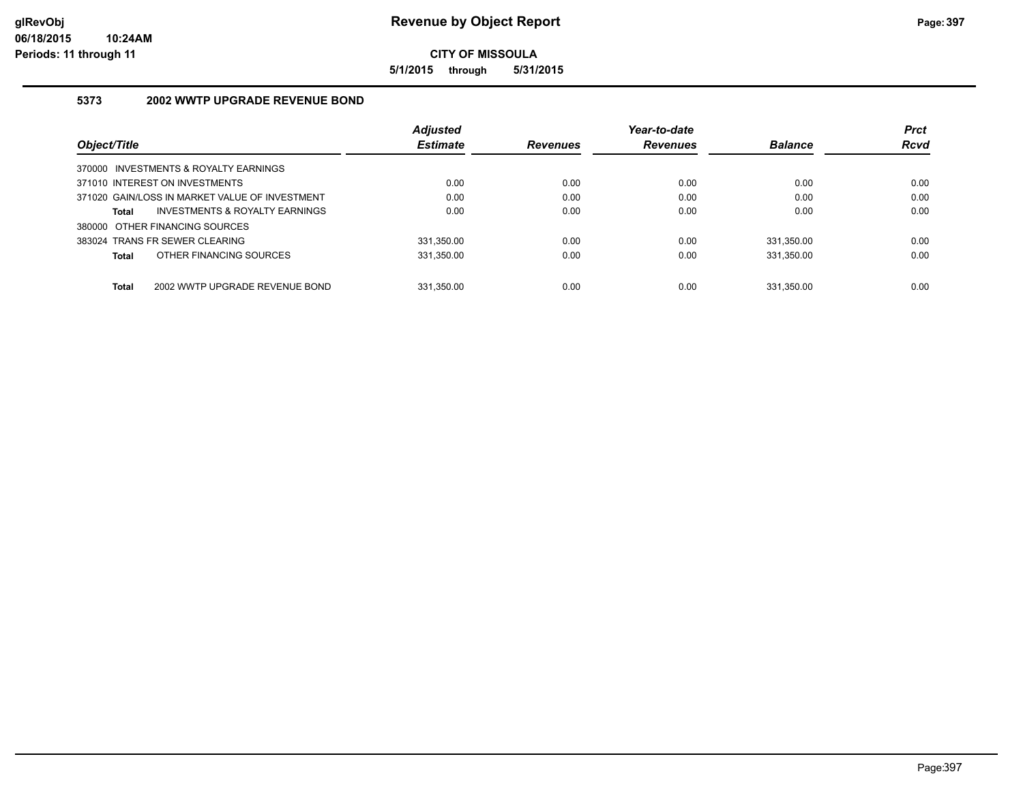**5/1/2015 through 5/31/2015**

### **5373 2002 WWTP UPGRADE REVENUE BOND**

|                                                | <b>Adjusted</b> |                 | Year-to-date    |                | <b>Prct</b> |
|------------------------------------------------|-----------------|-----------------|-----------------|----------------|-------------|
| Object/Title                                   | <b>Estimate</b> | <b>Revenues</b> | <b>Revenues</b> | <b>Balance</b> | <b>Rcvd</b> |
| 370000 INVESTMENTS & ROYALTY EARNINGS          |                 |                 |                 |                |             |
| 371010 INTEREST ON INVESTMENTS                 | 0.00            | 0.00            | 0.00            | 0.00           | 0.00        |
| 371020 GAIN/LOSS IN MARKET VALUE OF INVESTMENT | 0.00            | 0.00            | 0.00            | 0.00           | 0.00        |
| INVESTMENTS & ROYALTY EARNINGS<br>Total        | 0.00            | 0.00            | 0.00            | 0.00           | 0.00        |
| 380000 OTHER FINANCING SOURCES                 |                 |                 |                 |                |             |
| 383024 TRANS FR SEWER CLEARING                 | 331.350.00      | 0.00            | 0.00            | 331.350.00     | 0.00        |
| OTHER FINANCING SOURCES<br>Total               | 331.350.00      | 0.00            | 0.00            | 331.350.00     | 0.00        |
| <b>Total</b><br>2002 WWTP UPGRADE REVENUE BOND | 331.350.00      | 0.00            | 0.00            | 331.350.00     | 0.00        |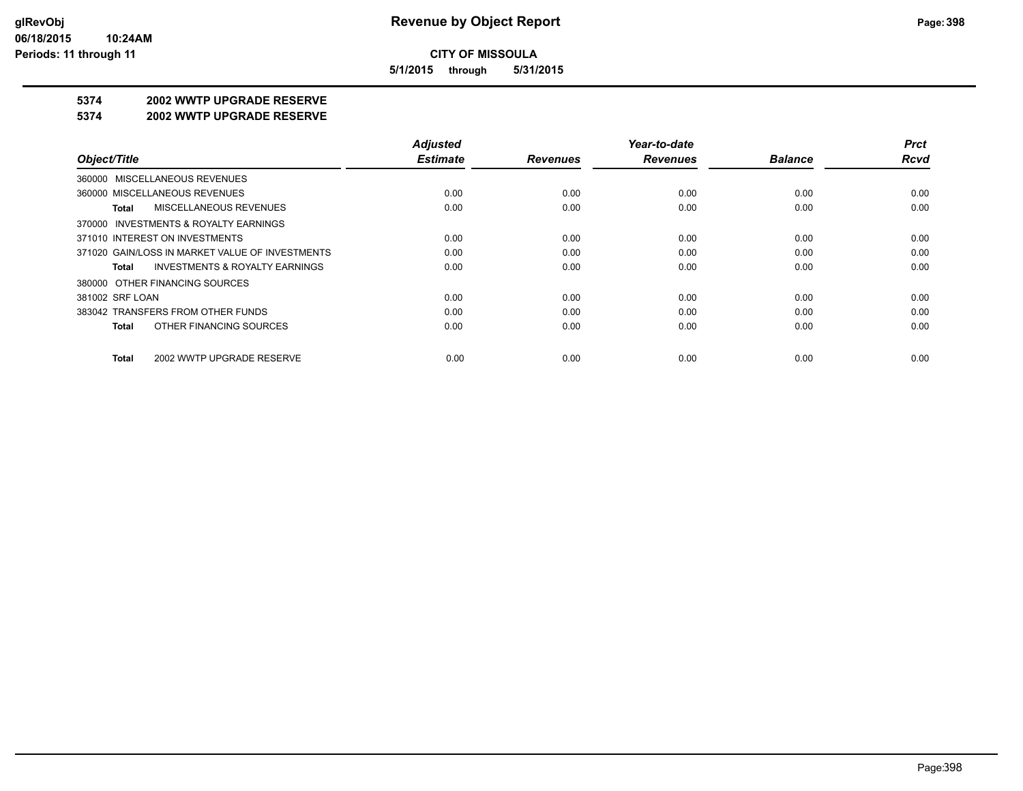**5/1/2015 through 5/31/2015**

#### **5374 2002 WWTP UPGRADE RESERVE**

#### **5374 2002 WWTP UPGRADE RESERVE**

|                                                    | <b>Adjusted</b> |                 | Year-to-date    |                | <b>Prct</b> |
|----------------------------------------------------|-----------------|-----------------|-----------------|----------------|-------------|
| Object/Title                                       | <b>Estimate</b> | <b>Revenues</b> | <b>Revenues</b> | <b>Balance</b> | <b>Rcvd</b> |
| 360000 MISCELLANEOUS REVENUES                      |                 |                 |                 |                |             |
| 360000 MISCELLANEOUS REVENUES                      | 0.00            | 0.00            | 0.00            | 0.00           | 0.00        |
| MISCELLANEOUS REVENUES<br>Total                    | 0.00            | 0.00            | 0.00            | 0.00           | 0.00        |
| 370000 INVESTMENTS & ROYALTY EARNINGS              |                 |                 |                 |                |             |
| 371010 INTEREST ON INVESTMENTS                     | 0.00            | 0.00            | 0.00            | 0.00           | 0.00        |
| 371020 GAIN/LOSS IN MARKET VALUE OF INVESTMENTS    | 0.00            | 0.00            | 0.00            | 0.00           | 0.00        |
| <b>INVESTMENTS &amp; ROYALTY EARNINGS</b><br>Total | 0.00            | 0.00            | 0.00            | 0.00           | 0.00        |
| 380000 OTHER FINANCING SOURCES                     |                 |                 |                 |                |             |
| 381002 SRF LOAN                                    | 0.00            | 0.00            | 0.00            | 0.00           | 0.00        |
| 383042 TRANSFERS FROM OTHER FUNDS                  | 0.00            | 0.00            | 0.00            | 0.00           | 0.00        |
| OTHER FINANCING SOURCES<br>Total                   | 0.00            | 0.00            | 0.00            | 0.00           | 0.00        |
| 2002 WWTP UPGRADE RESERVE<br>Total                 | 0.00            | 0.00            | 0.00            | 0.00           | 0.00        |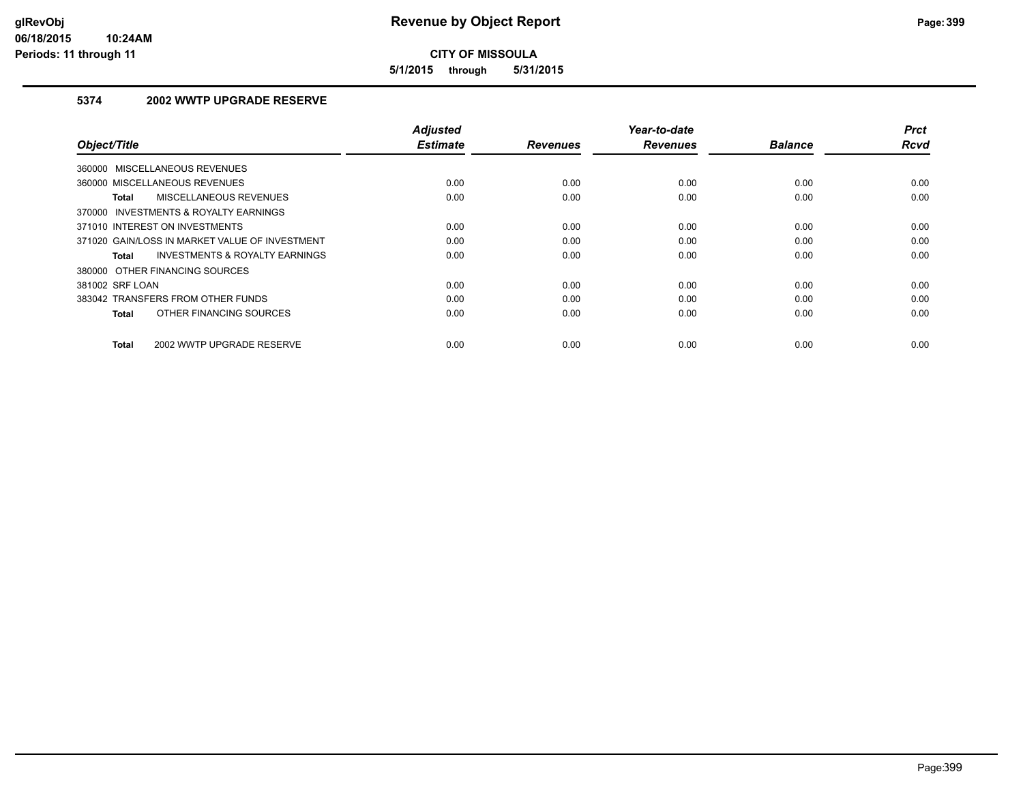**5/1/2015 through 5/31/2015**

## **5374 2002 WWTP UPGRADE RESERVE**

| Object/Title                                       | <b>Adjusted</b><br><b>Estimate</b> | <b>Revenues</b> | Year-to-date<br><b>Revenues</b> | <b>Balance</b> | <b>Prct</b><br><b>Rcvd</b> |
|----------------------------------------------------|------------------------------------|-----------------|---------------------------------|----------------|----------------------------|
| 360000 MISCELLANEOUS REVENUES                      |                                    |                 |                                 |                |                            |
| 360000 MISCELLANEOUS REVENUES                      | 0.00                               | 0.00            | 0.00                            | 0.00           | 0.00                       |
| MISCELLANEOUS REVENUES<br>Total                    | 0.00                               | 0.00            | 0.00                            | 0.00           | 0.00                       |
| 370000 INVESTMENTS & ROYALTY EARNINGS              |                                    |                 |                                 |                |                            |
| 371010 INTEREST ON INVESTMENTS                     | 0.00                               | 0.00            | 0.00                            | 0.00           | 0.00                       |
| 371020 GAIN/LOSS IN MARKET VALUE OF INVESTMENT     | 0.00                               | 0.00            | 0.00                            | 0.00           | 0.00                       |
| <b>INVESTMENTS &amp; ROYALTY EARNINGS</b><br>Total | 0.00                               | 0.00            | 0.00                            | 0.00           | 0.00                       |
| 380000 OTHER FINANCING SOURCES                     |                                    |                 |                                 |                |                            |
| 381002 SRF LOAN                                    | 0.00                               | 0.00            | 0.00                            | 0.00           | 0.00                       |
| 383042 TRANSFERS FROM OTHER FUNDS                  | 0.00                               | 0.00            | 0.00                            | 0.00           | 0.00                       |
| OTHER FINANCING SOURCES<br>Total                   | 0.00                               | 0.00            | 0.00                            | 0.00           | 0.00                       |
| 2002 WWTP UPGRADE RESERVE<br>Total                 | 0.00                               | 0.00            | 0.00                            | 0.00           | 0.00                       |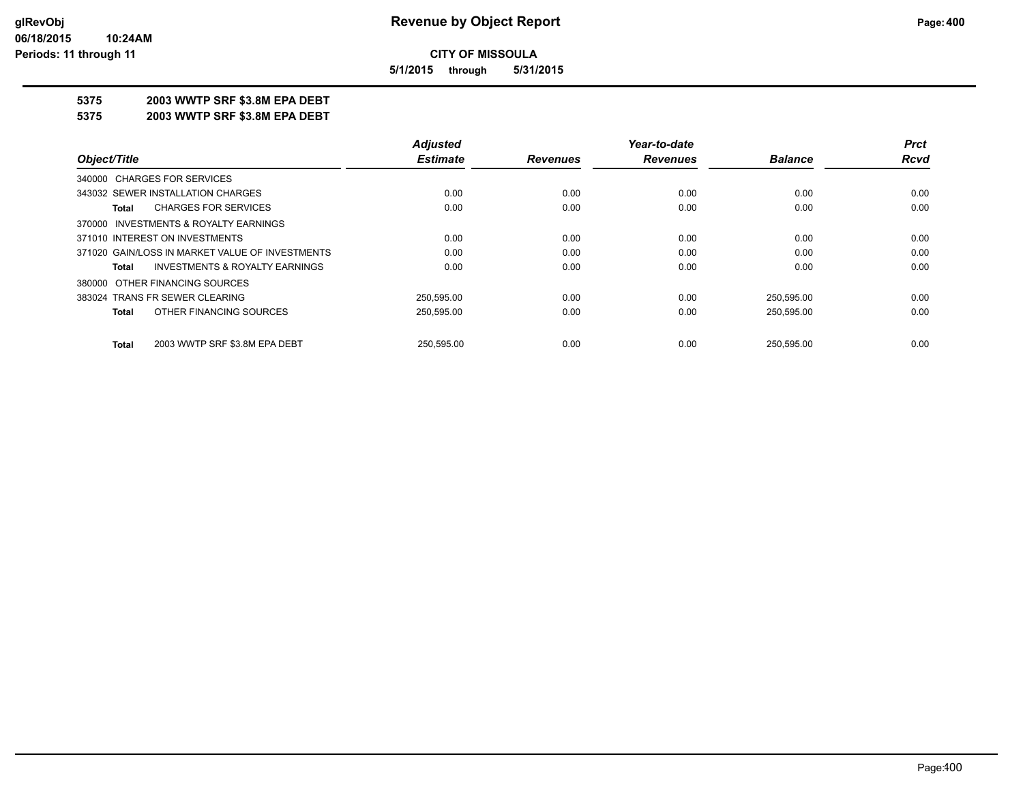**5/1/2015 through 5/31/2015**

#### **5375 2003 WWTP SRF \$3.8M EPA DEBT**

**5375 2003 WWTP SRF \$3.8M EPA DEBT**

|                                                    | <b>Adjusted</b> |                 | Year-to-date    |                | <b>Prct</b> |
|----------------------------------------------------|-----------------|-----------------|-----------------|----------------|-------------|
| Object/Title                                       | <b>Estimate</b> | <b>Revenues</b> | <b>Revenues</b> | <b>Balance</b> | Rcvd        |
| 340000 CHARGES FOR SERVICES                        |                 |                 |                 |                |             |
| 343032 SEWER INSTALLATION CHARGES                  | 0.00            | 0.00            | 0.00            | 0.00           | 0.00        |
| <b>CHARGES FOR SERVICES</b><br>Total               | 0.00            | 0.00            | 0.00            | 0.00           | 0.00        |
| 370000 INVESTMENTS & ROYALTY EARNINGS              |                 |                 |                 |                |             |
| 371010 INTEREST ON INVESTMENTS                     | 0.00            | 0.00            | 0.00            | 0.00           | 0.00        |
| 371020 GAIN/LOSS IN MARKET VALUE OF INVESTMENTS    | 0.00            | 0.00            | 0.00            | 0.00           | 0.00        |
| <b>INVESTMENTS &amp; ROYALTY EARNINGS</b><br>Total | 0.00            | 0.00            | 0.00            | 0.00           | 0.00        |
| 380000 OTHER FINANCING SOURCES                     |                 |                 |                 |                |             |
| 383024 TRANS FR SEWER CLEARING                     | 250,595.00      | 0.00            | 0.00            | 250,595.00     | 0.00        |
| OTHER FINANCING SOURCES<br>Total                   | 250.595.00      | 0.00            | 0.00            | 250,595.00     | 0.00        |
| 2003 WWTP SRF \$3.8M EPA DEBT<br><b>Total</b>      | 250.595.00      | 0.00            | 0.00            | 250.595.00     | 0.00        |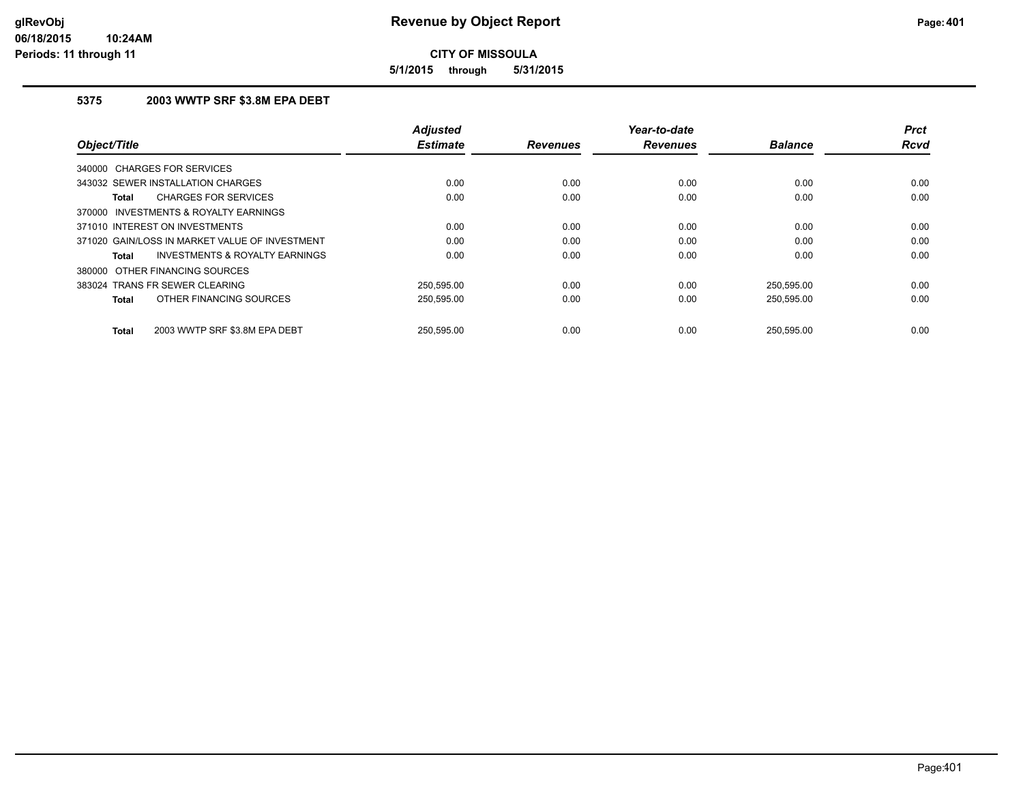**5/1/2015 through 5/31/2015**

## **5375 2003 WWTP SRF \$3.8M EPA DEBT**

| Object/Title                                       | <b>Adjusted</b><br><b>Estimate</b> | <b>Revenues</b> | Year-to-date<br><b>Revenues</b> | <b>Balance</b> | <b>Prct</b><br>Rcvd |
|----------------------------------------------------|------------------------------------|-----------------|---------------------------------|----------------|---------------------|
| 340000 CHARGES FOR SERVICES                        |                                    |                 |                                 |                |                     |
| 343032 SEWER INSTALLATION CHARGES                  | 0.00                               | 0.00            | 0.00                            | 0.00           | 0.00                |
| <b>CHARGES FOR SERVICES</b><br>Total               | 0.00                               | 0.00            | 0.00                            | 0.00           | 0.00                |
| 370000 INVESTMENTS & ROYALTY EARNINGS              |                                    |                 |                                 |                |                     |
| 371010 INTEREST ON INVESTMENTS                     | 0.00                               | 0.00            | 0.00                            | 0.00           | 0.00                |
| 371020 GAIN/LOSS IN MARKET VALUE OF INVESTMENT     | 0.00                               | 0.00            | 0.00                            | 0.00           | 0.00                |
| <b>INVESTMENTS &amp; ROYALTY EARNINGS</b><br>Total | 0.00                               | 0.00            | 0.00                            | 0.00           | 0.00                |
| 380000 OTHER FINANCING SOURCES                     |                                    |                 |                                 |                |                     |
| 383024 TRANS FR SEWER CLEARING                     | 250.595.00                         | 0.00            | 0.00                            | 250.595.00     | 0.00                |
| OTHER FINANCING SOURCES<br>Total                   | 250,595.00                         | 0.00            | 0.00                            | 250,595.00     | 0.00                |
| 2003 WWTP SRF \$3.8M EPA DEBT<br>Total             | 250.595.00                         | 0.00            | 0.00                            | 250.595.00     | 0.00                |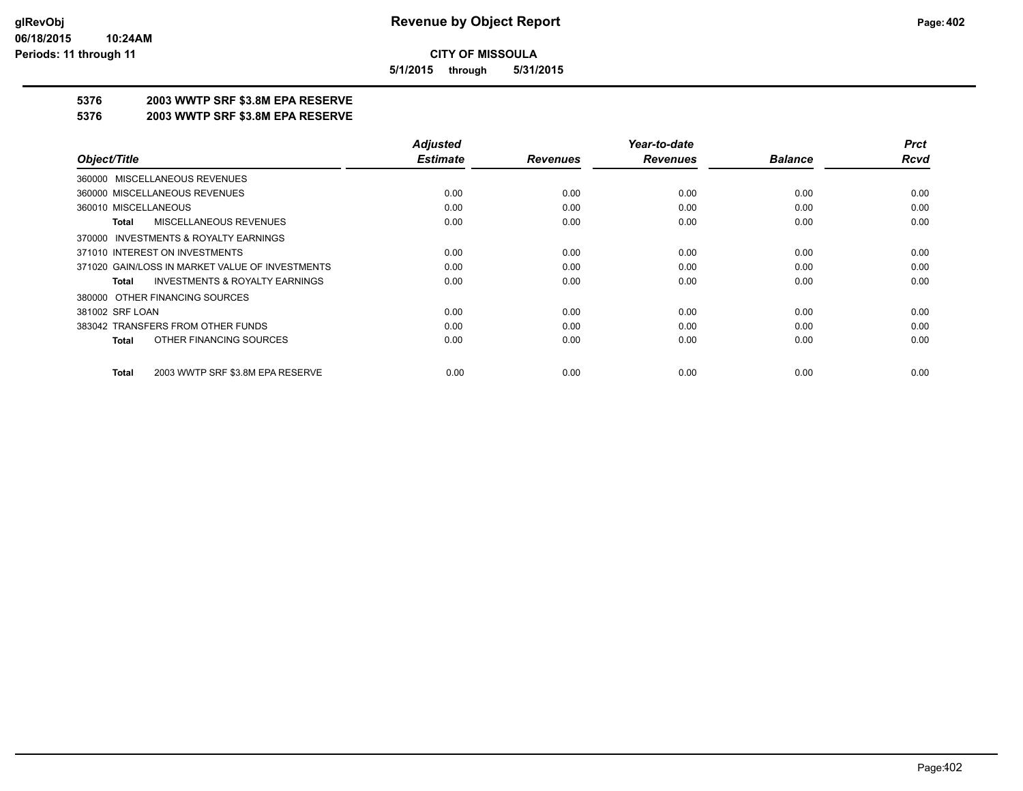**5/1/2015 through 5/31/2015**

## **5376 2003 WWTP SRF \$3.8M EPA RESERVE**

#### **5376 2003 WWTP SRF \$3.8M EPA RESERVE**

|                                                    | <b>Adjusted</b> |                 | Year-to-date    |                | <b>Prct</b> |
|----------------------------------------------------|-----------------|-----------------|-----------------|----------------|-------------|
| Object/Title                                       | <b>Estimate</b> | <b>Revenues</b> | <b>Revenues</b> | <b>Balance</b> | <b>Rcvd</b> |
| 360000 MISCELLANEOUS REVENUES                      |                 |                 |                 |                |             |
| 360000 MISCELLANEOUS REVENUES                      | 0.00            | 0.00            | 0.00            | 0.00           | 0.00        |
| 360010 MISCELLANEOUS                               | 0.00            | 0.00            | 0.00            | 0.00           | 0.00        |
| <b>MISCELLANEOUS REVENUES</b><br>Total             | 0.00            | 0.00            | 0.00            | 0.00           | 0.00        |
| 370000 INVESTMENTS & ROYALTY EARNINGS              |                 |                 |                 |                |             |
| 371010 INTEREST ON INVESTMENTS                     | 0.00            | 0.00            | 0.00            | 0.00           | 0.00        |
| 371020 GAIN/LOSS IN MARKET VALUE OF INVESTMENTS    | 0.00            | 0.00            | 0.00            | 0.00           | 0.00        |
| <b>INVESTMENTS &amp; ROYALTY EARNINGS</b><br>Total | 0.00            | 0.00            | 0.00            | 0.00           | 0.00        |
| 380000 OTHER FINANCING SOURCES                     |                 |                 |                 |                |             |
| 381002 SRF LOAN                                    | 0.00            | 0.00            | 0.00            | 0.00           | 0.00        |
| 383042 TRANSFERS FROM OTHER FUNDS                  | 0.00            | 0.00            | 0.00            | 0.00           | 0.00        |
| OTHER FINANCING SOURCES<br><b>Total</b>            | 0.00            | 0.00            | 0.00            | 0.00           | 0.00        |
| 2003 WWTP SRF \$3.8M EPA RESERVE<br><b>Total</b>   | 0.00            | 0.00            | 0.00            | 0.00           | 0.00        |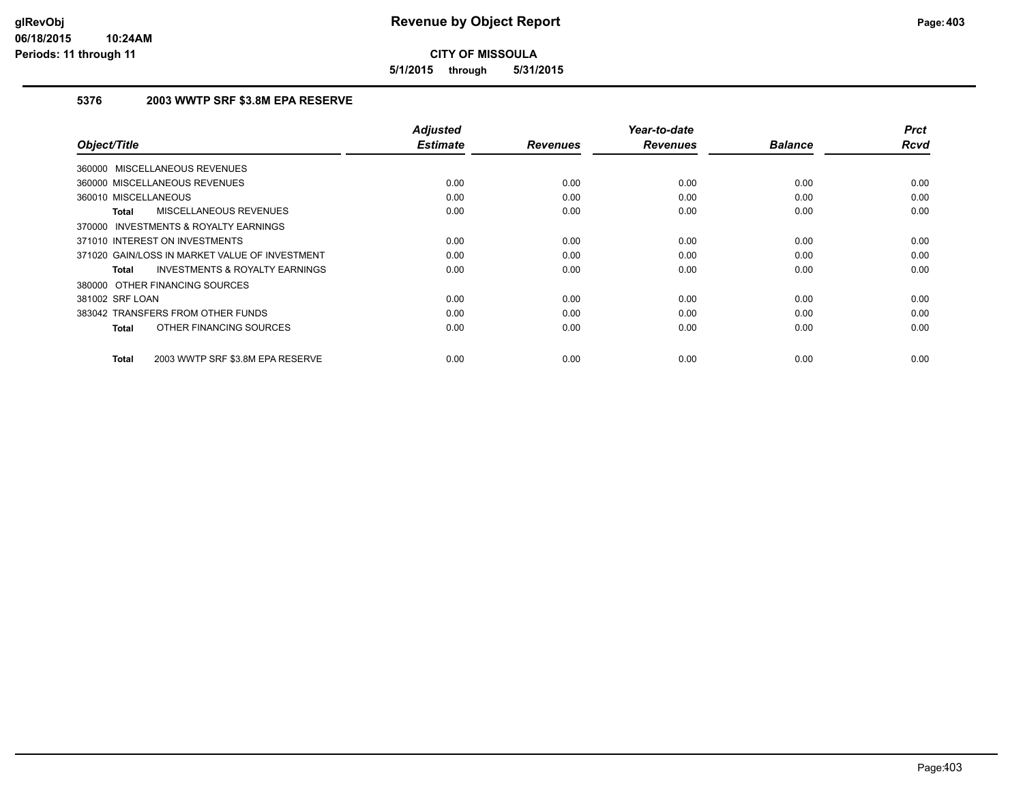**5/1/2015 through 5/31/2015**

### **5376 2003 WWTP SRF \$3.8M EPA RESERVE**

| Object/Title                                              | <b>Adjusted</b><br><b>Estimate</b> | <b>Revenues</b> | Year-to-date<br><b>Revenues</b> | <b>Balance</b> | <b>Prct</b><br><b>Rcvd</b> |
|-----------------------------------------------------------|------------------------------------|-----------------|---------------------------------|----------------|----------------------------|
| 360000 MISCELLANEOUS REVENUES                             |                                    |                 |                                 |                |                            |
|                                                           |                                    |                 |                                 |                |                            |
| 360000 MISCELLANEOUS REVENUES                             | 0.00                               | 0.00            | 0.00                            | 0.00           | 0.00                       |
| 360010 MISCELLANEOUS                                      | 0.00                               | 0.00            | 0.00                            | 0.00           | 0.00                       |
| <b>MISCELLANEOUS REVENUES</b><br><b>Total</b>             | 0.00                               | 0.00            | 0.00                            | 0.00           | 0.00                       |
| INVESTMENTS & ROYALTY EARNINGS<br>370000                  |                                    |                 |                                 |                |                            |
| 371010 INTEREST ON INVESTMENTS                            | 0.00                               | 0.00            | 0.00                            | 0.00           | 0.00                       |
| 371020 GAIN/LOSS IN MARKET VALUE OF INVESTMENT            | 0.00                               | 0.00            | 0.00                            | 0.00           | 0.00                       |
| <b>INVESTMENTS &amp; ROYALTY EARNINGS</b><br><b>Total</b> | 0.00                               | 0.00            | 0.00                            | 0.00           | 0.00                       |
| 380000 OTHER FINANCING SOURCES                            |                                    |                 |                                 |                |                            |
| 381002 SRF LOAN                                           | 0.00                               | 0.00            | 0.00                            | 0.00           | 0.00                       |
| 383042 TRANSFERS FROM OTHER FUNDS                         | 0.00                               | 0.00            | 0.00                            | 0.00           | 0.00                       |
| OTHER FINANCING SOURCES<br><b>Total</b>                   | 0.00                               | 0.00            | 0.00                            | 0.00           | 0.00                       |
|                                                           |                                    |                 |                                 |                |                            |
| 2003 WWTP SRF \$3.8M EPA RESERVE<br><b>Total</b>          | 0.00                               | 0.00            | 0.00                            | 0.00           | 0.00                       |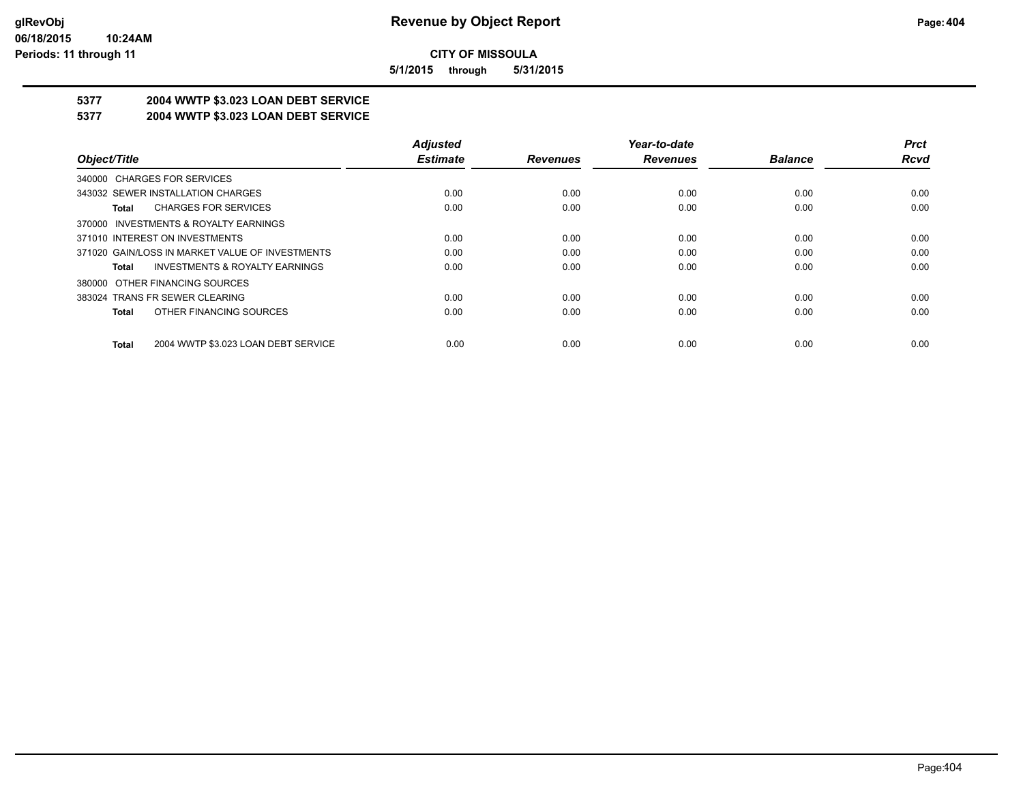**5/1/2015 through 5/31/2015**

# **5377 2004 WWTP \$3.023 LOAN DEBT SERVICE**

#### **5377 2004 WWTP \$3.023 LOAN DEBT SERVICE**

|                                                     | <b>Adjusted</b> |                 | Year-to-date    |                | <b>Prct</b> |
|-----------------------------------------------------|-----------------|-----------------|-----------------|----------------|-------------|
| Object/Title                                        | <b>Estimate</b> | <b>Revenues</b> | <b>Revenues</b> | <b>Balance</b> | Rcvd        |
| 340000 CHARGES FOR SERVICES                         |                 |                 |                 |                |             |
| 343032 SEWER INSTALLATION CHARGES                   | 0.00            | 0.00            | 0.00            | 0.00           | 0.00        |
| <b>CHARGES FOR SERVICES</b><br>Total                | 0.00            | 0.00            | 0.00            | 0.00           | 0.00        |
| 370000 INVESTMENTS & ROYALTY EARNINGS               |                 |                 |                 |                |             |
| 371010 INTEREST ON INVESTMENTS                      | 0.00            | 0.00            | 0.00            | 0.00           | 0.00        |
| 371020 GAIN/LOSS IN MARKET VALUE OF INVESTMENTS     | 0.00            | 0.00            | 0.00            | 0.00           | 0.00        |
| <b>INVESTMENTS &amp; ROYALTY EARNINGS</b><br>Total  | 0.00            | 0.00            | 0.00            | 0.00           | 0.00        |
| 380000 OTHER FINANCING SOURCES                      |                 |                 |                 |                |             |
| 383024 TRANS FR SEWER CLEARING                      | 0.00            | 0.00            | 0.00            | 0.00           | 0.00        |
| OTHER FINANCING SOURCES<br>Total                    | 0.00            | 0.00            | 0.00            | 0.00           | 0.00        |
| 2004 WWTP \$3.023 LOAN DEBT SERVICE<br><b>Total</b> | 0.00            | 0.00            | 0.00            | 0.00           | 0.00        |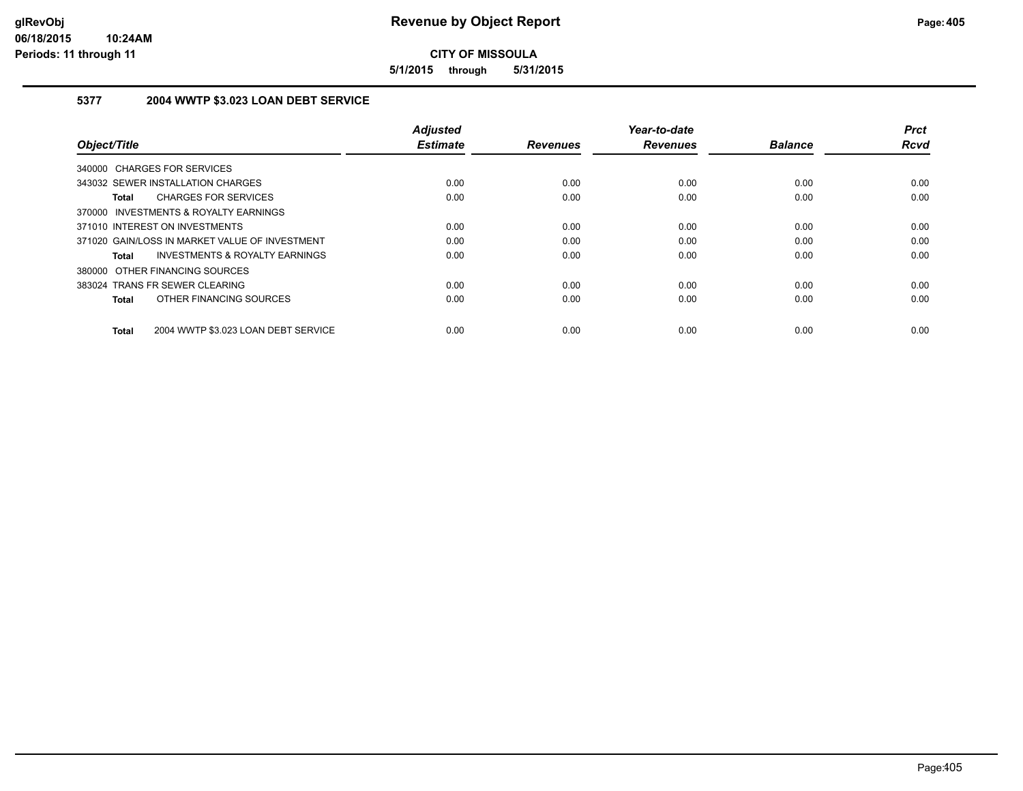**5/1/2015 through 5/31/2015**

### **5377 2004 WWTP \$3.023 LOAN DEBT SERVICE**

| Object/Title                                              | <b>Adiusted</b><br><b>Estimate</b> | <b>Revenues</b> | Year-to-date<br><b>Revenues</b> | <b>Balance</b> | <b>Prct</b><br><b>Rcvd</b> |
|-----------------------------------------------------------|------------------------------------|-----------------|---------------------------------|----------------|----------------------------|
| 340000 CHARGES FOR SERVICES                               |                                    |                 |                                 |                |                            |
| 343032 SEWER INSTALLATION CHARGES                         | 0.00                               | 0.00            | 0.00                            | 0.00           | 0.00                       |
| <b>CHARGES FOR SERVICES</b><br><b>Total</b>               | 0.00                               | 0.00            | 0.00                            | 0.00           | 0.00                       |
| 370000 INVESTMENTS & ROYALTY EARNINGS                     |                                    |                 |                                 |                |                            |
| 371010 INTEREST ON INVESTMENTS                            | 0.00                               | 0.00            | 0.00                            | 0.00           | 0.00                       |
| 371020 GAIN/LOSS IN MARKET VALUE OF INVESTMENT            | 0.00                               | 0.00            | 0.00                            | 0.00           | 0.00                       |
| <b>INVESTMENTS &amp; ROYALTY EARNINGS</b><br><b>Total</b> | 0.00                               | 0.00            | 0.00                            | 0.00           | 0.00                       |
| 380000 OTHER FINANCING SOURCES                            |                                    |                 |                                 |                |                            |
| 383024 TRANS FR SEWER CLEARING                            | 0.00                               | 0.00            | 0.00                            | 0.00           | 0.00                       |
| OTHER FINANCING SOURCES<br><b>Total</b>                   | 0.00                               | 0.00            | 0.00                            | 0.00           | 0.00                       |
| 2004 WWTP \$3.023 LOAN DEBT SERVICE<br><b>Total</b>       | 0.00                               | 0.00            | 0.00                            | 0.00           | 0.00                       |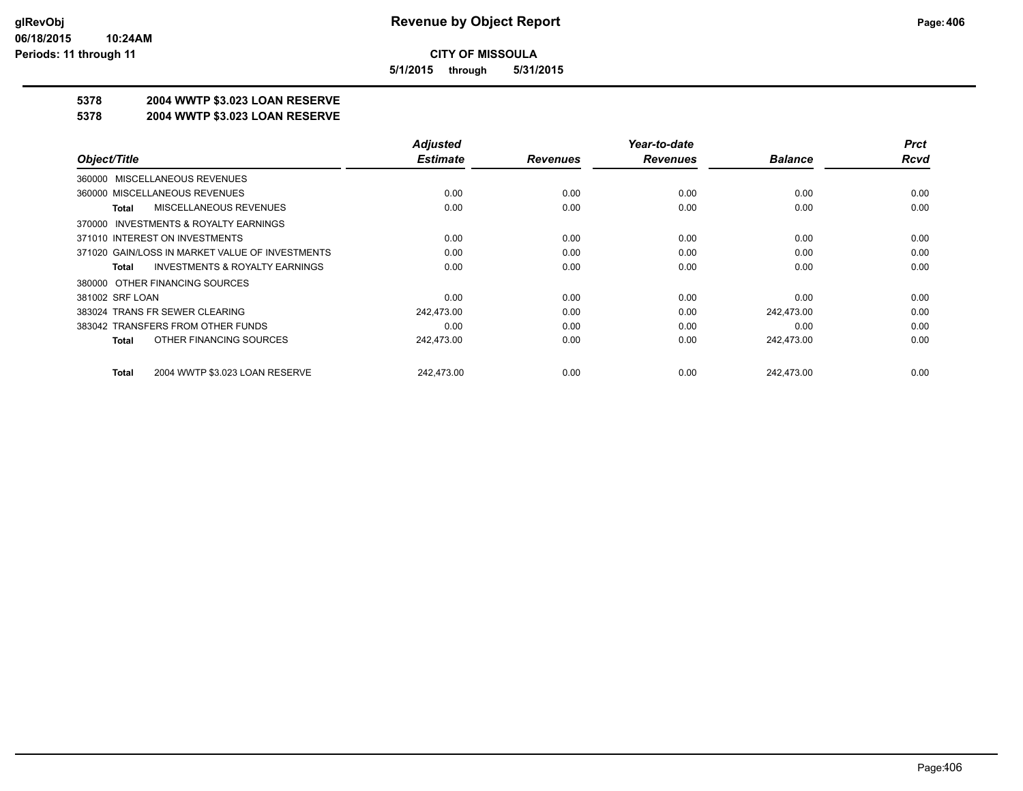**5/1/2015 through 5/31/2015**

## **5378 2004 WWTP \$3.023 LOAN RESERVE**

#### **5378 2004 WWTP \$3.023 LOAN RESERVE**

|                                                    | <b>Adjusted</b> |                 | Year-to-date    |                | <b>Prct</b> |
|----------------------------------------------------|-----------------|-----------------|-----------------|----------------|-------------|
| Object/Title                                       | <b>Estimate</b> | <b>Revenues</b> | <b>Revenues</b> | <b>Balance</b> | <b>Rcvd</b> |
| 360000 MISCELLANEOUS REVENUES                      |                 |                 |                 |                |             |
| 360000 MISCELLANEOUS REVENUES                      | 0.00            | 0.00            | 0.00            | 0.00           | 0.00        |
| MISCELLANEOUS REVENUES<br>Total                    | 0.00            | 0.00            | 0.00            | 0.00           | 0.00        |
| 370000 INVESTMENTS & ROYALTY EARNINGS              |                 |                 |                 |                |             |
| 371010 INTEREST ON INVESTMENTS                     | 0.00            | 0.00            | 0.00            | 0.00           | 0.00        |
| 371020 GAIN/LOSS IN MARKET VALUE OF INVESTMENTS    | 0.00            | 0.00            | 0.00            | 0.00           | 0.00        |
| <b>INVESTMENTS &amp; ROYALTY EARNINGS</b><br>Total | 0.00            | 0.00            | 0.00            | 0.00           | 0.00        |
| 380000 OTHER FINANCING SOURCES                     |                 |                 |                 |                |             |
| 381002 SRF LOAN                                    | 0.00            | 0.00            | 0.00            | 0.00           | 0.00        |
| 383024 TRANS FR SEWER CLEARING                     | 242,473.00      | 0.00            | 0.00            | 242,473.00     | 0.00        |
| 383042 TRANSFERS FROM OTHER FUNDS                  | 0.00            | 0.00            | 0.00            | 0.00           | 0.00        |
| OTHER FINANCING SOURCES<br>Total                   | 242,473.00      | 0.00            | 0.00            | 242,473.00     | 0.00        |
| 2004 WWTP \$3.023 LOAN RESERVE<br>Total            | 242,473.00      | 0.00            | 0.00            | 242.473.00     | 0.00        |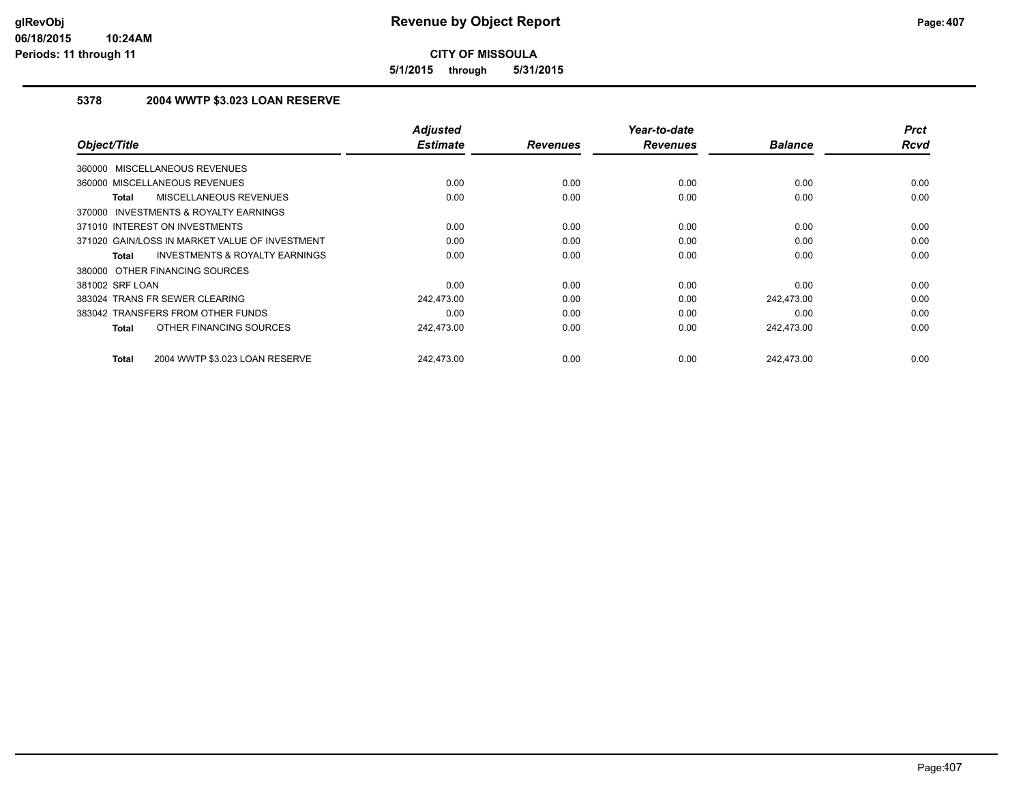**5/1/2015 through 5/31/2015**

## **5378 2004 WWTP \$3.023 LOAN RESERVE**

| Object/Title                                       | <b>Adjusted</b><br><b>Estimate</b> | <b>Revenues</b> | Year-to-date<br><b>Revenues</b> | <b>Balance</b> | <b>Prct</b><br><b>Rcvd</b> |
|----------------------------------------------------|------------------------------------|-----------------|---------------------------------|----------------|----------------------------|
|                                                    |                                    |                 |                                 |                |                            |
| <b>MISCELLANEOUS REVENUES</b><br>360000            |                                    |                 |                                 |                |                            |
| 360000 MISCELLANEOUS REVENUES                      | 0.00                               | 0.00            | 0.00                            | 0.00           | 0.00                       |
| MISCELLANEOUS REVENUES<br><b>Total</b>             | 0.00                               | 0.00            | 0.00                            | 0.00           | 0.00                       |
| INVESTMENTS & ROYALTY EARNINGS<br>370000           |                                    |                 |                                 |                |                            |
| 371010 INTEREST ON INVESTMENTS                     | 0.00                               | 0.00            | 0.00                            | 0.00           | 0.00                       |
| 371020 GAIN/LOSS IN MARKET VALUE OF INVESTMENT     | 0.00                               | 0.00            | 0.00                            | 0.00           | 0.00                       |
| <b>INVESTMENTS &amp; ROYALTY EARNINGS</b><br>Total | 0.00                               | 0.00            | 0.00                            | 0.00           | 0.00                       |
| 380000 OTHER FINANCING SOURCES                     |                                    |                 |                                 |                |                            |
| 381002 SRF LOAN                                    | 0.00                               | 0.00            | 0.00                            | 0.00           | 0.00                       |
| 383024 TRANS FR SEWER CLEARING                     | 242,473.00                         | 0.00            | 0.00                            | 242,473.00     | 0.00                       |
| 383042 TRANSFERS FROM OTHER FUNDS                  | 0.00                               | 0.00            | 0.00                            | 0.00           | 0.00                       |
| OTHER FINANCING SOURCES<br><b>Total</b>            | 242,473.00                         | 0.00            | 0.00                            | 242,473.00     | 0.00                       |
| 2004 WWTP \$3.023 LOAN RESERVE<br><b>Total</b>     | 242.473.00                         | 0.00            | 0.00                            | 242.473.00     | 0.00                       |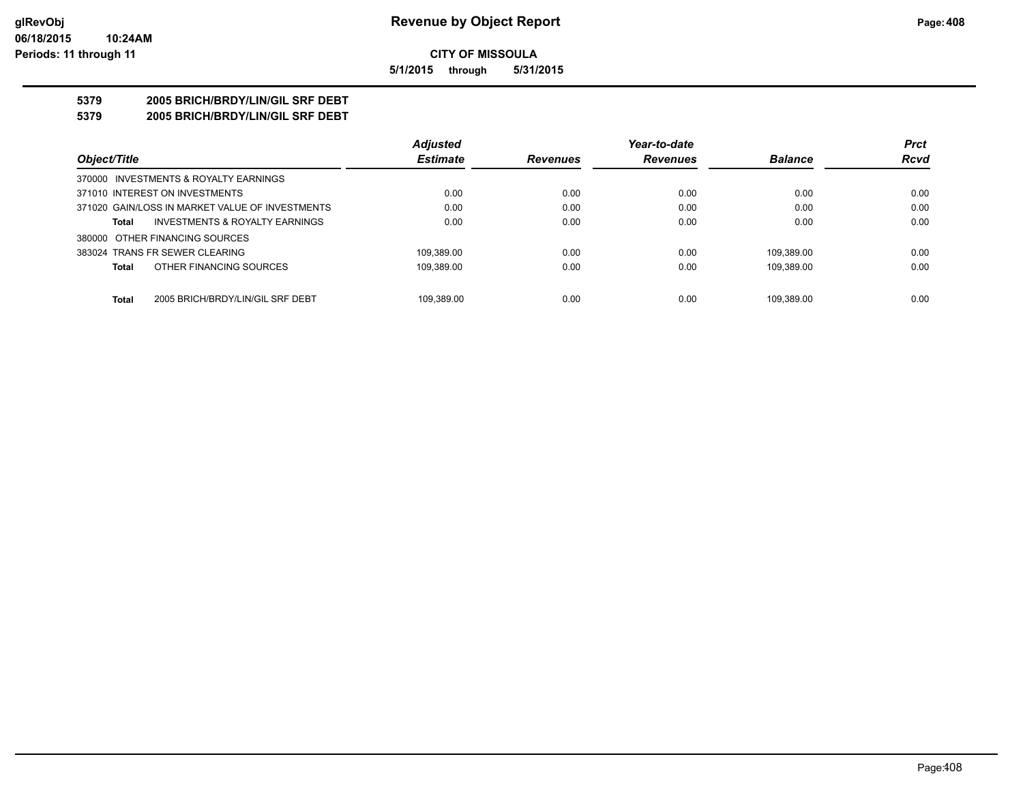**5/1/2015 through 5/31/2015**

## **5379 2005 BRICH/BRDY/LIN/GIL SRF DEBT**

**5379 2005 BRICH/BRDY/LIN/GIL SRF DEBT**

|                                                  | <b>Adjusted</b> |                 | Year-to-date    |                | <b>Prct</b> |
|--------------------------------------------------|-----------------|-----------------|-----------------|----------------|-------------|
| Object/Title                                     | <b>Estimate</b> | <b>Revenues</b> | <b>Revenues</b> | <b>Balance</b> | <b>Rcvd</b> |
| 370000 INVESTMENTS & ROYALTY EARNINGS            |                 |                 |                 |                |             |
| 371010 INTEREST ON INVESTMENTS                   | 0.00            | 0.00            | 0.00            | 0.00           | 0.00        |
| 371020 GAIN/LOSS IN MARKET VALUE OF INVESTMENTS  | 0.00            | 0.00            | 0.00            | 0.00           | 0.00        |
| INVESTMENTS & ROYALTY EARNINGS<br><b>Total</b>   | 0.00            | 0.00            | 0.00            | 0.00           | 0.00        |
| 380000 OTHER FINANCING SOURCES                   |                 |                 |                 |                |             |
| 383024 TRANS FR SEWER CLEARING                   | 109.389.00      | 0.00            | 0.00            | 109.389.00     | 0.00        |
| OTHER FINANCING SOURCES<br><b>Total</b>          | 109.389.00      | 0.00            | 0.00            | 109.389.00     | 0.00        |
|                                                  |                 |                 |                 |                |             |
| <b>Total</b><br>2005 BRICH/BRDY/LIN/GIL SRF DEBT | 109.389.00      | 0.00            | 0.00            | 109.389.00     | 0.00        |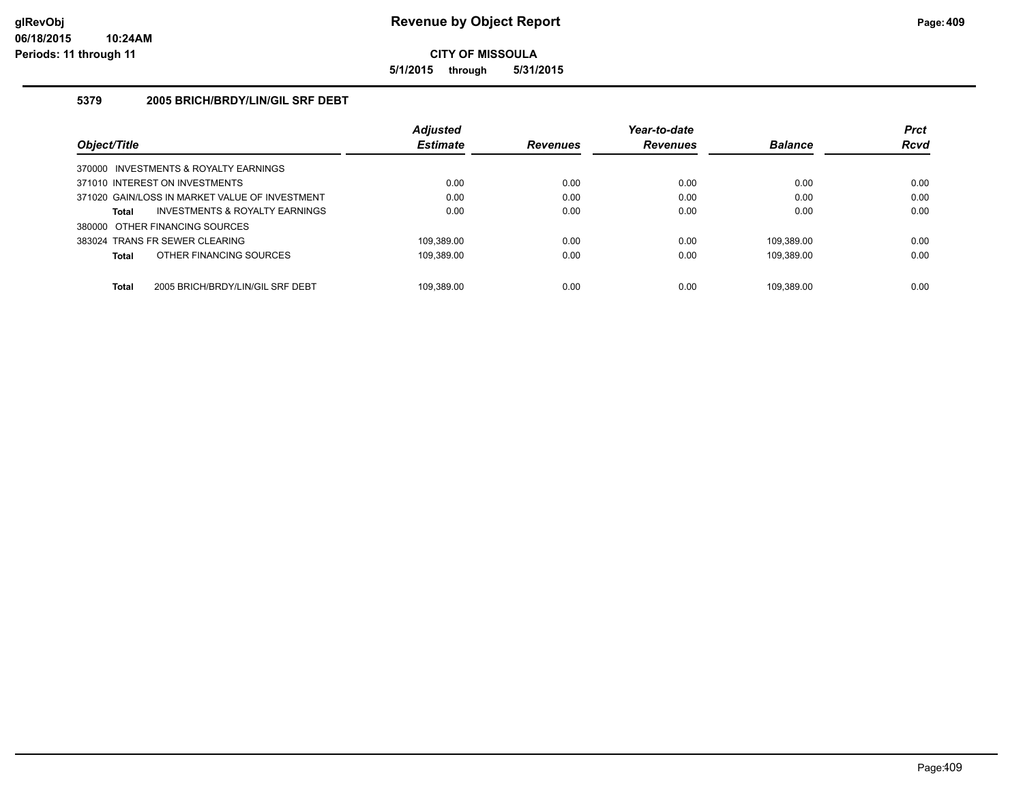**5/1/2015 through 5/31/2015**

### **5379 2005 BRICH/BRDY/LIN/GIL SRF DEBT**

|                                                  | <b>Adjusted</b> |                 | Year-to-date    |                | <b>Prct</b> |
|--------------------------------------------------|-----------------|-----------------|-----------------|----------------|-------------|
| Object/Title                                     | <b>Estimate</b> | <b>Revenues</b> | <b>Revenues</b> | <b>Balance</b> | <b>Rcvd</b> |
| 370000 INVESTMENTS & ROYALTY EARNINGS            |                 |                 |                 |                |             |
| 371010 INTEREST ON INVESTMENTS                   | 0.00            | 0.00            | 0.00            | 0.00           | 0.00        |
| 371020 GAIN/LOSS IN MARKET VALUE OF INVESTMENT   | 0.00            | 0.00            | 0.00            | 0.00           | 0.00        |
| INVESTMENTS & ROYALTY EARNINGS<br>Total          | 0.00            | 0.00            | 0.00            | 0.00           | 0.00        |
| 380000 OTHER FINANCING SOURCES                   |                 |                 |                 |                |             |
| 383024 TRANS FR SEWER CLEARING                   | 109.389.00      | 0.00            | 0.00            | 109.389.00     | 0.00        |
| OTHER FINANCING SOURCES<br>Total                 | 109.389.00      | 0.00            | 0.00            | 109.389.00     | 0.00        |
|                                                  |                 |                 |                 |                |             |
| <b>Total</b><br>2005 BRICH/BRDY/LIN/GIL SRF DEBT | 109.389.00      | 0.00            | 0.00            | 109.389.00     | 0.00        |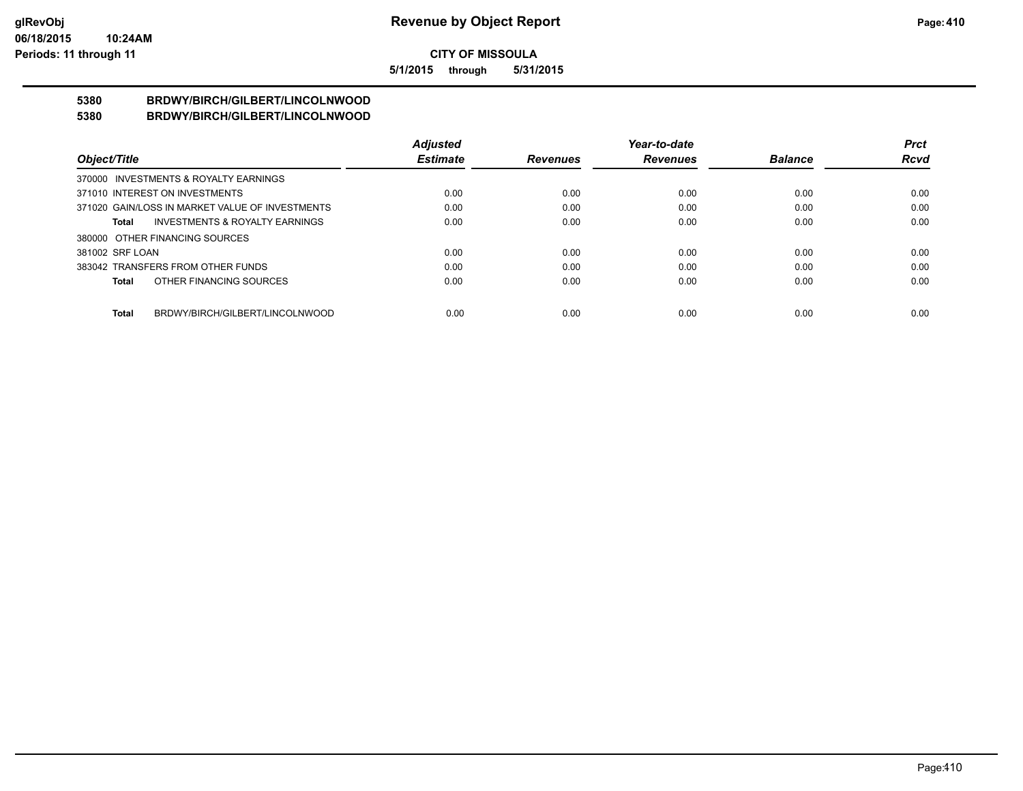**5/1/2015 through 5/31/2015**

#### **5380 BRDWY/BIRCH/GILBERT/LINCOLNWOOD 5380 BRDWY/BIRCH/GILBERT/LINCOLNWOOD**

|                                                    | <b>Adjusted</b> |                 | Year-to-date    |                | <b>Prct</b> |
|----------------------------------------------------|-----------------|-----------------|-----------------|----------------|-------------|
| Object/Title                                       | <b>Estimate</b> | <b>Revenues</b> | <b>Revenues</b> | <b>Balance</b> | <b>Rcvd</b> |
| 370000 INVESTMENTS & ROYALTY EARNINGS              |                 |                 |                 |                |             |
| 371010 INTEREST ON INVESTMENTS                     | 0.00            | 0.00            | 0.00            | 0.00           | 0.00        |
| 371020 GAIN/LOSS IN MARKET VALUE OF INVESTMENTS    | 0.00            | 0.00            | 0.00            | 0.00           | 0.00        |
| <b>INVESTMENTS &amp; ROYALTY EARNINGS</b><br>Total | 0.00            | 0.00            | 0.00            | 0.00           | 0.00        |
| 380000 OTHER FINANCING SOURCES                     |                 |                 |                 |                |             |
| 381002 SRF LOAN                                    | 0.00            | 0.00            | 0.00            | 0.00           | 0.00        |
| 383042 TRANSFERS FROM OTHER FUNDS                  | 0.00            | 0.00            | 0.00            | 0.00           | 0.00        |
| OTHER FINANCING SOURCES<br>Total                   | 0.00            | 0.00            | 0.00            | 0.00           | 0.00        |
|                                                    |                 |                 |                 |                |             |
| BRDWY/BIRCH/GILBERT/LINCOLNWOOD<br>Total           | 0.00            | 0.00            | 0.00            | 0.00           | 0.00        |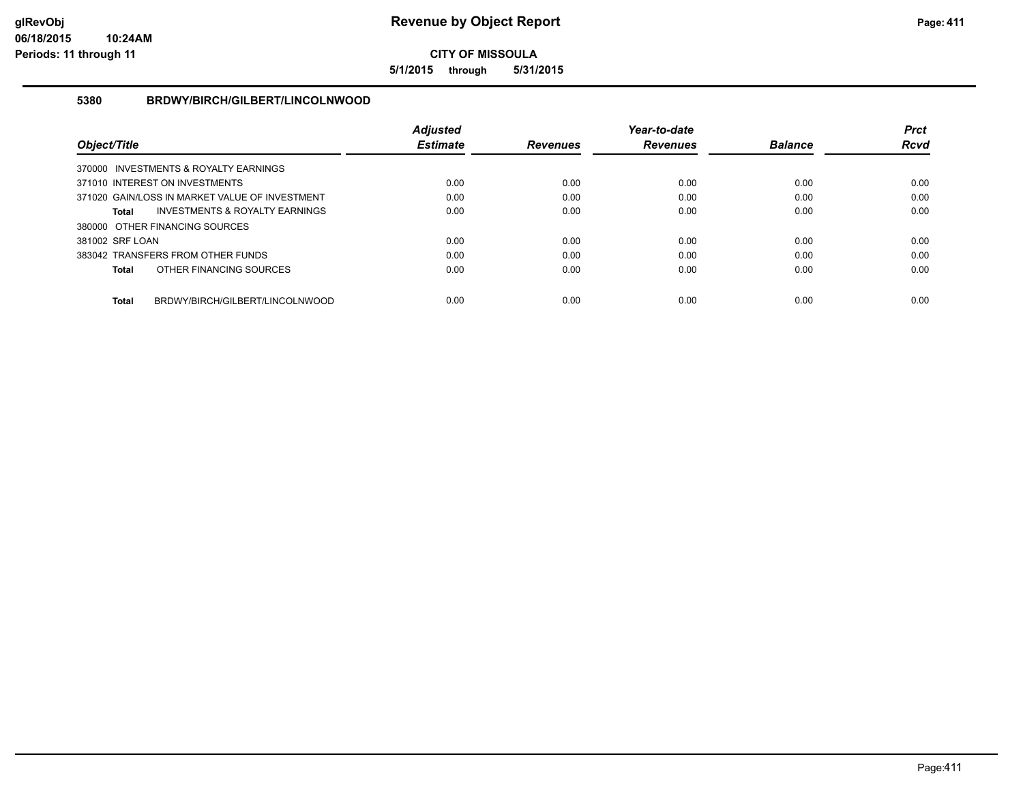**5/1/2015 through 5/31/2015**

#### **5380 BRDWY/BIRCH/GILBERT/LINCOLNWOOD**

|                                                 | <b>Adiusted</b> |                 | Year-to-date    |                | <b>Prct</b> |
|-------------------------------------------------|-----------------|-----------------|-----------------|----------------|-------------|
| Object/Title                                    | <b>Estimate</b> | <b>Revenues</b> | <b>Revenues</b> | <b>Balance</b> | <b>Rcvd</b> |
| 370000 INVESTMENTS & ROYALTY EARNINGS           |                 |                 |                 |                |             |
| 371010 INTEREST ON INVESTMENTS                  | 0.00            | 0.00            | 0.00            | 0.00           | 0.00        |
| 371020 GAIN/LOSS IN MARKET VALUE OF INVESTMENT  | 0.00            | 0.00            | 0.00            | 0.00           | 0.00        |
| INVESTMENTS & ROYALTY EARNINGS<br><b>Total</b>  | 0.00            | 0.00            | 0.00            | 0.00           | 0.00        |
| 380000 OTHER FINANCING SOURCES                  |                 |                 |                 |                |             |
| 381002 SRF LOAN                                 | 0.00            | 0.00            | 0.00            | 0.00           | 0.00        |
| 383042 TRANSFERS FROM OTHER FUNDS               | 0.00            | 0.00            | 0.00            | 0.00           | 0.00        |
| OTHER FINANCING SOURCES<br><b>Total</b>         | 0.00            | 0.00            | 0.00            | 0.00           | 0.00        |
|                                                 |                 |                 |                 |                |             |
| BRDWY/BIRCH/GILBERT/LINCOLNWOOD<br><b>Total</b> | 0.00            | 0.00            | 0.00            | 0.00           | 0.00        |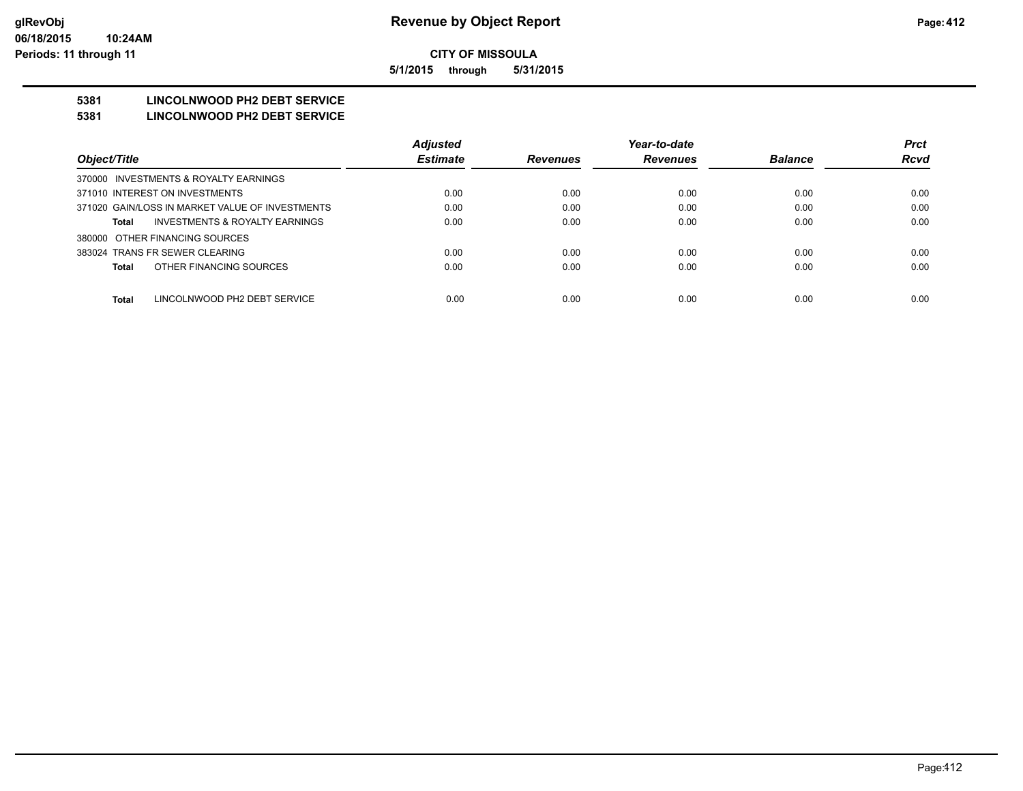**5/1/2015 through 5/31/2015**

## **5381 LINCOLNWOOD PH2 DEBT SERVICE**

#### **5381 LINCOLNWOOD PH2 DEBT SERVICE**

|                                                 | <b>Adjusted</b> |                 | Year-to-date    |                | <b>Prct</b> |
|-------------------------------------------------|-----------------|-----------------|-----------------|----------------|-------------|
| Object/Title                                    | <b>Estimate</b> | <b>Revenues</b> | <b>Revenues</b> | <b>Balance</b> | <b>Rcvd</b> |
| 370000 INVESTMENTS & ROYALTY EARNINGS           |                 |                 |                 |                |             |
| 371010 INTEREST ON INVESTMENTS                  | 0.00            | 0.00            | 0.00            | 0.00           | 0.00        |
| 371020 GAIN/LOSS IN MARKET VALUE OF INVESTMENTS | 0.00            | 0.00            | 0.00            | 0.00           | 0.00        |
| INVESTMENTS & ROYALTY EARNINGS<br>Total         | 0.00            | 0.00            | 0.00            | 0.00           | 0.00        |
| 380000 OTHER FINANCING SOURCES                  |                 |                 |                 |                |             |
| 383024 TRANS FR SEWER CLEARING                  | 0.00            | 0.00            | 0.00            | 0.00           | 0.00        |
| OTHER FINANCING SOURCES<br>Total                | 0.00            | 0.00            | 0.00            | 0.00           | 0.00        |
|                                                 |                 |                 |                 |                |             |
| Total<br>LINCOLNWOOD PH2 DEBT SERVICE           | 0.00            | 0.00            | 0.00            | 0.00           | 0.00        |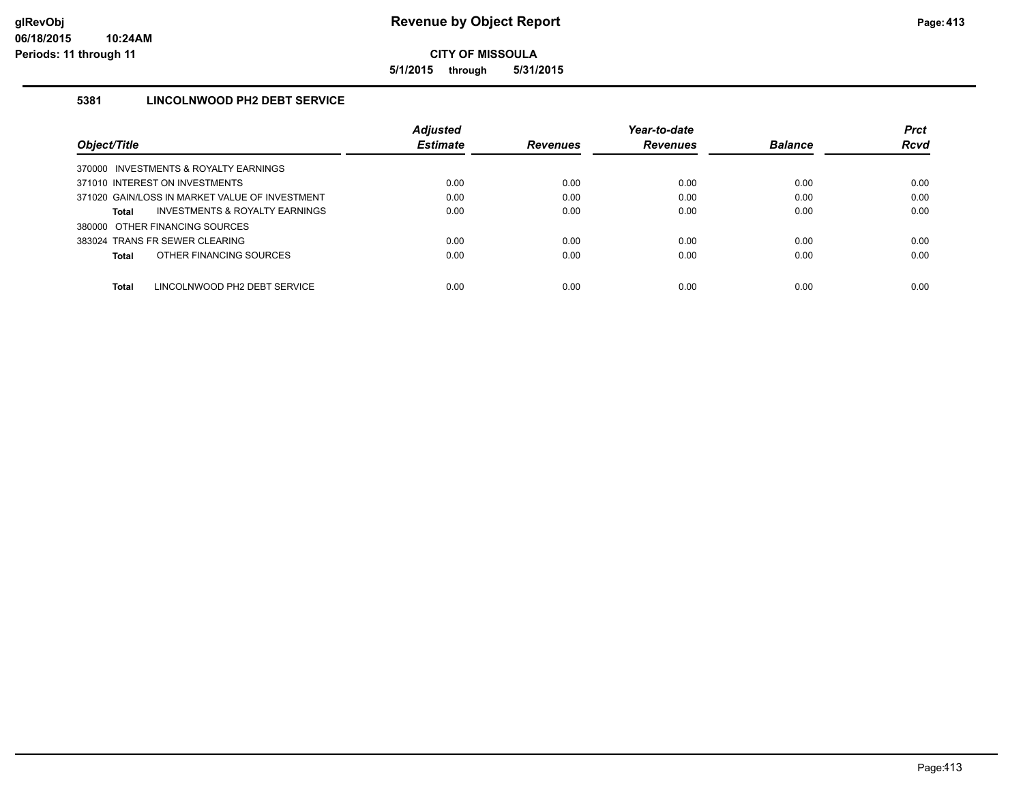**5/1/2015 through 5/31/2015**

## **5381 LINCOLNWOOD PH2 DEBT SERVICE**

|                                                | <b>Adjusted</b> |                 | Year-to-date    |                | <b>Prct</b> |
|------------------------------------------------|-----------------|-----------------|-----------------|----------------|-------------|
| Object/Title                                   | <b>Estimate</b> | <b>Revenues</b> | <b>Revenues</b> | <b>Balance</b> | <b>Rcvd</b> |
| 370000 INVESTMENTS & ROYALTY EARNINGS          |                 |                 |                 |                |             |
| 371010 INTEREST ON INVESTMENTS                 | 0.00            | 0.00            | 0.00            | 0.00           | 0.00        |
| 371020 GAIN/LOSS IN MARKET VALUE OF INVESTMENT | 0.00            | 0.00            | 0.00            | 0.00           | 0.00        |
| INVESTMENTS & ROYALTY EARNINGS<br>Total        | 0.00            | 0.00            | 0.00            | 0.00           | 0.00        |
| 380000 OTHER FINANCING SOURCES                 |                 |                 |                 |                |             |
| 383024 TRANS FR SEWER CLEARING                 | 0.00            | 0.00            | 0.00            | 0.00           | 0.00        |
| OTHER FINANCING SOURCES<br>Total               | 0.00            | 0.00            | 0.00            | 0.00           | 0.00        |
|                                                |                 |                 |                 |                |             |
| Total<br>LINCOLNWOOD PH2 DEBT SERVICE          | 0.00            | 0.00            | 0.00            | 0.00           | 0.00        |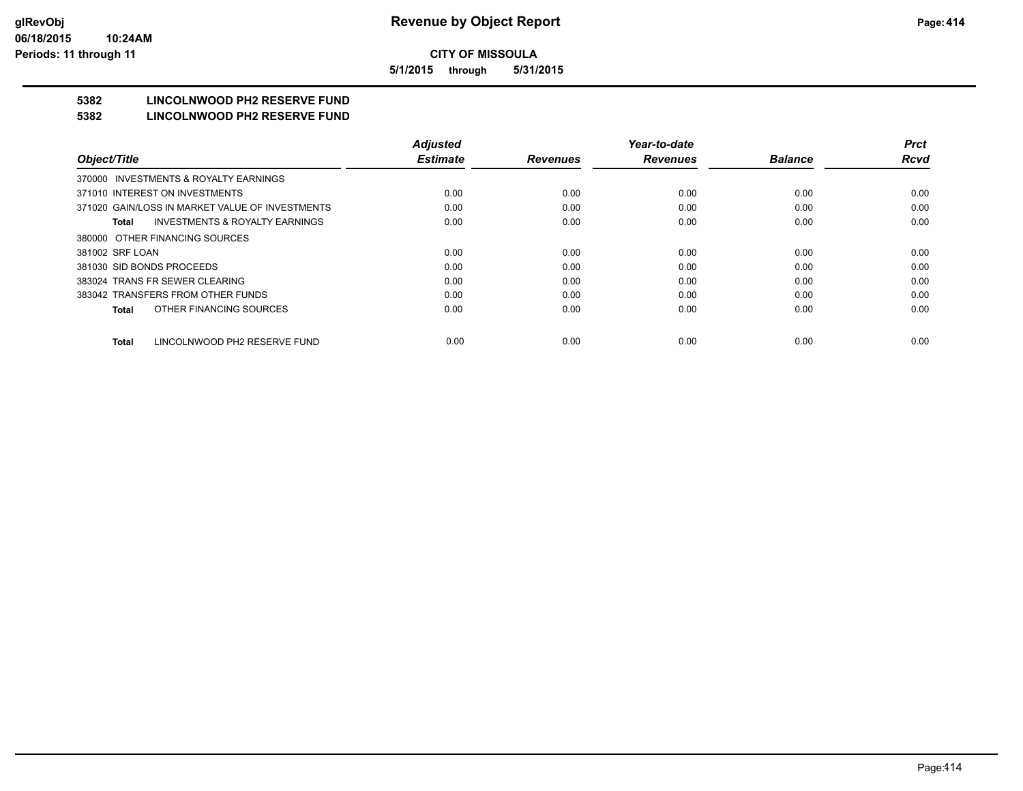**5/1/2015 through 5/31/2015**

## **5382 LINCOLNWOOD PH2 RESERVE FUND**

#### **5382 LINCOLNWOOD PH2 RESERVE FUND**

|                                                    | <b>Adjusted</b> |                 | Year-to-date    |                | <b>Prct</b> |
|----------------------------------------------------|-----------------|-----------------|-----------------|----------------|-------------|
| Object/Title                                       | <b>Estimate</b> | <b>Revenues</b> | <b>Revenues</b> | <b>Balance</b> | <b>Rcvd</b> |
| 370000 INVESTMENTS & ROYALTY EARNINGS              |                 |                 |                 |                |             |
| 371010 INTEREST ON INVESTMENTS                     | 0.00            | 0.00            | 0.00            | 0.00           | 0.00        |
| 371020 GAIN/LOSS IN MARKET VALUE OF INVESTMENTS    | 0.00            | 0.00            | 0.00            | 0.00           | 0.00        |
| <b>INVESTMENTS &amp; ROYALTY EARNINGS</b><br>Total | 0.00            | 0.00            | 0.00            | 0.00           | 0.00        |
| 380000 OTHER FINANCING SOURCES                     |                 |                 |                 |                |             |
| 381002 SRF LOAN                                    | 0.00            | 0.00            | 0.00            | 0.00           | 0.00        |
| 381030 SID BONDS PROCEEDS                          | 0.00            | 0.00            | 0.00            | 0.00           | 0.00        |
| 383024 TRANS FR SEWER CLEARING                     | 0.00            | 0.00            | 0.00            | 0.00           | 0.00        |
| 383042 TRANSFERS FROM OTHER FUNDS                  | 0.00            | 0.00            | 0.00            | 0.00           | 0.00        |
| OTHER FINANCING SOURCES<br>Total                   | 0.00            | 0.00            | 0.00            | 0.00           | 0.00        |
| LINCOLNWOOD PH2 RESERVE FUND<br><b>Total</b>       | 0.00            | 0.00            | 0.00            | 0.00           | 0.00        |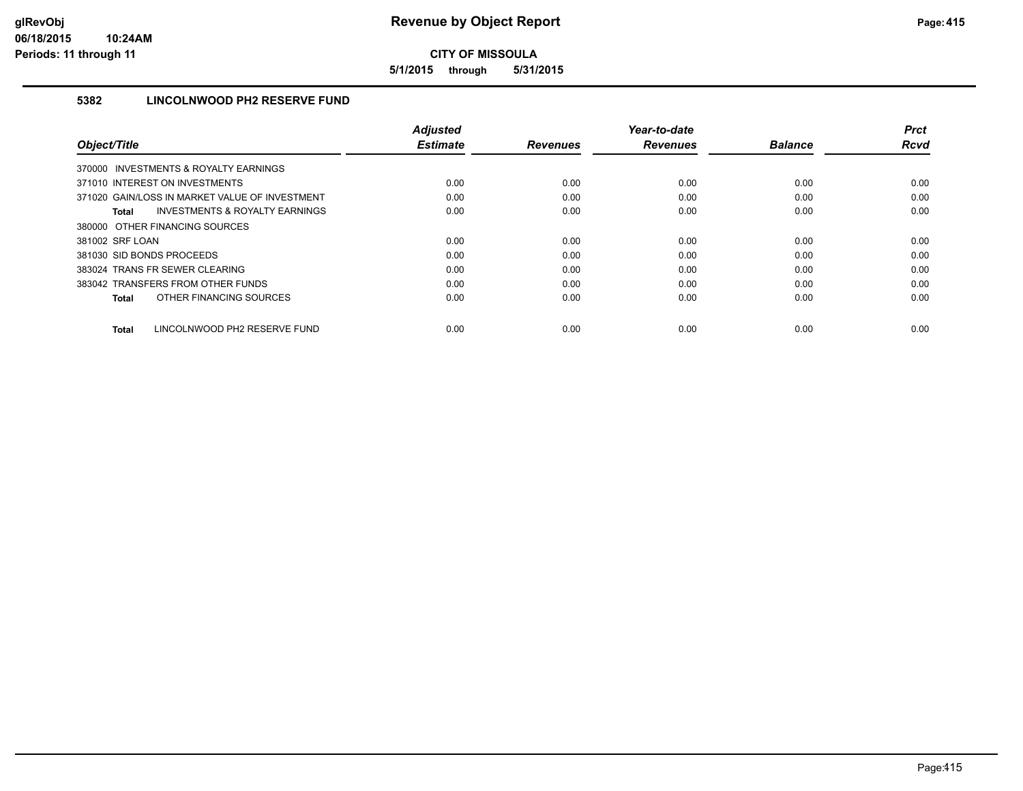**5/1/2015 through 5/31/2015**

## **5382 LINCOLNWOOD PH2 RESERVE FUND**

|                                                           | <b>Adjusted</b> |                 | Year-to-date    |                | <b>Prct</b> |
|-----------------------------------------------------------|-----------------|-----------------|-----------------|----------------|-------------|
| Object/Title                                              | <b>Estimate</b> | <b>Revenues</b> | <b>Revenues</b> | <b>Balance</b> | Rcvd        |
| 370000 INVESTMENTS & ROYALTY EARNINGS                     |                 |                 |                 |                |             |
| 371010 INTEREST ON INVESTMENTS                            | 0.00            | 0.00            | 0.00            | 0.00           | 0.00        |
| 371020 GAIN/LOSS IN MARKET VALUE OF INVESTMENT            | 0.00            | 0.00            | 0.00            | 0.00           | 0.00        |
| <b>INVESTMENTS &amp; ROYALTY EARNINGS</b><br><b>Total</b> | 0.00            | 0.00            | 0.00            | 0.00           | 0.00        |
| 380000 OTHER FINANCING SOURCES                            |                 |                 |                 |                |             |
| 381002 SRF LOAN                                           | 0.00            | 0.00            | 0.00            | 0.00           | 0.00        |
| 381030 SID BONDS PROCEEDS                                 | 0.00            | 0.00            | 0.00            | 0.00           | 0.00        |
| 383024 TRANS FR SEWER CLEARING                            | 0.00            | 0.00            | 0.00            | 0.00           | 0.00        |
| 383042 TRANSFERS FROM OTHER FUNDS                         | 0.00            | 0.00            | 0.00            | 0.00           | 0.00        |
| OTHER FINANCING SOURCES<br><b>Total</b>                   | 0.00            | 0.00            | 0.00            | 0.00           | 0.00        |
| LINCOLNWOOD PH2 RESERVE FUND<br><b>Total</b>              | 0.00            | 0.00            | 0.00            | 0.00           | 0.00        |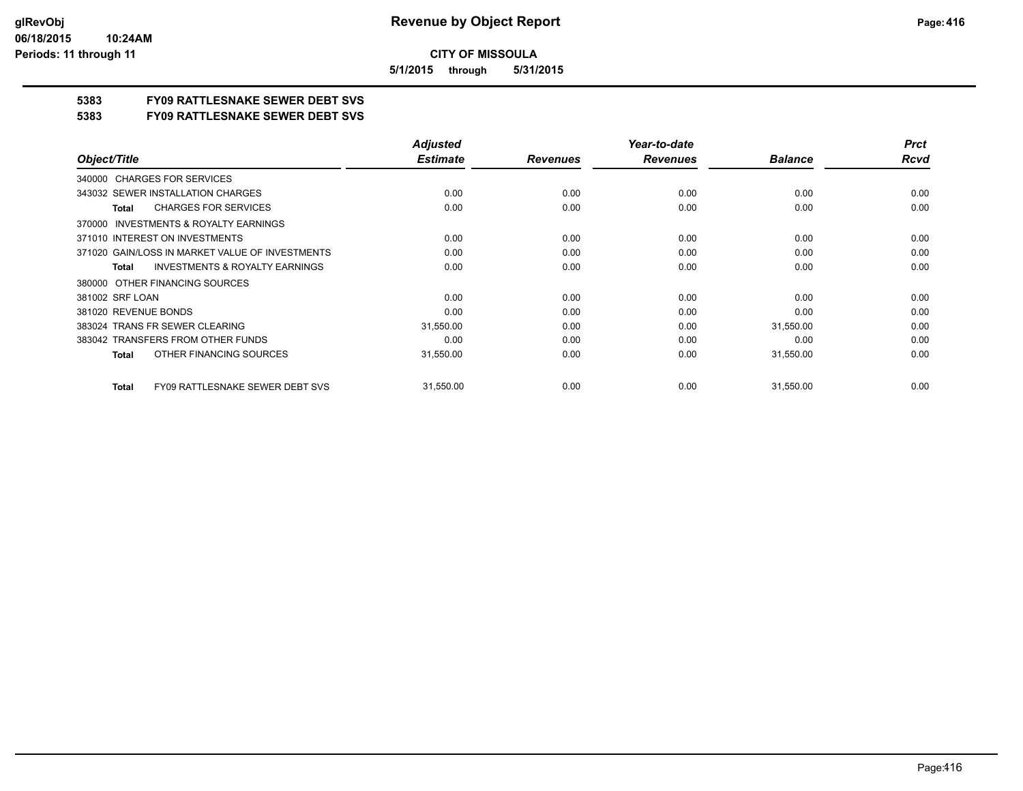**5/1/2015 through 5/31/2015**

## **5383 FY09 RATTLESNAKE SEWER DEBT SVS**

**5383 FY09 RATTLESNAKE SEWER DEBT SVS**

|                                                           | <b>Adjusted</b> |                 | Year-to-date    |                | <b>Prct</b> |
|-----------------------------------------------------------|-----------------|-----------------|-----------------|----------------|-------------|
| Object/Title                                              | <b>Estimate</b> | <b>Revenues</b> | <b>Revenues</b> | <b>Balance</b> | <b>Rcvd</b> |
| 340000 CHARGES FOR SERVICES                               |                 |                 |                 |                |             |
| 343032 SEWER INSTALLATION CHARGES                         | 0.00            | 0.00            | 0.00            | 0.00           | 0.00        |
| <b>CHARGES FOR SERVICES</b><br><b>Total</b>               | 0.00            | 0.00            | 0.00            | 0.00           | 0.00        |
| INVESTMENTS & ROYALTY EARNINGS<br>370000                  |                 |                 |                 |                |             |
| 371010 INTEREST ON INVESTMENTS                            | 0.00            | 0.00            | 0.00            | 0.00           | 0.00        |
| 371020 GAIN/LOSS IN MARKET VALUE OF INVESTMENTS           | 0.00            | 0.00            | 0.00            | 0.00           | 0.00        |
| <b>INVESTMENTS &amp; ROYALTY EARNINGS</b><br><b>Total</b> | 0.00            | 0.00            | 0.00            | 0.00           | 0.00        |
| OTHER FINANCING SOURCES<br>380000                         |                 |                 |                 |                |             |
| 381002 SRF LOAN                                           | 0.00            | 0.00            | 0.00            | 0.00           | 0.00        |
| 381020 REVENUE BONDS                                      | 0.00            | 0.00            | 0.00            | 0.00           | 0.00        |
| 383024 TRANS FR SEWER CLEARING                            | 31,550.00       | 0.00            | 0.00            | 31,550.00      | 0.00        |
| 383042 TRANSFERS FROM OTHER FUNDS                         | 0.00            | 0.00            | 0.00            | 0.00           | 0.00        |
| OTHER FINANCING SOURCES<br><b>Total</b>                   | 31,550.00       | 0.00            | 0.00            | 31,550.00      | 0.00        |
| <b>FY09 RATTLESNAKE SEWER DEBT SVS</b><br><b>Total</b>    | 31,550.00       | 0.00            | 0.00            | 31,550.00      | 0.00        |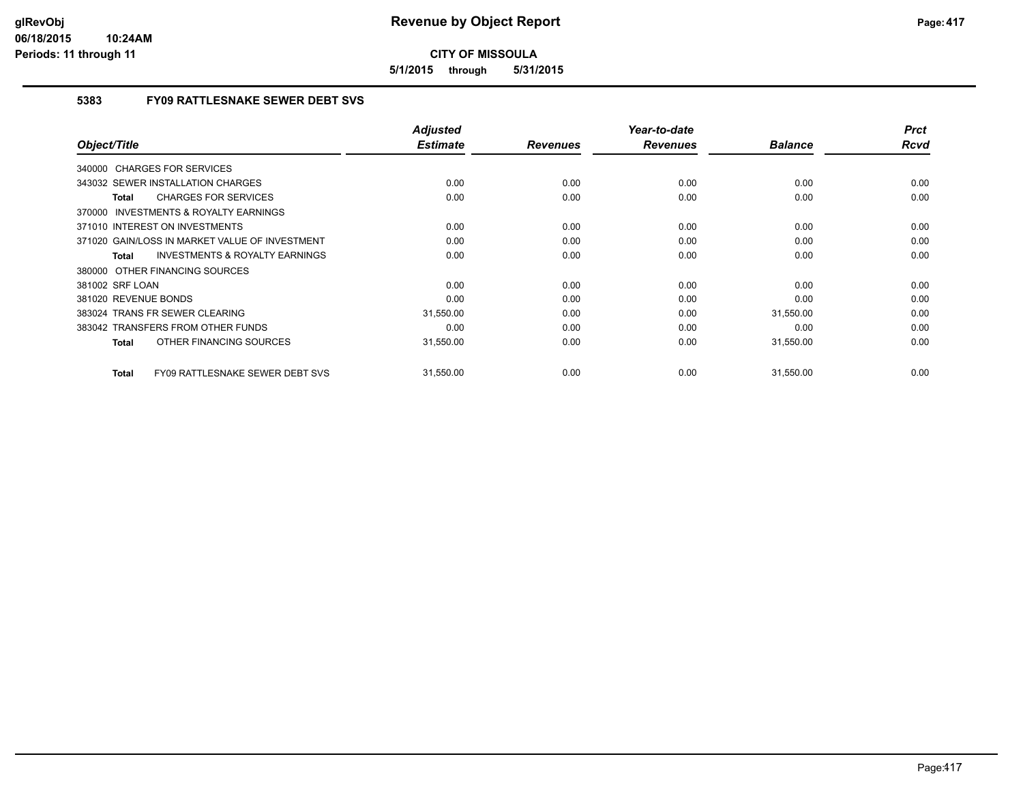**5/1/2015 through 5/31/2015**

## **5383 FY09 RATTLESNAKE SEWER DEBT SVS**

| Object/Title                                              | Adjusted<br><b>Estimate</b> | <b>Revenues</b> | Year-to-date<br><b>Revenues</b> | <b>Balance</b> | <b>Prct</b><br>Rcvd |
|-----------------------------------------------------------|-----------------------------|-----------------|---------------------------------|----------------|---------------------|
|                                                           |                             |                 |                                 |                |                     |
| 340000 CHARGES FOR SERVICES                               |                             |                 |                                 |                |                     |
| 343032 SEWER INSTALLATION CHARGES                         | 0.00                        | 0.00            | 0.00                            | 0.00           | 0.00                |
| <b>CHARGES FOR SERVICES</b><br>Total                      | 0.00                        | 0.00            | 0.00                            | 0.00           | 0.00                |
| 370000 INVESTMENTS & ROYALTY EARNINGS                     |                             |                 |                                 |                |                     |
| 371010 INTEREST ON INVESTMENTS                            | 0.00                        | 0.00            | 0.00                            | 0.00           | 0.00                |
| 371020 GAIN/LOSS IN MARKET VALUE OF INVESTMENT            | 0.00                        | 0.00            | 0.00                            | 0.00           | 0.00                |
| <b>INVESTMENTS &amp; ROYALTY EARNINGS</b><br><b>Total</b> | 0.00                        | 0.00            | 0.00                            | 0.00           | 0.00                |
| 380000 OTHER FINANCING SOURCES                            |                             |                 |                                 |                |                     |
| 381002 SRF LOAN                                           | 0.00                        | 0.00            | 0.00                            | 0.00           | 0.00                |
| 381020 REVENUE BONDS                                      | 0.00                        | 0.00            | 0.00                            | 0.00           | 0.00                |
| 383024 TRANS FR SEWER CLEARING                            | 31,550.00                   | 0.00            | 0.00                            | 31,550.00      | 0.00                |
| 383042 TRANSFERS FROM OTHER FUNDS                         | 0.00                        | 0.00            | 0.00                            | 0.00           | 0.00                |
| OTHER FINANCING SOURCES<br><b>Total</b>                   | 31,550.00                   | 0.00            | 0.00                            | 31,550.00      | 0.00                |
| <b>FY09 RATTLESNAKE SEWER DEBT SVS</b><br><b>Total</b>    | 31,550.00                   | 0.00            | 0.00                            | 31,550.00      | 0.00                |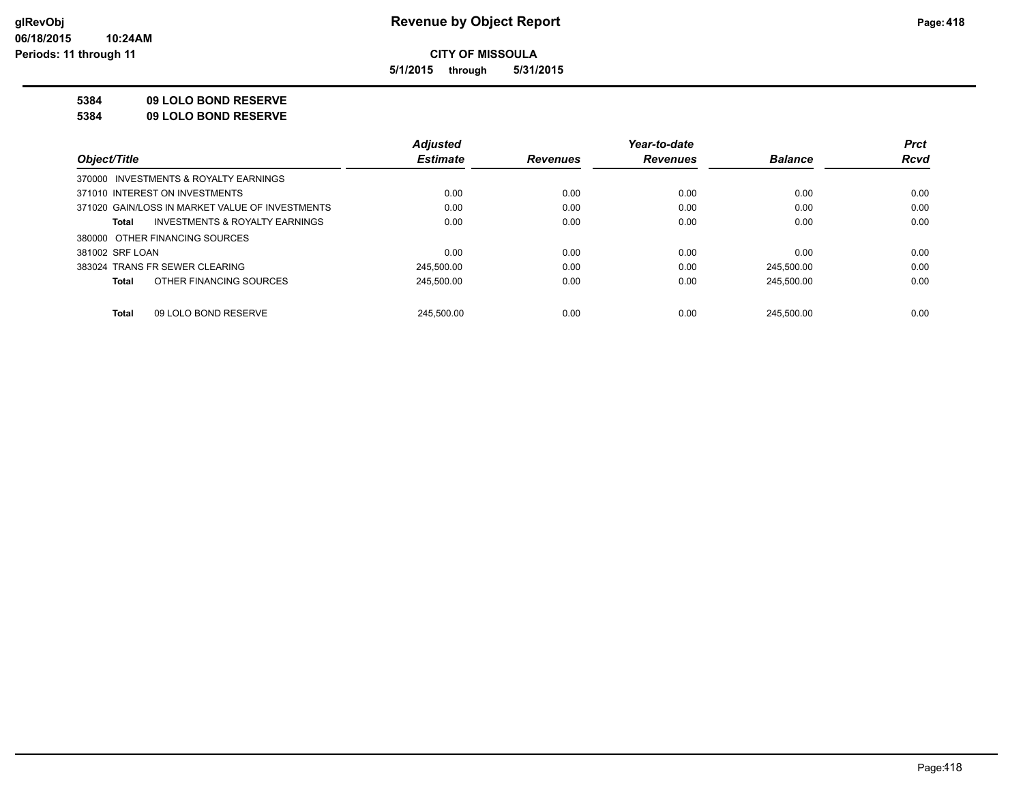**5/1/2015 through 5/31/2015**

### **5384 09 LOLO BOND RESERVE**

**5384 09 LOLO BOND RESERVE**

|                                                 | <b>Adjusted</b> |                 | Year-to-date    |                | <b>Prct</b> |
|-------------------------------------------------|-----------------|-----------------|-----------------|----------------|-------------|
| Object/Title                                    | <b>Estimate</b> | <b>Revenues</b> | <b>Revenues</b> | <b>Balance</b> | <b>Rcvd</b> |
| 370000 INVESTMENTS & ROYALTY EARNINGS           |                 |                 |                 |                |             |
| 371010 INTEREST ON INVESTMENTS                  | 0.00            | 0.00            | 0.00            | 0.00           | 0.00        |
| 371020 GAIN/LOSS IN MARKET VALUE OF INVESTMENTS | 0.00            | 0.00            | 0.00            | 0.00           | 0.00        |
| INVESTMENTS & ROYALTY EARNINGS<br>Total         | 0.00            | 0.00            | 0.00            | 0.00           | 0.00        |
| 380000 OTHER FINANCING SOURCES                  |                 |                 |                 |                |             |
| 381002 SRF LOAN                                 | 0.00            | 0.00            | 0.00            | 0.00           | 0.00        |
| 383024 TRANS FR SEWER CLEARING                  | 245.500.00      | 0.00            | 0.00            | 245.500.00     | 0.00        |
| OTHER FINANCING SOURCES<br>Total                | 245.500.00      | 0.00            | 0.00            | 245.500.00     | 0.00        |
|                                                 |                 |                 |                 |                |             |
| 09 LOLO BOND RESERVE<br>Total                   | 245.500.00      | 0.00            | 0.00            | 245.500.00     | 0.00        |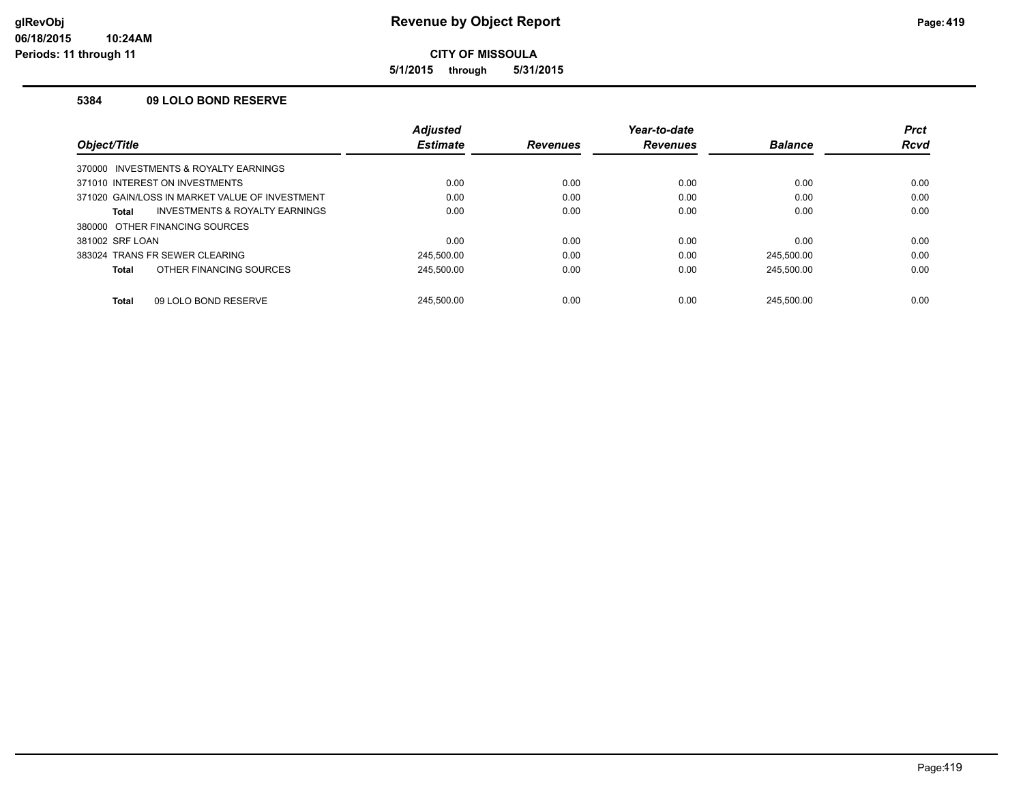**5/1/2015 through 5/31/2015**

#### **5384 09 LOLO BOND RESERVE**

|                                       |                                                | <b>Adjusted</b> |                 | Year-to-date    |                | <b>Prct</b> |
|---------------------------------------|------------------------------------------------|-----------------|-----------------|-----------------|----------------|-------------|
| Object/Title                          |                                                | <b>Estimate</b> | <b>Revenues</b> | <b>Revenues</b> | <b>Balance</b> | <b>Rcvd</b> |
| 370000 INVESTMENTS & ROYALTY EARNINGS |                                                |                 |                 |                 |                |             |
| 371010 INTEREST ON INVESTMENTS        |                                                | 0.00            | 0.00            | 0.00            | 0.00           | 0.00        |
|                                       | 371020 GAIN/LOSS IN MARKET VALUE OF INVESTMENT | 0.00            | 0.00            | 0.00            | 0.00           | 0.00        |
| <b>Total</b>                          | <b>INVESTMENTS &amp; ROYALTY EARNINGS</b>      | 0.00            | 0.00            | 0.00            | 0.00           | 0.00        |
| 380000 OTHER FINANCING SOURCES        |                                                |                 |                 |                 |                |             |
| 381002 SRF LOAN                       |                                                | 0.00            | 0.00            | 0.00            | 0.00           | 0.00        |
| 383024 TRANS FR SEWER CLEARING        |                                                | 245.500.00      | 0.00            | 0.00            | 245.500.00     | 0.00        |
| <b>Total</b>                          | OTHER FINANCING SOURCES                        | 245.500.00      | 0.00            | 0.00            | 245.500.00     | 0.00        |
| <b>Total</b>                          | 09 LOLO BOND RESERVE                           | 245.500.00      | 0.00            | 0.00            | 245.500.00     | 0.00        |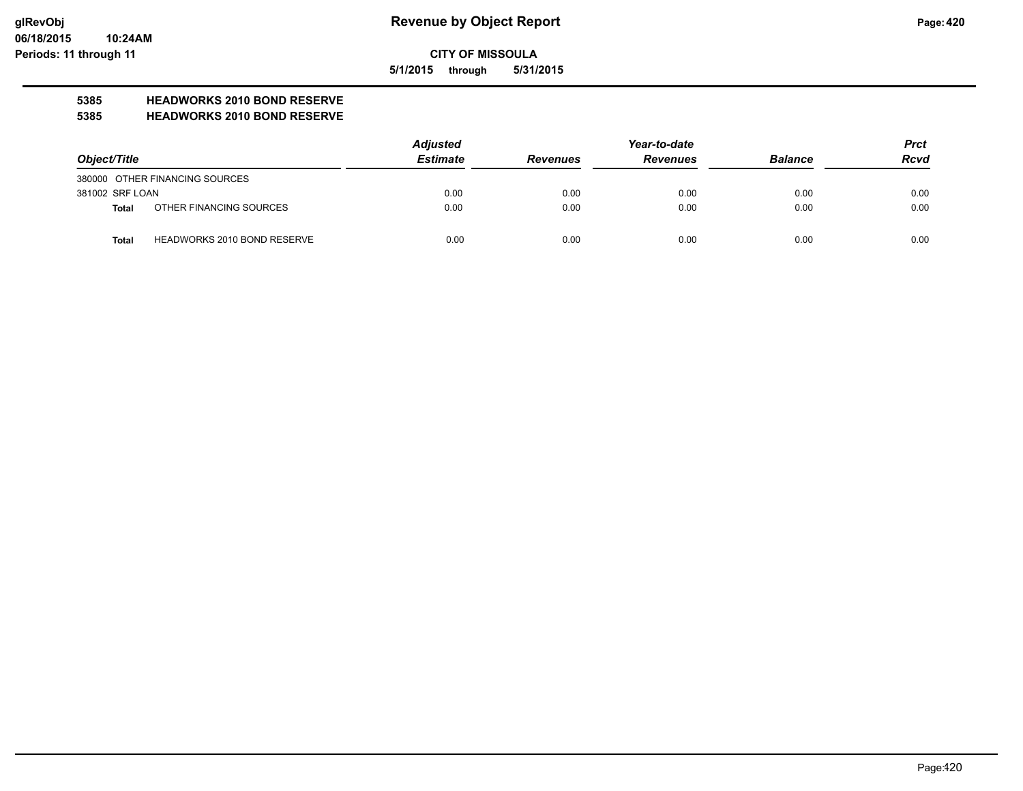**5/1/2015 through 5/31/2015**

# **5385 HEADWORKS 2010 BOND RESERVE**

#### **5385 HEADWORKS 2010 BOND RESERVE**

|                 |                                    | <b>Adjusted</b> |                 | Year-to-date    |                |             |
|-----------------|------------------------------------|-----------------|-----------------|-----------------|----------------|-------------|
| Object/Title    |                                    | <b>Estimate</b> | <b>Revenues</b> | <b>Revenues</b> | <b>Balance</b> | <b>Rcvd</b> |
|                 | 380000 OTHER FINANCING SOURCES     |                 |                 |                 |                |             |
| 381002 SRF LOAN |                                    | 0.00            | 0.00            | 0.00            | 0.00           | 0.00        |
| Total           | OTHER FINANCING SOURCES            | 0.00            | 0.00            | 0.00            | 0.00           | 0.00        |
| <b>Total</b>    | <b>HEADWORKS 2010 BOND RESERVE</b> | 0.00            | 0.00            | 0.00            | 0.00           | 0.00        |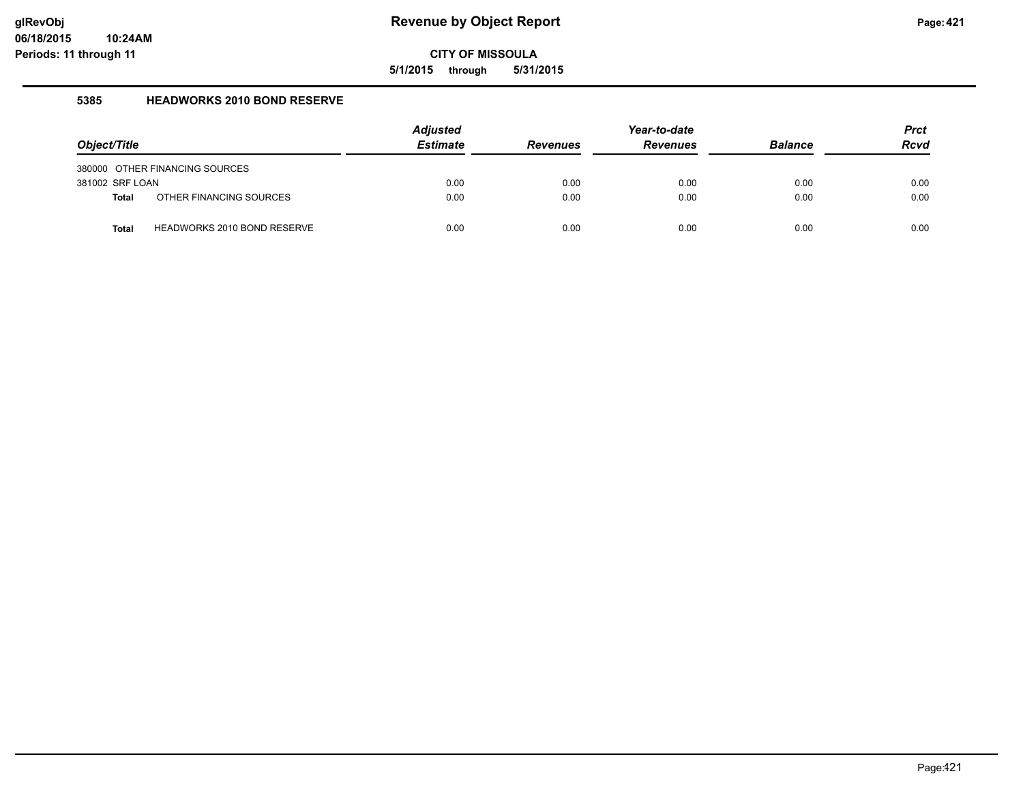**5/1/2015 through 5/31/2015**

#### **5385 HEADWORKS 2010 BOND RESERVE**

| Object/Title    |                                    | <b>Adjusted</b><br><b>Estimate</b> | <b>Revenues</b> | Year-to-date<br><b>Revenues</b> | <b>Balance</b> | <b>Prct</b><br><b>Rcvd</b> |
|-----------------|------------------------------------|------------------------------------|-----------------|---------------------------------|----------------|----------------------------|
|                 | 380000 OTHER FINANCING SOURCES     |                                    |                 |                                 |                |                            |
| 381002 SRF LOAN |                                    | 0.00                               | 0.00            | 0.00                            | 0.00           | 0.00                       |
| <b>Total</b>    | OTHER FINANCING SOURCES            | 0.00                               | 0.00            | 0.00                            | 0.00           | 0.00                       |
| <b>Total</b>    | <b>HEADWORKS 2010 BOND RESERVE</b> | 0.00                               | 0.00            | 0.00                            | 0.00           | 0.00                       |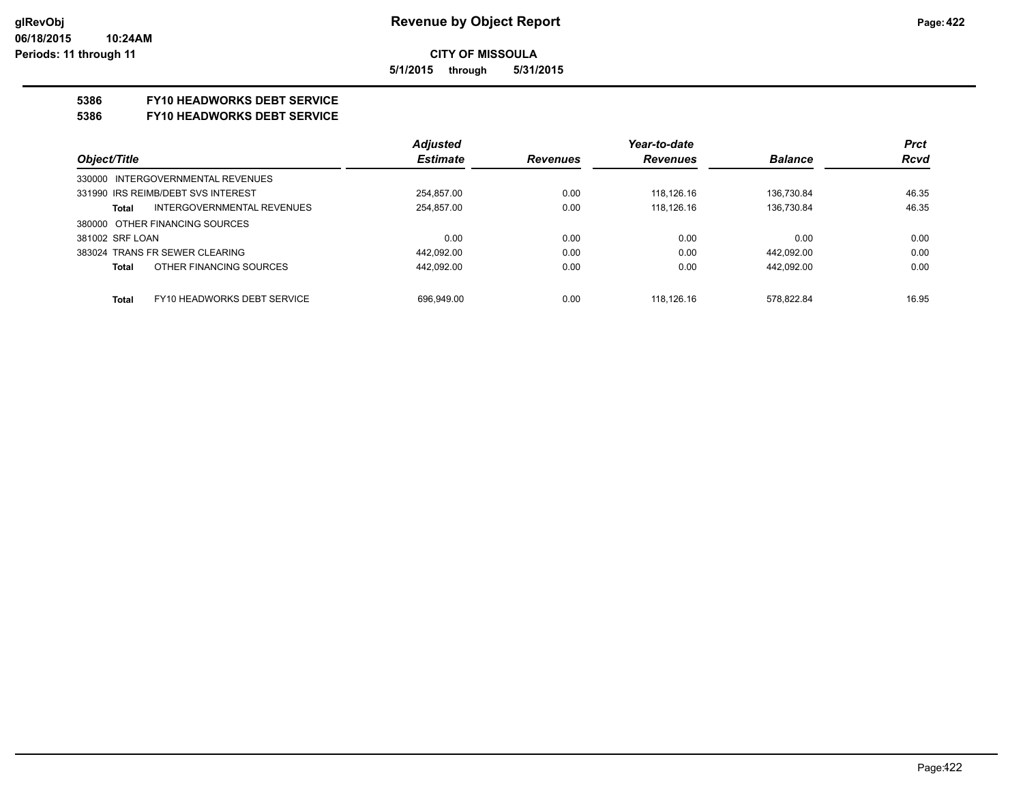**CITY OF MISSOULA 5/1/2015 through 5/31/2015**

#### **5386 FY10 HEADWORKS DEBT SERVICE**

#### **5386 FY10 HEADWORKS DEBT SERVICE**

|                                      | <b>Adjusted</b> |                 | Year-to-date    |                | <b>Prct</b> |
|--------------------------------------|-----------------|-----------------|-----------------|----------------|-------------|
| Object/Title                         | <b>Estimate</b> | <b>Revenues</b> | <b>Revenues</b> | <b>Balance</b> | <b>Rcvd</b> |
| 330000 INTERGOVERNMENTAL REVENUES    |                 |                 |                 |                |             |
| 331990 IRS REIMB/DEBT SVS INTEREST   | 254.857.00      | 0.00            | 118.126.16      | 136.730.84     | 46.35       |
| INTERGOVERNMENTAL REVENUES<br>Total  | 254,857.00      | 0.00            | 118.126.16      | 136,730.84     | 46.35       |
| 380000 OTHER FINANCING SOURCES       |                 |                 |                 |                |             |
| 381002 SRF LOAN                      | 0.00            | 0.00            | 0.00            | 0.00           | 0.00        |
| 383024 TRANS FR SEWER CLEARING       | 442,092.00      | 0.00            | 0.00            | 442,092.00     | 0.00        |
| OTHER FINANCING SOURCES<br>Total     | 442.092.00      | 0.00            | 0.00            | 442.092.00     | 0.00        |
|                                      |                 |                 |                 |                |             |
| FY10 HEADWORKS DEBT SERVICE<br>Total | 696.949.00      | 0.00            | 118.126.16      | 578.822.84     | 16.95       |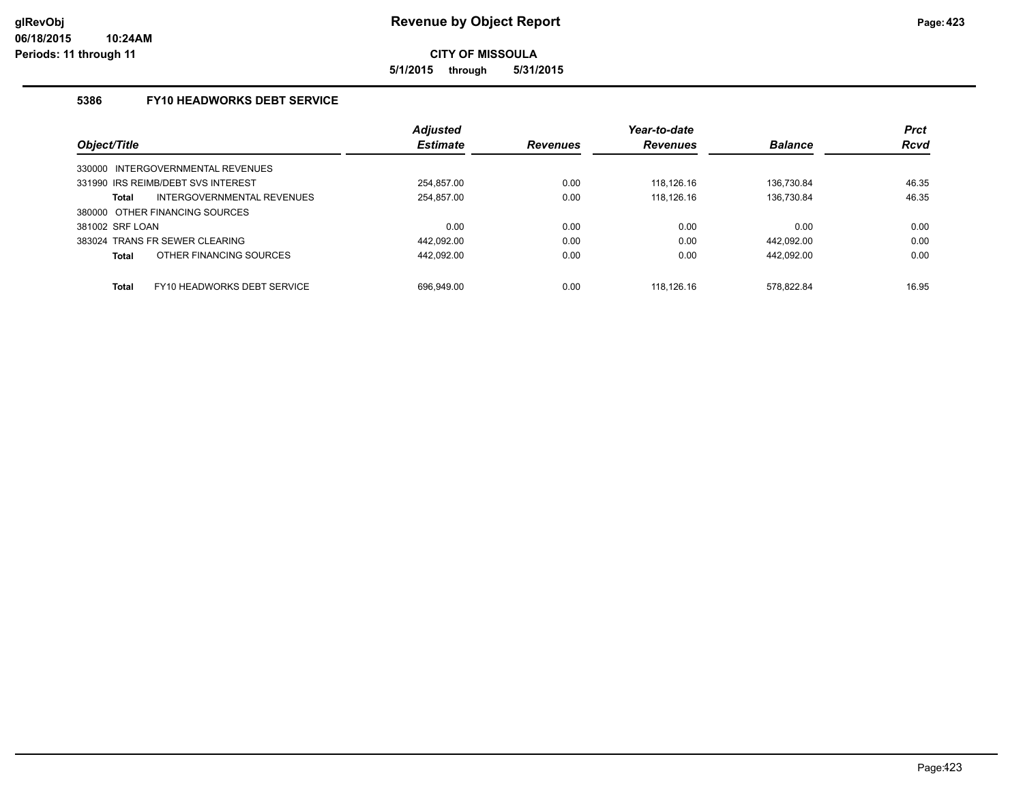**5/1/2015 through 5/31/2015**

### **5386 FY10 HEADWORKS DEBT SERVICE**

|                 |                                    | <b>Adjusted</b> |                 | Year-to-date    |                | <b>Prct</b> |
|-----------------|------------------------------------|-----------------|-----------------|-----------------|----------------|-------------|
| Object/Title    |                                    | <b>Estimate</b> | <b>Revenues</b> | <b>Revenues</b> | <b>Balance</b> | <b>Rcvd</b> |
|                 | 330000 INTERGOVERNMENTAL REVENUES  |                 |                 |                 |                |             |
|                 | 331990 IRS REIMB/DEBT SVS INTEREST | 254.857.00      | 0.00            | 118.126.16      | 136.730.84     | 46.35       |
| Total           | INTERGOVERNMENTAL REVENUES         | 254,857.00      | 0.00            | 118.126.16      | 136.730.84     | 46.35       |
|                 | 380000 OTHER FINANCING SOURCES     |                 |                 |                 |                |             |
| 381002 SRF LOAN |                                    | 0.00            | 0.00            | 0.00            | 0.00           | 0.00        |
|                 | 383024 TRANS FR SEWER CLEARING     | 442.092.00      | 0.00            | 0.00            | 442.092.00     | 0.00        |
| Total           | OTHER FINANCING SOURCES            | 442.092.00      | 0.00            | 0.00            | 442.092.00     | 0.00        |
| <b>Total</b>    | FY10 HEADWORKS DEBT SERVICE        | 696.949.00      | 0.00            | 118.126.16      | 578.822.84     | 16.95       |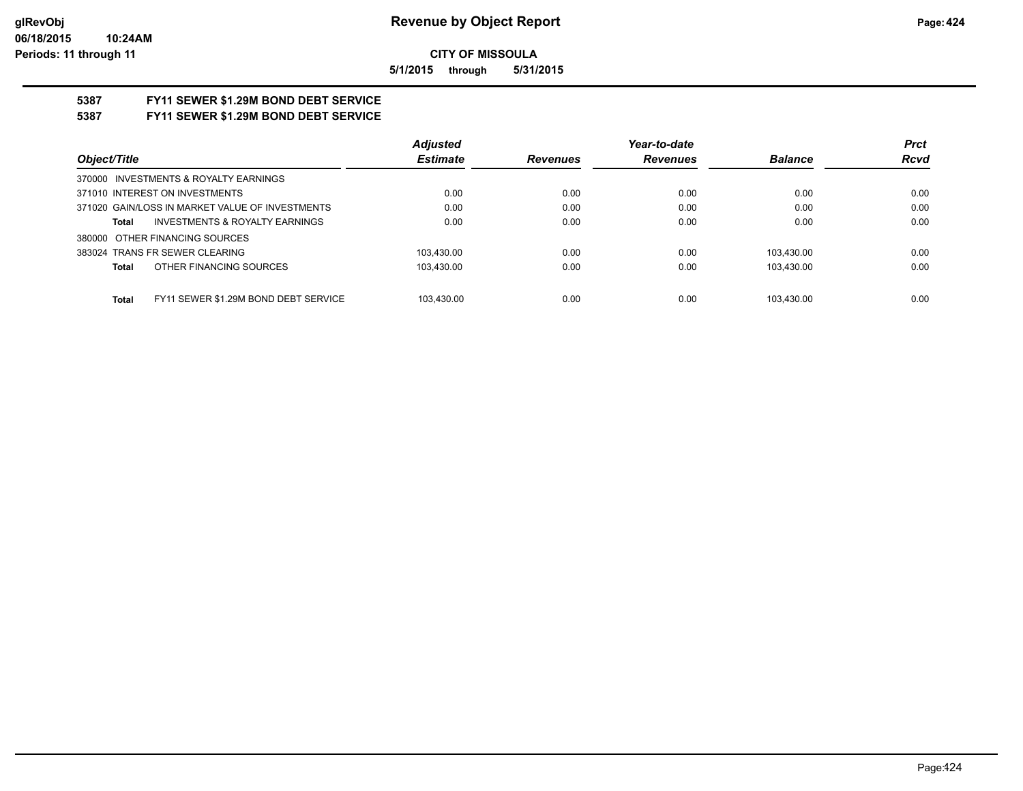**5/1/2015 through 5/31/2015**

# **5387 FY11 SEWER \$1.29M BOND DEBT SERVICE**

## **5387 FY11 SEWER \$1.29M BOND DEBT SERVICE**

|                                                      | <b>Adjusted</b> |                 | Year-to-date    |                | <b>Prct</b> |
|------------------------------------------------------|-----------------|-----------------|-----------------|----------------|-------------|
| Object/Title                                         | <b>Estimate</b> | <b>Revenues</b> | <b>Revenues</b> | <b>Balance</b> | <b>Rcvd</b> |
| 370000 INVESTMENTS & ROYALTY EARNINGS                |                 |                 |                 |                |             |
| 371010 INTEREST ON INVESTMENTS                       | 0.00            | 0.00            | 0.00            | 0.00           | 0.00        |
| 371020 GAIN/LOSS IN MARKET VALUE OF INVESTMENTS      | 0.00            | 0.00            | 0.00            | 0.00           | 0.00        |
| <b>INVESTMENTS &amp; ROYALTY EARNINGS</b><br>Total   | 0.00            | 0.00            | 0.00            | 0.00           | 0.00        |
| 380000 OTHER FINANCING SOURCES                       |                 |                 |                 |                |             |
| 383024 TRANS FR SEWER CLEARING                       | 103.430.00      | 0.00            | 0.00            | 103.430.00     | 0.00        |
| OTHER FINANCING SOURCES<br>Total                     | 103.430.00      | 0.00            | 0.00            | 103.430.00     | 0.00        |
|                                                      |                 |                 |                 |                |             |
| FY11 SEWER \$1.29M BOND DEBT SERVICE<br><b>Total</b> | 103.430.00      | 0.00            | 0.00            | 103.430.00     | 0.00        |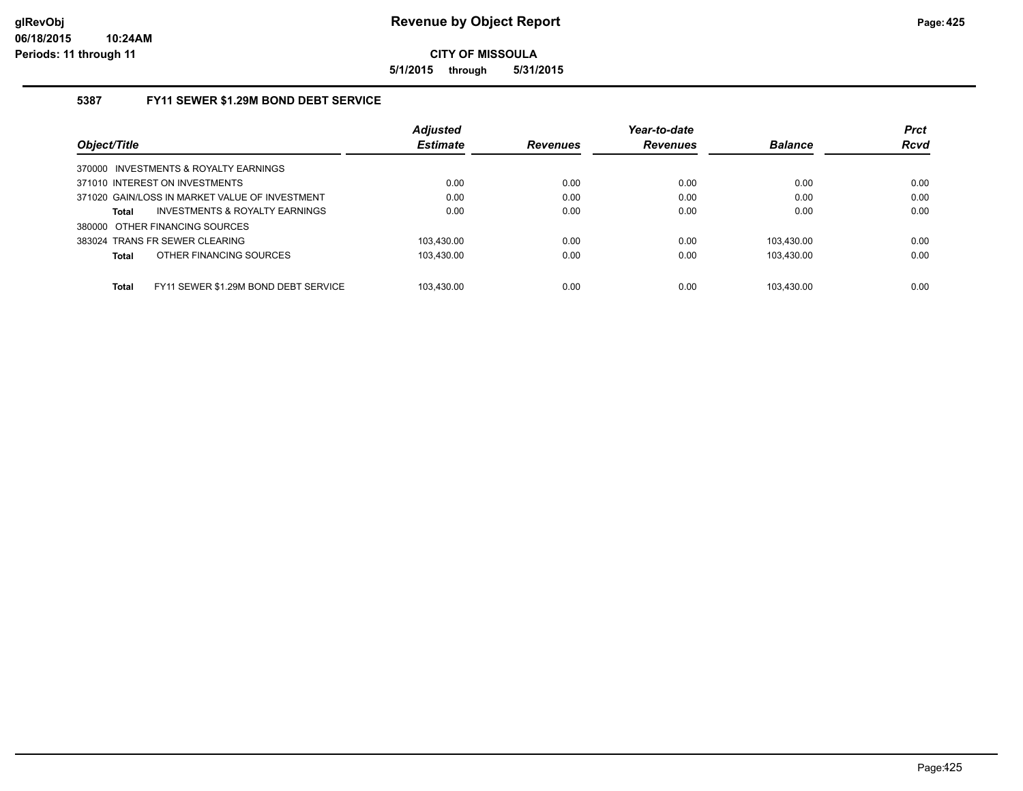**5/1/2015 through 5/31/2015**

#### **5387 FY11 SEWER \$1.29M BOND DEBT SERVICE**

|                                                      | <b>Adjusted</b> |                 | Year-to-date    |                | <b>Prct</b> |
|------------------------------------------------------|-----------------|-----------------|-----------------|----------------|-------------|
| Object/Title                                         | <b>Estimate</b> | <b>Revenues</b> | <b>Revenues</b> | <b>Balance</b> | <b>Rcvd</b> |
| 370000 INVESTMENTS & ROYALTY EARNINGS                |                 |                 |                 |                |             |
| 371010 INTEREST ON INVESTMENTS                       | 0.00            | 0.00            | 0.00            | 0.00           | 0.00        |
| 371020 GAIN/LOSS IN MARKET VALUE OF INVESTMENT       | 0.00            | 0.00            | 0.00            | 0.00           | 0.00        |
| INVESTMENTS & ROYALTY EARNINGS<br><b>Total</b>       | 0.00            | 0.00            | 0.00            | 0.00           | 0.00        |
| 380000 OTHER FINANCING SOURCES                       |                 |                 |                 |                |             |
| 383024 TRANS FR SEWER CLEARING                       | 103.430.00      | 0.00            | 0.00            | 103.430.00     | 0.00        |
| OTHER FINANCING SOURCES<br><b>Total</b>              | 103.430.00      | 0.00            | 0.00            | 103.430.00     | 0.00        |
|                                                      |                 |                 |                 |                |             |
| FY11 SEWER \$1.29M BOND DEBT SERVICE<br><b>Total</b> | 103.430.00      | 0.00            | 0.00            | 103.430.00     | 0.00        |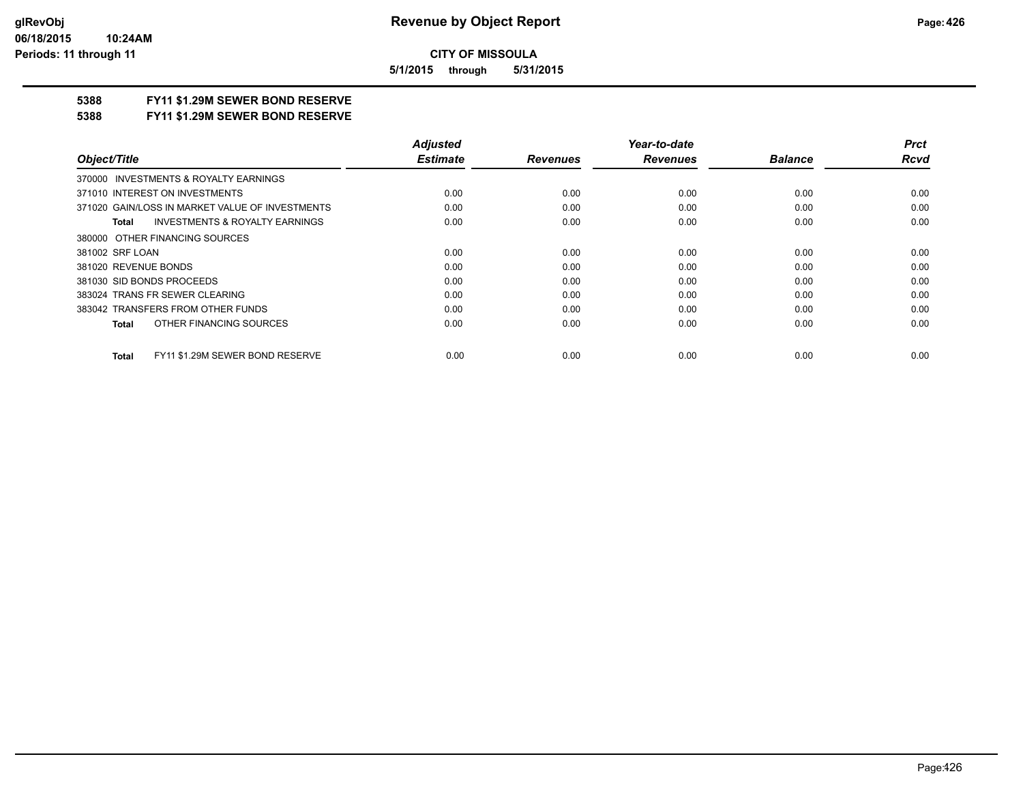**5/1/2015 through 5/31/2015**

## **5388 FY11 \$1.29M SEWER BOND RESERVE**

#### **5388 FY11 \$1.29M SEWER BOND RESERVE**

|                                                           | <b>Adjusted</b> |                 | Year-to-date    |                | <b>Prct</b> |
|-----------------------------------------------------------|-----------------|-----------------|-----------------|----------------|-------------|
| Object/Title                                              | <b>Estimate</b> | <b>Revenues</b> | <b>Revenues</b> | <b>Balance</b> | <b>Rcvd</b> |
| INVESTMENTS & ROYALTY EARNINGS<br>370000                  |                 |                 |                 |                |             |
| 371010 INTEREST ON INVESTMENTS                            | 0.00            | 0.00            | 0.00            | 0.00           | 0.00        |
| 371020 GAIN/LOSS IN MARKET VALUE OF INVESTMENTS           | 0.00            | 0.00            | 0.00            | 0.00           | 0.00        |
| <b>INVESTMENTS &amp; ROYALTY EARNINGS</b><br><b>Total</b> | 0.00            | 0.00            | 0.00            | 0.00           | 0.00        |
| 380000 OTHER FINANCING SOURCES                            |                 |                 |                 |                |             |
| 381002 SRF LOAN                                           | 0.00            | 0.00            | 0.00            | 0.00           | 0.00        |
| 381020 REVENUE BONDS                                      | 0.00            | 0.00            | 0.00            | 0.00           | 0.00        |
| 381030 SID BONDS PROCEEDS                                 | 0.00            | 0.00            | 0.00            | 0.00           | 0.00        |
| 383024 TRANS FR SEWER CLEARING                            | 0.00            | 0.00            | 0.00            | 0.00           | 0.00        |
| 383042 TRANSFERS FROM OTHER FUNDS                         | 0.00            | 0.00            | 0.00            | 0.00           | 0.00        |
| OTHER FINANCING SOURCES<br><b>Total</b>                   | 0.00            | 0.00            | 0.00            | 0.00           | 0.00        |
| FY11 \$1.29M SEWER BOND RESERVE<br><b>Total</b>           | 0.00            | 0.00            | 0.00            | 0.00           | 0.00        |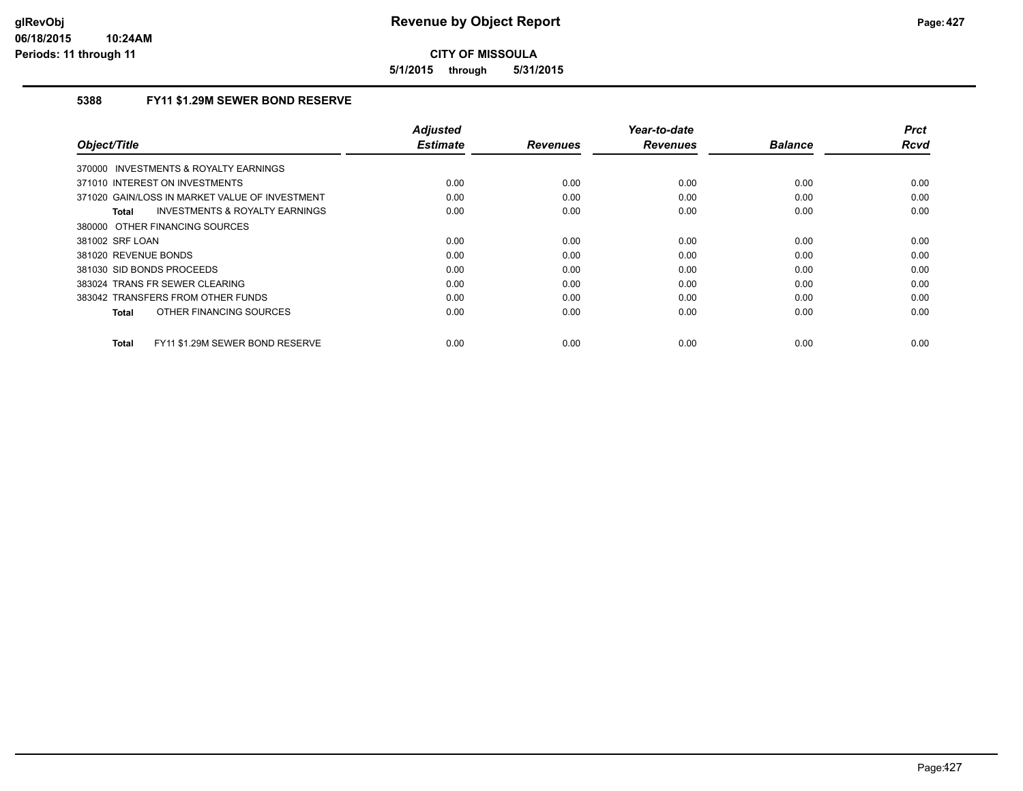**5/1/2015 through 5/31/2015**

## **5388 FY11 \$1.29M SEWER BOND RESERVE**

| Object/Title                                    | <b>Adjusted</b><br><b>Estimate</b> | <b>Revenues</b> | Year-to-date<br><b>Revenues</b> | <b>Balance</b> | <b>Prct</b><br><b>Rcvd</b> |
|-------------------------------------------------|------------------------------------|-----------------|---------------------------------|----------------|----------------------------|
|                                                 |                                    |                 |                                 |                |                            |
| 370000 INVESTMENTS & ROYALTY EARNINGS           |                                    |                 |                                 |                |                            |
| 371010 INTEREST ON INVESTMENTS                  | 0.00                               | 0.00            | 0.00                            | 0.00           | 0.00                       |
| 371020 GAIN/LOSS IN MARKET VALUE OF INVESTMENT  | 0.00                               | 0.00            | 0.00                            | 0.00           | 0.00                       |
| INVESTMENTS & ROYALTY EARNINGS<br><b>Total</b>  | 0.00                               | 0.00            | 0.00                            | 0.00           | 0.00                       |
| 380000 OTHER FINANCING SOURCES                  |                                    |                 |                                 |                |                            |
| 381002 SRF LOAN                                 | 0.00                               | 0.00            | 0.00                            | 0.00           | 0.00                       |
| 381020 REVENUE BONDS                            | 0.00                               | 0.00            | 0.00                            | 0.00           | 0.00                       |
| 381030 SID BONDS PROCEEDS                       | 0.00                               | 0.00            | 0.00                            | 0.00           | 0.00                       |
| 383024 TRANS FR SEWER CLEARING                  | 0.00                               | 0.00            | 0.00                            | 0.00           | 0.00                       |
| 383042 TRANSFERS FROM OTHER FUNDS               | 0.00                               | 0.00            | 0.00                            | 0.00           | 0.00                       |
| OTHER FINANCING SOURCES<br><b>Total</b>         | 0.00                               | 0.00            | 0.00                            | 0.00           | 0.00                       |
| FY11 \$1.29M SEWER BOND RESERVE<br><b>Total</b> | 0.00                               | 0.00            | 0.00                            | 0.00           | 0.00                       |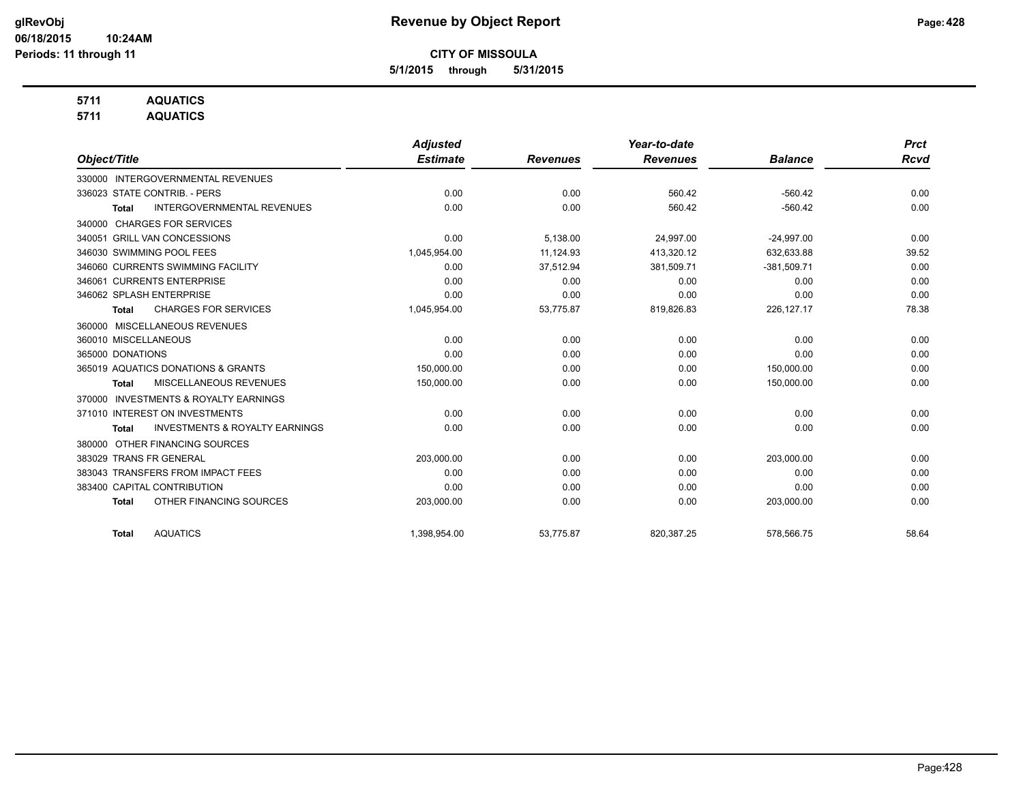**5/1/2015 through 5/31/2015**

## **5711 AQUATICS**

**5711 AQUATICS**

|                                                           | <b>Adjusted</b> |                 | Year-to-date    |                | <b>Prct</b> |
|-----------------------------------------------------------|-----------------|-----------------|-----------------|----------------|-------------|
| Object/Title                                              | <b>Estimate</b> | <b>Revenues</b> | <b>Revenues</b> | <b>Balance</b> | <b>Rcvd</b> |
| <b>INTERGOVERNMENTAL REVENUES</b><br>330000               |                 |                 |                 |                |             |
| 336023 STATE CONTRIB. - PERS                              | 0.00            | 0.00            | 560.42          | $-560.42$      | 0.00        |
| <b>INTERGOVERNMENTAL REVENUES</b><br><b>Total</b>         | 0.00            | 0.00            | 560.42          | $-560.42$      | 0.00        |
| <b>CHARGES FOR SERVICES</b><br>340000                     |                 |                 |                 |                |             |
| 340051 GRILL VAN CONCESSIONS                              | 0.00            | 5,138.00        | 24,997.00       | $-24,997.00$   | 0.00        |
| 346030 SWIMMING POOL FEES                                 | 1,045,954.00    | 11.124.93       | 413.320.12      | 632.633.88     | 39.52       |
| 346060 CURRENTS SWIMMING FACILITY                         | 0.00            | 37,512.94       | 381,509.71      | $-381,509.71$  | 0.00        |
| 346061 CURRENTS ENTERPRISE                                | 0.00            | 0.00            | 0.00            | 0.00           | 0.00        |
| 346062 SPLASH ENTERPRISE                                  | 0.00            | 0.00            | 0.00            | 0.00           | 0.00        |
| <b>CHARGES FOR SERVICES</b><br><b>Total</b>               | 1,045,954.00    | 53,775.87       | 819,826.83      | 226, 127. 17   | 78.38       |
| 360000 MISCELLANEOUS REVENUES                             |                 |                 |                 |                |             |
| 360010 MISCELLANEOUS                                      | 0.00            | 0.00            | 0.00            | 0.00           | 0.00        |
| 365000 DONATIONS                                          | 0.00            | 0.00            | 0.00            | 0.00           | 0.00        |
| 365019 AQUATICS DONATIONS & GRANTS                        | 150,000.00      | 0.00            | 0.00            | 150,000.00     | 0.00        |
| MISCELLANEOUS REVENUES<br><b>Total</b>                    | 150,000.00      | 0.00            | 0.00            | 150,000.00     | 0.00        |
| <b>INVESTMENTS &amp; ROYALTY EARNINGS</b><br>370000       |                 |                 |                 |                |             |
| 371010 INTEREST ON INVESTMENTS                            | 0.00            | 0.00            | 0.00            | 0.00           | 0.00        |
| <b>INVESTMENTS &amp; ROYALTY EARNINGS</b><br><b>Total</b> | 0.00            | 0.00            | 0.00            | 0.00           | 0.00        |
| OTHER FINANCING SOURCES<br>380000                         |                 |                 |                 |                |             |
| 383029 TRANS FR GENERAL                                   | 203,000.00      | 0.00            | 0.00            | 203,000.00     | 0.00        |
| 383043 TRANSFERS FROM IMPACT FEES                         | 0.00            | 0.00            | 0.00            | 0.00           | 0.00        |
| 383400 CAPITAL CONTRIBUTION                               | 0.00            | 0.00            | 0.00            | 0.00           | 0.00        |
| OTHER FINANCING SOURCES<br><b>Total</b>                   | 203,000.00      | 0.00            | 0.00            | 203,000.00     | 0.00        |
| <b>AQUATICS</b><br><b>Total</b>                           | 1,398,954.00    | 53,775.87       | 820,387.25      | 578,566.75     | 58.64       |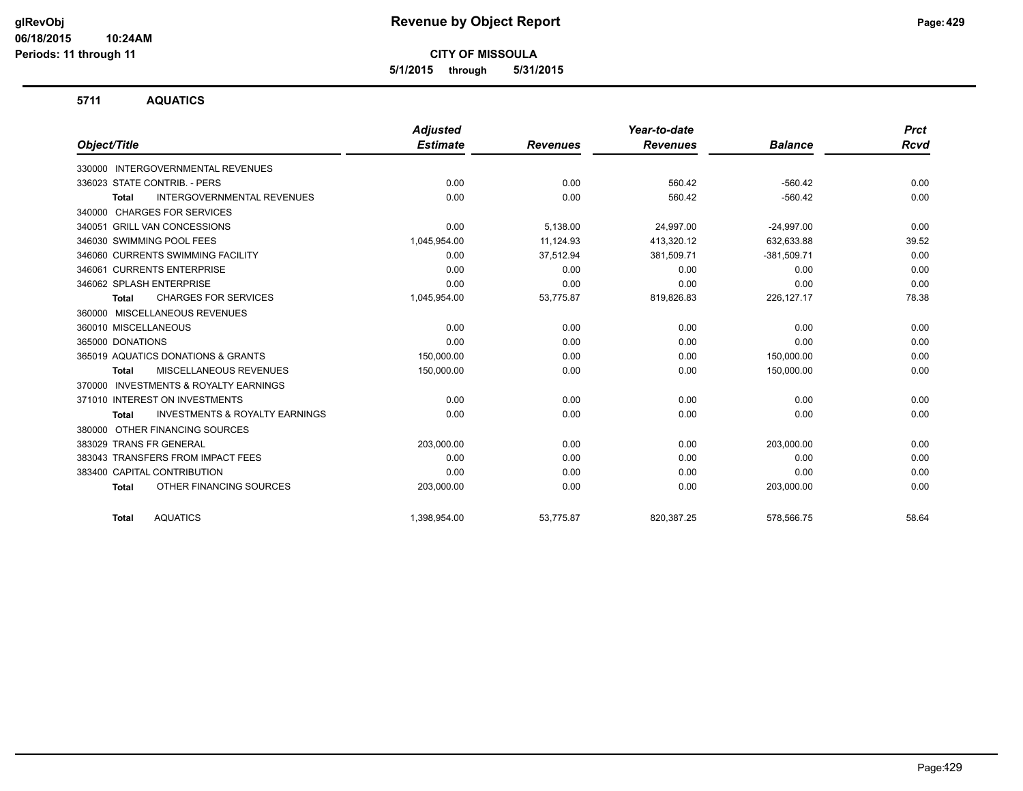**5/1/2015 through 5/31/2015**

#### **5711 AQUATICS**

|                                                           | <b>Adjusted</b> |                 | Year-to-date    |                | <b>Prct</b> |
|-----------------------------------------------------------|-----------------|-----------------|-----------------|----------------|-------------|
| Object/Title                                              | <b>Estimate</b> | <b>Revenues</b> | <b>Revenues</b> | <b>Balance</b> | <b>Rcvd</b> |
| 330000 INTERGOVERNMENTAL REVENUES                         |                 |                 |                 |                |             |
| 336023 STATE CONTRIB. - PERS                              | 0.00            | 0.00            | 560.42          | $-560.42$      | 0.00        |
| <b>INTERGOVERNMENTAL REVENUES</b><br><b>Total</b>         | 0.00            | 0.00            | 560.42          | $-560.42$      | 0.00        |
| 340000 CHARGES FOR SERVICES                               |                 |                 |                 |                |             |
| 340051 GRILL VAN CONCESSIONS                              | 0.00            | 5,138.00        | 24,997.00       | $-24,997.00$   | 0.00        |
| 346030 SWIMMING POOL FEES                                 | 1,045,954.00    | 11,124.93       | 413,320.12      | 632,633.88     | 39.52       |
| 346060 CURRENTS SWIMMING FACILITY                         | 0.00            | 37,512.94       | 381,509.71      | $-381,509.71$  | 0.00        |
| 346061 CURRENTS ENTERPRISE                                | 0.00            | 0.00            | 0.00            | 0.00           | 0.00        |
| 346062 SPLASH ENTERPRISE                                  | 0.00            | 0.00            | 0.00            | 0.00           | 0.00        |
| <b>CHARGES FOR SERVICES</b><br>Total                      | 1,045,954.00    | 53,775.87       | 819,826.83      | 226, 127. 17   | 78.38       |
| 360000 MISCELLANEOUS REVENUES                             |                 |                 |                 |                |             |
| 360010 MISCELLANEOUS                                      | 0.00            | 0.00            | 0.00            | 0.00           | 0.00        |
| 365000 DONATIONS                                          | 0.00            | 0.00            | 0.00            | 0.00           | 0.00        |
| 365019 AQUATICS DONATIONS & GRANTS                        | 150,000.00      | 0.00            | 0.00            | 150,000.00     | 0.00        |
| <b>MISCELLANEOUS REVENUES</b><br><b>Total</b>             | 150,000.00      | 0.00            | 0.00            | 150,000.00     | 0.00        |
| 370000 INVESTMENTS & ROYALTY EARNINGS                     |                 |                 |                 |                |             |
| 371010 INTEREST ON INVESTMENTS                            | 0.00            | 0.00            | 0.00            | 0.00           | 0.00        |
| <b>INVESTMENTS &amp; ROYALTY EARNINGS</b><br><b>Total</b> | 0.00            | 0.00            | 0.00            | 0.00           | 0.00        |
| 380000 OTHER FINANCING SOURCES                            |                 |                 |                 |                |             |
| 383029 TRANS FR GENERAL                                   | 203,000.00      | 0.00            | 0.00            | 203,000.00     | 0.00        |
| 383043 TRANSFERS FROM IMPACT FEES                         | 0.00            | 0.00            | 0.00            | 0.00           | 0.00        |
| 383400 CAPITAL CONTRIBUTION                               | 0.00            | 0.00            | 0.00            | 0.00           | 0.00        |
| OTHER FINANCING SOURCES<br><b>Total</b>                   | 203,000.00      | 0.00            | 0.00            | 203,000.00     | 0.00        |
| <b>AQUATICS</b><br><b>Total</b>                           | 1,398,954.00    | 53.775.87       | 820,387.25      | 578,566.75     | 58.64       |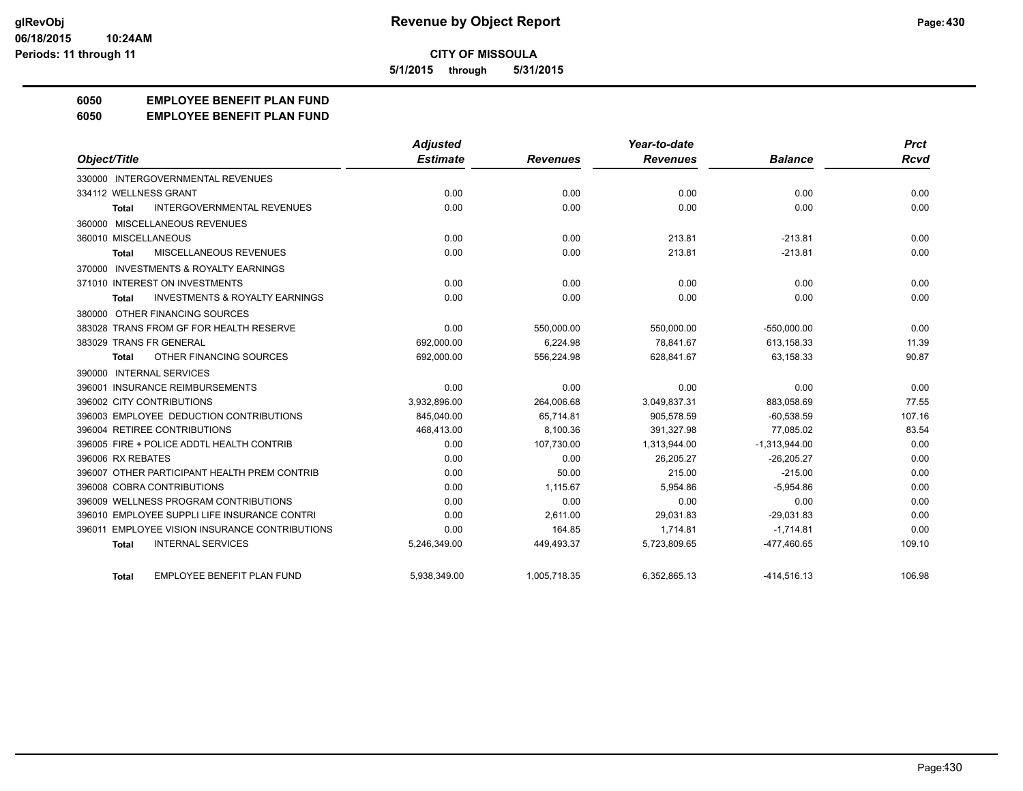**5/1/2015 through 5/31/2015**

## **6050 EMPLOYEE BENEFIT PLAN FUND**

#### **6050 EMPLOYEE BENEFIT PLAN FUND**

|                                                           | Adjusted        |                 | Year-to-date    |                 | <b>Prct</b> |
|-----------------------------------------------------------|-----------------|-----------------|-----------------|-----------------|-------------|
| Object/Title                                              | <b>Estimate</b> | <b>Revenues</b> | <b>Revenues</b> | <b>Balance</b>  | Rcvd        |
| 330000 INTERGOVERNMENTAL REVENUES                         |                 |                 |                 |                 |             |
| 334112 WELLNESS GRANT                                     | 0.00            | 0.00            | 0.00            | 0.00            | 0.00        |
| <b>INTERGOVERNMENTAL REVENUES</b><br>Total                | 0.00            | 0.00            | 0.00            | 0.00            | 0.00        |
| 360000 MISCELLANEOUS REVENUES                             |                 |                 |                 |                 |             |
| 360010 MISCELLANEOUS                                      | 0.00            | 0.00            | 213.81          | $-213.81$       | 0.00        |
| MISCELLANEOUS REVENUES<br><b>Total</b>                    | 0.00            | 0.00            | 213.81          | $-213.81$       | 0.00        |
| 370000 INVESTMENTS & ROYALTY EARNINGS                     |                 |                 |                 |                 |             |
| 371010 INTEREST ON INVESTMENTS                            | 0.00            | 0.00            | 0.00            | 0.00            | 0.00        |
| <b>INVESTMENTS &amp; ROYALTY EARNINGS</b><br><b>Total</b> | 0.00            | 0.00            | 0.00            | 0.00            | 0.00        |
| 380000 OTHER FINANCING SOURCES                            |                 |                 |                 |                 |             |
| 383028 TRANS FROM GF FOR HEALTH RESERVE                   | 0.00            | 550,000.00      | 550,000.00      | $-550,000.00$   | 0.00        |
| 383029 TRANS FR GENERAL                                   | 692.000.00      | 6.224.98        | 78.841.67       | 613,158.33      | 11.39       |
| OTHER FINANCING SOURCES<br>Total                          | 692,000.00      | 556,224.98      | 628,841.67      | 63,158.33       | 90.87       |
| 390000 INTERNAL SERVICES                                  |                 |                 |                 |                 |             |
| 396001 INSURANCE REIMBURSEMENTS                           | 0.00            | 0.00            | 0.00            | 0.00            | 0.00        |
| 396002 CITY CONTRIBUTIONS                                 | 3,932,896.00    | 264.006.68      | 3,049,837.31    | 883.058.69      | 77.55       |
| 396003 EMPLOYEE DEDUCTION CONTRIBUTIONS                   | 845,040.00      | 65,714.81       | 905,578.59      | $-60,538.59$    | 107.16      |
| 396004 RETIREE CONTRIBUTIONS                              | 468,413.00      | 8,100.36        | 391,327.98      | 77,085.02       | 83.54       |
| 396005 FIRE + POLICE ADDTL HEALTH CONTRIB                 | 0.00            | 107,730.00      | 1,313,944.00    | $-1,313,944.00$ | 0.00        |
| 396006 RX REBATES                                         | 0.00            | 0.00            | 26,205.27       | $-26,205.27$    | 0.00        |
| 396007 OTHER PARTICIPANT HEALTH PREM CONTRIB              | 0.00            | 50.00           | 215.00          | $-215.00$       | 0.00        |
| 396008 COBRA CONTRIBUTIONS                                | 0.00            | 1.115.67        | 5.954.86        | $-5.954.86$     | 0.00        |
| 396009 WELLNESS PROGRAM CONTRIBUTIONS                     | 0.00            | 0.00            | 0.00            | 0.00            | 0.00        |
| 396010 EMPLOYEE SUPPLI LIFE INSURANCE CONTRI              | 0.00            | 2,611.00        | 29,031.83       | $-29,031.83$    | 0.00        |
| 396011 EMPLOYEE VISION INSURANCE CONTRIBUTIONS            | 0.00            | 164.85          | 1.714.81        | $-1,714.81$     | 0.00        |
| <b>INTERNAL SERVICES</b><br>Total                         | 5,246,349.00    | 449,493.37      | 5,723,809.65    | -477,460.65     | 109.10      |
| <b>EMPLOYEE BENEFIT PLAN FUND</b><br><b>Total</b>         | 5,938,349.00    | 1,005,718.35    | 6,352,865.13    | $-414,516.13$   | 106.98      |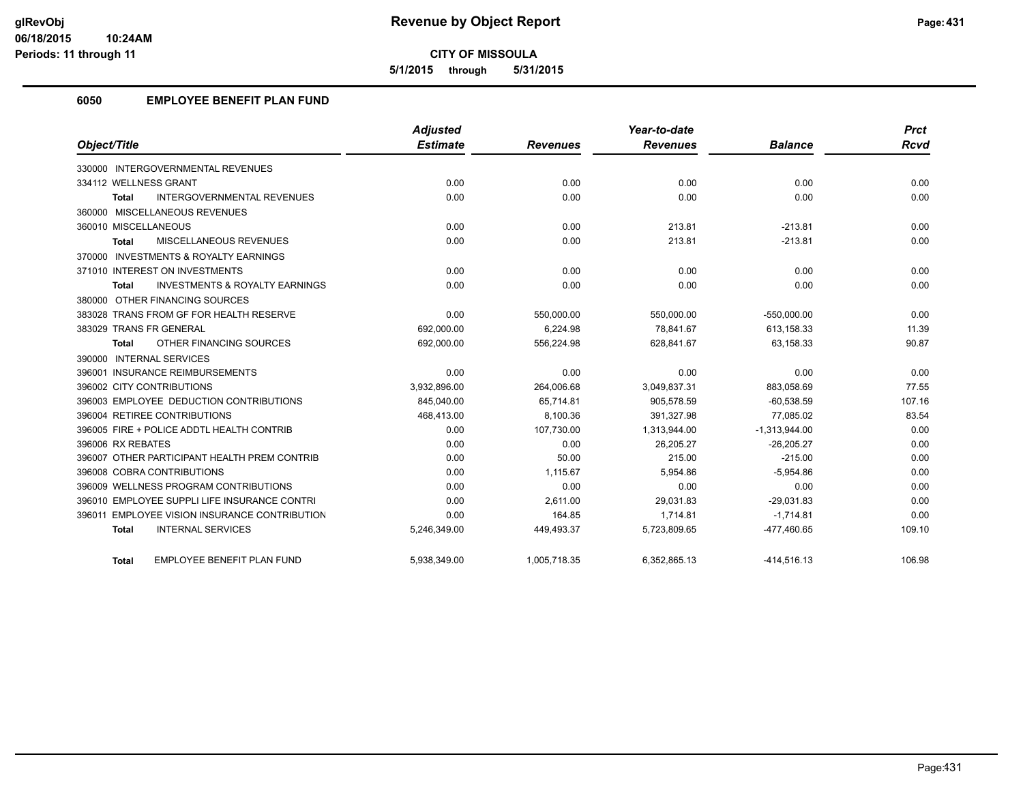**5/1/2015 through 5/31/2015**

## **6050 EMPLOYEE BENEFIT PLAN FUND**

|                                                           | Adjusted        |                 | Year-to-date    |                 | <b>Prct</b> |
|-----------------------------------------------------------|-----------------|-----------------|-----------------|-----------------|-------------|
| Object/Title                                              | <b>Estimate</b> | <b>Revenues</b> | <b>Revenues</b> | <b>Balance</b>  | <b>Rcvd</b> |
| 330000 INTERGOVERNMENTAL REVENUES                         |                 |                 |                 |                 |             |
| 334112 WELLNESS GRANT                                     | 0.00            | 0.00            | 0.00            | 0.00            | 0.00        |
| <b>INTERGOVERNMENTAL REVENUES</b><br><b>Total</b>         | 0.00            | 0.00            | 0.00            | 0.00            | 0.00        |
| 360000 MISCELLANEOUS REVENUES                             |                 |                 |                 |                 |             |
| 360010 MISCELLANEOUS                                      | 0.00            | 0.00            | 213.81          | $-213.81$       | 0.00        |
| <b>MISCELLANEOUS REVENUES</b><br><b>Total</b>             | 0.00            | 0.00            | 213.81          | $-213.81$       | 0.00        |
| 370000 INVESTMENTS & ROYALTY EARNINGS                     |                 |                 |                 |                 |             |
| 371010 INTEREST ON INVESTMENTS                            | 0.00            | 0.00            | 0.00            | 0.00            | 0.00        |
| <b>INVESTMENTS &amp; ROYALTY EARNINGS</b><br><b>Total</b> | 0.00            | 0.00            | 0.00            | 0.00            | 0.00        |
| 380000 OTHER FINANCING SOURCES                            |                 |                 |                 |                 |             |
| 383028 TRANS FROM GF FOR HEALTH RESERVE                   | 0.00            | 550,000.00      | 550,000.00      | $-550,000.00$   | 0.00        |
| 383029 TRANS FR GENERAL                                   | 692,000.00      | 6,224.98        | 78.841.67       | 613,158.33      | 11.39       |
| OTHER FINANCING SOURCES<br><b>Total</b>                   | 692,000.00      | 556,224.98      | 628,841.67      | 63,158.33       | 90.87       |
| 390000 INTERNAL SERVICES                                  |                 |                 |                 |                 |             |
| 396001 INSURANCE REIMBURSEMENTS                           | 0.00            | 0.00            | 0.00            | 0.00            | 0.00        |
| 396002 CITY CONTRIBUTIONS                                 | 3,932,896.00    | 264,006.68      | 3,049,837.31    | 883,058.69      | 77.55       |
| 396003 EMPLOYEE DEDUCTION CONTRIBUTIONS                   | 845,040.00      | 65,714.81       | 905,578.59      | $-60,538.59$    | 107.16      |
| 396004 RETIREE CONTRIBUTIONS                              | 468,413.00      | 8,100.36        | 391.327.98      | 77.085.02       | 83.54       |
| 396005 FIRE + POLICE ADDTL HEALTH CONTRIB                 | 0.00            | 107,730.00      | 1,313,944.00    | $-1,313,944.00$ | 0.00        |
| 396006 RX REBATES                                         | 0.00            | 0.00            | 26,205.27       | $-26,205.27$    | 0.00        |
| 396007 OTHER PARTICIPANT HEALTH PREM CONTRIB              | 0.00            | 50.00           | 215.00          | $-215.00$       | 0.00        |
| 396008 COBRA CONTRIBUTIONS                                | 0.00            | 1.115.67        | 5.954.86        | $-5.954.86$     | 0.00        |
| 396009 WELLNESS PROGRAM CONTRIBUTIONS                     | 0.00            | 0.00            | 0.00            | 0.00            | 0.00        |
| 396010 EMPLOYEE SUPPLI LIFE INSURANCE CONTRI              | 0.00            | 2,611.00        | 29,031.83       | $-29,031.83$    | 0.00        |
| 396011 EMPLOYEE VISION INSURANCE CONTRIBUTION             | 0.00            | 164.85          | 1,714.81        | $-1,714.81$     | 0.00        |
| <b>INTERNAL SERVICES</b><br><b>Total</b>                  | 5,246,349.00    | 449,493.37      | 5,723,809.65    | -477,460.65     | 109.10      |
| <b>EMPLOYEE BENEFIT PLAN FUND</b><br>Total                | 5,938,349.00    | 1,005,718.35    | 6,352,865.13    | $-414,516.13$   | 106.98      |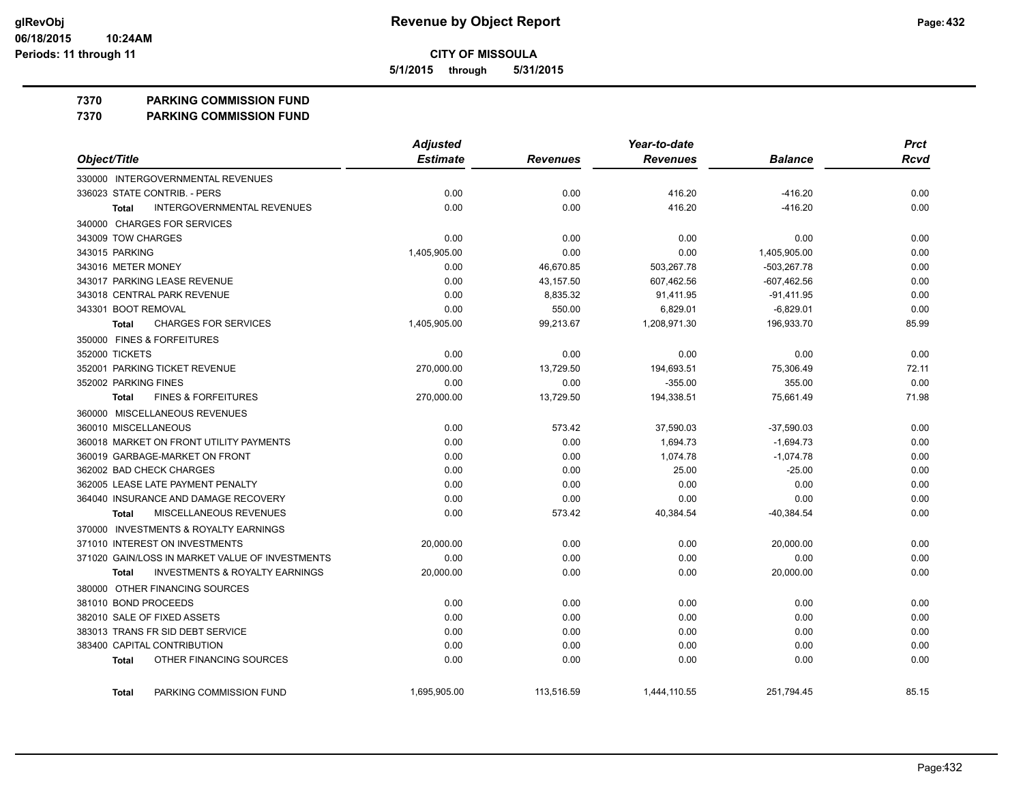**5/1/2015 through 5/31/2015**

#### **7370 PARKING COMMISSION FUND**

**7370 PARKING COMMISSION FUND**

|                                                           | <b>Adjusted</b> |                 | Year-to-date    |                | <b>Prct</b> |
|-----------------------------------------------------------|-----------------|-----------------|-----------------|----------------|-------------|
| Object/Title                                              | <b>Estimate</b> | <b>Revenues</b> | <b>Revenues</b> | <b>Balance</b> | <b>Rcvd</b> |
| 330000 INTERGOVERNMENTAL REVENUES                         |                 |                 |                 |                |             |
| 336023 STATE CONTRIB. - PERS                              | 0.00            | 0.00            | 416.20          | $-416.20$      | 0.00        |
| <b>INTERGOVERNMENTAL REVENUES</b><br><b>Total</b>         | 0.00            | 0.00            | 416.20          | $-416.20$      | 0.00        |
| 340000 CHARGES FOR SERVICES                               |                 |                 |                 |                |             |
| 343009 TOW CHARGES                                        | 0.00            | 0.00            | 0.00            | 0.00           | 0.00        |
| 343015 PARKING                                            | 1,405,905.00    | 0.00            | 0.00            | 1,405,905.00   | 0.00        |
| 343016 METER MONEY                                        | 0.00            | 46,670.85       | 503,267.78      | $-503,267.78$  | 0.00        |
| 343017 PARKING LEASE REVENUE                              | 0.00            | 43,157.50       | 607,462.56      | $-607,462.56$  | 0.00        |
| 343018 CENTRAL PARK REVENUE                               | 0.00            | 8,835.32        | 91,411.95       | $-91,411.95$   | 0.00        |
| 343301 BOOT REMOVAL                                       | 0.00            | 550.00          | 6,829.01        | $-6,829.01$    | 0.00        |
| <b>CHARGES FOR SERVICES</b><br><b>Total</b>               | 1,405,905.00    | 99,213.67       | 1,208,971.30    | 196,933.70     | 85.99       |
| 350000 FINES & FORFEITURES                                |                 |                 |                 |                |             |
| 352000 TICKETS                                            | 0.00            | 0.00            | 0.00            | 0.00           | 0.00        |
| 352001 PARKING TICKET REVENUE                             | 270,000.00      | 13,729.50       | 194,693.51      | 75,306.49      | 72.11       |
| 352002 PARKING FINES                                      | 0.00            | 0.00            | $-355.00$       | 355.00         | 0.00        |
| <b>FINES &amp; FORFEITURES</b><br><b>Total</b>            | 270,000.00      | 13,729.50       | 194,338.51      | 75,661.49      | 71.98       |
| 360000 MISCELLANEOUS REVENUES                             |                 |                 |                 |                |             |
| 360010 MISCELLANEOUS                                      | 0.00            | 573.42          | 37,590.03       | $-37,590.03$   | 0.00        |
| 360018 MARKET ON FRONT UTILITY PAYMENTS                   | 0.00            | 0.00            | 1,694.73        | $-1,694.73$    | 0.00        |
| 360019 GARBAGE-MARKET ON FRONT                            | 0.00            | 0.00            | 1,074.78        | $-1,074.78$    | 0.00        |
| 362002 BAD CHECK CHARGES                                  | 0.00            | 0.00            | 25.00           | $-25.00$       | 0.00        |
| 362005 LEASE LATE PAYMENT PENALTY                         | 0.00            | 0.00            | 0.00            | 0.00           | 0.00        |
| 364040 INSURANCE AND DAMAGE RECOVERY                      | 0.00            | 0.00            | 0.00            | 0.00           | 0.00        |
| MISCELLANEOUS REVENUES<br><b>Total</b>                    | 0.00            | 573.42          | 40,384.54       | -40,384.54     | 0.00        |
| 370000 INVESTMENTS & ROYALTY EARNINGS                     |                 |                 |                 |                |             |
| 371010 INTEREST ON INVESTMENTS                            | 20,000.00       | 0.00            | 0.00            | 20,000.00      | 0.00        |
| 371020 GAIN/LOSS IN MARKET VALUE OF INVESTMENTS           | 0.00            | 0.00            | 0.00            | 0.00           | 0.00        |
| <b>INVESTMENTS &amp; ROYALTY EARNINGS</b><br><b>Total</b> | 20,000.00       | 0.00            | 0.00            | 20,000.00      | 0.00        |
| 380000 OTHER FINANCING SOURCES                            |                 |                 |                 |                |             |
| 381010 BOND PROCEEDS                                      | 0.00            | 0.00            | 0.00            | 0.00           | 0.00        |
| 382010 SALE OF FIXED ASSETS                               | 0.00            | 0.00            | 0.00            | 0.00           | 0.00        |
| 383013 TRANS FR SID DEBT SERVICE                          | 0.00            | 0.00            | 0.00            | 0.00           | 0.00        |
| 383400 CAPITAL CONTRIBUTION                               | 0.00            | 0.00            | 0.00            | 0.00           | 0.00        |
| OTHER FINANCING SOURCES<br>Total                          | 0.00            | 0.00            | 0.00            | 0.00           | 0.00        |
| PARKING COMMISSION FUND<br>Total                          | 1,695,905.00    | 113,516.59      | 1,444,110.55    | 251,794.45     | 85.15       |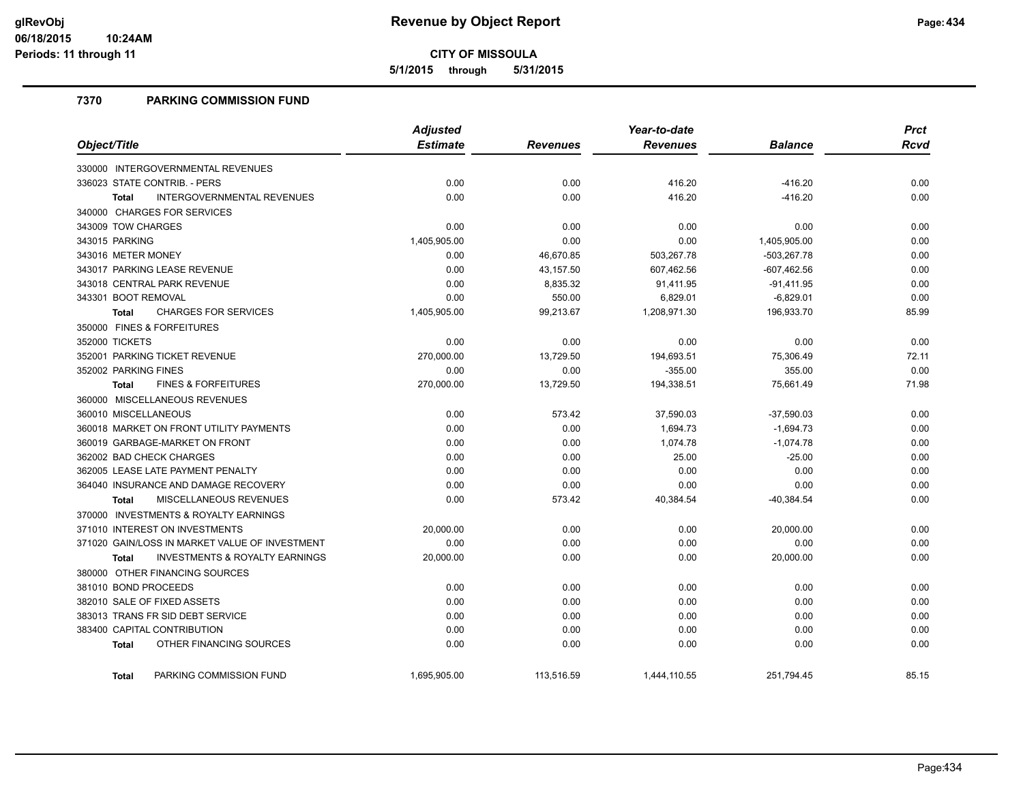**5/1/2015 through 5/31/2015**

## **7370 PARKING COMMISSION FUND**

|                                                    | Adjusted        |                 | Year-to-date    |                | <b>Prct</b> |
|----------------------------------------------------|-----------------|-----------------|-----------------|----------------|-------------|
| Object/Title                                       | <b>Estimate</b> | <b>Revenues</b> | <b>Revenues</b> | <b>Balance</b> | <b>Rcvd</b> |
| 330000 INTERGOVERNMENTAL REVENUES                  |                 |                 |                 |                |             |
| 336023 STATE CONTRIB. - PERS                       | 0.00            | 0.00            | 416.20          | $-416.20$      | 0.00        |
| INTERGOVERNMENTAL REVENUES<br><b>Total</b>         | 0.00            | 0.00            | 416.20          | $-416.20$      | 0.00        |
| 340000 CHARGES FOR SERVICES                        |                 |                 |                 |                |             |
| 343009 TOW CHARGES                                 | 0.00            | 0.00            | 0.00            | 0.00           | 0.00        |
| 343015 PARKING                                     | 1,405,905.00    | 0.00            | 0.00            | 1,405,905.00   | 0.00        |
| 343016 METER MONEY                                 | 0.00            | 46,670.85       | 503,267.78      | $-503,267.78$  | 0.00        |
| 343017 PARKING LEASE REVENUE                       | 0.00            | 43,157.50       | 607,462.56      | $-607,462.56$  | 0.00        |
| 343018 CENTRAL PARK REVENUE                        | 0.00            | 8,835.32        | 91,411.95       | $-91,411.95$   | 0.00        |
| 343301 BOOT REMOVAL                                | 0.00            | 550.00          | 6,829.01        | $-6,829.01$    | 0.00        |
| <b>CHARGES FOR SERVICES</b><br>Total               | 1,405,905.00    | 99,213.67       | 1,208,971.30    | 196,933.70     | 85.99       |
| 350000 FINES & FORFEITURES                         |                 |                 |                 |                |             |
| 352000 TICKETS                                     | 0.00            | 0.00            | 0.00            | 0.00           | 0.00        |
| 352001 PARKING TICKET REVENUE                      | 270,000.00      | 13,729.50       | 194,693.51      | 75,306.49      | 72.11       |
| 352002 PARKING FINES                               | 0.00            | 0.00            | $-355.00$       | 355.00         | 0.00        |
| <b>FINES &amp; FORFEITURES</b><br>Total            | 270,000.00      | 13,729.50       | 194,338.51      | 75,661.49      | 71.98       |
| 360000 MISCELLANEOUS REVENUES                      |                 |                 |                 |                |             |
| 360010 MISCELLANEOUS                               | 0.00            | 573.42          | 37,590.03       | $-37,590.03$   | 0.00        |
| 360018 MARKET ON FRONT UTILITY PAYMENTS            | 0.00            | 0.00            | 1,694.73        | $-1,694.73$    | 0.00        |
| 360019 GARBAGE-MARKET ON FRONT                     | 0.00            | 0.00            | 1,074.78        | $-1,074.78$    | 0.00        |
| 362002 BAD CHECK CHARGES                           | 0.00            | 0.00            | 25.00           | $-25.00$       | 0.00        |
| 362005 LEASE LATE PAYMENT PENALTY                  | 0.00            | 0.00            | 0.00            | 0.00           | 0.00        |
| 364040 INSURANCE AND DAMAGE RECOVERY               | 0.00            | 0.00            | 0.00            | 0.00           | 0.00        |
| <b>MISCELLANEOUS REVENUES</b><br><b>Total</b>      | 0.00            | 573.42          | 40,384.54       | $-40,384.54$   | 0.00        |
| 370000 INVESTMENTS & ROYALTY EARNINGS              |                 |                 |                 |                |             |
| 371010 INTEREST ON INVESTMENTS                     | 20,000.00       | 0.00            | 0.00            | 20,000.00      | 0.00        |
| 371020 GAIN/LOSS IN MARKET VALUE OF INVESTMENT     | 0.00            | 0.00            | 0.00            | 0.00           | 0.00        |
| <b>INVESTMENTS &amp; ROYALTY EARNINGS</b><br>Total | 20,000.00       | 0.00            | 0.00            | 20,000.00      | 0.00        |
| 380000 OTHER FINANCING SOURCES                     |                 |                 |                 |                |             |
| 381010 BOND PROCEEDS                               | 0.00            | 0.00            | 0.00            | 0.00           | 0.00        |
| 382010 SALE OF FIXED ASSETS                        | 0.00            | 0.00            | 0.00            | 0.00           | 0.00        |
| 383013 TRANS FR SID DEBT SERVICE                   | 0.00            | 0.00            | 0.00            | 0.00           | 0.00        |
| 383400 CAPITAL CONTRIBUTION                        | 0.00            | 0.00            | 0.00            | 0.00           | 0.00        |
| OTHER FINANCING SOURCES<br><b>Total</b>            | 0.00            | 0.00            | 0.00            | 0.00           | 0.00        |
| PARKING COMMISSION FUND<br><b>Total</b>            | 1,695,905.00    | 113,516.59      | 1,444,110.55    | 251,794.45     | 85.15       |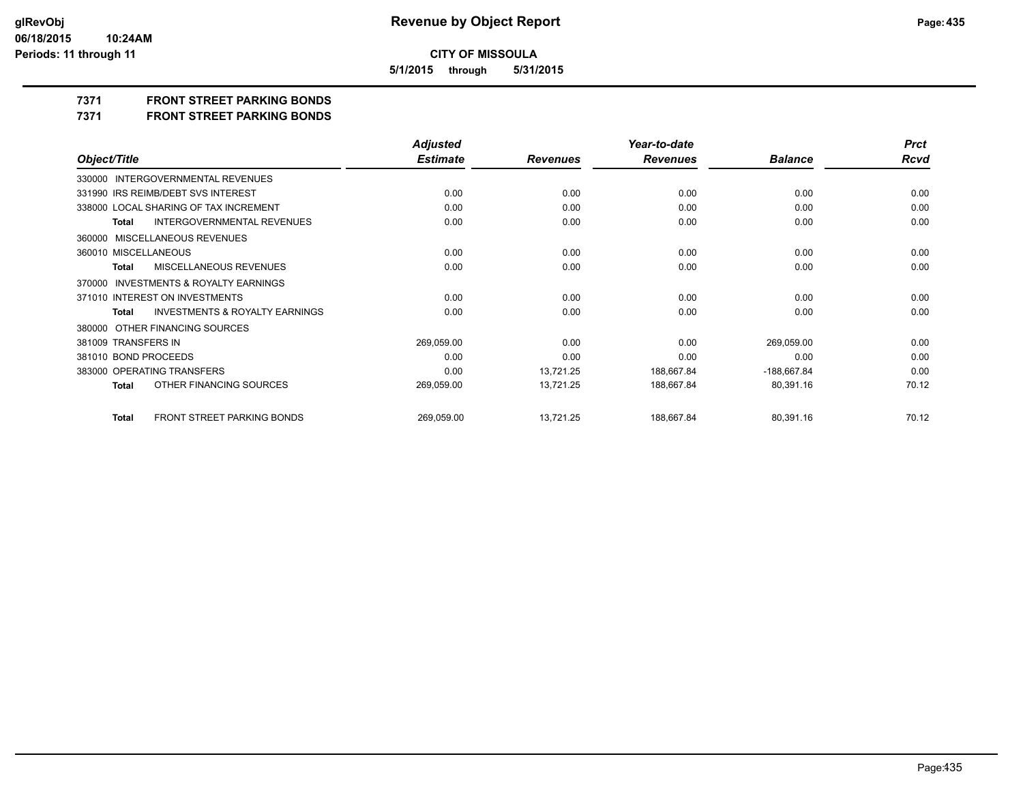**5/1/2015 through 5/31/2015**

## **7371 FRONT STREET PARKING BONDS**

**7371 FRONT STREET PARKING BONDS**

|                                                           | <b>Adjusted</b> |                 | Year-to-date    |                | <b>Prct</b> |
|-----------------------------------------------------------|-----------------|-----------------|-----------------|----------------|-------------|
| Object/Title                                              | <b>Estimate</b> | <b>Revenues</b> | <b>Revenues</b> | <b>Balance</b> | <b>Rcvd</b> |
| 330000 INTERGOVERNMENTAL REVENUES                         |                 |                 |                 |                |             |
| 331990 IRS REIMB/DEBT SVS INTEREST                        | 0.00            | 0.00            | 0.00            | 0.00           | 0.00        |
| 338000 LOCAL SHARING OF TAX INCREMENT                     | 0.00            | 0.00            | 0.00            | 0.00           | 0.00        |
| <b>INTERGOVERNMENTAL REVENUES</b><br><b>Total</b>         | 0.00            | 0.00            | 0.00            | 0.00           | 0.00        |
| 360000 MISCELLANEOUS REVENUES                             |                 |                 |                 |                |             |
| 360010 MISCELLANEOUS                                      | 0.00            | 0.00            | 0.00            | 0.00           | 0.00        |
| MISCELLANEOUS REVENUES<br><b>Total</b>                    | 0.00            | 0.00            | 0.00            | 0.00           | 0.00        |
| <b>INVESTMENTS &amp; ROYALTY EARNINGS</b><br>370000       |                 |                 |                 |                |             |
| 371010 INTEREST ON INVESTMENTS                            | 0.00            | 0.00            | 0.00            | 0.00           | 0.00        |
| <b>INVESTMENTS &amp; ROYALTY EARNINGS</b><br><b>Total</b> | 0.00            | 0.00            | 0.00            | 0.00           | 0.00        |
| 380000 OTHER FINANCING SOURCES                            |                 |                 |                 |                |             |
| 381009 TRANSFERS IN                                       | 269,059.00      | 0.00            | 0.00            | 269,059.00     | 0.00        |
| 381010 BOND PROCEEDS                                      | 0.00            | 0.00            | 0.00            | 0.00           | 0.00        |
| 383000 OPERATING TRANSFERS                                | 0.00            | 13,721.25       | 188,667.84      | $-188,667.84$  | 0.00        |
| OTHER FINANCING SOURCES<br><b>Total</b>                   | 269,059.00      | 13,721.25       | 188,667.84      | 80,391.16      | 70.12       |
| <b>FRONT STREET PARKING BONDS</b><br><b>Total</b>         | 269,059.00      | 13,721.25       | 188,667.84      | 80,391.16      | 70.12       |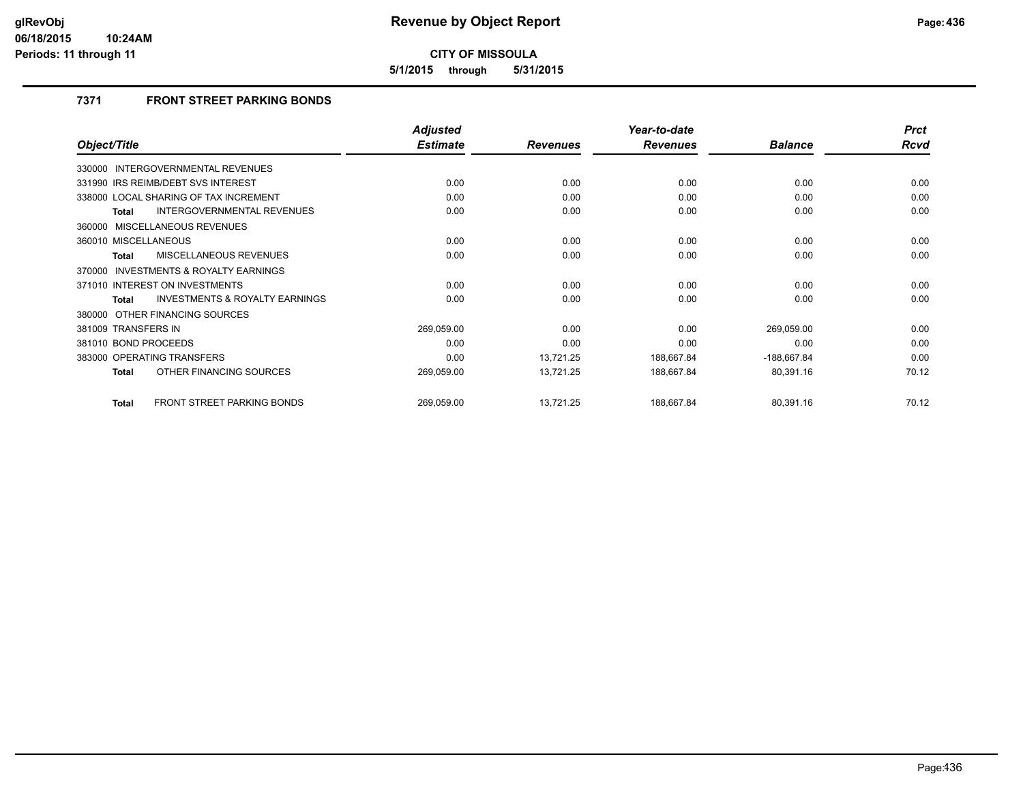**5/1/2015 through 5/31/2015**

## **7371 FRONT STREET PARKING BONDS**

|                                                     | <b>Adjusted</b> |                 | Year-to-date    |                | <b>Prct</b> |
|-----------------------------------------------------|-----------------|-----------------|-----------------|----------------|-------------|
| Object/Title                                        | <b>Estimate</b> | <b>Revenues</b> | <b>Revenues</b> | <b>Balance</b> | <b>Rcvd</b> |
| <b>INTERGOVERNMENTAL REVENUES</b><br>330000         |                 |                 |                 |                |             |
| 331990 IRS REIMB/DEBT SVS INTEREST                  | 0.00            | 0.00            | 0.00            | 0.00           | 0.00        |
| 338000 LOCAL SHARING OF TAX INCREMENT               | 0.00            | 0.00            | 0.00            | 0.00           | 0.00        |
| <b>INTERGOVERNMENTAL REVENUES</b><br>Total          | 0.00            | 0.00            | 0.00            | 0.00           | 0.00        |
| 360000 MISCELLANEOUS REVENUES                       |                 |                 |                 |                |             |
| 360010 MISCELLANEOUS                                | 0.00            | 0.00            | 0.00            | 0.00           | 0.00        |
| MISCELLANEOUS REVENUES<br><b>Total</b>              | 0.00            | 0.00            | 0.00            | 0.00           | 0.00        |
| <b>INVESTMENTS &amp; ROYALTY EARNINGS</b><br>370000 |                 |                 |                 |                |             |
| 371010 INTEREST ON INVESTMENTS                      | 0.00            | 0.00            | 0.00            | 0.00           | 0.00        |
| <b>INVESTMENTS &amp; ROYALTY EARNINGS</b><br>Total  | 0.00            | 0.00            | 0.00            | 0.00           | 0.00        |
| 380000 OTHER FINANCING SOURCES                      |                 |                 |                 |                |             |
| 381009 TRANSFERS IN                                 | 269,059.00      | 0.00            | 0.00            | 269,059.00     | 0.00        |
| 381010 BOND PROCEEDS                                | 0.00            | 0.00            | 0.00            | 0.00           | 0.00        |
| 383000 OPERATING TRANSFERS                          | 0.00            | 13,721.25       | 188,667.84      | $-188,667.84$  | 0.00        |
| OTHER FINANCING SOURCES<br><b>Total</b>             | 269,059.00      | 13,721.25       | 188,667.84      | 80,391.16      | 70.12       |
| FRONT STREET PARKING BONDS<br><b>Total</b>          | 269,059.00      | 13,721.25       | 188,667.84      | 80,391.16      | 70.12       |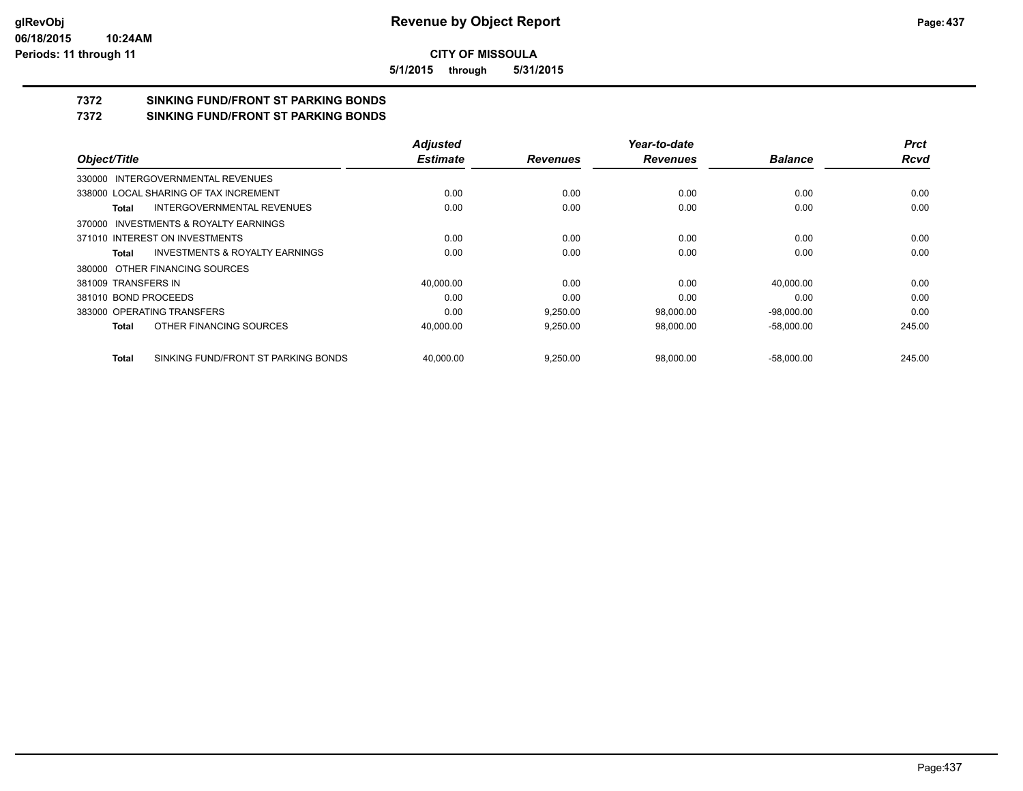**5/1/2015 through 5/31/2015**

# **7372 SINKING FUND/FRONT ST PARKING BONDS**

**7372 SINKING FUND/FRONT ST PARKING BONDS**

|                      |                                           | <b>Adjusted</b> |                 | Year-to-date    |                | <b>Prct</b> |
|----------------------|-------------------------------------------|-----------------|-----------------|-----------------|----------------|-------------|
| Object/Title         |                                           | <b>Estimate</b> | <b>Revenues</b> | <b>Revenues</b> | <b>Balance</b> | <b>Rcvd</b> |
|                      | 330000 INTERGOVERNMENTAL REVENUES         |                 |                 |                 |                |             |
|                      | 338000 LOCAL SHARING OF TAX INCREMENT     | 0.00            | 0.00            | 0.00            | 0.00           | 0.00        |
| Total                | INTERGOVERNMENTAL REVENUES                | 0.00            | 0.00            | 0.00            | 0.00           | 0.00        |
|                      | 370000 INVESTMENTS & ROYALTY EARNINGS     |                 |                 |                 |                |             |
|                      | 371010 INTEREST ON INVESTMENTS            | 0.00            | 0.00            | 0.00            | 0.00           | 0.00        |
| Total                | <b>INVESTMENTS &amp; ROYALTY EARNINGS</b> | 0.00            | 0.00            | 0.00            | 0.00           | 0.00        |
|                      | 380000 OTHER FINANCING SOURCES            |                 |                 |                 |                |             |
| 381009 TRANSFERS IN  |                                           | 40,000.00       | 0.00            | 0.00            | 40,000.00      | 0.00        |
| 381010 BOND PROCEEDS |                                           | 0.00            | 0.00            | 0.00            | 0.00           | 0.00        |
|                      | 383000 OPERATING TRANSFERS                | 0.00            | 9,250.00        | 98.000.00       | $-98,000.00$   | 0.00        |
| Total                | OTHER FINANCING SOURCES                   | 40,000.00       | 9,250.00        | 98,000.00       | $-58,000.00$   | 245.00      |
| Total                | SINKING FUND/FRONT ST PARKING BONDS       | 40.000.00       | 9,250.00        | 98.000.00       | $-58.000.00$   | 245.00      |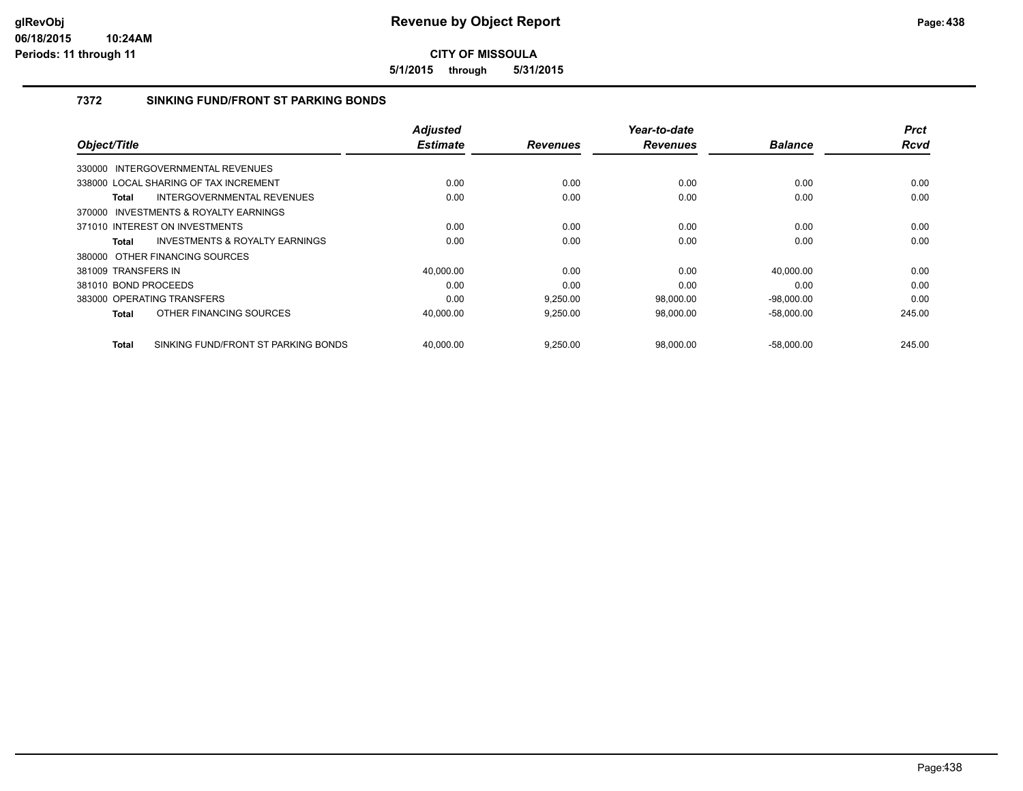**5/1/2015 through 5/31/2015**

## **7372 SINKING FUND/FRONT ST PARKING BONDS**

| Object/Title         |                                       | <b>Adjusted</b><br><b>Estimate</b> | <b>Revenues</b> | Year-to-date<br><b>Revenues</b> | <b>Balance</b> | <b>Prct</b><br><b>Rcvd</b> |
|----------------------|---------------------------------------|------------------------------------|-----------------|---------------------------------|----------------|----------------------------|
|                      |                                       |                                    |                 |                                 |                |                            |
|                      | 330000 INTERGOVERNMENTAL REVENUES     |                                    |                 |                                 |                |                            |
|                      | 338000 LOCAL SHARING OF TAX INCREMENT | 0.00                               | 0.00            | 0.00                            | 0.00           | 0.00                       |
| Total                | INTERGOVERNMENTAL REVENUES            | 0.00                               | 0.00            | 0.00                            | 0.00           | 0.00                       |
| 370000               | INVESTMENTS & ROYALTY EARNINGS        |                                    |                 |                                 |                |                            |
|                      | 371010 INTEREST ON INVESTMENTS        | 0.00                               | 0.00            | 0.00                            | 0.00           | 0.00                       |
| Total                | INVESTMENTS & ROYALTY EARNINGS        | 0.00                               | 0.00            | 0.00                            | 0.00           | 0.00                       |
|                      | 380000 OTHER FINANCING SOURCES        |                                    |                 |                                 |                |                            |
| 381009 TRANSFERS IN  |                                       | 40.000.00                          | 0.00            | 0.00                            | 40.000.00      | 0.00                       |
| 381010 BOND PROCEEDS |                                       | 0.00                               | 0.00            | 0.00                            | 0.00           | 0.00                       |
|                      | 383000 OPERATING TRANSFERS            | 0.00                               | 9,250.00        | 98,000.00                       | $-98,000.00$   | 0.00                       |
| Total                | OTHER FINANCING SOURCES               | 40,000.00                          | 9,250.00        | 98,000.00                       | $-58,000.00$   | 245.00                     |
| <b>Total</b>         | SINKING FUND/FRONT ST PARKING BONDS   | 40.000.00                          | 9.250.00        | 98,000.00                       | $-58,000.00$   | 245.00                     |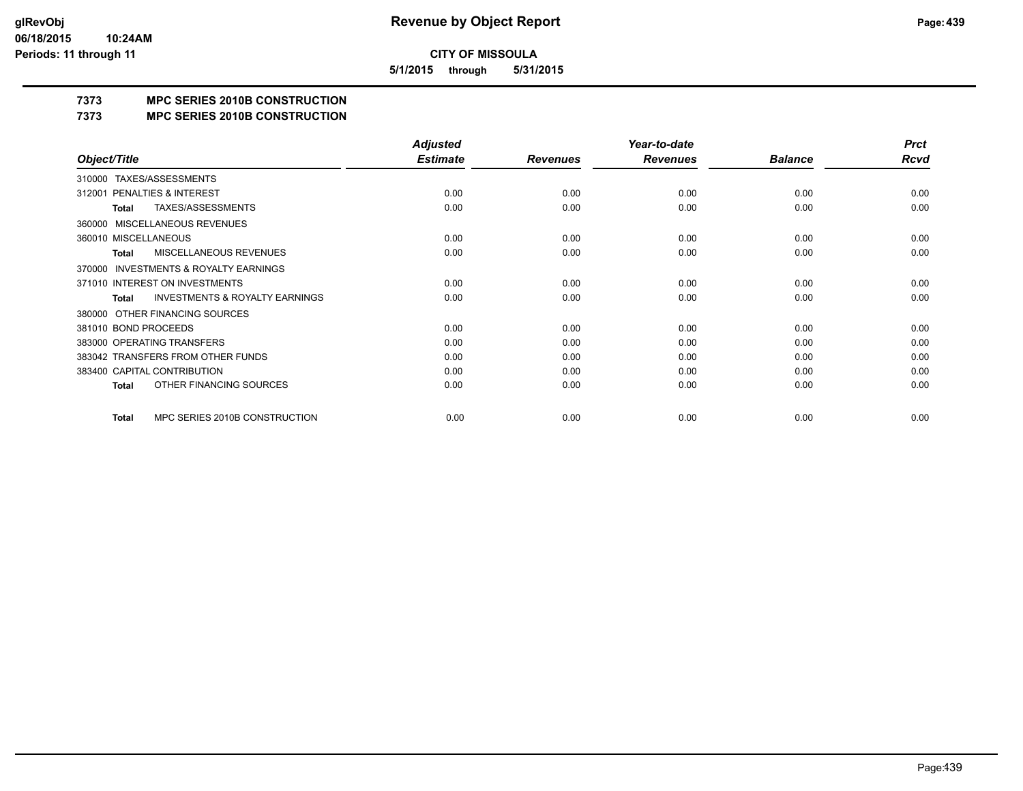**5/1/2015 through 5/31/2015**

## **7373 MPC SERIES 2010B CONSTRUCTION**

#### **7373 MPC SERIES 2010B CONSTRUCTION**

|                                                     | <b>Adjusted</b> |                 | Year-to-date    |                | <b>Prct</b> |
|-----------------------------------------------------|-----------------|-----------------|-----------------|----------------|-------------|
| Object/Title                                        | <b>Estimate</b> | <b>Revenues</b> | <b>Revenues</b> | <b>Balance</b> | Rcvd        |
| TAXES/ASSESSMENTS<br>310000                         |                 |                 |                 |                |             |
| PENALTIES & INTEREST<br>312001                      | 0.00            | 0.00            | 0.00            | 0.00           | 0.00        |
| TAXES/ASSESSMENTS<br>Total                          | 0.00            | 0.00            | 0.00            | 0.00           | 0.00        |
| <b>MISCELLANEOUS REVENUES</b><br>360000             |                 |                 |                 |                |             |
| 360010 MISCELLANEOUS                                | 0.00            | 0.00            | 0.00            | 0.00           | 0.00        |
| MISCELLANEOUS REVENUES<br>Total                     | 0.00            | 0.00            | 0.00            | 0.00           | 0.00        |
| <b>INVESTMENTS &amp; ROYALTY EARNINGS</b><br>370000 |                 |                 |                 |                |             |
| 371010 INTEREST ON INVESTMENTS                      | 0.00            | 0.00            | 0.00            | 0.00           | 0.00        |
| <b>INVESTMENTS &amp; ROYALTY EARNINGS</b><br>Total  | 0.00            | 0.00            | 0.00            | 0.00           | 0.00        |
| OTHER FINANCING SOURCES<br>380000                   |                 |                 |                 |                |             |
| 381010 BOND PROCEEDS                                | 0.00            | 0.00            | 0.00            | 0.00           | 0.00        |
| 383000 OPERATING TRANSFERS                          | 0.00            | 0.00            | 0.00            | 0.00           | 0.00        |
| 383042 TRANSFERS FROM OTHER FUNDS                   | 0.00            | 0.00            | 0.00            | 0.00           | 0.00        |
| 383400 CAPITAL CONTRIBUTION                         | 0.00            | 0.00            | 0.00            | 0.00           | 0.00        |
| OTHER FINANCING SOURCES<br><b>Total</b>             | 0.00            | 0.00            | 0.00            | 0.00           | 0.00        |
| MPC SERIES 2010B CONSTRUCTION<br>Total              | 0.00            | 0.00            | 0.00            | 0.00           | 0.00        |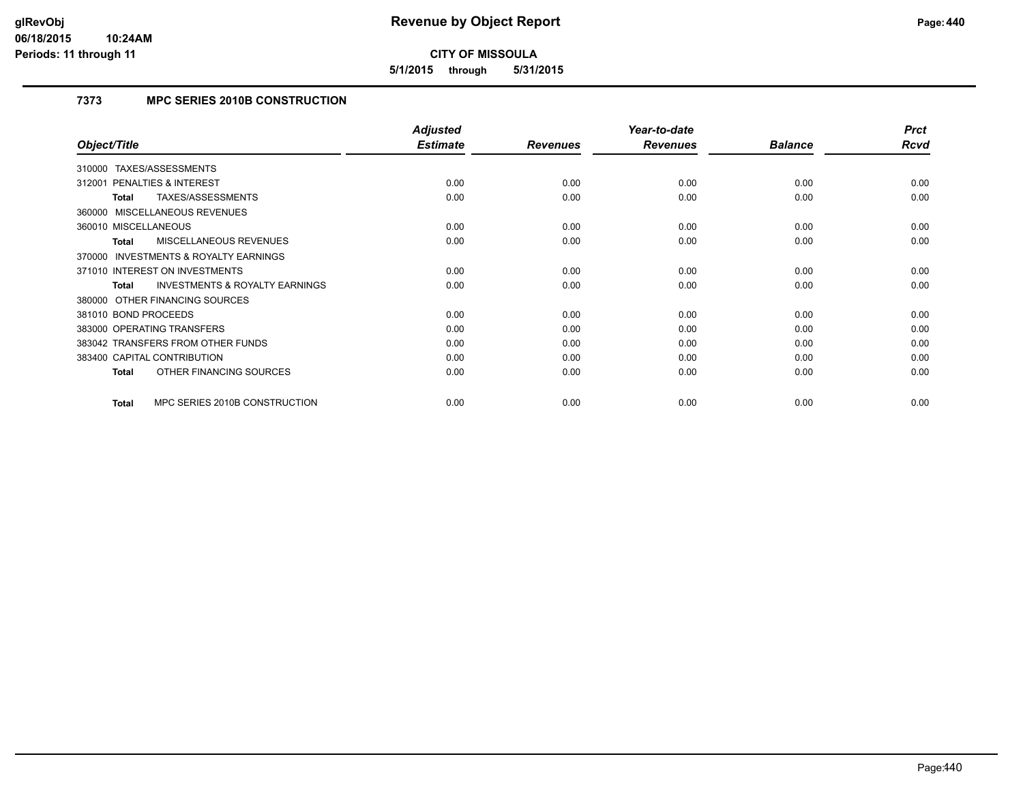**5/1/2015 through 5/31/2015**

## **7373 MPC SERIES 2010B CONSTRUCTION**

|                                                    | <b>Adjusted</b> |                 | Year-to-date    |                | <b>Prct</b> |
|----------------------------------------------------|-----------------|-----------------|-----------------|----------------|-------------|
| Object/Title                                       | <b>Estimate</b> | <b>Revenues</b> | <b>Revenues</b> | <b>Balance</b> | Rcvd        |
| TAXES/ASSESSMENTS<br>310000                        |                 |                 |                 |                |             |
| <b>PENALTIES &amp; INTEREST</b><br>312001          | 0.00            | 0.00            | 0.00            | 0.00           | 0.00        |
| TAXES/ASSESSMENTS<br>Total                         | 0.00            | 0.00            | 0.00            | 0.00           | 0.00        |
| 360000 MISCELLANEOUS REVENUES                      |                 |                 |                 |                |             |
| 360010 MISCELLANEOUS                               | 0.00            | 0.00            | 0.00            | 0.00           | 0.00        |
| MISCELLANEOUS REVENUES<br>Total                    | 0.00            | 0.00            | 0.00            | 0.00           | 0.00        |
| 370000 INVESTMENTS & ROYALTY EARNINGS              |                 |                 |                 |                |             |
| 371010 INTEREST ON INVESTMENTS                     | 0.00            | 0.00            | 0.00            | 0.00           | 0.00        |
| <b>INVESTMENTS &amp; ROYALTY EARNINGS</b><br>Total | 0.00            | 0.00            | 0.00            | 0.00           | 0.00        |
| 380000 OTHER FINANCING SOURCES                     |                 |                 |                 |                |             |
| 381010 BOND PROCEEDS                               | 0.00            | 0.00            | 0.00            | 0.00           | 0.00        |
| 383000 OPERATING TRANSFERS                         | 0.00            | 0.00            | 0.00            | 0.00           | 0.00        |
| 383042 TRANSFERS FROM OTHER FUNDS                  | 0.00            | 0.00            | 0.00            | 0.00           | 0.00        |
| 383400 CAPITAL CONTRIBUTION                        | 0.00            | 0.00            | 0.00            | 0.00           | 0.00        |
| OTHER FINANCING SOURCES<br><b>Total</b>            | 0.00            | 0.00            | 0.00            | 0.00           | 0.00        |
|                                                    |                 |                 |                 |                |             |
| MPC SERIES 2010B CONSTRUCTION<br><b>Total</b>      | 0.00            | 0.00            | 0.00            | 0.00           | 0.00        |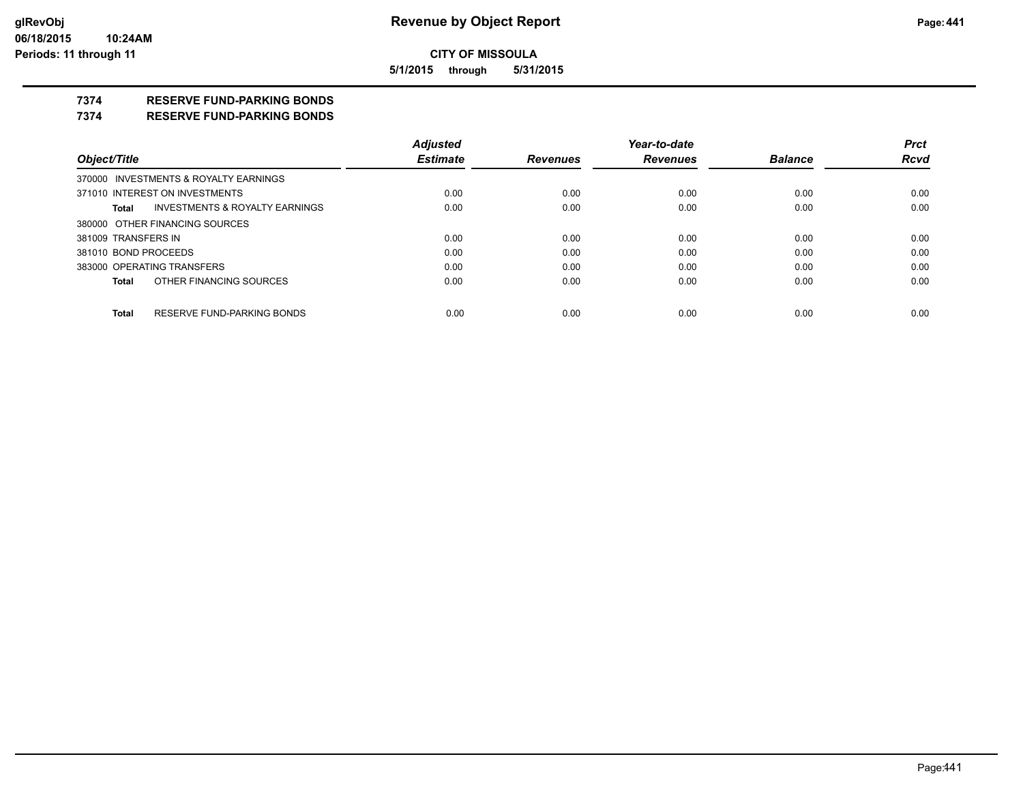**5/1/2015 through 5/31/2015**

## **7374 RESERVE FUND-PARKING BONDS**

#### **7374 RESERVE FUND-PARKING BONDS**

|                      |                                           | <b>Adjusted</b> |                 | Year-to-date    |                | <b>Prct</b> |
|----------------------|-------------------------------------------|-----------------|-----------------|-----------------|----------------|-------------|
| Object/Title         |                                           | <b>Estimate</b> | <b>Revenues</b> | <b>Revenues</b> | <b>Balance</b> | <b>Rcvd</b> |
|                      | 370000 INVESTMENTS & ROYALTY EARNINGS     |                 |                 |                 |                |             |
|                      | 371010 INTEREST ON INVESTMENTS            | 0.00            | 0.00            | 0.00            | 0.00           | 0.00        |
| Total                | <b>INVESTMENTS &amp; ROYALTY EARNINGS</b> | 0.00            | 0.00            | 0.00            | 0.00           | 0.00        |
|                      | 380000 OTHER FINANCING SOURCES            |                 |                 |                 |                |             |
| 381009 TRANSFERS IN  |                                           | 0.00            | 0.00            | 0.00            | 0.00           | 0.00        |
| 381010 BOND PROCEEDS |                                           | 0.00            | 0.00            | 0.00            | 0.00           | 0.00        |
|                      | 383000 OPERATING TRANSFERS                | 0.00            | 0.00            | 0.00            | 0.00           | 0.00        |
| <b>Total</b>         | OTHER FINANCING SOURCES                   | 0.00            | 0.00            | 0.00            | 0.00           | 0.00        |
|                      |                                           |                 |                 |                 |                |             |
| <b>Total</b>         | RESERVE FUND-PARKING BONDS                | 0.00            | 0.00            | 0.00            | 0.00           | 0.00        |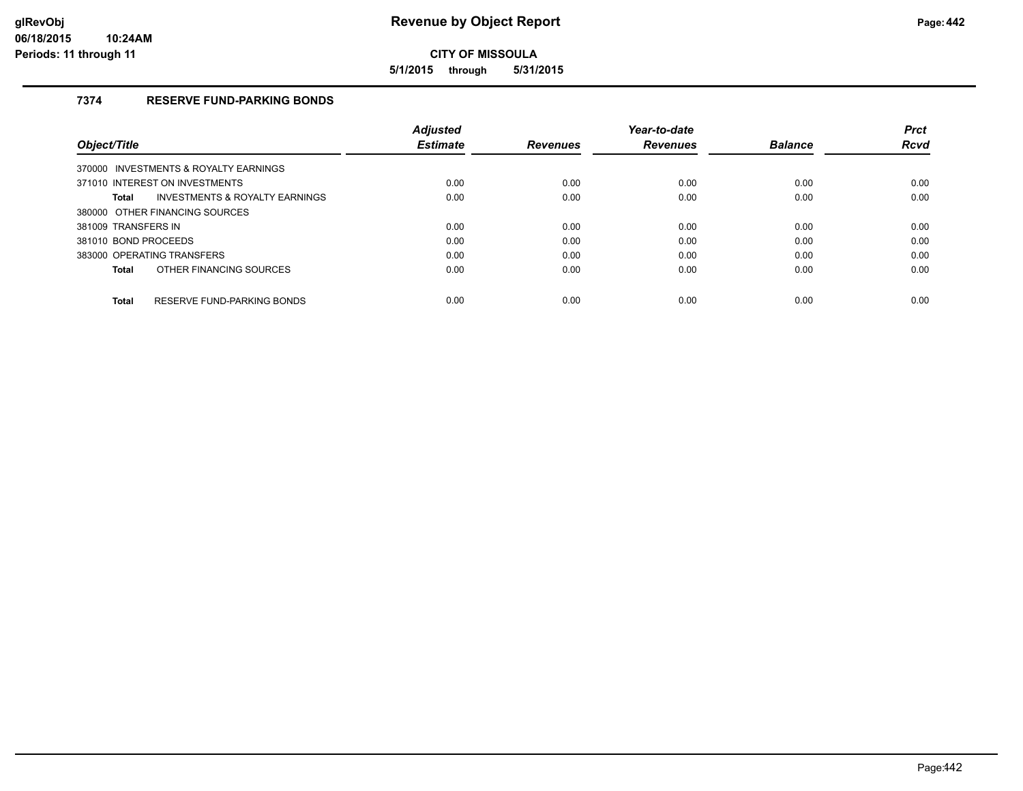**5/1/2015 through 5/31/2015**

## **7374 RESERVE FUND-PARKING BONDS**

|                                                    | <b>Adjusted</b> |                 | Year-to-date    |                | <b>Prct</b> |
|----------------------------------------------------|-----------------|-----------------|-----------------|----------------|-------------|
| <b>Object/Title</b>                                | <b>Estimate</b> | <b>Revenues</b> | <b>Revenues</b> | <b>Balance</b> | <b>Rcvd</b> |
| 370000 INVESTMENTS & ROYALTY EARNINGS              |                 |                 |                 |                |             |
| 371010 INTEREST ON INVESTMENTS                     | 0.00            | 0.00            | 0.00            | 0.00           | 0.00        |
| <b>INVESTMENTS &amp; ROYALTY EARNINGS</b><br>Total | 0.00            | 0.00            | 0.00            | 0.00           | 0.00        |
| 380000 OTHER FINANCING SOURCES                     |                 |                 |                 |                |             |
| 381009 TRANSFERS IN                                | 0.00            | 0.00            | 0.00            | 0.00           | 0.00        |
| 381010 BOND PROCEEDS                               | 0.00            | 0.00            | 0.00            | 0.00           | 0.00        |
| 383000 OPERATING TRANSFERS                         | 0.00            | 0.00            | 0.00            | 0.00           | 0.00        |
| OTHER FINANCING SOURCES<br>Total                   | 0.00            | 0.00            | 0.00            | 0.00           | 0.00        |
| RESERVE FUND-PARKING BONDS<br>Total                | 0.00            | 0.00            | 0.00            | 0.00           | 0.00        |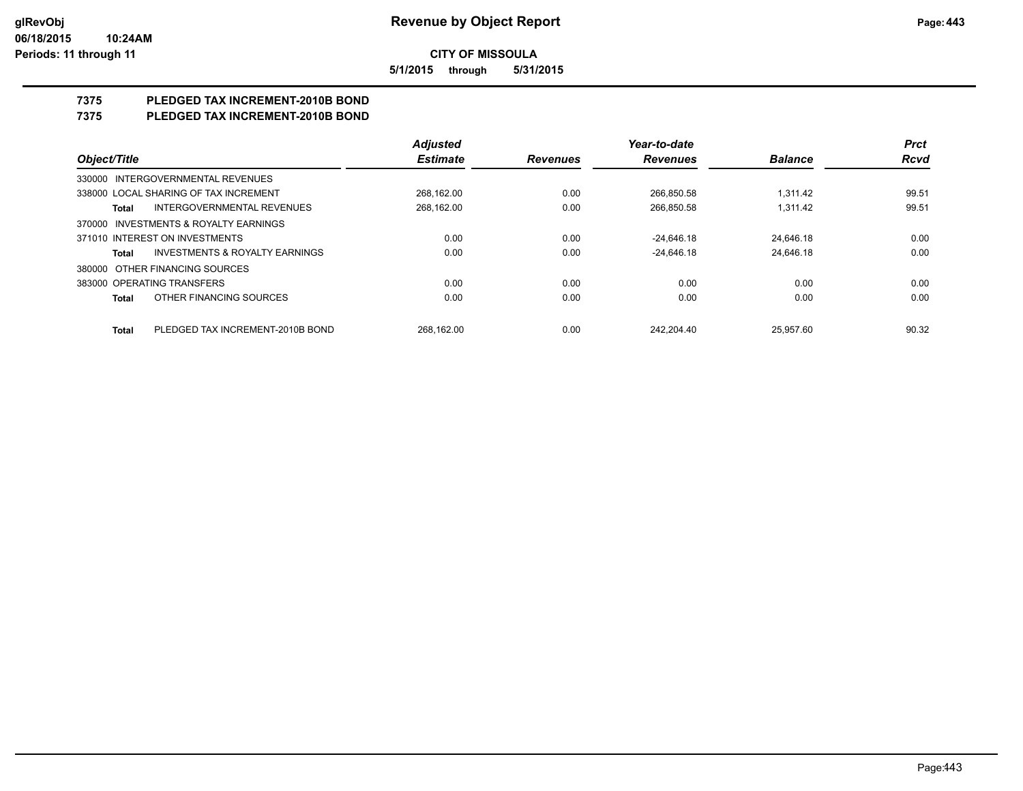**5/1/2015 through 5/31/2015**

# **7375 PLEDGED TAX INCREMENT-2010B BOND**

## **7375 PLEDGED TAX INCREMENT-2010B BOND**

|                                                    | <b>Adjusted</b> |                 | Year-to-date    |                | <b>Prct</b> |
|----------------------------------------------------|-----------------|-----------------|-----------------|----------------|-------------|
| Object/Title                                       | <b>Estimate</b> | <b>Revenues</b> | <b>Revenues</b> | <b>Balance</b> | <b>Rcvd</b> |
| 330000 INTERGOVERNMENTAL REVENUES                  |                 |                 |                 |                |             |
| 338000 LOCAL SHARING OF TAX INCREMENT              | 268.162.00      | 0.00            | 266.850.58      | 1.311.42       | 99.51       |
| <b>INTERGOVERNMENTAL REVENUES</b><br>Total         | 268.162.00      | 0.00            | 266.850.58      | 1.311.42       | 99.51       |
| 370000 INVESTMENTS & ROYALTY EARNINGS              |                 |                 |                 |                |             |
| 371010 INTEREST ON INVESTMENTS                     | 0.00            | 0.00            | $-24.646.18$    | 24.646.18      | 0.00        |
| <b>INVESTMENTS &amp; ROYALTY EARNINGS</b><br>Total | 0.00            | 0.00            | $-24.646.18$    | 24.646.18      | 0.00        |
| 380000 OTHER FINANCING SOURCES                     |                 |                 |                 |                |             |
| 383000 OPERATING TRANSFERS                         | 0.00            | 0.00            | 0.00            | 0.00           | 0.00        |
| OTHER FINANCING SOURCES<br><b>Total</b>            | 0.00            | 0.00            | 0.00            | 0.00           | 0.00        |
| PLEDGED TAX INCREMENT-2010B BOND<br><b>Total</b>   | 268.162.00      | 0.00            | 242.204.40      | 25.957.60      | 90.32       |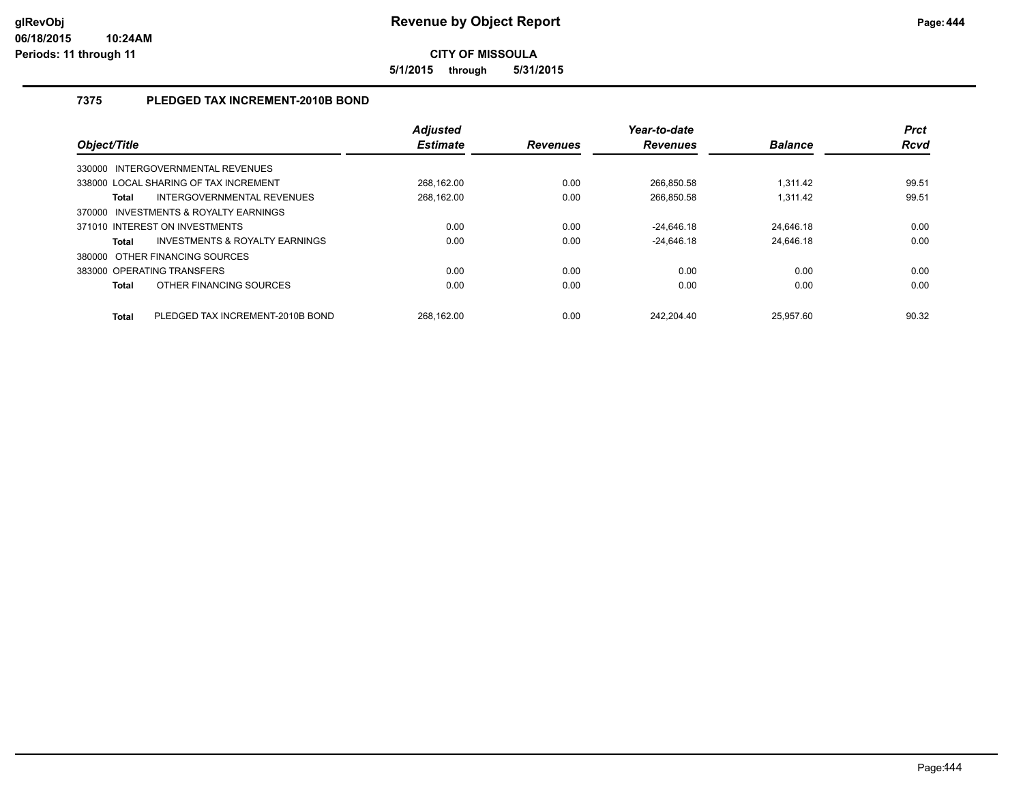**5/1/2015 through 5/31/2015**

## **7375 PLEDGED TAX INCREMENT-2010B BOND**

|                            |                                       | <b>Adjusted</b> |                 | Year-to-date    |                | <b>Prct</b> |
|----------------------------|---------------------------------------|-----------------|-----------------|-----------------|----------------|-------------|
| Object/Title               |                                       | <b>Estimate</b> | <b>Revenues</b> | <b>Revenues</b> | <b>Balance</b> | <b>Rcvd</b> |
|                            | 330000 INTERGOVERNMENTAL REVENUES     |                 |                 |                 |                |             |
|                            | 338000 LOCAL SHARING OF TAX INCREMENT | 268.162.00      | 0.00            | 266.850.58      | 1.311.42       | 99.51       |
| Total                      | INTERGOVERNMENTAL REVENUES            | 268.162.00      | 0.00            | 266,850.58      | 1,311.42       | 99.51       |
|                            | 370000 INVESTMENTS & ROYALTY EARNINGS |                 |                 |                 |                |             |
|                            | 371010 INTEREST ON INVESTMENTS        | 0.00            | 0.00            | $-24.646.18$    | 24.646.18      | 0.00        |
| <b>Total</b>               | INVESTMENTS & ROYALTY EARNINGS        | 0.00            | 0.00            | $-24.646.18$    | 24.646.18      | 0.00        |
|                            | 380000 OTHER FINANCING SOURCES        |                 |                 |                 |                |             |
| 383000 OPERATING TRANSFERS |                                       | 0.00            | 0.00            | 0.00            | 0.00           | 0.00        |
| <b>Total</b>               | OTHER FINANCING SOURCES               | 0.00            | 0.00            | 0.00            | 0.00           | 0.00        |
| <b>Total</b>               | PLEDGED TAX INCREMENT-2010B BOND      | 268.162.00      | 0.00            | 242.204.40      | 25.957.60      | 90.32       |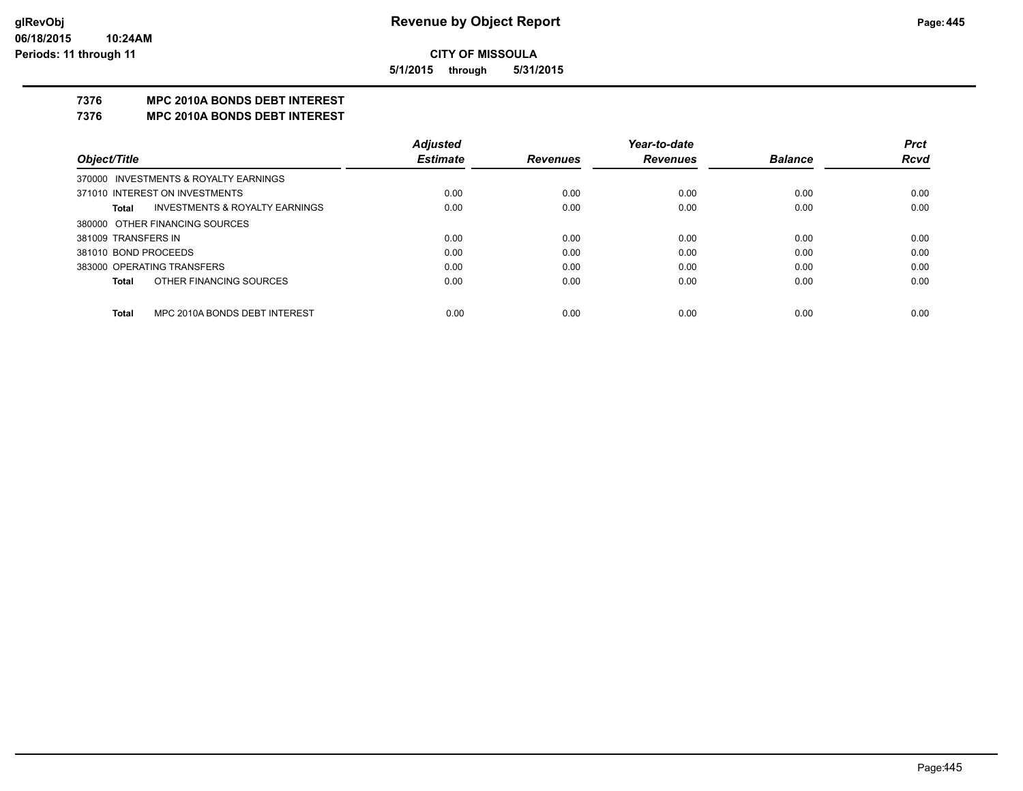**5/1/2015 through 5/31/2015**

## **7376 MPC 2010A BONDS DEBT INTEREST**

#### **7376 MPC 2010A BONDS DEBT INTEREST**

|                      |                                           | <b>Adjusted</b> |                 | Year-to-date    |                | <b>Prct</b> |
|----------------------|-------------------------------------------|-----------------|-----------------|-----------------|----------------|-------------|
| Object/Title         |                                           | <b>Estimate</b> | <b>Revenues</b> | <b>Revenues</b> | <b>Balance</b> | <b>Rcvd</b> |
|                      | 370000 INVESTMENTS & ROYALTY EARNINGS     |                 |                 |                 |                |             |
|                      | 371010 INTEREST ON INVESTMENTS            | 0.00            | 0.00            | 0.00            | 0.00           | 0.00        |
| Total                | <b>INVESTMENTS &amp; ROYALTY EARNINGS</b> | 0.00            | 0.00            | 0.00            | 0.00           | 0.00        |
|                      | 380000 OTHER FINANCING SOURCES            |                 |                 |                 |                |             |
| 381009 TRANSFERS IN  |                                           | 0.00            | 0.00            | 0.00            | 0.00           | 0.00        |
| 381010 BOND PROCEEDS |                                           | 0.00            | 0.00            | 0.00            | 0.00           | 0.00        |
|                      | 383000 OPERATING TRANSFERS                | 0.00            | 0.00            | 0.00            | 0.00           | 0.00        |
| Total                | OTHER FINANCING SOURCES                   | 0.00            | 0.00            | 0.00            | 0.00           | 0.00        |
|                      |                                           |                 |                 |                 |                |             |
| Total                | MPC 2010A BONDS DEBT INTEREST             | 0.00            | 0.00            | 0.00            | 0.00           | 0.00        |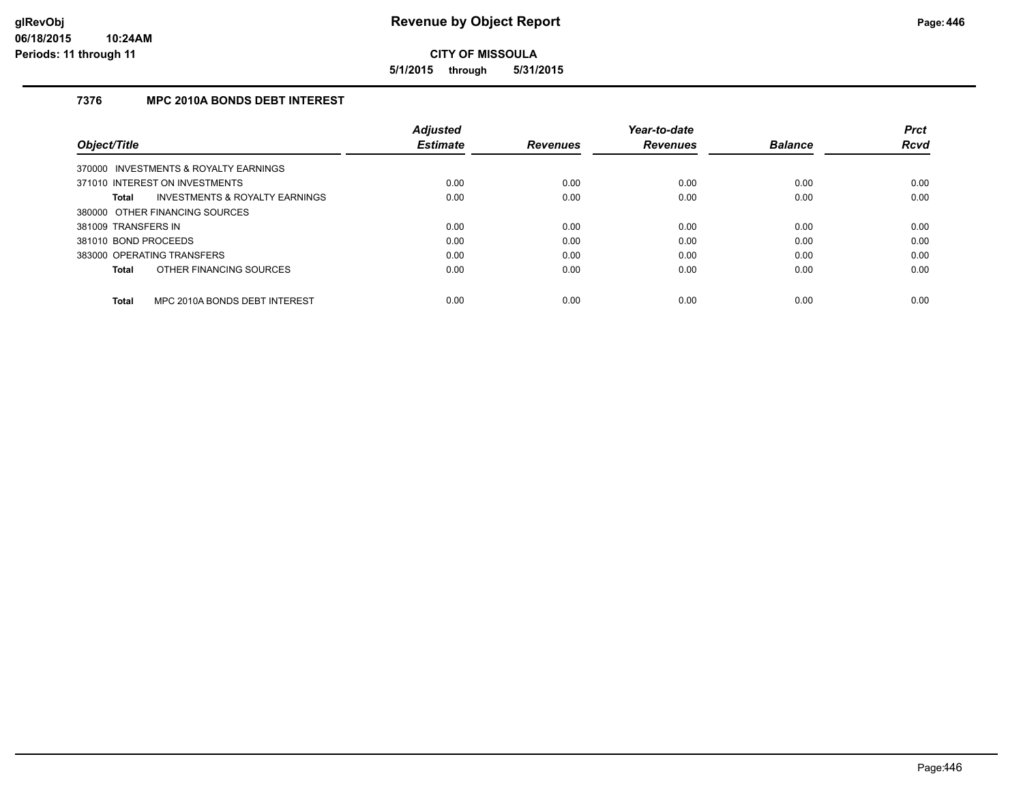**5/1/2015 through 5/31/2015**

## **7376 MPC 2010A BONDS DEBT INTEREST**

|                                                           | <b>Adjusted</b> |                 | Year-to-date    |                | <b>Prct</b> |
|-----------------------------------------------------------|-----------------|-----------------|-----------------|----------------|-------------|
| Object/Title                                              | <b>Estimate</b> | <b>Revenues</b> | <b>Revenues</b> | <b>Balance</b> | <b>Rcvd</b> |
| 370000 INVESTMENTS & ROYALTY EARNINGS                     |                 |                 |                 |                |             |
| 371010 INTEREST ON INVESTMENTS                            | 0.00            | 0.00            | 0.00            | 0.00           | 0.00        |
| <b>INVESTMENTS &amp; ROYALTY EARNINGS</b><br><b>Total</b> | 0.00            | 0.00            | 0.00            | 0.00           | 0.00        |
| 380000 OTHER FINANCING SOURCES                            |                 |                 |                 |                |             |
| 381009 TRANSFERS IN                                       | 0.00            | 0.00            | 0.00            | 0.00           | 0.00        |
| 381010 BOND PROCEEDS                                      | 0.00            | 0.00            | 0.00            | 0.00           | 0.00        |
| 383000 OPERATING TRANSFERS                                | 0.00            | 0.00            | 0.00            | 0.00           | 0.00        |
| OTHER FINANCING SOURCES<br><b>Total</b>                   | 0.00            | 0.00            | 0.00            | 0.00           | 0.00        |
| MPC 2010A BONDS DEBT INTEREST<br><b>Total</b>             | 0.00            | 0.00            | 0.00            | 0.00           | 0.00        |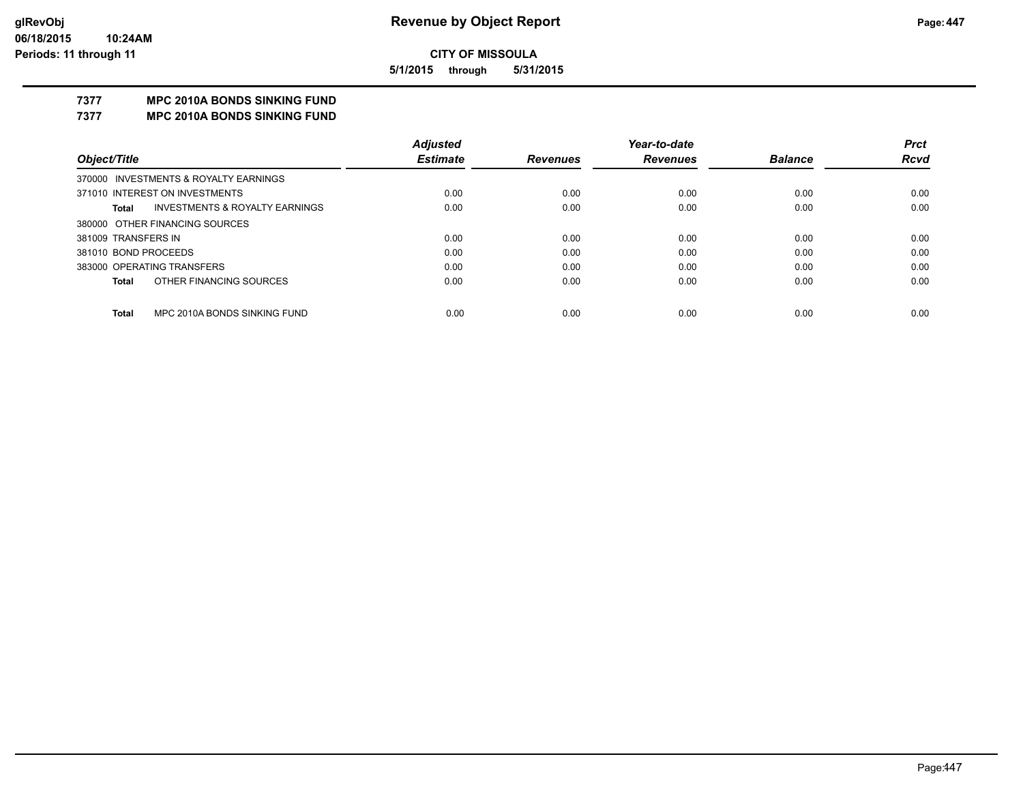**5/1/2015 through 5/31/2015**

## **7377 MPC 2010A BONDS SINKING FUND**

**7377 MPC 2010A BONDS SINKING FUND**

|                                              | <b>Adjusted</b> |                 | Year-to-date    |                | <b>Prct</b> |
|----------------------------------------------|-----------------|-----------------|-----------------|----------------|-------------|
| Object/Title                                 | <b>Estimate</b> | <b>Revenues</b> | <b>Revenues</b> | <b>Balance</b> | <b>Rcvd</b> |
| 370000 INVESTMENTS & ROYALTY EARNINGS        |                 |                 |                 |                |             |
| 371010 INTEREST ON INVESTMENTS               | 0.00            | 0.00            | 0.00            | 0.00           | 0.00        |
| INVESTMENTS & ROYALTY EARNINGS<br>Total      | 0.00            | 0.00            | 0.00            | 0.00           | 0.00        |
| 380000 OTHER FINANCING SOURCES               |                 |                 |                 |                |             |
| 381009 TRANSFERS IN                          | 0.00            | 0.00            | 0.00            | 0.00           | 0.00        |
| 381010 BOND PROCEEDS                         | 0.00            | 0.00            | 0.00            | 0.00           | 0.00        |
| 383000 OPERATING TRANSFERS                   | 0.00            | 0.00            | 0.00            | 0.00           | 0.00        |
| OTHER FINANCING SOURCES<br><b>Total</b>      | 0.00            | 0.00            | 0.00            | 0.00           | 0.00        |
|                                              |                 |                 |                 |                |             |
| MPC 2010A BONDS SINKING FUND<br><b>Total</b> | 0.00            | 0.00            | 0.00            | 0.00           | 0.00        |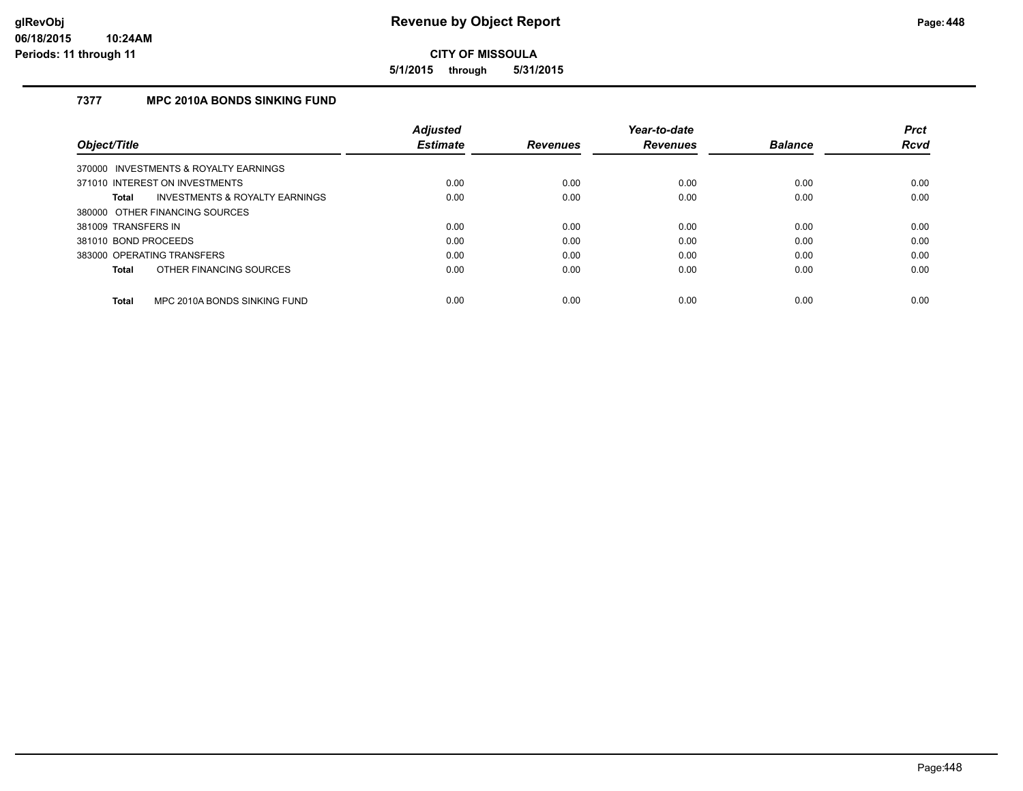**5/1/2015 through 5/31/2015**

## **7377 MPC 2010A BONDS SINKING FUND**

|                      |                                           | <b>Adjusted</b> |                 | Year-to-date    |                | <b>Prct</b> |
|----------------------|-------------------------------------------|-----------------|-----------------|-----------------|----------------|-------------|
| Object/Title         |                                           | <b>Estimate</b> | <b>Revenues</b> | <b>Revenues</b> | <b>Balance</b> | <b>Rcvd</b> |
|                      | 370000 INVESTMENTS & ROYALTY EARNINGS     |                 |                 |                 |                |             |
|                      | 371010 INTEREST ON INVESTMENTS            | 0.00            | 0.00            | 0.00            | 0.00           | 0.00        |
| Total                | <b>INVESTMENTS &amp; ROYALTY EARNINGS</b> | 0.00            | 0.00            | 0.00            | 0.00           | 0.00        |
|                      | 380000 OTHER FINANCING SOURCES            |                 |                 |                 |                |             |
| 381009 TRANSFERS IN  |                                           | 0.00            | 0.00            | 0.00            | 0.00           | 0.00        |
| 381010 BOND PROCEEDS |                                           | 0.00            | 0.00            | 0.00            | 0.00           | 0.00        |
|                      | 383000 OPERATING TRANSFERS                | 0.00            | 0.00            | 0.00            | 0.00           | 0.00        |
| Total                | OTHER FINANCING SOURCES                   | 0.00            | 0.00            | 0.00            | 0.00           | 0.00        |
| Total                | MPC 2010A BONDS SINKING FUND              | 0.00            | 0.00            | 0.00            | 0.00           | 0.00        |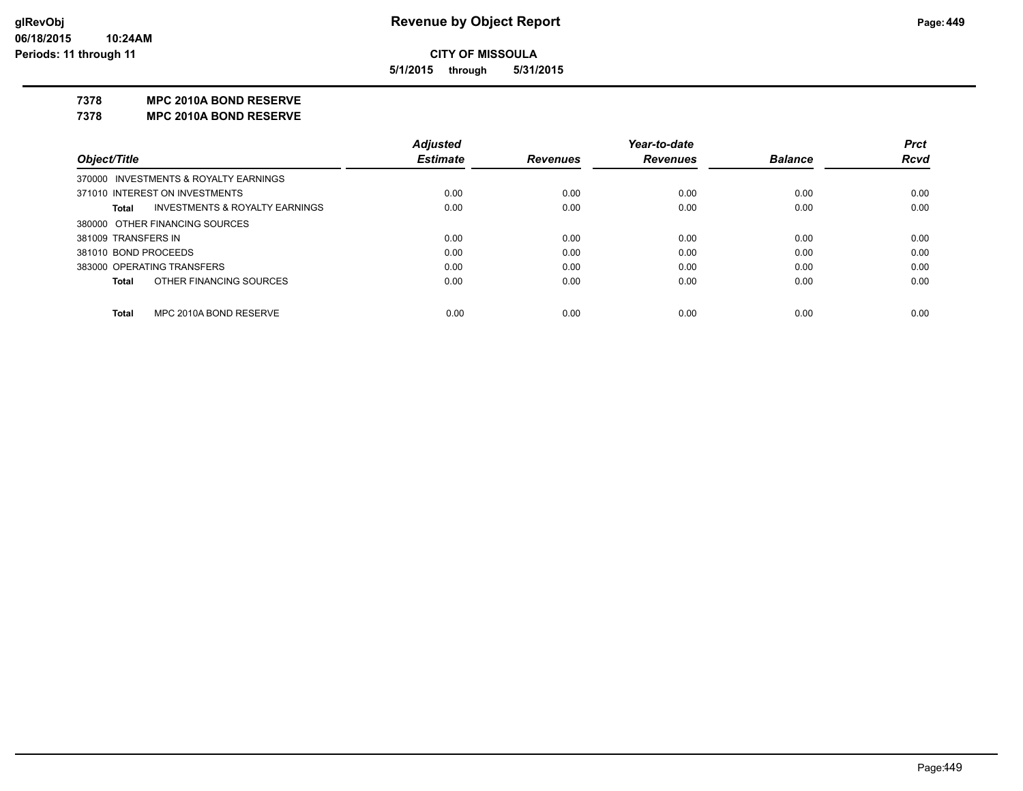**5/1/2015 through 5/31/2015**

#### **7378 MPC 2010A BOND RESERVE**

**7378 MPC 2010A BOND RESERVE**

|                                                           | <b>Adjusted</b> |                 | Year-to-date    |                | <b>Prct</b> |
|-----------------------------------------------------------|-----------------|-----------------|-----------------|----------------|-------------|
| Object/Title                                              | <b>Estimate</b> | <b>Revenues</b> | <b>Revenues</b> | <b>Balance</b> | <b>Rcvd</b> |
| 370000 INVESTMENTS & ROYALTY EARNINGS                     |                 |                 |                 |                |             |
| 371010 INTEREST ON INVESTMENTS                            | 0.00            | 0.00            | 0.00            | 0.00           | 0.00        |
| <b>INVESTMENTS &amp; ROYALTY EARNINGS</b><br><b>Total</b> | 0.00            | 0.00            | 0.00            | 0.00           | 0.00        |
| 380000 OTHER FINANCING SOURCES                            |                 |                 |                 |                |             |
| 381009 TRANSFERS IN                                       | 0.00            | 0.00            | 0.00            | 0.00           | 0.00        |
| 381010 BOND PROCEEDS                                      | 0.00            | 0.00            | 0.00            | 0.00           | 0.00        |
| 383000 OPERATING TRANSFERS                                | 0.00            | 0.00            | 0.00            | 0.00           | 0.00        |
| OTHER FINANCING SOURCES<br><b>Total</b>                   | 0.00            | 0.00            | 0.00            | 0.00           | 0.00        |
| MPC 2010A BOND RESERVE<br><b>Total</b>                    | 0.00            | 0.00            | 0.00            | 0.00           | 0.00        |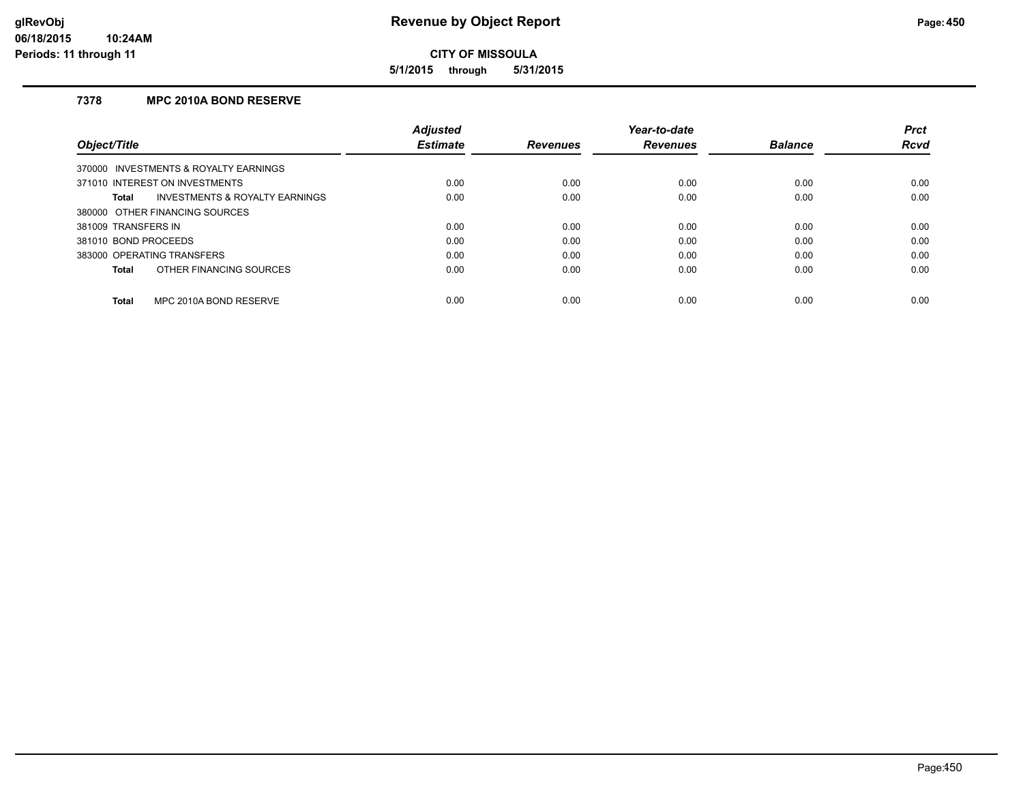**5/1/2015 through 5/31/2015**

## **7378 MPC 2010A BOND RESERVE**

|                                                    | <b>Adjusted</b> |                 | Year-to-date    |                | <b>Prct</b> |
|----------------------------------------------------|-----------------|-----------------|-----------------|----------------|-------------|
| Object/Title                                       | <b>Estimate</b> | <b>Revenues</b> | <b>Revenues</b> | <b>Balance</b> | <b>Rcvd</b> |
| 370000 INVESTMENTS & ROYALTY EARNINGS              |                 |                 |                 |                |             |
| 371010 INTEREST ON INVESTMENTS                     | 0.00            | 0.00            | 0.00            | 0.00           | 0.00        |
| <b>INVESTMENTS &amp; ROYALTY EARNINGS</b><br>Total | 0.00            | 0.00            | 0.00            | 0.00           | 0.00        |
| 380000 OTHER FINANCING SOURCES                     |                 |                 |                 |                |             |
| 381009 TRANSFERS IN                                | 0.00            | 0.00            | 0.00            | 0.00           | 0.00        |
| 381010 BOND PROCEEDS                               | 0.00            | 0.00            | 0.00            | 0.00           | 0.00        |
| 383000 OPERATING TRANSFERS                         | 0.00            | 0.00            | 0.00            | 0.00           | 0.00        |
| OTHER FINANCING SOURCES<br>Total                   | 0.00            | 0.00            | 0.00            | 0.00           | 0.00        |
| MPC 2010A BOND RESERVE<br>Total                    | 0.00            | 0.00            | 0.00            | 0.00           | 0.00        |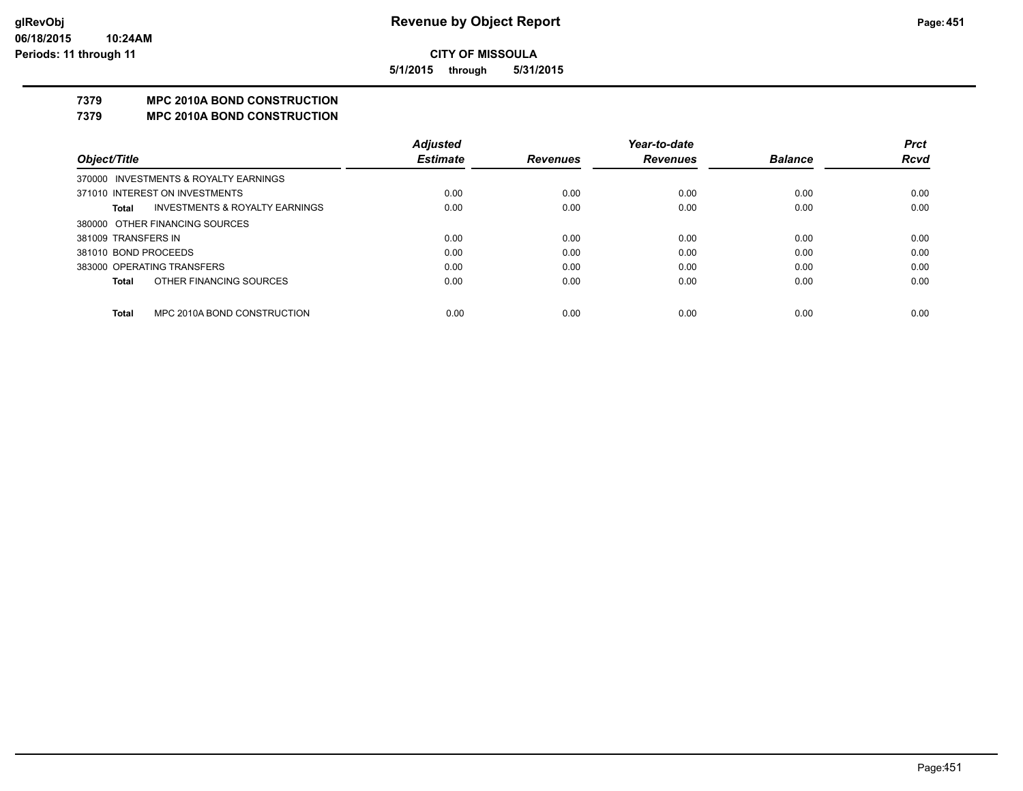**5/1/2015 through 5/31/2015**

## **7379 MPC 2010A BOND CONSTRUCTION**

#### **7379 MPC 2010A BOND CONSTRUCTION**

|                      |                                           | <b>Adjusted</b> |                 | Year-to-date    |                | <b>Prct</b> |
|----------------------|-------------------------------------------|-----------------|-----------------|-----------------|----------------|-------------|
| Object/Title         |                                           | <b>Estimate</b> | <b>Revenues</b> | <b>Revenues</b> | <b>Balance</b> | <b>Rcvd</b> |
|                      | 370000 INVESTMENTS & ROYALTY EARNINGS     |                 |                 |                 |                |             |
|                      | 371010 INTEREST ON INVESTMENTS            | 0.00            | 0.00            | 0.00            | 0.00           | 0.00        |
| Total                | <b>INVESTMENTS &amp; ROYALTY EARNINGS</b> | 0.00            | 0.00            | 0.00            | 0.00           | 0.00        |
|                      | 380000 OTHER FINANCING SOURCES            |                 |                 |                 |                |             |
| 381009 TRANSFERS IN  |                                           | 0.00            | 0.00            | 0.00            | 0.00           | 0.00        |
| 381010 BOND PROCEEDS |                                           | 0.00            | 0.00            | 0.00            | 0.00           | 0.00        |
|                      | 383000 OPERATING TRANSFERS                | 0.00            | 0.00            | 0.00            | 0.00           | 0.00        |
| <b>Total</b>         | OTHER FINANCING SOURCES                   | 0.00            | 0.00            | 0.00            | 0.00           | 0.00        |
|                      |                                           |                 |                 |                 |                |             |
| <b>Total</b>         | MPC 2010A BOND CONSTRUCTION               | 0.00            | 0.00            | 0.00            | 0.00           | 0.00        |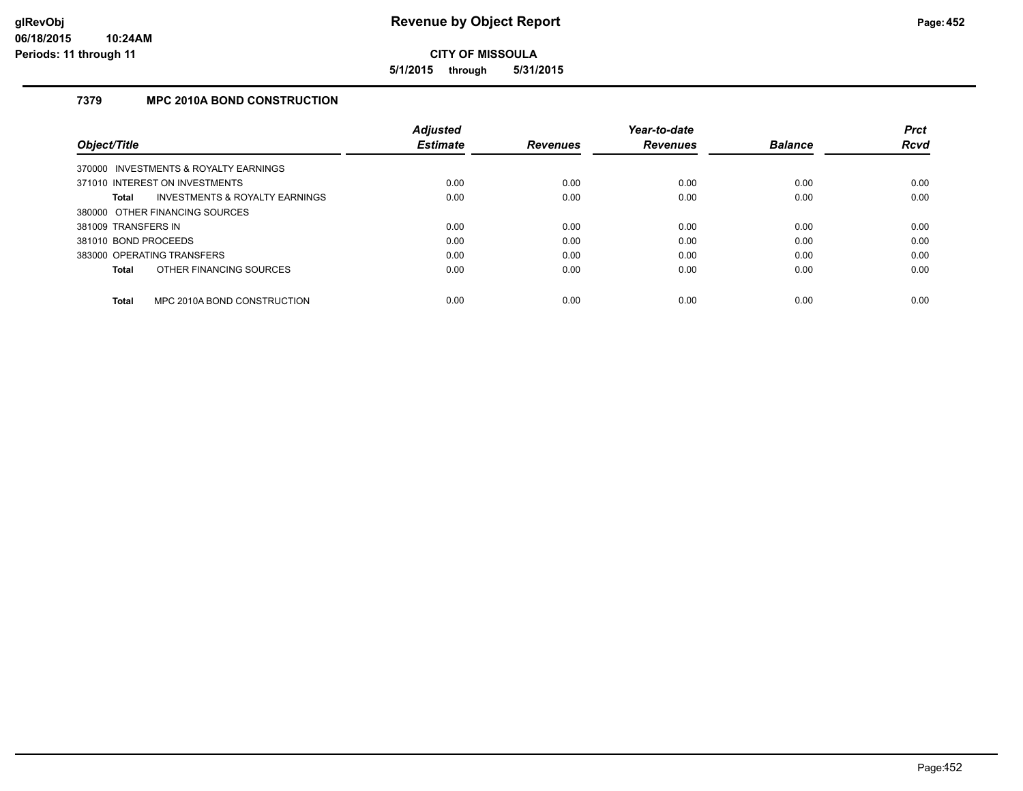**5/1/2015 through 5/31/2015**

## **7379 MPC 2010A BOND CONSTRUCTION**

|                                             | <b>Adjusted</b> |                 | Year-to-date    |                | <b>Prct</b> |
|---------------------------------------------|-----------------|-----------------|-----------------|----------------|-------------|
| Object/Title                                | <b>Estimate</b> | <b>Revenues</b> | <b>Revenues</b> | <b>Balance</b> | <b>Rcvd</b> |
| 370000 INVESTMENTS & ROYALTY EARNINGS       |                 |                 |                 |                |             |
| 371010 INTEREST ON INVESTMENTS              | 0.00            | 0.00            | 0.00            | 0.00           | 0.00        |
| INVESTMENTS & ROYALTY EARNINGS<br>Total     | 0.00            | 0.00            | 0.00            | 0.00           | 0.00        |
| 380000 OTHER FINANCING SOURCES              |                 |                 |                 |                |             |
| 381009 TRANSFERS IN                         | 0.00            | 0.00            | 0.00            | 0.00           | 0.00        |
| 381010 BOND PROCEEDS                        | 0.00            | 0.00            | 0.00            | 0.00           | 0.00        |
| 383000 OPERATING TRANSFERS                  | 0.00            | 0.00            | 0.00            | 0.00           | 0.00        |
| OTHER FINANCING SOURCES<br>Total            | 0.00            | 0.00            | 0.00            | 0.00           | 0.00        |
| MPC 2010A BOND CONSTRUCTION<br><b>Total</b> | 0.00            | 0.00            | 0.00            | 0.00           | 0.00        |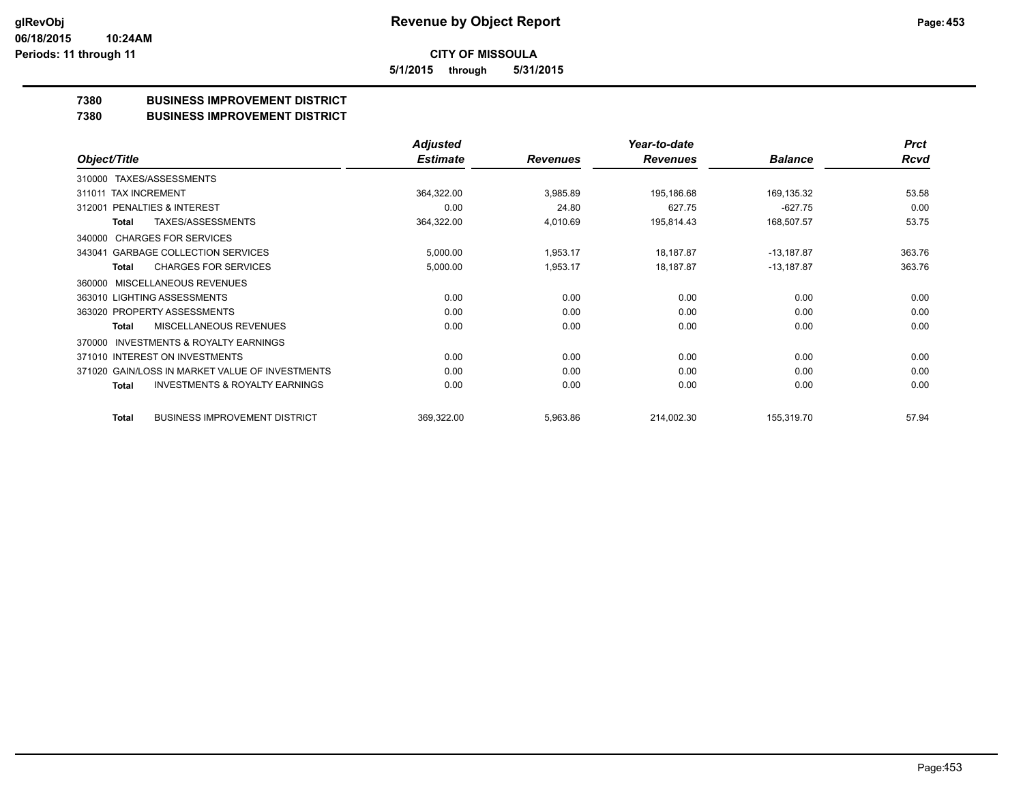**5/1/2015 through 5/31/2015**

## **7380 BUSINESS IMPROVEMENT DISTRICT**

**7380 BUSINESS IMPROVEMENT DISTRICT**

|                                                     | <b>Adjusted</b> |                 | Year-to-date    |                | <b>Prct</b> |
|-----------------------------------------------------|-----------------|-----------------|-----------------|----------------|-------------|
| Object/Title                                        | <b>Estimate</b> | <b>Revenues</b> | <b>Revenues</b> | <b>Balance</b> | Rcvd        |
| TAXES/ASSESSMENTS<br>310000                         |                 |                 |                 |                |             |
| 311011 TAX INCREMENT                                | 364,322.00      | 3,985.89        | 195,186.68      | 169,135.32     | 53.58       |
| PENALTIES & INTEREST<br>312001                      | 0.00            | 24.80           | 627.75          | $-627.75$      | 0.00        |
| <b>TAXES/ASSESSMENTS</b><br>Total                   | 364,322.00      | 4,010.69        | 195,814.43      | 168,507.57     | 53.75       |
| <b>CHARGES FOR SERVICES</b><br>340000               |                 |                 |                 |                |             |
| <b>GARBAGE COLLECTION SERVICES</b><br>343041        | 5,000.00        | 1,953.17        | 18,187.87       | $-13,187.87$   | 363.76      |
| <b>CHARGES FOR SERVICES</b><br><b>Total</b>         | 5,000.00        | 1,953.17        | 18,187.87       | $-13,187.87$   | 363.76      |
| <b>MISCELLANEOUS REVENUES</b><br>360000             |                 |                 |                 |                |             |
| 363010 LIGHTING ASSESSMENTS                         | 0.00            | 0.00            | 0.00            | 0.00           | 0.00        |
| 363020 PROPERTY ASSESSMENTS                         | 0.00            | 0.00            | 0.00            | 0.00           | 0.00        |
| MISCELLANEOUS REVENUES<br>Total                     | 0.00            | 0.00            | 0.00            | 0.00           | 0.00        |
| <b>INVESTMENTS &amp; ROYALTY EARNINGS</b><br>370000 |                 |                 |                 |                |             |
| 371010 INTEREST ON INVESTMENTS                      | 0.00            | 0.00            | 0.00            | 0.00           | 0.00        |
| 371020 GAIN/LOSS IN MARKET VALUE OF INVESTMENTS     | 0.00            | 0.00            | 0.00            | 0.00           | 0.00        |
| <b>INVESTMENTS &amp; ROYALTY EARNINGS</b><br>Total  | 0.00            | 0.00            | 0.00            | 0.00           | 0.00        |
| <b>BUSINESS IMPROVEMENT DISTRICT</b><br>Total       | 369,322.00      | 5,963.86        | 214,002.30      | 155,319.70     | 57.94       |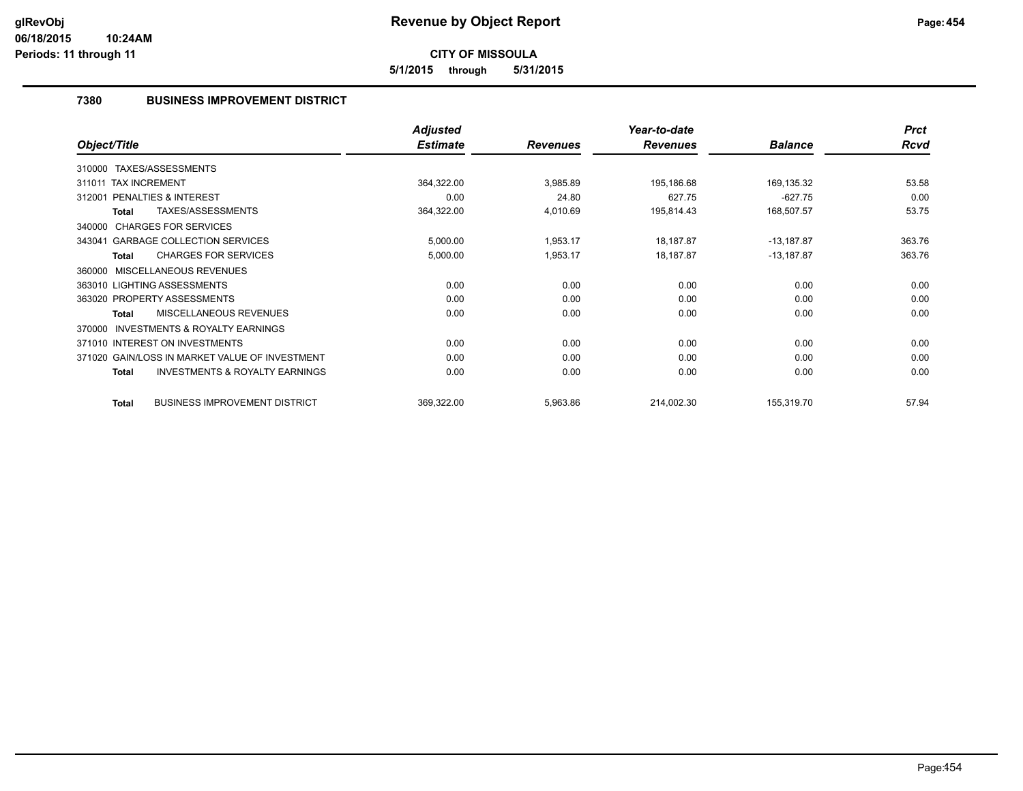**5/1/2015 through 5/31/2015**

## **7380 BUSINESS IMPROVEMENT DISTRICT**

|                                                           | <b>Adjusted</b> |                 | Year-to-date    |                | <b>Prct</b> |
|-----------------------------------------------------------|-----------------|-----------------|-----------------|----------------|-------------|
| Object/Title                                              | <b>Estimate</b> | <b>Revenues</b> | <b>Revenues</b> | <b>Balance</b> | <b>Rcvd</b> |
| 310000 TAXES/ASSESSMENTS                                  |                 |                 |                 |                |             |
| 311011 TAX INCREMENT                                      | 364,322.00      | 3,985.89        | 195,186.68      | 169,135.32     | 53.58       |
| PENALTIES & INTEREST<br>312001                            | 0.00            | 24.80           | 627.75          | $-627.75$      | 0.00        |
| TAXES/ASSESSMENTS<br>Total                                | 364,322.00      | 4,010.69        | 195,814.43      | 168,507.57     | 53.75       |
| 340000 CHARGES FOR SERVICES                               |                 |                 |                 |                |             |
| <b>GARBAGE COLLECTION SERVICES</b><br>343041              | 5,000.00        | 1,953.17        | 18,187.87       | $-13,187.87$   | 363.76      |
| <b>CHARGES FOR SERVICES</b><br>Total                      | 5,000.00        | 1,953.17        | 18,187.87       | $-13,187.87$   | 363.76      |
| MISCELLANEOUS REVENUES<br>360000                          |                 |                 |                 |                |             |
| 363010 LIGHTING ASSESSMENTS                               | 0.00            | 0.00            | 0.00            | 0.00           | 0.00        |
| 363020 PROPERTY ASSESSMENTS                               | 0.00            | 0.00            | 0.00            | 0.00           | 0.00        |
| MISCELLANEOUS REVENUES<br>Total                           | 0.00            | 0.00            | 0.00            | 0.00           | 0.00        |
| <b>INVESTMENTS &amp; ROYALTY EARNINGS</b><br>370000       |                 |                 |                 |                |             |
| 371010 INTEREST ON INVESTMENTS                            | 0.00            | 0.00            | 0.00            | 0.00           | 0.00        |
| 371020 GAIN/LOSS IN MARKET VALUE OF INVESTMENT            | 0.00            | 0.00            | 0.00            | 0.00           | 0.00        |
| <b>INVESTMENTS &amp; ROYALTY EARNINGS</b><br><b>Total</b> | 0.00            | 0.00            | 0.00            | 0.00           | 0.00        |
| <b>BUSINESS IMPROVEMENT DISTRICT</b><br>Total             | 369,322.00      | 5,963.86        | 214,002.30      | 155,319.70     | 57.94       |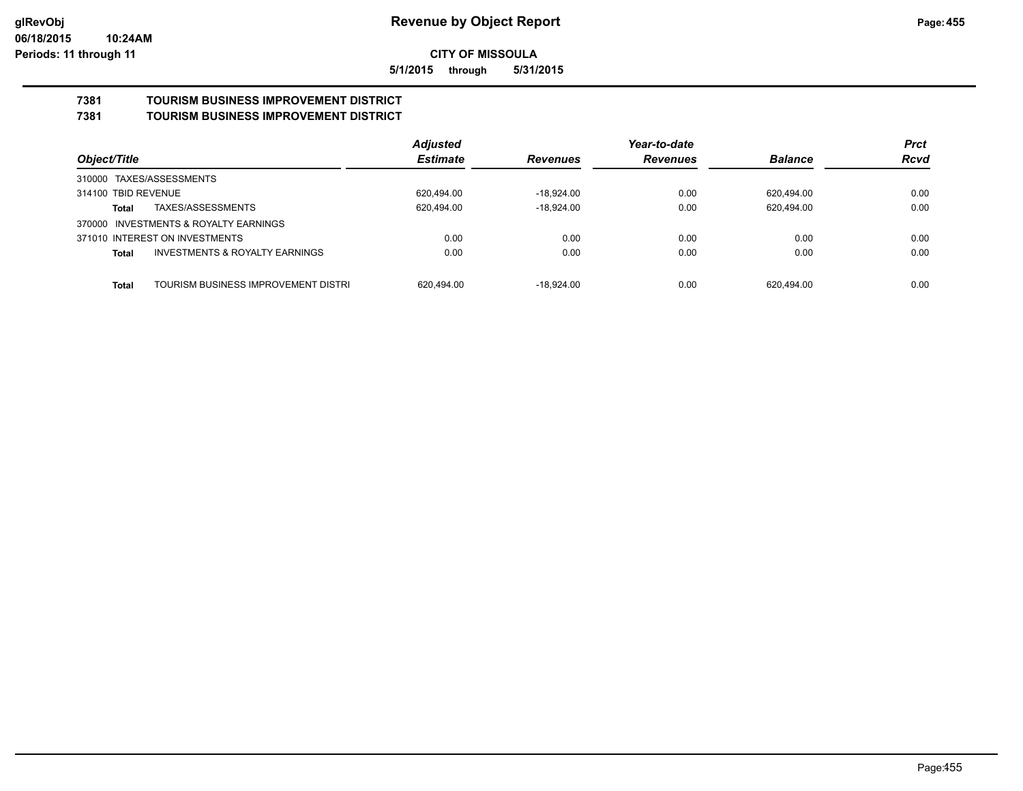**5/1/2015 through 5/31/2015**

#### **7381 TOURISM BUSINESS IMPROVEMENT DISTRICT 7381 TOURISM BUSINESS IMPROVEMENT DISTRICT**

|                                                    | <b>Adjusted</b> |                 | Year-to-date    |                | <b>Prct</b> |
|----------------------------------------------------|-----------------|-----------------|-----------------|----------------|-------------|
| Object/Title                                       | <b>Estimate</b> | <b>Revenues</b> | <b>Revenues</b> | <b>Balance</b> | <b>Rcvd</b> |
| 310000 TAXES/ASSESSMENTS                           |                 |                 |                 |                |             |
| 314100 TBID REVENUE                                | 620,494.00      | $-18.924.00$    | 0.00            | 620,494.00     | 0.00        |
| TAXES/ASSESSMENTS<br>Total                         | 620,494.00      | $-18.924.00$    | 0.00            | 620,494.00     | 0.00        |
| 370000 INVESTMENTS & ROYALTY EARNINGS              |                 |                 |                 |                |             |
| 371010 INTEREST ON INVESTMENTS                     | 0.00            | 0.00            | 0.00            | 0.00           | 0.00        |
| <b>INVESTMENTS &amp; ROYALTY EARNINGS</b><br>Total | 0.00            | 0.00            | 0.00            | 0.00           | 0.00        |
|                                                    |                 |                 |                 |                |             |
| TOURISM BUSINESS IMPROVEMENT DISTRI<br>Total       | 620.494.00      | $-18.924.00$    | 0.00            | 620.494.00     | 0.00        |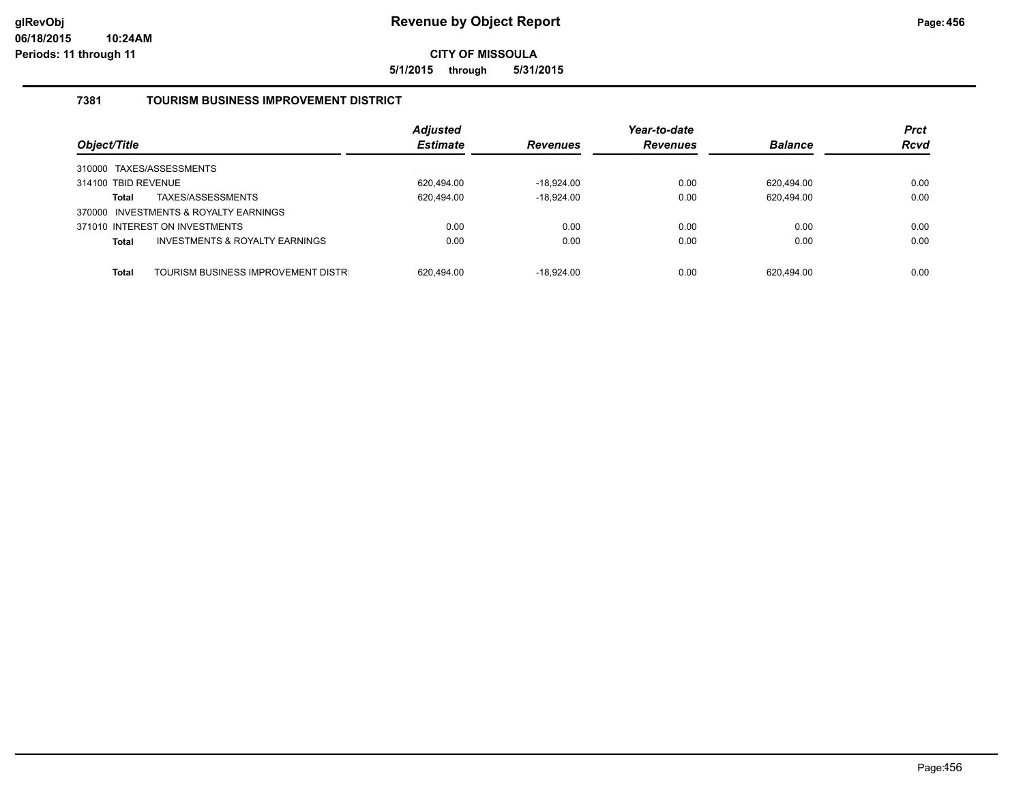**5/1/2015 through 5/31/2015**

## **7381 TOURISM BUSINESS IMPROVEMENT DISTRICT**

|                     |                                       | <b>Adjusted</b> |                 | Year-to-date    |                | <b>Prct</b> |
|---------------------|---------------------------------------|-----------------|-----------------|-----------------|----------------|-------------|
| Object/Title        |                                       | <b>Estimate</b> | <b>Revenues</b> | <b>Revenues</b> | <b>Balance</b> | <b>Rcvd</b> |
|                     | 310000 TAXES/ASSESSMENTS              |                 |                 |                 |                |             |
| 314100 TBID REVENUE |                                       | 620.494.00      | -18,924.00      | 0.00            | 620.494.00     | 0.00        |
| <b>Total</b>        | TAXES/ASSESSMENTS                     | 620,494.00      | $-18,924.00$    | 0.00            | 620,494.00     | 0.00        |
|                     | 370000 INVESTMENTS & ROYALTY EARNINGS |                 |                 |                 |                |             |
|                     | 371010 INTEREST ON INVESTMENTS        | 0.00            | 0.00            | 0.00            | 0.00           | 0.00        |
| <b>Total</b>        | INVESTMENTS & ROYALTY EARNINGS        | 0.00            | 0.00            | 0.00            | 0.00           | 0.00        |
| Total               | TOURISM BUSINESS IMPROVEMENT DISTR    | 620.494.00      | $-18.924.00$    | 0.00            | 620.494.00     | 0.00        |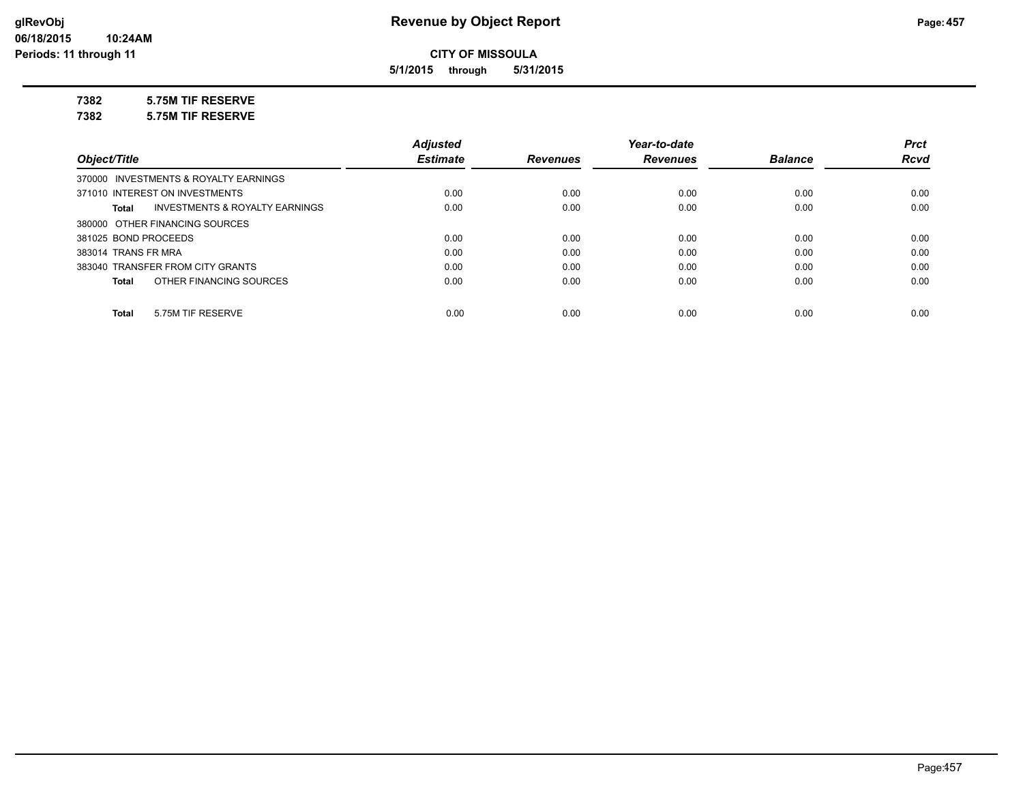**5/1/2015 through 5/31/2015**

## **7382 5.75M TIF RESERVE**

**7382 5.75M TIF RESERVE**

|                                                    | <b>Adjusted</b> |                 | Year-to-date    |                | <b>Prct</b> |
|----------------------------------------------------|-----------------|-----------------|-----------------|----------------|-------------|
| Object/Title                                       | <b>Estimate</b> | <b>Revenues</b> | <b>Revenues</b> | <b>Balance</b> | <b>Rcvd</b> |
| 370000 INVESTMENTS & ROYALTY EARNINGS              |                 |                 |                 |                |             |
| 371010 INTEREST ON INVESTMENTS                     | 0.00            | 0.00            | 0.00            | 0.00           | 0.00        |
| <b>INVESTMENTS &amp; ROYALTY EARNINGS</b><br>Total | 0.00            | 0.00            | 0.00            | 0.00           | 0.00        |
| 380000 OTHER FINANCING SOURCES                     |                 |                 |                 |                |             |
| 381025 BOND PROCEEDS                               | 0.00            | 0.00            | 0.00            | 0.00           | 0.00        |
| 383014 TRANS FR MRA                                | 0.00            | 0.00            | 0.00            | 0.00           | 0.00        |
| 383040 TRANSFER FROM CITY GRANTS                   | 0.00            | 0.00            | 0.00            | 0.00           | 0.00        |
| OTHER FINANCING SOURCES<br>Total                   | 0.00            | 0.00            | 0.00            | 0.00           | 0.00        |
|                                                    |                 |                 |                 |                |             |
| 5.75M TIF RESERVE<br>Total                         | 0.00            | 0.00            | 0.00            | 0.00           | 0.00        |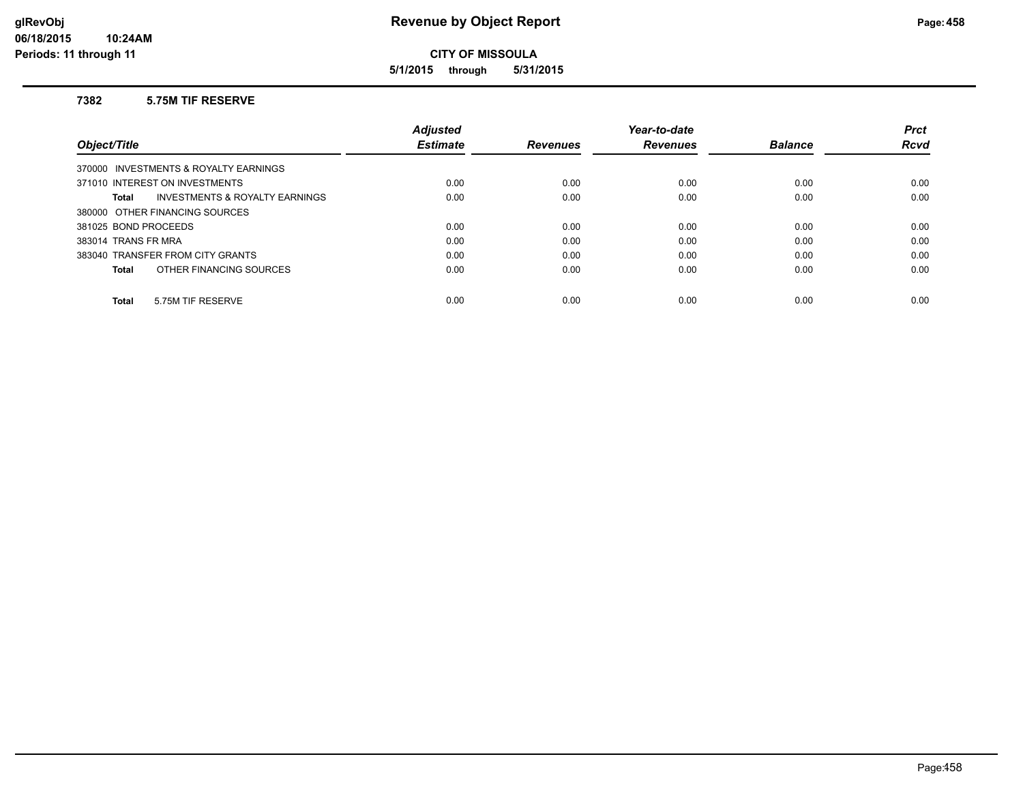**5/1/2015 through 5/31/2015**

#### **7382 5.75M TIF RESERVE**

|                                         | <b>Adjusted</b> |                 | Year-to-date    |                | <b>Prct</b> |
|-----------------------------------------|-----------------|-----------------|-----------------|----------------|-------------|
| Object/Title                            | <b>Estimate</b> | <b>Revenues</b> | <b>Revenues</b> | <b>Balance</b> | <b>Rcvd</b> |
| 370000 INVESTMENTS & ROYALTY EARNINGS   |                 |                 |                 |                |             |
| 371010 INTEREST ON INVESTMENTS          | 0.00            | 0.00            | 0.00            | 0.00           | 0.00        |
| INVESTMENTS & ROYALTY EARNINGS<br>Total | 0.00            | 0.00            | 0.00            | 0.00           | 0.00        |
| 380000 OTHER FINANCING SOURCES          |                 |                 |                 |                |             |
| 381025 BOND PROCEEDS                    | 0.00            | 0.00            | 0.00            | 0.00           | 0.00        |
| 383014 TRANS FR MRA                     | 0.00            | 0.00            | 0.00            | 0.00           | 0.00        |
| 383040 TRANSFER FROM CITY GRANTS        | 0.00            | 0.00            | 0.00            | 0.00           | 0.00        |
| OTHER FINANCING SOURCES<br><b>Total</b> | 0.00            | 0.00            | 0.00            | 0.00           | 0.00        |
| 5.75M TIF RESERVE<br><b>Total</b>       | 0.00            | 0.00            | 0.00            | 0.00           | 0.00        |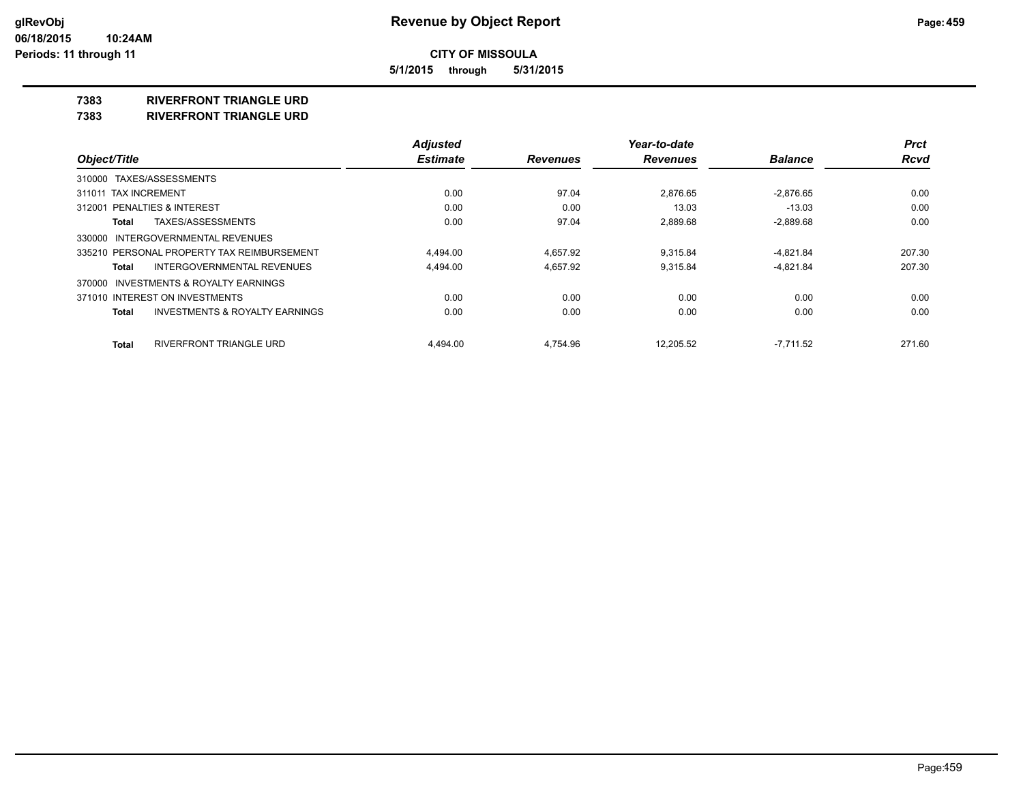**5/1/2015 through 5/31/2015**

### **7383 RIVERFRONT TRIANGLE URD**

**7383 RIVERFRONT TRIANGLE URD**

|                                                    | <b>Adjusted</b> |                 | Year-to-date    |                | <b>Prct</b> |
|----------------------------------------------------|-----------------|-----------------|-----------------|----------------|-------------|
| Object/Title                                       | <b>Estimate</b> | <b>Revenues</b> | <b>Revenues</b> | <b>Balance</b> | <b>Rcvd</b> |
| 310000 TAXES/ASSESSMENTS                           |                 |                 |                 |                |             |
| 311011 TAX INCREMENT                               | 0.00            | 97.04           | 2.876.65        | $-2.876.65$    | 0.00        |
| <b>PENALTIES &amp; INTEREST</b><br>312001          | 0.00            | 0.00            | 13.03           | $-13.03$       | 0.00        |
| TAXES/ASSESSMENTS<br>Total                         | 0.00            | 97.04           | 2,889.68        | $-2,889.68$    | 0.00        |
| 330000 INTERGOVERNMENTAL REVENUES                  |                 |                 |                 |                |             |
| 335210 PERSONAL PROPERTY TAX REIMBURSEMENT         | 4.494.00        | 4.657.92        | 9.315.84        | $-4,821.84$    | 207.30      |
| INTERGOVERNMENTAL REVENUES<br>Total                | 4,494.00        | 4,657.92        | 9,315.84        | $-4,821.84$    | 207.30      |
| 370000 INVESTMENTS & ROYALTY EARNINGS              |                 |                 |                 |                |             |
| 371010 INTEREST ON INVESTMENTS                     | 0.00            | 0.00            | 0.00            | 0.00           | 0.00        |
| <b>INVESTMENTS &amp; ROYALTY EARNINGS</b><br>Total | 0.00            | 0.00            | 0.00            | 0.00           | 0.00        |
| <b>RIVERFRONT TRIANGLE URD</b><br><b>Total</b>     | 4.494.00        | 4.754.96        | 12.205.52       | $-7.711.52$    | 271.60      |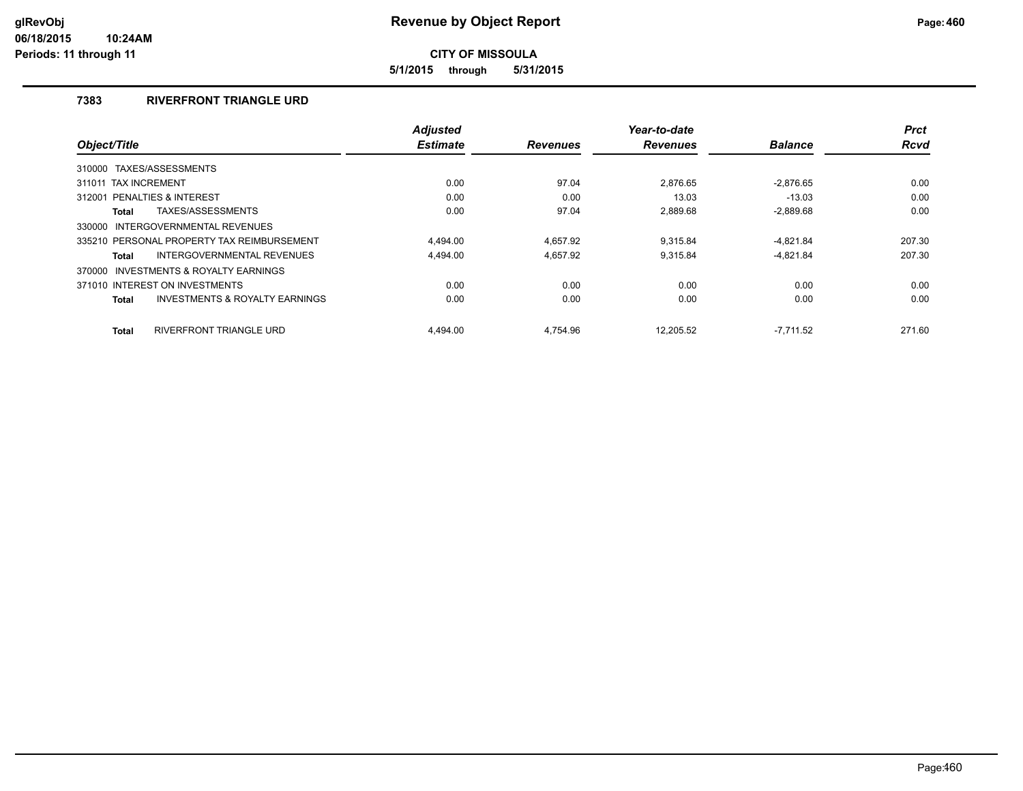**5/1/2015 through 5/31/2015**

## **7383 RIVERFRONT TRIANGLE URD**

|                                                    | <b>Adjusted</b> |                 | Year-to-date    |                | <b>Prct</b> |
|----------------------------------------------------|-----------------|-----------------|-----------------|----------------|-------------|
| Object/Title                                       | <b>Estimate</b> | <b>Revenues</b> | <b>Revenues</b> | <b>Balance</b> | <b>Rcvd</b> |
| 310000 TAXES/ASSESSMENTS                           |                 |                 |                 |                |             |
| 311011 TAX INCREMENT                               | 0.00            | 97.04           | 2,876.65        | $-2,876.65$    | 0.00        |
| PENALTIES & INTEREST<br>312001                     | 0.00            | 0.00            | 13.03           | $-13.03$       | 0.00        |
| TAXES/ASSESSMENTS<br>Total                         | 0.00            | 97.04           | 2,889.68        | $-2,889.68$    | 0.00        |
| INTERGOVERNMENTAL REVENUES<br>330000               |                 |                 |                 |                |             |
| 335210 PERSONAL PROPERTY TAX REIMBURSEMENT         | 4.494.00        | 4.657.92        | 9.315.84        | $-4,821.84$    | 207.30      |
| INTERGOVERNMENTAL REVENUES<br>Total                | 4.494.00        | 4.657.92        | 9.315.84        | $-4,821.84$    | 207.30      |
| 370000 INVESTMENTS & ROYALTY EARNINGS              |                 |                 |                 |                |             |
| 371010 INTEREST ON INVESTMENTS                     | 0.00            | 0.00            | 0.00            | 0.00           | 0.00        |
| <b>INVESTMENTS &amp; ROYALTY EARNINGS</b><br>Total | 0.00            | 0.00            | 0.00            | 0.00           | 0.00        |
| RIVERFRONT TRIANGLE URD<br><b>Total</b>            | 4.494.00        | 4.754.96        | 12.205.52       | $-7.711.52$    | 271.60      |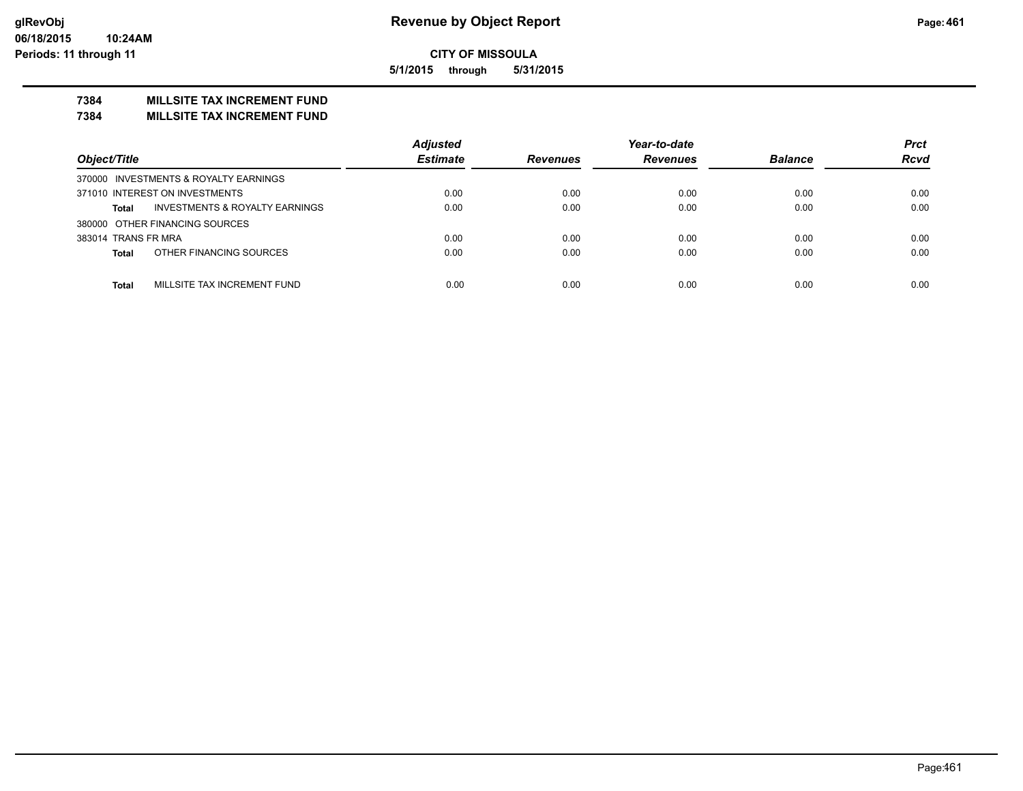**5/1/2015 through 5/31/2015**

## **7384 MILLSITE TAX INCREMENT FUND**

**7384 MILLSITE TAX INCREMENT FUND**

|                                                | <b>Adjusted</b> |                 | Year-to-date    |                | <b>Prct</b> |
|------------------------------------------------|-----------------|-----------------|-----------------|----------------|-------------|
| Object/Title                                   | <b>Estimate</b> | <b>Revenues</b> | <b>Revenues</b> | <b>Balance</b> | <b>Rcvd</b> |
| 370000 INVESTMENTS & ROYALTY EARNINGS          |                 |                 |                 |                |             |
| 371010 INTEREST ON INVESTMENTS                 | 0.00            | 0.00            | 0.00            | 0.00           | 0.00        |
| INVESTMENTS & ROYALTY EARNINGS<br><b>Total</b> | 0.00            | 0.00            | 0.00            | 0.00           | 0.00        |
| 380000 OTHER FINANCING SOURCES                 |                 |                 |                 |                |             |
| 383014 TRANS FR MRA                            | 0.00            | 0.00            | 0.00            | 0.00           | 0.00        |
| OTHER FINANCING SOURCES<br><b>Total</b>        | 0.00            | 0.00            | 0.00            | 0.00           | 0.00        |
|                                                |                 |                 |                 |                |             |
| MILLSITE TAX INCREMENT FUND<br>Total           | 0.00            | 0.00            | 0.00            | 0.00           | 0.00        |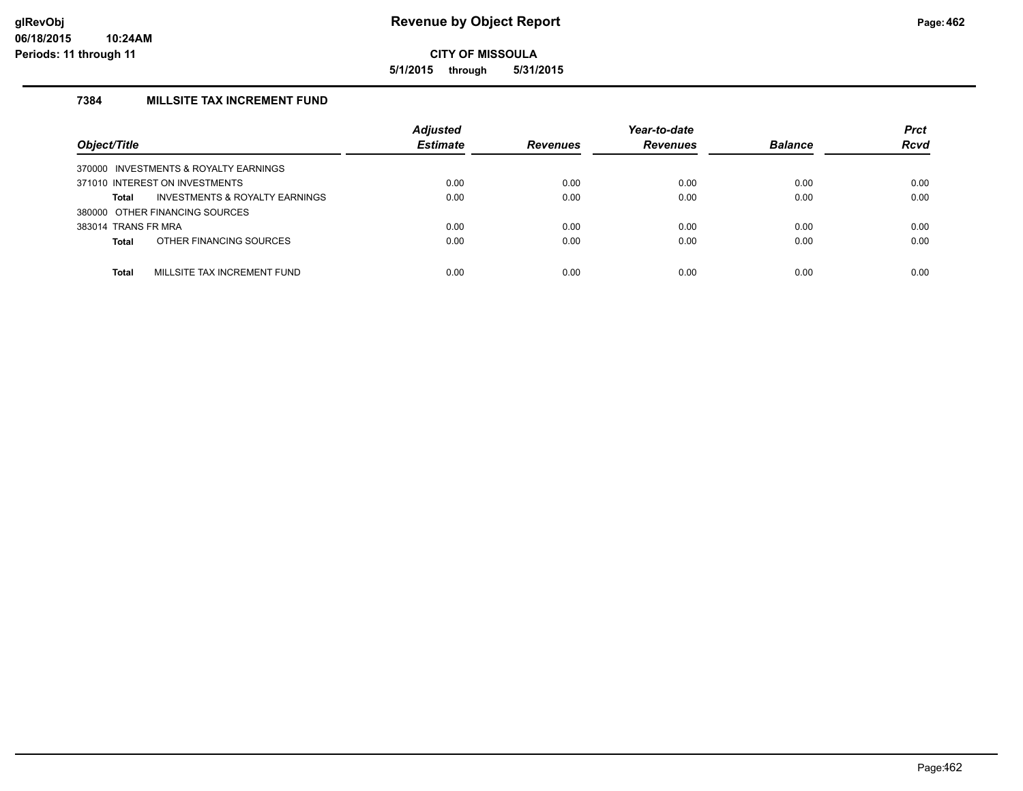**5/1/2015 through 5/31/2015**

## **7384 MILLSITE TAX INCREMENT FUND**

| Object/Title                                | <b>Adjusted</b><br><b>Estimate</b> | <b>Revenues</b> | Year-to-date<br><b>Revenues</b> | <b>Balance</b> | <b>Prct</b><br><b>Rcvd</b> |
|---------------------------------------------|------------------------------------|-----------------|---------------------------------|----------------|----------------------------|
| 370000 INVESTMENTS & ROYALTY EARNINGS       |                                    |                 |                                 |                |                            |
| 371010 INTEREST ON INVESTMENTS              | 0.00                               | 0.00            | 0.00                            | 0.00           | 0.00                       |
| INVESTMENTS & ROYALTY EARNINGS<br>Total     | 0.00                               | 0.00            | 0.00                            | 0.00           | 0.00                       |
| 380000 OTHER FINANCING SOURCES              |                                    |                 |                                 |                |                            |
| 383014 TRANS FR MRA                         | 0.00                               | 0.00            | 0.00                            | 0.00           | 0.00                       |
| OTHER FINANCING SOURCES<br><b>Total</b>     | 0.00                               | 0.00            | 0.00                            | 0.00           | 0.00                       |
| MILLSITE TAX INCREMENT FUND<br><b>Total</b> | 0.00                               | 0.00            | 0.00                            | 0.00           | 0.00                       |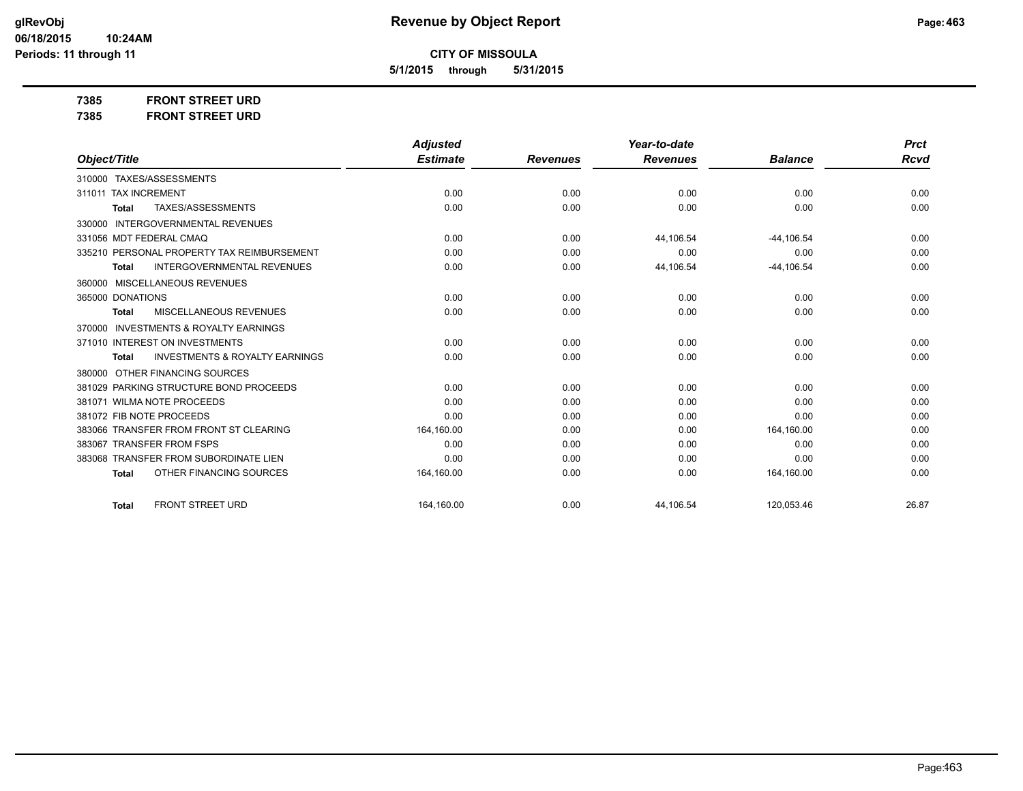**CITY OF MISSOULA**

**5/1/2015 through 5/31/2015**

**7385 FRONT STREET URD 7385 FRONT STREET URD**

|                                                     | <b>Adjusted</b> |                 | Year-to-date    |                | <b>Prct</b> |
|-----------------------------------------------------|-----------------|-----------------|-----------------|----------------|-------------|
| Object/Title                                        | <b>Estimate</b> | <b>Revenues</b> | <b>Revenues</b> | <b>Balance</b> | Rcvd        |
| TAXES/ASSESSMENTS<br>310000                         |                 |                 |                 |                |             |
| <b>TAX INCREMENT</b><br>311011                      | 0.00            | 0.00            | 0.00            | 0.00           | 0.00        |
| TAXES/ASSESSMENTS<br><b>Total</b>                   | 0.00            | 0.00            | 0.00            | 0.00           | 0.00        |
| <b>INTERGOVERNMENTAL REVENUES</b><br>330000         |                 |                 |                 |                |             |
| 331056 MDT FEDERAL CMAQ                             | 0.00            | 0.00            | 44,106.54       | $-44, 106.54$  | 0.00        |
| 335210 PERSONAL PROPERTY TAX REIMBURSEMENT          | 0.00            | 0.00            | 0.00            | 0.00           | 0.00        |
| <b>INTERGOVERNMENTAL REVENUES</b><br>Total          | 0.00            | 0.00            | 44,106.54       | $-44, 106.54$  | 0.00        |
| MISCELLANEOUS REVENUES<br>360000                    |                 |                 |                 |                |             |
| 365000 DONATIONS                                    | 0.00            | 0.00            | 0.00            | 0.00           | 0.00        |
| MISCELLANEOUS REVENUES<br>Total                     | 0.00            | 0.00            | 0.00            | 0.00           | 0.00        |
| <b>INVESTMENTS &amp; ROYALTY EARNINGS</b><br>370000 |                 |                 |                 |                |             |
| 371010 INTEREST ON INVESTMENTS                      | 0.00            | 0.00            | 0.00            | 0.00           | 0.00        |
| <b>INVESTMENTS &amp; ROYALTY EARNINGS</b><br>Total  | 0.00            | 0.00            | 0.00            | 0.00           | 0.00        |
| OTHER FINANCING SOURCES<br>380000                   |                 |                 |                 |                |             |
| 381029 PARKING STRUCTURE BOND PROCEEDS              | 0.00            | 0.00            | 0.00            | 0.00           | 0.00        |
| 381071 WILMA NOTE PROCEEDS                          | 0.00            | 0.00            | 0.00            | 0.00           | 0.00        |
| 381072 FIB NOTE PROCEEDS                            | 0.00            | 0.00            | 0.00            | 0.00           | 0.00        |
| 383066 TRANSFER FROM FRONT ST CLEARING              | 164,160.00      | 0.00            | 0.00            | 164,160.00     | 0.00        |
| <b>TRANSFER FROM FSPS</b><br>383067                 | 0.00            | 0.00            | 0.00            | 0.00           | 0.00        |
| <b>TRANSFER FROM SUBORDINATE LIEN</b><br>383068     | 0.00            | 0.00            | 0.00            | 0.00           | 0.00        |
| OTHER FINANCING SOURCES<br><b>Total</b>             | 164,160.00      | 0.00            | 0.00            | 164,160.00     | 0.00        |
| <b>FRONT STREET URD</b><br><b>Total</b>             | 164.160.00      | 0.00            | 44.106.54       | 120.053.46     | 26.87       |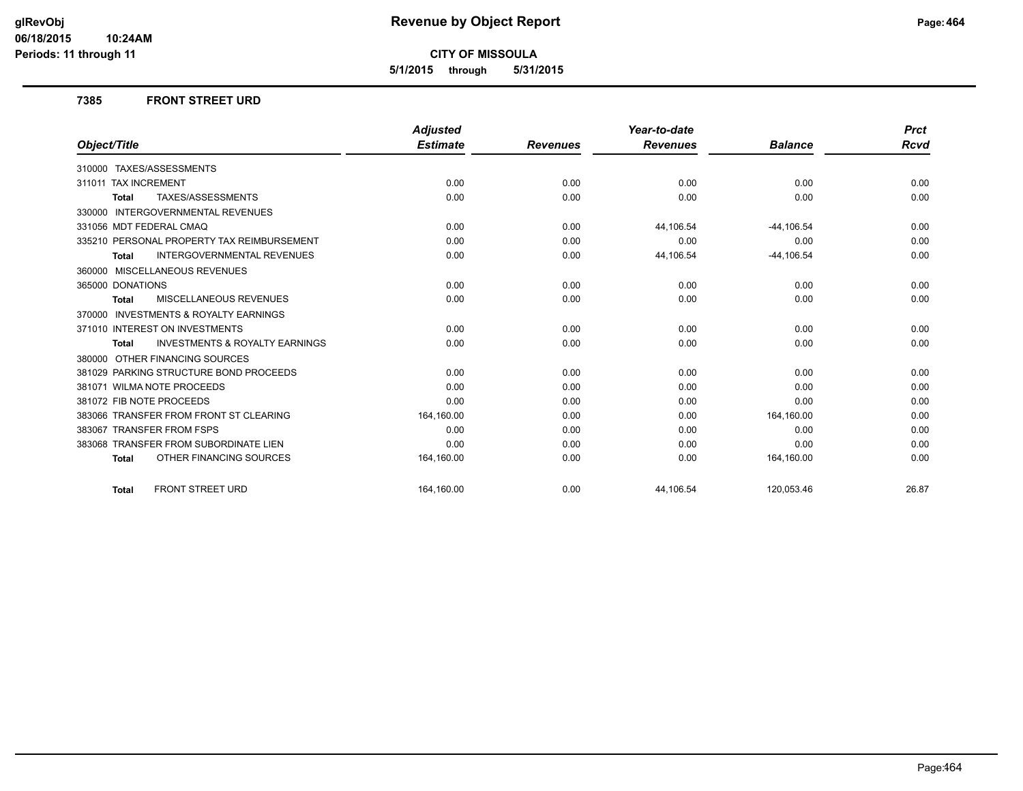**5/1/2015 through 5/31/2015**

### **7385 FRONT STREET URD**

|                                                           | <b>Adjusted</b> |                 | Year-to-date    |                | <b>Prct</b> |
|-----------------------------------------------------------|-----------------|-----------------|-----------------|----------------|-------------|
| Object/Title                                              | <b>Estimate</b> | <b>Revenues</b> | <b>Revenues</b> | <b>Balance</b> | Rcvd        |
| 310000 TAXES/ASSESSMENTS                                  |                 |                 |                 |                |             |
| 311011 TAX INCREMENT                                      | 0.00            | 0.00            | 0.00            | 0.00           | 0.00        |
| TAXES/ASSESSMENTS<br><b>Total</b>                         | 0.00            | 0.00            | 0.00            | 0.00           | 0.00        |
| 330000 INTERGOVERNMENTAL REVENUES                         |                 |                 |                 |                |             |
| 331056 MDT FEDERAL CMAQ                                   | 0.00            | 0.00            | 44,106.54       | $-44, 106.54$  | 0.00        |
| 335210 PERSONAL PROPERTY TAX REIMBURSEMENT                | 0.00            | 0.00            | 0.00            | 0.00           | 0.00        |
| <b>INTERGOVERNMENTAL REVENUES</b><br><b>Total</b>         | 0.00            | 0.00            | 44,106.54       | $-44, 106.54$  | 0.00        |
| 360000 MISCELLANEOUS REVENUES                             |                 |                 |                 |                |             |
| 365000 DONATIONS                                          | 0.00            | 0.00            | 0.00            | 0.00           | 0.00        |
| <b>MISCELLANEOUS REVENUES</b><br><b>Total</b>             | 0.00            | 0.00            | 0.00            | 0.00           | 0.00        |
| 370000 INVESTMENTS & ROYALTY EARNINGS                     |                 |                 |                 |                |             |
| 371010 INTEREST ON INVESTMENTS                            | 0.00            | 0.00            | 0.00            | 0.00           | 0.00        |
| <b>INVESTMENTS &amp; ROYALTY EARNINGS</b><br><b>Total</b> | 0.00            | 0.00            | 0.00            | 0.00           | 0.00        |
| 380000 OTHER FINANCING SOURCES                            |                 |                 |                 |                |             |
| 381029 PARKING STRUCTURE BOND PROCEEDS                    | 0.00            | 0.00            | 0.00            | 0.00           | 0.00        |
| 381071 WILMA NOTE PROCEEDS                                | 0.00            | 0.00            | 0.00            | 0.00           | 0.00        |
| 381072 FIB NOTE PROCEEDS                                  | 0.00            | 0.00            | 0.00            | 0.00           | 0.00        |
| 383066 TRANSFER FROM FRONT ST CLEARING                    | 164,160.00      | 0.00            | 0.00            | 164,160.00     | 0.00        |
| 383067 TRANSFER FROM FSPS                                 | 0.00            | 0.00            | 0.00            | 0.00           | 0.00        |
| 383068 TRANSFER FROM SUBORDINATE LIEN                     | 0.00            | 0.00            | 0.00            | 0.00           | 0.00        |
| OTHER FINANCING SOURCES<br><b>Total</b>                   | 164,160.00      | 0.00            | 0.00            | 164,160.00     | 0.00        |
| <b>FRONT STREET URD</b><br><b>Total</b>                   | 164.160.00      | 0.00            | 44,106.54       | 120,053.46     | 26.87       |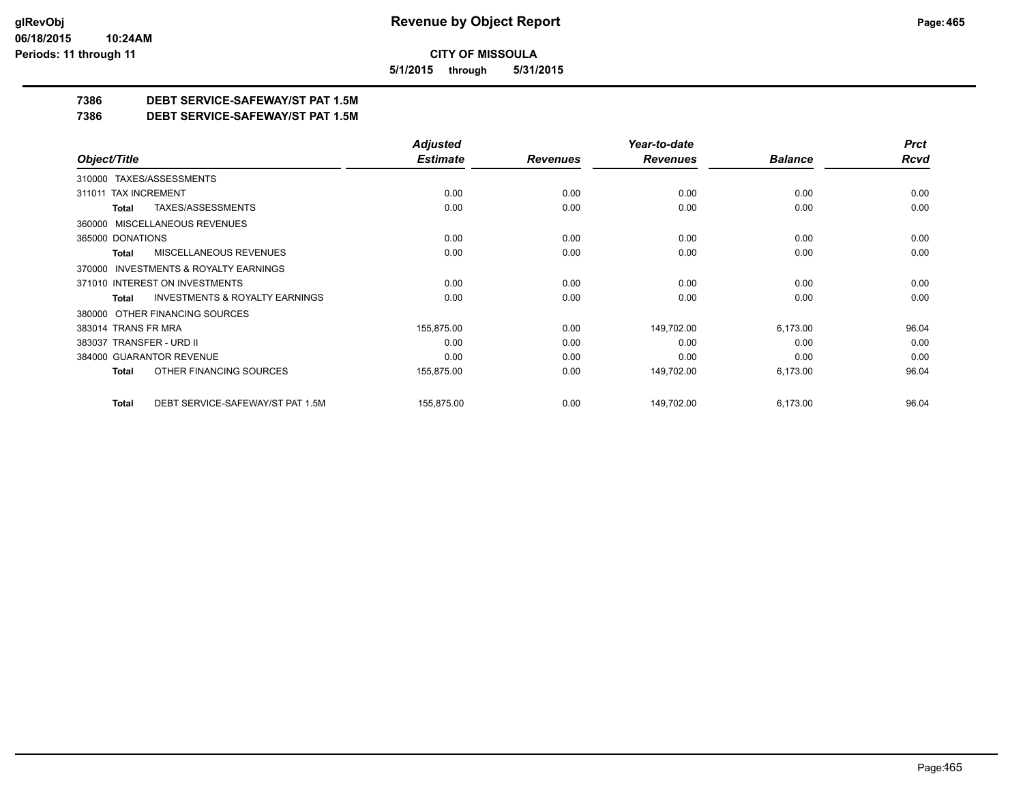**5/1/2015 through 5/31/2015**

## **7386 DEBT SERVICE-SAFEWAY/ST PAT 1.5M**

**7386 DEBT SERVICE-SAFEWAY/ST PAT 1.5M**

|                                                     | <b>Adjusted</b> |                 | Year-to-date    |                | <b>Prct</b> |
|-----------------------------------------------------|-----------------|-----------------|-----------------|----------------|-------------|
| Object/Title                                        | <b>Estimate</b> | <b>Revenues</b> | <b>Revenues</b> | <b>Balance</b> | <b>Rcvd</b> |
| 310000 TAXES/ASSESSMENTS                            |                 |                 |                 |                |             |
| 311011 TAX INCREMENT                                | 0.00            | 0.00            | 0.00            | 0.00           | 0.00        |
| TAXES/ASSESSMENTS<br>Total                          | 0.00            | 0.00            | 0.00            | 0.00           | 0.00        |
| 360000 MISCELLANEOUS REVENUES                       |                 |                 |                 |                |             |
| 365000 DONATIONS                                    | 0.00            | 0.00            | 0.00            | 0.00           | 0.00        |
| <b>MISCELLANEOUS REVENUES</b><br>Total              | 0.00            | 0.00            | 0.00            | 0.00           | 0.00        |
| <b>INVESTMENTS &amp; ROYALTY EARNINGS</b><br>370000 |                 |                 |                 |                |             |
| 371010 INTEREST ON INVESTMENTS                      | 0.00            | 0.00            | 0.00            | 0.00           | 0.00        |
| <b>INVESTMENTS &amp; ROYALTY EARNINGS</b><br>Total  | 0.00            | 0.00            | 0.00            | 0.00           | 0.00        |
| OTHER FINANCING SOURCES<br>380000                   |                 |                 |                 |                |             |
| 383014 TRANS FR MRA                                 | 155,875.00      | 0.00            | 149,702.00      | 6,173.00       | 96.04       |
| 383037 TRANSFER - URD II                            | 0.00            | 0.00            | 0.00            | 0.00           | 0.00        |
| 384000 GUARANTOR REVENUE                            | 0.00            | 0.00            | 0.00            | 0.00           | 0.00        |
| OTHER FINANCING SOURCES<br>Total                    | 155,875.00      | 0.00            | 149,702.00      | 6,173.00       | 96.04       |
| DEBT SERVICE-SAFEWAY/ST PAT 1.5M<br><b>Total</b>    | 155,875.00      | 0.00            | 149,702.00      | 6,173.00       | 96.04       |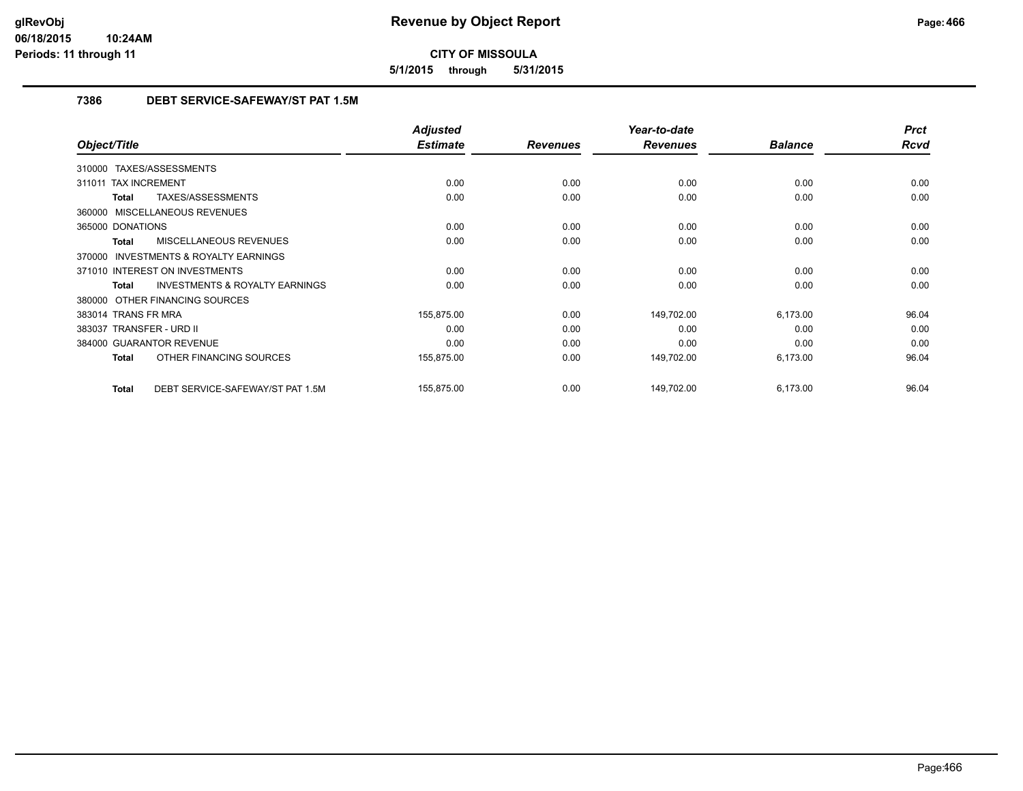**5/1/2015 through 5/31/2015**

## **7386 DEBT SERVICE-SAFEWAY/ST PAT 1.5M**

|                                                           | <b>Adjusted</b> |                 | Year-to-date    |                | <b>Prct</b> |
|-----------------------------------------------------------|-----------------|-----------------|-----------------|----------------|-------------|
| Object/Title                                              | <b>Estimate</b> | <b>Revenues</b> | <b>Revenues</b> | <b>Balance</b> | <b>Rcvd</b> |
| 310000 TAXES/ASSESSMENTS                                  |                 |                 |                 |                |             |
| <b>TAX INCREMENT</b><br>311011                            | 0.00            | 0.00            | 0.00            | 0.00           | 0.00        |
| TAXES/ASSESSMENTS<br><b>Total</b>                         | 0.00            | 0.00            | 0.00            | 0.00           | 0.00        |
| 360000 MISCELLANEOUS REVENUES                             |                 |                 |                 |                |             |
| 365000 DONATIONS                                          | 0.00            | 0.00            | 0.00            | 0.00           | 0.00        |
| <b>MISCELLANEOUS REVENUES</b><br><b>Total</b>             | 0.00            | 0.00            | 0.00            | 0.00           | 0.00        |
| <b>INVESTMENTS &amp; ROYALTY EARNINGS</b><br>370000       |                 |                 |                 |                |             |
| 371010 INTEREST ON INVESTMENTS                            | 0.00            | 0.00            | 0.00            | 0.00           | 0.00        |
| <b>INVESTMENTS &amp; ROYALTY EARNINGS</b><br><b>Total</b> | 0.00            | 0.00            | 0.00            | 0.00           | 0.00        |
| 380000 OTHER FINANCING SOURCES                            |                 |                 |                 |                |             |
| 383014 TRANS FR MRA                                       | 155,875.00      | 0.00            | 149,702.00      | 6,173.00       | 96.04       |
| 383037 TRANSFER - URD II                                  | 0.00            | 0.00            | 0.00            | 0.00           | 0.00        |
| 384000 GUARANTOR REVENUE                                  | 0.00            | 0.00            | 0.00            | 0.00           | 0.00        |
| OTHER FINANCING SOURCES<br><b>Total</b>                   | 155,875.00      | 0.00            | 149,702.00      | 6,173.00       | 96.04       |
| DEBT SERVICE-SAFEWAY/ST PAT 1.5M<br><b>Total</b>          | 155,875.00      | 0.00            | 149,702.00      | 6,173.00       | 96.04       |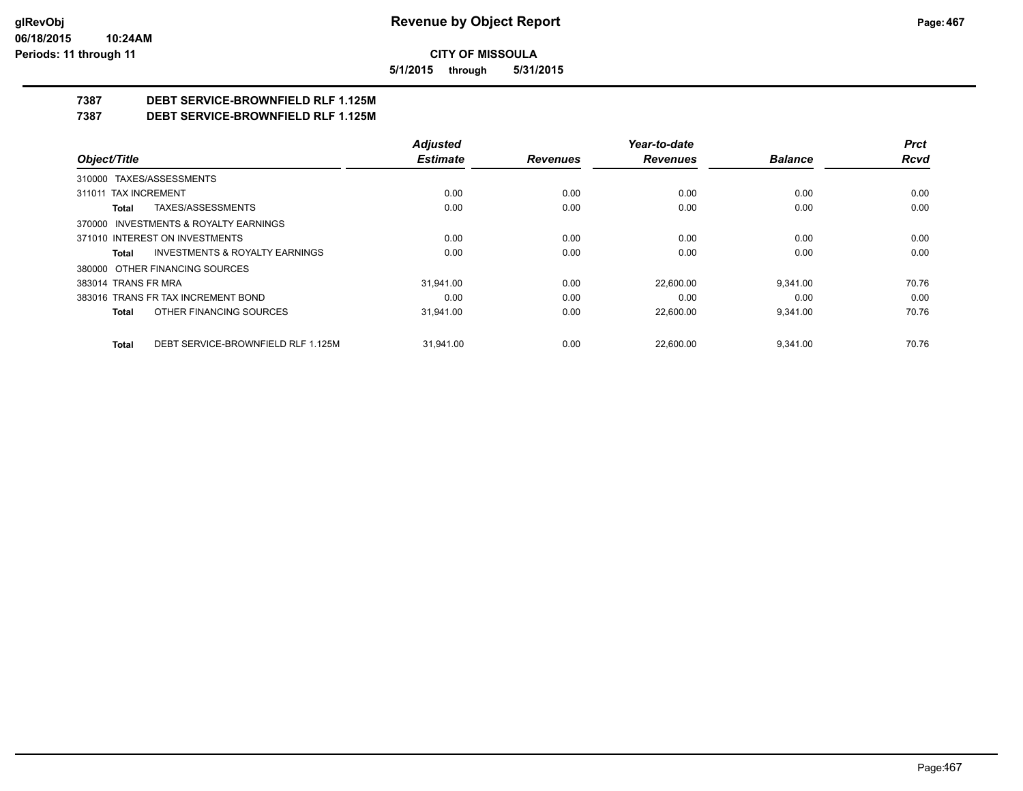**5/1/2015 through 5/31/2015**

## **7387 DEBT SERVICE-BROWNFIELD RLF 1.125M**

**7387 DEBT SERVICE-BROWNFIELD RLF 1.125M**

|                                                    | <b>Adjusted</b> |                 | Year-to-date    |                | <b>Prct</b> |
|----------------------------------------------------|-----------------|-----------------|-----------------|----------------|-------------|
| Object/Title                                       | <b>Estimate</b> | <b>Revenues</b> | <b>Revenues</b> | <b>Balance</b> | Rcvd        |
| 310000 TAXES/ASSESSMENTS                           |                 |                 |                 |                |             |
| 311011 TAX INCREMENT                               | 0.00            | 0.00            | 0.00            | 0.00           | 0.00        |
| TAXES/ASSESSMENTS<br>Total                         | 0.00            | 0.00            | 0.00            | 0.00           | 0.00        |
| 370000 INVESTMENTS & ROYALTY EARNINGS              |                 |                 |                 |                |             |
| 371010 INTEREST ON INVESTMENTS                     | 0.00            | 0.00            | 0.00            | 0.00           | 0.00        |
| <b>INVESTMENTS &amp; ROYALTY EARNINGS</b><br>Total | 0.00            | 0.00            | 0.00            | 0.00           | 0.00        |
| 380000 OTHER FINANCING SOURCES                     |                 |                 |                 |                |             |
| 383014 TRANS FR MRA                                | 31.941.00       | 0.00            | 22.600.00       | 9.341.00       | 70.76       |
| 383016 TRANS FR TAX INCREMENT BOND                 | 0.00            | 0.00            | 0.00            | 0.00           | 0.00        |
| OTHER FINANCING SOURCES<br>Total                   | 31.941.00       | 0.00            | 22,600.00       | 9.341.00       | 70.76       |
| DEBT SERVICE-BROWNFIELD RLF 1.125M<br><b>Total</b> | 31.941.00       | 0.00            | 22.600.00       | 9.341.00       | 70.76       |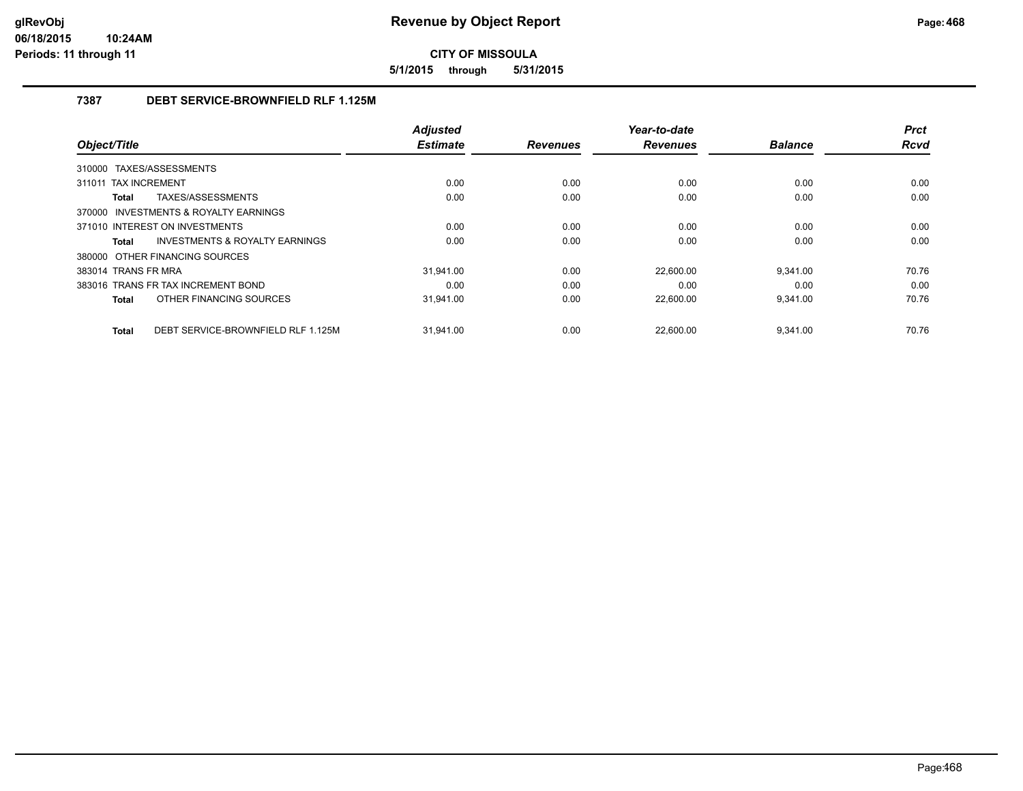**5/1/2015 through 5/31/2015**

## **7387 DEBT SERVICE-BROWNFIELD RLF 1.125M**

|                                                    | <b>Adjusted</b> |                 | Year-to-date    |                | <b>Prct</b> |
|----------------------------------------------------|-----------------|-----------------|-----------------|----------------|-------------|
| Object/Title                                       | <b>Estimate</b> | <b>Revenues</b> | <b>Revenues</b> | <b>Balance</b> | <b>Rcvd</b> |
| TAXES/ASSESSMENTS<br>310000                        |                 |                 |                 |                |             |
| 311011 TAX INCREMENT                               | 0.00            | 0.00            | 0.00            | 0.00           | 0.00        |
| TAXES/ASSESSMENTS<br><b>Total</b>                  | 0.00            | 0.00            | 0.00            | 0.00           | 0.00        |
| 370000 INVESTMENTS & ROYALTY EARNINGS              |                 |                 |                 |                |             |
| 371010 INTEREST ON INVESTMENTS                     | 0.00            | 0.00            | 0.00            | 0.00           | 0.00        |
| INVESTMENTS & ROYALTY EARNINGS<br><b>Total</b>     | 0.00            | 0.00            | 0.00            | 0.00           | 0.00        |
| 380000 OTHER FINANCING SOURCES                     |                 |                 |                 |                |             |
| 383014 TRANS FR MRA                                | 31.941.00       | 0.00            | 22,600.00       | 9.341.00       | 70.76       |
| 383016 TRANS FR TAX INCREMENT BOND                 | 0.00            | 0.00            | 0.00            | 0.00           | 0.00        |
| OTHER FINANCING SOURCES<br><b>Total</b>            | 31.941.00       | 0.00            | 22,600.00       | 9,341.00       | 70.76       |
| DEBT SERVICE-BROWNFIELD RLF 1.125M<br><b>Total</b> | 31.941.00       | 0.00            | 22.600.00       | 9.341.00       | 70.76       |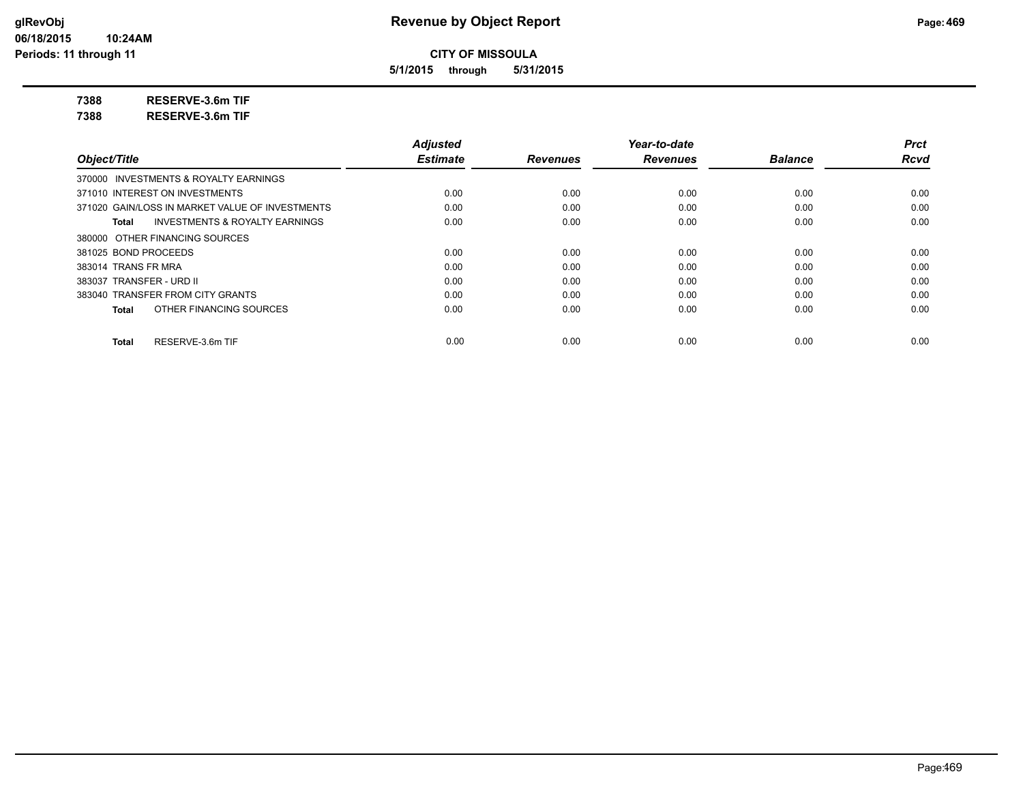**5/1/2015 through 5/31/2015**

**7388 RESERVE-3.6m TIF**

**7388 RESERVE-3.6m TIF**

|                                                 | <b>Adjusted</b> |                 | Year-to-date    |                | <b>Prct</b> |
|-------------------------------------------------|-----------------|-----------------|-----------------|----------------|-------------|
| Object/Title                                    | <b>Estimate</b> | <b>Revenues</b> | <b>Revenues</b> | <b>Balance</b> | <b>Rcvd</b> |
| 370000 INVESTMENTS & ROYALTY EARNINGS           |                 |                 |                 |                |             |
| 371010 INTEREST ON INVESTMENTS                  | 0.00            | 0.00            | 0.00            | 0.00           | 0.00        |
| 371020 GAIN/LOSS IN MARKET VALUE OF INVESTMENTS | 0.00            | 0.00            | 0.00            | 0.00           | 0.00        |
| INVESTMENTS & ROYALTY EARNINGS<br>Total         | 0.00            | 0.00            | 0.00            | 0.00           | 0.00        |
| 380000 OTHER FINANCING SOURCES                  |                 |                 |                 |                |             |
| 381025 BOND PROCEEDS                            | 0.00            | 0.00            | 0.00            | 0.00           | 0.00        |
| 383014 TRANS FR MRA                             | 0.00            | 0.00            | 0.00            | 0.00           | 0.00        |
| 383037 TRANSFER - URD II                        | 0.00            | 0.00            | 0.00            | 0.00           | 0.00        |
| 383040 TRANSFER FROM CITY GRANTS                | 0.00            | 0.00            | 0.00            | 0.00           | 0.00        |
| OTHER FINANCING SOURCES<br>Total                | 0.00            | 0.00            | 0.00            | 0.00           | 0.00        |
| RESERVE-3.6m TIF<br>Total                       | 0.00            | 0.00            | 0.00            | 0.00           | 0.00        |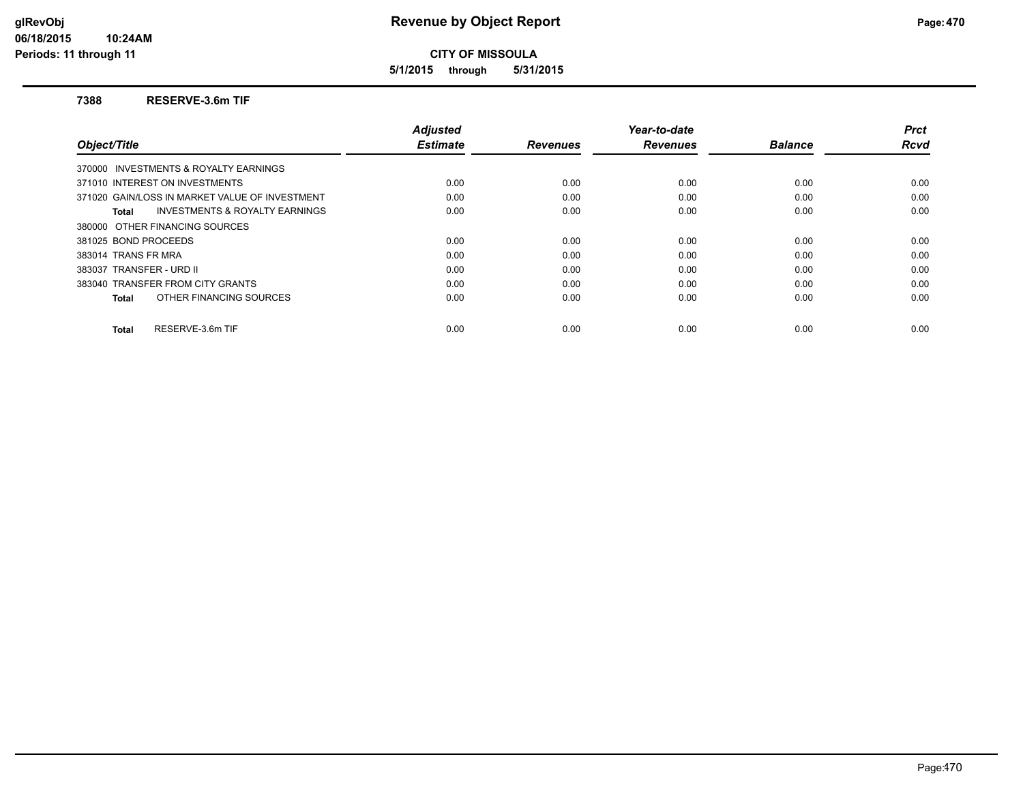**5/1/2015 through 5/31/2015**

### **7388 RESERVE-3.6m TIF**

|                                                    | <b>Adjusted</b> |                 | Year-to-date    |                | <b>Prct</b> |
|----------------------------------------------------|-----------------|-----------------|-----------------|----------------|-------------|
| Object/Title                                       | <b>Estimate</b> | <b>Revenues</b> | <b>Revenues</b> | <b>Balance</b> | Rcvd        |
| 370000 INVESTMENTS & ROYALTY EARNINGS              |                 |                 |                 |                |             |
| 371010 INTEREST ON INVESTMENTS                     | 0.00            | 0.00            | 0.00            | 0.00           | 0.00        |
| 371020 GAIN/LOSS IN MARKET VALUE OF INVESTMENT     | 0.00            | 0.00            | 0.00            | 0.00           | 0.00        |
| <b>INVESTMENTS &amp; ROYALTY EARNINGS</b><br>Total | 0.00            | 0.00            | 0.00            | 0.00           | 0.00        |
| 380000 OTHER FINANCING SOURCES                     |                 |                 |                 |                |             |
| 381025 BOND PROCEEDS                               | 0.00            | 0.00            | 0.00            | 0.00           | 0.00        |
| 383014 TRANS FR MRA                                | 0.00            | 0.00            | 0.00            | 0.00           | 0.00        |
| 383037 TRANSFER - URD II                           | 0.00            | 0.00            | 0.00            | 0.00           | 0.00        |
| 383040 TRANSFER FROM CITY GRANTS                   | 0.00            | 0.00            | 0.00            | 0.00           | 0.00        |
| OTHER FINANCING SOURCES<br>Total                   | 0.00            | 0.00            | 0.00            | 0.00           | 0.00        |
| RESERVE-3.6m TIF<br><b>Total</b>                   | 0.00            | 0.00            | 0.00            | 0.00           | 0.00        |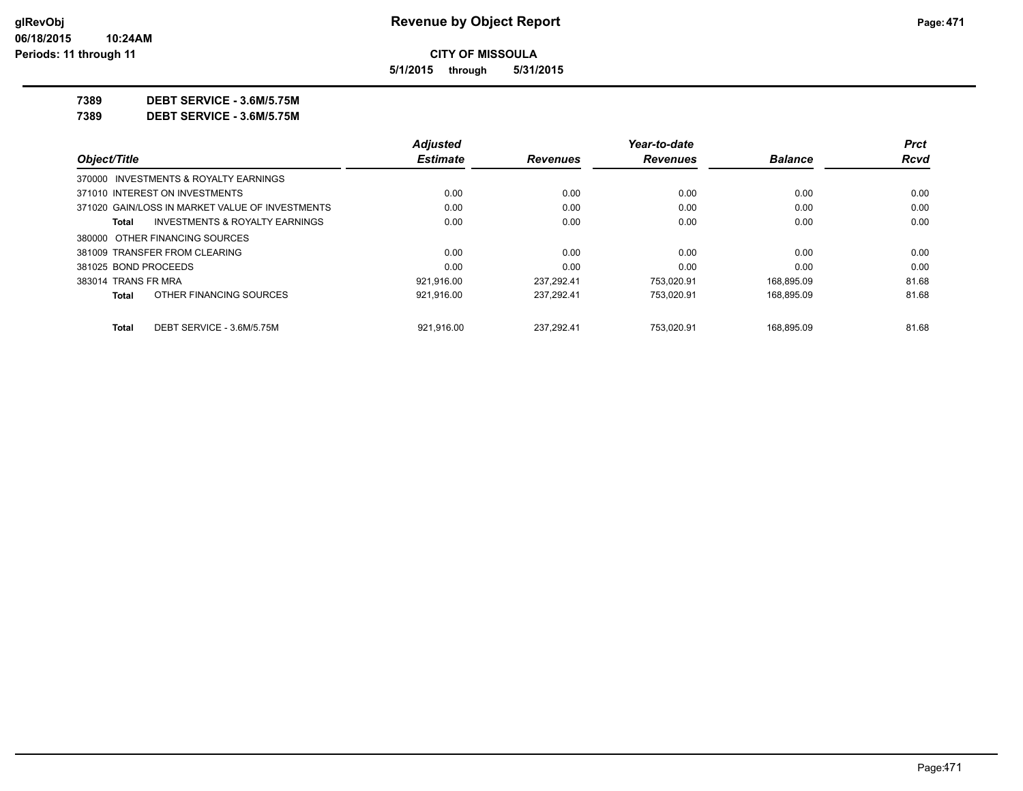**5/1/2015 through 5/31/2015**

**7389 DEBT SERVICE - 3.6M/5.75M**

**7389 DEBT SERVICE - 3.6M/5.75M**

|                      |                                                 | <b>Adjusted</b> |                 | Year-to-date    |                | <b>Prct</b> |
|----------------------|-------------------------------------------------|-----------------|-----------------|-----------------|----------------|-------------|
| Object/Title         |                                                 | <b>Estimate</b> | <b>Revenues</b> | <b>Revenues</b> | <b>Balance</b> | Rcvd        |
|                      | 370000 INVESTMENTS & ROYALTY EARNINGS           |                 |                 |                 |                |             |
|                      | 371010 INTEREST ON INVESTMENTS                  | 0.00            | 0.00            | 0.00            | 0.00           | 0.00        |
|                      | 371020 GAIN/LOSS IN MARKET VALUE OF INVESTMENTS | 0.00            | 0.00            | 0.00            | 0.00           | 0.00        |
| Total                | INVESTMENTS & ROYALTY EARNINGS                  | 0.00            | 0.00            | 0.00            | 0.00           | 0.00        |
|                      | 380000 OTHER FINANCING SOURCES                  |                 |                 |                 |                |             |
|                      | 381009 TRANSFER FROM CLEARING                   | 0.00            | 0.00            | 0.00            | 0.00           | 0.00        |
| 381025 BOND PROCEEDS |                                                 | 0.00            | 0.00            | 0.00            | 0.00           | 0.00        |
| 383014 TRANS FR MRA  |                                                 | 921.916.00      | 237.292.41      | 753.020.91      | 168.895.09     | 81.68       |
| <b>Total</b>         | OTHER FINANCING SOURCES                         | 921,916.00      | 237.292.41      | 753.020.91      | 168.895.09     | 81.68       |
| <b>Total</b>         | DEBT SERVICE - 3.6M/5.75M                       | 921.916.00      | 237.292.41      | 753.020.91      | 168.895.09     | 81.68       |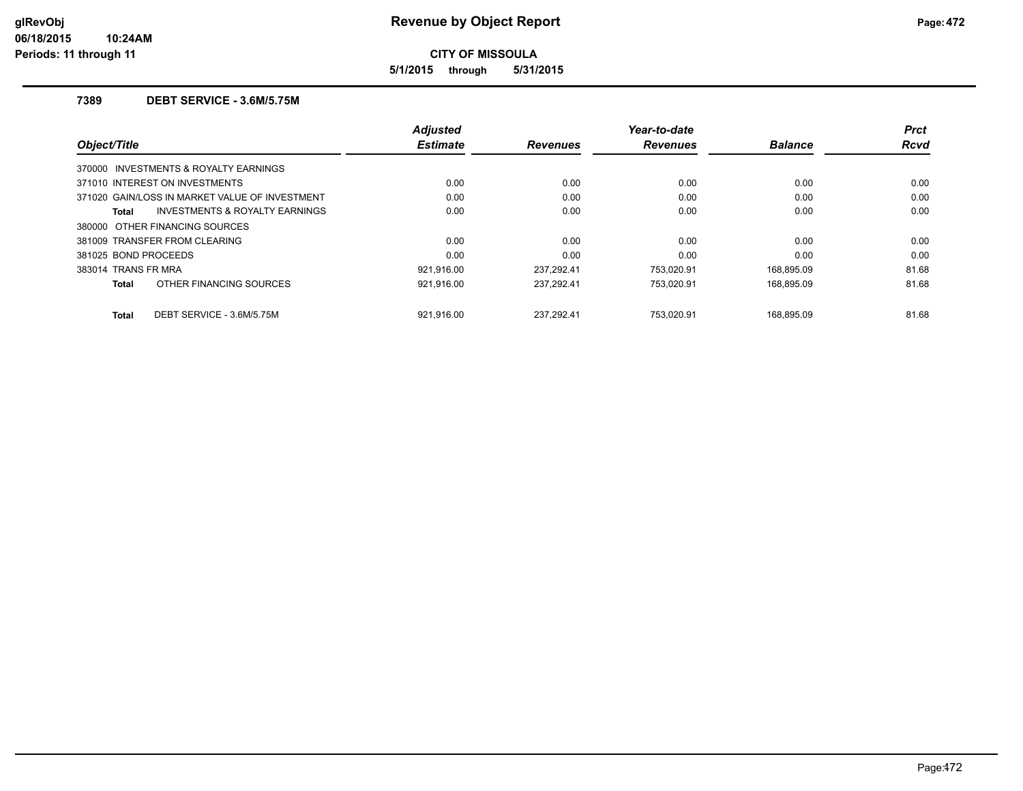**5/1/2015 through 5/31/2015**

## **7389 DEBT SERVICE - 3.6M/5.75M**

| Object/Title                                   | <b>Adjusted</b><br><b>Estimate</b> | <b>Revenues</b> | Year-to-date<br><b>Revenues</b> | <b>Balance</b> | <b>Prct</b><br><b>Rcvd</b> |
|------------------------------------------------|------------------------------------|-----------------|---------------------------------|----------------|----------------------------|
| 370000 INVESTMENTS & ROYALTY EARNINGS          |                                    |                 |                                 |                |                            |
| 371010 INTEREST ON INVESTMENTS                 | 0.00                               | 0.00            | 0.00                            | 0.00           | 0.00                       |
| 371020 GAIN/LOSS IN MARKET VALUE OF INVESTMENT | 0.00                               | 0.00            | 0.00                            | 0.00           | 0.00                       |
| INVESTMENTS & ROYALTY EARNINGS<br>Total        | 0.00                               | 0.00            | 0.00                            | 0.00           | 0.00                       |
| 380000 OTHER FINANCING SOURCES                 |                                    |                 |                                 |                |                            |
| 381009 TRANSFER FROM CLEARING                  | 0.00                               | 0.00            | 0.00                            | 0.00           | 0.00                       |
| 381025 BOND PROCEEDS                           | 0.00                               | 0.00            | 0.00                            | 0.00           | 0.00                       |
| 383014 TRANS FR MRA                            | 921.916.00                         | 237.292.41      | 753.020.91                      | 168,895.09     | 81.68                      |
| OTHER FINANCING SOURCES<br><b>Total</b>        | 921,916.00                         | 237,292.41      | 753.020.91                      | 168,895.09     | 81.68                      |
| DEBT SERVICE - 3.6M/5.75M<br><b>Total</b>      | 921.916.00                         | 237.292.41      | 753.020.91                      | 168.895.09     | 81.68                      |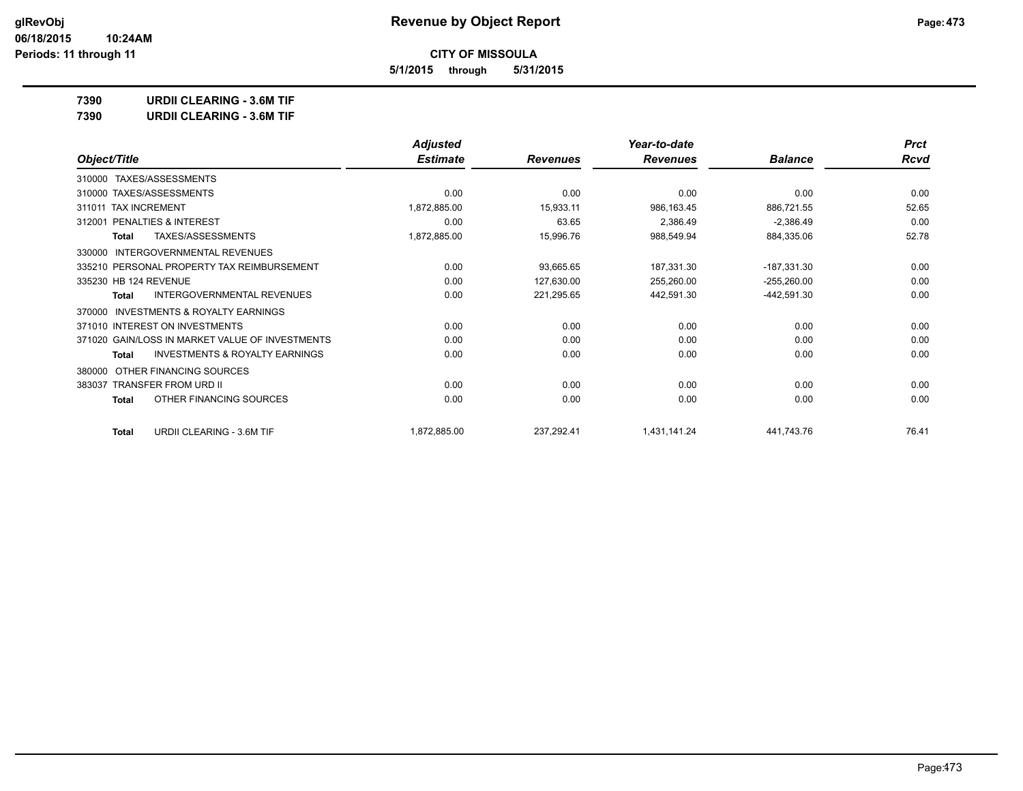**5/1/2015 through 5/31/2015**

**7390 URDII CLEARING - 3.6M TIF**

| <b>URDII CLEARING - 3.6M TIF</b><br>7390 |  |
|------------------------------------------|--|
|------------------------------------------|--|

|                                                           | <b>Adjusted</b> |                 | Year-to-date    |                | <b>Prct</b> |
|-----------------------------------------------------------|-----------------|-----------------|-----------------|----------------|-------------|
| Object/Title                                              | <b>Estimate</b> | <b>Revenues</b> | <b>Revenues</b> | <b>Balance</b> | <b>Rcvd</b> |
| TAXES/ASSESSMENTS<br>310000                               |                 |                 |                 |                |             |
| 310000 TAXES/ASSESSMENTS                                  | 0.00            | 0.00            | 0.00            | 0.00           | 0.00        |
| 311011 TAX INCREMENT                                      | 1,872,885.00    | 15,933.11       | 986,163.45      | 886,721.55     | 52.65       |
| PENALTIES & INTEREST<br>312001                            | 0.00            | 63.65           | 2,386.49        | $-2,386.49$    | 0.00        |
| TAXES/ASSESSMENTS<br>Total                                | 1,872,885.00    | 15,996.76       | 988,549.94      | 884,335.06     | 52.78       |
| <b>INTERGOVERNMENTAL REVENUES</b><br>330000               |                 |                 |                 |                |             |
| 335210 PERSONAL PROPERTY TAX REIMBURSEMENT                | 0.00            | 93,665.65       | 187,331.30      | $-187,331.30$  | 0.00        |
| 335230 HB 124 REVENUE                                     | 0.00            | 127,630.00      | 255,260.00      | $-255,260.00$  | 0.00        |
| INTERGOVERNMENTAL REVENUES<br><b>Total</b>                | 0.00            | 221,295.65      | 442,591.30      | -442,591.30    | 0.00        |
| <b>INVESTMENTS &amp; ROYALTY EARNINGS</b><br>370000       |                 |                 |                 |                |             |
| 371010 INTEREST ON INVESTMENTS                            | 0.00            | 0.00            | 0.00            | 0.00           | 0.00        |
| 371020 GAIN/LOSS IN MARKET VALUE OF INVESTMENTS           | 0.00            | 0.00            | 0.00            | 0.00           | 0.00        |
| <b>INVESTMENTS &amp; ROYALTY EARNINGS</b><br><b>Total</b> | 0.00            | 0.00            | 0.00            | 0.00           | 0.00        |
| OTHER FINANCING SOURCES<br>380000                         |                 |                 |                 |                |             |
| <b>TRANSFER FROM URD II</b><br>383037                     | 0.00            | 0.00            | 0.00            | 0.00           | 0.00        |
| OTHER FINANCING SOURCES<br>Total                          | 0.00            | 0.00            | 0.00            | 0.00           | 0.00        |
| URDII CLEARING - 3.6M TIF<br><b>Total</b>                 | 1,872,885.00    | 237,292.41      | 1,431,141.24    | 441,743.76     | 76.41       |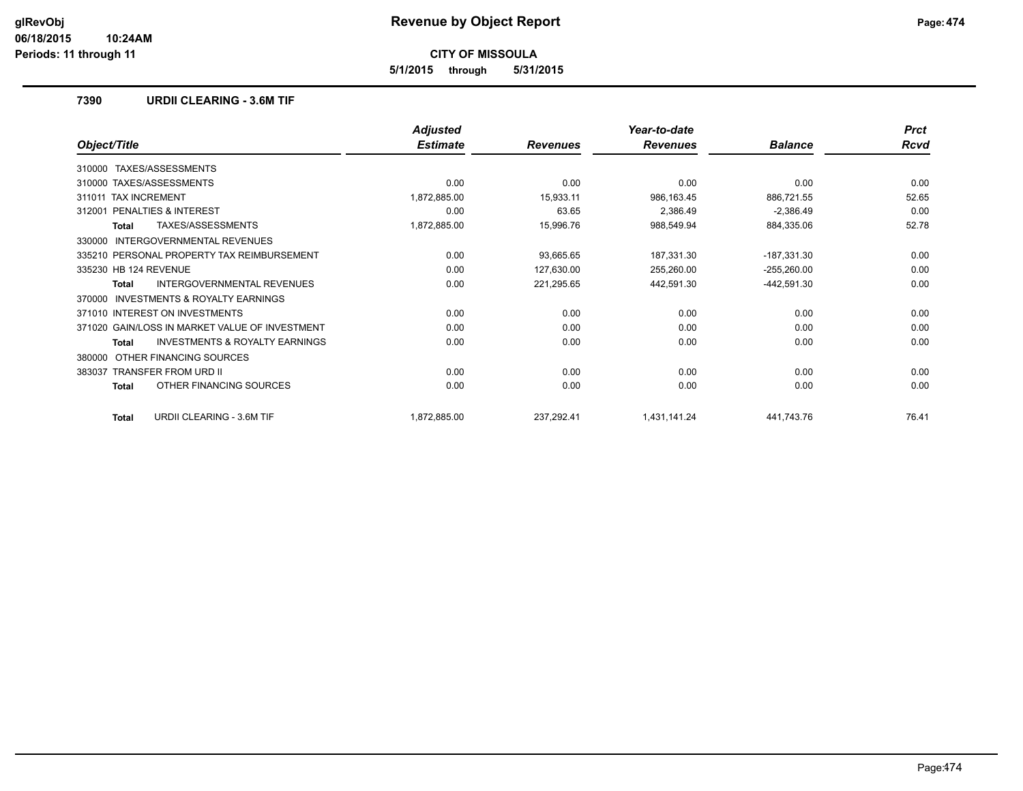**5/1/2015 through 5/31/2015**

## **7390 URDII CLEARING - 3.6M TIF**

|                                                    | <b>Adjusted</b> |                 | Year-to-date    |                | <b>Prct</b> |
|----------------------------------------------------|-----------------|-----------------|-----------------|----------------|-------------|
| Object/Title                                       | <b>Estimate</b> | <b>Revenues</b> | <b>Revenues</b> | <b>Balance</b> | <b>Rcvd</b> |
| TAXES/ASSESSMENTS<br>310000                        |                 |                 |                 |                |             |
| 310000 TAXES/ASSESSMENTS                           | 0.00            | 0.00            | 0.00            | 0.00           | 0.00        |
| <b>TAX INCREMENT</b><br>311011                     | 1,872,885.00    | 15,933.11       | 986,163.45      | 886,721.55     | 52.65       |
| PENALTIES & INTEREST<br>312001                     | 0.00            | 63.65           | 2,386.49        | $-2,386.49$    | 0.00        |
| TAXES/ASSESSMENTS<br><b>Total</b>                  | 1,872,885.00    | 15,996.76       | 988,549.94      | 884,335.06     | 52.78       |
| <b>INTERGOVERNMENTAL REVENUES</b><br>330000        |                 |                 |                 |                |             |
| 335210 PERSONAL PROPERTY TAX REIMBURSEMENT         | 0.00            | 93,665.65       | 187,331.30      | $-187,331.30$  | 0.00        |
| 335230 HB 124 REVENUE                              | 0.00            | 127,630.00      | 255,260.00      | $-255,260.00$  | 0.00        |
| INTERGOVERNMENTAL REVENUES<br>Total                | 0.00            | 221,295.65      | 442,591.30      | $-442,591.30$  | 0.00        |
| INVESTMENTS & ROYALTY EARNINGS<br>370000           |                 |                 |                 |                |             |
| 371010 INTEREST ON INVESTMENTS                     | 0.00            | 0.00            | 0.00            | 0.00           | 0.00        |
| 371020 GAIN/LOSS IN MARKET VALUE OF INVESTMENT     | 0.00            | 0.00            | 0.00            | 0.00           | 0.00        |
| <b>INVESTMENTS &amp; ROYALTY EARNINGS</b><br>Total | 0.00            | 0.00            | 0.00            | 0.00           | 0.00        |
| OTHER FINANCING SOURCES<br>380000                  |                 |                 |                 |                |             |
| <b>TRANSFER FROM URD II</b><br>383037              | 0.00            | 0.00            | 0.00            | 0.00           | 0.00        |
| OTHER FINANCING SOURCES<br>Total                   | 0.00            | 0.00            | 0.00            | 0.00           | 0.00        |
| <b>URDII CLEARING - 3.6M TIF</b><br><b>Total</b>   | 1,872,885.00    | 237,292.41      | 1,431,141.24    | 441,743.76     | 76.41       |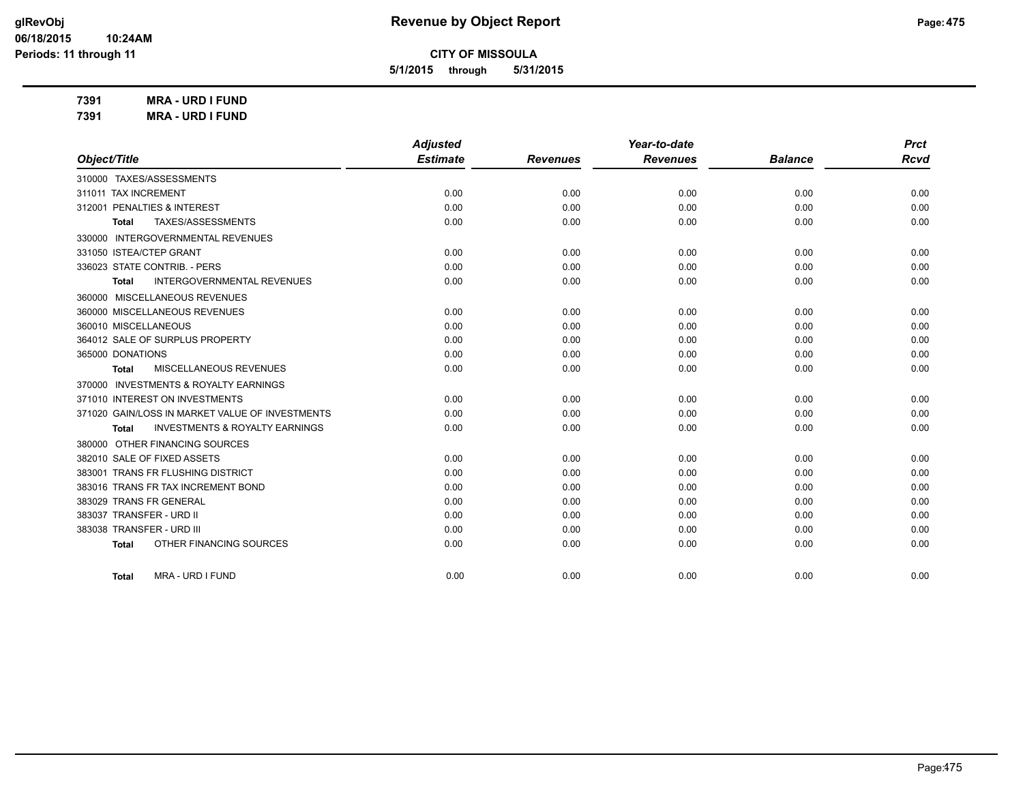*Prct Rcvd*

**CITY OF MISSOULA**

**5/1/2015 through 5/31/2015**

**7391 MRA - URD I FUND 7391 MRA - URD I FUND**

|                                            | <b>Adjusted</b> |                 | Year-to-date    |                | <b>Prct</b> |
|--------------------------------------------|-----------------|-----------------|-----------------|----------------|-------------|
| Object/Title                               | <b>Estimate</b> | <b>Revenues</b> | <b>Revenues</b> | <b>Balance</b> | Rcva        |
| TAXES/ASSESSMENTS<br>310000                |                 |                 |                 |                |             |
| 311011 TAX INCREMENT                       | 0.00            | 0.00            | 0.00            | 0.00           | 0.00        |
| 312001 PENALTIES & INTEREST                | 0.00            | 0.00            | 0.00            | 0.00           | 0.00        |
| TAXES/ASSESSMENTS<br>Total                 | 0.00            | 0.00            | 0.00            | 0.00           | 0.00        |
| INTERGOVERNMENTAL REVENUES<br>330000       |                 |                 |                 |                |             |
| 331050 ISTEA/CTEP GRANT                    | 0.00            | 0.00            | 0.00            | 0.00           | 0.00        |
| 336023 STATE CONTRIB. - PERS               | 0.00            | 0.00            | 0.00            | 0.00           | 0.00        |
| <b>INTERGOVERNMENTAL REVENUES</b><br>Total | 0.00            | 0.00            | 0.00            | 0.00           | 0.00        |
| MISCELLANEOUS REVENUES<br>360000           |                 |                 |                 |                |             |
| 360000 MISCELLANEOUS REVENUES              | 0.00            | 0.00            | 0.00            | 0.00           | 0.00        |
| 360010 MISCELLANEOUS                       | 0.00            | 0.00            | 0.00            | 0.00           | 0.00        |
| 364012 SALE OF SURPLUS PROPERTY            | 0.00            | 0.00            | 0.00            | 0.00           | 0.00        |
| 365000 DONATIONS                           | 0.00            | 0.00            | 0.00            | 0.00           | 0.00        |

| 0.00<br>0.00<br>0.00<br>365000 DONATIONS<br>0.00<br>0.00<br>0.00<br>MISCELLANEOUS REVENUES<br>Total | 0.00<br>0.00 | 0.00<br>0.00 |
|-----------------------------------------------------------------------------------------------------|--------------|--------------|
|                                                                                                     |              |              |
|                                                                                                     |              |              |
| 370000 INVESTMENTS & ROYALTY EARNINGS                                                               |              |              |
| 0.00<br>371010 INTEREST ON INVESTMENTS<br>0.00<br>0.00                                              | 0.00         | 0.00         |
| 371020 GAIN/LOSS IN MARKET VALUE OF INVESTMENTS<br>0.00<br>0.00<br>0.00                             | 0.00         | 0.00         |
| 0.00<br><b>INVESTMENTS &amp; ROYALTY EARNINGS</b><br>0.00<br>0.00<br>Total                          | 0.00         | 0.00         |
| 380000 OTHER FINANCING SOURCES                                                                      |              |              |
| 0.00<br>0.00<br>382010 SALE OF FIXED ASSETS<br>0.00                                                 | 0.00         | 0.00         |
| 0.00<br>0.00<br>383001 TRANS FR FLUSHING DISTRICT<br>0.00                                           | 0.00         | 0.00         |
| 0.00<br>0.00<br>383016 TRANS FR TAX INCREMENT BOND<br>0.00                                          | 0.00         | 0.00         |
| 0.00<br>383029 TRANS FR GENERAL<br>0.00<br>0.00                                                     | 0.00         | 0.00         |
| 0.00<br>0.00<br>383037 TRANSFER - URD II<br>0.00                                                    | 0.00         | 0.00         |
| 0.00<br>383038 TRANSFER - URD III<br>0.00<br>0.00                                                   | 0.00         | 0.00         |
| 0.00<br>0.00<br>0.00<br>OTHER FINANCING SOURCES<br>Total                                            | 0.00         | 0.00         |
| 0.00<br>0.00<br>0.00<br>MRA - URD I FUND<br>Total                                                   | 0.00         | 0.00         |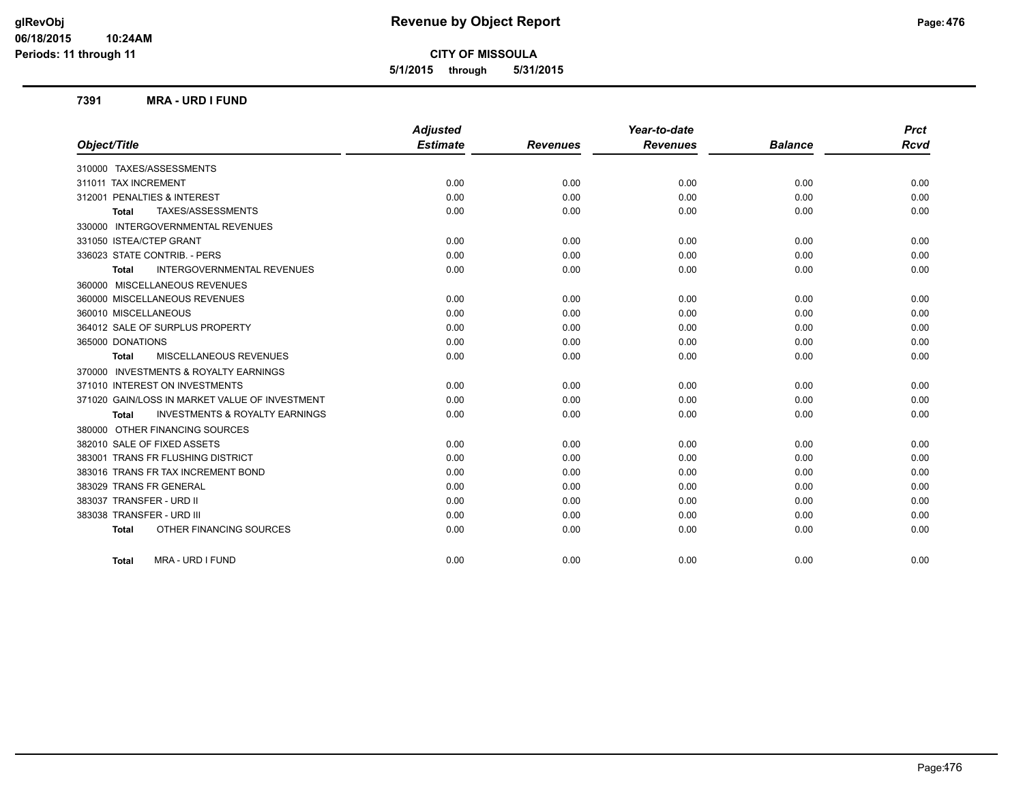**5/1/2015 through 5/31/2015**

### **7391 MRA - URD I FUND**

|                                                           | <b>Adjusted</b> |                 | Year-to-date    |                | <b>Prct</b> |
|-----------------------------------------------------------|-----------------|-----------------|-----------------|----------------|-------------|
| Object/Title                                              | <b>Estimate</b> | <b>Revenues</b> | <b>Revenues</b> | <b>Balance</b> | <b>Rcvd</b> |
| 310000 TAXES/ASSESSMENTS                                  |                 |                 |                 |                |             |
| 311011 TAX INCREMENT                                      | 0.00            | 0.00            | 0.00            | 0.00           | 0.00        |
| 312001 PENALTIES & INTEREST                               | 0.00            | 0.00            | 0.00            | 0.00           | 0.00        |
| TAXES/ASSESSMENTS<br><b>Total</b>                         | 0.00            | 0.00            | 0.00            | 0.00           | 0.00        |
| 330000 INTERGOVERNMENTAL REVENUES                         |                 |                 |                 |                |             |
| 331050 ISTEA/CTEP GRANT                                   | 0.00            | 0.00            | 0.00            | 0.00           | 0.00        |
| 336023 STATE CONTRIB. - PERS                              | 0.00            | 0.00            | 0.00            | 0.00           | 0.00        |
| <b>INTERGOVERNMENTAL REVENUES</b><br><b>Total</b>         | 0.00            | 0.00            | 0.00            | 0.00           | 0.00        |
| 360000 MISCELLANEOUS REVENUES                             |                 |                 |                 |                |             |
| 360000 MISCELLANEOUS REVENUES                             | 0.00            | 0.00            | 0.00            | 0.00           | 0.00        |
| 360010 MISCELLANEOUS                                      | 0.00            | 0.00            | 0.00            | 0.00           | 0.00        |
| 364012 SALE OF SURPLUS PROPERTY                           | 0.00            | 0.00            | 0.00            | 0.00           | 0.00        |
| 365000 DONATIONS                                          | 0.00            | 0.00            | 0.00            | 0.00           | 0.00        |
| <b>MISCELLANEOUS REVENUES</b><br><b>Total</b>             | 0.00            | 0.00            | 0.00            | 0.00           | 0.00        |
| 370000 INVESTMENTS & ROYALTY EARNINGS                     |                 |                 |                 |                |             |
| 371010 INTEREST ON INVESTMENTS                            | 0.00            | 0.00            | 0.00            | 0.00           | 0.00        |
| 371020 GAIN/LOSS IN MARKET VALUE OF INVESTMENT            | 0.00            | 0.00            | 0.00            | 0.00           | 0.00        |
| <b>INVESTMENTS &amp; ROYALTY EARNINGS</b><br><b>Total</b> | 0.00            | 0.00            | 0.00            | 0.00           | 0.00        |
| 380000 OTHER FINANCING SOURCES                            |                 |                 |                 |                |             |
| 382010 SALE OF FIXED ASSETS                               | 0.00            | 0.00            | 0.00            | 0.00           | 0.00        |
| 383001 TRANS FR FLUSHING DISTRICT                         | 0.00            | 0.00            | 0.00            | 0.00           | 0.00        |
| 383016 TRANS FR TAX INCREMENT BOND                        | 0.00            | 0.00            | 0.00            | 0.00           | 0.00        |
| 383029 TRANS FR GENERAL                                   | 0.00            | 0.00            | 0.00            | 0.00           | 0.00        |
| 383037 TRANSFER - URD II                                  | 0.00            | 0.00            | 0.00            | 0.00           | 0.00        |
| 383038 TRANSFER - URD III                                 | 0.00            | 0.00            | 0.00            | 0.00           | 0.00        |
| OTHER FINANCING SOURCES<br><b>Total</b>                   | 0.00            | 0.00            | 0.00            | 0.00           | 0.00        |
| MRA - URD I FUND<br><b>Total</b>                          | 0.00            | 0.00            | 0.00            | 0.00           | 0.00        |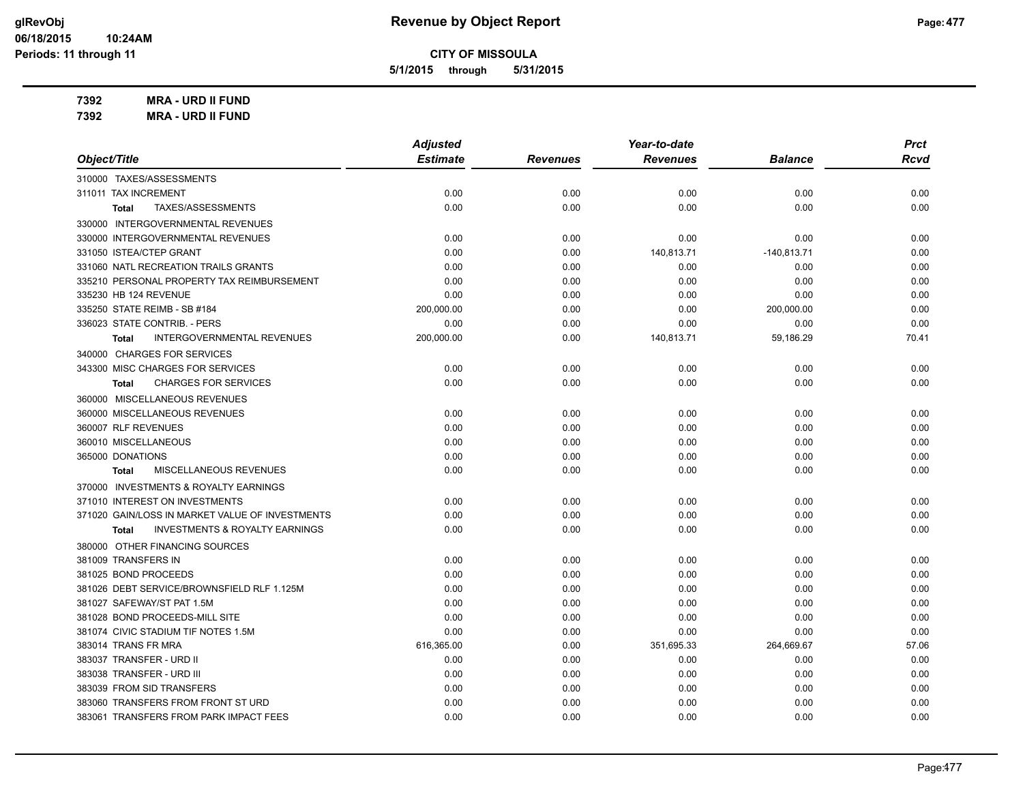**5/1/2015 through 5/31/2015**

**7392 MRA - URD II FUND**

**7392 MRA - URD II FUND**

|                                                           | <b>Adjusted</b> |                 | Year-to-date    |                | <b>Prct</b> |
|-----------------------------------------------------------|-----------------|-----------------|-----------------|----------------|-------------|
| Object/Title                                              | <b>Estimate</b> | <b>Revenues</b> | <b>Revenues</b> | <b>Balance</b> | <b>Rcvd</b> |
| 310000 TAXES/ASSESSMENTS                                  |                 |                 |                 |                |             |
| 311011 TAX INCREMENT                                      | 0.00            | 0.00            | 0.00            | 0.00           | 0.00        |
| TAXES/ASSESSMENTS<br><b>Total</b>                         | 0.00            | 0.00            | 0.00            | 0.00           | 0.00        |
| 330000 INTERGOVERNMENTAL REVENUES                         |                 |                 |                 |                |             |
| 330000 INTERGOVERNMENTAL REVENUES                         | 0.00            | 0.00            | 0.00            | 0.00           | 0.00        |
| 331050 ISTEA/CTEP GRANT                                   | 0.00            | 0.00            | 140,813.71      | $-140,813.71$  | 0.00        |
| 331060 NATL RECREATION TRAILS GRANTS                      | 0.00            | 0.00            | 0.00            | 0.00           | 0.00        |
| 335210 PERSONAL PROPERTY TAX REIMBURSEMENT                | 0.00            | 0.00            | 0.00            | 0.00           | 0.00        |
| 335230 HB 124 REVENUE                                     | 0.00            | 0.00            | 0.00            | 0.00           | 0.00        |
| 335250 STATE REIMB - SB #184                              | 200,000.00      | 0.00            | 0.00            | 200,000.00     | 0.00        |
| 336023 STATE CONTRIB. - PERS                              | 0.00            | 0.00            | 0.00            | 0.00           | 0.00        |
| <b>INTERGOVERNMENTAL REVENUES</b><br><b>Total</b>         | 200,000.00      | 0.00            | 140,813.71      | 59,186.29      | 70.41       |
| 340000 CHARGES FOR SERVICES                               |                 |                 |                 |                |             |
| 343300 MISC CHARGES FOR SERVICES                          | 0.00            | 0.00            | 0.00            | 0.00           | 0.00        |
| <b>CHARGES FOR SERVICES</b><br><b>Total</b>               | 0.00            | 0.00            | 0.00            | 0.00           | 0.00        |
| 360000 MISCELLANEOUS REVENUES                             |                 |                 |                 |                |             |
| 360000 MISCELLANEOUS REVENUES                             | 0.00            | 0.00            | 0.00            | 0.00           | 0.00        |
| 360007 RLF REVENUES                                       | 0.00            | 0.00            | 0.00            | 0.00           | 0.00        |
| 360010 MISCELLANEOUS                                      | 0.00            | 0.00            | 0.00            | 0.00           | 0.00        |
| 365000 DONATIONS                                          | 0.00            | 0.00            | 0.00            | 0.00           | 0.00        |
| MISCELLANEOUS REVENUES<br><b>Total</b>                    | 0.00            | 0.00            | 0.00            | 0.00           | 0.00        |
| 370000 INVESTMENTS & ROYALTY EARNINGS                     |                 |                 |                 |                |             |
| 371010 INTEREST ON INVESTMENTS                            | 0.00            | 0.00            | 0.00            | 0.00           | 0.00        |
| 371020 GAIN/LOSS IN MARKET VALUE OF INVESTMENTS           | 0.00            | 0.00            | 0.00            | 0.00           | 0.00        |
| <b>INVESTMENTS &amp; ROYALTY EARNINGS</b><br><b>Total</b> | 0.00            | 0.00            | 0.00            | 0.00           | 0.00        |
| 380000 OTHER FINANCING SOURCES                            |                 |                 |                 |                |             |
| 381009 TRANSFERS IN                                       | 0.00            | 0.00            | 0.00            | 0.00           | 0.00        |
| 381025 BOND PROCEEDS                                      | 0.00            | 0.00            | 0.00            | 0.00           | 0.00        |
| 381026 DEBT SERVICE/BROWNSFIELD RLF 1.125M                | 0.00            | 0.00            | 0.00            | 0.00           | 0.00        |
| 381027 SAFEWAY/ST PAT 1.5M                                | 0.00            | 0.00            | 0.00            | 0.00           | 0.00        |
| 381028 BOND PROCEEDS-MILL SITE                            | 0.00            | 0.00            | 0.00            | 0.00           | 0.00        |
| 381074 CIVIC STADIUM TIF NOTES 1.5M                       | 0.00            | 0.00            | 0.00            | 0.00           | 0.00        |
| 383014 TRANS FR MRA                                       | 616,365.00      | 0.00            | 351,695.33      | 264,669.67     | 57.06       |
| 383037 TRANSFER - URD II                                  | 0.00            | 0.00            | 0.00            | 0.00           | 0.00        |
| 383038 TRANSFER - URD III                                 | 0.00            | 0.00            | 0.00            | 0.00           | 0.00        |
| 383039 FROM SID TRANSFERS                                 | 0.00            | 0.00            | 0.00            | 0.00           | 0.00        |
| 383060 TRANSFERS FROM FRONT ST URD                        | 0.00            | 0.00            | 0.00            | 0.00           | 0.00        |
| 383061 TRANSFERS FROM PARK IMPACT FEES                    | 0.00            | 0.00            | 0.00            | 0.00           | 0.00        |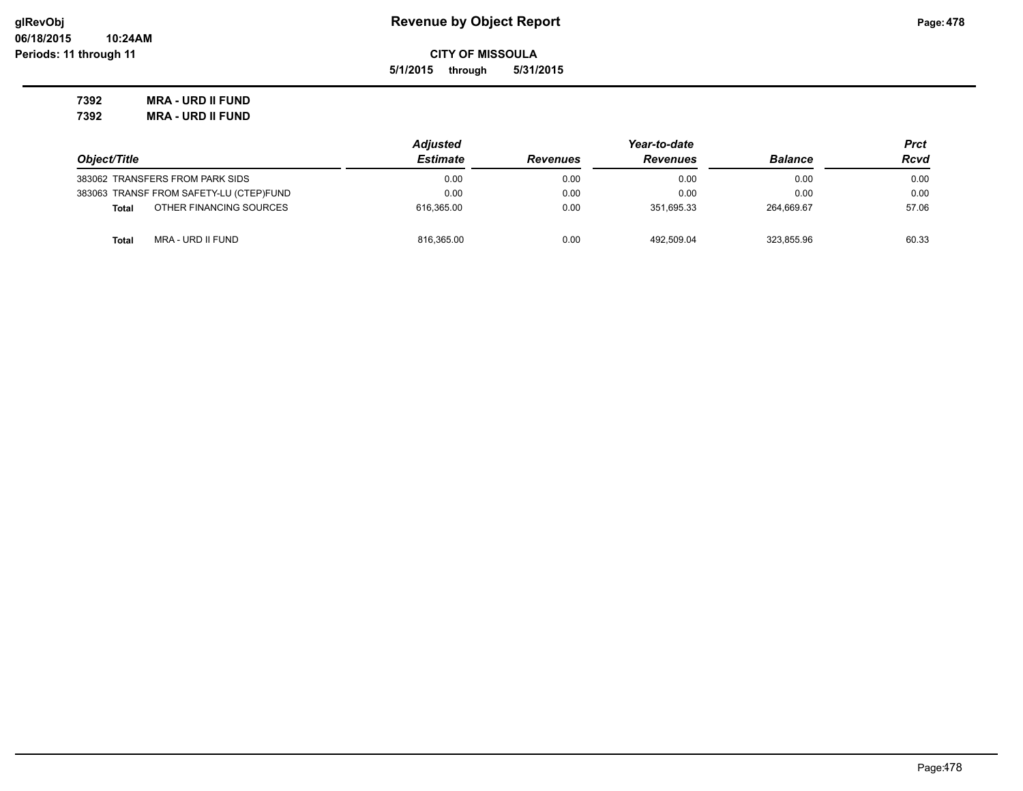**5/1/2015 through 5/31/2015**

**7392 MRA - URD II FUND 7392 MRA - URD II FUND**

|                                         | <b>Adjusted</b> |                 |                 | Prct           |       |
|-----------------------------------------|-----------------|-----------------|-----------------|----------------|-------|
| Object/Title                            | <b>Estimate</b> | <b>Revenues</b> | <b>Revenues</b> | <b>Balance</b> | Rcvd  |
| 383062 TRANSFERS FROM PARK SIDS         | 0.00            | 0.00            | 0.00            | 0.00           | 0.00  |
| 383063 TRANSF FROM SAFETY-LU (CTEP)FUND | 0.00            | 0.00            | 0.00            | 0.00           | 0.00  |
| OTHER FINANCING SOURCES<br><b>Total</b> | 616.365.00      | 0.00            | 351.695.33      | 264.669.67     | 57.06 |
| MRA - URD II FUND<br><b>Total</b>       | 816,365.00      | 0.00            | 492.509.04      | 323.855.96     | 60.33 |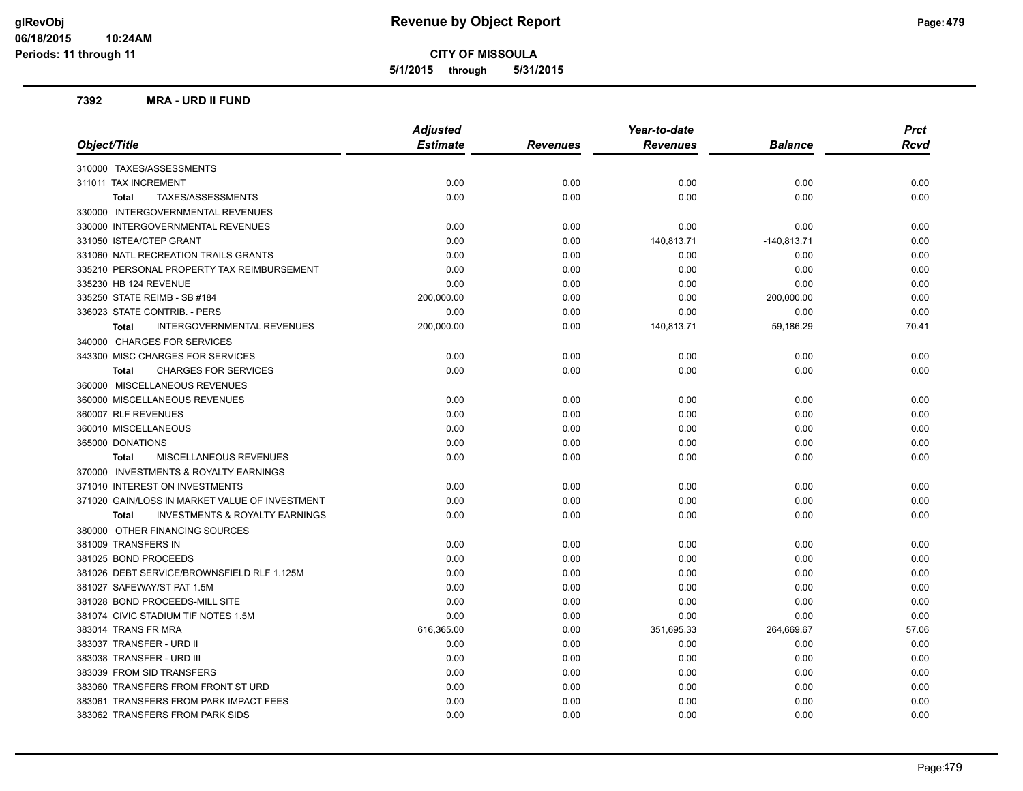**5/1/2015 through 5/31/2015**

### **7392 MRA - URD II FUND**

| <b>Adjusted</b><br><b>Estimate</b><br>Object/Title<br><b>Revenues</b><br><b>Balance</b><br><b>Revenues</b><br>310000 TAXES/ASSESSMENTS<br>311011 TAX INCREMENT<br>0.00<br>0.00<br>0.00<br>0.00<br>0.00<br>0.00<br>0.00<br>0.00<br>TAXES/ASSESSMENTS<br>Total<br>330000 INTERGOVERNMENTAL REVENUES<br>330000 INTERGOVERNMENTAL REVENUES<br>0.00<br>0.00<br>0.00<br>0.00<br>331050 ISTEA/CTEP GRANT<br>0.00<br>140,813.71<br>0.00<br>$-140,813.71$<br>331060 NATL RECREATION TRAILS GRANTS<br>0.00<br>0.00<br>0.00<br>0.00<br>335210 PERSONAL PROPERTY TAX REIMBURSEMENT<br>0.00<br>0.00<br>0.00<br>0.00 | <b>Rcvd</b><br>0.00<br>0.00<br>0.00<br>0.00<br>0.00<br>0.00 |
|--------------------------------------------------------------------------------------------------------------------------------------------------------------------------------------------------------------------------------------------------------------------------------------------------------------------------------------------------------------------------------------------------------------------------------------------------------------------------------------------------------------------------------------------------------------------------------------------------------|-------------------------------------------------------------|
|                                                                                                                                                                                                                                                                                                                                                                                                                                                                                                                                                                                                        |                                                             |
|                                                                                                                                                                                                                                                                                                                                                                                                                                                                                                                                                                                                        |                                                             |
|                                                                                                                                                                                                                                                                                                                                                                                                                                                                                                                                                                                                        |                                                             |
|                                                                                                                                                                                                                                                                                                                                                                                                                                                                                                                                                                                                        |                                                             |
|                                                                                                                                                                                                                                                                                                                                                                                                                                                                                                                                                                                                        |                                                             |
|                                                                                                                                                                                                                                                                                                                                                                                                                                                                                                                                                                                                        |                                                             |
|                                                                                                                                                                                                                                                                                                                                                                                                                                                                                                                                                                                                        |                                                             |
|                                                                                                                                                                                                                                                                                                                                                                                                                                                                                                                                                                                                        |                                                             |
|                                                                                                                                                                                                                                                                                                                                                                                                                                                                                                                                                                                                        |                                                             |
| 335230 HB 124 REVENUE<br>0.00<br>0.00<br>0.00<br>0.00                                                                                                                                                                                                                                                                                                                                                                                                                                                                                                                                                  | 0.00                                                        |
| 335250 STATE REIMB - SB #184<br>200,000.00<br>0.00<br>0.00<br>200,000.00                                                                                                                                                                                                                                                                                                                                                                                                                                                                                                                               | 0.00                                                        |
| 336023 STATE CONTRIB. - PERS<br>0.00<br>0.00<br>0.00<br>0.00                                                                                                                                                                                                                                                                                                                                                                                                                                                                                                                                           | 0.00                                                        |
| <b>INTERGOVERNMENTAL REVENUES</b><br>200,000.00<br>0.00<br>140,813.71<br>59,186.29<br><b>Total</b>                                                                                                                                                                                                                                                                                                                                                                                                                                                                                                     | 70.41                                                       |
| 340000 CHARGES FOR SERVICES                                                                                                                                                                                                                                                                                                                                                                                                                                                                                                                                                                            |                                                             |
| 343300 MISC CHARGES FOR SERVICES<br>0.00<br>0.00<br>0.00<br>0.00                                                                                                                                                                                                                                                                                                                                                                                                                                                                                                                                       | 0.00                                                        |
| 0.00<br>0.00<br>0.00<br>0.00<br><b>CHARGES FOR SERVICES</b><br><b>Total</b>                                                                                                                                                                                                                                                                                                                                                                                                                                                                                                                            | 0.00                                                        |
| 360000 MISCELLANEOUS REVENUES                                                                                                                                                                                                                                                                                                                                                                                                                                                                                                                                                                          |                                                             |
| 360000 MISCELLANEOUS REVENUES<br>0.00<br>0.00<br>0.00<br>0.00                                                                                                                                                                                                                                                                                                                                                                                                                                                                                                                                          | 0.00                                                        |
| 360007 RLF REVENUES<br>0.00<br>0.00<br>0.00<br>0.00                                                                                                                                                                                                                                                                                                                                                                                                                                                                                                                                                    | 0.00                                                        |
| 360010 MISCELLANEOUS<br>0.00<br>0.00<br>0.00<br>0.00                                                                                                                                                                                                                                                                                                                                                                                                                                                                                                                                                   | 0.00                                                        |
| 365000 DONATIONS<br>0.00<br>0.00<br>0.00<br>0.00                                                                                                                                                                                                                                                                                                                                                                                                                                                                                                                                                       | 0.00                                                        |
| MISCELLANEOUS REVENUES<br>0.00<br>0.00<br>0.00<br>0.00<br><b>Total</b>                                                                                                                                                                                                                                                                                                                                                                                                                                                                                                                                 | 0.00                                                        |
| 370000 INVESTMENTS & ROYALTY EARNINGS                                                                                                                                                                                                                                                                                                                                                                                                                                                                                                                                                                  |                                                             |
| 371010 INTEREST ON INVESTMENTS<br>0.00<br>0.00<br>0.00<br>0.00                                                                                                                                                                                                                                                                                                                                                                                                                                                                                                                                         | 0.00                                                        |
| 371020 GAIN/LOSS IN MARKET VALUE OF INVESTMENT<br>0.00<br>0.00<br>0.00<br>0.00                                                                                                                                                                                                                                                                                                                                                                                                                                                                                                                         | 0.00                                                        |
| <b>INVESTMENTS &amp; ROYALTY EARNINGS</b><br>0.00<br>0.00<br>0.00<br>0.00<br><b>Total</b>                                                                                                                                                                                                                                                                                                                                                                                                                                                                                                              | 0.00                                                        |
| 380000 OTHER FINANCING SOURCES                                                                                                                                                                                                                                                                                                                                                                                                                                                                                                                                                                         |                                                             |
| 381009 TRANSFERS IN<br>0.00<br>0.00<br>0.00<br>0.00                                                                                                                                                                                                                                                                                                                                                                                                                                                                                                                                                    | 0.00                                                        |
| 381025 BOND PROCEEDS<br>0.00<br>0.00<br>0.00<br>0.00                                                                                                                                                                                                                                                                                                                                                                                                                                                                                                                                                   | 0.00                                                        |
| 381026 DEBT SERVICE/BROWNSFIELD RLF 1.125M<br>0.00<br>0.00<br>0.00<br>0.00                                                                                                                                                                                                                                                                                                                                                                                                                                                                                                                             | 0.00                                                        |
| 381027 SAFEWAY/ST PAT 1.5M<br>0.00<br>0.00<br>0.00<br>0.00                                                                                                                                                                                                                                                                                                                                                                                                                                                                                                                                             | 0.00                                                        |
| 381028 BOND PROCEEDS-MILL SITE<br>0.00<br>0.00<br>0.00<br>0.00                                                                                                                                                                                                                                                                                                                                                                                                                                                                                                                                         | 0.00                                                        |
| 381074 CIVIC STADIUM TIF NOTES 1.5M<br>0.00<br>0.00<br>0.00<br>0.00                                                                                                                                                                                                                                                                                                                                                                                                                                                                                                                                    | 0.00                                                        |
| 383014 TRANS FR MRA<br>616,365.00<br>0.00<br>351,695.33<br>264,669.67                                                                                                                                                                                                                                                                                                                                                                                                                                                                                                                                  | 57.06                                                       |
| 383037 TRANSFER - URD II<br>0.00<br>0.00<br>0.00<br>0.00                                                                                                                                                                                                                                                                                                                                                                                                                                                                                                                                               | 0.00                                                        |
| 383038 TRANSFER - URD III<br>0.00<br>0.00<br>0.00<br>0.00                                                                                                                                                                                                                                                                                                                                                                                                                                                                                                                                              | 0.00                                                        |
| 383039 FROM SID TRANSFERS<br>0.00<br>0.00<br>0.00<br>0.00                                                                                                                                                                                                                                                                                                                                                                                                                                                                                                                                              | 0.00                                                        |
| 383060 TRANSFERS FROM FRONT ST URD<br>0.00<br>0.00<br>0.00<br>0.00                                                                                                                                                                                                                                                                                                                                                                                                                                                                                                                                     | 0.00                                                        |
| 383061 TRANSFERS FROM PARK IMPACT FEES<br>0.00<br>0.00<br>0.00<br>0.00                                                                                                                                                                                                                                                                                                                                                                                                                                                                                                                                 | 0.00                                                        |
| 383062 TRANSFERS FROM PARK SIDS<br>0.00<br>0.00<br>0.00<br>0.00                                                                                                                                                                                                                                                                                                                                                                                                                                                                                                                                        | 0.00                                                        |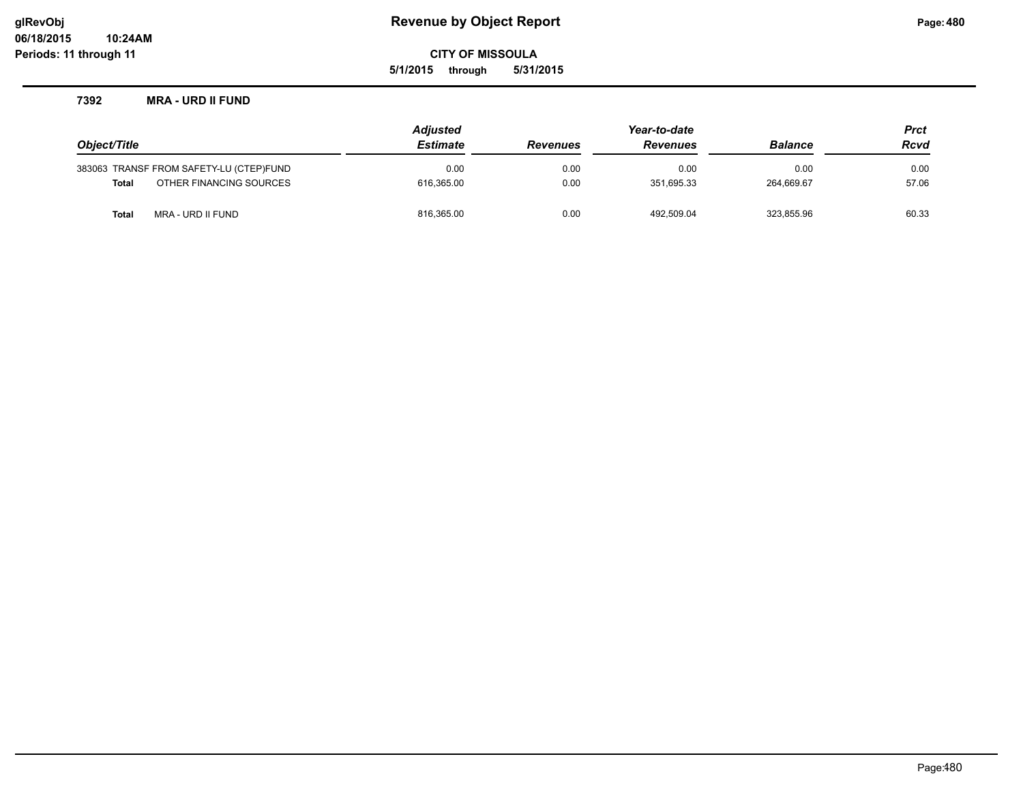**5/1/2015 through 5/31/2015**

### **7392 MRA - URD II FUND**

|              |                                         | <b>Adjusted</b> |                 | <b>Prct</b>     |                |             |
|--------------|-----------------------------------------|-----------------|-----------------|-----------------|----------------|-------------|
| Object/Title |                                         | <b>Estimate</b> | <b>Revenues</b> | <b>Revenues</b> | <b>Balance</b> | <b>Rcvd</b> |
|              | 383063 TRANSF FROM SAFETY-LU (CTEP)FUND | 0.00            | 0.00            | 0.00            | 0.00           | 0.00        |
| <b>Total</b> | OTHER FINANCING SOURCES                 | 616.365.00      | 0.00            | 351.695.33      | 264.669.67     | 57.06       |
| Total        | MRA - URD II FUND                       | 816,365.00      | 0.00            | 492.509.04      | 323,855.96     | 60.33       |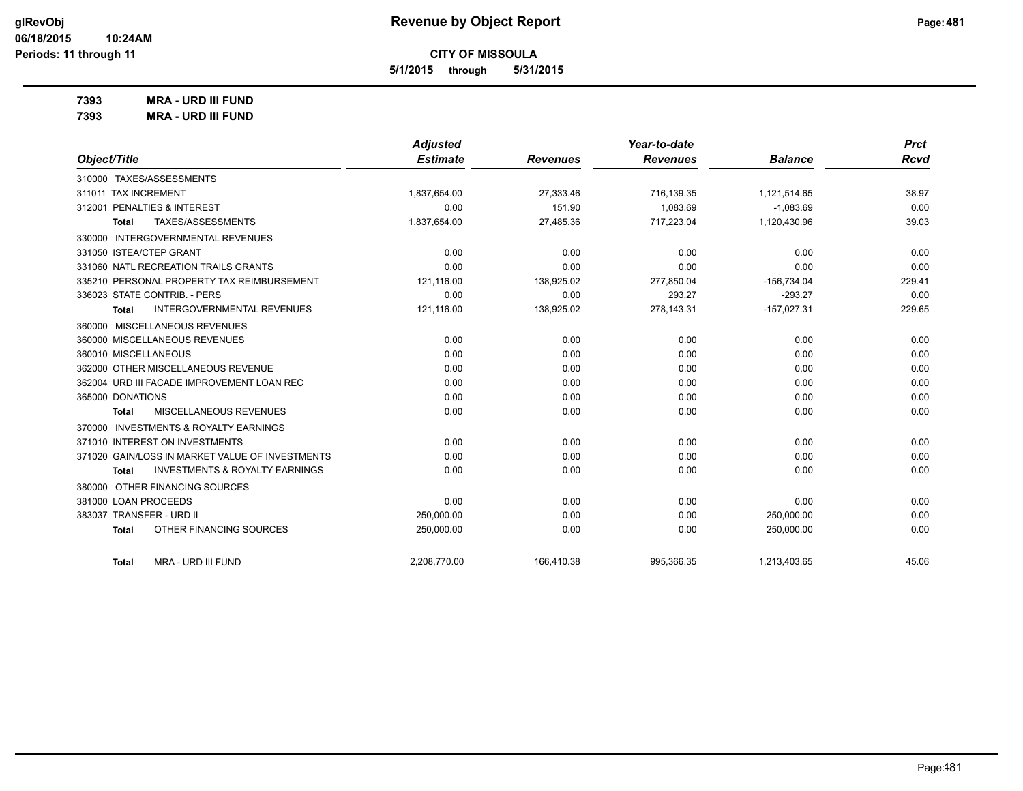**5/1/2015 through 5/31/2015**

**7393 MRA - URD III FUND**

**7393 MRA - URD III FUND**

|                                                           | <b>Adjusted</b> |                 | Year-to-date    |                | <b>Prct</b> |
|-----------------------------------------------------------|-----------------|-----------------|-----------------|----------------|-------------|
| Object/Title                                              | <b>Estimate</b> | <b>Revenues</b> | <b>Revenues</b> | <b>Balance</b> | <b>Rcvd</b> |
| 310000 TAXES/ASSESSMENTS                                  |                 |                 |                 |                |             |
| 311011 TAX INCREMENT                                      | 1,837,654.00    | 27.333.46       | 716.139.35      | 1,121,514.65   | 38.97       |
| 312001 PENALTIES & INTEREST                               | 0.00            | 151.90          | 1,083.69        | $-1,083.69$    | 0.00        |
| TAXES/ASSESSMENTS<br><b>Total</b>                         | 1,837,654.00    | 27,485.36       | 717,223.04      | 1,120,430.96   | 39.03       |
| 330000 INTERGOVERNMENTAL REVENUES                         |                 |                 |                 |                |             |
| 331050 ISTEA/CTEP GRANT                                   | 0.00            | 0.00            | 0.00            | 0.00           | 0.00        |
| 331060 NATL RECREATION TRAILS GRANTS                      | 0.00            | 0.00            | 0.00            | 0.00           | 0.00        |
| 335210 PERSONAL PROPERTY TAX REIMBURSEMENT                | 121,116.00      | 138,925.02      | 277,850.04      | $-156,734.04$  | 229.41      |
| 336023 STATE CONTRIB. - PERS                              | 0.00            | 0.00            | 293.27          | $-293.27$      | 0.00        |
| <b>INTERGOVERNMENTAL REVENUES</b><br><b>Total</b>         | 121,116.00      | 138,925.02      | 278,143.31      | $-157,027.31$  | 229.65      |
| 360000 MISCELLANEOUS REVENUES                             |                 |                 |                 |                |             |
| 360000 MISCELLANEOUS REVENUES                             | 0.00            | 0.00            | 0.00            | 0.00           | 0.00        |
| 360010 MISCELLANEOUS                                      | 0.00            | 0.00            | 0.00            | 0.00           | 0.00        |
| 362000 OTHER MISCELLANEOUS REVENUE                        | 0.00            | 0.00            | 0.00            | 0.00           | 0.00        |
| 362004 URD III FACADE IMPROVEMENT LOAN REC                | 0.00            | 0.00            | 0.00            | 0.00           | 0.00        |
| 365000 DONATIONS                                          | 0.00            | 0.00            | 0.00            | 0.00           | 0.00        |
| MISCELLANEOUS REVENUES<br>Total                           | 0.00            | 0.00            | 0.00            | 0.00           | 0.00        |
| <b>INVESTMENTS &amp; ROYALTY EARNINGS</b><br>370000       |                 |                 |                 |                |             |
| 371010 INTEREST ON INVESTMENTS                            | 0.00            | 0.00            | 0.00            | 0.00           | 0.00        |
| 371020 GAIN/LOSS IN MARKET VALUE OF INVESTMENTS           | 0.00            | 0.00            | 0.00            | 0.00           | 0.00        |
| <b>INVESTMENTS &amp; ROYALTY EARNINGS</b><br><b>Total</b> | 0.00            | 0.00            | 0.00            | 0.00           | 0.00        |
| OTHER FINANCING SOURCES<br>380000                         |                 |                 |                 |                |             |
| 381000 LOAN PROCEEDS                                      | 0.00            | 0.00            | 0.00            | 0.00           | 0.00        |
| 383037 TRANSFER - URD II                                  | 250,000.00      | 0.00            | 0.00            | 250.000.00     | 0.00        |
| OTHER FINANCING SOURCES<br><b>Total</b>                   | 250,000.00      | 0.00            | 0.00            | 250,000.00     | 0.00        |
| MRA - URD III FUND<br><b>Total</b>                        | 2,208,770.00    | 166,410.38      | 995,366.35      | 1,213,403.65   | 45.06       |
|                                                           |                 |                 |                 |                |             |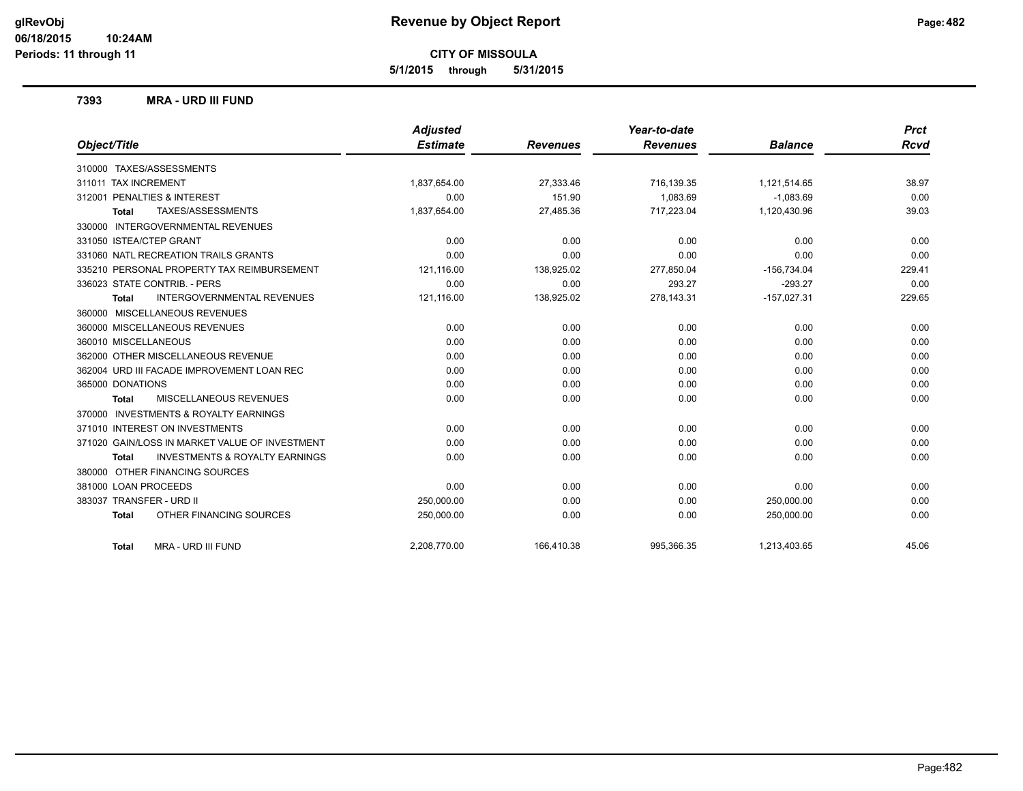**5/1/2015 through 5/31/2015**

### **7393 MRA - URD III FUND**

|                                                           | Adjusted        |                 | Year-to-date    |                | <b>Prct</b> |
|-----------------------------------------------------------|-----------------|-----------------|-----------------|----------------|-------------|
| Object/Title                                              | <b>Estimate</b> | <b>Revenues</b> | <b>Revenues</b> | <b>Balance</b> | <b>Rcvd</b> |
| 310000 TAXES/ASSESSMENTS                                  |                 |                 |                 |                |             |
| 311011 TAX INCREMENT                                      | 1,837,654.00    | 27.333.46       | 716,139.35      | 1,121,514.65   | 38.97       |
| 312001 PENALTIES & INTEREST                               | 0.00            | 151.90          | 1,083.69        | $-1,083.69$    | 0.00        |
| TAXES/ASSESSMENTS<br><b>Total</b>                         | 1,837,654.00    | 27,485.36       | 717,223.04      | 1,120,430.96   | 39.03       |
| 330000 INTERGOVERNMENTAL REVENUES                         |                 |                 |                 |                |             |
| 331050 ISTEA/CTEP GRANT                                   | 0.00            | 0.00            | 0.00            | 0.00           | 0.00        |
| 331060 NATL RECREATION TRAILS GRANTS                      | 0.00            | 0.00            | 0.00            | 0.00           | 0.00        |
| 335210 PERSONAL PROPERTY TAX REIMBURSEMENT                | 121,116.00      | 138,925.02      | 277,850.04      | $-156,734.04$  | 229.41      |
| 336023 STATE CONTRIB. - PERS                              | 0.00            | 0.00            | 293.27          | $-293.27$      | 0.00        |
| <b>INTERGOVERNMENTAL REVENUES</b><br><b>Total</b>         | 121,116.00      | 138,925.02      | 278,143.31      | $-157,027.31$  | 229.65      |
| 360000 MISCELLANEOUS REVENUES                             |                 |                 |                 |                |             |
| 360000 MISCELLANEOUS REVENUES                             | 0.00            | 0.00            | 0.00            | 0.00           | 0.00        |
| 360010 MISCELLANEOUS                                      | 0.00            | 0.00            | 0.00            | 0.00           | 0.00        |
| 362000 OTHER MISCELLANEOUS REVENUE                        | 0.00            | 0.00            | 0.00            | 0.00           | 0.00        |
| 362004 URD III FACADE IMPROVEMENT LOAN REC                | 0.00            | 0.00            | 0.00            | 0.00           | 0.00        |
| 365000 DONATIONS                                          | 0.00            | 0.00            | 0.00            | 0.00           | 0.00        |
| <b>MISCELLANEOUS REVENUES</b><br><b>Total</b>             | 0.00            | 0.00            | 0.00            | 0.00           | 0.00        |
| 370000 INVESTMENTS & ROYALTY EARNINGS                     |                 |                 |                 |                |             |
| 371010 INTEREST ON INVESTMENTS                            | 0.00            | 0.00            | 0.00            | 0.00           | 0.00        |
| 371020 GAIN/LOSS IN MARKET VALUE OF INVESTMENT            | 0.00            | 0.00            | 0.00            | 0.00           | 0.00        |
| <b>INVESTMENTS &amp; ROYALTY EARNINGS</b><br><b>Total</b> | 0.00            | 0.00            | 0.00            | 0.00           | 0.00        |
| 380000 OTHER FINANCING SOURCES                            |                 |                 |                 |                |             |
| 381000 LOAN PROCEEDS                                      | 0.00            | 0.00            | 0.00            | 0.00           | 0.00        |
| 383037 TRANSFER - URD II                                  | 250,000.00      | 0.00            | 0.00            | 250,000.00     | 0.00        |
| OTHER FINANCING SOURCES<br><b>Total</b>                   | 250,000.00      | 0.00            | 0.00            | 250,000.00     | 0.00        |
| MRA - URD III FUND<br><b>Total</b>                        | 2.208.770.00    | 166.410.38      | 995.366.35      | 1.213.403.65   | 45.06       |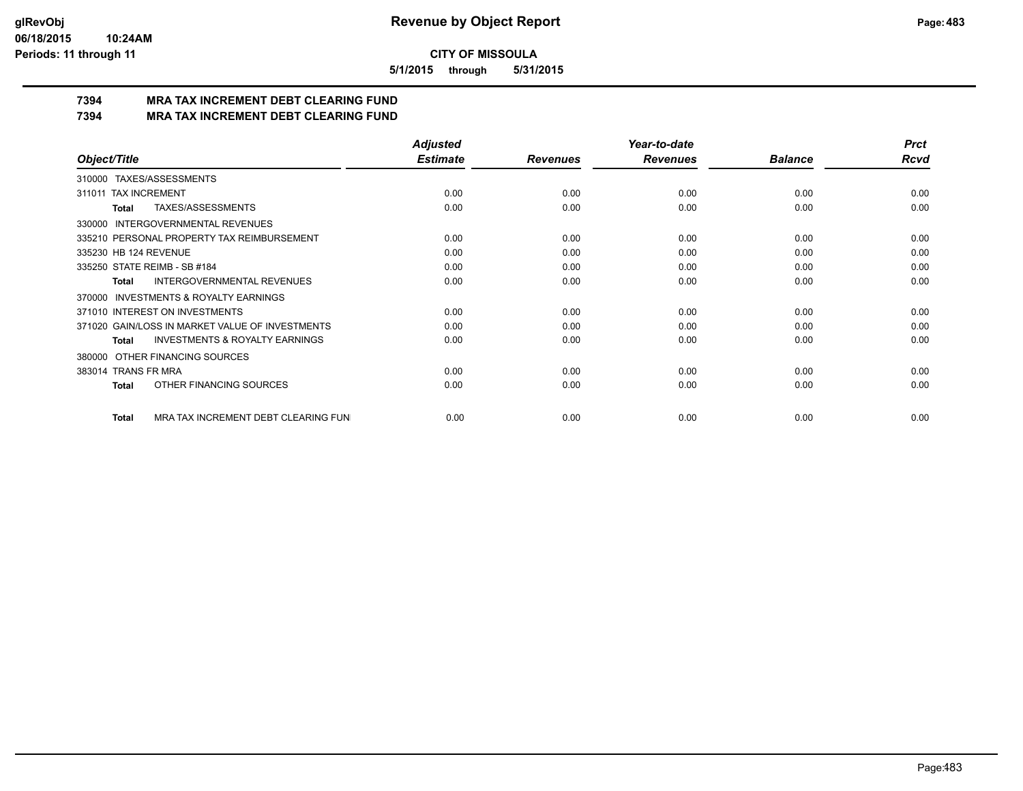**5/1/2015 through 5/31/2015**

## **7394 MRA TAX INCREMENT DEBT CLEARING FUND**

**7394 MRA TAX INCREMENT DEBT CLEARING FUND**

|                                                     | <b>Adjusted</b> |                 | Year-to-date    |                | <b>Prct</b> |
|-----------------------------------------------------|-----------------|-----------------|-----------------|----------------|-------------|
| Object/Title                                        | <b>Estimate</b> | <b>Revenues</b> | <b>Revenues</b> | <b>Balance</b> | Rcvd        |
| 310000 TAXES/ASSESSMENTS                            |                 |                 |                 |                |             |
| <b>TAX INCREMENT</b><br>311011                      | 0.00            | 0.00            | 0.00            | 0.00           | 0.00        |
| TAXES/ASSESSMENTS<br>Total                          | 0.00            | 0.00            | 0.00            | 0.00           | 0.00        |
| <b>INTERGOVERNMENTAL REVENUES</b><br>330000         |                 |                 |                 |                |             |
| 335210 PERSONAL PROPERTY TAX REIMBURSEMENT          | 0.00            | 0.00            | 0.00            | 0.00           | 0.00        |
| 335230 HB 124 REVENUE                               | 0.00            | 0.00            | 0.00            | 0.00           | 0.00        |
| 335250 STATE REIMB - SB #184                        | 0.00            | 0.00            | 0.00            | 0.00           | 0.00        |
| <b>INTERGOVERNMENTAL REVENUES</b><br>Total          | 0.00            | 0.00            | 0.00            | 0.00           | 0.00        |
| <b>INVESTMENTS &amp; ROYALTY EARNINGS</b><br>370000 |                 |                 |                 |                |             |
| 371010 INTEREST ON INVESTMENTS                      | 0.00            | 0.00            | 0.00            | 0.00           | 0.00        |
| 371020 GAIN/LOSS IN MARKET VALUE OF INVESTMENTS     | 0.00            | 0.00            | 0.00            | 0.00           | 0.00        |
| <b>INVESTMENTS &amp; ROYALTY EARNINGS</b><br>Total  | 0.00            | 0.00            | 0.00            | 0.00           | 0.00        |
| OTHER FINANCING SOURCES<br>380000                   |                 |                 |                 |                |             |
| 383014 TRANS FR MRA                                 | 0.00            | 0.00            | 0.00            | 0.00           | 0.00        |
| OTHER FINANCING SOURCES<br>Total                    | 0.00            | 0.00            | 0.00            | 0.00           | 0.00        |
| MRA TAX INCREMENT DEBT CLEARING FUN<br>Total        | 0.00            | 0.00            | 0.00            | 0.00           | 0.00        |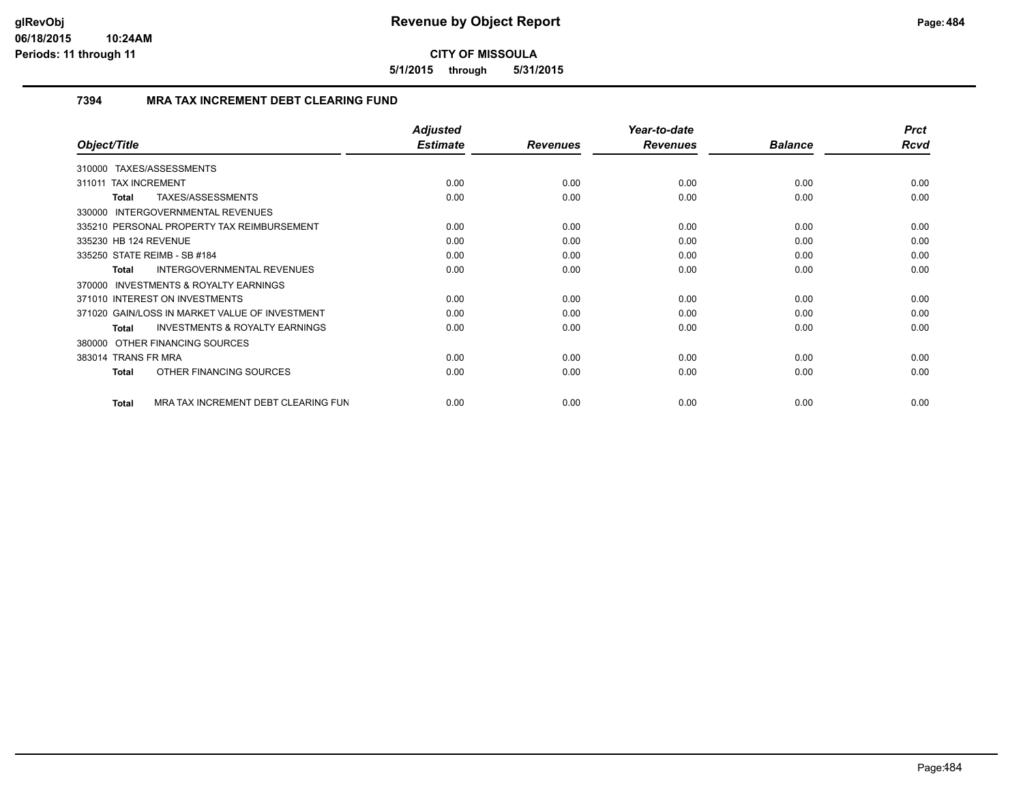**5/1/2015 through 5/31/2015**

## **7394 MRA TAX INCREMENT DEBT CLEARING FUND**

| Object/Title                                        | <b>Adjusted</b><br><b>Estimate</b> | <b>Revenues</b> | Year-to-date<br><b>Revenues</b> | <b>Balance</b> | <b>Prct</b><br>Rcvd |
|-----------------------------------------------------|------------------------------------|-----------------|---------------------------------|----------------|---------------------|
| TAXES/ASSESSMENTS<br>310000                         |                                    |                 |                                 |                |                     |
| 311011 TAX INCREMENT                                | 0.00                               | 0.00            | 0.00                            | 0.00           | 0.00                |
| TAXES/ASSESSMENTS<br><b>Total</b>                   | 0.00                               | 0.00            | 0.00                            | 0.00           | 0.00                |
| 330000 INTERGOVERNMENTAL REVENUES                   |                                    |                 |                                 |                |                     |
| 335210 PERSONAL PROPERTY TAX REIMBURSEMENT          | 0.00                               | 0.00            | 0.00                            | 0.00           | 0.00                |
| 335230 HB 124 REVENUE                               | 0.00                               | 0.00            | 0.00                            | 0.00           | 0.00                |
| 335250 STATE REIMB - SB #184                        | 0.00                               | 0.00            | 0.00                            | 0.00           | 0.00                |
| <b>INTERGOVERNMENTAL REVENUES</b><br><b>Total</b>   | 0.00                               | 0.00            | 0.00                            | 0.00           | 0.00                |
| <b>INVESTMENTS &amp; ROYALTY EARNINGS</b><br>370000 |                                    |                 |                                 |                |                     |
| 371010 INTEREST ON INVESTMENTS                      | 0.00                               | 0.00            | 0.00                            | 0.00           | 0.00                |
| 371020 GAIN/LOSS IN MARKET VALUE OF INVESTMENT      | 0.00                               | 0.00            | 0.00                            | 0.00           | 0.00                |
| <b>INVESTMENTS &amp; ROYALTY EARNINGS</b><br>Total  | 0.00                               | 0.00            | 0.00                            | 0.00           | 0.00                |
| 380000 OTHER FINANCING SOURCES                      |                                    |                 |                                 |                |                     |
| 383014 TRANS FR MRA                                 | 0.00                               | 0.00            | 0.00                            | 0.00           | 0.00                |
| OTHER FINANCING SOURCES<br><b>Total</b>             | 0.00                               | 0.00            | 0.00                            | 0.00           | 0.00                |
| MRA TAX INCREMENT DEBT CLEARING FUN<br><b>Total</b> | 0.00                               | 0.00            | 0.00                            | 0.00           | 0.00                |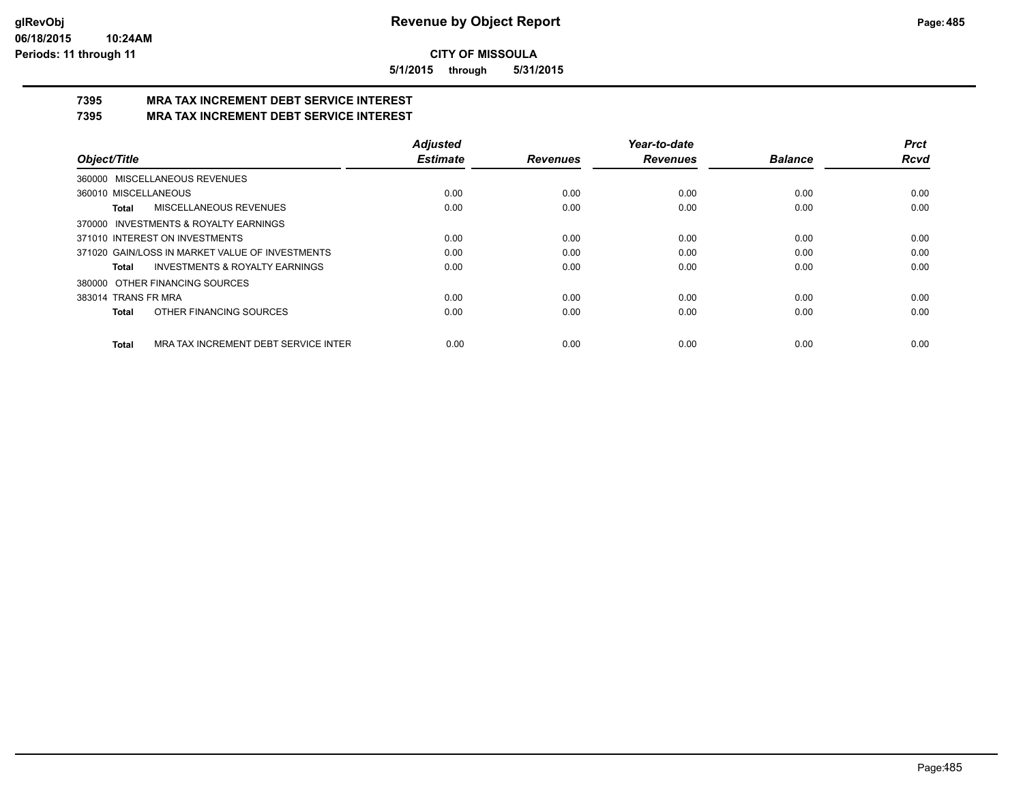**5/1/2015 through 5/31/2015**

#### **7395 MRA TAX INCREMENT DEBT SERVICE INTEREST 7395 MRA TAX INCREMENT DEBT SERVICE INTEREST**

|                                                      | <b>Adjusted</b> |                 | Year-to-date    |                | Prct        |
|------------------------------------------------------|-----------------|-----------------|-----------------|----------------|-------------|
| Object/Title                                         | <b>Estimate</b> | <b>Revenues</b> | <b>Revenues</b> | <b>Balance</b> | <b>Rcvd</b> |
| 360000 MISCELLANEOUS REVENUES                        |                 |                 |                 |                |             |
| 360010 MISCELLANEOUS                                 | 0.00            | 0.00            | 0.00            | 0.00           | 0.00        |
| MISCELLANEOUS REVENUES<br>Total                      | 0.00            | 0.00            | 0.00            | 0.00           | 0.00        |
| 370000 INVESTMENTS & ROYALTY EARNINGS                |                 |                 |                 |                |             |
| 371010 INTEREST ON INVESTMENTS                       | 0.00            | 0.00            | 0.00            | 0.00           | 0.00        |
| 371020 GAIN/LOSS IN MARKET VALUE OF INVESTMENTS      | 0.00            | 0.00            | 0.00            | 0.00           | 0.00        |
| <b>INVESTMENTS &amp; ROYALTY EARNINGS</b><br>Total   | 0.00            | 0.00            | 0.00            | 0.00           | 0.00        |
| OTHER FINANCING SOURCES<br>380000                    |                 |                 |                 |                |             |
| 383014 TRANS FR MRA                                  | 0.00            | 0.00            | 0.00            | 0.00           | 0.00        |
| OTHER FINANCING SOURCES<br><b>Total</b>              | 0.00            | 0.00            | 0.00            | 0.00           | 0.00        |
| MRA TAX INCREMENT DEBT SERVICE INTER<br><b>Total</b> | 0.00            | 0.00            | 0.00            | 0.00           | 0.00        |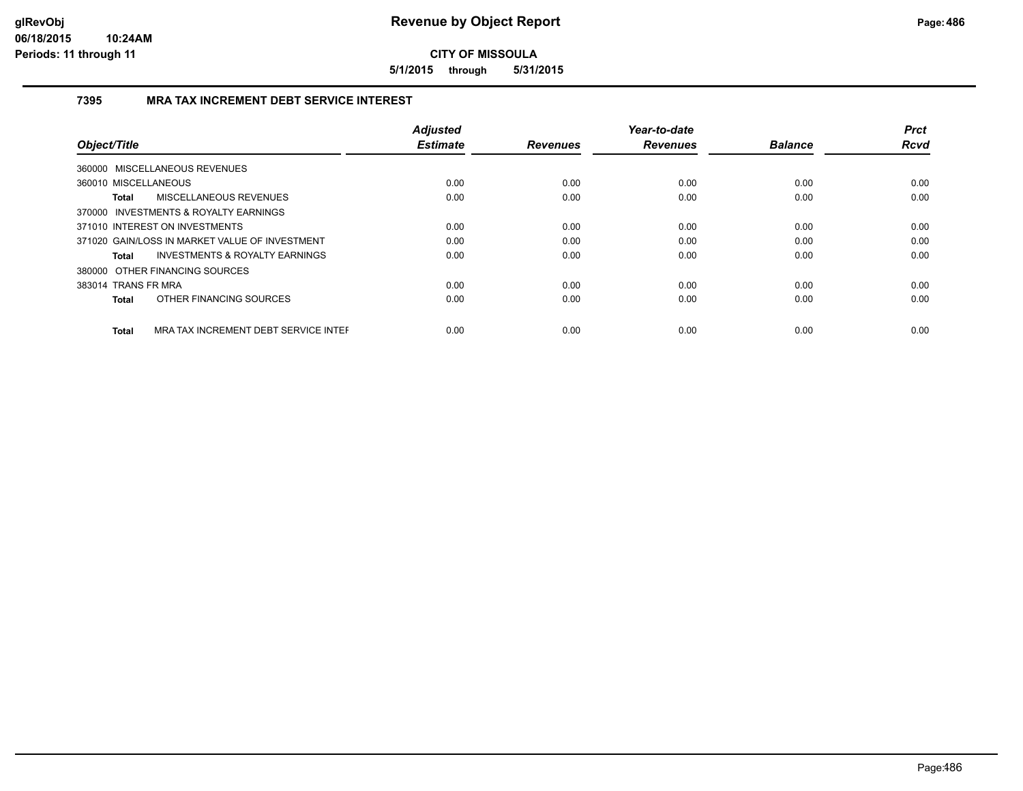**5/1/2015 through 5/31/2015**

## **7395 MRA TAX INCREMENT DEBT SERVICE INTEREST**

|                                                      | <b>Adjusted</b><br><b>Estimate</b> |                 | Year-to-date    | <b>Balance</b> | <b>Prct</b><br><b>Rcvd</b> |
|------------------------------------------------------|------------------------------------|-----------------|-----------------|----------------|----------------------------|
| Object/Title                                         |                                    | <b>Revenues</b> | <b>Revenues</b> |                |                            |
| 360000 MISCELLANEOUS REVENUES                        |                                    |                 |                 |                |                            |
| 360010 MISCELLANEOUS                                 | 0.00                               | 0.00            | 0.00            | 0.00           | 0.00                       |
| MISCELLANEOUS REVENUES<br><b>Total</b>               | 0.00                               | 0.00            | 0.00            | 0.00           | 0.00                       |
| 370000 INVESTMENTS & ROYALTY EARNINGS                |                                    |                 |                 |                |                            |
| 371010 INTEREST ON INVESTMENTS                       | 0.00                               | 0.00            | 0.00            | 0.00           | 0.00                       |
| 371020 GAIN/LOSS IN MARKET VALUE OF INVESTMENT       | 0.00                               | 0.00            | 0.00            | 0.00           | 0.00                       |
| INVESTMENTS & ROYALTY EARNINGS<br>Total              | 0.00                               | 0.00            | 0.00            | 0.00           | 0.00                       |
| 380000 OTHER FINANCING SOURCES                       |                                    |                 |                 |                |                            |
| 383014 TRANS FR MRA                                  | 0.00                               | 0.00            | 0.00            | 0.00           | 0.00                       |
| OTHER FINANCING SOURCES<br>Total                     | 0.00                               | 0.00            | 0.00            | 0.00           | 0.00                       |
| MRA TAX INCREMENT DEBT SERVICE INTEF<br><b>Total</b> | 0.00                               | 0.00            | 0.00            | 0.00           | 0.00                       |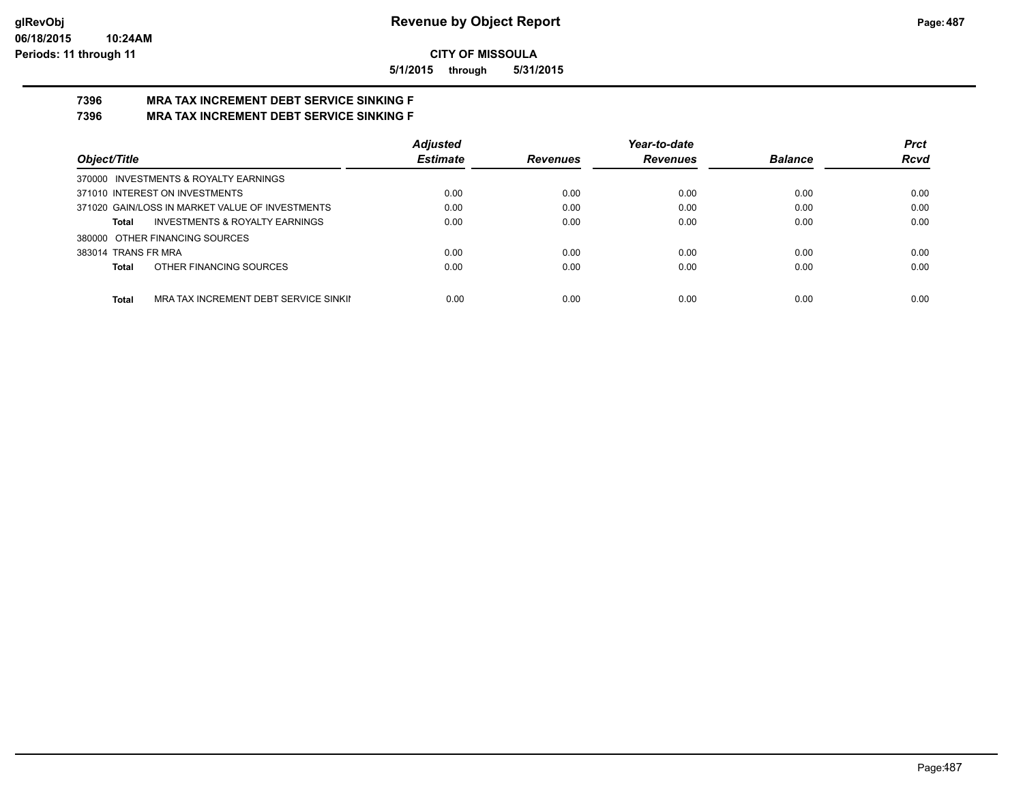**5/1/2015 through 5/31/2015**

#### **7396 MRA TAX INCREMENT DEBT SERVICE SINKING F 7396 MRA TAX INCREMENT DEBT SERVICE SINKING F**

|                                                       | <b>Adjusted</b> |                 | Year-to-date    |                | <b>Prct</b> |
|-------------------------------------------------------|-----------------|-----------------|-----------------|----------------|-------------|
| Object/Title                                          | <b>Estimate</b> | <b>Revenues</b> | <b>Revenues</b> | <b>Balance</b> | Rcvd        |
| 370000 INVESTMENTS & ROYALTY EARNINGS                 |                 |                 |                 |                |             |
| 371010 INTEREST ON INVESTMENTS                        | 0.00            | 0.00            | 0.00            | 0.00           | 0.00        |
| 371020 GAIN/LOSS IN MARKET VALUE OF INVESTMENTS       | 0.00            | 0.00            | 0.00            | 0.00           | 0.00        |
| <b>INVESTMENTS &amp; ROYALTY EARNINGS</b><br>Total    | 0.00            | 0.00            | 0.00            | 0.00           | 0.00        |
| 380000 OTHER FINANCING SOURCES                        |                 |                 |                 |                |             |
| 383014 TRANS FR MRA                                   | 0.00            | 0.00            | 0.00            | 0.00           | 0.00        |
| OTHER FINANCING SOURCES<br><b>Total</b>               | 0.00            | 0.00            | 0.00            | 0.00           | 0.00        |
| <b>Total</b><br>MRA TAX INCREMENT DEBT SERVICE SINKII | 0.00            | 0.00            | 0.00            | 0.00           | 0.00        |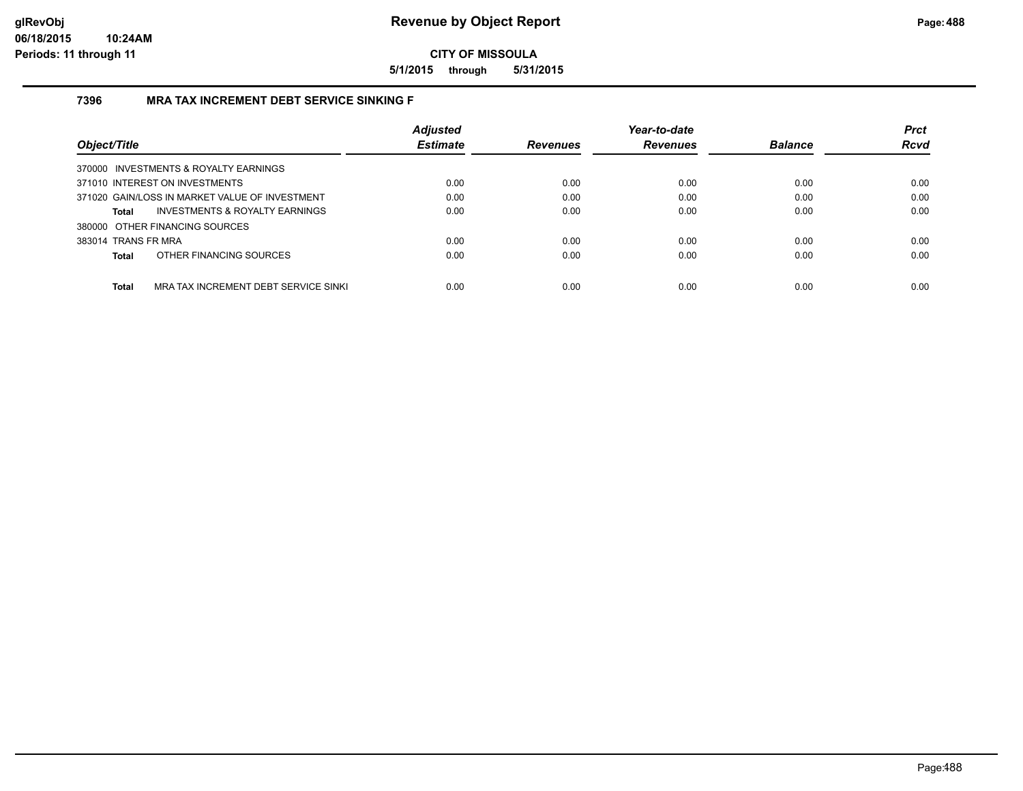**5/1/2015 through 5/31/2015**

## **7396 MRA TAX INCREMENT DEBT SERVICE SINKING F**

|                                                      | <b>Adjusted</b> |                 | Year-to-date    |                | <b>Prct</b> |
|------------------------------------------------------|-----------------|-----------------|-----------------|----------------|-------------|
| Object/Title                                         | <b>Estimate</b> | <b>Revenues</b> | <b>Revenues</b> | <b>Balance</b> | <b>Rcvd</b> |
| 370000 INVESTMENTS & ROYALTY EARNINGS                |                 |                 |                 |                |             |
| 371010 INTEREST ON INVESTMENTS                       | 0.00            | 0.00            | 0.00            | 0.00           | 0.00        |
| 371020 GAIN/LOSS IN MARKET VALUE OF INVESTMENT       | 0.00            | 0.00            | 0.00            | 0.00           | 0.00        |
| <b>INVESTMENTS &amp; ROYALTY EARNINGS</b><br>Total   | 0.00            | 0.00            | 0.00            | 0.00           | 0.00        |
| 380000 OTHER FINANCING SOURCES                       |                 |                 |                 |                |             |
| 383014 TRANS FR MRA                                  | 0.00            | 0.00            | 0.00            | 0.00           | 0.00        |
| OTHER FINANCING SOURCES<br>Total                     | 0.00            | 0.00            | 0.00            | 0.00           | 0.00        |
|                                                      |                 |                 |                 |                |             |
| <b>Total</b><br>MRA TAX INCREMENT DEBT SERVICE SINKI | 0.00            | 0.00            | 0.00            | 0.00           | 0.00        |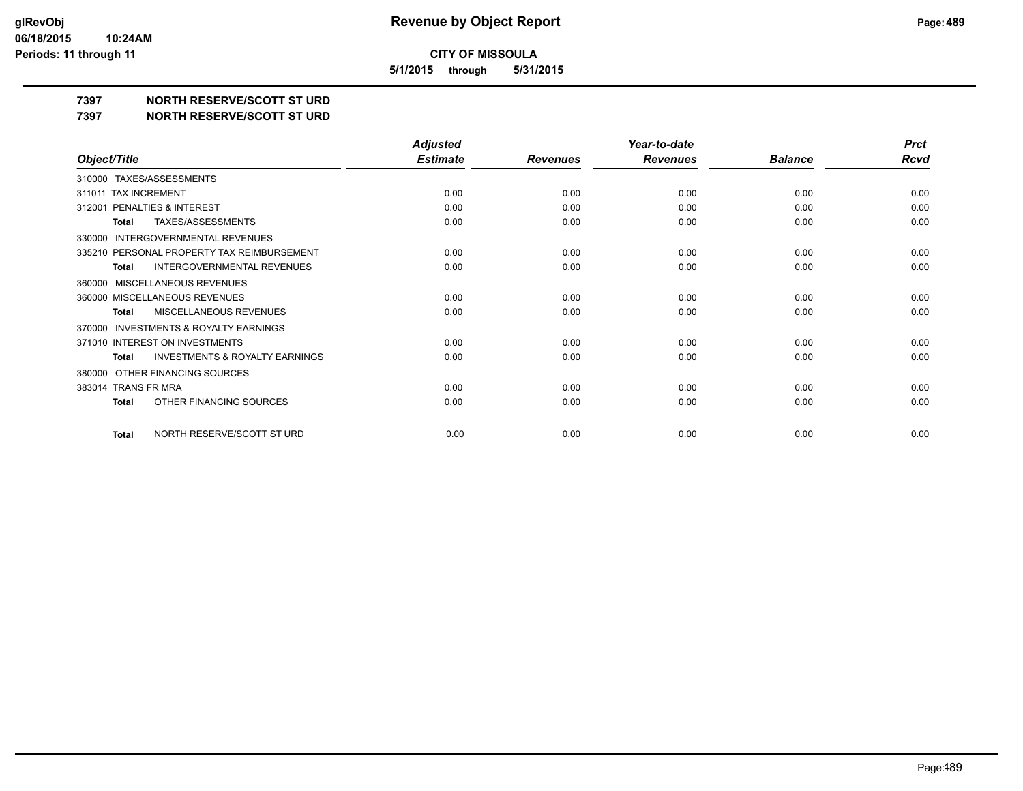**5/1/2015 through 5/31/2015**

# **7397 NORTH RESERVE/SCOTT ST URD**

**7397 NORTH RESERVE/SCOTT ST URD**

|                                                           | <b>Adjusted</b> |                 | Year-to-date    |                | <b>Prct</b> |
|-----------------------------------------------------------|-----------------|-----------------|-----------------|----------------|-------------|
| Object/Title                                              | <b>Estimate</b> | <b>Revenues</b> | <b>Revenues</b> | <b>Balance</b> | <b>Rcvd</b> |
| 310000 TAXES/ASSESSMENTS                                  |                 |                 |                 |                |             |
| <b>TAX INCREMENT</b><br>311011                            | 0.00            | 0.00            | 0.00            | 0.00           | 0.00        |
| PENALTIES & INTEREST<br>312001                            | 0.00            | 0.00            | 0.00            | 0.00           | 0.00        |
| TAXES/ASSESSMENTS<br><b>Total</b>                         | 0.00            | 0.00            | 0.00            | 0.00           | 0.00        |
| <b>INTERGOVERNMENTAL REVENUES</b><br>330000               |                 |                 |                 |                |             |
| 335210 PERSONAL PROPERTY TAX REIMBURSEMENT                | 0.00            | 0.00            | 0.00            | 0.00           | 0.00        |
| INTERGOVERNMENTAL REVENUES<br><b>Total</b>                | 0.00            | 0.00            | 0.00            | 0.00           | 0.00        |
| 360000 MISCELLANEOUS REVENUES                             |                 |                 |                 |                |             |
| 360000 MISCELLANEOUS REVENUES                             | 0.00            | 0.00            | 0.00            | 0.00           | 0.00        |
| <b>MISCELLANEOUS REVENUES</b><br><b>Total</b>             | 0.00            | 0.00            | 0.00            | 0.00           | 0.00        |
| <b>INVESTMENTS &amp; ROYALTY EARNINGS</b><br>370000       |                 |                 |                 |                |             |
| 371010 INTEREST ON INVESTMENTS                            | 0.00            | 0.00            | 0.00            | 0.00           | 0.00        |
| <b>INVESTMENTS &amp; ROYALTY EARNINGS</b><br><b>Total</b> | 0.00            | 0.00            | 0.00            | 0.00           | 0.00        |
| OTHER FINANCING SOURCES<br>380000                         |                 |                 |                 |                |             |
| 383014 TRANS FR MRA                                       | 0.00            | 0.00            | 0.00            | 0.00           | 0.00        |
| OTHER FINANCING SOURCES<br><b>Total</b>                   | 0.00            | 0.00            | 0.00            | 0.00           | 0.00        |
|                                                           |                 |                 |                 |                |             |
| NORTH RESERVE/SCOTT ST URD<br><b>Total</b>                | 0.00            | 0.00            | 0.00            | 0.00           | 0.00        |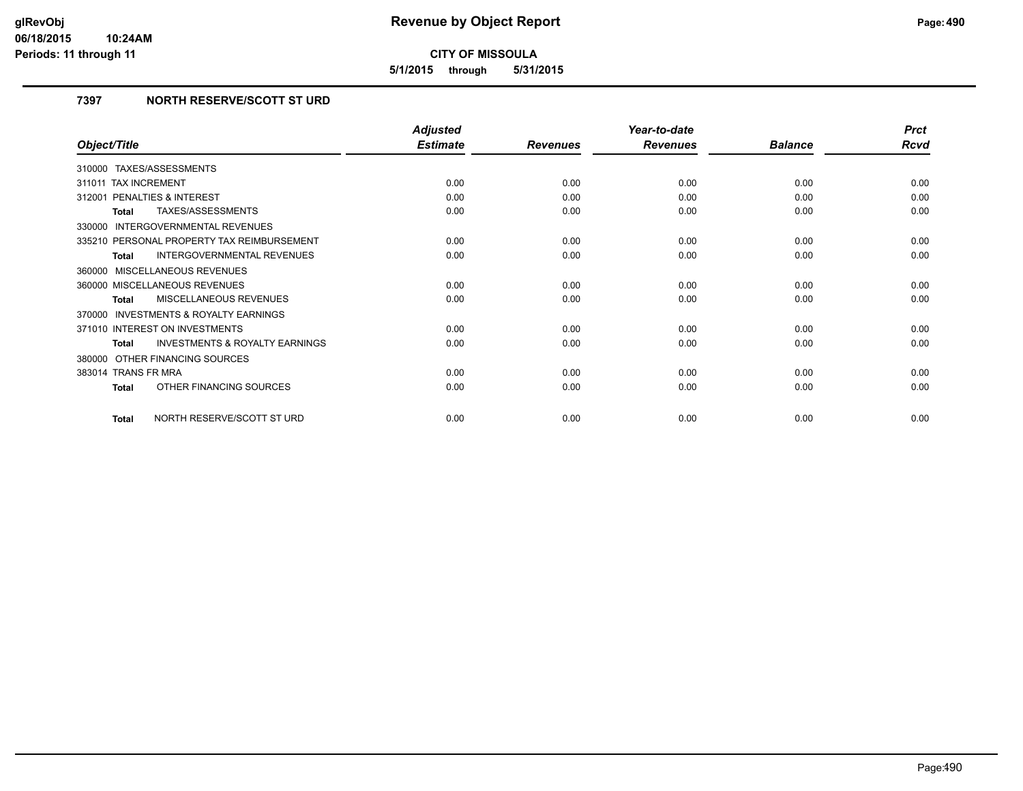**5/1/2015 through 5/31/2015**

## **7397 NORTH RESERVE/SCOTT ST URD**

|                                                           | <b>Adjusted</b> |                 | Year-to-date    |                | <b>Prct</b> |
|-----------------------------------------------------------|-----------------|-----------------|-----------------|----------------|-------------|
| Object/Title                                              | <b>Estimate</b> | <b>Revenues</b> | <b>Revenues</b> | <b>Balance</b> | <b>Rcvd</b> |
| TAXES/ASSESSMENTS<br>310000                               |                 |                 |                 |                |             |
| 311011 TAX INCREMENT                                      | 0.00            | 0.00            | 0.00            | 0.00           | 0.00        |
| PENALTIES & INTEREST<br>312001                            | 0.00            | 0.00            | 0.00            | 0.00           | 0.00        |
| TAXES/ASSESSMENTS<br><b>Total</b>                         | 0.00            | 0.00            | 0.00            | 0.00           | 0.00        |
| 330000 INTERGOVERNMENTAL REVENUES                         |                 |                 |                 |                |             |
| 335210 PERSONAL PROPERTY TAX REIMBURSEMENT                | 0.00            | 0.00            | 0.00            | 0.00           | 0.00        |
| <b>INTERGOVERNMENTAL REVENUES</b><br><b>Total</b>         | 0.00            | 0.00            | 0.00            | 0.00           | 0.00        |
| 360000 MISCELLANEOUS REVENUES                             |                 |                 |                 |                |             |
| 360000 MISCELLANEOUS REVENUES                             | 0.00            | 0.00            | 0.00            | 0.00           | 0.00        |
| <b>MISCELLANEOUS REVENUES</b><br><b>Total</b>             | 0.00            | 0.00            | 0.00            | 0.00           | 0.00        |
| 370000 INVESTMENTS & ROYALTY EARNINGS                     |                 |                 |                 |                |             |
| 371010 INTEREST ON INVESTMENTS                            | 0.00            | 0.00            | 0.00            | 0.00           | 0.00        |
| <b>INVESTMENTS &amp; ROYALTY EARNINGS</b><br><b>Total</b> | 0.00            | 0.00            | 0.00            | 0.00           | 0.00        |
| 380000 OTHER FINANCING SOURCES                            |                 |                 |                 |                |             |
| 383014 TRANS FR MRA                                       | 0.00            | 0.00            | 0.00            | 0.00           | 0.00        |
| OTHER FINANCING SOURCES<br><b>Total</b>                   | 0.00            | 0.00            | 0.00            | 0.00           | 0.00        |
| NORTH RESERVE/SCOTT ST URD<br><b>Total</b>                | 0.00            | 0.00            | 0.00            | 0.00           | 0.00        |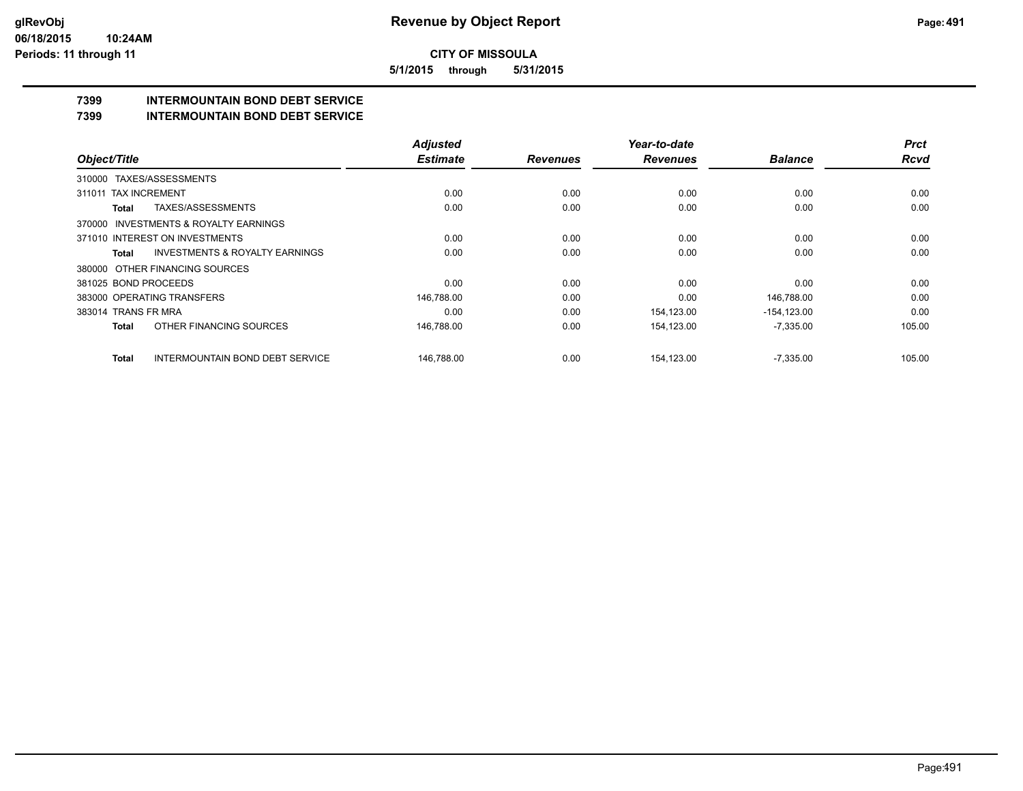**5/1/2015 through 5/31/2015**

## **7399 INTERMOUNTAIN BOND DEBT SERVICE**

## **7399 INTERMOUNTAIN BOND DEBT SERVICE**

|                                                        | <b>Adjusted</b> |                 | Year-to-date    |                | <b>Prct</b> |
|--------------------------------------------------------|-----------------|-----------------|-----------------|----------------|-------------|
| Object/Title                                           | <b>Estimate</b> | <b>Revenues</b> | <b>Revenues</b> | <b>Balance</b> | <b>Rcvd</b> |
| TAXES/ASSESSMENTS<br>310000                            |                 |                 |                 |                |             |
| 311011 TAX INCREMENT                                   | 0.00            | 0.00            | 0.00            | 0.00           | 0.00        |
| TAXES/ASSESSMENTS<br>Total                             | 0.00            | 0.00            | 0.00            | 0.00           | 0.00        |
| INVESTMENTS & ROYALTY EARNINGS<br>370000               |                 |                 |                 |                |             |
| 371010 INTEREST ON INVESTMENTS                         | 0.00            | 0.00            | 0.00            | 0.00           | 0.00        |
| <b>INVESTMENTS &amp; ROYALTY EARNINGS</b><br>Total     | 0.00            | 0.00            | 0.00            | 0.00           | 0.00        |
| 380000 OTHER FINANCING SOURCES                         |                 |                 |                 |                |             |
| 381025 BOND PROCEEDS                                   | 0.00            | 0.00            | 0.00            | 0.00           | 0.00        |
| 383000 OPERATING TRANSFERS                             | 146,788.00      | 0.00            | 0.00            | 146,788.00     | 0.00        |
| 383014 TRANS FR MRA                                    | 0.00            | 0.00            | 154,123.00      | $-154, 123.00$ | 0.00        |
| OTHER FINANCING SOURCES<br><b>Total</b>                | 146,788.00      | 0.00            | 154,123.00      | $-7,335.00$    | 105.00      |
| <b>INTERMOUNTAIN BOND DEBT SERVICE</b><br><b>Total</b> | 146.788.00      | 0.00            | 154.123.00      | $-7,335.00$    | 105.00      |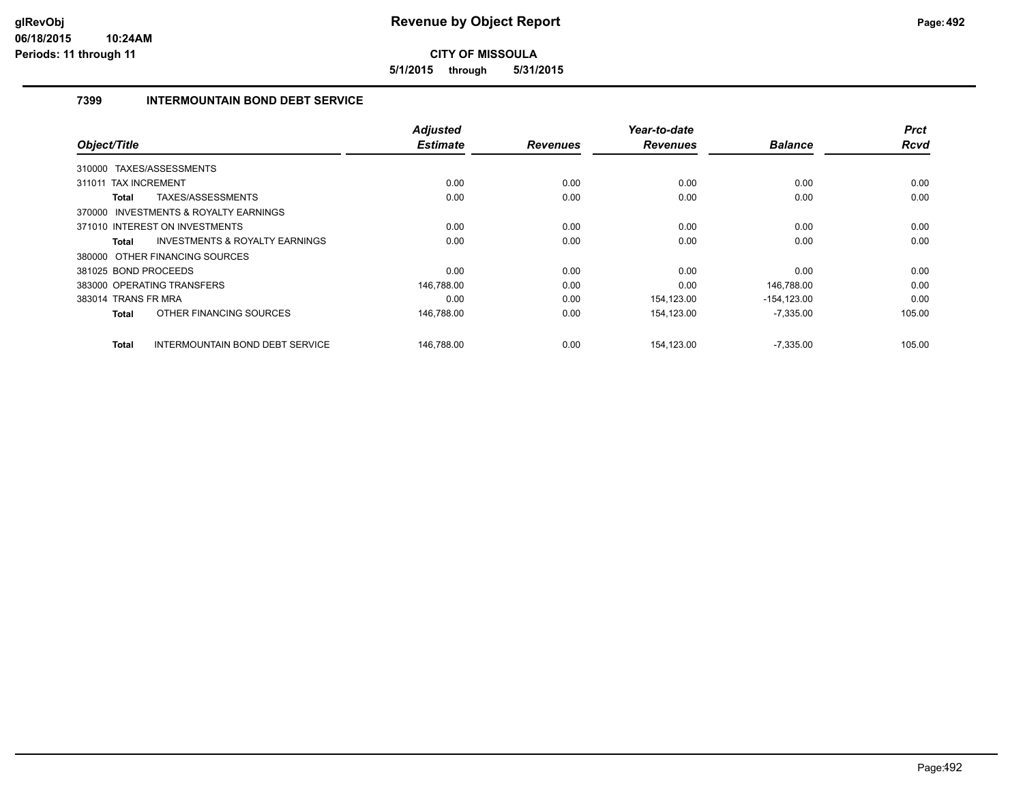**5/1/2015 through 5/31/2015**

## **7399 INTERMOUNTAIN BOND DEBT SERVICE**

|                                       |                                           | <b>Adjusted</b> |                 | Year-to-date    |                | <b>Prct</b> |
|---------------------------------------|-------------------------------------------|-----------------|-----------------|-----------------|----------------|-------------|
| Object/Title                          |                                           | <b>Estimate</b> | <b>Revenues</b> | <b>Revenues</b> | <b>Balance</b> | Rcvd        |
| 310000 TAXES/ASSESSMENTS              |                                           |                 |                 |                 |                |             |
| <b>TAX INCREMENT</b><br>311011        |                                           | 0.00            | 0.00            | 0.00            | 0.00           | 0.00        |
| TAXES/ASSESSMENTS<br>Total            |                                           | 0.00            | 0.00            | 0.00            | 0.00           | 0.00        |
| 370000 INVESTMENTS & ROYALTY EARNINGS |                                           |                 |                 |                 |                |             |
| 371010 INTEREST ON INVESTMENTS        |                                           | 0.00            | 0.00            | 0.00            | 0.00           | 0.00        |
| <b>Total</b>                          | <b>INVESTMENTS &amp; ROYALTY EARNINGS</b> | 0.00            | 0.00            | 0.00            | 0.00           | 0.00        |
| 380000 OTHER FINANCING SOURCES        |                                           |                 |                 |                 |                |             |
| 381025 BOND PROCEEDS                  |                                           | 0.00            | 0.00            | 0.00            | 0.00           | 0.00        |
| 383000 OPERATING TRANSFERS            |                                           | 146,788.00      | 0.00            | 0.00            | 146,788.00     | 0.00        |
| 383014 TRANS FR MRA                   |                                           | 0.00            | 0.00            | 154,123.00      | $-154, 123.00$ | 0.00        |
| <b>Total</b>                          | OTHER FINANCING SOURCES                   | 146,788.00      | 0.00            | 154.123.00      | $-7,335.00$    | 105.00      |
| Total                                 | INTERMOUNTAIN BOND DEBT SERVICE           | 146,788.00      | 0.00            | 154,123.00      | $-7,335.00$    | 105.00      |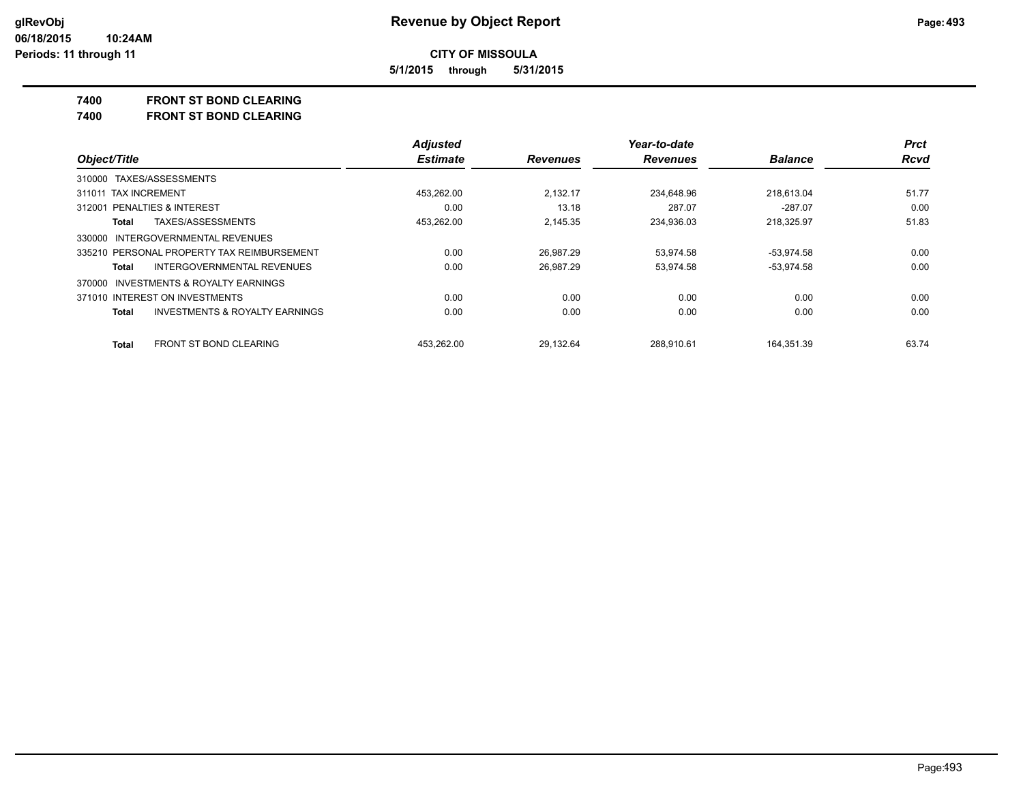**5/1/2015 through 5/31/2015**

## **7400 FRONT ST BOND CLEARING**

**7400 FRONT ST BOND CLEARING**

|                                                           | <b>Adjusted</b> |                 | Year-to-date    |                | <b>Prct</b> |
|-----------------------------------------------------------|-----------------|-----------------|-----------------|----------------|-------------|
| Object/Title                                              | <b>Estimate</b> | <b>Revenues</b> | <b>Revenues</b> | <b>Balance</b> | <b>Rcvd</b> |
| 310000 TAXES/ASSESSMENTS                                  |                 |                 |                 |                |             |
| 311011 TAX INCREMENT                                      | 453.262.00      | 2.132.17        | 234.648.96      | 218.613.04     | 51.77       |
| 312001 PENALTIES & INTEREST                               | 0.00            | 13.18           | 287.07          | $-287.07$      | 0.00        |
| TAXES/ASSESSMENTS<br>Total                                | 453,262.00      | 2.145.35        | 234,936.03      | 218,325.97     | 51.83       |
| 330000 INTERGOVERNMENTAL REVENUES                         |                 |                 |                 |                |             |
| 335210 PERSONAL PROPERTY TAX REIMBURSEMENT                | 0.00            | 26.987.29       | 53.974.58       | $-53,974.58$   | 0.00        |
| INTERGOVERNMENTAL REVENUES<br>Total                       | 0.00            | 26,987.29       | 53,974.58       | $-53,974.58$   | 0.00        |
| 370000 INVESTMENTS & ROYALTY EARNINGS                     |                 |                 |                 |                |             |
| 371010 INTEREST ON INVESTMENTS                            | 0.00            | 0.00            | 0.00            | 0.00           | 0.00        |
| <b>INVESTMENTS &amp; ROYALTY EARNINGS</b><br><b>Total</b> | 0.00            | 0.00            | 0.00            | 0.00           | 0.00        |
| <b>FRONT ST BOND CLEARING</b><br><b>Total</b>             | 453.262.00      | 29.132.64       | 288.910.61      | 164.351.39     | 63.74       |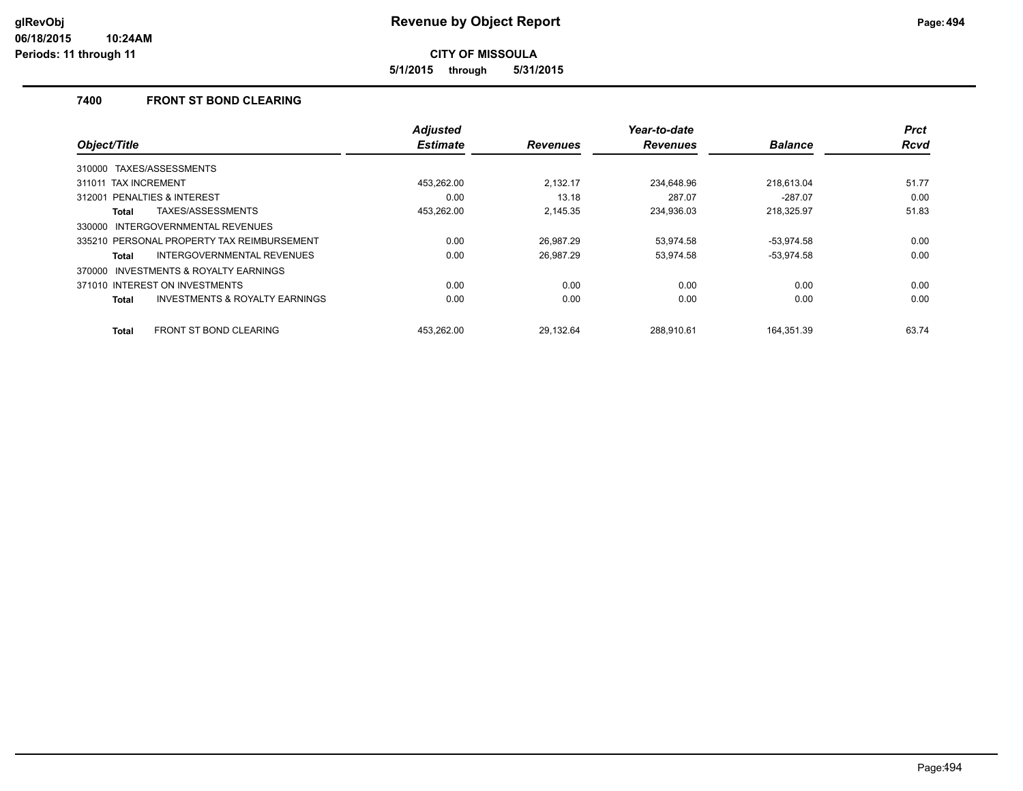**5/1/2015 through 5/31/2015**

## **7400 FRONT ST BOND CLEARING**

|                                                           | <b>Adjusted</b> |                 | Year-to-date    |                | <b>Prct</b> |
|-----------------------------------------------------------|-----------------|-----------------|-----------------|----------------|-------------|
| Object/Title                                              | <b>Estimate</b> | <b>Revenues</b> | <b>Revenues</b> | <b>Balance</b> | <b>Rcvd</b> |
| TAXES/ASSESSMENTS<br>310000                               |                 |                 |                 |                |             |
| 311011 TAX INCREMENT                                      | 453.262.00      | 2.132.17        | 234.648.96      | 218.613.04     | 51.77       |
| PENALTIES & INTEREST<br>312001                            | 0.00            | 13.18           | 287.07          | $-287.07$      | 0.00        |
| TAXES/ASSESSMENTS<br>Total                                | 453.262.00      | 2.145.35        | 234,936.03      | 218.325.97     | 51.83       |
| INTERGOVERNMENTAL REVENUES<br>330000                      |                 |                 |                 |                |             |
| 335210 PERSONAL PROPERTY TAX REIMBURSEMENT                | 0.00            | 26,987.29       | 53,974.58       | $-53,974.58$   | 0.00        |
| <b>INTERGOVERNMENTAL REVENUES</b><br>Total                | 0.00            | 26,987.29       | 53,974.58       | $-53,974.58$   | 0.00        |
| <b>INVESTMENTS &amp; ROYALTY EARNINGS</b><br>370000       |                 |                 |                 |                |             |
| 371010 INTEREST ON INVESTMENTS                            | 0.00            | 0.00            | 0.00            | 0.00           | 0.00        |
| <b>INVESTMENTS &amp; ROYALTY EARNINGS</b><br><b>Total</b> | 0.00            | 0.00            | 0.00            | 0.00           | 0.00        |
| <b>FRONT ST BOND CLEARING</b><br><b>Total</b>             | 453.262.00      | 29.132.64       | 288.910.61      | 164.351.39     | 63.74       |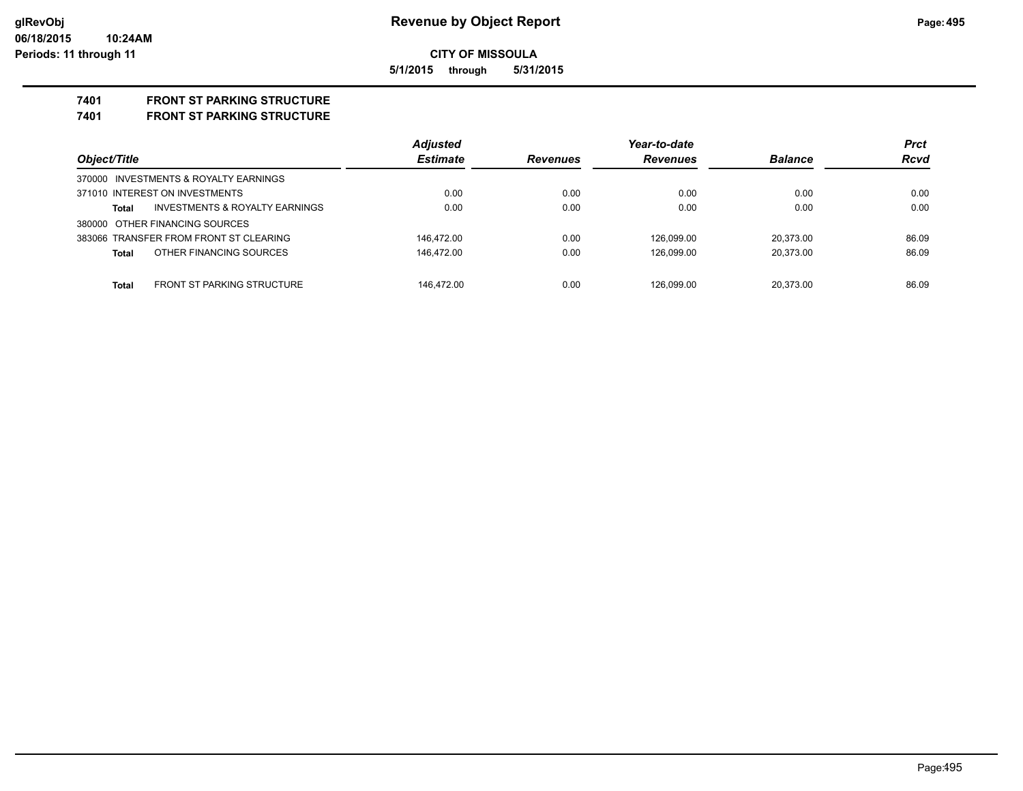## **CITY OF MISSOULA 5/1/2015 through 5/31/2015**

**7401 FRONT ST PARKING STRUCTURE**

**7401 FRONT ST PARKING STRUCTURE**

|                                                           | <b>Adjusted</b> |                 | Year-to-date    |                | <b>Prct</b> |
|-----------------------------------------------------------|-----------------|-----------------|-----------------|----------------|-------------|
| Object/Title                                              | <b>Estimate</b> | <b>Revenues</b> | <b>Revenues</b> | <b>Balance</b> | <b>Rcvd</b> |
| 370000 INVESTMENTS & ROYALTY EARNINGS                     |                 |                 |                 |                |             |
| 371010 INTEREST ON INVESTMENTS                            | 0.00            | 0.00            | 0.00            | 0.00           | 0.00        |
| <b>INVESTMENTS &amp; ROYALTY EARNINGS</b><br><b>Total</b> | 0.00            | 0.00            | 0.00            | 0.00           | 0.00        |
| 380000 OTHER FINANCING SOURCES                            |                 |                 |                 |                |             |
| 383066 TRANSFER FROM FRONT ST CLEARING                    | 146.472.00      | 0.00            | 126,099.00      | 20.373.00      | 86.09       |
| OTHER FINANCING SOURCES<br><b>Total</b>                   | 146.472.00      | 0.00            | 126,099.00      | 20.373.00      | 86.09       |
| <b>FRONT ST PARKING STRUCTURE</b><br><b>Total</b>         | 146.472.00      | 0.00            | 126.099.00      | 20.373.00      | 86.09       |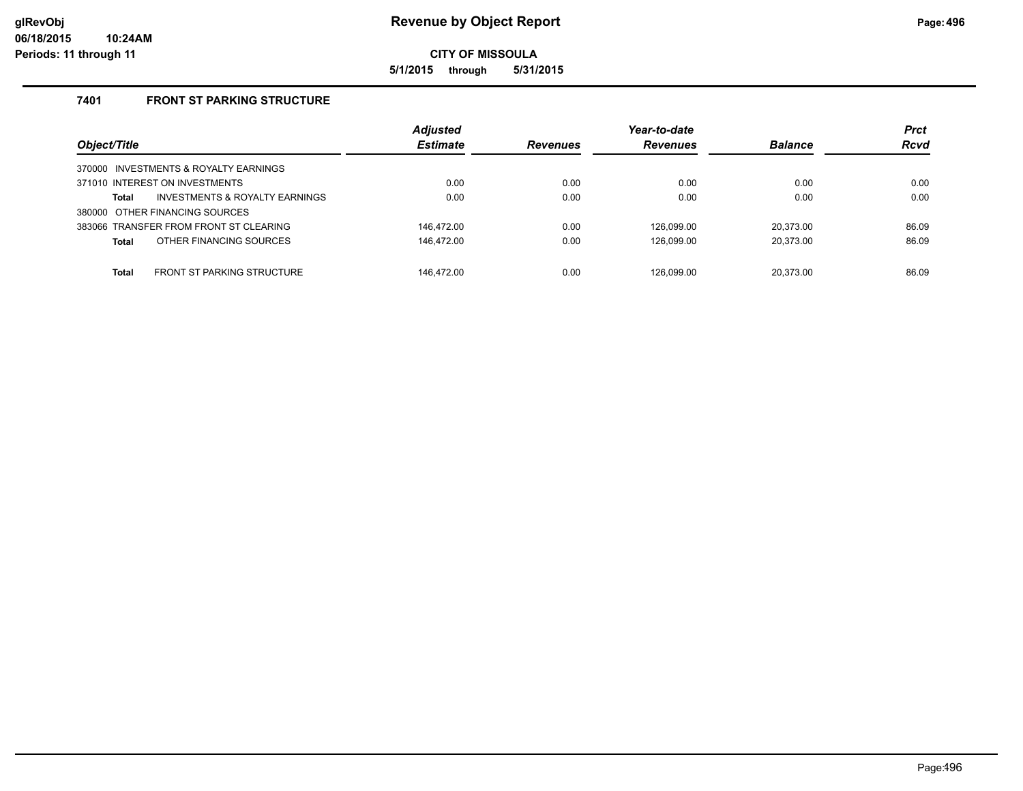**5/1/2015 through 5/31/2015**

## **7401 FRONT ST PARKING STRUCTURE**

| Object/Title                                      | <b>Adjusted</b><br><b>Estimate</b> | <b>Revenues</b> | Year-to-date<br><b>Revenues</b> | <b>Balance</b> | <b>Prct</b><br><b>Rcvd</b> |
|---------------------------------------------------|------------------------------------|-----------------|---------------------------------|----------------|----------------------------|
| 370000 INVESTMENTS & ROYALTY EARNINGS             |                                    |                 |                                 |                |                            |
| 371010 INTEREST ON INVESTMENTS                    | 0.00                               | 0.00            | 0.00                            | 0.00           | 0.00                       |
| INVESTMENTS & ROYALTY EARNINGS<br><b>Total</b>    | 0.00                               | 0.00            | 0.00                            | 0.00           | 0.00                       |
| 380000 OTHER FINANCING SOURCES                    |                                    |                 |                                 |                |                            |
| 383066 TRANSFER FROM FRONT ST CLEARING            | 146.472.00                         | 0.00            | 126.099.00                      | 20.373.00      | 86.09                      |
| OTHER FINANCING SOURCES<br><b>Total</b>           | 146,472.00                         | 0.00            | 126.099.00                      | 20.373.00      | 86.09                      |
| <b>FRONT ST PARKING STRUCTURE</b><br><b>Total</b> | 146.472.00                         | 0.00            | 126.099.00                      | 20.373.00      | 86.09                      |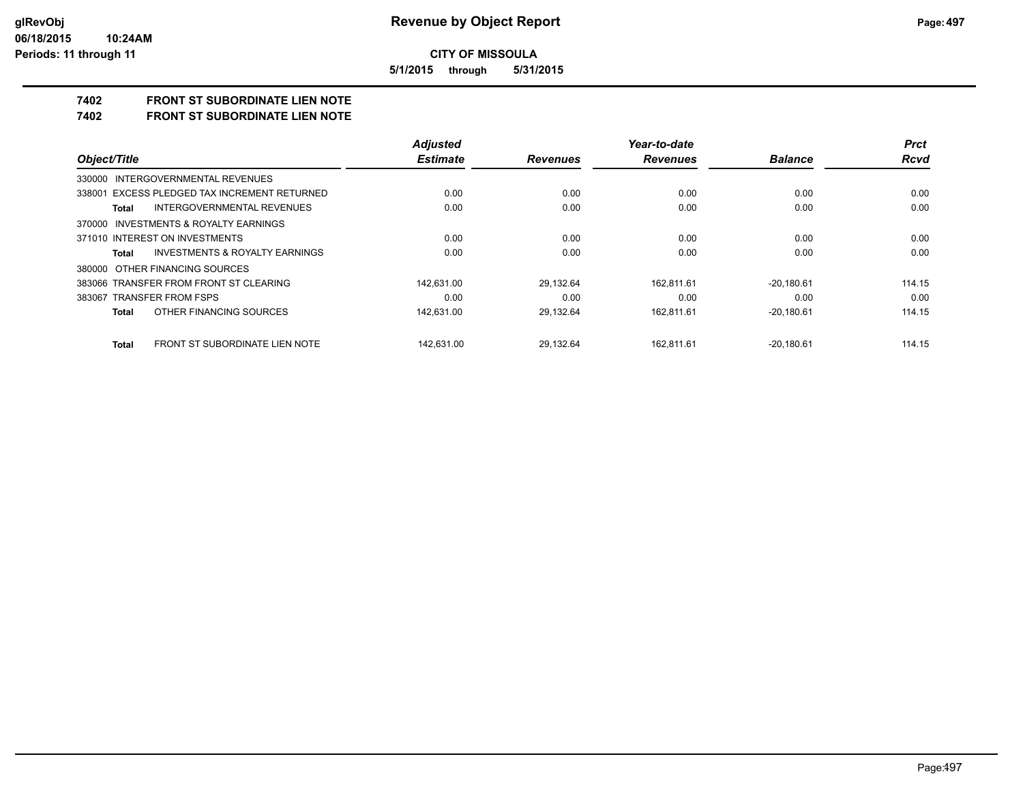**5/1/2015 through 5/31/2015**

## **7402 FRONT ST SUBORDINATE LIEN NOTE**

**7402 FRONT ST SUBORDINATE LIEN NOTE**

|                                                | <b>Adjusted</b> |                 | Year-to-date    |                | <b>Prct</b> |
|------------------------------------------------|-----------------|-----------------|-----------------|----------------|-------------|
| Object/Title                                   | <b>Estimate</b> | <b>Revenues</b> | <b>Revenues</b> | <b>Balance</b> | <b>Rcvd</b> |
| 330000 INTERGOVERNMENTAL REVENUES              |                 |                 |                 |                |             |
| 338001 EXCESS PLEDGED TAX INCREMENT RETURNED   | 0.00            | 0.00            | 0.00            | 0.00           | 0.00        |
| INTERGOVERNMENTAL REVENUES<br>Total            | 0.00            | 0.00            | 0.00            | 0.00           | 0.00        |
| 370000 INVESTMENTS & ROYALTY EARNINGS          |                 |                 |                 |                |             |
| 371010 INTEREST ON INVESTMENTS                 | 0.00            | 0.00            | 0.00            | 0.00           | 0.00        |
| INVESTMENTS & ROYALTY EARNINGS<br>Total        | 0.00            | 0.00            | 0.00            | 0.00           | 0.00        |
| 380000 OTHER FINANCING SOURCES                 |                 |                 |                 |                |             |
| 383066 TRANSFER FROM FRONT ST CLEARING         | 142.631.00      | 29,132.64       | 162.811.61      | $-20.180.61$   | 114.15      |
| 383067 TRANSFER FROM FSPS                      | 0.00            | 0.00            | 0.00            | 0.00           | 0.00        |
| OTHER FINANCING SOURCES<br>Total               | 142.631.00      | 29,132.64       | 162.811.61      | $-20.180.61$   | 114.15      |
| FRONT ST SUBORDINATE LIEN NOTE<br><b>Total</b> | 142.631.00      | 29.132.64       | 162.811.61      | $-20.180.61$   | 114.15      |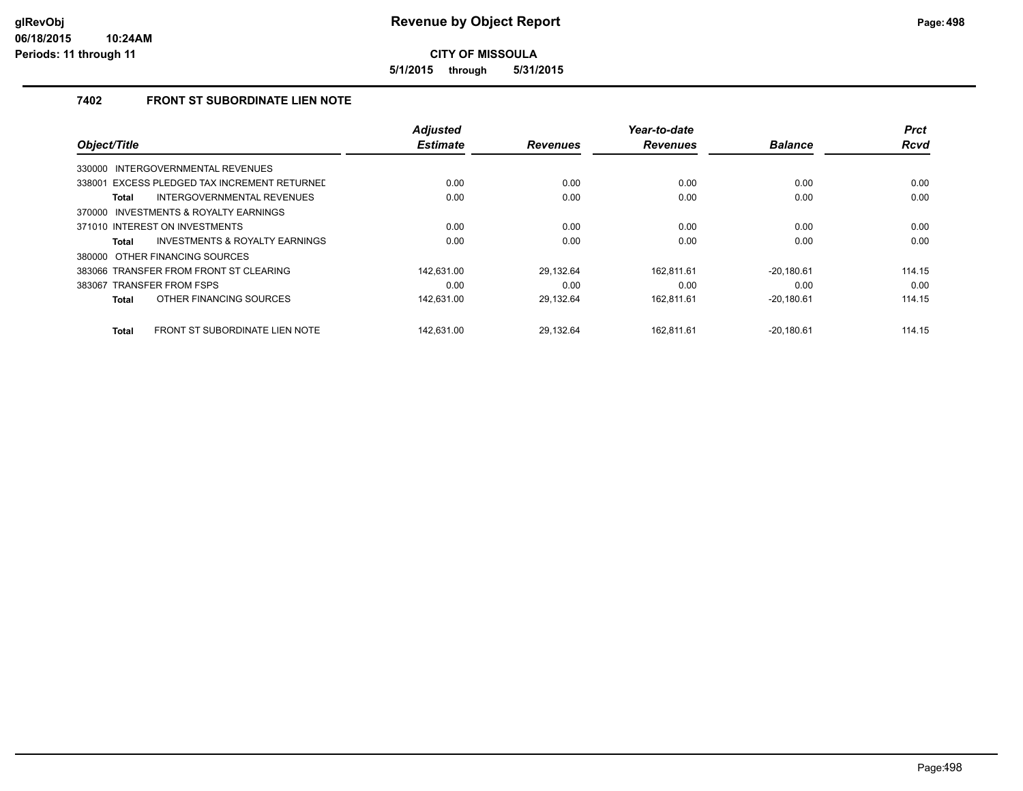**5/1/2015 through 5/31/2015**

## **7402 FRONT ST SUBORDINATE LIEN NOTE**

|                                                | <b>Adjusted</b> |                 | Year-to-date    |                | <b>Prct</b> |
|------------------------------------------------|-----------------|-----------------|-----------------|----------------|-------------|
| Object/Title                                   | <b>Estimate</b> | <b>Revenues</b> | <b>Revenues</b> | <b>Balance</b> | <b>Rcvd</b> |
| INTERGOVERNMENTAL REVENUES<br>330000           |                 |                 |                 |                |             |
| 338001 EXCESS PLEDGED TAX INCREMENT RETURNED   | 0.00            | 0.00            | 0.00            | 0.00           | 0.00        |
| INTERGOVERNMENTAL REVENUES<br><b>Total</b>     | 0.00            | 0.00            | 0.00            | 0.00           | 0.00        |
| 370000 INVESTMENTS & ROYALTY EARNINGS          |                 |                 |                 |                |             |
| 371010 INTEREST ON INVESTMENTS                 | 0.00            | 0.00            | 0.00            | 0.00           | 0.00        |
| INVESTMENTS & ROYALTY EARNINGS<br>Total        | 0.00            | 0.00            | 0.00            | 0.00           | 0.00        |
| 380000 OTHER FINANCING SOURCES                 |                 |                 |                 |                |             |
| 383066 TRANSFER FROM FRONT ST CLEARING         | 142.631.00      | 29.132.64       | 162.811.61      | $-20.180.61$   | 114.15      |
| 383067 TRANSFER FROM FSPS                      | 0.00            | 0.00            | 0.00            | 0.00           | 0.00        |
| OTHER FINANCING SOURCES<br><b>Total</b>        | 142,631.00      | 29,132.64       | 162,811.61      | $-20,180.61$   | 114.15      |
| FRONT ST SUBORDINATE LIEN NOTE<br><b>Total</b> | 142.631.00      | 29.132.64       | 162.811.61      | $-20.180.61$   | 114.15      |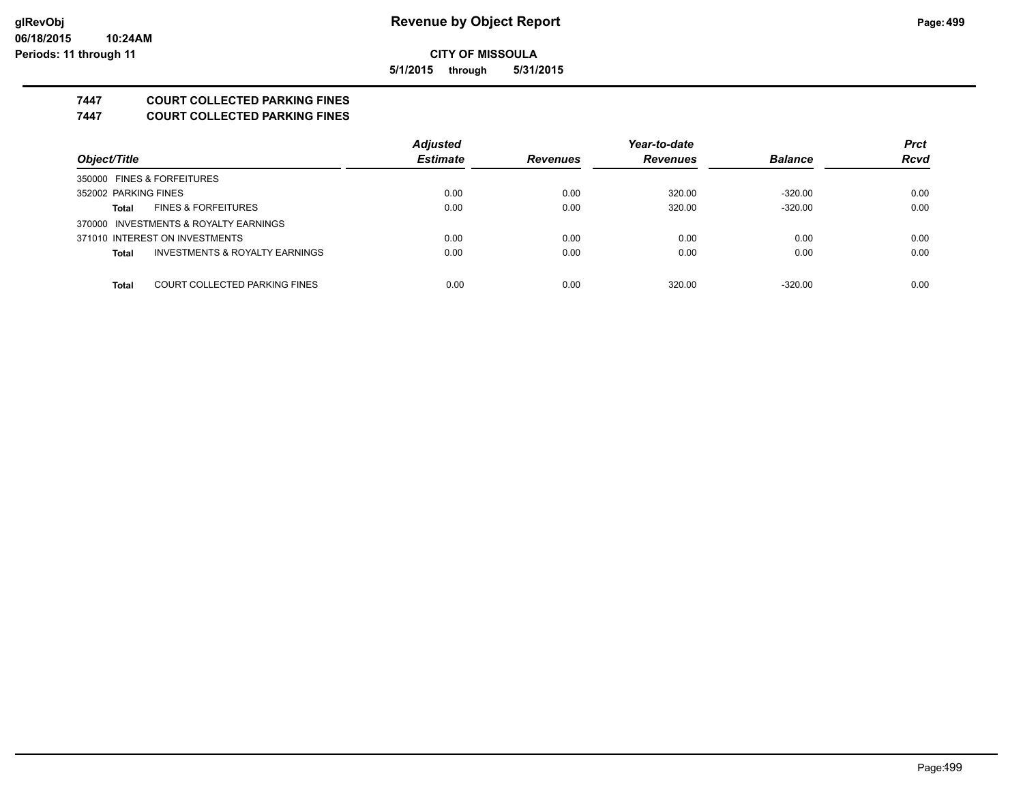**5/1/2015 through 5/31/2015**

## **7447 COURT COLLECTED PARKING FINES**

**7447 COURT COLLECTED PARKING FINES**

|                                         | <b>Adjusted</b> |                 | Year-to-date    |                | <b>Prct</b> |
|-----------------------------------------|-----------------|-----------------|-----------------|----------------|-------------|
| Object/Title                            | <b>Estimate</b> | <b>Revenues</b> | <b>Revenues</b> | <b>Balance</b> | <b>Rcvd</b> |
| 350000 FINES & FORFEITURES              |                 |                 |                 |                |             |
| 352002 PARKING FINES                    | 0.00            | 0.00            | 320.00          | $-320.00$      | 0.00        |
| <b>FINES &amp; FORFEITURES</b><br>Total | 0.00            | 0.00            | 320.00          | $-320.00$      | 0.00        |
| 370000 INVESTMENTS & ROYALTY EARNINGS   |                 |                 |                 |                |             |
| 371010 INTEREST ON INVESTMENTS          | 0.00            | 0.00            | 0.00            | 0.00           | 0.00        |
| INVESTMENTS & ROYALTY EARNINGS<br>Total | 0.00            | 0.00            | 0.00            | 0.00           | 0.00        |
|                                         |                 |                 |                 |                |             |
| COURT COLLECTED PARKING FINES<br>Total  | 0.00            | 0.00            | 320.00          | $-320.00$      | 0.00        |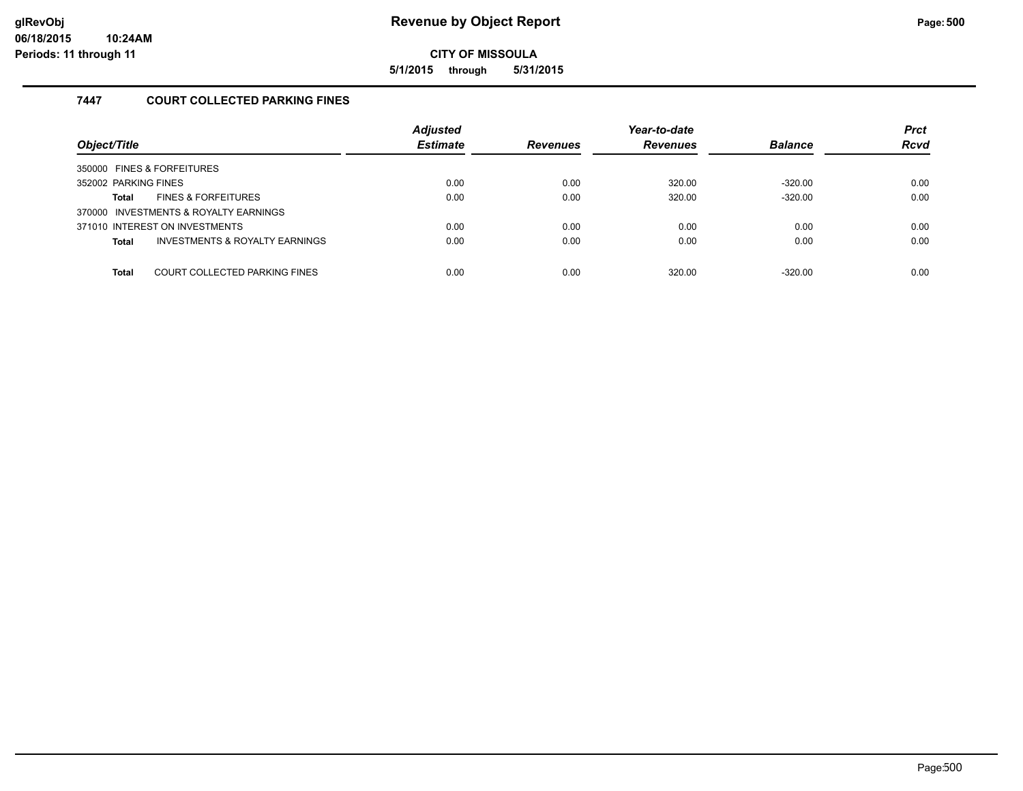**5/1/2015 through 5/31/2015**

## **7447 COURT COLLECTED PARKING FINES**

| Object/Title                                              | <b>Adjusted</b><br><b>Estimate</b> | <b>Revenues</b> | Year-to-date<br><b>Revenues</b> | <b>Balance</b> | <b>Prct</b><br><b>Rcvd</b> |
|-----------------------------------------------------------|------------------------------------|-----------------|---------------------------------|----------------|----------------------------|
| 350000 FINES & FORFEITURES                                |                                    |                 |                                 |                |                            |
| 352002 PARKING FINES                                      | 0.00                               | 0.00            | 320.00                          | $-320.00$      | 0.00                       |
| <b>FINES &amp; FORFEITURES</b><br>Total                   | 0.00                               | 0.00            | 320.00                          | $-320.00$      | 0.00                       |
| 370000 INVESTMENTS & ROYALTY EARNINGS                     |                                    |                 |                                 |                |                            |
| 371010 INTEREST ON INVESTMENTS                            | 0.00                               | 0.00            | 0.00                            | 0.00           | 0.00                       |
| <b>INVESTMENTS &amp; ROYALTY EARNINGS</b><br><b>Total</b> | 0.00                               | 0.00            | 0.00                            | 0.00           | 0.00                       |
|                                                           |                                    |                 |                                 |                |                            |
| COURT COLLECTED PARKING FINES<br><b>Total</b>             | 0.00                               | 0.00            | 320.00                          | $-320.00$      | 0.00                       |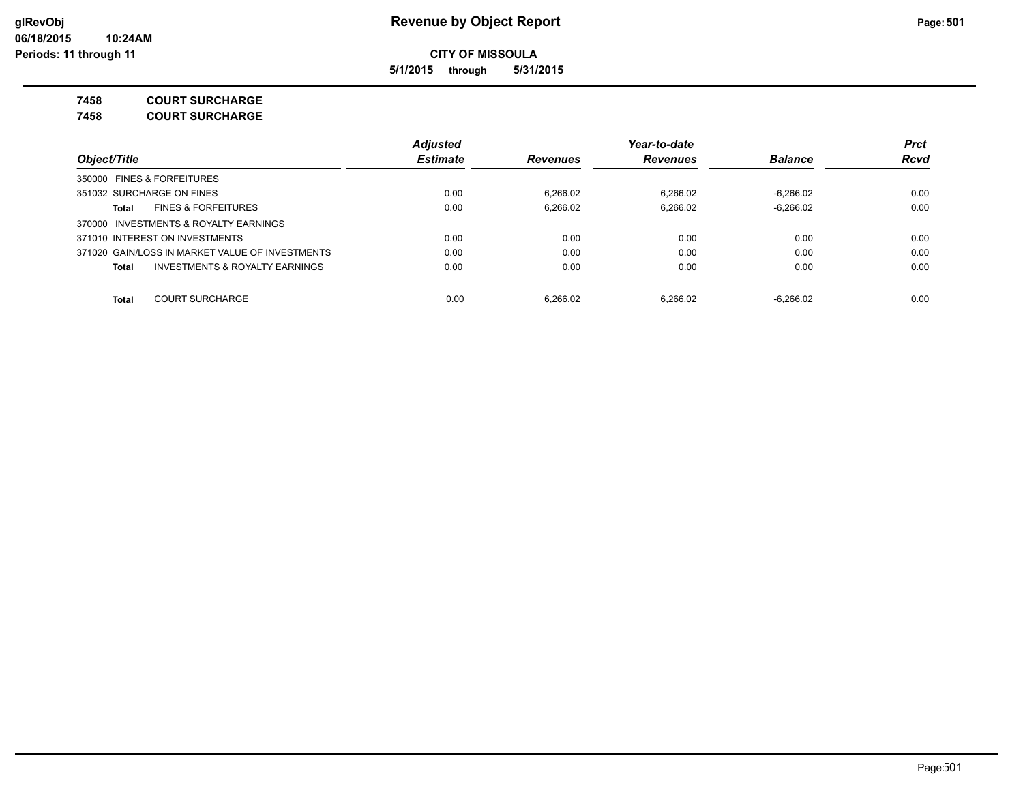**5/1/2015 through 5/31/2015**

**7458 COURT SURCHARGE**

**7458 COURT SURCHARGE**

|                                                 | <b>Adjusted</b> |                 | Year-to-date    |                | <b>Prct</b> |
|-------------------------------------------------|-----------------|-----------------|-----------------|----------------|-------------|
| Object/Title                                    | <b>Estimate</b> | <b>Revenues</b> | <b>Revenues</b> | <b>Balance</b> | <b>Rcvd</b> |
| 350000 FINES & FORFEITURES                      |                 |                 |                 |                |             |
| 351032 SURCHARGE ON FINES                       | 0.00            | 6.266.02        | 6.266.02        | $-6.266.02$    | 0.00        |
| <b>FINES &amp; FORFEITURES</b><br>Total         | 0.00            | 6.266.02        | 6.266.02        | $-6.266.02$    | 0.00        |
| 370000 INVESTMENTS & ROYALTY EARNINGS           |                 |                 |                 |                |             |
| 371010 INTEREST ON INVESTMENTS                  | 0.00            | 0.00            | 0.00            | 0.00           | 0.00        |
| 371020 GAIN/LOSS IN MARKET VALUE OF INVESTMENTS | 0.00            | 0.00            | 0.00            | 0.00           | 0.00        |
| INVESTMENTS & ROYALTY EARNINGS<br><b>Total</b>  | 0.00            | 0.00            | 0.00            | 0.00           | 0.00        |
| <b>COURT SURCHARGE</b><br><b>Total</b>          | 0.00            | 6.266.02        | 6.266.02        | $-6.266.02$    | 0.00        |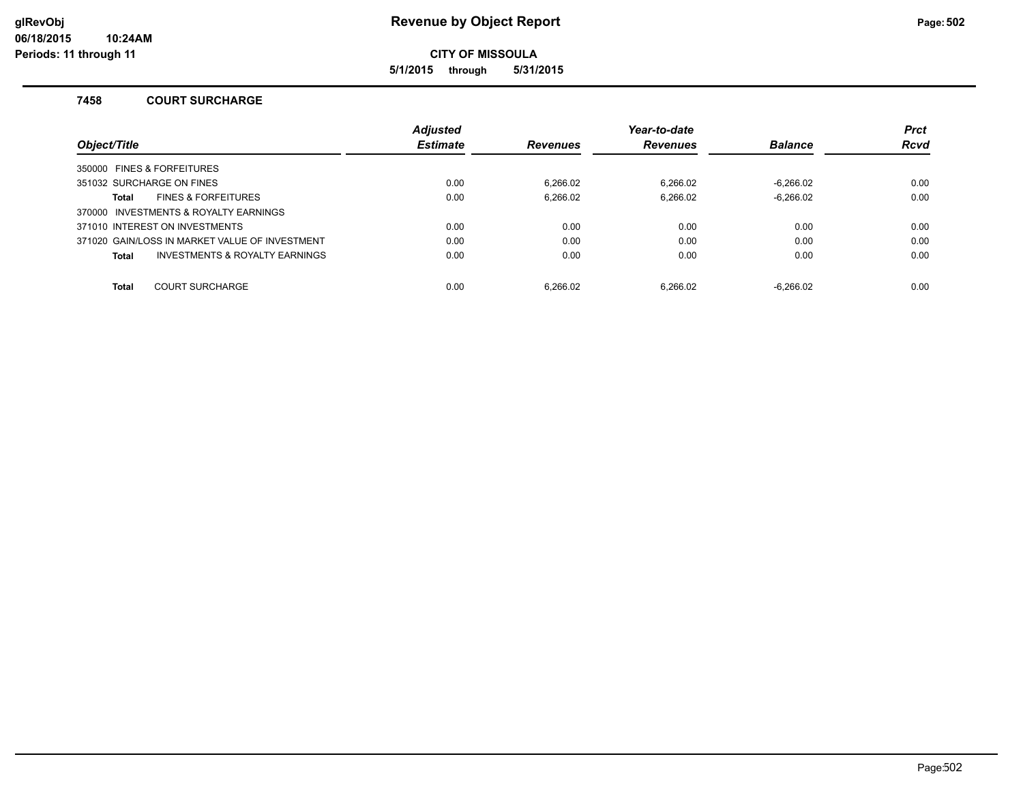**5/1/2015 through 5/31/2015**

### **7458 COURT SURCHARGE**

|                                                    | <b>Adjusted</b> |                 | Year-to-date    |                | <b>Prct</b> |
|----------------------------------------------------|-----------------|-----------------|-----------------|----------------|-------------|
| Object/Title                                       | <b>Estimate</b> | <b>Revenues</b> | <b>Revenues</b> | <b>Balance</b> | Rcvd        |
| 350000 FINES & FORFEITURES                         |                 |                 |                 |                |             |
| 351032 SURCHARGE ON FINES                          | 0.00            | 6.266.02        | 6.266.02        | $-6.266.02$    | 0.00        |
| <b>FINES &amp; FORFEITURES</b><br>Total            | 0.00            | 6.266.02        | 6.266.02        | $-6.266.02$    | 0.00        |
| 370000 INVESTMENTS & ROYALTY EARNINGS              |                 |                 |                 |                |             |
| 371010 INTEREST ON INVESTMENTS                     | 0.00            | 0.00            | 0.00            | 0.00           | 0.00        |
| 371020 GAIN/LOSS IN MARKET VALUE OF INVESTMENT     | 0.00            | 0.00            | 0.00            | 0.00           | 0.00        |
| <b>INVESTMENTS &amp; ROYALTY EARNINGS</b><br>Total | 0.00            | 0.00            | 0.00            | 0.00           | 0.00        |
| <b>Total</b><br><b>COURT SURCHARGE</b>             | 0.00            | 6.266.02        | 6.266.02        | $-6.266.02$    | 0.00        |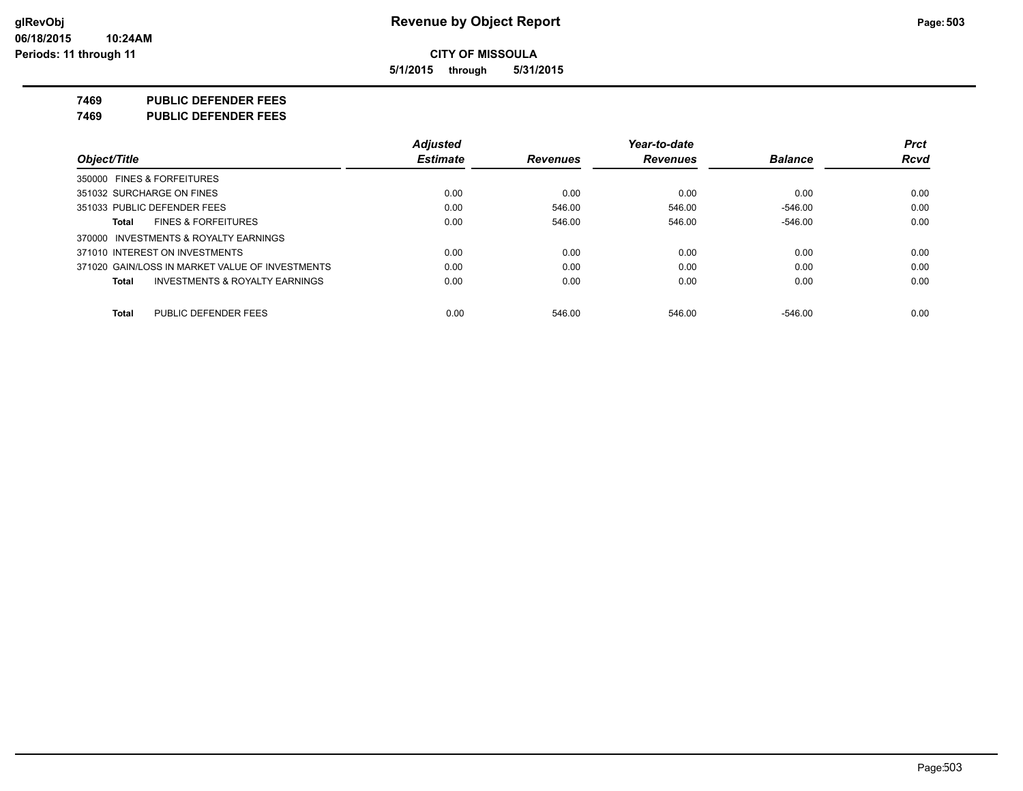**5/1/2015 through 5/31/2015**

**7469 PUBLIC DEFENDER FEES**

**7469 PUBLIC DEFENDER FEES**

| Object/Title                                              | <b>Adjusted</b> |                 | Year-to-date    |                | <b>Prct</b> |
|-----------------------------------------------------------|-----------------|-----------------|-----------------|----------------|-------------|
|                                                           | <b>Estimate</b> | <b>Revenues</b> | <b>Revenues</b> | <b>Balance</b> | <b>Rcvd</b> |
| 350000 FINES & FORFEITURES                                |                 |                 |                 |                |             |
| 351032 SURCHARGE ON FINES                                 | 0.00            | 0.00            | 0.00            | 0.00           | 0.00        |
| 351033 PUBLIC DEFENDER FEES                               | 0.00            | 546.00          | 546.00          | $-546.00$      | 0.00        |
| <b>FINES &amp; FORFEITURES</b><br>Total                   | 0.00            | 546.00          | 546.00          | $-546.00$      | 0.00        |
| 370000 INVESTMENTS & ROYALTY EARNINGS                     |                 |                 |                 |                |             |
| 371010 INTEREST ON INVESTMENTS                            | 0.00            | 0.00            | 0.00            | 0.00           | 0.00        |
| 371020 GAIN/LOSS IN MARKET VALUE OF INVESTMENTS           | 0.00            | 0.00            | 0.00            | 0.00           | 0.00        |
| <b>INVESTMENTS &amp; ROYALTY EARNINGS</b><br><b>Total</b> | 0.00            | 0.00            | 0.00            | 0.00           | 0.00        |
| PUBLIC DEFENDER FEES<br><b>Total</b>                      | 0.00            | 546.00          | 546.00          | $-546.00$      | 0.00        |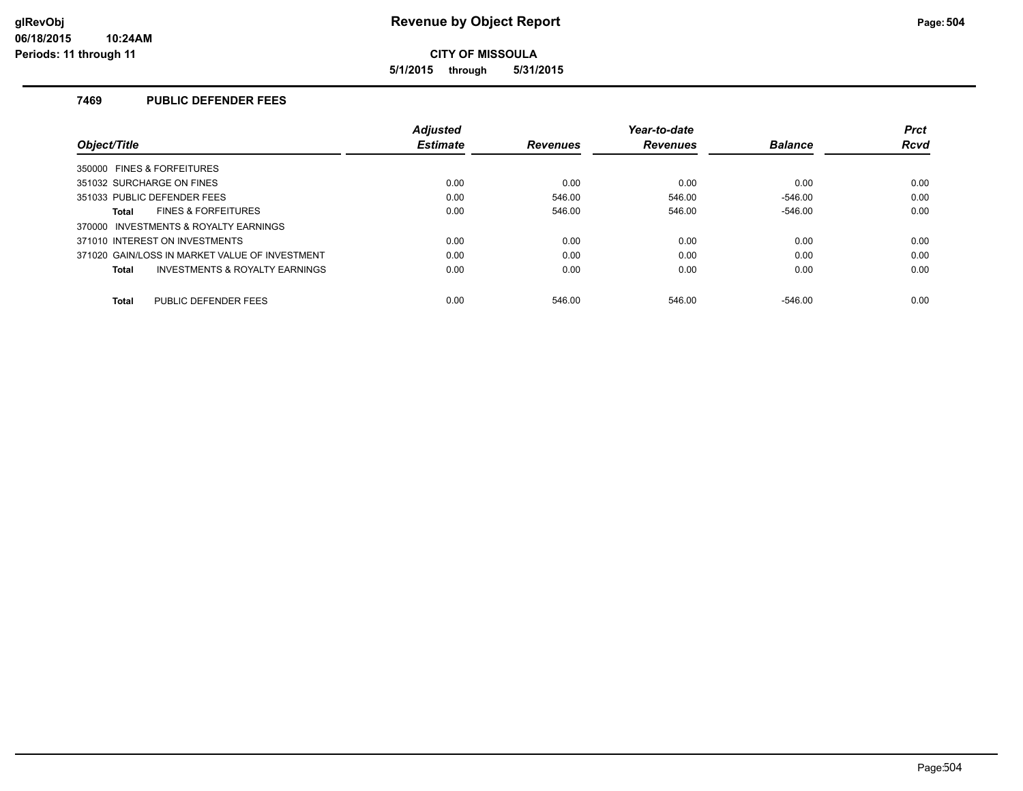**5/1/2015 through 5/31/2015**

## **7469 PUBLIC DEFENDER FEES**

| Obiect/Title                                   | <b>Adiusted</b> |                 | Year-to-date    |                | <b>Prct</b> |
|------------------------------------------------|-----------------|-----------------|-----------------|----------------|-------------|
|                                                | <b>Estimate</b> | <b>Revenues</b> | <b>Revenues</b> | <b>Balance</b> | Rcvd        |
| 350000 FINES & FORFEITURES                     |                 |                 |                 |                |             |
| 351032 SURCHARGE ON FINES                      | 0.00            | 0.00            | 0.00            | 0.00           | 0.00        |
| 351033 PUBLIC DEFENDER FEES                    | 0.00            | 546.00          | 546.00          | $-546.00$      | 0.00        |
| <b>FINES &amp; FORFEITURES</b><br><b>Total</b> | 0.00            | 546.00          | 546.00          | $-546.00$      | 0.00        |
| 370000 INVESTMENTS & ROYALTY EARNINGS          |                 |                 |                 |                |             |
| 371010 INTEREST ON INVESTMENTS                 | 0.00            | 0.00            | 0.00            | 0.00           | 0.00        |
| 371020 GAIN/LOSS IN MARKET VALUE OF INVESTMENT | 0.00            | 0.00            | 0.00            | 0.00           | 0.00        |
| INVESTMENTS & ROYALTY EARNINGS<br><b>Total</b> | 0.00            | 0.00            | 0.00            | 0.00           | 0.00        |
| PUBLIC DEFENDER FEES<br><b>Total</b>           | 0.00            | 546.00          | 546.00          | $-546.00$      | 0.00        |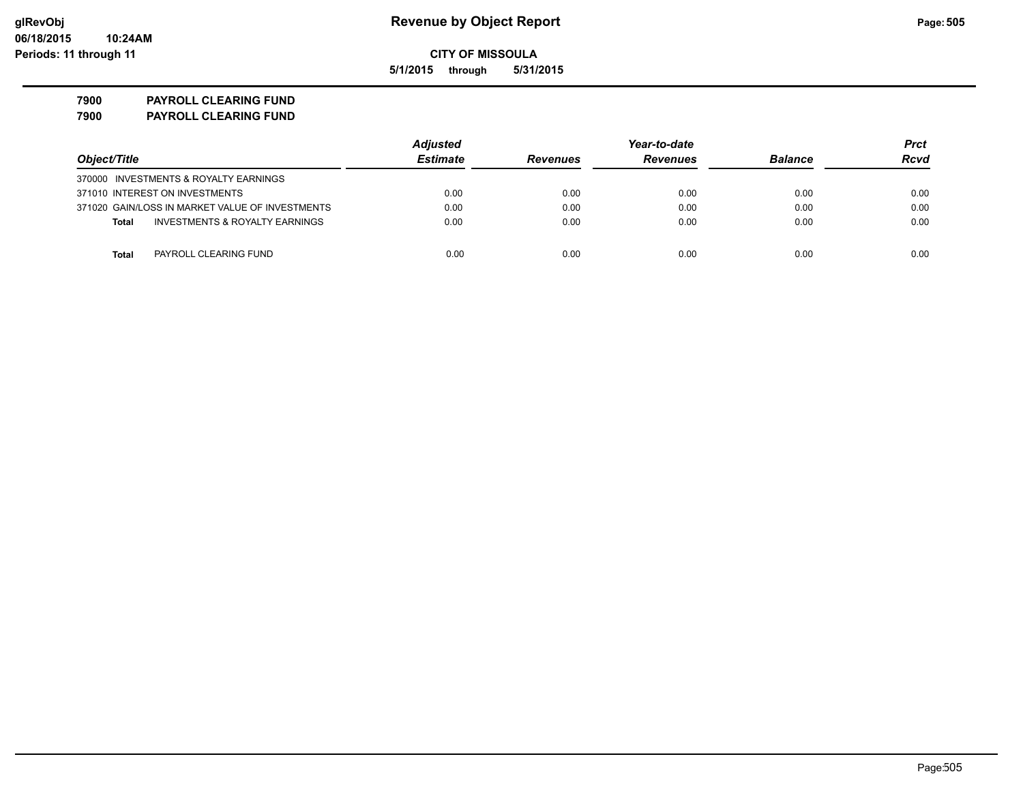**5/1/2015 through 5/31/2015**

**7900 PAYROLL CLEARING FUND 7900 PAYROLL CLEARING FUND**

|                                                    | <b>Adjusted</b> |                 | Year-to-date    |                | Prct |
|----------------------------------------------------|-----------------|-----------------|-----------------|----------------|------|
| Object/Title                                       | <b>Estimate</b> | <b>Revenues</b> | <b>Revenues</b> | <b>Balance</b> | Rcvd |
| 370000 INVESTMENTS & ROYALTY EARNINGS              |                 |                 |                 |                |      |
| 371010 INTEREST ON INVESTMENTS                     | 0.00            | 0.00            | 0.00            | 0.00           | 0.00 |
| 371020 GAIN/LOSS IN MARKET VALUE OF INVESTMENTS    | 0.00            | 0.00            | 0.00            | 0.00           | 0.00 |
| <b>INVESTMENTS &amp; ROYALTY EARNINGS</b><br>Total | 0.00            | 0.00            | 0.00            | 0.00           | 0.00 |
| Total<br>PAYROLL CLEARING FUND                     | 0.00            | 0.00            | 0.00            | 0.00           | 0.00 |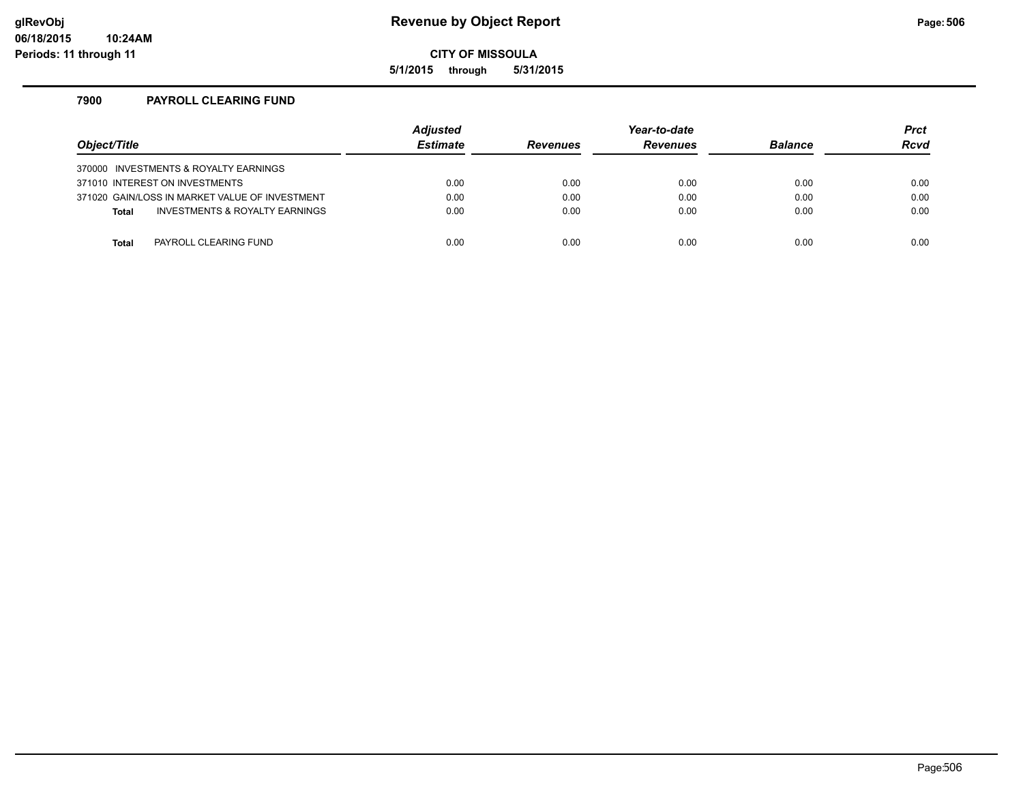### **glRevObj Revenue by Object Report Page:506**

**CITY OF MISSOULA**

**5/1/2015 through 5/31/2015**

### **7900 PAYROLL CLEARING FUND**

| Object/Title                                   | <b>Adjusted</b><br><b>Estimate</b> | <b>Revenues</b> | Year-to-date<br><b>Revenues</b> | <b>Balance</b> | <b>Prct</b><br>Rcvd |
|------------------------------------------------|------------------------------------|-----------------|---------------------------------|----------------|---------------------|
| 370000 INVESTMENTS & ROYALTY EARNINGS          |                                    |                 |                                 |                |                     |
| 371010 INTEREST ON INVESTMENTS                 | 0.00                               | 0.00            | 0.00                            | 0.00           | 0.00                |
| 371020 GAIN/LOSS IN MARKET VALUE OF INVESTMENT | 0.00                               | 0.00            | 0.00                            | 0.00           | 0.00                |
| INVESTMENTS & ROYALTY EARNINGS<br><b>Total</b> | 0.00                               | 0.00            | 0.00                            | 0.00           | 0.00                |
|                                                |                                    |                 |                                 |                |                     |
| PAYROLL CLEARING FUND<br>Total                 | 0.00                               | 0.00            | 0.00                            | 0.00           | 0.00                |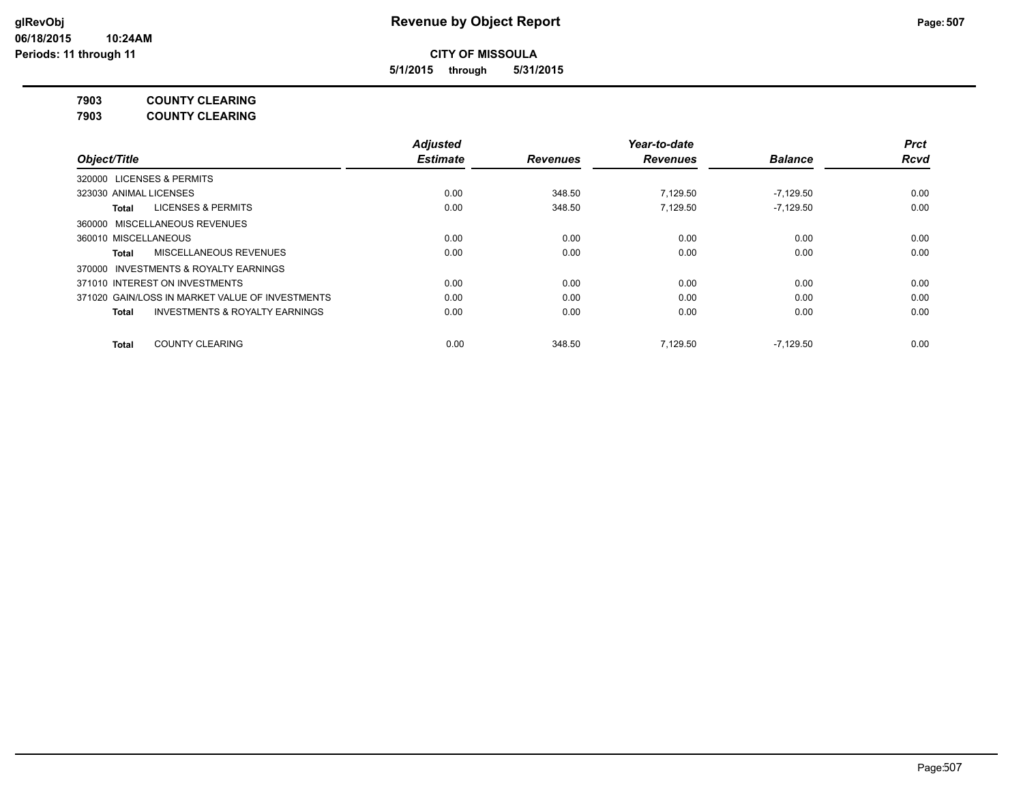**5/1/2015 through 5/31/2015**

**7903 COUNTY CLEARING**

**7903 COUNTY CLEARING**

|                                                           | <b>Adjusted</b> |                 | Year-to-date    |                | <b>Prct</b> |
|-----------------------------------------------------------|-----------------|-----------------|-----------------|----------------|-------------|
| Object/Title                                              | <b>Estimate</b> | <b>Revenues</b> | <b>Revenues</b> | <b>Balance</b> | <b>Rcvd</b> |
| <b>LICENSES &amp; PERMITS</b><br>320000                   |                 |                 |                 |                |             |
| 323030 ANIMAL LICENSES                                    | 0.00            | 348.50          | 7.129.50        | $-7.129.50$    | 0.00        |
| <b>LICENSES &amp; PERMITS</b><br>Total                    | 0.00            | 348.50          | 7.129.50        | $-7.129.50$    | 0.00        |
| 360000 MISCELLANEOUS REVENUES                             |                 |                 |                 |                |             |
| 360010 MISCELLANEOUS                                      | 0.00            | 0.00            | 0.00            | 0.00           | 0.00        |
| MISCELLANEOUS REVENUES<br>Total                           | 0.00            | 0.00            | 0.00            | 0.00           | 0.00        |
| INVESTMENTS & ROYALTY EARNINGS<br>370000                  |                 |                 |                 |                |             |
| 371010 INTEREST ON INVESTMENTS                            | 0.00            | 0.00            | 0.00            | 0.00           | 0.00        |
| 371020 GAIN/LOSS IN MARKET VALUE OF INVESTMENTS           | 0.00            | 0.00            | 0.00            | 0.00           | 0.00        |
| <b>INVESTMENTS &amp; ROYALTY EARNINGS</b><br><b>Total</b> | 0.00            | 0.00            | 0.00            | 0.00           | 0.00        |
| <b>COUNTY CLEARING</b><br><b>Total</b>                    | 0.00            | 348.50          | 7.129.50        | $-7,129.50$    | 0.00        |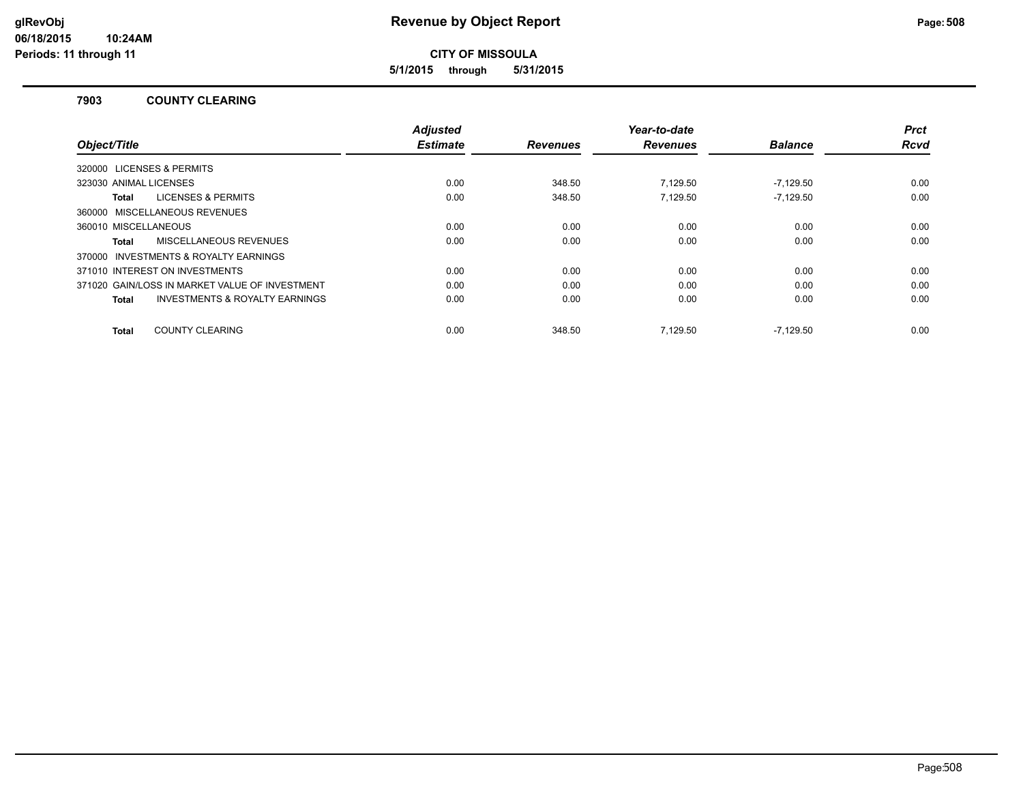**5/1/2015 through 5/31/2015**

### **7903 COUNTY CLEARING**

| Object/Title                                       | <b>Adjusted</b><br><b>Estimate</b> | <b>Revenues</b> | Year-to-date<br><b>Revenues</b> | <b>Balance</b> | <b>Prct</b><br>Rcvd |
|----------------------------------------------------|------------------------------------|-----------------|---------------------------------|----------------|---------------------|
|                                                    |                                    |                 |                                 |                |                     |
| 320000 LICENSES & PERMITS                          |                                    |                 |                                 |                |                     |
| 323030 ANIMAL LICENSES                             | 0.00                               | 348.50          | 7.129.50                        | $-7.129.50$    | 0.00                |
| <b>LICENSES &amp; PERMITS</b><br>Total             | 0.00                               | 348.50          | 7.129.50                        | $-7.129.50$    | 0.00                |
| 360000 MISCELLANEOUS REVENUES                      |                                    |                 |                                 |                |                     |
| 360010 MISCELLANEOUS                               | 0.00                               | 0.00            | 0.00                            | 0.00           | 0.00                |
| <b>MISCELLANEOUS REVENUES</b><br>Total             | 0.00                               | 0.00            | 0.00                            | 0.00           | 0.00                |
| 370000 INVESTMENTS & ROYALTY EARNINGS              |                                    |                 |                                 |                |                     |
| 371010 INTEREST ON INVESTMENTS                     | 0.00                               | 0.00            | 0.00                            | 0.00           | 0.00                |
| 371020 GAIN/LOSS IN MARKET VALUE OF INVESTMENT     | 0.00                               | 0.00            | 0.00                            | 0.00           | 0.00                |
| <b>INVESTMENTS &amp; ROYALTY EARNINGS</b><br>Total | 0.00                               | 0.00            | 0.00                            | 0.00           | 0.00                |
| <b>COUNTY CLEARING</b><br>Total                    | 0.00                               | 348.50          | 7.129.50                        | $-7.129.50$    | 0.00                |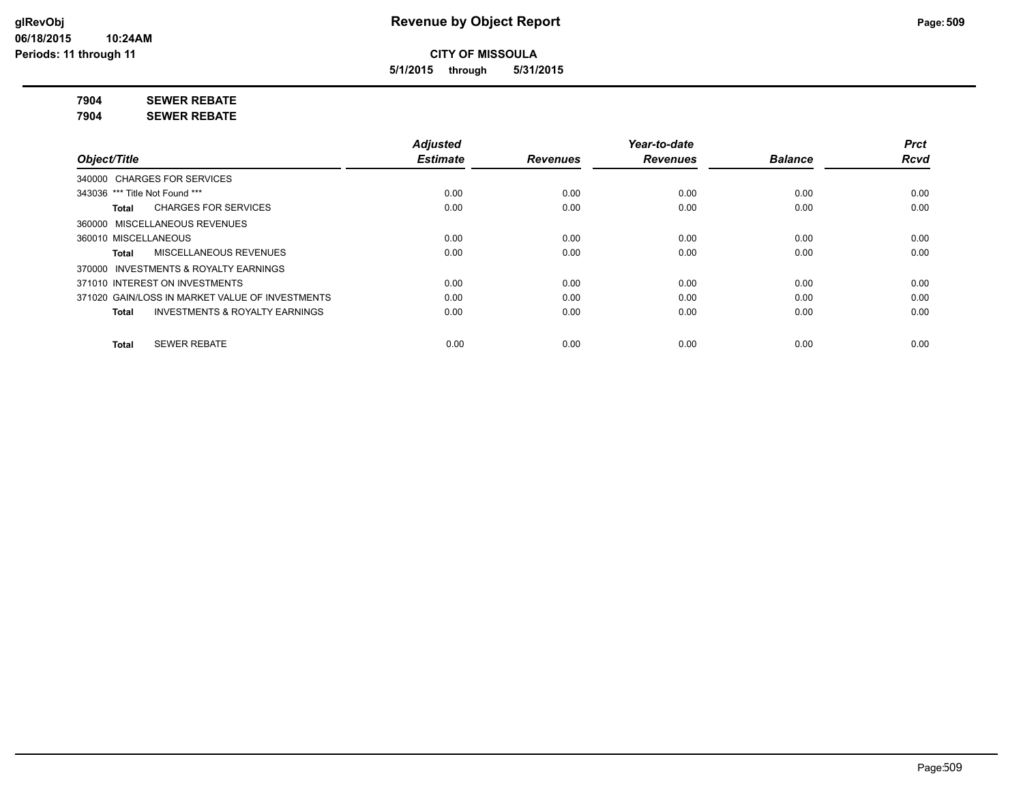**5/1/2015 through 5/31/2015**

**7904 SEWER REBATE**

**7904 SEWER REBATE**

|                                                           | <b>Adjusted</b> |                 | Year-to-date    |                | <b>Prct</b> |
|-----------------------------------------------------------|-----------------|-----------------|-----------------|----------------|-------------|
| Object/Title                                              | <b>Estimate</b> | <b>Revenues</b> | <b>Revenues</b> | <b>Balance</b> | <b>Rcvd</b> |
| 340000 CHARGES FOR SERVICES                               |                 |                 |                 |                |             |
| 343036 *** Title Not Found ***                            | 0.00            | 0.00            | 0.00            | 0.00           | 0.00        |
| <b>CHARGES FOR SERVICES</b><br>Total                      | 0.00            | 0.00            | 0.00            | 0.00           | 0.00        |
| 360000 MISCELLANEOUS REVENUES                             |                 |                 |                 |                |             |
| 360010 MISCELLANEOUS                                      | 0.00            | 0.00            | 0.00            | 0.00           | 0.00        |
| MISCELLANEOUS REVENUES<br>Total                           | 0.00            | 0.00            | 0.00            | 0.00           | 0.00        |
| INVESTMENTS & ROYALTY EARNINGS<br>370000                  |                 |                 |                 |                |             |
| 371010 INTEREST ON INVESTMENTS                            | 0.00            | 0.00            | 0.00            | 0.00           | 0.00        |
| 371020 GAIN/LOSS IN MARKET VALUE OF INVESTMENTS           | 0.00            | 0.00            | 0.00            | 0.00           | 0.00        |
| <b>INVESTMENTS &amp; ROYALTY EARNINGS</b><br><b>Total</b> | 0.00            | 0.00            | 0.00            | 0.00           | 0.00        |
| <b>SEWER REBATE</b><br><b>Total</b>                       | 0.00            | 0.00            | 0.00            | 0.00           | 0.00        |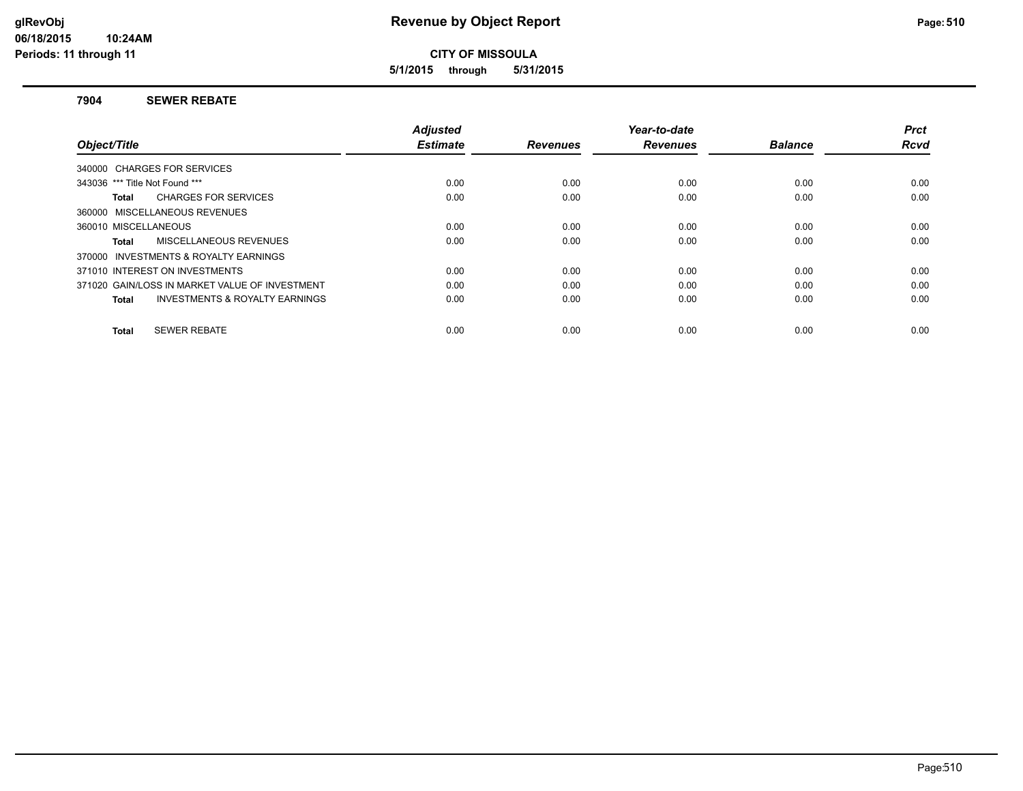**5/1/2015 through 5/31/2015**

### **7904 SEWER REBATE**

|                                                    | <b>Adjusted</b> |                 | Year-to-date    |                | <b>Prct</b> |
|----------------------------------------------------|-----------------|-----------------|-----------------|----------------|-------------|
| Object/Title                                       | <b>Estimate</b> | <b>Revenues</b> | <b>Revenues</b> | <b>Balance</b> | <b>Rcvd</b> |
| 340000 CHARGES FOR SERVICES                        |                 |                 |                 |                |             |
| 343036 *** Title Not Found ***                     | 0.00            | 0.00            | 0.00            | 0.00           | 0.00        |
| <b>CHARGES FOR SERVICES</b><br>Total               | 0.00            | 0.00            | 0.00            | 0.00           | 0.00        |
| 360000 MISCELLANEOUS REVENUES                      |                 |                 |                 |                |             |
| 360010 MISCELLANEOUS                               | 0.00            | 0.00            | 0.00            | 0.00           | 0.00        |
| MISCELLANEOUS REVENUES<br>Total                    | 0.00            | 0.00            | 0.00            | 0.00           | 0.00        |
| 370000 INVESTMENTS & ROYALTY EARNINGS              |                 |                 |                 |                |             |
| 371010 INTEREST ON INVESTMENTS                     | 0.00            | 0.00            | 0.00            | 0.00           | 0.00        |
| 371020 GAIN/LOSS IN MARKET VALUE OF INVESTMENT     | 0.00            | 0.00            | 0.00            | 0.00           | 0.00        |
| <b>INVESTMENTS &amp; ROYALTY EARNINGS</b><br>Total | 0.00            | 0.00            | 0.00            | 0.00           | 0.00        |
|                                                    |                 |                 |                 |                |             |
| <b>SEWER REBATE</b><br>Total                       | 0.00            | 0.00            | 0.00            | 0.00           | 0.00        |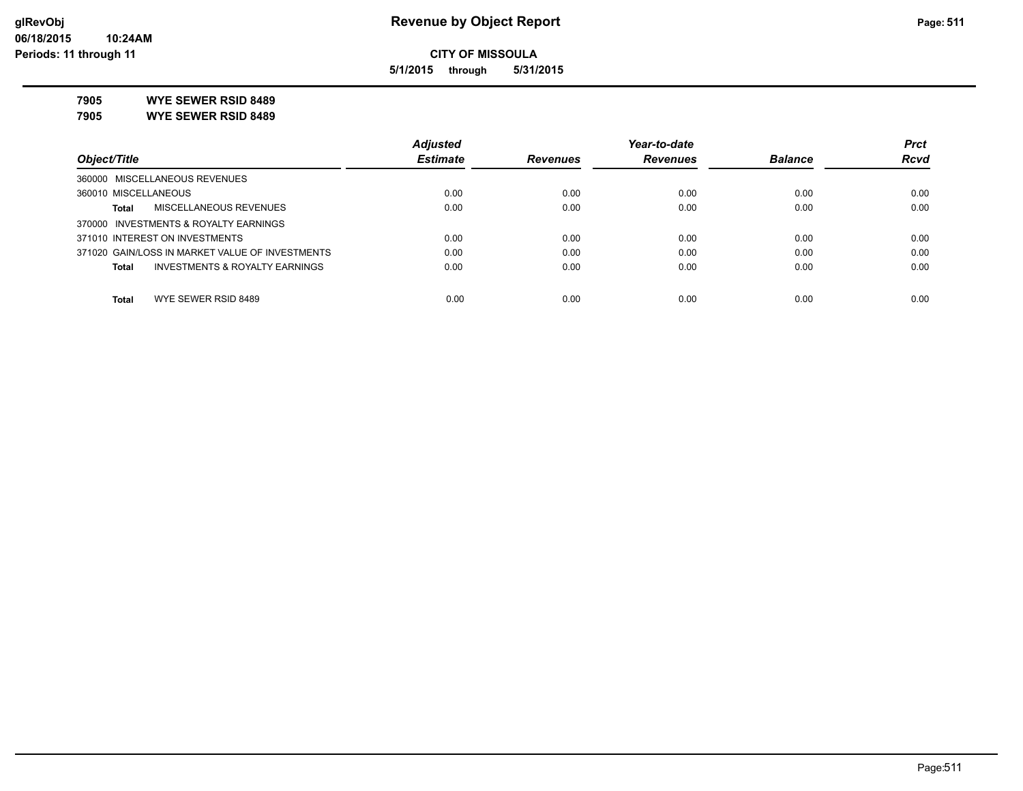**5/1/2015 through 5/31/2015**

**7905 WYE SEWER RSID 8489**

**7905 WYE SEWER RSID 8489**

|                                                 | <b>Adjusted</b> |                 | Year-to-date    |                | <b>Prct</b> |
|-------------------------------------------------|-----------------|-----------------|-----------------|----------------|-------------|
| Object/Title                                    | <b>Estimate</b> | <b>Revenues</b> | <b>Revenues</b> | <b>Balance</b> | <b>Rcvd</b> |
| 360000 MISCELLANEOUS REVENUES                   |                 |                 |                 |                |             |
| 360010 MISCELLANEOUS                            | 0.00            | 0.00            | 0.00            | 0.00           | 0.00        |
| MISCELLANEOUS REVENUES<br>Total                 | 0.00            | 0.00            | 0.00            | 0.00           | 0.00        |
| 370000 INVESTMENTS & ROYALTY EARNINGS           |                 |                 |                 |                |             |
| 371010 INTEREST ON INVESTMENTS                  | 0.00            | 0.00            | 0.00            | 0.00           | 0.00        |
| 371020 GAIN/LOSS IN MARKET VALUE OF INVESTMENTS | 0.00            | 0.00            | 0.00            | 0.00           | 0.00        |
| INVESTMENTS & ROYALTY EARNINGS<br>Total         | 0.00            | 0.00            | 0.00            | 0.00           | 0.00        |
|                                                 |                 |                 |                 |                |             |
| WYE SEWER RSID 8489<br><b>Total</b>             | 0.00            | 0.00            | 0.00            | 0.00           | 0.00        |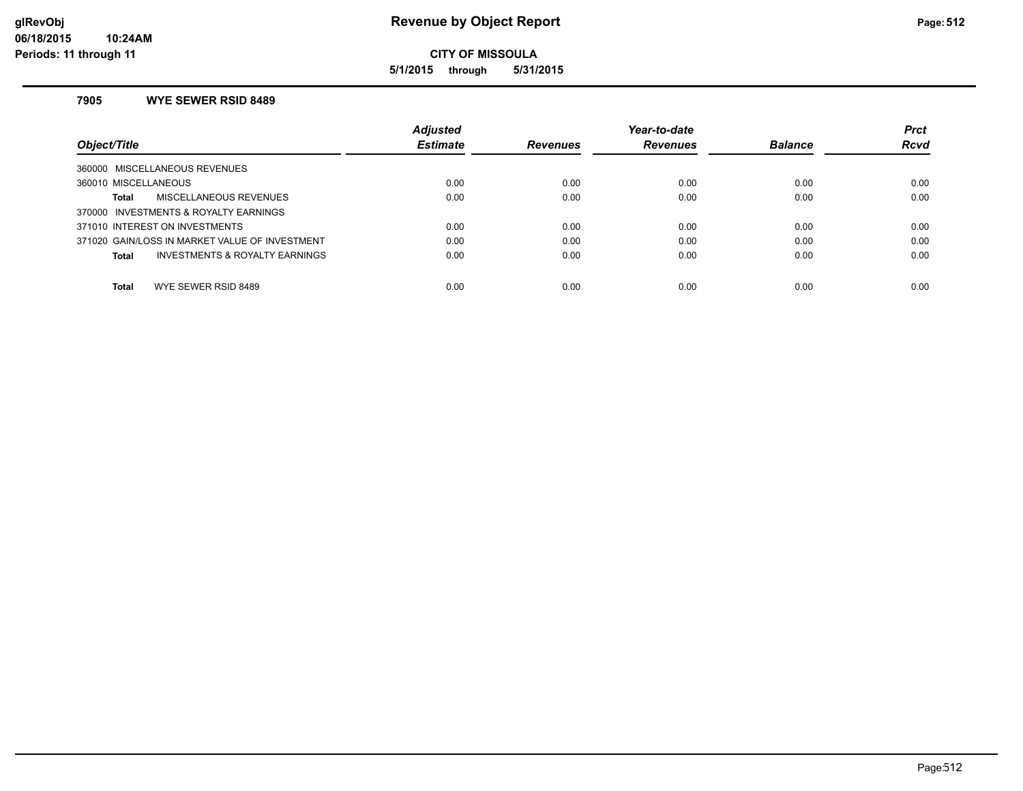**5/1/2015 through 5/31/2015**

### **7905 WYE SEWER RSID 8489**

|                                                | <b>Adjusted</b> |                 | Year-to-date    |                | <b>Prct</b> |
|------------------------------------------------|-----------------|-----------------|-----------------|----------------|-------------|
| Object/Title                                   | <b>Estimate</b> | <b>Revenues</b> | <b>Revenues</b> | <b>Balance</b> | <b>Rcvd</b> |
| 360000 MISCELLANEOUS REVENUES                  |                 |                 |                 |                |             |
| 360010 MISCELLANEOUS                           | 0.00            | 0.00            | 0.00            | 0.00           | 0.00        |
| MISCELLANEOUS REVENUES<br>Total                | 0.00            | 0.00            | 0.00            | 0.00           | 0.00        |
| 370000 INVESTMENTS & ROYALTY EARNINGS          |                 |                 |                 |                |             |
| 371010 INTEREST ON INVESTMENTS                 | 0.00            | 0.00            | 0.00            | 0.00           | 0.00        |
| 371020 GAIN/LOSS IN MARKET VALUE OF INVESTMENT | 0.00            | 0.00            | 0.00            | 0.00           | 0.00        |
| INVESTMENTS & ROYALTY EARNINGS<br>Total        | 0.00            | 0.00            | 0.00            | 0.00           | 0.00        |
|                                                |                 |                 |                 |                |             |
| Total<br>WYE SEWER RSID 8489                   | 0.00            | 0.00            | 0.00            | 0.00           | 0.00        |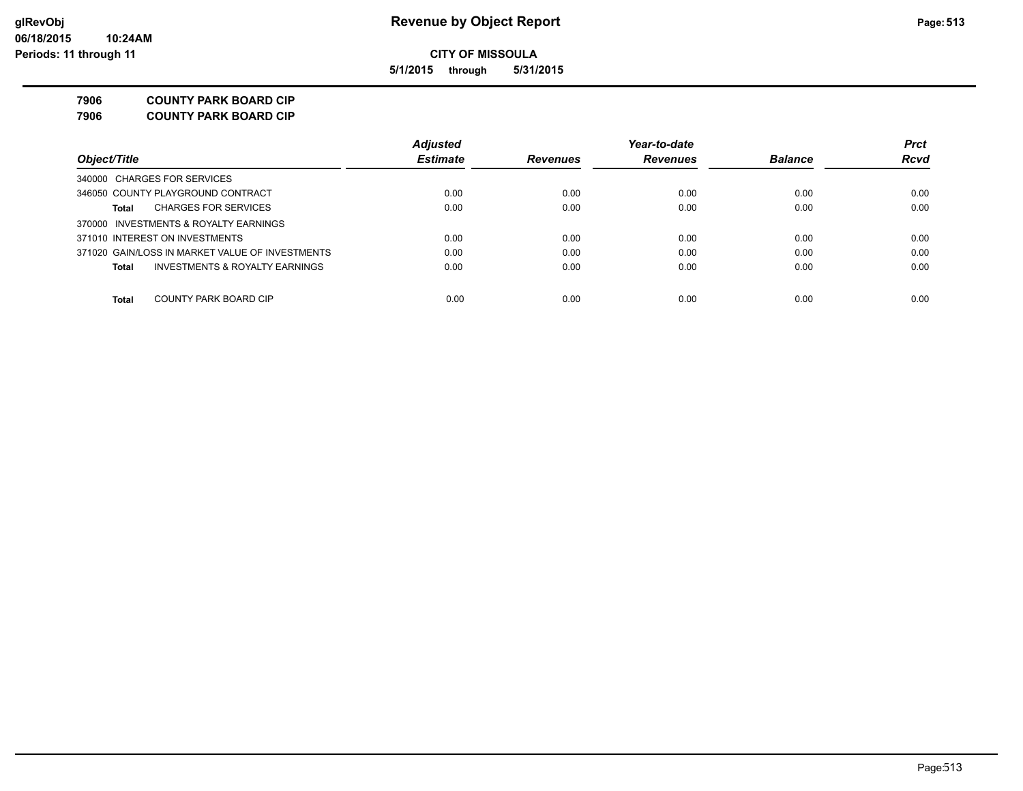**5/1/2015 through 5/31/2015**

**7906 COUNTY PARK BOARD CIP**

**7906 COUNTY PARK BOARD CIP**

|                                                 | <b>Adjusted</b> |                 | Year-to-date    |                | <b>Prct</b> |
|-------------------------------------------------|-----------------|-----------------|-----------------|----------------|-------------|
| Object/Title                                    | <b>Estimate</b> | <b>Revenues</b> | <b>Revenues</b> | <b>Balance</b> | <b>Rcvd</b> |
| 340000 CHARGES FOR SERVICES                     |                 |                 |                 |                |             |
| 346050 COUNTY PLAYGROUND CONTRACT               | 0.00            | 0.00            | 0.00            | 0.00           | 0.00        |
| <b>CHARGES FOR SERVICES</b><br>Total            | 0.00            | 0.00            | 0.00            | 0.00           | 0.00        |
| 370000 INVESTMENTS & ROYALTY EARNINGS           |                 |                 |                 |                |             |
| 371010 INTEREST ON INVESTMENTS                  | 0.00            | 0.00            | 0.00            | 0.00           | 0.00        |
| 371020 GAIN/LOSS IN MARKET VALUE OF INVESTMENTS | 0.00            | 0.00            | 0.00            | 0.00           | 0.00        |
| INVESTMENTS & ROYALTY EARNINGS<br>Total         | 0.00            | 0.00            | 0.00            | 0.00           | 0.00        |
|                                                 |                 |                 |                 |                |             |
| COUNTY PARK BOARD CIP<br>Total                  | 0.00            | 0.00            | 0.00            | 0.00           | 0.00        |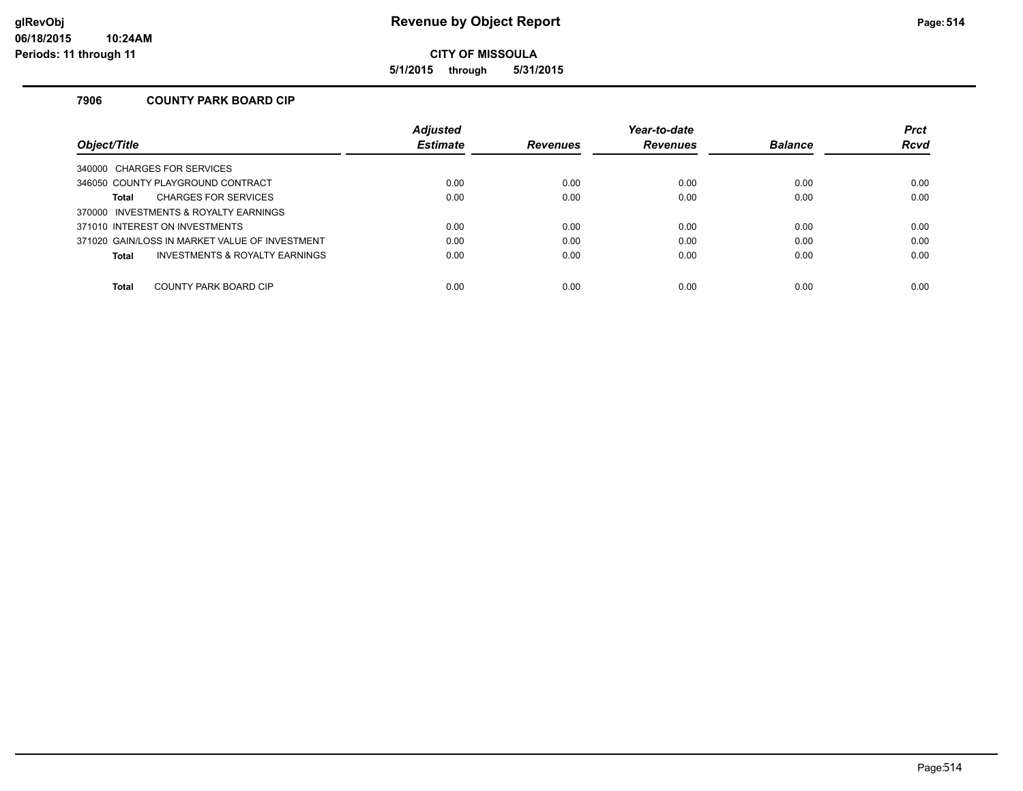**5/1/2015 through 5/31/2015**

### **7906 COUNTY PARK BOARD CIP**

|                                                | <b>Adjusted</b> |                 | Year-to-date    |                | <b>Prct</b> |
|------------------------------------------------|-----------------|-----------------|-----------------|----------------|-------------|
| Obiect/Title                                   | <b>Estimate</b> | <b>Revenues</b> | <b>Revenues</b> | <b>Balance</b> | <b>Rcvd</b> |
| 340000 CHARGES FOR SERVICES                    |                 |                 |                 |                |             |
| 346050 COUNTY PLAYGROUND CONTRACT              | 0.00            | 0.00            | 0.00            | 0.00           | 0.00        |
| <b>CHARGES FOR SERVICES</b><br><b>Total</b>    | 0.00            | 0.00            | 0.00            | 0.00           | 0.00        |
| 370000 INVESTMENTS & ROYALTY EARNINGS          |                 |                 |                 |                |             |
| 371010 INTEREST ON INVESTMENTS                 | 0.00            | 0.00            | 0.00            | 0.00           | 0.00        |
| 371020 GAIN/LOSS IN MARKET VALUE OF INVESTMENT | 0.00            | 0.00            | 0.00            | 0.00           | 0.00        |
| INVESTMENTS & ROYALTY EARNINGS<br><b>Total</b> | 0.00            | 0.00            | 0.00            | 0.00           | 0.00        |
|                                                |                 |                 |                 |                |             |
| COUNTY PARK BOARD CIP<br><b>Total</b>          | 0.00            | 0.00            | 0.00            | 0.00           | 0.00        |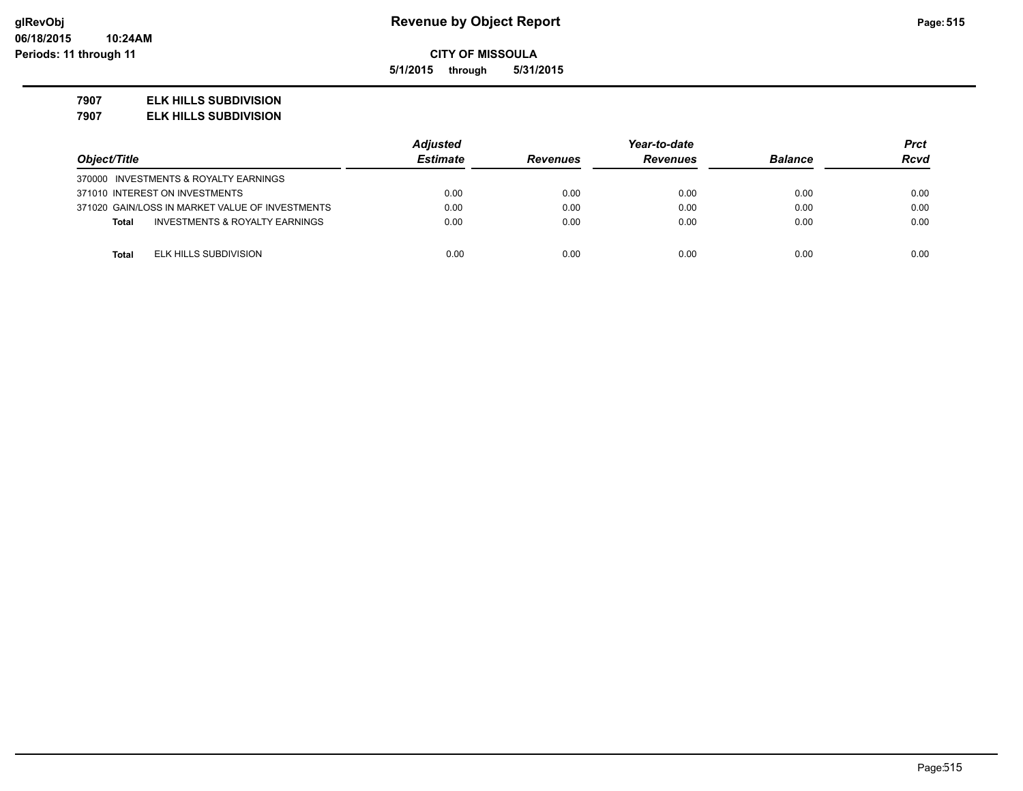**5/1/2015 through 5/31/2015**

### **7907 ELK HILLS SUBDIVISION**

**7907 ELK HILLS SUBDIVISION**

|                                                           | <b>Adjusted</b> |                 | Year-to-date    |                |      |
|-----------------------------------------------------------|-----------------|-----------------|-----------------|----------------|------|
| Object/Title                                              | <b>Estimate</b> | <b>Revenues</b> | <b>Revenues</b> | <b>Balance</b> | Rcvd |
| 370000 INVESTMENTS & ROYALTY EARNINGS                     |                 |                 |                 |                |      |
| 371010 INTEREST ON INVESTMENTS                            | 0.00            | 0.00            | 0.00            | 0.00           | 0.00 |
| 371020 GAIN/LOSS IN MARKET VALUE OF INVESTMENTS           | 0.00            | 0.00            | 0.00            | 0.00           | 0.00 |
| <b>INVESTMENTS &amp; ROYALTY EARNINGS</b><br><b>Total</b> | 0.00            | 0.00            | 0.00            | 0.00           | 0.00 |
|                                                           |                 |                 |                 |                |      |
| ELK HILLS SUBDIVISION<br><b>Total</b>                     | 0.00            | 0.00            | 0.00            | 0.00           | 0.00 |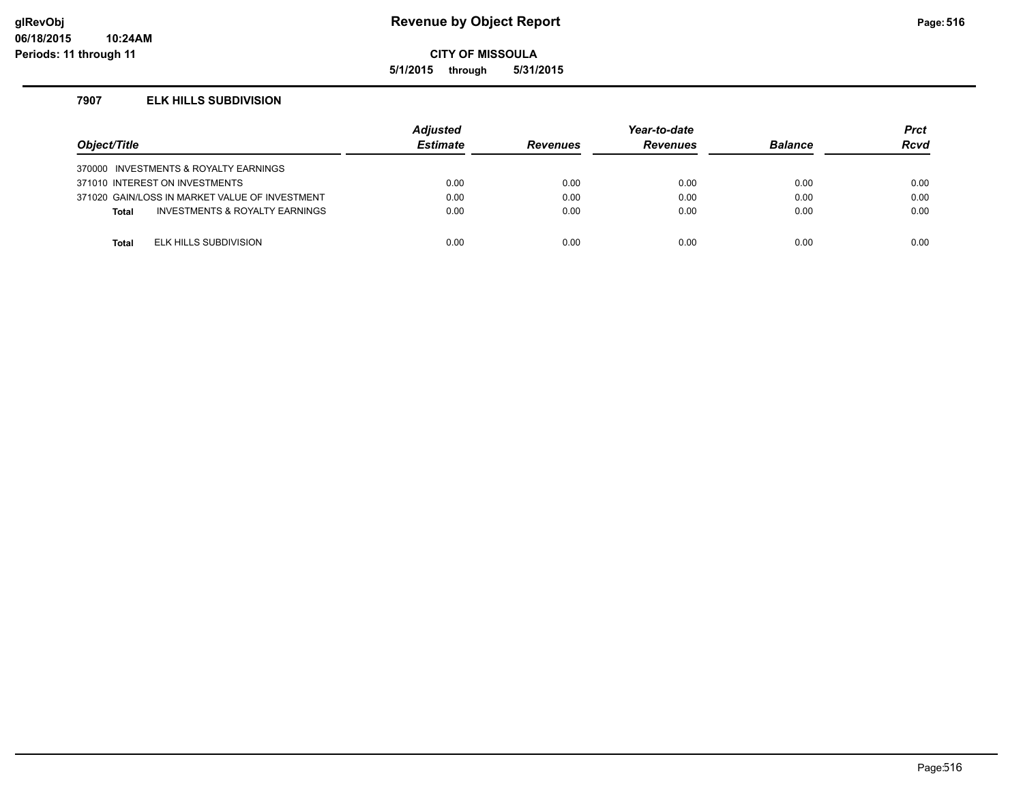### **glRevObj Revenue by Object Report Page:516**

**CITY OF MISSOULA**

**5/1/2015 through 5/31/2015**

### **7907 ELK HILLS SUBDIVISION**

| Object/Title |                                                | <b>Adjusted</b><br><b>Estimate</b> | <b>Revenues</b> | Year-to-date<br><b>Revenues</b> | <b>Balance</b> | <b>Prct</b><br><b>Rcvd</b> |
|--------------|------------------------------------------------|------------------------------------|-----------------|---------------------------------|----------------|----------------------------|
|              | 370000 INVESTMENTS & ROYALTY EARNINGS          |                                    |                 |                                 |                |                            |
|              | 371010 INTEREST ON INVESTMENTS                 | 0.00                               | 0.00            | 0.00                            | 0.00           | 0.00                       |
|              | 371020 GAIN/LOSS IN MARKET VALUE OF INVESTMENT | 0.00                               | 0.00            | 0.00                            | 0.00           | 0.00                       |
| <b>Total</b> | <b>INVESTMENTS &amp; ROYALTY EARNINGS</b>      | 0.00                               | 0.00            | 0.00                            | 0.00           | 0.00                       |
|              |                                                |                                    |                 |                                 |                |                            |
| <b>Total</b> | ELK HILLS SUBDIVISION                          | 0.00                               | 0.00            | 0.00                            | 0.00           | 0.00                       |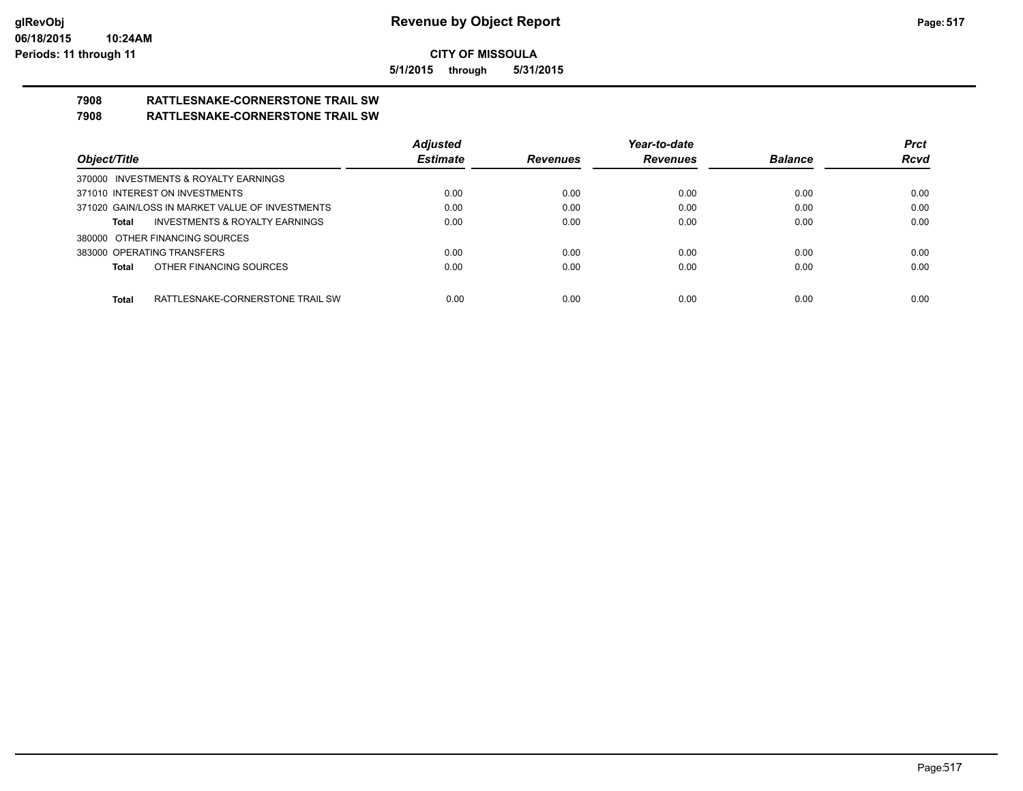**5/1/2015 through 5/31/2015**

# **7908 RATTLESNAKE-CORNERSTONE TRAIL SW**

### **7908 RATTLESNAKE-CORNERSTONE TRAIL SW**

|                                                    | <b>Adjusted</b> |                 | Year-to-date    |                | <b>Prct</b> |
|----------------------------------------------------|-----------------|-----------------|-----------------|----------------|-------------|
| Object/Title                                       | <b>Estimate</b> | <b>Revenues</b> | <b>Revenues</b> | <b>Balance</b> | <b>Rcvd</b> |
| 370000 INVESTMENTS & ROYALTY EARNINGS              |                 |                 |                 |                |             |
| 371010 INTEREST ON INVESTMENTS                     | 0.00            | 0.00            | 0.00            | 0.00           | 0.00        |
| 371020 GAIN/LOSS IN MARKET VALUE OF INVESTMENTS    | 0.00            | 0.00            | 0.00            | 0.00           | 0.00        |
| <b>INVESTMENTS &amp; ROYALTY EARNINGS</b><br>Total | 0.00            | 0.00            | 0.00            | 0.00           | 0.00        |
| 380000 OTHER FINANCING SOURCES                     |                 |                 |                 |                |             |
| 383000 OPERATING TRANSFERS                         | 0.00            | 0.00            | 0.00            | 0.00           | 0.00        |
| OTHER FINANCING SOURCES<br>Total                   | 0.00            | 0.00            | 0.00            | 0.00           | 0.00        |
|                                                    |                 |                 |                 |                |             |
| <b>Total</b><br>RATTLESNAKE-CORNERSTONE TRAIL SW   | 0.00            | 0.00            | 0.00            | 0.00           | 0.00        |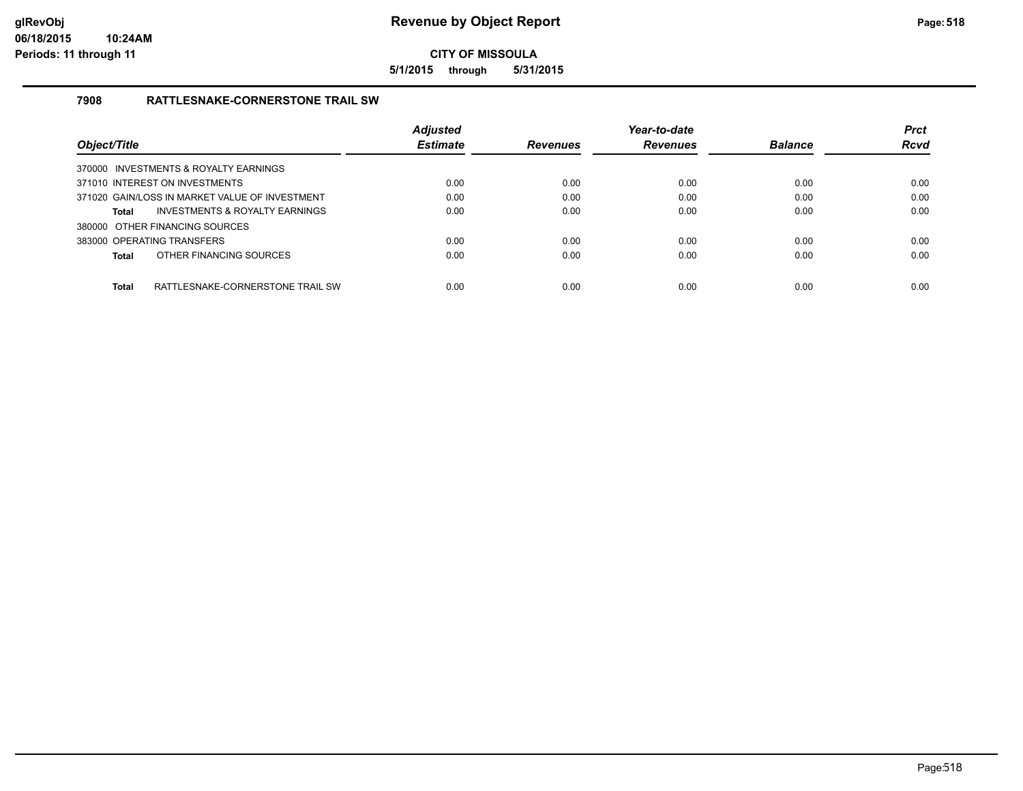**5/1/2015 through 5/31/2015**

### **7908 RATTLESNAKE-CORNERSTONE TRAIL SW**

| Object/Title |                                                | <b>Adjusted</b><br><b>Estimate</b> | <b>Revenues</b> | Year-to-date<br><b>Revenues</b> | <b>Balance</b> | <b>Prct</b><br><b>Rcvd</b> |
|--------------|------------------------------------------------|------------------------------------|-----------------|---------------------------------|----------------|----------------------------|
|              | 370000 INVESTMENTS & ROYALTY EARNINGS          |                                    |                 |                                 |                |                            |
|              | 371010 INTEREST ON INVESTMENTS                 | 0.00                               | 0.00            | 0.00                            | 0.00           | 0.00                       |
|              | 371020 GAIN/LOSS IN MARKET VALUE OF INVESTMENT | 0.00                               | 0.00            | 0.00                            | 0.00           | 0.00                       |
| Total        | <b>INVESTMENTS &amp; ROYALTY EARNINGS</b>      | 0.00                               | 0.00            | 0.00                            | 0.00           | 0.00                       |
|              | 380000 OTHER FINANCING SOURCES                 |                                    |                 |                                 |                |                            |
|              | 383000 OPERATING TRANSFERS                     | 0.00                               | 0.00            | 0.00                            | 0.00           | 0.00                       |
| Total        | OTHER FINANCING SOURCES                        | 0.00                               | 0.00            | 0.00                            | 0.00           | 0.00                       |
| <b>Total</b> | RATTLESNAKE-CORNERSTONE TRAIL SW               | 0.00                               | 0.00            | 0.00                            | 0.00           | 0.00                       |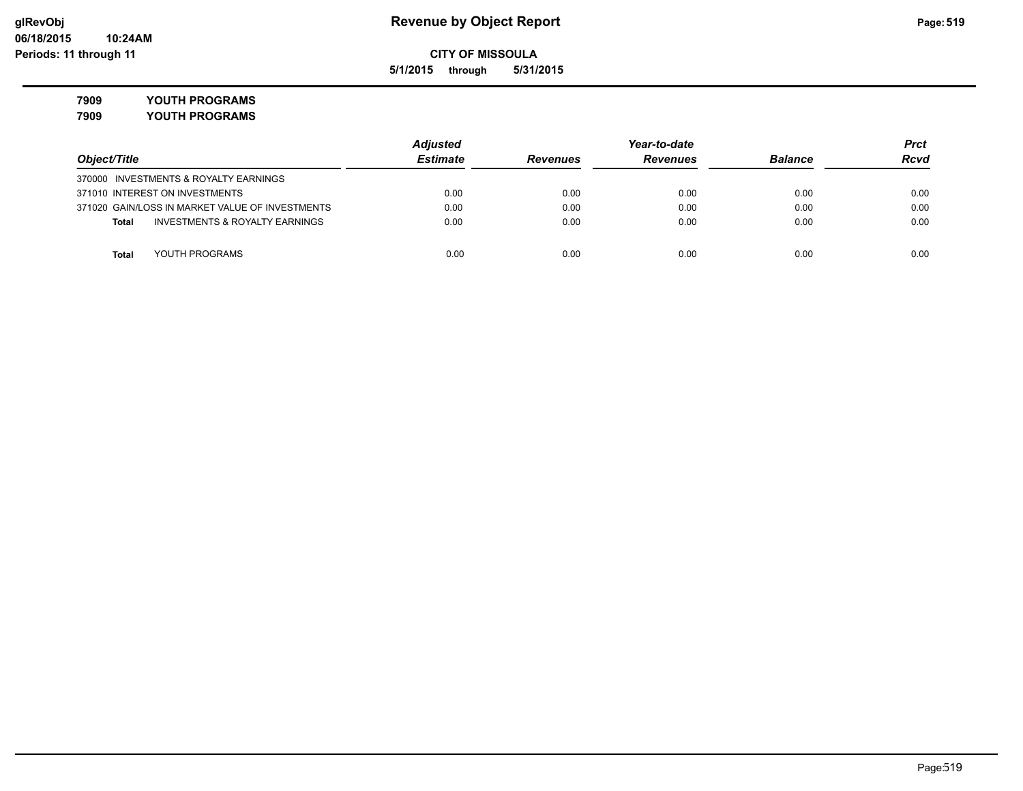**5/1/2015 through 5/31/2015**

**7909 YOUTH PROGRAMS**

**7909 YOUTH PROGRAMS**

|                                                 | <b>Adjusted</b> | Year-to-date    |                 |                | <b>Prct</b> |
|-------------------------------------------------|-----------------|-----------------|-----------------|----------------|-------------|
| Object/Title                                    | <b>Estimate</b> | <b>Revenues</b> | <b>Revenues</b> | <b>Balance</b> | <b>Rcvd</b> |
| 370000 INVESTMENTS & ROYALTY EARNINGS           |                 |                 |                 |                |             |
| 371010 INTEREST ON INVESTMENTS                  | 0.00            | 0.00            | 0.00            | 0.00           | 0.00        |
| 371020 GAIN/LOSS IN MARKET VALUE OF INVESTMENTS | 0.00            | 0.00            | 0.00            | 0.00           | 0.00        |
| INVESTMENTS & ROYALTY EARNINGS<br>Total         | 0.00            | 0.00            | 0.00            | 0.00           | 0.00        |
|                                                 |                 |                 |                 |                |             |
| YOUTH PROGRAMS<br>Total                         | 0.00            | 0.00            | 0.00            | 0.00           | 0.00        |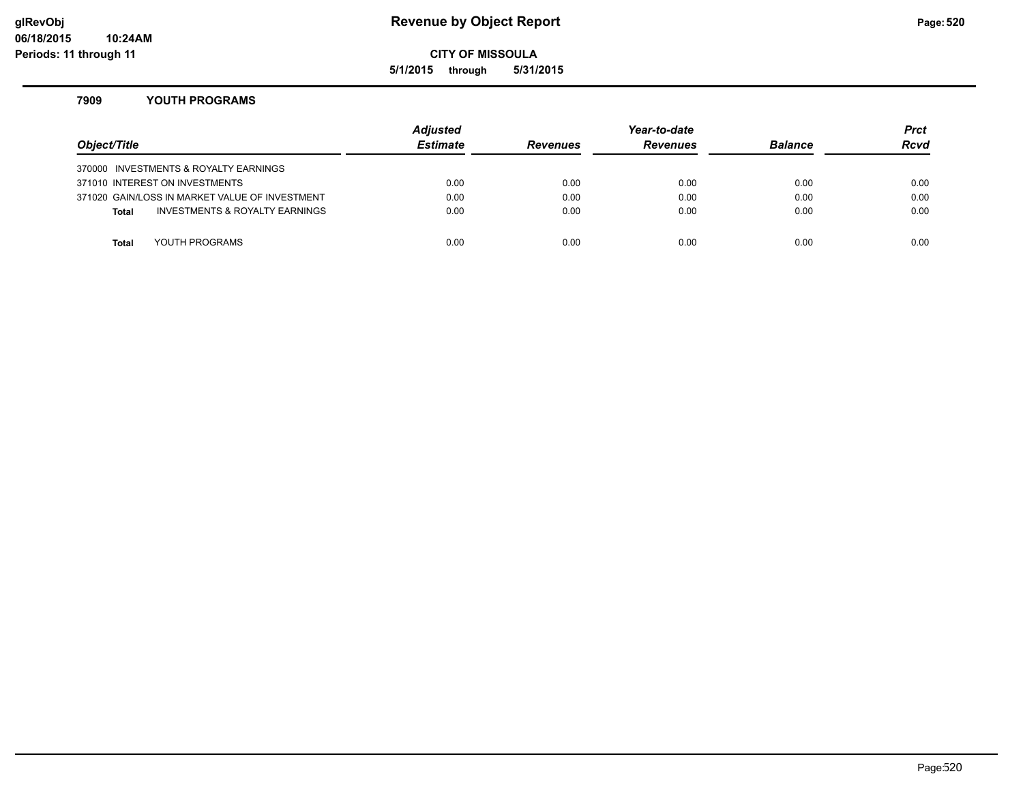### **glRevObj Revenue by Object Report Page:520**

**CITY OF MISSOULA**

**5/1/2015 through 5/31/2015**

### **7909 YOUTH PROGRAMS**

| Object/Title |                                                | <b>Adjusted</b><br><b>Estimate</b> | <b>Revenues</b> | Year-to-date<br><b>Revenues</b> | <b>Balance</b> | <b>Prct</b><br>Rcvd |
|--------------|------------------------------------------------|------------------------------------|-----------------|---------------------------------|----------------|---------------------|
|              | 370000 INVESTMENTS & ROYALTY EARNINGS          |                                    |                 |                                 |                |                     |
|              | 371010 INTEREST ON INVESTMENTS                 | 0.00                               | 0.00            | 0.00                            | 0.00           | 0.00                |
|              | 371020 GAIN/LOSS IN MARKET VALUE OF INVESTMENT | 0.00                               | 0.00            | 0.00                            | 0.00           | 0.00                |
| <b>Total</b> | INVESTMENTS & ROYALTY EARNINGS                 | 0.00                               | 0.00            | 0.00                            | 0.00           | 0.00                |
|              |                                                |                                    |                 |                                 |                |                     |
| Total        | YOUTH PROGRAMS                                 | 0.00                               | 0.00            | 0.00                            | 0.00           | 0.00                |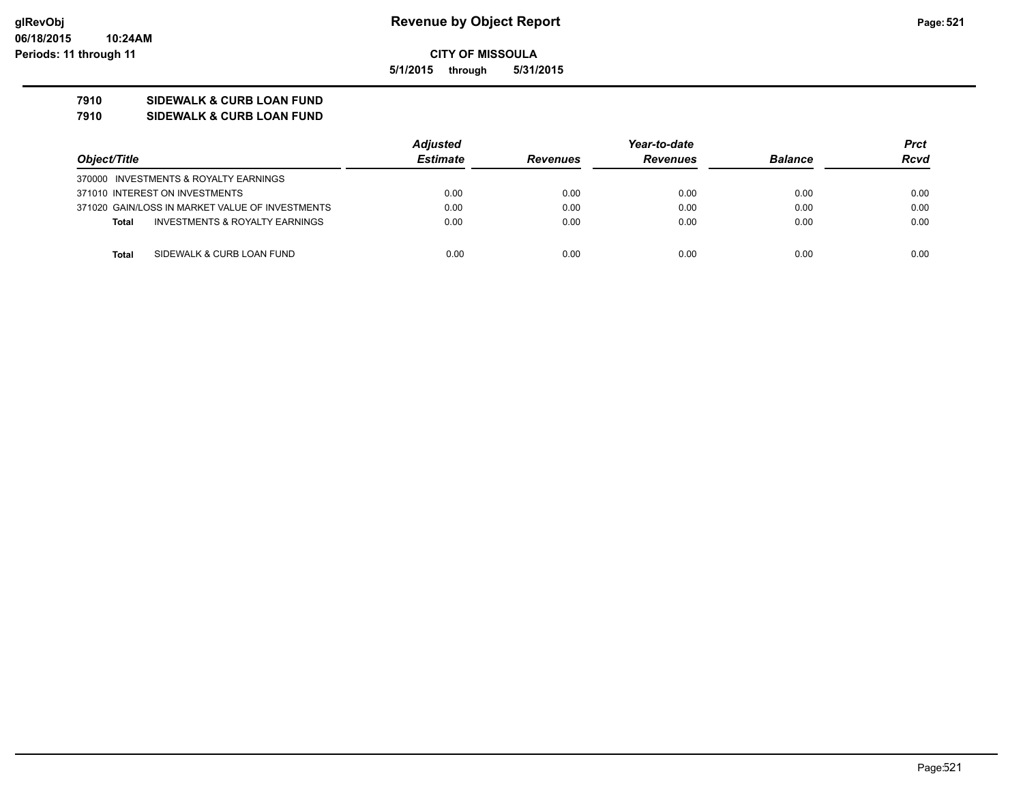**5/1/2015 through 5/31/2015**

### **7910 SIDEWALK & CURB LOAN FUND**

**7910 SIDEWALK & CURB LOAN FUND**

|                                                 | <b>Adjusted</b> |                 | Year-to-date    |                | Prct        |
|-------------------------------------------------|-----------------|-----------------|-----------------|----------------|-------------|
| Object/Title                                    | <b>Estimate</b> | <b>Revenues</b> | <b>Revenues</b> | <b>Balance</b> | <b>Rcvd</b> |
| 370000 INVESTMENTS & ROYALTY EARNINGS           |                 |                 |                 |                |             |
| 371010 INTEREST ON INVESTMENTS                  | 0.00            | 0.00            | 0.00            | 0.00           | 0.00        |
| 371020 GAIN/LOSS IN MARKET VALUE OF INVESTMENTS | 0.00            | 0.00            | 0.00            | 0.00           | 0.00        |
| INVESTMENTS & ROYALTY EARNINGS<br><b>Total</b>  | 0.00            | 0.00            | 0.00            | 0.00           | 0.00        |
|                                                 |                 |                 |                 |                |             |
| SIDEWALK & CURB LOAN FUND<br><b>Total</b>       | 0.00            | 0.00            | 0.00            | 0.00           | 0.00        |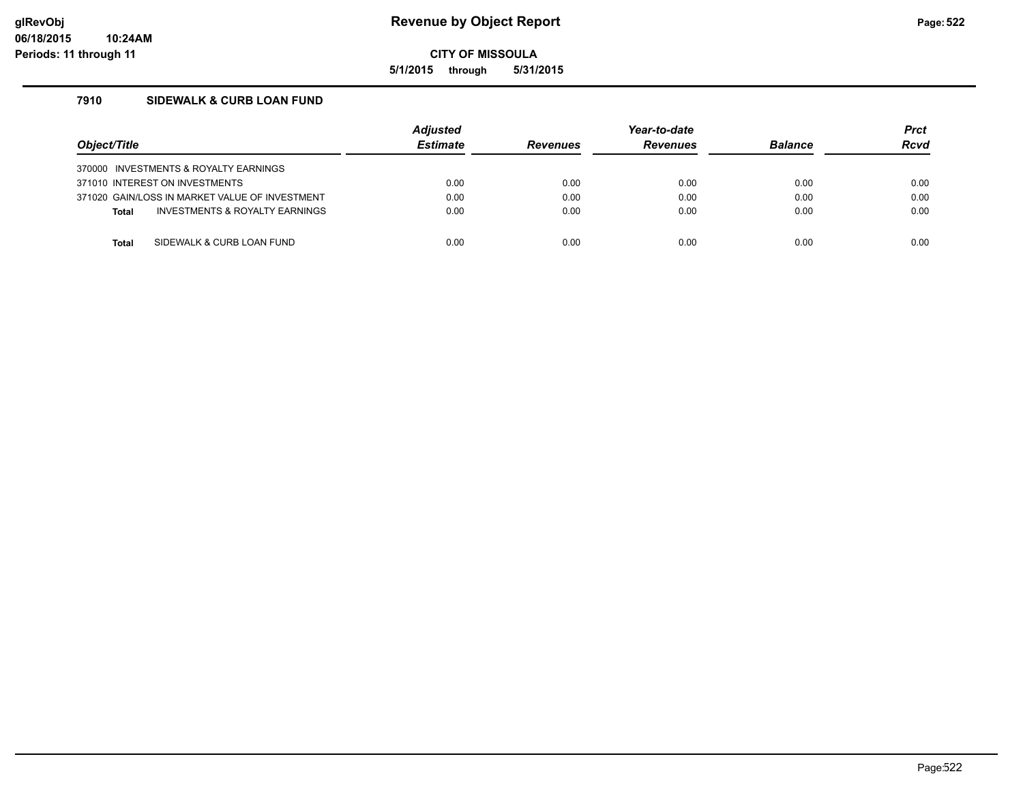**5/1/2015 through 5/31/2015**

### **7910 SIDEWALK & CURB LOAN FUND**

| Object/Title |                                                | <b>Adjusted</b><br><b>Estimate</b> | <b>Revenues</b> | Year-to-date<br><b>Revenues</b> | <b>Balance</b> | <b>Prct</b><br><b>Rcvd</b> |
|--------------|------------------------------------------------|------------------------------------|-----------------|---------------------------------|----------------|----------------------------|
|              | 370000 INVESTMENTS & ROYALTY EARNINGS          |                                    |                 |                                 |                |                            |
|              | 371010 INTEREST ON INVESTMENTS                 | 0.00                               | 0.00            | 0.00                            | 0.00           | 0.00                       |
|              | 371020 GAIN/LOSS IN MARKET VALUE OF INVESTMENT | 0.00                               | 0.00            | 0.00                            | 0.00           | 0.00                       |
| <b>Total</b> | INVESTMENTS & ROYALTY EARNINGS                 | 0.00                               | 0.00            | 0.00                            | 0.00           | 0.00                       |
|              |                                                |                                    |                 |                                 |                |                            |
| <b>Total</b> | SIDEWALK & CURB LOAN FUND                      | 0.00                               | 0.00            | 0.00                            | 0.00           | 0.00                       |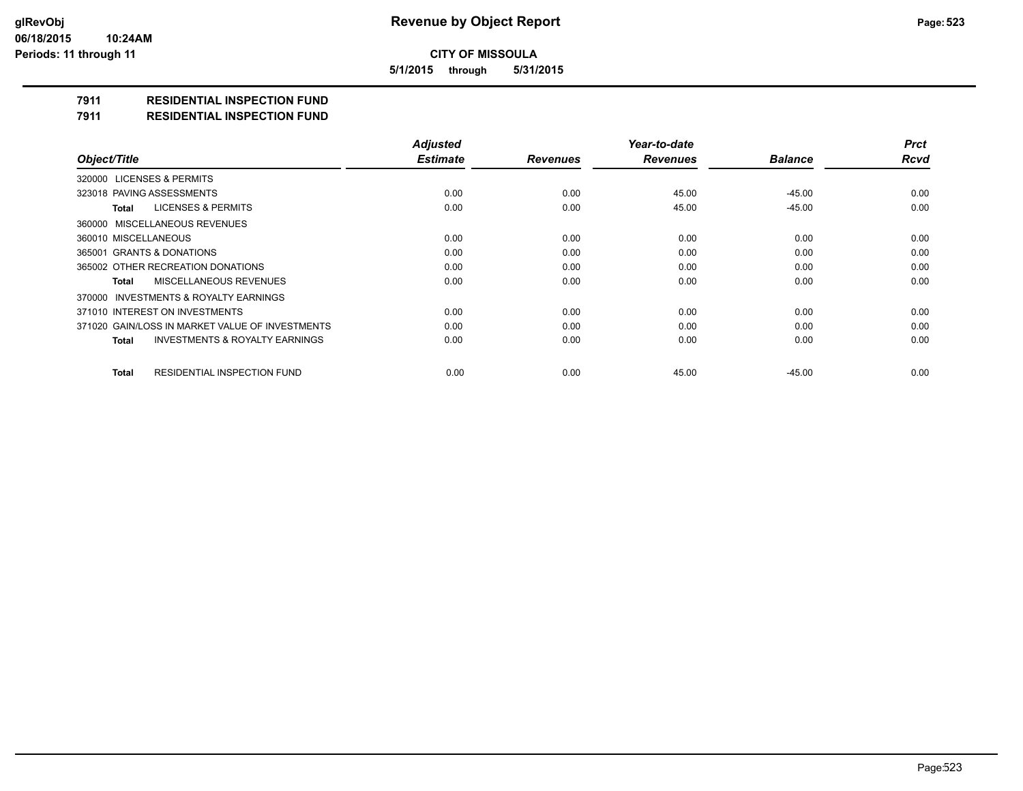**5/1/2015 through 5/31/2015**

## **7911 RESIDENTIAL INSPECTION FUND**

**7911 RESIDENTIAL INSPECTION FUND**

|                                                    | <b>Adjusted</b> |                 | Year-to-date    |                | <b>Prct</b> |
|----------------------------------------------------|-----------------|-----------------|-----------------|----------------|-------------|
| Object/Title                                       | <b>Estimate</b> | <b>Revenues</b> | <b>Revenues</b> | <b>Balance</b> | <b>Rcvd</b> |
| 320000 LICENSES & PERMITS                          |                 |                 |                 |                |             |
| 323018 PAVING ASSESSMENTS                          | 0.00            | 0.00            | 45.00           | $-45.00$       | 0.00        |
| <b>LICENSES &amp; PERMITS</b><br>Total             | 0.00            | 0.00            | 45.00           | $-45.00$       | 0.00        |
| 360000 MISCELLANEOUS REVENUES                      |                 |                 |                 |                |             |
| 360010 MISCELLANEOUS                               | 0.00            | 0.00            | 0.00            | 0.00           | 0.00        |
| 365001 GRANTS & DONATIONS                          | 0.00            | 0.00            | 0.00            | 0.00           | 0.00        |
| 365002 OTHER RECREATION DONATIONS                  | 0.00            | 0.00            | 0.00            | 0.00           | 0.00        |
| MISCELLANEOUS REVENUES<br>Total                    | 0.00            | 0.00            | 0.00            | 0.00           | 0.00        |
| 370000 INVESTMENTS & ROYALTY EARNINGS              |                 |                 |                 |                |             |
| 371010 INTEREST ON INVESTMENTS                     | 0.00            | 0.00            | 0.00            | 0.00           | 0.00        |
| 371020 GAIN/LOSS IN MARKET VALUE OF INVESTMENTS    | 0.00            | 0.00            | 0.00            | 0.00           | 0.00        |
| <b>INVESTMENTS &amp; ROYALTY EARNINGS</b><br>Total | 0.00            | 0.00            | 0.00            | 0.00           | 0.00        |
| <b>RESIDENTIAL INSPECTION FUND</b><br>Total        | 0.00            | 0.00            | 45.00           | $-45.00$       | 0.00        |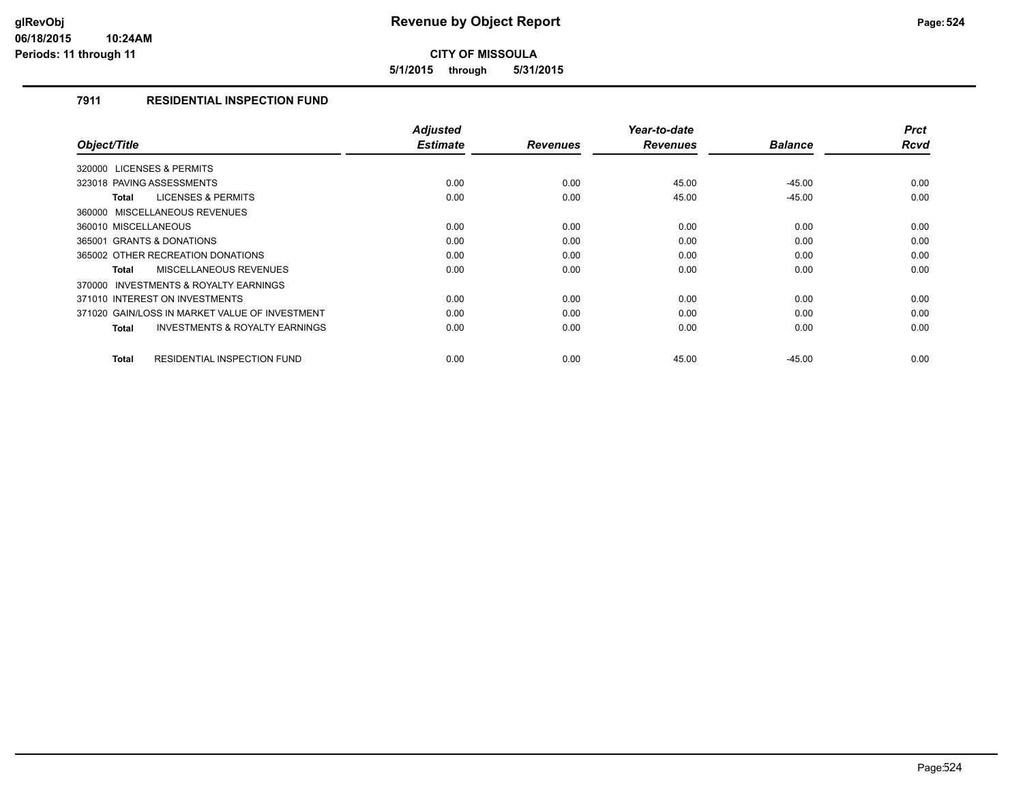**5/1/2015 through 5/31/2015**

### **7911 RESIDENTIAL INSPECTION FUND**

| <b>Adjusted</b><br><b>Estimate</b> | <b>Revenues</b> | Year-to-date<br><b>Revenues</b> | <b>Balance</b> | <b>Prct</b><br><b>Rcvd</b> |
|------------------------------------|-----------------|---------------------------------|----------------|----------------------------|
|                                    |                 |                                 |                |                            |
| 0.00                               | 0.00            | 45.00                           | $-45.00$       | 0.00                       |
| 0.00                               | 0.00            | 45.00                           | $-45.00$       | 0.00                       |
|                                    |                 |                                 |                |                            |
| 0.00                               | 0.00            | 0.00                            | 0.00           | 0.00                       |
| 0.00                               | 0.00            | 0.00                            | 0.00           | 0.00                       |
| 0.00                               | 0.00            | 0.00                            | 0.00           | 0.00                       |
| 0.00                               | 0.00            | 0.00                            | 0.00           | 0.00                       |
|                                    |                 |                                 |                |                            |
| 0.00                               | 0.00            | 0.00                            | 0.00           | 0.00                       |
| 0.00                               | 0.00            | 0.00                            | 0.00           | 0.00                       |
| 0.00                               | 0.00            | 0.00                            | 0.00           | 0.00                       |
|                                    |                 |                                 |                | 0.00                       |
|                                    | 0.00            | 0.00                            | 45.00          | $-45.00$                   |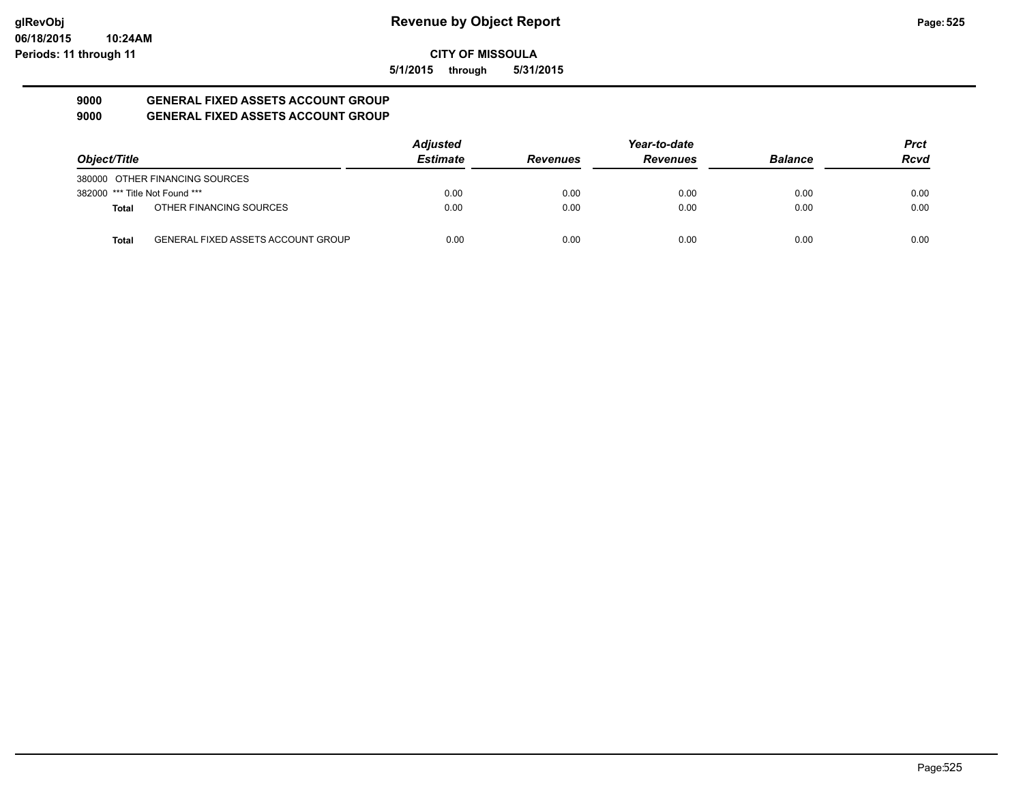**5/1/2015 through 5/31/2015**

#### **9000 GENERAL FIXED ASSETS ACCOUNT GROUP 9000 GENERAL FIXED ASSETS ACCOUNT GROUP**

| Object/Title                   |                                           | <b>Adjusted</b> |                 | Year-to-date    |                | <b>Prct</b> |
|--------------------------------|-------------------------------------------|-----------------|-----------------|-----------------|----------------|-------------|
|                                |                                           | <b>Estimate</b> | <b>Revenues</b> | <b>Revenues</b> | <b>Balance</b> | <b>Rcvd</b> |
|                                | 380000 OTHER FINANCING SOURCES            |                 |                 |                 |                |             |
| 382000 *** Title Not Found *** |                                           | 0.00            | 0.00            | 0.00            | 0.00           | 0.00        |
| <b>Total</b>                   | OTHER FINANCING SOURCES                   | 0.00            | 0.00            | 0.00            | 0.00           | 0.00        |
| <b>Total</b>                   | <b>GENERAL FIXED ASSETS ACCOUNT GROUP</b> | 0.00            | 0.00            | 0.00            | 0.00           | 0.00        |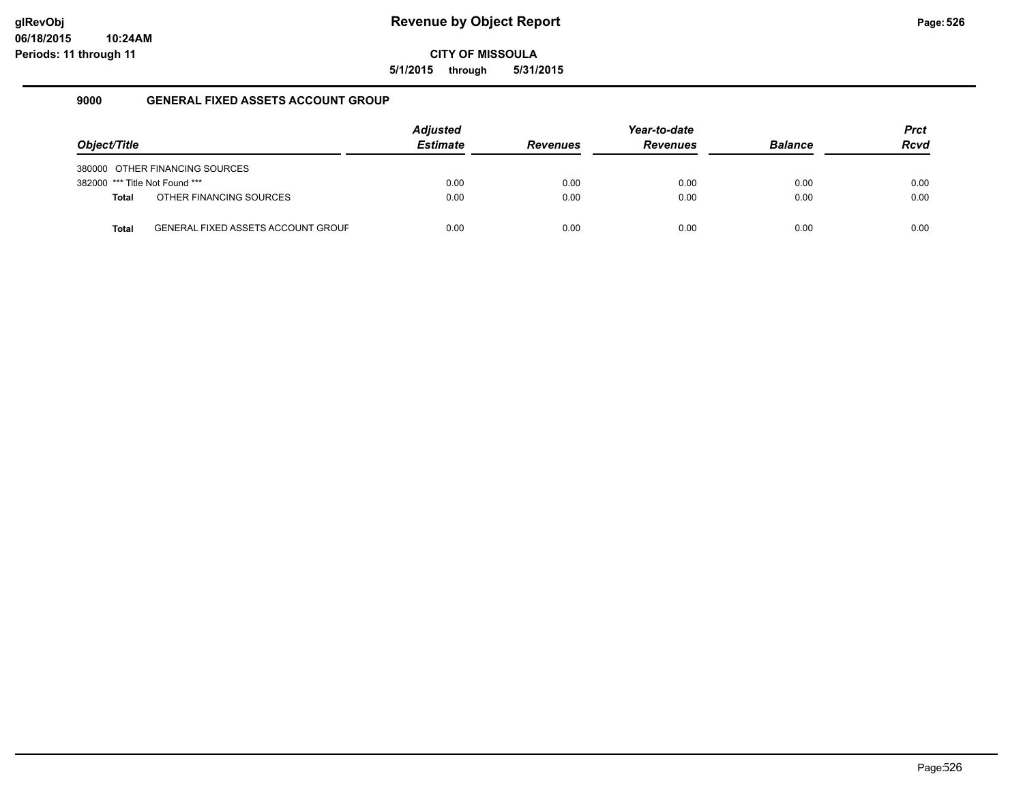**5/1/2015 through 5/31/2015**

### **9000 GENERAL FIXED ASSETS ACCOUNT GROUP**

|                                |                                           | <b>Adjusted</b> |                 | Year-to-date    |                | <b>Prct</b> |
|--------------------------------|-------------------------------------------|-----------------|-----------------|-----------------|----------------|-------------|
| Object/Title                   |                                           | <b>Estimate</b> | <b>Revenues</b> | <b>Revenues</b> | <b>Balance</b> | <b>Rcvd</b> |
|                                | 380000 OTHER FINANCING SOURCES            |                 |                 |                 |                |             |
| 382000 *** Title Not Found *** |                                           | 0.00            | 0.00            | 0.00            | 0.00           | 0.00        |
| <b>Total</b>                   | OTHER FINANCING SOURCES                   | 0.00            | 0.00            | 0.00            | 0.00           | 0.00        |
| <b>Total</b>                   | <b>GENERAL FIXED ASSETS ACCOUNT GROUF</b> | 0.00            | 0.00            | 0.00            | 0.00           | 0.00        |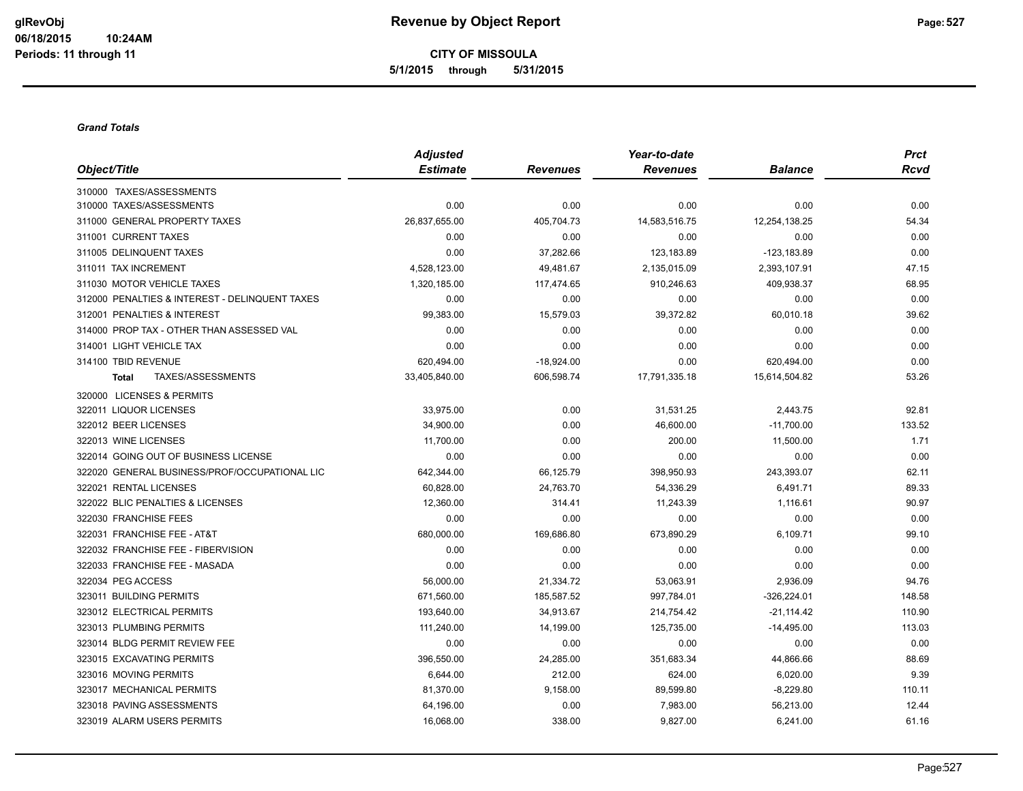#### *Grand Totals*

|                                                | <b>Adjusted</b> |                 | Year-to-date    |                | <b>Prct</b> |
|------------------------------------------------|-----------------|-----------------|-----------------|----------------|-------------|
| Object/Title                                   | <b>Estimate</b> | <b>Revenues</b> | <b>Revenues</b> | <b>Balance</b> | <b>Rcvd</b> |
| 310000 TAXES/ASSESSMENTS                       |                 |                 |                 |                |             |
| 310000 TAXES/ASSESSMENTS                       | 0.00            | 0.00            | 0.00            | 0.00           | 0.00        |
| 311000 GENERAL PROPERTY TAXES                  | 26,837,655.00   | 405,704.73      | 14,583,516.75   | 12,254,138.25  | 54.34       |
| 311001 CURRENT TAXES                           | 0.00            | 0.00            | 0.00            | 0.00           | 0.00        |
| 311005 DELINQUENT TAXES                        | 0.00            | 37,282.66       | 123,183.89      | $-123,183.89$  | 0.00        |
| 311011 TAX INCREMENT                           | 4,528,123.00    | 49,481.67       | 2,135,015.09    | 2,393,107.91   | 47.15       |
| 311030 MOTOR VEHICLE TAXES                     | 1,320,185.00    | 117,474.65      | 910,246.63      | 409,938.37     | 68.95       |
| 312000 PENALTIES & INTEREST - DELINQUENT TAXES | 0.00            | 0.00            | 0.00            | 0.00           | 0.00        |
| 312001 PENALTIES & INTEREST                    | 99,383.00       | 15,579.03       | 39,372.82       | 60,010.18      | 39.62       |
| 314000 PROP TAX - OTHER THAN ASSESSED VAL      | 0.00            | 0.00            | 0.00            | 0.00           | 0.00        |
| 314001 LIGHT VEHICLE TAX                       | 0.00            | 0.00            | 0.00            | 0.00           | 0.00        |
| 314100 TBID REVENUE                            | 620,494.00      | $-18,924.00$    | 0.00            | 620,494.00     | 0.00        |
| TAXES/ASSESSMENTS<br><b>Total</b>              | 33,405,840.00   | 606,598.74      | 17,791,335.18   | 15,614,504.82  | 53.26       |
| 320000 LICENSES & PERMITS                      |                 |                 |                 |                |             |
| 322011 LIQUOR LICENSES                         | 33,975.00       | 0.00            | 31,531.25       | 2,443.75       | 92.81       |
| 322012 BEER LICENSES                           | 34,900.00       | 0.00            | 46,600.00       | $-11,700.00$   | 133.52      |
| 322013 WINE LICENSES                           | 11,700.00       | 0.00            | 200.00          | 11,500.00      | 1.71        |
| 322014 GOING OUT OF BUSINESS LICENSE           | 0.00            | 0.00            | 0.00            | 0.00           | 0.00        |
| 322020 GENERAL BUSINESS/PROF/OCCUPATIONAL LIC  | 642,344.00      | 66,125.79       | 398,950.93      | 243,393.07     | 62.11       |
| 322021 RENTAL LICENSES                         | 60,828.00       | 24,763.70       | 54,336.29       | 6,491.71       | 89.33       |
| 322022 BLIC PENALTIES & LICENSES               | 12,360.00       | 314.41          | 11,243.39       | 1,116.61       | 90.97       |
| 322030 FRANCHISE FEES                          | 0.00            | 0.00            | 0.00            | 0.00           | 0.00        |
| 322031 FRANCHISE FEE - AT&T                    | 680,000.00      | 169,686.80      | 673,890.29      | 6,109.71       | 99.10       |
| 322032 FRANCHISE FEE - FIBERVISION             | 0.00            | 0.00            | 0.00            | 0.00           | 0.00        |
| 322033 FRANCHISE FEE - MASADA                  | 0.00            | 0.00            | 0.00            | 0.00           | 0.00        |
| 322034 PEG ACCESS                              | 56,000.00       | 21,334.72       | 53,063.91       | 2,936.09       | 94.76       |
| 323011 BUILDING PERMITS                        | 671,560.00      | 185,587.52      | 997,784.01      | $-326,224.01$  | 148.58      |
| 323012 ELECTRICAL PERMITS                      | 193,640.00      | 34,913.67       | 214,754.42      | $-21,114.42$   | 110.90      |
| 323013 PLUMBING PERMITS                        | 111,240.00      | 14,199.00       | 125,735.00      | $-14,495.00$   | 113.03      |
| 323014 BLDG PERMIT REVIEW FEE                  | 0.00            | 0.00            | 0.00            | 0.00           | 0.00        |
| 323015 EXCAVATING PERMITS                      | 396,550.00      | 24,285.00       | 351,683.34      | 44,866.66      | 88.69       |
| 323016 MOVING PERMITS                          | 6,644.00        | 212.00          | 624.00          | 6,020.00       | 9.39        |
| 323017 MECHANICAL PERMITS                      | 81,370.00       | 9,158.00        | 89,599.80       | $-8,229.80$    | 110.11      |
| 323018 PAVING ASSESSMENTS                      | 64,196.00       | 0.00            | 7,983.00        | 56,213.00      | 12.44       |
| 323019 ALARM USERS PERMITS                     | 16,068.00       | 338.00          | 9,827.00        | 6,241.00       | 61.16       |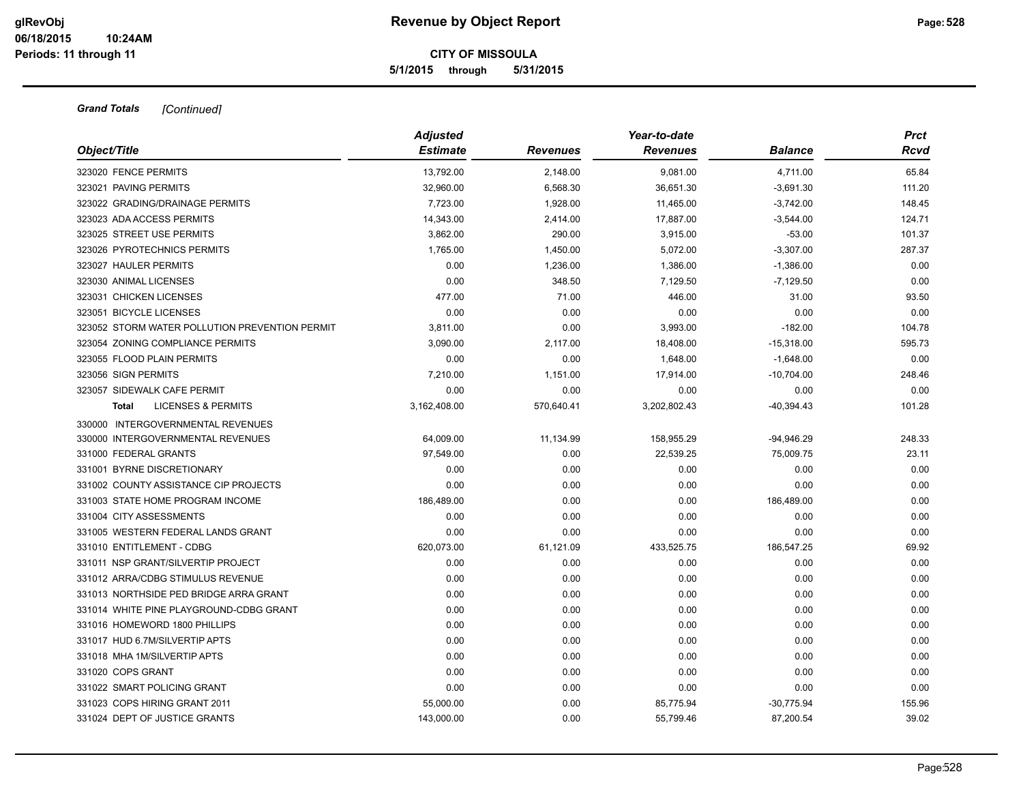| Object/Title                                   | <b>Adjusted</b><br><b>Estimate</b> | Revenues   | Year-to-date<br><b>Revenues</b> | <b>Balance</b> | <b>Prct</b><br>Rcvd |
|------------------------------------------------|------------------------------------|------------|---------------------------------|----------------|---------------------|
| 323020 FENCE PERMITS                           | 13,792.00                          | 2,148.00   | 9,081.00                        | 4,711.00       | 65.84               |
| 323021 PAVING PERMITS                          | 32,960.00                          | 6,568.30   | 36,651.30                       | $-3,691.30$    | 111.20              |
| 323022 GRADING/DRAINAGE PERMITS                | 7,723.00                           | 1,928.00   | 11,465.00                       | $-3,742.00$    | 148.45              |
| 323023 ADA ACCESS PERMITS                      | 14,343.00                          | 2,414.00   | 17,887.00                       | $-3,544.00$    | 124.71              |
| 323025 STREET USE PERMITS                      | 3,862.00                           | 290.00     | 3,915.00                        | $-53.00$       | 101.37              |
| 323026 PYROTECHNICS PERMITS                    | 1,765.00                           | 1,450.00   | 5,072.00                        | $-3,307.00$    | 287.37              |
| 323027 HAULER PERMITS                          | 0.00                               | 1,236.00   | 1,386.00                        | $-1,386.00$    | 0.00                |
| 323030 ANIMAL LICENSES                         | 0.00                               | 348.50     | 7,129.50                        | $-7,129.50$    | 0.00                |
| 323031 CHICKEN LICENSES                        | 477.00                             | 71.00      | 446.00                          | 31.00          | 93.50               |
| 323051 BICYCLE LICENSES                        | 0.00                               | 0.00       | 0.00                            | 0.00           | 0.00                |
| 323052 STORM WATER POLLUTION PREVENTION PERMIT | 3,811.00                           | 0.00       | 3,993.00                        | $-182.00$      | 104.78              |
| 323054 ZONING COMPLIANCE PERMITS               | 3,090.00                           | 2,117.00   | 18,408.00                       | $-15,318.00$   | 595.73              |
| 323055 FLOOD PLAIN PERMITS                     | 0.00                               | 0.00       | 1,648.00                        | $-1,648.00$    | 0.00                |
| 323056 SIGN PERMITS                            | 7,210.00                           | 1,151.00   | 17,914.00                       | $-10,704.00$   | 248.46              |
| 323057 SIDEWALK CAFE PERMIT                    | 0.00                               | 0.00       | 0.00                            | 0.00           | 0.00                |
| <b>LICENSES &amp; PERMITS</b><br><b>Total</b>  | 3,162,408.00                       | 570,640.41 | 3,202,802.43                    | $-40,394.43$   | 101.28              |
| 330000 INTERGOVERNMENTAL REVENUES              |                                    |            |                                 |                |                     |
| 330000 INTERGOVERNMENTAL REVENUES              | 64,009.00                          | 11,134.99  | 158,955.29                      | $-94,946.29$   | 248.33              |
| 331000 FEDERAL GRANTS                          | 97,549.00                          | 0.00       | 22,539.25                       | 75,009.75      | 23.11               |
| 331001 BYRNE DISCRETIONARY                     | 0.00                               | 0.00       | 0.00                            | 0.00           | 0.00                |
| 331002 COUNTY ASSISTANCE CIP PROJECTS          | 0.00                               | 0.00       | 0.00                            | 0.00           | 0.00                |
| 331003 STATE HOME PROGRAM INCOME               | 186,489.00                         | 0.00       | 0.00                            | 186,489.00     | 0.00                |
| 331004 CITY ASSESSMENTS                        | 0.00                               | 0.00       | 0.00                            | 0.00           | 0.00                |
| 331005 WESTERN FEDERAL LANDS GRANT             | 0.00                               | 0.00       | 0.00                            | 0.00           | 0.00                |
| 331010 ENTITLEMENT - CDBG                      | 620,073.00                         | 61,121.09  | 433,525.75                      | 186,547.25     | 69.92               |
| 331011 NSP GRANT/SILVERTIP PROJECT             | 0.00                               | 0.00       | 0.00                            | 0.00           | 0.00                |
| 331012 ARRA/CDBG STIMULUS REVENUE              | 0.00                               | 0.00       | 0.00                            | 0.00           | 0.00                |
| 331013 NORTHSIDE PED BRIDGE ARRA GRANT         | 0.00                               | 0.00       | 0.00                            | 0.00           | 0.00                |
| 331014 WHITE PINE PLAYGROUND-CDBG GRANT        | 0.00                               | 0.00       | 0.00                            | 0.00           | 0.00                |
| 331016 HOMEWORD 1800 PHILLIPS                  | 0.00                               | 0.00       | 0.00                            | 0.00           | 0.00                |
| 331017 HUD 6.7M/SILVERTIP APTS                 | 0.00                               | 0.00       | 0.00                            | 0.00           | 0.00                |
| 331018 MHA 1M/SILVERTIP APTS                   | 0.00                               | 0.00       | 0.00                            | 0.00           | 0.00                |
| 331020 COPS GRANT                              | 0.00                               | 0.00       | 0.00                            | 0.00           | 0.00                |
| 331022 SMART POLICING GRANT                    | 0.00                               | 0.00       | 0.00                            | 0.00           | 0.00                |
| 331023 COPS HIRING GRANT 2011                  | 55,000.00                          | 0.00       | 85,775.94                       | $-30,775.94$   | 155.96              |
| 331024 DEPT OF JUSTICE GRANTS                  | 143,000.00                         | 0.00       | 55,799.46                       | 87,200.54      | 39.02               |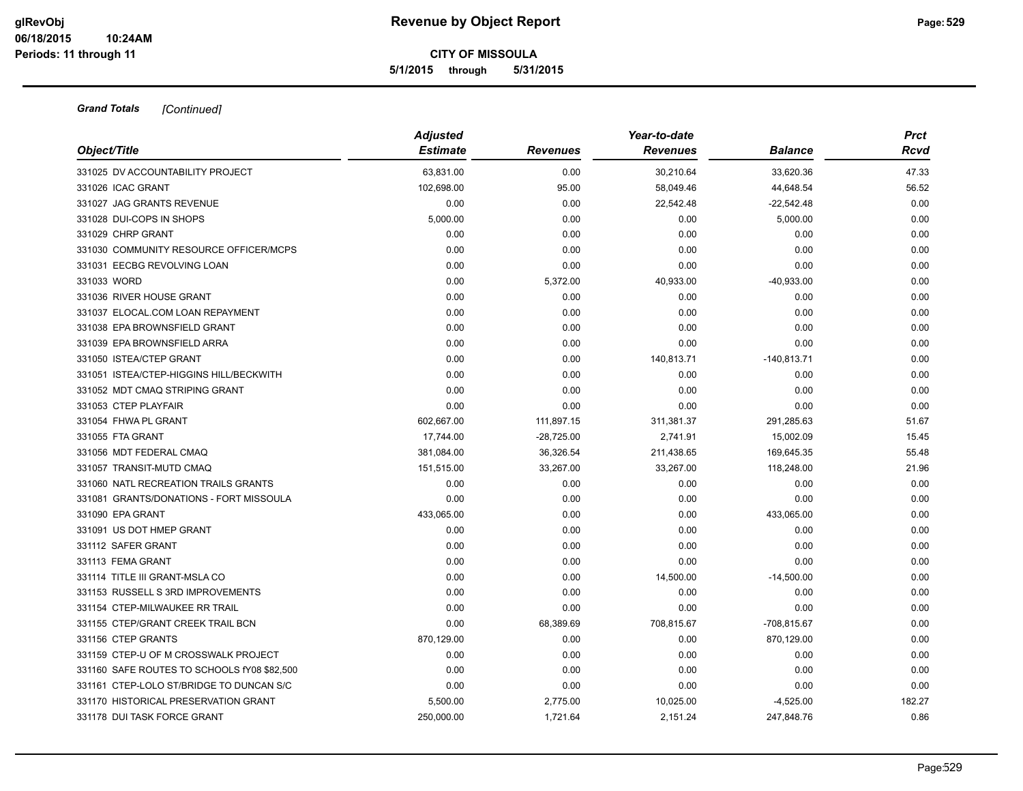|                                             | <b>Adjusted</b> |                 | Year-to-date    |                | <b>Prct</b> |
|---------------------------------------------|-----------------|-----------------|-----------------|----------------|-------------|
| Object/Title                                | <b>Estimate</b> | <b>Revenues</b> | <b>Revenues</b> | <b>Balance</b> | Rcvd        |
| 331025 DV ACCOUNTABILITY PROJECT            | 63,831.00       | 0.00            | 30,210.64       | 33,620.36      | 47.33       |
| 331026 ICAC GRANT                           | 102,698.00      | 95.00           | 58,049.46       | 44,648.54      | 56.52       |
| 331027 JAG GRANTS REVENUE                   | 0.00            | 0.00            | 22,542.48       | $-22,542.48$   | 0.00        |
| 331028 DUI-COPS IN SHOPS                    | 5,000.00        | 0.00            | 0.00            | 5,000.00       | 0.00        |
| 331029 CHRP GRANT                           | 0.00            | 0.00            | 0.00            | 0.00           | 0.00        |
| 331030 COMMUNITY RESOURCE OFFICER/MCPS      | 0.00            | 0.00            | 0.00            | 0.00           | 0.00        |
| 331031 EECBG REVOLVING LOAN                 | 0.00            | 0.00            | 0.00            | 0.00           | 0.00        |
| 331033 WORD                                 | 0.00            | 5,372.00        | 40,933.00       | $-40,933.00$   | 0.00        |
| 331036 RIVER HOUSE GRANT                    | 0.00            | 0.00            | 0.00            | 0.00           | 0.00        |
| 331037 ELOCAL.COM LOAN REPAYMENT            | 0.00            | 0.00            | 0.00            | 0.00           | 0.00        |
| 331038 EPA BROWNSFIELD GRANT                | 0.00            | 0.00            | 0.00            | 0.00           | 0.00        |
| 331039 EPA BROWNSFIELD ARRA                 | 0.00            | 0.00            | 0.00            | 0.00           | 0.00        |
| 331050 ISTEA/CTEP GRANT                     | 0.00            | 0.00            | 140,813.71      | $-140,813.71$  | 0.00        |
| 331051 ISTEA/CTEP-HIGGINS HILL/BECKWITH     | 0.00            | 0.00            | 0.00            | 0.00           | 0.00        |
| 331052 MDT CMAQ STRIPING GRANT              | 0.00            | 0.00            | 0.00            | 0.00           | 0.00        |
| 331053 CTEP PLAYFAIR                        | 0.00            | 0.00            | 0.00            | 0.00           | 0.00        |
| 331054 FHWA PL GRANT                        | 602,667.00      | 111,897.15      | 311,381.37      | 291,285.63     | 51.67       |
| 331055 FTA GRANT                            | 17,744.00       | $-28,725.00$    | 2,741.91        | 15,002.09      | 15.45       |
| 331056 MDT FEDERAL CMAQ                     | 381,084.00      | 36,326.54       | 211,438.65      | 169,645.35     | 55.48       |
| 331057 TRANSIT-MUTD CMAQ                    | 151,515.00      | 33,267.00       | 33,267.00       | 118,248.00     | 21.96       |
| 331060 NATL RECREATION TRAILS GRANTS        | 0.00            | 0.00            | 0.00            | 0.00           | 0.00        |
| 331081 GRANTS/DONATIONS - FORT MISSOULA     | 0.00            | 0.00            | 0.00            | 0.00           | 0.00        |
| 331090 EPA GRANT                            | 433,065.00      | 0.00            | 0.00            | 433,065.00     | 0.00        |
| 331091 US DOT HMEP GRANT                    | 0.00            | 0.00            | 0.00            | 0.00           | 0.00        |
| 331112 SAFER GRANT                          | 0.00            | 0.00            | 0.00            | 0.00           | 0.00        |
| 331113 FEMA GRANT                           | 0.00            | 0.00            | 0.00            | 0.00           | 0.00        |
| 331114 TITLE III GRANT-MSLA CO              | 0.00            | 0.00            | 14,500.00       | $-14,500.00$   | 0.00        |
| 331153 RUSSELL S 3RD IMPROVEMENTS           | 0.00            | 0.00            | 0.00            | 0.00           | 0.00        |
| 331154 CTEP-MILWAUKEE RR TRAIL              | 0.00            | 0.00            | 0.00            | 0.00           | 0.00        |
| 331155 CTEP/GRANT CREEK TRAIL BCN           | 0.00            | 68,389.69       | 708,815.67      | -708,815.67    | 0.00        |
| 331156 CTEP GRANTS                          | 870,129.00      | 0.00            | 0.00            | 870,129.00     | 0.00        |
| 331159 CTEP-U OF M CROSSWALK PROJECT        | 0.00            | 0.00            | 0.00            | 0.00           | 0.00        |
| 331160 SAFE ROUTES TO SCHOOLS fY08 \$82,500 | 0.00            | 0.00            | 0.00            | 0.00           | 0.00        |
| 331161 CTEP-LOLO ST/BRIDGE TO DUNCAN S/C    | 0.00            | 0.00            | 0.00            | 0.00           | 0.00        |
| 331170 HISTORICAL PRESERVATION GRANT        | 5,500.00        | 2,775.00        | 10,025.00       | $-4,525.00$    | 182.27      |
| 331178 DUI TASK FORCE GRANT                 | 250,000.00      | 1,721.64        | 2,151.24        | 247,848.76     | 0.86        |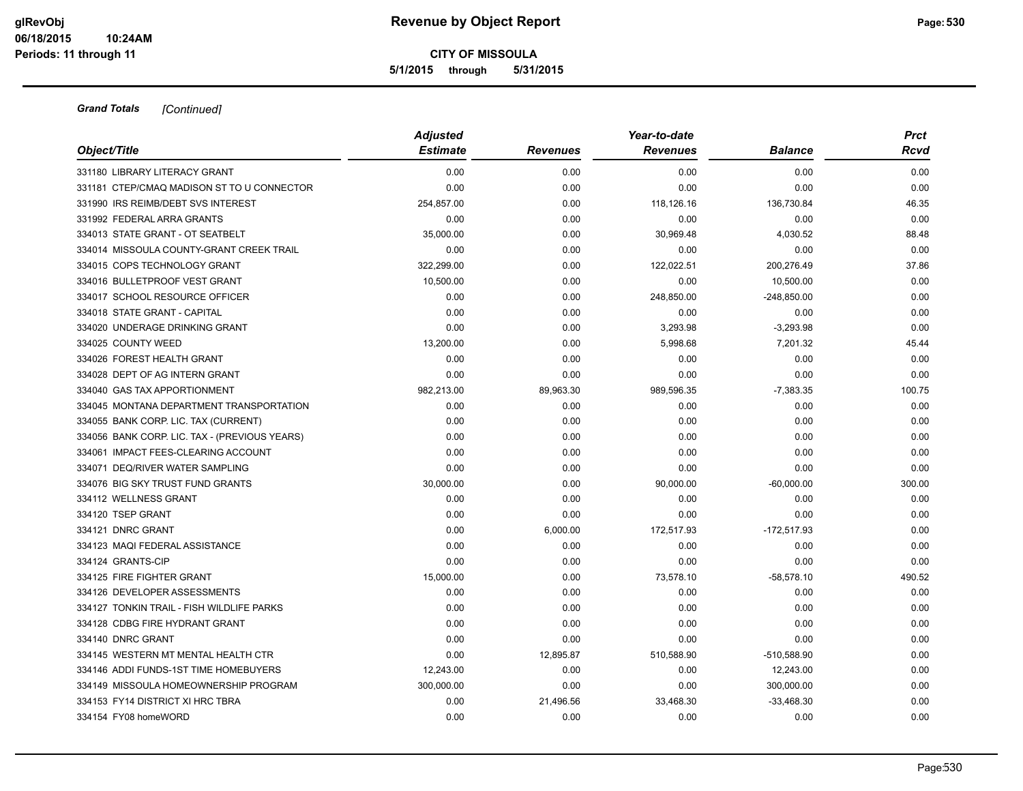|                                               | <b>Adjusted</b> |                 |                 | <b>Prct</b>    |        |
|-----------------------------------------------|-----------------|-----------------|-----------------|----------------|--------|
| Object/Title                                  | <b>Estimate</b> | <b>Revenues</b> | <b>Revenues</b> | <b>Balance</b> | Rcvd   |
| 331180 LIBRARY LITERACY GRANT                 | 0.00            | 0.00            | 0.00            | 0.00           | 0.00   |
| 331181 CTEP/CMAQ MADISON ST TO U CONNECTOR    | 0.00            | 0.00            | 0.00            | 0.00           | 0.00   |
| 331990 IRS REIMB/DEBT SVS INTEREST            | 254,857.00      | 0.00            | 118,126.16      | 136,730.84     | 46.35  |
| 331992 FEDERAL ARRA GRANTS                    | 0.00            | 0.00            | 0.00            | 0.00           | 0.00   |
| 334013 STATE GRANT - OT SEATBELT              | 35,000.00       | 0.00            | 30,969.48       | 4,030.52       | 88.48  |
| 334014 MISSOULA COUNTY-GRANT CREEK TRAIL      | 0.00            | 0.00            | 0.00            | 0.00           | 0.00   |
| 334015 COPS TECHNOLOGY GRANT                  | 322,299.00      | 0.00            | 122,022.51      | 200,276.49     | 37.86  |
| 334016 BULLETPROOF VEST GRANT                 | 10,500.00       | 0.00            | 0.00            | 10,500.00      | 0.00   |
| 334017 SCHOOL RESOURCE OFFICER                | 0.00            | 0.00            | 248,850.00      | $-248,850.00$  | 0.00   |
| 334018 STATE GRANT - CAPITAL                  | 0.00            | 0.00            | 0.00            | 0.00           | 0.00   |
| 334020 UNDERAGE DRINKING GRANT                | 0.00            | 0.00            | 3,293.98        | $-3.293.98$    | 0.00   |
| 334025 COUNTY WEED                            | 13,200.00       | 0.00            | 5,998.68        | 7,201.32       | 45.44  |
| 334026 FOREST HEALTH GRANT                    | 0.00            | 0.00            | 0.00            | 0.00           | 0.00   |
| 334028 DEPT OF AG INTERN GRANT                | 0.00            | 0.00            | 0.00            | 0.00           | 0.00   |
| 334040 GAS TAX APPORTIONMENT                  | 982,213.00      | 89,963.30       | 989,596.35      | $-7,383.35$    | 100.75 |
| 334045 MONTANA DEPARTMENT TRANSPORTATION      | 0.00            | 0.00            | 0.00            | 0.00           | 0.00   |
| 334055 BANK CORP. LIC. TAX (CURRENT)          | 0.00            | 0.00            | 0.00            | 0.00           | 0.00   |
| 334056 BANK CORP. LIC. TAX - (PREVIOUS YEARS) | 0.00            | 0.00            | 0.00            | 0.00           | 0.00   |
| 334061 IMPACT FEES-CLEARING ACCOUNT           | 0.00            | 0.00            | 0.00            | 0.00           | 0.00   |
| 334071 DEQ/RIVER WATER SAMPLING               | 0.00            | 0.00            | 0.00            | 0.00           | 0.00   |
| 334076 BIG SKY TRUST FUND GRANTS              | 30,000.00       | 0.00            | 90,000.00       | $-60,000.00$   | 300.00 |
| 334112 WELLNESS GRANT                         | 0.00            | 0.00            | 0.00            | 0.00           | 0.00   |
| 334120 TSEP GRANT                             | 0.00            | 0.00            | 0.00            | 0.00           | 0.00   |
| 334121 DNRC GRANT                             | 0.00            | 6,000.00        | 172,517.93      | $-172,517.93$  | 0.00   |
| 334123 MAQI FEDERAL ASSISTANCE                | 0.00            | 0.00            | 0.00            | 0.00           | 0.00   |
| 334124 GRANTS-CIP                             | 0.00            | 0.00            | 0.00            | 0.00           | 0.00   |
| 334125 FIRE FIGHTER GRANT                     | 15,000.00       | 0.00            | 73,578.10       | $-58,578.10$   | 490.52 |
| 334126 DEVELOPER ASSESSMENTS                  | 0.00            | 0.00            | 0.00            | 0.00           | 0.00   |
| 334127 TONKIN TRAIL - FISH WILDLIFE PARKS     | 0.00            | 0.00            | 0.00            | 0.00           | 0.00   |
| 334128 CDBG FIRE HYDRANT GRANT                | 0.00            | 0.00            | 0.00            | 0.00           | 0.00   |
| 334140 DNRC GRANT                             | 0.00            | 0.00            | 0.00            | 0.00           | 0.00   |
| 334145 WESTERN MT MENTAL HEALTH CTR           | 0.00            | 12,895.87       | 510,588.90      | $-510,588.90$  | 0.00   |
| 334146 ADDI FUNDS-1ST TIME HOMEBUYERS         | 12,243.00       | 0.00            | 0.00            | 12,243.00      | 0.00   |
| 334149 MISSOULA HOMEOWNERSHIP PROGRAM         | 300,000.00      | 0.00            | 0.00            | 300,000.00     | 0.00   |
| 334153 FY14 DISTRICT XI HRC TBRA              | 0.00            | 21,496.56       | 33,468.30       | $-33,468.30$   | 0.00   |
| 334154 FY08 homeWORD                          | 0.00            | 0.00            | 0.00            | 0.00           | 0.00   |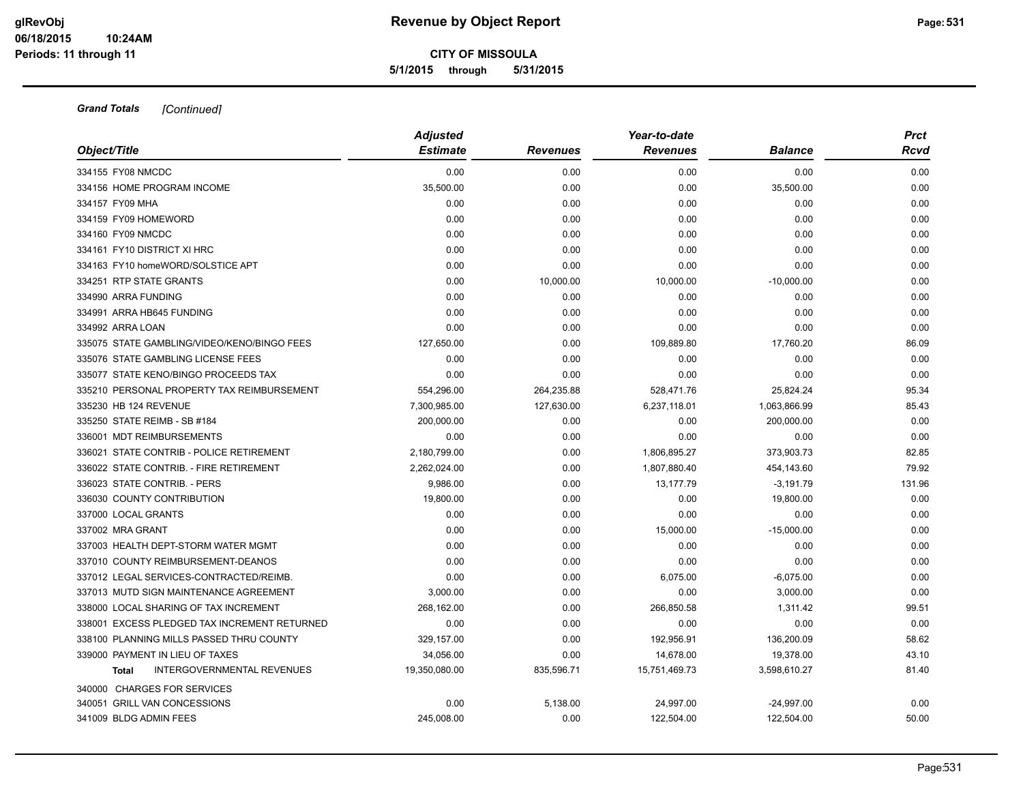| Object/Title                                 | <b>Adjusted</b><br><b>Estimate</b> | <b>Revenues</b> | Year-to-date<br><b>Revenues</b> | <b>Balance</b> | <b>Prct</b><br>Rcvd |
|----------------------------------------------|------------------------------------|-----------------|---------------------------------|----------------|---------------------|
| 334155 FY08 NMCDC                            | 0.00                               | 0.00            | 0.00                            | 0.00           | 0.00                |
| 334156 HOME PROGRAM INCOME                   | 35,500.00                          | 0.00            | 0.00                            | 35,500.00      | 0.00                |
| 334157 FY09 MHA                              | 0.00                               | 0.00            | 0.00                            | 0.00           | 0.00                |
| 334159 FY09 HOMEWORD                         | 0.00                               | 0.00            | 0.00                            | 0.00           | 0.00                |
| 334160 FY09 NMCDC                            | 0.00                               | 0.00            | 0.00                            | 0.00           | 0.00                |
| 334161 FY10 DISTRICT XI HRC                  | 0.00                               | 0.00            | 0.00                            | 0.00           | 0.00                |
| 334163 FY10 homeWORD/SOLSTICE APT            | 0.00                               | 0.00            | 0.00                            | 0.00           | 0.00                |
| 334251 RTP STATE GRANTS                      | 0.00                               | 10,000.00       | 10,000.00                       | $-10,000.00$   | 0.00                |
| 334990 ARRA FUNDING                          | 0.00                               | 0.00            | 0.00                            | 0.00           | 0.00                |
| 334991 ARRA HB645 FUNDING                    | 0.00                               | 0.00            | 0.00                            | 0.00           | 0.00                |
| 334992 ARRA LOAN                             | 0.00                               | 0.00            | 0.00                            | 0.00           | 0.00                |
| 335075 STATE GAMBLING/VIDEO/KENO/BINGO FEES  | 127,650.00                         | 0.00            | 109,889.80                      | 17,760.20      | 86.09               |
| 335076 STATE GAMBLING LICENSE FEES           | 0.00                               | 0.00            | 0.00                            | 0.00           | 0.00                |
| 335077 STATE KENO/BINGO PROCEEDS TAX         | 0.00                               | 0.00            | 0.00                            | 0.00           | 0.00                |
| 335210 PERSONAL PROPERTY TAX REIMBURSEMENT   | 554,296.00                         | 264,235.88      | 528,471.76                      | 25,824.24      | 95.34               |
| 335230 HB 124 REVENUE                        | 7,300,985.00                       | 127,630.00      | 6,237,118.01                    | 1,063,866.99   | 85.43               |
| 335250 STATE REIMB - SB #184                 | 200,000.00                         | 0.00            | 0.00                            | 200,000.00     | 0.00                |
| 336001 MDT REIMBURSEMENTS                    | 0.00                               | 0.00            | 0.00                            | 0.00           | 0.00                |
| 336021 STATE CONTRIB - POLICE RETIREMENT     | 2,180,799.00                       | 0.00            | 1,806,895.27                    | 373,903.73     | 82.85               |
| 336022 STATE CONTRIB. - FIRE RETIREMENT      | 2,262,024.00                       | 0.00            | 1,807,880.40                    | 454,143.60     | 79.92               |
| 336023 STATE CONTRIB. - PERS                 | 9,986.00                           | 0.00            | 13,177.79                       | $-3,191.79$    | 131.96              |
| 336030 COUNTY CONTRIBUTION                   | 19.800.00                          | 0.00            | 0.00                            | 19,800.00      | 0.00                |
| 337000 LOCAL GRANTS                          | 0.00                               | 0.00            | 0.00                            | 0.00           | 0.00                |
| 337002 MRA GRANT                             | 0.00                               | 0.00            | 15,000.00                       | $-15,000.00$   | 0.00                |
| 337003 HEALTH DEPT-STORM WATER MGMT          | 0.00                               | 0.00            | 0.00                            | 0.00           | 0.00                |
| 337010 COUNTY REIMBURSEMENT-DEANOS           | 0.00                               | 0.00            | 0.00                            | 0.00           | 0.00                |
| 337012 LEGAL SERVICES-CONTRACTED/REIMB.      | 0.00                               | 0.00            | 6,075.00                        | $-6,075.00$    | 0.00                |
| 337013 MUTD SIGN MAINTENANCE AGREEMENT       | 3,000.00                           | 0.00            | 0.00                            | 3,000.00       | 0.00                |
| 338000 LOCAL SHARING OF TAX INCREMENT        | 268,162.00                         | 0.00            | 266,850.58                      | 1,311.42       | 99.51               |
| 338001 EXCESS PLEDGED TAX INCREMENT RETURNED | 0.00                               | 0.00            | 0.00                            | 0.00           | 0.00                |
| 338100 PLANNING MILLS PASSED THRU COUNTY     | 329,157.00                         | 0.00            | 192,956.91                      | 136,200.09     | 58.62               |
| 339000 PAYMENT IN LIEU OF TAXES              | 34,056.00                          | 0.00            | 14,678.00                       | 19,378.00      | 43.10               |
| <b>INTERGOVERNMENTAL REVENUES</b><br>Total   | 19,350,080.00                      | 835,596.71      | 15,751,469.73                   | 3,598,610.27   | 81.40               |
| 340000 CHARGES FOR SERVICES                  |                                    |                 |                                 |                |                     |
| 340051 GRILL VAN CONCESSIONS                 | 0.00                               | 5,138.00        | 24,997.00                       | $-24,997.00$   | 0.00                |
| 341009 BLDG ADMIN FEES                       | 245.008.00                         | 0.00            | 122,504.00                      | 122,504.00     | 50.00               |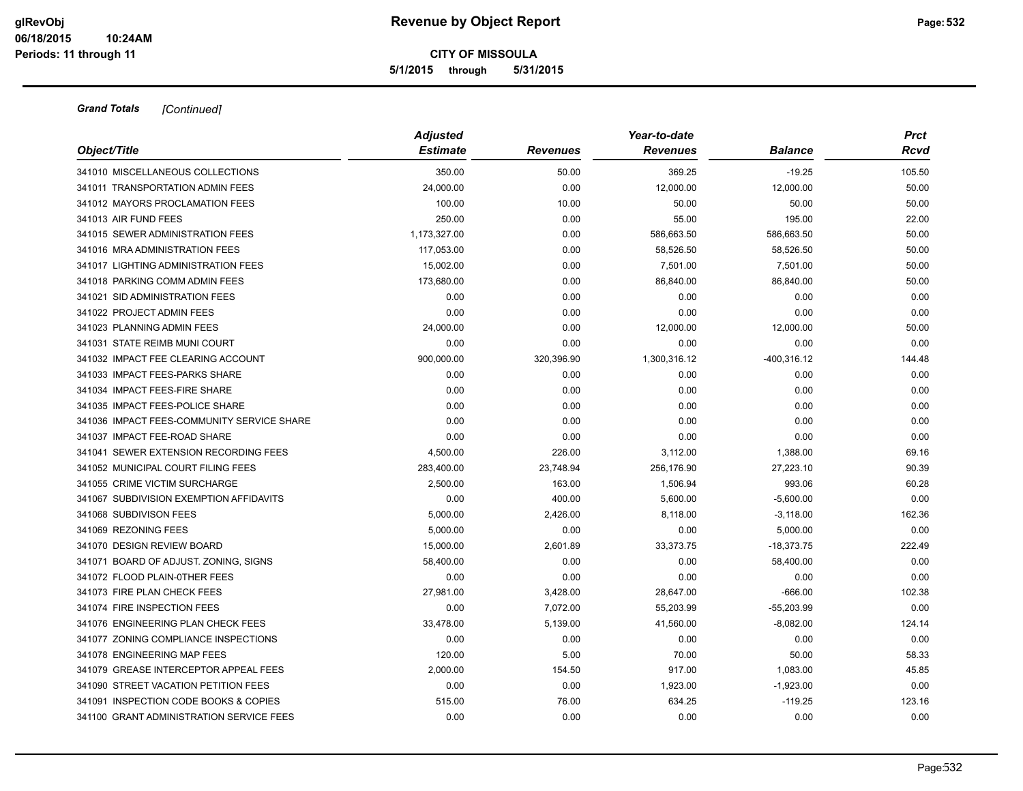|                                            | <b>Adjusted</b> |                 | Year-to-date    |                | <b>Prct</b> |
|--------------------------------------------|-----------------|-----------------|-----------------|----------------|-------------|
| Object/Title                               | <b>Estimate</b> | <b>Revenues</b> | <b>Revenues</b> | <b>Balance</b> | Rcvd        |
| 341010 MISCELLANEOUS COLLECTIONS           | 350.00          | 50.00           | 369.25          | $-19.25$       | 105.50      |
| 341011 TRANSPORTATION ADMIN FEES           | 24,000.00       | 0.00            | 12,000.00       | 12,000.00      | 50.00       |
| 341012 MAYORS PROCLAMATION FEES            | 100.00          | 10.00           | 50.00           | 50.00          | 50.00       |
| 341013 AIR FUND FEES                       | 250.00          | 0.00            | 55.00           | 195.00         | 22.00       |
| 341015 SEWER ADMINISTRATION FEES           | 1,173,327.00    | 0.00            | 586,663.50      | 586,663.50     | 50.00       |
| 341016 MRA ADMINISTRATION FEES             | 117,053.00      | 0.00            | 58,526.50       | 58,526.50      | 50.00       |
| 341017 LIGHTING ADMINISTRATION FEES        | 15,002.00       | 0.00            | 7,501.00        | 7,501.00       | 50.00       |
| 341018 PARKING COMM ADMIN FEES             | 173,680.00      | 0.00            | 86,840.00       | 86,840.00      | 50.00       |
| 341021 SID ADMINISTRATION FEES             | 0.00            | 0.00            | 0.00            | 0.00           | 0.00        |
| 341022 PROJECT ADMIN FEES                  | 0.00            | 0.00            | 0.00            | 0.00           | 0.00        |
| 341023 PLANNING ADMIN FEES                 | 24,000.00       | 0.00            | 12,000.00       | 12,000.00      | 50.00       |
| 341031 STATE REIMB MUNI COURT              | 0.00            | 0.00            | 0.00            | 0.00           | 0.00        |
| 341032 IMPACT FEE CLEARING ACCOUNT         | 900,000.00      | 320,396.90      | 1,300,316.12    | -400,316.12    | 144.48      |
| 341033 IMPACT FEES-PARKS SHARE             | 0.00            | 0.00            | 0.00            | 0.00           | 0.00        |
| 341034 IMPACT FEES-FIRE SHARE              | 0.00            | 0.00            | 0.00            | 0.00           | 0.00        |
| 341035 IMPACT FEES-POLICE SHARE            | 0.00            | 0.00            | 0.00            | 0.00           | 0.00        |
| 341036 IMPACT FEES-COMMUNITY SERVICE SHARE | 0.00            | 0.00            | 0.00            | 0.00           | 0.00        |
| 341037 IMPACT FEE-ROAD SHARE               | 0.00            | 0.00            | 0.00            | 0.00           | 0.00        |
| 341041 SEWER EXTENSION RECORDING FEES      | 4,500.00        | 226.00          | 3,112.00        | 1,388.00       | 69.16       |
| 341052 MUNICIPAL COURT FILING FEES         | 283,400.00      | 23,748.94       | 256,176.90      | 27,223.10      | 90.39       |
| 341055 CRIME VICTIM SURCHARGE              | 2,500.00        | 163.00          | 1,506.94        | 993.06         | 60.28       |
| 341067 SUBDIVISION EXEMPTION AFFIDAVITS    | 0.00            | 400.00          | 5,600.00        | $-5,600.00$    | 0.00        |
| 341068 SUBDIVISON FEES                     | 5,000.00        | 2,426.00        | 8,118.00        | $-3,118.00$    | 162.36      |
| 341069 REZONING FEES                       | 5,000.00        | 0.00            | 0.00            | 5,000.00       | 0.00        |
| 341070 DESIGN REVIEW BOARD                 | 15,000.00       | 2,601.89        | 33,373.75       | $-18,373.75$   | 222.49      |
| 341071 BOARD OF ADJUST. ZONING, SIGNS      | 58,400.00       | 0.00            | 0.00            | 58,400.00      | 0.00        |
| 341072 FLOOD PLAIN-0THER FEES              | 0.00            | 0.00            | 0.00            | 0.00           | 0.00        |
| 341073 FIRE PLAN CHECK FEES                | 27,981.00       | 3,428.00        | 28,647.00       | $-666.00$      | 102.38      |
| 341074 FIRE INSPECTION FEES                | 0.00            | 7,072.00        | 55,203.99       | $-55,203.99$   | 0.00        |
| 341076 ENGINEERING PLAN CHECK FEES         | 33,478.00       | 5,139.00        | 41,560.00       | $-8,082.00$    | 124.14      |
| 341077 ZONING COMPLIANCE INSPECTIONS       | 0.00            | 0.00            | 0.00            | 0.00           | 0.00        |
| 341078 ENGINEERING MAP FEES                | 120.00          | 5.00            | 70.00           | 50.00          | 58.33       |
| 341079 GREASE INTERCEPTOR APPEAL FEES      | 2,000.00        | 154.50          | 917.00          | 1,083.00       | 45.85       |
| 341090 STREET VACATION PETITION FEES       | 0.00            | 0.00            | 1,923.00        | $-1,923.00$    | 0.00        |
| 341091 INSPECTION CODE BOOKS & COPIES      | 515.00          | 76.00           | 634.25          | $-119.25$      | 123.16      |
| 341100 GRANT ADMINISTRATION SERVICE FEES   | 0.00            | 0.00            | 0.00            | 0.00           | 0.00        |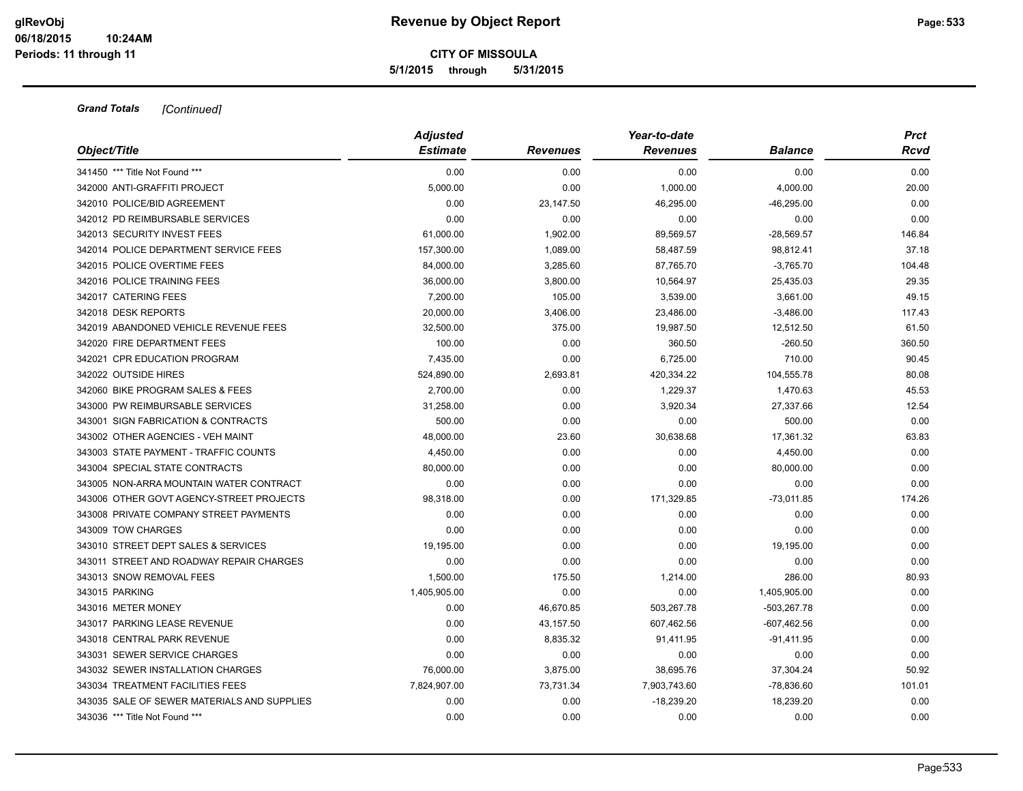| Object/Title                                | <b>Adjusted</b> |                 | Year-to-date    | <b>Prct</b>    |        |
|---------------------------------------------|-----------------|-----------------|-----------------|----------------|--------|
|                                             | <b>Estimate</b> | <b>Revenues</b> | <b>Revenues</b> | <b>Balance</b> | Rcvd   |
| 341450 *** Title Not Found ***              | 0.00            | 0.00            | 0.00            | 0.00           | 0.00   |
| 342000 ANTI-GRAFFITI PROJECT                | 5,000.00        | 0.00            | 1,000.00        | 4,000.00       | 20.00  |
| 342010 POLICE/BID AGREEMENT                 | 0.00            | 23,147.50       | 46,295.00       | $-46,295.00$   | 0.00   |
| 342012 PD REIMBURSABLE SERVICES             | 0.00            | 0.00            | 0.00            | 0.00           | 0.00   |
| 342013 SECURITY INVEST FEES                 | 61,000.00       | 1,902.00        | 89,569.57       | $-28,569.57$   | 146.84 |
| 342014 POLICE DEPARTMENT SERVICE FEES       | 157,300.00      | 1,089.00        | 58,487.59       | 98,812.41      | 37.18  |
| 342015 POLICE OVERTIME FEES                 | 84,000.00       | 3,285.60        | 87,765.70       | $-3,765.70$    | 104.48 |
| 342016 POLICE TRAINING FEES                 | 36,000.00       | 3,800.00        | 10,564.97       | 25,435.03      | 29.35  |
| 342017 CATERING FEES                        | 7,200.00        | 105.00          | 3,539.00        | 3,661.00       | 49.15  |
| 342018 DESK REPORTS                         | 20,000.00       | 3,406.00        | 23,486.00       | $-3,486.00$    | 117.43 |
| 342019 ABANDONED VEHICLE REVENUE FEES       | 32,500.00       | 375.00          | 19,987.50       | 12,512.50      | 61.50  |
| 342020 FIRE DEPARTMENT FEES                 | 100.00          | 0.00            | 360.50          | $-260.50$      | 360.50 |
| 342021 CPR EDUCATION PROGRAM                | 7,435.00        | 0.00            | 6,725.00        | 710.00         | 90.45  |
| 342022 OUTSIDE HIRES                        | 524,890.00      | 2,693.81        | 420,334.22      | 104,555.78     | 80.08  |
| 342060 BIKE PROGRAM SALES & FEES            | 2,700.00        | 0.00            | 1,229.37        | 1,470.63       | 45.53  |
| 343000 PW REIMBURSABLE SERVICES             | 31,258.00       | 0.00            | 3,920.34        | 27,337.66      | 12.54  |
| 343001 SIGN FABRICATION & CONTRACTS         | 500.00          | 0.00            | 0.00            | 500.00         | 0.00   |
| 343002 OTHER AGENCIES - VEH MAINT           | 48,000.00       | 23.60           | 30,638.68       | 17,361.32      | 63.83  |
| 343003 STATE PAYMENT - TRAFFIC COUNTS       | 4,450.00        | 0.00            | 0.00            | 4,450.00       | 0.00   |
| 343004 SPECIAL STATE CONTRACTS              | 80,000.00       | 0.00            | 0.00            | 80,000.00      | 0.00   |
| 343005 NON-ARRA MOUNTAIN WATER CONTRACT     | 0.00            | 0.00            | 0.00            | 0.00           | 0.00   |
| 343006 OTHER GOVT AGENCY-STREET PROJECTS    | 98,318.00       | 0.00            | 171,329.85      | $-73,011.85$   | 174.26 |
| 343008 PRIVATE COMPANY STREET PAYMENTS      | 0.00            | 0.00            | 0.00            | 0.00           | 0.00   |
| 343009 TOW CHARGES                          | 0.00            | 0.00            | 0.00            | 0.00           | 0.00   |
| 343010 STREET DEPT SALES & SERVICES         | 19,195.00       | 0.00            | 0.00            | 19,195.00      | 0.00   |
| 343011 STREET AND ROADWAY REPAIR CHARGES    | 0.00            | 0.00            | 0.00            | 0.00           | 0.00   |
| 343013 SNOW REMOVAL FEES                    | 1,500.00        | 175.50          | 1,214.00        | 286.00         | 80.93  |
| 343015 PARKING                              | 1,405,905.00    | 0.00            | 0.00            | 1,405,905.00   | 0.00   |
| 343016 METER MONEY                          | 0.00            | 46,670.85       | 503,267.78      | $-503,267.78$  | 0.00   |
| 343017 PARKING LEASE REVENUE                | 0.00            | 43,157.50       | 607,462.56      | $-607,462.56$  | 0.00   |
| 343018 CENTRAL PARK REVENUE                 | 0.00            | 8,835.32        | 91,411.95       | $-91,411.95$   | 0.00   |
| 343031 SEWER SERVICE CHARGES                | 0.00            | 0.00            | 0.00            | 0.00           | 0.00   |
| 343032 SEWER INSTALLATION CHARGES           | 76,000.00       | 3,875.00        | 38,695.76       | 37,304.24      | 50.92  |
| 343034 TREATMENT FACILITIES FEES            | 7,824,907.00    | 73,731.34       | 7,903,743.60    | $-78,836.60$   | 101.01 |
| 343035 SALE OF SEWER MATERIALS AND SUPPLIES | 0.00            | 0.00            | $-18,239.20$    | 18,239.20      | 0.00   |
| 343036 *** Title Not Found ***              | 0.00            | 0.00            | 0.00            | 0.00           | 0.00   |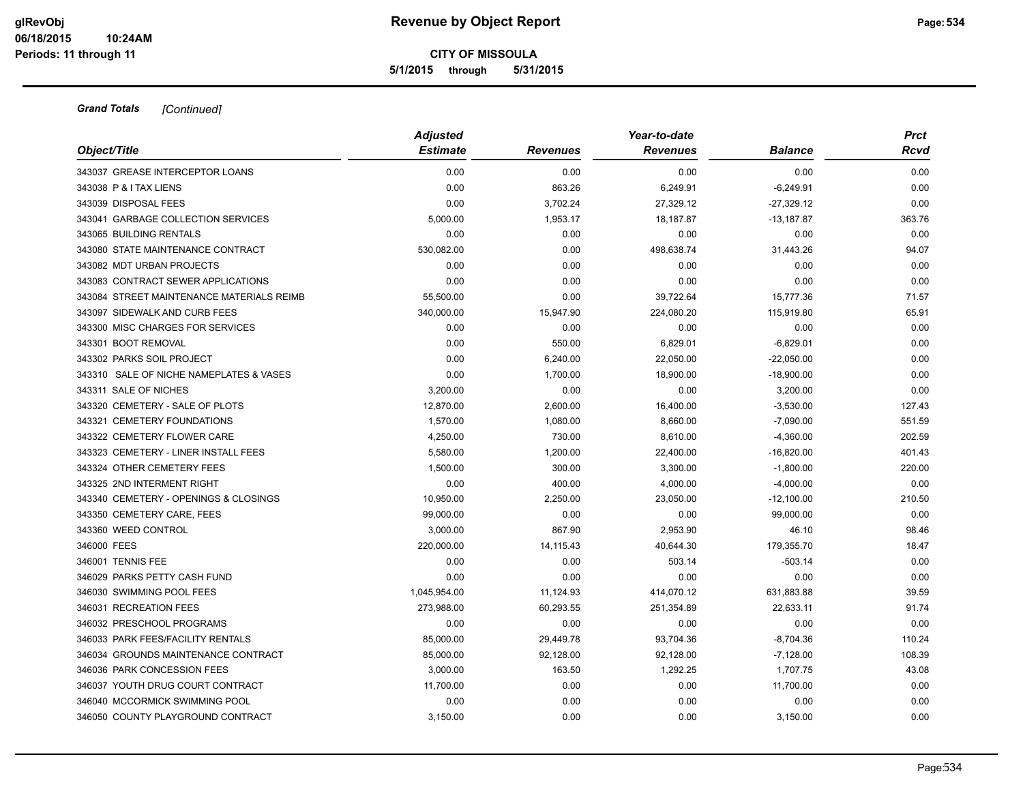| Object/Title                              | <b>Adjusted</b><br><b>Estimate</b> | <b>Revenues</b> | Year-to-date<br><b>Revenues</b> | <b>Balance</b>       | <b>Prct</b><br>Rcvd |
|-------------------------------------------|------------------------------------|-----------------|---------------------------------|----------------------|---------------------|
| 343037 GREASE INTERCEPTOR LOANS           | 0.00                               | 0.00            | 0.00                            | 0.00                 | 0.00                |
| 343038 P & I TAX LIENS                    | 0.00                               | 863.26          | 6,249.91                        | $-6,249.91$          | 0.00                |
| 343039 DISPOSAL FEES                      | 0.00                               | 3,702.24        | 27,329.12                       | $-27,329.12$         | 0.00                |
| 343041 GARBAGE COLLECTION SERVICES        | 5,000.00                           | 1,953.17        | 18,187.87                       |                      | 363.76              |
| 343065 BUILDING RENTALS                   | 0.00                               | 0.00            | 0.00                            | $-13,187.87$<br>0.00 | 0.00                |
| 343080 STATE MAINTENANCE CONTRACT         | 530,082.00                         | 0.00            | 498,638.74                      | 31,443.26            | 94.07               |
|                                           |                                    |                 |                                 |                      |                     |
| 343082 MDT URBAN PROJECTS                 | 0.00                               | 0.00            | 0.00                            | 0.00                 | 0.00                |
| 343083 CONTRACT SEWER APPLICATIONS        | 0.00                               | 0.00            | 0.00                            | 0.00                 | 0.00                |
| 343084 STREET MAINTENANCE MATERIALS REIMB | 55,500.00                          | 0.00            | 39,722.64                       | 15,777.36            | 71.57               |
| 343097 SIDEWALK AND CURB FEES             | 340,000.00                         | 15,947.90       | 224,080.20                      | 115,919.80           | 65.91               |
| 343300 MISC CHARGES FOR SERVICES          | 0.00                               | 0.00            | 0.00                            | 0.00                 | 0.00                |
| 343301 BOOT REMOVAL                       | 0.00                               | 550.00          | 6,829.01                        | $-6,829.01$          | 0.00                |
| 343302 PARKS SOIL PROJECT                 | 0.00                               | 6,240.00        | 22,050.00                       | $-22,050.00$         | 0.00                |
| 343310 SALE OF NICHE NAMEPLATES & VASES   | 0.00                               | 1,700.00        | 18,900.00                       | $-18,900.00$         | 0.00                |
| 343311 SALE OF NICHES                     | 3,200.00                           | 0.00            | 0.00                            | 3,200.00             | 0.00                |
| 343320 CEMETERY - SALE OF PLOTS           | 12,870.00                          | 2,600.00        | 16,400.00                       | $-3,530.00$          | 127.43              |
| 343321 CEMETERY FOUNDATIONS               | 1,570.00                           | 1,080.00        | 8,660.00                        | $-7,090.00$          | 551.59              |
| 343322 CEMETERY FLOWER CARE               | 4,250.00                           | 730.00          | 8,610.00                        | $-4,360.00$          | 202.59              |
| 343323 CEMETERY - LINER INSTALL FEES      | 5,580.00                           | 1,200.00        | 22,400.00                       | $-16,820.00$         | 401.43              |
| 343324 OTHER CEMETERY FEES                | 1,500.00                           | 300.00          | 3,300.00                        | $-1,800.00$          | 220.00              |
| 343325 2ND INTERMENT RIGHT                | 0.00                               | 400.00          | 4,000.00                        | $-4,000.00$          | 0.00                |
| 343340 CEMETERY - OPENINGS & CLOSINGS     | 10,950.00                          | 2,250.00        | 23,050.00                       | $-12,100.00$         | 210.50              |
| 343350 CEMETERY CARE, FEES                | 99,000.00                          | 0.00            | 0.00                            | 99,000.00            | 0.00                |
| 343360 WEED CONTROL                       | 3,000.00                           | 867.90          | 2,953.90                        | 46.10                | 98.46               |
| 346000 FEES                               | 220,000.00                         | 14,115.43       | 40,644.30                       | 179,355.70           | 18.47               |
| 346001 TENNIS FEE                         | 0.00                               | 0.00            | 503.14                          | $-503.14$            | 0.00                |
| 346029 PARKS PETTY CASH FUND              | 0.00                               | 0.00            | 0.00                            | 0.00                 | 0.00                |
| 346030 SWIMMING POOL FEES                 | 1,045,954.00                       | 11,124.93       | 414,070.12                      | 631,883.88           | 39.59               |
| 346031 RECREATION FEES                    | 273,988.00                         | 60,293.55       | 251,354.89                      | 22,633.11            | 91.74               |
| 346032 PRESCHOOL PROGRAMS                 | 0.00                               | 0.00            | 0.00                            | 0.00                 | 0.00                |
| 346033 PARK FEES/FACILITY RENTALS         | 85,000.00                          | 29,449.78       | 93,704.36                       | $-8,704.36$          | 110.24              |
| 346034 GROUNDS MAINTENANCE CONTRACT       | 85,000.00                          | 92,128.00       | 92,128.00                       | $-7,128.00$          | 108.39              |
| 346036 PARK CONCESSION FEES               | 3,000.00                           | 163.50          | 1,292.25                        | 1,707.75             | 43.08               |
| 346037 YOUTH DRUG COURT CONTRACT          | 11,700.00                          | 0.00            | 0.00                            | 11,700.00            | 0.00                |
| 346040 MCCORMICK SWIMMING POOL            | 0.00                               | 0.00            | 0.00                            | 0.00                 | 0.00                |
| 346050 COUNTY PLAYGROUND CONTRACT         | 3,150.00                           | 0.00            | 0.00                            | 3,150.00             | 0.00                |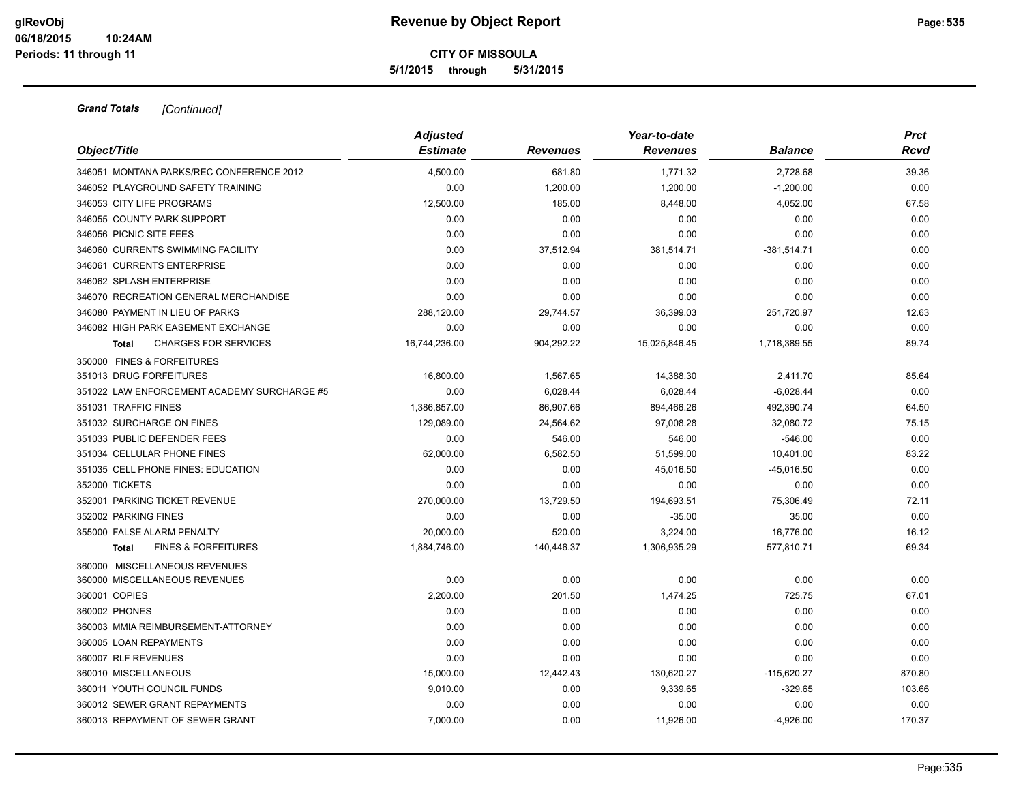| Object/Title                                   | <b>Adjusted</b><br><b>Estimate</b> | <b>Revenues</b> | Year-to-date<br><b>Revenues</b> | <b>Balance</b> | <b>Prct</b><br>Rcvd |
|------------------------------------------------|------------------------------------|-----------------|---------------------------------|----------------|---------------------|
| 346051 MONTANA PARKS/REC CONFERENCE 2012       | 4.500.00                           | 681.80          | 1,771.32                        | 2,728.68       | 39.36               |
| 346052 PLAYGROUND SAFETY TRAINING              | 0.00                               | 1,200.00        | 1,200.00                        | $-1,200.00$    | 0.00                |
| 346053 CITY LIFE PROGRAMS                      | 12,500.00                          | 185.00          | 8,448.00                        | 4,052.00       | 67.58               |
| 346055 COUNTY PARK SUPPORT                     | 0.00                               | 0.00            | 0.00                            | 0.00           | 0.00                |
| 346056 PICNIC SITE FEES                        | 0.00                               | 0.00            | 0.00                            | 0.00           | 0.00                |
| 346060 CURRENTS SWIMMING FACILITY              | 0.00                               | 37,512.94       | 381,514.71                      | $-381,514.71$  | 0.00                |
| 346061 CURRENTS ENTERPRISE                     | 0.00                               | 0.00            | 0.00                            | 0.00           | 0.00                |
| 346062 SPLASH ENTERPRISE                       | 0.00                               | 0.00            | 0.00                            | 0.00           | 0.00                |
| 346070 RECREATION GENERAL MERCHANDISE          | 0.00                               | 0.00            | 0.00                            | 0.00           | 0.00                |
| 346080 PAYMENT IN LIEU OF PARKS                | 288,120.00                         | 29,744.57       | 36,399.03                       | 251,720.97     | 12.63               |
| 346082 HIGH PARK EASEMENT EXCHANGE             | 0.00                               | 0.00            | 0.00                            | 0.00           | 0.00                |
| <b>CHARGES FOR SERVICES</b><br>Total           | 16,744,236.00                      | 904,292.22      | 15,025,846.45                   | 1,718,389.55   | 89.74               |
| 350000 FINES & FORFEITURES                     |                                    |                 |                                 |                |                     |
| 351013 DRUG FORFEITURES                        | 16,800.00                          | 1,567.65        | 14,388.30                       | 2,411.70       | 85.64               |
| 351022 LAW ENFORCEMENT ACADEMY SURCHARGE #5    | 0.00                               | 6,028.44        | 6,028.44                        | $-6,028.44$    | 0.00                |
| 351031 TRAFFIC FINES                           | 1,386,857.00                       | 86,907.66       | 894,466.26                      | 492,390.74     | 64.50               |
| 351032 SURCHARGE ON FINES                      | 129,089.00                         | 24,564.62       | 97,008.28                       | 32,080.72      | 75.15               |
| 351033 PUBLIC DEFENDER FEES                    | 0.00                               | 546.00          | 546.00                          | $-546.00$      | 0.00                |
| 351034 CELLULAR PHONE FINES                    | 62,000.00                          | 6,582.50        | 51,599.00                       | 10,401.00      | 83.22               |
| 351035 CELL PHONE FINES: EDUCATION             | 0.00                               | 0.00            | 45,016.50                       | $-45,016.50$   | 0.00                |
| 352000 TICKETS                                 | 0.00                               | 0.00            | 0.00                            | 0.00           | 0.00                |
| 352001 PARKING TICKET REVENUE                  | 270,000.00                         | 13,729.50       | 194,693.51                      | 75,306.49      | 72.11               |
| 352002 PARKING FINES                           | 0.00                               | 0.00            | $-35.00$                        | 35.00          | 0.00                |
| 355000 FALSE ALARM PENALTY                     | 20,000.00                          | 520.00          | 3,224.00                        | 16,776.00      | 16.12               |
| <b>FINES &amp; FORFEITURES</b><br><b>Total</b> | 1,884,746.00                       | 140,446.37      | 1,306,935.29                    | 577,810.71     | 69.34               |
| 360000 MISCELLANEOUS REVENUES                  |                                    |                 |                                 |                |                     |
| 360000 MISCELLANEOUS REVENUES                  | 0.00                               | 0.00            | 0.00                            | 0.00           | 0.00                |
| 360001 COPIES                                  | 2,200.00                           | 201.50          | 1,474.25                        | 725.75         | 67.01               |
| 360002 PHONES                                  | 0.00                               | 0.00            | 0.00                            | 0.00           | 0.00                |
| 360003 MMIA REIMBURSEMENT-ATTORNEY             | 0.00                               | 0.00            | 0.00                            | 0.00           | 0.00                |
| 360005 LOAN REPAYMENTS                         | 0.00                               | 0.00            | 0.00                            | 0.00           | 0.00                |
| 360007 RLF REVENUES                            | 0.00                               | 0.00            | 0.00                            | 0.00           | 0.00                |
| 360010 MISCELLANEOUS                           | 15,000.00                          | 12,442.43       | 130,620.27                      | $-115,620.27$  | 870.80              |
| 360011 YOUTH COUNCIL FUNDS                     | 9,010.00                           | 0.00            | 9,339.65                        | $-329.65$      | 103.66              |
| 360012 SEWER GRANT REPAYMENTS                  | 0.00                               | 0.00            | 0.00                            | 0.00           | 0.00                |
| 360013 REPAYMENT OF SEWER GRANT                | 7.000.00                           | 0.00            | 11.926.00                       | $-4.926.00$    | 170.37              |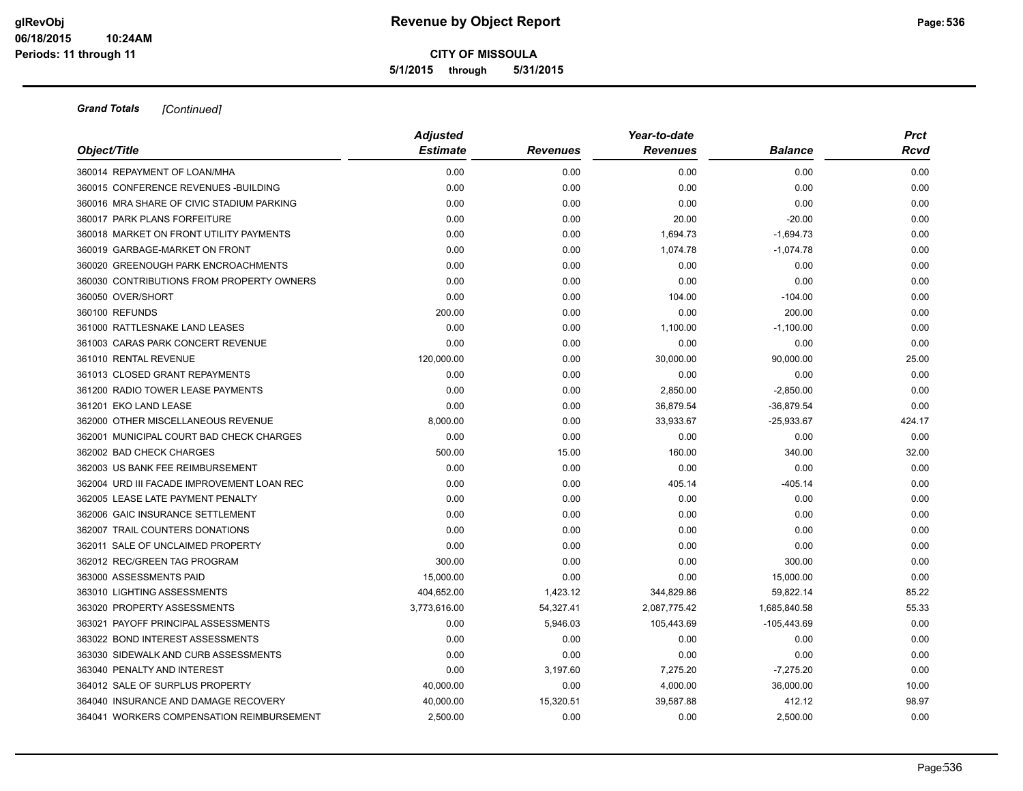**5/1/2015 through 5/31/2015**

| Object/Title                               | <b>Adjusted</b> |                 | Year-to-date    |                | <b>Prct</b> |  |
|--------------------------------------------|-----------------|-----------------|-----------------|----------------|-------------|--|
|                                            | <b>Estimate</b> | <b>Revenues</b> | <b>Revenues</b> | <b>Balance</b> | <b>Rcvd</b> |  |
| 360014 REPAYMENT OF LOAN/MHA               | 0.00            | 0.00            | 0.00            | 0.00           | 0.00        |  |
| 360015 CONFERENCE REVENUES - BUILDING      | 0.00            | 0.00            | 0.00            | 0.00           | 0.00        |  |
| 360016 MRA SHARE OF CIVIC STADIUM PARKING  | 0.00            | 0.00            | 0.00            | 0.00           | 0.00        |  |
| 360017 PARK PLANS FORFEITURE               | 0.00            | 0.00            | 20.00           | $-20.00$       | 0.00        |  |
| 360018 MARKET ON FRONT UTILITY PAYMENTS    | 0.00            | 0.00            | 1,694.73        | $-1,694.73$    | 0.00        |  |
| 360019 GARBAGE-MARKET ON FRONT             | 0.00            | 0.00            | 1,074.78        | $-1,074.78$    | 0.00        |  |
| 360020 GREENOUGH PARK ENCROACHMENTS        | 0.00            | 0.00            | 0.00            | 0.00           | 0.00        |  |
| 360030 CONTRIBUTIONS FROM PROPERTY OWNERS  | 0.00            | 0.00            | 0.00            | 0.00           | 0.00        |  |
| 360050 OVER/SHORT                          | 0.00            | 0.00            | 104.00          | $-104.00$      | 0.00        |  |
| 360100 REFUNDS                             | 200.00          | 0.00            | 0.00            | 200.00         | 0.00        |  |
| 361000 RATTLESNAKE LAND LEASES             | 0.00            | 0.00            | 1,100.00        | $-1,100.00$    | 0.00        |  |
| 361003 CARAS PARK CONCERT REVENUE          | 0.00            | 0.00            | 0.00            | 0.00           | 0.00        |  |
| 361010 RENTAL REVENUE                      | 120,000.00      | 0.00            | 30,000.00       | 90,000.00      | 25.00       |  |
| 361013 CLOSED GRANT REPAYMENTS             | 0.00            | 0.00            | 0.00            | 0.00           | 0.00        |  |
| 361200 RADIO TOWER LEASE PAYMENTS          | 0.00            | 0.00            | 2,850.00        | $-2,850.00$    | 0.00        |  |
| 361201 EKO LAND LEASE                      | 0.00            | 0.00            | 36,879.54       | $-36,879.54$   | 0.00        |  |
| 362000 OTHER MISCELLANEOUS REVENUE         | 8,000.00        | 0.00            | 33,933.67       | $-25,933.67$   | 424.17      |  |
| 362001 MUNICIPAL COURT BAD CHECK CHARGES   | 0.00            | 0.00            | 0.00            | 0.00           | 0.00        |  |
| 362002 BAD CHECK CHARGES                   | 500.00          | 15.00           | 160.00          | 340.00         | 32.00       |  |
| 362003 US BANK FEE REIMBURSEMENT           | 0.00            | 0.00            | 0.00            | 0.00           | 0.00        |  |
| 362004 URD III FACADE IMPROVEMENT LOAN REC | 0.00            | 0.00            | 405.14          | $-405.14$      | 0.00        |  |
| 362005 LEASE LATE PAYMENT PENALTY          | 0.00            | 0.00            | 0.00            | 0.00           | 0.00        |  |
| 362006 GAIC INSURANCE SETTLEMENT           | 0.00            | 0.00            | 0.00            | 0.00           | 0.00        |  |
| 362007 TRAIL COUNTERS DONATIONS            | 0.00            | 0.00            | 0.00            | 0.00           | 0.00        |  |
| 362011 SALE OF UNCLAIMED PROPERTY          | 0.00            | 0.00            | 0.00            | 0.00           | 0.00        |  |
| 362012 REC/GREEN TAG PROGRAM               | 300.00          | 0.00            | 0.00            | 300.00         | 0.00        |  |
| 363000 ASSESSMENTS PAID                    | 15,000.00       | 0.00            | 0.00            | 15,000.00      | 0.00        |  |
| 363010 LIGHTING ASSESSMENTS                | 404,652.00      | 1,423.12        | 344,829.86      | 59,822.14      | 85.22       |  |
| 363020 PROPERTY ASSESSMENTS                | 3,773,616.00    | 54,327.41       | 2,087,775.42    | 1,685,840.58   | 55.33       |  |
| 363021 PAYOFF PRINCIPAL ASSESSMENTS        | 0.00            | 5,946.03        | 105,443.69      | $-105,443.69$  | 0.00        |  |
| 363022 BOND INTEREST ASSESSMENTS           | 0.00            | 0.00            | 0.00            | 0.00           | 0.00        |  |
| 363030 SIDEWALK AND CURB ASSESSMENTS       | 0.00            | 0.00            | 0.00            | 0.00           | 0.00        |  |
| 363040 PENALTY AND INTEREST                | 0.00            | 3,197.60        | 7,275.20        | $-7,275.20$    | 0.00        |  |
| 364012 SALE OF SURPLUS PROPERTY            | 40,000.00       | 0.00            | 4,000.00        | 36,000.00      | 10.00       |  |
| 364040 INSURANCE AND DAMAGE RECOVERY       | 40,000.00       | 15,320.51       | 39,587.88       | 412.12         | 98.97       |  |
| 364041 WORKERS COMPENSATION REIMBURSEMENT  | 2,500.00        | 0.00            | 0.00            | 2,500.00       | 0.00        |  |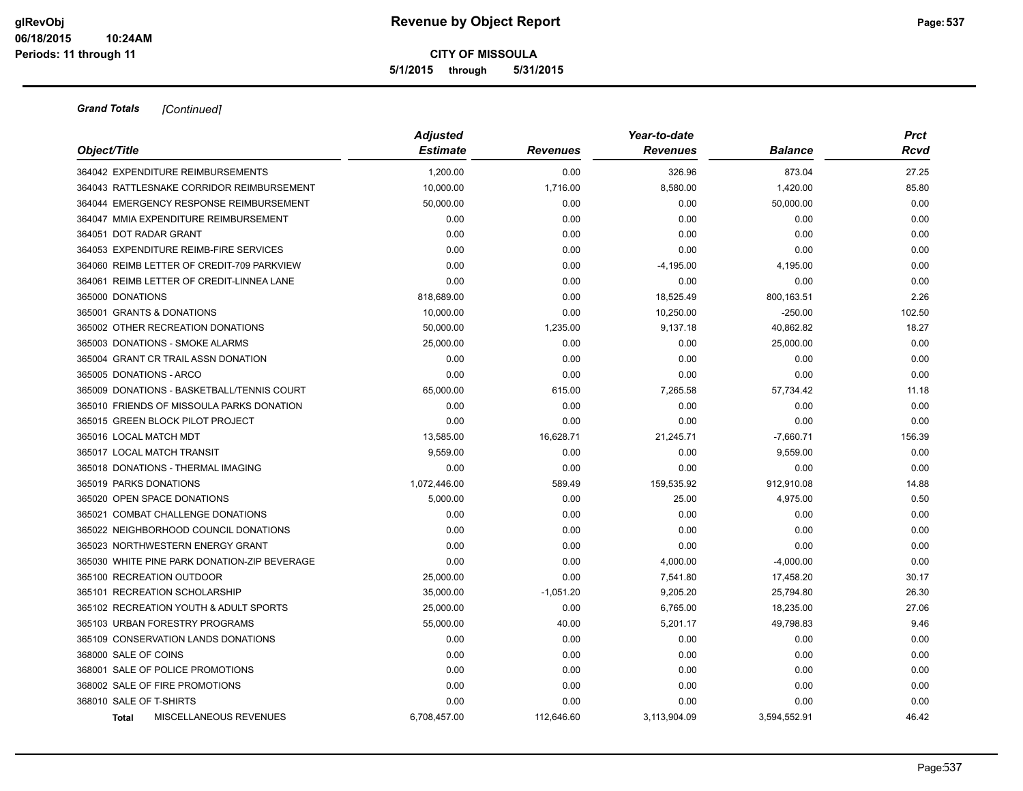|                                               | <b>Adjusted</b> |                 | Year-to-date    |                | <b>Prct</b> |
|-----------------------------------------------|-----------------|-----------------|-----------------|----------------|-------------|
| Object/Title                                  | <b>Estimate</b> | <b>Revenues</b> | <b>Revenues</b> | <b>Balance</b> | Rcvd        |
| 364042 EXPENDITURE REIMBURSEMENTS             | 1,200.00        | 0.00            | 326.96          | 873.04         | 27.25       |
| 364043 RATTLESNAKE CORRIDOR REIMBURSEMENT     | 10,000.00       | 1,716.00        | 8,580.00        | 1,420.00       | 85.80       |
| 364044 EMERGENCY RESPONSE REIMBURSEMENT       | 50,000.00       | 0.00            | 0.00            | 50,000.00      | 0.00        |
| 364047 MMIA EXPENDITURE REIMBURSEMENT         | 0.00            | 0.00            | 0.00            | 0.00           | 0.00        |
| 364051 DOT RADAR GRANT                        | 0.00            | 0.00            | 0.00            | 0.00           | 0.00        |
| 364053 EXPENDITURE REIMB-FIRE SERVICES        | 0.00            | 0.00            | 0.00            | 0.00           | 0.00        |
| 364060 REIMB LETTER OF CREDIT-709 PARKVIEW    | 0.00            | 0.00            | $-4,195.00$     | 4,195.00       | 0.00        |
| 364061 REIMB LETTER OF CREDIT-LINNEA LANE     | 0.00            | 0.00            | 0.00            | 0.00           | 0.00        |
| 365000 DONATIONS                              | 818,689.00      | 0.00            | 18,525.49       | 800,163.51     | 2.26        |
| 365001 GRANTS & DONATIONS                     | 10,000.00       | 0.00            | 10,250.00       | $-250.00$      | 102.50      |
| 365002 OTHER RECREATION DONATIONS             | 50,000.00       | 1,235.00        | 9,137.18        | 40,862.82      | 18.27       |
| 365003 DONATIONS - SMOKE ALARMS               | 25,000.00       | 0.00            | 0.00            | 25,000.00      | 0.00        |
| 365004 GRANT CR TRAIL ASSN DONATION           | 0.00            | 0.00            | 0.00            | 0.00           | 0.00        |
| 365005 DONATIONS - ARCO                       | 0.00            | 0.00            | 0.00            | 0.00           | 0.00        |
| 365009 DONATIONS - BASKETBALL/TENNIS COURT    | 65,000.00       | 615.00          | 7,265.58        | 57,734.42      | 11.18       |
| 365010 FRIENDS OF MISSOULA PARKS DONATION     | 0.00            | 0.00            | 0.00            | 0.00           | 0.00        |
| 365015 GREEN BLOCK PILOT PROJECT              | 0.00            | 0.00            | 0.00            | 0.00           | 0.00        |
| 365016 LOCAL MATCH MDT                        | 13,585.00       | 16,628.71       | 21,245.71       | $-7,660.71$    | 156.39      |
| 365017 LOCAL MATCH TRANSIT                    | 9,559.00        | 0.00            | 0.00            | 9,559.00       | 0.00        |
| 365018 DONATIONS - THERMAL IMAGING            | 0.00            | 0.00            | 0.00            | 0.00           | 0.00        |
| 365019 PARKS DONATIONS                        | 1,072,446.00    | 589.49          | 159,535.92      | 912,910.08     | 14.88       |
| 365020 OPEN SPACE DONATIONS                   | 5,000.00        | 0.00            | 25.00           | 4,975.00       | 0.50        |
| 365021 COMBAT CHALLENGE DONATIONS             | 0.00            | 0.00            | 0.00            | 0.00           | 0.00        |
| 365022 NEIGHBORHOOD COUNCIL DONATIONS         | 0.00            | 0.00            | 0.00            | 0.00           | 0.00        |
| 365023 NORTHWESTERN ENERGY GRANT              | 0.00            | 0.00            | 0.00            | 0.00           | 0.00        |
| 365030 WHITE PINE PARK DONATION-ZIP BEVERAGE  | 0.00            | 0.00            | 4,000.00        | $-4,000.00$    | 0.00        |
| 365100 RECREATION OUTDOOR                     | 25,000.00       | 0.00            | 7,541.80        | 17,458.20      | 30.17       |
| 365101 RECREATION SCHOLARSHIP                 | 35,000.00       | $-1,051.20$     | 9,205.20        | 25,794.80      | 26.30       |
| 365102 RECREATION YOUTH & ADULT SPORTS        | 25,000.00       | 0.00            | 6,765.00        | 18,235.00      | 27.06       |
| 365103 URBAN FORESTRY PROGRAMS                | 55,000.00       | 40.00           | 5,201.17        | 49,798.83      | 9.46        |
| 365109 CONSERVATION LANDS DONATIONS           | 0.00            | 0.00            | 0.00            | 0.00           | 0.00        |
| 368000 SALE OF COINS                          | 0.00            | 0.00            | 0.00            | 0.00           | 0.00        |
| 368001 SALE OF POLICE PROMOTIONS              | 0.00            | 0.00            | 0.00            | 0.00           | 0.00        |
| 368002 SALE OF FIRE PROMOTIONS                | 0.00            | 0.00            | 0.00            | 0.00           | 0.00        |
| 368010 SALE OF T-SHIRTS                       | 0.00            | 0.00            | 0.00            | 0.00           | 0.00        |
| <b>MISCELLANEOUS REVENUES</b><br><b>Total</b> | 6.708,457.00    | 112.646.60      | 3.113.904.09    | 3.594.552.91   | 46.42       |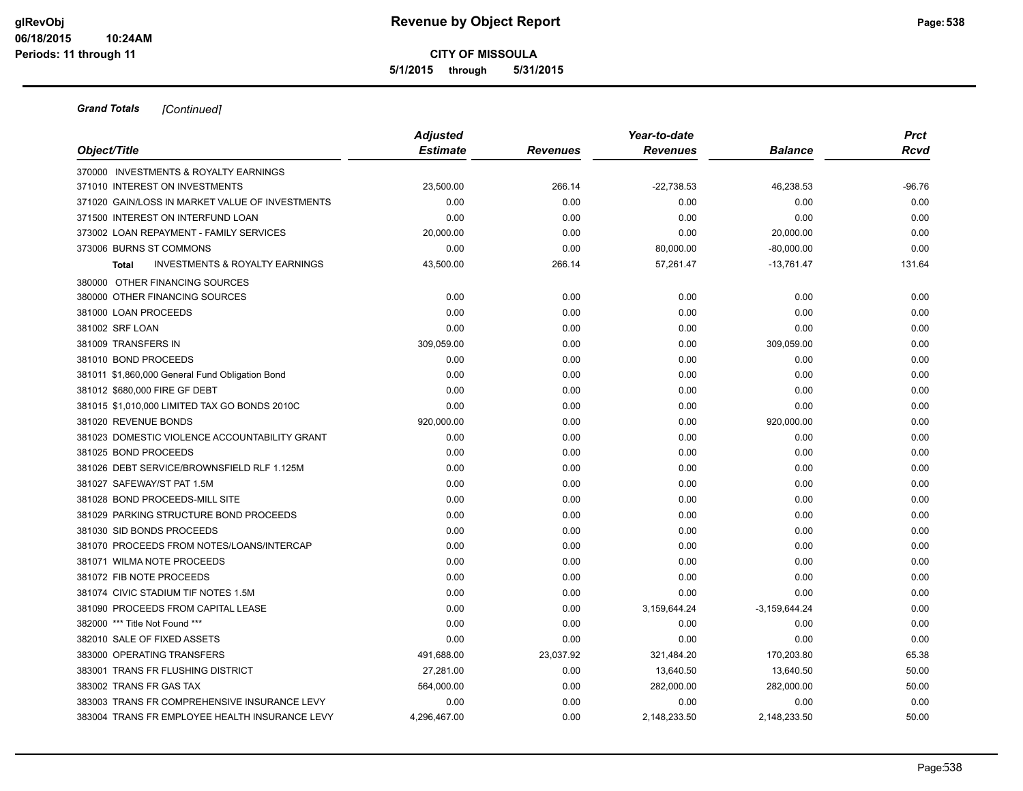**5/1/2015 through 5/31/2015**

| Object/Title                                              | <b>Adjusted</b> |                 | Year-to-date    |                 | <b>Prct</b> |  |
|-----------------------------------------------------------|-----------------|-----------------|-----------------|-----------------|-------------|--|
|                                                           | <b>Estimate</b> | <b>Revenues</b> | <b>Revenues</b> | <b>Balance</b>  | Rcvd        |  |
| 370000 INVESTMENTS & ROYALTY EARNINGS                     |                 |                 |                 |                 |             |  |
| 371010 INTEREST ON INVESTMENTS                            | 23,500.00       | 266.14          | $-22,738.53$    | 46,238.53       | -96.76      |  |
| 371020 GAIN/LOSS IN MARKET VALUE OF INVESTMENTS           | 0.00            | 0.00            | 0.00            | 0.00            | 0.00        |  |
| 371500 INTEREST ON INTERFUND LOAN                         | 0.00            | 0.00            | 0.00            | 0.00            | 0.00        |  |
| 373002 LOAN REPAYMENT - FAMILY SERVICES                   | 20,000.00       | 0.00            | 0.00            | 20,000.00       | 0.00        |  |
| 373006 BURNS ST COMMONS                                   | 0.00            | 0.00            | 80,000.00       | $-80,000.00$    | 0.00        |  |
| <b>INVESTMENTS &amp; ROYALTY EARNINGS</b><br><b>Total</b> | 43,500.00       | 266.14          | 57,261.47       | $-13,761.47$    | 131.64      |  |
| 380000 OTHER FINANCING SOURCES                            |                 |                 |                 |                 |             |  |
| 380000 OTHER FINANCING SOURCES                            | 0.00            | 0.00            | 0.00            | 0.00            | 0.00        |  |
| 381000 LOAN PROCEEDS                                      | 0.00            | 0.00            | 0.00            | 0.00            | 0.00        |  |
| 381002 SRF LOAN                                           | 0.00            | 0.00            | 0.00            | 0.00            | 0.00        |  |
| 381009 TRANSFERS IN                                       | 309,059.00      | 0.00            | 0.00            | 309,059.00      | 0.00        |  |
| 381010 BOND PROCEEDS                                      | 0.00            | 0.00            | 0.00            | 0.00            | 0.00        |  |
| 381011 \$1,860,000 General Fund Obligation Bond           | 0.00            | 0.00            | 0.00            | 0.00            | 0.00        |  |
| 381012 \$680,000 FIRE GF DEBT                             | 0.00            | 0.00            | 0.00            | 0.00            | 0.00        |  |
| 381015 \$1,010,000 LIMITED TAX GO BONDS 2010C             | 0.00            | 0.00            | 0.00            | 0.00            | 0.00        |  |
| 381020 REVENUE BONDS                                      | 920,000.00      | 0.00            | 0.00            | 920,000.00      | 0.00        |  |
| 381023 DOMESTIC VIOLENCE ACCOUNTABILITY GRANT             | 0.00            | 0.00            | 0.00            | 0.00            | 0.00        |  |
| 381025 BOND PROCEEDS                                      | 0.00            | 0.00            | 0.00            | 0.00            | 0.00        |  |
| 381026 DEBT SERVICE/BROWNSFIELD RLF 1.125M                | 0.00            | 0.00            | 0.00            | 0.00            | 0.00        |  |
| 381027 SAFEWAY/ST PAT 1.5M                                | 0.00            | 0.00            | 0.00            | 0.00            | 0.00        |  |
| 381028 BOND PROCEEDS-MILL SITE                            | 0.00            | 0.00            | 0.00            | 0.00            | 0.00        |  |
| 381029 PARKING STRUCTURE BOND PROCEEDS                    | 0.00            | 0.00            | 0.00            | 0.00            | 0.00        |  |
| 381030 SID BONDS PROCEEDS                                 | 0.00            | 0.00            | 0.00            | 0.00            | 0.00        |  |
| 381070 PROCEEDS FROM NOTES/LOANS/INTERCAP                 | 0.00            | 0.00            | 0.00            | 0.00            | 0.00        |  |
| 381071 WILMA NOTE PROCEEDS                                | 0.00            | 0.00            | 0.00            | 0.00            | 0.00        |  |
| 381072 FIB NOTE PROCEEDS                                  | 0.00            | 0.00            | 0.00            | 0.00            | 0.00        |  |
| 381074 CIVIC STADIUM TIF NOTES 1.5M                       | 0.00            | 0.00            | 0.00            | 0.00            | 0.00        |  |
| 381090 PROCEEDS FROM CAPITAL LEASE                        | 0.00            | 0.00            | 3,159,644.24    | $-3,159,644.24$ | 0.00        |  |
| 382000 *** Title Not Found ***                            | 0.00            | 0.00            | 0.00            | 0.00            | 0.00        |  |
| 382010 SALE OF FIXED ASSETS                               | 0.00            | 0.00            | 0.00            | 0.00            | 0.00        |  |
| 383000 OPERATING TRANSFERS                                | 491,688.00      | 23,037.92       | 321,484.20      | 170,203.80      | 65.38       |  |
| 383001 TRANS FR FLUSHING DISTRICT                         | 27,281.00       | 0.00            | 13,640.50       | 13,640.50       | 50.00       |  |
| 383002 TRANS FR GAS TAX                                   | 564,000.00      | 0.00            | 282,000.00      | 282,000.00      | 50.00       |  |
| 383003 TRANS FR COMPREHENSIVE INSURANCE LEVY              | 0.00            | 0.00            | 0.00            | 0.00            | 0.00        |  |
| 383004 TRANS FR EMPLOYEE HEALTH INSURANCE LEVY            | 4.296.467.00    | 0.00            | 2,148,233.50    | 2,148,233.50    | 50.00       |  |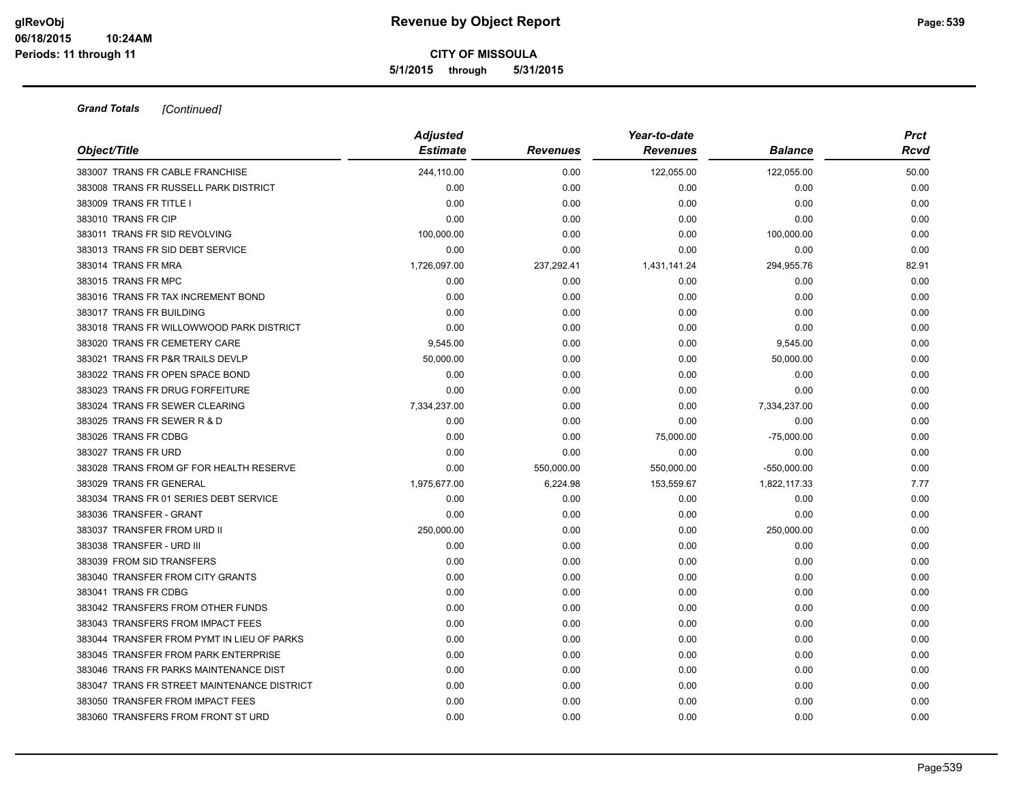| Object/Title                                | <b>Adjusted</b><br><b>Estimate</b> | <b>Revenues</b> | Year-to-date<br><b>Revenues</b> | <b>Balance</b> | <b>Prct</b><br>Rcvd |
|---------------------------------------------|------------------------------------|-----------------|---------------------------------|----------------|---------------------|
| 383007 TRANS FR CABLE FRANCHISE             | 244,110.00                         | 0.00            | 122,055.00                      | 122,055.00     | 50.00               |
| 383008 TRANS FR RUSSELL PARK DISTRICT       | 0.00                               | 0.00            | 0.00                            | 0.00           | 0.00                |
| 383009 TRANS FR TITLE I                     | 0.00                               | 0.00            | 0.00                            | 0.00           | 0.00                |
| 383010 TRANS FR CIP                         | 0.00                               | 0.00            | 0.00                            | 0.00           | 0.00                |
| 383011 TRANS FR SID REVOLVING               | 100,000.00                         | 0.00            | 0.00                            | 100,000.00     | 0.00                |
| 383013 TRANS FR SID DEBT SERVICE            | 0.00                               | 0.00            | 0.00                            | 0.00           | 0.00                |
| 383014 TRANS FR MRA                         | 1,726,097.00                       | 237,292.41      | 1,431,141.24                    | 294,955.76     | 82.91               |
| 383015 TRANS FR MPC                         | 0.00                               | 0.00            | 0.00                            | 0.00           | 0.00                |
| 383016 TRANS FR TAX INCREMENT BOND          | 0.00                               | 0.00            | 0.00                            | 0.00           | 0.00                |
| 383017 TRANS FR BUILDING                    | 0.00                               | 0.00            | 0.00                            | 0.00           | 0.00                |
| 383018 TRANS FR WILLOWWOOD PARK DISTRICT    | 0.00                               | 0.00            | 0.00                            | 0.00           | 0.00                |
| 383020 TRANS FR CEMETERY CARE               | 9,545.00                           | 0.00            | 0.00                            | 9,545.00       | 0.00                |
| 383021 TRANS FR P&R TRAILS DEVLP            | 50,000.00                          | 0.00            | 0.00                            | 50,000.00      | 0.00                |
| 383022 TRANS FR OPEN SPACE BOND             | 0.00                               | 0.00            | 0.00                            | 0.00           | 0.00                |
| 383023 TRANS FR DRUG FORFEITURE             | 0.00                               | 0.00            | 0.00                            | 0.00           | 0.00                |
| 383024 TRANS FR SEWER CLEARING              | 7,334,237.00                       | 0.00            | 0.00                            | 7,334,237.00   | 0.00                |
| 383025 TRANS FR SEWER R & D                 | 0.00                               | 0.00            | 0.00                            | 0.00           | 0.00                |
| 383026 TRANS FR CDBG                        | 0.00                               | 0.00            | 75,000.00                       | $-75,000.00$   | 0.00                |
| 383027 TRANS FR URD                         | 0.00                               | 0.00            | 0.00                            | 0.00           | 0.00                |
| 383028 TRANS FROM GF FOR HEALTH RESERVE     | 0.00                               | 550,000.00      | 550,000.00                      | $-550,000.00$  | 0.00                |
| 383029 TRANS FR GENERAL                     | 1,975,677.00                       | 6,224.98        | 153,559.67                      | 1,822,117.33   | 7.77                |
| 383034 TRANS FR 01 SERIES DEBT SERVICE      | 0.00                               | 0.00            | 0.00                            | 0.00           | 0.00                |
| 383036 TRANSFER - GRANT                     | 0.00                               | 0.00            | 0.00                            | 0.00           | 0.00                |
| 383037 TRANSFER FROM URD II                 | 250,000.00                         | 0.00            | 0.00                            | 250,000.00     | 0.00                |
| 383038 TRANSFER - URD III                   | 0.00                               | 0.00            | 0.00                            | 0.00           | 0.00                |
| 383039 FROM SID TRANSFERS                   | 0.00                               | 0.00            | 0.00                            | 0.00           | 0.00                |
| 383040 TRANSFER FROM CITY GRANTS            | 0.00                               | 0.00            | 0.00                            | 0.00           | 0.00                |
| 383041 TRANS FR CDBG                        | 0.00                               | 0.00            | 0.00                            | 0.00           | 0.00                |
| 383042 TRANSFERS FROM OTHER FUNDS           | 0.00                               | 0.00            | 0.00                            | 0.00           | 0.00                |
| 383043 TRANSFERS FROM IMPACT FEES           | 0.00                               | 0.00            | 0.00                            | 0.00           | 0.00                |
| 383044 TRANSFER FROM PYMT IN LIEU OF PARKS  | 0.00                               | 0.00            | 0.00                            | 0.00           | 0.00                |
| 383045 TRANSFER FROM PARK ENTERPRISE        | 0.00                               | 0.00            | 0.00                            | 0.00           | 0.00                |
| 383046 TRANS FR PARKS MAINTENANCE DIST      | 0.00                               | 0.00            | 0.00                            | 0.00           | 0.00                |
| 383047 TRANS FR STREET MAINTENANCE DISTRICT | 0.00                               | 0.00            | 0.00                            | 0.00           | 0.00                |
| 383050 TRANSFER FROM IMPACT FEES            | 0.00                               | 0.00            | 0.00                            | 0.00           | 0.00                |
| 383060 TRANSFERS FROM FRONT ST URD          | 0.00                               | 0.00            | 0.00                            | 0.00           | 0.00                |